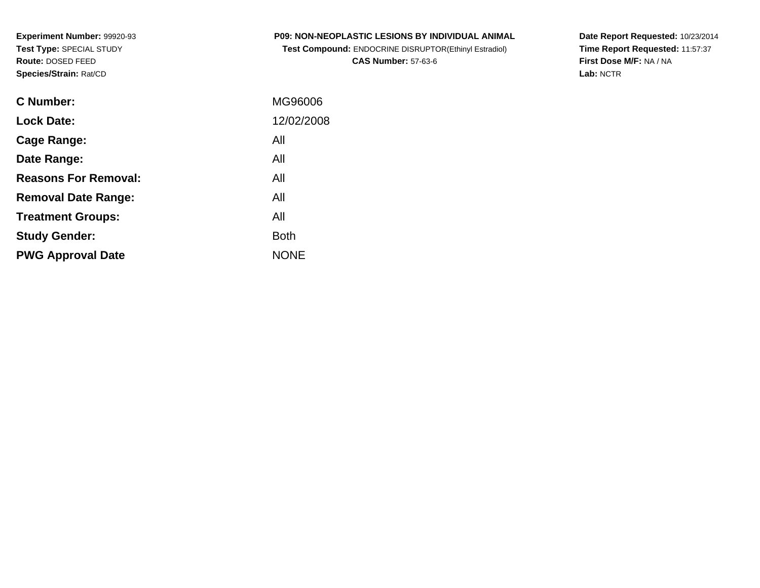**Experiment Number:** 99920-93**Test Type:** SPECIAL STUDY**Route:** DOSED FEED**Species/Strain:** Rat/CD

| <b>P09: NON-NEOPLASTIC LESIONS BY INDIVIDUAL ANIMAL</b> |
|---------------------------------------------------------|
| Test Compound: ENDOCRINE DISRUPTOR(Ethinyl Estradiol)   |

**CAS Number:** 57-63-6

**Date Report Requested:** 10/23/2014 **Time Report Requested:** 11:57:37**First Dose M/F:** NA / NA**Lab:** NCTR

| C Number:                   | MG96006     |
|-----------------------------|-------------|
| <b>Lock Date:</b>           | 12/02/2008  |
| Cage Range:                 | All         |
| Date Range:                 | All         |
| <b>Reasons For Removal:</b> | All         |
| <b>Removal Date Range:</b>  | All         |
| <b>Treatment Groups:</b>    | All         |
| <b>Study Gender:</b>        | <b>Both</b> |
| <b>PWG Approval Date</b>    | <b>NONE</b> |
|                             |             |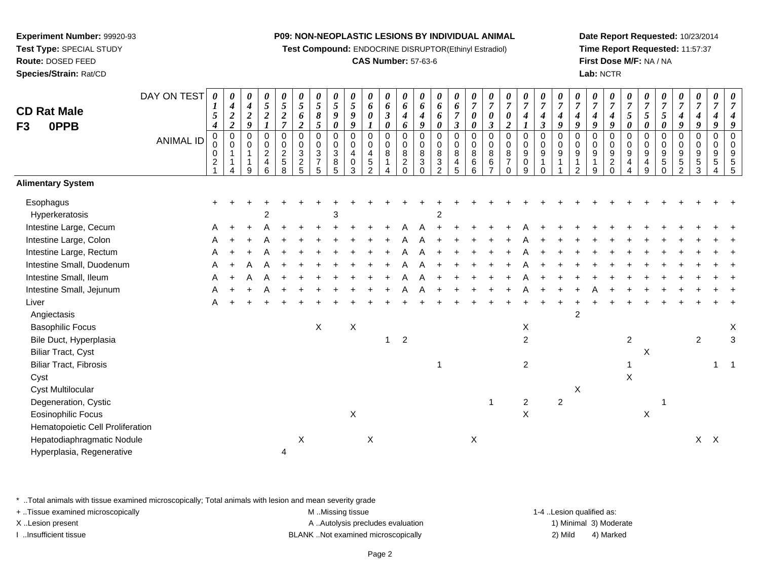**Test Compound:** ENDOCRINE DISRUPTOR(Ethinyl Estradiol)

#### **CAS Number:** 57-63-6

**Date Report Requested:** 10/23/2014**Time Report Requested:** 11:57:37**First Dose M/F:** NA / NA**Lab:** NCTR

| <b>CD Rat Male</b><br>0PPB<br>F <sub>3</sub> | DAY ON TEST      | 0<br>$\boldsymbol{l}$<br>$5\phantom{.0}$<br>4<br>0     | 0<br>$\boldsymbol{4}$<br>$\boldsymbol{2}$<br>$\overline{2}$<br>$\pmb{0}$ | 0<br>$\boldsymbol{4}$<br>$\boldsymbol{2}$<br>9<br>$\Omega$ | $\boldsymbol{\theta}$<br>$\mathfrak{s}$<br>$\boldsymbol{2}$<br>$\mathbf{I}$<br>$\mathbf 0$ | 0<br>$\overline{5}$<br>$\boldsymbol{2}$<br>$\overline{7}$<br>0 | 0<br>$\overline{5}$<br>$\pmb{6}$<br>$\overline{2}$<br>$\mathbf 0$ | 0<br>5<br>8<br>5<br>$\mathbf 0$ | $\boldsymbol{\theta}$<br>$\mathfrak{s}$<br>9<br>0<br>$\mathbf 0$ | $\pmb{\theta}$<br>$\mathfrak{z}$<br>9<br>$\boldsymbol{g}$<br>$\mathsf{O}$ | 0<br>6<br>0<br>$\boldsymbol{l}$<br>$\mathbf 0$        | 0<br>6<br>$\mathfrak{z}$<br>0<br>$\mathbf 0$ | $\boldsymbol{\theta}$<br>6<br>$\boldsymbol{4}$<br>6<br>$\mathbf 0$ | 0<br>6<br>$\boldsymbol{4}$<br>9<br>$\Omega$ | $\boldsymbol{\theta}$<br>6<br>6<br>$\boldsymbol{\theta}$<br>0 | 0<br>6<br>$\overline{7}$<br>$\mathfrak{z}$<br>$\Omega$ | $\boldsymbol{\theta}$<br>$\overline{7}$<br>$\pmb{\theta}$<br>$\boldsymbol{\theta}$<br>$\Omega$ | $\boldsymbol{\theta}$<br>$\overline{7}$<br>$\pmb{\theta}$<br>$\mathfrak{z}$<br>$\mathbf 0$ | 0<br>$\overline{7}$<br>$\pmb{\theta}$<br>$\overline{2}$<br>$\mathbf 0$ | 0<br>$\overline{7}$<br>$\boldsymbol{4}$<br>$\mathbf 0$ | $\boldsymbol{\theta}$<br>$\overline{7}$<br>$\boldsymbol{4}$<br>$\mathfrak{z}$<br>$\mathbf 0$ | $\boldsymbol{\theta}$<br>$\overline{7}$<br>$\boldsymbol{4}$<br>9<br>$\Omega$ | 0<br>$\overline{7}$<br>4<br>9<br>$\Omega$ | 0<br>$\overline{7}$<br>$\boldsymbol{4}$<br>9<br>$\Omega$ | $\pmb{\theta}$<br>$\overline{7}$<br>$\boldsymbol{4}$<br>9<br>$\Omega$ | 0<br>$\overline{7}$<br>5<br>$\boldsymbol{\theta}$<br>$\mathbf 0$ | 0<br>$\overline{7}$<br>$\sqrt{5}$<br>$\boldsymbol{\theta}$<br>$\Omega$ | $\boldsymbol{\theta}$<br>$\overline{7}$<br>$\sqrt{5}$<br>$\pmb{\theta}$<br>$\mathbf 0$ | $\pmb{\theta}$<br>$\overline{7}$<br>$\boldsymbol{4}$<br>$\boldsymbol{g}$<br>$\mathbf 0$ | 0<br>$\overline{7}$<br>$\boldsymbol{4}$<br>9<br>$\Omega$ | 0<br>$\overline{7}$<br>9<br>$\Omega$ |          |
|----------------------------------------------|------------------|--------------------------------------------------------|--------------------------------------------------------------------------|------------------------------------------------------------|--------------------------------------------------------------------------------------------|----------------------------------------------------------------|-------------------------------------------------------------------|---------------------------------|------------------------------------------------------------------|---------------------------------------------------------------------------|-------------------------------------------------------|----------------------------------------------|--------------------------------------------------------------------|---------------------------------------------|---------------------------------------------------------------|--------------------------------------------------------|------------------------------------------------------------------------------------------------|--------------------------------------------------------------------------------------------|------------------------------------------------------------------------|--------------------------------------------------------|----------------------------------------------------------------------------------------------|------------------------------------------------------------------------------|-------------------------------------------|----------------------------------------------------------|-----------------------------------------------------------------------|------------------------------------------------------------------|------------------------------------------------------------------------|----------------------------------------------------------------------------------------|-----------------------------------------------------------------------------------------|----------------------------------------------------------|--------------------------------------|----------|
|                                              | <b>ANIMAL ID</b> | 0<br>$\mathbf 0$<br>$\boldsymbol{2}$<br>$\overline{A}$ | $\pmb{0}$<br>$\mathbf{1}$<br>Δ                                           | $\mathbf 0$<br>9                                           | $\pmb{0}$<br>$\boldsymbol{2}$<br>$\overline{\mathbf{4}}$<br>6                              | 0<br>$\boldsymbol{2}$<br>$\,$ 5 $\,$<br>$\mathbf{8}$           | $\pmb{0}$<br>$\sqrt{3}$<br>$\sqrt{2}$<br>5                        | $\pmb{0}$<br>3<br>7<br>5        | $\pmb{0}$<br>$\sqrt{3}$<br>$\frac{8}{5}$                         | $\mathsf{O}$<br>4<br>$\pmb{0}$<br>3                                       | $\pmb{0}$<br>$\overline{\mathbf{4}}$<br>$\frac{5}{2}$ | $\mathsf 0$<br>$\bf 8$                       | $\mathbf 0$<br>$\,8\,$<br>$\frac{2}{0}$                            | 0<br>$\,8\,$<br>$\sqrt{3}$                  | $\pmb{0}$<br>$\bf 8$<br>$\sqrt{3}$<br>$\mathcal{P}$           | 0<br>8<br>4<br>5                                       | $\mathbf 0$<br>8<br>6<br>6                                                                     | 0<br>$\bf 8$<br>$\,6$<br>$\overline{z}$                                                    | $\pmb{0}$<br>$\bf 8$<br>$\overline{7}$<br>$\Omega$                     | $\mathsf{O}\xspace$<br>$9\,$<br>$\pmb{0}$<br>9         | $\pmb{0}$<br>$\boldsymbol{9}$<br>$\overline{1}$<br>$\Omega$                                  | $\mathbf 0$<br>9                                                             | $\mathbf 0$<br>$9\,$<br>$\Omega$          | $\mathbf 0$<br>9<br>$\mathbf{Q}$                         | 0<br>$\boldsymbol{9}$<br>$\boldsymbol{2}$<br>$\Omega$                 | $\mathsf 0$<br>9<br>4<br>4                                       | $\mathbf 0$<br>$\boldsymbol{9}$<br>$\overline{4}$<br>9                 | $\mathbf 0$<br>$\boldsymbol{9}$<br>$\,$ 5 $\,$<br>$\Omega$                             | $\pmb{0}$<br>$\boldsymbol{9}$<br>$\frac{5}{2}$                                          | $\mathbf 0$<br>$\boldsymbol{9}$<br>$\,$ 5 $\,$<br>3      | $\mathbf 0$<br>9<br>5                | $\Omega$ |
| <b>Alimentary System</b>                     |                  |                                                        |                                                                          |                                                            |                                                                                            |                                                                |                                                                   |                                 |                                                                  |                                                                           |                                                       |                                              |                                                                    |                                             |                                                               |                                                        |                                                                                                |                                                                                            |                                                                        |                                                        |                                                                                              |                                                                              |                                           |                                                          |                                                                       |                                                                  |                                                                        |                                                                                        |                                                                                         |                                                          |                                      |          |
| Esophagus<br>Hyperkeratosis                  |                  |                                                        |                                                                          |                                                            |                                                                                            |                                                                |                                                                   |                                 |                                                                  |                                                                           |                                                       |                                              |                                                                    |                                             | 2                                                             |                                                        |                                                                                                |                                                                                            |                                                                        |                                                        |                                                                                              |                                                                              |                                           |                                                          |                                                                       |                                                                  |                                                                        |                                                                                        |                                                                                         |                                                          |                                      |          |
| Intestine Large, Cecum                       |                  | A                                                      |                                                                          |                                                            |                                                                                            |                                                                |                                                                   |                                 |                                                                  |                                                                           |                                                       |                                              |                                                                    |                                             |                                                               |                                                        |                                                                                                |                                                                                            |                                                                        |                                                        |                                                                                              |                                                                              |                                           |                                                          |                                                                       |                                                                  |                                                                        |                                                                                        |                                                                                         |                                                          |                                      |          |
| Intestine Large, Colon                       |                  | A                                                      |                                                                          |                                                            |                                                                                            |                                                                |                                                                   |                                 |                                                                  |                                                                           |                                                       |                                              |                                                                    |                                             |                                                               |                                                        |                                                                                                |                                                                                            |                                                                        |                                                        |                                                                                              |                                                                              |                                           |                                                          |                                                                       |                                                                  |                                                                        |                                                                                        |                                                                                         |                                                          |                                      |          |
| Intestine Large, Rectum                      |                  |                                                        |                                                                          |                                                            |                                                                                            |                                                                |                                                                   |                                 |                                                                  |                                                                           |                                                       |                                              |                                                                    |                                             |                                                               |                                                        |                                                                                                |                                                                                            |                                                                        |                                                        |                                                                                              |                                                                              |                                           |                                                          |                                                                       |                                                                  |                                                                        |                                                                                        |                                                                                         |                                                          |                                      |          |
| Intestine Small, Duodenum                    |                  |                                                        |                                                                          |                                                            |                                                                                            |                                                                |                                                                   |                                 |                                                                  |                                                                           |                                                       |                                              |                                                                    |                                             |                                                               |                                                        |                                                                                                |                                                                                            |                                                                        |                                                        |                                                                                              |                                                                              |                                           |                                                          |                                                                       |                                                                  |                                                                        |                                                                                        |                                                                                         |                                                          |                                      |          |
| Intestine Small, Ileum                       |                  | Α                                                      |                                                                          |                                                            |                                                                                            |                                                                |                                                                   |                                 |                                                                  |                                                                           |                                                       |                                              |                                                                    |                                             |                                                               |                                                        |                                                                                                |                                                                                            |                                                                        |                                                        |                                                                                              |                                                                              |                                           |                                                          |                                                                       |                                                                  |                                                                        |                                                                                        |                                                                                         |                                                          |                                      |          |
| Intestine Small, Jejunum                     |                  |                                                        |                                                                          |                                                            |                                                                                            |                                                                |                                                                   |                                 |                                                                  |                                                                           |                                                       |                                              |                                                                    |                                             |                                                               |                                                        |                                                                                                |                                                                                            |                                                                        |                                                        |                                                                                              |                                                                              |                                           |                                                          |                                                                       |                                                                  |                                                                        |                                                                                        |                                                                                         |                                                          |                                      |          |
| Liver                                        |                  |                                                        |                                                                          |                                                            |                                                                                            |                                                                |                                                                   |                                 |                                                                  |                                                                           |                                                       |                                              |                                                                    |                                             |                                                               |                                                        |                                                                                                |                                                                                            |                                                                        |                                                        |                                                                                              |                                                                              |                                           |                                                          |                                                                       |                                                                  |                                                                        |                                                                                        |                                                                                         |                                                          |                                      |          |
| Angiectasis                                  |                  |                                                        |                                                                          |                                                            |                                                                                            |                                                                |                                                                   |                                 |                                                                  |                                                                           |                                                       |                                              |                                                                    |                                             |                                                               |                                                        |                                                                                                |                                                                                            |                                                                        |                                                        |                                                                                              |                                                                              | 2                                         |                                                          |                                                                       |                                                                  |                                                                        |                                                                                        |                                                                                         |                                                          |                                      |          |
| <b>Basophilic Focus</b>                      |                  |                                                        |                                                                          |                                                            |                                                                                            |                                                                |                                                                   | $\mathsf X$                     |                                                                  | $\mathsf X$                                                               |                                                       |                                              |                                                                    |                                             |                                                               |                                                        |                                                                                                |                                                                                            |                                                                        | X                                                      |                                                                                              |                                                                              |                                           |                                                          |                                                                       |                                                                  |                                                                        |                                                                                        |                                                                                         |                                                          |                                      | X        |
| Bile Duct, Hyperplasia                       |                  |                                                        |                                                                          |                                                            |                                                                                            |                                                                |                                                                   |                                 |                                                                  |                                                                           |                                                       | $\mathbf 1$                                  | $\overline{c}$                                                     |                                             |                                                               |                                                        |                                                                                                |                                                                                            |                                                                        | $\overline{a}$                                         |                                                                                              |                                                                              |                                           |                                                          |                                                                       | $\overline{2}$                                                   |                                                                        |                                                                                        |                                                                                         | 2                                                        |                                      | 3        |
| <b>Biliar Tract, Cyst</b>                    |                  |                                                        |                                                                          |                                                            |                                                                                            |                                                                |                                                                   |                                 |                                                                  |                                                                           |                                                       |                                              |                                                                    |                                             |                                                               |                                                        |                                                                                                |                                                                                            |                                                                        |                                                        |                                                                                              |                                                                              |                                           |                                                          |                                                                       |                                                                  | X                                                                      |                                                                                        |                                                                                         |                                                          |                                      |          |
| <b>Biliar Tract, Fibrosis</b>                |                  |                                                        |                                                                          |                                                            |                                                                                            |                                                                |                                                                   |                                 |                                                                  |                                                                           |                                                       |                                              |                                                                    |                                             | 1                                                             |                                                        |                                                                                                |                                                                                            |                                                                        | $\overline{a}$                                         |                                                                                              |                                                                              |                                           |                                                          |                                                                       | $\mathbf 1$                                                      |                                                                        |                                                                                        |                                                                                         |                                                          | $1 \quad$                            | -1       |
| Cyst                                         |                  |                                                        |                                                                          |                                                            |                                                                                            |                                                                |                                                                   |                                 |                                                                  |                                                                           |                                                       |                                              |                                                                    |                                             |                                                               |                                                        |                                                                                                |                                                                                            |                                                                        |                                                        |                                                                                              |                                                                              |                                           |                                                          |                                                                       | X                                                                |                                                                        |                                                                                        |                                                                                         |                                                          |                                      |          |
| <b>Cyst Multilocular</b>                     |                  |                                                        |                                                                          |                                                            |                                                                                            |                                                                |                                                                   |                                 |                                                                  |                                                                           |                                                       |                                              |                                                                    |                                             |                                                               |                                                        |                                                                                                |                                                                                            |                                                                        |                                                        |                                                                                              |                                                                              | X                                         |                                                          |                                                                       |                                                                  |                                                                        |                                                                                        |                                                                                         |                                                          |                                      |          |
| Degeneration, Cystic                         |                  |                                                        |                                                                          |                                                            |                                                                                            |                                                                |                                                                   |                                 |                                                                  |                                                                           |                                                       |                                              |                                                                    |                                             |                                                               |                                                        |                                                                                                | 1                                                                                          |                                                                        | $\overline{2}$                                         |                                                                                              | $\overline{c}$                                                               |                                           |                                                          |                                                                       |                                                                  |                                                                        |                                                                                        |                                                                                         |                                                          |                                      |          |
| <b>Eosinophilic Focus</b>                    |                  |                                                        |                                                                          |                                                            |                                                                                            |                                                                |                                                                   |                                 |                                                                  | $\mathsf X$                                                               |                                                       |                                              |                                                                    |                                             |                                                               |                                                        |                                                                                                |                                                                                            |                                                                        | X                                                      |                                                                                              |                                                                              |                                           |                                                          |                                                                       |                                                                  | Χ                                                                      |                                                                                        |                                                                                         |                                                          |                                      |          |
| Hematopoietic Cell Proliferation             |                  |                                                        |                                                                          |                                                            |                                                                                            |                                                                |                                                                   |                                 |                                                                  |                                                                           |                                                       |                                              |                                                                    |                                             |                                                               |                                                        |                                                                                                |                                                                                            |                                                                        |                                                        |                                                                                              |                                                                              |                                           |                                                          |                                                                       |                                                                  |                                                                        |                                                                                        |                                                                                         |                                                          |                                      |          |
| Hepatodiaphragmatic Nodule                   |                  |                                                        |                                                                          |                                                            |                                                                                            |                                                                | X                                                                 |                                 |                                                                  |                                                                           | X                                                     |                                              |                                                                    |                                             |                                                               |                                                        | $\mathsf X$                                                                                    |                                                                                            |                                                                        |                                                        |                                                                                              |                                                                              |                                           |                                                          |                                                                       |                                                                  |                                                                        |                                                                                        |                                                                                         | $X$ $X$                                                  |                                      |          |
| Hyperplasia, Regenerative                    |                  |                                                        |                                                                          |                                                            |                                                                                            | 4                                                              |                                                                   |                                 |                                                                  |                                                                           |                                                       |                                              |                                                                    |                                             |                                                               |                                                        |                                                                                                |                                                                                            |                                                                        |                                                        |                                                                                              |                                                                              |                                           |                                                          |                                                                       |                                                                  |                                                                        |                                                                                        |                                                                                         |                                                          |                                      |          |

\* ..Total animals with tissue examined microscopically; Total animals with lesion and mean severity grade

+ ..Tissue examined microscopically examined microscopically examined as:  $M$  ..Missing tissue 1-4 ..Lesion qualified as:

X..Lesion present **A ..Autolysis precludes evaluation** A ..Autolysis precludes evaluation 1) Minimal 3) Moderate

I ..Insufficient tissue BLANK ..Not examined microscopically 2) Mild 4) Marked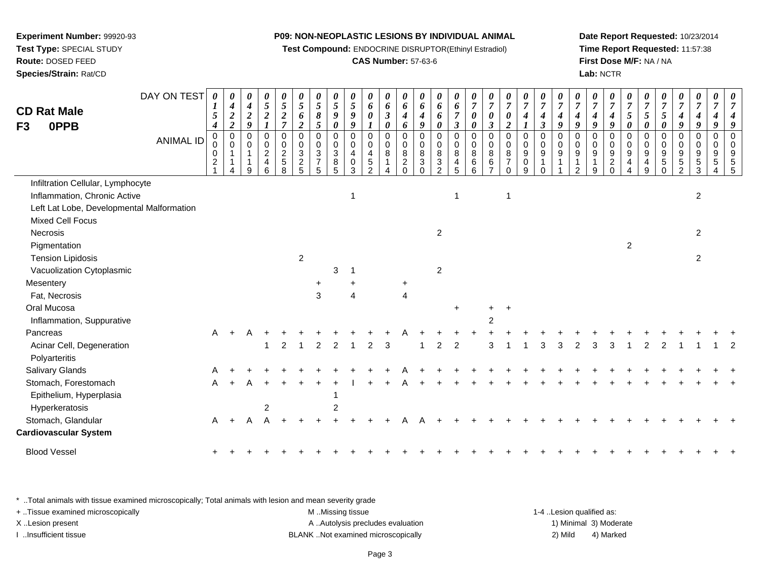**Test Compound:** ENDOCRINE DISRUPTOR(Ethinyl Estradiol)

#### **CAS Number:** 57-63-6

**Date Report Requested:** 10/23/2014**Time Report Requested:** 11:57:38**First Dose M/F:** NA / NA**Lab:** NCTR

| <b>CD Rat Male</b><br><b>OPPB</b><br>F3                                                                                                   | DAY ON TEST      | 0<br>5<br>$\boldsymbol{4}$                                          | $\boldsymbol{\theta}$<br>$\boldsymbol{4}$<br>$\boldsymbol{2}$<br>$\overline{2}$ | $\boldsymbol{\theta}$<br>$\boldsymbol{4}$<br>$\boldsymbol{2}$<br>$\boldsymbol{g}$ | $\frac{\theta}{5}$<br>$\sqrt{2}$<br>$\boldsymbol{l}$                         | $\boldsymbol{\theta}$<br>5<br>$\boldsymbol{2}$<br>$\overline{7}$ | 0<br>$\overline{5}$<br>6<br>$\boldsymbol{2}$                   | $\frac{\theta}{5}$<br>8<br>5                                               | $\frac{\theta}{5}$<br>$\boldsymbol{g}$<br>$\boldsymbol{\theta}$                        | $\frac{\theta}{5}$<br>$\boldsymbol{g}$<br>9                        | $\boldsymbol{\theta}$<br>6<br>$\boldsymbol{\theta}$<br>$\boldsymbol{l}$ | 0<br>6<br>$\boldsymbol{\beta}$<br>0             | 0<br>6<br>$\boldsymbol{4}$<br>6                  | 0<br>6<br>$\boldsymbol{4}$<br>9                                              | 0<br>6<br>6<br>$\boldsymbol{\theta}$                | $\boldsymbol{\theta}$<br>6<br>$\overline{7}$<br>$\boldsymbol{\beta}$ | $\boldsymbol{\theta}$<br>$\overline{7}$<br>$\boldsymbol{\theta}$<br>$\boldsymbol{\theta}$ | $\frac{\boldsymbol{\theta}}{\boldsymbol{7}}$<br>$\boldsymbol{\theta}$<br>$\overline{\mathbf{3}}$ | $\frac{\boldsymbol{\theta}}{\boldsymbol{7}}$<br>$\boldsymbol{\theta}$<br>$\overline{2}$ | $\frac{\theta}{7}$<br>$\boldsymbol{4}$                         | $\boldsymbol{\theta}$<br>$\overline{7}$<br>$\boldsymbol{4}$<br>$\boldsymbol{\beta}$ | $\boldsymbol{\theta}$<br>$\overline{7}$<br>$\boldsymbol{4}$<br>9 | $\frac{\theta}{7}$<br>$\boldsymbol{4}$<br>9         | $\frac{\boldsymbol{0}}{7}$<br>4<br>9                                  | $\frac{\boldsymbol{\theta}}{\boldsymbol{7}}$<br>$\boldsymbol{4}$<br>9 | $\overline{7}$<br>$\mathfrak{s}$<br>0                                    | $\boldsymbol{\theta}$<br>$\overline{7}$<br>$\overline{5}$<br>$\boldsymbol{\theta}$ | $\frac{\boldsymbol{0}}{7}$<br>5<br>$\boldsymbol{\theta}$               | $\boldsymbol{\theta}$<br>$\overline{7}$<br>$\boldsymbol{4}$<br>9 | 0<br>$\overline{7}$<br>$\boldsymbol{4}$<br>9 | 0<br>$\overline{7}$<br>$\boldsymbol{4}$<br>9 | 0<br>$\overline{7}$<br>$\overline{\mathcal{A}}$<br>9 |
|-------------------------------------------------------------------------------------------------------------------------------------------|------------------|---------------------------------------------------------------------|---------------------------------------------------------------------------------|-----------------------------------------------------------------------------------|------------------------------------------------------------------------------|------------------------------------------------------------------|----------------------------------------------------------------|----------------------------------------------------------------------------|----------------------------------------------------------------------------------------|--------------------------------------------------------------------|-------------------------------------------------------------------------|-------------------------------------------------|--------------------------------------------------|------------------------------------------------------------------------------|-----------------------------------------------------|----------------------------------------------------------------------|-------------------------------------------------------------------------------------------|--------------------------------------------------------------------------------------------------|-----------------------------------------------------------------------------------------|----------------------------------------------------------------|-------------------------------------------------------------------------------------|------------------------------------------------------------------|-----------------------------------------------------|-----------------------------------------------------------------------|-----------------------------------------------------------------------|--------------------------------------------------------------------------|------------------------------------------------------------------------------------|------------------------------------------------------------------------|------------------------------------------------------------------|----------------------------------------------|----------------------------------------------|------------------------------------------------------|
|                                                                                                                                           | <b>ANIMAL ID</b> | $\mathbf 0$<br>0<br>$\pmb{0}$<br>$\boldsymbol{2}$<br>$\overline{A}$ | $\mathbf 0$<br>$\mathbf 0$                                                      | $\mathbf 0$<br>$\mathbf 0$<br>$\overline{1}$<br>9                                 | $\mathbf 0$<br>$\pmb{0}$<br>$\boldsymbol{2}$<br>$\overline{\mathbf{4}}$<br>6 | $\Omega$<br>0<br>$\overline{c}$<br>$\mathbf 5$<br>8              | $\mathbf 0$<br>0<br>$\ensuremath{\mathsf{3}}$<br>$\frac{2}{5}$ | $\pmb{0}$<br>$\pmb{0}$<br>$\ensuremath{\mathsf{3}}$<br>$\overline{7}$<br>5 | 0<br>$\mathbf 0$<br>$\ensuremath{\mathsf{3}}$<br>$\begin{array}{c} 8 \\ 5 \end{array}$ | $\Omega$<br>$\pmb{0}$<br>$\overline{\mathbf{4}}$<br>$\pmb{0}$<br>3 | $\Omega$<br>$\mathbf 0$<br>4<br>$\mathbf 5$<br>$\overline{2}$           | $\Omega$<br>0<br>8<br>$\mathbf{1}$<br>$\Lambda$ | $\Omega$<br>0<br>8<br>$\overline{a}$<br>$\Omega$ | $\mathbf 0$<br>$\pmb{0}$<br>$\bf 8$<br>$\ensuremath{\mathsf{3}}$<br>$\Omega$ | $\Omega$<br>$\mathbf 0$<br>$\,8\,$<br>$\frac{3}{2}$ | $\Omega$<br>0<br>8<br>$\overline{\mathbf{r}}$<br>5                   | $\mathbf 0$<br>$\mathbf 0$<br>$\, 8$<br>$\,6$<br>6                                        | 0<br>0<br>8<br>$\,6$<br>$\overline{7}$                                                           | $\mathbf 0$<br>$\mathbf 0$<br>$\bf 8$<br>$\overline{7}$<br>$\Omega$                     | $\mathbf 0$<br>$\pmb{0}$<br>$\boldsymbol{9}$<br>$\pmb{0}$<br>9 | $\Omega$<br>$\mathbf 0$<br>$\boldsymbol{9}$<br>$\Omega$                             | $\Omega$<br>0<br>$\boldsymbol{9}$                                | $\Omega$<br>0<br>$\boldsymbol{9}$<br>$\overline{2}$ | $\Omega$<br>$\boldsymbol{0}$<br>$\boldsymbol{9}$<br>$\mathbf{1}$<br>9 | $\Omega$<br>$\mathbf 0$<br>9<br>$\overline{2}$<br>$\Omega$            | $\Omega$<br>0<br>$\boldsymbol{9}$<br>$\overline{\mathbf{4}}$<br>$\Delta$ | $\mathbf 0$<br>$\pmb{0}$<br>$\boldsymbol{9}$<br>4<br>9                             | $\Omega$<br>$\mathbf 0$<br>$\boldsymbol{9}$<br>$\mathbf 5$<br>$\Omega$ | $\Omega$<br>$\mathbf 0$<br>$9\,$<br>$\sqrt{5}$<br>$\overline{2}$ | $\Omega$<br>0<br>9<br>$\mathbf 5$<br>3       | $\Omega$<br>0<br>9<br>5<br>$\mathbf 4$       | $\Omega$<br>$\mathbf 0$<br>9<br>5<br>5               |
| Infiltration Cellular, Lymphocyte<br>Inflammation, Chronic Active<br>Left Lat Lobe, Developmental Malformation<br><b>Mixed Cell Focus</b> |                  |                                                                     |                                                                                 |                                                                                   |                                                                              |                                                                  |                                                                |                                                                            |                                                                                        | $\overline{1}$                                                     |                                                                         |                                                 |                                                  |                                                                              |                                                     | $\overline{\mathbf{1}}$                                              |                                                                                           |                                                                                                  | 1                                                                                       |                                                                |                                                                                     |                                                                  |                                                     |                                                                       |                                                                       |                                                                          |                                                                                    |                                                                        |                                                                  | $\overline{c}$                               |                                              |                                                      |
| Necrosis<br>Pigmentation                                                                                                                  |                  |                                                                     |                                                                                 |                                                                                   |                                                                              |                                                                  |                                                                |                                                                            |                                                                                        |                                                                    |                                                                         |                                                 |                                                  |                                                                              | $\overline{2}$                                      |                                                                      |                                                                                           |                                                                                                  |                                                                                         |                                                                |                                                                                     |                                                                  |                                                     |                                                                       |                                                                       | $\boldsymbol{2}$                                                         |                                                                                    |                                                                        |                                                                  | $\overline{2}$                               |                                              |                                                      |
| <b>Tension Lipidosis</b><br>Vacuolization Cytoplasmic                                                                                     |                  |                                                                     |                                                                                 |                                                                                   |                                                                              |                                                                  | $\overline{2}$                                                 |                                                                            | 3                                                                                      |                                                                    |                                                                         |                                                 |                                                  |                                                                              | $\overline{2}$                                      |                                                                      |                                                                                           |                                                                                                  |                                                                                         |                                                                |                                                                                     |                                                                  |                                                     |                                                                       |                                                                       |                                                                          |                                                                                    |                                                                        |                                                                  | 2                                            |                                              |                                                      |
| Mesentery                                                                                                                                 |                  |                                                                     |                                                                                 |                                                                                   |                                                                              |                                                                  |                                                                |                                                                            |                                                                                        |                                                                    |                                                                         |                                                 | $\ddot{}$                                        |                                                                              |                                                     |                                                                      |                                                                                           |                                                                                                  |                                                                                         |                                                                |                                                                                     |                                                                  |                                                     |                                                                       |                                                                       |                                                                          |                                                                                    |                                                                        |                                                                  |                                              |                                              |                                                      |
| Fat, Necrosis<br>Oral Mucosa                                                                                                              |                  |                                                                     |                                                                                 |                                                                                   |                                                                              |                                                                  |                                                                | 3                                                                          |                                                                                        | 4                                                                  |                                                                         |                                                 | 4                                                |                                                                              |                                                     | $\ddot{}$                                                            |                                                                                           | $\mathfrak{p}$                                                                                   | $\ddot{}$                                                                               |                                                                |                                                                                     |                                                                  |                                                     |                                                                       |                                                                       |                                                                          |                                                                                    |                                                                        |                                                                  |                                              |                                              |                                                      |
| Inflammation, Suppurative<br>Pancreas                                                                                                     |                  | A                                                                   |                                                                                 |                                                                                   |                                                                              |                                                                  |                                                                |                                                                            |                                                                                        |                                                                    |                                                                         |                                                 |                                                  |                                                                              |                                                     |                                                                      |                                                                                           |                                                                                                  |                                                                                         |                                                                |                                                                                     |                                                                  |                                                     |                                                                       |                                                                       |                                                                          |                                                                                    |                                                                        |                                                                  |                                              |                                              |                                                      |
| Acinar Cell, Degeneration<br>Polyarteritis                                                                                                |                  |                                                                     |                                                                                 |                                                                                   | 1                                                                            | 2                                                                |                                                                | $\overline{2}$                                                             | 2                                                                                      |                                                                    | 2                                                                       | 3                                               |                                                  |                                                                              | 2                                                   | 2                                                                    |                                                                                           | 3                                                                                                |                                                                                         |                                                                | 3                                                                                   |                                                                  | 2                                                   |                                                                       | 3                                                                     |                                                                          |                                                                                    |                                                                        |                                                                  |                                              |                                              |                                                      |
| Salivary Glands                                                                                                                           |                  |                                                                     |                                                                                 |                                                                                   |                                                                              |                                                                  |                                                                |                                                                            |                                                                                        |                                                                    |                                                                         |                                                 |                                                  |                                                                              |                                                     |                                                                      |                                                                                           |                                                                                                  |                                                                                         |                                                                |                                                                                     |                                                                  |                                                     |                                                                       |                                                                       |                                                                          |                                                                                    |                                                                        |                                                                  |                                              |                                              |                                                      |
| Stomach, Forestomach                                                                                                                      |                  | A                                                                   |                                                                                 |                                                                                   |                                                                              |                                                                  |                                                                |                                                                            |                                                                                        |                                                                    |                                                                         |                                                 |                                                  |                                                                              |                                                     |                                                                      |                                                                                           |                                                                                                  |                                                                                         |                                                                |                                                                                     |                                                                  |                                                     |                                                                       |                                                                       |                                                                          |                                                                                    |                                                                        |                                                                  |                                              |                                              |                                                      |
| Epithelium, Hyperplasia<br>Hyperkeratosis                                                                                                 |                  |                                                                     |                                                                                 |                                                                                   | 2                                                                            |                                                                  |                                                                |                                                                            | 2                                                                                      |                                                                    |                                                                         |                                                 |                                                  |                                                                              |                                                     |                                                                      |                                                                                           |                                                                                                  |                                                                                         |                                                                |                                                                                     |                                                                  |                                                     |                                                                       |                                                                       |                                                                          |                                                                                    |                                                                        |                                                                  |                                              |                                              |                                                      |
| Stomach, Glandular                                                                                                                        |                  | Α                                                                   |                                                                                 | A                                                                                 |                                                                              |                                                                  |                                                                |                                                                            |                                                                                        |                                                                    |                                                                         |                                                 |                                                  |                                                                              |                                                     |                                                                      |                                                                                           |                                                                                                  |                                                                                         |                                                                |                                                                                     |                                                                  |                                                     |                                                                       |                                                                       |                                                                          |                                                                                    |                                                                        |                                                                  |                                              |                                              |                                                      |
| <b>Cardiovascular System</b>                                                                                                              |                  |                                                                     |                                                                                 |                                                                                   |                                                                              |                                                                  |                                                                |                                                                            |                                                                                        |                                                                    |                                                                         |                                                 |                                                  |                                                                              |                                                     |                                                                      |                                                                                           |                                                                                                  |                                                                                         |                                                                |                                                                                     |                                                                  |                                                     |                                                                       |                                                                       |                                                                          |                                                                                    |                                                                        |                                                                  |                                              |                                              |                                                      |
| <b>Blood Vessel</b>                                                                                                                       |                  |                                                                     |                                                                                 |                                                                                   |                                                                              |                                                                  |                                                                |                                                                            |                                                                                        |                                                                    |                                                                         |                                                 |                                                  |                                                                              |                                                     |                                                                      |                                                                                           |                                                                                                  |                                                                                         |                                                                |                                                                                     |                                                                  |                                                     |                                                                       |                                                                       |                                                                          |                                                                                    |                                                                        |                                                                  |                                              |                                              |                                                      |

\* ..Total animals with tissue examined microscopically; Total animals with lesion and mean severity grade

**Experiment Number:** 99920-93**Test Type:** SPECIAL STUDY**Route:** DOSED FEED**Species/Strain:** Rat/CD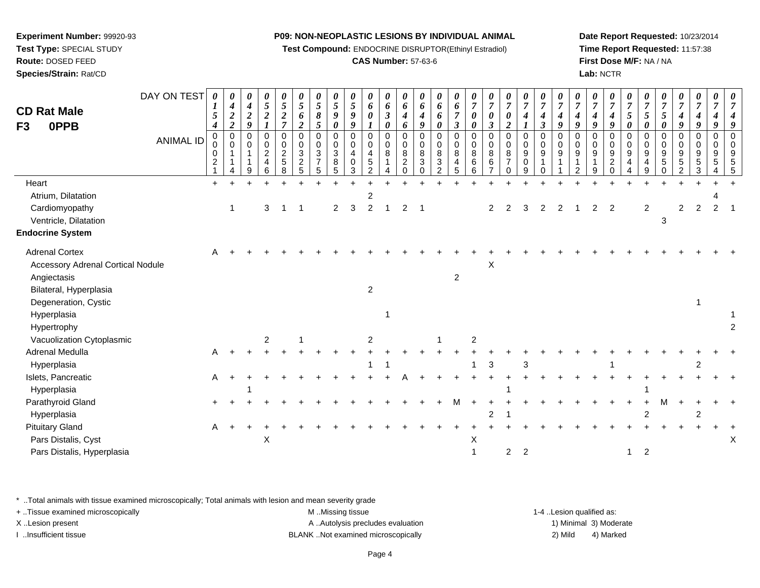**Test Compound:** ENDOCRINE DISRUPTOR(Ethinyl Estradiol)

#### **CAS Number:** 57-63-6

**Date Report Requested:** 10/23/2014**Time Report Requested:** 11:57:38**First Dose M/F:** NA / NA**Lab:** NCTR

| <b>CD Rat Male</b><br>0PPB<br>F3                                                 | DAY ON TEST<br><b>ANIMAL ID</b> | 0<br>1<br>5<br>4<br>0<br>0<br>$\overline{c}$ | 0<br>$\boldsymbol{4}$<br>$\boldsymbol{2}$<br>$\overline{2}$<br>$\mathbf 0$<br>$\mathbf 0$ | 0<br>$\boldsymbol{4}$<br>$\boldsymbol{2}$<br>$\boldsymbol{g}$<br>0<br>$\mathbf 0$<br>1<br>1<br>9 | 0<br>$\mathfrak{s}$<br>$\boldsymbol{2}$<br>$\boldsymbol{l}$<br>$\mathbf 0$<br>$\mathbf 0$<br>$\overline{c}$<br>4<br>6 | 0<br>$\sqrt{5}$<br>$\boldsymbol{2}$<br>$\overline{7}$<br>$\Omega$<br>0<br>$\overline{c}$<br>$\overline{5}$<br>8 | 0<br>$\mathfrak{H}$<br>6<br>$\boldsymbol{2}$<br>0<br>0<br>$\sqrt{3}$<br>$\boldsymbol{2}$<br>5 | 0<br>$\mathfrak{s}$<br>$\pmb{8}$<br>$\sqrt{5}$<br>0<br>0<br>$\sqrt{3}$<br>$\overline{7}$<br>5 | 0<br>$\overline{5}$<br>$\boldsymbol{g}$<br>$\boldsymbol{\theta}$<br>0<br>0<br>$\sqrt{3}$<br>$\bf 8$<br>5 | $\boldsymbol{\theta}$<br>5<br>$\boldsymbol{9}$<br>9<br>$\mathbf 0$<br>$\mathbf 0$<br>$\overline{a}$<br>$\pmb{0}$<br>3 | 0<br>6<br>$\boldsymbol{\theta}$<br>$\Omega$<br>$\Omega$<br>4<br>5<br>$\overline{2}$ | 0<br>6<br>$\boldsymbol{\beta}$<br>$\boldsymbol{\theta}$<br>0<br>$\Omega$<br>8<br>$\mathbf{1}$ | 0<br>6<br>4<br>6<br>$\Omega$<br>$\Omega$<br>$\,8\,$<br>$\sqrt{2}$<br>$\Omega$ | 0<br>$\pmb{6}$<br>$\boldsymbol{4}$<br>9<br>$\mathbf 0$<br>0<br>$\bf8$<br>$\mathbf{3}$<br>$\Omega$ | 0<br>6<br>6<br>0<br>$\mathbf 0$<br>0<br>$\bf8$<br>$\mathbf{3}$<br>2 | $\boldsymbol{\theta}$<br>6<br>$\overline{7}$<br>$\boldsymbol{\beta}$<br>$\Omega$<br>0<br>8<br>4<br>5 | $\boldsymbol{\theta}$<br>$\boldsymbol{7}$<br>0<br>0<br>0<br>0<br>8<br>$\,6\,$<br>6 | $\boldsymbol{\theta}$<br>$\overline{7}$<br>0<br>$\boldsymbol{\beta}$<br>$\mathbf 0$<br>0<br>8<br>$\,6\,$ | 0<br>$\boldsymbol{7}$<br>$\boldsymbol{\theta}$<br>$\boldsymbol{2}$<br>$\mathbf 0$<br>$\mathbf 0$<br>$\bf 8$<br>$\overline{7}$<br>0 | 0<br>$\boldsymbol{7}$<br>$\boldsymbol{4}$<br>$\boldsymbol{l}$<br>$\mathbf 0$<br>$\mathbf 0$<br>$\boldsymbol{9}$<br>$\pmb{0}$<br>9 | $\boldsymbol{\theta}$<br>$\overline{7}$<br>4<br>$\mathbf{3}$<br>$\mathbf 0$<br>$\mathbf 0$<br>9<br>1<br>$\Omega$ | $\boldsymbol{\theta}$<br>$\overline{7}$<br>4<br>9<br>$\mathbf 0$<br>$\Omega$<br>9 | $\overline{7}$<br>4<br>9<br>$\Omega$<br>$\Omega$<br>9 | 0<br>$\overline{7}$<br>4<br>9<br>0<br>0<br>9<br>9 | $\boldsymbol{\theta}$<br>$\overline{7}$<br>$\boldsymbol{4}$<br>9<br>$\Omega$<br>$\mathbf 0$<br>9<br>$\boldsymbol{2}$<br>$\Omega$ | $\boldsymbol{\theta}$<br>$\overline{7}$<br>$\mathfrak{s}$<br>$\boldsymbol{\theta}$<br>$\mathbf 0$<br>$\mathbf 0$<br>9<br>4 | $\boldsymbol{\theta}$<br>$\boldsymbol{7}$<br>$\mathfrak{s}$<br>0<br>$\mathbf 0$<br>$\Omega$<br>9<br>4<br>9 | 0<br>$\overline{7}$<br>5<br>0<br>$\mathbf 0$<br>$\mathbf 0$<br>9<br>5<br>$\Omega$ | 0<br>$\boldsymbol{7}$<br>$\boldsymbol{4}$<br>9<br>0<br>0<br>9<br>5<br>2 | 0<br>$\overline{7}$<br>$\boldsymbol{4}$<br>9<br>$\Omega$<br>$\Omega$<br>9<br>$\overline{5}$<br>3 | $\boldsymbol{\theta}$<br>7<br>9<br>$\Omega$<br>$\Omega$<br>5 |   |
|----------------------------------------------------------------------------------|---------------------------------|----------------------------------------------|-------------------------------------------------------------------------------------------|--------------------------------------------------------------------------------------------------|-----------------------------------------------------------------------------------------------------------------------|-----------------------------------------------------------------------------------------------------------------|-----------------------------------------------------------------------------------------------|-----------------------------------------------------------------------------------------------|----------------------------------------------------------------------------------------------------------|-----------------------------------------------------------------------------------------------------------------------|-------------------------------------------------------------------------------------|-----------------------------------------------------------------------------------------------|-------------------------------------------------------------------------------|---------------------------------------------------------------------------------------------------|---------------------------------------------------------------------|------------------------------------------------------------------------------------------------------|------------------------------------------------------------------------------------|----------------------------------------------------------------------------------------------------------|------------------------------------------------------------------------------------------------------------------------------------|-----------------------------------------------------------------------------------------------------------------------------------|------------------------------------------------------------------------------------------------------------------|-----------------------------------------------------------------------------------|-------------------------------------------------------|---------------------------------------------------|----------------------------------------------------------------------------------------------------------------------------------|----------------------------------------------------------------------------------------------------------------------------|------------------------------------------------------------------------------------------------------------|-----------------------------------------------------------------------------------|-------------------------------------------------------------------------|--------------------------------------------------------------------------------------------------|--------------------------------------------------------------|---|
| Heart                                                                            |                                 | $\ddot{}$                                    |                                                                                           |                                                                                                  |                                                                                                                       |                                                                                                                 |                                                                                               |                                                                                               |                                                                                                          |                                                                                                                       |                                                                                     |                                                                                               |                                                                               |                                                                                                   |                                                                     |                                                                                                      |                                                                                    |                                                                                                          |                                                                                                                                    |                                                                                                                                   |                                                                                                                  |                                                                                   |                                                       |                                                   |                                                                                                                                  |                                                                                                                            |                                                                                                            |                                                                                   |                                                                         |                                                                                                  |                                                              |   |
| Atrium, Dilatation                                                               |                                 |                                              |                                                                                           |                                                                                                  |                                                                                                                       |                                                                                                                 |                                                                                               |                                                                                               |                                                                                                          |                                                                                                                       | 2                                                                                   |                                                                                               |                                                                               |                                                                                                   |                                                                     |                                                                                                      |                                                                                    |                                                                                                          |                                                                                                                                    |                                                                                                                                   |                                                                                                                  |                                                                                   |                                                       |                                                   |                                                                                                                                  |                                                                                                                            |                                                                                                            |                                                                                   |                                                                         |                                                                                                  |                                                              |   |
| Cardiomyopathy                                                                   |                                 |                                              |                                                                                           |                                                                                                  | 3                                                                                                                     |                                                                                                                 | -1                                                                                            |                                                                                               | $\overline{2}$                                                                                           | 3                                                                                                                     | $\overline{c}$                                                                      | $\overline{1}$                                                                                | $\overline{2}$                                                                |                                                                                                   |                                                                     |                                                                                                      |                                                                                    | $\overline{2}$                                                                                           | $\overline{2}$                                                                                                                     | 3                                                                                                                                 | 2                                                                                                                | 2                                                                                 |                                                       | 2                                                 | $\overline{2}$                                                                                                                   |                                                                                                                            | 2                                                                                                          |                                                                                   | 2                                                                       | 2                                                                                                | っ                                                            |   |
| Ventricle, Dilatation                                                            |                                 |                                              |                                                                                           |                                                                                                  |                                                                                                                       |                                                                                                                 |                                                                                               |                                                                                               |                                                                                                          |                                                                                                                       |                                                                                     |                                                                                               |                                                                               |                                                                                                   |                                                                     |                                                                                                      |                                                                                    |                                                                                                          |                                                                                                                                    |                                                                                                                                   |                                                                                                                  |                                                                                   |                                                       |                                                   |                                                                                                                                  |                                                                                                                            |                                                                                                            | 3                                                                                 |                                                                         |                                                                                                  |                                                              |   |
| <b>Endocrine System</b>                                                          |                                 |                                              |                                                                                           |                                                                                                  |                                                                                                                       |                                                                                                                 |                                                                                               |                                                                                               |                                                                                                          |                                                                                                                       |                                                                                     |                                                                                               |                                                                               |                                                                                                   |                                                                     |                                                                                                      |                                                                                    |                                                                                                          |                                                                                                                                    |                                                                                                                                   |                                                                                                                  |                                                                                   |                                                       |                                                   |                                                                                                                                  |                                                                                                                            |                                                                                                            |                                                                                   |                                                                         |                                                                                                  |                                                              |   |
| <b>Adrenal Cortex</b><br><b>Accessory Adrenal Cortical Nodule</b><br>Angiectasis |                                 |                                              |                                                                                           |                                                                                                  |                                                                                                                       |                                                                                                                 |                                                                                               |                                                                                               |                                                                                                          |                                                                                                                       |                                                                                     |                                                                                               |                                                                               |                                                                                                   |                                                                     | $\overline{2}$                                                                                       |                                                                                    | X                                                                                                        |                                                                                                                                    |                                                                                                                                   |                                                                                                                  |                                                                                   |                                                       |                                                   |                                                                                                                                  |                                                                                                                            |                                                                                                            |                                                                                   |                                                                         |                                                                                                  |                                                              |   |
| Bilateral, Hyperplasia                                                           |                                 |                                              |                                                                                           |                                                                                                  |                                                                                                                       |                                                                                                                 |                                                                                               |                                                                                               |                                                                                                          |                                                                                                                       | $\overline{2}$                                                                      |                                                                                               |                                                                               |                                                                                                   |                                                                     |                                                                                                      |                                                                                    |                                                                                                          |                                                                                                                                    |                                                                                                                                   |                                                                                                                  |                                                                                   |                                                       |                                                   |                                                                                                                                  |                                                                                                                            |                                                                                                            |                                                                                   |                                                                         |                                                                                                  |                                                              |   |
| Degeneration, Cystic                                                             |                                 |                                              |                                                                                           |                                                                                                  |                                                                                                                       |                                                                                                                 |                                                                                               |                                                                                               |                                                                                                          |                                                                                                                       |                                                                                     |                                                                                               |                                                                               |                                                                                                   |                                                                     |                                                                                                      |                                                                                    |                                                                                                          |                                                                                                                                    |                                                                                                                                   |                                                                                                                  |                                                                                   |                                                       |                                                   |                                                                                                                                  |                                                                                                                            |                                                                                                            |                                                                                   |                                                                         |                                                                                                  |                                                              |   |
| Hyperplasia                                                                      |                                 |                                              |                                                                                           |                                                                                                  |                                                                                                                       |                                                                                                                 |                                                                                               |                                                                                               |                                                                                                          |                                                                                                                       |                                                                                     |                                                                                               |                                                                               |                                                                                                   |                                                                     |                                                                                                      |                                                                                    |                                                                                                          |                                                                                                                                    |                                                                                                                                   |                                                                                                                  |                                                                                   |                                                       |                                                   |                                                                                                                                  |                                                                                                                            |                                                                                                            |                                                                                   |                                                                         |                                                                                                  |                                                              |   |
| Hypertrophy                                                                      |                                 |                                              |                                                                                           |                                                                                                  |                                                                                                                       |                                                                                                                 |                                                                                               |                                                                                               |                                                                                                          |                                                                                                                       |                                                                                     |                                                                                               |                                                                               |                                                                                                   |                                                                     |                                                                                                      |                                                                                    |                                                                                                          |                                                                                                                                    |                                                                                                                                   |                                                                                                                  |                                                                                   |                                                       |                                                   |                                                                                                                                  |                                                                                                                            |                                                                                                            |                                                                                   |                                                                         |                                                                                                  |                                                              |   |
| Vacuolization Cytoplasmic                                                        |                                 |                                              |                                                                                           |                                                                                                  | $\overline{2}$                                                                                                        |                                                                                                                 |                                                                                               |                                                                                               |                                                                                                          |                                                                                                                       | $\overline{2}$                                                                      |                                                                                               |                                                                               |                                                                                                   |                                                                     |                                                                                                      | 2                                                                                  |                                                                                                          |                                                                                                                                    |                                                                                                                                   |                                                                                                                  |                                                                                   |                                                       |                                                   |                                                                                                                                  |                                                                                                                            |                                                                                                            |                                                                                   |                                                                         |                                                                                                  |                                                              |   |
| Adrenal Medulla                                                                  |                                 | Α                                            |                                                                                           |                                                                                                  |                                                                                                                       |                                                                                                                 |                                                                                               |                                                                                               |                                                                                                          |                                                                                                                       |                                                                                     |                                                                                               |                                                                               |                                                                                                   |                                                                     |                                                                                                      |                                                                                    |                                                                                                          |                                                                                                                                    |                                                                                                                                   |                                                                                                                  |                                                                                   |                                                       |                                                   |                                                                                                                                  |                                                                                                                            |                                                                                                            |                                                                                   |                                                                         |                                                                                                  |                                                              |   |
| Hyperplasia                                                                      |                                 |                                              |                                                                                           |                                                                                                  |                                                                                                                       |                                                                                                                 |                                                                                               |                                                                                               |                                                                                                          |                                                                                                                       |                                                                                     |                                                                                               |                                                                               |                                                                                                   |                                                                     |                                                                                                      |                                                                                    | 3                                                                                                        |                                                                                                                                    |                                                                                                                                   |                                                                                                                  |                                                                                   |                                                       |                                                   |                                                                                                                                  |                                                                                                                            |                                                                                                            |                                                                                   |                                                                         |                                                                                                  |                                                              |   |
| Islets, Pancreatic                                                               |                                 | A                                            |                                                                                           |                                                                                                  |                                                                                                                       |                                                                                                                 |                                                                                               |                                                                                               |                                                                                                          |                                                                                                                       |                                                                                     |                                                                                               |                                                                               |                                                                                                   |                                                                     |                                                                                                      |                                                                                    |                                                                                                          |                                                                                                                                    |                                                                                                                                   |                                                                                                                  |                                                                                   |                                                       |                                                   |                                                                                                                                  |                                                                                                                            |                                                                                                            |                                                                                   |                                                                         |                                                                                                  |                                                              |   |
| Hyperplasia                                                                      |                                 |                                              |                                                                                           |                                                                                                  |                                                                                                                       |                                                                                                                 |                                                                                               |                                                                                               |                                                                                                          |                                                                                                                       |                                                                                     |                                                                                               |                                                                               |                                                                                                   |                                                                     |                                                                                                      |                                                                                    |                                                                                                          |                                                                                                                                    |                                                                                                                                   |                                                                                                                  |                                                                                   |                                                       |                                                   |                                                                                                                                  |                                                                                                                            |                                                                                                            |                                                                                   |                                                                         |                                                                                                  |                                                              |   |
| Parathyroid Gland                                                                |                                 |                                              |                                                                                           |                                                                                                  |                                                                                                                       |                                                                                                                 |                                                                                               |                                                                                               |                                                                                                          |                                                                                                                       |                                                                                     |                                                                                               |                                                                               |                                                                                                   |                                                                     |                                                                                                      |                                                                                    |                                                                                                          |                                                                                                                                    |                                                                                                                                   |                                                                                                                  |                                                                                   |                                                       |                                                   |                                                                                                                                  |                                                                                                                            |                                                                                                            |                                                                                   |                                                                         |                                                                                                  |                                                              |   |
| Hyperplasia                                                                      |                                 |                                              |                                                                                           |                                                                                                  |                                                                                                                       |                                                                                                                 |                                                                                               |                                                                                               |                                                                                                          |                                                                                                                       |                                                                                     |                                                                                               |                                                                               |                                                                                                   |                                                                     |                                                                                                      |                                                                                    |                                                                                                          |                                                                                                                                    |                                                                                                                                   |                                                                                                                  |                                                                                   |                                                       |                                                   |                                                                                                                                  |                                                                                                                            |                                                                                                            |                                                                                   |                                                                         |                                                                                                  |                                                              |   |
| <b>Pituitary Gland</b>                                                           |                                 | A                                            |                                                                                           |                                                                                                  |                                                                                                                       |                                                                                                                 |                                                                                               |                                                                                               |                                                                                                          |                                                                                                                       |                                                                                     |                                                                                               |                                                                               |                                                                                                   |                                                                     |                                                                                                      |                                                                                    |                                                                                                          |                                                                                                                                    |                                                                                                                                   |                                                                                                                  |                                                                                   |                                                       |                                                   |                                                                                                                                  |                                                                                                                            |                                                                                                            |                                                                                   |                                                                         |                                                                                                  |                                                              |   |
| Pars Distalis, Cyst                                                              |                                 |                                              |                                                                                           |                                                                                                  | X                                                                                                                     |                                                                                                                 |                                                                                               |                                                                                               |                                                                                                          |                                                                                                                       |                                                                                     |                                                                                               |                                                                               |                                                                                                   |                                                                     |                                                                                                      | X                                                                                  |                                                                                                          | $\overline{2}$                                                                                                                     | $\overline{2}$                                                                                                                    |                                                                                                                  |                                                                                   |                                                       |                                                   |                                                                                                                                  |                                                                                                                            |                                                                                                            |                                                                                   |                                                                         |                                                                                                  |                                                              | Х |
| Pars Distalis, Hyperplasia                                                       |                                 |                                              |                                                                                           |                                                                                                  |                                                                                                                       |                                                                                                                 |                                                                                               |                                                                                               |                                                                                                          |                                                                                                                       |                                                                                     |                                                                                               |                                                                               |                                                                                                   |                                                                     |                                                                                                      |                                                                                    |                                                                                                          |                                                                                                                                    |                                                                                                                                   |                                                                                                                  |                                                                                   |                                                       |                                                   |                                                                                                                                  | 1                                                                                                                          | $\overline{2}$                                                                                             |                                                                                   |                                                                         |                                                                                                  |                                                              |   |

\* ..Total animals with tissue examined microscopically; Total animals with lesion and mean severity grade

+ ..Tissue examined microscopically examined microscopically examined as:  $M$  ..Missing tissue 1-4 ..Lesion qualified as:

**Experiment Number:** 99920-93**Test Type:** SPECIAL STUDY**Route:** DOSED FEED**Species/Strain:** Rat/CD

X..Lesion present **A ..Autolysis precludes evaluation** A ..Autolysis precludes evaluation 1) Minimal 3) Moderate

I ..Insufficient tissue BLANK ..Not examined microscopically 2) Mild 4) Marked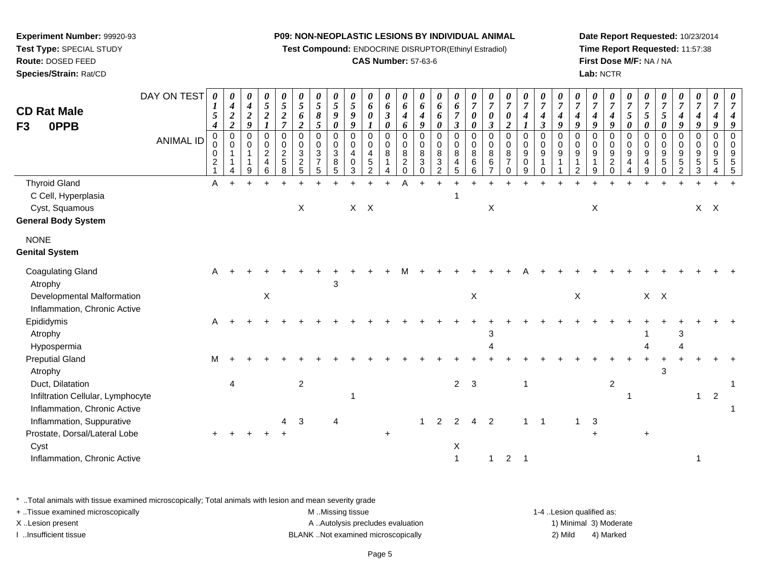**Test Compound:** ENDOCRINE DISRUPTOR(Ethinyl Estradiol)

#### **CAS Number:** 57-63-6

**Date Report Requested:** 10/23/2014**Time Report Requested:** 11:57:38**First Dose M/F:** NA / NA**Lab:** NCTR

| <b>CD Rat Male</b><br>0PPB<br>F3                                                                   | DAY ON TEST      | $\boldsymbol{\theta}$<br>$\boldsymbol{I}$<br>$\sqrt{5}$<br>$\boldsymbol{4}$ | 0<br>$\boldsymbol{4}$<br>$\sqrt{2}$<br>$\boldsymbol{2}$                                 | 0<br>$\boldsymbol{4}$<br>$\boldsymbol{2}$<br>9 | 0<br>$\sqrt{5}$<br>$\boldsymbol{2}$<br>$\boldsymbol{l}$ | $\frac{\theta}{5}$<br>$\boldsymbol{2}$<br>$\overline{7}$              | 0<br>$\mathfrak{s}$<br>6<br>$\boldsymbol{2}$   | $\boldsymbol{\theta}$<br>5<br>8<br>$\mathfrak{s}$            | 0<br>$\mathfrak{H}$<br>9<br>$\boldsymbol{\theta}$              | 0<br>$\sqrt{5}$<br>9<br>9                            | 0<br>6<br>0                                   | 0<br>6<br>$\boldsymbol{\beta}$<br>$\boldsymbol{\theta}$ | $\boldsymbol{\theta}$<br>6<br>$\boldsymbol{4}$<br>6                         | 0<br>6<br>$\boldsymbol{4}$<br>9     | 0<br>6<br>6<br>$\boldsymbol{\theta}$      | 0<br>6<br>$\overline{7}$<br>$\mathfrak{z}$                 | 0<br>$\overline{7}$<br>$\boldsymbol{\theta}$<br>$\boldsymbol{\theta}$ | $\boldsymbol{\theta}$<br>$\overline{7}$<br>$\theta$<br>$\boldsymbol{\beta}$ | $\frac{\boldsymbol{0}}{7}$<br>0<br>$\boldsymbol{2}$ | 0<br>$\boldsymbol{7}$<br>$\boldsymbol{4}$<br>$\boldsymbol{I}$  | $\frac{\boldsymbol{\theta}}{\boldsymbol{7}}$<br>$\boldsymbol{4}$<br>$\boldsymbol{\beta}$ | 0<br>$\overline{7}$<br>$\boldsymbol{4}$<br>9 | 0<br>$\overline{7}$<br>$\boldsymbol{4}$<br>9        | $\frac{\boldsymbol{0}}{7}$<br>$\boldsymbol{4}$<br>9 | 0<br>$\boldsymbol{7}$<br>$\boldsymbol{4}$<br>9                             | 0<br>$\overline{7}$<br>5<br>$\boldsymbol{\theta}$   | $\boldsymbol{\theta}$<br>$\overline{7}$<br>$\sqrt{5}$<br>$\boldsymbol{\theta}$ | $\boldsymbol{\theta}$<br>$\overline{7}$<br>5<br>$\boldsymbol{\theta}$ | $\frac{\boldsymbol{0}}{7}$<br>$\boldsymbol{4}$<br>9 | 0<br>$\boldsymbol{7}$<br>$\boldsymbol{4}$<br>9 | 0<br>$\overline{7}$<br>4<br>9     |  |
|----------------------------------------------------------------------------------------------------|------------------|-----------------------------------------------------------------------------|-----------------------------------------------------------------------------------------|------------------------------------------------|---------------------------------------------------------|-----------------------------------------------------------------------|------------------------------------------------|--------------------------------------------------------------|----------------------------------------------------------------|------------------------------------------------------|-----------------------------------------------|---------------------------------------------------------|-----------------------------------------------------------------------------|-------------------------------------|-------------------------------------------|------------------------------------------------------------|-----------------------------------------------------------------------|-----------------------------------------------------------------------------|-----------------------------------------------------|----------------------------------------------------------------|------------------------------------------------------------------------------------------|----------------------------------------------|-----------------------------------------------------|-----------------------------------------------------|----------------------------------------------------------------------------|-----------------------------------------------------|--------------------------------------------------------------------------------|-----------------------------------------------------------------------|-----------------------------------------------------|------------------------------------------------|-----------------------------------|--|
|                                                                                                    | <b>ANIMAL ID</b> | $\Omega$<br>0<br>0<br>$\overline{c}$                                        | $\Omega$<br>$\overline{0}$<br>$\mathbf{1}$<br>$\overline{1}$<br>$\overline{\mathbf{4}}$ | $\Omega$<br>$\Omega$<br>9                      | $\Omega$<br>0<br>$\overline{c}$<br>$\overline{4}$<br>6  | $\Omega$<br>$\mathbf 0$<br>$\begin{array}{c} 2 \\ 5 \\ 8 \end{array}$ | $\Omega$<br>0<br>$\mathbf{3}$<br>$\frac{2}{5}$ | $\Omega$<br>$\pmb{0}$<br>$\mathbf{3}$<br>$\overline{7}$<br>5 | $\Omega$<br>$\mathbf 0$<br>$\mathbf{3}$<br>8<br>$\overline{5}$ | $\mathbf 0$<br>$\mathbf 0$<br>4<br>0<br>$\mathbf{3}$ | $\Omega$<br>$\mathbf 0$<br>4<br>$\frac{5}{2}$ | $\Omega$<br>$\mathbf 0$<br>8<br>4                       | $\Omega$<br>$\mathbf 0$<br>$\, 8$<br>$\overline{\mathbf{c}}$<br>$\mathbf 0$ | $\Omega$<br>0<br>8<br>3<br>$\Omega$ | $\Omega$<br>0<br>$\bf 8$<br>$\frac{3}{2}$ | $\Omega$<br>$\mathbf 0$<br>$\,8\,$<br>4<br>$5\phantom{.0}$ | $\Omega$<br>0<br>8<br>$\,6$<br>$6\phantom{1}$                         | $\Omega$<br>$\mathbf 0$<br>8<br>6<br>$\overline{7}$                         | $\Omega$<br>0<br>8<br>$\overline{7}$<br>$\mathbf 0$ | $\mathbf 0$<br>$\pmb{0}$<br>$\boldsymbol{9}$<br>$_{9}^{\rm 0}$ | $\Omega$<br>$\mathbf 0$<br>$\boldsymbol{9}$<br>$\mathbf{1}$<br>$\mathbf 0$               | $\Omega$<br>$\mathbf 0$<br>9<br>1            | $\Omega$<br>$\mathbf 0$<br>9<br>1<br>$\overline{2}$ | $\Omega$<br>0<br>9<br>9                             | $\Omega$<br>$\pmb{0}$<br>$\boldsymbol{9}$<br>$\overline{c}$<br>$\mathbf 0$ | $\Omega$<br>$\mathbf 0$<br>9<br>$\overline{4}$<br>4 | $\Omega$<br>0<br>9<br>4<br>9                                                   | $\Omega$<br>$\mathbf 0$<br>9<br>5<br>$\Omega$                         | $\mathbf 0$<br>0<br>9<br>5<br>$\overline{2}$        | $\Omega$<br>$\pmb{0}$<br>9<br>$\mathbf 5$<br>3 | $\Omega$<br>$\mathbf 0$<br>9<br>5 |  |
| <b>Thyroid Gland</b><br>C Cell, Hyperplasia<br>Cyst, Squamous<br><b>General Body System</b>        |                  | A                                                                           | $+$                                                                                     | $\ddot{}$                                      | $+$                                                     | $\ddot{}$                                                             | $\mathsf X$                                    |                                                              |                                                                | $+$                                                  | $+$<br>$X$ $X$                                |                                                         |                                                                             |                                     | $+$                                       |                                                            |                                                                       | $\boldsymbol{\mathsf{X}}$                                                   |                                                     | $\ddot{}$                                                      | $\overline{ }$                                                                           |                                              |                                                     | $\mathsf X$                                         |                                                                            |                                                     |                                                                                |                                                                       |                                                     | $X$ $X$                                        |                                   |  |
| <b>NONE</b><br><b>Genital System</b>                                                               |                  |                                                                             |                                                                                         |                                                |                                                         |                                                                       |                                                |                                                              |                                                                |                                                      |                                               |                                                         |                                                                             |                                     |                                           |                                                            |                                                                       |                                                                             |                                                     |                                                                |                                                                                          |                                              |                                                     |                                                     |                                                                            |                                                     |                                                                                |                                                                       |                                                     |                                                |                                   |  |
| <b>Coagulating Gland</b><br>Atrophy                                                                |                  | A                                                                           |                                                                                         |                                                |                                                         |                                                                       |                                                |                                                              | 3                                                              |                                                      |                                               |                                                         |                                                                             |                                     |                                           |                                                            |                                                                       |                                                                             |                                                     |                                                                |                                                                                          |                                              |                                                     |                                                     |                                                                            |                                                     |                                                                                |                                                                       |                                                     |                                                |                                   |  |
| Developmental Malformation<br>Inflammation, Chronic Active                                         |                  |                                                                             |                                                                                         |                                                | X                                                       |                                                                       |                                                |                                                              |                                                                |                                                      |                                               |                                                         |                                                                             |                                     |                                           |                                                            | X                                                                     |                                                                             |                                                     |                                                                |                                                                                          |                                              | $\mathsf X$                                         |                                                     |                                                                            |                                                     | $X$ $X$                                                                        |                                                                       |                                                     |                                                |                                   |  |
| Epididymis<br>Atrophy<br>Hypospermia                                                               |                  | Α                                                                           |                                                                                         |                                                |                                                         |                                                                       |                                                |                                                              |                                                                |                                                      |                                               |                                                         |                                                                             |                                     |                                           |                                                            |                                                                       | 3                                                                           |                                                     |                                                                |                                                                                          |                                              |                                                     |                                                     |                                                                            |                                                     |                                                                                |                                                                       | 3                                                   |                                                |                                   |  |
| <b>Preputial Gland</b><br>Atrophy                                                                  |                  | М                                                                           |                                                                                         |                                                |                                                         |                                                                       |                                                |                                                              |                                                                |                                                      |                                               |                                                         |                                                                             |                                     |                                           |                                                            |                                                                       |                                                                             |                                                     |                                                                |                                                                                          |                                              |                                                     |                                                     |                                                                            |                                                     |                                                                                | 3                                                                     |                                                     |                                                |                                   |  |
| Duct, Dilatation<br>Infiltration Cellular, Lymphocyte<br>Inflammation, Chronic Active              |                  |                                                                             | $\overline{4}$                                                                          |                                                |                                                         |                                                                       | $\overline{c}$                                 |                                                              |                                                                |                                                      |                                               |                                                         |                                                                             |                                     |                                           | $\overline{2}$                                             | 3                                                                     |                                                                             |                                                     | $\mathbf{1}$                                                   |                                                                                          |                                              |                                                     |                                                     | $\overline{c}$                                                             |                                                     |                                                                                |                                                                       |                                                     | $\mathbf{1}$                                   | $\overline{2}$                    |  |
| Inflammation, Suppurative<br>Prostate, Dorsal/Lateral Lobe<br>Cyst<br>Inflammation, Chronic Active |                  |                                                                             |                                                                                         |                                                |                                                         | 4                                                                     | 3                                              |                                                              |                                                                |                                                      |                                               |                                                         |                                                                             | 1                                   | $\overline{2}$                            | $\overline{2}$<br>X<br>1                                   | 4                                                                     | $\overline{2}$<br>1                                                         | $\overline{2}$                                      | 1<br>$\mathbf 1$                                               | -1                                                                                       |                                              |                                                     | 3                                                   |                                                                            |                                                     | $\ddot{}$                                                                      |                                                                       |                                                     |                                                |                                   |  |
|                                                                                                    |                  |                                                                             |                                                                                         |                                                |                                                         |                                                                       |                                                |                                                              |                                                                |                                                      |                                               |                                                         |                                                                             |                                     |                                           |                                                            |                                                                       |                                                                             |                                                     |                                                                |                                                                                          |                                              |                                                     |                                                     |                                                                            |                                                     |                                                                                |                                                                       |                                                     |                                                |                                   |  |

\* ..Total animals with tissue examined microscopically; Total animals with lesion and mean severity grade

**Experiment Number:** 99920-93**Test Type:** SPECIAL STUDY**Route:** DOSED FEED**Species/Strain:** Rat/CD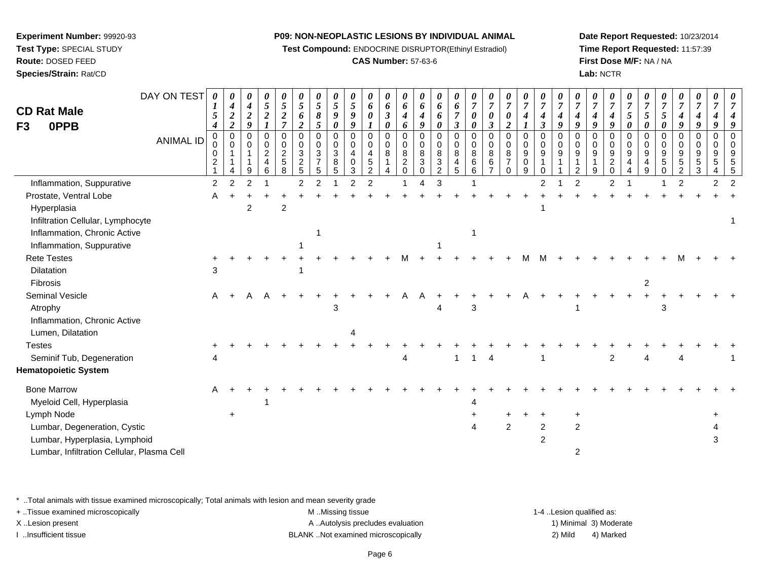**Test Compound:** ENDOCRINE DISRUPTOR(Ethinyl Estradiol)

#### **CAS Number:** 57-63-6

**Date Report Requested:** 10/23/2014**Time Report Requested:** 11:57:39**First Dose M/F:** NA / NA**Lab:** NCTR

| <b>CD Rat Male</b><br>0PPB<br>F3                                                                              | DAY ON TEST<br><b>ANIMAL ID</b> | 0<br>5<br>4<br>0<br>0<br>0<br>$\overline{c}$ | 0<br>$\boldsymbol{4}$<br>$\boldsymbol{2}$<br>$\boldsymbol{2}$<br>$\mathbf 0$<br>$\mathbf 0$<br>Δ | 0<br>$\boldsymbol{4}$<br>$\boldsymbol{2}$<br>$\boldsymbol{g}$<br>0<br>0<br>$\mathbf{1}$<br>9 | 0<br>5<br>$\boldsymbol{2}$<br>$\boldsymbol{l}$<br>$\mathbf 0$<br>0<br>$\overline{c}$<br>4<br>6 | 0<br>$\sqrt{5}$<br>$\boldsymbol{2}$<br>$\overline{7}$<br>$\mathbf 0$<br>0<br>$\overline{c}$<br>5<br>8 | 0<br>$\mathfrak{s}$<br>6<br>$\boldsymbol{2}$<br>0<br>0<br>3<br>$\overline{c}$<br>5 | 0<br>$\mathfrak{H}$<br>8<br>$\mathfrak{s}$<br>$\mathbf 0$<br>0<br>$\sqrt{3}$<br>$\overline{7}$<br>$\overline{5}$ | 0<br>$\mathfrak{s}$<br>9<br>$\boldsymbol{\theta}$<br>0<br>0<br>$\sqrt{3}$<br>8<br>5 | 0<br>$5\overline{)}$<br>9<br>9<br>$\mathbf 0$<br>$\mathbf 0$<br>4<br>0<br>$\mathbf{3}$ | 0<br>6<br>0<br>$\mathbf 0$<br>0<br>4<br>$\sqrt{5}$<br>$\overline{2}$ | 0<br>6<br>$\boldsymbol{\beta}$<br>0<br>0<br>0<br>8<br>4 | 0<br>6<br>$\boldsymbol{4}$<br>6<br>$\mathbf 0$<br>0<br>8<br>$\overline{c}$<br>$\Omega$ | 0<br>6<br>4<br>9<br>0<br>0<br>8<br>$\ensuremath{\mathsf{3}}$<br>$\Omega$ | 0<br>6<br>6<br>0<br>$\Omega$<br>0<br>8<br>3<br>2 | 0<br>6<br>$\overline{7}$<br>$\mathbf{3}$<br>$\mathbf 0$<br>0<br>8<br>4<br>5 | 0<br>$\overline{7}$<br>0<br>0<br>0<br>0<br>8<br>6<br>6 | 0<br>$\overline{7}$<br>$\boldsymbol{\theta}$<br>$\boldsymbol{\beta}$<br>$\mathbf 0$<br>0<br>8<br>6<br>$\overline{z}$ | 0<br>$\overline{7}$<br>$\boldsymbol{\theta}$<br>$\overline{\mathbf{c}}$<br>$\pmb{0}$<br>$\mathbf 0$<br>8<br>$\boldsymbol{7}$<br>$\Omega$ | 0<br>$\boldsymbol{7}$<br>$\boldsymbol{4}$<br>0<br>$\mathbf 0$<br>$\boldsymbol{9}$<br>0<br>9 | 0<br>$\overline{7}$<br>$\boldsymbol{4}$<br>$\mathfrak{z}$<br>$\mathbf 0$<br>0<br>9<br>$\Omega$ | 4<br>9<br>$\Omega$<br>0<br>9 | 0<br>4<br>9<br>$\Omega$<br>0<br>9<br>$\mathcal{P}$ | 0<br>$\overline{7}$<br>$\boldsymbol{4}$<br>9<br>0<br>0<br>9<br>9 | $\boldsymbol{7}$<br>4<br>9<br>$\Omega$<br>0<br>$\boldsymbol{9}$<br>$\overline{c}$<br>$\Omega$ | 0<br>$\overline{7}$<br>5<br>0<br>$\mathbf 0$<br>0<br>9<br>4<br>4 | $\overline{7}$<br>5<br>0<br>0<br>0<br>9<br>4<br>9 | 0<br>$\overline{7}$<br>5<br>$\boldsymbol{\theta}$<br>$\mathbf 0$<br>0<br>9<br>5<br>$\Omega$ | 0<br>$\boldsymbol{7}$<br>$\boldsymbol{4}$<br>9<br>0<br>0<br>$\boldsymbol{9}$<br>$\mathbf 5$<br>$\overline{2}$ | $\boldsymbol{7}$<br>$\boldsymbol{4}$<br>9<br>$\mathbf 0$<br>$\mathbf 0$<br>9<br>5<br>3 | 9<br>0<br>$\mathbf 0$<br>9<br>5 |  |
|---------------------------------------------------------------------------------------------------------------|---------------------------------|----------------------------------------------|--------------------------------------------------------------------------------------------------|----------------------------------------------------------------------------------------------|------------------------------------------------------------------------------------------------|-------------------------------------------------------------------------------------------------------|------------------------------------------------------------------------------------|------------------------------------------------------------------------------------------------------------------|-------------------------------------------------------------------------------------|----------------------------------------------------------------------------------------|----------------------------------------------------------------------|---------------------------------------------------------|----------------------------------------------------------------------------------------|--------------------------------------------------------------------------|--------------------------------------------------|-----------------------------------------------------------------------------|--------------------------------------------------------|----------------------------------------------------------------------------------------------------------------------|------------------------------------------------------------------------------------------------------------------------------------------|---------------------------------------------------------------------------------------------|------------------------------------------------------------------------------------------------|------------------------------|----------------------------------------------------|------------------------------------------------------------------|-----------------------------------------------------------------------------------------------|------------------------------------------------------------------|---------------------------------------------------|---------------------------------------------------------------------------------------------|---------------------------------------------------------------------------------------------------------------|----------------------------------------------------------------------------------------|---------------------------------|--|
| Inflammation, Suppurative                                                                                     |                                 | $\overline{2}$                               | 2                                                                                                | $\overline{2}$                                                                               |                                                                                                |                                                                                                       | $\overline{2}$                                                                     | $\mathfrak{p}$                                                                                                   |                                                                                     | $\mathfrak{p}$                                                                         | $\overline{2}$                                                       |                                                         |                                                                                        | Δ                                                                        | 3                                                |                                                                             |                                                        |                                                                                                                      |                                                                                                                                          |                                                                                             | $\overline{2}$                                                                                 |                              | $\mathfrak{p}$                                     |                                                                  | $\overline{2}$                                                                                |                                                                  |                                                   |                                                                                             | 2                                                                                                             |                                                                                        |                                 |  |
| Prostate, Ventral Lobe                                                                                        |                                 | A                                            |                                                                                                  |                                                                                              |                                                                                                |                                                                                                       |                                                                                    |                                                                                                                  |                                                                                     |                                                                                        |                                                                      |                                                         |                                                                                        |                                                                          |                                                  |                                                                             |                                                        |                                                                                                                      |                                                                                                                                          |                                                                                             |                                                                                                |                              |                                                    |                                                                  |                                                                                               |                                                                  |                                                   |                                                                                             |                                                                                                               |                                                                                        |                                 |  |
| Hyperplasia<br>Infiltration Cellular, Lymphocyte<br>Inflammation, Chronic Active<br>Inflammation, Suppurative |                                 |                                              |                                                                                                  | $\overline{c}$                                                                               |                                                                                                | $\overline{2}$                                                                                        |                                                                                    |                                                                                                                  |                                                                                     |                                                                                        |                                                                      |                                                         |                                                                                        |                                                                          |                                                  |                                                                             |                                                        |                                                                                                                      |                                                                                                                                          |                                                                                             |                                                                                                |                              |                                                    |                                                                  |                                                                                               |                                                                  |                                                   |                                                                                             |                                                                                                               |                                                                                        |                                 |  |
| <b>Rete Testes</b>                                                                                            |                                 |                                              |                                                                                                  |                                                                                              |                                                                                                |                                                                                                       |                                                                                    |                                                                                                                  |                                                                                     |                                                                                        |                                                                      |                                                         |                                                                                        |                                                                          |                                                  |                                                                             |                                                        |                                                                                                                      |                                                                                                                                          |                                                                                             |                                                                                                |                              |                                                    |                                                                  |                                                                                               |                                                                  |                                                   |                                                                                             |                                                                                                               |                                                                                        |                                 |  |
| Dilatation<br>Fibrosis<br>Seminal Vesicle                                                                     |                                 | 3<br>A                                       |                                                                                                  | Α                                                                                            |                                                                                                |                                                                                                       |                                                                                    |                                                                                                                  |                                                                                     |                                                                                        |                                                                      |                                                         |                                                                                        |                                                                          |                                                  |                                                                             |                                                        |                                                                                                                      |                                                                                                                                          |                                                                                             |                                                                                                |                              |                                                    |                                                                  |                                                                                               |                                                                  | 2                                                 |                                                                                             |                                                                                                               |                                                                                        |                                 |  |
| Atrophy<br>Inflammation, Chronic Active<br>Lumen, Dilatation                                                  |                                 |                                              |                                                                                                  |                                                                                              |                                                                                                |                                                                                                       |                                                                                    |                                                                                                                  | 3                                                                                   |                                                                                        |                                                                      |                                                         |                                                                                        |                                                                          |                                                  |                                                                             | 3                                                      |                                                                                                                      |                                                                                                                                          |                                                                                             |                                                                                                |                              |                                                    |                                                                  |                                                                                               |                                                                  |                                                   | 3                                                                                           |                                                                                                               |                                                                                        |                                 |  |
| <b>Testes</b>                                                                                                 |                                 |                                              |                                                                                                  |                                                                                              |                                                                                                |                                                                                                       |                                                                                    |                                                                                                                  |                                                                                     |                                                                                        |                                                                      |                                                         |                                                                                        |                                                                          |                                                  |                                                                             |                                                        |                                                                                                                      |                                                                                                                                          |                                                                                             |                                                                                                |                              |                                                    |                                                                  |                                                                                               |                                                                  |                                                   |                                                                                             |                                                                                                               |                                                                                        |                                 |  |
| Seminif Tub, Degeneration<br><b>Hematopoietic System</b>                                                      |                                 |                                              |                                                                                                  |                                                                                              |                                                                                                |                                                                                                       |                                                                                    |                                                                                                                  |                                                                                     |                                                                                        |                                                                      |                                                         | 4                                                                                      |                                                                          |                                                  |                                                                             |                                                        | 4                                                                                                                    |                                                                                                                                          |                                                                                             |                                                                                                |                              |                                                    |                                                                  | 2                                                                                             |                                                                  |                                                   |                                                                                             |                                                                                                               |                                                                                        |                                 |  |
| <b>Bone Marrow</b><br>Myeloid Cell, Hyperplasia<br>Lymph Node                                                 |                                 | A                                            |                                                                                                  |                                                                                              |                                                                                                |                                                                                                       |                                                                                    |                                                                                                                  |                                                                                     |                                                                                        |                                                                      |                                                         |                                                                                        |                                                                          |                                                  |                                                                             |                                                        |                                                                                                                      |                                                                                                                                          |                                                                                             | $\div$                                                                                         |                              |                                                    |                                                                  |                                                                                               |                                                                  |                                                   |                                                                                             |                                                                                                               |                                                                                        |                                 |  |
| Lumbar, Degeneration, Cystic<br>Lumbar, Hyperplasia, Lymphoid<br>Lumbar, Infiltration Cellular, Plasma Cell   |                                 |                                              |                                                                                                  |                                                                                              |                                                                                                |                                                                                                       |                                                                                    |                                                                                                                  |                                                                                     |                                                                                        |                                                                      |                                                         |                                                                                        |                                                                          |                                                  |                                                                             |                                                        |                                                                                                                      | $\overline{2}$                                                                                                                           |                                                                                             | $\overline{2}$<br>$\overline{2}$                                                               |                              | $\overline{2}$<br>2                                |                                                                  |                                                                                               |                                                                  |                                                   |                                                                                             |                                                                                                               |                                                                                        |                                 |  |
|                                                                                                               |                                 |                                              |                                                                                                  |                                                                                              |                                                                                                |                                                                                                       |                                                                                    |                                                                                                                  |                                                                                     |                                                                                        |                                                                      |                                                         |                                                                                        |                                                                          |                                                  |                                                                             |                                                        |                                                                                                                      |                                                                                                                                          |                                                                                             |                                                                                                |                              |                                                    |                                                                  |                                                                                               |                                                                  |                                                   |                                                                                             |                                                                                                               |                                                                                        |                                 |  |

\* ..Total animals with tissue examined microscopically; Total animals with lesion and mean severity grade

**Experiment Number:** 99920-93**Test Type:** SPECIAL STUDY**Route:** DOSED FEED**Species/Strain:** Rat/CD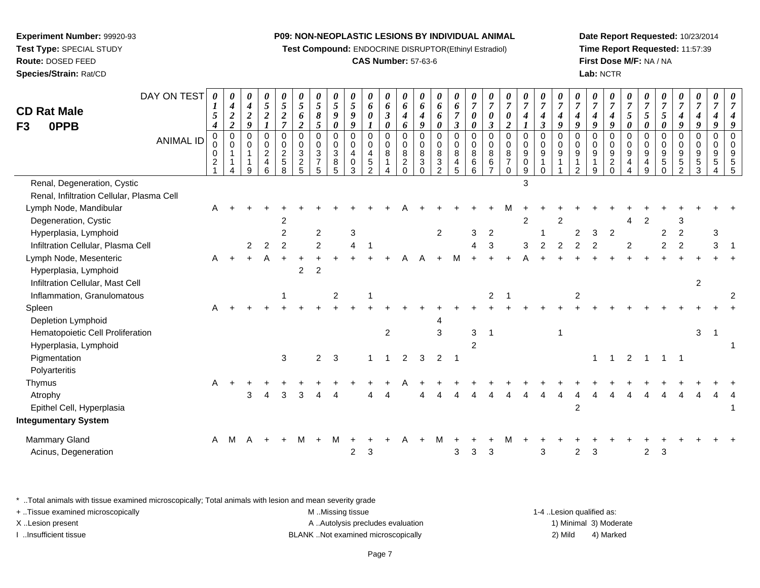**Test Compound:** ENDOCRINE DISRUPTOR(Ethinyl Estradiol)

#### **CAS Number:** 57-63-6

**Date Report Requested:** 10/23/2014**Time Report Requested:** 11:57:39**First Dose M/F:** NA / NA**Lab:** NCTR

| <b>CD Rat Male</b><br>0PPB<br>F3          | DAY ON TEST      | $\boldsymbol{\theta}$<br>$\boldsymbol{l}$<br>$\mathfrak{H}$<br>$\boldsymbol{4}$ | 0<br>$\boldsymbol{4}$<br>$\boldsymbol{2}$<br>$\overline{2}$ | 0<br>$\boldsymbol{4}$<br>$\boldsymbol{2}$<br>9 | 0<br>$\mathfrak{s}$<br>$\boldsymbol{2}$<br>$\mathbf{I}$             | 0<br>$\mathfrak{s}$<br>$\overline{\mathbf{c}}$<br>$\overline{7}$ | $\boldsymbol{\theta}$<br>$\overline{5}$<br>6<br>$\overline{c}$  | 0<br>5<br>8<br>5                             | 0<br>$\mathfrak{s}$<br>9<br>$\boldsymbol{\theta}$                    | $\boldsymbol{\theta}$<br>5<br>9<br>$\boldsymbol{q}$ | 0<br>$\pmb{6}$<br>$\boldsymbol{\theta}$<br>$\boldsymbol{l}$   | 0<br>6<br>$\mathfrak{z}$<br>$\boldsymbol{\theta}$    | 0<br>6<br>$\boldsymbol{4}$<br>6                               | 0<br>6<br>$\boldsymbol{4}$<br>9                         | 0<br>6<br>6<br>0                                      | $\theta$<br>6<br>$\overline{7}$<br>$\mathfrak{z}$  | $\boldsymbol{\theta}$<br>$\overline{7}$<br>$\boldsymbol{\theta}$<br>$\boldsymbol{\theta}$ | 0<br>$\overline{7}$<br>0<br>$\overline{\mathbf{3}}$ | $\boldsymbol{\theta}$<br>$\overline{7}$<br>$\boldsymbol{\theta}$<br>$\overline{2}$ | $\boldsymbol{\theta}$<br>$\overline{7}$<br>$\boldsymbol{4}$ | $\theta$<br>$\boldsymbol{7}$<br>$\boldsymbol{4}$<br>$\boldsymbol{\beta}$ | $\theta$<br>$\overline{7}$<br>$\boldsymbol{4}$<br>9 | 0<br>$\overline{7}$<br>$\boldsymbol{4}$<br>9   | 0<br>$\overline{7}$<br>$\boldsymbol{4}$<br>9      | $\theta$<br>$\overline{7}$<br>4<br>9                          | $\boldsymbol{\theta}$<br>$\overline{7}$<br>$\mathfrak{H}$<br>0        | 0<br>$\overline{7}$<br>5<br>0   | 0<br>$\overline{7}$<br>5<br>0 | 0<br>$\overline{7}$<br>$\boldsymbol{4}$<br>9      | 0<br>$\overline{7}$<br>$\boldsymbol{4}$<br>9    | 0<br>$\overline{7}$<br>4<br>9       | 0<br>$\overline{7}$<br>$\boldsymbol{4}$<br>$\boldsymbol{g}$ |
|-------------------------------------------|------------------|---------------------------------------------------------------------------------|-------------------------------------------------------------|------------------------------------------------|---------------------------------------------------------------------|------------------------------------------------------------------|-----------------------------------------------------------------|----------------------------------------------|----------------------------------------------------------------------|-----------------------------------------------------|---------------------------------------------------------------|------------------------------------------------------|---------------------------------------------------------------|---------------------------------------------------------|-------------------------------------------------------|----------------------------------------------------|-------------------------------------------------------------------------------------------|-----------------------------------------------------|------------------------------------------------------------------------------------|-------------------------------------------------------------|--------------------------------------------------------------------------|-----------------------------------------------------|------------------------------------------------|---------------------------------------------------|---------------------------------------------------------------|-----------------------------------------------------------------------|---------------------------------|-------------------------------|---------------------------------------------------|-------------------------------------------------|-------------------------------------|-------------------------------------------------------------|
|                                           | <b>ANIMAL ID</b> | $\mathbf 0$<br>0<br>$\pmb{0}$<br>$\boldsymbol{2}$                               | $\mathsf 0$<br>0<br>$\mathbf{1}$<br>$\overline{4}$          | $\Omega$<br>$\Omega$<br>9                      | $\mathbf 0$<br>$\mathbf 0$<br>$\overline{c}$<br>$\overline{4}$<br>6 | $\mathbf 0$<br>$\mathbf 0$<br>$\overline{c}$<br>5<br>8           | $\mathbf 0$<br>$\mathbf 0$<br>$\sqrt{3}$<br>$\overline{c}$<br>5 | $\mathbf 0$<br>0<br>3<br>$\overline{7}$<br>5 | $\mathbf 0$<br>0<br>$\ensuremath{\mathsf{3}}$<br>8<br>$\overline{5}$ | $\mathbf 0$<br>0<br>4<br>$\pmb{0}$<br>$\mathbf{3}$  | $\mathbf 0$<br>$\mathbf 0$<br>$\overline{4}$<br>$\frac{5}{2}$ | $\mathbf 0$<br>$\mathbf 0$<br>8<br>$\mathbf{1}$<br>4 | $\Omega$<br>$\mathbf 0$<br>8<br>$\overline{a}$<br>$\mathbf 0$ | $\mathbf 0$<br>0<br>$\bf8$<br>$\sqrt{3}$<br>$\mathbf 0$ | $\mathbf 0$<br>0<br>8<br>$\sqrt{3}$<br>$\overline{2}$ | $\Omega$<br>0<br>8<br>$\overline{\mathbf{4}}$<br>5 | $\Omega$<br>$\mathbf 0$<br>8<br>$\,6\,$<br>$6\phantom{1}6$                                | 0<br>0<br>8<br>$\,6\,$<br>$\overline{7}$            | $\mathbf 0$<br>$\mathbf 0$<br>$\bf 8$<br>$\overline{7}$<br>$\mathbf 0$             | $\Omega$<br>0<br>9<br>0<br>9                                | $\mathbf 0$<br>0<br>9<br>$\overline{1}$<br>$\mathbf 0$                   | $\Omega$<br>0<br>9                                  | $\Omega$<br>$\mathbf 0$<br>9<br>$\overline{2}$ | $\Omega$<br>$\mathbf 0$<br>9<br>$\mathbf{1}$<br>9 | $\Omega$<br>$\mathbf 0$<br>9<br>$\overline{c}$<br>$\mathbf 0$ | $\mathbf 0$<br>$\mathbf 0$<br>$\boldsymbol{9}$<br>4<br>$\overline{4}$ | $\mathbf 0$<br>0<br>9<br>4<br>9 | 0<br>0<br>9<br>5<br>0         | $\Omega$<br>$\mathbf 0$<br>$9\,$<br>$\frac{5}{2}$ | $\Omega$<br>$\mathbf 0$<br>9<br>$\sqrt{5}$<br>3 | $\Omega$<br>$\Omega$<br>9<br>5<br>4 | $\Omega$<br>$\Omega$<br>9<br>5<br>$\overline{5}$            |
| Renal, Degeneration, Cystic               |                  |                                                                                 |                                                             |                                                |                                                                     |                                                                  |                                                                 |                                              |                                                                      |                                                     |                                                               |                                                      |                                                               |                                                         |                                                       |                                                    |                                                                                           |                                                     |                                                                                    | 3                                                           |                                                                          |                                                     |                                                |                                                   |                                                               |                                                                       |                                 |                               |                                                   |                                                 |                                     |                                                             |
| Renal, Infiltration Cellular, Plasma Cell |                  |                                                                                 |                                                             |                                                |                                                                     |                                                                  |                                                                 |                                              |                                                                      |                                                     |                                                               |                                                      |                                                               |                                                         |                                                       |                                                    |                                                                                           |                                                     |                                                                                    |                                                             |                                                                          |                                                     |                                                |                                                   |                                                               |                                                                       |                                 |                               |                                                   |                                                 |                                     |                                                             |
| Lymph Node, Mandibular                    |                  | Α                                                                               |                                                             |                                                |                                                                     |                                                                  |                                                                 |                                              |                                                                      |                                                     |                                                               |                                                      |                                                               |                                                         |                                                       |                                                    |                                                                                           |                                                     |                                                                                    |                                                             |                                                                          |                                                     |                                                |                                                   |                                                               |                                                                       |                                 |                               |                                                   |                                                 |                                     |                                                             |
| Degeneration, Cystic                      |                  |                                                                                 |                                                             |                                                |                                                                     | 2                                                                |                                                                 |                                              |                                                                      |                                                     |                                                               |                                                      |                                                               |                                                         |                                                       |                                                    |                                                                                           |                                                     |                                                                                    | $\overline{2}$                                              |                                                                          | $\overline{2}$                                      |                                                |                                                   |                                                               |                                                                       | $\overline{2}$                  |                               | 3                                                 |                                                 |                                     |                                                             |
| Hyperplasia, Lymphoid                     |                  |                                                                                 |                                                             |                                                |                                                                     | 2                                                                |                                                                 | $\overline{c}$                               |                                                                      | 3                                                   |                                                               |                                                      |                                                               |                                                         | $\overline{2}$                                        |                                                    | 3                                                                                         | $\overline{2}$                                      |                                                                                    |                                                             |                                                                          |                                                     | 2                                              | 3                                                 | $\overline{c}$                                                |                                                                       |                                 | 2                             | $\overline{2}$                                    |                                                 | 3                                   |                                                             |
| Infiltration Cellular, Plasma Cell        |                  |                                                                                 |                                                             | $\overline{2}$                                 | $\overline{2}$                                                      | $\overline{c}$                                                   |                                                                 | $\overline{2}$                               |                                                                      | $\overline{4}$                                      |                                                               |                                                      |                                                               |                                                         |                                                       |                                                    | 4                                                                                         | $\mathfrak{S}$                                      |                                                                                    | 3                                                           | 2                                                                        | $\overline{2}$                                      | $\overline{2}$                                 | $\overline{2}$                                    |                                                               | $\overline{2}$                                                        |                                 | $\overline{c}$                | $\overline{c}$                                    |                                                 | 3                                   |                                                             |
| Lymph Node, Mesenteric                    |                  | $\mathsf{A}$                                                                    | $+$                                                         | $+$                                            | A                                                                   |                                                                  |                                                                 |                                              |                                                                      |                                                     |                                                               |                                                      |                                                               |                                                         |                                                       | м                                                  |                                                                                           | $\ddot{}$                                           |                                                                                    | A                                                           |                                                                          |                                                     |                                                |                                                   |                                                               |                                                                       |                                 |                               |                                                   |                                                 |                                     |                                                             |
| Hyperplasia, Lymphoid                     |                  |                                                                                 |                                                             |                                                |                                                                     |                                                                  | $\overline{2}$                                                  | $\overline{2}$                               |                                                                      |                                                     |                                                               |                                                      |                                                               |                                                         |                                                       |                                                    |                                                                                           |                                                     |                                                                                    |                                                             |                                                                          |                                                     |                                                |                                                   |                                                               |                                                                       |                                 |                               |                                                   |                                                 |                                     |                                                             |
| Infiltration Cellular, Mast Cell          |                  |                                                                                 |                                                             |                                                |                                                                     |                                                                  |                                                                 |                                              |                                                                      |                                                     |                                                               |                                                      |                                                               |                                                         |                                                       |                                                    |                                                                                           |                                                     |                                                                                    |                                                             |                                                                          |                                                     |                                                |                                                   |                                                               |                                                                       |                                 |                               |                                                   | $\overline{2}$                                  |                                     |                                                             |
| Inflammation, Granulomatous               |                  |                                                                                 |                                                             |                                                |                                                                     | 1                                                                |                                                                 |                                              | $\overline{2}$                                                       |                                                     |                                                               |                                                      |                                                               |                                                         |                                                       |                                                    |                                                                                           | $\overline{c}$                                      |                                                                                    |                                                             |                                                                          |                                                     | $\overline{2}$                                 |                                                   |                                                               |                                                                       |                                 |                               |                                                   |                                                 |                                     | $\overline{2}$                                              |
| Spleen                                    |                  | A                                                                               |                                                             |                                                |                                                                     |                                                                  |                                                                 |                                              |                                                                      |                                                     |                                                               |                                                      |                                                               |                                                         |                                                       |                                                    |                                                                                           |                                                     |                                                                                    |                                                             |                                                                          |                                                     |                                                |                                                   |                                                               |                                                                       |                                 |                               |                                                   |                                                 |                                     |                                                             |
| Depletion Lymphoid                        |                  |                                                                                 |                                                             |                                                |                                                                     |                                                                  |                                                                 |                                              |                                                                      |                                                     |                                                               |                                                      |                                                               |                                                         | 4                                                     |                                                    |                                                                                           |                                                     |                                                                                    |                                                             |                                                                          |                                                     |                                                |                                                   |                                                               |                                                                       |                                 |                               |                                                   |                                                 |                                     |                                                             |
| Hematopoietic Cell Proliferation          |                  |                                                                                 |                                                             |                                                |                                                                     |                                                                  |                                                                 |                                              |                                                                      |                                                     |                                                               | $\overline{c}$                                       |                                                               |                                                         | 3                                                     |                                                    | 3                                                                                         | $\overline{1}$                                      |                                                                                    |                                                             |                                                                          |                                                     |                                                |                                                   |                                                               |                                                                       |                                 |                               |                                                   | 3                                               |                                     |                                                             |
| Hyperplasia, Lymphoid                     |                  |                                                                                 |                                                             |                                                |                                                                     |                                                                  |                                                                 |                                              |                                                                      |                                                     |                                                               |                                                      |                                                               |                                                         |                                                       |                                                    | $\overline{2}$                                                                            |                                                     |                                                                                    |                                                             |                                                                          |                                                     |                                                |                                                   |                                                               |                                                                       |                                 |                               |                                                   |                                                 |                                     |                                                             |
| Pigmentation                              |                  |                                                                                 |                                                             |                                                |                                                                     | 3                                                                |                                                                 | $\overline{2}$                               | 3                                                                    |                                                     |                                                               |                                                      | 2                                                             | 3                                                       | $\overline{c}$                                        |                                                    |                                                                                           |                                                     |                                                                                    |                                                             |                                                                          |                                                     |                                                |                                                   |                                                               | 2                                                                     | $\overline{1}$                  | $\overline{1}$                | -1                                                |                                                 |                                     |                                                             |
| Polyarteritis                             |                  |                                                                                 |                                                             |                                                |                                                                     |                                                                  |                                                                 |                                              |                                                                      |                                                     |                                                               |                                                      |                                                               |                                                         |                                                       |                                                    |                                                                                           |                                                     |                                                                                    |                                                             |                                                                          |                                                     |                                                |                                                   |                                                               |                                                                       |                                 |                               |                                                   |                                                 |                                     |                                                             |
| Thymus                                    |                  | A                                                                               |                                                             |                                                |                                                                     |                                                                  |                                                                 |                                              |                                                                      |                                                     |                                                               |                                                      |                                                               |                                                         |                                                       |                                                    |                                                                                           |                                                     |                                                                                    |                                                             |                                                                          |                                                     |                                                |                                                   |                                                               |                                                                       |                                 |                               |                                                   |                                                 |                                     |                                                             |
| Atrophy                                   |                  |                                                                                 |                                                             | 3                                              | Δ                                                                   | 3                                                                |                                                                 |                                              |                                                                      |                                                     |                                                               |                                                      |                                                               |                                                         |                                                       |                                                    |                                                                                           |                                                     |                                                                                    |                                                             |                                                                          |                                                     |                                                |                                                   |                                                               |                                                                       |                                 |                               |                                                   |                                                 |                                     |                                                             |
| Epithel Cell, Hyperplasia                 |                  |                                                                                 |                                                             |                                                |                                                                     |                                                                  |                                                                 |                                              |                                                                      |                                                     |                                                               |                                                      |                                                               |                                                         |                                                       |                                                    |                                                                                           |                                                     |                                                                                    |                                                             |                                                                          |                                                     | $\overline{2}$                                 |                                                   |                                                               |                                                                       |                                 |                               |                                                   |                                                 |                                     |                                                             |
| <b>Integumentary System</b>               |                  |                                                                                 |                                                             |                                                |                                                                     |                                                                  |                                                                 |                                              |                                                                      |                                                     |                                                               |                                                      |                                                               |                                                         |                                                       |                                                    |                                                                                           |                                                     |                                                                                    |                                                             |                                                                          |                                                     |                                                |                                                   |                                                               |                                                                       |                                 |                               |                                                   |                                                 |                                     |                                                             |
| Mammary Gland                             |                  | Α                                                                               | м                                                           |                                                |                                                                     |                                                                  |                                                                 |                                              | м                                                                    |                                                     |                                                               |                                                      |                                                               |                                                         |                                                       |                                                    |                                                                                           |                                                     |                                                                                    |                                                             |                                                                          |                                                     |                                                |                                                   |                                                               |                                                                       |                                 |                               |                                                   |                                                 |                                     |                                                             |
| Acinus, Degeneration                      |                  |                                                                                 |                                                             |                                                |                                                                     |                                                                  |                                                                 |                                              |                                                                      | $\overline{a}$                                      | 3                                                             |                                                      |                                                               |                                                         |                                                       | 3                                                  | 3                                                                                         | 3                                                   |                                                                                    |                                                             | 3                                                                        |                                                     | 2                                              | 3                                                 |                                                               |                                                                       | $\overline{c}$                  | 3                             |                                                   |                                                 |                                     |                                                             |

\* ..Total animals with tissue examined microscopically; Total animals with lesion and mean severity grade

| + Tissue examined microscopically | M Missing tissue                   | 1-4 Lesion qualified as: |                        |
|-----------------------------------|------------------------------------|--------------------------|------------------------|
| X Lesion present                  | A Autolysis precludes evaluation   |                          | 1) Minimal 3) Moderate |
| Insufficient tissue               | BLANK Not examined microscopically | 2) Mild                  | 4) Marked              |

## **Experiment Number:** 99920-93**Test Type:** SPECIAL STUDY**Route:** DOSED FEED

**Species/Strain:** Rat/CD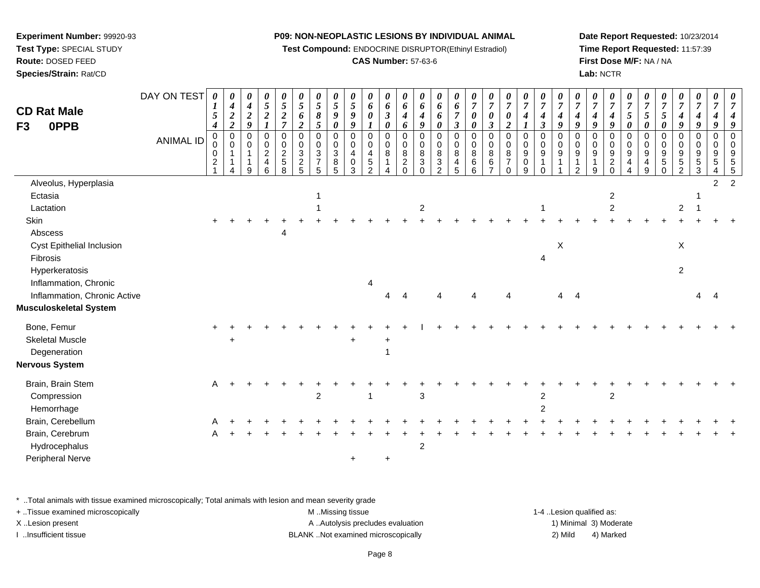**Test Compound:** ENDOCRINE DISRUPTOR(Ethinyl Estradiol)

#### **CAS Number:** 57-63-6

**Date Report Requested:** 10/23/2014**Time Report Requested:** 11:57:39**First Dose M/F:** NA / NA**Lab:** NCTR

| <b>CD Rat Male</b><br>0PPB<br>F3 | DAY ON TEST      | 0<br>5<br>4                                     | $\boldsymbol{\theta}$<br>$\boldsymbol{4}$<br>$\boldsymbol{2}$<br>$\overline{2}$ | $\pmb{\theta}$<br>$\boldsymbol{4}$<br>$\frac{2}{9}$ | $\boldsymbol{\theta}$<br>$\mathfrak{s}$<br>$\boldsymbol{2}$<br>$\boldsymbol{l}$ | 0<br>5<br>$\frac{2}{7}$                | 0<br>$\sqrt{5}$<br>6<br>$\boldsymbol{2}$                      | $\pmb{\theta}$<br>$\sqrt{5}$<br>$\pmb{8}$<br>5                  | $\pmb{\theta}$<br>$\sqrt{5}$<br>$\boldsymbol{g}$<br>$\pmb{\theta}$                | $\boldsymbol{\theta}$<br>$\overline{5}$<br>$\boldsymbol{g}$<br>$\boldsymbol{g}$ | 0<br>6<br>$\boldsymbol{\theta}$                                | 0<br>6<br>$\boldsymbol{\beta}$<br>0 | 0<br>6<br>$\boldsymbol{4}$<br>6                       | $\boldsymbol{\theta}$<br>6<br>$\boldsymbol{4}$<br>9            | 0<br>6<br>6<br>$\boldsymbol{\theta}$                            | 0<br>6<br>$\overline{7}$<br>$\boldsymbol{\beta}$ | 0<br>$\boldsymbol{7}$<br>$\boldsymbol{\theta}$<br>0 | 0<br>$\overline{7}$<br>$\boldsymbol{\theta}$<br>$\boldsymbol{\beta}$ | $\boldsymbol{\theta}$<br>$\boldsymbol{7}$<br>$\boldsymbol{\theta}$<br>$\overline{2}$ | $\pmb{\theta}$<br>$\overline{7}$<br>$\boldsymbol{4}$<br>1 | 0<br>$\overline{7}$<br>4<br>$\boldsymbol{\beta}$ | 0<br>$\overline{7}$<br>$\boldsymbol{4}$<br>9 | 0<br>$\overline{7}$<br>4<br>9          | 0<br>$\overline{7}$<br>4<br>9        | $\pmb{\theta}$<br>$\overline{7}$<br>$\boldsymbol{4}$<br>9                    | 0<br>$\overline{7}$<br>$\mathfrak{S}$<br>$\boldsymbol{\theta}$ | 0<br>$\boldsymbol{7}$<br>5<br>$\boldsymbol{\theta}$      | 0<br>$\overline{7}$<br>5<br>$\boldsymbol{\theta}$ | 0<br>$\boldsymbol{7}$<br>$\boldsymbol{4}$<br>9                  | 0<br>$\overline{7}$<br>$\boldsymbol{4}$<br>9                    | 0<br>$\overline{7}$<br>4<br>9          |                      |
|----------------------------------|------------------|-------------------------------------------------|---------------------------------------------------------------------------------|-----------------------------------------------------|---------------------------------------------------------------------------------|----------------------------------------|---------------------------------------------------------------|-----------------------------------------------------------------|-----------------------------------------------------------------------------------|---------------------------------------------------------------------------------|----------------------------------------------------------------|-------------------------------------|-------------------------------------------------------|----------------------------------------------------------------|-----------------------------------------------------------------|--------------------------------------------------|-----------------------------------------------------|----------------------------------------------------------------------|--------------------------------------------------------------------------------------|-----------------------------------------------------------|--------------------------------------------------|----------------------------------------------|----------------------------------------|--------------------------------------|------------------------------------------------------------------------------|----------------------------------------------------------------|----------------------------------------------------------|---------------------------------------------------|-----------------------------------------------------------------|-----------------------------------------------------------------|----------------------------------------|----------------------|
|                                  | <b>ANIMAL ID</b> | $\mathbf 0$<br>0<br>$\pmb{0}$<br>$\overline{c}$ | $\pmb{0}$<br>$\mathbf 0$<br>$\mathbf{1}$                                        | 0<br>0<br>$\mathbf{1}$<br>9                         | $\overline{0}$<br>$\mathbf 0$<br>$\sqrt{2}$<br>4<br>6                           | $\mathbf 0$<br>0<br>$\frac{2}{5}$<br>8 | $\pmb{0}$<br>$\pmb{0}$<br>$\sqrt{3}$<br>$\boldsymbol{2}$<br>5 | $\mathsf 0$<br>$\mathbf 0$<br>$\sqrt{3}$<br>$\overline{7}$<br>5 | $\pmb{0}$<br>$\mathsf 0$<br>$\mathbf{3}$<br>$\begin{array}{c} 8 \\ 5 \end{array}$ | $\overline{0}$<br>$\pmb{0}$<br>$\overline{a}$<br>$\pmb{0}$<br>3                 | $\mathbf 0$<br>$\mathbf 0$<br>4<br>$\sqrt{5}$<br>$\mathcal{P}$ | $\mathbf 0$<br>0<br>8               | $\mathbf 0$<br>0<br>$\,8\,$<br>$\sqrt{2}$<br>$\Omega$ | $\mathbf 0$<br>$\mathbf 0$<br>$\bf8$<br>$\sqrt{3}$<br>$\Omega$ | $\mathbf 0$<br>$\mathbf 0$<br>8<br>$\sqrt{3}$<br>$\overline{2}$ | $\mathbf 0$<br>0<br>8<br>4<br>5                  | $\mathbf 0$<br>0<br>$\,8\,$<br>6<br>6               | $\pmb{0}$<br>$\pmb{0}$<br>$\bf 8$<br>$\,6$                           | $\mathbf 0$<br>$\mathbf 0$<br>$\bf8$<br>$\overline{7}$<br>$\Omega$                   | $\mathbf 0$<br>$\mathsf 0$<br>$\boldsymbol{9}$<br>0<br>9  | $\mathbf 0$<br>0<br>9<br>$\Omega$                | $\mathbf 0$<br>0<br>$\boldsymbol{9}$         | $\mathbf 0$<br>0<br>9<br>$\mathcal{D}$ | $\mathbf 0$<br>$\mathbf 0$<br>9<br>9 | $\mathbf 0$<br>$\mathbf 0$<br>$\boldsymbol{9}$<br>$\overline{c}$<br>$\Omega$ | $\mathbf 0$<br>$\mathbf 0$<br>9<br>4                           | $\mathbf 0$<br>$\mathbf 0$<br>$\boldsymbol{9}$<br>4<br>9 | $\mathsf 0$<br>$\mathbf 0$<br>9<br>5<br>$\Omega$  | $\mathbf 0$<br>$\mathbf 0$<br>9<br>$\sqrt{5}$<br>$\overline{2}$ | $\mathbf 0$<br>$\mathbf 0$<br>$\boldsymbol{9}$<br>$\frac{5}{3}$ | $\mathbf 0$<br>0<br>9<br>5<br>$\Delta$ | $\Omega$<br>$\Omega$ |
| Alveolus, Hyperplasia<br>Ectasia |                  |                                                 |                                                                                 |                                                     |                                                                                 |                                        |                                                               |                                                                 |                                                                                   |                                                                                 |                                                                |                                     |                                                       |                                                                |                                                                 |                                                  |                                                     |                                                                      |                                                                                      |                                                           |                                                  |                                              |                                        |                                      | $\overline{2}$                                                               |                                                                |                                                          |                                                   |                                                                 |                                                                 | $\overline{2}$                         |                      |
| Lactation                        |                  |                                                 |                                                                                 |                                                     |                                                                                 |                                        |                                                               |                                                                 |                                                                                   |                                                                                 |                                                                |                                     |                                                       | 2                                                              |                                                                 |                                                  |                                                     |                                                                      |                                                                                      |                                                           |                                                  |                                              |                                        |                                      | $\overline{c}$                                                               |                                                                |                                                          |                                                   | $\overline{c}$                                                  |                                                                 |                                        |                      |
| Skin                             |                  |                                                 |                                                                                 |                                                     |                                                                                 |                                        |                                                               |                                                                 |                                                                                   |                                                                                 |                                                                |                                     |                                                       |                                                                |                                                                 |                                                  |                                                     |                                                                      |                                                                                      |                                                           |                                                  |                                              |                                        |                                      |                                                                              |                                                                |                                                          |                                                   |                                                                 |                                                                 |                                        |                      |
| Abscess                          |                  |                                                 |                                                                                 |                                                     |                                                                                 | Δ                                      |                                                               |                                                                 |                                                                                   |                                                                                 |                                                                |                                     |                                                       |                                                                |                                                                 |                                                  |                                                     |                                                                      |                                                                                      |                                                           |                                                  |                                              |                                        |                                      |                                                                              |                                                                |                                                          |                                                   |                                                                 |                                                                 |                                        |                      |
| Cyst Epithelial Inclusion        |                  |                                                 |                                                                                 |                                                     |                                                                                 |                                        |                                                               |                                                                 |                                                                                   |                                                                                 |                                                                |                                     |                                                       |                                                                |                                                                 |                                                  |                                                     |                                                                      |                                                                                      |                                                           |                                                  | $\boldsymbol{\mathsf{X}}$                    |                                        |                                      |                                                                              |                                                                |                                                          |                                                   | X                                                               |                                                                 |                                        |                      |
| Fibrosis                         |                  |                                                 |                                                                                 |                                                     |                                                                                 |                                        |                                                               |                                                                 |                                                                                   |                                                                                 |                                                                |                                     |                                                       |                                                                |                                                                 |                                                  |                                                     |                                                                      |                                                                                      |                                                           | 4                                                |                                              |                                        |                                      |                                                                              |                                                                |                                                          |                                                   |                                                                 |                                                                 |                                        |                      |
| Hyperkeratosis                   |                  |                                                 |                                                                                 |                                                     |                                                                                 |                                        |                                                               |                                                                 |                                                                                   |                                                                                 |                                                                |                                     |                                                       |                                                                |                                                                 |                                                  |                                                     |                                                                      |                                                                                      |                                                           |                                                  |                                              |                                        |                                      |                                                                              |                                                                |                                                          |                                                   | $\overline{a}$                                                  |                                                                 |                                        |                      |
| Inflammation, Chronic            |                  |                                                 |                                                                                 |                                                     |                                                                                 |                                        |                                                               |                                                                 |                                                                                   |                                                                                 | $\overline{4}$                                                 |                                     |                                                       |                                                                |                                                                 |                                                  |                                                     |                                                                      |                                                                                      |                                                           |                                                  |                                              |                                        |                                      |                                                                              |                                                                |                                                          |                                                   |                                                                 |                                                                 |                                        |                      |
| Inflammation, Chronic Active     |                  |                                                 |                                                                                 |                                                     |                                                                                 |                                        |                                                               |                                                                 |                                                                                   |                                                                                 |                                                                |                                     |                                                       |                                                                | 4                                                               |                                                  |                                                     |                                                                      | Δ                                                                                    |                                                           |                                                  | 4                                            | $\overline{4}$                         |                                      |                                                                              |                                                                |                                                          |                                                   |                                                                 |                                                                 |                                        |                      |
| Musculoskeletal System           |                  |                                                 |                                                                                 |                                                     |                                                                                 |                                        |                                                               |                                                                 |                                                                                   |                                                                                 |                                                                |                                     |                                                       |                                                                |                                                                 |                                                  |                                                     |                                                                      |                                                                                      |                                                           |                                                  |                                              |                                        |                                      |                                                                              |                                                                |                                                          |                                                   |                                                                 |                                                                 |                                        |                      |
| Bone, Femur                      |                  |                                                 |                                                                                 |                                                     |                                                                                 |                                        |                                                               |                                                                 |                                                                                   |                                                                                 |                                                                |                                     |                                                       |                                                                |                                                                 |                                                  |                                                     |                                                                      |                                                                                      |                                                           |                                                  |                                              |                                        |                                      |                                                                              |                                                                |                                                          |                                                   |                                                                 |                                                                 |                                        |                      |
| <b>Skeletal Muscle</b>           |                  |                                                 |                                                                                 |                                                     |                                                                                 |                                        |                                                               |                                                                 |                                                                                   |                                                                                 |                                                                |                                     |                                                       |                                                                |                                                                 |                                                  |                                                     |                                                                      |                                                                                      |                                                           |                                                  |                                              |                                        |                                      |                                                                              |                                                                |                                                          |                                                   |                                                                 |                                                                 |                                        |                      |
| Degeneration                     |                  |                                                 |                                                                                 |                                                     |                                                                                 |                                        |                                                               |                                                                 |                                                                                   |                                                                                 |                                                                |                                     |                                                       |                                                                |                                                                 |                                                  |                                                     |                                                                      |                                                                                      |                                                           |                                                  |                                              |                                        |                                      |                                                                              |                                                                |                                                          |                                                   |                                                                 |                                                                 |                                        |                      |
| Nervous System                   |                  |                                                 |                                                                                 |                                                     |                                                                                 |                                        |                                                               |                                                                 |                                                                                   |                                                                                 |                                                                |                                     |                                                       |                                                                |                                                                 |                                                  |                                                     |                                                                      |                                                                                      |                                                           |                                                  |                                              |                                        |                                      |                                                                              |                                                                |                                                          |                                                   |                                                                 |                                                                 |                                        |                      |
| Brain, Brain Stem                |                  | Α                                               |                                                                                 |                                                     |                                                                                 |                                        |                                                               |                                                                 |                                                                                   |                                                                                 |                                                                |                                     |                                                       |                                                                |                                                                 |                                                  |                                                     |                                                                      |                                                                                      |                                                           |                                                  |                                              |                                        |                                      |                                                                              |                                                                |                                                          |                                                   |                                                                 |                                                                 |                                        |                      |
| Compression                      |                  |                                                 |                                                                                 |                                                     |                                                                                 |                                        |                                                               | $\overline{2}$                                                  |                                                                                   |                                                                                 | 1                                                              |                                     |                                                       | 3                                                              |                                                                 |                                                  |                                                     |                                                                      |                                                                                      |                                                           | 2                                                |                                              |                                        |                                      | $\overline{c}$                                                               |                                                                |                                                          |                                                   |                                                                 |                                                                 |                                        |                      |
| Hemorrhage                       |                  |                                                 |                                                                                 |                                                     |                                                                                 |                                        |                                                               |                                                                 |                                                                                   |                                                                                 |                                                                |                                     |                                                       |                                                                |                                                                 |                                                  |                                                     |                                                                      |                                                                                      |                                                           |                                                  |                                              |                                        |                                      |                                                                              |                                                                |                                                          |                                                   |                                                                 |                                                                 |                                        |                      |
| Brain, Cerebellum                |                  |                                                 |                                                                                 |                                                     |                                                                                 |                                        |                                                               |                                                                 |                                                                                   |                                                                                 |                                                                |                                     |                                                       |                                                                |                                                                 |                                                  |                                                     |                                                                      |                                                                                      |                                                           |                                                  |                                              |                                        |                                      |                                                                              |                                                                |                                                          |                                                   |                                                                 |                                                                 |                                        |                      |
| Brain, Cerebrum                  |                  | A                                               |                                                                                 |                                                     |                                                                                 |                                        |                                                               |                                                                 |                                                                                   |                                                                                 |                                                                |                                     |                                                       |                                                                |                                                                 |                                                  |                                                     |                                                                      |                                                                                      |                                                           |                                                  |                                              |                                        |                                      |                                                                              |                                                                |                                                          |                                                   |                                                                 |                                                                 |                                        |                      |
| Hydrocephalus                    |                  |                                                 |                                                                                 |                                                     |                                                                                 |                                        |                                                               |                                                                 |                                                                                   |                                                                                 |                                                                |                                     |                                                       | $\overline{2}$                                                 |                                                                 |                                                  |                                                     |                                                                      |                                                                                      |                                                           |                                                  |                                              |                                        |                                      |                                                                              |                                                                |                                                          |                                                   |                                                                 |                                                                 |                                        |                      |
| Peripheral Nerve                 |                  |                                                 |                                                                                 |                                                     |                                                                                 |                                        |                                                               |                                                                 |                                                                                   | $\ddot{}$                                                                       |                                                                | $\ddot{}$                           |                                                       |                                                                |                                                                 |                                                  |                                                     |                                                                      |                                                                                      |                                                           |                                                  |                                              |                                        |                                      |                                                                              |                                                                |                                                          |                                                   |                                                                 |                                                                 |                                        |                      |

\* ..Total animals with tissue examined microscopically; Total animals with lesion and mean severity grade

**Experiment Number:** 99920-93**Test Type:** SPECIAL STUDY**Route:** DOSED FEED**Species/Strain:** Rat/CD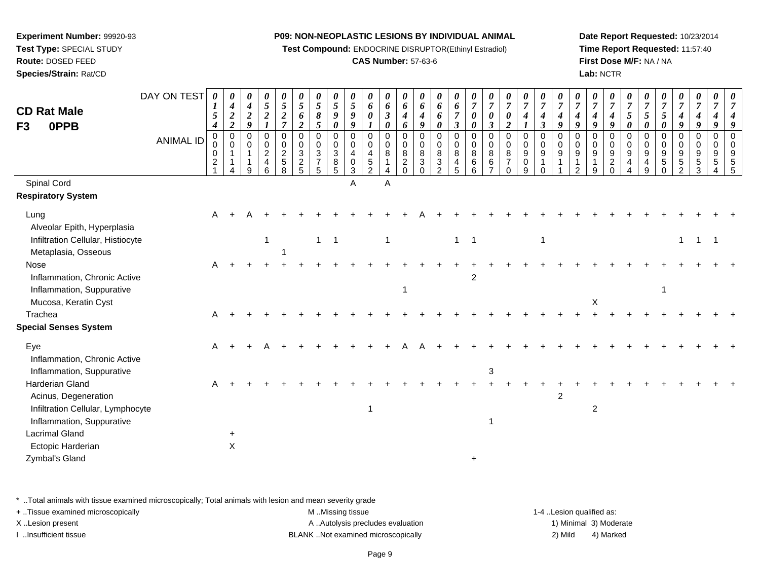**Test Compound:** ENDOCRINE DISRUPTOR(Ethinyl Estradiol)

#### **CAS Number:** 57-63-6

**Date Report Requested:** 10/23/2014**Time Report Requested:** 11:57:40**First Dose M/F:** NA / NA**Lab:** NCTR

| <b>CD Rat Male</b><br><b>OPPB</b><br>F3                        | DAY ON TEST      | 0<br>$\boldsymbol{l}$<br>$\mathfrak{s}$<br>$\boldsymbol{4}$ | 0<br>$\boldsymbol{4}$<br>$\boldsymbol{2}$<br>$\overline{\mathbf{c}}$         | 0<br>$\boldsymbol{4}$<br>$\boldsymbol{2}$<br>9 | 0<br>$\mathfrak{S}$<br>$\boldsymbol{2}$<br>$\mathbf{I}$ | $\boldsymbol{\theta}$<br>$\mathfrak{s}$<br>$\boldsymbol{2}$<br>$\overline{7}$ | 0<br>$\mathfrak{s}$<br>6<br>$\boldsymbol{2}$                           | $\boldsymbol{\theta}$<br>$\overline{5}$<br>$\pmb{8}$<br>$\mathfrak{s}$ | 0<br>5<br>9<br>$\pmb{\theta}$              | 0<br>$\mathfrak{S}$<br>9<br>9                | $\boldsymbol{\theta}$<br>6<br>0                                                    | $\boldsymbol{\theta}$<br>6<br>$\boldsymbol{\beta}$<br>0                   | $\boldsymbol{\theta}$<br>6<br>$\boldsymbol{4}$<br>6      | 0<br>6<br>$\boldsymbol{4}$<br>9                          | 0<br>6<br>6<br>0                                                 | $\boldsymbol{\theta}$<br>6<br>$\overline{7}$<br>$\boldsymbol{\beta}$ | $\theta$<br>$\overline{7}$<br>0<br>$\boldsymbol{\theta}$ | $\overline{7}$<br>0<br>$\boldsymbol{\beta}$ | U<br>$\overline{7}$<br>$\boldsymbol{\theta}$<br>$\overline{\mathbf{c}}$ | $\boldsymbol{\theta}$<br>$\overline{7}$<br>$\boldsymbol{4}$ | $\boldsymbol{\theta}$<br>$\overline{7}$<br>$\boldsymbol{4}$<br>$\boldsymbol{\beta}$ | $\boldsymbol{\theta}$<br>$\overline{7}$<br>$\boldsymbol{4}$<br>9 | $\overline{7}$<br>$\boldsymbol{4}$<br>9          | 0<br>$\overline{7}$<br>4<br>9 | 0<br>$\overline{7}$<br>$\boldsymbol{4}$<br>9             | $\boldsymbol{\theta}$<br>$\overline{7}$<br>$\mathfrak{s}$<br>$\boldsymbol{\theta}$ | $\theta$<br>$\overline{7}$<br>$\mathfrak{H}$<br>$\boldsymbol{\theta}$ | $\overline{7}$<br>$\overline{5}$<br>$\boldsymbol{\theta}$ | 0<br>$\overline{7}$<br>$\boldsymbol{4}$<br>9 | 0<br>$\overline{7}$<br>$\boldsymbol{4}$<br>9 | $\theta$<br>$\overline{7}$<br>4<br>9 |          |
|----------------------------------------------------------------|------------------|-------------------------------------------------------------|------------------------------------------------------------------------------|------------------------------------------------|---------------------------------------------------------|-------------------------------------------------------------------------------|------------------------------------------------------------------------|------------------------------------------------------------------------|--------------------------------------------|----------------------------------------------|------------------------------------------------------------------------------------|---------------------------------------------------------------------------|----------------------------------------------------------|----------------------------------------------------------|------------------------------------------------------------------|----------------------------------------------------------------------|----------------------------------------------------------|---------------------------------------------|-------------------------------------------------------------------------|-------------------------------------------------------------|-------------------------------------------------------------------------------------|------------------------------------------------------------------|--------------------------------------------------|-------------------------------|----------------------------------------------------------|------------------------------------------------------------------------------------|-----------------------------------------------------------------------|-----------------------------------------------------------|----------------------------------------------|----------------------------------------------|--------------------------------------|----------|
|                                                                | <b>ANIMAL ID</b> | $\mathbf 0$<br>0<br>$\pmb{0}$<br>$\overline{2}$             | $\mathbf 0$<br>$\mathbf 0$<br>$\mathbf{1}$<br>$\mathbf{1}$<br>$\overline{A}$ | $\mathbf 0$<br>0<br>1<br>9                     | 0<br>0<br>$\sqrt{2}$<br>$\overline{\mathbf{4}}$<br>6    | $\pmb{0}$<br>$\pmb{0}$<br>$rac{2}{5}$<br>8                                    | $\mathbf 0$<br>$\pmb{0}$<br>$\ensuremath{\mathsf{3}}$<br>$\frac{2}{5}$ | $\mathbf 0$<br>$\pmb{0}$<br>$\sqrt{3}$<br>$\overline{7}$<br>5          | 0<br>$\mathbf 0$<br>$\mathbf{3}$<br>$^8$ 5 | 0<br>$\mathbf 0$<br>$\overline{4}$<br>0<br>3 | $\pmb{0}$<br>$\pmb{0}$<br>$\overline{\mathbf{4}}$<br>$\,$ 5 $\,$<br>$\overline{2}$ | $\mathbf 0$<br>$\mathbf 0$<br>$\,8\,$<br>$\overline{1}$<br>$\overline{4}$ | $\mathbf 0$<br>0<br>$\bf8$<br>$\overline{c}$<br>$\Omega$ | $\Omega$<br>$\mathbf 0$<br>8<br>$\mathbf{3}$<br>$\Omega$ | 0<br>0<br>$\,8\,$<br>$\ensuremath{\mathsf{3}}$<br>$\overline{2}$ | $\pmb{0}$<br>$\mathbf 0$<br>8<br>4<br>5                              | $\mathbf 0$<br>$\mathbf 0$<br>$\,8\,$<br>6<br>6          | $\mathbf 0$<br>0<br>$\bf8$<br>6             | 0<br>0<br>8<br>$\overline{7}$<br>$\Omega$                               | 0<br>$\mathbf 0$<br>9<br>0<br>9                             | $\pmb{0}$<br>$\pmb{0}$<br>$\boldsymbol{9}$<br>$\Omega$                              | $\mathbf 0$<br>$\mathbf 0$<br>$\boldsymbol{9}$<br>-1             | 0<br>0<br>$9\,$<br>$\mathbf{1}$<br>$\mathcal{P}$ | $\Omega$<br>0<br>9<br>1<br>9  | 0<br>0<br>$\boldsymbol{9}$<br>$\overline{c}$<br>$\Omega$ | $\mathbf 0$<br>$\mathbf 0$<br>$\boldsymbol{9}$<br>4<br>$\overline{4}$              | $\mathbf 0$<br>0<br>$\boldsymbol{9}$<br>4<br>9                        | 0<br>$\mathbf 0$<br>$9\,$<br>$\sqrt{5}$<br>$\Omega$       | $\mathbf 0$<br>0<br>9<br>5                   | 0<br>$\mathbf{0}$<br>9<br>5                  | $\mathbf 0$<br>$\mathbf 0$<br>9<br>5 | $\Omega$ |
| Spinal Cord                                                    |                  |                                                             |                                                                              |                                                |                                                         |                                                                               |                                                                        |                                                                        |                                            | A                                            |                                                                                    | Α                                                                         |                                                          |                                                          |                                                                  |                                                                      |                                                          |                                             |                                                                         |                                                             |                                                                                     |                                                                  |                                                  |                               |                                                          |                                                                                    |                                                                       |                                                           |                                              |                                              |                                      |          |
| <b>Respiratory System</b>                                      |                  |                                                             |                                                                              |                                                |                                                         |                                                                               |                                                                        |                                                                        |                                            |                                              |                                                                                    |                                                                           |                                                          |                                                          |                                                                  |                                                                      |                                                          |                                             |                                                                         |                                                             |                                                                                     |                                                                  |                                                  |                               |                                                          |                                                                                    |                                                                       |                                                           |                                              |                                              |                                      |          |
| Lung<br>Alveolar Epith, Hyperplasia                            |                  | A                                                           |                                                                              |                                                |                                                         |                                                                               |                                                                        |                                                                        |                                            |                                              |                                                                                    |                                                                           |                                                          |                                                          |                                                                  |                                                                      |                                                          |                                             |                                                                         |                                                             |                                                                                     |                                                                  |                                                  |                               |                                                          |                                                                                    |                                                                       |                                                           |                                              |                                              |                                      |          |
| Infiltration Cellular, Histiocyte<br>Metaplasia, Osseous       |                  |                                                             |                                                                              |                                                | 1                                                       | 1                                                                             |                                                                        | $\mathbf{1}$                                                           | $\overline{1}$                             |                                              |                                                                                    | $\overline{1}$                                                            |                                                          |                                                          |                                                                  | $\mathbf{1}$                                                         | -1                                                       |                                             |                                                                         |                                                             | -1                                                                                  |                                                                  |                                                  |                               |                                                          |                                                                                    |                                                                       |                                                           | $\mathbf{1}$                                 | $\mathbf{1}$                                 | -1                                   |          |
| <b>Nose</b><br>Inflammation, Chronic Active                    |                  | Α                                                           |                                                                              |                                                |                                                         |                                                                               |                                                                        |                                                                        |                                            |                                              |                                                                                    |                                                                           |                                                          |                                                          |                                                                  |                                                                      | $\overline{2}$                                           |                                             |                                                                         |                                                             |                                                                                     |                                                                  |                                                  |                               |                                                          |                                                                                    |                                                                       |                                                           |                                              |                                              |                                      |          |
| Inflammation, Suppurative<br>Mucosa, Keratin Cyst              |                  |                                                             |                                                                              |                                                |                                                         |                                                                               |                                                                        |                                                                        |                                            |                                              |                                                                                    |                                                                           | 1                                                        |                                                          |                                                                  |                                                                      |                                                          |                                             |                                                                         |                                                             |                                                                                     |                                                                  |                                                  | Х                             |                                                          |                                                                                    |                                                                       | 1                                                         |                                              |                                              |                                      |          |
| Trachea                                                        |                  | A                                                           |                                                                              |                                                |                                                         |                                                                               |                                                                        |                                                                        |                                            |                                              |                                                                                    |                                                                           |                                                          |                                                          |                                                                  |                                                                      |                                                          |                                             |                                                                         |                                                             |                                                                                     |                                                                  |                                                  |                               |                                                          |                                                                                    |                                                                       |                                                           |                                              |                                              |                                      |          |
| <b>Special Senses System</b>                                   |                  |                                                             |                                                                              |                                                |                                                         |                                                                               |                                                                        |                                                                        |                                            |                                              |                                                                                    |                                                                           |                                                          |                                                          |                                                                  |                                                                      |                                                          |                                             |                                                                         |                                                             |                                                                                     |                                                                  |                                                  |                               |                                                          |                                                                                    |                                                                       |                                                           |                                              |                                              |                                      |          |
| Eye<br>Inflammation, Chronic Active                            |                  | Α                                                           |                                                                              |                                                |                                                         |                                                                               |                                                                        |                                                                        |                                            |                                              |                                                                                    |                                                                           |                                                          |                                                          |                                                                  |                                                                      |                                                          |                                             |                                                                         |                                                             |                                                                                     |                                                                  |                                                  |                               |                                                          |                                                                                    |                                                                       |                                                           |                                              |                                              |                                      |          |
| Inflammation, Suppurative                                      |                  |                                                             |                                                                              |                                                |                                                         |                                                                               |                                                                        |                                                                        |                                            |                                              |                                                                                    |                                                                           |                                                          |                                                          |                                                                  |                                                                      |                                                          | 3                                           |                                                                         |                                                             |                                                                                     |                                                                  |                                                  |                               |                                                          |                                                                                    |                                                                       |                                                           |                                              |                                              |                                      |          |
| Harderian Gland<br>Acinus, Degeneration                        |                  | A                                                           |                                                                              |                                                |                                                         |                                                                               |                                                                        |                                                                        |                                            |                                              |                                                                                    |                                                                           |                                                          |                                                          |                                                                  |                                                                      |                                                          |                                             |                                                                         |                                                             |                                                                                     | $\overline{2}$                                                   |                                                  |                               |                                                          |                                                                                    |                                                                       |                                                           |                                              |                                              |                                      |          |
| Infiltration Cellular, Lymphocyte<br>Inflammation, Suppurative |                  |                                                             |                                                                              |                                                |                                                         |                                                                               |                                                                        |                                                                        |                                            |                                              |                                                                                    |                                                                           |                                                          |                                                          |                                                                  |                                                                      |                                                          | 1                                           |                                                                         |                                                             |                                                                                     |                                                                  |                                                  | $\overline{2}$                |                                                          |                                                                                    |                                                                       |                                                           |                                              |                                              |                                      |          |
| <b>Lacrimal Gland</b>                                          |                  |                                                             | $\ddot{}$                                                                    |                                                |                                                         |                                                                               |                                                                        |                                                                        |                                            |                                              |                                                                                    |                                                                           |                                                          |                                                          |                                                                  |                                                                      |                                                          |                                             |                                                                         |                                                             |                                                                                     |                                                                  |                                                  |                               |                                                          |                                                                                    |                                                                       |                                                           |                                              |                                              |                                      |          |
| Ectopic Harderian<br>Zymbal's Gland                            |                  |                                                             | X                                                                            |                                                |                                                         |                                                                               |                                                                        |                                                                        |                                            |                                              |                                                                                    |                                                                           |                                                          |                                                          |                                                                  |                                                                      | $\ddot{}$                                                |                                             |                                                                         |                                                             |                                                                                     |                                                                  |                                                  |                               |                                                          |                                                                                    |                                                                       |                                                           |                                              |                                              |                                      |          |

\* ..Total animals with tissue examined microscopically; Total animals with lesion and mean severity grade

**Experiment Number:** 99920-93**Test Type:** SPECIAL STUDY**Route:** DOSED FEED**Species/Strain:** Rat/CD

+ ..Tissue examined microscopically examined microscopically examined as:  $M$  ..Missing tissue 1-4 ..Lesion qualified as: X..Lesion present **A ..Autolysis precludes evaluation** A ..Autolysis precludes evaluation 1) Minimal 3) Moderate

I ..Insufficient tissue BLANK ..Not examined microscopically 2) Mild 4) Marked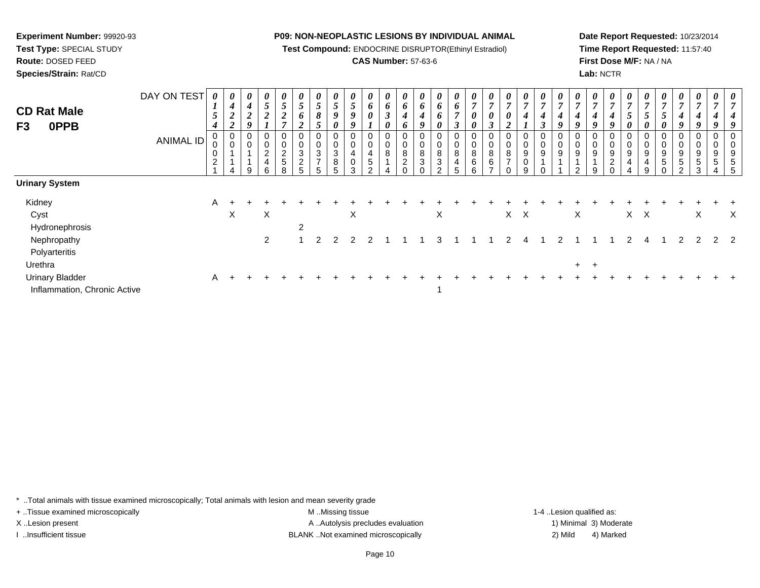**Experiment Number:** 99920-93**Test Type:** SPECIAL STUDY

# **Route:** DOSED FEED

**Species/Strain:** Rat/CD

#### **P09: NON-NEOPLASTIC LESIONS BY INDIVIDUAL ANIMAL**

**Test Compound:** ENDOCRINE DISRUPTOR(Ethinyl Estradiol)

#### **CAS Number:** 57-63-6

**Date Report Requested:** 10/23/2014**Time Report Requested:** 11:57:40**First Dose M/F:** NA / NA**Lab:** NCTR

| <b>CD Rat Male</b><br>0PPB<br>F3                       | DAY ON TEST<br>ANIMAL ID | 0<br>$5\overline{)}$<br>4<br>0<br>0 | 0<br>$\boldsymbol{4}$<br>$\overline{2}$<br>$\overline{2}$<br>$\pmb{0}$<br>$\pmb{0}$ | $\boldsymbol{\theta}$<br>4<br>$\boldsymbol{2}$<br>9<br>0<br>0 | $\boldsymbol{\theta}$<br>$5\phantom{.0}$<br>$\overline{2}$<br>0<br>0 | 0<br>$5\overline{)}$<br>$\boldsymbol{2}$<br>$\overline{ }$<br>$\overline{0}$ | $\boldsymbol{\theta}$<br>$5\overline{)}$<br>6<br>0 | $\mathfrak{s}$<br>8<br>5<br>0 | $\boldsymbol{\theta}$<br>5<br>9<br>0<br>U<br>0 | $\boldsymbol{\theta}$<br>$\mathfrak{s}$<br>9<br>9<br>0<br>$\pmb{0}$ | 0<br>6<br>$\boldsymbol{\theta}$<br>0<br>$\pmb{0}$ | $\boldsymbol{\theta}$<br>6<br>$\boldsymbol{\beta}$<br>0<br>0<br>$\pmb{0}$ | $\boldsymbol{\mathit{U}}$<br>6<br>4<br>$\bm{o}$<br>$\pmb{0}$ | 0<br>6 | 0<br>6<br>0               | $\boldsymbol{\theta}$<br>6<br>$\overline{ }$<br>0<br>$\pmb{0}$ | $\overline{ }$<br>0<br>0<br>0 | $\boldsymbol{\theta}$<br>$\overline{7}$<br>0<br>$\boldsymbol{\beta}$<br>0<br>$\pmb{0}$ | $\boldsymbol{\theta}$<br>$\overline{7}$<br>0<br>◢<br>0<br>0 | $\boldsymbol{\theta}$<br>$\overline{7}$<br>$\boldsymbol{4}$<br>L<br>$\boldsymbol{0}$<br>$\pmb{0}$ | $\boldsymbol{\theta}$<br>$\overline{ }$<br>4<br>J<br>0 | $\boldsymbol{\theta}$<br>4 | 0<br>$\overline{ }$<br>4<br>o<br>0<br>0 | $\boldsymbol{\theta}$<br>$\overline{ }$<br>4<br>9<br>0 | $\boldsymbol{\theta}$<br>$\overline{ }$<br>4<br>0<br>$\pmb{0}$ | 0<br>$\overline{7}$<br>$\overline{5}$<br>0<br>0<br>$\pmb{0}$ | $\overline{7}$<br>5<br>0<br>0<br>$\pmb{0}$ | 0<br>$\overline{7}$<br>5<br>0<br>0<br>0 | 0<br>$\overline{7}$<br>$\boldsymbol{4}$<br>0 | 0<br>$\overline{\tau}$<br>4<br>9<br>0<br>0 | 0<br>$\overline{ }$<br>≁<br>$\mathbf 0$ | 0           |
|--------------------------------------------------------|--------------------------|-------------------------------------|-------------------------------------------------------------------------------------|---------------------------------------------------------------|----------------------------------------------------------------------|------------------------------------------------------------------------------|----------------------------------------------------|-------------------------------|------------------------------------------------|---------------------------------------------------------------------|---------------------------------------------------|---------------------------------------------------------------------------|--------------------------------------------------------------|--------|---------------------------|----------------------------------------------------------------|-------------------------------|----------------------------------------------------------------------------------------|-------------------------------------------------------------|---------------------------------------------------------------------------------------------------|--------------------------------------------------------|----------------------------|-----------------------------------------|--------------------------------------------------------|----------------------------------------------------------------|--------------------------------------------------------------|--------------------------------------------|-----------------------------------------|----------------------------------------------|--------------------------------------------|-----------------------------------------|-------------|
|                                                        |                          | 0<br>$\sqrt{2}$                     |                                                                                     | $\mathbf{1}$<br>9                                             | $\boldsymbol{2}$<br>$\overline{4}$<br>6                              | $\overline{c}$<br>5<br>$\Omega$                                              | 3<br>$\boldsymbol{2}$<br>5                         | 3<br>$\overline{ }$           | $\sqrt{3}$<br>$\bf 8$<br>5                     | 4<br>$\pmb{0}$<br>3                                                 | $\overline{4}$<br>5<br>ົ                          | $\bf 8$                                                                   | 8<br>$\Omega$<br>∠                                           | 8<br>3 | 8<br>$\sqrt{3}$<br>$\sim$ | $\bf 8$<br>$\overline{\mathbf{4}}$<br>5                        | 8<br>6<br>6                   | $\bf8$<br>$\,6\,$<br>-                                                                 | 8<br>$\overline{ }$                                         | $\boldsymbol{9}$<br>$\pmb{0}$<br>9                                                                | 9                                                      | 9                          | 9<br>$\Omega$                           | 9<br>9                                                 | 9<br>$\overline{2}$<br>$\Omega$                                | 9<br>4                                                       | $\boldsymbol{9}$<br>$\overline{a}$<br>9    | 9<br>5<br>$\Omega$                      | 9<br>$\overline{5}$<br><sub>2</sub>          | 9<br>5<br>3                                | 9<br>5                                  | 9<br>5<br>5 |
| <b>Urinary System</b>                                  |                          |                                     |                                                                                     |                                                               |                                                                      |                                                                              |                                                    |                               |                                                |                                                                     |                                                   |                                                                           |                                                              |        |                           |                                                                |                               |                                                                                        |                                                             |                                                                                                   |                                                        |                            |                                         |                                                        |                                                                |                                                              |                                            |                                         |                                              |                                            |                                         |             |
| Kidney                                                 |                          | A                                   |                                                                                     |                                                               |                                                                      |                                                                              |                                                    |                               |                                                |                                                                     |                                                   |                                                                           |                                                              |        |                           |                                                                |                               |                                                                                        |                                                             |                                                                                                   |                                                        |                            |                                         |                                                        |                                                                |                                                              |                                            |                                         |                                              |                                            |                                         |             |
| Cyst                                                   |                          |                                     | X                                                                                   |                                                               | X                                                                    |                                                                              |                                                    |                               |                                                | X                                                                   |                                                   |                                                                           |                                                              |        | X                         |                                                                |                               |                                                                                        |                                                             | $X$ $X$                                                                                           |                                                        |                            | X                                       |                                                        |                                                                |                                                              | $X$ $X$                                    |                                         |                                              | $\boldsymbol{\mathsf{X}}$                  |                                         | X           |
| Hydronephrosis                                         |                          |                                     |                                                                                     |                                                               |                                                                      |                                                                              | 2                                                  |                               |                                                |                                                                     |                                                   |                                                                           |                                                              |        |                           |                                                                |                               |                                                                                        |                                                             |                                                                                                   |                                                        |                            |                                         |                                                        |                                                                |                                                              |                                            |                                         |                                              |                                            |                                         |             |
| Nephropathy<br>Polyarteritis                           |                          |                                     |                                                                                     |                                                               | $\overline{2}$                                                       |                                                                              |                                                    |                               |                                                |                                                                     |                                                   |                                                                           |                                                              |        |                           |                                                                |                               |                                                                                        |                                                             |                                                                                                   |                                                        |                            |                                         |                                                        |                                                                |                                                              |                                            |                                         |                                              |                                            |                                         |             |
| Urethra                                                |                          |                                     |                                                                                     |                                                               |                                                                      |                                                                              |                                                    |                               |                                                |                                                                     |                                                   |                                                                           |                                                              |        |                           |                                                                |                               |                                                                                        |                                                             |                                                                                                   |                                                        |                            | $+$                                     | $+$                                                    |                                                                |                                                              |                                            |                                         |                                              |                                            |                                         |             |
| <b>Urinary Bladder</b><br>Inflammation, Chronic Active |                          | A                                   |                                                                                     |                                                               |                                                                      |                                                                              |                                                    |                               |                                                |                                                                     |                                                   |                                                                           |                                                              |        |                           |                                                                |                               |                                                                                        |                                                             |                                                                                                   |                                                        |                            |                                         |                                                        |                                                                |                                                              |                                            |                                         |                                              |                                            |                                         |             |

\* ..Total animals with tissue examined microscopically; Total animals with lesion and mean severity grade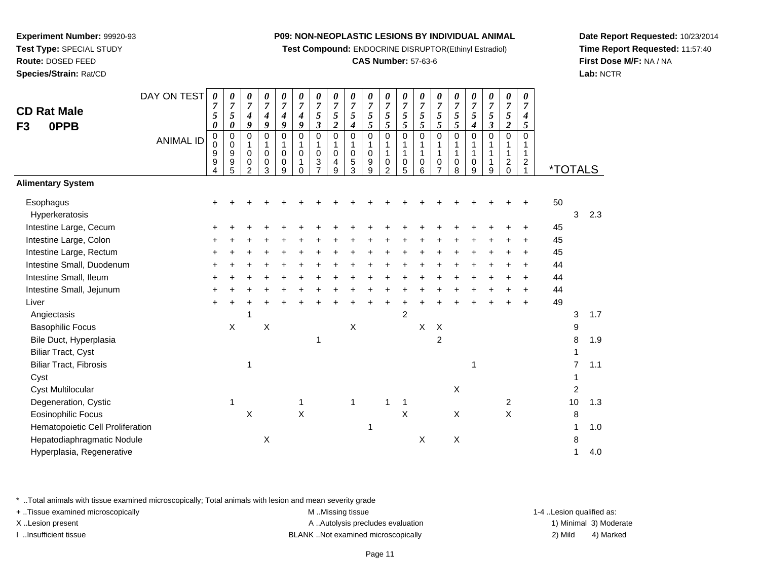**Test Compound:** ENDOCRINE DISRUPTOR(Ethinyl Estradiol)

#### **CAS Number:** 57-63-6

**Date Report Requested:** 10/23/2014**Time Report Requested:** 11:57:40**First Dose M/F:** NA / NA**Lab:** NCTR

| <b>CD Rat Male</b><br><b>OPPB</b><br>F3 | DAY ON TEST      | 0<br>$\overline{7}$<br>5<br>0          | 0<br>$\overline{7}$<br>5<br>0             | 0<br>$\overline{7}$<br>4<br>9             | 0<br>$\overline{7}$<br>4<br>9 | 0<br>$\overline{7}$<br>$\boldsymbol{4}$<br>9 | 0<br>$\boldsymbol{7}$<br>$\boldsymbol{4}$<br>9 | 0<br>$\overline{7}$<br>5<br>$\boldsymbol{\beta}$ | 0<br>$\overline{7}$<br>5<br>$\overline{2}$ | 0<br>$\overline{7}$<br>5<br>$\boldsymbol{4}$ | 0<br>$\overline{7}$<br>5<br>5              | 0<br>$\boldsymbol{7}$<br>$\sqrt{5}$<br>$\sqrt{5}$            | 0<br>$\overline{7}$<br>$\sqrt{5}$<br>$\mathfrak{s}$ | 0<br>$\overline{7}$<br>5<br>5       | 0<br>$\overline{7}$<br>$\mathfrak{s}$<br>5                | 0<br>$\overline{7}$<br>$\sqrt{5}$<br>5 | 0<br>$\overline{7}$<br>$5\overline{)}$<br>$\boldsymbol{4}$ | 0<br>$\boldsymbol{7}$<br>$\sqrt{5}$<br>3 | 0<br>$\overline{7}$<br>$\sqrt{5}$<br>$\overline{c}$ | 0<br>$\overline{7}$<br>4<br>5                   |                       |                |     |
|-----------------------------------------|------------------|----------------------------------------|-------------------------------------------|-------------------------------------------|-------------------------------|----------------------------------------------|------------------------------------------------|--------------------------------------------------|--------------------------------------------|----------------------------------------------|--------------------------------------------|--------------------------------------------------------------|-----------------------------------------------------|-------------------------------------|-----------------------------------------------------------|----------------------------------------|------------------------------------------------------------|------------------------------------------|-----------------------------------------------------|-------------------------------------------------|-----------------------|----------------|-----|
|                                         | <b>ANIMAL ID</b> | $\mathbf 0$<br>$\Omega$<br>9<br>9<br>4 | $\mathbf 0$<br>$\mathbf 0$<br>9<br>9<br>5 | $\Omega$<br>1<br>0<br>0<br>$\overline{2}$ | 0<br>0<br>$\Omega$<br>3       | $\Omega$<br>1<br>0<br>0<br>9                 | $\Omega$<br>1<br>$\Omega$<br>$\Omega$          | $\mathbf 0$<br>1<br>0<br>3<br>$\overline{7}$     | $\mathbf 0$<br>1<br>$\mathbf 0$<br>4<br>9  | $\mathbf 0$<br>$\mathbf 0$<br>5<br>3         | $\mathbf 0$<br>$\mathbf{1}$<br>0<br>9<br>9 | $\mathbf 0$<br>$\mathbf{1}$<br>$\mathbf 0$<br>$\overline{2}$ | $\Omega$<br>1<br>1<br>0<br>5                        | $\Omega$<br>1<br>1<br>$\Omega$<br>6 | $\Omega$<br>$\mathbf{1}$<br>$\mathbf 0$<br>$\overline{7}$ | $\mathbf 0$<br>1<br>1<br>$\,0\,$<br>8  | $\Omega$<br>0<br>9                                         | 0<br>1<br>1<br>1<br>9                    | $\Omega$<br>$\mathbf{1}$<br>1<br>$\frac{2}{0}$      | $\Omega$<br>$\mathbf{1}$<br>1<br>$\overline{c}$ | <i><b>*TOTALS</b></i> |                |     |
| <b>Alimentary System</b>                |                  |                                        |                                           |                                           |                               |                                              |                                                |                                                  |                                            |                                              |                                            |                                                              |                                                     |                                     |                                                           |                                        |                                                            |                                          |                                                     |                                                 |                       |                |     |
| Esophagus<br>Hyperkeratosis             |                  |                                        |                                           |                                           |                               |                                              |                                                |                                                  |                                            |                                              |                                            |                                                              |                                                     |                                     |                                                           |                                        |                                                            |                                          |                                                     |                                                 | 50                    | 3              | 2.3 |
| Intestine Large, Cecum                  |                  |                                        |                                           |                                           |                               |                                              |                                                |                                                  |                                            |                                              |                                            |                                                              |                                                     |                                     |                                                           |                                        |                                                            |                                          |                                                     |                                                 | 45                    |                |     |
| Intestine Large, Colon                  |                  |                                        |                                           |                                           |                               |                                              |                                                |                                                  |                                            |                                              |                                            |                                                              |                                                     |                                     |                                                           |                                        |                                                            |                                          |                                                     |                                                 | 45                    |                |     |
| Intestine Large, Rectum                 |                  |                                        |                                           |                                           |                               |                                              |                                                |                                                  |                                            |                                              |                                            |                                                              |                                                     |                                     |                                                           |                                        |                                                            |                                          |                                                     |                                                 | 45                    |                |     |
| Intestine Small, Duodenum               |                  |                                        |                                           |                                           |                               |                                              |                                                |                                                  |                                            |                                              |                                            |                                                              |                                                     |                                     |                                                           |                                        |                                                            |                                          |                                                     |                                                 | 44                    |                |     |
| Intestine Small, Ileum                  |                  |                                        |                                           |                                           |                               |                                              |                                                |                                                  |                                            |                                              |                                            |                                                              |                                                     |                                     |                                                           |                                        |                                                            |                                          |                                                     |                                                 | 44                    |                |     |
| Intestine Small, Jejunum                |                  |                                        |                                           |                                           |                               |                                              |                                                |                                                  |                                            |                                              |                                            |                                                              |                                                     |                                     |                                                           |                                        |                                                            |                                          |                                                     |                                                 | 44                    |                |     |
| Liver                                   |                  | $\div$                                 |                                           |                                           |                               |                                              |                                                |                                                  |                                            |                                              |                                            |                                                              |                                                     |                                     |                                                           |                                        |                                                            |                                          |                                                     |                                                 | 49                    |                |     |
| Angiectasis                             |                  |                                        |                                           | 1                                         |                               |                                              |                                                |                                                  |                                            |                                              |                                            |                                                              | $\overline{c}$                                      |                                     |                                                           |                                        |                                                            |                                          |                                                     |                                                 |                       | 3              | 1.7 |
| <b>Basophilic Focus</b>                 |                  |                                        | $\mathsf X$                               |                                           | $\times$                      |                                              |                                                |                                                  |                                            | Χ                                            |                                            |                                                              |                                                     | $\pmb{\times}$                      | $\mathsf X$                                               |                                        |                                                            |                                          |                                                     |                                                 |                       | 9              |     |
| Bile Duct, Hyperplasia                  |                  |                                        |                                           |                                           |                               |                                              |                                                | 1                                                |                                            |                                              |                                            |                                                              |                                                     |                                     | $\overline{2}$                                            |                                        |                                                            |                                          |                                                     |                                                 |                       | 8              | 1.9 |
| <b>Biliar Tract, Cyst</b>               |                  |                                        |                                           |                                           |                               |                                              |                                                |                                                  |                                            |                                              |                                            |                                                              |                                                     |                                     |                                                           |                                        |                                                            |                                          |                                                     |                                                 |                       |                |     |
| <b>Biliar Tract, Fibrosis</b>           |                  |                                        |                                           | $\mathbf{1}$                              |                               |                                              |                                                |                                                  |                                            |                                              |                                            |                                                              |                                                     |                                     |                                                           |                                        | 1                                                          |                                          |                                                     |                                                 |                       | $\overline{7}$ | 1.1 |
| Cyst                                    |                  |                                        |                                           |                                           |                               |                                              |                                                |                                                  |                                            |                                              |                                            |                                                              |                                                     |                                     |                                                           |                                        |                                                            |                                          |                                                     |                                                 |                       |                |     |
| Cyst Multilocular                       |                  |                                        |                                           |                                           |                               |                                              |                                                |                                                  |                                            |                                              |                                            |                                                              |                                                     |                                     |                                                           | $\pmb{\times}$                         |                                                            |                                          |                                                     |                                                 |                       | $\overline{2}$ |     |
| Degeneration, Cystic                    |                  |                                        | 1                                         |                                           |                               |                                              | 1                                              |                                                  |                                            | 1                                            |                                            | 1                                                            | -1                                                  |                                     |                                                           |                                        |                                                            |                                          | $\overline{2}$                                      |                                                 |                       | 10             | 1.3 |
| <b>Eosinophilic Focus</b>               |                  |                                        |                                           | $\times$                                  |                               |                                              | $\pmb{\times}$                                 |                                                  |                                            |                                              |                                            |                                                              | X                                                   |                                     |                                                           | $\pmb{\times}$                         |                                                            |                                          | $\times$                                            |                                                 |                       | 8              |     |
| Hematopoietic Cell Proliferation        |                  |                                        |                                           |                                           |                               |                                              |                                                |                                                  |                                            |                                              | 1                                          |                                                              |                                                     |                                     |                                                           |                                        |                                                            |                                          |                                                     |                                                 |                       | 1              | 1.0 |
| Hepatodiaphragmatic Nodule              |                  |                                        |                                           |                                           | $\boldsymbol{\mathsf{X}}$     |                                              |                                                |                                                  |                                            |                                              |                                            |                                                              |                                                     | X                                   |                                                           | Χ                                      |                                                            |                                          |                                                     |                                                 |                       | 8              |     |
| Hyperplasia, Regenerative               |                  |                                        |                                           |                                           |                               |                                              |                                                |                                                  |                                            |                                              |                                            |                                                              |                                                     |                                     |                                                           |                                        |                                                            |                                          |                                                     |                                                 |                       | 1              | 4.0 |
|                                         |                  |                                        |                                           |                                           |                               |                                              |                                                |                                                  |                                            |                                              |                                            |                                                              |                                                     |                                     |                                                           |                                        |                                                            |                                          |                                                     |                                                 |                       |                |     |

\* ..Total animals with tissue examined microscopically; Total animals with lesion and mean severity grade

**Experiment Number:** 99920-93**Test Type:** SPECIAL STUDY**Route:** DOSED FEED**Species/Strain:** Rat/CD

+ ..Tissue examined microscopically examined microscopically examined as:  $M$  ..Missing tissue 1-4 ..Lesion qualified as: X..Lesion present **A ..Autolysis precludes evaluation** A ..Autolysis precludes evaluation 1) Minimal 3) Moderate

I ..Insufficient tissue BLANK ..Not examined microscopically 2) Mild 4) Marked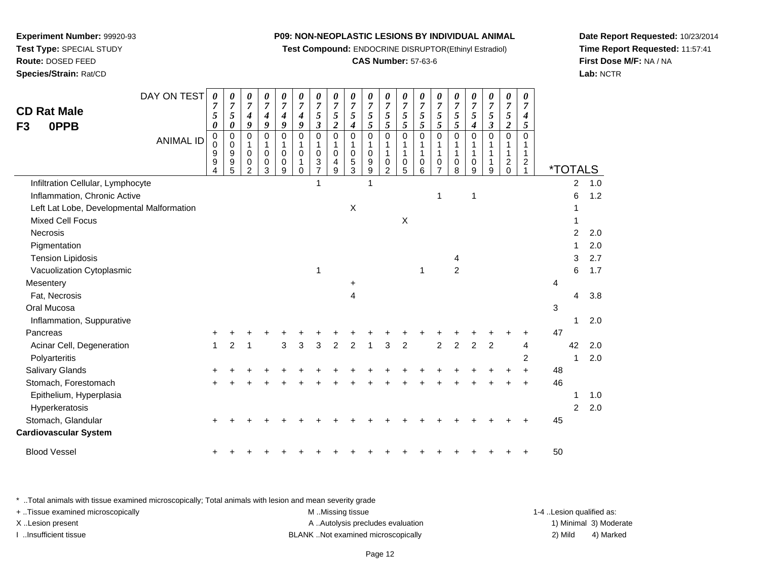**Test Compound:** ENDOCRINE DISRUPTOR(Ethinyl Estradiol)

#### **CAS Number:** 57-63-6

**Date Report Requested:** 10/23/2014**Time Report Requested:** 11:57:41**First Dose M/F:** NA / NA**Lab:** NCTR

| DAY ON TEST<br><b>CD Rat Male</b><br>0PPB<br>F <sub>3</sub> | 0<br>$\overline{7}$<br>5<br>0 | 0<br>7<br>5<br>0      | 0<br>7<br>$\boldsymbol{4}$<br>9                   | 0<br>$\boldsymbol{7}$<br>$\boldsymbol{4}$<br>9 | 0<br>$\overline{7}$<br>4<br>9              | 0<br>$\overline{7}$<br>$\boldsymbol{4}$<br>9  | 0<br>$\overline{7}$<br>$\sqrt{5}$<br>$\boldsymbol{\beta}$ | 0<br>$\overline{7}$<br>5<br>$\overline{\mathbf{c}}$ | 0<br>$\overline{7}$<br>5<br>$\boldsymbol{4}$     | 0<br>$\overline{7}$<br>5<br>5             | 0<br>7<br>$\mathfrak{s}$<br>5          | 0<br>7<br>5<br>5                      | 0<br>7<br>5<br>5   | 0<br>$\overline{7}$<br>5<br>5                | 0<br>$\overline{7}$<br>5<br>5 | 0<br>7<br>$\sqrt{5}$<br>$\boldsymbol{4}$ | 0<br>$\overline{7}$<br>5<br>3         | 0<br>$\overline{7}$<br>5<br>$\overline{c}$ | 0<br>7<br>4<br>5                              |    |                       |     |
|-------------------------------------------------------------|-------------------------------|-----------------------|---------------------------------------------------|------------------------------------------------|--------------------------------------------|-----------------------------------------------|-----------------------------------------------------------|-----------------------------------------------------|--------------------------------------------------|-------------------------------------------|----------------------------------------|---------------------------------------|--------------------|----------------------------------------------|-------------------------------|------------------------------------------|---------------------------------------|--------------------------------------------|-----------------------------------------------|----|-----------------------|-----|
| <b>ANIMAL ID</b>                                            | 0<br>0<br>9<br>9<br>4         | 0<br>0<br>9<br>9<br>5 | $\mathbf 0$<br>$\mathbf 0$<br>0<br>$\overline{2}$ | $\mathbf 0$<br>1<br>0<br>0<br>3                | $\mathbf 0$<br>$\mathbf{1}$<br>0<br>0<br>9 | $\mathbf 0$<br>1<br>$\Omega$<br>1<br>$\Omega$ | $\mathbf 0$<br>1<br>$\mathbf 0$<br>3<br>$\overline{7}$    | 0<br>$\mathbf 0$<br>4<br>9                          | $\mathbf 0$<br>1<br>$\mathbf 0$<br>$\frac{5}{3}$ | $\mathbf 0$<br>1<br>$\mathbf 0$<br>9<br>9 | $\mathbf 0$<br>1<br>1<br>$\Omega$<br>2 | $\mathbf 0$<br>$\mathbf{1}$<br>0<br>5 | $\Omega$<br>0<br>6 | $\mathbf 0$<br>1<br>1<br>0<br>$\overline{7}$ | $\mathbf 0$<br>1<br>0<br>8    | $\Omega$<br>1<br>0<br>9                  | $\mathbf 0$<br>$\mathbf{1}$<br>1<br>9 | 0<br>1<br>$\overline{a}$<br>0              | 0<br>1<br>$\mathbf{1}$<br>$\overline{c}$<br>1 |    | <i><b>*TOTALS</b></i> |     |
| Infiltration Cellular, Lymphocyte                           |                               |                       |                                                   |                                                |                                            |                                               |                                                           |                                                     |                                                  |                                           |                                        |                                       |                    |                                              |                               |                                          |                                       |                                            |                                               |    | 2                     | 1.0 |
| Inflammation, Chronic Active                                |                               |                       |                                                   |                                                |                                            |                                               |                                                           |                                                     |                                                  |                                           |                                        |                                       |                    | 1                                            |                               | 1                                        |                                       |                                            |                                               |    | 6                     | 1.2 |
| Left Lat Lobe, Developmental Malformation                   |                               |                       |                                                   |                                                |                                            |                                               |                                                           |                                                     | $\pmb{\times}$                                   |                                           |                                        |                                       |                    |                                              |                               |                                          |                                       |                                            |                                               |    |                       |     |
| <b>Mixed Cell Focus</b>                                     |                               |                       |                                                   |                                                |                                            |                                               |                                                           |                                                     |                                                  |                                           |                                        | $\pmb{\times}$                        |                    |                                              |                               |                                          |                                       |                                            |                                               |    | 1                     |     |
| Necrosis                                                    |                               |                       |                                                   |                                                |                                            |                                               |                                                           |                                                     |                                                  |                                           |                                        |                                       |                    |                                              |                               |                                          |                                       |                                            |                                               |    | $\overline{2}$        | 2.0 |
| Pigmentation                                                |                               |                       |                                                   |                                                |                                            |                                               |                                                           |                                                     |                                                  |                                           |                                        |                                       |                    |                                              |                               |                                          |                                       |                                            |                                               |    |                       | 2.0 |
| <b>Tension Lipidosis</b>                                    |                               |                       |                                                   |                                                |                                            |                                               |                                                           |                                                     |                                                  |                                           |                                        |                                       |                    |                                              | 4                             |                                          |                                       |                                            |                                               |    | 3                     | 2.7 |
| Vacuolization Cytoplasmic                                   |                               |                       |                                                   |                                                |                                            |                                               | $\mathbf 1$                                               |                                                     |                                                  |                                           |                                        |                                       | 1                  |                                              | $\overline{c}$                |                                          |                                       |                                            |                                               |    | 6                     | 1.7 |
| Mesentery                                                   |                               |                       |                                                   |                                                |                                            |                                               |                                                           |                                                     | +                                                |                                           |                                        |                                       |                    |                                              |                               |                                          |                                       |                                            |                                               | 4  |                       |     |
| Fat, Necrosis                                               |                               |                       |                                                   |                                                |                                            |                                               |                                                           |                                                     | 4                                                |                                           |                                        |                                       |                    |                                              |                               |                                          |                                       |                                            |                                               |    | 4                     | 3.8 |
| Oral Mucosa                                                 |                               |                       |                                                   |                                                |                                            |                                               |                                                           |                                                     |                                                  |                                           |                                        |                                       |                    |                                              |                               |                                          |                                       |                                            |                                               | 3  |                       |     |
| Inflammation, Suppurative                                   |                               |                       |                                                   |                                                |                                            |                                               |                                                           |                                                     |                                                  |                                           |                                        |                                       |                    |                                              |                               |                                          |                                       |                                            |                                               |    | 1                     | 2.0 |
| Pancreas                                                    |                               |                       |                                                   |                                                |                                            |                                               |                                                           |                                                     |                                                  |                                           |                                        |                                       |                    |                                              |                               |                                          |                                       |                                            |                                               | 47 |                       |     |
| Acinar Cell, Degeneration                                   | 1                             | $\overline{2}$        |                                                   |                                                | 3                                          | 3                                             | 3                                                         | $\overline{2}$                                      | $\overline{2}$                                   |                                           | 3                                      | 2                                     |                    | $\overline{2}$                               | $\overline{2}$                | $\overline{2}$                           | $\overline{2}$                        |                                            | 4                                             |    | 42                    | 2.0 |
| Polyarteritis                                               |                               |                       |                                                   |                                                |                                            |                                               |                                                           |                                                     |                                                  |                                           |                                        |                                       |                    |                                              |                               |                                          |                                       |                                            | 2                                             |    | 1                     | 2.0 |
| <b>Salivary Glands</b>                                      |                               |                       |                                                   |                                                |                                            |                                               |                                                           |                                                     |                                                  |                                           |                                        |                                       |                    |                                              |                               |                                          |                                       |                                            | +                                             | 48 |                       |     |
| Stomach, Forestomach                                        |                               |                       |                                                   |                                                |                                            |                                               |                                                           |                                                     |                                                  |                                           |                                        |                                       |                    |                                              |                               |                                          |                                       |                                            | ÷                                             | 46 |                       |     |
| Epithelium, Hyperplasia                                     |                               |                       |                                                   |                                                |                                            |                                               |                                                           |                                                     |                                                  |                                           |                                        |                                       |                    |                                              |                               |                                          |                                       |                                            |                                               |    | 1                     | 1.0 |
| Hyperkeratosis                                              |                               |                       |                                                   |                                                |                                            |                                               |                                                           |                                                     |                                                  |                                           |                                        |                                       |                    |                                              |                               |                                          |                                       |                                            |                                               |    | $\overline{2}$        | 2.0 |
| Stomach, Glandular                                          | ٠                             |                       |                                                   |                                                |                                            |                                               |                                                           |                                                     |                                                  |                                           |                                        |                                       |                    |                                              |                               |                                          |                                       |                                            |                                               | 45 |                       |     |
| <b>Cardiovascular System</b>                                |                               |                       |                                                   |                                                |                                            |                                               |                                                           |                                                     |                                                  |                                           |                                        |                                       |                    |                                              |                               |                                          |                                       |                                            |                                               |    |                       |     |
| <b>Blood Vessel</b>                                         |                               |                       |                                                   |                                                |                                            |                                               |                                                           |                                                     |                                                  |                                           |                                        |                                       |                    |                                              |                               |                                          |                                       |                                            |                                               | 50 |                       |     |

\* ..Total animals with tissue examined microscopically; Total animals with lesion and mean severity grade

**Experiment Number:** 99920-93**Test Type:** SPECIAL STUDY**Route:** DOSED FEED**Species/Strain:** Rat/CD

| + Tissue examined microscopically | M Missing tissue                   | 1-4 Lesion qualified as: |                        |
|-----------------------------------|------------------------------------|--------------------------|------------------------|
| X Lesion present                  | A Autolysis precludes evaluation   |                          | 1) Minimal 3) Moderate |
| Insufficient tissue               | BLANK Not examined microscopically | 2) Mild                  | 4) Marked              |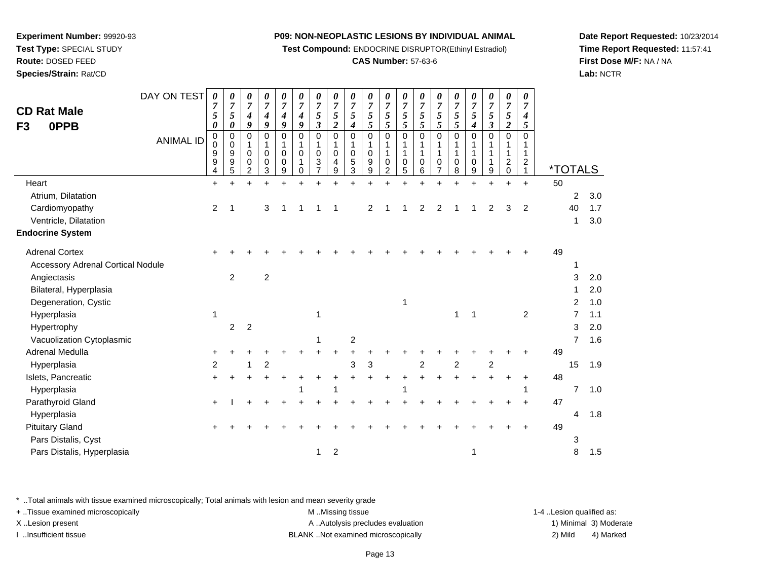**Test Compound:** ENDOCRINE DISRUPTOR(Ethinyl Estradiol)

#### **CAS Number:** 57-63-6

**Date Report Requested:** 10/23/2014**Time Report Requested:** 11:57:41**First Dose M/F:** NA / NA**Lab:** NCTR

| <b>CD Rat Male</b><br>0PPB<br>F <sub>3</sub> | DAY ON TEST      | 0<br>7<br>5<br>0                | 0<br>7<br>5<br>0      | 0<br>7<br>4<br>9             | 0<br>$\overline{7}$<br>$\boldsymbol{4}$<br>9 | 0<br>$\overline{7}$<br>$\boldsymbol{4}$<br>9 | 0<br>$\overline{7}$<br>4<br>9 | 0<br>$\overline{7}$<br>5<br>$\boldsymbol{\beta}$ | 0<br>$\overline{7}$<br>5<br>$\overline{c}$ | 0<br>$\overline{7}$<br>5<br>4          | 0<br>$\overline{7}$<br>5<br>5       | 0<br>7<br>5<br>5                     | 0<br>$\overline{7}$<br>5<br>5 | 0<br>$\overline{7}$<br>5<br>5 | 0<br>$\overline{7}$<br>5<br>5 | 0<br>$\overline{7}$<br>5<br>5          | 0<br>7<br>5<br>$\boldsymbol{4}$ | 0<br>$\overline{7}$<br>5<br>3 | 0<br>$\overline{7}$<br>5<br>$\overline{\mathbf{c}}$ | 0<br>7<br>4<br>5                    |                       |                |     |
|----------------------------------------------|------------------|---------------------------------|-----------------------|------------------------------|----------------------------------------------|----------------------------------------------|-------------------------------|--------------------------------------------------|--------------------------------------------|----------------------------------------|-------------------------------------|--------------------------------------|-------------------------------|-------------------------------|-------------------------------|----------------------------------------|---------------------------------|-------------------------------|-----------------------------------------------------|-------------------------------------|-----------------------|----------------|-----|
|                                              | <b>ANIMAL ID</b> | 0<br>$\mathbf 0$<br>9<br>9<br>4 | 0<br>0<br>9<br>9<br>5 | $\Omega$<br>1<br>0<br>0<br>2 | $\Omega$<br>1<br>$\mathbf 0$<br>0<br>3       | $\Omega$<br>1<br>$\Omega$<br>0<br>9          | $\Omega$<br>$\Omega$<br>0     | 0<br>1<br>0<br>3<br>$\overline{7}$               | $\Omega$<br>1<br>0<br>4<br>9               | $\Omega$<br>1<br>$\mathbf 0$<br>5<br>3 | $\Omega$<br>1<br>$\Omega$<br>9<br>9 | $\Omega$<br>1<br>0<br>$\overline{c}$ | 0<br>0<br>5                   | $\Omega$<br>0<br>6            | 0<br>1<br>0<br>7              | $\Omega$<br>1<br>1<br>$\mathbf 0$<br>8 | $\Omega$<br>0<br>9              | $\Omega$<br>1<br>1<br>9       | $\Omega$<br>$\overline{\mathbf{c}}$<br>0            | $\Omega$<br>$\overline{\mathbf{c}}$ | <i><b>*TOTALS</b></i> |                |     |
| Heart                                        |                  | $\ddot{}$                       | $\ddot{}$             | $+$                          | $\ddot{}$                                    |                                              | $\ddot{}$                     | $+$                                              | $+$                                        | $\ddot{}$                              |                                     | ÷                                    | $\ddot{}$                     | $+$                           | $\ddot{}$                     |                                        | $\ddot{}$                       | $\ddot{}$                     | ÷.                                                  | $\ddot{}$                           | 50                    |                |     |
| Atrium, Dilatation                           |                  |                                 |                       |                              |                                              |                                              |                               |                                                  |                                            |                                        |                                     |                                      |                               |                               |                               |                                        |                                 |                               |                                                     |                                     |                       | $\overline{2}$ | 3.0 |
| Cardiomyopathy                               |                  | $\overline{c}$                  | 1                     |                              | 3                                            |                                              |                               |                                                  | 1                                          |                                        | 2                                   |                                      |                               | 2                             | 2                             |                                        |                                 | 2                             | 3                                                   | $\overline{2}$                      |                       | 40             | 1.7 |
| Ventricle, Dilatation                        |                  |                                 |                       |                              |                                              |                                              |                               |                                                  |                                            |                                        |                                     |                                      |                               |                               |                               |                                        |                                 |                               |                                                     |                                     |                       | 1              | 3.0 |
| <b>Endocrine System</b>                      |                  |                                 |                       |                              |                                              |                                              |                               |                                                  |                                            |                                        |                                     |                                      |                               |                               |                               |                                        |                                 |                               |                                                     |                                     |                       |                |     |
| <b>Adrenal Cortex</b>                        |                  |                                 |                       |                              |                                              |                                              |                               |                                                  |                                            |                                        |                                     |                                      |                               |                               |                               |                                        |                                 |                               |                                                     |                                     | 49                    |                |     |
| <b>Accessory Adrenal Cortical Nodule</b>     |                  |                                 |                       |                              |                                              |                                              |                               |                                                  |                                            |                                        |                                     |                                      |                               |                               |                               |                                        |                                 |                               |                                                     |                                     |                       | 1              |     |
| Angiectasis                                  |                  |                                 | $\overline{2}$        |                              | $\overline{c}$                               |                                              |                               |                                                  |                                            |                                        |                                     |                                      |                               |                               |                               |                                        |                                 |                               |                                                     |                                     |                       | 3              | 2.0 |
| Bilateral, Hyperplasia                       |                  |                                 |                       |                              |                                              |                                              |                               |                                                  |                                            |                                        |                                     |                                      |                               |                               |                               |                                        |                                 |                               |                                                     |                                     |                       |                | 2.0 |
| Degeneration, Cystic                         |                  |                                 |                       |                              |                                              |                                              |                               |                                                  |                                            |                                        |                                     |                                      |                               |                               |                               |                                        |                                 |                               |                                                     |                                     |                       |                | 1.0 |
| Hyperplasia                                  |                  | $\mathbf{1}$                    |                       |                              |                                              |                                              |                               | $\mathbf{1}$                                     |                                            |                                        |                                     |                                      |                               |                               |                               | 1                                      | $\mathbf{1}$                    |                               |                                                     | $\overline{2}$                      |                       | 7              | 1.1 |
| Hypertrophy                                  |                  |                                 | $\overline{2}$        | $\overline{2}$               |                                              |                                              |                               |                                                  |                                            |                                        |                                     |                                      |                               |                               |                               |                                        |                                 |                               |                                                     |                                     |                       | 3              | 2.0 |
| Vacuolization Cytoplasmic                    |                  |                                 |                       |                              |                                              |                                              |                               |                                                  |                                            | 2                                      |                                     |                                      |                               |                               |                               |                                        |                                 |                               |                                                     |                                     |                       | 7              | 1.6 |
| Adrenal Medulla                              |                  | +                               |                       |                              |                                              |                                              |                               |                                                  |                                            | ٠                                      |                                     |                                      |                               |                               |                               |                                        |                                 |                               |                                                     |                                     | 49                    |                |     |
| Hyperplasia                                  |                  | $\overline{c}$                  |                       |                              | 2                                            |                                              |                               |                                                  |                                            | 3                                      | 3                                   |                                      |                               | $\overline{c}$                |                               | $\overline{c}$                         |                                 | $\overline{c}$                |                                                     |                                     |                       | 15             | 1.9 |
| Islets, Pancreatic                           |                  |                                 |                       |                              |                                              |                                              |                               |                                                  |                                            |                                        |                                     |                                      |                               |                               |                               |                                        |                                 |                               |                                                     | ÷                                   | 48                    |                |     |
| Hyperplasia                                  |                  |                                 |                       |                              |                                              |                                              |                               |                                                  |                                            |                                        |                                     |                                      |                               |                               |                               |                                        |                                 |                               |                                                     |                                     |                       | 7              | 1.0 |
| Parathyroid Gland                            |                  | $\ddot{}$                       |                       |                              |                                              |                                              |                               |                                                  |                                            |                                        |                                     |                                      |                               |                               |                               |                                        |                                 |                               |                                                     |                                     | 47                    |                |     |
| Hyperplasia                                  |                  |                                 |                       |                              |                                              |                                              |                               |                                                  |                                            |                                        |                                     |                                      |                               |                               |                               |                                        |                                 |                               |                                                     |                                     |                       | Δ              | 1.8 |
| <b>Pituitary Gland</b>                       |                  | ٠                               |                       |                              |                                              |                                              |                               |                                                  |                                            |                                        |                                     |                                      |                               |                               |                               |                                        |                                 |                               |                                                     | +                                   | 49                    |                |     |
| Pars Distalis, Cyst                          |                  |                                 |                       |                              |                                              |                                              |                               |                                                  |                                            |                                        |                                     |                                      |                               |                               |                               |                                        |                                 |                               |                                                     |                                     |                       | 3              |     |
| Pars Distalis, Hyperplasia                   |                  |                                 |                       |                              |                                              |                                              |                               | 1                                                | $\overline{\mathbf{c}}$                    |                                        |                                     |                                      |                               |                               |                               |                                        | 1                               |                               |                                                     |                                     |                       | 8              | 1.5 |
|                                              |                  |                                 |                       |                              |                                              |                                              |                               |                                                  |                                            |                                        |                                     |                                      |                               |                               |                               |                                        |                                 |                               |                                                     |                                     |                       |                |     |

\* ..Total animals with tissue examined microscopically; Total animals with lesion and mean severity grade

**Experiment Number:** 99920-93**Test Type:** SPECIAL STUDY**Route:** DOSED FEED**Species/Strain:** Rat/CD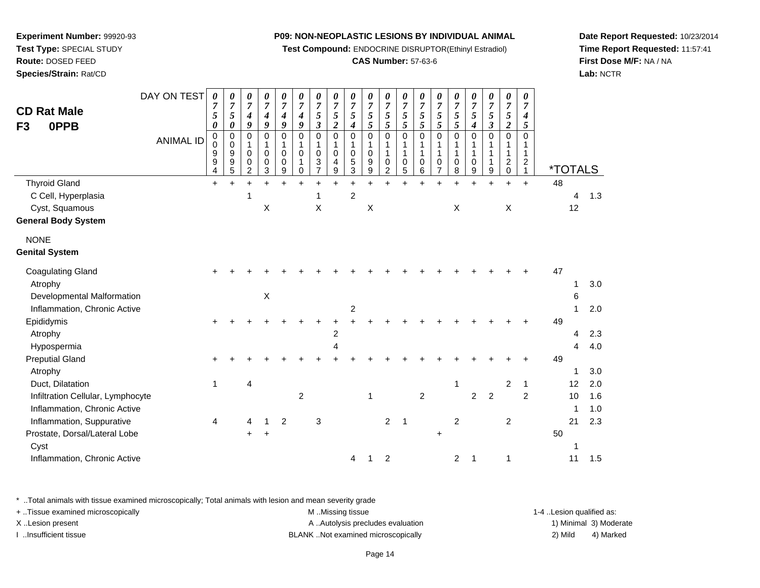**Test Compound:** ENDOCRINE DISRUPTOR(Ethinyl Estradiol)

#### **CAS Number:** 57-63-6

**Date Report Requested:** 10/23/2014**Time Report Requested:** 11:57:41**First Dose M/F:** NA / NA**Lab:** NCTR

| <b>CD Rat Male</b><br>0PPB<br>F3  | DAY ON TEST<br><b>ANIMAL ID</b> | 0<br>7<br>5<br>0<br>0<br>0<br>9<br>9 | 0<br>7<br>5<br>0<br>$\mathbf 0$<br>0<br>9<br>9 | 0<br>$\overline{7}$<br>$\boldsymbol{4}$<br>9<br>0<br>1<br>0<br>0 | 0<br>$\overline{7}$<br>4<br>9<br>0<br>0<br>0 | 0<br>$\overline{7}$<br>4<br>9<br>0<br>0<br>0 | 0<br>$\boldsymbol{7}$<br>4<br>9<br>$\mathbf 0$<br>1<br>$\mathbf 0$ | 0<br>$\overline{7}$<br>$\mathfrak{s}$<br>$\mathfrak{z}$<br>$\mathbf 0$<br>1<br>$\mathbf 0$<br>3 | 0<br>$\overline{7}$<br>5<br>$\boldsymbol{2}$<br>$\mathbf 0$<br>1<br>0<br>4 | 0<br>$\overline{7}$<br>5<br>4<br>$\mathbf 0$<br>1<br>$\mathbf 0$<br>5 | 0<br>$\overline{7}$<br>5<br>5<br>0<br>$\mathbf 1$<br>$\mathbf 0$<br>9 | 0<br>$\overline{7}$<br>5<br>5<br>0<br>1<br>1<br>0 | 0<br>$\overline{7}$<br>$\sqrt{5}$<br>5<br>$\Omega$<br>1<br>$\mathbf{1}$<br>0 | 0<br>$\overline{7}$<br>$\sqrt{5}$<br>5<br>$\mathbf 0$<br>1<br>1<br>0 | 0<br>$\overline{7}$<br>5<br>5<br>$\mathbf 0$<br>1<br>$\mathbf{1}$<br>0 | 0<br>$\overline{7}$<br>5<br>5<br>0<br>$\mathbf 1$<br>0 | 0<br>7<br>5<br>4<br>$\Omega$<br>0 | 0<br>7<br>5<br>3<br>$\Omega$<br>1 | 0<br>$\overline{7}$<br>$\sqrt{5}$<br>$\boldsymbol{2}$<br>$\pmb{0}$<br>1<br>$\mathbf{1}$<br>$\overline{c}$ | 0<br>7<br>$\boldsymbol{4}$<br>5<br>$\Omega$<br>1<br>1<br>2 |    |                       |     |
|-----------------------------------|---------------------------------|--------------------------------------|------------------------------------------------|------------------------------------------------------------------|----------------------------------------------|----------------------------------------------|--------------------------------------------------------------------|-------------------------------------------------------------------------------------------------|----------------------------------------------------------------------------|-----------------------------------------------------------------------|-----------------------------------------------------------------------|---------------------------------------------------|------------------------------------------------------------------------------|----------------------------------------------------------------------|------------------------------------------------------------------------|--------------------------------------------------------|-----------------------------------|-----------------------------------|-----------------------------------------------------------------------------------------------------------|------------------------------------------------------------|----|-----------------------|-----|
|                                   |                                 | 4                                    | 5                                              | $\overline{c}$                                                   | 3                                            | 9                                            | 0                                                                  | $\overline{7}$                                                                                  | 9                                                                          | $\mathbf{3}$                                                          | 9                                                                     | $\overline{c}$                                    | 5                                                                            | 6                                                                    | 7                                                                      | 8                                                      | 9                                 | 9                                 | 0                                                                                                         | $\mathbf{1}$                                               |    | <i><b>*TOTALS</b></i> |     |
| <b>Thyroid Gland</b>              |                                 | $+$                                  |                                                |                                                                  | $\ddot{}$                                    | $+$                                          | $+$                                                                |                                                                                                 | $\ddot{}$                                                                  | $\ddot{}$                                                             | $+$                                                                   | $\ddot{}$                                         |                                                                              | ÷.                                                                   |                                                                        |                                                        |                                   |                                   | $\ddot{}$                                                                                                 | $+$                                                        | 48 |                       |     |
| C Cell, Hyperplasia               |                                 |                                      |                                                | 1                                                                |                                              |                                              |                                                                    | 1                                                                                               |                                                                            | $\overline{c}$                                                        |                                                                       |                                                   |                                                                              |                                                                      |                                                                        |                                                        |                                   |                                   |                                                                                                           |                                                            |    | 4                     | 1.3 |
| Cyst, Squamous                    |                                 |                                      |                                                |                                                                  | $\boldsymbol{\mathsf{X}}$                    |                                              |                                                                    | $\boldsymbol{\mathsf{X}}$                                                                       |                                                                            |                                                                       | Χ                                                                     |                                                   |                                                                              |                                                                      |                                                                        | X                                                      |                                   |                                   | $\boldsymbol{\mathsf{X}}$                                                                                 |                                                            |    | 12                    |     |
| <b>General Body System</b>        |                                 |                                      |                                                |                                                                  |                                              |                                              |                                                                    |                                                                                                 |                                                                            |                                                                       |                                                                       |                                                   |                                                                              |                                                                      |                                                                        |                                                        |                                   |                                   |                                                                                                           |                                                            |    |                       |     |
| <b>NONE</b>                       |                                 |                                      |                                                |                                                                  |                                              |                                              |                                                                    |                                                                                                 |                                                                            |                                                                       |                                                                       |                                                   |                                                                              |                                                                      |                                                                        |                                                        |                                   |                                   |                                                                                                           |                                                            |    |                       |     |
| <b>Genital System</b>             |                                 |                                      |                                                |                                                                  |                                              |                                              |                                                                    |                                                                                                 |                                                                            |                                                                       |                                                                       |                                                   |                                                                              |                                                                      |                                                                        |                                                        |                                   |                                   |                                                                                                           |                                                            |    |                       |     |
| <b>Coagulating Gland</b>          |                                 |                                      |                                                |                                                                  |                                              |                                              |                                                                    |                                                                                                 |                                                                            |                                                                       |                                                                       |                                                   |                                                                              |                                                                      |                                                                        |                                                        |                                   |                                   |                                                                                                           |                                                            | 47 |                       |     |
| Atrophy                           |                                 |                                      |                                                |                                                                  |                                              |                                              |                                                                    |                                                                                                 |                                                                            |                                                                       |                                                                       |                                                   |                                                                              |                                                                      |                                                                        |                                                        |                                   |                                   |                                                                                                           |                                                            |    | 1                     | 3.0 |
| Developmental Malformation        |                                 |                                      |                                                |                                                                  | $\pmb{\times}$                               |                                              |                                                                    |                                                                                                 |                                                                            |                                                                       |                                                                       |                                                   |                                                                              |                                                                      |                                                                        |                                                        |                                   |                                   |                                                                                                           |                                                            |    | 6                     |     |
| Inflammation, Chronic Active      |                                 |                                      |                                                |                                                                  |                                              |                                              |                                                                    |                                                                                                 |                                                                            | $\overline{\mathbf{c}}$                                               |                                                                       |                                                   |                                                                              |                                                                      |                                                                        |                                                        |                                   |                                   |                                                                                                           |                                                            |    | 1                     | 2.0 |
| Epididymis                        |                                 |                                      |                                                |                                                                  |                                              |                                              |                                                                    |                                                                                                 |                                                                            |                                                                       |                                                                       |                                                   |                                                                              |                                                                      |                                                                        |                                                        |                                   |                                   |                                                                                                           |                                                            | 49 |                       |     |
| Atrophy                           |                                 |                                      |                                                |                                                                  |                                              |                                              |                                                                    |                                                                                                 | $\overline{c}$                                                             |                                                                       |                                                                       |                                                   |                                                                              |                                                                      |                                                                        |                                                        |                                   |                                   |                                                                                                           |                                                            |    | 4                     | 2.3 |
| Hypospermia                       |                                 |                                      |                                                |                                                                  |                                              |                                              |                                                                    |                                                                                                 | 4                                                                          |                                                                       |                                                                       |                                                   |                                                                              |                                                                      |                                                                        |                                                        |                                   |                                   |                                                                                                           |                                                            |    | 4                     | 4.0 |
| <b>Preputial Gland</b>            |                                 |                                      |                                                |                                                                  |                                              |                                              |                                                                    |                                                                                                 |                                                                            |                                                                       |                                                                       |                                                   |                                                                              |                                                                      |                                                                        |                                                        |                                   |                                   |                                                                                                           |                                                            | 49 |                       |     |
| Atrophy                           |                                 |                                      |                                                |                                                                  |                                              |                                              |                                                                    |                                                                                                 |                                                                            |                                                                       |                                                                       |                                                   |                                                                              |                                                                      |                                                                        |                                                        |                                   |                                   |                                                                                                           |                                                            |    | 1                     | 3.0 |
| Duct, Dilatation                  |                                 | $\mathbf{1}$                         |                                                | 4                                                                |                                              |                                              |                                                                    |                                                                                                 |                                                                            |                                                                       |                                                                       |                                                   |                                                                              |                                                                      |                                                                        | 1                                                      |                                   |                                   | $\overline{c}$                                                                                            | 1                                                          |    | 12                    | 2.0 |
| Infiltration Cellular, Lymphocyte |                                 |                                      |                                                |                                                                  |                                              |                                              | $\overline{c}$                                                     |                                                                                                 |                                                                            |                                                                       | 1                                                                     |                                                   |                                                                              | $\overline{c}$                                                       |                                                                        |                                                        | $\overline{c}$                    | $\overline{2}$                    |                                                                                                           | $\overline{2}$                                             |    | 10                    | 1.6 |
| Inflammation, Chronic Active      |                                 |                                      |                                                |                                                                  |                                              |                                              |                                                                    |                                                                                                 |                                                                            |                                                                       |                                                                       |                                                   |                                                                              |                                                                      |                                                                        |                                                        |                                   |                                   |                                                                                                           |                                                            |    | -1                    | 1.0 |
| Inflammation, Suppurative         |                                 | 4                                    |                                                | 4                                                                | -1                                           | 2                                            |                                                                    | $\ensuremath{\mathsf{3}}$                                                                       |                                                                            |                                                                       |                                                                       | $\overline{a}$                                    | 1                                                                            |                                                                      |                                                                        | $\overline{2}$                                         |                                   |                                   | $\overline{c}$                                                                                            |                                                            |    | 21                    | 2.3 |
| Prostate, Dorsal/Lateral Lobe     |                                 |                                      |                                                | $\ddot{}$                                                        |                                              |                                              |                                                                    |                                                                                                 |                                                                            |                                                                       |                                                                       |                                                   |                                                                              |                                                                      | $\ddot{}$                                                              |                                                        |                                   |                                   |                                                                                                           |                                                            | 50 |                       |     |
| Cyst                              |                                 |                                      |                                                |                                                                  |                                              |                                              |                                                                    |                                                                                                 |                                                                            |                                                                       |                                                                       |                                                   |                                                                              |                                                                      |                                                                        |                                                        |                                   |                                   |                                                                                                           |                                                            |    |                       |     |
| Inflammation, Chronic Active      |                                 |                                      |                                                |                                                                  |                                              |                                              |                                                                    |                                                                                                 |                                                                            | 4                                                                     |                                                                       | $\overline{c}$                                    |                                                                              |                                                                      |                                                                        | $\overline{\mathbf{c}}$                                | 1                                 |                                   | 1                                                                                                         |                                                            |    | 11                    | 1.5 |
|                                   |                                 |                                      |                                                |                                                                  |                                              |                                              |                                                                    |                                                                                                 |                                                                            |                                                                       |                                                                       |                                                   |                                                                              |                                                                      |                                                                        |                                                        |                                   |                                   |                                                                                                           |                                                            |    |                       |     |

\* ..Total animals with tissue examined microscopically; Total animals with lesion and mean severity grade

**Experiment Number:** 99920-93**Test Type:** SPECIAL STUDY**Route:** DOSED FEED**Species/Strain:** Rat/CD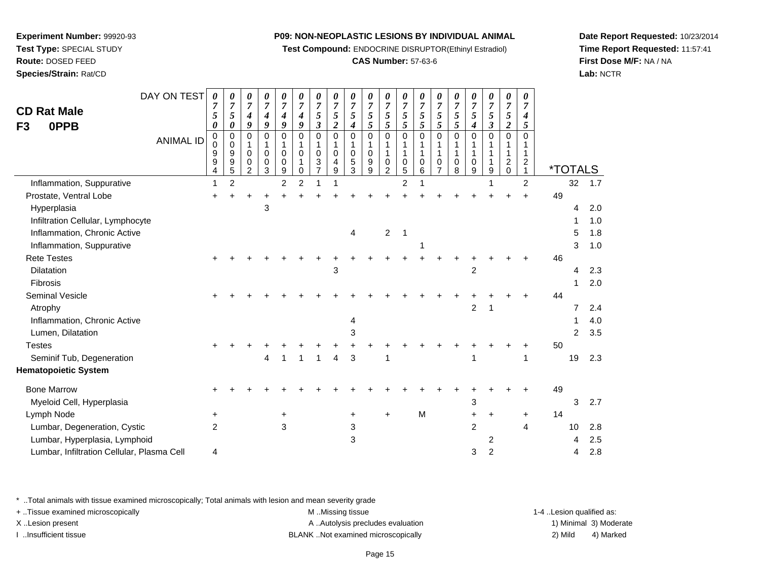**Test Compound:** ENDOCRINE DISRUPTOR(Ethinyl Estradiol)

#### **CAS Number:** 57-63-6

**Date Report Requested:** 10/23/2014**Time Report Requested:** 11:57:41**First Dose M/F:** NA / NA**Lab:** NCTR

| DAY ON TEST<br><b>CD Rat Male</b><br>0PPB<br>F3<br><b>ANIMAL ID</b>                                         | 0<br>7<br>5<br>0<br>0<br>0<br>9<br>9<br>4 | 0<br>$\overline{7}$<br>$\sqrt{5}$<br>0<br>0<br>0<br>9<br>9<br>5 | 0<br>$\overline{7}$<br>$\boldsymbol{4}$<br>9<br>0<br>0<br>0<br>2 | 0<br>$\overline{7}$<br>$\boldsymbol{4}$<br>9<br>$\Omega$<br>0<br>0<br>3 | 0<br>7<br>$\boldsymbol{4}$<br>9<br>0<br>0<br>0<br>9 | 0<br>7<br>4<br>9<br>$\Omega$<br>$\Omega$<br>$\Omega$ | 0<br>$\overline{7}$<br>5<br>$\mathfrak{z}$<br>$\Omega$<br>0<br>3<br>$\overline{7}$ | 0<br>$\overline{7}$<br>$\mathfrak{s}$<br>$\boldsymbol{2}$<br>$\mathbf 0$<br>1<br>0<br>4<br>9 | 0<br>$\overline{7}$<br>5<br>4<br>$\Omega$<br>0<br>$\,$ 5 $\,$<br>3 | 0<br>$\overline{7}$<br>5<br>$\mathfrak{s}$<br>$\mathbf 0$<br>$\mathbf{1}$<br>$\mathbf 0$<br>9<br>9 | 0<br>$\boldsymbol{7}$<br>5<br>5<br>$\mathbf 0$<br>1<br>1<br>0<br>$\overline{2}$ | 0<br>7<br>$\mathfrak{s}$<br>5<br>$\Omega$<br>0<br>5 | 0<br>$\overline{7}$<br>$\sqrt{5}$<br>5<br>0<br>1<br>1<br>0<br>6 | 0<br>$\overline{7}$<br>$\sqrt{5}$<br>$5\overline{)}$<br>$\Omega$<br>1<br>0<br>$\overline{7}$ | 0<br>$\overline{7}$<br>5<br>5<br>$\Omega$<br>$\mathbf 1$<br>0<br>8 | 0<br>$\overline{7}$<br>5<br>$\boldsymbol{4}$<br>$\Omega$<br>1<br>0<br>9 | 0<br>$\overline{7}$<br>5<br>$\boldsymbol{\beta}$<br>0<br>9 | 0<br>$\overline{7}$<br>5<br>$\boldsymbol{2}$<br>$\Omega$<br>$\overline{\mathbf{c}}$<br>$\Omega$ | 0<br>$\overline{7}$<br>4<br>5<br>$\Omega$<br>1<br>2<br>1 |          | <i><b>*TOTALS</b></i> |                   |
|-------------------------------------------------------------------------------------------------------------|-------------------------------------------|-----------------------------------------------------------------|------------------------------------------------------------------|-------------------------------------------------------------------------|-----------------------------------------------------|------------------------------------------------------|------------------------------------------------------------------------------------|----------------------------------------------------------------------------------------------|--------------------------------------------------------------------|----------------------------------------------------------------------------------------------------|---------------------------------------------------------------------------------|-----------------------------------------------------|-----------------------------------------------------------------|----------------------------------------------------------------------------------------------|--------------------------------------------------------------------|-------------------------------------------------------------------------|------------------------------------------------------------|-------------------------------------------------------------------------------------------------|----------------------------------------------------------|----------|-----------------------|-------------------|
| Inflammation, Suppurative                                                                                   | 1                                         | $\overline{2}$                                                  |                                                                  |                                                                         | $\overline{2}$                                      | $\overline{2}$                                       |                                                                                    | 1                                                                                            |                                                                    |                                                                                                    |                                                                                 | $\overline{2}$                                      |                                                                 |                                                                                              |                                                                    |                                                                         |                                                            |                                                                                                 | $\overline{2}$                                           |          | 32                    | 1.7               |
| Prostate, Ventral Lobe                                                                                      | $\ddot{}$                                 |                                                                 |                                                                  |                                                                         |                                                     |                                                      |                                                                                    |                                                                                              |                                                                    |                                                                                                    |                                                                                 |                                                     |                                                                 |                                                                                              |                                                                    |                                                                         |                                                            |                                                                                                 |                                                          | 49       |                       |                   |
| Hyperplasia<br>Infiltration Cellular, Lymphocyte<br>Inflammation, Chronic Active                            |                                           |                                                                 |                                                                  | 3                                                                       |                                                     |                                                      |                                                                                    |                                                                                              | 4                                                                  |                                                                                                    | $\overline{2}$                                                                  | $\mathbf{1}$                                        |                                                                 |                                                                                              |                                                                    |                                                                         |                                                            |                                                                                                 |                                                          |          | 4<br>5                | 2.0<br>1.0<br>1.8 |
| Inflammation, Suppurative                                                                                   |                                           |                                                                 |                                                                  |                                                                         |                                                     |                                                      |                                                                                    |                                                                                              |                                                                    |                                                                                                    |                                                                                 |                                                     |                                                                 |                                                                                              |                                                                    |                                                                         |                                                            |                                                                                                 |                                                          |          | 3                     | 1.0               |
| <b>Rete Testes</b><br><b>Dilatation</b><br>Fibrosis<br><b>Seminal Vesicle</b>                               |                                           |                                                                 |                                                                  |                                                                         |                                                     |                                                      |                                                                                    | 3                                                                                            |                                                                    |                                                                                                    |                                                                                 |                                                     |                                                                 |                                                                                              |                                                                    | $\overline{c}$                                                          |                                                            |                                                                                                 |                                                          | 46<br>44 | 4                     | 2.3<br>2.0        |
| Atrophy<br>Inflammation, Chronic Active<br>Lumen, Dilatation                                                |                                           |                                                                 |                                                                  |                                                                         |                                                     |                                                      |                                                                                    |                                                                                              | 4<br>3                                                             |                                                                                                    |                                                                                 |                                                     |                                                                 |                                                                                              |                                                                    | $\overline{2}$                                                          | 1                                                          |                                                                                                 |                                                          |          | 7<br>2                | 2.4<br>4.0<br>3.5 |
| <b>Testes</b>                                                                                               |                                           |                                                                 |                                                                  |                                                                         |                                                     |                                                      |                                                                                    |                                                                                              |                                                                    |                                                                                                    |                                                                                 |                                                     |                                                                 |                                                                                              |                                                                    |                                                                         |                                                            |                                                                                                 |                                                          | 50       |                       |                   |
| Seminif Tub, Degeneration<br><b>Hematopoietic System</b>                                                    |                                           |                                                                 |                                                                  | 4                                                                       |                                                     | 1                                                    | 1                                                                                  | 4                                                                                            | 3                                                                  |                                                                                                    | 1                                                                               |                                                     |                                                                 |                                                                                              |                                                                    | 1                                                                       |                                                            |                                                                                                 |                                                          |          | 19                    | 2.3               |
| <b>Bone Marrow</b><br>Myeloid Cell, Hyperplasia                                                             |                                           |                                                                 |                                                                  |                                                                         |                                                     |                                                      |                                                                                    |                                                                                              |                                                                    |                                                                                                    |                                                                                 |                                                     |                                                                 |                                                                                              |                                                                    | 3                                                                       |                                                            |                                                                                                 |                                                          | 49       | 3                     | 2.7               |
| Lymph Node                                                                                                  | $\ddot{}$                                 |                                                                 |                                                                  |                                                                         | +                                                   |                                                      |                                                                                    |                                                                                              |                                                                    |                                                                                                    | $\ddot{}$                                                                       |                                                     | M                                                               |                                                                                              |                                                                    | +                                                                       | $\ddot{}$                                                  |                                                                                                 | +                                                        | 14       |                       |                   |
| Lumbar, Degeneration, Cystic<br>Lumbar, Hyperplasia, Lymphoid<br>Lumbar, Infiltration Cellular, Plasma Cell | $\overline{2}$<br>4                       |                                                                 |                                                                  |                                                                         | 3                                                   |                                                      |                                                                                    |                                                                                              | 3<br>3                                                             |                                                                                                    |                                                                                 |                                                     |                                                                 |                                                                                              |                                                                    | $\overline{2}$<br>3                                                     | 2<br>$\overline{c}$                                        |                                                                                                 | 4                                                        |          | 10<br>4               | 2.8<br>2.5<br>2.8 |

\* ..Total animals with tissue examined microscopically; Total animals with lesion and mean severity grade

**Experiment Number:** 99920-93**Test Type:** SPECIAL STUDY**Route:** DOSED FEED**Species/Strain:** Rat/CD

+ ..Tissue examined microscopically examined microscopically examined as:  $M$  ..Missing tissue 1-4 ..Lesion qualified as: X..Lesion present **A ..Autolysis precludes evaluation** A ..Autolysis precludes evaluation 1) Minimal 3) Moderate

I ..Insufficient tissue BLANK ..Not examined microscopically 2) Mild 4) Marked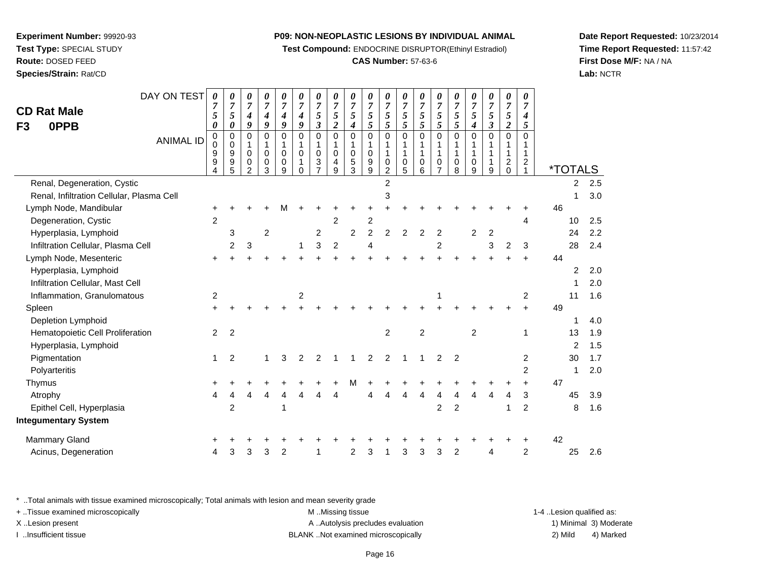**Test Compound:** ENDOCRINE DISRUPTOR(Ethinyl Estradiol)

#### **CAS Number:** 57-63-6

**Date Report Requested:** 10/23/2014**Time Report Requested:** 11:57:42**First Dose M/F:** NA / NA**Lab:** NCTR

| DAY ON TEST<br><b>CD Rat Male</b><br>0PPB<br>F3 | 0<br>5<br>0           | 0<br>7<br>5<br>0      | 0<br>$\overline{7}$<br>$\boldsymbol{4}$<br>9 | 0<br>7<br>4<br>9                         | 0<br>$\overline{7}$<br>$\boldsymbol{4}$<br>9 | 0<br>7<br>4<br>9                         | 0<br>$\overline{7}$<br>5<br>$\boldsymbol{\beta}$ | 0<br>$\overline{7}$<br>$\sqrt{5}$<br>$\boldsymbol{2}$ | 0<br>$\overline{7}$<br>5<br>4          | 0<br>$\overline{7}$<br>$\overline{5}$<br>5        | 0<br>$\overline{7}$<br>5<br>$\sqrt{5}$    | 0<br>$\overline{7}$<br>5<br>$\sqrt{5}$ | 0<br>$\overline{7}$<br>$\mathfrak{s}$<br>5 | 0<br>$\overline{7}$<br>5<br>5                   | 0<br>7<br>$\mathfrak{s}$<br>5              | 0<br>$\overline{7}$<br>5<br>$\boldsymbol{4}$ | 0<br>$\overline{7}$<br>5<br>$\boldsymbol{\beta}$ | 0<br>$\overline{7}$<br>5<br>$\boldsymbol{2}$     | 0<br>$\overline{7}$<br>$\boldsymbol{4}$<br>5 |                       |                |     |
|-------------------------------------------------|-----------------------|-----------------------|----------------------------------------------|------------------------------------------|----------------------------------------------|------------------------------------------|--------------------------------------------------|-------------------------------------------------------|----------------------------------------|---------------------------------------------------|-------------------------------------------|----------------------------------------|--------------------------------------------|-------------------------------------------------|--------------------------------------------|----------------------------------------------|--------------------------------------------------|--------------------------------------------------|----------------------------------------------|-----------------------|----------------|-----|
| <b>ANIMAL ID</b>                                | 0<br>0<br>9<br>9<br>4 | 0<br>0<br>9<br>9<br>5 | $\Omega$<br>1<br>$\mathbf 0$<br>0<br>2       | $\Omega$<br>$\mathbf 0$<br>$\Omega$<br>3 | $\Omega$<br>1<br>$\mathbf 0$<br>0<br>9       | $\Omega$<br>1<br>$\mathbf 0$<br>$\Omega$ | $\Omega$<br>$\mathbf 0$<br>3<br>$\overline{7}$   | $\mathbf 0$<br>1<br>0<br>4<br>9                       | $\Omega$<br>1<br>$\mathbf 0$<br>5<br>3 | $\mathbf 0$<br>$\mathbf 1$<br>$\pmb{0}$<br>9<br>9 | $\Omega$<br>1<br>1<br>0<br>$\overline{2}$ | $\Omega$<br>1<br>0<br>5                | $\mathbf 0$<br>1<br>1<br>0<br>6            | $\Omega$<br>$\mathbf{1}$<br>0<br>$\overline{7}$ | $\mathbf 0$<br>1<br>$\mathbf{1}$<br>0<br>8 | $\Omega$<br>1<br>1<br>$\mathbf 0$<br>9       | $\Omega$<br>9                                    | $\Omega$<br>1<br>1<br>$\overline{c}$<br>$\Omega$ | $\Omega$<br>1<br>$\overline{\mathbf{c}}$     | <i><b>*TOTALS</b></i> |                |     |
| Renal, Degeneration, Cystic                     |                       |                       |                                              |                                          |                                              |                                          |                                                  |                                                       |                                        |                                                   | $\overline{2}$                            |                                        |                                            |                                                 |                                            |                                              |                                                  |                                                  |                                              |                       | $\overline{2}$ | 2.5 |
| Renal, Infiltration Cellular, Plasma Cell       |                       |                       |                                              |                                          |                                              |                                          |                                                  |                                                       |                                        |                                                   | 3                                         |                                        |                                            |                                                 |                                            |                                              |                                                  |                                                  |                                              |                       |                | 3.0 |
| Lymph Node, Mandibular                          | +                     |                       |                                              |                                          |                                              |                                          |                                                  |                                                       |                                        |                                                   |                                           |                                        |                                            |                                                 |                                            |                                              |                                                  |                                                  |                                              | 46                    |                |     |
| Degeneration, Cystic                            | $\overline{2}$        |                       |                                              |                                          |                                              |                                          |                                                  | $\overline{2}$                                        |                                        | $\overline{c}$                                    |                                           |                                        |                                            |                                                 |                                            |                                              |                                                  |                                                  | 4                                            |                       | 10             | 2.5 |
| Hyperplasia, Lymphoid                           |                       | 3                     |                                              | $\overline{c}$                           |                                              |                                          | $\overline{c}$                                   |                                                       | 2                                      | 2                                                 | $\overline{2}$                            | $\overline{2}$                         | $\overline{2}$                             | $\overline{c}$                                  |                                            | $\overline{c}$                               | $\overline{c}$                                   |                                                  |                                              |                       | 24             | 2.2 |
| Infiltration Cellular, Plasma Cell              |                       | 2                     | 3                                            |                                          |                                              |                                          | 3                                                | $\overline{2}$                                        |                                        | 4                                                 |                                           |                                        |                                            | $\overline{c}$                                  |                                            |                                              | 3                                                | $\overline{2}$                                   | 3                                            |                       | 28             | 2.4 |
| Lymph Node, Mesenteric                          | ٠                     |                       |                                              |                                          |                                              |                                          |                                                  |                                                       |                                        |                                                   |                                           |                                        |                                            |                                                 |                                            |                                              |                                                  |                                                  |                                              | 44                    |                |     |
| Hyperplasia, Lymphoid                           |                       |                       |                                              |                                          |                                              |                                          |                                                  |                                                       |                                        |                                                   |                                           |                                        |                                            |                                                 |                                            |                                              |                                                  |                                                  |                                              |                       | $\overline{2}$ | 2.0 |
| Infiltration Cellular, Mast Cell                |                       |                       |                                              |                                          |                                              |                                          |                                                  |                                                       |                                        |                                                   |                                           |                                        |                                            |                                                 |                                            |                                              |                                                  |                                                  |                                              |                       |                | 2.0 |
| Inflammation, Granulomatous                     | $\overline{2}$        |                       |                                              |                                          |                                              | $\overline{c}$                           |                                                  |                                                       |                                        |                                                   |                                           |                                        |                                            |                                                 |                                            |                                              |                                                  |                                                  | 2                                            |                       | 11             | 1.6 |
| Spleen                                          |                       |                       |                                              |                                          |                                              |                                          |                                                  |                                                       |                                        |                                                   |                                           |                                        |                                            |                                                 |                                            |                                              |                                                  |                                                  |                                              | 49                    |                |     |
| Depletion Lymphoid                              |                       |                       |                                              |                                          |                                              |                                          |                                                  |                                                       |                                        |                                                   |                                           |                                        |                                            |                                                 |                                            |                                              |                                                  |                                                  |                                              |                       |                | 4.0 |
| Hematopoietic Cell Proliferation                | $\overline{2}$        | $\overline{2}$        |                                              |                                          |                                              |                                          |                                                  |                                                       |                                        |                                                   | $\overline{c}$                            |                                        | $\overline{2}$                             |                                                 |                                            | $\overline{2}$                               |                                                  |                                                  |                                              |                       | 13             | 1.9 |
| Hyperplasia, Lymphoid                           |                       |                       |                                              |                                          |                                              |                                          |                                                  |                                                       |                                        |                                                   |                                           |                                        |                                            |                                                 |                                            |                                              |                                                  |                                                  |                                              |                       | 2              | 1.5 |
| Pigmentation                                    | 1                     | 2                     |                                              | 1                                        | 3                                            | 2                                        | $\overline{c}$                                   | 1                                                     |                                        | 2                                                 | 2                                         |                                        | 1                                          | $\overline{2}$                                  | 2                                          |                                              |                                                  |                                                  | $\overline{2}$                               |                       | 30             | 1.7 |
| Polyarteritis                                   |                       |                       |                                              |                                          |                                              |                                          |                                                  |                                                       |                                        |                                                   |                                           |                                        |                                            |                                                 |                                            |                                              |                                                  |                                                  | 2                                            |                       | 1              | 2.0 |
| Thymus                                          |                       |                       |                                              |                                          |                                              |                                          |                                                  |                                                       | м                                      |                                                   |                                           |                                        |                                            |                                                 |                                            |                                              |                                                  |                                                  |                                              | 47                    |                |     |
| Atrophy                                         | 4                     |                       |                                              |                                          |                                              |                                          |                                                  |                                                       |                                        | 4                                                 |                                           | Δ                                      | 4                                          | 4                                               | 4                                          |                                              | 4                                                | 4                                                | 3                                            |                       | 45             | 3.9 |
| Epithel Cell, Hyperplasia                       |                       | $\overline{2}$        |                                              |                                          |                                              |                                          |                                                  |                                                       |                                        |                                                   |                                           |                                        |                                            | $\overline{2}$                                  | $\overline{c}$                             |                                              |                                                  | 1                                                | $\overline{2}$                               |                       | 8              | 1.6 |
| <b>Integumentary System</b>                     |                       |                       |                                              |                                          |                                              |                                          |                                                  |                                                       |                                        |                                                   |                                           |                                        |                                            |                                                 |                                            |                                              |                                                  |                                                  |                                              |                       |                |     |
| Mammary Gland                                   |                       |                       |                                              |                                          |                                              |                                          |                                                  |                                                       |                                        |                                                   |                                           |                                        |                                            |                                                 |                                            |                                              |                                                  |                                                  |                                              | 42                    |                |     |
| Acinus, Degeneration                            | 4                     | 3                     | 3                                            | 3                                        | $\overline{2}$                               |                                          |                                                  |                                                       | 2                                      | 3                                                 |                                           | 3                                      | 3                                          | 3                                               | $\overline{c}$                             |                                              | 4                                                |                                                  | $\overline{2}$                               |                       | 25             | 2.6 |
|                                                 |                       |                       |                                              |                                          |                                              |                                          |                                                  |                                                       |                                        |                                                   |                                           |                                        |                                            |                                                 |                                            |                                              |                                                  |                                                  |                                              |                       |                |     |

\* ..Total animals with tissue examined microscopically; Total animals with lesion and mean severity grade

**Experiment Number:** 99920-93**Test Type:** SPECIAL STUDY**Route:** DOSED FEED**Species/Strain:** Rat/CD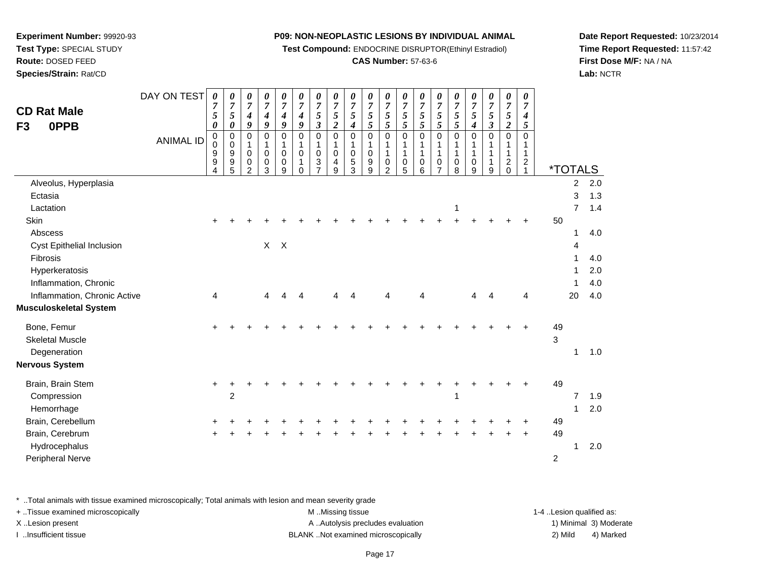**Test Compound:** ENDOCRINE DISRUPTOR(Ethinyl Estradiol)

#### **CAS Number:** 57-63-6

**Date Report Requested:** 10/23/2014**Time Report Requested:** 11:57:42**First Dose M/F:** NA / NA**Lab:** NCTR

| <b>CD Rat Male</b><br>0PPB<br>F3                                          | DAY ON TEST      | $\boldsymbol{\theta}$<br>7<br>$\mathfrak{s}$<br>0 | 0<br>$\overline{7}$<br>$\sqrt{5}$<br>$\pmb{\theta}$      | 0<br>$\overline{7}$<br>$\boldsymbol{4}$<br>9                      | 0<br>$\overline{7}$<br>$\boldsymbol{4}$<br>9 | 0<br>$\overline{7}$<br>4<br>9 | 0<br>7<br>$\boldsymbol{4}$<br>9 | 0<br>$\overline{7}$<br>5<br>$\mathfrak{z}$                    | 0<br>$\overline{7}$<br>$\sqrt{5}$<br>$\boldsymbol{2}$ | 0<br>$\boldsymbol{7}$<br>5<br>4         | 0<br>$\overline{7}$<br>5<br>5     | 0<br>$\boldsymbol{7}$<br>$\mathfrak{s}$<br>5                     | 0<br>$\boldsymbol{7}$<br>$\mathfrak{s}$<br>$\mathfrak{s}$ | 0<br>$\overline{7}$<br>$\mathfrak{s}$<br>5 | 0<br>$\overline{7}$<br>5<br>5             | 0<br>$\overline{7}$<br>5<br>5      | 0<br>$\overline{7}$<br>5<br>$\boldsymbol{4}$ | 0<br>$\boldsymbol{7}$<br>5<br>$\mathfrak{z}$ | 0<br>$\overline{7}$<br>$\sqrt{5}$<br>$\boldsymbol{2}$        | 0<br>$\overline{7}$<br>4<br>5                                           |                            |                                       |                   |
|---------------------------------------------------------------------------|------------------|---------------------------------------------------|----------------------------------------------------------|-------------------------------------------------------------------|----------------------------------------------|-------------------------------|---------------------------------|---------------------------------------------------------------|-------------------------------------------------------|-----------------------------------------|-----------------------------------|------------------------------------------------------------------|-----------------------------------------------------------|--------------------------------------------|-------------------------------------------|------------------------------------|----------------------------------------------|----------------------------------------------|--------------------------------------------------------------|-------------------------------------------------------------------------|----------------------------|---------------------------------------|-------------------|
|                                                                           | <b>ANIMAL ID</b> | $\mathbf 0$<br>0<br>9<br>9<br>4                   | $\mathbf 0$<br>$\mathbf 0$<br>$\boldsymbol{9}$<br>9<br>5 | $\mathbf 0$<br>$\mathbf{1}$<br>$\mathbf 0$<br>0<br>$\overline{2}$ | 0<br>$\mathbf{1}$<br>0<br>0<br>3             | 0<br>1<br>0<br>0<br>9         | 0<br>1<br>$\Omega$<br>$\Omega$  | $\Omega$<br>$\mathbf 1$<br>$\mathbf 0$<br>3<br>$\overline{7}$ | $\Omega$<br>1<br>$\mathbf 0$<br>4<br>9                | $\mathbf 0$<br>1<br>$\pmb{0}$<br>5<br>3 | $\Omega$<br>$\mathbf 0$<br>9<br>9 | $\pmb{0}$<br>$\mathbf{1}$<br>$\mathbf{1}$<br>0<br>$\overline{c}$ | $\mathbf 0$<br>$\mathbf{1}$<br>$\mathbf{1}$<br>0<br>5     | $\Omega$<br>$\mathbf{1}$<br>1<br>0<br>6    | $\Omega$<br>1<br>1<br>0<br>$\overline{7}$ | $\Omega$<br>$\mathbf{1}$<br>0<br>8 | $\overline{0}$<br>1<br>0<br>9                | $\Omega$<br>9                                | $\mathbf 0$<br>$\mathbf{1}$<br>$\mathbf{1}$<br>$\frac{2}{0}$ | $\Omega$<br>1<br>$\mathbf{1}$<br>$\overline{2}$<br>$\blacktriangleleft$ |                            | <i><b>*TOTALS</b></i>                 |                   |
| Alveolus, Hyperplasia<br>Ectasia<br>Lactation                             |                  |                                                   |                                                          |                                                                   |                                              |                               |                                 |                                                               |                                                       |                                         |                                   |                                                                  |                                                           |                                            |                                           | 1                                  |                                              |                                              |                                                              |                                                                         |                            | $\overline{2}$<br>3<br>$\overline{7}$ | 2.0<br>1.3<br>1.4 |
| Skin<br>Abscess<br>Cyst Epithelial Inclusion                              |                  |                                                   |                                                          |                                                                   | X                                            | $\mathsf{X}$                  |                                 |                                                               |                                                       |                                         |                                   |                                                                  |                                                           |                                            |                                           |                                    |                                              |                                              |                                                              |                                                                         | 50                         | 1<br>4                                | 4.0               |
| Fibrosis<br>Hyperkeratosis<br>Inflammation, Chronic                       |                  |                                                   |                                                          |                                                                   |                                              |                               |                                 |                                                               |                                                       |                                         |                                   |                                                                  |                                                           |                                            |                                           |                                    |                                              |                                              |                                                              |                                                                         |                            | $\mathbf{1}$<br>1<br>1                | 4.0<br>2.0<br>4.0 |
| Inflammation, Chronic Active<br>Musculoskeletal System                    |                  | 4                                                 |                                                          |                                                                   |                                              |                               |                                 |                                                               | 4                                                     | Δ                                       |                                   | 4                                                                |                                                           | 4                                          |                                           |                                    |                                              | 4                                            |                                                              | 4                                                                       |                            | 20                                    | 4.0               |
| Bone, Femur<br><b>Skeletal Muscle</b><br>Degeneration<br>Nervous System   |                  |                                                   |                                                          |                                                                   |                                              |                               |                                 |                                                               |                                                       |                                         |                                   |                                                                  |                                                           |                                            |                                           |                                    |                                              |                                              |                                                              |                                                                         | 49<br>3                    | $\mathbf{1}$                          | 1.0               |
| Brain, Brain Stem<br>Compression<br>Hemorrhage                            |                  |                                                   | $\overline{c}$                                           |                                                                   |                                              |                               |                                 |                                                               |                                                       |                                         |                                   |                                                                  |                                                           |                                            |                                           |                                    |                                              |                                              |                                                              |                                                                         | 49                         | $\overline{7}$<br>$\mathbf{1}$        | 1.9<br>2.0        |
| Brain, Cerebellum<br>Brain, Cerebrum<br>Hydrocephalus<br>Peripheral Nerve |                  |                                                   |                                                          |                                                                   |                                              |                               |                                 |                                                               |                                                       |                                         |                                   |                                                                  |                                                           |                                            |                                           |                                    |                                              |                                              |                                                              |                                                                         | 49<br>49<br>$\overline{2}$ | $\mathbf{1}$                          | 2.0               |
|                                                                           |                  |                                                   |                                                          |                                                                   |                                              |                               |                                 |                                                               |                                                       |                                         |                                   |                                                                  |                                                           |                                            |                                           |                                    |                                              |                                              |                                                              |                                                                         |                            |                                       |                   |

\* ..Total animals with tissue examined microscopically; Total animals with lesion and mean severity grade

**Experiment Number:** 99920-93**Test Type:** SPECIAL STUDY**Route:** DOSED FEED**Species/Strain:** Rat/CD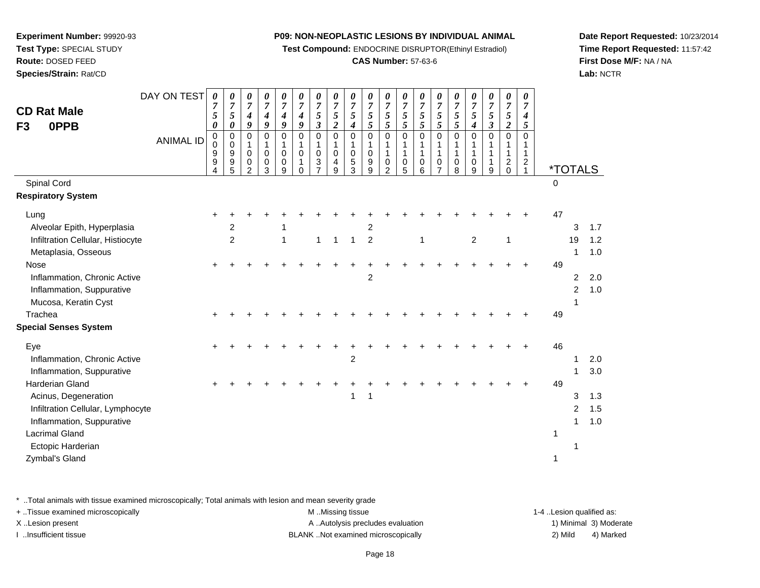**Test Compound:** ENDOCRINE DISRUPTOR(Ethinyl Estradiol)

#### **CAS Number:** 57-63-6

**Date Report Requested:** 10/23/2014**Time Report Requested:** 11:57:42**First Dose M/F:** NA / NA**Lab:** NCTR

| <b>CD Rat Male</b><br>0PPB<br>F3            | DAY ON TEST<br><b>ANIMAL ID</b> | 0<br>7<br>5<br>0<br>0<br>0<br>9<br>9<br>4 | 0<br>7<br>5<br>0<br>0<br>$\mathbf 0$<br>$\boldsymbol{9}$<br>9<br>5 | 0<br>7<br>4<br>9<br>0<br>$\mathbf 0$<br>0<br>$\mathcal{P}$ | 0<br>$\overline{7}$<br>4<br>9<br>0<br>1<br>$\mathbf 0$<br>0<br>3 | 0<br>7<br>$\boldsymbol{4}$<br>9<br>$\Omega$<br>1<br>$\mathbf 0$<br>0<br>$\mathbf{Q}$ | 0<br>7<br>$\boldsymbol{4}$<br>9<br>$\Omega$<br>1<br>$\Omega$<br>$\Omega$ | 0<br>7<br>5<br>$\boldsymbol{\beta}$<br>$\Omega$<br>1<br>$\mathbf 0$<br>3 | 0<br>$\overline{7}$<br>5<br>$\overline{c}$<br>$\mathbf 0$<br>1<br>$\mathbf 0$<br>4<br>9 | 0<br>$\overline{7}$<br>5<br>$\boldsymbol{4}$<br>0<br>$\mathbf{1}$<br>$\mathbf 0$<br>5<br>3 | 0<br>7<br>5<br>5<br>$\Omega$<br>1<br>$\pmb{0}$<br>9<br>9 | 0<br>7<br>5<br>5<br>$\mathbf 0$<br>1<br>1<br>0<br>$\mathfrak{p}$ | 0<br>7<br>$\sqrt{5}$<br>5<br>$\mathbf 0$<br>1<br>$\mathbf{1}$<br>0<br>5 | 0<br>7<br>5<br>5<br>$\Omega$<br>$\mathbf{1}$<br>0<br>6 | 0<br>$\overline{7}$<br>$\sqrt{5}$<br>5<br>$\Omega$<br>1<br>$\mathbf{1}$<br>0 | 0<br>7<br>5<br>5<br>$\Omega$<br>$\mathbf{1}$<br>0<br>8 | 0<br>7<br>5<br>4<br>$\Omega$<br>$\overline{1}$<br>$\mathbf 0$<br>9 | 0<br>$\overline{7}$<br>5<br>3<br>$\Omega$<br>1<br>9 | 0<br>7<br>5<br>$\overline{\mathbf{c}}$<br>0<br>1<br>1<br>$\overline{\mathbf{c}}$<br>0 | 0<br>7<br>$\boldsymbol{4}$<br>5<br>$\Omega$<br>1<br>$\mathbf{1}$<br>$\overline{c}$ | <i><b>*TOTALS</b></i> |                                  |     |
|---------------------------------------------|---------------------------------|-------------------------------------------|--------------------------------------------------------------------|------------------------------------------------------------|------------------------------------------------------------------|--------------------------------------------------------------------------------------|--------------------------------------------------------------------------|--------------------------------------------------------------------------|-----------------------------------------------------------------------------------------|--------------------------------------------------------------------------------------------|----------------------------------------------------------|------------------------------------------------------------------|-------------------------------------------------------------------------|--------------------------------------------------------|------------------------------------------------------------------------------|--------------------------------------------------------|--------------------------------------------------------------------|-----------------------------------------------------|---------------------------------------------------------------------------------------|------------------------------------------------------------------------------------|-----------------------|----------------------------------|-----|
| Spinal Cord<br><b>Respiratory System</b>    |                                 |                                           |                                                                    |                                                            |                                                                  |                                                                                      |                                                                          |                                                                          |                                                                                         |                                                                                            |                                                          |                                                                  |                                                                         |                                                        |                                                                              |                                                        |                                                                    |                                                     |                                                                                       |                                                                                    | $\Omega$              |                                  |     |
|                                             |                                 |                                           |                                                                    |                                                            |                                                                  |                                                                                      |                                                                          |                                                                          |                                                                                         |                                                                                            |                                                          |                                                                  |                                                                         |                                                        |                                                                              |                                                        |                                                                    |                                                     |                                                                                       |                                                                                    |                       |                                  |     |
| Lung                                        |                                 |                                           |                                                                    |                                                            |                                                                  |                                                                                      |                                                                          |                                                                          |                                                                                         |                                                                                            |                                                          |                                                                  |                                                                         |                                                        |                                                                              |                                                        |                                                                    |                                                     |                                                                                       |                                                                                    | 47                    |                                  |     |
| Alveolar Epith, Hyperplasia                 |                                 |                                           | 2                                                                  |                                                            |                                                                  | 1                                                                                    |                                                                          |                                                                          |                                                                                         |                                                                                            | 2                                                        |                                                                  |                                                                         |                                                        |                                                                              |                                                        |                                                                    |                                                     |                                                                                       |                                                                                    |                       | 3                                | 1.7 |
| Infiltration Cellular, Histiocyte           |                                 |                                           | $\overline{2}$                                                     |                                                            |                                                                  | $\mathbf{1}$                                                                         |                                                                          | $\mathbf{1}$                                                             | $\mathbf{1}$                                                                            | $\mathbf{1}$                                                                               | $\overline{c}$                                           |                                                                  |                                                                         | 1                                                      |                                                                              |                                                        | $\overline{c}$                                                     |                                                     | $\mathbf{1}$                                                                          |                                                                                    |                       | 19                               | 1.2 |
| Metaplasia, Osseous                         |                                 |                                           |                                                                    |                                                            |                                                                  |                                                                                      |                                                                          |                                                                          |                                                                                         |                                                                                            |                                                          |                                                                  |                                                                         |                                                        |                                                                              |                                                        |                                                                    |                                                     |                                                                                       |                                                                                    |                       | 1                                | 1.0 |
| <b>Nose</b><br>Inflammation, Chronic Active |                                 |                                           |                                                                    |                                                            |                                                                  |                                                                                      |                                                                          |                                                                          |                                                                                         |                                                                                            | $\overline{c}$                                           |                                                                  |                                                                         |                                                        |                                                                              |                                                        |                                                                    |                                                     |                                                                                       |                                                                                    | 49                    |                                  | 2.0 |
| Inflammation, Suppurative                   |                                 |                                           |                                                                    |                                                            |                                                                  |                                                                                      |                                                                          |                                                                          |                                                                                         |                                                                                            |                                                          |                                                                  |                                                                         |                                                        |                                                                              |                                                        |                                                                    |                                                     |                                                                                       |                                                                                    |                       | $\overline{c}$<br>$\overline{c}$ | 1.0 |
| Mucosa, Keratin Cyst                        |                                 |                                           |                                                                    |                                                            |                                                                  |                                                                                      |                                                                          |                                                                          |                                                                                         |                                                                                            |                                                          |                                                                  |                                                                         |                                                        |                                                                              |                                                        |                                                                    |                                                     |                                                                                       |                                                                                    |                       | 1                                |     |
| Trachea                                     |                                 |                                           |                                                                    |                                                            |                                                                  |                                                                                      |                                                                          |                                                                          |                                                                                         |                                                                                            |                                                          |                                                                  |                                                                         |                                                        |                                                                              |                                                        |                                                                    |                                                     |                                                                                       |                                                                                    | 49                    |                                  |     |
| <b>Special Senses System</b>                |                                 |                                           |                                                                    |                                                            |                                                                  |                                                                                      |                                                                          |                                                                          |                                                                                         |                                                                                            |                                                          |                                                                  |                                                                         |                                                        |                                                                              |                                                        |                                                                    |                                                     |                                                                                       |                                                                                    |                       |                                  |     |
| Eye                                         |                                 |                                           |                                                                    |                                                            |                                                                  |                                                                                      |                                                                          |                                                                          |                                                                                         |                                                                                            |                                                          |                                                                  |                                                                         |                                                        |                                                                              |                                                        |                                                                    |                                                     |                                                                                       |                                                                                    | 46                    |                                  |     |
| Inflammation, Chronic Active                |                                 |                                           |                                                                    |                                                            |                                                                  |                                                                                      |                                                                          |                                                                          |                                                                                         | $\overline{2}$                                                                             |                                                          |                                                                  |                                                                         |                                                        |                                                                              |                                                        |                                                                    |                                                     |                                                                                       |                                                                                    |                       | 1                                | 2.0 |
| Inflammation, Suppurative                   |                                 |                                           |                                                                    |                                                            |                                                                  |                                                                                      |                                                                          |                                                                          |                                                                                         |                                                                                            |                                                          |                                                                  |                                                                         |                                                        |                                                                              |                                                        |                                                                    |                                                     |                                                                                       |                                                                                    |                       | 1                                | 3.0 |
| <b>Harderian Gland</b>                      |                                 |                                           |                                                                    |                                                            |                                                                  |                                                                                      |                                                                          |                                                                          |                                                                                         |                                                                                            |                                                          |                                                                  |                                                                         |                                                        |                                                                              |                                                        |                                                                    |                                                     |                                                                                       |                                                                                    | 49                    |                                  |     |
| Acinus, Degeneration                        |                                 |                                           |                                                                    |                                                            |                                                                  |                                                                                      |                                                                          |                                                                          |                                                                                         | 1                                                                                          | 1                                                        |                                                                  |                                                                         |                                                        |                                                                              |                                                        |                                                                    |                                                     |                                                                                       |                                                                                    |                       | 3                                | 1.3 |
| Infiltration Cellular, Lymphocyte           |                                 |                                           |                                                                    |                                                            |                                                                  |                                                                                      |                                                                          |                                                                          |                                                                                         |                                                                                            |                                                          |                                                                  |                                                                         |                                                        |                                                                              |                                                        |                                                                    |                                                     |                                                                                       |                                                                                    |                       | 2                                | 1.5 |
| Inflammation, Suppurative                   |                                 |                                           |                                                                    |                                                            |                                                                  |                                                                                      |                                                                          |                                                                          |                                                                                         |                                                                                            |                                                          |                                                                  |                                                                         |                                                        |                                                                              |                                                        |                                                                    |                                                     |                                                                                       |                                                                                    |                       | 1                                | 1.0 |
| <b>Lacrimal Gland</b>                       |                                 |                                           |                                                                    |                                                            |                                                                  |                                                                                      |                                                                          |                                                                          |                                                                                         |                                                                                            |                                                          |                                                                  |                                                                         |                                                        |                                                                              |                                                        |                                                                    |                                                     |                                                                                       |                                                                                    | 1                     |                                  |     |
| Ectopic Harderian                           |                                 |                                           |                                                                    |                                                            |                                                                  |                                                                                      |                                                                          |                                                                          |                                                                                         |                                                                                            |                                                          |                                                                  |                                                                         |                                                        |                                                                              |                                                        |                                                                    |                                                     |                                                                                       |                                                                                    |                       | 1                                |     |
| Zymbal's Gland                              |                                 |                                           |                                                                    |                                                            |                                                                  |                                                                                      |                                                                          |                                                                          |                                                                                         |                                                                                            |                                                          |                                                                  |                                                                         |                                                        |                                                                              |                                                        |                                                                    |                                                     |                                                                                       |                                                                                    | 1                     |                                  |     |

\* ..Total animals with tissue examined microscopically; Total animals with lesion and mean severity grade

**Experiment Number:** 99920-93**Test Type:** SPECIAL STUDY**Route:** DOSED FEED**Species/Strain:** Rat/CD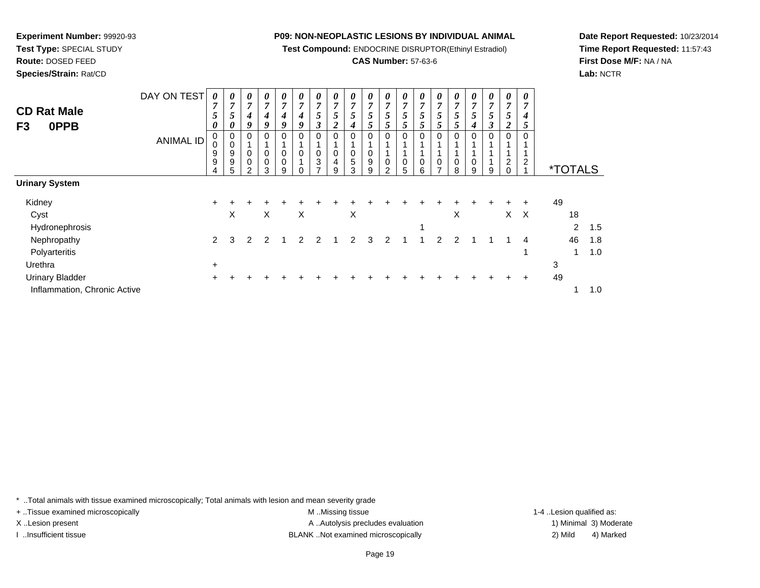**Test Compound:** ENDOCRINE DISRUPTOR(Ethinyl Estradiol)

#### **CAS Number:** 57-63-6

**Date Report Requested:** 10/23/2014**Time Report Requested:** 11:57:43**First Dose M/F:** NA / NA**Lab:** NCTR

| <b>CD Rat Male</b><br>F3<br>0PPB | DAY ON TEST      | $\boldsymbol{\theta}$<br>7<br>5<br>0 | $\boldsymbol{\theta}$<br>$\overline{7}$<br>$5\overline{)}$<br>0 | 0<br>$\overline{ }$<br>4<br>9 | 0<br>$\overline{ }$<br>4<br>9 | 0<br>$\overline{7}$<br>$\boldsymbol{4}$<br>9 | 0<br>$\overline{7}$<br>4<br>9 | 0<br>$\overline{7}$<br>$5\overline{)}$<br>3 | $\boldsymbol{\theta}$<br>$\overline{7}$<br>5<br>$\overline{2}$ | $\boldsymbol{\theta}$<br>$\boldsymbol{7}$<br>5<br>4 | 0<br>$\overline{7}$<br>5<br>5 | $\boldsymbol{7}$<br>5<br>5 | $\boldsymbol{\theta}$<br>7<br>5<br>5 | $\boldsymbol{\theta}$<br>$\overline{7}$<br>5<br>5 | 0<br>7<br>5<br>5 | 0<br>$\overline{7}$<br>5<br>5 | $\boldsymbol{\theta}$<br>$\overline{7}$<br>5<br>4 | 7<br>$5\overline{)}$<br>3 | 0<br>5<br>2   | 0<br>7<br>4<br>5 |                       |    |     |
|----------------------------------|------------------|--------------------------------------|-----------------------------------------------------------------|-------------------------------|-------------------------------|----------------------------------------------|-------------------------------|---------------------------------------------|----------------------------------------------------------------|-----------------------------------------------------|-------------------------------|----------------------------|--------------------------------------|---------------------------------------------------|------------------|-------------------------------|---------------------------------------------------|---------------------------|---------------|------------------|-----------------------|----|-----|
|                                  | <b>ANIMAL ID</b> | 0<br>$\mathbf 0$<br>9<br>9<br>4      | 0<br>$\pmb{0}$<br>9<br>$\boldsymbol{9}$<br>5                    | 0<br>0<br>2                   | 3                             | 0<br>0<br>9                                  | $\Omega$<br>0                 | $\Omega$<br>0<br>3                          | 4<br>9                                                         | 5<br>3                                              | 0<br>0<br>9<br>9              | 0<br>$\mathfrak{p}$        | 5                                    | 0<br>6                                            | $\Omega$<br>0    | $\Omega$<br>$\mathbf 0$<br>8  | 0<br>9                                            | 9                         | 2<br>$\Omega$ | 2                | <i><b>*TOTALS</b></i> |    |     |
| <b>Urinary System</b>            |                  |                                      |                                                                 |                               |                               |                                              |                               |                                             |                                                                |                                                     |                               |                            |                                      |                                                   |                  |                               |                                                   |                           |               |                  |                       |    |     |
| Kidney                           |                  | $\ddot{}$                            |                                                                 |                               |                               |                                              |                               |                                             |                                                                |                                                     |                               |                            |                                      |                                                   |                  |                               |                                                   |                           |               | ٠                | 49                    |    |     |
| Cyst                             |                  |                                      | X                                                               |                               | X                             |                                              | X                             |                                             |                                                                | X                                                   |                               |                            |                                      |                                                   |                  | X                             |                                                   |                           | $\mathsf{X}$  | $\mathsf{X}$     |                       | 18 |     |
| Hydronephrosis                   |                  |                                      |                                                                 |                               |                               |                                              |                               |                                             |                                                                |                                                     |                               |                            |                                      |                                                   |                  |                               |                                                   |                           |               |                  |                       | 2  | 1.5 |
| Nephropathy                      |                  | $\overline{2}$                       | 3                                                               | 2                             | $\mathcal{P}$                 |                                              | $\mathfrak{p}$                | $\overline{2}$                              |                                                                | 2                                                   | 3                             | 2                          |                                      |                                                   | $\overline{c}$   | $\mathfrak{p}$                |                                                   |                           |               | 4                |                       | 46 | 1.8 |
| Polyarteritis                    |                  |                                      |                                                                 |                               |                               |                                              |                               |                                             |                                                                |                                                     |                               |                            |                                      |                                                   |                  |                               |                                                   |                           |               |                  |                       | 1  | 1.0 |
| Urethra                          |                  | $\ddot{}$                            |                                                                 |                               |                               |                                              |                               |                                             |                                                                |                                                     |                               |                            |                                      |                                                   |                  |                               |                                                   |                           |               |                  | 3                     |    |     |
| <b>Urinary Bladder</b>           |                  | $\pm$                                |                                                                 |                               |                               |                                              |                               |                                             |                                                                |                                                     |                               |                            |                                      |                                                   |                  |                               |                                                   |                           |               | $\ddot{}$        | 49                    |    |     |
| Inflammation, Chronic Active     |                  |                                      |                                                                 |                               |                               |                                              |                               |                                             |                                                                |                                                     |                               |                            |                                      |                                                   |                  |                               |                                                   |                           |               |                  |                       |    | 1.0 |
|                                  |                  |                                      |                                                                 |                               |                               |                                              |                               |                                             |                                                                |                                                     |                               |                            |                                      |                                                   |                  |                               |                                                   |                           |               |                  |                       |    |     |

\* ..Total animals with tissue examined microscopically; Total animals with lesion and mean severity grade

**Experiment Number:** 99920-93**Test Type:** SPECIAL STUDY**Route:** DOSED FEED**Species/Strain:** Rat/CD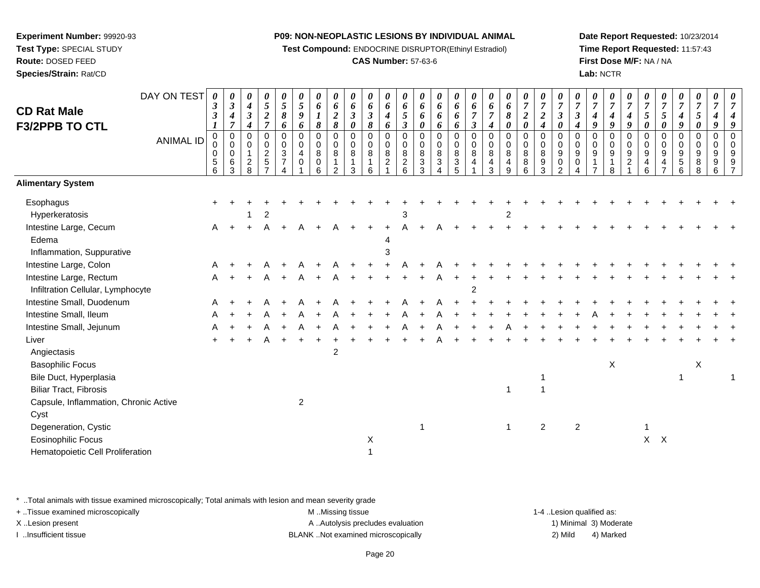**Test Compound:** ENDOCRINE DISRUPTOR(Ethinyl Estradiol)

#### **CAS Number:** 57-63-6

**Date Report Requested:** 10/23/2014**Time Report Requested:** 11:57:43**First Dose M/F:** NA / NA**Lab:** NCTR

| <b>CD Rat Male</b><br><b>F3/2PPB TO CTL</b>                   | DAY ON TEST<br><b>ANIMAL ID</b> | 0<br>3<br>$\boldsymbol{\beta}$<br>$\boldsymbol{l}$<br>$\mathbf 0$<br>0 | 0<br>$\mathfrak{z}$<br>4<br>$\overline{7}$<br>$\mathsf 0$<br>$\mathsf{O}\xspace$ | 0<br>$\boldsymbol{4}$<br>$\boldsymbol{\beta}$<br>$\boldsymbol{4}$<br>$\pmb{0}$<br>$\mathbf 0$ | $\pmb{\theta}$<br>$\mathfrak{s}$<br>$\frac{2}{7}$<br>$\pmb{0}$<br>$\mathbf 0$ | 0<br>$5\overline{)}$<br>8<br>6<br>$\mathbf 0$<br>0 | $\boldsymbol{\theta}$<br>$\sqrt{5}$<br>$\boldsymbol{9}$<br>6<br>$\pmb{0}$<br>0 | 0<br>6<br>$\boldsymbol{l}$<br>8<br>$\pmb{0}$<br>$\mathbf 0$ | 0<br>6<br>$\boldsymbol{2}$<br>$\pmb{8}$<br>$\mathbf 0$<br>$\mathbf 0$ | $\boldsymbol{\theta}$<br>$\pmb{6}$<br>$\boldsymbol{\beta}$<br>$\pmb{\theta}$<br>$\boldsymbol{0}$<br>$\pmb{0}$ | $\boldsymbol{\theta}$<br>6<br>$\boldsymbol{\beta}$<br>$\pmb{8}$<br>$\mathbf 0$<br>$\mathbf 0$ | 0<br>6<br>$\boldsymbol{4}$<br>6<br>$\mathsf 0$<br>$\mathbf 0$ | 0<br>6<br>5<br>$\boldsymbol{\beta}$<br>$\mathbf 0$<br>$\mathbf{0}$ | 0<br>6<br>6<br>$\pmb{\theta}$<br>$\pmb{0}$<br>0 | 0<br>6<br>6<br>6<br>$\mathbf 0$<br>$\mathsf{O}\xspace$ | 0<br>6<br>6<br>6<br>$\mathbf 0$<br>0 | 0<br>6<br>$\overline{7}$<br>$\mathfrak{z}$<br>$\mathbf 0$<br>0 | 0<br>6<br>$\overline{7}$<br>$\boldsymbol{4}$<br>$\mathbf 0$<br>0 | 0<br>6<br>8<br>0<br>$\mathsf 0$<br>$\boldsymbol{0}$ | $\boldsymbol{\theta}$<br>$\boldsymbol{7}$<br>$\boldsymbol{2}$<br>$\pmb{\theta}$<br>$\mathbf 0$<br>$\pmb{0}$ | $\boldsymbol{\theta}$<br>$\overline{7}$<br>$\boldsymbol{2}$<br>$\boldsymbol{4}$<br>$\mathbf 0$<br>$\mathbf 0$ | 0<br>$\overline{7}$<br>$\mathfrak{z}$<br>$\boldsymbol{\theta}$<br>$\mathsf 0$<br>$\mathbf 0$ | $\boldsymbol{\theta}$<br>$\boldsymbol{7}$<br>$\mathbf{3}$<br>4<br>0<br>0 | 0<br>$\boldsymbol{7}$<br>4<br>9<br>$\mathbf 0$<br>$\mathbf 0$ | 0<br>$\overline{7}$<br>$\boldsymbol{4}$<br>9<br>$\mathbf 0$<br>$\mathbf 0$ | 0<br>$\overline{7}$<br>$\boldsymbol{4}$<br>9<br>$\mathbf 0$<br>0 | 0<br>$\overline{7}$<br>$\mathfrak{s}$<br>$\boldsymbol{\theta}$<br>$\mathbf 0$<br>$\pmb{0}$ | 0<br>$\overline{7}$<br>$5\overline{)}$<br>$\pmb{\theta}$<br>0<br>0 | $\boldsymbol{\theta}$<br>$\overline{7}$<br>$\boldsymbol{4}$<br>$\boldsymbol{9}$<br>$\boldsymbol{0}$<br>$\mathbf 0$ | 0<br>$\overline{7}$<br>5<br>$\pmb{\theta}$<br>$\mathbf 0$<br>$\mathbf 0$ | 0<br>$\boldsymbol{7}$<br>$\boldsymbol{4}$<br>9<br>$\mathbf 0$<br>0 | 0<br>$\overline{7}$<br>$\overline{4}$<br>$\boldsymbol{q}$<br>$\mathbf 0$<br>$\Omega$ |
|---------------------------------------------------------------|---------------------------------|------------------------------------------------------------------------|----------------------------------------------------------------------------------|-----------------------------------------------------------------------------------------------|-------------------------------------------------------------------------------|----------------------------------------------------|--------------------------------------------------------------------------------|-------------------------------------------------------------|-----------------------------------------------------------------------|---------------------------------------------------------------------------------------------------------------|-----------------------------------------------------------------------------------------------|---------------------------------------------------------------|--------------------------------------------------------------------|-------------------------------------------------|--------------------------------------------------------|--------------------------------------|----------------------------------------------------------------|------------------------------------------------------------------|-----------------------------------------------------|-------------------------------------------------------------------------------------------------------------|---------------------------------------------------------------------------------------------------------------|----------------------------------------------------------------------------------------------|--------------------------------------------------------------------------|---------------------------------------------------------------|----------------------------------------------------------------------------|------------------------------------------------------------------|--------------------------------------------------------------------------------------------|--------------------------------------------------------------------|--------------------------------------------------------------------------------------------------------------------|--------------------------------------------------------------------------|--------------------------------------------------------------------|--------------------------------------------------------------------------------------|
|                                                               |                                 | $\pmb{0}$<br>$\mathbf 5$<br>6                                          | $\mathbf 0$<br>$\,6\,$<br>3                                                      | $\overline{1}$<br>$\overline{c}$<br>8                                                         | $\boldsymbol{2}$<br>$\sqrt{5}$<br>$\overline{7}$                              | 3<br>$\overline{7}$<br>4                           | 4<br>0                                                                         | 8<br>$\pmb{0}$<br>6                                         | 8<br>$\mathbf{1}$<br>2                                                | $\,8\,$<br>$\mathbf{1}$<br>3                                                                                  | 8<br>$\mathbf{1}$<br>6                                                                        | 8<br>$\overline{2}$                                           | 8<br>$\overline{a}$<br>6                                           | $\,8\,$<br>$\sqrt{3}$<br>3                      | $\,8\,$<br>$\mathbf{3}$<br>4                           | 8<br>$\sqrt{3}$<br>5                 | $\,8\,$<br>4                                                   | 8<br>4<br>3                                                      | 8<br>4<br>9                                         | $\,8\,$<br>$\bf 8$<br>6                                                                                     | 8<br>$\boldsymbol{9}$<br>3                                                                                    | 9<br>$\mathbf 0$<br>$\mathcal{D}$                                                            | $\boldsymbol{9}$<br>$\mathbf 0$<br>4                                     | $\boldsymbol{9}$<br>$\mathbf{1}$<br>$\overline{7}$            | 9<br>$\mathbf{1}$<br>8                                                     | $\boldsymbol{9}$<br>$\boldsymbol{2}$                             | $\boldsymbol{9}$<br>4<br>6                                                                 | $\boldsymbol{9}$<br>4                                              | $\boldsymbol{9}$<br>$\sqrt{5}$<br>6                                                                                | 9<br>8<br>8                                                              | 9<br>9<br>6                                                        | 9<br>9                                                                               |
| <b>Alimentary System</b>                                      |                                 |                                                                        |                                                                                  |                                                                                               |                                                                               |                                                    |                                                                                |                                                             |                                                                       |                                                                                                               |                                                                                               |                                                               |                                                                    |                                                 |                                                        |                                      |                                                                |                                                                  |                                                     |                                                                                                             |                                                                                                               |                                                                                              |                                                                          |                                                               |                                                                            |                                                                  |                                                                                            |                                                                    |                                                                                                                    |                                                                          |                                                                    |                                                                                      |
| Esophagus                                                     |                                 |                                                                        |                                                                                  |                                                                                               |                                                                               |                                                    |                                                                                |                                                             |                                                                       |                                                                                                               |                                                                                               |                                                               |                                                                    |                                                 |                                                        |                                      |                                                                |                                                                  |                                                     |                                                                                                             |                                                                                                               |                                                                                              |                                                                          |                                                               |                                                                            |                                                                  |                                                                                            |                                                                    |                                                                                                                    |                                                                          |                                                                    |                                                                                      |
| Hyperkeratosis                                                |                                 |                                                                        |                                                                                  |                                                                                               | 2                                                                             |                                                    |                                                                                |                                                             |                                                                       |                                                                                                               |                                                                                               |                                                               | 3                                                                  |                                                 |                                                        |                                      |                                                                |                                                                  | $\overline{c}$                                      |                                                                                                             |                                                                                                               |                                                                                              |                                                                          |                                                               |                                                                            |                                                                  |                                                                                            |                                                                    |                                                                                                                    |                                                                          |                                                                    |                                                                                      |
| Intestine Large, Cecum<br>Edema<br>Inflammation, Suppurative  |                                 | Α                                                                      | $\overline{1}$                                                                   |                                                                                               |                                                                               | $\pm$                                              | Α                                                                              |                                                             | A                                                                     |                                                                                                               |                                                                                               | 3                                                             |                                                                    |                                                 |                                                        |                                      |                                                                |                                                                  |                                                     |                                                                                                             |                                                                                                               |                                                                                              |                                                                          |                                                               |                                                                            |                                                                  |                                                                                            |                                                                    |                                                                                                                    |                                                                          |                                                                    |                                                                                      |
| Intestine Large, Colon                                        |                                 | Α                                                                      |                                                                                  |                                                                                               |                                                                               |                                                    |                                                                                |                                                             |                                                                       |                                                                                                               |                                                                                               |                                                               |                                                                    |                                                 |                                                        |                                      |                                                                |                                                                  |                                                     |                                                                                                             |                                                                                                               |                                                                                              |                                                                          |                                                               |                                                                            |                                                                  |                                                                                            |                                                                    |                                                                                                                    |                                                                          |                                                                    |                                                                                      |
| Intestine Large, Rectum<br>Infiltration Cellular, Lymphocyte  |                                 | Α                                                                      | $\div$                                                                           | $\ddot{}$                                                                                     | A                                                                             |                                                    |                                                                                |                                                             |                                                                       |                                                                                                               |                                                                                               |                                                               |                                                                    |                                                 |                                                        |                                      | 2                                                              |                                                                  |                                                     |                                                                                                             |                                                                                                               |                                                                                              |                                                                          |                                                               |                                                                            |                                                                  |                                                                                            |                                                                    |                                                                                                                    |                                                                          |                                                                    |                                                                                      |
| Intestine Small, Duodenum                                     |                                 | A                                                                      |                                                                                  |                                                                                               |                                                                               |                                                    |                                                                                |                                                             |                                                                       |                                                                                                               |                                                                                               |                                                               |                                                                    |                                                 |                                                        |                                      |                                                                |                                                                  |                                                     |                                                                                                             |                                                                                                               |                                                                                              |                                                                          |                                                               |                                                                            |                                                                  |                                                                                            |                                                                    |                                                                                                                    |                                                                          |                                                                    |                                                                                      |
| Intestine Small, Ileum                                        |                                 |                                                                        |                                                                                  |                                                                                               |                                                                               |                                                    |                                                                                |                                                             |                                                                       |                                                                                                               |                                                                                               |                                                               |                                                                    |                                                 |                                                        |                                      |                                                                |                                                                  |                                                     |                                                                                                             |                                                                                                               |                                                                                              |                                                                          |                                                               |                                                                            |                                                                  |                                                                                            |                                                                    |                                                                                                                    |                                                                          |                                                                    |                                                                                      |
| Intestine Small, Jejunum                                      |                                 | Α                                                                      |                                                                                  |                                                                                               |                                                                               |                                                    |                                                                                |                                                             |                                                                       |                                                                                                               |                                                                                               |                                                               |                                                                    |                                                 |                                                        |                                      |                                                                |                                                                  |                                                     |                                                                                                             |                                                                                                               |                                                                                              |                                                                          |                                                               |                                                                            |                                                                  |                                                                                            |                                                                    |                                                                                                                    |                                                                          |                                                                    |                                                                                      |
| Liver<br>Angiectasis                                          |                                 |                                                                        |                                                                                  |                                                                                               |                                                                               |                                                    |                                                                                |                                                             | $\overline{c}$                                                        |                                                                                                               |                                                                                               |                                                               |                                                                    |                                                 |                                                        |                                      |                                                                |                                                                  |                                                     |                                                                                                             |                                                                                                               |                                                                                              |                                                                          |                                                               |                                                                            |                                                                  |                                                                                            |                                                                    |                                                                                                                    |                                                                          |                                                                    |                                                                                      |
| <b>Basophilic Focus</b>                                       |                                 |                                                                        |                                                                                  |                                                                                               |                                                                               |                                                    |                                                                                |                                                             |                                                                       |                                                                                                               |                                                                                               |                                                               |                                                                    |                                                 |                                                        |                                      |                                                                |                                                                  |                                                     |                                                                                                             |                                                                                                               |                                                                                              |                                                                          |                                                               | X                                                                          |                                                                  |                                                                                            |                                                                    |                                                                                                                    | $\mathsf X$                                                              |                                                                    |                                                                                      |
| Bile Duct, Hyperplasia                                        |                                 |                                                                        |                                                                                  |                                                                                               |                                                                               |                                                    |                                                                                |                                                             |                                                                       |                                                                                                               |                                                                                               |                                                               |                                                                    |                                                 |                                                        |                                      |                                                                |                                                                  |                                                     |                                                                                                             |                                                                                                               |                                                                                              |                                                                          |                                                               |                                                                            |                                                                  |                                                                                            |                                                                    |                                                                                                                    |                                                                          |                                                                    |                                                                                      |
| <b>Biliar Tract, Fibrosis</b>                                 |                                 |                                                                        |                                                                                  |                                                                                               |                                                                               |                                                    |                                                                                |                                                             |                                                                       |                                                                                                               |                                                                                               |                                                               |                                                                    |                                                 |                                                        |                                      |                                                                |                                                                  |                                                     |                                                                                                             |                                                                                                               |                                                                                              |                                                                          |                                                               |                                                                            |                                                                  |                                                                                            |                                                                    |                                                                                                                    |                                                                          |                                                                    |                                                                                      |
| Capsule, Inflammation, Chronic Active<br>Cyst                 |                                 |                                                                        |                                                                                  |                                                                                               |                                                                               |                                                    | $\overline{a}$                                                                 |                                                             |                                                                       |                                                                                                               |                                                                                               |                                                               |                                                                    |                                                 |                                                        |                                      |                                                                |                                                                  |                                                     |                                                                                                             |                                                                                                               |                                                                                              |                                                                          |                                                               |                                                                            |                                                                  |                                                                                            |                                                                    |                                                                                                                    |                                                                          |                                                                    |                                                                                      |
| Degeneration, Cystic                                          |                                 |                                                                        |                                                                                  |                                                                                               |                                                                               |                                                    |                                                                                |                                                             |                                                                       |                                                                                                               |                                                                                               |                                                               |                                                                    |                                                 |                                                        |                                      |                                                                |                                                                  | 1                                                   |                                                                                                             | $\overline{2}$                                                                                                |                                                                                              | $\overline{c}$                                                           |                                                               |                                                                            |                                                                  |                                                                                            |                                                                    |                                                                                                                    |                                                                          |                                                                    |                                                                                      |
| <b>Eosinophilic Focus</b><br>Hematopoietic Cell Proliferation |                                 |                                                                        |                                                                                  |                                                                                               |                                                                               |                                                    |                                                                                |                                                             |                                                                       |                                                                                                               | $\boldsymbol{\mathsf{X}}$<br>1                                                                |                                                               |                                                                    |                                                 |                                                        |                                      |                                                                |                                                                  |                                                     |                                                                                                             |                                                                                                               |                                                                                              |                                                                          |                                                               |                                                                            |                                                                  | X                                                                                          | $\times$                                                           |                                                                                                                    |                                                                          |                                                                    |                                                                                      |

\* ..Total animals with tissue examined microscopically; Total animals with lesion and mean severity grade

**Experiment Number:** 99920-93**Test Type:** SPECIAL STUDY**Route:** DOSED FEED**Species/Strain:** Rat/CD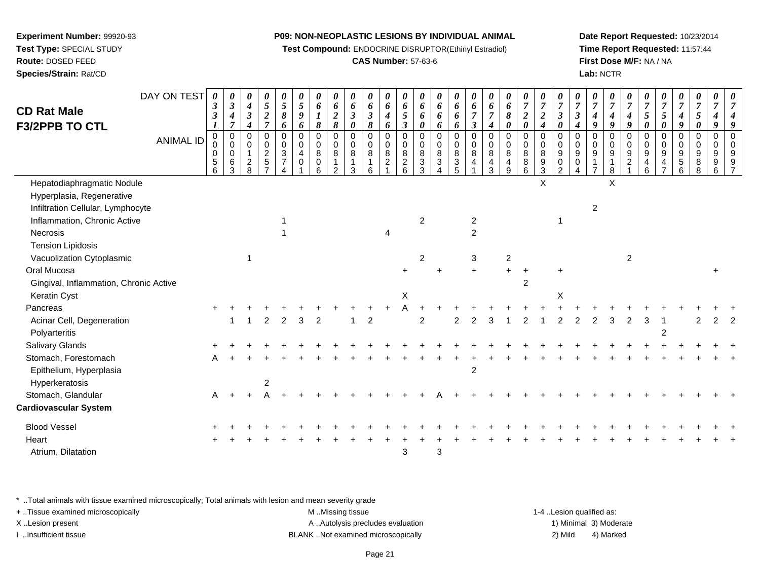**Test Compound:** ENDOCRINE DISRUPTOR(Ethinyl Estradiol)

#### **CAS Number:** 57-63-6

**Date Report Requested:** 10/23/2014**Time Report Requested:** 11:57:44**First Dose M/F:** NA / NA**Lab:** NCTR

| <b>CD Rat Male</b>                                      | DAY ON TEST      | $\boldsymbol{\beta}$<br>$\boldsymbol{\beta}$ | $\boldsymbol{\theta}$<br>$\mathbf{3}$<br>$\boldsymbol{4}$      | 0<br>$\boldsymbol{4}$<br>$\mathfrak{z}$                                        | 0<br>$\sqrt{5}$<br>$\frac{2}{7}$                                             | 0<br>$\mathfrak{S}$<br>$\pmb{8}$                                | $\boldsymbol{\theta}$<br>$\mathfrak{s}$<br>$\pmb{9}$ | 0<br>6<br>$\boldsymbol{l}$                             | $\boldsymbol{\theta}$<br>6<br>$\boldsymbol{2}$                | $\boldsymbol{\theta}$<br>$\boldsymbol{6}$<br>$\mathfrak{z}$              | $\boldsymbol{\theta}$<br>6<br>$\mathfrak{z}$ | $\boldsymbol{\theta}$<br>6<br>$\boldsymbol{4}$        | $\boldsymbol{\theta}$<br>6<br>5                             | 0<br>6<br>6                                                     | $\boldsymbol{\theta}$<br>6<br>6                     | $\boldsymbol{\theta}$<br>6<br>6                | $\boldsymbol{\theta}$<br>6<br>$\overline{7}$            | $\boldsymbol{\theta}$<br>6<br>$\overline{7}$ | $\boldsymbol{\theta}$<br>6<br>8                                                         | $\frac{\boldsymbol{0}}{7}$<br>$\overline{\mathbf{c}}$            | $\overline{7}$<br>$\boldsymbol{2}$                                           | $\overline{7}$<br>$\mathfrak{z}$                                                         | 0<br>$\overline{7}$<br>$\mathbf{3}$       | 0<br>$\overline{7}$<br>$\boldsymbol{4}$                                           | $\boldsymbol{\theta}$<br>$\overline{7}$<br>$\boldsymbol{4}$ | $\overline{7}$<br>$\boldsymbol{4}$                         | $\boldsymbol{\theta}$<br>$\overline{7}$<br>5     | $\frac{\theta}{7}$<br>$\sqrt{5}$                                                                                  | 0<br>$\overline{7}$<br>$\boldsymbol{4}$                             | $\boldsymbol{\theta}$<br>$\overline{7}$<br>5          | 0<br>$\overline{7}$<br>$\boldsymbol{4}$                                   | 0<br>$\overline{7}$<br>$\boldsymbol{4}$                       |
|---------------------------------------------------------|------------------|----------------------------------------------|----------------------------------------------------------------|--------------------------------------------------------------------------------|------------------------------------------------------------------------------|-----------------------------------------------------------------|------------------------------------------------------|--------------------------------------------------------|---------------------------------------------------------------|--------------------------------------------------------------------------|----------------------------------------------|-------------------------------------------------------|-------------------------------------------------------------|-----------------------------------------------------------------|-----------------------------------------------------|------------------------------------------------|---------------------------------------------------------|----------------------------------------------|-----------------------------------------------------------------------------------------|------------------------------------------------------------------|------------------------------------------------------------------------------|------------------------------------------------------------------------------------------|-------------------------------------------|-----------------------------------------------------------------------------------|-------------------------------------------------------------|------------------------------------------------------------|--------------------------------------------------|-------------------------------------------------------------------------------------------------------------------|---------------------------------------------------------------------|-------------------------------------------------------|---------------------------------------------------------------------------|---------------------------------------------------------------|
| <b>F3/2PPB TO CTL</b>                                   | <b>ANIMAL ID</b> | $\Omega$<br>0<br>0<br>$\mathbf 5$<br>6       | $\overline{7}$<br>$\Omega$<br>0<br>$\mathbf 0$<br>$\,6\,$<br>3 | $\boldsymbol{4}$<br>$\Omega$<br>$\mathbf 0$<br>$\overline{1}$<br>$\frac{2}{8}$ | $\Omega$<br>$\mathbf 0$<br>$\boldsymbol{2}$<br>$\,$ 5 $\,$<br>$\overline{7}$ | 6<br>$\Omega$<br>$\mathbf 0$<br>3<br>$\overline{7}$<br>$\Delta$ | 6<br>$\Omega$<br>$\mathbf 0$<br>4<br>$\mathbf 0$     | 8<br>$\mathbf 0$<br>$\mathbf 0$<br>8<br>$\pmb{0}$<br>6 | $\boldsymbol{\delta}$<br>$\Omega$<br>0<br>8<br>$\overline{2}$ | $\boldsymbol{\theta}$<br>$\mathbf 0$<br>$\mathbf 0$<br>$\, 8$<br>-1<br>3 | $\pmb{8}$<br>$\Omega$<br>0<br>8<br>1<br>6    | 6<br>$\Omega$<br>$\mathbf 0$<br>8<br>$\boldsymbol{2}$ | $\mathbf{3}$<br>$\Omega$<br>0<br>8<br>$\boldsymbol{2}$<br>6 | 0<br>$\Omega$<br>0<br>$\bf 8$<br>$\ensuremath{\mathsf{3}}$<br>3 | 6<br>$\mathbf 0$<br>0<br>$\,8\,$<br>$\sqrt{3}$<br>4 | 6<br>$\Omega$<br>0<br>$\bf 8$<br>$\frac{3}{5}$ | $\boldsymbol{\beta}$<br>$\mathbf 0$<br>0<br>$\bf8$<br>4 | 4<br>$\mathbf 0$<br>0<br>8<br>4<br>3         | 0<br>$\Omega$<br>$\mathbf 0$<br>$\overline{8}$<br>$\begin{array}{c} 4 \\ 9 \end{array}$ | $\boldsymbol{\theta}$<br>$\mathbf 0$<br>$\pmb{0}$<br>8<br>8<br>6 | $\boldsymbol{4}$<br>$\Omega$<br>0<br>8<br>$\boldsymbol{9}$<br>$\overline{3}$ | $\boldsymbol{\theta}$<br>$\Omega$<br>0<br>$\boldsymbol{9}$<br>$\pmb{0}$<br>$\mathcal{P}$ | 4<br>$\Omega$<br>0<br>9<br>$\pmb{0}$<br>4 | 9<br>$\Omega$<br>$\mathbf 0$<br>$\boldsymbol{9}$<br>$\mathbf 1$<br>$\overline{7}$ | 9<br>$\Omega$<br>0<br>9<br>8                                | 9<br>$\Omega$<br>0<br>$\boldsymbol{9}$<br>$\boldsymbol{2}$ | 0<br>$\Omega$<br>0<br>$\boldsymbol{9}$<br>4<br>6 | $\boldsymbol{\theta}$<br>$\Omega$<br>$\mathbf 0$<br>$\boldsymbol{9}$<br>$\overline{\mathbf{r}}$<br>$\overline{7}$ | $\boldsymbol{9}$<br>$\Omega$<br>$\mathbf 0$<br>9<br>$\sqrt{5}$<br>6 | $\boldsymbol{\theta}$<br>$\Omega$<br>0<br>9<br>8<br>8 | 9<br>$\Omega$<br>0<br>$\boldsymbol{9}$<br>$\boldsymbol{9}$<br>$6^{\circ}$ | $\boldsymbol{q}$<br>$\overline{0}$<br>0<br>9<br>$\frac{9}{7}$ |
| Hepatodiaphragmatic Nodule<br>Hyperplasia, Regenerative |                  |                                              |                                                                |                                                                                |                                                                              |                                                                 |                                                      |                                                        |                                                               |                                                                          |                                              |                                                       |                                                             |                                                                 |                                                     |                                                |                                                         |                                              |                                                                                         |                                                                  | X                                                                            |                                                                                          |                                           |                                                                                   | X                                                           |                                                            |                                                  |                                                                                                                   |                                                                     |                                                       |                                                                           |                                                               |
| Infiltration Cellular, Lymphocyte                       |                  |                                              |                                                                |                                                                                |                                                                              |                                                                 |                                                      |                                                        |                                                               |                                                                          |                                              |                                                       |                                                             |                                                                 |                                                     |                                                |                                                         |                                              |                                                                                         |                                                                  |                                                                              |                                                                                          |                                           | $\overline{2}$                                                                    |                                                             |                                                            |                                                  |                                                                                                                   |                                                                     |                                                       |                                                                           |                                                               |
| Inflammation, Chronic Active                            |                  |                                              |                                                                |                                                                                |                                                                              |                                                                 |                                                      |                                                        |                                                               |                                                                          |                                              |                                                       |                                                             | $\overline{2}$                                                  |                                                     |                                                | $\overline{c}$                                          |                                              |                                                                                         |                                                                  |                                                                              |                                                                                          |                                           |                                                                                   |                                                             |                                                            |                                                  |                                                                                                                   |                                                                     |                                                       |                                                                           |                                                               |
| Necrosis                                                |                  |                                              |                                                                |                                                                                |                                                                              |                                                                 |                                                      |                                                        |                                                               |                                                                          |                                              | 4                                                     |                                                             |                                                                 |                                                     |                                                | $\overline{c}$                                          |                                              |                                                                                         |                                                                  |                                                                              |                                                                                          |                                           |                                                                                   |                                                             |                                                            |                                                  |                                                                                                                   |                                                                     |                                                       |                                                                           |                                                               |
| <b>Tension Lipidosis</b>                                |                  |                                              |                                                                |                                                                                |                                                                              |                                                                 |                                                      |                                                        |                                                               |                                                                          |                                              |                                                       |                                                             |                                                                 |                                                     |                                                |                                                         |                                              |                                                                                         |                                                                  |                                                                              |                                                                                          |                                           |                                                                                   |                                                             |                                                            |                                                  |                                                                                                                   |                                                                     |                                                       |                                                                           |                                                               |
| Vacuolization Cytoplasmic                               |                  |                                              |                                                                |                                                                                |                                                                              |                                                                 |                                                      |                                                        |                                                               |                                                                          |                                              |                                                       |                                                             | 2                                                               |                                                     |                                                | 3                                                       |                                              | 2                                                                                       |                                                                  |                                                                              |                                                                                          |                                           |                                                                                   |                                                             | $\overline{2}$                                             |                                                  |                                                                                                                   |                                                                     |                                                       |                                                                           |                                                               |
| Oral Mucosa                                             |                  |                                              |                                                                |                                                                                |                                                                              |                                                                 |                                                      |                                                        |                                                               |                                                                          |                                              |                                                       |                                                             |                                                                 |                                                     |                                                |                                                         |                                              |                                                                                         |                                                                  |                                                                              |                                                                                          |                                           |                                                                                   |                                                             |                                                            |                                                  |                                                                                                                   |                                                                     |                                                       |                                                                           |                                                               |
| Gingival, Inflammation, Chronic Active                  |                  |                                              |                                                                |                                                                                |                                                                              |                                                                 |                                                      |                                                        |                                                               |                                                                          |                                              |                                                       |                                                             |                                                                 |                                                     |                                                |                                                         |                                              |                                                                                         | $\overline{2}$                                                   |                                                                              |                                                                                          |                                           |                                                                                   |                                                             |                                                            |                                                  |                                                                                                                   |                                                                     |                                                       |                                                                           |                                                               |
| Keratin Cyst                                            |                  |                                              |                                                                |                                                                                |                                                                              |                                                                 |                                                      |                                                        |                                                               |                                                                          |                                              |                                                       | X                                                           |                                                                 |                                                     |                                                |                                                         |                                              |                                                                                         |                                                                  |                                                                              | $\boldsymbol{\mathsf{X}}$                                                                |                                           |                                                                                   |                                                             |                                                            |                                                  |                                                                                                                   |                                                                     |                                                       |                                                                           |                                                               |
| Pancreas                                                |                  |                                              |                                                                |                                                                                |                                                                              |                                                                 |                                                      |                                                        |                                                               |                                                                          |                                              |                                                       |                                                             |                                                                 |                                                     |                                                |                                                         |                                              |                                                                                         |                                                                  |                                                                              |                                                                                          |                                           |                                                                                   |                                                             |                                                            |                                                  |                                                                                                                   |                                                                     |                                                       |                                                                           |                                                               |
| Acinar Cell, Degeneration                               |                  |                                              |                                                                |                                                                                | 2                                                                            | 2                                                               | 3                                                    | $\overline{2}$                                         |                                                               |                                                                          | $\overline{c}$                               |                                                       |                                                             | $\overline{2}$                                                  |                                                     | 2                                              |                                                         | 3                                            |                                                                                         |                                                                  |                                                                              | 2                                                                                        | $\mathfrak{p}$                            |                                                                                   | з                                                           |                                                            | 3                                                |                                                                                                                   |                                                                     |                                                       | 2                                                                         | $\overline{2}$                                                |
| Polyarteritis                                           |                  |                                              |                                                                |                                                                                |                                                                              |                                                                 |                                                      |                                                        |                                                               |                                                                          |                                              |                                                       |                                                             |                                                                 |                                                     |                                                |                                                         |                                              |                                                                                         |                                                                  |                                                                              |                                                                                          |                                           |                                                                                   |                                                             |                                                            |                                                  | $\overline{c}$                                                                                                    |                                                                     |                                                       |                                                                           |                                                               |
| <b>Salivary Glands</b>                                  |                  |                                              |                                                                |                                                                                |                                                                              |                                                                 |                                                      |                                                        |                                                               |                                                                          |                                              |                                                       |                                                             |                                                                 |                                                     |                                                |                                                         |                                              |                                                                                         |                                                                  |                                                                              |                                                                                          |                                           |                                                                                   |                                                             |                                                            |                                                  |                                                                                                                   |                                                                     |                                                       |                                                                           |                                                               |
| Stomach, Forestomach<br>Epithelium, Hyperplasia         |                  | A                                            |                                                                |                                                                                |                                                                              |                                                                 |                                                      |                                                        |                                                               |                                                                          |                                              |                                                       |                                                             |                                                                 |                                                     |                                                | $\overline{2}$                                          |                                              |                                                                                         |                                                                  |                                                                              |                                                                                          |                                           |                                                                                   |                                                             |                                                            |                                                  |                                                                                                                   |                                                                     |                                                       |                                                                           |                                                               |
| Hyperkeratosis                                          |                  |                                              |                                                                |                                                                                | $\overline{2}$                                                               |                                                                 |                                                      |                                                        |                                                               |                                                                          |                                              |                                                       |                                                             |                                                                 |                                                     |                                                |                                                         |                                              |                                                                                         |                                                                  |                                                                              |                                                                                          |                                           |                                                                                   |                                                             |                                                            |                                                  |                                                                                                                   |                                                                     |                                                       |                                                                           |                                                               |
| Stomach, Glandular                                      |                  | Α                                            |                                                                |                                                                                |                                                                              |                                                                 |                                                      |                                                        |                                                               |                                                                          |                                              |                                                       |                                                             |                                                                 |                                                     |                                                |                                                         |                                              |                                                                                         |                                                                  |                                                                              |                                                                                          |                                           |                                                                                   |                                                             |                                                            |                                                  |                                                                                                                   |                                                                     |                                                       |                                                                           |                                                               |
| <b>Cardiovascular System</b>                            |                  |                                              |                                                                |                                                                                |                                                                              |                                                                 |                                                      |                                                        |                                                               |                                                                          |                                              |                                                       |                                                             |                                                                 |                                                     |                                                |                                                         |                                              |                                                                                         |                                                                  |                                                                              |                                                                                          |                                           |                                                                                   |                                                             |                                                            |                                                  |                                                                                                                   |                                                                     |                                                       |                                                                           |                                                               |
| <b>Blood Vessel</b>                                     |                  |                                              |                                                                |                                                                                |                                                                              |                                                                 |                                                      |                                                        |                                                               |                                                                          |                                              |                                                       |                                                             |                                                                 |                                                     |                                                |                                                         |                                              |                                                                                         |                                                                  |                                                                              |                                                                                          |                                           |                                                                                   |                                                             |                                                            |                                                  |                                                                                                                   |                                                                     |                                                       |                                                                           |                                                               |
| Heart                                                   |                  |                                              |                                                                |                                                                                |                                                                              |                                                                 |                                                      |                                                        |                                                               |                                                                          |                                              |                                                       |                                                             |                                                                 |                                                     |                                                |                                                         |                                              |                                                                                         |                                                                  |                                                                              |                                                                                          |                                           |                                                                                   |                                                             |                                                            |                                                  |                                                                                                                   |                                                                     |                                                       |                                                                           |                                                               |
| Atrium, Dilatation                                      |                  |                                              |                                                                |                                                                                |                                                                              |                                                                 |                                                      |                                                        |                                                               |                                                                          |                                              |                                                       | 3                                                           |                                                                 | $\mathsf 3$                                         |                                                |                                                         |                                              |                                                                                         |                                                                  |                                                                              |                                                                                          |                                           |                                                                                   |                                                             |                                                            |                                                  |                                                                                                                   |                                                                     |                                                       |                                                                           |                                                               |
|                                                         |                  |                                              |                                                                |                                                                                |                                                                              |                                                                 |                                                      |                                                        |                                                               |                                                                          |                                              |                                                       |                                                             |                                                                 |                                                     |                                                |                                                         |                                              |                                                                                         |                                                                  |                                                                              |                                                                                          |                                           |                                                                                   |                                                             |                                                            |                                                  |                                                                                                                   |                                                                     |                                                       |                                                                           |                                                               |

\* ..Total animals with tissue examined microscopically; Total animals with lesion and mean severity grade

**Experiment Number:** 99920-93**Test Type:** SPECIAL STUDY**Route:** DOSED FEED**Species/Strain:** Rat/CD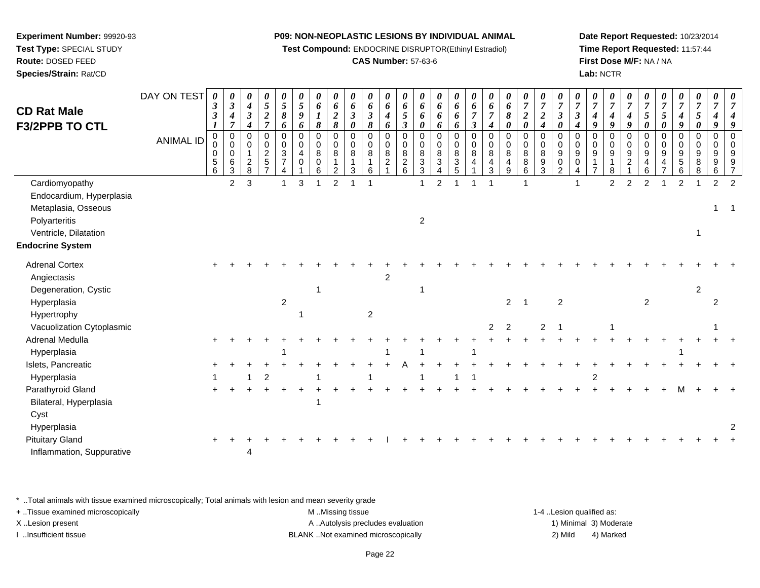**Test Compound:** ENDOCRINE DISRUPTOR(Ethinyl Estradiol)

#### **CAS Number:** 57-63-6

**Date Report Requested:** 10/23/2014**Time Report Requested:** 11:57:44**First Dose M/F:** NA / NA**Lab:** NCTR

| <b>CD Rat Male</b>                                  | DAY ON TEST      | 3<br>3                                 | 0<br>$\boldsymbol{\beta}$<br>$\boldsymbol{4}$<br>$\overline{7}$   | 0<br>$\boldsymbol{4}$<br>$\boldsymbol{\beta}$                                     | 0<br>5<br>$\frac{2}{7}$                                | 0<br>$\overline{5}$<br>8                          | $\boldsymbol{\theta}$<br>$\mathfrak{s}$<br>$\boldsymbol{g}$ | 0<br>6<br>$\boldsymbol{l}$                                     | 0<br>6<br>$\overline{\mathbf{c}}$ | 0<br>6<br>$\boldsymbol{\beta}$                                      | 0<br>$\boldsymbol{\delta}$<br>$\boldsymbol{\mathfrak{z}}$ | 0<br>6<br>$\boldsymbol{4}$                | 0<br>6<br>5                                                                 | 0<br>6<br>6                            | 0<br>6<br>6                       | 0<br>6<br>6                              | 6<br>$\overline{7}$                                    | 0<br>6<br>$\overline{7}$                          | 0<br>$\boldsymbol{6}$<br>$\pmb{8}$                | 0<br>$\boldsymbol{7}$<br>$\overline{\mathbf{c}}$                   | $\frac{\boldsymbol{\theta}}{\boldsymbol{7}}$<br>$\boldsymbol{2}$ | $\overline{7}$<br>$\boldsymbol{\beta}$               | 0<br>$\overline{7}$<br>$\boldsymbol{\beta}$           | 0<br>$\overline{7}$<br>4                               | 0<br>$\boldsymbol{7}$<br>$\boldsymbol{4}$<br>9 | 0<br>$\overline{7}$<br>4                           | $\overline{7}$<br>$\sqrt{5}$                                                   | 0<br>$\overline{7}$<br>$\sqrt{5}$                                            | 0<br>$\boldsymbol{7}$<br>$\boldsymbol{4}$ | 0<br>$\boldsymbol{7}$<br>$\mathfrak{S}$                            | 0<br>$\overline{7}$<br>4<br>$\boldsymbol{q}$ |                    |
|-----------------------------------------------------|------------------|----------------------------------------|-------------------------------------------------------------------|-----------------------------------------------------------------------------------|--------------------------------------------------------|---------------------------------------------------|-------------------------------------------------------------|----------------------------------------------------------------|-----------------------------------|---------------------------------------------------------------------|-----------------------------------------------------------|-------------------------------------------|-----------------------------------------------------------------------------|----------------------------------------|-----------------------------------|------------------------------------------|--------------------------------------------------------|---------------------------------------------------|---------------------------------------------------|--------------------------------------------------------------------|------------------------------------------------------------------|------------------------------------------------------|-------------------------------------------------------|--------------------------------------------------------|------------------------------------------------|----------------------------------------------------|--------------------------------------------------------------------------------|------------------------------------------------------------------------------|-------------------------------------------|--------------------------------------------------------------------|----------------------------------------------|--------------------|
| <b>F3/2PPB TO CTL</b>                               | <b>ANIMAL ID</b> | $\Omega$<br>0<br>0<br>$\,$ 5 $\,$<br>6 | $\Omega$<br>$\mathbf 0$<br>$\mathbf 0$<br>$\,6$<br>$\overline{3}$ | $\boldsymbol{4}$<br>$\Omega$<br>0<br>$\mathbf{1}$<br>$\overline{\mathbf{c}}$<br>8 | $\Omega$<br>0<br>$\overline{a}$<br>5<br>$\overline{7}$ | 6<br>$\mathbf 0$<br>0<br>3<br>$\overline{7}$<br>4 | 6<br>$\Omega$<br>0<br>$\overline{4}$<br>0                   | 8<br>$\mathbf 0$<br>$\mathbf 0$<br>$\,8\,$<br>$\mathbf 0$<br>6 | 8<br>0<br>0<br>$\bf8$<br>1<br>2   | $\boldsymbol{\theta}$<br>$\mathbf 0$<br>0<br>8<br>$\mathbf{1}$<br>3 | 8<br>0<br>0<br>8<br>$\mathbf{1}$<br>6                     | 6<br>$\Omega$<br>0<br>8<br>$\overline{2}$ | $\boldsymbol{\beta}$<br>$\Omega$<br>$\mathbf 0$<br>8<br>$\overline{2}$<br>6 | 0<br>$\Omega$<br>0<br>$\bf8$<br>3<br>3 | 6<br>$\Omega$<br>0<br>8<br>3<br>4 | 6<br>$\Omega$<br>0<br>8<br>$\frac{3}{5}$ | $\mathfrak{z}$<br>$\Omega$<br>0<br>8<br>$\overline{4}$ | 4<br>$\Omega$<br>$\mathbf 0$<br>$\,8\,$<br>4<br>3 | 0<br>0<br>$\mathbf 0$<br>8<br>$\overline{4}$<br>9 | $\boldsymbol{\theta}$<br>$\mathbf 0$<br>$\mathbf 0$<br>8<br>8<br>6 | $\boldsymbol{4}$<br>$\Omega$<br>0<br>8<br>$\frac{9}{3}$          | 0<br>$\Omega$<br>0<br>9<br>$\,0\,$<br>$\overline{2}$ | 4<br>$\Omega$<br>$\mathbf 0$<br>9<br>$\mathbf 0$<br>4 | $\boldsymbol{g}$<br>0<br>0<br>9<br>1<br>$\overline{7}$ | $\Omega$<br>$\mathbf 0$<br>9<br>1<br>8         | 9<br>$\Omega$<br>0<br>9<br>$\overline{\mathbf{c}}$ | $\boldsymbol{\theta}$<br>$\mathbf 0$<br>0<br>9<br>$\overline{\mathbf{4}}$<br>6 | $\boldsymbol{\theta}$<br>$\Omega$<br>$\mathbf 0$<br>9<br>4<br>$\overline{7}$ | 9<br>0<br>0<br>9<br>$\,$ 5 $\,$<br>6      | $\boldsymbol{\theta}$<br>$\mathbf 0$<br>$\mathbf 0$<br>9<br>8<br>8 | $\Omega$<br>0<br>9<br>9<br>6                 | $\Omega$<br>9<br>7 |
| Cardiomyopathy                                      |                  |                                        | $\boldsymbol{2}$                                                  | $\mathbf{3}$                                                                      |                                                        | 1                                                 | 3                                                           |                                                                | $\overline{c}$                    |                                                                     |                                                           |                                           |                                                                             | 1                                      | 2                                 |                                          |                                                        |                                                   |                                                   |                                                                    |                                                                  |                                                      |                                                       |                                                        | $\overline{a}$                                 | $\overline{2}$                                     | $\overline{2}$                                                                 |                                                                              | $\overline{2}$                            |                                                                    | $\mathfrak{p}$                               |                    |
| Endocardium, Hyperplasia<br>Metaplasia, Osseous     |                  |                                        |                                                                   |                                                                                   |                                                        |                                                   |                                                             |                                                                |                                   |                                                                     |                                                           |                                           |                                                                             |                                        |                                   |                                          |                                                        |                                                   |                                                   |                                                                    |                                                                  |                                                      |                                                       |                                                        |                                                |                                                    |                                                                                |                                                                              |                                           |                                                                    | $\mathbf{1}$                                 |                    |
| Polyarteritis                                       |                  |                                        |                                                                   |                                                                                   |                                                        |                                                   |                                                             |                                                                |                                   |                                                                     |                                                           |                                           |                                                                             | $\overline{2}$                         |                                   |                                          |                                                        |                                                   |                                                   |                                                                    |                                                                  |                                                      |                                                       |                                                        |                                                |                                                    |                                                                                |                                                                              |                                           |                                                                    |                                              |                    |
| Ventricle, Dilatation<br><b>Endocrine System</b>    |                  |                                        |                                                                   |                                                                                   |                                                        |                                                   |                                                             |                                                                |                                   |                                                                     |                                                           |                                           |                                                                             |                                        |                                   |                                          |                                                        |                                                   |                                                   |                                                                    |                                                                  |                                                      |                                                       |                                                        |                                                |                                                    |                                                                                |                                                                              |                                           |                                                                    |                                              |                    |
| <b>Adrenal Cortex</b>                               |                  |                                        |                                                                   |                                                                                   |                                                        |                                                   |                                                             |                                                                |                                   |                                                                     |                                                           |                                           |                                                                             |                                        |                                   |                                          |                                                        |                                                   |                                                   |                                                                    |                                                                  |                                                      |                                                       |                                                        |                                                |                                                    |                                                                                |                                                                              |                                           |                                                                    |                                              |                    |
| Angiectasis                                         |                  |                                        |                                                                   |                                                                                   |                                                        |                                                   |                                                             |                                                                |                                   |                                                                     |                                                           | $\overline{2}$                            |                                                                             |                                        |                                   |                                          |                                                        |                                                   |                                                   |                                                                    |                                                                  |                                                      |                                                       |                                                        |                                                |                                                    |                                                                                |                                                                              |                                           |                                                                    |                                              |                    |
| Degeneration, Cystic                                |                  |                                        |                                                                   |                                                                                   |                                                        |                                                   |                                                             |                                                                |                                   |                                                                     |                                                           |                                           |                                                                             |                                        |                                   |                                          |                                                        |                                                   |                                                   |                                                                    |                                                                  |                                                      |                                                       |                                                        |                                                |                                                    |                                                                                |                                                                              |                                           | $\overline{2}$                                                     |                                              |                    |
| Hyperplasia                                         |                  |                                        |                                                                   |                                                                                   |                                                        | $\overline{2}$                                    |                                                             |                                                                |                                   |                                                                     |                                                           |                                           |                                                                             |                                        |                                   |                                          |                                                        |                                                   | $\overline{2}$                                    |                                                                    |                                                                  | $\overline{c}$                                       |                                                       |                                                        |                                                |                                                    | $\overline{c}$                                                                 |                                                                              |                                           |                                                                    | 2                                            |                    |
| Hypertrophy                                         |                  |                                        |                                                                   |                                                                                   |                                                        |                                                   |                                                             |                                                                |                                   |                                                                     | $\sqrt{2}$                                                |                                           |                                                                             |                                        |                                   |                                          |                                                        |                                                   |                                                   |                                                                    |                                                                  |                                                      |                                                       |                                                        |                                                |                                                    |                                                                                |                                                                              |                                           |                                                                    |                                              |                    |
| Vacuolization Cytoplasmic                           |                  |                                        |                                                                   |                                                                                   |                                                        |                                                   |                                                             |                                                                |                                   |                                                                     |                                                           |                                           |                                                                             |                                        |                                   |                                          |                                                        | 2                                                 | $\overline{2}$                                    |                                                                    | $\overline{2}$                                                   |                                                      |                                                       |                                                        |                                                |                                                    |                                                                                |                                                                              |                                           |                                                                    |                                              |                    |
| <b>Adrenal Medulla</b>                              |                  |                                        |                                                                   |                                                                                   |                                                        |                                                   |                                                             |                                                                |                                   |                                                                     |                                                           |                                           |                                                                             |                                        |                                   |                                          |                                                        |                                                   |                                                   |                                                                    |                                                                  |                                                      |                                                       |                                                        |                                                |                                                    |                                                                                |                                                                              |                                           |                                                                    |                                              |                    |
| Hyperplasia                                         |                  |                                        |                                                                   |                                                                                   |                                                        |                                                   |                                                             |                                                                |                                   |                                                                     |                                                           |                                           |                                                                             |                                        |                                   |                                          |                                                        |                                                   |                                                   |                                                                    |                                                                  |                                                      |                                                       |                                                        |                                                |                                                    |                                                                                |                                                                              |                                           |                                                                    |                                              |                    |
| Islets, Pancreatic                                  |                  |                                        |                                                                   |                                                                                   |                                                        |                                                   |                                                             |                                                                |                                   |                                                                     |                                                           |                                           |                                                                             |                                        |                                   |                                          |                                                        |                                                   |                                                   |                                                                    |                                                                  |                                                      |                                                       |                                                        |                                                |                                                    |                                                                                |                                                                              |                                           |                                                                    |                                              |                    |
| Hyperplasia                                         |                  |                                        |                                                                   |                                                                                   | $\overline{2}$                                         |                                                   |                                                             |                                                                |                                   |                                                                     |                                                           |                                           |                                                                             |                                        |                                   |                                          |                                                        |                                                   |                                                   |                                                                    |                                                                  |                                                      |                                                       | $\overline{2}$                                         |                                                |                                                    |                                                                                |                                                                              |                                           |                                                                    |                                              |                    |
| Parathyroid Gland<br>Bilateral, Hyperplasia<br>Cyst |                  |                                        |                                                                   |                                                                                   |                                                        |                                                   |                                                             |                                                                |                                   |                                                                     |                                                           |                                           |                                                                             |                                        |                                   |                                          |                                                        |                                                   |                                                   |                                                                    |                                                                  |                                                      |                                                       |                                                        |                                                |                                                    |                                                                                |                                                                              |                                           |                                                                    |                                              |                    |
| Hyperplasia                                         |                  |                                        |                                                                   |                                                                                   |                                                        |                                                   |                                                             |                                                                |                                   |                                                                     |                                                           |                                           |                                                                             |                                        |                                   |                                          |                                                        |                                                   |                                                   |                                                                    |                                                                  |                                                      |                                                       |                                                        |                                                |                                                    |                                                                                |                                                                              |                                           |                                                                    |                                              |                    |
| <b>Pituitary Gland</b>                              |                  |                                        |                                                                   |                                                                                   |                                                        |                                                   |                                                             |                                                                |                                   |                                                                     |                                                           |                                           |                                                                             |                                        |                                   |                                          |                                                        |                                                   |                                                   |                                                                    |                                                                  |                                                      |                                                       |                                                        |                                                |                                                    |                                                                                |                                                                              |                                           |                                                                    |                                              |                    |
| Inflammation, Suppurative                           |                  |                                        |                                                                   |                                                                                   |                                                        |                                                   |                                                             |                                                                |                                   |                                                                     |                                                           |                                           |                                                                             |                                        |                                   |                                          |                                                        |                                                   |                                                   |                                                                    |                                                                  |                                                      |                                                       |                                                        |                                                |                                                    |                                                                                |                                                                              |                                           |                                                                    |                                              |                    |
|                                                     |                  |                                        |                                                                   |                                                                                   |                                                        |                                                   |                                                             |                                                                |                                   |                                                                     |                                                           |                                           |                                                                             |                                        |                                   |                                          |                                                        |                                                   |                                                   |                                                                    |                                                                  |                                                      |                                                       |                                                        |                                                |                                                    |                                                                                |                                                                              |                                           |                                                                    |                                              |                    |

\* ..Total animals with tissue examined microscopically; Total animals with lesion and mean severity grade

**Experiment Number:** 99920-93**Test Type:** SPECIAL STUDY**Route:** DOSED FEED**Species/Strain:** Rat/CD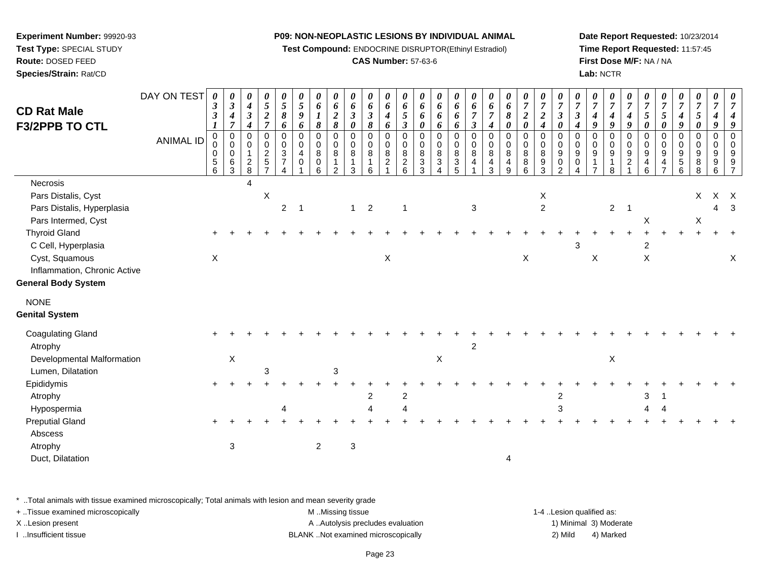**Test Compound:** ENDOCRINE DISRUPTOR(Ethinyl Estradiol)

#### **CAS Number:** 57-63-6

**Date Report Requested:** 10/23/2014**Time Report Requested:** 11:57:45**First Dose M/F:** NA / NA**Lab:** NCTR

|                              | DAY ON TEST      | $\boldsymbol{\beta}$ | 0<br>$\mathfrak{z}$                   | 0<br>$\boldsymbol{4}$ | 0<br>$\mathfrak{s}$              | $\boldsymbol{\theta}$<br>$\sqrt{5}$ | 0<br>$5\phantom{.0}$          | 0<br>6                 | 0<br>6                 | 0<br>6                             | 0<br>6               | 0<br>6                    | 0<br>6                        | 0<br>6           | 0<br>6           | $\boldsymbol{\theta}$<br>6 | 0<br>6                              | 0<br>6                          | 0<br>6           | 0<br>$\overline{7}$                  | $\boldsymbol{\theta}$<br>$\overline{7}$ | $\overline{7}$                    | 0<br>$\overline{7}$          | 0<br>$\overline{7}$            | 0<br>$\overline{7}$ | $\boldsymbol{\theta}$<br>$\overline{7}$ | $\boldsymbol{\theta}$<br>$\overline{7}$ | 0<br>$\overline{7}$           | 0<br>$\boldsymbol{7}$      | 0<br>$\overline{7}$                  | $\theta$<br>$\overline{7}$ | $\boldsymbol{\theta}$<br>$\overline{7}$ |
|------------------------------|------------------|----------------------|---------------------------------------|-----------------------|----------------------------------|-------------------------------------|-------------------------------|------------------------|------------------------|------------------------------------|----------------------|---------------------------|-------------------------------|------------------|------------------|----------------------------|-------------------------------------|---------------------------------|------------------|--------------------------------------|-----------------------------------------|-----------------------------------|------------------------------|--------------------------------|---------------------|-----------------------------------------|-----------------------------------------|-------------------------------|----------------------------|--------------------------------------|----------------------------|-----------------------------------------|
| <b>CD Rat Male</b>           |                  | $\boldsymbol{\beta}$ | $\boldsymbol{4}$                      | $\boldsymbol{\beta}$  | $\boldsymbol{2}$                 | 8                                   | 9                             |                        | $\boldsymbol{2}$       | $\boldsymbol{\beta}$               | $\boldsymbol{\beta}$ | $\boldsymbol{4}$          | $\sqrt{5}$                    | 6                | 6                | 6                          | $\boldsymbol{7}$                    | $\overline{7}$                  | $\pmb{8}$        | $\boldsymbol{2}$                     | $\boldsymbol{2}$                        | $\boldsymbol{\beta}$              | $\boldsymbol{\beta}$         | $\boldsymbol{4}$               | $\boldsymbol{4}$    | $\boldsymbol{4}$                        | $\overline{5}$                          | 5                             | $\boldsymbol{4}$           | $\mathfrak{s}$                       | $\boldsymbol{4}$           | $\overline{\boldsymbol{4}}$             |
| <b>F3/2PPB TO CTL</b>        |                  | $\bm{l}$             | $\overline{7}$                        | $\boldsymbol{4}$<br>0 | $\overline{7}$<br>$\mathbf 0$    | 6<br>$\mathbf 0$                    | 6<br>$\mathbf 0$              | $\pmb{8}$<br>$\pmb{0}$ | $\pmb{8}$<br>$\pmb{0}$ | $\boldsymbol{\theta}$<br>$\pmb{0}$ | 8<br>$\mathbf 0$     | 6<br>$\Omega$             | $\mathfrak{z}$<br>$\mathbf 0$ | 0<br>$\mathbf 0$ | 6<br>$\mathbf 0$ | 6                          | $\boldsymbol{\beta}$<br>$\mathbf 0$ | $\boldsymbol{4}$<br>$\mathsf 0$ | 0<br>$\mathbf 0$ | $\boldsymbol{\theta}$<br>$\mathbf 0$ | $\boldsymbol{4}$<br>$\mathbf 0$         | $\boldsymbol{\theta}$<br>$\Omega$ | $\boldsymbol{4}$<br>$\Omega$ | 9<br>$\mathbf 0$               | 9<br>$\mathbf 0$    | $\boldsymbol{g}$<br>$\pmb{0}$           | $\boldsymbol{\theta}$<br>$\mathbf 0$    | $\pmb{\theta}$<br>$\mathbf 0$ | 9                          | $\boldsymbol{\theta}$<br>$\mathbf 0$ | 9<br>$\mathbf 0$           | 9<br>$\Omega$                           |
|                              | <b>ANIMAL ID</b> | 0<br>$\pmb{0}$       | $\pmb{0}$<br>$\pmb{0}$<br>$\mathbf 0$ | 0<br>$\mathbf{1}$     | $\mathbf 0$<br>$\overline{2}$    | $\mathbf 0$<br>3                    | $\mathbf 0$<br>$\overline{4}$ | $\mathbf 0$<br>$\,8\,$ | $\pmb{0}$<br>$\,8\,$   | $\boldsymbol{0}$<br>$\bf8$         | 0<br>8               | $\Omega$<br>8             | $\mathbf 0$<br>8              | 0<br>8           | $\mathbf 0$<br>8 | $\mathbf 0$<br>0<br>8      | $\mathbf 0$<br>8                    | 0<br>8                          | 0<br>8           | $\mathbf 0$<br>8                     | 0<br>$\,8\,$                            | $\Omega$<br>9                     | $\Omega$<br>9                | $\pmb{0}$<br>9                 | $\Omega$<br>9       | 0<br>$\boldsymbol{9}$                   | $\mathbf 0$<br>$9\,$                    | 0<br>9                        | 0<br>0<br>$\boldsymbol{9}$ | 0<br>$\boldsymbol{9}$                | $\mathbf 0$<br>9           | $\mathbf 0$<br>9                        |
|                              |                  | $\sqrt{5}$<br>6      | 6<br>3                                | $\overline{2}$<br>8   | $\overline{5}$<br>$\overline{7}$ | $\overline{7}$                      | $\mathbf 0$                   | $\mathbf 0$<br>6       | $\overline{1}$<br>2    | $\mathbf{1}$<br>3                  | 6                    | $\overline{2}$            | $\overline{c}$<br>6           | 3<br>3           | $\sqrt{3}$       | $\mathbf{3}$<br>5          | 4                                   | 4<br>3                          | 4<br>9           | 8<br>6                               | 9<br>3                                  | 0<br>າ                            | $\mathbf 0$                  | $\mathbf{1}$<br>$\overline{ }$ | $\mathbf{1}$<br>8   | $\overline{2}$                          | $\overline{4}$<br>6                     | 4                             | 5<br>6                     | 8<br>8                               | 9<br>6                     | 9<br>$\overline{7}$                     |
| Necrosis                     |                  |                      |                                       | 4                     |                                  |                                     |                               |                        |                        |                                    |                      |                           |                               |                  |                  |                            |                                     |                                 |                  |                                      |                                         |                                   |                              |                                |                     |                                         |                                         |                               |                            |                                      |                            |                                         |
| Pars Distalis, Cyst          |                  |                      |                                       |                       | $\boldsymbol{\mathsf{X}}$        |                                     |                               |                        |                        |                                    |                      |                           |                               |                  |                  |                            |                                     |                                 |                  |                                      | $\mathsf X$                             |                                   |                              |                                |                     |                                         |                                         |                               |                            | X                                    | $X$ $X$                    |                                         |
| Pars Distalis, Hyperplasia   |                  |                      |                                       |                       |                                  | $\overline{2}$                      | $\mathbf{1}$                  |                        |                        | $\mathbf{1}$                       | $\overline{2}$       |                           | $\mathbf 1$                   |                  |                  |                            | $\mathfrak{S}$                      |                                 |                  |                                      | $\overline{2}$                          |                                   |                              |                                | $\overline{2}$      |                                         |                                         |                               |                            |                                      | 4                          | 3                                       |
| Pars Intermed, Cyst          |                  |                      |                                       |                       |                                  |                                     |                               |                        |                        |                                    |                      |                           |                               |                  |                  |                            |                                     |                                 |                  |                                      |                                         |                                   |                              |                                |                     |                                         | $\boldsymbol{\mathsf{X}}$               |                               |                            | X                                    |                            |                                         |
| <b>Thyroid Gland</b>         |                  |                      |                                       |                       |                                  |                                     |                               |                        |                        |                                    |                      |                           |                               |                  |                  |                            |                                     |                                 |                  |                                      |                                         |                                   |                              |                                |                     |                                         |                                         |                               |                            |                                      |                            |                                         |
| C Cell, Hyperplasia          |                  |                      |                                       |                       |                                  |                                     |                               |                        |                        |                                    |                      |                           |                               |                  |                  |                            |                                     |                                 |                  |                                      |                                         |                                   | 3                            |                                |                     |                                         | $\boldsymbol{2}$                        |                               |                            |                                      |                            |                                         |
| Cyst, Squamous               |                  | $\pmb{\times}$       |                                       |                       |                                  |                                     |                               |                        |                        |                                    |                      | $\boldsymbol{\mathsf{X}}$ |                               |                  |                  |                            |                                     |                                 |                  | $\times$                             |                                         |                                   |                              | X                              |                     |                                         | $\mathsf X$                             |                               |                            |                                      |                            | $\boldsymbol{\mathsf{X}}$               |
| Inflammation, Chronic Active |                  |                      |                                       |                       |                                  |                                     |                               |                        |                        |                                    |                      |                           |                               |                  |                  |                            |                                     |                                 |                  |                                      |                                         |                                   |                              |                                |                     |                                         |                                         |                               |                            |                                      |                            |                                         |
| <b>General Body System</b>   |                  |                      |                                       |                       |                                  |                                     |                               |                        |                        |                                    |                      |                           |                               |                  |                  |                            |                                     |                                 |                  |                                      |                                         |                                   |                              |                                |                     |                                         |                                         |                               |                            |                                      |                            |                                         |
| <b>NONE</b>                  |                  |                      |                                       |                       |                                  |                                     |                               |                        |                        |                                    |                      |                           |                               |                  |                  |                            |                                     |                                 |                  |                                      |                                         |                                   |                              |                                |                     |                                         |                                         |                               |                            |                                      |                            |                                         |
| <b>Genital System</b>        |                  |                      |                                       |                       |                                  |                                     |                               |                        |                        |                                    |                      |                           |                               |                  |                  |                            |                                     |                                 |                  |                                      |                                         |                                   |                              |                                |                     |                                         |                                         |                               |                            |                                      |                            |                                         |
| <b>Coagulating Gland</b>     |                  |                      |                                       |                       |                                  |                                     |                               |                        |                        |                                    |                      |                           |                               |                  |                  |                            |                                     |                                 |                  |                                      |                                         |                                   |                              |                                |                     |                                         |                                         |                               |                            |                                      |                            |                                         |
| Atrophy                      |                  |                      |                                       |                       |                                  |                                     |                               |                        |                        |                                    |                      |                           |                               |                  |                  |                            | 2                                   |                                 |                  |                                      |                                         |                                   |                              |                                |                     |                                         |                                         |                               |                            |                                      |                            |                                         |
| Developmental Malformation   |                  |                      | $\mathsf X$                           |                       |                                  |                                     |                               |                        |                        |                                    |                      |                           |                               |                  | X                |                            |                                     |                                 |                  |                                      |                                         |                                   |                              |                                | X                   |                                         |                                         |                               |                            |                                      |                            |                                         |
| Lumen, Dilatation            |                  |                      |                                       |                       | 3                                |                                     |                               |                        | 3                      |                                    |                      |                           |                               |                  |                  |                            |                                     |                                 |                  |                                      |                                         |                                   |                              |                                |                     |                                         |                                         |                               |                            |                                      |                            |                                         |
| Epididymis                   |                  |                      |                                       |                       |                                  |                                     |                               |                        |                        |                                    |                      |                           |                               |                  |                  |                            |                                     |                                 |                  |                                      |                                         |                                   |                              |                                |                     |                                         |                                         |                               |                            |                                      |                            |                                         |
| Atrophy                      |                  |                      |                                       |                       |                                  |                                     |                               |                        |                        |                                    | $\overline{2}$       |                           | 2                             |                  |                  |                            |                                     |                                 |                  |                                      |                                         | 2                                 |                              |                                |                     |                                         | 3                                       | -1                            |                            |                                      |                            |                                         |
| Hypospermia                  |                  |                      |                                       |                       |                                  | 4                                   |                               |                        |                        |                                    | 4                    |                           | $\overline{A}$                |                  |                  |                            |                                     |                                 |                  |                                      |                                         | 3                                 |                              |                                |                     |                                         | 4                                       | $\overline{4}$                |                            |                                      |                            |                                         |
| <b>Preputial Gland</b>       |                  |                      |                                       |                       |                                  |                                     |                               |                        |                        |                                    |                      |                           |                               |                  |                  |                            |                                     |                                 |                  |                                      |                                         |                                   |                              |                                |                     |                                         |                                         |                               |                            |                                      |                            |                                         |
| Abscess                      |                  |                      |                                       |                       |                                  |                                     |                               |                        |                        |                                    |                      |                           |                               |                  |                  |                            |                                     |                                 |                  |                                      |                                         |                                   |                              |                                |                     |                                         |                                         |                               |                            |                                      |                            |                                         |
| Atrophy                      |                  |                      | 3                                     |                       |                                  |                                     |                               | $\overline{2}$         |                        | $\mathbf{3}$                       |                      |                           |                               |                  |                  |                            |                                     |                                 |                  |                                      |                                         |                                   |                              |                                |                     |                                         |                                         |                               |                            |                                      |                            |                                         |
| Duct, Dilatation             |                  |                      |                                       |                       |                                  |                                     |                               |                        |                        |                                    |                      |                           |                               |                  |                  |                            |                                     |                                 | 4                |                                      |                                         |                                   |                              |                                |                     |                                         |                                         |                               |                            |                                      |                            |                                         |

\* ..Total animals with tissue examined microscopically; Total animals with lesion and mean severity grade

**Experiment Number:** 99920-93**Test Type:** SPECIAL STUDY**Route:** DOSED FEED**Species/Strain:** Rat/CD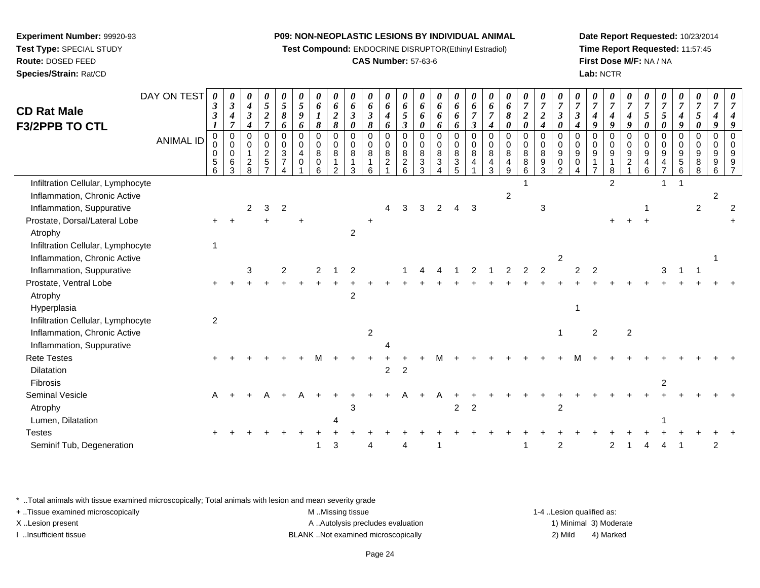**Test Compound:** ENDOCRINE DISRUPTOR(Ethinyl Estradiol)

#### **CAS Number:** 57-63-6

**Date Report Requested:** 10/23/2014**Time Report Requested:** 11:57:45**First Dose M/F:** NA / NA**Lab:** NCTR

| DAY ON TEST<br><b>CD Rat Male</b><br><b>F3/2PPB TO CTL</b><br><b>ANIMAL ID</b> | 0<br>3<br>3<br>0<br>0<br>$\,$ 5 $\,$<br>6 | $\boldsymbol{\theta}$<br>$\boldsymbol{\beta}$<br>$\boldsymbol{4}$<br>$\mathbf 0$<br>$\mathbf 0$<br>$\mathbf 0$<br>6<br>3 | 0<br>$\boldsymbol{4}$<br>$\mathfrak{z}$<br>$\boldsymbol{4}$<br>$\Omega$<br>0<br>1<br>$\overline{c}$<br>8 | 0<br>5<br>$\boldsymbol{2}$<br>$\overline{7}$<br>0<br>0<br>$\overline{c}$<br>5 | 0<br>5<br>8<br>6<br>$\mathbf 0$<br>0<br>3<br>$\overline{7}$ | 0<br>5<br>9<br>6<br>$\Omega$<br>0<br>4<br>$\Omega$ | $\boldsymbol{\theta}$<br>6<br>8<br>$\Omega$<br>$\mathbf 0$<br>8<br>0<br>6 | 0<br>6<br>$\boldsymbol{2}$<br>8<br>$\Omega$<br>0<br>8<br>$\mathbf{1}$<br>$\overline{2}$ | 0<br>6<br>$\boldsymbol{\beta}$<br>$\boldsymbol{\theta}$<br>0<br>$\mathbf 0$<br>8<br>1<br>3 | 0<br>6<br>$\boldsymbol{\beta}$<br>8<br>0<br>0<br>8<br>1<br>6 | 0<br>6<br>4<br>6<br>$\Omega$<br>0<br>8<br>$\overline{2}$ | $\boldsymbol{\theta}$<br>6<br>5<br>$\boldsymbol{\beta}$<br>$\Omega$<br>$\mathbf 0$<br>$\,8\,$<br>$\overline{c}$<br>6 | 0<br>6<br>6<br>0<br>0<br>0<br>8<br>$\sqrt{3}$<br>3 | 0<br>6<br>6<br>6<br>$\Omega$<br>$\mathbf 0$<br>8<br>3<br>4 | 0<br>6<br>6<br>6<br>$\mathbf 0$<br>0<br>8<br>3<br>5 | 0<br>6<br>$\boldsymbol{\beta}$<br>$\Omega$<br>0<br>8<br>$\overline{4}$ | $\boldsymbol{\theta}$<br>6<br>$\overline{7}$<br>4<br>$\Omega$<br>$\mathbf 0$<br>$\,8\,$<br>4<br>3 | 0<br>6<br>8<br>0<br>$\Omega$<br>0<br>$\,8\,$<br>4<br>$\boldsymbol{9}$ | 0<br>$\boldsymbol{7}$<br>$\boldsymbol{2}$<br>0<br>$\Omega$<br>$\mathbf 0$<br>8<br>8<br>6 | 0<br>$\overline{7}$<br>$\boldsymbol{2}$<br>4<br>$\mathbf 0$<br>0<br>8<br>9<br>3 | 0<br>$\overline{7}$<br>$\boldsymbol{\beta}$<br>0<br>$\Omega$<br>0<br>9<br>$\pmb{0}$<br>$\overline{2}$ | 0<br>$\overline{7}$<br>3<br>4<br>$\Omega$<br>$\Omega$<br>9<br>$\mathbf 0$ | 0<br>$\overline{7}$<br>4<br>9<br>0<br>0<br>9<br>1 | 0<br>$\overline{7}$<br>4<br>9<br>$\Omega$<br>$\mathbf 0$<br>9<br>1<br>8 | 0<br>$\overline{7}$<br>4<br>9<br>$\Omega$<br>0<br>9<br>$\overline{c}$ | 0<br>$\overline{7}$<br>5<br>0<br>0<br>$\pmb{0}$<br>9<br>$\overline{\mathbf{r}}$<br>6 | $\boldsymbol{\theta}$<br>$\overline{7}$<br>5<br>$\boldsymbol{\theta}$<br>$\Omega$<br>$\mathbf 0$<br>9<br>4 | 0<br>$\overline{7}$<br>$\boldsymbol{4}$<br>9<br>0<br>0<br>$\boldsymbol{9}$<br>$\sqrt{5}$<br>6 | 0<br>$\overline{7}$<br>5<br>$\boldsymbol{\theta}$<br>$\Omega$<br>$\mathbf 0$<br>9<br>8<br>8 | 0<br>$\overline{7}$<br>$\Omega$<br>$\Omega$<br>9<br>9<br>6 |  |
|--------------------------------------------------------------------------------|-------------------------------------------|--------------------------------------------------------------------------------------------------------------------------|----------------------------------------------------------------------------------------------------------|-------------------------------------------------------------------------------|-------------------------------------------------------------|----------------------------------------------------|---------------------------------------------------------------------------|-----------------------------------------------------------------------------------------|--------------------------------------------------------------------------------------------|--------------------------------------------------------------|----------------------------------------------------------|----------------------------------------------------------------------------------------------------------------------|----------------------------------------------------|------------------------------------------------------------|-----------------------------------------------------|------------------------------------------------------------------------|---------------------------------------------------------------------------------------------------|-----------------------------------------------------------------------|------------------------------------------------------------------------------------------|---------------------------------------------------------------------------------|-------------------------------------------------------------------------------------------------------|---------------------------------------------------------------------------|---------------------------------------------------|-------------------------------------------------------------------------|-----------------------------------------------------------------------|--------------------------------------------------------------------------------------|------------------------------------------------------------------------------------------------------------|-----------------------------------------------------------------------------------------------|---------------------------------------------------------------------------------------------|------------------------------------------------------------|--|
| Infiltration Cellular, Lymphocyte                                              |                                           |                                                                                                                          |                                                                                                          |                                                                               |                                                             |                                                    |                                                                           |                                                                                         |                                                                                            |                                                              |                                                          |                                                                                                                      |                                                    |                                                            |                                                     |                                                                        |                                                                                                   |                                                                       |                                                                                          |                                                                                 |                                                                                                       |                                                                           |                                                   | $\overline{a}$                                                          |                                                                       |                                                                                      |                                                                                                            |                                                                                               |                                                                                             |                                                            |  |
| Inflammation, Chronic Active                                                   |                                           |                                                                                                                          |                                                                                                          |                                                                               |                                                             |                                                    |                                                                           |                                                                                         |                                                                                            |                                                              |                                                          |                                                                                                                      |                                                    |                                                            |                                                     |                                                                        |                                                                                                   | $\overline{2}$                                                        |                                                                                          |                                                                                 |                                                                                                       |                                                                           |                                                   |                                                                         |                                                                       |                                                                                      |                                                                                                            |                                                                                               |                                                                                             | $\overline{2}$                                             |  |
| Inflammation, Suppurative<br>Prostate, Dorsal/Lateral Lobe                     |                                           |                                                                                                                          | 2                                                                                                        | 3                                                                             | $\overline{2}$                                              |                                                    |                                                                           |                                                                                         |                                                                                            |                                                              |                                                          | 3                                                                                                                    | 3                                                  | 2                                                          | 4                                                   | 3                                                                      |                                                                                                   |                                                                       |                                                                                          | 3                                                                               |                                                                                                       |                                                                           |                                                   |                                                                         |                                                                       |                                                                                      |                                                                                                            |                                                                                               | 2                                                                                           |                                                            |  |
| Atrophy                                                                        |                                           |                                                                                                                          |                                                                                                          |                                                                               |                                                             |                                                    |                                                                           |                                                                                         | $\overline{a}$                                                                             | $\ddot{}$                                                    |                                                          |                                                                                                                      |                                                    |                                                            |                                                     |                                                                        |                                                                                                   |                                                                       |                                                                                          |                                                                                 |                                                                                                       |                                                                           |                                                   |                                                                         |                                                                       |                                                                                      |                                                                                                            |                                                                                               |                                                                                             |                                                            |  |
| Infiltration Cellular, Lymphocyte<br>Inflammation, Chronic Active              |                                           |                                                                                                                          |                                                                                                          |                                                                               |                                                             |                                                    |                                                                           |                                                                                         |                                                                                            |                                                              |                                                          |                                                                                                                      |                                                    |                                                            |                                                     |                                                                        |                                                                                                   |                                                                       |                                                                                          |                                                                                 | $\overline{2}$                                                                                        |                                                                           |                                                   |                                                                         |                                                                       |                                                                                      |                                                                                                            |                                                                                               |                                                                                             |                                                            |  |
| Inflammation, Suppurative                                                      |                                           |                                                                                                                          | 3                                                                                                        |                                                                               | 2                                                           |                                                    |                                                                           |                                                                                         |                                                                                            |                                                              |                                                          |                                                                                                                      |                                                    |                                                            |                                                     |                                                                        |                                                                                                   | 2                                                                     |                                                                                          | 2                                                                               |                                                                                                       |                                                                           | $\overline{2}$                                    |                                                                         |                                                                       |                                                                                      | 3                                                                                                          |                                                                                               |                                                                                             |                                                            |  |
| Prostate, Ventral Lobe<br>Atrophy                                              |                                           |                                                                                                                          |                                                                                                          |                                                                               |                                                             |                                                    |                                                                           |                                                                                         | 2                                                                                          |                                                              |                                                          |                                                                                                                      |                                                    |                                                            |                                                     |                                                                        |                                                                                                   |                                                                       |                                                                                          |                                                                                 |                                                                                                       |                                                                           |                                                   |                                                                         |                                                                       |                                                                                      |                                                                                                            |                                                                                               |                                                                                             |                                                            |  |
| Hyperplasia                                                                    |                                           |                                                                                                                          |                                                                                                          |                                                                               |                                                             |                                                    |                                                                           |                                                                                         |                                                                                            |                                                              |                                                          |                                                                                                                      |                                                    |                                                            |                                                     |                                                                        |                                                                                                   |                                                                       |                                                                                          |                                                                                 |                                                                                                       |                                                                           |                                                   |                                                                         |                                                                       |                                                                                      |                                                                                                            |                                                                                               |                                                                                             |                                                            |  |
| Infiltration Cellular, Lymphocyte                                              | $\overline{c}$                            |                                                                                                                          |                                                                                                          |                                                                               |                                                             |                                                    |                                                                           |                                                                                         |                                                                                            |                                                              |                                                          |                                                                                                                      |                                                    |                                                            |                                                     |                                                                        |                                                                                                   |                                                                       |                                                                                          |                                                                                 |                                                                                                       |                                                                           |                                                   |                                                                         |                                                                       |                                                                                      |                                                                                                            |                                                                                               |                                                                                             |                                                            |  |
| Inflammation, Chronic Active<br>Inflammation, Suppurative                      |                                           |                                                                                                                          |                                                                                                          |                                                                               |                                                             |                                                    |                                                                           |                                                                                         |                                                                                            | $\overline{2}$                                               |                                                          |                                                                                                                      |                                                    |                                                            |                                                     |                                                                        |                                                                                                   |                                                                       |                                                                                          |                                                                                 |                                                                                                       |                                                                           | $\overline{c}$                                    |                                                                         | $\overline{2}$                                                        |                                                                                      |                                                                                                            |                                                                                               |                                                                                             |                                                            |  |
| <b>Rete Testes</b><br>Dilatation                                               |                                           |                                                                                                                          |                                                                                                          |                                                                               |                                                             |                                                    |                                                                           |                                                                                         |                                                                                            |                                                              | $\overline{2}$                                           | $\overline{2}$                                                                                                       |                                                    |                                                            |                                                     |                                                                        |                                                                                                   |                                                                       |                                                                                          |                                                                                 |                                                                                                       |                                                                           |                                                   |                                                                         |                                                                       |                                                                                      |                                                                                                            |                                                                                               |                                                                                             |                                                            |  |
| Fibrosis                                                                       |                                           |                                                                                                                          |                                                                                                          |                                                                               |                                                             |                                                    |                                                                           |                                                                                         |                                                                                            |                                                              |                                                          |                                                                                                                      |                                                    |                                                            |                                                     |                                                                        |                                                                                                   |                                                                       |                                                                                          |                                                                                 |                                                                                                       |                                                                           |                                                   |                                                                         |                                                                       |                                                                                      | $\mathfrak{p}$                                                                                             |                                                                                               |                                                                                             |                                                            |  |
| Seminal Vesicle<br>Atrophy                                                     | A                                         |                                                                                                                          |                                                                                                          |                                                                               |                                                             |                                                    |                                                                           |                                                                                         |                                                                                            |                                                              |                                                          |                                                                                                                      |                                                    |                                                            | 2                                                   | 2                                                                      |                                                                                                   |                                                                       |                                                                                          |                                                                                 | $\overline{2}$                                                                                        |                                                                           |                                                   |                                                                         |                                                                       |                                                                                      |                                                                                                            |                                                                                               |                                                                                             |                                                            |  |
| Lumen, Dilatation                                                              |                                           |                                                                                                                          |                                                                                                          |                                                                               |                                                             |                                                    |                                                                           |                                                                                         |                                                                                            |                                                              |                                                          |                                                                                                                      |                                                    |                                                            |                                                     |                                                                        |                                                                                                   |                                                                       |                                                                                          |                                                                                 |                                                                                                       |                                                                           |                                                   |                                                                         |                                                                       |                                                                                      |                                                                                                            |                                                                                               |                                                                                             |                                                            |  |
| <b>Testes</b>                                                                  |                                           |                                                                                                                          |                                                                                                          |                                                                               |                                                             |                                                    |                                                                           |                                                                                         |                                                                                            |                                                              |                                                          |                                                                                                                      |                                                    |                                                            |                                                     |                                                                        |                                                                                                   |                                                                       |                                                                                          |                                                                                 |                                                                                                       |                                                                           |                                                   |                                                                         |                                                                       |                                                                                      |                                                                                                            |                                                                                               |                                                                                             |                                                            |  |
| Seminif Tub, Degeneration                                                      |                                           |                                                                                                                          |                                                                                                          |                                                                               |                                                             |                                                    |                                                                           | 3                                                                                       |                                                                                            |                                                              |                                                          |                                                                                                                      |                                                    |                                                            |                                                     |                                                                        |                                                                                                   |                                                                       |                                                                                          |                                                                                 | 2                                                                                                     |                                                                           |                                                   |                                                                         |                                                                       |                                                                                      |                                                                                                            |                                                                                               |                                                                                             | 2                                                          |  |

\* ..Total animals with tissue examined microscopically; Total animals with lesion and mean severity grade

**Experiment Number:** 99920-93**Test Type:** SPECIAL STUDY**Route:** DOSED FEED**Species/Strain:** Rat/CD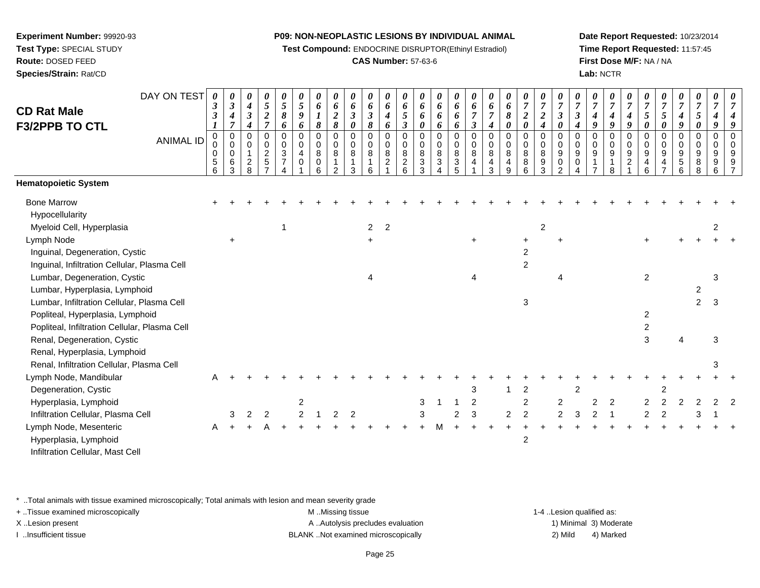**Test Compound:** ENDOCRINE DISRUPTOR(Ethinyl Estradiol)

#### **CAS Number:** 57-63-6

**Date Report Requested:** 10/23/2014**Time Report Requested:** 11:57:45**First Dose M/F:** NA / NA

 **Species/Strain:** Rat/CD**Lab:** NCTRDAY ON TEST**CD Rat Male F3/2PPB TO CTL**ANIMAL ID*0 3 3 1* 0 0 0 5 6*0 3 4 7* 0 0 0 6 3*0 4 3 4* 0 0 1 2 8*0 5 2 7* 0 0 2 5 7*0 5 8 6* 0 0 3 7 4*0 5 9 6* 0 0 4 0 1*0 6 1 8* 0 0 8 0 6*0 6 2 8* 0 0 8 1 2*0 6 3 0* 0 0 8 1 3*0 6 3 8* 0 0 8 1 6*0 6 4 6* 0 0 8 2 1*0 6 5 3* 0 0 8 2 6*0 6 6 0* 0 0 8 3 3*0 6 6 6* 0 0 8 3 4*0 6 6 6* 0 0 8 3 5*0 6 7 3* 0 0 8 4 1*0 6 7 4* 0 0 8 4 3*0 6 8 0* 0 0 8 4 9*0 7 2 0* 0 0 8 8 6*0 7 2 4* 0 0 8 9 3*0 7 3 0* 0 0 9 0 2*0 7 3 4* 0 0 9 0 4*0 7 4 9* 0 0 9 1 7*0 7 4 9* 0 0 9 1 8*0***Hematopoietic System**Bone Marrow <sup>+</sup> <sup>+</sup> <sup>+</sup> <sup>+</sup> <sup>+</sup> <sup>+</sup> <sup>+</sup> <sup>+</sup> <sup>+</sup> <sup>+</sup> <sup>+</sup> <sup>+</sup> <sup>+</sup> <sup>+</sup> <sup>+</sup> <sup>+</sup> <sup>+</sup> <sup>+</sup> <sup>+</sup> <sup>+</sup> <sup>+</sup> <sup>+</sup> <sup>+</sup> <sup>+</sup> <sup>+</sup> <sup>+</sup> <sup>+</sup> <sup>+</sup> <sup>+</sup> <sup>+</sup> <sup>+</sup> HypocellularityMyeloid Cell, HyperplasiaLymph Node $e$  + Inguinal, Degeneration, Cystic $\sim$  2 Inguinal, Infiltration Cellular, Plasma Cell1 and 2 and 2 and 2 and 2 and 2 and 2 and 2 and 2 and 2 and 2 and 2 and 2 and 2 and 2 and 2 and 2

| Hypocellularity                               |   |   |  |   |  |                |  |   |   |   |               |                |   |   |                |  |               |   |               |  |
|-----------------------------------------------|---|---|--|---|--|----------------|--|---|---|---|---------------|----------------|---|---|----------------|--|---------------|---|---------------|--|
| Myeloid Cell, Hyperplasia                     |   |   |  |   |  | $\overline{2}$ |  |   |   |   |               |                | 2 |   |                |  |               |   |               |  |
| Lymph Node                                    |   | ÷ |  |   |  | $\ddot{}$      |  |   |   | ÷ |               |                |   |   |                |  |               |   |               |  |
| Inguinal, Degeneration, Cystic                |   |   |  |   |  |                |  |   |   |   |               | 2              |   |   |                |  |               |   |               |  |
| Inguinal, Infiltration Cellular, Plasma Cell  |   |   |  |   |  |                |  |   |   |   |               | $\overline{2}$ |   |   |                |  |               |   |               |  |
| Lumbar, Degeneration, Cystic                  |   |   |  |   |  | 4              |  |   |   | 4 |               |                |   | 4 |                |  | $\mathcal{P}$ |   |               |  |
| Lumbar, Hyperplasia, Lymphoid                 |   |   |  |   |  |                |  |   |   |   |               |                |   |   |                |  |               |   | 2             |  |
| Lumbar, Infiltration Cellular, Plasma Cell    |   |   |  |   |  |                |  |   |   |   |               | 3              |   |   |                |  |               |   | $\mathcal{P}$ |  |
| Popliteal, Hyperplasia, Lymphoid              |   |   |  |   |  |                |  |   |   |   |               |                |   |   |                |  | 2             |   |               |  |
| Popliteal, Infiltration Cellular, Plasma Cell |   |   |  |   |  |                |  |   |   |   |               |                |   |   |                |  |               |   |               |  |
| Renal, Degeneration, Cystic                   |   |   |  |   |  |                |  |   |   |   |               |                |   |   |                |  | 3             |   |               |  |
| Renal, Hyperplasia, Lymphoid                  |   |   |  |   |  |                |  |   |   |   |               |                |   |   |                |  |               |   |               |  |
| Renal, Infiltration Cellular, Plasma Cell     |   |   |  |   |  |                |  |   |   |   |               |                |   |   |                |  |               |   |               |  |
| Lymph Node, Mandibular                        | A |   |  |   |  |                |  |   |   |   |               |                |   |   |                |  |               |   |               |  |
| Degeneration, Cystic                          |   |   |  |   |  |                |  |   |   | 3 |               | $\overline{2}$ |   |   | $\overline{2}$ |  |               | 2 |               |  |
| Hyperplasia, Lymphoid                         |   |   |  | 2 |  |                |  | 3 |   |   |               | $\overline{2}$ |   | 2 |                |  |               |   |               |  |
| Infiltration Cellular, Plasma Cell            |   | 3 |  |   |  |                |  | 3 | 2 | 3 | $\mathcal{P}$ | $\overline{2}$ |   | 2 |                |  | 2             |   | 3             |  |
| Lymph Node, Mesenteric                        | A |   |  |   |  |                |  |   |   |   |               |                |   |   |                |  |               |   |               |  |
| Hyperplasia, Lymphoid                         |   |   |  |   |  |                |  |   |   |   |               | $\overline{2}$ |   |   |                |  |               |   |               |  |
| Infiltration Cellular, Mast Cell              |   |   |  |   |  |                |  |   |   |   |               |                |   |   |                |  |               |   |               |  |

\* ..Total animals with tissue examined microscopically; Total animals with lesion and mean severity grade

**Experiment Number:** 99920-93**Test Type:** SPECIAL STUDY**Route:** DOSED FEED

+ ..Tissue examined microscopically examined microscopically examined as: M ..Missing tissue 1-4 ..Lesion qualified as: X..Lesion present **A ..**Autolysis precludes evaluation A ..Autolysis precludes evaluation 1) Minimal 3) Moderate

I ..Insufficient tissue BLANK ..Not examined microscopically 2) Mild 4) Marked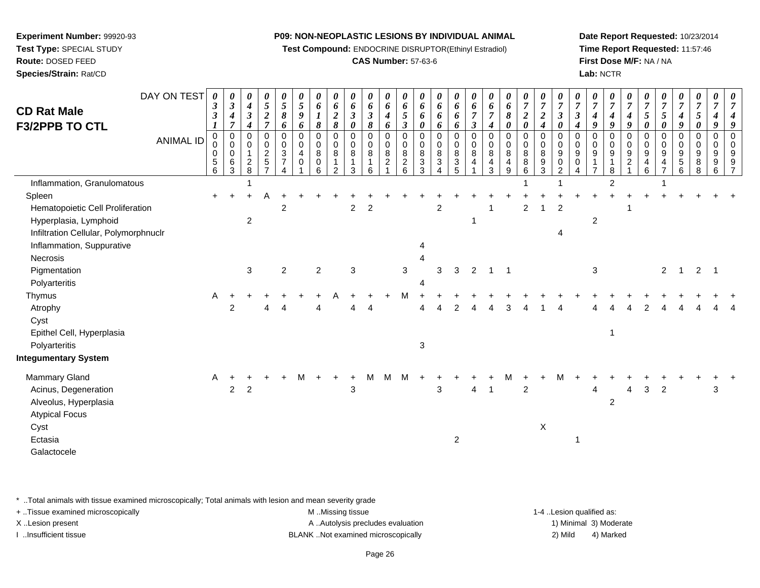**Test Compound:** ENDOCRINE DISRUPTOR(Ethinyl Estradiol)

#### **CAS Number:** 57-63-6

**Date Report Requested:** 10/23/2014**Time Report Requested:** 11:57:46**First Dose M/F:** NA / NA**Lab:** NCTR

| <b>CD Rat Male</b><br><b>F3/2PPB TO CTL</b> | DAY ON TEST<br><b>ANIMAL ID</b> | $\boldsymbol{\theta}$<br>$\boldsymbol{\beta}$<br>$\boldsymbol{\beta}$<br>1<br>$\pmb{0}$<br>0<br>$\frac{5}{6}$ | 0<br>$\mathfrak{z}$<br>$\boldsymbol{4}$<br>$\overline{7}$<br>$\pmb{0}$<br>$\mathbf 0$<br>0<br>6<br>3 | $\pmb{\theta}$<br>$\boldsymbol{4}$<br>$\boldsymbol{\beta}$<br>4<br>0<br>0<br>$\mathbf{1}$<br>$\overline{2}$<br>8 | $\boldsymbol{\theta}$<br>$\mathfrak{s}$<br>$\boldsymbol{2}$<br>$\overline{7}$<br>$\mathbf 0$<br>$\pmb{0}$<br>$\overline{2}$<br>$\overline{5}$<br>$\overline{ }$ | 0<br>$\overline{5}$<br>8<br>6<br>$\mathbf 0$<br>0<br>3<br>$\overline{7}$<br>4 | 0<br>5<br>9<br>6<br>$\Omega$<br>$\mathbf 0$<br>4<br>0 | 0<br>6<br>$\boldsymbol{l}$<br>8<br>0<br>0<br>8<br>0<br>6 | $\pmb{\theta}$<br>6<br>$\boldsymbol{2}$<br>8<br>$\pmb{0}$<br>0<br>8<br>$\mathbf 1$<br>$\overline{c}$ | $\pmb{\theta}$<br>6<br>$\boldsymbol{\beta}$<br>$\boldsymbol{\theta}$<br>$\pmb{0}$<br>$\mathbf 0$<br>$\,8\,$<br>1<br>$\sqrt{3}$ | $\pmb{\theta}$<br>6<br>$\boldsymbol{\beta}$<br>$\pmb{8}$<br>$\mathbf 0$<br>0<br>8<br>$\mathbf{1}$<br>6 | $\boldsymbol{\theta}$<br>6<br>$\boldsymbol{4}$<br>6<br>$\mathbf 0$<br>$\mathbf 0$<br>8<br>$\overline{2}$ | 0<br>6<br>5<br>$\overline{\mathbf{3}}$<br>$\Omega$<br>0<br>8<br>$\overline{c}$<br>6 | 0<br>6<br>6<br>0<br>0<br>0<br>8<br>$\sqrt{3}$<br>3 | 0<br>6<br>6<br>6<br>$\mathbf 0$<br>$\mathbf 0$<br>8<br>$\sqrt{3}$<br>Δ | $\boldsymbol{\theta}$<br>6<br>6<br>6<br>$\mathbf 0$<br>0<br>8<br>3<br>5 | $\pmb{\theta}$<br>6<br>$\overline{7}$<br>$\boldsymbol{\beta}$<br>$\mathbf 0$<br>$\mathbf 0$<br>$\,8\,$<br>4 | $\pmb{\theta}$<br>6<br>$\boldsymbol{7}$<br>4<br>$\mathbf 0$<br>$\mathbf 0$<br>8<br>$\overline{4}$<br>3 | 0<br>6<br>8<br>$\boldsymbol{\theta}$<br>$\mathbf 0$<br>$\mathbf 0$<br>8<br>4<br>$\boldsymbol{9}$ | 0<br>$\overline{7}$<br>$\boldsymbol{2}$<br>0<br>$\mathbf 0$<br>0<br>8<br>8<br>6 | 0<br>$\overline{7}$<br>$\boldsymbol{2}$<br>4<br>$\Omega$<br>0<br>8<br>9<br>3 | $\pmb{\theta}$<br>$\overline{7}$<br>$\boldsymbol{\beta}$<br>$\boldsymbol{\theta}$<br>$\mathbf 0$<br>$\mathbf 0$<br>$9\,$<br>0<br>$\overline{2}$ | 0<br>$\overline{7}$<br>$\boldsymbol{\beta}$<br>4<br>$\Omega$<br>0<br>$\boldsymbol{9}$<br>0<br>4 | 0<br>$\overline{7}$<br>4<br>9<br>$\Omega$<br>$\mathbf 0$<br>$9\,$<br>$\mathbf{1}$<br>$\overline{7}$ | 0<br>$\overline{7}$<br>4<br>9<br>$\Omega$<br>0<br>9<br>8 | 0<br>$\overline{7}$<br>$\boldsymbol{4}$<br>9<br>$\Omega$<br>$\mathbf 0$<br>$\boldsymbol{9}$<br>$\overline{2}$ | 0<br>$\overline{7}$<br>5<br>0<br>$\mathbf 0$<br>$\mathbf 0$<br>$\boldsymbol{9}$<br>4<br>6 | $\boldsymbol{\theta}$<br>$\overline{7}$<br>$\mathfrak{H}$<br>$\boldsymbol{\theta}$<br>$\mathbf 0$<br>$\mathbf 0$<br>$\boldsymbol{9}$<br>4<br>$\overline{7}$ | 0<br>$\overline{7}$<br>$\boldsymbol{4}$<br>$\boldsymbol{9}$<br>$\mathbf 0$<br>$\mathbf 0$<br>$9\,$<br>$\sqrt{5}$<br>6 | 0<br>$\boldsymbol{7}$<br>5<br>0<br>$\Omega$<br>0<br>9<br>8<br>8 | 0<br>$\boldsymbol{7}$<br>4<br>9<br>$\mathbf 0$<br>$\mathbf 0$<br>9<br>9<br>6 | $\boldsymbol{\theta}$<br>$\overline{7}$<br>$\boldsymbol{4}$<br>9<br>$\overline{0}$<br>$\mathbf 0$<br>9<br>9<br>$\overline{7}$ |
|---------------------------------------------|---------------------------------|---------------------------------------------------------------------------------------------------------------|------------------------------------------------------------------------------------------------------|------------------------------------------------------------------------------------------------------------------|-----------------------------------------------------------------------------------------------------------------------------------------------------------------|-------------------------------------------------------------------------------|-------------------------------------------------------|----------------------------------------------------------|------------------------------------------------------------------------------------------------------|--------------------------------------------------------------------------------------------------------------------------------|--------------------------------------------------------------------------------------------------------|----------------------------------------------------------------------------------------------------------|-------------------------------------------------------------------------------------|----------------------------------------------------|------------------------------------------------------------------------|-------------------------------------------------------------------------|-------------------------------------------------------------------------------------------------------------|--------------------------------------------------------------------------------------------------------|--------------------------------------------------------------------------------------------------|---------------------------------------------------------------------------------|------------------------------------------------------------------------------|-------------------------------------------------------------------------------------------------------------------------------------------------|-------------------------------------------------------------------------------------------------|-----------------------------------------------------------------------------------------------------|----------------------------------------------------------|---------------------------------------------------------------------------------------------------------------|-------------------------------------------------------------------------------------------|-------------------------------------------------------------------------------------------------------------------------------------------------------------|-----------------------------------------------------------------------------------------------------------------------|-----------------------------------------------------------------|------------------------------------------------------------------------------|-------------------------------------------------------------------------------------------------------------------------------|
| Inflammation, Granulomatous                 |                                 |                                                                                                               |                                                                                                      |                                                                                                                  |                                                                                                                                                                 |                                                                               |                                                       |                                                          |                                                                                                      |                                                                                                                                |                                                                                                        |                                                                                                          |                                                                                     |                                                    |                                                                        |                                                                         |                                                                                                             |                                                                                                        |                                                                                                  |                                                                                 |                                                                              |                                                                                                                                                 |                                                                                                 |                                                                                                     | $\overline{2}$                                           |                                                                                                               |                                                                                           |                                                                                                                                                             |                                                                                                                       |                                                                 |                                                                              |                                                                                                                               |
| Spleen                                      |                                 | $+$                                                                                                           |                                                                                                      |                                                                                                                  |                                                                                                                                                                 |                                                                               |                                                       |                                                          |                                                                                                      |                                                                                                                                |                                                                                                        |                                                                                                          |                                                                                     |                                                    |                                                                        |                                                                         |                                                                                                             |                                                                                                        |                                                                                                  |                                                                                 |                                                                              |                                                                                                                                                 |                                                                                                 |                                                                                                     |                                                          |                                                                                                               |                                                                                           |                                                                                                                                                             |                                                                                                                       |                                                                 |                                                                              |                                                                                                                               |
| Hematopoietic Cell Proliferation            |                                 |                                                                                                               |                                                                                                      |                                                                                                                  |                                                                                                                                                                 | $\overline{2}$                                                                |                                                       |                                                          |                                                                                                      | 2                                                                                                                              | $\overline{2}$                                                                                         |                                                                                                          |                                                                                     |                                                    | $\overline{2}$                                                         |                                                                         |                                                                                                             |                                                                                                        |                                                                                                  | $\overline{2}$                                                                  |                                                                              | $\overline{2}$                                                                                                                                  |                                                                                                 |                                                                                                     |                                                          |                                                                                                               |                                                                                           |                                                                                                                                                             |                                                                                                                       |                                                                 |                                                                              |                                                                                                                               |
| Hyperplasia, Lymphoid                       |                                 |                                                                                                               |                                                                                                      | $\overline{c}$                                                                                                   |                                                                                                                                                                 |                                                                               |                                                       |                                                          |                                                                                                      |                                                                                                                                |                                                                                                        |                                                                                                          |                                                                                     |                                                    |                                                                        |                                                                         | 1                                                                                                           |                                                                                                        |                                                                                                  |                                                                                 |                                                                              |                                                                                                                                                 |                                                                                                 | $\overline{2}$                                                                                      |                                                          |                                                                                                               |                                                                                           |                                                                                                                                                             |                                                                                                                       |                                                                 |                                                                              |                                                                                                                               |
| Infiltration Cellular, Polymorphnuclr       |                                 |                                                                                                               |                                                                                                      |                                                                                                                  |                                                                                                                                                                 |                                                                               |                                                       |                                                          |                                                                                                      |                                                                                                                                |                                                                                                        |                                                                                                          |                                                                                     |                                                    |                                                                        |                                                                         |                                                                                                             |                                                                                                        |                                                                                                  |                                                                                 |                                                                              | $\overline{4}$                                                                                                                                  |                                                                                                 |                                                                                                     |                                                          |                                                                                                               |                                                                                           |                                                                                                                                                             |                                                                                                                       |                                                                 |                                                                              |                                                                                                                               |
| Inflammation, Suppurative                   |                                 |                                                                                                               |                                                                                                      |                                                                                                                  |                                                                                                                                                                 |                                                                               |                                                       |                                                          |                                                                                                      |                                                                                                                                |                                                                                                        |                                                                                                          |                                                                                     | 4                                                  |                                                                        |                                                                         |                                                                                                             |                                                                                                        |                                                                                                  |                                                                                 |                                                                              |                                                                                                                                                 |                                                                                                 |                                                                                                     |                                                          |                                                                                                               |                                                                                           |                                                                                                                                                             |                                                                                                                       |                                                                 |                                                                              |                                                                                                                               |
| Necrosis                                    |                                 |                                                                                                               |                                                                                                      |                                                                                                                  |                                                                                                                                                                 |                                                                               |                                                       |                                                          |                                                                                                      |                                                                                                                                |                                                                                                        |                                                                                                          |                                                                                     |                                                    |                                                                        |                                                                         |                                                                                                             |                                                                                                        |                                                                                                  |                                                                                 |                                                                              |                                                                                                                                                 |                                                                                                 |                                                                                                     |                                                          |                                                                                                               |                                                                                           |                                                                                                                                                             |                                                                                                                       |                                                                 |                                                                              |                                                                                                                               |
| Pigmentation                                |                                 |                                                                                                               |                                                                                                      | 3                                                                                                                |                                                                                                                                                                 | 2                                                                             |                                                       | $\overline{2}$                                           |                                                                                                      | 3                                                                                                                              |                                                                                                        |                                                                                                          | 3                                                                                   |                                                    | 3                                                                      | 3                                                                       | $\overline{2}$                                                                                              | $\overline{1}$                                                                                         | $\overline{\phantom{0}}$ 1                                                                       |                                                                                 |                                                                              |                                                                                                                                                 |                                                                                                 | 3                                                                                                   |                                                          |                                                                                                               |                                                                                           | $\overline{2}$                                                                                                                                              | $\mathbf{1}$                                                                                                          | $\overline{2}$                                                  | -1                                                                           |                                                                                                                               |
| Polyarteritis                               |                                 |                                                                                                               |                                                                                                      |                                                                                                                  |                                                                                                                                                                 |                                                                               |                                                       |                                                          |                                                                                                      |                                                                                                                                |                                                                                                        |                                                                                                          |                                                                                     |                                                    |                                                                        |                                                                         |                                                                                                             |                                                                                                        |                                                                                                  |                                                                                 |                                                                              |                                                                                                                                                 |                                                                                                 |                                                                                                     |                                                          |                                                                                                               |                                                                                           |                                                                                                                                                             |                                                                                                                       |                                                                 |                                                                              |                                                                                                                               |
| Thymus                                      |                                 | A                                                                                                             |                                                                                                      |                                                                                                                  |                                                                                                                                                                 |                                                                               |                                                       |                                                          |                                                                                                      |                                                                                                                                |                                                                                                        |                                                                                                          | М                                                                                   |                                                    |                                                                        |                                                                         |                                                                                                             |                                                                                                        |                                                                                                  |                                                                                 |                                                                              |                                                                                                                                                 |                                                                                                 |                                                                                                     |                                                          |                                                                                                               |                                                                                           |                                                                                                                                                             |                                                                                                                       |                                                                 |                                                                              |                                                                                                                               |
| Atrophy                                     |                                 |                                                                                                               | 2                                                                                                    |                                                                                                                  | Λ                                                                                                                                                               | Δ                                                                             |                                                       |                                                          |                                                                                                      |                                                                                                                                | Δ                                                                                                      |                                                                                                          |                                                                                     |                                                    |                                                                        | 2                                                                       |                                                                                                             | Λ                                                                                                      | 3                                                                                                |                                                                                 |                                                                              |                                                                                                                                                 |                                                                                                 |                                                                                                     |                                                          |                                                                                                               |                                                                                           |                                                                                                                                                             |                                                                                                                       |                                                                 |                                                                              |                                                                                                                               |
| Cyst                                        |                                 |                                                                                                               |                                                                                                      |                                                                                                                  |                                                                                                                                                                 |                                                                               |                                                       |                                                          |                                                                                                      |                                                                                                                                |                                                                                                        |                                                                                                          |                                                                                     |                                                    |                                                                        |                                                                         |                                                                                                             |                                                                                                        |                                                                                                  |                                                                                 |                                                                              |                                                                                                                                                 |                                                                                                 |                                                                                                     |                                                          |                                                                                                               |                                                                                           |                                                                                                                                                             |                                                                                                                       |                                                                 |                                                                              |                                                                                                                               |
| Epithel Cell, Hyperplasia                   |                                 |                                                                                                               |                                                                                                      |                                                                                                                  |                                                                                                                                                                 |                                                                               |                                                       |                                                          |                                                                                                      |                                                                                                                                |                                                                                                        |                                                                                                          |                                                                                     |                                                    |                                                                        |                                                                         |                                                                                                             |                                                                                                        |                                                                                                  |                                                                                 |                                                                              |                                                                                                                                                 |                                                                                                 |                                                                                                     | -1                                                       |                                                                                                               |                                                                                           |                                                                                                                                                             |                                                                                                                       |                                                                 |                                                                              |                                                                                                                               |
| Polyarteritis                               |                                 |                                                                                                               |                                                                                                      |                                                                                                                  |                                                                                                                                                                 |                                                                               |                                                       |                                                          |                                                                                                      |                                                                                                                                |                                                                                                        |                                                                                                          |                                                                                     | 3                                                  |                                                                        |                                                                         |                                                                                                             |                                                                                                        |                                                                                                  |                                                                                 |                                                                              |                                                                                                                                                 |                                                                                                 |                                                                                                     |                                                          |                                                                                                               |                                                                                           |                                                                                                                                                             |                                                                                                                       |                                                                 |                                                                              |                                                                                                                               |
| <b>Integumentary System</b>                 |                                 |                                                                                                               |                                                                                                      |                                                                                                                  |                                                                                                                                                                 |                                                                               |                                                       |                                                          |                                                                                                      |                                                                                                                                |                                                                                                        |                                                                                                          |                                                                                     |                                                    |                                                                        |                                                                         |                                                                                                             |                                                                                                        |                                                                                                  |                                                                                 |                                                                              |                                                                                                                                                 |                                                                                                 |                                                                                                     |                                                          |                                                                                                               |                                                                                           |                                                                                                                                                             |                                                                                                                       |                                                                 |                                                                              |                                                                                                                               |
| Mammary Gland                               |                                 | A                                                                                                             |                                                                                                      |                                                                                                                  |                                                                                                                                                                 |                                                                               | Μ                                                     |                                                          | $\pm$                                                                                                | $\ddot{}$                                                                                                                      | M                                                                                                      | М                                                                                                        | M                                                                                   |                                                    |                                                                        |                                                                         |                                                                                                             |                                                                                                        |                                                                                                  |                                                                                 |                                                                              |                                                                                                                                                 |                                                                                                 |                                                                                                     |                                                          |                                                                                                               |                                                                                           |                                                                                                                                                             |                                                                                                                       |                                                                 |                                                                              |                                                                                                                               |
| Acinus, Degeneration                        |                                 |                                                                                                               | $\overline{2}$                                                                                       | $\overline{2}$                                                                                                   |                                                                                                                                                                 |                                                                               |                                                       |                                                          |                                                                                                      | 3                                                                                                                              |                                                                                                        |                                                                                                          |                                                                                     |                                                    | 3                                                                      |                                                                         | 4                                                                                                           | $\overline{1}$                                                                                         |                                                                                                  | $\overline{2}$                                                                  |                                                                              |                                                                                                                                                 |                                                                                                 | 4                                                                                                   |                                                          | Δ                                                                                                             | 3                                                                                         | $\overline{c}$                                                                                                                                              |                                                                                                                       |                                                                 | 3                                                                            |                                                                                                                               |
| Alveolus, Hyperplasia                       |                                 |                                                                                                               |                                                                                                      |                                                                                                                  |                                                                                                                                                                 |                                                                               |                                                       |                                                          |                                                                                                      |                                                                                                                                |                                                                                                        |                                                                                                          |                                                                                     |                                                    |                                                                        |                                                                         |                                                                                                             |                                                                                                        |                                                                                                  |                                                                                 |                                                                              |                                                                                                                                                 |                                                                                                 |                                                                                                     | $\overline{c}$                                           |                                                                                                               |                                                                                           |                                                                                                                                                             |                                                                                                                       |                                                                 |                                                                              |                                                                                                                               |
| <b>Atypical Focus</b>                       |                                 |                                                                                                               |                                                                                                      |                                                                                                                  |                                                                                                                                                                 |                                                                               |                                                       |                                                          |                                                                                                      |                                                                                                                                |                                                                                                        |                                                                                                          |                                                                                     |                                                    |                                                                        |                                                                         |                                                                                                             |                                                                                                        |                                                                                                  |                                                                                 |                                                                              |                                                                                                                                                 |                                                                                                 |                                                                                                     |                                                          |                                                                                                               |                                                                                           |                                                                                                                                                             |                                                                                                                       |                                                                 |                                                                              |                                                                                                                               |
| Cyst                                        |                                 |                                                                                                               |                                                                                                      |                                                                                                                  |                                                                                                                                                                 |                                                                               |                                                       |                                                          |                                                                                                      |                                                                                                                                |                                                                                                        |                                                                                                          |                                                                                     |                                                    |                                                                        |                                                                         |                                                                                                             |                                                                                                        |                                                                                                  |                                                                                 | X                                                                            |                                                                                                                                                 |                                                                                                 |                                                                                                     |                                                          |                                                                                                               |                                                                                           |                                                                                                                                                             |                                                                                                                       |                                                                 |                                                                              |                                                                                                                               |
| Ectasia                                     |                                 |                                                                                                               |                                                                                                      |                                                                                                                  |                                                                                                                                                                 |                                                                               |                                                       |                                                          |                                                                                                      |                                                                                                                                |                                                                                                        |                                                                                                          |                                                                                     |                                                    |                                                                        | $\boldsymbol{2}$                                                        |                                                                                                             |                                                                                                        |                                                                                                  |                                                                                 |                                                                              |                                                                                                                                                 |                                                                                                 |                                                                                                     |                                                          |                                                                                                               |                                                                                           |                                                                                                                                                             |                                                                                                                       |                                                                 |                                                                              |                                                                                                                               |
| Galactocele                                 |                                 |                                                                                                               |                                                                                                      |                                                                                                                  |                                                                                                                                                                 |                                                                               |                                                       |                                                          |                                                                                                      |                                                                                                                                |                                                                                                        |                                                                                                          |                                                                                     |                                                    |                                                                        |                                                                         |                                                                                                             |                                                                                                        |                                                                                                  |                                                                                 |                                                                              |                                                                                                                                                 |                                                                                                 |                                                                                                     |                                                          |                                                                                                               |                                                                                           |                                                                                                                                                             |                                                                                                                       |                                                                 |                                                                              |                                                                                                                               |
|                                             |                                 |                                                                                                               |                                                                                                      |                                                                                                                  |                                                                                                                                                                 |                                                                               |                                                       |                                                          |                                                                                                      |                                                                                                                                |                                                                                                        |                                                                                                          |                                                                                     |                                                    |                                                                        |                                                                         |                                                                                                             |                                                                                                        |                                                                                                  |                                                                                 |                                                                              |                                                                                                                                                 |                                                                                                 |                                                                                                     |                                                          |                                                                                                               |                                                                                           |                                                                                                                                                             |                                                                                                                       |                                                                 |                                                                              |                                                                                                                               |

\* ..Total animals with tissue examined microscopically; Total animals with lesion and mean severity grade

**Experiment Number:** 99920-93**Test Type:** SPECIAL STUDY**Route:** DOSED FEED**Species/Strain:** Rat/CD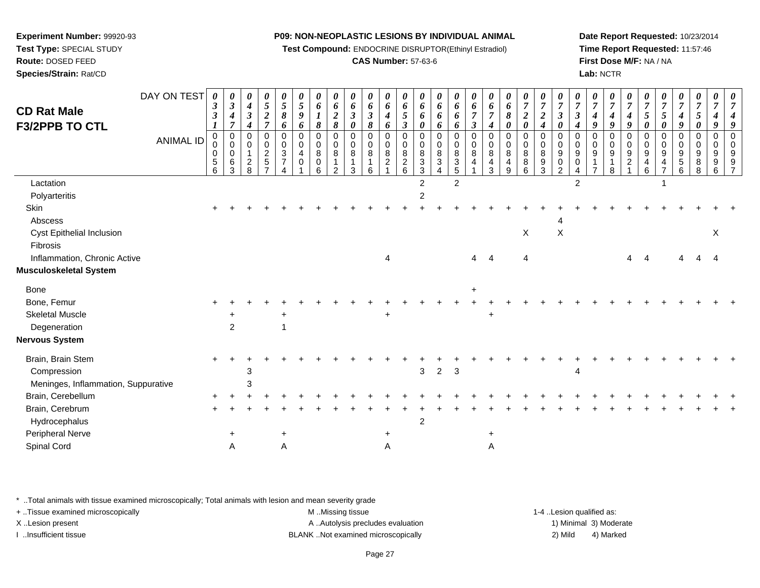**Test Compound:** ENDOCRINE DISRUPTOR(Ethinyl Estradiol)

#### **CAS Number:** 57-63-6

**Date Report Requested:** 10/23/2014**Time Report Requested:** 11:57:46**First Dose M/F:** NA / NA**Lab:** NCTR

| <b>CD Rat Male</b><br><b>F3/2PPB TO CTL</b>                             | DAY ON TEST<br><b>ANIMAL ID</b> | 0<br>$\boldsymbol{\beta}$<br>$\mathfrak{z}$<br>$\mathbf 0$<br>0<br>$\mathbf 0$<br>$5\phantom{.0}$<br>6 | $\boldsymbol{\theta}$<br>$\mathfrak{z}$<br>4<br>$\overline{7}$<br>$\pmb{0}$<br>$\mathbf 0$<br>0<br>6<br>3 | 0<br>$\boldsymbol{4}$<br>$\mathfrak{z}$<br>$\boldsymbol{4}$<br>$\mathbf 0$<br>0<br>$\mathbf{1}$<br>$\overline{2}$<br>8 | 0<br>$\overline{5}$<br>$\frac{2}{7}$<br>0<br>$\pmb{0}$<br>$\overline{c}$<br>$\sqrt{5}$<br>$\overline{ }$ | 0<br>$\overline{5}$<br>8<br>6<br>$\pmb{0}$<br>$\mathbf 0$<br>$\sqrt{3}$<br>$\overline{7}$ | 0<br>$\sqrt{5}$<br>$\boldsymbol{9}$<br>$\pmb{6}$<br>$\mathbf 0$<br>$\mathbf 0$<br>$\overline{a}$<br>0 | $\boldsymbol{\theta}$<br>6<br>$\boldsymbol{l}$<br>$\pmb{8}$<br>$\mathbf 0$<br>$\pmb{0}$<br>$\,8\,$<br>0<br>6 | $\boldsymbol{\theta}$<br>6<br>$\overline{a}$<br>8<br>$\pmb{0}$<br>$\mathbf 0$<br>8<br>2 | 0<br>6<br>$\boldsymbol{\beta}$<br>$\pmb{\theta}$<br>0<br>$\pmb{0}$<br>8<br>$\mathbf{1}$<br>3 | 0<br>$\pmb{6}$<br>$\boldsymbol{\beta}$<br>8<br>$\mathbf 0$<br>$\pmb{0}$<br>8<br>$\mathbf{1}$<br>6 | 0<br>6<br>$\boldsymbol{4}$<br>6<br>$\mathbf 0$<br>0<br>8<br>$\overline{2}$ | 0<br>6<br>$\sqrt{5}$<br>$\mathfrak{z}$<br>$\mathbf 0$<br>0<br>$\,8\,$<br>$\overline{c}$<br>6 | 0<br>6<br>6<br>0<br>$\mathbf 0$<br>0<br>8<br>3<br>$\mathfrak{S}$ | 0<br>6<br>6<br>6<br>$\mathbf 0$<br>$\pmb{0}$<br>8<br>$\mathbf{3}$<br>4 | 0<br>6<br>6<br>6<br>$\mathbf 0$<br>$\,0\,$<br>8<br>$\ensuremath{\mathsf{3}}$<br>$\overline{5}$ | 0<br>6<br>$\overline{7}$<br>$\mathfrak{z}$<br>$\mathbf 0$<br>0<br>$\bf8$<br>4 | 0<br>6<br>$\overline{7}$<br>$\boldsymbol{4}$<br>$\mathbf 0$<br>$\mathbf 0$<br>$\bf 8$<br>$\overline{\mathbf{4}}$<br>3 | 0<br>6<br>8<br>0<br>$\pmb{0}$<br>$\mathbf 0$<br>8<br>4<br>9 | 0<br>$\overline{7}$<br>$\frac{2}{\theta}$<br>0<br>0<br>$\overline{8}$<br>8<br>6 | $\frac{\theta}{7}$<br>$\boldsymbol{2}$<br>$\boldsymbol{4}$<br>$\mathbf 0$<br>$\pmb{0}$<br>8<br>$\boldsymbol{9}$<br>3 | $\boldsymbol{\theta}$<br>$\overline{7}$<br>$\boldsymbol{\beta}$<br>$\boldsymbol{\theta}$<br>$\mathbf 0$<br>$\mathbf 0$<br>$\boldsymbol{9}$<br>$\mathbf 0$<br>$\overline{2}$ | 0<br>$\overline{7}$<br>$\mathfrak{z}$<br>$\boldsymbol{4}$<br>$\mathbf 0$<br>$\mathbf 0$<br>$\boldsymbol{9}$<br>$\mathbf 0$<br>4 | $\frac{\boldsymbol{0}}{7}$<br>4<br>9<br>$\Omega$<br>0<br>9 | 0<br>$\overline{7}$<br>$\boldsymbol{4}$<br>9<br>0<br>0<br>9<br>$\mathbf{1}$<br>8 | $\boldsymbol{\theta}$<br>$\overline{7}$<br>$\boldsymbol{4}$<br>9<br>$\mathbf 0$<br>$\mathbf 0$<br>$\boldsymbol{9}$<br>$\overline{c}$ | 0<br>$\overline{7}$<br>$\mathfrak{s}$<br>$\boldsymbol{\theta}$<br>$\mathbf 0$<br>$\pmb{0}$<br>$\boldsymbol{9}$<br>$\overline{4}$<br>6 | $\boldsymbol{\theta}$<br>$\overline{7}$<br>$\overline{5}$<br>$\boldsymbol{\theta}$<br>$\mathbf 0$<br>$\mathbf 0$<br>$9\,$<br>4<br>$\overline{7}$ | 0<br>$\overline{7}$<br>$\boldsymbol{4}$<br>9<br>0<br>$\pmb{0}$<br>$\boldsymbol{9}$<br>5<br>6 | 0<br>$\boldsymbol{7}$<br>$\mathfrak{H}$<br>0<br>0<br>0<br>$\overline{9}$<br>8<br>8 | $\boldsymbol{\theta}$<br>$\overline{7}$<br>4<br>9<br>$\pmb{0}$<br>$\pmb{0}$<br>9<br>$\boldsymbol{9}$<br>6 | $\Omega$ |
|-------------------------------------------------------------------------|---------------------------------|--------------------------------------------------------------------------------------------------------|-----------------------------------------------------------------------------------------------------------|------------------------------------------------------------------------------------------------------------------------|----------------------------------------------------------------------------------------------------------|-------------------------------------------------------------------------------------------|-------------------------------------------------------------------------------------------------------|--------------------------------------------------------------------------------------------------------------|-----------------------------------------------------------------------------------------|----------------------------------------------------------------------------------------------|---------------------------------------------------------------------------------------------------|----------------------------------------------------------------------------|----------------------------------------------------------------------------------------------|------------------------------------------------------------------|------------------------------------------------------------------------|------------------------------------------------------------------------------------------------|-------------------------------------------------------------------------------|-----------------------------------------------------------------------------------------------------------------------|-------------------------------------------------------------|---------------------------------------------------------------------------------|----------------------------------------------------------------------------------------------------------------------|-----------------------------------------------------------------------------------------------------------------------------------------------------------------------------|---------------------------------------------------------------------------------------------------------------------------------|------------------------------------------------------------|----------------------------------------------------------------------------------|--------------------------------------------------------------------------------------------------------------------------------------|---------------------------------------------------------------------------------------------------------------------------------------|--------------------------------------------------------------------------------------------------------------------------------------------------|----------------------------------------------------------------------------------------------|------------------------------------------------------------------------------------|-----------------------------------------------------------------------------------------------------------|----------|
| Lactation<br>Polyarteritis                                              |                                 |                                                                                                        |                                                                                                           |                                                                                                                        |                                                                                                          |                                                                                           |                                                                                                       |                                                                                                              |                                                                                         |                                                                                              |                                                                                                   |                                                                            |                                                                                              | $\overline{2}$<br>2                                              |                                                                        | $\overline{2}$                                                                                 |                                                                               |                                                                                                                       |                                                             |                                                                                 |                                                                                                                      |                                                                                                                                                                             | $\overline{2}$                                                                                                                  |                                                            |                                                                                  |                                                                                                                                      |                                                                                                                                       |                                                                                                                                                  |                                                                                              |                                                                                    |                                                                                                           |          |
| Skin<br>Abscess<br><b>Cyst Epithelial Inclusion</b>                     |                                 |                                                                                                        |                                                                                                           |                                                                                                                        |                                                                                                          |                                                                                           |                                                                                                       |                                                                                                              |                                                                                         |                                                                                              |                                                                                                   |                                                                            |                                                                                              |                                                                  |                                                                        |                                                                                                |                                                                               |                                                                                                                       |                                                             | $\mathsf{X}$                                                                    |                                                                                                                      | $\sf X$                                                                                                                                                                     |                                                                                                                                 |                                                            |                                                                                  |                                                                                                                                      |                                                                                                                                       |                                                                                                                                                  |                                                                                              |                                                                                    | X                                                                                                         |          |
| Fibrosis<br>Inflammation, Chronic Active<br>Musculoskeletal System      |                                 |                                                                                                        |                                                                                                           |                                                                                                                        |                                                                                                          |                                                                                           |                                                                                                       |                                                                                                              |                                                                                         |                                                                                              |                                                                                                   | 4                                                                          |                                                                                              |                                                                  |                                                                        |                                                                                                | 4                                                                             |                                                                                                                       |                                                             | 4                                                                               |                                                                                                                      |                                                                                                                                                                             |                                                                                                                                 |                                                            |                                                                                  |                                                                                                                                      |                                                                                                                                       |                                                                                                                                                  |                                                                                              |                                                                                    |                                                                                                           |          |
| <b>Bone</b>                                                             |                                 |                                                                                                        |                                                                                                           |                                                                                                                        |                                                                                                          |                                                                                           |                                                                                                       |                                                                                                              |                                                                                         |                                                                                              |                                                                                                   |                                                                            |                                                                                              |                                                                  |                                                                        |                                                                                                |                                                                               |                                                                                                                       |                                                             |                                                                                 |                                                                                                                      |                                                                                                                                                                             |                                                                                                                                 |                                                            |                                                                                  |                                                                                                                                      |                                                                                                                                       |                                                                                                                                                  |                                                                                              |                                                                                    |                                                                                                           |          |
| Bone, Femur<br><b>Skeletal Muscle</b><br>Degeneration                   |                                 |                                                                                                        | $\overline{c}$                                                                                            |                                                                                                                        |                                                                                                          |                                                                                           |                                                                                                       |                                                                                                              |                                                                                         |                                                                                              |                                                                                                   | $\ddot{}$                                                                  |                                                                                              |                                                                  |                                                                        |                                                                                                |                                                                               | $\ddot{}$                                                                                                             |                                                             |                                                                                 |                                                                                                                      |                                                                                                                                                                             |                                                                                                                                 |                                                            |                                                                                  |                                                                                                                                      |                                                                                                                                       |                                                                                                                                                  |                                                                                              |                                                                                    |                                                                                                           |          |
| Nervous System                                                          |                                 |                                                                                                        |                                                                                                           |                                                                                                                        |                                                                                                          |                                                                                           |                                                                                                       |                                                                                                              |                                                                                         |                                                                                              |                                                                                                   |                                                                            |                                                                                              |                                                                  |                                                                        |                                                                                                |                                                                               |                                                                                                                       |                                                             |                                                                                 |                                                                                                                      |                                                                                                                                                                             |                                                                                                                                 |                                                            |                                                                                  |                                                                                                                                      |                                                                                                                                       |                                                                                                                                                  |                                                                                              |                                                                                    |                                                                                                           |          |
| Brain, Brain Stem<br>Compression<br>Meninges, Inflammation, Suppurative |                                 |                                                                                                        |                                                                                                           | 3<br>3                                                                                                                 |                                                                                                          |                                                                                           |                                                                                                       |                                                                                                              |                                                                                         |                                                                                              |                                                                                                   |                                                                            |                                                                                              | 3                                                                | $\overline{2}$                                                         | 3                                                                                              |                                                                               |                                                                                                                       |                                                             |                                                                                 |                                                                                                                      |                                                                                                                                                                             | 4                                                                                                                               |                                                            |                                                                                  |                                                                                                                                      |                                                                                                                                       |                                                                                                                                                  |                                                                                              |                                                                                    |                                                                                                           |          |
| Brain, Cerebellum<br>Brain, Cerebrum<br>Hydrocephalus                   |                                 |                                                                                                        |                                                                                                           |                                                                                                                        |                                                                                                          |                                                                                           |                                                                                                       |                                                                                                              |                                                                                         |                                                                                              |                                                                                                   |                                                                            |                                                                                              | $\overline{c}$                                                   |                                                                        |                                                                                                |                                                                               |                                                                                                                       |                                                             |                                                                                 |                                                                                                                      |                                                                                                                                                                             |                                                                                                                                 |                                                            |                                                                                  |                                                                                                                                      |                                                                                                                                       |                                                                                                                                                  |                                                                                              |                                                                                    |                                                                                                           |          |
| Peripheral Nerve<br>Spinal Cord                                         |                                 |                                                                                                        | Α                                                                                                         |                                                                                                                        |                                                                                                          | A                                                                                         |                                                                                                       |                                                                                                              |                                                                                         |                                                                                              |                                                                                                   | A                                                                          |                                                                                              |                                                                  |                                                                        |                                                                                                |                                                                               | A                                                                                                                     |                                                             |                                                                                 |                                                                                                                      |                                                                                                                                                                             |                                                                                                                                 |                                                            |                                                                                  |                                                                                                                                      |                                                                                                                                       |                                                                                                                                                  |                                                                                              |                                                                                    |                                                                                                           |          |
|                                                                         |                                 |                                                                                                        |                                                                                                           |                                                                                                                        |                                                                                                          |                                                                                           |                                                                                                       |                                                                                                              |                                                                                         |                                                                                              |                                                                                                   |                                                                            |                                                                                              |                                                                  |                                                                        |                                                                                                |                                                                               |                                                                                                                       |                                                             |                                                                                 |                                                                                                                      |                                                                                                                                                                             |                                                                                                                                 |                                                            |                                                                                  |                                                                                                                                      |                                                                                                                                       |                                                                                                                                                  |                                                                                              |                                                                                    |                                                                                                           |          |

\* ..Total animals with tissue examined microscopically; Total animals with lesion and mean severity grade

+ ..Tissue examined microscopically examined microscopically examined as:  $M$  ..Missing tissue 1-4 ..Lesion qualified as: X..Lesion present **A ..Autolysis precludes evaluation** A ..Autolysis precludes evaluation 1) Minimal 3) Moderate

I ..Insufficient tissue BLANK ..Not examined microscopically 2) Mild 4) Marked

### **Experiment Number:** 99920-93**Test Type:** SPECIAL STUDY**Route:** DOSED FEED

**Species/Strain:** Rat/CD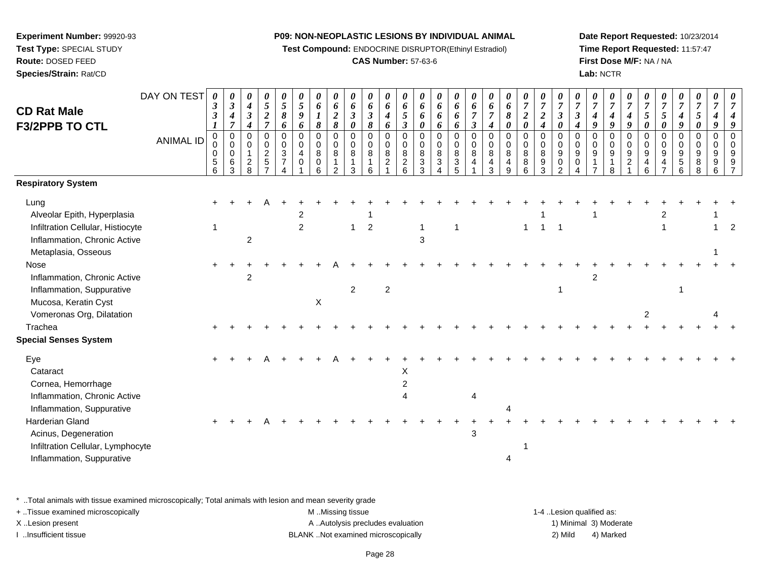**Test Compound:** ENDOCRINE DISRUPTOR(Ethinyl Estradiol)

#### **CAS Number:** 57-63-6

**Date Report Requested:** 10/23/2014**Time Report Requested:** 11:57:47**First Dose M/F:** NA / NA**Lab:** NCTR

| <b>CD Rat Male</b><br><b>F3/2PPB TO CTL</b>                                                                                                                                                                                                                                                          | DAY ON TEST<br><b>ANIMAL ID</b> | 0<br>$\boldsymbol{\beta}$<br>$\boldsymbol{\beta}$<br>$\boldsymbol{l}$<br>$\mathbf 0$<br>0<br>$\pmb{0}$<br>5 | 0<br>$\boldsymbol{\beta}$<br>$\boldsymbol{4}$<br>$\overline{7}$<br>$\mathbf 0$<br>$\mathbf 0$<br>$\pmb{0}$<br>6 | $\boldsymbol{\theta}$<br>$\boldsymbol{4}$<br>$\mathfrak{z}$<br>$\boldsymbol{4}$<br>$\mathbf 0$<br>$\mathbf 0$<br>$\overline{1}$<br>$\frac{2}{8}$ | $\boldsymbol{\theta}$<br>$\sqrt{5}$<br>$rac{2}{7}$<br>$\mathbf 0$<br>$\pmb{0}$<br>$\boldsymbol{2}$<br>$\overline{5}$ | 0<br>5<br>8<br>6<br>$\mathbf 0$<br>0<br>$\mathbf{3}$<br>7 | 0<br>$\mathfrak{s}$<br>$\pmb{9}$<br>6<br>$\mathbf 0$<br>$\mathbf 0$<br>$\overline{\mathbf{4}}$<br>0 | 0<br>6<br>$\boldsymbol{l}$<br>8<br>$\pmb{0}$<br>$\pmb{0}$<br>8<br>0 | 0<br>6<br>$\boldsymbol{2}$<br>8<br>0<br>$\mathbf 0$<br>8 | 0<br>$\pmb{6}$<br>$\mathfrak{z}$<br>$\boldsymbol{\theta}$<br>$\mathbf 0$<br>$\mathbf 0$<br>$\bf8$<br>$\mathbf{1}$ | $\boldsymbol{\theta}$<br>6<br>$\mathfrak{z}$<br>8<br>$\mathbf 0$<br>$\mathbf 0$<br>$\, 8$<br>$\mathbf{1}$ | 0<br>6<br>$\boldsymbol{4}$<br>6<br>$\Omega$<br>0<br>8<br>$\overline{c}$ | 0<br>6<br>5<br>3 <sup>1</sup><br>$\mathbf 0$<br>0<br>8<br>$\overline{a}$ | 0<br>6<br>6<br>$\boldsymbol{\theta}$<br>0<br>$\pmb{0}$<br>$\bf8$<br>3 | 0<br>6<br>6<br>6<br>$\mathbf 0$<br>$\pmb{0}$<br>$\bf 8$<br>$\sqrt{3}$ | 0<br>6<br>6<br>6<br>$\Omega$<br>0<br>8<br>$\mathbf{3}$ | $\boldsymbol{\theta}$<br>6<br>$\overline{7}$<br>$\boldsymbol{\beta}$<br>$\Omega$<br>$\mathbf 0$<br>8<br>4 | 0<br>6<br>$\overline{7}$<br>4<br>$\mathbf 0$<br>0<br>8<br>4 | 0<br>6<br>8<br>$\boldsymbol{\theta}$<br>$\mathbf 0$<br>$\mathbf 0$<br>8<br>4 | $\boldsymbol{\theta}$<br>$\boldsymbol{7}$<br>$\boldsymbol{2}$<br>$\boldsymbol{\theta}$<br>$\mathbf 0$<br>$\pmb{0}$<br>$\bf 8$<br>8 | 0<br>$\overline{7}$<br>$\boldsymbol{2}$<br>$\boldsymbol{4}$<br>$\Omega$<br>0<br>$\bf8$<br>9 | $\boldsymbol{\theta}$<br>$\overline{7}$<br>$\boldsymbol{\beta}$<br>$\boldsymbol{\theta}$<br>$\Omega$<br>$\mathbf 0$<br>9<br>$\mathbf 0$ | $\frac{\boldsymbol{\theta}}{\boldsymbol{7}}$<br>$\mathfrak{z}$<br>$\boldsymbol{4}$<br>$\Omega$<br>0<br>$\boldsymbol{9}$<br>0 | 0<br>$\boldsymbol{7}$<br>$\boldsymbol{4}$<br>9<br>0<br>$\mathbf 0$<br>$\boldsymbol{9}$<br>$\mathbf{1}$ | $\frac{\boldsymbol{0}}{7}$<br>$\boldsymbol{4}$<br>9<br>0<br>0<br>9<br>$\mathbf{1}$ | $\boldsymbol{\theta}$<br>$\overline{7}$<br>$\boldsymbol{4}$<br>9<br>$\Omega$<br>0<br>$\boldsymbol{9}$<br>$\overline{2}$ | 0<br>$\overline{7}$<br>$\sqrt{5}$<br>$\boldsymbol{\theta}$<br>$\mathbf 0$<br>0<br>$\boldsymbol{9}$<br>4 | 0<br>$\boldsymbol{7}$<br>5<br>$\boldsymbol{\theta}$<br>$\Omega$<br>0<br>9<br>4 | 0<br>$\overline{7}$<br>$\boldsymbol{4}$<br>9<br>$\Omega$<br>$\mathbf 0$<br>$9\,$<br>$\sqrt{5}$ | 0<br>$\boldsymbol{7}$<br>5<br>0<br>$\Omega$<br>0<br>9<br>8 | 0<br>$\boldsymbol{7}$<br>$\boldsymbol{4}$<br>9<br>$\Omega$<br>0<br>$\boldsymbol{9}$<br>9 | 0<br>$\overline{7}$<br>$\boldsymbol{q}$<br>$\Omega$<br>$\Omega$<br>9<br>9 |
|------------------------------------------------------------------------------------------------------------------------------------------------------------------------------------------------------------------------------------------------------------------------------------------------------|---------------------------------|-------------------------------------------------------------------------------------------------------------|-----------------------------------------------------------------------------------------------------------------|--------------------------------------------------------------------------------------------------------------------------------------------------|----------------------------------------------------------------------------------------------------------------------|-----------------------------------------------------------|-----------------------------------------------------------------------------------------------------|---------------------------------------------------------------------|----------------------------------------------------------|-------------------------------------------------------------------------------------------------------------------|-----------------------------------------------------------------------------------------------------------|-------------------------------------------------------------------------|--------------------------------------------------------------------------|-----------------------------------------------------------------------|-----------------------------------------------------------------------|--------------------------------------------------------|-----------------------------------------------------------------------------------------------------------|-------------------------------------------------------------|------------------------------------------------------------------------------|------------------------------------------------------------------------------------------------------------------------------------|---------------------------------------------------------------------------------------------|-----------------------------------------------------------------------------------------------------------------------------------------|------------------------------------------------------------------------------------------------------------------------------|--------------------------------------------------------------------------------------------------------|------------------------------------------------------------------------------------|-------------------------------------------------------------------------------------------------------------------------|---------------------------------------------------------------------------------------------------------|--------------------------------------------------------------------------------|------------------------------------------------------------------------------------------------|------------------------------------------------------------|------------------------------------------------------------------------------------------|---------------------------------------------------------------------------|
| <b>Respiratory System</b>                                                                                                                                                                                                                                                                            |                                 | $\overline{6}$                                                                                              | $\mathbf{3}$                                                                                                    |                                                                                                                                                  | $\overline{7}$                                                                                                       | 4                                                         |                                                                                                     | 6                                                                   | $\overline{2}$                                           | 3                                                                                                                 | 6                                                                                                         |                                                                         | 6                                                                        | $\overline{3}$                                                        | 4                                                                     | 5                                                      |                                                                                                           | 3                                                           | 9                                                                            | $\overline{6}$                                                                                                                     | $\overline{3}$                                                                              | $\overline{2}$                                                                                                                          | 4                                                                                                                            | $\overline{7}$                                                                                         | 8                                                                                  |                                                                                                                         | 6                                                                                                       | $\overline{7}$                                                                 | 6                                                                                              | 8                                                          | 6                                                                                        | $\overline{7}$                                                            |
| Lung<br>Alveolar Epith, Hyperplasia<br>Infiltration Cellular, Histiocyte<br>Inflammation, Chronic Active<br>Metaplasia, Osseous<br>Nose<br>Inflammation, Chronic Active<br>Inflammation, Suppurative<br>Mucosa, Keratin Cyst<br>Vomeronas Org, Dilatation<br>Trachea<br><b>Special Senses System</b> |                                 | $\mathbf 1$                                                                                                 |                                                                                                                 | $\overline{2}$<br>$\overline{2}$                                                                                                                 |                                                                                                                      |                                                           | 2<br>$\overline{2}$                                                                                 | X                                                                   |                                                          | $\overline{1}$<br>$\overline{2}$                                                                                  | $\overline{2}$                                                                                            | $\overline{c}$                                                          |                                                                          | 3                                                                     |                                                                       | $\overline{\mathbf{1}}$                                |                                                                                                           |                                                             |                                                                              | $\mathbf{1}$                                                                                                                       | $1 \quad 1$                                                                                 | $\overline{1}$                                                                                                                          |                                                                                                                              | 2                                                                                                      |                                                                                    |                                                                                                                         | 2                                                                                                       | 2<br>1                                                                         |                                                                                                |                                                            |                                                                                          | $\overline{2}$                                                            |
| Eye<br>Cataract<br>Cornea, Hemorrhage<br>Inflammation, Chronic Active<br>Inflammation, Suppurative<br>Harderian Gland<br>Acinus, Degeneration<br>Infiltration Cellular, Lymphocyte<br>Inflammation, Suppurative                                                                                      |                                 | $\pm$                                                                                                       |                                                                                                                 |                                                                                                                                                  |                                                                                                                      |                                                           |                                                                                                     |                                                                     |                                                          |                                                                                                                   |                                                                                                           |                                                                         | Χ<br>$\overline{c}$                                                      |                                                                       |                                                                       |                                                        | 4<br>3                                                                                                    |                                                             |                                                                              |                                                                                                                                    |                                                                                             |                                                                                                                                         |                                                                                                                              |                                                                                                        |                                                                                    |                                                                                                                         |                                                                                                         |                                                                                |                                                                                                |                                                            |                                                                                          |                                                                           |

\* ..Total animals with tissue examined microscopically; Total animals with lesion and mean severity grade

**Experiment Number:** 99920-93**Test Type:** SPECIAL STUDY**Route:** DOSED FEED**Species/Strain:** Rat/CD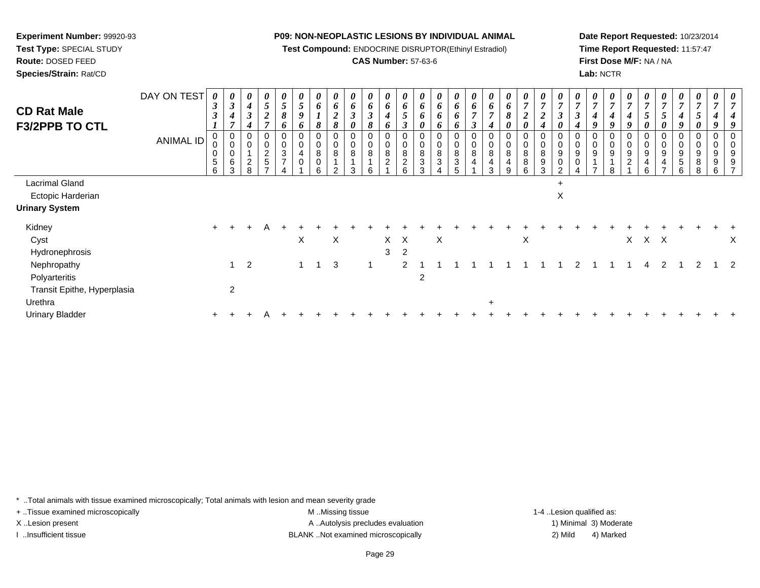**Test Compound:** ENDOCRINE DISRUPTOR(Ethinyl Estradiol)

#### **CAS Number:** 57-63-6

**Date Report Requested:** 10/23/2014**Time Report Requested:** 11:57:47**First Dose M/F:** NA / NA**Lab:** NCTR

| <b>CD Rat Male</b><br><b>F3/2PPB TO CTL</b> | DAY ON TEST | 0<br>$\mathfrak{z}$<br>$\boldsymbol{\beta}$ | 0<br>$\mathbf{3}$<br>4 | 0<br>$\boldsymbol{4}$<br>$\mathfrak{z}$ | 0<br>5<br>$\boldsymbol{2}$<br>$\overline{ }$                      | 0<br>$\mathfrak{s}$<br>8<br>6           | 5<br>$\boldsymbol{g}$<br>6                        | 0<br>6<br>8                               | 0<br>6<br>$\overline{2}$<br>8 | 0<br>6<br>$\mathfrak{z}$<br>0    | $\boldsymbol{\theta}$<br>6<br>$\boldsymbol{\beta}$<br>8 | $\boldsymbol{\theta}$<br>6<br>o         | $\theta$<br>6<br>$5\overline{)}$<br>3       | 0<br>6<br>6<br>0                                          | 0<br>6<br>6               | 6<br>6                                | $\theta$<br>6<br>$\mathbf{r}$ | $\boldsymbol{\theta}$<br>6<br>$\overline{7}$ | 0<br>6<br>$\pmb{8}$<br>$\boldsymbol{\theta}$    | $\boldsymbol{\theta}$<br>$\overline{7}$<br>$\overline{2}$<br>$\boldsymbol{\theta}$ | $\mathbf{\hat{z}}$<br>4    | 0<br>$\overline{ }$<br>$\boldsymbol{\beta}$<br>0 | 0<br>$\overline{7}$<br>$\boldsymbol{\beta}$             | 0<br>$\overline{ }$<br>4<br>9 | 0<br>$\overline{ }$<br>$\boldsymbol{4}$<br>9 | $\boldsymbol{\theta}$<br>7<br>$\boldsymbol{4}$<br>9 | $\boldsymbol{\theta}$<br>$\overline{7}$<br>$5\overline{)}$<br>0 | 0<br>$\boldsymbol{7}$<br>5<br>$\boldsymbol{\theta}$ | $\boldsymbol{\theta}$<br>$\overline{7}$<br>4<br>9 | $\theta$<br>$\overline{ }$<br>5 | $\boldsymbol{\theta}$<br>$\overline{ }$<br>4<br>Q | $\boldsymbol{\theta}$<br>$\overline{7}$<br>4<br>$\boldsymbol{g}$ |
|---------------------------------------------|-------------|---------------------------------------------|------------------------|-----------------------------------------|-------------------------------------------------------------------|-----------------------------------------|---------------------------------------------------|-------------------------------------------|-------------------------------|----------------------------------|---------------------------------------------------------|-----------------------------------------|---------------------------------------------|-----------------------------------------------------------|---------------------------|---------------------------------------|-------------------------------|----------------------------------------------|-------------------------------------------------|------------------------------------------------------------------------------------|----------------------------|--------------------------------------------------|---------------------------------------------------------|-------------------------------|----------------------------------------------|-----------------------------------------------------|-----------------------------------------------------------------|-----------------------------------------------------|---------------------------------------------------|---------------------------------|---------------------------------------------------|------------------------------------------------------------------|
|                                             | ANIMAL ID   | $\mathbf 0$<br>$\,$ 5 $\,$<br>6             | 0<br>0<br>0<br>6<br>3  | 0<br>$\frac{2}{8}$                      | 0<br>$\pmb{0}$<br>$\boldsymbol{2}$<br>$\sqrt{5}$<br>$\rightarrow$ | 0<br>$\mathbf 0$<br>3<br>$\overline{ }$ | $\pmb{0}$<br>$\boldsymbol{0}$<br>4<br>$\mathbf 0$ | 0<br>$\mathbf 0$<br>8<br>$\mathbf 0$<br>6 | 0<br>0<br>8<br>2              | $\pmb{0}$<br>$\pmb{0}$<br>8<br>3 | 0<br>8<br>6                                             | 0<br>$\mathbf 0$<br>8<br>$\overline{2}$ | 0<br>0<br>8<br>$\overline{\mathbf{c}}$<br>6 | $\mathbf 0$<br>$\mathbf 0$<br>8<br>3<br>$\mathbf{\Omega}$ | $\Omega$<br>8<br>3        | $\pmb{0}$<br>$\pmb{0}$<br>8<br>3<br>5 | 0<br>$\mathbf 0$<br>8<br>4    | 0<br>$\mathbf 0$<br>8<br>4<br>3              | 0<br>$\pmb{0}$<br>$\, 8$<br>$\overline{4}$<br>9 | $\pmb{0}$<br>$\pmb{0}$<br>8<br>8<br>6                                              | $\mathbf 0$<br>8<br>9<br>3 | 0<br>0<br>9<br>0<br>⌒                            | $\pmb{0}$<br>$\pmb{0}$<br>$\boldsymbol{9}$<br>$\pmb{0}$ | 0<br>$\pmb{0}$<br>9           | 0<br>$\pmb{0}$<br>9<br>8                     | 0<br>$\pmb{0}$<br>9<br>$\overline{c}$               | 0<br>$\pmb{0}$<br>9<br>4<br>6                                   | $\mathbf 0$<br>9<br>4<br>$\overline{ }$             | 0<br>$\pmb{0}$<br>9<br>5<br>6                     | 9<br>8<br>8                     | 0<br>$\pmb{0}$<br>9<br>9<br>6                     | 0<br>$\mathbf 0$<br>9<br>$\boldsymbol{9}$<br>$\overline{7}$      |
| Lacrimal Gland                              |             |                                             |                        |                                         |                                                                   |                                         |                                                   |                                           |                               |                                  |                                                         |                                         |                                             |                                                           |                           |                                       |                               |                                              |                                                 |                                                                                    |                            |                                                  |                                                         |                               |                                              |                                                     |                                                                 |                                                     |                                                   |                                 |                                                   |                                                                  |
| Ectopic Harderian                           |             |                                             |                        |                                         |                                                                   |                                         |                                                   |                                           |                               |                                  |                                                         |                                         |                                             |                                                           |                           |                                       |                               |                                              |                                                 |                                                                                    |                            | X                                                |                                                         |                               |                                              |                                                     |                                                                 |                                                     |                                                   |                                 |                                                   |                                                                  |
| <b>Urinary System</b>                       |             |                                             |                        |                                         |                                                                   |                                         |                                                   |                                           |                               |                                  |                                                         |                                         |                                             |                                                           |                           |                                       |                               |                                              |                                                 |                                                                                    |                            |                                                  |                                                         |                               |                                              |                                                     |                                                                 |                                                     |                                                   |                                 |                                                   |                                                                  |
| Kidney                                      |             | $+$                                         |                        | +                                       | A                                                                 |                                         |                                                   |                                           |                               |                                  |                                                         |                                         |                                             |                                                           |                           |                                       |                               |                                              |                                                 |                                                                                    |                            |                                                  |                                                         |                               |                                              |                                                     |                                                                 |                                                     |                                                   |                                 |                                                   |                                                                  |
| Cyst                                        |             |                                             |                        |                                         |                                                                   |                                         | X                                                 |                                           | X                             |                                  |                                                         | X                                       | $\times$                                    |                                                           | $\boldsymbol{\mathsf{X}}$ |                                       |                               |                                              |                                                 | X                                                                                  |                            |                                                  |                                                         |                               |                                              | X                                                   | X X                                                             |                                                     |                                                   |                                 |                                                   | X                                                                |
| Hydronephrosis                              |             |                                             |                        |                                         |                                                                   |                                         |                                                   |                                           |                               |                                  |                                                         | 3                                       | $\overline{2}$                              |                                                           |                           |                                       |                               |                                              |                                                 |                                                                                    |                            |                                                  |                                                         |                               |                                              |                                                     |                                                                 |                                                     |                                                   |                                 |                                                   |                                                                  |
| Nephropathy                                 |             |                                             | -1                     | 2                                       |                                                                   |                                         | 1                                                 | -1                                        | 3                             |                                  |                                                         |                                         | 2                                           |                                                           |                           |                                       |                               |                                              |                                                 |                                                                                    |                            |                                                  |                                                         |                               |                                              |                                                     |                                                                 |                                                     |                                                   |                                 |                                                   | 2                                                                |
| Polyarteritis                               |             |                                             |                        |                                         |                                                                   |                                         |                                                   |                                           |                               |                                  |                                                         |                                         |                                             | $\overline{2}$                                            |                           |                                       |                               |                                              |                                                 |                                                                                    |                            |                                                  |                                                         |                               |                                              |                                                     |                                                                 |                                                     |                                                   |                                 |                                                   |                                                                  |
| Transit Epithe, Hyperplasia<br>Urethra      |             |                                             | $\overline{c}$         |                                         |                                                                   |                                         |                                                   |                                           |                               |                                  |                                                         |                                         |                                             |                                                           |                           |                                       |                               | $+$                                          |                                                 |                                                                                    |                            |                                                  |                                                         |                               |                                              |                                                     |                                                                 |                                                     |                                                   |                                 |                                                   |                                                                  |
| <b>Urinary Bladder</b>                      |             | $+$                                         |                        |                                         |                                                                   |                                         |                                                   |                                           |                               |                                  |                                                         |                                         |                                             |                                                           |                           |                                       |                               |                                              |                                                 |                                                                                    |                            |                                                  |                                                         |                               |                                              |                                                     |                                                                 |                                                     |                                                   |                                 |                                                   |                                                                  |
|                                             |             |                                             |                        |                                         |                                                                   |                                         |                                                   |                                           |                               |                                  |                                                         |                                         |                                             |                                                           |                           |                                       |                               |                                              |                                                 |                                                                                    |                            |                                                  |                                                         |                               |                                              |                                                     |                                                                 |                                                     |                                                   |                                 |                                                   |                                                                  |

\* ..Total animals with tissue examined microscopically; Total animals with lesion and mean severity grade

**Experiment Number:** 99920-93**Test Type:** SPECIAL STUDY**Route:** DOSED FEED**Species/Strain:** Rat/CD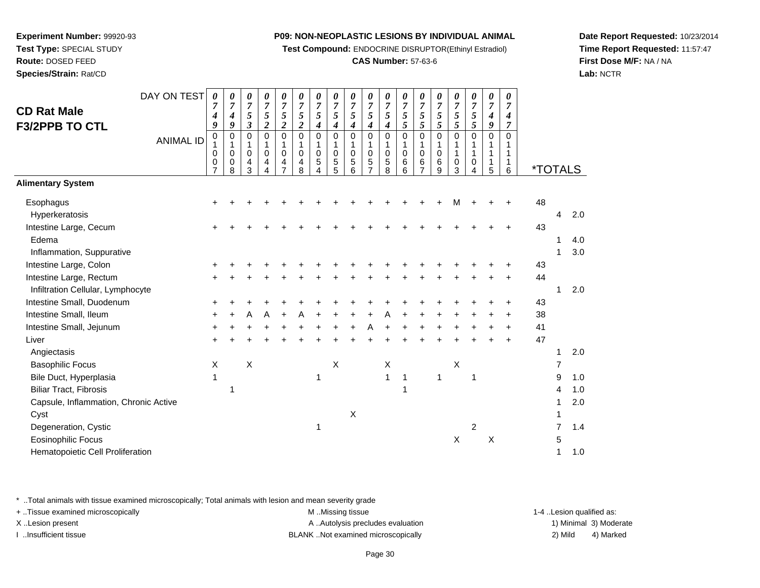**Test Compound:** ENDOCRINE DISRUPTOR(Ethinyl Estradiol)

#### **CAS Number:** 57-63-6

**Date Report Requested:** 10/23/2014**Time Report Requested:** 11:57:47**First Dose M/F:** NA / NA**Lab:** NCTR

| DAY ON TEST                           | 0              | 0                          | 0                   | 0                        | 0                                     | 0                     | 0                              | 0                         | 0              | 0           | 0                         | 0                   | 0              | 0              | 0                           | 0                       | 0                         | 0              |    |                |                       |
|---------------------------------------|----------------|----------------------------|---------------------|--------------------------|---------------------------------------|-----------------------|--------------------------------|---------------------------|----------------|-------------|---------------------------|---------------------|----------------|----------------|-----------------------------|-------------------------|---------------------------|----------------|----|----------------|-----------------------|
| <b>CD Rat Male</b>                    | 7              | $\overline{7}$             | $\overline{7}$      | $\overline{7}$           | $\overline{7}$                        | 7                     | $\overline{7}$                 | 7                         | $\overline{7}$ | 7           | $\overline{7}$            | $\overline{7}$      | $\overline{7}$ | $\overline{7}$ | 7                           | 7                       | 7                         | $\overline{7}$ |    |                |                       |
| <b>F3/2PPB TO CTL</b>                 | 4<br>9         | $\boldsymbol{4}$<br>9      | $\mathfrak{s}$<br>3 | 5<br>$\overline{2}$      | 5<br>$\overline{\mathbf{c}}$          | 5<br>$\boldsymbol{2}$ | $\sqrt{5}$<br>$\boldsymbol{4}$ | 5<br>$\boldsymbol{4}$     | 5<br>4         | 5<br>4      | 5<br>4                    | $\mathfrak{S}$<br>5 | 5<br>5         | 5<br>5         | 5<br>5                      | 5<br>5                  | 4<br>9                    | 4<br>7         |    |                |                       |
|                                       | 0              | $\mathbf 0$                | $\mathbf 0$         | $\mathbf 0$              | 0                                     | 0                     | 0                              | 0                         | $\mathbf 0$    | $\mathbf 0$ | 0                         | 0                   | 0              | 0              | 0                           | $\Omega$                | $\Omega$                  | $\Omega$       |    |                |                       |
| <b>ANIMAL ID</b>                      | $\mathbf{1}$   | $\mathbf{1}$               | 1                   | 1                        | $\mathbf{1}$                          | 1                     | 1                              | 1                         | 1              |             | 1                         |                     | 1              |                | 1                           |                         | 1                         |                |    |                |                       |
|                                       | 0<br>0         | $\mathbf 0$<br>$\mathbf 0$ | 0<br>$\overline{4}$ | $\mathsf{O}\xspace$<br>4 | $\mathsf{O}\xspace$<br>$\overline{4}$ | 0<br>$\overline{4}$   | 0<br>5                         | 0<br>5                    | $\,0\,$<br>5   | 0<br>5      | 0<br>$\sqrt{5}$           | $\mathbf 0$<br>6    | 0<br>6         | 0<br>6         | $\mathbf{1}$<br>$\mathbf 0$ | 1<br>0                  | $\mathbf{1}$<br>1         | 1<br>1         |    |                |                       |
|                                       | $\overline{7}$ | 8                          | 3                   |                          |                                       | 8                     |                                | 5                         | 6              |             | 8                         | 6                   | 7              | 9              | 3                           | 4                       | 5                         | 6              |    |                | <i><b>*TOTALS</b></i> |
| <b>Alimentary System</b>              |                |                            |                     |                          |                                       |                       |                                |                           |                |             |                           |                     |                |                |                             |                         |                           |                |    |                |                       |
| Esophagus                             |                |                            |                     |                          |                                       |                       |                                |                           |                |             |                           |                     |                |                | М                           |                         |                           |                | 48 |                |                       |
| Hyperkeratosis                        |                |                            |                     |                          |                                       |                       |                                |                           |                |             |                           |                     |                |                |                             |                         |                           |                |    | 4              | 2.0                   |
| Intestine Large, Cecum                |                |                            |                     |                          |                                       |                       |                                |                           |                |             |                           |                     |                |                |                             |                         |                           |                | 43 |                |                       |
| Edema                                 |                |                            |                     |                          |                                       |                       |                                |                           |                |             |                           |                     |                |                |                             |                         |                           |                |    | 1              | 4.0                   |
| Inflammation, Suppurative             |                |                            |                     |                          |                                       |                       |                                |                           |                |             |                           |                     |                |                |                             |                         |                           |                |    | 1              | 3.0                   |
| Intestine Large, Colon                |                |                            |                     |                          |                                       |                       |                                |                           |                |             |                           |                     |                |                |                             |                         |                           |                | 43 |                |                       |
| Intestine Large, Rectum               |                |                            |                     |                          |                                       |                       |                                |                           |                |             |                           |                     |                |                |                             |                         |                           | +              | 44 |                |                       |
| Infiltration Cellular, Lymphocyte     |                |                            |                     |                          |                                       |                       |                                |                           |                |             |                           |                     |                |                |                             |                         |                           |                |    | 1              | 2.0                   |
| Intestine Small, Duodenum             |                |                            |                     |                          |                                       |                       |                                |                           |                |             |                           |                     |                |                |                             |                         |                           |                | 43 |                |                       |
| Intestine Small, Ileum                | +              |                            | Α                   | A                        | $\ddot{}$                             | A                     |                                |                           |                |             | A                         |                     |                |                |                             |                         |                           | $\ddot{}$      | 38 |                |                       |
| Intestine Small, Jejunum              | +              |                            |                     |                          |                                       |                       |                                |                           |                |             |                           |                     |                |                |                             |                         |                           | $\ddot{}$      | 41 |                |                       |
| Liver                                 | +              |                            |                     |                          |                                       |                       |                                |                           |                |             |                           |                     |                |                |                             |                         |                           | $\ddot{}$      | 47 |                |                       |
| Angiectasis                           |                |                            |                     |                          |                                       |                       |                                |                           |                |             |                           |                     |                |                |                             |                         |                           |                |    | 1              | 2.0                   |
| <b>Basophilic Focus</b>               | $\pmb{\times}$ |                            | $\times$            |                          |                                       |                       |                                | $\boldsymbol{\mathsf{X}}$ |                |             | $\boldsymbol{\mathsf{X}}$ |                     |                |                | X                           |                         |                           |                |    | $\overline{7}$ |                       |
| Bile Duct, Hyperplasia                | $\mathbf{1}$   |                            |                     |                          |                                       |                       | $\mathbf{1}$                   |                           |                |             | $\mathbf{1}$              | 1                   |                | $\mathbf{1}$   |                             | 1                       |                           |                |    | 9              | 1.0                   |
| <b>Biliar Tract, Fibrosis</b>         |                | 1                          |                     |                          |                                       |                       |                                |                           |                |             |                           | 1                   |                |                |                             |                         |                           |                |    | 4              | 1.0                   |
| Capsule, Inflammation, Chronic Active |                |                            |                     |                          |                                       |                       |                                |                           |                |             |                           |                     |                |                |                             |                         |                           |                |    | 1              | 2.0                   |
| Cyst                                  |                |                            |                     |                          |                                       |                       |                                |                           | $\sf X$        |             |                           |                     |                |                |                             |                         |                           |                |    | 1              |                       |
| Degeneration, Cystic                  |                |                            |                     |                          |                                       |                       | 1                              |                           |                |             |                           |                     |                |                |                             | $\overline{\mathbf{c}}$ |                           |                |    | $\overline{7}$ | 1.4                   |
| <b>Eosinophilic Focus</b>             |                |                            |                     |                          |                                       |                       |                                |                           |                |             |                           |                     |                |                | X                           |                         | $\boldsymbol{\mathsf{X}}$ |                |    | 5              |                       |
| Hematopoietic Cell Proliferation      |                |                            |                     |                          |                                       |                       |                                |                           |                |             |                           |                     |                |                |                             |                         |                           |                |    | 1              | 1.0                   |
|                                       |                |                            |                     |                          |                                       |                       |                                |                           |                |             |                           |                     |                |                |                             |                         |                           |                |    |                |                       |

\* ..Total animals with tissue examined microscopically; Total animals with lesion and mean severity grade

**Experiment Number:** 99920-93**Test Type:** SPECIAL STUDY**Route:** DOSED FEED**Species/Strain:** Rat/CD

+ ..Tissue examined microscopically examined microscopically examined as:  $M$  ..Missing tissue 1-4 ..Lesion qualified as: X..Lesion present **A ..Autolysis precludes evaluation** A ..Autolysis precludes evaluation 1) Minimal 3) Moderate

I ..Insufficient tissue BLANK ..Not examined microscopically 2) Mild 4) Marked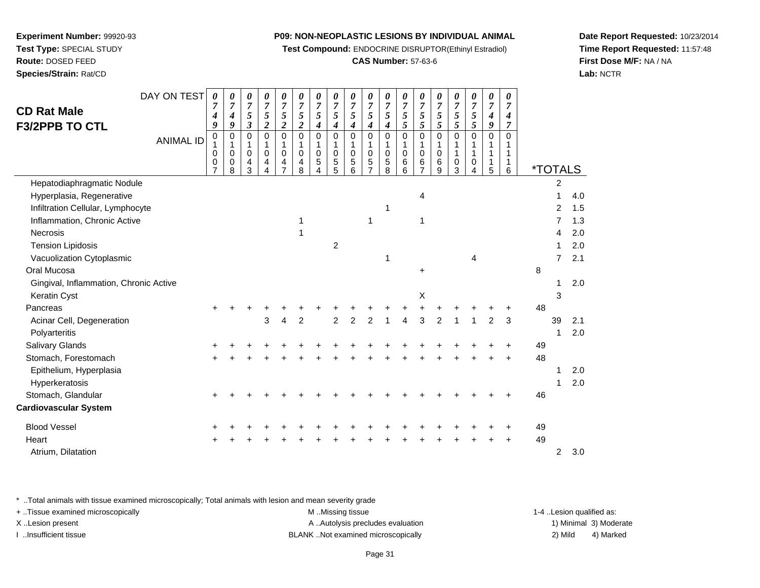**Test Compound:** ENDOCRINE DISRUPTOR(Ethinyl Estradiol)

#### **CAS Number:** 57-63-6

**Date Report Requested:** 10/23/2014**Time Report Requested:** 11:57:48**First Dose M/F:** NA / NA**Lab:** NCTR

| DAY ON TEST<br><b>CD Rat Male</b><br><b>F3/2PPB TO CTL</b>                                   | 0<br>4<br>$\boldsymbol{g}$    | 0<br>7<br>4<br>9                           | 0<br>$\overline{7}$<br>5<br>$\boldsymbol{\beta}$ | 0<br>$\boldsymbol{7}$<br>$\sqrt{5}$<br>$\boldsymbol{2}$ | 0<br>$\overline{7}$<br>$\sqrt{5}$<br>$\boldsymbol{2}$  | 0<br>$\boldsymbol{7}$<br>5<br>$\overline{2}$ | 0<br>$\overline{7}$<br>$\sqrt{5}$<br>$\boldsymbol{4}$  | 0<br>$\overline{7}$<br>$\sqrt{5}$<br>4         | 0<br>$\overline{7}$<br>5<br>4                   | 0<br>$\overline{7}$<br>5<br>4                               | 0<br>$\overline{7}$<br>5<br>$\boldsymbol{4}$        | 0<br>$\overline{7}$<br>$\frac{5}{5}$    | 0<br>$\overline{7}$<br>$\frac{5}{5}$                               | 0<br>$\boldsymbol{7}$<br>$\frac{5}{5}$         | 0<br>$\overline{7}$<br>$\frac{5}{5}$              | 0<br>7<br>$\frac{5}{5}$ | 0<br>$\overline{7}$<br>4<br>9                         | 0<br>$\overline{7}$<br>4<br>$\overline{7}$ |                       |                     |            |
|----------------------------------------------------------------------------------------------|-------------------------------|--------------------------------------------|--------------------------------------------------|---------------------------------------------------------|--------------------------------------------------------|----------------------------------------------|--------------------------------------------------------|------------------------------------------------|-------------------------------------------------|-------------------------------------------------------------|-----------------------------------------------------|-----------------------------------------|--------------------------------------------------------------------|------------------------------------------------|---------------------------------------------------|-------------------------|-------------------------------------------------------|--------------------------------------------|-----------------------|---------------------|------------|
| <b>ANIMAL ID</b>                                                                             | 0<br>0<br>0<br>$\overline{7}$ | 0<br>$\mathbf{1}$<br>$\mathbf 0$<br>0<br>8 | $\Omega$<br>1<br>$\pmb{0}$<br>4<br>3             | $\mathbf 0$<br>$\mathbf{1}$<br>$\mathbf 0$<br>4<br>4    | $\mathbf 0$<br>1<br>$\mathbf 0$<br>4<br>$\overline{7}$ | 0<br>1<br>$\mathbf 0$<br>4<br>8              | 0<br>1<br>$\mathsf 0$<br>$\mathbf 5$<br>$\overline{A}$ | $\Omega$<br>1<br>$\pmb{0}$<br>$\mathbf 5$<br>5 | 0<br>$\mathbf{1}$<br>$\,0\,$<br>$\sqrt{5}$<br>6 | $\Omega$<br>1<br>$\pmb{0}$<br>$\mathbf 5$<br>$\overline{7}$ | $\mathbf 0$<br>1<br>$\mathbf 0$<br>$\mathbf 5$<br>8 | 0<br>1<br>$\mathsf{O}\xspace$<br>6<br>6 | $\mathbf 0$<br>$\mathbf 1$<br>$\pmb{0}$<br>$\,6$<br>$\overline{7}$ | $\Omega$<br>1<br>$\mathsf{O}\xspace$<br>6<br>9 | $\Omega$<br>1<br>$\mathbf{1}$<br>$\mathbf 0$<br>3 | $\Omega$<br>1<br>0<br>4 | $\mathbf 0$<br>$\mathbf{1}$<br>$\mathbf{1}$<br>1<br>5 | 0<br>$\mathbf 1$<br>6                      | <i><b>*TOTALS</b></i> |                     |            |
| Hepatodiaphragmatic Nodule<br>Hyperplasia, Regenerative<br>Infiltration Cellular, Lymphocyte |                               |                                            |                                                  |                                                         |                                                        |                                              |                                                        |                                                |                                                 |                                                             | 1                                                   |                                         | 4                                                                  |                                                |                                                   |                         |                                                       |                                            |                       | $\overline{c}$<br>2 | 4.0<br>1.5 |
| Inflammation, Chronic Active<br>Necrosis                                                     |                               |                                            |                                                  |                                                         |                                                        |                                              |                                                        |                                                |                                                 | 1                                                           |                                                     |                                         | 1                                                                  |                                                |                                                   |                         |                                                       |                                            |                       | 7<br>4              | 1.3<br>2.0 |
| <b>Tension Lipidosis</b><br>Vacuolization Cytoplasmic<br>Oral Mucosa                         |                               |                                            |                                                  |                                                         |                                                        |                                              |                                                        | $\overline{c}$                                 |                                                 |                                                             | 1                                                   |                                         | $\ddot{}$                                                          |                                                |                                                   | 4                       |                                                       |                                            | 8                     | $\overline{7}$      | 2.0<br>2.1 |
| Gingival, Inflammation, Chronic Active<br>Keratin Cyst                                       |                               |                                            |                                                  |                                                         |                                                        |                                              |                                                        |                                                |                                                 |                                                             |                                                     |                                         | х                                                                  |                                                |                                                   |                         |                                                       |                                            |                       | 1<br>3              | 2.0        |
| Pancreas<br>Acinar Cell, Degeneration<br>Polyarteritis                                       |                               |                                            |                                                  | 3                                                       | 4                                                      | $\overline{2}$                               |                                                        | $\overline{2}$                                 | $\overline{2}$                                  | $\overline{2}$                                              | 1                                                   | 4                                       | 3                                                                  | $\overline{2}$                                 |                                                   | 1                       | $\overline{2}$                                        | 3                                          | 48                    | 39<br>1             | 2.1<br>2.0 |
| Salivary Glands<br>Stomach, Forestomach<br>Epithelium, Hyperplasia                           |                               |                                            |                                                  |                                                         |                                                        |                                              |                                                        |                                                |                                                 |                                                             |                                                     |                                         |                                                                    |                                                |                                                   |                         |                                                       | $\ddot{}$                                  | 49<br>48              | 1                   | 2.0        |
| Hyperkeratosis<br>Stomach, Glandular<br>Cardiovascular System                                |                               |                                            |                                                  |                                                         |                                                        |                                              |                                                        |                                                |                                                 |                                                             |                                                     |                                         |                                                                    |                                                |                                                   |                         |                                                       |                                            | 46                    |                     | 2.0        |
| <b>Blood Vessel</b><br>Heart<br>Atrium, Dilatation                                           |                               |                                            |                                                  |                                                         |                                                        |                                              |                                                        |                                                |                                                 |                                                             |                                                     |                                         |                                                                    |                                                |                                                   |                         |                                                       | $\ddot{}$                                  | 49<br>49              | 2                   | 3.0        |

\* ..Total animals with tissue examined microscopically; Total animals with lesion and mean severity grade

| + . Tissue examined microscopically | M Missing tissue                  | 1-4 Lesion qualified as: |                        |
|-------------------------------------|-----------------------------------|--------------------------|------------------------|
| X Lesion present                    | A Autolysis precludes evaluation  |                          | 1) Minimal 3) Moderate |
| Insufficient tissue                 | BLANKNot examined microscopically | 2) Mild                  | 4) Marked              |

**Experiment Number:** 99920-93**Test Type:** SPECIAL STUDY**Route:** DOSED FEED

# **Species/Strain:** Rat/CD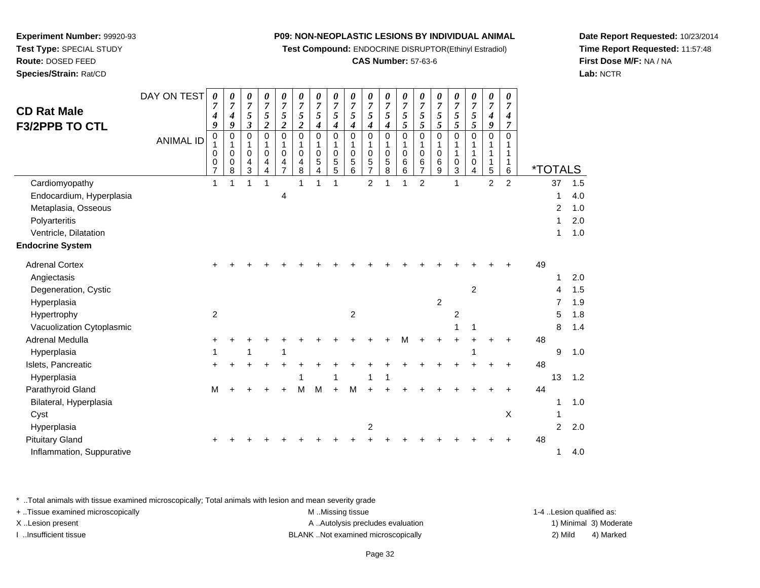**Test Compound:** ENDOCRINE DISRUPTOR(Ethinyl Estradiol)

#### **CAS Number:** 57-63-6

**Date Report Requested:** 10/23/2014**Time Report Requested:** 11:57:48**First Dose M/F:** NA / NA**Lab:** NCTR

| <b>CD Rat Male</b><br><b>F3/2PPB TO CTL</b> | DAY ON TEST<br><b>ANIMAL ID</b> | 0<br>7<br>$\boldsymbol{4}$<br>9<br>0<br>$\mathbf{1}$<br>0<br>0<br>$\overline{7}$ | 0<br>7<br>$\boldsymbol{4}$<br>9<br>0<br>$\mathbf{1}$<br>$\mathbf 0$<br>0<br>8 | 0<br>$\boldsymbol{7}$<br>$\sqrt{5}$<br>$\boldsymbol{\beta}$<br>$\mathbf 0$<br>1<br>$\pmb{0}$<br>4<br>3 | 0<br>$\overline{7}$<br>5<br>$\overline{c}$<br>0<br>$\mathbf{1}$<br>$\mathbf 0$<br>4<br>4 | 0<br>$\overline{7}$<br>5<br>$\overline{\mathbf{c}}$<br>$\mathbf 0$<br>1<br>$\pmb{0}$<br>4<br>$\overline{7}$ | 0<br>$\overline{7}$<br>5<br>$\overline{\mathbf{c}}$<br>0<br>1<br>0<br>4<br>8 | 0<br>$\overline{7}$<br>5<br>4<br>0<br>1<br>$\mathbf 0$<br>5<br>4 | 0<br>$\overline{7}$<br>5<br>$\boldsymbol{4}$<br>0<br>1<br>0<br>$\frac{5}{5}$ | 0<br>$\overline{7}$<br>5<br>$\boldsymbol{4}$<br>$\mathbf 0$<br>1<br>$\mathbf 0$<br>$\sqrt{5}$<br>$\,6$ | 0<br>$\boldsymbol{7}$<br>5<br>$\boldsymbol{4}$<br>$\mathbf 0$<br>1<br>0<br>5<br>$\overline{7}$ | 0<br>$\boldsymbol{7}$<br>5<br>$\boldsymbol{4}$<br>$\pmb{0}$<br>1<br>$\mathbf 0$<br>5<br>8 | 0<br>$\boldsymbol{7}$<br>5<br>5<br>$\mathbf 0$<br>$\mathbf{1}$<br>0<br>6<br>6 | 0<br>$\overline{7}$<br>5<br>5<br>0<br>$\mathbf{1}$<br>$\pmb{0}$<br>6<br>$\overline{7}$ | 0<br>$\overline{7}$<br>5<br>5<br>$\mathbf 0$<br>1<br>$\Omega$<br>6<br>9 | 0<br>$\overline{7}$<br>5<br>5<br>$\Omega$<br>1<br>0<br>3 | 0<br>$\overline{7}$<br>5<br>5<br>$\Omega$<br>1<br>0<br>4 | $\boldsymbol{\theta}$<br>$\overline{7}$<br>$\boldsymbol{4}$<br>9<br>$\Omega$<br>1<br>1<br>1<br>5 | 0<br>7<br>$\boldsymbol{4}$<br>$\overline{7}$<br>$\Omega$<br>1<br>$\mathbf{1}$<br>$\mathbf{1}$<br>6 |    | <i><b>*TOTALS</b></i> |     |
|---------------------------------------------|---------------------------------|----------------------------------------------------------------------------------|-------------------------------------------------------------------------------|--------------------------------------------------------------------------------------------------------|------------------------------------------------------------------------------------------|-------------------------------------------------------------------------------------------------------------|------------------------------------------------------------------------------|------------------------------------------------------------------|------------------------------------------------------------------------------|--------------------------------------------------------------------------------------------------------|------------------------------------------------------------------------------------------------|-------------------------------------------------------------------------------------------|-------------------------------------------------------------------------------|----------------------------------------------------------------------------------------|-------------------------------------------------------------------------|----------------------------------------------------------|----------------------------------------------------------|--------------------------------------------------------------------------------------------------|----------------------------------------------------------------------------------------------------|----|-----------------------|-----|
| Cardiomyopathy                              |                                 | $\mathbf{1}$                                                                     |                                                                               | 1                                                                                                      |                                                                                          |                                                                                                             |                                                                              |                                                                  |                                                                              |                                                                                                        | $\overline{2}$                                                                                 | 1                                                                                         | 1                                                                             | $\overline{2}$                                                                         |                                                                         | 1                                                        |                                                          | $\overline{2}$                                                                                   | $\overline{2}$                                                                                     |    | 37                    | 1.5 |
| Endocardium, Hyperplasia                    |                                 |                                                                                  |                                                                               |                                                                                                        |                                                                                          | 4                                                                                                           |                                                                              |                                                                  |                                                                              |                                                                                                        |                                                                                                |                                                                                           |                                                                               |                                                                                        |                                                                         |                                                          |                                                          |                                                                                                  |                                                                                                    |    | 1                     | 4.0 |
| Metaplasia, Osseous                         |                                 |                                                                                  |                                                                               |                                                                                                        |                                                                                          |                                                                                                             |                                                                              |                                                                  |                                                                              |                                                                                                        |                                                                                                |                                                                                           |                                                                               |                                                                                        |                                                                         |                                                          |                                                          |                                                                                                  |                                                                                                    |    | $\overline{2}$        | 1.0 |
| Polyarteritis                               |                                 |                                                                                  |                                                                               |                                                                                                        |                                                                                          |                                                                                                             |                                                                              |                                                                  |                                                                              |                                                                                                        |                                                                                                |                                                                                           |                                                                               |                                                                                        |                                                                         |                                                          |                                                          |                                                                                                  |                                                                                                    |    | 1                     | 2.0 |
| Ventricle, Dilatation                       |                                 |                                                                                  |                                                                               |                                                                                                        |                                                                                          |                                                                                                             |                                                                              |                                                                  |                                                                              |                                                                                                        |                                                                                                |                                                                                           |                                                                               |                                                                                        |                                                                         |                                                          |                                                          |                                                                                                  |                                                                                                    |    | $\mathbf{1}$          | 1.0 |
| <b>Endocrine System</b>                     |                                 |                                                                                  |                                                                               |                                                                                                        |                                                                                          |                                                                                                             |                                                                              |                                                                  |                                                                              |                                                                                                        |                                                                                                |                                                                                           |                                                                               |                                                                                        |                                                                         |                                                          |                                                          |                                                                                                  |                                                                                                    |    |                       |     |
| <b>Adrenal Cortex</b>                       |                                 |                                                                                  |                                                                               |                                                                                                        |                                                                                          |                                                                                                             |                                                                              |                                                                  |                                                                              |                                                                                                        |                                                                                                |                                                                                           |                                                                               |                                                                                        |                                                                         |                                                          |                                                          |                                                                                                  |                                                                                                    | 49 |                       |     |
| Angiectasis                                 |                                 |                                                                                  |                                                                               |                                                                                                        |                                                                                          |                                                                                                             |                                                                              |                                                                  |                                                                              |                                                                                                        |                                                                                                |                                                                                           |                                                                               |                                                                                        |                                                                         |                                                          |                                                          |                                                                                                  |                                                                                                    |    | 1                     | 2.0 |
| Degeneration, Cystic                        |                                 |                                                                                  |                                                                               |                                                                                                        |                                                                                          |                                                                                                             |                                                                              |                                                                  |                                                                              |                                                                                                        |                                                                                                |                                                                                           |                                                                               |                                                                                        |                                                                         |                                                          | $\overline{c}$                                           |                                                                                                  |                                                                                                    |    | 4                     | 1.5 |
| Hyperplasia                                 |                                 |                                                                                  |                                                                               |                                                                                                        |                                                                                          |                                                                                                             |                                                                              |                                                                  |                                                                              |                                                                                                        |                                                                                                |                                                                                           |                                                                               |                                                                                        | $\overline{2}$                                                          |                                                          |                                                          |                                                                                                  |                                                                                                    |    | 7                     | 1.9 |
| Hypertrophy                                 |                                 | $\overline{c}$                                                                   |                                                                               |                                                                                                        |                                                                                          |                                                                                                             |                                                                              |                                                                  |                                                                              | $\boldsymbol{2}$                                                                                       |                                                                                                |                                                                                           |                                                                               |                                                                                        |                                                                         | 2                                                        |                                                          |                                                                                                  |                                                                                                    |    | 5                     | 1.8 |
| Vacuolization Cytoplasmic                   |                                 |                                                                                  |                                                                               |                                                                                                        |                                                                                          |                                                                                                             |                                                                              |                                                                  |                                                                              |                                                                                                        |                                                                                                |                                                                                           |                                                                               |                                                                                        |                                                                         |                                                          |                                                          |                                                                                                  |                                                                                                    |    | 8                     | 1.4 |
| Adrenal Medulla                             |                                 |                                                                                  |                                                                               |                                                                                                        |                                                                                          |                                                                                                             |                                                                              |                                                                  |                                                                              |                                                                                                        |                                                                                                |                                                                                           | м                                                                             |                                                                                        |                                                                         |                                                          |                                                          |                                                                                                  |                                                                                                    | 48 |                       |     |
| Hyperplasia                                 |                                 | 1                                                                                |                                                                               | 1                                                                                                      |                                                                                          | 1                                                                                                           |                                                                              |                                                                  |                                                                              |                                                                                                        |                                                                                                |                                                                                           |                                                                               |                                                                                        |                                                                         |                                                          | 1                                                        |                                                                                                  |                                                                                                    |    | 9                     | 1.0 |
| Islets, Pancreatic                          |                                 | $\pm$                                                                            |                                                                               |                                                                                                        |                                                                                          |                                                                                                             |                                                                              |                                                                  |                                                                              |                                                                                                        |                                                                                                |                                                                                           |                                                                               |                                                                                        |                                                                         |                                                          |                                                          |                                                                                                  | $\ddot{}$                                                                                          | 48 |                       |     |
| Hyperplasia                                 |                                 |                                                                                  |                                                                               |                                                                                                        |                                                                                          |                                                                                                             |                                                                              |                                                                  |                                                                              |                                                                                                        | 1                                                                                              | 1                                                                                         |                                                                               |                                                                                        |                                                                         |                                                          |                                                          |                                                                                                  |                                                                                                    |    | 13                    | 1.2 |
| Parathyroid Gland                           |                                 | м                                                                                |                                                                               |                                                                                                        |                                                                                          |                                                                                                             | M                                                                            | M                                                                | $\ddot{}$                                                                    | M                                                                                                      |                                                                                                |                                                                                           |                                                                               |                                                                                        |                                                                         |                                                          |                                                          |                                                                                                  |                                                                                                    | 44 |                       |     |
| Bilateral, Hyperplasia                      |                                 |                                                                                  |                                                                               |                                                                                                        |                                                                                          |                                                                                                             |                                                                              |                                                                  |                                                                              |                                                                                                        |                                                                                                |                                                                                           |                                                                               |                                                                                        |                                                                         |                                                          |                                                          |                                                                                                  |                                                                                                    |    | 1                     | 1.0 |
| Cyst                                        |                                 |                                                                                  |                                                                               |                                                                                                        |                                                                                          |                                                                                                             |                                                                              |                                                                  |                                                                              |                                                                                                        |                                                                                                |                                                                                           |                                                                               |                                                                                        |                                                                         |                                                          |                                                          |                                                                                                  | $\pmb{\times}$                                                                                     |    | 1                     |     |
| Hyperplasia                                 |                                 |                                                                                  |                                                                               |                                                                                                        |                                                                                          |                                                                                                             |                                                                              |                                                                  |                                                                              |                                                                                                        | $\overline{\mathbf{c}}$                                                                        |                                                                                           |                                                                               |                                                                                        |                                                                         |                                                          |                                                          |                                                                                                  |                                                                                                    |    | $\overline{2}$        | 2.0 |
| <b>Pituitary Gland</b>                      |                                 |                                                                                  |                                                                               |                                                                                                        |                                                                                          |                                                                                                             |                                                                              |                                                                  |                                                                              |                                                                                                        |                                                                                                |                                                                                           |                                                                               |                                                                                        |                                                                         |                                                          |                                                          |                                                                                                  |                                                                                                    | 48 |                       |     |
| Inflammation, Suppurative                   |                                 |                                                                                  |                                                                               |                                                                                                        |                                                                                          |                                                                                                             |                                                                              |                                                                  |                                                                              |                                                                                                        |                                                                                                |                                                                                           |                                                                               |                                                                                        |                                                                         |                                                          |                                                          |                                                                                                  |                                                                                                    |    | 1                     | 4.0 |
|                                             |                                 |                                                                                  |                                                                               |                                                                                                        |                                                                                          |                                                                                                             |                                                                              |                                                                  |                                                                              |                                                                                                        |                                                                                                |                                                                                           |                                                                               |                                                                                        |                                                                         |                                                          |                                                          |                                                                                                  |                                                                                                    |    |                       |     |

\* ..Total animals with tissue examined microscopically; Total animals with lesion and mean severity grade

**Experiment Number:** 99920-93**Test Type:** SPECIAL STUDY**Route:** DOSED FEED**Species/Strain:** Rat/CD

| + Tissue examined microscopically | M Missing tissue                   | 1-4 Lesion qualified as: |                        |
|-----------------------------------|------------------------------------|--------------------------|------------------------|
| X Lesion present                  | A Autolysis precludes evaluation   |                          | 1) Minimal 3) Moderate |
| Insufficient tissue               | BLANK Not examined microscopically | 2) Mild                  | 4) Marked              |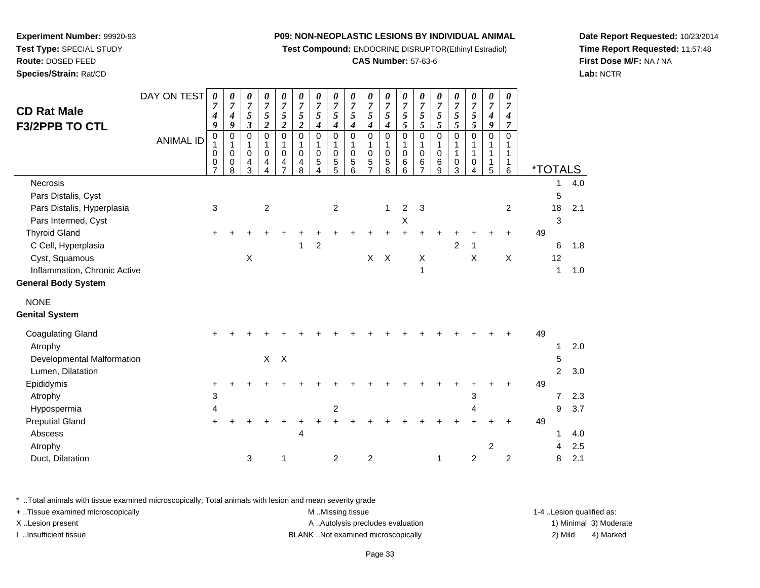**Test Compound:** ENDOCRINE DISRUPTOR(Ethinyl Estradiol)

#### **CAS Number:** 57-63-6

**Date Report Requested:** 10/23/2014**Time Report Requested:** 11:57:48**First Dose M/F:** NA / NA**Lab:** NCTR

| <b>CD Rat Male</b><br><b>F3/2PPB TO CTL</b> | DAY ON TEST<br><b>ANIMAL ID</b> | 0<br>7<br>4<br>9<br>0<br>0<br>0 | 0<br>$\overline{7}$<br>4<br>9<br>0<br>1<br>$\mathbf 0$<br>0 | 0<br>$\overline{7}$<br>$\sqrt{5}$<br>$\boldsymbol{\beta}$<br>$\mathbf 0$<br>-1<br>$\mathbf 0$<br>4 | 0<br>$\overline{7}$<br>$\mathfrak{s}$<br>$\overline{c}$<br>$\mathbf 0$<br>$\mathbf 1$<br>$\Omega$<br>4 | 0<br>$\boldsymbol{7}$<br>5<br>$\overline{2}$<br>$\mathbf 0$<br>$\mathbf{1}$<br>$\mathbf 0$<br>4 | 0<br>$\boldsymbol{7}$<br>5<br>$\boldsymbol{2}$<br>$\mathbf 0$<br>$\mathbf 1$<br>$\Omega$<br>4 | 0<br>$\overline{7}$<br>$\sqrt{5}$<br>$\boldsymbol{4}$<br>0<br>1<br>$\mathbf 0$<br>5 | 0<br>$\overline{7}$<br>5<br>4<br>0<br>1<br>$\pmb{0}$<br>5 | 0<br>$\overline{7}$<br>5<br>$\boldsymbol{4}$<br>$\mathbf 0$<br>1<br>0<br>5 | 0<br>$\overline{7}$<br>5<br>4<br>0<br>1<br>0<br>5 | 0<br>$\overline{7}$<br>5<br>4<br>0<br>1<br>$\mathbf 0$<br>$\mathbf 5$ | 0<br>$\boldsymbol{7}$<br>5<br>5<br>$\mathbf 0$<br>1<br>$\mathbf 0$<br>6 | 0<br>$\overline{7}$<br>$\sqrt{5}$<br>5<br>$\mathbf 0$<br>$\mathbf{1}$<br>$\mathbf 0$<br>6 | 0<br>$\overline{7}$<br>$\sqrt{5}$<br>5<br>$\mathbf 0$<br>$\mathbf{1}$<br>$\Omega$<br>6 | 0<br>$\boldsymbol{7}$<br>5<br>5<br>0<br>0 | 0<br>$\boldsymbol{7}$<br>5<br>5<br>$\mathbf 0$<br>1<br>1<br>0 | 0<br>$\boldsymbol{7}$<br>$\boldsymbol{4}$<br>9<br>$\mathbf 0$<br>1<br>1 | 0<br>$\overline{7}$<br>4<br>7<br>0<br>1<br>1<br>$\mathbf{1}$ |                       |                |     |
|---------------------------------------------|---------------------------------|---------------------------------|-------------------------------------------------------------|----------------------------------------------------------------------------------------------------|--------------------------------------------------------------------------------------------------------|-------------------------------------------------------------------------------------------------|-----------------------------------------------------------------------------------------------|-------------------------------------------------------------------------------------|-----------------------------------------------------------|----------------------------------------------------------------------------|---------------------------------------------------|-----------------------------------------------------------------------|-------------------------------------------------------------------------|-------------------------------------------------------------------------------------------|----------------------------------------------------------------------------------------|-------------------------------------------|---------------------------------------------------------------|-------------------------------------------------------------------------|--------------------------------------------------------------|-----------------------|----------------|-----|
| Necrosis                                    |                                 | $\overline{7}$                  | 8                                                           | 3                                                                                                  | 4                                                                                                      | $\overline{7}$                                                                                  | 8                                                                                             | 4                                                                                   | 5                                                         | 6                                                                          |                                                   | 8                                                                     | 6                                                                       |                                                                                           | 9                                                                                      | 3                                         | 4                                                             | 5                                                                       | 6                                                            | <i><b>*TOTALS</b></i> |                | 4.0 |
| Pars Distalis, Cyst                         |                                 |                                 |                                                             |                                                                                                    |                                                                                                        |                                                                                                 |                                                                                               |                                                                                     |                                                           |                                                                            |                                                   |                                                                       |                                                                         |                                                                                           |                                                                                        |                                           |                                                               |                                                                         |                                                              |                       | 5              |     |
| Pars Distalis, Hyperplasia                  |                                 | 3                               |                                                             |                                                                                                    | $\overline{2}$                                                                                         |                                                                                                 |                                                                                               |                                                                                     | $\overline{c}$                                            |                                                                            |                                                   | $\mathbf{1}$                                                          | $\overline{2}$                                                          | $\mathbf{3}$                                                                              |                                                                                        |                                           |                                                               |                                                                         | $\overline{c}$                                               |                       | 18             | 2.1 |
| Pars Intermed, Cyst                         |                                 |                                 |                                                             |                                                                                                    |                                                                                                        |                                                                                                 |                                                                                               |                                                                                     |                                                           |                                                                            |                                                   |                                                                       | Χ                                                                       |                                                                                           |                                                                                        |                                           |                                                               |                                                                         |                                                              |                       | 3              |     |
| <b>Thyroid Gland</b>                        |                                 |                                 |                                                             |                                                                                                    |                                                                                                        |                                                                                                 |                                                                                               |                                                                                     |                                                           |                                                                            |                                                   |                                                                       |                                                                         |                                                                                           |                                                                                        |                                           |                                                               |                                                                         |                                                              | 49                    |                |     |
| C Cell, Hyperplasia                         |                                 |                                 |                                                             |                                                                                                    |                                                                                                        |                                                                                                 | 1                                                                                             | 2                                                                                   |                                                           |                                                                            |                                                   |                                                                       |                                                                         |                                                                                           |                                                                                        | 2                                         | 1                                                             |                                                                         |                                                              |                       | 6              | 1.8 |
| Cyst, Squamous                              |                                 |                                 |                                                             | $\mathsf X$                                                                                        |                                                                                                        |                                                                                                 |                                                                                               |                                                                                     |                                                           |                                                                            | $\mathsf{X}$                                      | $\boldsymbol{\mathsf{X}}$                                             |                                                                         | $\mathsf X$                                                                               |                                                                                        |                                           | $\boldsymbol{\mathsf{X}}$                                     |                                                                         | $\boldsymbol{\mathsf{X}}$                                    |                       | 12             |     |
| Inflammation, Chronic Active                |                                 |                                 |                                                             |                                                                                                    |                                                                                                        |                                                                                                 |                                                                                               |                                                                                     |                                                           |                                                                            |                                                   |                                                                       |                                                                         | $\mathbf{1}$                                                                              |                                                                                        |                                           |                                                               |                                                                         |                                                              |                       | $\mathbf{1}$   | 1.0 |
| <b>General Body System</b>                  |                                 |                                 |                                                             |                                                                                                    |                                                                                                        |                                                                                                 |                                                                                               |                                                                                     |                                                           |                                                                            |                                                   |                                                                       |                                                                         |                                                                                           |                                                                                        |                                           |                                                               |                                                                         |                                                              |                       |                |     |
| <b>NONE</b>                                 |                                 |                                 |                                                             |                                                                                                    |                                                                                                        |                                                                                                 |                                                                                               |                                                                                     |                                                           |                                                                            |                                                   |                                                                       |                                                                         |                                                                                           |                                                                                        |                                           |                                                               |                                                                         |                                                              |                       |                |     |
| <b>Genital System</b>                       |                                 |                                 |                                                             |                                                                                                    |                                                                                                        |                                                                                                 |                                                                                               |                                                                                     |                                                           |                                                                            |                                                   |                                                                       |                                                                         |                                                                                           |                                                                                        |                                           |                                                               |                                                                         |                                                              |                       |                |     |
| <b>Coagulating Gland</b>                    |                                 |                                 |                                                             |                                                                                                    |                                                                                                        |                                                                                                 |                                                                                               |                                                                                     |                                                           |                                                                            |                                                   |                                                                       |                                                                         |                                                                                           |                                                                                        |                                           |                                                               |                                                                         |                                                              | 49                    |                |     |
| Atrophy                                     |                                 |                                 |                                                             |                                                                                                    |                                                                                                        |                                                                                                 |                                                                                               |                                                                                     |                                                           |                                                                            |                                                   |                                                                       |                                                                         |                                                                                           |                                                                                        |                                           |                                                               |                                                                         |                                                              |                       | 1              | 2.0 |
| Developmental Malformation                  |                                 |                                 |                                                             |                                                                                                    | $\mathsf{X}$                                                                                           | $\times$                                                                                        |                                                                                               |                                                                                     |                                                           |                                                                            |                                                   |                                                                       |                                                                         |                                                                                           |                                                                                        |                                           |                                                               |                                                                         |                                                              |                       | 5              |     |
| Lumen, Dilatation                           |                                 |                                 |                                                             |                                                                                                    |                                                                                                        |                                                                                                 |                                                                                               |                                                                                     |                                                           |                                                                            |                                                   |                                                                       |                                                                         |                                                                                           |                                                                                        |                                           |                                                               |                                                                         |                                                              |                       | $\overline{a}$ | 3.0 |
| Epididymis                                  |                                 |                                 |                                                             |                                                                                                    |                                                                                                        |                                                                                                 |                                                                                               |                                                                                     |                                                           |                                                                            |                                                   |                                                                       |                                                                         |                                                                                           |                                                                                        |                                           |                                                               |                                                                         |                                                              | 49                    |                |     |
| Atrophy                                     |                                 | 3                               |                                                             |                                                                                                    |                                                                                                        |                                                                                                 |                                                                                               |                                                                                     |                                                           |                                                                            |                                                   |                                                                       |                                                                         |                                                                                           |                                                                                        |                                           | 3                                                             |                                                                         |                                                              |                       | $\overline{7}$ | 2.3 |
| Hypospermia                                 |                                 | 4                               |                                                             |                                                                                                    |                                                                                                        |                                                                                                 |                                                                                               |                                                                                     | $\overline{\mathbf{c}}$                                   |                                                                            |                                                   |                                                                       |                                                                         |                                                                                           |                                                                                        |                                           | 4                                                             |                                                                         |                                                              |                       | 9              | 3.7 |
| <b>Preputial Gland</b>                      |                                 |                                 |                                                             |                                                                                                    |                                                                                                        |                                                                                                 |                                                                                               |                                                                                     |                                                           |                                                                            |                                                   |                                                                       |                                                                         |                                                                                           |                                                                                        |                                           |                                                               |                                                                         | $\ddot{}$                                                    | 49                    |                |     |
| Abscess                                     |                                 |                                 |                                                             |                                                                                                    |                                                                                                        |                                                                                                 | 4                                                                                             |                                                                                     |                                                           |                                                                            |                                                   |                                                                       |                                                                         |                                                                                           |                                                                                        |                                           |                                                               |                                                                         |                                                              |                       | 1              | 4.0 |
| Atrophy                                     |                                 |                                 |                                                             |                                                                                                    |                                                                                                        |                                                                                                 |                                                                                               |                                                                                     |                                                           |                                                                            |                                                   |                                                                       |                                                                         |                                                                                           |                                                                                        |                                           |                                                               | $\overline{c}$                                                          |                                                              |                       | 4              | 2.5 |
| Duct, Dilatation                            |                                 |                                 |                                                             | 3                                                                                                  |                                                                                                        | 1                                                                                               |                                                                                               |                                                                                     | 2                                                         |                                                                            | $\overline{c}$                                    |                                                                       |                                                                         |                                                                                           | 1                                                                                      |                                           | $\overline{\mathbf{c}}$                                       |                                                                         | $\overline{c}$                                               |                       | 8              | 2.1 |

\* ..Total animals with tissue examined microscopically; Total animals with lesion and mean severity grade

**Experiment Number:** 99920-93**Test Type:** SPECIAL STUDY**Route:** DOSED FEED**Species/Strain:** Rat/CD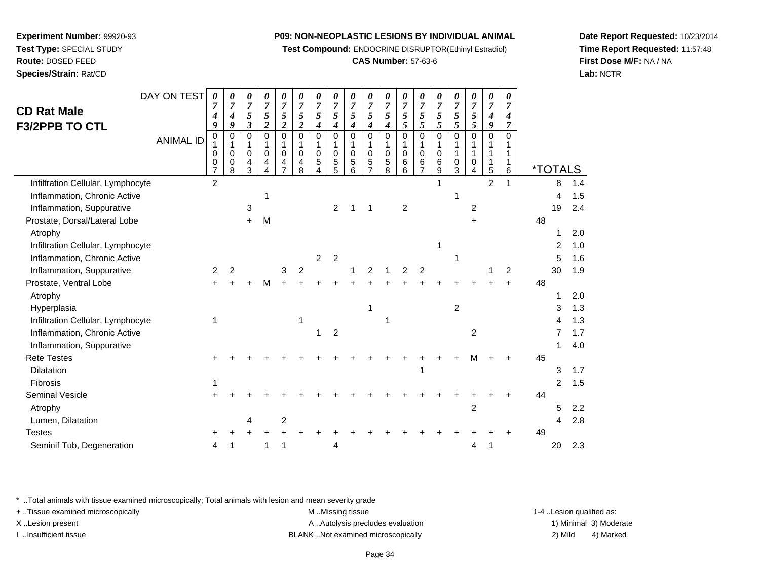**Test Compound:** ENDOCRINE DISRUPTOR(Ethinyl Estradiol)

#### **CAS Number:** 57-63-6

**Date Report Requested:** 10/23/2014**Time Report Requested:** 11:57:48**First Dose M/F:** NA / NA**Lab:** NCTR

| DAY ON TEST<br><b>CD Rat Male</b><br><b>F3/2PPB TO CTL</b> | 0<br>$\overline{7}$<br>4<br>$\boldsymbol{q}$ | 0<br>7<br>4<br>$\boldsymbol{g}$ | 0<br>$\overline{7}$<br>5<br>$\mathfrak{z}$ | 0<br>$\overline{7}$<br>5<br>$\boldsymbol{2}$ | 0<br>$\overline{7}$<br>5<br>$\boldsymbol{2}$ | 0<br>$\overline{7}$<br>$\sqrt{5}$<br>$\overline{2}$ | 0<br>$\overline{7}$<br>5<br>4   | 0<br>7<br>5<br>4                       | 0<br>7<br>5<br>4                  | 0<br>7<br>5<br>4                            | 0<br>$\overline{7}$<br>5<br>4                  | 0<br>$\overline{7}$<br>$\sqrt{5}$<br>5 | 0<br>$\overline{7}$<br>$\sqrt{5}$<br>5 | 0<br>$\boldsymbol{7}$<br>$\sqrt{5}$<br>5 | 0<br>$\overline{7}$<br>5<br>5   | 0<br>$\boldsymbol{7}$<br>5<br>5              | 0<br>7<br>4<br>9   | 0<br>7<br>4<br>7 |                  |    |                       |     |
|------------------------------------------------------------|----------------------------------------------|---------------------------------|--------------------------------------------|----------------------------------------------|----------------------------------------------|-----------------------------------------------------|---------------------------------|----------------------------------------|-----------------------------------|---------------------------------------------|------------------------------------------------|----------------------------------------|----------------------------------------|------------------------------------------|---------------------------------|----------------------------------------------|--------------------|------------------|------------------|----|-----------------------|-----|
|                                                            | <b>ANIMAL ID</b>                             | 0<br>0<br>0<br>$\overline{7}$   | 0<br>$\mathbf 0$<br>0<br>8                 | $\mathbf 0$<br>$\mathbf 0$<br>4<br>3         | $\Omega$<br>$\Omega$<br>4                    | 0<br>$\mathbf 0$<br>4                               | 0<br>1<br>$\mathbf 0$<br>4<br>8 | $\Omega$<br>1<br>$\mathbf 0$<br>5<br>4 | $\Omega$<br>$\mathbf 0$<br>5<br>5 | $\Omega$<br>$\mathbf 0$<br>$\,$ 5 $\,$<br>6 | $\Omega$<br>$\mathbf 0$<br>5<br>$\overline{7}$ | $\Omega$<br>$\mathbf 0$<br>5<br>8      | $\mathbf 0$<br>$\mathbf 0$<br>6<br>6   | $\Omega$<br>$\mathbf 0$<br>6<br>7        | 0<br>1<br>$\mathbf 0$<br>6<br>9 | $\Omega$<br>$\mathbf{1}$<br>$\mathbf 0$<br>3 | 0<br>1<br>$\Omega$ | 0<br>1<br>5      | 0<br>1<br>1<br>6 |    | <i><b>*TOTALS</b></i> |     |
| Infiltration Cellular, Lymphocyte                          |                                              | $\overline{2}$                  |                                            |                                              |                                              |                                                     |                                 |                                        |                                   |                                             |                                                |                                        |                                        |                                          |                                 |                                              |                    | $\overline{2}$   | 1                |    | 8                     | 1.4 |
| Inflammation, Chronic Active                               |                                              |                                 |                                            |                                              | 1                                            |                                                     |                                 |                                        |                                   |                                             |                                                |                                        |                                        |                                          |                                 | 1                                            |                    |                  |                  |    | 4                     | 1.5 |
| Inflammation, Suppurative                                  |                                              |                                 |                                            | 3                                            |                                              |                                                     |                                 |                                        | 2                                 | 1                                           | 1                                              |                                        | $\overline{c}$                         |                                          |                                 |                                              | $\overline{2}$     |                  |                  |    | 19                    | 2.4 |
| Prostate, Dorsal/Lateral Lobe                              |                                              |                                 |                                            | $\ddot{}$                                    | M                                            |                                                     |                                 |                                        |                                   |                                             |                                                |                                        |                                        |                                          |                                 |                                              |                    |                  |                  | 48 |                       |     |
| Atrophy                                                    |                                              |                                 |                                            |                                              |                                              |                                                     |                                 |                                        |                                   |                                             |                                                |                                        |                                        |                                          |                                 |                                              |                    |                  |                  |    | -1                    | 2.0 |
| Infiltration Cellular, Lymphocyte                          |                                              |                                 |                                            |                                              |                                              |                                                     |                                 |                                        |                                   |                                             |                                                |                                        |                                        |                                          | 1                               |                                              |                    |                  |                  |    | $\overline{2}$        | 1.0 |
| Inflammation, Chronic Active                               |                                              |                                 |                                            |                                              |                                              |                                                     |                                 | $\overline{2}$                         | $\overline{2}$                    |                                             |                                                |                                        |                                        |                                          |                                 |                                              |                    |                  |                  |    | 5                     | 1.6 |
| Inflammation, Suppurative                                  |                                              | 2                               | 2                                          |                                              |                                              | 3                                                   | 2                               |                                        |                                   |                                             | 2                                              |                                        | 2                                      | 2                                        |                                 |                                              |                    |                  | 2                |    | 30                    | 1.9 |
| Prostate, Ventral Lobe                                     |                                              |                                 |                                            |                                              | м                                            |                                                     |                                 |                                        |                                   |                                             |                                                |                                        |                                        |                                          |                                 |                                              |                    |                  | $\ddot{}$        | 48 |                       |     |
| Atrophy                                                    |                                              |                                 |                                            |                                              |                                              |                                                     |                                 |                                        |                                   |                                             |                                                |                                        |                                        |                                          |                                 |                                              |                    |                  |                  |    | 1                     | 2.0 |
| Hyperplasia                                                |                                              |                                 |                                            |                                              |                                              |                                                     |                                 |                                        |                                   |                                             | 1                                              |                                        |                                        |                                          |                                 | $\overline{2}$                               |                    |                  |                  |    | 3                     | 1.3 |
| Infiltration Cellular, Lymphocyte                          |                                              | 1                               |                                            |                                              |                                              |                                                     |                                 |                                        |                                   |                                             |                                                |                                        |                                        |                                          |                                 |                                              |                    |                  |                  |    | 4                     | 1.3 |
| Inflammation, Chronic Active                               |                                              |                                 |                                            |                                              |                                              |                                                     |                                 | 1                                      | $\overline{c}$                    |                                             |                                                |                                        |                                        |                                          |                                 |                                              | 2                  |                  |                  |    | 7                     | 1.7 |
| Inflammation, Suppurative                                  |                                              |                                 |                                            |                                              |                                              |                                                     |                                 |                                        |                                   |                                             |                                                |                                        |                                        |                                          |                                 |                                              |                    |                  |                  |    |                       | 4.0 |
| <b>Rete Testes</b>                                         |                                              |                                 |                                            |                                              |                                              |                                                     |                                 |                                        |                                   |                                             |                                                |                                        |                                        |                                          |                                 |                                              | м                  |                  |                  | 45 |                       |     |
| Dilatation                                                 |                                              |                                 |                                            |                                              |                                              |                                                     |                                 |                                        |                                   |                                             |                                                |                                        |                                        |                                          |                                 |                                              |                    |                  |                  |    | 3                     | 1.7 |
| Fibrosis                                                   |                                              | 1                               |                                            |                                              |                                              |                                                     |                                 |                                        |                                   |                                             |                                                |                                        |                                        |                                          |                                 |                                              |                    |                  |                  |    | $\overline{2}$        | 1.5 |
| <b>Seminal Vesicle</b>                                     |                                              |                                 |                                            |                                              |                                              |                                                     |                                 |                                        |                                   |                                             |                                                |                                        |                                        |                                          |                                 |                                              |                    |                  |                  | 44 |                       |     |
| Atrophy                                                    |                                              |                                 |                                            |                                              |                                              |                                                     |                                 |                                        |                                   |                                             |                                                |                                        |                                        |                                          |                                 |                                              | 2                  |                  |                  |    | 5                     | 2.2 |
| Lumen, Dilatation                                          |                                              |                                 |                                            | 4                                            |                                              | $\overline{2}$                                      |                                 |                                        |                                   |                                             |                                                |                                        |                                        |                                          |                                 |                                              |                    |                  |                  |    | 4                     | 2.8 |
| <b>Testes</b>                                              |                                              |                                 |                                            |                                              |                                              |                                                     |                                 |                                        |                                   |                                             |                                                |                                        |                                        |                                          |                                 |                                              |                    |                  | +                | 49 |                       |     |
| Seminif Tub, Degeneration                                  |                                              |                                 |                                            |                                              |                                              |                                                     |                                 |                                        | 4                                 |                                             |                                                |                                        |                                        |                                          |                                 |                                              |                    |                  |                  |    | 20                    | 2.3 |

\* ..Total animals with tissue examined microscopically; Total animals with lesion and mean severity grade

**Experiment Number:** 99920-93**Test Type:** SPECIAL STUDY**Route:** DOSED FEED**Species/Strain:** Rat/CD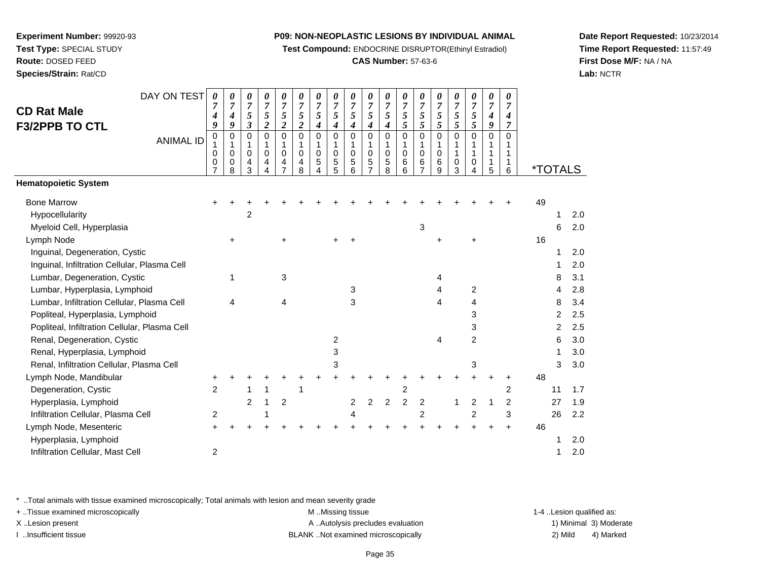**Test Compound:** ENDOCRINE DISRUPTOR(Ethinyl Estradiol)

ᅮ

#### **CAS Number:** 57-63-6

**Date Report Requested:** 10/23/2014**Time Report Requested:** 11:57:49**First Dose M/F:** NA / NA**Lab:** NCTR

| DAY ON TEST                                   | 0                                    | 0                            | 0                              | 0                  | 0<br>$\overline{7}$ | $\overline{7}$   |                    | 0<br>7           | 0                       | 0                                           | 0                | 0<br>$\overline{7}$     | $\overline{7}$                | 7                | 0<br>7      | 0              | 0                   | 0<br>7 |                       |    |     |
|-----------------------------------------------|--------------------------------------|------------------------------|--------------------------------|--------------------|---------------------|------------------|--------------------|------------------|-------------------------|---------------------------------------------|------------------|-------------------------|-------------------------------|------------------|-------------|----------------|---------------------|--------|-----------------------|----|-----|
| <b>CD Rat Male</b>                            | 7<br>4                               | 7<br>4                       | $\overline{7}$<br>5            | 7<br>$\sqrt{5}$    | 5                   | 5                | 7<br>5             | 5                | 7<br>5                  | $\overline{7}$<br>5                         | 7<br>5           | $\sqrt{5}$              | 5                             | 5                | 5           | 7<br>5         | $\overline{7}$<br>4 | 4      |                       |    |     |
| <b>F3/2PPB TO CTL</b>                         | 9                                    | 9                            | 3                              | $\overline{2}$     | $\boldsymbol{2}$    | $\boldsymbol{2}$ | 4                  | 4                | 4                       | 4                                           | 4                | 5                       | 5                             | 5                | 5           | 5              | 9                   | 7      |                       |    |     |
| <b>ANIMAL ID</b>                              | 0<br>$\Omega$<br>0<br>$\overline{7}$ | 0<br>1<br>$\Omega$<br>0<br>8 | $\Omega$<br>$\Omega$<br>4<br>3 | 0<br>$\Omega$<br>4 | 0<br>1<br>0<br>4    | 0<br>0<br>4<br>8 | 0<br>$\Omega$<br>5 | 0<br>0<br>5<br>5 | 0<br>$\Omega$<br>5<br>6 | $\Omega$<br>$\Omega$<br>5<br>$\overline{7}$ | 0<br>0<br>5<br>8 | 0<br>1<br>0<br>6<br>6   | 0<br>0<br>6<br>$\overline{7}$ | 0<br>0<br>6<br>9 | 0<br>0<br>3 | 0<br>0         | $\Omega$<br>5       | 0<br>6 | <i><b>*TOTALS</b></i> |    |     |
| <b>Hematopoietic System</b>                   |                                      |                              |                                |                    |                     |                  |                    |                  |                         |                                             |                  |                         |                               |                  |             |                |                     |        |                       |    |     |
| <b>Bone Marrow</b>                            |                                      |                              |                                |                    |                     |                  |                    |                  |                         |                                             |                  |                         |                               |                  |             |                |                     |        | 49                    |    |     |
| Hypocellularity                               |                                      |                              | $\overline{c}$                 |                    |                     |                  |                    |                  |                         |                                             |                  |                         |                               |                  |             |                |                     |        |                       |    | 2.0 |
| Myeloid Cell, Hyperplasia                     |                                      |                              |                                |                    |                     |                  |                    |                  |                         |                                             |                  |                         | 3                             |                  |             |                |                     |        |                       | 6  | 2.0 |
| Lymph Node                                    |                                      |                              |                                |                    |                     |                  |                    |                  |                         |                                             |                  |                         |                               |                  |             |                |                     |        | 16                    |    |     |
| Inguinal, Degeneration, Cystic                |                                      |                              |                                |                    |                     |                  |                    |                  |                         |                                             |                  |                         |                               |                  |             |                |                     |        |                       |    | 2.0 |
| Inguinal, Infiltration Cellular, Plasma Cell  |                                      |                              |                                |                    |                     |                  |                    |                  |                         |                                             |                  |                         |                               |                  |             |                |                     |        |                       |    | 2.0 |
| Lumbar, Degeneration, Cystic                  |                                      | 1                            |                                |                    | 3                   |                  |                    |                  |                         |                                             |                  |                         |                               |                  |             |                |                     |        |                       | 8  | 3.1 |
| Lumbar, Hyperplasia, Lymphoid                 |                                      |                              |                                |                    |                     |                  |                    |                  | 3                       |                                             |                  |                         |                               | 4                |             | 2              |                     |        |                       | 4  | 2.8 |
| Lumbar, Infiltration Cellular, Plasma Cell    |                                      | 4                            |                                |                    | 4                   |                  |                    |                  | 3                       |                                             |                  |                         |                               | 4                |             | 4              |                     |        |                       | 8  | 3.4 |
| Popliteal, Hyperplasia, Lymphoid              |                                      |                              |                                |                    |                     |                  |                    |                  |                         |                                             |                  |                         |                               |                  |             | 3              |                     |        |                       | 2  | 2.5 |
| Popliteal, Infiltration Cellular, Plasma Cell |                                      |                              |                                |                    |                     |                  |                    |                  |                         |                                             |                  |                         |                               |                  |             | 3              |                     |        |                       | 2  | 2.5 |
| Renal, Degeneration, Cystic                   |                                      |                              |                                |                    |                     |                  |                    | $\overline{2}$   |                         |                                             |                  |                         |                               | 4                |             | $\overline{2}$ |                     |        |                       | 6  | 3.0 |
| Renal, Hyperplasia, Lymphoid                  |                                      |                              |                                |                    |                     |                  |                    | 3                |                         |                                             |                  |                         |                               |                  |             |                |                     |        |                       |    | 3.0 |
| Renal, Infiltration Cellular, Plasma Cell     |                                      |                              |                                |                    |                     |                  |                    | 3                |                         |                                             |                  |                         |                               |                  |             | 3              |                     |        |                       | 3  | 3.0 |
| Lymph Node, Mandibular                        |                                      |                              |                                |                    |                     |                  |                    |                  |                         |                                             |                  |                         |                               |                  |             |                |                     |        | 48                    |    |     |
| Degeneration, Cystic                          | $\overline{2}$                       |                              | 1                              |                    |                     | 1                |                    |                  |                         |                                             |                  | $\overline{\mathbf{c}}$ |                               |                  |             |                |                     | 2      |                       | 11 | 1.7 |
| Hyperplasia, Lymphoid                         |                                      |                              | $\overline{2}$                 |                    | $\overline{c}$      |                  |                    |                  | 2                       | 2                                           | $\overline{c}$   | $\overline{c}$          | $\overline{c}$                |                  |             | $\overline{c}$ | 1                   | 2      |                       | 27 | 1.9 |
| Infiltration Cellular, Plasma Cell            | 2                                    |                              |                                |                    |                     |                  |                    |                  | 4                       |                                             |                  |                         | $\overline{c}$                |                  |             | $\overline{c}$ |                     | 3      |                       | 26 | 2.2 |
| Lymph Node, Mesenteric                        |                                      |                              |                                |                    |                     |                  |                    |                  |                         |                                             |                  |                         |                               |                  |             |                |                     |        | 46                    |    |     |
| Hyperplasia, Lymphoid                         |                                      |                              |                                |                    |                     |                  |                    |                  |                         |                                             |                  |                         |                               |                  |             |                |                     |        |                       |    | 2.0 |
| Infiltration Cellular, Mast Cell              | $\overline{c}$                       |                              |                                |                    |                     |                  |                    |                  |                         |                                             |                  |                         |                               |                  |             |                |                     |        |                       |    | 2.0 |
|                                               |                                      |                              |                                |                    |                     |                  |                    |                  |                         |                                             |                  |                         |                               |                  |             |                |                     |        |                       |    |     |

\* ..Total animals with tissue examined microscopically; Total animals with lesion and mean severity grade

+ ..Tissue examined microscopically examined microscopically examined as:  $M$  ..Missing tissue 1-4 ..Lesion qualified as: X..Lesion present **A ..Autolysis precludes evaluation** A ..Autolysis precludes evaluation 1) Minimal 3) Moderate

I ..Insufficient tissue BLANK ..Not examined microscopically 2) Mild 4) Marked

**Species/Strain:** Rat/CD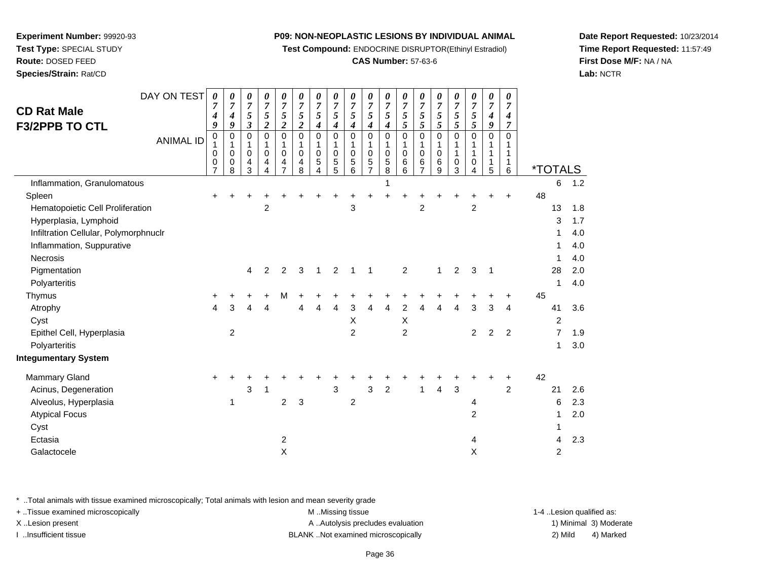**Test Compound:** ENDOCRINE DISRUPTOR(Ethinyl Estradiol)

#### **CAS Number:** 57-63-6

**Date Report Requested:** 10/23/2014**Time Report Requested:** 11:57:49**First Dose M/F:** NA / NA**Lab:** NCTR

| <b>CD Rat Male</b><br><b>F3/2PPB TO CTL</b>               | 0<br>7<br>$\boldsymbol{4}$<br>9 | 0<br>$\overline{7}$<br>$\boldsymbol{4}$<br>9 | 0<br>$\overline{7}$<br>$\sqrt{5}$<br>$\mathfrak{z}$ | 0<br>$\boldsymbol{7}$<br>$\sqrt{5}$<br>$\boldsymbol{2}$ | 0<br>$\overline{7}$<br>5<br>$\boldsymbol{2}$ | 0<br>$\overline{7}$<br>5<br>$\boldsymbol{2}$                      | 0<br>$\overline{7}$<br>5<br>$\boldsymbol{4}$       | 0<br>$\boldsymbol{7}$<br>$\mathfrak{s}$<br>4 | 0<br>$\boldsymbol{7}$<br>5<br>4  | 0<br>$\overline{7}$<br>5<br>4     | 0<br>$\boldsymbol{7}$<br>5<br>$\boldsymbol{4}$ | 0<br>$\boldsymbol{7}$<br>$\mathfrak{s}$<br>5 | 0<br>$\overline{7}$<br>5<br>5              | 0<br>$\overline{7}$<br>$\mathfrak{s}$<br>5 | 0<br>$\overline{7}$<br>5<br>5            | 0<br>$\overline{7}$<br>5<br>5 | 0<br>$\boldsymbol{7}$<br>$\boldsymbol{4}$<br>9 | $\pmb{\theta}$<br>$\overline{7}$<br>$\boldsymbol{4}$<br>$\overline{7}$ |                         |                       |            |  |
|-----------------------------------------------------------|---------------------------------|----------------------------------------------|-----------------------------------------------------|---------------------------------------------------------|----------------------------------------------|-------------------------------------------------------------------|----------------------------------------------------|----------------------------------------------|----------------------------------|-----------------------------------|------------------------------------------------|----------------------------------------------|--------------------------------------------|--------------------------------------------|------------------------------------------|-------------------------------|------------------------------------------------|------------------------------------------------------------------------|-------------------------|-----------------------|------------|--|
|                                                           | <b>ANIMAL ID</b>                | 0<br>1<br>0<br>0<br>$\overline{7}$           | 0<br>$\mathbf{1}$<br>0<br>0<br>8                    | $\Omega$<br>$\mathbf 1$<br>0<br>4<br>3                  | 0<br>$\mathbf{1}$<br>0<br>4<br>4             | $\mathbf 0$<br>$\mathbf{1}$<br>$\mathbf 0$<br>4<br>$\overline{7}$ | $\pmb{0}$<br>$\mathbf{1}$<br>$\mathbf 0$<br>4<br>8 | $\mathbf 0$<br>1<br>0<br>5                   | 0<br>$\mathbf{1}$<br>0<br>5<br>5 | $\Omega$<br>$\mathbf 0$<br>5<br>6 | 0<br>1<br>$\mathbf 0$<br>5<br>$\overline{7}$   | $\mathbf 0$<br>$\mathbf{1}$<br>0<br>5<br>8   | $\mathsf 0$<br>$\mathbf{1}$<br>0<br>6<br>6 | 0<br>$\mathbf{1}$<br>0<br>6                | $\pmb{0}$<br>$\mathbf{1}$<br>0<br>6<br>9 | 0<br>1<br>0<br>3              | 0<br>1<br>1<br>0                               | $\Omega$<br>5                                                          | $\Omega$<br>1<br>1<br>6 | <i><b>*TOTALS</b></i> |            |  |
| Inflammation, Granulomatous                               |                                 |                                              |                                                     |                                                         |                                              |                                                                   |                                                    |                                              |                                  |                                   |                                                |                                              |                                            |                                            |                                          |                               |                                                |                                                                        |                         | 6                     | 1.2        |  |
| Spleen                                                    |                                 |                                              |                                                     |                                                         |                                              |                                                                   |                                                    |                                              |                                  |                                   |                                                |                                              | ÷                                          |                                            |                                          |                               |                                                |                                                                        |                         | 48                    |            |  |
| Hematopoietic Cell Proliferation<br>Hyperplasia, Lymphoid |                                 |                                              |                                                     |                                                         | $\overline{c}$                               |                                                                   |                                                    |                                              |                                  | 3                                 |                                                |                                              |                                            | $\overline{2}$                             |                                          |                               | $\overline{c}$                                 |                                                                        |                         | 13<br>3               | 1.8<br>1.7 |  |
| Infiltration Cellular, Polymorphnuclr                     |                                 |                                              |                                                     |                                                         |                                              |                                                                   |                                                    |                                              |                                  |                                   |                                                |                                              |                                            |                                            |                                          |                               |                                                |                                                                        |                         |                       | 4.0        |  |
| Inflammation, Suppurative                                 |                                 |                                              |                                                     |                                                         |                                              |                                                                   |                                                    |                                              |                                  |                                   |                                                |                                              |                                            |                                            |                                          |                               |                                                |                                                                        |                         |                       | 4.0        |  |
| Necrosis                                                  |                                 |                                              |                                                     |                                                         |                                              |                                                                   |                                                    |                                              |                                  |                                   |                                                |                                              |                                            |                                            |                                          |                               |                                                |                                                                        |                         |                       | 4.0        |  |
| Pigmentation                                              |                                 |                                              |                                                     | 4                                                       | $\overline{2}$                               | $\overline{2}$                                                    | 3                                                  | $\mathbf{1}$                                 | $\overline{2}$                   | 1                                 | $\mathbf 1$                                    |                                              | 2                                          |                                            | $\mathbf{1}$                             | $\overline{2}$                | 3                                              | $\overline{1}$                                                         |                         | 28                    | 2.0        |  |
| Polyarteritis                                             |                                 |                                              |                                                     |                                                         |                                              |                                                                   |                                                    |                                              |                                  |                                   |                                                |                                              |                                            |                                            |                                          |                               |                                                |                                                                        |                         | 1                     | 4.0        |  |
| Thymus                                                    |                                 |                                              |                                                     |                                                         |                                              | М                                                                 |                                                    |                                              |                                  |                                   |                                                |                                              | +                                          |                                            | ٠                                        |                               |                                                |                                                                        | $\ddot{}$               | 45                    |            |  |
| Atrophy                                                   |                                 | 4                                            | 3                                                   | 4                                                       | 4                                            |                                                                   | 4                                                  | $\overline{A}$                               | 4                                | 3                                 | 4                                              | 4                                            | $\overline{c}$                             | 4                                          | $\boldsymbol{\Lambda}$                   | 4                             | 3                                              | 3                                                                      | 4                       | 41                    | 3.6        |  |
| Cyst                                                      |                                 |                                              |                                                     |                                                         |                                              |                                                                   |                                                    |                                              |                                  | $\mathsf X$                       |                                                |                                              | $\sf X$                                    |                                            |                                          |                               |                                                |                                                                        |                         | $\overline{c}$        |            |  |
| Epithel Cell, Hyperplasia                                 |                                 |                                              | $\overline{2}$                                      |                                                         |                                              |                                                                   |                                                    |                                              |                                  | $\overline{c}$                    |                                                |                                              | $\overline{2}$                             |                                            |                                          |                               | $\overline{2}$                                 | $\overline{c}$                                                         | $\overline{2}$          | $\overline{7}$        | 1.9        |  |
| Polyarteritis                                             |                                 |                                              |                                                     |                                                         |                                              |                                                                   |                                                    |                                              |                                  |                                   |                                                |                                              |                                            |                                            |                                          |                               |                                                |                                                                        |                         | 1                     | 3.0        |  |
| <b>Integumentary System</b>                               |                                 |                                              |                                                     |                                                         |                                              |                                                                   |                                                    |                                              |                                  |                                   |                                                |                                              |                                            |                                            |                                          |                               |                                                |                                                                        |                         |                       |            |  |
| <b>Mammary Gland</b>                                      |                                 |                                              |                                                     |                                                         |                                              |                                                                   |                                                    |                                              |                                  |                                   |                                                |                                              |                                            |                                            |                                          |                               |                                                |                                                                        | +                       | 42                    |            |  |
| Acinus, Degeneration                                      |                                 |                                              |                                                     | 3                                                       | 1                                            |                                                                   |                                                    |                                              | 3                                |                                   | 3                                              | $\overline{c}$                               |                                            | $\mathbf{1}$                               | $\overline{4}$                           | 3                             |                                                |                                                                        | $\overline{c}$          | 21                    | 2.6        |  |
| Alveolus, Hyperplasia                                     |                                 |                                              | 1                                                   |                                                         |                                              | $\overline{2}$                                                    | 3                                                  |                                              |                                  | $\overline{\mathbf{c}}$           |                                                |                                              |                                            |                                            |                                          |                               | 4                                              |                                                                        |                         | 6                     | 2.3        |  |
| <b>Atypical Focus</b>                                     |                                 |                                              |                                                     |                                                         |                                              |                                                                   |                                                    |                                              |                                  |                                   |                                                |                                              |                                            |                                            |                                          |                               | $\overline{c}$                                 |                                                                        |                         | 1                     | 2.0        |  |
| Cyst                                                      |                                 |                                              |                                                     |                                                         |                                              |                                                                   |                                                    |                                              |                                  |                                   |                                                |                                              |                                            |                                            |                                          |                               |                                                |                                                                        |                         | 1                     |            |  |
| Ectasia                                                   |                                 |                                              |                                                     |                                                         |                                              | $\overline{c}$                                                    |                                                    |                                              |                                  |                                   |                                                |                                              |                                            |                                            |                                          |                               | 4                                              |                                                                        |                         | 4                     | 2.3        |  |
| Galactocele                                               |                                 |                                              |                                                     |                                                         |                                              | X                                                                 |                                                    |                                              |                                  |                                   |                                                |                                              |                                            |                                            |                                          |                               | X                                              |                                                                        |                         | $\overline{c}$        |            |  |
|                                                           |                                 |                                              |                                                     |                                                         |                                              |                                                                   |                                                    |                                              |                                  |                                   |                                                |                                              |                                            |                                            |                                          |                               |                                                |                                                                        |                         |                       |            |  |

\* ..Total animals with tissue examined microscopically; Total animals with lesion and mean severity grade

**Experiment Number:** 99920-93**Test Type:** SPECIAL STUDY**Route:** DOSED FEED**Species/Strain:** Rat/CD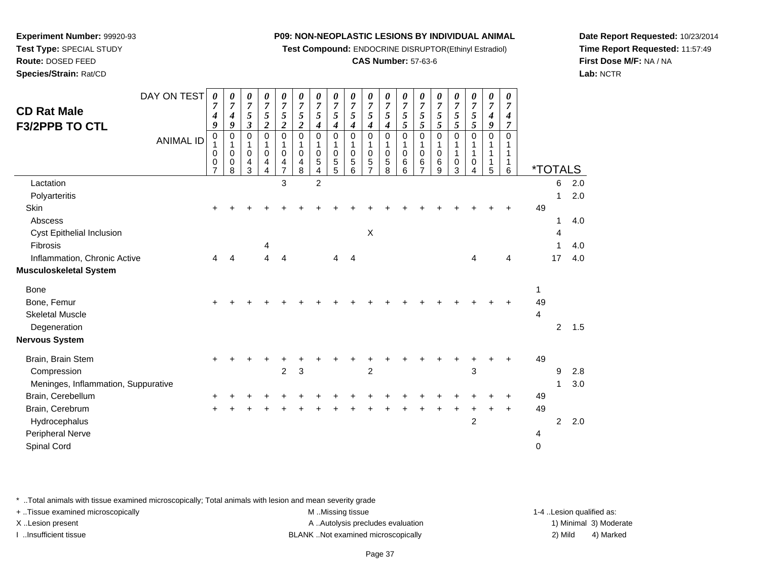**Test Compound:** ENDOCRINE DISRUPTOR(Ethinyl Estradiol)

#### **CAS Number:** 57-63-6

**Date Report Requested:** 10/23/2014**Time Report Requested:** 11:57:49**First Dose M/F:** NA / NA**Lab:** NCTR

| <b>CD Rat Male</b><br><b>F3/2PPB TO CTL</b> | DAY ON TEST      | $\pmb{\theta}$<br>7<br>4<br>9                         | 0<br>7<br>$\boldsymbol{4}$<br>9 | $\pmb{\theta}$<br>$\overline{7}$<br>$\sqrt{5}$<br>3 | 0<br>$\overline{7}$<br>$\sqrt{5}$<br>$\overline{\mathbf{c}}$ | 0<br>$\overline{7}$<br>$\mathfrak{s}$<br>$\overline{c}$ | 0<br>$\overline{7}$<br>5<br>$\boldsymbol{2}$ | 0<br>7<br>$\mathfrak{s}$<br>4     | 0<br>$\overline{7}$<br>$\sqrt{5}$<br>4  | 0<br>$\overline{7}$<br>$5\overline{)}$<br>4 | 0<br>$\overline{7}$<br>$\mathfrak{s}$<br>$\boldsymbol{4}$ | 0<br>$\overline{7}$<br>5<br>4        | 0<br>7<br>5<br>5                          | 0<br>$\overline{7}$<br>$\sqrt{5}$<br>5 | 0<br>$\overline{7}$<br>5<br>5   | 0<br>$\overline{7}$<br>5<br>5 | 0<br>$\overline{7}$<br>5<br>5 | 0<br>$\overline{7}$<br>4<br>9 | 0<br>$\overline{7}$<br>4<br>7 |    |                       |     |
|---------------------------------------------|------------------|-------------------------------------------------------|---------------------------------|-----------------------------------------------------|--------------------------------------------------------------|---------------------------------------------------------|----------------------------------------------|-----------------------------------|-----------------------------------------|---------------------------------------------|-----------------------------------------------------------|--------------------------------------|-------------------------------------------|----------------------------------------|---------------------------------|-------------------------------|-------------------------------|-------------------------------|-------------------------------|----|-----------------------|-----|
|                                             | <b>ANIMAL ID</b> | $\pmb{0}$<br>$\mathbf{1}$<br>0<br>0<br>$\overline{7}$ | $\mathbf 0$<br>0<br>0<br>8      | $\Omega$<br>1<br>$\mathbf 0$<br>4<br>3              | $\Omega$<br>1<br>$\mathbf 0$<br>4<br>4                       | $\mathbf 0$<br>1<br>$\mathbf 0$<br>4<br>$\overline{7}$  | $\Omega$<br>0<br>4<br>8                      | $\Omega$<br>$\mathbf 0$<br>5<br>4 | $\overline{0}$<br>$\mathbf 0$<br>5<br>5 | $\mathbf 0$<br>$\mathbf 0$<br>5<br>6        | 0<br>1<br>$\pmb{0}$<br>5<br>7                             | $\Omega$<br>1<br>$\pmb{0}$<br>5<br>8 | $\mathbf 0$<br>1<br>$\mathbf 0$<br>6<br>6 | $\Omega$<br>$\mathbf 0$<br>6           | 0<br>1<br>$\mathbf 0$<br>6<br>9 | $\Omega$<br>1<br>0<br>3       | $\Omega$<br>1<br>0<br>4       | $\Omega$<br>1<br>1<br>5       | $\Omega$<br>1<br>1<br>6       |    | <i><b>*TOTALS</b></i> |     |
| Lactation                                   |                  |                                                       |                                 |                                                     |                                                              | 3                                                       |                                              | $\overline{2}$                    |                                         |                                             |                                                           |                                      |                                           |                                        |                                 |                               |                               |                               |                               |    | 6                     | 2.0 |
| Polyarteritis                               |                  |                                                       |                                 |                                                     |                                                              |                                                         |                                              |                                   |                                         |                                             |                                                           |                                      |                                           |                                        |                                 |                               |                               |                               |                               |    | 1                     | 2.0 |
| Skin                                        |                  | +                                                     |                                 |                                                     |                                                              |                                                         |                                              |                                   |                                         |                                             |                                                           |                                      |                                           |                                        |                                 |                               |                               |                               |                               | 49 |                       |     |
| Abscess                                     |                  |                                                       |                                 |                                                     |                                                              |                                                         |                                              |                                   |                                         |                                             |                                                           |                                      |                                           |                                        |                                 |                               |                               |                               |                               |    | 1                     | 4.0 |
| Cyst Epithelial Inclusion                   |                  |                                                       |                                 |                                                     |                                                              |                                                         |                                              |                                   |                                         |                                             | $\times$                                                  |                                      |                                           |                                        |                                 |                               |                               |                               |                               |    | 4                     |     |
| Fibrosis                                    |                  |                                                       |                                 |                                                     | 4                                                            |                                                         |                                              |                                   |                                         |                                             |                                                           |                                      |                                           |                                        |                                 |                               |                               |                               |                               |    | 1                     | 4.0 |
| Inflammation, Chronic Active                |                  | 4                                                     | $\overline{4}$                  |                                                     | 4                                                            | $\overline{4}$                                          |                                              |                                   | 4                                       | 4                                           |                                                           |                                      |                                           |                                        |                                 |                               | 4                             |                               | 4                             |    | 17                    | 4.0 |
| <b>Musculoskeletal System</b>               |                  |                                                       |                                 |                                                     |                                                              |                                                         |                                              |                                   |                                         |                                             |                                                           |                                      |                                           |                                        |                                 |                               |                               |                               |                               |    |                       |     |
| Bone                                        |                  |                                                       |                                 |                                                     |                                                              |                                                         |                                              |                                   |                                         |                                             |                                                           |                                      |                                           |                                        |                                 |                               |                               |                               |                               | 1  |                       |     |
| Bone, Femur                                 |                  |                                                       |                                 |                                                     |                                                              |                                                         |                                              |                                   |                                         |                                             |                                                           |                                      |                                           |                                        |                                 |                               |                               |                               |                               | 49 |                       |     |
| <b>Skeletal Muscle</b>                      |                  |                                                       |                                 |                                                     |                                                              |                                                         |                                              |                                   |                                         |                                             |                                                           |                                      |                                           |                                        |                                 |                               |                               |                               |                               | 4  |                       |     |
| Degeneration                                |                  |                                                       |                                 |                                                     |                                                              |                                                         |                                              |                                   |                                         |                                             |                                                           |                                      |                                           |                                        |                                 |                               |                               |                               |                               |    | $\overline{c}$        | 1.5 |
| <b>Nervous System</b>                       |                  |                                                       |                                 |                                                     |                                                              |                                                         |                                              |                                   |                                         |                                             |                                                           |                                      |                                           |                                        |                                 |                               |                               |                               |                               |    |                       |     |
| Brain, Brain Stem                           |                  | $\ddot{}$                                             |                                 |                                                     |                                                              |                                                         |                                              |                                   |                                         |                                             |                                                           |                                      |                                           |                                        |                                 |                               |                               |                               |                               | 49 |                       |     |
| Compression                                 |                  |                                                       |                                 |                                                     |                                                              | $\overline{2}$                                          | 3                                            |                                   |                                         |                                             | $\overline{c}$                                            |                                      |                                           |                                        |                                 |                               | 3                             |                               |                               |    | 9                     | 2.8 |
| Meninges, Inflammation, Suppurative         |                  |                                                       |                                 |                                                     |                                                              |                                                         |                                              |                                   |                                         |                                             |                                                           |                                      |                                           |                                        |                                 |                               |                               |                               |                               |    | 1                     | 3.0 |
| Brain, Cerebellum                           |                  |                                                       |                                 |                                                     |                                                              |                                                         |                                              |                                   |                                         |                                             |                                                           |                                      |                                           |                                        |                                 |                               |                               |                               |                               | 49 |                       |     |
| Brain, Cerebrum                             |                  |                                                       |                                 |                                                     |                                                              |                                                         |                                              |                                   |                                         |                                             |                                                           |                                      |                                           |                                        |                                 |                               |                               |                               |                               | 49 |                       |     |
| Hydrocephalus                               |                  |                                                       |                                 |                                                     |                                                              |                                                         |                                              |                                   |                                         |                                             |                                                           |                                      |                                           |                                        |                                 |                               | $\overline{c}$                |                               |                               |    | $\overline{2}$        | 2.0 |
| Peripheral Nerve                            |                  |                                                       |                                 |                                                     |                                                              |                                                         |                                              |                                   |                                         |                                             |                                                           |                                      |                                           |                                        |                                 |                               |                               |                               |                               | 4  |                       |     |
| Spinal Cord                                 |                  |                                                       |                                 |                                                     |                                                              |                                                         |                                              |                                   |                                         |                                             |                                                           |                                      |                                           |                                        |                                 |                               |                               |                               |                               | 0  |                       |     |

\* ..Total animals with tissue examined microscopically; Total animals with lesion and mean severity grade

**Experiment Number:** 99920-93**Test Type:** SPECIAL STUDY**Route:** DOSED FEED**Species/Strain:** Rat/CD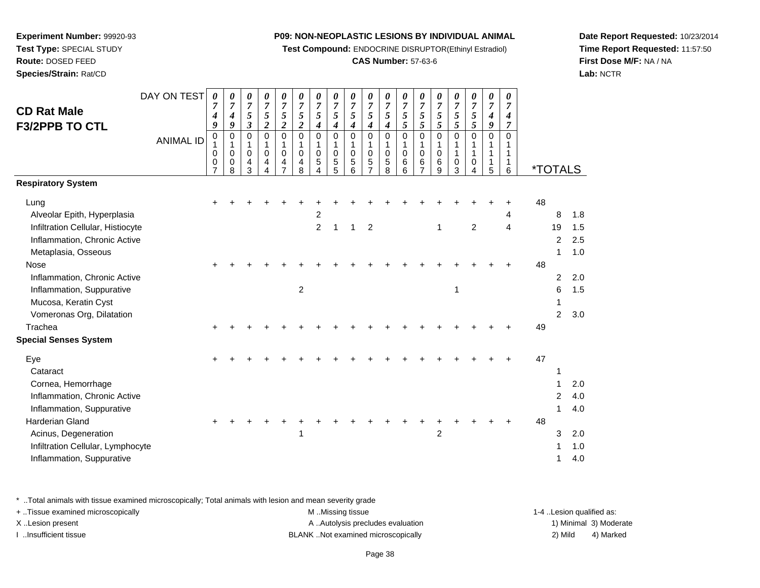**Test Compound:** ENDOCRINE DISRUPTOR(Ethinyl Estradiol)

#### **CAS Number:** 57-63-6

**Date Report Requested:** 10/23/2014**Time Report Requested:** 11:57:50**First Dose M/F:** NA / NA**Lab:** NCTR

| <b>CD Rat Male</b><br><b>F3/2PPB TO CTL</b><br><b>Respiratory System</b>                                                                                                                                                            | DAY ON TEST<br><b>ANIMAL ID</b> | 0<br>7<br>4<br>$\boldsymbol{q}$<br>0<br>0<br>0<br>7 | 0<br>7<br>$\boldsymbol{4}$<br>9<br>0<br>$\mathbf 0$<br>0<br>8 | 0<br>$\overline{7}$<br>$\sqrt{5}$<br>$\boldsymbol{\mathfrak{z}}$<br>$\mathbf 0$<br>1<br>$\mathbf 0$<br>4<br>3 | 0<br>7<br>5<br>$\overline{2}$<br>0<br>$\mathbf 1$<br>$\mathbf 0$<br>4<br>4 | $\pmb{\theta}$<br>$\overline{7}$<br>5<br>$\boldsymbol{2}$<br>0<br>1<br>0<br>4<br>$\overline{7}$ | $\pmb{\theta}$<br>$\overline{7}$<br>5<br>$\overline{2}$<br>$\mathbf 0$<br>$\mathbf{1}$<br>$\pmb{0}$<br>4<br>8 | $\boldsymbol{\theta}$<br>$\overline{7}$<br>5<br>$\boldsymbol{4}$<br>$\mathbf 0$<br>1<br>$\pmb{0}$<br>$\mathbf 5$<br>4 | $\boldsymbol{\theta}$<br>7<br>5<br>4<br>$\mathbf 0$<br>1<br>$\pmb{0}$<br>$\mathbf 5$<br>5 | 0<br>$\overline{7}$<br>5<br>4<br>0<br>1<br>0<br>5<br>6 | 0<br>$\overline{7}$<br>5<br>$\boldsymbol{4}$<br>0<br>1<br>$\pmb{0}$<br>5<br>$\overline{7}$ | 0<br>$\overline{7}$<br>5<br>$\boldsymbol{4}$<br>$\mathbf 0$<br>1<br>0<br>5<br>8 | $\boldsymbol{\theta}$<br>$\overline{7}$<br>$\mathfrak{s}$<br>5<br>$\mathbf 0$<br>1<br>$\mathbf 0$<br>6<br>6 | 0<br>$\overline{7}$<br>5<br>5<br>0<br>1<br>0<br>6<br>7 | 0<br>$\overline{7}$<br>5<br>5<br>$\mathbf 0$<br>$\mathbf{1}$<br>$\pmb{0}$<br>6<br>9 | 0<br>$\overline{7}$<br>5<br>5<br>$\mathbf 0$<br>1<br>$\mathbf{1}$<br>$\mathbf 0$<br>3 | 0<br>$\overline{7}$<br>5<br>5<br>$\Omega$<br>1<br>0<br>4 | 0<br>7<br>4<br>9<br>0<br>1<br>$\mathbf{1}$<br>5 | 0<br>$\overline{7}$<br>$\boldsymbol{4}$<br>7<br>$\Omega$<br>1<br>$\mathbf{1}$<br>$\mathbf{1}$<br>6 |          | <i><b>*TOTALS</b></i>                                    |                                        |  |
|-------------------------------------------------------------------------------------------------------------------------------------------------------------------------------------------------------------------------------------|---------------------------------|-----------------------------------------------------|---------------------------------------------------------------|---------------------------------------------------------------------------------------------------------------|----------------------------------------------------------------------------|-------------------------------------------------------------------------------------------------|---------------------------------------------------------------------------------------------------------------|-----------------------------------------------------------------------------------------------------------------------|-------------------------------------------------------------------------------------------|--------------------------------------------------------|--------------------------------------------------------------------------------------------|---------------------------------------------------------------------------------|-------------------------------------------------------------------------------------------------------------|--------------------------------------------------------|-------------------------------------------------------------------------------------|---------------------------------------------------------------------------------------|----------------------------------------------------------|-------------------------------------------------|----------------------------------------------------------------------------------------------------|----------|----------------------------------------------------------|----------------------------------------|--|
| Lung<br>Alveolar Epith, Hyperplasia<br>Infiltration Cellular, Histiocyte<br>Inflammation, Chronic Active<br>Metaplasia, Osseous<br><b>Nose</b><br>Inflammation, Chronic Active<br>Inflammation, Suppurative<br>Mucosa, Keratin Cyst |                                 |                                                     |                                                               |                                                                                                               |                                                                            |                                                                                                 | $\overline{2}$                                                                                                | $\boldsymbol{2}$<br>$\overline{2}$                                                                                    | 1                                                                                         | 1                                                      | 2                                                                                          |                                                                                 |                                                                                                             |                                                        | 1                                                                                   | 1                                                                                     | $\overline{2}$                                           |                                                 | $\ddot{}$<br>4<br>$\overline{4}$                                                                   | 48<br>48 | 8<br>19<br>$\overline{2}$<br>$\mathbf{1}$<br>2<br>6<br>1 | 1.8<br>1.5<br>2.5<br>1.0<br>2.0<br>1.5 |  |
| Vomeronas Org, Dilatation<br>Trachea<br><b>Special Senses System</b>                                                                                                                                                                |                                 |                                                     |                                                               |                                                                                                               |                                                                            |                                                                                                 |                                                                                                               |                                                                                                                       |                                                                                           |                                                        |                                                                                            |                                                                                 |                                                                                                             |                                                        |                                                                                     |                                                                                       |                                                          |                                                 |                                                                                                    | 49       | 2                                                        | 3.0                                    |  |
| Eye<br>Cataract<br>Cornea, Hemorrhage<br>Inflammation, Chronic Active<br>Inflammation, Suppurative<br>Harderian Gland<br>Acinus, Degeneration<br>Infiltration Cellular, Lymphocyte<br>Inflammation, Suppurative                     |                                 |                                                     |                                                               |                                                                                                               |                                                                            |                                                                                                 | 1                                                                                                             |                                                                                                                       |                                                                                           |                                                        |                                                                                            |                                                                                 |                                                                                                             |                                                        | $\overline{c}$                                                                      |                                                                                       |                                                          |                                                 |                                                                                                    | 47<br>48 | 1<br>1<br>2<br>1<br>3<br>1<br>1                          | 2.0<br>4.0<br>4.0<br>2.0<br>1.0<br>4.0 |  |

\* ..Total animals with tissue examined microscopically; Total animals with lesion and mean severity grade

**Experiment Number:** 99920-93**Test Type:** SPECIAL STUDY**Route:** DOSED FEED**Species/Strain:** Rat/CD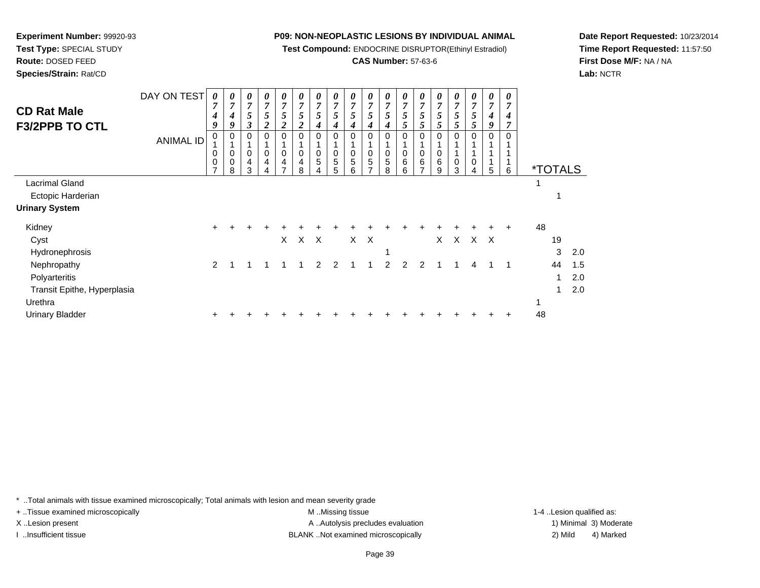**Test Compound:** ENDOCRINE DISRUPTOR(Ethinyl Estradiol)

#### **CAS Number:** 57-63-6

*0*

*0 7 5*

 $1$  2.0<br>1 2.0

48

*7 5 5*

**Date Report Requested:** 10/23/2014**Time Report Requested:** 11:57:50**First Dose M/F:** NA / NA**Lab:** NCTR

Urinary Bladder

\* ..Total animals with tissue examined microscopically; Total animals with lesion and mean severity grade

 $\mathbf{r}$  +

|                             | <b>ANIMAL ID</b> | 0<br>0<br>$\frac{0}{7}$ | 0<br>0<br>$\pmb{0}$<br>8 | 0<br>0<br>4<br>3 | $\mathbf 0$<br>$\mathbf 0$<br>4<br>4 | 0<br>$\boldsymbol{0}$<br>4<br>⇁ | 0<br>0<br>4<br>8 | 0<br>5        | 0<br>0<br>5<br>5 | 0<br>0<br>5<br>6 | 0<br>0<br>5 | 0<br>0<br>5<br>8 | 0<br>$\begin{array}{c} 0 \\ 6 \end{array}$<br>6 | 0<br>0<br>6<br>⇁ | 0<br>6<br>9 | 0<br>0<br>3 | 0<br>0<br>4 | U<br>5   | 6 | <i><b>*TOTALS</b></i> |    |     |
|-----------------------------|------------------|-------------------------|--------------------------|------------------|--------------------------------------|---------------------------------|------------------|---------------|------------------|------------------|-------------|------------------|-------------------------------------------------|------------------|-------------|-------------|-------------|----------|---|-----------------------|----|-----|
| <b>Lacrimal Gland</b>       |                  |                         |                          |                  |                                      |                                 |                  |               |                  |                  |             |                  |                                                 |                  |             |             |             |          |   |                       |    |     |
| Ectopic Harderian           |                  |                         |                          |                  |                                      |                                 |                  |               |                  |                  |             |                  |                                                 |                  |             |             |             |          |   |                       |    |     |
| <b>Urinary System</b>       |                  |                         |                          |                  |                                      |                                 |                  |               |                  |                  |             |                  |                                                 |                  |             |             |             |          |   |                       |    |     |
| Kidney                      |                  | $\pm$                   |                          |                  |                                      |                                 |                  |               |                  |                  |             |                  |                                                 |                  |             |             |             |          |   | 48                    |    |     |
| Cyst                        |                  |                         |                          |                  |                                      | X                               | $\times$         | $\times$      |                  |                  | $X$ $X$     |                  |                                                 |                  | X.          | $\times$    | X           | $\times$ |   |                       | 19 |     |
| Hydronephrosis              |                  |                         |                          |                  |                                      |                                 |                  |               |                  |                  |             |                  |                                                 |                  |             |             |             |          |   |                       | 3  | 2.0 |
| Nephropathy                 |                  | $\mathcal{P}$           |                          |                  |                                      |                                 |                  | $\mathcal{P}$ | $\mathcal{P}$    |                  |             | $\mathcal{P}$    | $\mathcal{P}$                                   | $\mathfrak{p}$   |             |             | 4           |          |   |                       | 44 | 1.5 |
| Polyarteritis               |                  |                         |                          |                  |                                      |                                 |                  |               |                  |                  |             |                  |                                                 |                  |             |             |             |          |   |                       |    | 2.0 |
| Transit Epithe, Hyperplasia |                  |                         |                          |                  |                                      |                                 |                  |               |                  |                  |             |                  |                                                 |                  |             |             |             |          |   |                       |    | 2.0 |
|                             |                  |                         |                          |                  |                                      |                                 |                  |               |                  |                  |             |                  |                                                 |                  |             |             |             |          |   |                       |    |     |

Urethra 1

| + Tissue examined microscopically | M Missing tissue | 1-4 Lesion qualified as: |
|-----------------------------------|------------------|--------------------------|

X..Lesion present **A ..**Autolysis precludes evaluation A ..Autolysis precludes evaluation 1) Minimal 3) Moderate

| M Missing tissu |
|-----------------|
| Autobiojo pro   |

I ..Insufficient tissue BLANK ..Not examined microscopically 2) Mild 4) Marked

DAY ON TEST**CD Rat MaleF3/2PPB TO CTL**

**Test Type:** SPECIAL STUDY**Route:** DOSED FEED

# **Experiment Number:** 99920-93

**Species/Strain:** Rat/CD

*0*

*7 5 2*

*0*

*7 5 4*

<sup>+</sup> <sup>+</sup> <sup>+</sup> <sup>+</sup> <sup>+</sup> <sup>+</sup> <sup>+</sup> <sup>+</sup> <sup>+</sup> <sup>+</sup> <sup>+</sup> <sup>+</sup> <sup>+</sup> <sup>+</sup> <sup>+</sup> <sup>+</sup> + 48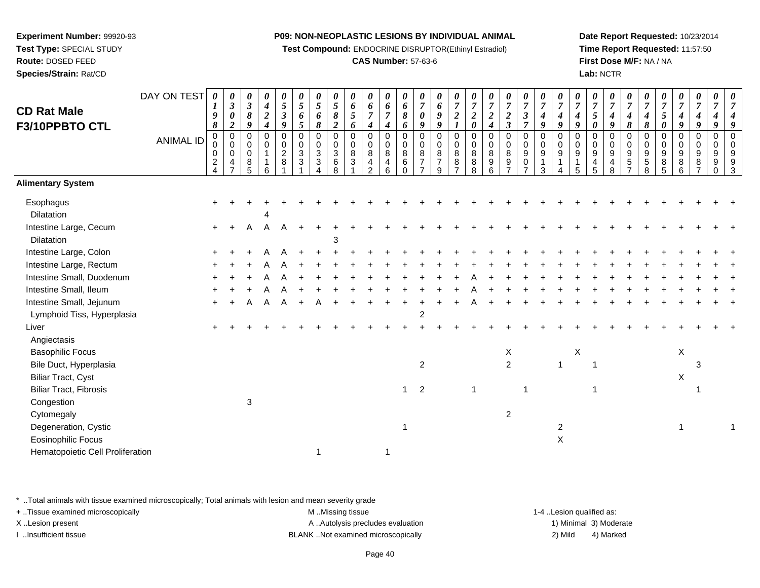**Test Compound:** ENDOCRINE DISRUPTOR(Ethinyl Estradiol)

#### **CAS Number:** 57-63-6

**Date Report Requested:** 10/23/2014**Time Report Requested:** 11:57:50**First Dose M/F:** NA / NA**Lab:** NCTR

| <b>CD Rat Male</b><br>F3/10PPBTO CTL        | DAY ON TEST<br><b>ANIMAL ID</b> | 0<br>1<br>$\boldsymbol{g}$<br>$\pmb{8}$<br>0<br>0<br>0<br>$\overline{c}$<br>$\overline{4}$ | 0<br>$\boldsymbol{\mathfrak{z}}$<br>$\pmb{\theta}$<br>$\boldsymbol{2}$<br>$\mathbf 0$<br>$\mathbf 0$<br>$\mathbf 0$<br>$\overline{4}$<br>$\overline{ }$ | 0<br>$\mathfrak{z}$<br>8<br>9<br>0<br>$\mathbf 0$<br>$\mathbf 0$<br>8<br>5 | 0<br>$\boldsymbol{4}$<br>$\boldsymbol{2}$<br>$\boldsymbol{4}$<br>0<br>0<br>6 | 0<br>$\mathfrak{s}$<br>$\boldsymbol{\beta}$<br>9<br>$\mathbf 0$<br>$\pmb{0}$<br>$\overline{2}$<br>8 | 0<br>$\sqrt{5}$<br>6<br>5<br>$\mathbf 0$<br>$\pmb{0}$<br>$\mathfrak{S}$<br>3 | 0<br>5<br>6<br>8<br>$\mathbf 0$<br>$\pmb{0}$<br>$\mathbf{3}$<br>3<br>4 | 0<br>5<br>8<br>$\boldsymbol{2}$<br>0<br>0<br>3<br>6<br>8 | 0<br>6<br>$\sqrt{5}$<br>6<br>0<br>0<br>$\,8\,$<br>3 | $\boldsymbol{\theta}$<br>$\pmb{6}$<br>$\overline{7}$<br>$\boldsymbol{4}$<br>$\pmb{0}$<br>$\pmb{0}$<br>8<br>$\overline{4}$<br>$\overline{2}$ | $\boldsymbol{\theta}$<br>6<br>$\overline{7}$<br>4<br>$\mathbf 0$<br>$\pmb{0}$<br>$\, 8$<br>$\overline{4}$<br>6 | 0<br>6<br>8<br>6<br>$\mathbf 0$<br>0<br>8<br>6<br>$\Omega$ | $\pmb{\theta}$<br>$\overline{7}$<br>$\boldsymbol{\theta}$<br>9<br>$\mathbf 0$<br>0<br>8<br>$\overline{7}$ | 0<br>6<br>9<br>9<br>0<br>$\pmb{0}$<br>8<br>$\overline{7}$<br>9 | $\boldsymbol{\theta}$<br>$\overline{7}$<br>$\boldsymbol{2}$<br>$\boldsymbol{l}$<br>$\mathbf 0$<br>$\pmb{0}$<br>$\boldsymbol{8}$<br>8<br>$\overline{7}$ | $\boldsymbol{\theta}$<br>$\overline{7}$<br>$\sqrt{2}$<br>$\boldsymbol{\theta}$<br>$\mathbf 0$<br>$\pmb{0}$<br>8<br>8<br>8 | 0<br>$\boldsymbol{7}$<br>$\boldsymbol{2}$<br>$\boldsymbol{4}$<br>$\mathbf 0$<br>$\,0\,$<br>8<br>9<br>6 | $\pmb{\theta}$<br>$\overline{7}$<br>$\boldsymbol{2}$<br>$\mathfrak{z}$<br>$\pmb{0}$<br>$\pmb{0}$<br>8<br>9 | $\pmb{\theta}$<br>$\boldsymbol{7}$<br>$\boldsymbol{\mathfrak{z}}$<br>$\overline{7}$<br>0<br>$\pmb{0}$<br>$\boldsymbol{9}$<br>0 | $\pmb{\theta}$<br>$\overline{7}$<br>$\boldsymbol{4}$<br>9<br>$\mathbf 0$<br>$\pmb{0}$<br>$\boldsymbol{9}$<br>1<br>3 | 0<br>$\overline{7}$<br>4<br>9<br>$\mathbf 0$<br>$\mathbf 0$<br>9 | 0<br>$\overline{7}$<br>$\boldsymbol{4}$<br>$\boldsymbol{g}$<br>$\mathbf 0$<br>$\mathbf 0$<br>9<br>5 | 0<br>$\overline{7}$<br>$\mathfrak{s}$<br>$\boldsymbol{\theta}$<br>0<br>$\Omega$<br>9<br>4<br>5 | $\pmb{\theta}$<br>$\overline{7}$<br>$\boldsymbol{4}$<br>9<br>$\mathbf 0$<br>0<br>9<br>4<br>8 | 0<br>$\overline{7}$<br>$\boldsymbol{4}$<br>8<br>$\mathbf 0$<br>$\mathbf 0$<br>$9\,$<br>5<br>$\overline{7}$ | 0<br>$\overline{7}$<br>4<br>8<br>0<br>$\mathbf 0$<br>9<br>$\,$ 5 $\,$<br>8 | 0<br>$\overline{7}$<br>5<br>0<br>0<br>0<br>$\boldsymbol{9}$<br>8<br>5 | 0<br>$\overline{7}$<br>$\boldsymbol{4}$<br>9<br>$\mathbf 0$<br>0<br>$\boldsymbol{9}$<br>8<br>6 | $\boldsymbol{\theta}$<br>$\overline{7}$<br>$\boldsymbol{4}$<br>$\boldsymbol{g}$<br>0<br>$\pmb{0}$<br>$\boldsymbol{9}$<br>8<br>$\overline{7}$ | $\overline{7}$<br>$\boldsymbol{4}$<br>9<br>$\mathbf 0$<br>$\overline{0}$<br>9<br>9<br>$\Omega$ |  |
|---------------------------------------------|---------------------------------|--------------------------------------------------------------------------------------------|---------------------------------------------------------------------------------------------------------------------------------------------------------|----------------------------------------------------------------------------|------------------------------------------------------------------------------|-----------------------------------------------------------------------------------------------------|------------------------------------------------------------------------------|------------------------------------------------------------------------|----------------------------------------------------------|-----------------------------------------------------|---------------------------------------------------------------------------------------------------------------------------------------------|----------------------------------------------------------------------------------------------------------------|------------------------------------------------------------|-----------------------------------------------------------------------------------------------------------|----------------------------------------------------------------|--------------------------------------------------------------------------------------------------------------------------------------------------------|---------------------------------------------------------------------------------------------------------------------------|--------------------------------------------------------------------------------------------------------|------------------------------------------------------------------------------------------------------------|--------------------------------------------------------------------------------------------------------------------------------|---------------------------------------------------------------------------------------------------------------------|------------------------------------------------------------------|-----------------------------------------------------------------------------------------------------|------------------------------------------------------------------------------------------------|----------------------------------------------------------------------------------------------|------------------------------------------------------------------------------------------------------------|----------------------------------------------------------------------------|-----------------------------------------------------------------------|------------------------------------------------------------------------------------------------|----------------------------------------------------------------------------------------------------------------------------------------------|------------------------------------------------------------------------------------------------|--|
| <b>Alimentary System</b>                    |                                 |                                                                                            |                                                                                                                                                         |                                                                            |                                                                              |                                                                                                     |                                                                              |                                                                        |                                                          |                                                     |                                                                                                                                             |                                                                                                                |                                                            |                                                                                                           |                                                                |                                                                                                                                                        |                                                                                                                           |                                                                                                        |                                                                                                            |                                                                                                                                |                                                                                                                     |                                                                  |                                                                                                     |                                                                                                |                                                                                              |                                                                                                            |                                                                            |                                                                       |                                                                                                |                                                                                                                                              |                                                                                                |  |
| Esophagus<br>Dilatation                     |                                 | $\ddot{}$                                                                                  |                                                                                                                                                         |                                                                            |                                                                              |                                                                                                     |                                                                              |                                                                        |                                                          |                                                     |                                                                                                                                             |                                                                                                                |                                                            |                                                                                                           |                                                                |                                                                                                                                                        |                                                                                                                           |                                                                                                        |                                                                                                            |                                                                                                                                |                                                                                                                     |                                                                  |                                                                                                     |                                                                                                |                                                                                              |                                                                                                            |                                                                            |                                                                       |                                                                                                |                                                                                                                                              |                                                                                                |  |
| Intestine Large, Cecum<br><b>Dilatation</b> |                                 | $\ddot{}$                                                                                  |                                                                                                                                                         | Α                                                                          | A                                                                            | A                                                                                                   |                                                                              |                                                                        | 3                                                        |                                                     |                                                                                                                                             |                                                                                                                |                                                            |                                                                                                           |                                                                |                                                                                                                                                        |                                                                                                                           |                                                                                                        |                                                                                                            |                                                                                                                                |                                                                                                                     |                                                                  |                                                                                                     |                                                                                                |                                                                                              |                                                                                                            |                                                                            |                                                                       |                                                                                                |                                                                                                                                              |                                                                                                |  |
| Intestine Large, Colon                      |                                 |                                                                                            |                                                                                                                                                         |                                                                            |                                                                              |                                                                                                     |                                                                              |                                                                        |                                                          |                                                     |                                                                                                                                             |                                                                                                                |                                                            |                                                                                                           |                                                                |                                                                                                                                                        |                                                                                                                           |                                                                                                        |                                                                                                            |                                                                                                                                |                                                                                                                     |                                                                  |                                                                                                     |                                                                                                |                                                                                              |                                                                                                            |                                                                            |                                                                       |                                                                                                |                                                                                                                                              |                                                                                                |  |
| Intestine Large, Rectum                     |                                 |                                                                                            |                                                                                                                                                         |                                                                            |                                                                              |                                                                                                     |                                                                              |                                                                        |                                                          |                                                     |                                                                                                                                             |                                                                                                                |                                                            |                                                                                                           |                                                                |                                                                                                                                                        |                                                                                                                           |                                                                                                        |                                                                                                            |                                                                                                                                |                                                                                                                     |                                                                  |                                                                                                     |                                                                                                |                                                                                              |                                                                                                            |                                                                            |                                                                       |                                                                                                |                                                                                                                                              |                                                                                                |  |
| Intestine Small, Duodenum                   |                                 |                                                                                            |                                                                                                                                                         |                                                                            |                                                                              |                                                                                                     |                                                                              |                                                                        |                                                          |                                                     |                                                                                                                                             |                                                                                                                |                                                            |                                                                                                           |                                                                |                                                                                                                                                        |                                                                                                                           |                                                                                                        |                                                                                                            |                                                                                                                                |                                                                                                                     |                                                                  |                                                                                                     |                                                                                                |                                                                                              |                                                                                                            |                                                                            |                                                                       |                                                                                                |                                                                                                                                              |                                                                                                |  |
| Intestine Small, Ileum                      |                                 |                                                                                            |                                                                                                                                                         |                                                                            |                                                                              |                                                                                                     |                                                                              |                                                                        |                                                          |                                                     |                                                                                                                                             |                                                                                                                |                                                            |                                                                                                           |                                                                |                                                                                                                                                        |                                                                                                                           |                                                                                                        |                                                                                                            |                                                                                                                                |                                                                                                                     |                                                                  |                                                                                                     |                                                                                                |                                                                                              |                                                                                                            |                                                                            |                                                                       |                                                                                                |                                                                                                                                              |                                                                                                |  |
| Intestine Small, Jejunum                    |                                 |                                                                                            |                                                                                                                                                         |                                                                            | A                                                                            | A                                                                                                   |                                                                              |                                                                        |                                                          |                                                     |                                                                                                                                             |                                                                                                                |                                                            |                                                                                                           |                                                                |                                                                                                                                                        |                                                                                                                           |                                                                                                        |                                                                                                            |                                                                                                                                |                                                                                                                     |                                                                  |                                                                                                     |                                                                                                |                                                                                              |                                                                                                            |                                                                            |                                                                       |                                                                                                |                                                                                                                                              |                                                                                                |  |
| Lymphoid Tiss, Hyperplasia                  |                                 |                                                                                            |                                                                                                                                                         |                                                                            |                                                                              |                                                                                                     |                                                                              |                                                                        |                                                          |                                                     |                                                                                                                                             |                                                                                                                |                                                            | $\overline{2}$                                                                                            |                                                                |                                                                                                                                                        |                                                                                                                           |                                                                                                        |                                                                                                            |                                                                                                                                |                                                                                                                     |                                                                  |                                                                                                     |                                                                                                |                                                                                              |                                                                                                            |                                                                            |                                                                       |                                                                                                |                                                                                                                                              |                                                                                                |  |
| Liver                                       |                                 |                                                                                            |                                                                                                                                                         |                                                                            |                                                                              |                                                                                                     |                                                                              |                                                                        |                                                          |                                                     |                                                                                                                                             |                                                                                                                |                                                            |                                                                                                           |                                                                |                                                                                                                                                        |                                                                                                                           |                                                                                                        |                                                                                                            |                                                                                                                                |                                                                                                                     |                                                                  |                                                                                                     |                                                                                                |                                                                                              |                                                                                                            |                                                                            |                                                                       |                                                                                                |                                                                                                                                              |                                                                                                |  |
| Angiectasis                                 |                                 |                                                                                            |                                                                                                                                                         |                                                                            |                                                                              |                                                                                                     |                                                                              |                                                                        |                                                          |                                                     |                                                                                                                                             |                                                                                                                |                                                            |                                                                                                           |                                                                |                                                                                                                                                        |                                                                                                                           |                                                                                                        |                                                                                                            |                                                                                                                                |                                                                                                                     |                                                                  |                                                                                                     |                                                                                                |                                                                                              |                                                                                                            |                                                                            |                                                                       |                                                                                                |                                                                                                                                              |                                                                                                |  |
| <b>Basophilic Focus</b>                     |                                 |                                                                                            |                                                                                                                                                         |                                                                            |                                                                              |                                                                                                     |                                                                              |                                                                        |                                                          |                                                     |                                                                                                                                             |                                                                                                                |                                                            |                                                                                                           |                                                                |                                                                                                                                                        |                                                                                                                           |                                                                                                        | X                                                                                                          |                                                                                                                                |                                                                                                                     |                                                                  | Χ                                                                                                   |                                                                                                |                                                                                              |                                                                                                            |                                                                            |                                                                       | X                                                                                              |                                                                                                                                              |                                                                                                |  |
| Bile Duct, Hyperplasia                      |                                 |                                                                                            |                                                                                                                                                         |                                                                            |                                                                              |                                                                                                     |                                                                              |                                                                        |                                                          |                                                     |                                                                                                                                             |                                                                                                                |                                                            | $\overline{c}$                                                                                            |                                                                |                                                                                                                                                        |                                                                                                                           |                                                                                                        | $\overline{c}$                                                                                             |                                                                                                                                |                                                                                                                     | 1                                                                |                                                                                                     |                                                                                                |                                                                                              |                                                                                                            |                                                                            |                                                                       |                                                                                                | 3                                                                                                                                            |                                                                                                |  |
| <b>Biliar Tract, Cyst</b>                   |                                 |                                                                                            |                                                                                                                                                         |                                                                            |                                                                              |                                                                                                     |                                                                              |                                                                        |                                                          |                                                     |                                                                                                                                             |                                                                                                                |                                                            |                                                                                                           |                                                                |                                                                                                                                                        |                                                                                                                           |                                                                                                        |                                                                                                            |                                                                                                                                |                                                                                                                     |                                                                  |                                                                                                     |                                                                                                |                                                                                              |                                                                                                            |                                                                            |                                                                       | X                                                                                              |                                                                                                                                              |                                                                                                |  |
| <b>Biliar Tract, Fibrosis</b>               |                                 |                                                                                            |                                                                                                                                                         |                                                                            |                                                                              |                                                                                                     |                                                                              |                                                                        |                                                          |                                                     |                                                                                                                                             |                                                                                                                | 1                                                          | $\overline{2}$                                                                                            |                                                                |                                                                                                                                                        | 1                                                                                                                         |                                                                                                        |                                                                                                            |                                                                                                                                |                                                                                                                     |                                                                  |                                                                                                     |                                                                                                |                                                                                              |                                                                                                            |                                                                            |                                                                       |                                                                                                |                                                                                                                                              |                                                                                                |  |
| Congestion                                  |                                 |                                                                                            |                                                                                                                                                         | 3                                                                          |                                                                              |                                                                                                     |                                                                              |                                                                        |                                                          |                                                     |                                                                                                                                             |                                                                                                                |                                                            |                                                                                                           |                                                                |                                                                                                                                                        |                                                                                                                           |                                                                                                        |                                                                                                            |                                                                                                                                |                                                                                                                     |                                                                  |                                                                                                     |                                                                                                |                                                                                              |                                                                                                            |                                                                            |                                                                       |                                                                                                |                                                                                                                                              |                                                                                                |  |
| Cytomegaly                                  |                                 |                                                                                            |                                                                                                                                                         |                                                                            |                                                                              |                                                                                                     |                                                                              |                                                                        |                                                          |                                                     |                                                                                                                                             |                                                                                                                |                                                            |                                                                                                           |                                                                |                                                                                                                                                        |                                                                                                                           |                                                                                                        | $\overline{c}$                                                                                             |                                                                                                                                |                                                                                                                     |                                                                  |                                                                                                     |                                                                                                |                                                                                              |                                                                                                            |                                                                            |                                                                       |                                                                                                |                                                                                                                                              |                                                                                                |  |
| Degeneration, Cystic                        |                                 |                                                                                            |                                                                                                                                                         |                                                                            |                                                                              |                                                                                                     |                                                                              |                                                                        |                                                          |                                                     |                                                                                                                                             |                                                                                                                |                                                            |                                                                                                           |                                                                |                                                                                                                                                        |                                                                                                                           |                                                                                                        |                                                                                                            |                                                                                                                                |                                                                                                                     | 2                                                                |                                                                                                     |                                                                                                |                                                                                              |                                                                                                            |                                                                            |                                                                       |                                                                                                |                                                                                                                                              |                                                                                                |  |
| Eosinophilic Focus                          |                                 |                                                                                            |                                                                                                                                                         |                                                                            |                                                                              |                                                                                                     |                                                                              |                                                                        |                                                          |                                                     |                                                                                                                                             |                                                                                                                |                                                            |                                                                                                           |                                                                |                                                                                                                                                        |                                                                                                                           |                                                                                                        |                                                                                                            |                                                                                                                                |                                                                                                                     | X                                                                |                                                                                                     |                                                                                                |                                                                                              |                                                                                                            |                                                                            |                                                                       |                                                                                                |                                                                                                                                              |                                                                                                |  |

\* ..Total animals with tissue examined microscopically; Total animals with lesion and mean severity grade

**Experiment Number:** 99920-93**Test Type:** SPECIAL STUDY**Route:** DOSED FEED**Species/Strain:** Rat/CD

Hematopoietic Cell Proliferation

+ ..Tissue examined microscopically examined microscopically examined as:  $M$  ..Missing tissue 1-4 ..Lesion qualified as: X..Lesion present **A ..Autolysis precludes evaluation** A ..Autolysis precludes evaluation 1) Minimal 3) Moderate 4) Marked I ..Insufficient tissue 2) Mild and the BLANK ..Not examined microscopically and the same 2) Mild

 $\mathsf{S}$ 

<sup>1</sup> <sup>1</sup>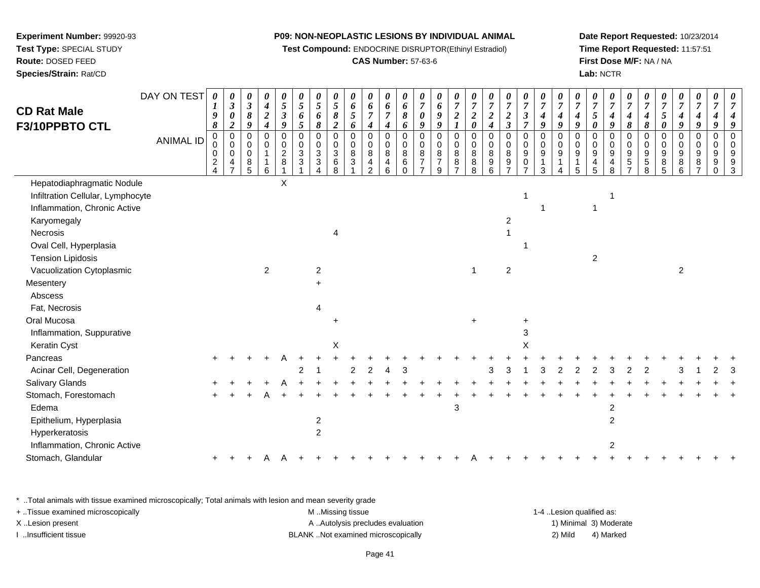**Test Compound:** ENDOCRINE DISRUPTOR(Ethinyl Estradiol)

#### **CAS Number:** 57-63-6

**Date Report Requested:** 10/23/2014**Time Report Requested:** 11:57:51**First Dose M/F:** NA / NA**Lab:** NCTR

| <b>CD Rat Male</b><br>F3/10PPBTO CTL | DAY ON TEST      | $\boldsymbol{\theta}$<br>$\boldsymbol{l}$<br>9<br>8           | 0<br>$\mathfrak{z}$<br>0<br>$\overline{2}$ | 0<br>$\mathfrak{z}$<br>$\pmb{8}$<br>9                   | $\boldsymbol{\theta}$<br>$\boldsymbol{4}$<br>$\boldsymbol{2}$<br>$\boldsymbol{4}$ | 0<br>$\sqrt{5}$<br>$\boldsymbol{\beta}$<br>$\boldsymbol{g}$ | 0<br>5<br>6<br>$\mathfrak{s}$       | $\frac{\theta}{5}$<br>6<br>8                                                            | 0<br>5<br>8<br>$\overline{2}$                           | 0<br>$\boldsymbol{6}$<br>$\mathfrak{z}$<br>6 | $\boldsymbol{\theta}$<br>6<br>$\overline{7}$<br>$\boldsymbol{4}$ | 0<br>6<br>$\overline{7}$<br>4         | 0<br>$\boldsymbol{6}$<br>$\pmb{8}$<br>6               | 0<br>$\overline{7}$<br>$\pmb{\theta}$<br>9                      | $\boldsymbol{\theta}$<br>$\boldsymbol{6}$<br>9<br>9    | $\boldsymbol{\theta}$<br>$\boldsymbol{7}$<br>$\boldsymbol{2}$<br>$\boldsymbol{l}$ | $\frac{\boldsymbol{0}}{7}$<br>$\boldsymbol{2}$<br>$\pmb{\theta}$ | $\frac{\theta}{7}$<br>$\boldsymbol{2}$<br>$\boldsymbol{4}$ | $\boldsymbol{\theta}$<br>$\overline{7}$<br>$\boldsymbol{2}$<br>$\mathfrak{z}$ | $\boldsymbol{\theta}$<br>$\overline{7}$<br>$\boldsymbol{\beta}$<br>$\overline{7}$ | $\boldsymbol{\theta}$<br>$\overline{7}$<br>$\boldsymbol{4}$<br>9    | 0<br>$\overline{7}$<br>4<br>$\boldsymbol{g}$ | 0<br>$\overline{7}$<br>$\boldsymbol{4}$<br>9 | $\boldsymbol{\theta}$<br>$\boldsymbol{7}$<br>5<br>$\pmb{\theta}$ | $\overline{7}$<br>$\boldsymbol{4}$<br>9 | $\frac{\theta}{7}$<br>$\boldsymbol{4}$<br>$\pmb{8}$                  | 0<br>$\overline{7}$<br>4<br>8                  | $\boldsymbol{\theta}$<br>$\overline{7}$<br>$\mathfrak{s}$<br>$\pmb{\theta}$ | $\boldsymbol{\theta}$<br>$\overline{7}$<br>4<br>9 | $\boldsymbol{7}$<br>$\boldsymbol{4}$<br>9 | 0<br>$\overline{7}$<br>4<br>9                       | 0<br>$\overline{7}$<br>$\boldsymbol{4}$<br>$\boldsymbol{g}$                |
|--------------------------------------|------------------|---------------------------------------------------------------|--------------------------------------------|---------------------------------------------------------|-----------------------------------------------------------------------------------|-------------------------------------------------------------|-------------------------------------|-----------------------------------------------------------------------------------------|---------------------------------------------------------|----------------------------------------------|------------------------------------------------------------------|---------------------------------------|-------------------------------------------------------|-----------------------------------------------------------------|--------------------------------------------------------|-----------------------------------------------------------------------------------|------------------------------------------------------------------|------------------------------------------------------------|-------------------------------------------------------------------------------|-----------------------------------------------------------------------------------|---------------------------------------------------------------------|----------------------------------------------|----------------------------------------------|------------------------------------------------------------------|-----------------------------------------|----------------------------------------------------------------------|------------------------------------------------|-----------------------------------------------------------------------------|---------------------------------------------------|-------------------------------------------|-----------------------------------------------------|----------------------------------------------------------------------------|
|                                      | <b>ANIMAL ID</b> | $\mathbf 0$<br>0<br>$\overline{\mathbf{c}}$<br>$\overline{4}$ | $\mathbf 0$<br>0<br>0<br>4                 | $\mathbf 0$<br>0<br>$\mathsf 0$<br>8<br>$5\phantom{.0}$ | $\mathbf 0$<br>0<br>6                                                             | $\mathbf 0$<br>0<br>$\boldsymbol{2}$<br>$\bf8$              | $\mathbf 0$<br>0<br>$\sqrt{3}$<br>3 | $\mathbf 0$<br>$\pmb{0}$<br>$\mathbf{3}$<br>$\ensuremath{\mathsf{3}}$<br>$\overline{4}$ | $\mathbf 0$<br>0<br>$\ensuremath{\mathsf{3}}$<br>6<br>8 | $\mathbf 0$<br>0<br>8<br>3                   | $\mathbf 0$<br>0<br>$\bf 8$<br>$\overline{4}$<br>$\overline{2}$  | $\mathbf 0$<br>0<br>$\,8\,$<br>4<br>6 | $\mathbf 0$<br>0<br>$\bf 8$<br>$\,6\,$<br>$\mathbf 0$ | $\mathbf 0$<br>0<br>$\bf 8$<br>$\overline{7}$<br>$\overline{7}$ | $\mathbf 0$<br>$\mathbf 0$<br>8<br>$\overline{7}$<br>9 | $\mathbf 0$<br>0<br>$\bf8$<br>8                                                   | $\mathbf 0$<br>$\pmb{0}$<br>$\overline{8}$<br>8<br>8             | $\mathbf 0$<br>0<br>$\bf 8$<br>$\boldsymbol{9}$<br>6       | $\mathbf 0$<br>$\mathbf 0$<br>$\bf 8$<br>9<br>$\overline{7}$                  | 0<br>$\mathbf 0$<br>9<br>0<br>$\overline{7}$                                      | $\mathbf 0$<br>$\mathbf 0$<br>$\boldsymbol{9}$<br>$\mathbf{1}$<br>3 | $\Omega$<br>0<br>9                           | 0<br>$\mathbf 0$<br>9<br>5                   | $\mathbf 0$<br>0<br>$\boldsymbol{9}$<br>$\overline{4}$<br>5      | 0<br>0<br>9<br>$\overline{4}$<br>8      | $\mathbf 0$<br>0<br>$\boldsymbol{9}$<br>$\sqrt{5}$<br>$\overline{7}$ | 0<br>0<br>$\boldsymbol{9}$<br>$\mathbf 5$<br>8 | $\mathbf 0$<br>$\mathbf 0$<br>$\boldsymbol{9}$<br>$\bf 8$<br>5              | $\Omega$<br>$\Omega$<br>9<br>8<br>6               | $\mathbf 0$<br>$\Omega$<br>9<br>8         | $\mathbf 0$<br>$\mathbf 0$<br>9<br>9<br>$\mathbf 0$ | $\mathbf 0$<br>$\mathbf 0$<br>$\begin{array}{c}\n9 \\ 9 \\ 3\n\end{array}$ |
| Hepatodiaphragmatic Nodule           |                  |                                                               |                                            |                                                         |                                                                                   | $\times$                                                    |                                     |                                                                                         |                                                         |                                              |                                                                  |                                       |                                                       |                                                                 |                                                        |                                                                                   |                                                                  |                                                            |                                                                               |                                                                                   |                                                                     |                                              |                                              |                                                                  |                                         |                                                                      |                                                |                                                                             |                                                   |                                           |                                                     |                                                                            |
| Infiltration Cellular, Lymphocyte    |                  |                                                               |                                            |                                                         |                                                                                   |                                                             |                                     |                                                                                         |                                                         |                                              |                                                                  |                                       |                                                       |                                                                 |                                                        |                                                                                   |                                                                  |                                                            |                                                                               | 1                                                                                 |                                                                     |                                              |                                              |                                                                  |                                         |                                                                      |                                                |                                                                             |                                                   |                                           |                                                     |                                                                            |
| Inflammation, Chronic Active         |                  |                                                               |                                            |                                                         |                                                                                   |                                                             |                                     |                                                                                         |                                                         |                                              |                                                                  |                                       |                                                       |                                                                 |                                                        |                                                                                   |                                                                  |                                                            |                                                                               |                                                                                   |                                                                     |                                              |                                              | -1                                                               |                                         |                                                                      |                                                |                                                                             |                                                   |                                           |                                                     |                                                                            |
| Karyomegaly                          |                  |                                                               |                                            |                                                         |                                                                                   |                                                             |                                     |                                                                                         |                                                         |                                              |                                                                  |                                       |                                                       |                                                                 |                                                        |                                                                                   |                                                                  |                                                            | 2                                                                             |                                                                                   |                                                                     |                                              |                                              |                                                                  |                                         |                                                                      |                                                |                                                                             |                                                   |                                           |                                                     |                                                                            |
| Necrosis                             |                  |                                                               |                                            |                                                         |                                                                                   |                                                             |                                     |                                                                                         | 4                                                       |                                              |                                                                  |                                       |                                                       |                                                                 |                                                        |                                                                                   |                                                                  |                                                            |                                                                               |                                                                                   |                                                                     |                                              |                                              |                                                                  |                                         |                                                                      |                                                |                                                                             |                                                   |                                           |                                                     |                                                                            |
| Oval Cell, Hyperplasia               |                  |                                                               |                                            |                                                         |                                                                                   |                                                             |                                     |                                                                                         |                                                         |                                              |                                                                  |                                       |                                                       |                                                                 |                                                        |                                                                                   |                                                                  |                                                            |                                                                               |                                                                                   |                                                                     |                                              |                                              |                                                                  |                                         |                                                                      |                                                |                                                                             |                                                   |                                           |                                                     |                                                                            |
| <b>Tension Lipidosis</b>             |                  |                                                               |                                            |                                                         |                                                                                   |                                                             |                                     |                                                                                         |                                                         |                                              |                                                                  |                                       |                                                       |                                                                 |                                                        |                                                                                   |                                                                  |                                                            |                                                                               |                                                                                   |                                                                     |                                              |                                              | $\overline{2}$                                                   |                                         |                                                                      |                                                |                                                                             |                                                   |                                           |                                                     |                                                                            |
| Vacuolization Cytoplasmic            |                  |                                                               |                                            |                                                         | $\overline{2}$                                                                    |                                                             |                                     | $\overline{c}$                                                                          |                                                         |                                              |                                                                  |                                       |                                                       |                                                                 |                                                        |                                                                                   | -1                                                               |                                                            | $\overline{2}$                                                                |                                                                                   |                                                                     |                                              |                                              |                                                                  |                                         |                                                                      |                                                |                                                                             | $\overline{2}$                                    |                                           |                                                     |                                                                            |
| Mesentery                            |                  |                                                               |                                            |                                                         |                                                                                   |                                                             |                                     |                                                                                         |                                                         |                                              |                                                                  |                                       |                                                       |                                                                 |                                                        |                                                                                   |                                                                  |                                                            |                                                                               |                                                                                   |                                                                     |                                              |                                              |                                                                  |                                         |                                                                      |                                                |                                                                             |                                                   |                                           |                                                     |                                                                            |
| Abscess                              |                  |                                                               |                                            |                                                         |                                                                                   |                                                             |                                     |                                                                                         |                                                         |                                              |                                                                  |                                       |                                                       |                                                                 |                                                        |                                                                                   |                                                                  |                                                            |                                                                               |                                                                                   |                                                                     |                                              |                                              |                                                                  |                                         |                                                                      |                                                |                                                                             |                                                   |                                           |                                                     |                                                                            |
| Fat, Necrosis                        |                  |                                                               |                                            |                                                         |                                                                                   |                                                             |                                     | 4                                                                                       |                                                         |                                              |                                                                  |                                       |                                                       |                                                                 |                                                        |                                                                                   |                                                                  |                                                            |                                                                               |                                                                                   |                                                                     |                                              |                                              |                                                                  |                                         |                                                                      |                                                |                                                                             |                                                   |                                           |                                                     |                                                                            |
| Oral Mucosa                          |                  |                                                               |                                            |                                                         |                                                                                   |                                                             |                                     |                                                                                         |                                                         |                                              |                                                                  |                                       |                                                       |                                                                 |                                                        |                                                                                   | $+$                                                              |                                                            |                                                                               | $\ddot{}$                                                                         |                                                                     |                                              |                                              |                                                                  |                                         |                                                                      |                                                |                                                                             |                                                   |                                           |                                                     |                                                                            |
| Inflammation, Suppurative            |                  |                                                               |                                            |                                                         |                                                                                   |                                                             |                                     |                                                                                         |                                                         |                                              |                                                                  |                                       |                                                       |                                                                 |                                                        |                                                                                   |                                                                  |                                                            |                                                                               | 3                                                                                 |                                                                     |                                              |                                              |                                                                  |                                         |                                                                      |                                                |                                                                             |                                                   |                                           |                                                     |                                                                            |
| Keratin Cyst                         |                  |                                                               |                                            |                                                         |                                                                                   |                                                             |                                     |                                                                                         | X                                                       |                                              |                                                                  |                                       |                                                       |                                                                 |                                                        |                                                                                   |                                                                  |                                                            |                                                                               | X                                                                                 |                                                                     |                                              |                                              |                                                                  |                                         |                                                                      |                                                |                                                                             |                                                   |                                           |                                                     |                                                                            |
| Pancreas                             |                  |                                                               |                                            |                                                         |                                                                                   |                                                             |                                     |                                                                                         |                                                         |                                              |                                                                  |                                       |                                                       |                                                                 |                                                        |                                                                                   |                                                                  |                                                            |                                                                               |                                                                                   |                                                                     |                                              |                                              |                                                                  |                                         |                                                                      |                                                |                                                                             |                                                   |                                           |                                                     |                                                                            |
| Acinar Cell, Degeneration            |                  |                                                               |                                            |                                                         |                                                                                   |                                                             |                                     |                                                                                         |                                                         | $\overline{2}$                               | 2                                                                | Δ                                     | 3                                                     |                                                                 |                                                        |                                                                                   |                                                                  | 3                                                          | 3                                                                             |                                                                                   |                                                                     | 2                                            |                                              | 2                                                                | 3                                       |                                                                      | 2                                              |                                                                             |                                                   |                                           |                                                     | 3                                                                          |
| Salivary Glands                      |                  |                                                               |                                            |                                                         |                                                                                   |                                                             |                                     |                                                                                         |                                                         |                                              |                                                                  |                                       |                                                       |                                                                 |                                                        |                                                                                   |                                                                  |                                                            |                                                                               |                                                                                   |                                                                     |                                              |                                              |                                                                  |                                         |                                                                      |                                                |                                                                             |                                                   |                                           |                                                     |                                                                            |
| Stomach, Forestomach                 |                  |                                                               |                                            |                                                         |                                                                                   |                                                             |                                     |                                                                                         |                                                         |                                              |                                                                  |                                       |                                                       |                                                                 |                                                        |                                                                                   |                                                                  |                                                            |                                                                               |                                                                                   |                                                                     |                                              |                                              |                                                                  |                                         |                                                                      |                                                |                                                                             |                                                   |                                           |                                                     |                                                                            |
| Edema                                |                  |                                                               |                                            |                                                         |                                                                                   |                                                             |                                     |                                                                                         |                                                         |                                              |                                                                  |                                       |                                                       |                                                                 |                                                        | 3                                                                                 |                                                                  |                                                            |                                                                               |                                                                                   |                                                                     |                                              |                                              |                                                                  | 2                                       |                                                                      |                                                |                                                                             |                                                   |                                           |                                                     |                                                                            |
| Epithelium, Hyperplasia              |                  |                                                               |                                            |                                                         |                                                                                   |                                                             |                                     | $\overline{\mathbf{c}}$                                                                 |                                                         |                                              |                                                                  |                                       |                                                       |                                                                 |                                                        |                                                                                   |                                                                  |                                                            |                                                                               |                                                                                   |                                                                     |                                              |                                              |                                                                  | $\overline{c}$                          |                                                                      |                                                |                                                                             |                                                   |                                           |                                                     |                                                                            |
| Hyperkeratosis                       |                  |                                                               |                                            |                                                         |                                                                                   |                                                             |                                     | $\overline{c}$                                                                          |                                                         |                                              |                                                                  |                                       |                                                       |                                                                 |                                                        |                                                                                   |                                                                  |                                                            |                                                                               |                                                                                   |                                                                     |                                              |                                              |                                                                  |                                         |                                                                      |                                                |                                                                             |                                                   |                                           |                                                     |                                                                            |
| Inflammation, Chronic Active         |                  |                                                               |                                            |                                                         |                                                                                   |                                                             |                                     |                                                                                         |                                                         |                                              |                                                                  |                                       |                                                       |                                                                 |                                                        |                                                                                   |                                                                  |                                                            |                                                                               |                                                                                   |                                                                     |                                              |                                              |                                                                  | 2                                       |                                                                      |                                                |                                                                             |                                                   |                                           |                                                     |                                                                            |
| Stomach, Glandular                   |                  |                                                               |                                            |                                                         |                                                                                   |                                                             |                                     |                                                                                         |                                                         |                                              |                                                                  |                                       |                                                       |                                                                 |                                                        |                                                                                   |                                                                  |                                                            |                                                                               |                                                                                   |                                                                     |                                              |                                              |                                                                  |                                         |                                                                      |                                                |                                                                             |                                                   |                                           |                                                     |                                                                            |
|                                      |                  |                                                               |                                            |                                                         |                                                                                   |                                                             |                                     |                                                                                         |                                                         |                                              |                                                                  |                                       |                                                       |                                                                 |                                                        |                                                                                   |                                                                  |                                                            |                                                                               |                                                                                   |                                                                     |                                              |                                              |                                                                  |                                         |                                                                      |                                                |                                                                             |                                                   |                                           |                                                     |                                                                            |

\* ..Total animals with tissue examined microscopically; Total animals with lesion and mean severity grade

+ ..Tissue examined microscopically examined microscopically examined as:  $M$  ..Missing tissue 1-4 ..Lesion qualified as: X..Lesion present **A ..Autolysis precludes evaluation** A ..Autolysis precludes evaluation 1) Minimal 3) Moderate I ..Insufficient tissue BLANK ..Not examined microscopically 2) Mild 4) Marked

#### **Experiment Number:** 99920-93**Test Type:** SPECIAL STUDY**Route:** DOSED FEED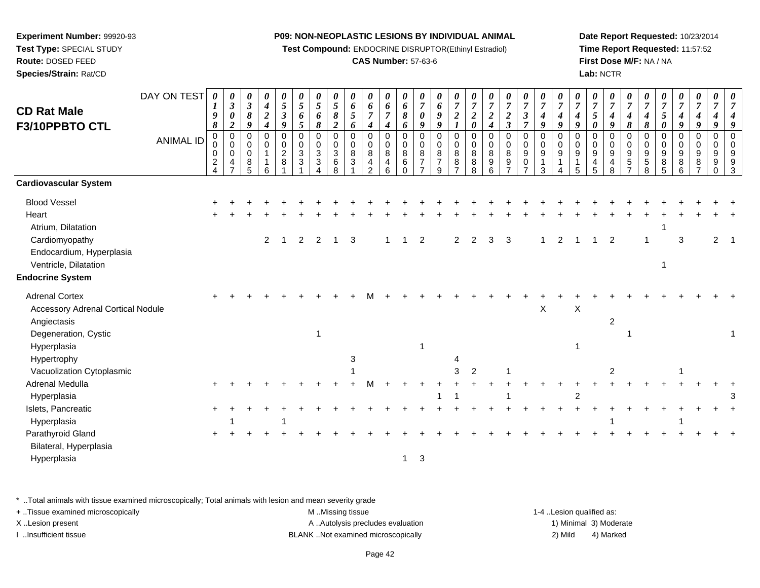**Test Compound:** ENDOCRINE DISRUPTOR(Ethinyl Estradiol)

#### **CAS Number:** 57-63-6

**Date Report Requested:** 10/23/2014**Time Report Requested:** 11:57:52**First Dose M/F:** NA / NA**Lab:** NCTR

| <b>CD Rat Male</b><br>F3/10PPBTO CTL     | DAY ON TEST      | $\boldsymbol{\theta}$<br>$\boldsymbol{I}$<br>9<br>8 | $\boldsymbol{\theta}$<br>$\boldsymbol{\beta}$<br>$\pmb{\theta}$<br>$\overline{2}$ | 0<br>$\boldsymbol{\beta}$<br>8<br>9                 | 0<br>$\boldsymbol{4}$<br>$\sqrt{2}$<br>$\boldsymbol{4}$ | $\pmb{\theta}$<br>$\mathfrak{z}$<br>$\boldsymbol{\beta}$<br>9 | $\boldsymbol{\theta}$<br>$\overline{5}$<br>6<br>5 | $\pmb{\theta}$<br>$\overline{5}$<br>6<br>8   | 0<br>$\mathfrak{S}$<br>8<br>$\boldsymbol{2}$ | 0<br>6<br>$5\overline{)}$<br>6                                | 0<br>6<br>$\overline{7}$<br>$\boldsymbol{4}$                | $\boldsymbol{\theta}$<br>6<br>$\boldsymbol{4}$  | 0<br>6<br>$\boldsymbol{\delta}$<br>6                | 0<br>$\overline{7}$<br>0<br>9                           | 0<br>6<br>$\boldsymbol{9}$<br>9                                       | 0<br>$\overline{7}$<br>$\boldsymbol{2}$ | 0<br>$\overline{7}$<br>$\boldsymbol{2}$<br>$\boldsymbol{\theta}$ | $\boldsymbol{\theta}$<br>$\overline{7}$<br>$\boldsymbol{2}$<br>$\boldsymbol{4}$ | 0<br>$\overline{7}$<br>$\boldsymbol{2}$<br>$\boldsymbol{\beta}$ | 0<br>$\boldsymbol{7}$<br>$\boldsymbol{\mathfrak{z}}$<br>$\overline{7}$ | 0<br>$\boldsymbol{7}$<br>$\boldsymbol{4}$<br>9                     | 0<br>$\overline{7}$<br>$\boldsymbol{4}$<br>9 | $\boldsymbol{\theta}$<br>$\overline{7}$<br>4<br>9 | $\boldsymbol{\theta}$<br>$\overline{7}$<br>$\sqrt{5}$<br>$\pmb{\theta}$ | 0<br>$\overline{7}$<br>$\boldsymbol{4}$<br>9             | 0<br>$\boldsymbol{7}$<br>$\boldsymbol{4}$<br>8               | 0<br>$\overline{7}$<br>$\boldsymbol{4}$<br>8        | 0<br>$\overline{7}$<br>5<br>$\boldsymbol{\theta}$ | $\boldsymbol{\theta}$<br>$\overline{7}$<br>$\boldsymbol{4}$<br>9 | 0<br>$\boldsymbol{7}$<br>$\boldsymbol{4}$<br>9 | 0<br>$\boldsymbol{7}$<br>$\boldsymbol{4}$<br>9 |  |
|------------------------------------------|------------------|-----------------------------------------------------|-----------------------------------------------------------------------------------|-----------------------------------------------------|---------------------------------------------------------|---------------------------------------------------------------|---------------------------------------------------|----------------------------------------------|----------------------------------------------|---------------------------------------------------------------|-------------------------------------------------------------|-------------------------------------------------|-----------------------------------------------------|---------------------------------------------------------|-----------------------------------------------------------------------|-----------------------------------------|------------------------------------------------------------------|---------------------------------------------------------------------------------|-----------------------------------------------------------------|------------------------------------------------------------------------|--------------------------------------------------------------------|----------------------------------------------|---------------------------------------------------|-------------------------------------------------------------------------|----------------------------------------------------------|--------------------------------------------------------------|-----------------------------------------------------|---------------------------------------------------|------------------------------------------------------------------|------------------------------------------------|------------------------------------------------|--|
|                                          | <b>ANIMAL ID</b> | $\mathbf 0$<br>0<br>$\mathbf 0$<br>$\frac{2}{4}$    | $\pmb{0}$<br>$\mathbf 0$<br>$\pmb{0}$<br>4                                        | $\mathbf 0$<br>$\mathbf 0$<br>$\mathbf 0$<br>8<br>5 | 0<br>0<br>$\mathbf{1}$<br>6                             | $\mathbf 0$<br>$\,0\,$<br>$\boldsymbol{2}$<br>8               | $\mathbf 0$<br>0<br>$\sqrt{3}$<br>$\mathbf{3}$    | $\pmb{0}$<br>0<br>$\sqrt{3}$<br>$\mathbf{3}$ | $\pmb{0}$<br>$\mathbf 0$<br>3<br>6<br>8      | $\mathsf 0$<br>$\mathsf{O}\xspace$<br>$\bf 8$<br>$\mathbf{3}$ | $\mathbf 0$<br>$\pmb{0}$<br>$\bf{8}$<br>4<br>$\mathfrak{p}$ | $\mathbf 0$<br>$\mathbf 0$<br>$\bf 8$<br>4<br>6 | $\mathbf 0$<br>$\Omega$<br>$\bf 8$<br>6<br>$\Omega$ | $\mathbf 0$<br>$\mathbf 0$<br>$\bf 8$<br>$\overline{7}$ | $\pmb{0}$<br>$\mathbf 0$<br>$\bf 8$<br>$\overline{7}$<br>$\mathbf{Q}$ | $\mathbf 0$<br>$\pmb{0}$<br>8<br>8      | $\mathbf 0$<br>0<br>$\bf8$<br>$\bf 8$<br>8                       | $\mathbf 0$<br>$\mathbf 0$<br>8<br>9<br>6                                       | $\mathbf 0$<br>0<br>$\bf 8$<br>$\boldsymbol{9}$                 | $\pmb{0}$<br>$\bar{0}$<br>$\boldsymbol{9}$<br>0<br>$\overline{ }$      | $\mathsf 0$<br>$\mathbf 0$<br>$\boldsymbol{9}$<br>$\mathbf 1$<br>3 | $\mathbf 0$<br>$\mathbf 0$<br>9              | $\mathbf 0$<br>$\Omega$<br>9                      | $\mathbf 0$<br>$\mathbf 0$<br>$\boldsymbol{9}$<br>4<br>5                | $\mathbf 0$<br>$\mathbf 0$<br>$\boldsymbol{9}$<br>4<br>8 | $\mathbf 0$<br>$\mathbf 0$<br>$\boldsymbol{9}$<br>$\sqrt{5}$ | $\mathbf 0$<br>$\mathbf 0$<br>9<br>$\,$ 5 $\,$<br>8 | $\mathbf 0$<br>$\Omega$<br>$9\,$<br>8             | $\mathbf 0$<br>0<br>$\boldsymbol{9}$<br>8<br>6                   | $\pmb{0}$<br>0<br>$\boldsymbol{9}$<br>8        | $\pmb{0}$<br>$\mathbf 0$<br>9<br>9             |  |
| Cardiovascular System                    |                  |                                                     |                                                                                   |                                                     |                                                         |                                                               |                                                   |                                              |                                              |                                                               |                                                             |                                                 |                                                     |                                                         |                                                                       |                                         |                                                                  |                                                                                 |                                                                 |                                                                        |                                                                    |                                              |                                                   |                                                                         |                                                          |                                                              |                                                     |                                                   |                                                                  |                                                |                                                |  |
| <b>Blood Vessel</b>                      |                  |                                                     |                                                                                   |                                                     |                                                         |                                                               |                                                   |                                              |                                              |                                                               |                                                             |                                                 |                                                     |                                                         |                                                                       |                                         |                                                                  |                                                                                 |                                                                 |                                                                        |                                                                    |                                              |                                                   |                                                                         |                                                          |                                                              |                                                     |                                                   |                                                                  |                                                |                                                |  |
| Heart                                    |                  |                                                     |                                                                                   |                                                     |                                                         |                                                               |                                                   |                                              |                                              |                                                               |                                                             |                                                 |                                                     |                                                         |                                                                       |                                         |                                                                  |                                                                                 |                                                                 |                                                                        |                                                                    |                                              |                                                   |                                                                         |                                                          |                                                              |                                                     |                                                   |                                                                  |                                                |                                                |  |
| Atrium, Dilatation                       |                  |                                                     |                                                                                   |                                                     |                                                         |                                                               |                                                   |                                              |                                              |                                                               |                                                             |                                                 |                                                     |                                                         |                                                                       |                                         |                                                                  |                                                                                 |                                                                 |                                                                        |                                                                    |                                              |                                                   |                                                                         |                                                          |                                                              |                                                     |                                                   |                                                                  |                                                |                                                |  |
| Cardiomyopathy                           |                  |                                                     |                                                                                   |                                                     | $\overline{2}$                                          |                                                               | $\overline{2}$                                    | 2                                            |                                              | 3                                                             |                                                             |                                                 |                                                     | 2                                                       |                                                                       | $\overline{2}$                          | $\overline{2}$                                                   | 3                                                                               | 3                                                               |                                                                        |                                                                    | $\mathfrak{p}$                               |                                                   |                                                                         | 2                                                        |                                                              |                                                     |                                                   | 3                                                                |                                                | $\overline{2}$                                 |  |
| Endocardium, Hyperplasia                 |                  |                                                     |                                                                                   |                                                     |                                                         |                                                               |                                                   |                                              |                                              |                                                               |                                                             |                                                 |                                                     |                                                         |                                                                       |                                         |                                                                  |                                                                                 |                                                                 |                                                                        |                                                                    |                                              |                                                   |                                                                         |                                                          |                                                              |                                                     |                                                   |                                                                  |                                                |                                                |  |
| Ventricle, Dilatation                    |                  |                                                     |                                                                                   |                                                     |                                                         |                                                               |                                                   |                                              |                                              |                                                               |                                                             |                                                 |                                                     |                                                         |                                                                       |                                         |                                                                  |                                                                                 |                                                                 |                                                                        |                                                                    |                                              |                                                   |                                                                         |                                                          |                                                              |                                                     |                                                   |                                                                  |                                                |                                                |  |
| <b>Endocrine System</b>                  |                  |                                                     |                                                                                   |                                                     |                                                         |                                                               |                                                   |                                              |                                              |                                                               |                                                             |                                                 |                                                     |                                                         |                                                                       |                                         |                                                                  |                                                                                 |                                                                 |                                                                        |                                                                    |                                              |                                                   |                                                                         |                                                          |                                                              |                                                     |                                                   |                                                                  |                                                |                                                |  |
| <b>Adrenal Cortex</b>                    |                  |                                                     |                                                                                   |                                                     |                                                         |                                                               |                                                   |                                              |                                              |                                                               |                                                             |                                                 |                                                     |                                                         |                                                                       |                                         |                                                                  |                                                                                 |                                                                 |                                                                        |                                                                    |                                              |                                                   |                                                                         |                                                          |                                                              |                                                     |                                                   |                                                                  |                                                |                                                |  |
| <b>Accessory Adrenal Cortical Nodule</b> |                  |                                                     |                                                                                   |                                                     |                                                         |                                                               |                                                   |                                              |                                              |                                                               |                                                             |                                                 |                                                     |                                                         |                                                                       |                                         |                                                                  |                                                                                 |                                                                 |                                                                        | $\pmb{\times}$                                                     |                                              | X                                                 |                                                                         |                                                          |                                                              |                                                     |                                                   |                                                                  |                                                |                                                |  |
| Angiectasis                              |                  |                                                     |                                                                                   |                                                     |                                                         |                                                               |                                                   |                                              |                                              |                                                               |                                                             |                                                 |                                                     |                                                         |                                                                       |                                         |                                                                  |                                                                                 |                                                                 |                                                                        |                                                                    |                                              |                                                   |                                                                         | $\overline{a}$                                           |                                                              |                                                     |                                                   |                                                                  |                                                |                                                |  |
| Degeneration, Cystic                     |                  |                                                     |                                                                                   |                                                     |                                                         |                                                               |                                                   |                                              |                                              |                                                               |                                                             |                                                 |                                                     |                                                         |                                                                       |                                         |                                                                  |                                                                                 |                                                                 |                                                                        |                                                                    |                                              |                                                   |                                                                         |                                                          |                                                              |                                                     |                                                   |                                                                  |                                                |                                                |  |
| Hyperplasia                              |                  |                                                     |                                                                                   |                                                     |                                                         |                                                               |                                                   |                                              |                                              |                                                               |                                                             |                                                 |                                                     |                                                         |                                                                       |                                         |                                                                  |                                                                                 |                                                                 |                                                                        |                                                                    |                                              |                                                   |                                                                         |                                                          |                                                              |                                                     |                                                   |                                                                  |                                                |                                                |  |
| Hypertrophy                              |                  |                                                     |                                                                                   |                                                     |                                                         |                                                               |                                                   |                                              |                                              | 3                                                             |                                                             |                                                 |                                                     |                                                         |                                                                       |                                         |                                                                  |                                                                                 |                                                                 |                                                                        |                                                                    |                                              |                                                   |                                                                         |                                                          |                                                              |                                                     |                                                   |                                                                  |                                                |                                                |  |
| Vacuolization Cytoplasmic                |                  |                                                     |                                                                                   |                                                     |                                                         |                                                               |                                                   |                                              |                                              |                                                               |                                                             |                                                 |                                                     |                                                         |                                                                       | 3                                       | 2                                                                |                                                                                 |                                                                 |                                                                        |                                                                    |                                              |                                                   |                                                                         | 2                                                        |                                                              |                                                     |                                                   |                                                                  |                                                |                                                |  |
| <b>Adrenal Medulla</b>                   |                  |                                                     |                                                                                   |                                                     |                                                         |                                                               |                                                   |                                              |                                              |                                                               |                                                             |                                                 |                                                     |                                                         |                                                                       |                                         |                                                                  |                                                                                 |                                                                 |                                                                        |                                                                    |                                              |                                                   |                                                                         |                                                          |                                                              |                                                     |                                                   |                                                                  |                                                |                                                |  |
| Hyperplasia                              |                  |                                                     |                                                                                   |                                                     |                                                         |                                                               |                                                   |                                              |                                              |                                                               |                                                             |                                                 |                                                     |                                                         |                                                                       |                                         |                                                                  |                                                                                 |                                                                 |                                                                        |                                                                    |                                              | 2                                                 |                                                                         |                                                          |                                                              |                                                     |                                                   |                                                                  |                                                |                                                |  |
| Islets, Pancreatic                       |                  |                                                     |                                                                                   |                                                     |                                                         |                                                               |                                                   |                                              |                                              |                                                               |                                                             |                                                 |                                                     |                                                         |                                                                       |                                         |                                                                  |                                                                                 |                                                                 |                                                                        |                                                                    |                                              |                                                   |                                                                         |                                                          |                                                              |                                                     |                                                   |                                                                  |                                                |                                                |  |
| Hyperplasia                              |                  |                                                     |                                                                                   |                                                     |                                                         |                                                               |                                                   |                                              |                                              |                                                               |                                                             |                                                 |                                                     |                                                         |                                                                       |                                         |                                                                  |                                                                                 |                                                                 |                                                                        |                                                                    |                                              |                                                   |                                                                         |                                                          |                                                              |                                                     |                                                   |                                                                  |                                                |                                                |  |
| Parathyroid Gland                        |                  |                                                     |                                                                                   |                                                     |                                                         |                                                               |                                                   |                                              |                                              |                                                               |                                                             |                                                 |                                                     |                                                         |                                                                       |                                         |                                                                  |                                                                                 |                                                                 |                                                                        |                                                                    |                                              |                                                   |                                                                         |                                                          |                                                              |                                                     |                                                   |                                                                  |                                                |                                                |  |
| Bilateral, Hyperplasia                   |                  |                                                     |                                                                                   |                                                     |                                                         |                                                               |                                                   |                                              |                                              |                                                               |                                                             |                                                 |                                                     |                                                         |                                                                       |                                         |                                                                  |                                                                                 |                                                                 |                                                                        |                                                                    |                                              |                                                   |                                                                         |                                                          |                                                              |                                                     |                                                   |                                                                  |                                                |                                                |  |
| Hyperplasia                              |                  |                                                     |                                                                                   |                                                     |                                                         |                                                               |                                                   |                                              |                                              |                                                               |                                                             |                                                 | 1                                                   | $\mathbf{3}$                                            |                                                                       |                                         |                                                                  |                                                                                 |                                                                 |                                                                        |                                                                    |                                              |                                                   |                                                                         |                                                          |                                                              |                                                     |                                                   |                                                                  |                                                |                                                |  |
|                                          |                  |                                                     |                                                                                   |                                                     |                                                         |                                                               |                                                   |                                              |                                              |                                                               |                                                             |                                                 |                                                     |                                                         |                                                                       |                                         |                                                                  |                                                                                 |                                                                 |                                                                        |                                                                    |                                              |                                                   |                                                                         |                                                          |                                                              |                                                     |                                                   |                                                                  |                                                |                                                |  |

\* ..Total animals with tissue examined microscopically; Total animals with lesion and mean severity grade

+ ..Tissue examined microscopically examined microscopically examined as:  $M$  ..Missing tissue 1-4 ..Lesion qualified as: X..Lesion present **A ..Autolysis precludes evaluation** A ..Autolysis precludes evaluation 1) Minimal 3) Moderate I ..Insufficient tissue BLANK ..Not examined microscopically 2) Mild 4) Marked

**Experiment Number:** 99920-93

## **Test Type:** SPECIAL STUDY**Route:** DOSED FEED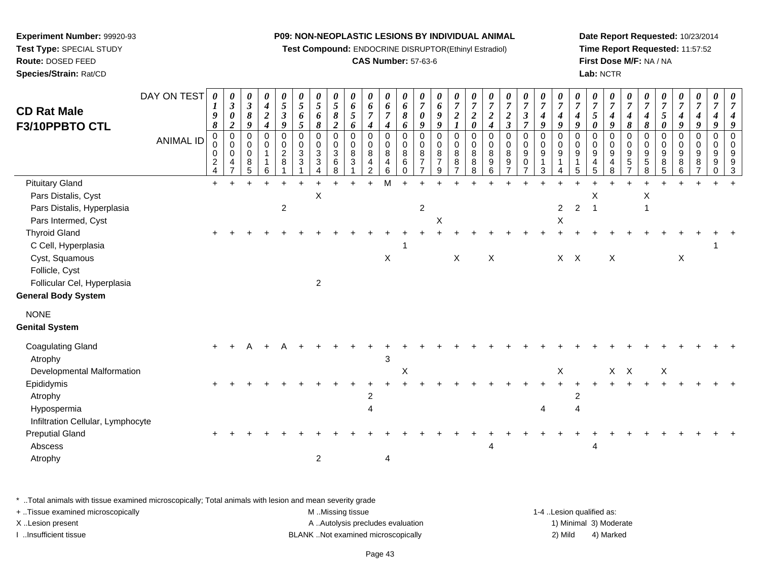**Test Compound:** ENDOCRINE DISRUPTOR(Ethinyl Estradiol)

#### **CAS Number:** 57-63-6

**Date Report Requested:** 10/23/2014**Time Report Requested:** 11:57:52**First Dose M/F:** NA / NA**Lab:** NCTR

| <b>CD Rat Male</b><br>F3/10PPBTO CTL                                                                                                         | DAY ON TEST<br><b>ANIMAL ID</b> | 9<br>8<br>$\Omega$<br>0<br>0<br>$\frac{2}{4}$ | 0<br>$\boldsymbol{\beta}$<br>$\pmb{\theta}$<br>$\boldsymbol{2}$<br>$\mathbf 0$<br>$\mathbf 0$<br>$\mathbf 0$<br>$\overline{4}$<br>$\overline{7}$ | 0<br>$\mathfrak{z}$<br>$\pmb{8}$<br>$\boldsymbol{g}$<br>$\mathbf 0$<br>0<br>$\mathbf 0$<br>8<br>5 | 0<br>$\boldsymbol{4}$<br>$\overline{\mathbf{c}}$<br>$\boldsymbol{4}$<br>$\Omega$<br>$\mathbf 0$<br>$\mathbf{1}$<br>1<br>6 | 0<br>5<br>$\mathfrak{z}$<br>9<br>$\mathbf 0$<br>0<br>$\overline{c}$<br>8<br>1 | $\boldsymbol{\theta}$<br>$\sqrt{5}$<br>6<br>5<br>$\Omega$<br>0<br>3<br>3 | $\frac{\theta}{5}$<br>6<br>8<br>$\mathbf 0$<br>$\mathbf 0$<br>$\mathbf{3}$<br>$\mathbf{3}$<br>4 | $\frac{\theta}{5}$<br>$\pmb{8}$<br>$\boldsymbol{2}$<br>0<br>$\pmb{0}$<br>3<br>6<br>8 | 0<br>6<br>5<br>6<br>0<br>0<br>8<br>3<br>$\mathbf{1}$ | 0<br>$\boldsymbol{\delta}$<br>$\overline{7}$<br>$\boldsymbol{4}$<br>$\mathbf 0$<br>$\mathbf 0$<br>8<br>4<br>$\overline{2}$ | $\boldsymbol{\theta}$<br>6<br>$\overline{7}$<br>$\boldsymbol{4}$<br>$\Omega$<br>0<br>8<br>4<br>$\,6\,$ | $\boldsymbol{\theta}$<br>$\pmb{6}$<br>8<br>6<br>$\Omega$<br>$\mathbf 0$<br>$\, 8$<br>6<br>$\mathbf 0$ | 0<br>$\overline{7}$<br>$\boldsymbol{\theta}$<br>9<br>$\Omega$<br>0<br>$\,8\,$<br>$\overline{7}$<br>$\overline{7}$ | 0<br>6<br>9<br>9<br>$\Omega$<br>$\mathbf 0$<br>8<br>$\overline{7}$<br>9 | $\frac{\theta}{7}$<br>$\overline{\mathbf{c}}$<br>$\bm{l}$<br>$\Omega$<br>$\mathbf 0$<br>8<br>8<br>$\overline{7}$ | U<br>$\boldsymbol{7}$<br>$\boldsymbol{2}$<br>$\boldsymbol{\theta}$<br>$\mathbf 0$<br>0<br>8<br>$_{8}^8$ | $\frac{\boldsymbol{0}}{7}$<br>$\boldsymbol{2}$<br>$\boldsymbol{4}$<br>$\mathbf 0$<br>$\mathbf 0$<br>$\,8\,$<br>9<br>6 | $\frac{\theta}{7}$<br>$\boldsymbol{2}$<br>$\mathfrak{z}$<br>0<br>$\mathbf 0$<br>$\bf 8$<br>$\frac{9}{7}$ | $\boldsymbol{\theta}$<br>$\overline{7}$<br>$\mathfrak{z}$<br>$\overline{7}$<br>$\Omega$<br>$\pmb{0}$<br>$\boldsymbol{9}$<br>$\frac{0}{7}$ | $\boldsymbol{\theta}$<br>$\overline{7}$<br>$\boldsymbol{4}$<br>9<br>$\Omega$<br>$\mathbf 0$<br>$\boldsymbol{9}$<br>1<br>3 | $\boldsymbol{\theta}$<br>$\overline{7}$<br>$\boldsymbol{4}$<br>9<br>$\Omega$<br>$\mathbf 0$<br>$\boldsymbol{9}$<br>$\overline{1}$<br>4 | U<br>$\overline{7}$<br>$\boldsymbol{4}$<br>9<br>$\Omega$<br>$\mathbf 0$<br>9<br>5 | 0<br>$\overline{7}$<br>$\mathfrak{s}$<br>$\boldsymbol{\theta}$<br>$\Omega$<br>0<br>$\boldsymbol{9}$<br>4<br>$\overline{5}$ | $\boldsymbol{\theta}$<br>$\overline{7}$<br>$\boldsymbol{4}$<br>9<br>$\Omega$<br>$\mathbf 0$<br>9<br>4<br>$\boldsymbol{8}$ | 0<br>$\overline{7}$<br>4<br>8<br>$\Omega$<br>0<br>9<br>5<br>$\overline{7}$ | $\boldsymbol{\theta}$<br>$\overline{7}$<br>$\boldsymbol{4}$<br>$\pmb{8}$<br>0<br>$\mathbf 0$<br>$\boldsymbol{9}$<br>$\,$ 5 $\,$<br>8 | $\boldsymbol{\theta}$<br>$\overline{7}$<br>$\mathfrak{s}$<br>0<br>$\mathbf 0$<br>0<br>$\boldsymbol{9}$<br>8<br>$\overline{5}$ | $\frac{\theta}{7}$<br>$\boldsymbol{4}$<br>9<br>$\mathbf 0$<br>$\mathbf 0$<br>$\boldsymbol{9}$<br>$\bf8$<br>$6\overline{6}$ | 0<br>$\overline{7}$<br>$\boldsymbol{4}$<br>9<br>$\Omega$<br>$\mathbf 0$<br>9<br>8<br>$\overline{7}$ | $\boldsymbol{\theta}$<br>$\overline{7}$<br>4<br>9<br>$\Omega$<br>0<br>9<br>9<br>0 | $\Omega$<br>3 |
|----------------------------------------------------------------------------------------------------------------------------------------------|---------------------------------|-----------------------------------------------|--------------------------------------------------------------------------------------------------------------------------------------------------|---------------------------------------------------------------------------------------------------|---------------------------------------------------------------------------------------------------------------------------|-------------------------------------------------------------------------------|--------------------------------------------------------------------------|-------------------------------------------------------------------------------------------------|--------------------------------------------------------------------------------------|------------------------------------------------------|----------------------------------------------------------------------------------------------------------------------------|--------------------------------------------------------------------------------------------------------|-------------------------------------------------------------------------------------------------------|-------------------------------------------------------------------------------------------------------------------|-------------------------------------------------------------------------|------------------------------------------------------------------------------------------------------------------|---------------------------------------------------------------------------------------------------------|-----------------------------------------------------------------------------------------------------------------------|----------------------------------------------------------------------------------------------------------|-------------------------------------------------------------------------------------------------------------------------------------------|---------------------------------------------------------------------------------------------------------------------------|----------------------------------------------------------------------------------------------------------------------------------------|-----------------------------------------------------------------------------------|----------------------------------------------------------------------------------------------------------------------------|---------------------------------------------------------------------------------------------------------------------------|----------------------------------------------------------------------------|--------------------------------------------------------------------------------------------------------------------------------------|-------------------------------------------------------------------------------------------------------------------------------|----------------------------------------------------------------------------------------------------------------------------|-----------------------------------------------------------------------------------------------------|-----------------------------------------------------------------------------------|---------------|
| <b>Pituitary Gland</b><br>Pars Distalis, Cyst<br>Pars Distalis, Hyperplasia<br>Pars Intermed, Cyst                                           |                                 | $+$                                           |                                                                                                                                                  | $+$                                                                                               |                                                                                                                           | $\ddot{}$<br>$\overline{2}$                                                   |                                                                          | $\pmb{\times}$                                                                                  | $\div$                                                                               |                                                      | $+$                                                                                                                        | M                                                                                                      |                                                                                                       | $\ddot{}$<br>$\overline{\mathbf{c}}$                                                                              | $\times$                                                                |                                                                                                                  |                                                                                                         |                                                                                                                       |                                                                                                          |                                                                                                                                           |                                                                                                                           | $\overline{2}$<br>$\mathsf X$                                                                                                          | $\overline{2}$                                                                    | Χ                                                                                                                          |                                                                                                                           |                                                                            | Χ                                                                                                                                    |                                                                                                                               |                                                                                                                            |                                                                                                     |                                                                                   |               |
| <b>Thyroid Gland</b><br>C Cell, Hyperplasia<br>Cyst, Squamous<br>Follicle, Cyst<br>Follicular Cel, Hyperplasia<br><b>General Body System</b> |                                 |                                               |                                                                                                                                                  |                                                                                                   |                                                                                                                           |                                                                               |                                                                          | $\overline{2}$                                                                                  |                                                                                      |                                                      |                                                                                                                            | X                                                                                                      |                                                                                                       |                                                                                                                   |                                                                         | X                                                                                                                |                                                                                                         | X                                                                                                                     |                                                                                                          |                                                                                                                                           |                                                                                                                           | $X$ $X$                                                                                                                                |                                                                                   |                                                                                                                            | X                                                                                                                         |                                                                            |                                                                                                                                      |                                                                                                                               | X                                                                                                                          |                                                                                                     |                                                                                   |               |
| <b>NONE</b><br><b>Genital System</b>                                                                                                         |                                 |                                               |                                                                                                                                                  |                                                                                                   |                                                                                                                           |                                                                               |                                                                          |                                                                                                 |                                                                                      |                                                      |                                                                                                                            |                                                                                                        |                                                                                                       |                                                                                                                   |                                                                         |                                                                                                                  |                                                                                                         |                                                                                                                       |                                                                                                          |                                                                                                                                           |                                                                                                                           |                                                                                                                                        |                                                                                   |                                                                                                                            |                                                                                                                           |                                                                            |                                                                                                                                      |                                                                                                                               |                                                                                                                            |                                                                                                     |                                                                                   |               |
| <b>Coagulating Gland</b><br>Atrophy<br>Developmental Malformation                                                                            |                                 |                                               |                                                                                                                                                  |                                                                                                   |                                                                                                                           |                                                                               |                                                                          |                                                                                                 |                                                                                      |                                                      |                                                                                                                            | 3                                                                                                      | $\boldsymbol{\mathsf{X}}$                                                                             |                                                                                                                   |                                                                         |                                                                                                                  |                                                                                                         |                                                                                                                       |                                                                                                          |                                                                                                                                           |                                                                                                                           | X                                                                                                                                      |                                                                                   |                                                                                                                            | $X$ $X$                                                                                                                   |                                                                            |                                                                                                                                      | X                                                                                                                             |                                                                                                                            |                                                                                                     |                                                                                   |               |
| Epididymis<br>Atrophy<br>Hypospermia<br>Infiltration Cellular, Lymphocyte                                                                    |                                 |                                               |                                                                                                                                                  |                                                                                                   |                                                                                                                           |                                                                               |                                                                          |                                                                                                 |                                                                                      |                                                      | 2<br>$\overline{4}$                                                                                                        |                                                                                                        |                                                                                                       |                                                                                                                   |                                                                         |                                                                                                                  |                                                                                                         |                                                                                                                       |                                                                                                          |                                                                                                                                           | $\overline{4}$                                                                                                            |                                                                                                                                        | Δ                                                                                 |                                                                                                                            |                                                                                                                           |                                                                            |                                                                                                                                      |                                                                                                                               |                                                                                                                            |                                                                                                     |                                                                                   |               |
| <b>Preputial Gland</b><br>Abscess<br>Atrophy                                                                                                 |                                 |                                               |                                                                                                                                                  |                                                                                                   |                                                                                                                           |                                                                               |                                                                          | $\overline{2}$                                                                                  |                                                                                      |                                                      |                                                                                                                            | $\overline{4}$                                                                                         |                                                                                                       |                                                                                                                   |                                                                         |                                                                                                                  |                                                                                                         |                                                                                                                       |                                                                                                          |                                                                                                                                           |                                                                                                                           |                                                                                                                                        |                                                                                   | 4                                                                                                                          |                                                                                                                           |                                                                            |                                                                                                                                      |                                                                                                                               |                                                                                                                            |                                                                                                     |                                                                                   |               |

\* ..Total animals with tissue examined microscopically; Total animals with lesion and mean severity grade

| + . Tissue examined microscopically | M Missing tissue                   | 1-4 Lesion qualified as: |                        |
|-------------------------------------|------------------------------------|--------------------------|------------------------|
| X Lesion present                    | A Autolysis precludes evaluation   |                          | 1) Minimal 3) Moderate |
| lnsufficient tissue                 | BLANK Not examined microscopically | 2) Mild                  | 4) Marked              |

**Experiment Number:** 99920-93

**Species/Strain:** Rat/CD

## **Test Type:** SPECIAL STUDY**Route:** DOSED FEED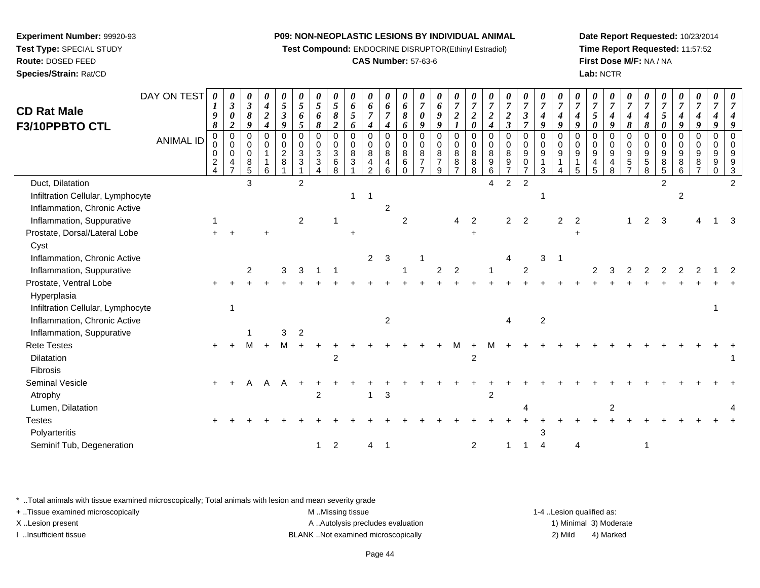**Test Compound:** ENDOCRINE DISRUPTOR(Ethinyl Estradiol)

#### **CAS Number:** 57-63-6

**Date Report Requested:** 10/23/2014**Time Report Requested:** 11:57:52**First Dose M/F:** NA / NA**Lab:** NCTR

DAY ON TEST**CD Rat Male F3/10PPBTO CTL**ANIMAL ID*0 1 9 8* 0 0 0 2 4*0 3 0 2* 0 0 0 4 7*0 3 8 9* 0 0 0 8 53 *0 4 2 4* 0 0 1 1 6*0 5 3 9* 0 0 2 8 1*0 5 6 5* 0 0 3 3 1 $\overline{2}$ *0 5 6 8* 0 0 3 3 4*0 5 8 2* 0 0 3 6 8*0 6 5 6* 0 0 8 3 1*0 6 7 4* 0 0 8 4 2*0 6 7 4* 0 0 8 4 6*0 6 8 6* 0 0 8 6 0*0 7 0 9* 0 0 8 7 7*0 6 9 9* 0 0 8 7 9*0 7 2 1* 0 0 8 8 7*0 7 2 0* 0 0 8 8 8*0 7 2 4* 0 0 8 9 6 $\overline{4}$ *0 7 2 3* 0 0 8 9 7 $\overline{2}$ *0 7 3 7* 0 0 9 0 7 $\overline{2}$ *0 7 4 9* 0 0 9 1 3*0 7 4 9* 0 0 9 1 4*0 7 4 9* 0 0 9 1 5*0 7 5 0* 0 0 9 4 5*0 7 4 9* 0 0 9 4 8*0 7 4 8* 0 0 9 5 7*0 7 4 8* 0 0 9 5 8*0 7 5 0* 0 0 9 8 5 $\overline{2}$ *0 7 4 9* 0 0 9 8 6*0 7 4 9* 0 0 9 8 7*0 7 4 9* 0 0 9 9 0Duct, Dilatationn 3 2  $\frac{3}{2}$  2 2 2 2 Infiltration Cellular, Lymphocytee 2 Inflammation, Chronic Active $e$  2 Inflammation, Suppurativee 1 2 1 2 4 2 2 2 2 2 2 1 2 3 4 1 3 Prostate, Dorsal/Lateral Lobee + <sup>+</sup> <sup>+</sup> <sup>+</sup> <sup>+</sup> <sup>+</sup> CystInflammation, Chronic Activee 2 3 1 4 3 1 Inflammation, Suppurativee 2 3 3 1 1 1 2 2 1 2 2 2 2 2 2 2 2 1 2 Prostate, Ventral Lobee + <sup>+</sup> <sup>+</sup> <sup>+</sup> <sup>+</sup> <sup>+</sup> <sup>+</sup> <sup>+</sup> <sup>+</sup> <sup>+</sup> <sup>+</sup> <sup>+</sup> <sup>+</sup> <sup>+</sup> <sup>+</sup> <sup>+</sup> <sup>+</sup> <sup>+</sup> <sup>+</sup> <sup>+</sup> <sup>+</sup> <sup>+</sup> <sup>+</sup> <sup>+</sup> <sup>+</sup> <sup>+</sup> <sup>+</sup> <sup>+</sup> <sup>+</sup> <sup>+</sup> <sup>+</sup> Hyperplasia Infiltration Cellular, Lymphocyte <sup>1</sup> <sup>1</sup> Inflammation, Chronic Activee 2 4 2 Inflammation, Suppurativee 1 3 2 Rete Testes <sup>+</sup> <sup>+</sup> <sup>M</sup> <sup>+</sup> <sup>M</sup> <sup>+</sup> <sup>+</sup> <sup>+</sup> <sup>+</sup> <sup>+</sup> <sup>+</sup> <sup>+</sup> <sup>+</sup> <sup>+</sup> <sup>M</sup> <sup>+</sup> <sup>M</sup> <sup>+</sup> <sup>+</sup> <sup>+</sup> <sup>+</sup> <sup>+</sup> <sup>+</sup> <sup>+</sup> <sup>+</sup> <sup>+</sup> <sup>+</sup> <sup>+</sup> <sup>+</sup> <sup>+</sup> <sup>+</sup> Dilatationn and  $\frac{2}{1}$  and  $\frac{2}{1}$  and  $\frac{2}{1}$  and  $\frac{2}{1}$  and  $\frac{2}{1}$  and  $\frac{2}{1}$  and  $\frac{2}{1}$  and  $\frac{2}{1}$  and  $\frac{2}{1}$  and  $\frac{2}{1}$  and  $\frac{2}{1}$  and  $\frac{2}{1}$  and  $\frac{2}{1}$  and  $\frac{2}{1}$  and  $\frac{2}{1}$  and  $\frac{2$ Fibrosis

\* ..Total animals with tissue examined microscopically; Total animals with lesion and mean severity grade

 $\mathsf y$  2

<sup>+</sup> <sup>A</sup>

e +

<sup>+</sup>

+ ..Tissue examined microscopically examined microscopically examined as: M ..Missing tissue 1-4 ..Lesion qualified as: X..Lesion present 1) Minimal 3) Moderate A ..Autolysis precludes evaluation 1 and 1) Minimal 3) Moderate I ..Insufficient tissue BLANK ..Not examined microscopically 2) Mild 4) Marked

 $\sim$  3

2 1 3 2

n 1 2 4 1 2 1 1 4 4 1

n and  $\frac{4}{2}$  and  $\frac{2}{4}$  and  $\frac{4}{2}$  and  $\frac{4}{4}$  and  $\frac{2}{4}$  and  $\frac{4}{4}$ 

<sup>A</sup> <sup>A</sup> <sup>+</sup> <sup>+</sup> <sup>+</sup> <sup>+</sup> <sup>+</sup> <sup>+</sup> <sup>+</sup> <sup>+</sup> <sup>+</sup> <sup>+</sup> <sup>+</sup> <sup>+</sup> <sup>+</sup> <sup>+</sup> <sup>+</sup> <sup>+</sup> <sup>+</sup> <sup>+</sup> <sup>+</sup> <sup>+</sup> <sup>+</sup> <sup>+</sup> <sup>+</sup> <sup>+</sup> <sup>+</sup> <sup>+</sup>

 $\overline{4}$ 

<sup>+</sup> <sup>+</sup> <sup>+</sup> <sup>+</sup> <sup>+</sup> <sup>+</sup> <sup>+</sup> <sup>+</sup> <sup>+</sup> <sup>+</sup> <sup>+</sup> <sup>+</sup> <sup>+</sup> <sup>+</sup> <sup>+</sup> <sup>+</sup> <sup>+</sup> <sup>+</sup> <sup>+</sup> <sup>+</sup> <sup>+</sup> <sup>+</sup> <sup>+</sup> <sup>+</sup> <sup>+</sup> <sup>+</sup> <sup>+</sup> <sup>+</sup> <sup>+</sup> <sup>+</sup>

#### **Experiment Number:** 99920-93**Test Type:** SPECIAL STUDY**Route:** DOSED FEED

**Species/Strain:** Rat/CD

Seminal Vesicle

**Polvarteritis** 

Lumen, Dilatation

Seminif Tub, Degeneration

Atrophy

**Testes**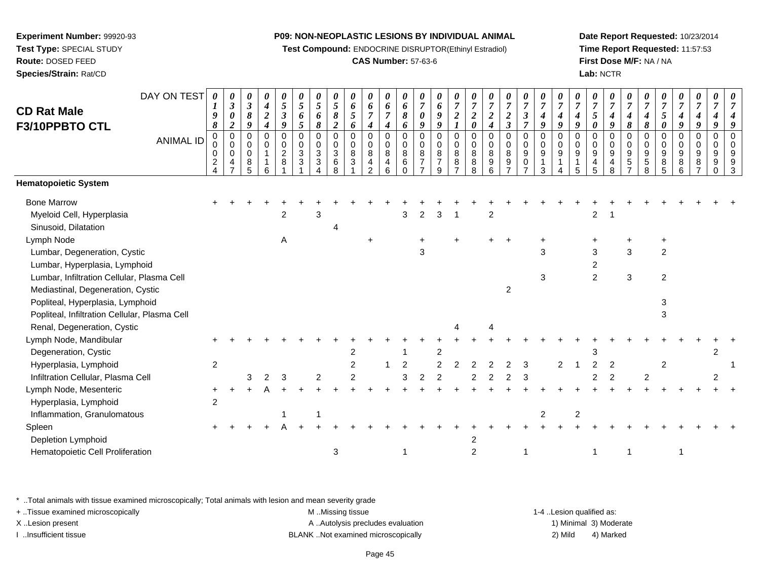**Test Compound:** ENDOCRINE DISRUPTOR(Ethinyl Estradiol)

#### **CAS Number:** 57-63-6

**Date Report Requested:** 10/23/2014**Time Report Requested:** 11:57:53**First Dose M/F:** NA / NA**Lab:** NCTR

| <b>CD Rat Male</b><br><b>F3/10PPBTO CTL</b>   | DAY ON TEST<br><b>ANIMAL ID</b> | $\theta$<br>1<br>9<br>8<br>0<br>0<br>0<br>$\overline{c}$<br>$\overline{4}$ | $\boldsymbol{\theta}$<br>$\boldsymbol{\beta}$<br>$\boldsymbol{\theta}$<br>$\boldsymbol{2}$<br>$\mathbf 0$<br>$\mathbf 0$<br>$\mathbf 0$<br>4 | 0<br>$\mathfrak{z}$<br>8<br>9<br>0<br>$\Omega$<br>0<br>8<br>5 | 0<br>$\boldsymbol{4}$<br>$\overline{2}$<br>$\boldsymbol{4}$<br>0<br>0<br>$\mathbf 1$<br>6 | 0<br>5<br>$\mathfrak{z}$<br>9<br>0<br>$\mathbf 0$<br>$\boldsymbol{2}$<br>8 | 0<br>$\mathfrak{s}$<br>6<br>5<br>0<br>$\mathbf 0$<br>$\sqrt{3}$<br>3 | $\boldsymbol{\theta}$<br>$\sqrt{5}$<br>6<br>8<br>$\mathbf 0$<br>$\pmb{0}$<br>$\mathbf{3}$<br>$\sqrt{3}$ | 0<br>5<br>8<br>$\overline{c}$<br>0<br>$\mathbf 0$<br>3<br>6<br>8 | 0<br>6<br>5<br>6<br>0<br>$\pmb{0}$<br>8<br>3 | 0<br>6<br>4<br>$\mathbf 0$<br>$\mathsf{O}\xspace$<br>8<br>4<br>C | $\theta$<br>6<br>4<br>0<br>$\mathbf 0$<br>8<br>4<br>6 | $\boldsymbol{\theta}$<br>6<br>8<br>6<br>0<br>$\mathbf 0$<br>8<br>6 | 0<br>$\overline{7}$<br>0<br>9<br>0<br>$\mathbf 0$<br>8<br>$\overline{ }$ | 0<br>6<br>9<br>9<br>0<br>0<br>8<br>$\overline{7}$<br>9 | $\theta$<br>$\overline{7}$<br>$\overline{2}$<br>$\boldsymbol{l}$<br>$\mathbf 0$<br>$\mathbf 0$<br>8<br>8 | $\boldsymbol{\theta}$<br>$\overline{7}$<br>$\boldsymbol{2}$<br>$\boldsymbol{\theta}$<br>$\mathbf 0$<br>$\mathbf 0$<br>8<br>8<br>8 | $\overline{7}$<br>$\boldsymbol{2}$<br>$\boldsymbol{4}$<br>0<br>0<br>8<br>9 | 0<br>$\overline{7}$<br>$\boldsymbol{2}$<br>$\mathfrak{z}$<br>0<br>$\mathbf 0$<br>8<br>9 | 0<br>$\overline{7}$<br>$\mathfrak{z}$<br>$\overline{7}$<br>0<br>$\mathbf 0$<br>9<br>0 | 0<br>$\boldsymbol{7}$<br>$\boldsymbol{4}$<br>$\boldsymbol{9}$<br>$\mathbf 0$<br>$\pmb{0}$<br>$\boldsymbol{9}$<br>1<br>3 | $\boldsymbol{\theta}$<br>$\overline{7}$<br>4<br>$\boldsymbol{9}$<br>$\mathbf 0$<br>$\mathbf 0$<br>9 | $\overline{7}$<br>4<br>9<br>$\mathbf 0$<br>$\mathbf 0$<br>9 | $\overline{7}$<br>5<br>0<br>0<br>$\mathbf 0$<br>9<br>4<br>5 | 0<br>$\overline{7}$<br>4<br>9<br>$\Omega$<br>$\mathbf 0$<br>9<br>4<br>8 | $\theta$<br>$\overline{7}$<br>4<br>8<br>0<br>$\mathbf 0$<br>9<br>5 | $\boldsymbol{\theta}$<br>$\overline{7}$<br>4<br>8<br>0<br>$\mathbf 0$<br>9<br>5<br>8 | $\overline{7}$<br>5<br>0<br>0<br>0<br>9<br>8<br>5 | U<br>$\overline{7}$<br>4<br>9<br>0<br>0<br>9<br>8<br>6 | 0<br>$\overline{7}$<br>$\boldsymbol{4}$<br>9<br>$\mathbf 0$<br>$\mathbf 0$<br>9<br>8 | $\overline{7}$<br>9<br>$\mathbf 0$<br>$\overline{0}$<br>9 |  |
|-----------------------------------------------|---------------------------------|----------------------------------------------------------------------------|----------------------------------------------------------------------------------------------------------------------------------------------|---------------------------------------------------------------|-------------------------------------------------------------------------------------------|----------------------------------------------------------------------------|----------------------------------------------------------------------|---------------------------------------------------------------------------------------------------------|------------------------------------------------------------------|----------------------------------------------|------------------------------------------------------------------|-------------------------------------------------------|--------------------------------------------------------------------|--------------------------------------------------------------------------|--------------------------------------------------------|----------------------------------------------------------------------------------------------------------|-----------------------------------------------------------------------------------------------------------------------------------|----------------------------------------------------------------------------|-----------------------------------------------------------------------------------------|---------------------------------------------------------------------------------------|-------------------------------------------------------------------------------------------------------------------------|-----------------------------------------------------------------------------------------------------|-------------------------------------------------------------|-------------------------------------------------------------|-------------------------------------------------------------------------|--------------------------------------------------------------------|--------------------------------------------------------------------------------------|---------------------------------------------------|--------------------------------------------------------|--------------------------------------------------------------------------------------|-----------------------------------------------------------|--|
| <b>Hematopoietic System</b>                   |                                 |                                                                            |                                                                                                                                              |                                                               |                                                                                           |                                                                            |                                                                      |                                                                                                         |                                                                  |                                              |                                                                  |                                                       |                                                                    |                                                                          |                                                        |                                                                                                          |                                                                                                                                   |                                                                            |                                                                                         |                                                                                       |                                                                                                                         |                                                                                                     |                                                             |                                                             |                                                                         |                                                                    |                                                                                      |                                                   |                                                        |                                                                                      |                                                           |  |
| <b>Bone Marrow</b>                            |                                 |                                                                            |                                                                                                                                              |                                                               |                                                                                           |                                                                            |                                                                      |                                                                                                         |                                                                  |                                              |                                                                  |                                                       |                                                                    |                                                                          |                                                        |                                                                                                          |                                                                                                                                   |                                                                            |                                                                                         |                                                                                       |                                                                                                                         |                                                                                                     |                                                             |                                                             |                                                                         |                                                                    |                                                                                      |                                                   |                                                        |                                                                                      |                                                           |  |
| Myeloid Cell, Hyperplasia                     |                                 |                                                                            |                                                                                                                                              |                                                               |                                                                                           | 2                                                                          |                                                                      | 3                                                                                                       |                                                                  |                                              |                                                                  |                                                       | 3                                                                  | 2                                                                        | 3                                                      |                                                                                                          |                                                                                                                                   | 2                                                                          |                                                                                         |                                                                                       |                                                                                                                         |                                                                                                     |                                                             | $\overline{2}$                                              |                                                                         |                                                                    |                                                                                      |                                                   |                                                        |                                                                                      |                                                           |  |
| Sinusoid, Dilatation                          |                                 |                                                                            |                                                                                                                                              |                                                               |                                                                                           |                                                                            |                                                                      |                                                                                                         |                                                                  |                                              |                                                                  |                                                       |                                                                    |                                                                          |                                                        |                                                                                                          |                                                                                                                                   |                                                                            |                                                                                         |                                                                                       |                                                                                                                         |                                                                                                     |                                                             |                                                             |                                                                         |                                                                    |                                                                                      |                                                   |                                                        |                                                                                      |                                                           |  |
| Lymph Node                                    |                                 |                                                                            |                                                                                                                                              |                                                               |                                                                                           | Α                                                                          |                                                                      |                                                                                                         |                                                                  |                                              |                                                                  |                                                       |                                                                    |                                                                          |                                                        |                                                                                                          |                                                                                                                                   |                                                                            |                                                                                         |                                                                                       |                                                                                                                         |                                                                                                     |                                                             | +                                                           |                                                                         |                                                                    |                                                                                      |                                                   |                                                        |                                                                                      |                                                           |  |
| Lumbar, Degeneration, Cystic                  |                                 |                                                                            |                                                                                                                                              |                                                               |                                                                                           |                                                                            |                                                                      |                                                                                                         |                                                                  |                                              |                                                                  |                                                       |                                                                    | 3                                                                        |                                                        |                                                                                                          |                                                                                                                                   |                                                                            |                                                                                         |                                                                                       | 3                                                                                                                       |                                                                                                     |                                                             | $\ensuremath{\mathsf{3}}$                                   |                                                                         | 3                                                                  |                                                                                      | $\overline{c}$                                    |                                                        |                                                                                      |                                                           |  |
| Lumbar, Hyperplasia, Lymphoid                 |                                 |                                                                            |                                                                                                                                              |                                                               |                                                                                           |                                                                            |                                                                      |                                                                                                         |                                                                  |                                              |                                                                  |                                                       |                                                                    |                                                                          |                                                        |                                                                                                          |                                                                                                                                   |                                                                            |                                                                                         |                                                                                       |                                                                                                                         |                                                                                                     |                                                             | $\overline{c}$                                              |                                                                         |                                                                    |                                                                                      |                                                   |                                                        |                                                                                      |                                                           |  |
| Lumbar, Infiltration Cellular, Plasma Cell    |                                 |                                                                            |                                                                                                                                              |                                                               |                                                                                           |                                                                            |                                                                      |                                                                                                         |                                                                  |                                              |                                                                  |                                                       |                                                                    |                                                                          |                                                        |                                                                                                          |                                                                                                                                   |                                                                            |                                                                                         |                                                                                       | 3                                                                                                                       |                                                                                                     |                                                             | $\overline{2}$                                              |                                                                         | 3                                                                  |                                                                                      | $\overline{a}$                                    |                                                        |                                                                                      |                                                           |  |
| Mediastinal, Degeneration, Cystic             |                                 |                                                                            |                                                                                                                                              |                                                               |                                                                                           |                                                                            |                                                                      |                                                                                                         |                                                                  |                                              |                                                                  |                                                       |                                                                    |                                                                          |                                                        |                                                                                                          |                                                                                                                                   |                                                                            | $\overline{2}$                                                                          |                                                                                       |                                                                                                                         |                                                                                                     |                                                             |                                                             |                                                                         |                                                                    |                                                                                      |                                                   |                                                        |                                                                                      |                                                           |  |
| Popliteal, Hyperplasia, Lymphoid              |                                 |                                                                            |                                                                                                                                              |                                                               |                                                                                           |                                                                            |                                                                      |                                                                                                         |                                                                  |                                              |                                                                  |                                                       |                                                                    |                                                                          |                                                        |                                                                                                          |                                                                                                                                   |                                                                            |                                                                                         |                                                                                       |                                                                                                                         |                                                                                                     |                                                             |                                                             |                                                                         |                                                                    |                                                                                      | 3                                                 |                                                        |                                                                                      |                                                           |  |
| Popliteal, Infiltration Cellular, Plasma Cell |                                 |                                                                            |                                                                                                                                              |                                                               |                                                                                           |                                                                            |                                                                      |                                                                                                         |                                                                  |                                              |                                                                  |                                                       |                                                                    |                                                                          |                                                        |                                                                                                          |                                                                                                                                   |                                                                            |                                                                                         |                                                                                       |                                                                                                                         |                                                                                                     |                                                             |                                                             |                                                                         |                                                                    |                                                                                      | 3                                                 |                                                        |                                                                                      |                                                           |  |
| Renal, Degeneration, Cystic                   |                                 |                                                                            |                                                                                                                                              |                                                               |                                                                                           |                                                                            |                                                                      |                                                                                                         |                                                                  |                                              |                                                                  |                                                       |                                                                    |                                                                          |                                                        |                                                                                                          |                                                                                                                                   |                                                                            |                                                                                         |                                                                                       |                                                                                                                         |                                                                                                     |                                                             |                                                             |                                                                         |                                                                    |                                                                                      |                                                   |                                                        |                                                                                      |                                                           |  |
| Lymph Node, Mandibular                        |                                 |                                                                            |                                                                                                                                              |                                                               |                                                                                           |                                                                            |                                                                      |                                                                                                         |                                                                  |                                              |                                                                  |                                                       |                                                                    |                                                                          |                                                        |                                                                                                          |                                                                                                                                   |                                                                            |                                                                                         |                                                                                       |                                                                                                                         |                                                                                                     |                                                             |                                                             |                                                                         |                                                                    |                                                                                      |                                                   |                                                        |                                                                                      |                                                           |  |
| Degeneration, Cystic                          |                                 |                                                                            |                                                                                                                                              |                                                               |                                                                                           |                                                                            |                                                                      |                                                                                                         |                                                                  | 2                                            |                                                                  |                                                       |                                                                    |                                                                          | 2                                                      |                                                                                                          |                                                                                                                                   |                                                                            |                                                                                         |                                                                                       |                                                                                                                         |                                                                                                     |                                                             | з                                                           |                                                                         |                                                                    |                                                                                      |                                                   |                                                        |                                                                                      | 2                                                         |  |
| Hyperplasia, Lymphoid                         |                                 | $\overline{2}$                                                             |                                                                                                                                              |                                                               |                                                                                           |                                                                            |                                                                      |                                                                                                         |                                                                  | $\overline{2}$                               |                                                                  |                                                       |                                                                    |                                                                          | $\mathcal{P}$                                          |                                                                                                          |                                                                                                                                   |                                                                            |                                                                                         | 3                                                                                     |                                                                                                                         | 2                                                                                                   |                                                             |                                                             | $\overline{2}$                                                          |                                                                    |                                                                                      | $\overline{c}$                                    |                                                        |                                                                                      |                                                           |  |
| Infiltration Cellular, Plasma Cell            |                                 |                                                                            |                                                                                                                                              | 3                                                             | 2                                                                                         | 3                                                                          |                                                                      | 2                                                                                                       |                                                                  | 2                                            |                                                                  |                                                       | 3                                                                  | 2                                                                        | $\mathcal{P}$                                          |                                                                                                          | ົ                                                                                                                                 |                                                                            | $\mathcal{P}$                                                                           | 3                                                                                     |                                                                                                                         |                                                                                                     |                                                             | $\overline{2}$                                              | 2                                                                       |                                                                    | $\overline{2}$                                                                       |                                                   |                                                        |                                                                                      | 2                                                         |  |
| Lymph Node, Mesenteric                        |                                 |                                                                            |                                                                                                                                              |                                                               |                                                                                           |                                                                            |                                                                      |                                                                                                         |                                                                  |                                              |                                                                  |                                                       |                                                                    |                                                                          |                                                        |                                                                                                          |                                                                                                                                   |                                                                            |                                                                                         |                                                                                       |                                                                                                                         |                                                                                                     |                                                             |                                                             |                                                                         |                                                                    |                                                                                      |                                                   |                                                        |                                                                                      |                                                           |  |
| Hyperplasia, Lymphoid                         |                                 | $\overline{2}$                                                             |                                                                                                                                              |                                                               |                                                                                           |                                                                            |                                                                      |                                                                                                         |                                                                  |                                              |                                                                  |                                                       |                                                                    |                                                                          |                                                        |                                                                                                          |                                                                                                                                   |                                                                            |                                                                                         |                                                                                       |                                                                                                                         |                                                                                                     |                                                             |                                                             |                                                                         |                                                                    |                                                                                      |                                                   |                                                        |                                                                                      |                                                           |  |
| Inflammation, Granulomatous                   |                                 |                                                                            |                                                                                                                                              |                                                               |                                                                                           |                                                                            |                                                                      |                                                                                                         |                                                                  |                                              |                                                                  |                                                       |                                                                    |                                                                          |                                                        |                                                                                                          |                                                                                                                                   |                                                                            |                                                                                         |                                                                                       | $\mathcal{P}$                                                                                                           |                                                                                                     | $\overline{2}$                                              |                                                             |                                                                         |                                                                    |                                                                                      |                                                   |                                                        |                                                                                      |                                                           |  |
| Spleen                                        |                                 |                                                                            |                                                                                                                                              |                                                               |                                                                                           |                                                                            |                                                                      |                                                                                                         |                                                                  |                                              |                                                                  |                                                       |                                                                    |                                                                          |                                                        |                                                                                                          |                                                                                                                                   |                                                                            |                                                                                         |                                                                                       |                                                                                                                         |                                                                                                     |                                                             |                                                             |                                                                         |                                                                    |                                                                                      |                                                   |                                                        |                                                                                      |                                                           |  |
|                                               |                                 |                                                                            |                                                                                                                                              |                                                               |                                                                                           |                                                                            |                                                                      |                                                                                                         |                                                                  |                                              |                                                                  |                                                       |                                                                    |                                                                          |                                                        |                                                                                                          |                                                                                                                                   |                                                                            |                                                                                         |                                                                                       |                                                                                                                         |                                                                                                     |                                                             |                                                             |                                                                         |                                                                    |                                                                                      |                                                   |                                                        |                                                                                      |                                                           |  |

\* ..Total animals with tissue examined microscopically; Total animals with lesion and mean severity grade

**Experiment Number:** 99920-93**Test Type:** SPECIAL STUDY**Route:** DOSED FEED**Species/Strain:** Rat/CD

Depletion Lymphoid

Hematopoietic Cell Proliferation

+ ..Tissue examined microscopically examined microscopically examined as:  $M$  ..Missing tissue 1-4 ..Lesion qualified as: X..Lesion present **A ..Autolysis precludes evaluation** A ..Autolysis precludes evaluation 1) Minimal 3) Moderate I ..Insufficient tissue BLANK ..Not examined microscopically 2) Mild 4) Marked

d  $\sim$  2

n 3 1 2 1 1 1 1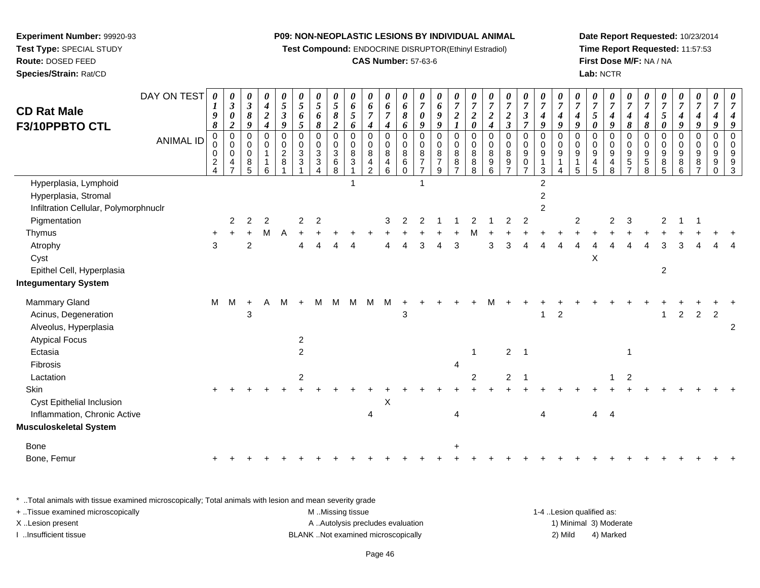**Test Compound:** ENDOCRINE DISRUPTOR(Ethinyl Estradiol)

#### **CAS Number:** 57-63-6

**Date Report Requested:** 10/23/2014**Time Report Requested:** 11:57:53**First Dose M/F:** NA / NA**Lab:** NCTR

| <b>CD Rat Male</b><br>F3/10PPBTO CTL                                                   | DAY ON TEST      | 0<br>$\boldsymbol{l}$<br>$\boldsymbol{g}$<br>8 | $\boldsymbol{\theta}$<br>$\mathfrak{z}$<br>$\pmb{\theta}$<br>$\boldsymbol{2}$ | 0<br>$\mathfrak{z}$<br>$\pmb{8}$<br>9     | 0<br>$\boldsymbol{4}$<br>$\boldsymbol{2}$<br>$\boldsymbol{4}$ | 0<br>$\overline{5}$<br>$\mathfrak{z}$<br>9             | $\boldsymbol{\theta}$<br>$\mathfrak{s}$<br>6<br>5 | $\frac{\theta}{5}$<br>6<br>8                                                          | 0<br>$\overline{5}$<br>8<br>$\boldsymbol{2}$        | 0<br>$\boldsymbol{6}$<br>$\mathfrak{s}$<br>6    | 0<br>6<br>$\overline{7}$<br>4                | 0<br>6<br>$\overline{7}$<br>$\boldsymbol{4}$ | $\boldsymbol{\theta}$<br>6<br>$\pmb{8}$<br>6 | 0<br>$\overline{7}$<br>$\boldsymbol{\theta}$<br>9                         | 0<br>6<br>$\boldsymbol{9}$<br>$\boldsymbol{g}$         | 0<br>$\overline{7}$<br>$\overline{2}$<br>$\boldsymbol{l}$ | 0<br>$\overline{7}$<br>$\boldsymbol{2}$<br>$\boldsymbol{\theta}$ | $\frac{\boldsymbol{0}}{7}$<br>$\boldsymbol{2}$<br>$\boldsymbol{4}$ | $\frac{\boldsymbol{0}}{7}$<br>$\boldsymbol{2}$<br>$\mathfrak{z}$                 | $\frac{\boldsymbol{\theta}}{\boldsymbol{7}}$<br>$\boldsymbol{\beta}$<br>$\overline{7}$ | $\frac{\theta}{7}$<br>$\boldsymbol{4}$<br>9        | $\boldsymbol{\theta}$<br>$\overline{7}$<br>$\boldsymbol{4}$<br>9 | 0<br>$\overline{7}$<br>4<br>9               | 0<br>$\overline{7}$<br>$\mathfrak{s}$<br>$\boldsymbol{\theta}$ | $\boldsymbol{\theta}$<br>$\overline{7}$<br>$\boldsymbol{4}$<br>9  | 0<br>$\overline{7}$<br>$\boldsymbol{4}$<br>$\pmb{8}$       | $\frac{\theta}{7}$<br>$\boldsymbol{4}$<br>8            | $\boldsymbol{\theta}$<br>$\overline{7}$<br>5<br>$\pmb{\theta}$ | 0<br>$\overline{7}$<br>$\boldsymbol{4}$<br>9   | $\frac{\theta}{7}$<br>$\boldsymbol{4}$<br>$\boldsymbol{g}$ | 0<br>$\overline{7}$<br>$\boldsymbol{4}$<br>9 | 0<br>$\overline{7}$<br>$\overline{4}$<br>$\boldsymbol{q}$ |
|----------------------------------------------------------------------------------------|------------------|------------------------------------------------|-------------------------------------------------------------------------------|-------------------------------------------|---------------------------------------------------------------|--------------------------------------------------------|---------------------------------------------------|---------------------------------------------------------------------------------------|-----------------------------------------------------|-------------------------------------------------|----------------------------------------------|----------------------------------------------|----------------------------------------------|---------------------------------------------------------------------------|--------------------------------------------------------|-----------------------------------------------------------|------------------------------------------------------------------|--------------------------------------------------------------------|----------------------------------------------------------------------------------|----------------------------------------------------------------------------------------|----------------------------------------------------|------------------------------------------------------------------|---------------------------------------------|----------------------------------------------------------------|-------------------------------------------------------------------|------------------------------------------------------------|--------------------------------------------------------|----------------------------------------------------------------|------------------------------------------------|------------------------------------------------------------|----------------------------------------------|-----------------------------------------------------------|
|                                                                                        | <b>ANIMAL ID</b> | $\mathbf 0$<br>0<br>$\pmb{0}$<br>$\frac{2}{4}$ | $\mathbf 0$<br>$\mathbf 0$<br>$\mathsf{O}\xspace$<br>4<br>$\overline{7}$      | $\mathbf 0$<br>0<br>$\mathbf 0$<br>8<br>5 | 0<br>0<br>$\mathbf{1}$<br>1<br>6                              | $\mathbf 0$<br>$\boldsymbol{0}$<br>$\overline{2}$<br>8 | 0<br>0<br>$\sqrt{3}$<br>$\mathbf{3}$              | $\mathbf 0$<br>$\mathbf 0$<br>$\overline{3}$<br>$\sqrt{3}$<br>$\overline{\mathbf{4}}$ | 0<br>0<br>$\ensuremath{\mathsf{3}}$<br>$\,6\,$<br>8 | $\mathbf 0$<br>$\mathbf 0$<br>8<br>$\mathbf{3}$ | $\mathbf 0$<br>0<br>8<br>4<br>$\overline{2}$ | $\mathbf 0$<br>0<br>8<br>4<br>6              | $\mathbf 0$<br>0<br>8<br>$\,6\,$<br>$\Omega$ | $\mathbf 0$<br>$\mathbf 0$<br>$\bf 8$<br>$\overline{7}$<br>$\overline{7}$ | $\mathbf 0$<br>$\mathbf 0$<br>8<br>$\overline{7}$<br>9 | $\mathbf 0$<br>0<br>$\,8\,$<br>8<br>$\overline{7}$        | $\mathbf 0$<br>0<br>8<br>8<br>8                                  | $\mathbf 0$<br>0<br>$\overline{8}$<br>9<br>6                       | $\pmb{0}$<br>$\mathbf 0$<br>$\overline{8}$<br>$\boldsymbol{9}$<br>$\overline{7}$ | $\mathbf 0$<br>0<br>$\boldsymbol{9}$<br>$\mathbf 0$<br>$\overline{7}$                  | $\mathbf 0$<br>0<br>9<br>$\overline{1}$<br>3       | $\mathbf 0$<br>0<br>$\boldsymbol{9}$<br>$\mathbf{1}$             | $\Omega$<br>0<br>$\boldsymbol{9}$<br>1<br>5 | $\mathbf 0$<br>0<br>$\boldsymbol{9}$<br>4<br>5                 | $\pmb{0}$<br>$\pmb{0}$<br>$\boldsymbol{9}$<br>$\overline{4}$<br>8 | 0<br>0<br>$\boldsymbol{9}$<br>$\sqrt{5}$<br>$\overline{7}$ | $\mathbf 0$<br>$\mathbf 0$<br>$9\,$<br>$\sqrt{5}$<br>8 | 0<br>0<br>$\boldsymbol{9}$<br>$\bf 8$<br>5                     | $\mathbf 0$<br>0<br>$\boldsymbol{9}$<br>8<br>6 | $\mathbf 0$<br>0<br>9<br>8<br>$\overline{7}$               | $\mathbf 0$<br>0<br>9<br>9<br>$\mathbf 0$    | $\Omega$<br>$\mathbf 0$<br>9<br>9<br>3                    |
| Hyperplasia, Lymphoid<br>Hyperplasia, Stromal<br>Infiltration Cellular, Polymorphnuclr |                  |                                                |                                                                               |                                           |                                                               |                                                        |                                                   |                                                                                       |                                                     |                                                 |                                              |                                              |                                              |                                                                           |                                                        |                                                           |                                                                  |                                                                    |                                                                                  |                                                                                        | $\overline{2}$<br>$\overline{2}$<br>$\overline{c}$ |                                                                  |                                             |                                                                |                                                                   |                                                            |                                                        |                                                                |                                                |                                                            |                                              |                                                           |
| Pigmentation                                                                           |                  |                                                | 2                                                                             | 2                                         | $\overline{2}$                                                |                                                        | 2                                                 | $\overline{2}$                                                                        |                                                     |                                                 |                                              | 3                                            | 2                                            | 2                                                                         |                                                        |                                                           | 2                                                                |                                                                    | $\overline{2}$                                                                   | 2                                                                                      |                                                    |                                                                  | $\overline{2}$                              |                                                                | $\overline{2}$                                                    | 3                                                          |                                                        | 2                                                              |                                                |                                                            |                                              |                                                           |
| Thymus                                                                                 |                  |                                                |                                                                               |                                           | M                                                             | $\overline{A}$                                         |                                                   |                                                                                       |                                                     |                                                 |                                              |                                              |                                              |                                                                           |                                                        |                                                           |                                                                  |                                                                    |                                                                                  |                                                                                        |                                                    |                                                                  |                                             |                                                                |                                                                   |                                                            |                                                        |                                                                |                                                |                                                            |                                              |                                                           |
| Atrophy                                                                                |                  | 3                                              |                                                                               | $\overline{2}$                            |                                                               |                                                        | Λ                                                 |                                                                                       |                                                     |                                                 |                                              |                                              |                                              | 3                                                                         |                                                        | 3                                                         |                                                                  | 3                                                                  | 3                                                                                |                                                                                        |                                                    |                                                                  |                                             |                                                                |                                                                   |                                                            |                                                        |                                                                |                                                |                                                            |                                              |                                                           |
| Cyst                                                                                   |                  |                                                |                                                                               |                                           |                                                               |                                                        |                                                   |                                                                                       |                                                     |                                                 |                                              |                                              |                                              |                                                                           |                                                        |                                                           |                                                                  |                                                                    |                                                                                  |                                                                                        |                                                    |                                                                  |                                             | $\mathsf X$                                                    |                                                                   |                                                            |                                                        |                                                                |                                                |                                                            |                                              |                                                           |
| Epithel Cell, Hyperplasia                                                              |                  |                                                |                                                                               |                                           |                                                               |                                                        |                                                   |                                                                                       |                                                     |                                                 |                                              |                                              |                                              |                                                                           |                                                        |                                                           |                                                                  |                                                                    |                                                                                  |                                                                                        |                                                    |                                                                  |                                             |                                                                |                                                                   |                                                            |                                                        | $\overline{c}$                                                 |                                                |                                                            |                                              |                                                           |
| <b>Integumentary System</b>                                                            |                  |                                                |                                                                               |                                           |                                                               |                                                        |                                                   |                                                                                       |                                                     |                                                 |                                              |                                              |                                              |                                                                           |                                                        |                                                           |                                                                  |                                                                    |                                                                                  |                                                                                        |                                                    |                                                                  |                                             |                                                                |                                                                   |                                                            |                                                        |                                                                |                                                |                                                            |                                              |                                                           |
| Mammary Gland                                                                          |                  | M                                              | M                                                                             | $\ddot{}$                                 | A                                                             | M                                                      | $+$                                               | M                                                                                     | M                                                   | M                                               | M                                            | M                                            |                                              |                                                                           |                                                        |                                                           |                                                                  |                                                                    |                                                                                  |                                                                                        |                                                    |                                                                  |                                             |                                                                |                                                                   |                                                            |                                                        |                                                                |                                                |                                                            |                                              |                                                           |
| Acinus, Degeneration                                                                   |                  |                                                |                                                                               | 3                                         |                                                               |                                                        |                                                   |                                                                                       |                                                     |                                                 |                                              |                                              | 3                                            |                                                                           |                                                        |                                                           |                                                                  |                                                                    |                                                                                  |                                                                                        |                                                    | $\overline{2}$                                                   |                                             |                                                                |                                                                   |                                                            |                                                        |                                                                | 2                                              | 2                                                          | 2                                            |                                                           |
| Alveolus, Hyperplasia                                                                  |                  |                                                |                                                                               |                                           |                                                               |                                                        |                                                   |                                                                                       |                                                     |                                                 |                                              |                                              |                                              |                                                                           |                                                        |                                                           |                                                                  |                                                                    |                                                                                  |                                                                                        |                                                    |                                                                  |                                             |                                                                |                                                                   |                                                            |                                                        |                                                                |                                                |                                                            |                                              | $\overline{2}$                                            |
| <b>Atypical Focus</b>                                                                  |                  |                                                |                                                                               |                                           |                                                               |                                                        | $\overline{2}$                                    |                                                                                       |                                                     |                                                 |                                              |                                              |                                              |                                                                           |                                                        |                                                           |                                                                  |                                                                    |                                                                                  |                                                                                        |                                                    |                                                                  |                                             |                                                                |                                                                   |                                                            |                                                        |                                                                |                                                |                                                            |                                              |                                                           |
| Ectasia                                                                                |                  |                                                |                                                                               |                                           |                                                               |                                                        | $\overline{2}$                                    |                                                                                       |                                                     |                                                 |                                              |                                              |                                              |                                                                           |                                                        |                                                           | $\mathbf{1}$                                                     |                                                                    | $2 \quad 1$                                                                      |                                                                                        |                                                    |                                                                  |                                             |                                                                |                                                                   |                                                            |                                                        |                                                                |                                                |                                                            |                                              |                                                           |
| Fibrosis                                                                               |                  |                                                |                                                                               |                                           |                                                               |                                                        |                                                   |                                                                                       |                                                     |                                                 |                                              |                                              |                                              |                                                                           |                                                        | 4                                                         |                                                                  |                                                                    |                                                                                  |                                                                                        |                                                    |                                                                  |                                             |                                                                |                                                                   |                                                            |                                                        |                                                                |                                                |                                                            |                                              |                                                           |
| Lactation                                                                              |                  |                                                |                                                                               |                                           |                                                               |                                                        | $\overline{c}$                                    |                                                                                       |                                                     |                                                 |                                              |                                              |                                              |                                                                           |                                                        |                                                           | $\overline{2}$                                                   |                                                                    | $\overline{c}$                                                                   | $\overline{1}$                                                                         |                                                    |                                                                  |                                             |                                                                |                                                                   | $\overline{2}$                                             |                                                        |                                                                |                                                |                                                            |                                              |                                                           |
| Skin                                                                                   |                  |                                                |                                                                               |                                           |                                                               |                                                        |                                                   |                                                                                       |                                                     |                                                 |                                              |                                              |                                              |                                                                           |                                                        |                                                           |                                                                  |                                                                    |                                                                                  |                                                                                        |                                                    |                                                                  |                                             |                                                                |                                                                   |                                                            |                                                        |                                                                |                                                |                                                            |                                              |                                                           |
| <b>Cyst Epithelial Inclusion</b>                                                       |                  |                                                |                                                                               |                                           |                                                               |                                                        |                                                   |                                                                                       |                                                     |                                                 |                                              | X                                            |                                              |                                                                           |                                                        |                                                           |                                                                  |                                                                    |                                                                                  |                                                                                        |                                                    |                                                                  |                                             |                                                                |                                                                   |                                                            |                                                        |                                                                |                                                |                                                            |                                              |                                                           |
| Inflammation, Chronic Active                                                           |                  |                                                |                                                                               |                                           |                                                               |                                                        |                                                   |                                                                                       |                                                     |                                                 | 4                                            |                                              |                                              |                                                                           |                                                        | 4                                                         |                                                                  |                                                                    |                                                                                  |                                                                                        | 4                                                  |                                                                  |                                             | 4                                                              | $\overline{4}$                                                    |                                                            |                                                        |                                                                |                                                |                                                            |                                              |                                                           |
| <b>Musculoskeletal System</b>                                                          |                  |                                                |                                                                               |                                           |                                                               |                                                        |                                                   |                                                                                       |                                                     |                                                 |                                              |                                              |                                              |                                                                           |                                                        |                                                           |                                                                  |                                                                    |                                                                                  |                                                                                        |                                                    |                                                                  |                                             |                                                                |                                                                   |                                                            |                                                        |                                                                |                                                |                                                            |                                              |                                                           |
| <b>Bone</b>                                                                            |                  |                                                |                                                                               |                                           |                                                               |                                                        |                                                   |                                                                                       |                                                     |                                                 |                                              |                                              |                                              |                                                                           |                                                        | ÷                                                         |                                                                  |                                                                    |                                                                                  |                                                                                        |                                                    |                                                                  |                                             |                                                                |                                                                   |                                                            |                                                        |                                                                |                                                |                                                            |                                              |                                                           |
| Bone, Femur                                                                            |                  |                                                |                                                                               |                                           |                                                               |                                                        |                                                   |                                                                                       |                                                     |                                                 |                                              |                                              |                                              |                                                                           |                                                        |                                                           |                                                                  |                                                                    |                                                                                  |                                                                                        |                                                    |                                                                  |                                             |                                                                |                                                                   |                                                            |                                                        |                                                                |                                                |                                                            |                                              |                                                           |

\* ..Total animals with tissue examined microscopically; Total animals with lesion and mean severity grade

| + Tissue examined microscopically | M Missing tissue                   | 1-4 Lesion qualified as: |                        |
|-----------------------------------|------------------------------------|--------------------------|------------------------|
| X Lesion present                  | A Autolysis precludes evaluation   |                          | 1) Minimal 3) Moderate |
| Insufficient tissue               | BLANK Not examined microscopically | 2) Mild                  | 4) Marked              |

#### **Experiment Number:** 99920-93**Test Type:** SPECIAL STUDY**Route:** DOSED FEED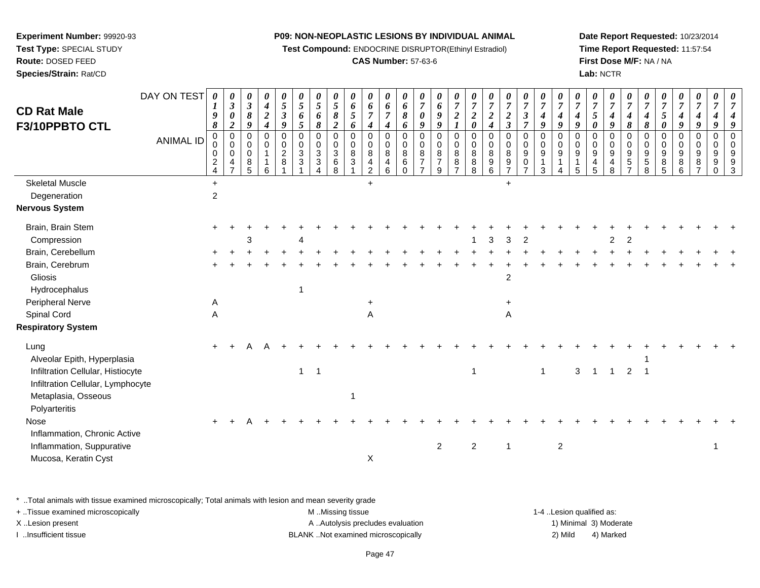**Test Compound:** ENDOCRINE DISRUPTOR(Ethinyl Estradiol)

#### **CAS Number:** 57-63-6

**Date Report Requested:** 10/23/2014**Time Report Requested:** 11:57:54**First Dose M/F:** NA / NA**Lab:** NCTR

| <b>CD Rat Male</b><br>F3/10PPBTO CTL                                   | DAY ON TEST      | 0<br>1<br>9<br>$\pmb{8}$ | 0<br>$\mathfrak{z}$<br>$\boldsymbol{\theta}$<br>$\boldsymbol{2}$ | 0<br>$\mathfrak{z}$<br>8<br>9                    | 0<br>$\boldsymbol{4}$<br>$\boldsymbol{2}$<br>$\boldsymbol{4}$ | $\boldsymbol{\theta}$<br>5<br>$\boldsymbol{\beta}$<br>9 | 0<br>$\mathfrak{s}$<br>6<br>$\sqrt{5}$                       | 0<br>5<br>6<br>8                                       | 0<br>$5\overline{)}$<br>8<br>$\boldsymbol{2}$        | 0<br>6<br>$5\overline{)}$<br>6        | $\boldsymbol{\theta}$<br>6<br>$\overline{7}$<br>4                | 0<br>6<br>7<br>4                       | 0<br>6<br>8<br>6                  | 0<br>$\overline{7}$<br>0<br>9                                       | 0<br>6<br>9<br>9                                    | $\theta$<br>$\overline{7}$<br>$\boldsymbol{2}$ | $\overline{7}$<br>$\boldsymbol{2}$<br>$\pmb{\theta}$ | 0<br>$\overline{7}$<br>$\overline{2}$<br>$\boldsymbol{4}$ | 0<br>$\overline{7}$<br>$\boldsymbol{2}$<br>$\boldsymbol{\beta}$ | $\boldsymbol{\theta}$<br>$\overline{7}$<br>$\mathfrak{z}$<br>$\overline{\tau}$ | $\boldsymbol{\theta}$<br>$\overline{7}$<br>$\boldsymbol{4}$<br>9 | $\boldsymbol{\theta}$<br>$\overline{7}$<br>$\boldsymbol{4}$<br>$\boldsymbol{g}$ | 0<br>$\overline{7}$<br>4<br>9     | 0<br>$\overline{7}$<br>5<br>$\boldsymbol{\theta}$      | $\overline{7}$<br>$\boldsymbol{4}$<br>9 | $\boldsymbol{\theta}$<br>$\overline{7}$<br>4<br>8 | $\boldsymbol{\theta}$<br>$\overline{7}$<br>4<br>8 | $\boldsymbol{\theta}$<br>$\boldsymbol{7}$<br>$\sqrt{5}$<br>$\pmb{\theta}$ | 0<br>$\overline{7}$<br>$\boldsymbol{4}$<br>9 | 0<br>$\overline{7}$<br>$\boldsymbol{4}$<br>9        | $\boldsymbol{\theta}$<br>$\overline{7}$<br>9 | 7                                   |
|------------------------------------------------------------------------|------------------|--------------------------|------------------------------------------------------------------|--------------------------------------------------|---------------------------------------------------------------|---------------------------------------------------------|--------------------------------------------------------------|--------------------------------------------------------|------------------------------------------------------|---------------------------------------|------------------------------------------------------------------|----------------------------------------|-----------------------------------|---------------------------------------------------------------------|-----------------------------------------------------|------------------------------------------------|------------------------------------------------------|-----------------------------------------------------------|-----------------------------------------------------------------|--------------------------------------------------------------------------------|------------------------------------------------------------------|---------------------------------------------------------------------------------|-----------------------------------|--------------------------------------------------------|-----------------------------------------|---------------------------------------------------|---------------------------------------------------|---------------------------------------------------------------------------|----------------------------------------------|-----------------------------------------------------|----------------------------------------------|-------------------------------------|
|                                                                        | <b>ANIMAL ID</b> | 0<br>0<br>$\frac{2}{4}$  | $\pmb{0}$<br>$\Omega$<br>$\mathbf 0$<br>4                        | $\mathbf 0$<br>$\Omega$<br>$\mathbf 0$<br>8<br>5 | $\mathbf 0$<br>0<br>$\mathbf{1}$<br>1<br>6                    | $\mathbf 0$<br>$\mathbf 0$<br>$\overline{c}$<br>8       | $\mathbf 0$<br>$\mathbf 0$<br>$\ensuremath{\mathsf{3}}$<br>3 | $\pmb{0}$<br>$\pmb{0}$<br>$\mathbf{3}$<br>$\mathbf{3}$ | $\mathbf 0$<br>$\mathbf 0$<br>$\mathbf{3}$<br>6<br>8 | $\mathbf 0$<br>$\mathbf{0}$<br>8<br>3 | $\mathbf 0$<br>$\Omega$<br>8<br>$\overline{4}$<br>$\overline{2}$ | $\mathbf 0$<br>$\Omega$<br>8<br>4<br>6 | $\mathbf 0$<br>$\Omega$<br>8<br>6 | $\mathbf 0$<br>$\mathbf 0$<br>8<br>$\overline{7}$<br>$\overline{7}$ | $\mathbf 0$<br>$\Omega$<br>8<br>$\overline{7}$<br>9 | 0<br>$\Omega$<br>8<br>8                        | $\overline{0}$<br>$\Omega$<br>$\,8\,$<br>8<br>8      | $\mathbf 0$<br>0<br>8<br>9<br>6                           | $\mathbf 0$<br>$\mathbf 0$<br>8<br>9<br>$\overline{7}$          | $\pmb{0}$<br>$\Omega$<br>9<br>$\mathbf 0$                                      | $\mathbf 0$<br>$\Omega$<br>9<br>$\overline{1}$<br>3              | $\mathbf 0$<br>$\Omega$<br>$9\,$<br>$\mathbf{1}$                                | $\mathbf 0$<br>$\Omega$<br>9<br>5 | $\mathbf 0$<br>$\mathbf 0$<br>$\overline{9}$<br>4<br>5 | $\mathbf 0$<br>0<br>9<br>4<br>8         | $\Omega$<br>$\Omega$<br>9<br>5                    | $\Omega$<br>$\Omega$<br>9<br>$\sqrt{5}$<br>8      | $\mathbf 0$<br>0<br>9<br>8<br>5                                           | 0<br>0<br>9<br>8<br>6                        | $\mathbf 0$<br>$\Omega$<br>9<br>8<br>$\overline{ }$ | $\Omega$<br>0<br>9<br>9<br>$\mathbf 0$       | $\Omega$<br>$\Omega$<br>9<br>9<br>3 |
| <b>Skeletal Muscle</b>                                                 |                  | $+$                      |                                                                  |                                                  |                                                               |                                                         |                                                              |                                                        |                                                      |                                       | $+$                                                              |                                        |                                   |                                                                     |                                                     |                                                |                                                      |                                                           | $+$                                                             |                                                                                |                                                                  |                                                                                 |                                   |                                                        |                                         |                                                   |                                                   |                                                                           |                                              |                                                     |                                              |                                     |
| Degeneration                                                           |                  | $\overline{2}$           |                                                                  |                                                  |                                                               |                                                         |                                                              |                                                        |                                                      |                                       |                                                                  |                                        |                                   |                                                                     |                                                     |                                                |                                                      |                                                           |                                                                 |                                                                                |                                                                  |                                                                                 |                                   |                                                        |                                         |                                                   |                                                   |                                                                           |                                              |                                                     |                                              |                                     |
| Nervous System                                                         |                  |                          |                                                                  |                                                  |                                                               |                                                         |                                                              |                                                        |                                                      |                                       |                                                                  |                                        |                                   |                                                                     |                                                     |                                                |                                                      |                                                           |                                                                 |                                                                                |                                                                  |                                                                                 |                                   |                                                        |                                         |                                                   |                                                   |                                                                           |                                              |                                                     |                                              |                                     |
| Brain, Brain Stem                                                      |                  | $+$                      |                                                                  |                                                  |                                                               |                                                         |                                                              |                                                        |                                                      |                                       |                                                                  |                                        |                                   |                                                                     |                                                     |                                                |                                                      |                                                           |                                                                 |                                                                                |                                                                  |                                                                                 |                                   |                                                        |                                         |                                                   |                                                   |                                                                           |                                              |                                                     |                                              |                                     |
| Compression                                                            |                  |                          |                                                                  | 3                                                |                                                               |                                                         |                                                              |                                                        |                                                      |                                       |                                                                  |                                        |                                   |                                                                     |                                                     |                                                |                                                      | 3                                                         | 3                                                               | $\overline{c}$                                                                 |                                                                  |                                                                                 |                                   |                                                        | 2                                       | 2                                                 |                                                   |                                                                           |                                              |                                                     |                                              |                                     |
| Brain, Cerebellum                                                      |                  |                          |                                                                  |                                                  |                                                               |                                                         |                                                              |                                                        |                                                      |                                       |                                                                  |                                        |                                   |                                                                     |                                                     |                                                |                                                      |                                                           |                                                                 |                                                                                |                                                                  |                                                                                 |                                   |                                                        |                                         |                                                   |                                                   |                                                                           |                                              |                                                     |                                              |                                     |
| Brain, Cerebrum                                                        |                  |                          |                                                                  |                                                  |                                                               |                                                         |                                                              |                                                        |                                                      |                                       |                                                                  |                                        |                                   |                                                                     |                                                     |                                                |                                                      |                                                           |                                                                 |                                                                                |                                                                  |                                                                                 |                                   |                                                        |                                         |                                                   |                                                   |                                                                           |                                              |                                                     |                                              |                                     |
| Gliosis                                                                |                  |                          |                                                                  |                                                  |                                                               |                                                         |                                                              |                                                        |                                                      |                                       |                                                                  |                                        |                                   |                                                                     |                                                     |                                                |                                                      |                                                           | $\overline{2}$                                                  |                                                                                |                                                                  |                                                                                 |                                   |                                                        |                                         |                                                   |                                                   |                                                                           |                                              |                                                     |                                              |                                     |
| Hydrocephalus                                                          |                  |                          |                                                                  |                                                  |                                                               |                                                         |                                                              |                                                        |                                                      |                                       |                                                                  |                                        |                                   |                                                                     |                                                     |                                                |                                                      |                                                           |                                                                 |                                                                                |                                                                  |                                                                                 |                                   |                                                        |                                         |                                                   |                                                   |                                                                           |                                              |                                                     |                                              |                                     |
| Peripheral Nerve                                                       |                  | Α                        |                                                                  |                                                  |                                                               |                                                         |                                                              |                                                        |                                                      |                                       | $\ddot{}$                                                        |                                        |                                   |                                                                     |                                                     |                                                |                                                      |                                                           |                                                                 |                                                                                |                                                                  |                                                                                 |                                   |                                                        |                                         |                                                   |                                                   |                                                                           |                                              |                                                     |                                              |                                     |
| Spinal Cord                                                            |                  | Α                        |                                                                  |                                                  |                                                               |                                                         |                                                              |                                                        |                                                      |                                       | Α                                                                |                                        |                                   |                                                                     |                                                     |                                                |                                                      |                                                           | A                                                               |                                                                                |                                                                  |                                                                                 |                                   |                                                        |                                         |                                                   |                                                   |                                                                           |                                              |                                                     |                                              |                                     |
| <b>Respiratory System</b>                                              |                  |                          |                                                                  |                                                  |                                                               |                                                         |                                                              |                                                        |                                                      |                                       |                                                                  |                                        |                                   |                                                                     |                                                     |                                                |                                                      |                                                           |                                                                 |                                                                                |                                                                  |                                                                                 |                                   |                                                        |                                         |                                                   |                                                   |                                                                           |                                              |                                                     |                                              |                                     |
| Lung<br>Alveolar Epith, Hyperplasia                                    |                  | $\ddot{}$                |                                                                  |                                                  |                                                               |                                                         |                                                              |                                                        |                                                      |                                       |                                                                  |                                        |                                   |                                                                     |                                                     |                                                |                                                      |                                                           |                                                                 |                                                                                |                                                                  |                                                                                 |                                   |                                                        |                                         |                                                   |                                                   |                                                                           |                                              |                                                     |                                              |                                     |
| Infiltration Cellular, Histiocyte<br>Infiltration Cellular, Lymphocyte |                  |                          |                                                                  |                                                  |                                                               |                                                         | $\mathbf{1}$                                                 | $\overline{\phantom{0}}$ 1                             |                                                      |                                       |                                                                  |                                        |                                   |                                                                     |                                                     |                                                | 1                                                    |                                                           |                                                                 |                                                                                | $\overline{1}$                                                   |                                                                                 | 3                                 |                                                        | $\mathbf{1}$                            | $\overline{2}$                                    |                                                   |                                                                           |                                              |                                                     |                                              |                                     |
| Metaplasia, Osseous<br>Polyarteritis                                   |                  |                          |                                                                  |                                                  |                                                               |                                                         |                                                              |                                                        |                                                      | $\overline{1}$                        |                                                                  |                                        |                                   |                                                                     |                                                     |                                                |                                                      |                                                           |                                                                 |                                                                                |                                                                  |                                                                                 |                                   |                                                        |                                         |                                                   |                                                   |                                                                           |                                              |                                                     |                                              |                                     |
| Nose<br>Inflammation, Chronic Active                                   |                  |                          |                                                                  |                                                  |                                                               |                                                         |                                                              |                                                        |                                                      |                                       |                                                                  |                                        |                                   |                                                                     |                                                     |                                                |                                                      |                                                           |                                                                 |                                                                                |                                                                  |                                                                                 |                                   |                                                        |                                         |                                                   |                                                   |                                                                           |                                              |                                                     |                                              |                                     |
| Inflammation, Suppurative<br>Mucosa, Keratin Cyst                      |                  |                          |                                                                  |                                                  |                                                               |                                                         |                                                              |                                                        |                                                      |                                       | X                                                                |                                        |                                   |                                                                     | $\overline{2}$                                      |                                                | $\overline{2}$                                       |                                                           | $\mathbf{1}$                                                    |                                                                                |                                                                  | $\overline{2}$                                                                  |                                   |                                                        |                                         |                                                   |                                                   |                                                                           |                                              |                                                     |                                              |                                     |
|                                                                        |                  |                          |                                                                  |                                                  |                                                               |                                                         |                                                              |                                                        |                                                      |                                       |                                                                  |                                        |                                   |                                                                     |                                                     |                                                |                                                      |                                                           |                                                                 |                                                                                |                                                                  |                                                                                 |                                   |                                                        |                                         |                                                   |                                                   |                                                                           |                                              |                                                     |                                              |                                     |

\* ..Total animals with tissue examined microscopically; Total animals with lesion and mean severity grade

**Experiment Number:** 99920-93**Test Type:** SPECIAL STUDY**Route:** DOSED FEED**Species/Strain:** Rat/CD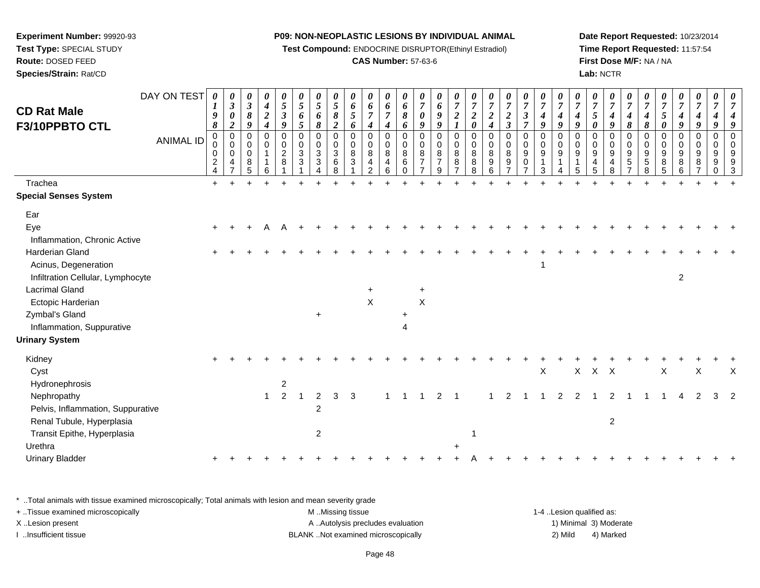**Test Compound:** ENDOCRINE DISRUPTOR(Ethinyl Estradiol)

#### **CAS Number:** 57-63-6

**Date Report Requested:** 10/23/2014**Time Report Requested:** 11:57:54**First Dose M/F:** NA / NA**Lab:** NCTR

| <b>CD Rat Male</b><br>F3/10PPBTO CTL<br>Trachea | DAY ON TEST<br><b>ANIMAL ID</b> | 0<br>$\boldsymbol{I}$<br>9<br>8<br>$\pmb{0}$<br>0<br>0<br>$\frac{2}{4}$<br>$+$ | $\boldsymbol{\theta}$<br>$\boldsymbol{\beta}$<br>$\pmb{\theta}$<br>$\boldsymbol{2}$<br>$\mathbf 0$<br>$\mathbf 0$<br>$\mathbf 0$<br>4 | $\boldsymbol{\theta}$<br>$\mathfrak{z}$<br>8<br>9<br>$\pmb{0}$<br>$\mathbf 0$<br>$\mathbf 0$<br>8<br>5 | 0<br>$\boldsymbol{4}$<br>$\boldsymbol{2}$<br>$\overline{\mathbf{4}}$<br>$\pmb{0}$<br>$\mathbf 0$<br>$\mathbf{1}$<br>$\mathbf{1}$<br>6 | 0<br>$\mathfrak{s}$<br>$\boldsymbol{\beta}$<br>9<br>0<br>0<br>$\overline{c}$<br>8 | 0<br>$\sqrt{5}$<br>6<br>5<br>$\pmb{0}$<br>0<br>$\sqrt{3}$<br>$\ensuremath{\mathsf{3}}$ | $\pmb{\theta}$<br>$\mathfrak{s}$<br>6<br>$\pmb{8}$<br>$\pmb{0}$<br>$\pmb{0}$<br>$\ensuremath{\mathsf{3}}$<br>$\sqrt{3}$ | $\boldsymbol{\theta}$<br>$\sqrt{5}$<br>$\pmb{8}$<br>$\boldsymbol{2}$<br>$\pmb{0}$<br>$\mathsf{O}\xspace$<br>$\ensuremath{\mathsf{3}}$<br>$\,6\,$<br>8 | $\pmb{\theta}$<br>6<br>$\overline{5}$<br>$\pmb{6}$<br>$\pmb{0}$<br>$\mathbf 0$<br>8<br>$\sqrt{3}$ | 0<br>6<br>$\overline{7}$<br>4<br>$\pmb{0}$<br>0<br>8<br>4<br>2 | $\boldsymbol{\theta}$<br>6<br>$\overline{7}$<br>4<br>$\mathbf 0$<br>$\mathbf 0$<br>8<br>4<br>6 | $\pmb{\theta}$<br>6<br>8<br>6<br>$\pmb{0}$<br>$\mathbf 0$<br>8<br>6<br>$\Omega$ | 0<br>$\boldsymbol{7}$<br>$\boldsymbol{\theta}$<br>9<br>0<br>$\mathbf 0$<br>8<br>$\overline{7}$ | $\boldsymbol{\theta}$<br>6<br>9<br>9<br>$\pmb{0}$<br>$\mathbf 0$<br>8<br>$\overline{7}$<br>9 | 0<br>$\overline{7}$<br>$\boldsymbol{2}$<br>$\boldsymbol{l}$<br>$\pmb{0}$<br>$\mathbf 0$<br>8<br>8 | 0<br>$\overline{7}$<br>$\boldsymbol{2}$<br>$\boldsymbol{\theta}$<br>$\pmb{0}$<br>$\mathbf 0$<br>8<br>8<br>8 | 0<br>$\overline{7}$<br>$\boldsymbol{2}$<br>$\boldsymbol{4}$<br>0<br>0<br>8<br>9<br>6 | 0<br>$\boldsymbol{7}$<br>$\boldsymbol{2}$<br>$\mathfrak{z}$<br>$\pmb{0}$<br>$\mathbf 0$<br>$\,8\,$<br>$\boldsymbol{9}$<br>$\overline{7}$ | 0<br>$\boldsymbol{7}$<br>$\boldsymbol{\beta}$<br>$\overline{7}$<br>$\pmb{0}$<br>$\mathbf 0$<br>$\boldsymbol{9}$<br>$\pmb{0}$<br>$\overline{7}$ | $\boldsymbol{\theta}$<br>$\overline{7}$<br>$\boldsymbol{4}$<br>9<br>$\pmb{0}$<br>$\mathbf 0$<br>9<br>-1<br>3 | $\boldsymbol{\theta}$<br>$\overline{7}$<br>$\boldsymbol{4}$<br>9<br>$\pmb{0}$<br>$\mathbf 0$<br>9<br>1 | 0<br>$\overline{7}$<br>4<br>9<br>0<br>0<br>9<br>5 | 0<br>$\boldsymbol{7}$<br>$\mathfrak{s}$<br>0<br>$\pmb{0}$<br>$\mathbf 0$<br>$\boldsymbol{9}$<br>4<br>5 | 0<br>$\boldsymbol{7}$<br>$\boldsymbol{4}$<br>9<br>$\pmb{0}$<br>$\mathbf 0$<br>9<br>4<br>8 | 0<br>$\overline{7}$<br>4<br>8<br>$\mathbf 0$<br>$\mathbf 0$<br>9<br>5 | 0<br>$\overline{7}$<br>4<br>8<br>$\pmb{0}$<br>$\mathbf 0$<br>$\boldsymbol{9}$<br>$\sqrt{5}$<br>8 | 0<br>$\overline{7}$<br>$5\overline{)}$<br>0<br>0<br>$\mathbf 0$<br>$\boldsymbol{9}$<br>8<br>5 | 0<br>$\overline{7}$<br>$\boldsymbol{4}$<br>9<br>$\mathbf 0$<br>$\mathbf 0$<br>$\boldsymbol{9}$<br>8<br>6 | 0<br>$\overline{7}$<br>4<br>9<br>$\mathbf 0$<br>$\mathbf 0$<br>9<br>8 | 0<br>$\overline{7}$<br>Q<br>$\pmb{0}$<br>0<br>9<br>9<br>0 | 0<br>7<br>9<br>$\mathbf 0$<br>$\mathbf 0$<br>9<br>9<br>3 |
|-------------------------------------------------|---------------------------------|--------------------------------------------------------------------------------|---------------------------------------------------------------------------------------------------------------------------------------|--------------------------------------------------------------------------------------------------------|---------------------------------------------------------------------------------------------------------------------------------------|-----------------------------------------------------------------------------------|----------------------------------------------------------------------------------------|-------------------------------------------------------------------------------------------------------------------------|-------------------------------------------------------------------------------------------------------------------------------------------------------|---------------------------------------------------------------------------------------------------|----------------------------------------------------------------|------------------------------------------------------------------------------------------------|---------------------------------------------------------------------------------|------------------------------------------------------------------------------------------------|----------------------------------------------------------------------------------------------|---------------------------------------------------------------------------------------------------|-------------------------------------------------------------------------------------------------------------|--------------------------------------------------------------------------------------|------------------------------------------------------------------------------------------------------------------------------------------|------------------------------------------------------------------------------------------------------------------------------------------------|--------------------------------------------------------------------------------------------------------------|--------------------------------------------------------------------------------------------------------|---------------------------------------------------|--------------------------------------------------------------------------------------------------------|-------------------------------------------------------------------------------------------|-----------------------------------------------------------------------|--------------------------------------------------------------------------------------------------|-----------------------------------------------------------------------------------------------|----------------------------------------------------------------------------------------------------------|-----------------------------------------------------------------------|-----------------------------------------------------------|----------------------------------------------------------|
| <b>Special Senses System</b>                    |                                 |                                                                                |                                                                                                                                       |                                                                                                        |                                                                                                                                       |                                                                                   |                                                                                        |                                                                                                                         |                                                                                                                                                       |                                                                                                   |                                                                |                                                                                                |                                                                                 |                                                                                                |                                                                                              |                                                                                                   |                                                                                                             |                                                                                      |                                                                                                                                          |                                                                                                                                                |                                                                                                              |                                                                                                        |                                                   |                                                                                                        |                                                                                           |                                                                       |                                                                                                  |                                                                                               |                                                                                                          |                                                                       |                                                           |                                                          |
|                                                 |                                 |                                                                                |                                                                                                                                       |                                                                                                        |                                                                                                                                       |                                                                                   |                                                                                        |                                                                                                                         |                                                                                                                                                       |                                                                                                   |                                                                |                                                                                                |                                                                                 |                                                                                                |                                                                                              |                                                                                                   |                                                                                                             |                                                                                      |                                                                                                                                          |                                                                                                                                                |                                                                                                              |                                                                                                        |                                                   |                                                                                                        |                                                                                           |                                                                       |                                                                                                  |                                                                                               |                                                                                                          |                                                                       |                                                           |                                                          |
| Ear                                             |                                 |                                                                                |                                                                                                                                       |                                                                                                        |                                                                                                                                       |                                                                                   |                                                                                        |                                                                                                                         |                                                                                                                                                       |                                                                                                   |                                                                |                                                                                                |                                                                                 |                                                                                                |                                                                                              |                                                                                                   |                                                                                                             |                                                                                      |                                                                                                                                          |                                                                                                                                                |                                                                                                              |                                                                                                        |                                                   |                                                                                                        |                                                                                           |                                                                       |                                                                                                  |                                                                                               |                                                                                                          |                                                                       |                                                           |                                                          |
| Eye                                             |                                 | $\ddot{}$                                                                      |                                                                                                                                       |                                                                                                        |                                                                                                                                       |                                                                                   |                                                                                        |                                                                                                                         |                                                                                                                                                       |                                                                                                   |                                                                |                                                                                                |                                                                                 |                                                                                                |                                                                                              |                                                                                                   |                                                                                                             |                                                                                      |                                                                                                                                          |                                                                                                                                                |                                                                                                              |                                                                                                        |                                                   |                                                                                                        |                                                                                           |                                                                       |                                                                                                  |                                                                                               |                                                                                                          |                                                                       |                                                           |                                                          |
| Inflammation, Chronic Active                    |                                 |                                                                                |                                                                                                                                       |                                                                                                        |                                                                                                                                       |                                                                                   |                                                                                        |                                                                                                                         |                                                                                                                                                       |                                                                                                   |                                                                |                                                                                                |                                                                                 |                                                                                                |                                                                                              |                                                                                                   |                                                                                                             |                                                                                      |                                                                                                                                          |                                                                                                                                                |                                                                                                              |                                                                                                        |                                                   |                                                                                                        |                                                                                           |                                                                       |                                                                                                  |                                                                                               |                                                                                                          |                                                                       |                                                           |                                                          |
| <b>Harderian Gland</b>                          |                                 |                                                                                |                                                                                                                                       |                                                                                                        |                                                                                                                                       |                                                                                   |                                                                                        |                                                                                                                         |                                                                                                                                                       |                                                                                                   |                                                                |                                                                                                |                                                                                 |                                                                                                |                                                                                              |                                                                                                   |                                                                                                             |                                                                                      |                                                                                                                                          |                                                                                                                                                |                                                                                                              |                                                                                                        |                                                   |                                                                                                        |                                                                                           |                                                                       |                                                                                                  |                                                                                               |                                                                                                          |                                                                       |                                                           |                                                          |
| Acinus, Degeneration                            |                                 |                                                                                |                                                                                                                                       |                                                                                                        |                                                                                                                                       |                                                                                   |                                                                                        |                                                                                                                         |                                                                                                                                                       |                                                                                                   |                                                                |                                                                                                |                                                                                 |                                                                                                |                                                                                              |                                                                                                   |                                                                                                             |                                                                                      |                                                                                                                                          |                                                                                                                                                |                                                                                                              |                                                                                                        |                                                   |                                                                                                        |                                                                                           |                                                                       |                                                                                                  |                                                                                               |                                                                                                          |                                                                       |                                                           |                                                          |
| Infiltration Cellular, Lymphocyte               |                                 |                                                                                |                                                                                                                                       |                                                                                                        |                                                                                                                                       |                                                                                   |                                                                                        |                                                                                                                         |                                                                                                                                                       |                                                                                                   |                                                                |                                                                                                |                                                                                 |                                                                                                |                                                                                              |                                                                                                   |                                                                                                             |                                                                                      |                                                                                                                                          |                                                                                                                                                |                                                                                                              |                                                                                                        |                                                   |                                                                                                        |                                                                                           |                                                                       |                                                                                                  |                                                                                               | $\overline{c}$                                                                                           |                                                                       |                                                           |                                                          |
| <b>Lacrimal Gland</b>                           |                                 |                                                                                |                                                                                                                                       |                                                                                                        |                                                                                                                                       |                                                                                   |                                                                                        |                                                                                                                         |                                                                                                                                                       |                                                                                                   | $\ddot{}$                                                      |                                                                                                |                                                                                 | $\ddot{}$                                                                                      |                                                                                              |                                                                                                   |                                                                                                             |                                                                                      |                                                                                                                                          |                                                                                                                                                |                                                                                                              |                                                                                                        |                                                   |                                                                                                        |                                                                                           |                                                                       |                                                                                                  |                                                                                               |                                                                                                          |                                                                       |                                                           |                                                          |
| Ectopic Harderian                               |                                 |                                                                                |                                                                                                                                       |                                                                                                        |                                                                                                                                       |                                                                                   |                                                                                        |                                                                                                                         |                                                                                                                                                       |                                                                                                   | $\boldsymbol{\mathsf{X}}$                                      |                                                                                                |                                                                                 | $\mathsf X$                                                                                    |                                                                                              |                                                                                                   |                                                                                                             |                                                                                      |                                                                                                                                          |                                                                                                                                                |                                                                                                              |                                                                                                        |                                                   |                                                                                                        |                                                                                           |                                                                       |                                                                                                  |                                                                                               |                                                                                                          |                                                                       |                                                           |                                                          |
| Zymbal's Gland                                  |                                 |                                                                                |                                                                                                                                       |                                                                                                        |                                                                                                                                       |                                                                                   |                                                                                        | $\ddot{}$                                                                                                               |                                                                                                                                                       |                                                                                                   |                                                                |                                                                                                | $\ddot{}$                                                                       |                                                                                                |                                                                                              |                                                                                                   |                                                                                                             |                                                                                      |                                                                                                                                          |                                                                                                                                                |                                                                                                              |                                                                                                        |                                                   |                                                                                                        |                                                                                           |                                                                       |                                                                                                  |                                                                                               |                                                                                                          |                                                                       |                                                           |                                                          |
| Inflammation, Suppurative                       |                                 |                                                                                |                                                                                                                                       |                                                                                                        |                                                                                                                                       |                                                                                   |                                                                                        |                                                                                                                         |                                                                                                                                                       |                                                                                                   |                                                                |                                                                                                | 4                                                                               |                                                                                                |                                                                                              |                                                                                                   |                                                                                                             |                                                                                      |                                                                                                                                          |                                                                                                                                                |                                                                                                              |                                                                                                        |                                                   |                                                                                                        |                                                                                           |                                                                       |                                                                                                  |                                                                                               |                                                                                                          |                                                                       |                                                           |                                                          |
| <b>Urinary System</b>                           |                                 |                                                                                |                                                                                                                                       |                                                                                                        |                                                                                                                                       |                                                                                   |                                                                                        |                                                                                                                         |                                                                                                                                                       |                                                                                                   |                                                                |                                                                                                |                                                                                 |                                                                                                |                                                                                              |                                                                                                   |                                                                                                             |                                                                                      |                                                                                                                                          |                                                                                                                                                |                                                                                                              |                                                                                                        |                                                   |                                                                                                        |                                                                                           |                                                                       |                                                                                                  |                                                                                               |                                                                                                          |                                                                       |                                                           |                                                          |
| Kidney                                          |                                 |                                                                                |                                                                                                                                       |                                                                                                        |                                                                                                                                       |                                                                                   |                                                                                        |                                                                                                                         |                                                                                                                                                       |                                                                                                   |                                                                |                                                                                                |                                                                                 |                                                                                                |                                                                                              |                                                                                                   |                                                                                                             |                                                                                      |                                                                                                                                          |                                                                                                                                                |                                                                                                              |                                                                                                        |                                                   |                                                                                                        |                                                                                           |                                                                       |                                                                                                  |                                                                                               |                                                                                                          |                                                                       |                                                           |                                                          |
| Cyst                                            |                                 |                                                                                |                                                                                                                                       |                                                                                                        |                                                                                                                                       |                                                                                   |                                                                                        |                                                                                                                         |                                                                                                                                                       |                                                                                                   |                                                                |                                                                                                |                                                                                 |                                                                                                |                                                                                              |                                                                                                   |                                                                                                             |                                                                                      |                                                                                                                                          |                                                                                                                                                | $\mathsf X$                                                                                                  |                                                                                                        | X                                                 | $\mathsf{X}$                                                                                           | $\mathsf{X}$                                                                              |                                                                       |                                                                                                  | $\boldsymbol{\mathsf{X}}$                                                                     |                                                                                                          | X                                                                     |                                                           | X                                                        |
| Hydronephrosis                                  |                                 |                                                                                |                                                                                                                                       |                                                                                                        |                                                                                                                                       | $\overline{\mathbf{c}}$                                                           |                                                                                        |                                                                                                                         |                                                                                                                                                       |                                                                                                   |                                                                |                                                                                                |                                                                                 |                                                                                                |                                                                                              |                                                                                                   |                                                                                                             |                                                                                      |                                                                                                                                          |                                                                                                                                                |                                                                                                              |                                                                                                        |                                                   |                                                                                                        |                                                                                           |                                                                       |                                                                                                  |                                                                                               |                                                                                                          |                                                                       |                                                           |                                                          |
| Nephropathy                                     |                                 |                                                                                |                                                                                                                                       |                                                                                                        |                                                                                                                                       | $\overline{2}$                                                                    |                                                                                        | 2                                                                                                                       | 3                                                                                                                                                     | 3                                                                                                 |                                                                |                                                                                                |                                                                                 |                                                                                                |                                                                                              |                                                                                                   |                                                                                                             |                                                                                      |                                                                                                                                          |                                                                                                                                                |                                                                                                              |                                                                                                        |                                                   |                                                                                                        |                                                                                           |                                                                       |                                                                                                  |                                                                                               |                                                                                                          |                                                                       |                                                           |                                                          |
| Pelvis, Inflammation, Suppurative               |                                 |                                                                                |                                                                                                                                       |                                                                                                        |                                                                                                                                       |                                                                                   |                                                                                        | $\overline{2}$                                                                                                          |                                                                                                                                                       |                                                                                                   |                                                                |                                                                                                |                                                                                 |                                                                                                |                                                                                              |                                                                                                   |                                                                                                             |                                                                                      |                                                                                                                                          |                                                                                                                                                |                                                                                                              |                                                                                                        |                                                   |                                                                                                        |                                                                                           |                                                                       |                                                                                                  |                                                                                               |                                                                                                          |                                                                       |                                                           |                                                          |
| Renal Tubule, Hyperplasia                       |                                 |                                                                                |                                                                                                                                       |                                                                                                        |                                                                                                                                       |                                                                                   |                                                                                        |                                                                                                                         |                                                                                                                                                       |                                                                                                   |                                                                |                                                                                                |                                                                                 |                                                                                                |                                                                                              |                                                                                                   |                                                                                                             |                                                                                      |                                                                                                                                          |                                                                                                                                                |                                                                                                              |                                                                                                        |                                                   |                                                                                                        | $\overline{c}$                                                                            |                                                                       |                                                                                                  |                                                                                               |                                                                                                          |                                                                       |                                                           |                                                          |
| Transit Epithe, Hyperplasia                     |                                 |                                                                                |                                                                                                                                       |                                                                                                        |                                                                                                                                       |                                                                                   |                                                                                        | $\overline{c}$                                                                                                          |                                                                                                                                                       |                                                                                                   |                                                                |                                                                                                |                                                                                 |                                                                                                |                                                                                              |                                                                                                   |                                                                                                             |                                                                                      |                                                                                                                                          |                                                                                                                                                |                                                                                                              |                                                                                                        |                                                   |                                                                                                        |                                                                                           |                                                                       |                                                                                                  |                                                                                               |                                                                                                          |                                                                       |                                                           |                                                          |
| Urethra                                         |                                 |                                                                                |                                                                                                                                       |                                                                                                        |                                                                                                                                       |                                                                                   |                                                                                        |                                                                                                                         |                                                                                                                                                       |                                                                                                   |                                                                |                                                                                                |                                                                                 |                                                                                                |                                                                                              | ÷                                                                                                 |                                                                                                             |                                                                                      |                                                                                                                                          |                                                                                                                                                |                                                                                                              |                                                                                                        |                                                   |                                                                                                        |                                                                                           |                                                                       |                                                                                                  |                                                                                               |                                                                                                          |                                                                       |                                                           |                                                          |
| <b>Urinary Bladder</b>                          |                                 |                                                                                |                                                                                                                                       |                                                                                                        |                                                                                                                                       |                                                                                   |                                                                                        |                                                                                                                         |                                                                                                                                                       |                                                                                                   |                                                                |                                                                                                |                                                                                 |                                                                                                |                                                                                              |                                                                                                   |                                                                                                             |                                                                                      |                                                                                                                                          |                                                                                                                                                |                                                                                                              |                                                                                                        |                                                   |                                                                                                        |                                                                                           |                                                                       |                                                                                                  |                                                                                               |                                                                                                          |                                                                       |                                                           |                                                          |
|                                                 |                                 |                                                                                |                                                                                                                                       |                                                                                                        |                                                                                                                                       |                                                                                   |                                                                                        |                                                                                                                         |                                                                                                                                                       |                                                                                                   |                                                                |                                                                                                |                                                                                 |                                                                                                |                                                                                              |                                                                                                   |                                                                                                             |                                                                                      |                                                                                                                                          |                                                                                                                                                |                                                                                                              |                                                                                                        |                                                   |                                                                                                        |                                                                                           |                                                                       |                                                                                                  |                                                                                               |                                                                                                          |                                                                       |                                                           |                                                          |

\* ..Total animals with tissue examined microscopically; Total animals with lesion and mean severity grade

**Experiment Number:** 99920-93**Test Type:** SPECIAL STUDY**Route:** DOSED FEED**Species/Strain:** Rat/CD

| + . Tissue examined microscopically | M Missing tissue                   | 1-4 Lesion qualified as: |                        |
|-------------------------------------|------------------------------------|--------------------------|------------------------|
| X Lesion present                    | A Autolysis precludes evaluation   |                          | 1) Minimal 3) Moderate |
| lnsufficient tissue                 | BLANK Not examined microscopically | 2) Mild                  | 4) Marked              |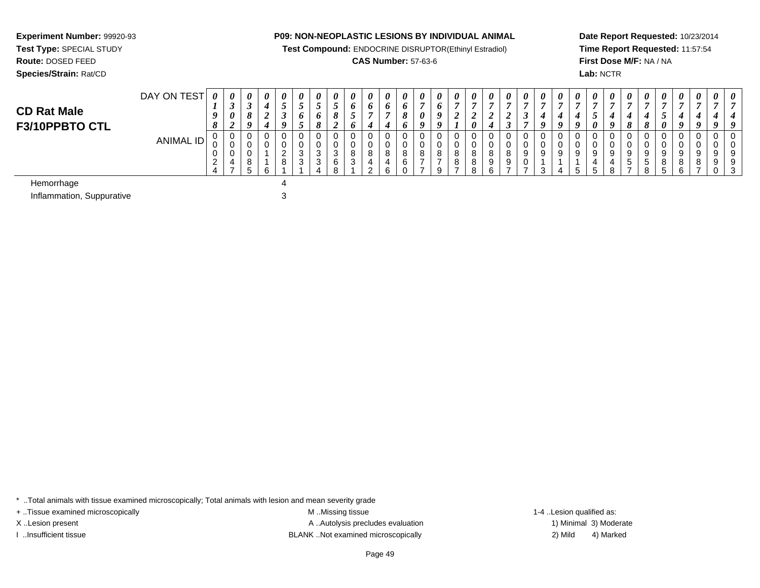**Experiment Number:** 99920-93**Test Type:** SPECIAL STUDY

**Route:** DOSED FEED

**Species/Strain:** Rat/CD

#### **P09: NON-NEOPLASTIC LESIONS BY INDIVIDUAL ANIMAL**

**Test Compound:** ENDOCRINE DISRUPTOR(Ethinyl Estradiol)

#### **CAS Number:** 57-63-6

**Date Report Requested:** 10/23/2014**Time Report Requested:** 11:57:54**First Dose M/F:** NA / NA**Lab:** NCTR

#### DAY ON TEST**CD Rat Male F3/10PPBTO CTL**ANIMAL ID*0 1 9 8* 0 0 0 2 4*0 3 0 2* 0 0 0 4 7*0 3 8 9* 0 0 0 8 5*0 4 2 4* 0 0 1 1 6*0 5 3 9* 0 0 2 8 1*0 5 6 5* 0 0 3 3 1*0 5 6 8* 0 0 3 3 4*0 5 8 2* 0 0 3 6 8*0 6 5 6*0<br>0<br>8<br>3<br>1 *0 6 7 4* 0 0 8 4 2*0 6 7 4* 0 0 8 4 6*0 6 8 6* 0 0 8 6 0*0 7 0 9* 0 0 8 7 7*0 6 9 9* 0 0 8 7 9*0 7 2 1* 0 0 8 8 7*0 7 2 0* 0 0 8 8 8*0 7 2 4* 0 0 8 9 6*0 7 2 3* 0 0 8 9 7*0 7 3 7* 0 0 9 0 7*0 7 4 9*0<br>0<br>9<br>1 3*0 7 4 9* 0 0 9 1 4*0 7 4 9* 0 0 9 1 5*0 7 5 0* 0 0 9 4 5*0 7 4 9* 0 0 9 4 8*0 7 4 8* 0 0 9 5 7*0 7 4 8* 0 0 9 5 8*0 7 5 0* 0 0 9 8 5*0 7 4 9* 0 0 9 8 6*0 7 4 9* 0 0 9 8 7*0 7 4 9* 0 0 9 9 0*0 7 4 9* 0 0 99 3

 $\overline{4}$ 

Hemorrhage $\epsilon$  and  $\epsilon$  and  $\epsilon$  and  $\epsilon$  and  $\epsilon$  and  $\epsilon$  and  $\epsilon$  and  $\epsilon$  and  $\epsilon$  and  $\epsilon$  and  $\epsilon$  and  $\epsilon$  and  $\epsilon$  and  $\epsilon$  and  $\epsilon$  and  $\epsilon$  and  $\epsilon$  and  $\epsilon$  and  $\epsilon$  and  $\epsilon$  and  $\epsilon$  and  $\epsilon$  and  $\epsilon$  and  $\epsilon$  and  $\epsilon$ 

Inflammation, Suppurative $\epsilon$  3

\* ..Total animals with tissue examined microscopically; Total animals with lesion and mean severity grade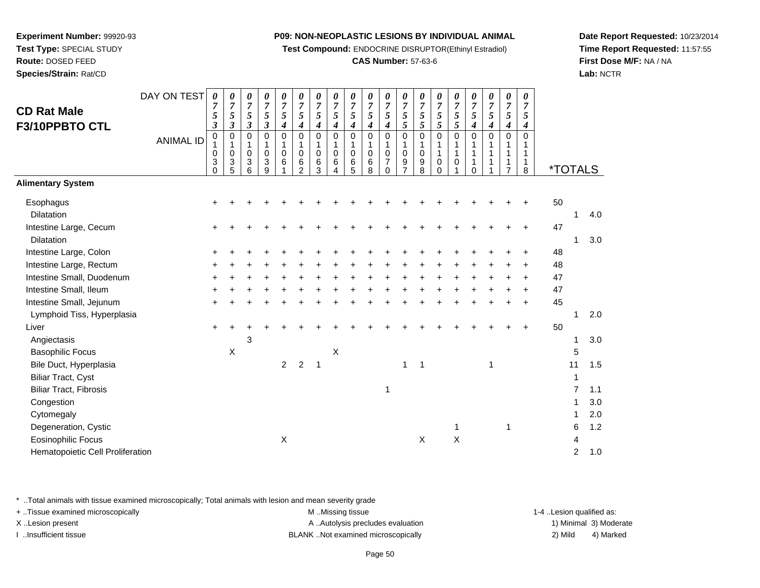**Test Compound:** ENDOCRINE DISRUPTOR(Ethinyl Estradiol)

#### **CAS Number:** 57-63-6

**Date Report Requested:** 10/23/2014**Time Report Requested:** 11:57:55**First Dose M/F:** NA / NA**Lab:** NCTR

| <b>CD Rat Male</b><br>F3/10PPBTO CTL                 | DAY ON TEST      | 0<br>5<br>3      | 0<br>$\overline{7}$<br>5<br>$\boldsymbol{\beta}$ | 0<br>$\overline{7}$<br>5<br>3 | 0<br>$\overline{7}$<br>5<br>$\boldsymbol{\beta}$ | 0<br>7<br>5<br>$\boldsymbol{4}$ | 0<br>$\overline{7}$<br>5<br>4                         | 0<br>$\overline{7}$<br>5<br>4 | 0<br>$\overline{7}$<br>5<br>$\boldsymbol{4}$ | 0<br>$\overline{7}$<br>5<br>$\boldsymbol{4}$ | 0<br>$\overline{7}$<br>$\sqrt{5}$<br>$\boldsymbol{4}$ | 0<br>$\overline{7}$<br>5<br>$\boldsymbol{4}$        | 0<br>$\overline{7}$<br>5<br>5 | 0<br>$\overline{7}$<br>5<br>5 | 0<br>$\overline{7}$<br>5<br>5                     | 0<br>$\overline{7}$<br>$\mathfrak{s}$<br>5 | 0<br>$\overline{7}$<br>5<br>$\boldsymbol{4}$ | 0<br>7<br>5<br>4         | 0<br>$\overline{7}$<br>5<br>$\boldsymbol{4}$       | 0<br>$\overline{7}$<br>5<br>$\boldsymbol{4}$ |          |                |                       |
|------------------------------------------------------|------------------|------------------|--------------------------------------------------|-------------------------------|--------------------------------------------------|---------------------------------|-------------------------------------------------------|-------------------------------|----------------------------------------------|----------------------------------------------|-------------------------------------------------------|-----------------------------------------------------|-------------------------------|-------------------------------|---------------------------------------------------|--------------------------------------------|----------------------------------------------|--------------------------|----------------------------------------------------|----------------------------------------------|----------|----------------|-----------------------|
|                                                      | <b>ANIMAL ID</b> | 0<br>0<br>3<br>0 | 0<br>1<br>0<br>3<br>5                            | 0<br>1<br>0<br>3<br>6         | $\mathbf 0$<br>$\mathbf 0$<br>3<br>9             | 0<br>1<br>0<br>6                | $\mathbf 0$<br>1<br>$\mathbf 0$<br>6<br>$\mathcal{P}$ | $\mathbf 0$<br>0<br>6<br>3    | 0<br>$\mathbf{1}$<br>$\mathbf 0$<br>6<br>4   | 0<br>0<br>6<br>5                             | 0<br>$\mathbf{1}$<br>$\pmb{0}$<br>$\,6\,$<br>8        | $\mathbf 0$<br>1<br>0<br>$\overline{7}$<br>$\Omega$ | 0<br>$\mathbf 0$<br>9         | 0<br>1<br>0<br>9<br>8         | $\mathbf 0$<br>1<br>$\mathbf{1}$<br>0<br>$\Omega$ | $\mathbf 0$<br>$\mathbf{1}$<br>0           | 0<br>$\mathbf{1}$<br>1<br>$\Omega$           | $\Omega$<br>$\mathbf{1}$ | $\mathbf 0$<br>$\mathbf{1}$<br>1<br>$\overline{7}$ | $\Omega$<br>1<br>1<br>8                      |          |                | <i><b>*TOTALS</b></i> |
| <b>Alimentary System</b>                             |                  |                  |                                                  |                               |                                                  |                                 |                                                       |                               |                                              |                                              |                                                       |                                                     |                               |                               |                                                   |                                            |                                              |                          |                                                    |                                              |          |                |                       |
| Esophagus<br>Dilatation                              |                  |                  |                                                  |                               |                                                  |                                 |                                                       |                               |                                              |                                              |                                                       |                                                     |                               |                               |                                                   |                                            |                                              |                          |                                                    |                                              | 50       | 1              | 4.0                   |
| Intestine Large, Cecum<br>Dilatation                 |                  |                  |                                                  |                               |                                                  |                                 |                                                       |                               |                                              |                                              |                                                       |                                                     |                               |                               |                                                   |                                            |                                              |                          |                                                    |                                              | 47       | 1              | 3.0                   |
| Intestine Large, Colon                               |                  |                  |                                                  |                               |                                                  |                                 |                                                       |                               |                                              |                                              |                                                       |                                                     |                               |                               |                                                   |                                            |                                              |                          |                                                    |                                              | 48       |                |                       |
| Intestine Large, Rectum<br>Intestine Small, Duodenum |                  |                  |                                                  |                               |                                                  |                                 |                                                       |                               |                                              |                                              |                                                       |                                                     |                               |                               |                                                   |                                            |                                              |                          |                                                    |                                              | 48<br>47 |                |                       |
| Intestine Small, Ileum                               |                  |                  |                                                  |                               |                                                  |                                 |                                                       |                               |                                              |                                              |                                                       |                                                     |                               |                               |                                                   |                                            |                                              |                          |                                                    |                                              | 47       |                |                       |
| Intestine Small, Jejunum                             |                  |                  |                                                  |                               |                                                  |                                 |                                                       |                               |                                              |                                              |                                                       |                                                     |                               |                               |                                                   |                                            |                                              |                          |                                                    | $\ddot{}$                                    | 45       |                |                       |
| Lymphoid Tiss, Hyperplasia                           |                  |                  |                                                  |                               |                                                  |                                 |                                                       |                               |                                              |                                              |                                                       |                                                     |                               |                               |                                                   |                                            |                                              |                          |                                                    |                                              |          | 1              | 2.0                   |
| Liver                                                |                  |                  |                                                  |                               |                                                  |                                 |                                                       |                               |                                              |                                              |                                                       |                                                     |                               |                               |                                                   |                                            |                                              |                          |                                                    |                                              | 50       |                |                       |
| Angiectasis                                          |                  |                  |                                                  | 3                             |                                                  |                                 |                                                       |                               |                                              |                                              |                                                       |                                                     |                               |                               |                                                   |                                            |                                              |                          |                                                    |                                              |          | 1              | 3.0                   |
| <b>Basophilic Focus</b>                              |                  |                  | $\boldsymbol{\mathsf{X}}$                        |                               |                                                  |                                 |                                                       |                               | X                                            |                                              |                                                       |                                                     |                               |                               |                                                   |                                            |                                              |                          |                                                    |                                              |          | 5              |                       |
| Bile Duct, Hyperplasia                               |                  |                  |                                                  |                               |                                                  | $\overline{2}$                  | $\overline{c}$                                        | $\overline{1}$                |                                              |                                              |                                                       |                                                     | 1                             | $\mathbf{1}$                  |                                                   |                                            |                                              | 1                        |                                                    |                                              |          | 11             | 1.5                   |
| <b>Biliar Tract, Cyst</b>                            |                  |                  |                                                  |                               |                                                  |                                 |                                                       |                               |                                              |                                              |                                                       |                                                     |                               |                               |                                                   |                                            |                                              |                          |                                                    |                                              |          | 1              |                       |
| <b>Biliar Tract, Fibrosis</b>                        |                  |                  |                                                  |                               |                                                  |                                 |                                                       |                               |                                              |                                              |                                                       | 1                                                   |                               |                               |                                                   |                                            |                                              |                          |                                                    |                                              |          | 7              | 1.1                   |
| Congestion                                           |                  |                  |                                                  |                               |                                                  |                                 |                                                       |                               |                                              |                                              |                                                       |                                                     |                               |                               |                                                   |                                            |                                              |                          |                                                    |                                              |          | 1              | 3.0                   |
| Cytomegaly                                           |                  |                  |                                                  |                               |                                                  |                                 |                                                       |                               |                                              |                                              |                                                       |                                                     |                               |                               |                                                   |                                            |                                              |                          |                                                    |                                              |          | 1              | 2.0                   |
| Degeneration, Cystic                                 |                  |                  |                                                  |                               |                                                  |                                 |                                                       |                               |                                              |                                              |                                                       |                                                     |                               |                               |                                                   | 1                                          |                                              |                          | 1                                                  |                                              |          | 6              | 1.2                   |
| <b>Eosinophilic Focus</b>                            |                  |                  |                                                  |                               |                                                  | $\boldsymbol{\mathsf{X}}$       |                                                       |                               |                                              |                                              |                                                       |                                                     |                               | X                             |                                                   | $\pmb{\times}$                             |                                              |                          |                                                    |                                              |          | 4              |                       |
| Hematopoietic Cell Proliferation                     |                  |                  |                                                  |                               |                                                  |                                 |                                                       |                               |                                              |                                              |                                                       |                                                     |                               |                               |                                                   |                                            |                                              |                          |                                                    |                                              |          | $\overline{2}$ | 1.0                   |

\* ..Total animals with tissue examined microscopically; Total animals with lesion and mean severity grade

+ ..Tissue examined microscopically examined microscopically examined as:  $M$  ..Missing tissue 1-4 ..Lesion qualified as:

**Experiment Number:** 99920-93**Test Type:** SPECIAL STUDY**Route:** DOSED FEED**Species/Strain:** Rat/CD

X..Lesion present **A ..Autolysis precludes evaluation** A ..Autolysis precludes evaluation 1) Minimal 3) Moderate

I ..Insufficient tissue BLANK ..Not examined microscopically 2) Mild 4) Marked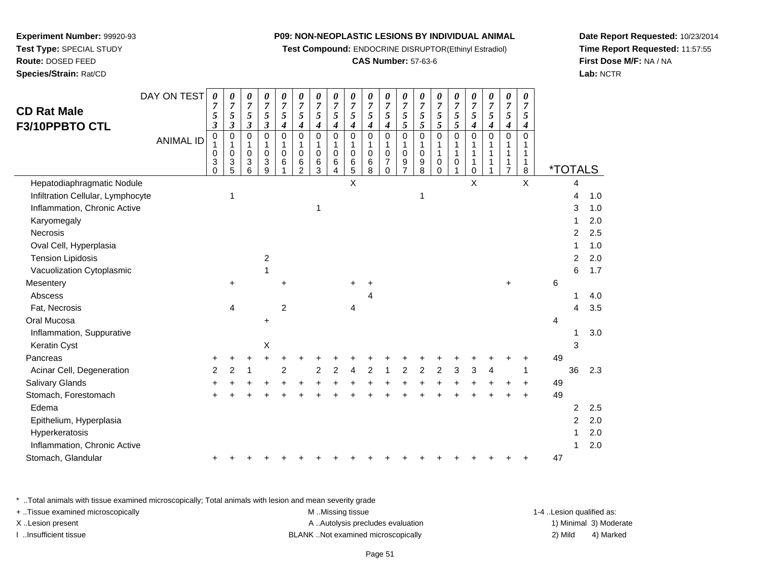**Test Compound:** ENDOCRINE DISRUPTOR(Ethinyl Estradiol)

#### **CAS Number:** 57-63-6

**Date Report Requested:** 10/23/2014**Time Report Requested:** 11:57:55**First Dose M/F:** NA / NA**Lab:** NCTR

| DAY ON TEST<br><b>CD Rat Male</b><br>F3/10PPBTO CTL | 0<br>$\overline{7}$<br>5<br>3 | 0<br>$\overline{7}$<br>5<br>3 | 0<br>$\boldsymbol{7}$<br>5<br>3 | 0<br>$\overline{7}$<br>5<br>$\boldsymbol{\beta}$ | 0<br>$\overline{7}$<br>5<br>4        | 0<br>$\overline{7}$<br>5<br>4                           | 0<br>$\overline{7}$<br>5<br>4   | 0<br>$\boldsymbol{7}$<br>5<br>4           | 0<br>$\overline{7}$<br>5<br>$\boldsymbol{4}$          | 0<br>$\overline{7}$<br>5<br>$\boldsymbol{4}$ | 0<br>$\overline{7}$<br>5<br>$\boldsymbol{4}$         | 0<br>$\overline{7}$<br>5<br>5      | 0<br>$\overline{7}$<br>5<br>5 | 0<br>$\boldsymbol{7}$<br>5<br>5 | 0<br>$\overline{7}$<br>5<br>5 | 0<br>$\overline{7}$<br>5<br>4 | 0<br>$\overline{7}$<br>$\sqrt{5}$<br>4 | 0<br>$\overline{7}$<br>5<br>4   | 0<br>$\overline{7}$<br>5<br>$\boldsymbol{4}$ |    |                       |     |
|-----------------------------------------------------|-------------------------------|-------------------------------|---------------------------------|--------------------------------------------------|--------------------------------------|---------------------------------------------------------|---------------------------------|-------------------------------------------|-------------------------------------------------------|----------------------------------------------|------------------------------------------------------|------------------------------------|-------------------------------|---------------------------------|-------------------------------|-------------------------------|----------------------------------------|---------------------------------|----------------------------------------------|----|-----------------------|-----|
| <b>ANIMAL ID</b>                                    | 0<br>0<br>3<br>$\Omega$       | 0<br>1<br>0<br>3<br>5         | 0<br>1<br>0<br>3<br>6           | 0<br>1<br>0<br>3<br>9                            | $\mathbf 0$<br>1<br>$\mathbf 0$<br>6 | $\mathbf 0$<br>$\mathbf{1}$<br>0<br>6<br>$\overline{2}$ | $\mathbf 0$<br>1<br>0<br>6<br>3 | $\mathbf 0$<br>1<br>$\mathbf 0$<br>6<br>4 | $\mathbf 0$<br>$\mathbf 1$<br>$\pmb{0}$<br>$6\over 5$ | $\mathbf 0$<br>1<br>0<br>6<br>8              | $\mathbf 0$<br>$\mathbf{1}$<br>0<br>7<br>$\mathbf 0$ | 0<br>1<br>0<br>9<br>$\overline{7}$ | 0<br>1<br>0<br>9<br>8         | 0<br>1<br>1<br>0<br>$\mathbf 0$ | 0<br>1<br>1<br>$\Omega$<br>1  | $\mathbf 0$<br>$\Omega$       | 0                                      | $\Omega$<br>1<br>$\overline{7}$ | $\mathbf 0$<br>$\mathbf 1$<br>1<br>8         |    | <i><b>*TOTALS</b></i> |     |
| Hepatodiaphragmatic Nodule                          |                               |                               |                                 |                                                  |                                      |                                                         |                                 |                                           | X                                                     |                                              |                                                      |                                    |                               |                                 |                               | X                             |                                        |                                 | X                                            |    | 4                     |     |
| Infiltration Cellular, Lymphocyte                   |                               | 1                             |                                 |                                                  |                                      |                                                         |                                 |                                           |                                                       |                                              |                                                      |                                    |                               |                                 |                               |                               |                                        |                                 |                                              |    | 4                     | 1.0 |
| Inflammation, Chronic Active                        |                               |                               |                                 |                                                  |                                      |                                                         | 1                               |                                           |                                                       |                                              |                                                      |                                    |                               |                                 |                               |                               |                                        |                                 |                                              |    | 3                     | 1.0 |
| Karyomegaly                                         |                               |                               |                                 |                                                  |                                      |                                                         |                                 |                                           |                                                       |                                              |                                                      |                                    |                               |                                 |                               |                               |                                        |                                 |                                              |    |                       | 2.0 |
| Necrosis                                            |                               |                               |                                 |                                                  |                                      |                                                         |                                 |                                           |                                                       |                                              |                                                      |                                    |                               |                                 |                               |                               |                                        |                                 |                                              |    | 2                     | 2.5 |
| Oval Cell, Hyperplasia                              |                               |                               |                                 |                                                  |                                      |                                                         |                                 |                                           |                                                       |                                              |                                                      |                                    |                               |                                 |                               |                               |                                        |                                 |                                              |    |                       | 1.0 |
| <b>Tension Lipidosis</b>                            |                               |                               |                                 | $\overline{c}$                                   |                                      |                                                         |                                 |                                           |                                                       |                                              |                                                      |                                    |                               |                                 |                               |                               |                                        |                                 |                                              |    | 2                     | 2.0 |
| Vacuolization Cytoplasmic                           |                               |                               |                                 | 1                                                |                                      |                                                         |                                 |                                           |                                                       |                                              |                                                      |                                    |                               |                                 |                               |                               |                                        |                                 |                                              |    | 6                     | 1.7 |
| Mesentery                                           |                               | $\pm$                         |                                 |                                                  | $\ddot{}$                            |                                                         |                                 |                                           | $\ddot{}$                                             | ÷                                            |                                                      |                                    |                               |                                 |                               |                               |                                        | $+$                             |                                              | 6  |                       |     |
| Abscess                                             |                               |                               |                                 |                                                  |                                      |                                                         |                                 |                                           |                                                       | Δ                                            |                                                      |                                    |                               |                                 |                               |                               |                                        |                                 |                                              |    |                       | 4.0 |
| Fat, Necrosis                                       |                               | 4                             |                                 |                                                  | 2                                    |                                                         |                                 |                                           | 4                                                     |                                              |                                                      |                                    |                               |                                 |                               |                               |                                        |                                 |                                              |    | 4                     | 3.5 |
| Oral Mucosa                                         |                               |                               |                                 | +                                                |                                      |                                                         |                                 |                                           |                                                       |                                              |                                                      |                                    |                               |                                 |                               |                               |                                        |                                 |                                              | 4  |                       |     |
| Inflammation, Suppurative                           |                               |                               |                                 |                                                  |                                      |                                                         |                                 |                                           |                                                       |                                              |                                                      |                                    |                               |                                 |                               |                               |                                        |                                 |                                              |    | 1                     | 3.0 |
| Keratin Cyst                                        |                               |                               |                                 | Χ                                                |                                      |                                                         |                                 |                                           |                                                       |                                              |                                                      |                                    |                               |                                 |                               |                               |                                        |                                 |                                              |    | 3                     |     |
| Pancreas                                            | +                             |                               |                                 |                                                  |                                      |                                                         |                                 |                                           |                                                       |                                              |                                                      |                                    |                               |                                 |                               |                               |                                        |                                 |                                              | 49 |                       |     |
| Acinar Cell, Degeneration                           | $\overline{c}$                | 2                             |                                 |                                                  | $\overline{2}$                       |                                                         | $\overline{c}$                  | $\overline{c}$                            | 4                                                     | $\overline{2}$                               |                                                      | $\overline{c}$                     | 2                             | $\overline{c}$                  | 3                             | 3                             |                                        |                                 |                                              |    | 36                    | 2.3 |
| <b>Salivary Glands</b>                              |                               |                               |                                 |                                                  |                                      |                                                         |                                 |                                           |                                                       |                                              |                                                      |                                    |                               |                                 |                               |                               |                                        |                                 |                                              | 49 |                       |     |
| Stomach, Forestomach                                |                               |                               |                                 |                                                  |                                      |                                                         |                                 |                                           |                                                       |                                              |                                                      |                                    |                               |                                 |                               |                               |                                        |                                 |                                              | 49 |                       |     |
| Edema                                               |                               |                               |                                 |                                                  |                                      |                                                         |                                 |                                           |                                                       |                                              |                                                      |                                    |                               |                                 |                               |                               |                                        |                                 |                                              |    | 2                     | 2.5 |
| Epithelium, Hyperplasia                             |                               |                               |                                 |                                                  |                                      |                                                         |                                 |                                           |                                                       |                                              |                                                      |                                    |                               |                                 |                               |                               |                                        |                                 |                                              |    | $\overline{2}$        | 2.0 |
| Hyperkeratosis                                      |                               |                               |                                 |                                                  |                                      |                                                         |                                 |                                           |                                                       |                                              |                                                      |                                    |                               |                                 |                               |                               |                                        |                                 |                                              |    |                       | 2.0 |
| Inflammation, Chronic Active                        |                               |                               |                                 |                                                  |                                      |                                                         |                                 |                                           |                                                       |                                              |                                                      |                                    |                               |                                 |                               |                               |                                        |                                 |                                              |    |                       | 2.0 |
| Stomach, Glandular                                  |                               |                               |                                 |                                                  |                                      |                                                         |                                 |                                           |                                                       |                                              |                                                      |                                    |                               |                                 |                               |                               |                                        |                                 |                                              | 47 |                       |     |

\* ..Total animals with tissue examined microscopically; Total animals with lesion and mean severity grade

**Experiment Number:** 99920-93**Test Type:** SPECIAL STUDY**Route:** DOSED FEED**Species/Strain:** Rat/CD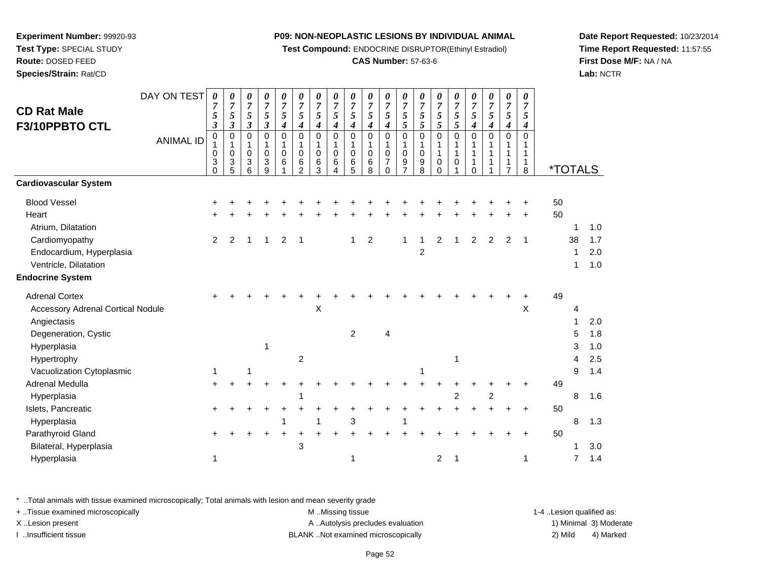**Test Compound:** ENDOCRINE DISRUPTOR(Ethinyl Estradiol)

#### **CAS Number:** 57-63-6

**Date Report Requested:** 10/23/2014**Time Report Requested:** 11:57:55**First Dose M/F:** NA / NA**Lab:** NCTR

| <b>CD Rat Male</b><br>F3/10PPBTO CTL     | DAY ON TEST<br><b>ANIMAL ID</b> | 0<br>7<br>5<br>3<br>0<br>1<br>0 | 0<br>$\overline{7}$<br>$\mathfrak{s}$<br>$\boldsymbol{\beta}$<br>$\pmb{0}$<br>1<br>$\mathbf 0$ | 0<br>$\overline{7}$<br>$\sqrt{5}$<br>$\mathfrak{z}$<br>$\pmb{0}$<br>1<br>$\mathbf 0$ | 0<br>$\overline{7}$<br>5<br>$\mathfrak{z}$<br>0<br>1<br>$\mathbf 0$ | $\boldsymbol{\theta}$<br>$\overline{7}$<br>5<br>$\boldsymbol{4}$<br>0<br>1<br>0 | 0<br>7<br>5<br>4<br>$\Omega$<br>$\mathbf 0$ | 0<br>7<br>5<br>4<br>0<br>1<br>0 | 0<br>$\overline{7}$<br>$\sqrt{5}$<br>$\boldsymbol{4}$<br>$\pmb{0}$<br>1<br>$\mathbf 0$ | 0<br>$\overline{7}$<br>$\sqrt{5}$<br>4<br>0<br>1<br>$\mathbf 0$ | $\boldsymbol{\theta}$<br>$\overline{7}$<br>5<br>$\boldsymbol{4}$<br>$\pmb{0}$<br>$\mathbf{1}$<br>$\pmb{0}$ | 0<br>$\overline{7}$<br>$\sqrt{5}$<br>$\boldsymbol{4}$<br>$\mathsf 0$<br>1<br>$\pmb{0}$ | 0<br>$\overline{7}$<br>$\sqrt{5}$<br>5<br>0<br>1<br>0 | 0<br>$\overline{7}$<br>$\sqrt{5}$<br>5<br>$\boldsymbol{0}$<br>1<br>0 | $\boldsymbol{\theta}$<br>$\overline{7}$<br>$\sqrt{5}$<br>5<br>$\mathsf 0$<br>1<br>$\mathbf{1}$ | $\boldsymbol{\theta}$<br>$\overline{7}$<br>$\sqrt{5}$<br>5<br>$\mathbf 0$<br>1<br>1 | 0<br>7<br>$\mathfrak{s}$<br>4<br>$\Omega$<br>1 | 0<br>$\overline{7}$<br>5<br>4<br>0<br>1 | 0<br>$\overline{7}$<br>5<br>4<br>0<br>1<br>1 | $\boldsymbol{\theta}$<br>$\overline{7}$<br>5<br>4<br>$\Omega$<br>1<br>1 |                       |    |     |
|------------------------------------------|---------------------------------|---------------------------------|------------------------------------------------------------------------------------------------|--------------------------------------------------------------------------------------|---------------------------------------------------------------------|---------------------------------------------------------------------------------|---------------------------------------------|---------------------------------|----------------------------------------------------------------------------------------|-----------------------------------------------------------------|------------------------------------------------------------------------------------------------------------|----------------------------------------------------------------------------------------|-------------------------------------------------------|----------------------------------------------------------------------|------------------------------------------------------------------------------------------------|-------------------------------------------------------------------------------------|------------------------------------------------|-----------------------------------------|----------------------------------------------|-------------------------------------------------------------------------|-----------------------|----|-----|
|                                          |                                 | 3<br>$\Omega$                   | 3<br>5                                                                                         | 3<br>6                                                                               | 3<br>9                                                              | 6                                                                               | $\,6$<br>$\mathfrak{p}$                     | 6<br>3                          | 6<br>4                                                                                 | 6<br>5                                                          | 6<br>8                                                                                                     | $\overline{7}$<br>$\Omega$                                                             | 9<br>$\overline{7}$                                   | 9<br>$\overline{8}$                                                  | $\,0\,$<br>$\Omega$                                                                            | 0                                                                                   | 1<br>$\Omega$                                  | 1                                       | 1<br>$\overline{7}$                          | 1<br>8                                                                  | <i><b>*TOTALS</b></i> |    |     |
| <b>Cardiovascular System</b>             |                                 |                                 |                                                                                                |                                                                                      |                                                                     |                                                                                 |                                             |                                 |                                                                                        |                                                                 |                                                                                                            |                                                                                        |                                                       |                                                                      |                                                                                                |                                                                                     |                                                |                                         |                                              |                                                                         |                       |    |     |
| <b>Blood Vessel</b>                      |                                 |                                 |                                                                                                |                                                                                      |                                                                     |                                                                                 |                                             |                                 |                                                                                        |                                                                 |                                                                                                            |                                                                                        |                                                       |                                                                      |                                                                                                |                                                                                     |                                                |                                         |                                              |                                                                         | 50                    |    |     |
| Heart                                    |                                 |                                 |                                                                                                |                                                                                      |                                                                     |                                                                                 |                                             |                                 |                                                                                        |                                                                 |                                                                                                            |                                                                                        |                                                       |                                                                      |                                                                                                |                                                                                     |                                                |                                         |                                              |                                                                         | 50                    |    |     |
| Atrium, Dilatation                       |                                 |                                 |                                                                                                |                                                                                      |                                                                     |                                                                                 |                                             |                                 |                                                                                        |                                                                 |                                                                                                            |                                                                                        |                                                       |                                                                      |                                                                                                |                                                                                     |                                                |                                         |                                              |                                                                         |                       | 1  | 1.0 |
| Cardiomyopathy                           |                                 | $\overline{2}$                  | 2                                                                                              | 1                                                                                    | 1                                                                   | $\overline{2}$                                                                  | 1                                           |                                 |                                                                                        | 1                                                               | $\overline{2}$                                                                                             |                                                                                        | 1                                                     |                                                                      | 2                                                                                              | 1                                                                                   | 2                                              | $\overline{c}$                          | $\overline{2}$                               |                                                                         |                       | 38 | 1.7 |
| Endocardium, Hyperplasia                 |                                 |                                 |                                                                                                |                                                                                      |                                                                     |                                                                                 |                                             |                                 |                                                                                        |                                                                 |                                                                                                            |                                                                                        |                                                       | $\overline{c}$                                                       |                                                                                                |                                                                                     |                                                |                                         |                                              |                                                                         |                       | 1  | 2.0 |
| Ventricle, Dilatation                    |                                 |                                 |                                                                                                |                                                                                      |                                                                     |                                                                                 |                                             |                                 |                                                                                        |                                                                 |                                                                                                            |                                                                                        |                                                       |                                                                      |                                                                                                |                                                                                     |                                                |                                         |                                              |                                                                         |                       | 1  | 1.0 |
| <b>Endocrine System</b>                  |                                 |                                 |                                                                                                |                                                                                      |                                                                     |                                                                                 |                                             |                                 |                                                                                        |                                                                 |                                                                                                            |                                                                                        |                                                       |                                                                      |                                                                                                |                                                                                     |                                                |                                         |                                              |                                                                         |                       |    |     |
| <b>Adrenal Cortex</b>                    |                                 |                                 |                                                                                                |                                                                                      |                                                                     |                                                                                 |                                             |                                 |                                                                                        |                                                                 |                                                                                                            |                                                                                        |                                                       |                                                                      |                                                                                                |                                                                                     |                                                |                                         |                                              |                                                                         | 49                    |    |     |
| <b>Accessory Adrenal Cortical Nodule</b> |                                 |                                 |                                                                                                |                                                                                      |                                                                     |                                                                                 |                                             | $\boldsymbol{\mathsf{X}}$       |                                                                                        |                                                                 |                                                                                                            |                                                                                        |                                                       |                                                                      |                                                                                                |                                                                                     |                                                |                                         |                                              | $\boldsymbol{\mathsf{X}}$                                               |                       | 4  |     |
| Angiectasis                              |                                 |                                 |                                                                                                |                                                                                      |                                                                     |                                                                                 |                                             |                                 |                                                                                        |                                                                 |                                                                                                            |                                                                                        |                                                       |                                                                      |                                                                                                |                                                                                     |                                                |                                         |                                              |                                                                         |                       | 1  | 2.0 |
| Degeneration, Cystic                     |                                 |                                 |                                                                                                |                                                                                      |                                                                     |                                                                                 |                                             |                                 |                                                                                        | 2                                                               |                                                                                                            | 4                                                                                      |                                                       |                                                                      |                                                                                                |                                                                                     |                                                |                                         |                                              |                                                                         |                       | 5  | 1.8 |
| Hyperplasia                              |                                 |                                 |                                                                                                |                                                                                      | 1                                                                   |                                                                                 |                                             |                                 |                                                                                        |                                                                 |                                                                                                            |                                                                                        |                                                       |                                                                      |                                                                                                |                                                                                     |                                                |                                         |                                              |                                                                         |                       | 3  | 1.0 |
| Hypertrophy                              |                                 |                                 |                                                                                                |                                                                                      |                                                                     |                                                                                 | $\overline{c}$                              |                                 |                                                                                        |                                                                 |                                                                                                            |                                                                                        |                                                       |                                                                      |                                                                                                | 1                                                                                   |                                                |                                         |                                              |                                                                         |                       | 4  | 2.5 |
| Vacuolization Cytoplasmic                |                                 |                                 |                                                                                                |                                                                                      |                                                                     |                                                                                 |                                             |                                 |                                                                                        |                                                                 |                                                                                                            |                                                                                        |                                                       | 1                                                                    |                                                                                                |                                                                                     |                                                |                                         |                                              |                                                                         |                       | 9  | 1.4 |
| Adrenal Medulla                          |                                 |                                 |                                                                                                |                                                                                      |                                                                     |                                                                                 |                                             |                                 |                                                                                        |                                                                 |                                                                                                            |                                                                                        |                                                       |                                                                      |                                                                                                |                                                                                     |                                                |                                         |                                              |                                                                         | 49                    |    |     |
| Hyperplasia                              |                                 |                                 |                                                                                                |                                                                                      |                                                                     |                                                                                 |                                             |                                 |                                                                                        |                                                                 |                                                                                                            |                                                                                        |                                                       |                                                                      |                                                                                                | $\overline{2}$                                                                      |                                                | $\overline{c}$                          |                                              |                                                                         |                       | 8  | 1.6 |
| Islets, Pancreatic                       |                                 |                                 |                                                                                                |                                                                                      |                                                                     |                                                                                 |                                             |                                 |                                                                                        |                                                                 |                                                                                                            |                                                                                        |                                                       |                                                                      |                                                                                                |                                                                                     |                                                |                                         |                                              | $\ddot{}$                                                               | 50                    |    |     |
| Hyperplasia                              |                                 |                                 |                                                                                                |                                                                                      |                                                                     |                                                                                 |                                             | 1                               |                                                                                        | 3                                                               |                                                                                                            |                                                                                        | 1                                                     |                                                                      |                                                                                                |                                                                                     |                                                |                                         |                                              |                                                                         |                       | 8  | 1.3 |
| Parathyroid Gland                        |                                 |                                 |                                                                                                |                                                                                      |                                                                     |                                                                                 |                                             |                                 |                                                                                        |                                                                 |                                                                                                            |                                                                                        |                                                       |                                                                      |                                                                                                |                                                                                     |                                                |                                         |                                              |                                                                         | 50                    |    |     |
| Bilateral, Hyperplasia                   |                                 |                                 |                                                                                                |                                                                                      |                                                                     |                                                                                 | 3                                           |                                 |                                                                                        |                                                                 |                                                                                                            |                                                                                        |                                                       |                                                                      |                                                                                                |                                                                                     |                                                |                                         |                                              |                                                                         |                       |    | 3.0 |
| Hyperplasia                              |                                 | 1                               |                                                                                                |                                                                                      |                                                                     |                                                                                 |                                             |                                 |                                                                                        | 1                                                               |                                                                                                            |                                                                                        |                                                       |                                                                      | $\overline{\mathbf{c}}$                                                                        | 1                                                                                   |                                                |                                         |                                              | 1                                                                       |                       | 7  | 1.4 |
|                                          |                                 |                                 |                                                                                                |                                                                                      |                                                                     |                                                                                 |                                             |                                 |                                                                                        |                                                                 |                                                                                                            |                                                                                        |                                                       |                                                                      |                                                                                                |                                                                                     |                                                |                                         |                                              |                                                                         |                       |    |     |

\* ..Total animals with tissue examined microscopically; Total animals with lesion and mean severity grade

**Experiment Number:** 99920-93**Test Type:** SPECIAL STUDY**Route:** DOSED FEED**Species/Strain:** Rat/CD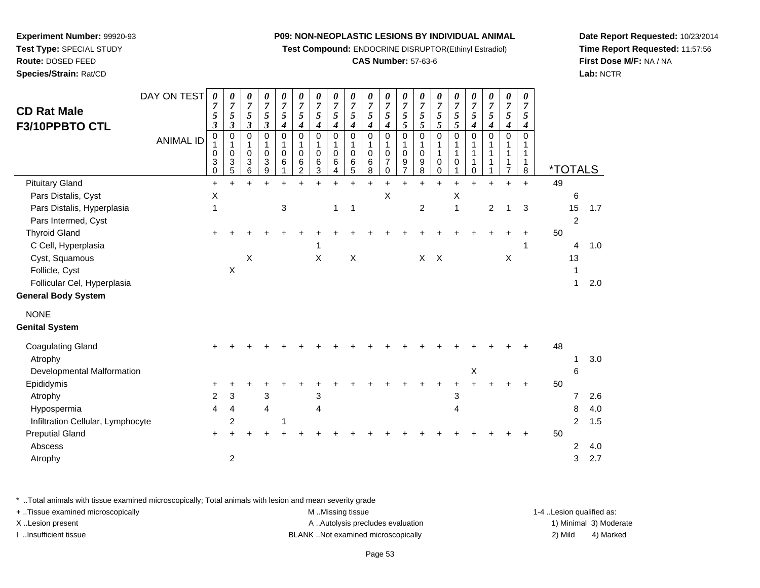**Test Compound:** ENDOCRINE DISRUPTOR(Ethinyl Estradiol)

#### **CAS Number:** 57-63-6

**Date Report Requested:** 10/23/2014**Time Report Requested:** 11:57:56**First Dose M/F:** NA / NA**Lab:** NCTR

| <b>CD Rat Male</b><br>F3/10PPBTO CTL              | DAY ON TEST      | 0<br>$\overline{7}$<br>5<br>3 | 0<br>$\boldsymbol{7}$<br>$\sqrt{5}$<br>3 | 0<br>$\overline{7}$<br>$\mathfrak{s}$<br>$\mathfrak{z}$ | 0<br>$\overline{7}$<br>$\sqrt{5}$<br>$\mathfrak{z}$  | 0<br>$\overline{7}$<br>$\sqrt{5}$<br>4 | 0<br>$\overline{7}$<br>5<br>4                  | 0<br>$\overline{7}$<br>5<br>4 | 0<br>$\overline{7}$<br>$\mathfrak{s}$<br>$\boldsymbol{4}$ | 0<br>$\overline{7}$<br>5<br>$\boldsymbol{4}$ | 0<br>$\overline{7}$<br>$\sqrt{5}$<br>4 | 0<br>$\overline{7}$<br>5<br>4                  | 0<br>$\overline{7}$<br>5<br>5 | 0<br>$\overline{7}$<br>5<br>5             | 0<br>$\overline{7}$<br>5<br>5             | 0<br>$\overline{7}$<br>$\sqrt{5}$<br>5 | 0<br>$\overline{7}$<br>5<br>4 | 0<br>$\overline{7}$<br>5<br>$\boldsymbol{4}$ | 0<br>$\overline{7}$<br>5<br>$\boldsymbol{4}$            | 0<br>$\overline{7}$<br>5<br>4 |    |                       |     |
|---------------------------------------------------|------------------|-------------------------------|------------------------------------------|---------------------------------------------------------|------------------------------------------------------|----------------------------------------|------------------------------------------------|-------------------------------|-----------------------------------------------------------|----------------------------------------------|----------------------------------------|------------------------------------------------|-------------------------------|-------------------------------------------|-------------------------------------------|----------------------------------------|-------------------------------|----------------------------------------------|---------------------------------------------------------|-------------------------------|----|-----------------------|-----|
|                                                   | <b>ANIMAL ID</b> | $\mathbf 0$<br>0<br>3<br>0    | 0<br>1<br>0<br>3<br>5                    | $\mathbf 0$<br>1<br>$\mathbf 0$<br>3<br>6               | $\mathbf 0$<br>$\mathbf{1}$<br>$\mathbf 0$<br>3<br>9 | $\Omega$<br>1<br>$\Omega$<br>6         | $\mathbf 0$<br>$\Omega$<br>6<br>$\overline{2}$ | 0<br>1<br>0<br>6<br>3         | $\mathbf 0$<br>$\mathbf{1}$<br>$\mathbf 0$<br>6<br>4      | 0<br>$\mathbf{1}$<br>$\mathbf 0$<br>6<br>5   | $\mathbf 0$<br>1<br>$\Omega$<br>6<br>8 | $\mathbf 0$<br>$\Omega$<br>$\overline{7}$<br>0 | 0<br>1<br>0<br>9<br>7         | $\mathbf 0$<br>1<br>$\mathbf 0$<br>9<br>8 | $\mathbf 0$<br>1<br>1<br>$\mathbf 0$<br>0 | $\Omega$<br>0                          | $\Omega$<br>0                 | 0<br>1<br>1<br>1                             | $\mathbf 0$<br>1<br>1<br>$\mathbf{1}$<br>$\overline{7}$ | $\mathbf 0$<br>1<br>1<br>8    |    | <i><b>*TOTALS</b></i> |     |
| <b>Pituitary Gland</b>                            |                  | $\ddot{}$                     |                                          |                                                         |                                                      |                                        |                                                | $\ddot{}$                     |                                                           | Ŧ.                                           | $\ddot{}$                              | +                                              | ÷                             |                                           | $\ddot{}$                                 | $+$                                    |                               | $\ddot{}$                                    |                                                         | $\ddot{}$                     | 49 |                       |     |
| Pars Distalis, Cyst                               |                  | Х                             |                                          |                                                         |                                                      |                                        |                                                |                               |                                                           |                                              |                                        | X                                              |                               |                                           |                                           | Χ                                      |                               |                                              |                                                         |                               |    | 6                     |     |
| Pars Distalis, Hyperplasia<br>Pars Intermed, Cyst |                  | 1                             |                                          |                                                         |                                                      | $\ensuremath{\mathsf{3}}$              |                                                |                               | 1                                                         | $\mathbf{1}$                                 |                                        |                                                |                               | $\overline{c}$                            |                                           | $\mathbf{1}$                           |                               | $\overline{c}$                               | 1                                                       | $\mathbf{3}$                  |    | 15<br>$\overline{c}$  | 1.7 |
| <b>Thyroid Gland</b>                              |                  |                               |                                          |                                                         |                                                      |                                        |                                                |                               |                                                           |                                              |                                        |                                                |                               |                                           |                                           |                                        |                               |                                              |                                                         |                               | 50 |                       |     |
| C Cell, Hyperplasia                               |                  |                               |                                          |                                                         |                                                      |                                        |                                                |                               |                                                           |                                              |                                        |                                                |                               |                                           |                                           |                                        |                               |                                              |                                                         | 1                             |    | 4                     | 1.0 |
| Cyst, Squamous                                    |                  |                               |                                          | $\mathsf X$                                             |                                                      |                                        |                                                | X                             |                                                           | $\mathsf X$                                  |                                        |                                                |                               | X                                         | $\mathsf{X}$                              |                                        |                               |                                              | $\pmb{\times}$                                          |                               |    | 13                    |     |
| Follicle, Cyst                                    |                  |                               | $\boldsymbol{\mathsf{X}}$                |                                                         |                                                      |                                        |                                                |                               |                                                           |                                              |                                        |                                                |                               |                                           |                                           |                                        |                               |                                              |                                                         |                               |    |                       |     |
| Follicular Cel, Hyperplasia                       |                  |                               |                                          |                                                         |                                                      |                                        |                                                |                               |                                                           |                                              |                                        |                                                |                               |                                           |                                           |                                        |                               |                                              |                                                         |                               |    | 1                     | 2.0 |
| <b>General Body System</b>                        |                  |                               |                                          |                                                         |                                                      |                                        |                                                |                               |                                                           |                                              |                                        |                                                |                               |                                           |                                           |                                        |                               |                                              |                                                         |                               |    |                       |     |
| <b>NONE</b>                                       |                  |                               |                                          |                                                         |                                                      |                                        |                                                |                               |                                                           |                                              |                                        |                                                |                               |                                           |                                           |                                        |                               |                                              |                                                         |                               |    |                       |     |
| <b>Genital System</b>                             |                  |                               |                                          |                                                         |                                                      |                                        |                                                |                               |                                                           |                                              |                                        |                                                |                               |                                           |                                           |                                        |                               |                                              |                                                         |                               |    |                       |     |
| <b>Coagulating Gland</b>                          |                  |                               |                                          |                                                         |                                                      |                                        |                                                |                               |                                                           |                                              |                                        |                                                |                               |                                           |                                           |                                        |                               |                                              |                                                         |                               | 48 |                       |     |
| Atrophy                                           |                  |                               |                                          |                                                         |                                                      |                                        |                                                |                               |                                                           |                                              |                                        |                                                |                               |                                           |                                           |                                        |                               |                                              |                                                         |                               |    | 1                     | 3.0 |
| Developmental Malformation                        |                  |                               |                                          |                                                         |                                                      |                                        |                                                |                               |                                                           |                                              |                                        |                                                |                               |                                           |                                           |                                        | Χ                             |                                              |                                                         |                               |    | 6                     |     |
| Epididymis                                        |                  |                               |                                          |                                                         |                                                      |                                        |                                                |                               |                                                           |                                              |                                        |                                                |                               |                                           |                                           |                                        |                               |                                              |                                                         |                               | 50 |                       |     |
| Atrophy                                           |                  | 2                             | 3                                        |                                                         | 3                                                    |                                        |                                                | 3                             |                                                           |                                              |                                        |                                                |                               |                                           |                                           | 3                                      |                               |                                              |                                                         |                               |    | 7                     | 2.6 |
| Hypospermia                                       |                  | $\overline{4}$                | 4                                        |                                                         | 4                                                    |                                        |                                                | 4                             |                                                           |                                              |                                        |                                                |                               |                                           |                                           | 4                                      |                               |                                              |                                                         |                               |    | 8                     | 4.0 |
| Infiltration Cellular, Lymphocyte                 |                  |                               | $\overline{c}$                           |                                                         |                                                      | 1                                      |                                                |                               |                                                           |                                              |                                        |                                                |                               |                                           |                                           |                                        |                               |                                              |                                                         |                               |    | $\overline{c}$        | 1.5 |
| <b>Preputial Gland</b>                            |                  | +                             |                                          |                                                         |                                                      |                                        |                                                |                               |                                                           |                                              |                                        |                                                |                               |                                           |                                           |                                        |                               |                                              |                                                         |                               | 50 |                       |     |
| Abscess                                           |                  |                               |                                          |                                                         |                                                      |                                        |                                                |                               |                                                           |                                              |                                        |                                                |                               |                                           |                                           |                                        |                               |                                              |                                                         |                               |    | 2                     | 4.0 |
| Atrophy                                           |                  |                               | $\overline{c}$                           |                                                         |                                                      |                                        |                                                |                               |                                                           |                                              |                                        |                                                |                               |                                           |                                           |                                        |                               |                                              |                                                         |                               |    | 3                     | 2.7 |

\* ..Total animals with tissue examined microscopically; Total animals with lesion and mean severity grade

**Experiment Number:** 99920-93**Test Type:** SPECIAL STUDY**Route:** DOSED FEED**Species/Strain:** Rat/CD

| + Tissue examined microscopically | M Missing tissue                   | 1-4 Lesion qualified as: |                        |
|-----------------------------------|------------------------------------|--------------------------|------------------------|
| X Lesion present                  | A Autolysis precludes evaluation   |                          | 1) Minimal 3) Moderate |
| …Insufficient tissue              | BLANK Not examined microscopically | 2) Mild                  | 4) Marked              |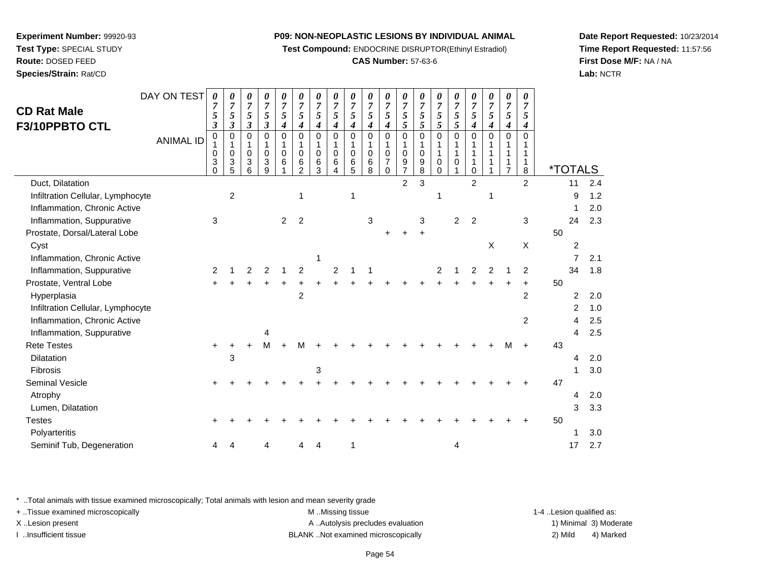**Test Compound:** ENDOCRINE DISRUPTOR(Ethinyl Estradiol)

#### **CAS Number:** 57-63-6

**Date Report Requested:** 10/23/2014**Time Report Requested:** 11:57:56**First Dose M/F:** NA / NA**Lab:** NCTR

| <b>CD Rat Male</b><br>F3/10PPBTO CTL | DAY ON TEST<br><b>ANIMAL ID</b> | 0<br>7<br>5<br>3<br>0<br>0<br>3 | 0<br>$\overline{7}$<br>$\mathfrak{s}$<br>3<br>0<br>1<br>0<br>$\mathbf{3}$ | 0<br>$\overline{7}$<br>5<br>3<br>0<br>1<br>$\mathbf 0$<br>3 | 0<br>$\overline{7}$<br>5<br>$\boldsymbol{\beta}$<br>$\Omega$<br>$\mathbf 0$<br>3 | 0<br>7<br>5<br>$\boldsymbol{4}$<br>$\Omega$<br>$\mathbf 0$<br>6 | 0<br>7<br>5<br>4<br>$\mathbf 0$<br>0<br>6 | 0<br>$\overline{7}$<br>5<br>$\boldsymbol{4}$<br>$\mathbf 0$<br>$\mathbf 0$<br>$\,6\,$ | 0<br>$\overline{7}$<br>5<br>4<br>$\mathbf 0$<br>$\mathbf 0$<br>6 | 0<br>$\overline{7}$<br>$\mathfrak{S}$<br>$\boldsymbol{4}$<br>$\mathbf 0$<br>$\mathbf 0$<br>6 | 0<br>$\overline{7}$<br>5<br>$\boldsymbol{4}$<br>0<br>$\mathbf 0$<br>$\,6$ | 0<br>7<br>5<br>4<br>$\mathbf 0$<br>$\mathbf 0$<br>$\overline{7}$ | 0<br>$\overline{7}$<br>$\mathfrak{s}$<br>5<br>$\Omega$<br>$\mathbf 0$<br>9 | 0<br>$\overline{7}$<br>5<br>5<br>$\Omega$<br>$\mathbf 0$<br>9 | 0<br>$\overline{7}$<br>$\mathfrak{s}$<br>5<br>0<br>$\mathbf{1}$<br>$\mathbf 0$ | 0<br>7<br>5<br>5<br>$\mathbf 0$<br>1<br>0 | 0<br>7<br>5<br>4<br>0 | 0<br>$\overline{7}$<br>5<br>4<br>$\Omega$<br>1 | 0<br>7<br>5<br>4<br>$\Omega$<br>1 | 0<br>$\overline{7}$<br>5<br>$\boldsymbol{4}$<br>$\Omega$<br>1<br>1 |                       |                |     |
|--------------------------------------|---------------------------------|---------------------------------|---------------------------------------------------------------------------|-------------------------------------------------------------|----------------------------------------------------------------------------------|-----------------------------------------------------------------|-------------------------------------------|---------------------------------------------------------------------------------------|------------------------------------------------------------------|----------------------------------------------------------------------------------------------|---------------------------------------------------------------------------|------------------------------------------------------------------|----------------------------------------------------------------------------|---------------------------------------------------------------|--------------------------------------------------------------------------------|-------------------------------------------|-----------------------|------------------------------------------------|-----------------------------------|--------------------------------------------------------------------|-----------------------|----------------|-----|
|                                      |                                 | 0                               | 5                                                                         | 6                                                           | 9                                                                                |                                                                 | $\overline{2}$                            | 3                                                                                     |                                                                  | 5                                                                                            | 8                                                                         | 0                                                                | $\overline{7}$                                                             | 8                                                             | $\Omega$                                                                       |                                           | 0                     |                                                | $\overline{7}$                    | 8                                                                  | <i><b>*TOTALS</b></i> |                |     |
| Duct, Dilatation                     |                                 |                                 |                                                                           |                                                             |                                                                                  |                                                                 |                                           |                                                                                       |                                                                  |                                                                                              |                                                                           |                                                                  | $\overline{2}$                                                             | 3                                                             |                                                                                |                                           | $\overline{2}$        |                                                |                                   | $\mathcal{P}$                                                      |                       | 11             | 2.4 |
| Infiltration Cellular, Lymphocyte    |                                 |                                 | $\overline{2}$                                                            |                                                             |                                                                                  |                                                                 | 1                                         |                                                                                       |                                                                  | -1                                                                                           |                                                                           |                                                                  |                                                                            |                                                               | 1                                                                              |                                           |                       | 1                                              |                                   |                                                                    |                       | 9              | 1.2 |
| Inflammation, Chronic Active         |                                 |                                 |                                                                           |                                                             |                                                                                  |                                                                 |                                           |                                                                                       |                                                                  |                                                                                              |                                                                           |                                                                  |                                                                            |                                                               |                                                                                |                                           |                       |                                                |                                   |                                                                    |                       |                | 2.0 |
| Inflammation, Suppurative            |                                 | 3                               |                                                                           |                                                             |                                                                                  | $\overline{2}$                                                  | $\overline{2}$                            |                                                                                       |                                                                  |                                                                                              | 3                                                                         |                                                                  |                                                                            | 3                                                             |                                                                                | $\overline{2}$                            | 2                     |                                                |                                   | 3                                                                  |                       | 24             | 2.3 |
| Prostate, Dorsal/Lateral Lobe        |                                 |                                 |                                                                           |                                                             |                                                                                  |                                                                 |                                           |                                                                                       |                                                                  |                                                                                              |                                                                           |                                                                  |                                                                            |                                                               |                                                                                |                                           |                       |                                                |                                   |                                                                    | 50                    |                |     |
| Cyst                                 |                                 |                                 |                                                                           |                                                             |                                                                                  |                                                                 |                                           |                                                                                       |                                                                  |                                                                                              |                                                                           |                                                                  |                                                                            |                                                               |                                                                                |                                           |                       | X                                              |                                   | X                                                                  |                       | $\overline{c}$ |     |
| Inflammation, Chronic Active         |                                 |                                 |                                                                           |                                                             |                                                                                  |                                                                 |                                           | $\mathbf 1$                                                                           |                                                                  |                                                                                              |                                                                           |                                                                  |                                                                            |                                                               |                                                                                |                                           |                       |                                                |                                   |                                                                    |                       | $\overline{7}$ | 2.1 |
| Inflammation, Suppurative            |                                 | 2                               |                                                                           | 2                                                           | 2                                                                                | 1                                                               | $\overline{2}$                            |                                                                                       | $\overline{c}$                                                   |                                                                                              | 1                                                                         |                                                                  |                                                                            |                                                               | 2                                                                              |                                           | 2                     | 2                                              |                                   | 2                                                                  |                       | 34             | 1.8 |
| Prostate, Ventral Lobe               |                                 |                                 |                                                                           |                                                             |                                                                                  | $\ddot{}$                                                       | $\ddot{}$                                 |                                                                                       |                                                                  |                                                                                              |                                                                           |                                                                  |                                                                            |                                                               |                                                                                |                                           |                       |                                                |                                   | $\ddot{}$                                                          | 50                    |                |     |
| Hyperplasia                          |                                 |                                 |                                                                           |                                                             |                                                                                  |                                                                 | $\overline{c}$                            |                                                                                       |                                                                  |                                                                                              |                                                                           |                                                                  |                                                                            |                                                               |                                                                                |                                           |                       |                                                |                                   | $\overline{c}$                                                     |                       | $\overline{c}$ | 2.0 |
| Infiltration Cellular, Lymphocyte    |                                 |                                 |                                                                           |                                                             |                                                                                  |                                                                 |                                           |                                                                                       |                                                                  |                                                                                              |                                                                           |                                                                  |                                                                            |                                                               |                                                                                |                                           |                       |                                                |                                   |                                                                    |                       | 2              | 1.0 |
| Inflammation, Chronic Active         |                                 |                                 |                                                                           |                                                             |                                                                                  |                                                                 |                                           |                                                                                       |                                                                  |                                                                                              |                                                                           |                                                                  |                                                                            |                                                               |                                                                                |                                           |                       |                                                |                                   | $\overline{2}$                                                     |                       | 4              | 2.5 |
| Inflammation, Suppurative            |                                 |                                 |                                                                           |                                                             | 4                                                                                |                                                                 |                                           |                                                                                       |                                                                  |                                                                                              |                                                                           |                                                                  |                                                                            |                                                               |                                                                                |                                           |                       |                                                |                                   |                                                                    |                       | 4              | 2.5 |
| <b>Rete Testes</b>                   |                                 | $+$                             |                                                                           |                                                             | M                                                                                |                                                                 | м                                         |                                                                                       |                                                                  |                                                                                              |                                                                           |                                                                  |                                                                            |                                                               |                                                                                |                                           |                       |                                                |                                   |                                                                    | 43                    |                |     |
| Dilatation                           |                                 |                                 | 3                                                                         |                                                             |                                                                                  |                                                                 |                                           |                                                                                       |                                                                  |                                                                                              |                                                                           |                                                                  |                                                                            |                                                               |                                                                                |                                           |                       |                                                |                                   |                                                                    |                       | 4              | 2.0 |
| Fibrosis                             |                                 |                                 |                                                                           |                                                             |                                                                                  |                                                                 |                                           | 3                                                                                     |                                                                  |                                                                                              |                                                                           |                                                                  |                                                                            |                                                               |                                                                                |                                           |                       |                                                |                                   |                                                                    |                       |                | 3.0 |
| <b>Seminal Vesicle</b>               |                                 |                                 |                                                                           |                                                             |                                                                                  |                                                                 |                                           |                                                                                       |                                                                  |                                                                                              |                                                                           |                                                                  |                                                                            |                                                               |                                                                                |                                           |                       |                                                |                                   |                                                                    | 47                    |                |     |
| Atrophy                              |                                 |                                 |                                                                           |                                                             |                                                                                  |                                                                 |                                           |                                                                                       |                                                                  |                                                                                              |                                                                           |                                                                  |                                                                            |                                                               |                                                                                |                                           |                       |                                                |                                   |                                                                    |                       | 4              | 2.0 |
| Lumen, Dilatation                    |                                 |                                 |                                                                           |                                                             |                                                                                  |                                                                 |                                           |                                                                                       |                                                                  |                                                                                              |                                                                           |                                                                  |                                                                            |                                                               |                                                                                |                                           |                       |                                                |                                   |                                                                    |                       | 3              | 3.3 |
| <b>Testes</b>                        |                                 |                                 |                                                                           |                                                             |                                                                                  |                                                                 |                                           |                                                                                       |                                                                  |                                                                                              |                                                                           |                                                                  |                                                                            |                                                               |                                                                                |                                           |                       |                                                |                                   |                                                                    | 50                    |                |     |
| Polyarteritis                        |                                 |                                 |                                                                           |                                                             |                                                                                  |                                                                 |                                           |                                                                                       |                                                                  |                                                                                              |                                                                           |                                                                  |                                                                            |                                                               |                                                                                |                                           |                       |                                                |                                   |                                                                    |                       |                | 3.0 |
| Seminif Tub, Degeneration            |                                 |                                 |                                                                           |                                                             |                                                                                  |                                                                 |                                           |                                                                                       |                                                                  |                                                                                              |                                                                           |                                                                  |                                                                            |                                                               |                                                                                | 4                                         |                       |                                                |                                   |                                                                    |                       | 17             | 2.7 |
|                                      |                                 |                                 |                                                                           |                                                             |                                                                                  |                                                                 |                                           |                                                                                       |                                                                  |                                                                                              |                                                                           |                                                                  |                                                                            |                                                               |                                                                                |                                           |                       |                                                |                                   |                                                                    |                       |                |     |

\* ..Total animals with tissue examined microscopically; Total animals with lesion and mean severity grade

**Experiment Number:** 99920-93**Test Type:** SPECIAL STUDY**Route:** DOSED FEED**Species/Strain:** Rat/CD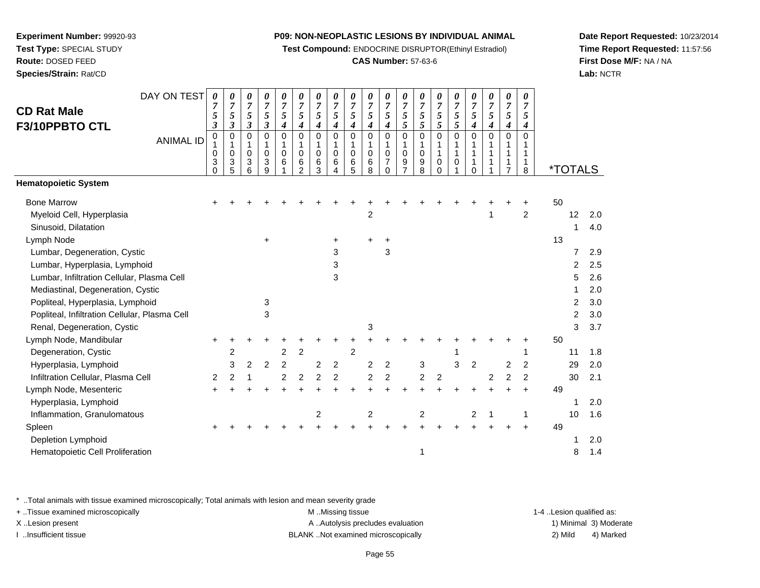**Test Compound:** ENDOCRINE DISRUPTOR(Ethinyl Estradiol)

#### **CAS Number:** 57-63-6

**Date Report Requested:** 10/23/2014**Time Report Requested:** 11:57:56**First Dose M/F:** NA / NA**Lab:** NCTR

| DAY ON TEST                                   | 0              | 0        | 0              | 0              | 0              | $\boldsymbol{\theta}$ | 0                     | 0                | 0              | 0                   | 0                     | 0               | 0                |                | 0             | 0        | 0              | 0              | 0              |                       |   |     |
|-----------------------------------------------|----------------|----------|----------------|----------------|----------------|-----------------------|-----------------------|------------------|----------------|---------------------|-----------------------|-----------------|------------------|----------------|---------------|----------|----------------|----------------|----------------|-----------------------|---|-----|
| <b>CD Rat Male</b>                            | 7              | 7        | $\overline{7}$ | $\overline{7}$ | 7              | $\overline{7}$        | $\overline{7}$        | $\overline{7}$   | $\overline{7}$ | $\overline{7}$<br>5 | 7                     | $\overline{7}$  | $\overline{7}$   | 7              | 7             | 7        | $\overline{7}$ | $\overline{7}$ | $\overline{7}$ |                       |   |     |
| F3/10PPBTO CTL                                | 5<br>3         | 5<br>3   | 5<br>3         | 5<br>3         | 5<br>4         | 5<br>4                | 5<br>$\boldsymbol{4}$ | 5<br>4           | 5<br>4         | 4                   | 5<br>$\boldsymbol{4}$ | 5<br>$\sqrt{5}$ | 5<br>5           | 5<br>5         | 5<br>5        | 5<br>4   | 5<br>4         | 5<br>4         | 5<br>4         |                       |   |     |
|                                               | 0              | $\Omega$ | 0              | $\Omega$       | $\Omega$       | $\Omega$              | $\Omega$              | $\Omega$         | $\Omega$       | $\Omega$            | $\Omega$              | $\Omega$        | $\mathbf 0$      | $\Omega$       | $\Omega$      | $\Omega$ | $\Omega$       | $\mathbf 0$    | $\Omega$       |                       |   |     |
| <b>ANIMAL ID</b>                              |                | 1        |                |                | 1              | 1                     | 1                     | 1                | 1              | 1                   | 1                     | 1               | 1                |                |               |          |                | 1              |                |                       |   |     |
|                                               | 0<br>3         | 0<br>3   | $\Omega$<br>3  | 0<br>3         | 0<br>6         | 0<br>6                | $\Omega$<br>6         | $\mathbf 0$<br>6 | 0<br>6         | 0<br>6              | $\Omega$<br>7         | $\Omega$<br>9   | $\mathbf 0$<br>9 | 1<br>0         | 1<br>$\Omega$ | 1        |                | 1              |                |                       |   |     |
|                                               | $\Omega$       | 5        | 6              | 9              |                | $\mathfrak{p}$        | 3                     | 4                | 5              | 8                   | $\Omega$              |                 | 8                | 0              |               | $\Omega$ |                | $\overline{7}$ | 8              | <i><b>*TOTALS</b></i> |   |     |
| <b>Hematopoietic System</b>                   |                |          |                |                |                |                       |                       |                  |                |                     |                       |                 |                  |                |               |          |                |                |                |                       |   |     |
| <b>Bone Marrow</b>                            |                |          |                |                |                |                       |                       |                  |                |                     |                       |                 |                  |                |               |          |                |                |                | 50                    |   |     |
| Myeloid Cell, Hyperplasia                     |                |          |                |                |                |                       |                       |                  |                | $\overline{2}$      |                       |                 |                  |                |               |          | 1              |                | $\overline{2}$ | 12                    |   | 2.0 |
| Sinusoid, Dilatation                          |                |          |                |                |                |                       |                       |                  |                |                     |                       |                 |                  |                |               |          |                |                |                |                       | 1 | 4.0 |
| Lymph Node                                    |                |          |                |                |                |                       |                       |                  |                | +                   |                       |                 |                  |                |               |          |                |                |                | 13                    |   |     |
| Lumbar, Degeneration, Cystic                  |                |          |                |                |                |                       |                       | 3                |                |                     | 3                     |                 |                  |                |               |          |                |                |                |                       | 7 | 2.9 |
| Lumbar, Hyperplasia, Lymphoid                 |                |          |                |                |                |                       |                       | 3                |                |                     |                       |                 |                  |                |               |          |                |                |                |                       | 2 | 2.5 |
| Lumbar, Infiltration Cellular, Plasma Cell    |                |          |                |                |                |                       |                       | 3                |                |                     |                       |                 |                  |                |               |          |                |                |                |                       | 5 | 2.6 |
| Mediastinal, Degeneration, Cystic             |                |          |                |                |                |                       |                       |                  |                |                     |                       |                 |                  |                |               |          |                |                |                |                       |   | 2.0 |
| Popliteal, Hyperplasia, Lymphoid              |                |          |                | 3              |                |                       |                       |                  |                |                     |                       |                 |                  |                |               |          |                |                |                |                       | 2 | 3.0 |
| Popliteal, Infiltration Cellular, Plasma Cell |                |          |                | 3              |                |                       |                       |                  |                |                     |                       |                 |                  |                |               |          |                |                |                |                       | 2 | 3.0 |
| Renal, Degeneration, Cystic                   |                |          |                |                |                |                       |                       |                  |                | 3                   |                       |                 |                  |                |               |          |                |                |                |                       | 3 | 3.7 |
| Lymph Node, Mandibular                        |                |          |                |                |                |                       |                       |                  |                |                     |                       |                 |                  |                |               |          |                |                |                | 50                    |   |     |
| Degeneration, Cystic                          |                | 2        |                |                | 2              | $\overline{2}$        |                       |                  | 2              |                     |                       |                 |                  |                | 1             |          |                |                |                | 11                    |   | 1.8 |
| Hyperplasia, Lymphoid                         |                | 3        | $\overline{2}$ | $\overline{2}$ | 2              |                       | $\overline{2}$        | $\overline{2}$   |                | 2                   | 2                     |                 | 3                |                | 3             | 2        |                | 2              | 2              | 29                    |   | 2.0 |
| Infiltration Cellular, Plasma Cell            | $\overline{2}$ | 2        |                |                | $\overline{2}$ | $\overline{2}$        | $\overline{2}$        | $\overline{2}$   |                | $\overline{c}$      | $\overline{2}$        |                 | $\overline{2}$   | $\overline{c}$ |               |          | $\overline{2}$ | $\overline{c}$ | $\overline{2}$ | 30                    |   | 2.1 |
| Lymph Node, Mesenteric                        |                |          |                |                |                |                       |                       |                  |                |                     |                       |                 |                  |                |               |          |                |                | $\ddot{}$      | 49                    |   |     |
| Hyperplasia, Lymphoid                         |                |          |                |                |                |                       |                       |                  |                |                     |                       |                 |                  |                |               |          |                |                |                | 1                     |   | 2.0 |
| Inflammation, Granulomatous                   |                |          |                |                |                |                       | 2                     |                  |                | 2                   |                       |                 | $\overline{c}$   |                |               | 2        |                |                |                | 10                    |   | 1.6 |
| Spleen                                        |                |          |                |                |                |                       |                       |                  |                |                     |                       |                 |                  |                |               |          |                |                |                | 49                    |   |     |
| Depletion Lymphoid                            |                |          |                |                |                |                       |                       |                  |                |                     |                       |                 |                  |                |               |          |                |                |                |                       |   | 2.0 |
| Hematopoietic Cell Proliferation              |                |          |                |                |                |                       |                       |                  |                |                     |                       |                 | 1                |                |               |          |                |                |                |                       | 8 | 1.4 |
|                                               |                |          |                |                |                |                       |                       |                  |                |                     |                       |                 |                  |                |               |          |                |                |                |                       |   |     |

\* ..Total animals with tissue examined microscopically; Total animals with lesion and mean severity grade

**Experiment Number:** 99920-93**Test Type:** SPECIAL STUDY**Route:** DOSED FEED**Species/Strain:** Rat/CD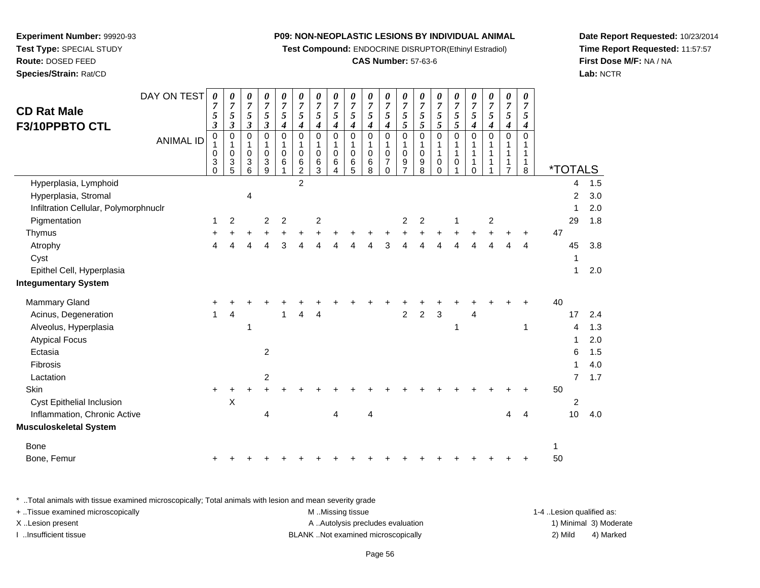**Test Compound:** ENDOCRINE DISRUPTOR(Ethinyl Estradiol)

#### **CAS Number:** 57-63-6

**Date Report Requested:** 10/23/2014**Time Report Requested:** 11:57:57**First Dose M/F:** NA / NA**Lab:** NCTR

| DAY ON TEST<br><b>CD Rat Male</b><br>F3/10PPBTO CTL<br><b>ANIMAL ID</b> | 0<br>7<br>5<br>3<br>0<br>0<br>3<br>$\Omega$ | 0<br>$\overline{7}$<br>$\mathfrak{s}$<br>3<br>0<br>1<br>$\mathbf 0$<br>3<br>5 | 0<br>$\overline{7}$<br>5<br>$\boldsymbol{\beta}$<br>0<br>1<br>$\mathbf 0$<br>3<br>6 | $\pmb{\theta}$<br>$\boldsymbol{7}$<br>$\mathfrak{s}$<br>$\mathfrak{z}$<br>$\mathbf 0$<br>1<br>0<br>3<br>9 | 0<br>$\overline{7}$<br>5<br>4<br>0<br>1<br>$\pmb{0}$<br>6 | 0<br>7<br>5<br>4<br>$\mathbf 0$<br>0<br>6<br>$\overline{c}$ | 0<br>$\overline{7}$<br>$\mathfrak{s}$<br>4<br>$\mathbf 0$<br>1<br>$\mathbf 0$<br>$\,6\,$<br>3 | 0<br>$\overline{7}$<br>5<br>$\boldsymbol{4}$<br>$\mathbf 0$<br>1<br>$\mathbf 0$<br>6<br>4 | 0<br>$\overline{7}$<br>5<br>$\boldsymbol{4}$<br>$\mathbf 0$<br>$\mathbf 0$<br>6<br>5 | 0<br>7<br>5<br>4<br>$\mathbf 0$<br>$\mathbf 0$<br>$\,6$<br>8 | 0<br>7<br>5<br>4<br>$\mathbf 0$<br>0<br>7<br>0 | 0<br>$\overline{7}$<br>$\sqrt{5}$<br>5<br>$\mathbf 0$<br>1<br>$\mathbf 0$<br>$\boldsymbol{9}$<br>$\overline{7}$ | 0<br>$\overline{7}$<br>5<br>5<br>$\mathbf 0$<br>1<br>0<br>9<br>8 | 0<br>$\overline{7}$<br>5<br>5<br>$\mathbf 0$<br>$\mathbf{1}$<br>0<br>$\mathbf 0$ | 0<br>7<br>5<br>5<br>0<br>$\mathbf{1}$<br>0 | 0<br>7<br>5<br>4<br>$\mathbf 0$<br>$\mathbf{1}$<br>$\mathbf 1$<br>$\Omega$ | 0<br>$\overline{7}$<br>5<br>$\boldsymbol{4}$<br>$\Omega$<br>1<br>1 | 0<br>$\overline{7}$<br>5<br>4<br>$\mathbf 0$<br>$\mathbf{1}$<br>-1<br>$\overline{7}$ | 0<br>$\overline{7}$<br>5<br>4<br>$\Omega$<br>$\mathbf{1}$<br>1<br>8 |              | <i><b>*TOTALS</b></i> |     |
|-------------------------------------------------------------------------|---------------------------------------------|-------------------------------------------------------------------------------|-------------------------------------------------------------------------------------|-----------------------------------------------------------------------------------------------------------|-----------------------------------------------------------|-------------------------------------------------------------|-----------------------------------------------------------------------------------------------|-------------------------------------------------------------------------------------------|--------------------------------------------------------------------------------------|--------------------------------------------------------------|------------------------------------------------|-----------------------------------------------------------------------------------------------------------------|------------------------------------------------------------------|----------------------------------------------------------------------------------|--------------------------------------------|----------------------------------------------------------------------------|--------------------------------------------------------------------|--------------------------------------------------------------------------------------|---------------------------------------------------------------------|--------------|-----------------------|-----|
| Hyperplasia, Lymphoid                                                   |                                             |                                                                               |                                                                                     |                                                                                                           |                                                           | $\overline{2}$                                              |                                                                                               |                                                                                           |                                                                                      |                                                              |                                                |                                                                                                                 |                                                                  |                                                                                  |                                            |                                                                            |                                                                    |                                                                                      |                                                                     |              | 4                     | 1.5 |
| Hyperplasia, Stromal                                                    |                                             |                                                                               | 4                                                                                   |                                                                                                           |                                                           |                                                             |                                                                                               |                                                                                           |                                                                                      |                                                              |                                                |                                                                                                                 |                                                                  |                                                                                  |                                            |                                                                            |                                                                    |                                                                                      |                                                                     |              | 2                     | 3.0 |
| Infiltration Cellular, Polymorphnuclr                                   |                                             |                                                                               |                                                                                     |                                                                                                           |                                                           |                                                             |                                                                                               |                                                                                           |                                                                                      |                                                              |                                                |                                                                                                                 |                                                                  |                                                                                  |                                            |                                                                            |                                                                    |                                                                                      |                                                                     |              | 1                     | 2.0 |
| Pigmentation                                                            | 1                                           | 2                                                                             |                                                                                     | $\overline{c}$                                                                                            | 2                                                         |                                                             | $\overline{c}$                                                                                |                                                                                           |                                                                                      |                                                              |                                                | 2                                                                                                               | 2                                                                |                                                                                  | 1                                          |                                                                            | $\overline{2}$                                                     |                                                                                      |                                                                     |              | 29                    | 1.8 |
| Thymus                                                                  | ٠                                           |                                                                               |                                                                                     |                                                                                                           |                                                           |                                                             |                                                                                               |                                                                                           |                                                                                      |                                                              |                                                |                                                                                                                 |                                                                  |                                                                                  |                                            |                                                                            |                                                                    |                                                                                      |                                                                     | 47           |                       |     |
| Atrophy                                                                 | 4                                           | Δ                                                                             |                                                                                     | Δ                                                                                                         | 3                                                         |                                                             | Δ                                                                                             |                                                                                           | Δ                                                                                    | 4                                                            | 3                                              | Δ                                                                                                               |                                                                  |                                                                                  | $\lambda$                                  |                                                                            |                                                                    |                                                                                      | 4                                                                   |              | 45                    | 3.8 |
| Cyst                                                                    |                                             |                                                                               |                                                                                     |                                                                                                           |                                                           |                                                             |                                                                                               |                                                                                           |                                                                                      |                                                              |                                                |                                                                                                                 |                                                                  |                                                                                  |                                            |                                                                            |                                                                    |                                                                                      |                                                                     |              | 1                     |     |
| Epithel Cell, Hyperplasia                                               |                                             |                                                                               |                                                                                     |                                                                                                           |                                                           |                                                             |                                                                                               |                                                                                           |                                                                                      |                                                              |                                                |                                                                                                                 |                                                                  |                                                                                  |                                            |                                                                            |                                                                    |                                                                                      |                                                                     |              | 1                     | 2.0 |
| <b>Integumentary System</b>                                             |                                             |                                                                               |                                                                                     |                                                                                                           |                                                           |                                                             |                                                                                               |                                                                                           |                                                                                      |                                                              |                                                |                                                                                                                 |                                                                  |                                                                                  |                                            |                                                                            |                                                                    |                                                                                      |                                                                     |              |                       |     |
| Mammary Gland                                                           | +                                           |                                                                               |                                                                                     |                                                                                                           |                                                           |                                                             |                                                                                               |                                                                                           |                                                                                      |                                                              |                                                |                                                                                                                 |                                                                  |                                                                                  |                                            |                                                                            |                                                                    |                                                                                      |                                                                     | 40           |                       |     |
| Acinus, Degeneration                                                    | $\mathbf 1$                                 | 4                                                                             |                                                                                     |                                                                                                           |                                                           | 4                                                           | $\overline{4}$                                                                                |                                                                                           |                                                                                      |                                                              |                                                | $\overline{c}$                                                                                                  | $\overline{2}$                                                   | $\mathbf{3}$                                                                     |                                            | 4                                                                          |                                                                    |                                                                                      |                                                                     |              | 17                    | 2.4 |
| Alveolus, Hyperplasia                                                   |                                             |                                                                               | 1                                                                                   |                                                                                                           |                                                           |                                                             |                                                                                               |                                                                                           |                                                                                      |                                                              |                                                |                                                                                                                 |                                                                  |                                                                                  | 1                                          |                                                                            |                                                                    |                                                                                      | 1                                                                   |              | 4                     | 1.3 |
| <b>Atypical Focus</b>                                                   |                                             |                                                                               |                                                                                     |                                                                                                           |                                                           |                                                             |                                                                                               |                                                                                           |                                                                                      |                                                              |                                                |                                                                                                                 |                                                                  |                                                                                  |                                            |                                                                            |                                                                    |                                                                                      |                                                                     |              |                       | 2.0 |
| Ectasia                                                                 |                                             |                                                                               |                                                                                     | 2                                                                                                         |                                                           |                                                             |                                                                                               |                                                                                           |                                                                                      |                                                              |                                                |                                                                                                                 |                                                                  |                                                                                  |                                            |                                                                            |                                                                    |                                                                                      |                                                                     |              | 6                     | 1.5 |
| Fibrosis                                                                |                                             |                                                                               |                                                                                     |                                                                                                           |                                                           |                                                             |                                                                                               |                                                                                           |                                                                                      |                                                              |                                                |                                                                                                                 |                                                                  |                                                                                  |                                            |                                                                            |                                                                    |                                                                                      |                                                                     |              | 1                     | 4.0 |
| Lactation                                                               |                                             |                                                                               |                                                                                     | $\overline{c}$                                                                                            |                                                           |                                                             |                                                                                               |                                                                                           |                                                                                      |                                                              |                                                |                                                                                                                 |                                                                  |                                                                                  |                                            |                                                                            |                                                                    |                                                                                      |                                                                     |              | 7                     | 1.7 |
| Skin                                                                    | $\ddot{}$                                   |                                                                               |                                                                                     |                                                                                                           |                                                           |                                                             |                                                                                               |                                                                                           |                                                                                      |                                                              |                                                |                                                                                                                 |                                                                  |                                                                                  |                                            |                                                                            |                                                                    |                                                                                      |                                                                     | 50           |                       |     |
| Cyst Epithelial Inclusion                                               |                                             | X                                                                             |                                                                                     |                                                                                                           |                                                           |                                                             |                                                                                               |                                                                                           |                                                                                      |                                                              |                                                |                                                                                                                 |                                                                  |                                                                                  |                                            |                                                                            |                                                                    |                                                                                      |                                                                     |              | $\overline{c}$        |     |
| Inflammation, Chronic Active                                            |                                             |                                                                               |                                                                                     | 4                                                                                                         |                                                           |                                                             |                                                                                               | Δ                                                                                         |                                                                                      | 4                                                            |                                                |                                                                                                                 |                                                                  |                                                                                  |                                            |                                                                            |                                                                    | 4                                                                                    | 4                                                                   |              | 10                    | 4.0 |
| <b>Musculoskeletal System</b>                                           |                                             |                                                                               |                                                                                     |                                                                                                           |                                                           |                                                             |                                                                                               |                                                                                           |                                                                                      |                                                              |                                                |                                                                                                                 |                                                                  |                                                                                  |                                            |                                                                            |                                                                    |                                                                                      |                                                                     |              |                       |     |
| <b>Bone</b>                                                             |                                             |                                                                               |                                                                                     |                                                                                                           |                                                           |                                                             |                                                                                               |                                                                                           |                                                                                      |                                                              |                                                |                                                                                                                 |                                                                  |                                                                                  |                                            |                                                                            |                                                                    |                                                                                      |                                                                     | $\mathbf{1}$ |                       |     |
| Bone, Femur                                                             |                                             |                                                                               |                                                                                     |                                                                                                           |                                                           |                                                             |                                                                                               |                                                                                           |                                                                                      |                                                              |                                                |                                                                                                                 |                                                                  |                                                                                  |                                            |                                                                            |                                                                    |                                                                                      |                                                                     | 50           |                       |     |

\* ..Total animals with tissue examined microscopically; Total animals with lesion and mean severity grade

**Experiment Number:** 99920-93**Test Type:** SPECIAL STUDY**Route:** DOSED FEED**Species/Strain:** Rat/CD

| + Tissue examined microscopically | M Missing tissue                   | 1-4 Lesion qualified as: |                        |
|-----------------------------------|------------------------------------|--------------------------|------------------------|
| X Lesion present                  | A Autolysis precludes evaluation   |                          | 1) Minimal 3) Moderate |
| Insufficient tissue               | BLANK Not examined microscopically | 2) Mild                  | 4) Marked              |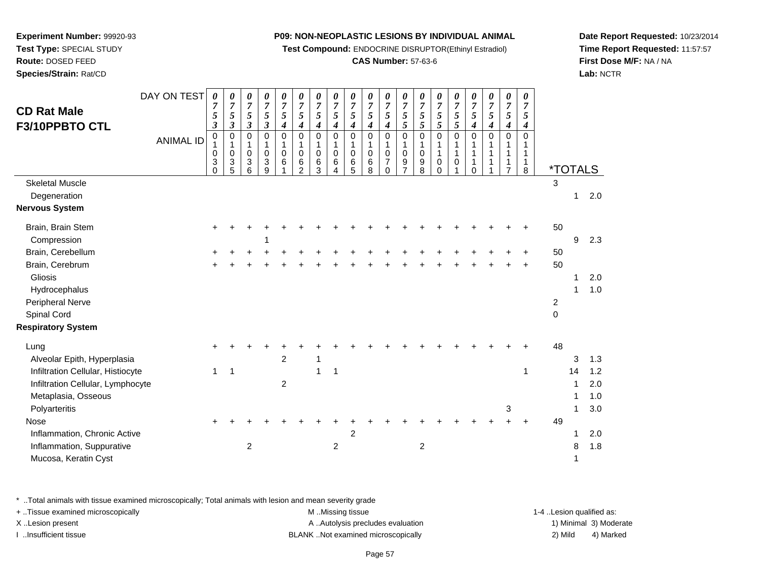**Test Compound:** ENDOCRINE DISRUPTOR(Ethinyl Estradiol)

#### **CAS Number:** 57-63-6

**Date Report Requested:** 10/23/2014**Time Report Requested:** 11:57:57**First Dose M/F:** NA / NA**Lab:** NCTR

| <b>CD Rat Male</b><br>F3/10PPBTO CTL                            | DAY ON TEST      | $\boldsymbol{\theta}$<br>7<br>$\sqrt{5}$<br>$\boldsymbol{\beta}$ | 0<br>$\overline{7}$<br>$\mathfrak{s}$<br>3 | 0<br>$\overline{7}$<br>$\sqrt{5}$<br>$\boldsymbol{\beta}$ | 0<br>$\overline{7}$<br>5<br>$\boldsymbol{\beta}$    | 0<br>$\overline{7}$<br>$\mathfrak{s}$<br>$\boldsymbol{4}$ | 0<br>$\overline{7}$<br>5<br>4           | 0<br>$\overline{7}$<br>5<br>4             | 0<br>$\overline{7}$<br>5<br>4        | 0<br>$\overline{7}$<br>5<br>$\boldsymbol{4}$ | 0<br>$\overline{7}$<br>5<br>$\boldsymbol{4}$ | 0<br>$\overline{7}$<br>$\sqrt{5}$<br>4                        | 0<br>$\overline{7}$<br>5<br>5        | 0<br>$\overline{7}$<br>5<br>5                            | 0<br>$\overline{7}$<br>5<br>5 | 0<br>$\overline{7}$<br>$\sqrt{5}$<br>5 | $\boldsymbol{\theta}$<br>$\overline{7}$<br>5<br>$\boldsymbol{4}$ | 0<br>7<br>5<br>4                 | 0<br>$\overline{7}$<br>5<br>4 | 0<br>$\overline{7}$<br>5<br>4               |                       |                  |     |
|-----------------------------------------------------------------|------------------|------------------------------------------------------------------|--------------------------------------------|-----------------------------------------------------------|-----------------------------------------------------|-----------------------------------------------------------|-----------------------------------------|-------------------------------------------|--------------------------------------|----------------------------------------------|----------------------------------------------|---------------------------------------------------------------|--------------------------------------|----------------------------------------------------------|-------------------------------|----------------------------------------|------------------------------------------------------------------|----------------------------------|-------------------------------|---------------------------------------------|-----------------------|------------------|-----|
|                                                                 | <b>ANIMAL ID</b> | $\pmb{0}$<br>0<br>3<br>$\Omega$                                  | $\pmb{0}$<br>1<br>$\mathbf 0$<br>3<br>5    | $\mathbf 0$<br>1<br>$\mathbf 0$<br>3<br>6                 | $\mathbf 0$<br>$\mathbf 1$<br>$\mathbf 0$<br>3<br>9 | $\mathbf 0$<br>$\mathbf 0$<br>6                           | 0<br>$\mathbf 0$<br>6<br>$\overline{2}$ | $\mathbf 0$<br>1<br>$\mathbf 0$<br>6<br>3 | $\mathbf 0$<br>1<br>$\mathbf 0$<br>6 | $\overline{0}$<br>$\mathbf 0$<br>6<br>5      | $\mathbf 0$<br>1<br>$\mathsf 0$<br>6<br>8    | $\mathbf 0$<br>1<br>$\mathbf 0$<br>$\overline{7}$<br>$\Omega$ | $\mathbf 0$<br>1<br>$\mathbf 0$<br>9 | $\mathbf 0$<br>1<br>$\mathbf 0$<br>$\boldsymbol{9}$<br>8 | 0<br>1<br>1<br>0<br>0         | 0<br>1<br>$\mathbf{1}$<br>0            | $\Omega$<br>1<br>1<br>$\Omega$                                   | $\mathbf 0$<br>$\mathbf{1}$<br>1 | $\mathbf 0$<br>1<br>1<br>7    | 0<br>1<br>$\mathbf{1}$<br>$\mathbf{1}$<br>8 | <i><b>*TOTALS</b></i> |                  |     |
| <b>Skeletal Muscle</b><br>Degeneration<br><b>Nervous System</b> |                  |                                                                  |                                            |                                                           |                                                     |                                                           |                                         |                                           |                                      |                                              |                                              |                                                               |                                      |                                                          |                               |                                        |                                                                  |                                  |                               |                                             | 3                     | $\mathbf{1}$     | 2.0 |
| Brain, Brain Stem                                               |                  | $\pm$                                                            |                                            |                                                           |                                                     |                                                           |                                         |                                           |                                      |                                              |                                              |                                                               |                                      |                                                          |                               |                                        |                                                                  |                                  |                               |                                             | 50                    |                  |     |
| Compression                                                     |                  |                                                                  |                                            |                                                           |                                                     |                                                           |                                         |                                           |                                      |                                              |                                              |                                                               |                                      |                                                          |                               |                                        |                                                                  |                                  |                               |                                             |                       | $\boldsymbol{9}$ | 2.3 |
| Brain, Cerebellum                                               |                  |                                                                  |                                            |                                                           |                                                     |                                                           |                                         |                                           |                                      |                                              |                                              |                                                               |                                      |                                                          |                               |                                        |                                                                  |                                  |                               |                                             | 50                    |                  |     |
| Brain, Cerebrum                                                 |                  |                                                                  |                                            |                                                           |                                                     |                                                           |                                         |                                           |                                      |                                              |                                              |                                                               |                                      |                                                          |                               |                                        |                                                                  |                                  |                               |                                             | 50                    |                  |     |
| Gliosis                                                         |                  |                                                                  |                                            |                                                           |                                                     |                                                           |                                         |                                           |                                      |                                              |                                              |                                                               |                                      |                                                          |                               |                                        |                                                                  |                                  |                               |                                             |                       | 1                | 2.0 |
| Hydrocephalus                                                   |                  |                                                                  |                                            |                                                           |                                                     |                                                           |                                         |                                           |                                      |                                              |                                              |                                                               |                                      |                                                          |                               |                                        |                                                                  |                                  |                               |                                             |                       | 1                | 1.0 |
| Peripheral Nerve                                                |                  |                                                                  |                                            |                                                           |                                                     |                                                           |                                         |                                           |                                      |                                              |                                              |                                                               |                                      |                                                          |                               |                                        |                                                                  |                                  |                               |                                             | $\overline{c}$        |                  |     |
| Spinal Cord                                                     |                  |                                                                  |                                            |                                                           |                                                     |                                                           |                                         |                                           |                                      |                                              |                                              |                                                               |                                      |                                                          |                               |                                        |                                                                  |                                  |                               |                                             | $\mathbf 0$           |                  |     |
| <b>Respiratory System</b>                                       |                  |                                                                  |                                            |                                                           |                                                     |                                                           |                                         |                                           |                                      |                                              |                                              |                                                               |                                      |                                                          |                               |                                        |                                                                  |                                  |                               |                                             |                       |                  |     |
| Lung                                                            |                  |                                                                  |                                            |                                                           |                                                     |                                                           |                                         |                                           |                                      |                                              |                                              |                                                               |                                      |                                                          |                               |                                        |                                                                  |                                  |                               |                                             | 48                    |                  |     |
| Alveolar Epith, Hyperplasia                                     |                  |                                                                  |                                            |                                                           |                                                     | $\overline{2}$                                            |                                         | 1                                         |                                      |                                              |                                              |                                                               |                                      |                                                          |                               |                                        |                                                                  |                                  |                               |                                             |                       | 3                | 1.3 |
| Infiltration Cellular, Histiocyte                               |                  | $\mathbf{1}$                                                     | $\overline{1}$                             |                                                           |                                                     |                                                           |                                         | 1                                         | $\overline{1}$                       |                                              |                                              |                                                               |                                      |                                                          |                               |                                        |                                                                  |                                  |                               | 1                                           |                       | 14               | 1.2 |
| Infiltration Cellular, Lymphocyte                               |                  |                                                                  |                                            |                                                           |                                                     | $\overline{c}$                                            |                                         |                                           |                                      |                                              |                                              |                                                               |                                      |                                                          |                               |                                        |                                                                  |                                  |                               |                                             |                       | 1                | 2.0 |
| Metaplasia, Osseous                                             |                  |                                                                  |                                            |                                                           |                                                     |                                                           |                                         |                                           |                                      |                                              |                                              |                                                               |                                      |                                                          |                               |                                        |                                                                  |                                  |                               |                                             |                       | 1                | 1.0 |
| Polyarteritis                                                   |                  |                                                                  |                                            |                                                           |                                                     |                                                           |                                         |                                           |                                      |                                              |                                              |                                                               |                                      |                                                          |                               |                                        |                                                                  |                                  | 3                             |                                             |                       | 1                | 3.0 |
| Nose                                                            |                  |                                                                  |                                            |                                                           |                                                     |                                                           |                                         |                                           |                                      |                                              |                                              |                                                               |                                      |                                                          |                               |                                        |                                                                  |                                  |                               |                                             | 49                    |                  |     |
| Inflammation, Chronic Active                                    |                  |                                                                  |                                            |                                                           |                                                     |                                                           |                                         |                                           |                                      | $\overline{2}$                               |                                              |                                                               |                                      |                                                          |                               |                                        |                                                                  |                                  |                               |                                             |                       | 1                | 2.0 |
| Inflammation, Suppurative                                       |                  |                                                                  |                                            | $\overline{\mathbf{c}}$                                   |                                                     |                                                           |                                         |                                           | $\overline{c}$                       |                                              |                                              |                                                               |                                      | $\overline{c}$                                           |                               |                                        |                                                                  |                                  |                               |                                             |                       | 8                | 1.8 |
| Mucosa, Keratin Cyst                                            |                  |                                                                  |                                            |                                                           |                                                     |                                                           |                                         |                                           |                                      |                                              |                                              |                                                               |                                      |                                                          |                               |                                        |                                                                  |                                  |                               |                                             |                       | $\mathbf{1}$     |     |

\* ..Total animals with tissue examined microscopically; Total animals with lesion and mean severity grade

**Experiment Number:** 99920-93**Test Type:** SPECIAL STUDY**Route:** DOSED FEED**Species/Strain:** Rat/CD

| + Tissue examined microscopically | M Missing tissue                  | 1-4 Lesion qualified as: |                        |
|-----------------------------------|-----------------------------------|--------------------------|------------------------|
| X Lesion present                  | A Autolysis precludes evaluation  |                          | 1) Minimal 3) Moderate |
| Insufficient tissue               | BLANKNot examined microscopically | 2) Mild                  | 4) Marked              |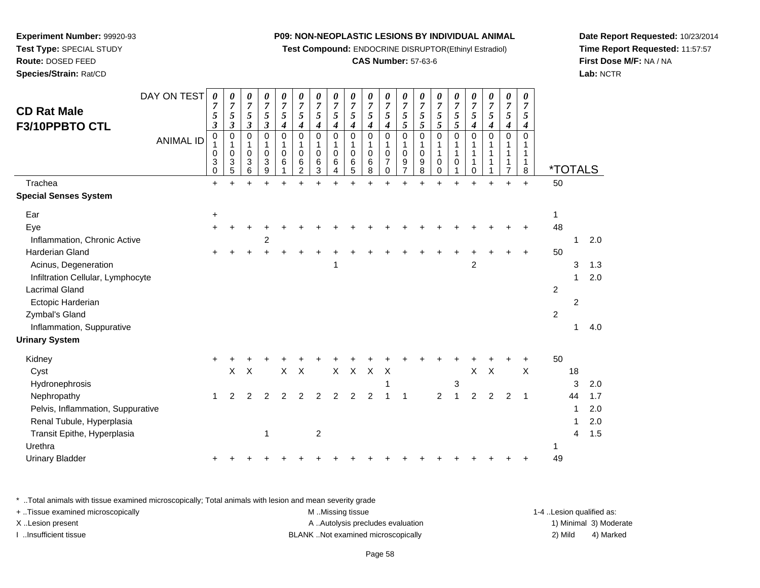**Test Compound:** ENDOCRINE DISRUPTOR(Ethinyl Estradiol)

#### **CAS Number:** 57-63-6

**Date Report Requested:** 10/23/2014**Time Report Requested:** 11:57:57**First Dose M/F:** NA / NA**Lab:** NCTR

| <b>CD Rat Male</b>                | DAY ON TEST      | 0<br>7    | 0<br>7                             | 0<br>$\overline{7}$       | 0<br>$\overline{7}$                | 0<br>$\overline{7}$ | 0<br>7                    | 0<br>7         | 0<br>$\overline{7}$ | 0<br>7           | $\pmb{\theta}$<br>$\overline{7}$ | 0<br>$\overline{7}$       | 0<br>7      | 0<br>$\overline{7}$ | 0<br>$\overline{7}$ | 0<br>7              | 0<br>7         | 0<br>$\overline{7}$       | 0<br>7      | 0<br>7                    |                       |                |     |
|-----------------------------------|------------------|-----------|------------------------------------|---------------------------|------------------------------------|---------------------|---------------------------|----------------|---------------------|------------------|----------------------------------|---------------------------|-------------|---------------------|---------------------|---------------------|----------------|---------------------------|-------------|---------------------------|-----------------------|----------------|-----|
| F3/10PPBTO CTL                    |                  | 5<br>3    | $\sqrt{5}$<br>$\boldsymbol{\beta}$ | 5<br>$\boldsymbol{\beta}$ | $\sqrt{5}$<br>$\boldsymbol{\beta}$ | 5<br>4              | 5<br>4                    | 5<br>4         | $\mathfrak{s}$<br>4 | 5<br>4           | 5<br>$\boldsymbol{4}$            | 5<br>$\boldsymbol{4}$     | 5<br>5      | 5<br>5              | 5<br>5              | 5<br>$\mathfrak{s}$ | 5<br>4         | 5<br>4                    | 5<br>4      | 5<br>4                    |                       |                |     |
|                                   | <b>ANIMAL ID</b> | 0         | $\mathbf 0$                        | $\mathbf 0$               | $\mathbf 0$                        | $\mathbf 0$         | 0                         | 0              | $\mathbf 0$         | $\mathbf 0$      | $\mathbf 0$                      | $\mathbf 0$               | 0           | $\mathbf 0$         | $\mathbf 0$         | $\mathbf 0$         | $\mathbf 0$    | $\Omega$                  | $\mathbf 0$ | $\Omega$                  |                       |                |     |
|                                   |                  | 0         | 1<br>$\mathbf 0$                   | $\mathbf 0$               | 1<br>0                             | $\mathbf 0$         | $\mathbf 0$               | 0              | 1<br>0              | 1<br>$\mathbf 0$ | 1<br>$\mathbf 0$                 | 1<br>0                    | $\mathbf 0$ | 1<br>$\mathbf 0$    | 1<br>$\mathbf{1}$   | $\mathbf{1}$        | 1              | 1                         | 1           | 1                         |                       |                |     |
|                                   |                  | 3         | $\ensuremath{\mathsf{3}}$          | 3                         | 3                                  | 6                   | $\,6$                     | 6              | $\,6$               | 6                | 6                                | $\overline{7}$            | 9           | 9                   | 0                   | 0                   |                |                           | 1           | 1                         |                       |                |     |
|                                   |                  | 0         | 5                                  | 6                         | 9                                  |                     | $\overline{2}$            | 3              | 4                   | 5                | 8                                | 0                         |             | 8                   | 0                   | 1                   | 0              |                           | 7           | 8                         | <i><b>*TOTALS</b></i> |                |     |
| Trachea                           |                  | $+$       |                                    |                           |                                    |                     |                           |                |                     |                  |                                  |                           |             |                     |                     |                     |                |                           | $\ddot{}$   | $+$                       | 50                    |                |     |
| <b>Special Senses System</b>      |                  |           |                                    |                           |                                    |                     |                           |                |                     |                  |                                  |                           |             |                     |                     |                     |                |                           |             |                           |                       |                |     |
| Ear                               |                  | +         |                                    |                           |                                    |                     |                           |                |                     |                  |                                  |                           |             |                     |                     |                     |                |                           |             |                           | 1                     |                |     |
| Eye                               |                  | $\ddot{}$ |                                    |                           |                                    |                     |                           |                |                     |                  |                                  |                           |             |                     |                     |                     |                |                           |             |                           | 48                    |                |     |
| Inflammation, Chronic Active      |                  |           |                                    |                           | 2                                  |                     |                           |                |                     |                  |                                  |                           |             |                     |                     |                     |                |                           |             |                           |                       | 1              | 2.0 |
| Harderian Gland                   |                  | $\ddot{}$ |                                    |                           |                                    |                     |                           |                |                     |                  |                                  |                           |             |                     |                     |                     |                |                           |             |                           | 50                    |                |     |
| Acinus, Degeneration              |                  |           |                                    |                           |                                    |                     |                           |                | 1                   |                  |                                  |                           |             |                     |                     |                     | $\overline{2}$ |                           |             |                           |                       | 3              | 1.3 |
| Infiltration Cellular, Lymphocyte |                  |           |                                    |                           |                                    |                     |                           |                |                     |                  |                                  |                           |             |                     |                     |                     |                |                           |             |                           |                       | 1              | 2.0 |
| <b>Lacrimal Gland</b>             |                  |           |                                    |                           |                                    |                     |                           |                |                     |                  |                                  |                           |             |                     |                     |                     |                |                           |             |                           | $\overline{c}$        |                |     |
| Ectopic Harderian                 |                  |           |                                    |                           |                                    |                     |                           |                |                     |                  |                                  |                           |             |                     |                     |                     |                |                           |             |                           |                       | $\overline{2}$ |     |
| Zymbal's Gland                    |                  |           |                                    |                           |                                    |                     |                           |                |                     |                  |                                  |                           |             |                     |                     |                     |                |                           |             |                           | $\overline{c}$        |                |     |
| Inflammation, Suppurative         |                  |           |                                    |                           |                                    |                     |                           |                |                     |                  |                                  |                           |             |                     |                     |                     |                |                           |             |                           |                       | 1              | 4.0 |
| <b>Urinary System</b>             |                  |           |                                    |                           |                                    |                     |                           |                |                     |                  |                                  |                           |             |                     |                     |                     |                |                           |             |                           |                       |                |     |
| Kidney                            |                  | $\pm$     |                                    |                           |                                    |                     |                           |                |                     |                  |                                  |                           |             |                     |                     |                     |                |                           |             |                           | 50                    |                |     |
| Cyst                              |                  |           | $\pmb{\times}$                     | X                         |                                    | $\mathsf{X}$        | $\boldsymbol{\mathsf{X}}$ |                | $\mathsf{X}$        | $\mathsf{X}$     | $\boldsymbol{\mathsf{X}}$        | $\boldsymbol{\mathsf{X}}$ |             |                     |                     |                     | $\mathsf{X}$   | $\boldsymbol{\mathsf{X}}$ |             | $\boldsymbol{\mathsf{X}}$ |                       | 18             |     |
| Hydronephrosis                    |                  |           |                                    |                           |                                    |                     |                           |                |                     |                  |                                  |                           |             |                     |                     | 3                   |                |                           |             |                           |                       | 3              | 2.0 |
| Nephropathy                       |                  | 1         | 2                                  | 2                         | $\mathfrak{p}$                     | 2                   | 2                         | $\mathfrak{p}$ | 2                   | $\overline{2}$   | 2                                |                           |             |                     | $\overline{2}$      | $\mathbf{1}$        | $\overline{2}$ | 2                         | 2           |                           |                       | 44             | 1.7 |
| Pelvis, Inflammation, Suppurative |                  |           |                                    |                           |                                    |                     |                           |                |                     |                  |                                  |                           |             |                     |                     |                     |                |                           |             |                           |                       | 1              | 2.0 |
| Renal Tubule, Hyperplasia         |                  |           |                                    |                           |                                    |                     |                           |                |                     |                  |                                  |                           |             |                     |                     |                     |                |                           |             |                           |                       | 1              | 2.0 |
| Transit Epithe, Hyperplasia       |                  |           |                                    |                           | 1                                  |                     |                           | $\overline{c}$ |                     |                  |                                  |                           |             |                     |                     |                     |                |                           |             |                           |                       | 4              | 1.5 |
| Urethra                           |                  |           |                                    |                           |                                    |                     |                           |                |                     |                  |                                  |                           |             |                     |                     |                     |                |                           |             |                           | 1                     |                |     |
| <b>Urinary Bladder</b>            |                  | +         |                                    |                           |                                    |                     |                           |                |                     |                  |                                  |                           |             |                     |                     |                     |                |                           |             |                           | 49                    |                |     |

\* ..Total animals with tissue examined microscopically; Total animals with lesion and mean severity grade

**Experiment Number:** 99920-93**Test Type:** SPECIAL STUDY**Route:** DOSED FEED**Species/Strain:** Rat/CD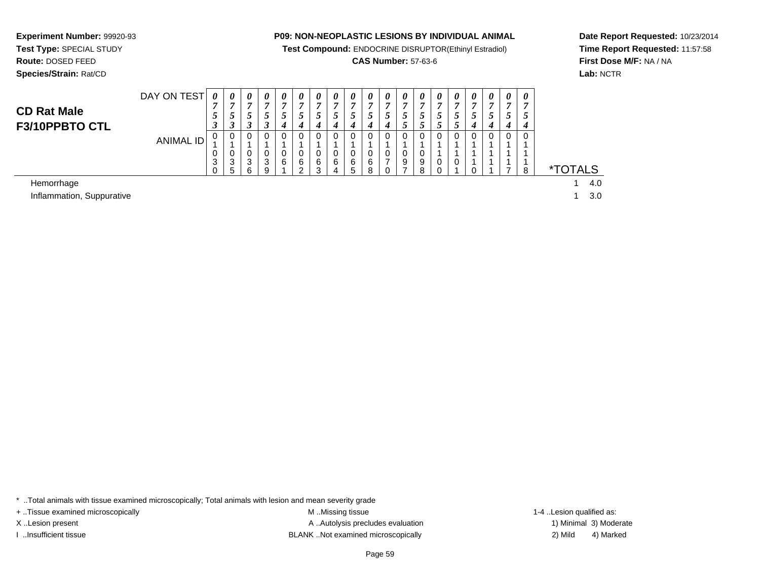**Test Compound:** ENDOCRINE DISRUPTOR(Ethinyl Estradiol)

#### **CAS Number:** 57-63-6

**Date Report Requested:** 10/23/2014**Time Report Requested:** 11:57:58**First Dose M/F:** NA / NA**Lab:** NCTR

### **Test Type:** SPECIAL STUDY**Route:** DOSED FEED

**Experiment Number:** 99920-93

**Species/Strain:** Rat/CD

**F3/10PPBTO CTL**

**CD Rat Male**

| le<br>O CTL | DAY ON TEST<br><b>ANIMAL ID</b> | $\boldsymbol{\theta}$<br>◡<br>◡<br>0<br>◠ | 0<br>C<br>J<br>0<br>3 | $\boldsymbol{U}$<br>◠ | $\boldsymbol{\theta}$<br>7<br>C<br>3<br>0<br>0<br>3 | U<br><br>-<br>O<br>6 | 0<br>J<br>4<br>6 | $\boldsymbol{\theta}$<br>J<br>4<br>6 | $\boldsymbol{\theta}$<br>-<br>ر.<br>4<br>0<br>6 | U<br>U<br>υ<br>6 | $\boldsymbol{\theta}$<br>7<br>4<br>0<br>U<br>6 | 0<br>Ć<br>4<br>0<br>0 | J<br>J<br>9 | U<br>C<br>J<br>9 | $\boldsymbol{\theta}$<br>σ<br>Ć<br>5<br>0<br>0 | $\boldsymbol{\theta}$<br>نم<br>- | $\boldsymbol{\theta}$<br>J.<br>--<br>0 | $\theta$<br><br>Δ<br>- | 0<br>.,<br>4<br>0 |                       |
|-------------|---------------------------------|-------------------------------------------|-----------------------|-----------------------|-----------------------------------------------------|----------------------|------------------|--------------------------------------|-------------------------------------------------|------------------|------------------------------------------------|-----------------------|-------------|------------------|------------------------------------------------|----------------------------------|----------------------------------------|------------------------|-------------------|-----------------------|
|             |                                 |                                           | 5                     | ี                     | a                                                   |                      | റ                | ົ                                    | 4                                               | 5                | 8                                              |                       |             | o                |                                                |                                  |                                        |                        | 8                 | <i><b>*TOTALS</b></i> |
| е           |                                 |                                           |                       |                       |                                                     |                      |                  |                                      |                                                 |                  |                                                |                       |             |                  |                                                |                                  |                                        |                        |                   | 4.0                   |
|             |                                 |                                           |                       |                       |                                                     |                      |                  |                                      |                                                 |                  |                                                |                       |             |                  |                                                |                                  |                                        |                        |                   |                       |

Hemorrhage

Inflammation, Suppurative

<u>ALS</u>  $1 \quad 4.0$ 

 $e$  and the set of  $1-3.0$ 

\* ..Total animals with tissue examined microscopically; Total animals with lesion and mean severity grade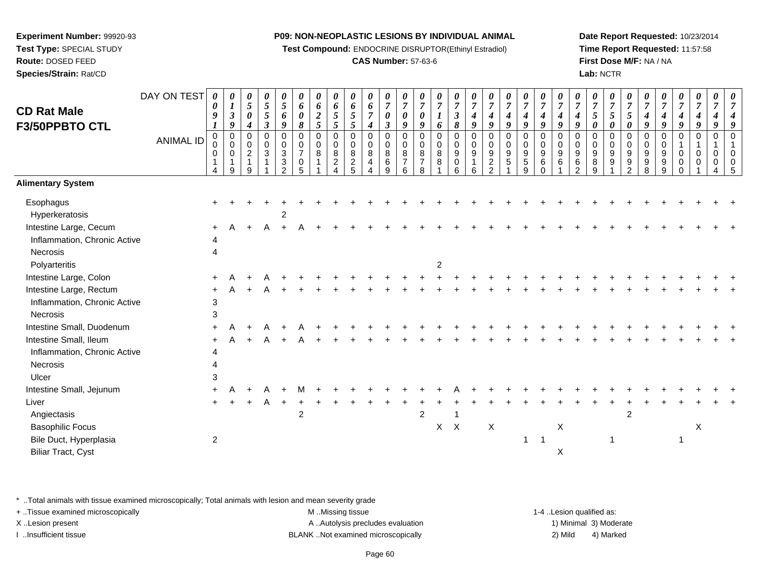**Test Compound:** ENDOCRINE DISRUPTOR(Ethinyl Estradiol)

#### **CAS Number:** 57-63-6

**Date Report Requested:** 10/23/2014**Time Report Requested:** 11:57:58**First Dose M/F:** NA / NA**Lab:** NCTR

| <b>CD Rat Male</b><br>F3/50PPBTO CTL<br><b>Alimentary System</b> | DAY ON TEST<br><b>ANIMAL ID</b> | 0<br>0<br>9<br>0<br>0<br>0<br>4 | 0<br>$\boldsymbol{l}$<br>$\boldsymbol{\beta}$<br>9<br>$\boldsymbol{0}$<br>$\mathbf 0$<br>$\mathbf 0$<br>$\overline{1}$<br>9 | 0<br>$\mathfrak{s}$<br>0<br>$\boldsymbol{4}$<br>$\Omega$<br>0<br>$\boldsymbol{2}$<br>9 | $\pmb{\theta}$<br>$\sqrt{5}$<br>$\sqrt{5}$<br>$\boldsymbol{\beta}$<br>$\mathbf 0$<br>$\pmb{0}$<br>$\mathbf{3}$ | $\pmb{\theta}$<br>$\sqrt{5}$<br>6<br>9<br>$\pmb{0}$<br>$\pmb{0}$<br>$\sqrt{3}$<br>$\sqrt{3}$<br>2 | 0<br>6<br>0<br>8<br>0<br>0<br>$\overline{7}$<br>0<br>5 | 0<br>6<br>$\boldsymbol{2}$<br>$\sqrt{5}$<br>$\overline{0}$<br>$\mathbf 0$<br>8 | 0<br>6<br>5<br>5<br>0<br>0<br>8<br>$\boldsymbol{2}$ | $\pmb{\theta}$<br>6<br>$\sqrt{5}$<br>5<br>$\pmb{0}$<br>$\pmb{0}$<br>$\,8\,$<br>$\boldsymbol{2}$<br>5 | 0<br>6<br>$\overline{7}$<br>$\boldsymbol{4}$<br>$\pmb{0}$<br>$\pmb{0}$<br>$\,8\,$<br>4<br>4 | 0<br>$\overline{7}$<br>$\boldsymbol{\theta}$<br>$\boldsymbol{\beta}$<br>$\mathbf 0$<br>0<br>$\bf 8$<br>$\,6\,$<br>9 | 0<br>$\overline{7}$<br>$\boldsymbol{\theta}$<br>$\boldsymbol{g}$<br>$\mathbf 0$<br>$\mathbf 0$<br>8<br>$\overline{7}$<br>6 | 0<br>$\overline{7}$<br>0<br>9<br>$\Omega$<br>$\Omega$<br>8<br>$\overline{7}$<br>8 | $\pmb{\theta}$<br>$\overline{7}$<br>$\boldsymbol{l}$<br>6<br>0<br>$\mathbf 0$<br>$\bf 8$<br>8 | $\pmb{\theta}$<br>$\overline{7}$<br>$\boldsymbol{\beta}$<br>$\pmb{8}$<br>$\pmb{0}$<br>$\mathbf 0$<br>$\boldsymbol{9}$<br>$\pmb{0}$<br>6 | 0<br>$\overline{7}$<br>$\boldsymbol{4}$<br>$\boldsymbol{9}$<br>$\mathbf 0$<br>0<br>$\boldsymbol{9}$<br>-1<br>6 | $\overline{7}$<br>9<br>$\mathbf 0$<br>$\mathbf 0$<br>$\boldsymbol{9}$<br>$\boldsymbol{2}$<br>$\mathcal{D}$ | 0<br>$\overline{7}$<br>4<br>9<br>$\mathbf 0$<br>0<br>9<br>5 | 0<br>$\overline{7}$<br>$\boldsymbol{4}$<br>9<br>$\pmb{0}$<br>0<br>$9\,$<br>$5\phantom{.0}$<br>9 | 0<br>$\overline{7}$<br>4<br>9<br>$\pmb{0}$<br>$\pmb{0}$<br>$\boldsymbol{9}$<br>$\,6\,$<br>$\Omega$ | $\boldsymbol{\theta}$<br>$\overline{7}$<br>$\boldsymbol{4}$<br>$\boldsymbol{g}$<br>$\mathbf 0$<br>$\mathbf 0$<br>9<br>6 | 0<br>$\overline{7}$<br>4<br>9<br>$\overline{0}$<br>$\mathbf 0$<br>9<br>$\,6$<br>$\mathcal{D}$ | $\pmb{\theta}$<br>$\overline{7}$<br>5<br>0<br>$\Omega$<br>$\mathbf 0$<br>9<br>8<br>$\mathbf{Q}$ | $\pmb{\theta}$<br>$\overline{7}$<br>$\sqrt{5}$<br>$\boldsymbol{\theta}$<br>0<br>0<br>$\boldsymbol{9}$<br>9 | 0<br>$\overline{7}$<br>5<br>$\boldsymbol{\theta}$<br>$\mathbf 0$<br>$\mathbf 0$<br>$\boldsymbol{9}$<br>$\boldsymbol{9}$<br>2 | 0<br>$\overline{7}$<br>$\boldsymbol{4}$<br>9<br>$\mathbf 0$<br>$\mathbf 0$<br>$\boldsymbol{9}$<br>9<br>8 | $\overline{7}$<br>$\overline{4}$<br>9<br>$\Omega$<br>$\mathbf 0$<br>$9\,$<br>9<br>9 | 0<br>$\overline{7}$<br>4<br>9<br>$\Omega$<br>$\mathbf 0$<br>$\Omega$ | $\pmb{\theta}$<br>$\boldsymbol{7}$<br>$\boldsymbol{4}$<br>9<br>$\mathbf 0$<br>$\mathbf{1}$<br>$\mathbf 0$<br>0 | 0<br>$\overline{7}$<br>4<br>9<br>$\mathbf 0$<br>$\mathbf 0$<br>$\Omega$ |  |
|------------------------------------------------------------------|---------------------------------|---------------------------------|-----------------------------------------------------------------------------------------------------------------------------|----------------------------------------------------------------------------------------|----------------------------------------------------------------------------------------------------------------|---------------------------------------------------------------------------------------------------|--------------------------------------------------------|--------------------------------------------------------------------------------|-----------------------------------------------------|------------------------------------------------------------------------------------------------------|---------------------------------------------------------------------------------------------|---------------------------------------------------------------------------------------------------------------------|----------------------------------------------------------------------------------------------------------------------------|-----------------------------------------------------------------------------------|-----------------------------------------------------------------------------------------------|-----------------------------------------------------------------------------------------------------------------------------------------|----------------------------------------------------------------------------------------------------------------|------------------------------------------------------------------------------------------------------------|-------------------------------------------------------------|-------------------------------------------------------------------------------------------------|----------------------------------------------------------------------------------------------------|-------------------------------------------------------------------------------------------------------------------------|-----------------------------------------------------------------------------------------------|-------------------------------------------------------------------------------------------------|------------------------------------------------------------------------------------------------------------|------------------------------------------------------------------------------------------------------------------------------|----------------------------------------------------------------------------------------------------------|-------------------------------------------------------------------------------------|----------------------------------------------------------------------|----------------------------------------------------------------------------------------------------------------|-------------------------------------------------------------------------|--|
|                                                                  |                                 |                                 |                                                                                                                             |                                                                                        |                                                                                                                |                                                                                                   |                                                        |                                                                                |                                                     |                                                                                                      |                                                                                             |                                                                                                                     |                                                                                                                            |                                                                                   |                                                                                               |                                                                                                                                         |                                                                                                                |                                                                                                            |                                                             |                                                                                                 |                                                                                                    |                                                                                                                         |                                                                                               |                                                                                                 |                                                                                                            |                                                                                                                              |                                                                                                          |                                                                                     |                                                                      |                                                                                                                |                                                                         |  |
| Esophagus<br>Hyperkeratosis                                      |                                 |                                 |                                                                                                                             |                                                                                        |                                                                                                                | 2                                                                                                 |                                                        |                                                                                |                                                     |                                                                                                      |                                                                                             |                                                                                                                     |                                                                                                                            |                                                                                   |                                                                                               |                                                                                                                                         |                                                                                                                |                                                                                                            |                                                             |                                                                                                 |                                                                                                    |                                                                                                                         |                                                                                               |                                                                                                 |                                                                                                            |                                                                                                                              |                                                                                                          |                                                                                     |                                                                      |                                                                                                                |                                                                         |  |
| Intestine Large, Cecum                                           |                                 |                                 |                                                                                                                             |                                                                                        | А                                                                                                              |                                                                                                   |                                                        |                                                                                |                                                     |                                                                                                      |                                                                                             |                                                                                                                     |                                                                                                                            |                                                                                   |                                                                                               |                                                                                                                                         |                                                                                                                |                                                                                                            |                                                             |                                                                                                 |                                                                                                    |                                                                                                                         |                                                                                               |                                                                                                 |                                                                                                            |                                                                                                                              |                                                                                                          |                                                                                     |                                                                      |                                                                                                                |                                                                         |  |
| Inflammation, Chronic Active                                     |                                 | 4                               |                                                                                                                             |                                                                                        |                                                                                                                |                                                                                                   |                                                        |                                                                                |                                                     |                                                                                                      |                                                                                             |                                                                                                                     |                                                                                                                            |                                                                                   |                                                                                               |                                                                                                                                         |                                                                                                                |                                                                                                            |                                                             |                                                                                                 |                                                                                                    |                                                                                                                         |                                                                                               |                                                                                                 |                                                                                                            |                                                                                                                              |                                                                                                          |                                                                                     |                                                                      |                                                                                                                |                                                                         |  |
| Necrosis                                                         |                                 | $\overline{\mathbf{4}}$         |                                                                                                                             |                                                                                        |                                                                                                                |                                                                                                   |                                                        |                                                                                |                                                     |                                                                                                      |                                                                                             |                                                                                                                     |                                                                                                                            |                                                                                   |                                                                                               |                                                                                                                                         |                                                                                                                |                                                                                                            |                                                             |                                                                                                 |                                                                                                    |                                                                                                                         |                                                                                               |                                                                                                 |                                                                                                            |                                                                                                                              |                                                                                                          |                                                                                     |                                                                      |                                                                                                                |                                                                         |  |
| Polyarteritis                                                    |                                 |                                 |                                                                                                                             |                                                                                        |                                                                                                                |                                                                                                   |                                                        |                                                                                |                                                     |                                                                                                      |                                                                                             |                                                                                                                     |                                                                                                                            |                                                                                   | 2                                                                                             |                                                                                                                                         |                                                                                                                |                                                                                                            |                                                             |                                                                                                 |                                                                                                    |                                                                                                                         |                                                                                               |                                                                                                 |                                                                                                            |                                                                                                                              |                                                                                                          |                                                                                     |                                                                      |                                                                                                                |                                                                         |  |
| Intestine Large, Colon                                           |                                 |                                 |                                                                                                                             |                                                                                        |                                                                                                                |                                                                                                   |                                                        |                                                                                |                                                     |                                                                                                      |                                                                                             |                                                                                                                     |                                                                                                                            |                                                                                   |                                                                                               |                                                                                                                                         |                                                                                                                |                                                                                                            |                                                             |                                                                                                 |                                                                                                    |                                                                                                                         |                                                                                               |                                                                                                 |                                                                                                            |                                                                                                                              |                                                                                                          |                                                                                     |                                                                      |                                                                                                                |                                                                         |  |
| Intestine Large, Rectum                                          |                                 |                                 |                                                                                                                             |                                                                                        |                                                                                                                |                                                                                                   |                                                        |                                                                                |                                                     |                                                                                                      |                                                                                             |                                                                                                                     |                                                                                                                            |                                                                                   |                                                                                               |                                                                                                                                         |                                                                                                                |                                                                                                            |                                                             |                                                                                                 |                                                                                                    |                                                                                                                         |                                                                                               |                                                                                                 |                                                                                                            |                                                                                                                              |                                                                                                          |                                                                                     |                                                                      |                                                                                                                |                                                                         |  |
| Inflammation, Chronic Active                                     |                                 | 3                               |                                                                                                                             |                                                                                        |                                                                                                                |                                                                                                   |                                                        |                                                                                |                                                     |                                                                                                      |                                                                                             |                                                                                                                     |                                                                                                                            |                                                                                   |                                                                                               |                                                                                                                                         |                                                                                                                |                                                                                                            |                                                             |                                                                                                 |                                                                                                    |                                                                                                                         |                                                                                               |                                                                                                 |                                                                                                            |                                                                                                                              |                                                                                                          |                                                                                     |                                                                      |                                                                                                                |                                                                         |  |
| Necrosis                                                         |                                 | 3                               |                                                                                                                             |                                                                                        |                                                                                                                |                                                                                                   |                                                        |                                                                                |                                                     |                                                                                                      |                                                                                             |                                                                                                                     |                                                                                                                            |                                                                                   |                                                                                               |                                                                                                                                         |                                                                                                                |                                                                                                            |                                                             |                                                                                                 |                                                                                                    |                                                                                                                         |                                                                                               |                                                                                                 |                                                                                                            |                                                                                                                              |                                                                                                          |                                                                                     |                                                                      |                                                                                                                |                                                                         |  |
| Intestine Small, Duodenum                                        |                                 |                                 |                                                                                                                             |                                                                                        |                                                                                                                |                                                                                                   |                                                        |                                                                                |                                                     |                                                                                                      |                                                                                             |                                                                                                                     |                                                                                                                            |                                                                                   |                                                                                               |                                                                                                                                         |                                                                                                                |                                                                                                            |                                                             |                                                                                                 |                                                                                                    |                                                                                                                         |                                                                                               |                                                                                                 |                                                                                                            |                                                                                                                              |                                                                                                          |                                                                                     |                                                                      |                                                                                                                |                                                                         |  |
| Intestine Small, Ileum                                           |                                 |                                 |                                                                                                                             | $\ddot{}$                                                                              | A                                                                                                              |                                                                                                   |                                                        |                                                                                |                                                     |                                                                                                      |                                                                                             |                                                                                                                     |                                                                                                                            |                                                                                   |                                                                                               |                                                                                                                                         |                                                                                                                |                                                                                                            |                                                             |                                                                                                 |                                                                                                    |                                                                                                                         |                                                                                               |                                                                                                 |                                                                                                            |                                                                                                                              |                                                                                                          |                                                                                     |                                                                      |                                                                                                                |                                                                         |  |
| Inflammation, Chronic Active                                     |                                 |                                 |                                                                                                                             |                                                                                        |                                                                                                                |                                                                                                   |                                                        |                                                                                |                                                     |                                                                                                      |                                                                                             |                                                                                                                     |                                                                                                                            |                                                                                   |                                                                                               |                                                                                                                                         |                                                                                                                |                                                                                                            |                                                             |                                                                                                 |                                                                                                    |                                                                                                                         |                                                                                               |                                                                                                 |                                                                                                            |                                                                                                                              |                                                                                                          |                                                                                     |                                                                      |                                                                                                                |                                                                         |  |
| Necrosis                                                         |                                 | 4                               |                                                                                                                             |                                                                                        |                                                                                                                |                                                                                                   |                                                        |                                                                                |                                                     |                                                                                                      |                                                                                             |                                                                                                                     |                                                                                                                            |                                                                                   |                                                                                               |                                                                                                                                         |                                                                                                                |                                                                                                            |                                                             |                                                                                                 |                                                                                                    |                                                                                                                         |                                                                                               |                                                                                                 |                                                                                                            |                                                                                                                              |                                                                                                          |                                                                                     |                                                                      |                                                                                                                |                                                                         |  |
| Ulcer                                                            |                                 | 3                               |                                                                                                                             |                                                                                        |                                                                                                                |                                                                                                   |                                                        |                                                                                |                                                     |                                                                                                      |                                                                                             |                                                                                                                     |                                                                                                                            |                                                                                   |                                                                                               |                                                                                                                                         |                                                                                                                |                                                                                                            |                                                             |                                                                                                 |                                                                                                    |                                                                                                                         |                                                                                               |                                                                                                 |                                                                                                            |                                                                                                                              |                                                                                                          |                                                                                     |                                                                      |                                                                                                                |                                                                         |  |
| Intestine Small, Jejunum                                         |                                 |                                 |                                                                                                                             |                                                                                        |                                                                                                                |                                                                                                   |                                                        |                                                                                |                                                     |                                                                                                      |                                                                                             |                                                                                                                     |                                                                                                                            |                                                                                   |                                                                                               |                                                                                                                                         |                                                                                                                |                                                                                                            |                                                             |                                                                                                 |                                                                                                    |                                                                                                                         |                                                                                               |                                                                                                 |                                                                                                            |                                                                                                                              |                                                                                                          |                                                                                     |                                                                      |                                                                                                                |                                                                         |  |
| Liver<br>Angiectasis                                             |                                 |                                 |                                                                                                                             |                                                                                        |                                                                                                                |                                                                                                   | $\overline{c}$                                         |                                                                                |                                                     |                                                                                                      |                                                                                             |                                                                                                                     |                                                                                                                            | $\overline{c}$                                                                    |                                                                                               |                                                                                                                                         |                                                                                                                |                                                                                                            |                                                             |                                                                                                 |                                                                                                    |                                                                                                                         |                                                                                               |                                                                                                 |                                                                                                            | $\overline{c}$                                                                                                               |                                                                                                          |                                                                                     |                                                                      |                                                                                                                |                                                                         |  |
| <b>Basophilic Focus</b>                                          |                                 |                                 |                                                                                                                             |                                                                                        |                                                                                                                |                                                                                                   |                                                        |                                                                                |                                                     |                                                                                                      |                                                                                             |                                                                                                                     |                                                                                                                            |                                                                                   | X                                                                                             | $\mathsf{X}$                                                                                                                            |                                                                                                                | $\mathsf X$                                                                                                |                                                             |                                                                                                 |                                                                                                    | $\mathsf X$                                                                                                             |                                                                                               |                                                                                                 |                                                                                                            |                                                                                                                              |                                                                                                          |                                                                                     |                                                                      | X                                                                                                              |                                                                         |  |
| Bile Duct, Hyperplasia<br><b>Biliar Tract, Cyst</b>              |                                 | $\boldsymbol{2}$                |                                                                                                                             |                                                                                        |                                                                                                                |                                                                                                   |                                                        |                                                                                |                                                     |                                                                                                      |                                                                                             |                                                                                                                     |                                                                                                                            |                                                                                   |                                                                                               |                                                                                                                                         |                                                                                                                |                                                                                                            |                                                             | 1                                                                                               | $\overline{1}$                                                                                     | $\pmb{\times}$                                                                                                          |                                                                                               |                                                                                                 |                                                                                                            |                                                                                                                              |                                                                                                          |                                                                                     |                                                                      |                                                                                                                |                                                                         |  |

\* ..Total animals with tissue examined microscopically; Total animals with lesion and mean severity grade

**Experiment Number:** 99920-93**Test Type:** SPECIAL STUDY**Route:** DOSED FEED**Species/Strain:** Rat/CD

+ ..Tissue examined microscopically examined microscopically examined as:  $M$  ..Missing tissue 1-4 ..Lesion qualified as: X..Lesion present **A ..Autolysis precludes evaluation** A ..Autolysis precludes evaluation 1) Minimal 3) Moderate

I ..Insufficient tissue BLANK ..Not examined microscopically 2) Mild 4) Marked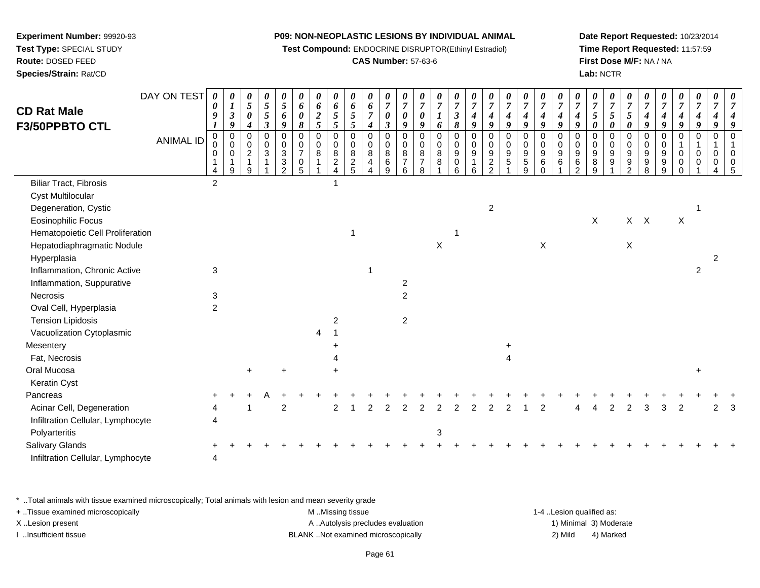**Test Compound:** ENDOCRINE DISRUPTOR(Ethinyl Estradiol)

#### **CAS Number:** 57-63-6

**Date Report Requested:** 10/23/2014**Time Report Requested:** 11:57:59**First Dose M/F:** NA / NA**Lab:** NCTR

| <b>CD Rat Male</b><br><b>F3/50PPBTO CTL</b> | DAY ON TEST      | $\boldsymbol{\theta}$<br>0<br>9<br>$\mathbf 0$ | 0<br>$\boldsymbol{\mathit{1}}$<br>$\mathbf{3}$<br>9<br>0 | 0<br>$\mathfrak{s}$<br>$\pmb{\theta}$<br>$\boldsymbol{4}$<br>0 | 0<br>$\sqrt{5}$<br>5<br>$\boldsymbol{\beta}$<br>$\pmb{0}$ | 0<br>$\sqrt{5}$<br>6<br>9<br>$\mathbf 0$        | 0<br>$\pmb{6}$<br>$\boldsymbol{\theta}$<br>8<br>$\pmb{0}$ | 0<br>6<br>$\boldsymbol{2}$<br>5<br>0 | $\boldsymbol{\theta}$<br>6<br>$\mathfrak{s}$<br>$\mathfrak{s}$<br>$\mathbf 0$ | 0<br>6<br>5<br>5<br>$\mathbf 0$ | 0<br>6<br>$\boldsymbol{7}$<br>4<br>$\mathbf 0$ | 0<br>$\overline{7}$<br>$\pmb{\theta}$<br>$\boldsymbol{\beta}$<br>$\mathbf 0$ | 0<br>$\boldsymbol{7}$<br>0<br>9<br>$\Omega$ | 0<br>$\overline{7}$<br>$\boldsymbol{\theta}$<br>9<br>$\mathbf 0$ | $\boldsymbol{\theta}$<br>$\overline{7}$<br>6<br>$\Omega$ | $\overline{7}$<br>$\boldsymbol{\beta}$<br>8<br>$\Omega$ | 0<br>$\overline{7}$<br>4<br>9<br>$\mathbf 0$ | 0<br>$\boldsymbol{7}$<br>$\boldsymbol{4}$<br>9<br>$\mathbf 0$ | 0<br>$\overline{7}$<br>$\boldsymbol{4}$<br>9<br>$\mathbf 0$ | 0<br>$\overline{7}$<br>4<br>9<br>$\Omega$ | 0<br>$\overline{7}$<br>$\boldsymbol{4}$<br>9<br>$\Omega$ | 0<br>$\overline{7}$<br>4<br>9<br>0 | $\boldsymbol{\theta}$<br>$\overline{7}$<br>4<br>9<br>$\Omega$        | $\boldsymbol{\theta}$<br>$\overline{7}$<br>5<br>0<br>$\Omega$ | $\overline{7}$<br>$\mathfrak{s}$<br>0<br>0 | $\boldsymbol{\theta}$<br>$\overline{7}$<br>$\mathfrak{s}$<br>0<br>$\mathbf 0$ | 0<br>$\overline{7}$<br>$\boldsymbol{4}$<br>9<br>$\mathbf 0$ | 0<br>$\overline{7}$<br>$\boldsymbol{4}$<br>9<br>$\mathbf 0$ | 0<br>$\overline{7}$<br>$\boldsymbol{4}$<br>9<br>$\Omega$ | 0<br>$\overline{7}$<br>4<br>9<br>$\Omega$ | 0<br>$\overline{7}$<br>4<br>9<br>$\mathbf 0$ | 0<br>$\boldsymbol{7}$<br>$\boldsymbol{4}$<br>$\pmb{9}$<br>$\mathbf 0$        |
|---------------------------------------------|------------------|------------------------------------------------|----------------------------------------------------------|----------------------------------------------------------------|-----------------------------------------------------------|-------------------------------------------------|-----------------------------------------------------------|--------------------------------------|-------------------------------------------------------------------------------|---------------------------------|------------------------------------------------|------------------------------------------------------------------------------|---------------------------------------------|------------------------------------------------------------------|----------------------------------------------------------|---------------------------------------------------------|----------------------------------------------|---------------------------------------------------------------|-------------------------------------------------------------|-------------------------------------------|----------------------------------------------------------|------------------------------------|----------------------------------------------------------------------|---------------------------------------------------------------|--------------------------------------------|-------------------------------------------------------------------------------|-------------------------------------------------------------|-------------------------------------------------------------|----------------------------------------------------------|-------------------------------------------|----------------------------------------------|------------------------------------------------------------------------------|
|                                             | <b>ANIMAL ID</b> | 0<br>$\mathbf{1}$<br>$\overline{4}$            | 0<br>0<br>9                                              | $\pmb{0}$<br>$\overline{2}$<br>$\mathbf{1}$<br>9               | $\pmb{0}$<br>$\mathfrak{S}$<br>1                          | 0<br>$\sqrt{3}$<br>$\sqrt{3}$<br>$\overline{2}$ | $\pmb{0}$<br>$\overline{7}$<br>$\pmb{0}$<br>5             | $\mathbf 0$<br>$\bf 8$<br>1          | $\mathbf 0$<br>8<br>$\boldsymbol{2}$                                          | 0<br>8<br>$\frac{2}{5}$         | $\mathbf 0$<br>8<br>4                          | 0<br>8<br>6<br>9                                                             | 0<br>$\bf 8$<br>$\overline{7}$<br>6         | $\mathbf 0$<br>$\bf 8$<br>$\overline{7}$<br>8                    | 0<br>$\bf8$<br>8                                         | $\mathbf 0$<br>$\boldsymbol{9}$<br>0<br>6               | 0<br>$\mathsf g$<br>6                        | 0<br>$\overline{9}$<br>$\overline{a}$<br>$\overline{2}$       | $\pmb{0}$<br>$\overline{9}$<br>$\sqrt{5}$                   | 0<br>$\boldsymbol{9}$<br>$\sqrt{5}$<br>9  | $\mathbf 0$<br>$\boldsymbol{9}$<br>6                     | 0<br>$\boldsymbol{9}$<br>6         | $\mathbf 0$<br>$\boldsymbol{9}$<br>$6\phantom{1}6$<br>$\mathfrak{p}$ | 0<br>$\boldsymbol{9}$<br>8<br>9                               | $\mathbf 0$<br>$\boldsymbol{9}$<br>9       | 0<br>$\boldsymbol{9}$<br>$\boldsymbol{9}$<br>$\overline{2}$                   | 0<br>$\boldsymbol{9}$<br>$\boldsymbol{9}$<br>8              | $\mathbf 0$<br>$\boldsymbol{9}$<br>9<br>9                   | $\mathbf 0$<br>0<br>0                                    | $\Omega$<br>$\mathbf 0$                   | $\Omega$<br>0<br>4                           | $\mathbf{1}$<br>$\mathsf{O}\xspace$<br>$\begin{array}{c} 0 \\ 5 \end{array}$ |
| <b>Biliar Tract, Fibrosis</b>               |                  | $\overline{2}$                                 |                                                          |                                                                |                                                           |                                                 |                                                           |                                      |                                                                               |                                 |                                                |                                                                              |                                             |                                                                  |                                                          |                                                         |                                              |                                                               |                                                             |                                           |                                                          |                                    |                                                                      |                                                               |                                            |                                                                               |                                                             |                                                             |                                                          |                                           |                                              |                                                                              |
| Cyst Multilocular                           |                  |                                                |                                                          |                                                                |                                                           |                                                 |                                                           |                                      |                                                                               |                                 |                                                |                                                                              |                                             |                                                                  |                                                          |                                                         |                                              |                                                               |                                                             |                                           |                                                          |                                    |                                                                      |                                                               |                                            |                                                                               |                                                             |                                                             |                                                          |                                           |                                              |                                                                              |
| Degeneration, Cystic                        |                  |                                                |                                                          |                                                                |                                                           |                                                 |                                                           |                                      |                                                                               |                                 |                                                |                                                                              |                                             |                                                                  |                                                          |                                                         |                                              | $\overline{a}$                                                |                                                             |                                           |                                                          |                                    |                                                                      |                                                               |                                            |                                                                               |                                                             |                                                             |                                                          |                                           |                                              |                                                                              |
| Eosinophilic Focus                          |                  |                                                |                                                          |                                                                |                                                           |                                                 |                                                           |                                      |                                                                               |                                 |                                                |                                                                              |                                             |                                                                  |                                                          |                                                         |                                              |                                                               |                                                             |                                           |                                                          |                                    |                                                                      | $\mathsf X$                                                   |                                            | $X$ $X$                                                                       |                                                             |                                                             | X                                                        |                                           |                                              |                                                                              |
| Hematopoietic Cell Proliferation            |                  |                                                |                                                          |                                                                |                                                           |                                                 |                                                           |                                      |                                                                               | $\mathbf 1$                     |                                                |                                                                              |                                             |                                                                  |                                                          |                                                         |                                              |                                                               |                                                             |                                           |                                                          |                                    |                                                                      |                                                               |                                            |                                                                               |                                                             |                                                             |                                                          |                                           |                                              |                                                                              |
| Hepatodiaphragmatic Nodule                  |                  |                                                |                                                          |                                                                |                                                           |                                                 |                                                           |                                      |                                                                               |                                 |                                                |                                                                              |                                             |                                                                  | $\mathsf X$                                              |                                                         |                                              |                                                               |                                                             |                                           | $\mathsf X$                                              |                                    |                                                                      |                                                               |                                            | X                                                                             |                                                             |                                                             |                                                          |                                           |                                              |                                                                              |
| Hyperplasia                                 |                  |                                                |                                                          |                                                                |                                                           |                                                 |                                                           |                                      |                                                                               |                                 |                                                |                                                                              |                                             |                                                                  |                                                          |                                                         |                                              |                                                               |                                                             |                                           |                                                          |                                    |                                                                      |                                                               |                                            |                                                                               |                                                             |                                                             |                                                          |                                           | $\overline{2}$                               |                                                                              |
| Inflammation, Chronic Active                |                  | 3                                              |                                                          |                                                                |                                                           |                                                 |                                                           |                                      |                                                                               |                                 |                                                |                                                                              |                                             |                                                                  |                                                          |                                                         |                                              |                                                               |                                                             |                                           |                                                          |                                    |                                                                      |                                                               |                                            |                                                                               |                                                             |                                                             |                                                          | $\overline{c}$                            |                                              |                                                                              |
| Inflammation, Suppurative                   |                  |                                                |                                                          |                                                                |                                                           |                                                 |                                                           |                                      |                                                                               |                                 |                                                |                                                                              | $\overline{c}$                              |                                                                  |                                                          |                                                         |                                              |                                                               |                                                             |                                           |                                                          |                                    |                                                                      |                                                               |                                            |                                                                               |                                                             |                                                             |                                                          |                                           |                                              |                                                                              |
| Necrosis                                    |                  | 3                                              |                                                          |                                                                |                                                           |                                                 |                                                           |                                      |                                                                               |                                 |                                                |                                                                              | $\overline{c}$                              |                                                                  |                                                          |                                                         |                                              |                                                               |                                                             |                                           |                                                          |                                    |                                                                      |                                                               |                                            |                                                                               |                                                             |                                                             |                                                          |                                           |                                              |                                                                              |
| Oval Cell, Hyperplasia                      |                  | $\overline{c}$                                 |                                                          |                                                                |                                                           |                                                 |                                                           |                                      |                                                                               |                                 |                                                |                                                                              |                                             |                                                                  |                                                          |                                                         |                                              |                                                               |                                                             |                                           |                                                          |                                    |                                                                      |                                                               |                                            |                                                                               |                                                             |                                                             |                                                          |                                           |                                              |                                                                              |
| <b>Tension Lipidosis</b>                    |                  |                                                |                                                          |                                                                |                                                           |                                                 |                                                           |                                      | $\overline{2}$                                                                |                                 |                                                |                                                                              | $\overline{c}$                              |                                                                  |                                                          |                                                         |                                              |                                                               |                                                             |                                           |                                                          |                                    |                                                                      |                                                               |                                            |                                                                               |                                                             |                                                             |                                                          |                                           |                                              |                                                                              |
| Vacuolization Cytoplasmic                   |                  |                                                |                                                          |                                                                |                                                           |                                                 |                                                           | 4                                    |                                                                               |                                 |                                                |                                                                              |                                             |                                                                  |                                                          |                                                         |                                              |                                                               |                                                             |                                           |                                                          |                                    |                                                                      |                                                               |                                            |                                                                               |                                                             |                                                             |                                                          |                                           |                                              |                                                                              |
| Mesentery                                   |                  |                                                |                                                          |                                                                |                                                           |                                                 |                                                           |                                      |                                                                               |                                 |                                                |                                                                              |                                             |                                                                  |                                                          |                                                         |                                              |                                                               | $\ddot{}$<br>$\overline{4}$                                 |                                           |                                                          |                                    |                                                                      |                                                               |                                            |                                                                               |                                                             |                                                             |                                                          |                                           |                                              |                                                                              |
| Fat, Necrosis<br>Oral Mucosa                |                  |                                                |                                                          |                                                                |                                                           |                                                 |                                                           |                                      |                                                                               |                                 |                                                |                                                                              |                                             |                                                                  |                                                          |                                                         |                                              |                                                               |                                                             |                                           |                                                          |                                    |                                                                      |                                                               |                                            |                                                                               |                                                             |                                                             |                                                          | $\ddot{}$                                 |                                              |                                                                              |
| Keratin Cyst                                |                  |                                                |                                                          |                                                                |                                                           |                                                 |                                                           |                                      |                                                                               |                                 |                                                |                                                                              |                                             |                                                                  |                                                          |                                                         |                                              |                                                               |                                                             |                                           |                                                          |                                    |                                                                      |                                                               |                                            |                                                                               |                                                             |                                                             |                                                          |                                           |                                              |                                                                              |
| Pancreas                                    |                  |                                                |                                                          |                                                                |                                                           |                                                 |                                                           |                                      |                                                                               |                                 |                                                |                                                                              |                                             |                                                                  |                                                          |                                                         |                                              |                                                               |                                                             |                                           |                                                          |                                    |                                                                      |                                                               |                                            |                                                                               |                                                             |                                                             |                                                          |                                           |                                              |                                                                              |
| Acinar Cell, Degeneration                   |                  | 4                                              |                                                          |                                                                |                                                           | $\overline{2}$                                  |                                                           |                                      |                                                                               |                                 |                                                |                                                                              |                                             |                                                                  |                                                          |                                                         | 2                                            |                                                               |                                                             |                                           |                                                          |                                    |                                                                      |                                                               |                                            |                                                                               | 3                                                           |                                                             | $\overline{2}$                                           |                                           | $\overline{2}$                               | 3                                                                            |
| Infiltration Cellular, Lymphocyte           |                  | 4                                              |                                                          |                                                                |                                                           |                                                 |                                                           |                                      |                                                                               |                                 |                                                |                                                                              |                                             |                                                                  |                                                          |                                                         |                                              |                                                               |                                                             |                                           |                                                          |                                    |                                                                      |                                                               |                                            |                                                                               |                                                             |                                                             |                                                          |                                           |                                              |                                                                              |
| Polyarteritis                               |                  |                                                |                                                          |                                                                |                                                           |                                                 |                                                           |                                      |                                                                               |                                 |                                                |                                                                              |                                             |                                                                  | 3                                                        |                                                         |                                              |                                                               |                                                             |                                           |                                                          |                                    |                                                                      |                                                               |                                            |                                                                               |                                                             |                                                             |                                                          |                                           |                                              |                                                                              |
| Salivary Glands                             |                  |                                                |                                                          |                                                                |                                                           |                                                 |                                                           |                                      |                                                                               |                                 |                                                |                                                                              |                                             |                                                                  |                                                          |                                                         |                                              |                                                               |                                                             |                                           |                                                          |                                    |                                                                      |                                                               |                                            |                                                                               |                                                             |                                                             |                                                          |                                           |                                              |                                                                              |
| Infiltration Cellular, Lymphocyte           |                  | 4                                              |                                                          |                                                                |                                                           |                                                 |                                                           |                                      |                                                                               |                                 |                                                |                                                                              |                                             |                                                                  |                                                          |                                                         |                                              |                                                               |                                                             |                                           |                                                          |                                    |                                                                      |                                                               |                                            |                                                                               |                                                             |                                                             |                                                          |                                           |                                              |                                                                              |
|                                             |                  |                                                |                                                          |                                                                |                                                           |                                                 |                                                           |                                      |                                                                               |                                 |                                                |                                                                              |                                             |                                                                  |                                                          |                                                         |                                              |                                                               |                                                             |                                           |                                                          |                                    |                                                                      |                                                               |                                            |                                                                               |                                                             |                                                             |                                                          |                                           |                                              |                                                                              |

\* ..Total animals with tissue examined microscopically; Total animals with lesion and mean severity grade

+ ..Tissue examined microscopically examined microscopically examined as:  $M$  ..Missing tissue 1-4 ..Lesion qualified as: X..Lesion present **A ..Autolysis precludes evaluation** A ..Autolysis precludes evaluation 1) Minimal 3) Moderate I ..Insufficient tissue BLANK ..Not examined microscopically 2) Mild 4) Marked

**Experiment Number:** 99920-93**Test Type:** SPECIAL STUDY**Route:** DOSED FEED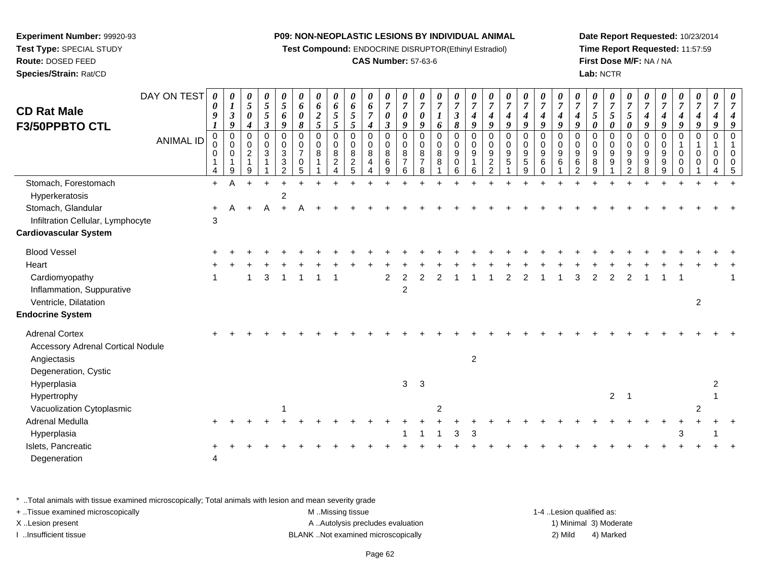**Test Compound:** ENDOCRINE DISRUPTOR(Ethinyl Estradiol)

#### **CAS Number:** 57-63-6

**Date Report Requested:** 10/23/2014**Time Report Requested:** 11:57:59**First Dose M/F:** NA / NA**Lab:** NCTR

| <b>CD Rat Male</b><br>F3/50PPBTO CTL        | DAY ON TEST      | 0<br>0<br>9 | 0<br>$\boldsymbol{l}$<br>$\boldsymbol{\beta}$<br>9 | 0<br>$\sqrt{5}$<br>0<br>4                       | 0<br>$\mathfrak{s}$<br>$\mathfrak{s}$<br>$\mathfrak{z}$ | $\boldsymbol{\theta}$<br>5<br>6<br>9 | 0<br>6<br>0<br>8                          | 0<br>6<br>$\boldsymbol{2}$<br>5 | 0<br>6<br>5<br>$\mathfrak{H}$                                                  | 0<br>6<br>$\sqrt{5}$<br>$\overline{5}$         | 0<br>6<br>7<br>4                          | 0<br>$\overline{7}$<br>0<br>$\boldsymbol{\beta}$ | $\overline{7}$<br>0<br>9                  | 0<br>7<br>0<br>9                          | 0<br>$\overline{7}$<br>1<br>6     | $\boldsymbol{\theta}$<br>$\overline{7}$<br>$\boldsymbol{\beta}$<br>8 | $\overline{7}$<br>4<br>9     | 0<br>$\overline{7}$<br>4<br>9                                       | 0<br>$\overline{7}$<br>4<br>9                   | 0<br>$\overline{7}$<br>4<br>9                 | $\boldsymbol{\theta}$<br>$\overline{7}$<br>$\boldsymbol{4}$<br>9 | 7<br>4<br>9                    | 0<br>$\overline{7}$<br>4<br>9                                   | 0<br>$\boldsymbol{7}$<br>5<br>0      | 0<br>$\overline{7}$<br>5<br>0                    | 0<br>$\overline{7}$<br>5<br>0               | $\overline{7}$<br>$\boldsymbol{4}$<br>9 | 0<br>$\overline{7}$<br>4<br>9               | 0<br>$\boldsymbol{7}$<br>4<br>9 | 0<br>$\overline{7}$<br>4<br>9 | 0<br>$\overline{7}$<br>9  | $\theta$<br>$\overline{7}$<br>9                |
|---------------------------------------------|------------------|-------------|----------------------------------------------------|-------------------------------------------------|---------------------------------------------------------|--------------------------------------|-------------------------------------------|---------------------------------|--------------------------------------------------------------------------------|------------------------------------------------|-------------------------------------------|--------------------------------------------------|-------------------------------------------|-------------------------------------------|-----------------------------------|----------------------------------------------------------------------|------------------------------|---------------------------------------------------------------------|-------------------------------------------------|-----------------------------------------------|------------------------------------------------------------------|--------------------------------|-----------------------------------------------------------------|--------------------------------------|--------------------------------------------------|---------------------------------------------|-----------------------------------------|---------------------------------------------|---------------------------------|-------------------------------|---------------------------|------------------------------------------------|
|                                             | <b>ANIMAL ID</b> | 0<br>0<br>4 | $\pmb{0}$<br>$\mathbf 0$<br>$\mathbf 0$<br>1<br>9  | 0<br>0<br>$\boldsymbol{2}$<br>$\mathbf{1}$<br>9 | $\Omega$<br>0<br>$\mathbf{3}$<br>1                      | $\Omega$<br>0<br>3<br>3<br>2         | $\Omega$<br>0<br>$\overline{7}$<br>0<br>5 | $\mathbf 0$<br>0<br>$\,8\,$     | $\pmb{0}$<br>$\mathbf 0$<br>$\bf8$<br>$\overline{c}$<br>$\boldsymbol{\Lambda}$ | $\pmb{0}$<br>$\mathbf 0$<br>8<br>$\frac{2}{5}$ | $\Omega$<br>0<br>8<br>$\overline{4}$<br>4 | $\Omega$<br>$\Omega$<br>8<br>6<br>9              | $\Omega$<br>0<br>8<br>$\overline{ }$<br>6 | $\Omega$<br>0<br>8<br>$\overline{7}$<br>8 | $\Omega$<br>$\mathbf 0$<br>8<br>8 | $\Omega$<br>0<br>9<br>0<br>6                                         | $\Omega$<br>0<br>9<br>1<br>6 | $\mathbf 0$<br>$\mathbf 0$<br>9<br>$\overline{a}$<br>$\overline{2}$ | $\Omega$<br>0<br>$\boldsymbol{9}$<br>$\sqrt{5}$ | $\Omega$<br>0<br>$9\,$<br>$\overline{5}$<br>9 | $\mathbf{0}$<br>0<br>$\boldsymbol{9}$<br>$\,6\,$<br>0            | $\Omega$<br>$\Omega$<br>9<br>6 | $\Omega$<br>$\Omega$<br>$\boldsymbol{9}$<br>6<br>$\mathfrak{p}$ | 0<br>0<br>$\boldsymbol{9}$<br>8<br>9 | $\Omega$<br>$\mathbf 0$<br>$\boldsymbol{9}$<br>9 | $\Omega$<br>0<br>$\boldsymbol{9}$<br>9<br>2 | $\Omega$<br>$\Omega$<br>$9\,$<br>9<br>8 | $\Omega$<br>0<br>$\boldsymbol{9}$<br>9<br>9 | $\Omega$<br>0<br>0              | $\Omega$<br>$\mathbf 0$<br>0  | $\Omega$<br>$\Omega$<br>0 | $\Omega$<br>-1<br>$\mathbf 0$<br>$\Omega$<br>5 |
| Stomach, Forestomach                        |                  | $+$         |                                                    |                                                 |                                                         |                                      |                                           |                                 |                                                                                |                                                |                                           |                                                  |                                           |                                           |                                   |                                                                      |                              |                                                                     |                                                 |                                               |                                                                  |                                |                                                                 |                                      |                                                  |                                             |                                         |                                             |                                 |                               |                           |                                                |
| Hyperkeratosis                              |                  |             |                                                    |                                                 |                                                         | $\overline{c}$                       |                                           |                                 |                                                                                |                                                |                                           |                                                  |                                           |                                           |                                   |                                                                      |                              |                                                                     |                                                 |                                               |                                                                  |                                |                                                                 |                                      |                                                  |                                             |                                         |                                             |                                 |                               |                           |                                                |
| Stomach, Glandular                          |                  | $\ddot{}$   | A                                                  |                                                 |                                                         |                                      |                                           |                                 |                                                                                |                                                |                                           |                                                  |                                           |                                           |                                   |                                                                      |                              |                                                                     |                                                 |                                               |                                                                  |                                |                                                                 |                                      |                                                  |                                             |                                         |                                             |                                 |                               |                           |                                                |
| Infiltration Cellular, Lymphocyte           |                  | 3           |                                                    |                                                 |                                                         |                                      |                                           |                                 |                                                                                |                                                |                                           |                                                  |                                           |                                           |                                   |                                                                      |                              |                                                                     |                                                 |                                               |                                                                  |                                |                                                                 |                                      |                                                  |                                             |                                         |                                             |                                 |                               |                           |                                                |
| <b>Cardiovascular System</b>                |                  |             |                                                    |                                                 |                                                         |                                      |                                           |                                 |                                                                                |                                                |                                           |                                                  |                                           |                                           |                                   |                                                                      |                              |                                                                     |                                                 |                                               |                                                                  |                                |                                                                 |                                      |                                                  |                                             |                                         |                                             |                                 |                               |                           |                                                |
| <b>Blood Vessel</b>                         |                  |             |                                                    |                                                 |                                                         |                                      |                                           |                                 |                                                                                |                                                |                                           |                                                  |                                           |                                           |                                   |                                                                      |                              |                                                                     |                                                 |                                               |                                                                  |                                |                                                                 |                                      |                                                  |                                             |                                         |                                             |                                 |                               |                           |                                                |
| Heart                                       |                  |             |                                                    |                                                 |                                                         |                                      |                                           |                                 |                                                                                |                                                |                                           |                                                  |                                           |                                           |                                   |                                                                      |                              |                                                                     |                                                 |                                               |                                                                  |                                |                                                                 |                                      |                                                  |                                             |                                         |                                             |                                 |                               |                           |                                                |
| Cardiomyopathy<br>Inflammation, Suppurative |                  |             |                                                    |                                                 | 3                                                       |                                      |                                           |                                 |                                                                                |                                                |                                           | 2                                                | $\overline{2}$<br>$\overline{c}$          |                                           |                                   |                                                                      |                              |                                                                     |                                                 |                                               |                                                                  |                                |                                                                 |                                      |                                                  |                                             |                                         |                                             |                                 |                               |                           |                                                |
| Ventricle, Dilatation                       |                  |             |                                                    |                                                 |                                                         |                                      |                                           |                                 |                                                                                |                                                |                                           |                                                  |                                           |                                           |                                   |                                                                      |                              |                                                                     |                                                 |                                               |                                                                  |                                |                                                                 |                                      |                                                  |                                             |                                         |                                             |                                 | 2                             |                           |                                                |
| <b>Endocrine System</b>                     |                  |             |                                                    |                                                 |                                                         |                                      |                                           |                                 |                                                                                |                                                |                                           |                                                  |                                           |                                           |                                   |                                                                      |                              |                                                                     |                                                 |                                               |                                                                  |                                |                                                                 |                                      |                                                  |                                             |                                         |                                             |                                 |                               |                           |                                                |
| <b>Adrenal Cortex</b>                       |                  |             |                                                    |                                                 |                                                         |                                      |                                           |                                 |                                                                                |                                                |                                           |                                                  |                                           |                                           |                                   |                                                                      |                              |                                                                     |                                                 |                                               |                                                                  |                                |                                                                 |                                      |                                                  |                                             |                                         |                                             |                                 |                               |                           |                                                |
| <b>Accessory Adrenal Cortical Nodule</b>    |                  |             |                                                    |                                                 |                                                         |                                      |                                           |                                 |                                                                                |                                                |                                           |                                                  |                                           |                                           |                                   |                                                                      |                              |                                                                     |                                                 |                                               |                                                                  |                                |                                                                 |                                      |                                                  |                                             |                                         |                                             |                                 |                               |                           |                                                |
| Angiectasis                                 |                  |             |                                                    |                                                 |                                                         |                                      |                                           |                                 |                                                                                |                                                |                                           |                                                  |                                           |                                           |                                   |                                                                      | $\overline{a}$               |                                                                     |                                                 |                                               |                                                                  |                                |                                                                 |                                      |                                                  |                                             |                                         |                                             |                                 |                               |                           |                                                |
| Degeneration, Cystic                        |                  |             |                                                    |                                                 |                                                         |                                      |                                           |                                 |                                                                                |                                                |                                           |                                                  |                                           |                                           |                                   |                                                                      |                              |                                                                     |                                                 |                                               |                                                                  |                                |                                                                 |                                      |                                                  |                                             |                                         |                                             |                                 |                               |                           |                                                |
| Hyperplasia                                 |                  |             |                                                    |                                                 |                                                         |                                      |                                           |                                 |                                                                                |                                                |                                           |                                                  | 3                                         | $\mathbf{3}$                              |                                   |                                                                      |                              |                                                                     |                                                 |                                               |                                                                  |                                |                                                                 |                                      |                                                  |                                             |                                         |                                             |                                 |                               | 2                         |                                                |
| Hypertrophy                                 |                  |             |                                                    |                                                 |                                                         |                                      |                                           |                                 |                                                                                |                                                |                                           |                                                  |                                           |                                           |                                   |                                                                      |                              |                                                                     |                                                 |                                               |                                                                  |                                |                                                                 |                                      | $\overline{2}$                                   | $\overline{1}$                              |                                         |                                             |                                 |                               |                           |                                                |
| Vacuolization Cytoplasmic                   |                  |             |                                                    |                                                 |                                                         |                                      |                                           |                                 |                                                                                |                                                |                                           |                                                  |                                           |                                           | 2                                 |                                                                      |                              |                                                                     |                                                 |                                               |                                                                  |                                |                                                                 |                                      |                                                  |                                             |                                         |                                             |                                 | 2                             |                           |                                                |
| Adrenal Medulla                             |                  |             |                                                    |                                                 |                                                         |                                      |                                           |                                 |                                                                                |                                                |                                           |                                                  |                                           |                                           |                                   |                                                                      |                              |                                                                     |                                                 |                                               |                                                                  |                                |                                                                 |                                      |                                                  |                                             |                                         |                                             |                                 |                               |                           |                                                |
| Hyperplasia                                 |                  |             |                                                    |                                                 |                                                         |                                      |                                           |                                 |                                                                                |                                                |                                           |                                                  |                                           |                                           | $\overline{ }$                    | 3                                                                    | 3                            |                                                                     |                                                 |                                               |                                                                  |                                |                                                                 |                                      |                                                  |                                             |                                         |                                             | 3                               |                               |                           |                                                |
| Islets, Pancreatic                          |                  |             |                                                    |                                                 |                                                         |                                      |                                           |                                 |                                                                                |                                                |                                           |                                                  |                                           |                                           |                                   |                                                                      |                              |                                                                     |                                                 |                                               |                                                                  |                                |                                                                 |                                      |                                                  |                                             |                                         |                                             |                                 |                               |                           |                                                |
| Degeneration                                |                  |             |                                                    |                                                 |                                                         |                                      |                                           |                                 |                                                                                |                                                |                                           |                                                  |                                           |                                           |                                   |                                                                      |                              |                                                                     |                                                 |                                               |                                                                  |                                |                                                                 |                                      |                                                  |                                             |                                         |                                             |                                 |                               |                           |                                                |

\* ..Total animals with tissue examined microscopically; Total animals with lesion and mean severity grade

**Experiment Number:** 99920-93**Test Type:** SPECIAL STUDY**Route:** DOSED FEED**Species/Strain:** Rat/CD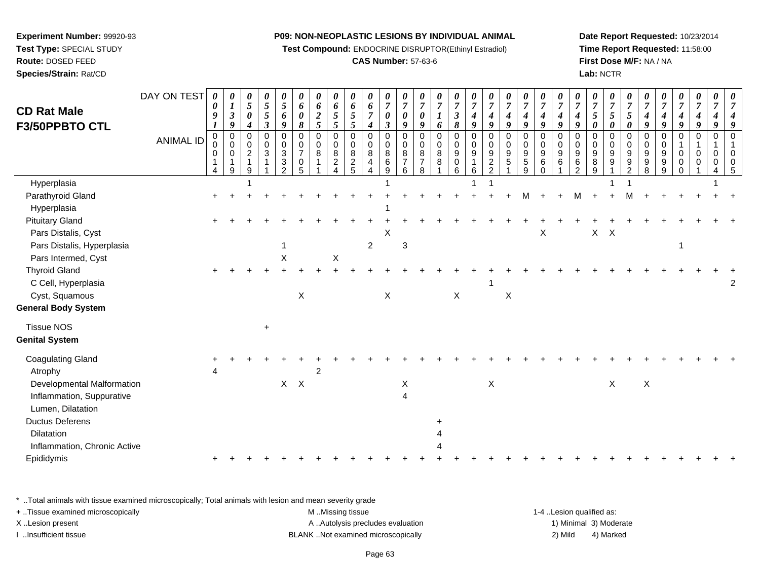**Test Compound:** ENDOCRINE DISRUPTOR(Ethinyl Estradiol)

#### **CAS Number:** 57-63-6

**Date Report Requested:** 10/23/2014**Time Report Requested:** 11:58:00**First Dose M/F:** NA / NA**Lab:** NCTR

| <b>CD Rat Male</b><br>F3/50PPBTO CTL | DAY ON TEST<br><b>ANIMAL ID</b> | 0<br>0<br>9<br>$\mathbf 0$<br>$\mathbf 0$<br>4 | $\boldsymbol{\theta}$<br>$\boldsymbol{l}$<br>$\boldsymbol{\beta}$<br>9<br>$\pmb{0}$<br>$\mathbf 0$<br>$\mathbf 0$<br>$\mathbf{1}$<br>9 | $\pmb{\theta}$<br>$\sqrt{5}$<br>$\boldsymbol{\theta}$<br>4<br>0<br>0<br>$\sqrt{2}$<br>$\mathbf{1}$<br>9 | 0<br>$\mathfrak{s}$<br>$\mathfrak{s}$<br>$\boldsymbol{\beta}$<br>$\pmb{0}$<br>$\mathbf 0$<br>$\mathbf{3}$<br>1 | 0<br>$\sqrt{5}$<br>6<br>9<br>$\mathbf 0$<br>0<br>3<br>3<br>2 | 0<br>6<br>0<br>8<br>$\mathbf 0$<br>0<br>$\overline{7}$<br>$\mathbf 0$<br>5 | $\boldsymbol{\theta}$<br>6<br>$\boldsymbol{2}$<br>$\sqrt{5}$<br>$\mathbf 0$<br>$\pmb{0}$<br>$\,8\,$ | $\boldsymbol{\theta}$<br>6<br>$\mathfrak{H}$<br>$\mathfrak{H}$<br>$\pmb{0}$<br>$\pmb{0}$<br>$\bf 8$<br>$\sqrt{2}$<br>$\overline{4}$ | $\pmb{\theta}$<br>$\pmb{6}$<br>$\sqrt{5}$<br>$\mathfrak{s}$<br>$\pmb{0}$<br>$\mathbf 0$<br>8<br>$rac{2}{5}$ | $\pmb{\theta}$<br>6<br>7<br>4<br>$\mathbf 0$<br>$\Omega$<br>8<br>4<br>4 | 0<br>$\overline{7}$<br>0<br>$\boldsymbol{\beta}$<br>$\mathbf 0$<br>$\Omega$<br>8<br>$\,6\,$<br>9 | 0<br>$\overline{7}$<br>0<br>9<br>$\mathbf 0$<br>0<br>8<br>$\overline{7}$<br>6 | 0<br>$\overline{7}$<br>0<br>9<br>0<br>$\mathbf 0$<br>8<br>$\overline{7}$<br>8 | 0<br>$\boldsymbol{7}$<br>$\boldsymbol{l}$<br>6<br>$\mathbf 0$<br>$\mathbf 0$<br>8<br>8 | 0<br>$\overline{7}$<br>$\boldsymbol{\beta}$<br>8<br>$\mathbf 0$<br>$\mathbf 0$<br>$9\,$<br>$\mathbf 0$<br>6 | 0<br>$\overline{7}$<br>4<br>9<br>$\mathbf 0$<br>$\mathbf 0$<br>$\boldsymbol{9}$<br>$\mathbf 1$<br>6 | 0<br>$\overline{7}$<br>$\boldsymbol{4}$<br>9<br>$\mathbf 0$<br>$\pmb{0}$<br>$\boldsymbol{9}$<br>$\overline{a}$<br>$\Omega$ | 0<br>$\overline{7}$<br>$\boldsymbol{4}$<br>$\boldsymbol{g}$<br>$\mathbf 0$<br>0<br>$\boldsymbol{9}$<br>$\sqrt{5}$ | $\pmb{\theta}$<br>$\overline{7}$<br>4<br>9<br>$\mathbf 0$<br>$\mathbf 0$<br>$\boldsymbol{9}$<br>$\,$ 5 $\,$<br>9 | 0<br>$\overline{7}$<br>4<br>9<br>$\mathbf 0$<br>0<br>9<br>6<br>$\Omega$ | 7<br>4<br>9<br>$\mathbf 0$<br>$\Omega$<br>9<br>6 | 0<br>$\overline{7}$<br>4<br>9<br>$\mathbf 0$<br>$\Omega$<br>$\boldsymbol{9}$<br>6<br>$\mathcal{P}$ | 0<br>$\overline{7}$<br>5<br>0<br>0<br>0<br>9<br>8<br>9 | 0<br>$\overline{7}$<br>5<br>0<br>$\mathbf 0$<br>$\Omega$<br>$\boldsymbol{9}$<br>$\boldsymbol{9}$ | 0<br>$\overline{7}$<br>$\mathfrak{H}$<br>$\boldsymbol{\theta}$<br>$\mathbf 0$<br>$\mathbf 0$<br>9<br>9<br>2 | 0<br>$\overline{7}$<br>$\boldsymbol{4}$<br>9<br>$\mathbf 0$<br>$\mathbf 0$<br>9<br>$\boldsymbol{9}$<br>8 | 0<br>$\overline{7}$<br>4<br>9<br>0<br>0<br>9<br>9<br>9 | 0<br>$\boldsymbol{7}$<br>$\boldsymbol{4}$<br>9<br>$\mathbf 0$<br>0<br>0<br>$\Omega$ | 0<br>$\overline{7}$<br>$\boldsymbol{4}$<br>9<br>$\mathbf 0$<br>0<br>$\mathbf 0$ | 0<br>7<br>9<br>$\mathbf 0$<br>$\mathbf 0$<br>0<br>4 | 7<br>$\mathbf 0$<br>-1<br>$\mathbf 0$<br>$\Omega$<br>5 |
|--------------------------------------|---------------------------------|------------------------------------------------|----------------------------------------------------------------------------------------------------------------------------------------|---------------------------------------------------------------------------------------------------------|----------------------------------------------------------------------------------------------------------------|--------------------------------------------------------------|----------------------------------------------------------------------------|-----------------------------------------------------------------------------------------------------|-------------------------------------------------------------------------------------------------------------------------------------|-------------------------------------------------------------------------------------------------------------|-------------------------------------------------------------------------|--------------------------------------------------------------------------------------------------|-------------------------------------------------------------------------------|-------------------------------------------------------------------------------|----------------------------------------------------------------------------------------|-------------------------------------------------------------------------------------------------------------|-----------------------------------------------------------------------------------------------------|----------------------------------------------------------------------------------------------------------------------------|-------------------------------------------------------------------------------------------------------------------|------------------------------------------------------------------------------------------------------------------|-------------------------------------------------------------------------|--------------------------------------------------|----------------------------------------------------------------------------------------------------|--------------------------------------------------------|--------------------------------------------------------------------------------------------------|-------------------------------------------------------------------------------------------------------------|----------------------------------------------------------------------------------------------------------|--------------------------------------------------------|-------------------------------------------------------------------------------------|---------------------------------------------------------------------------------|-----------------------------------------------------|--------------------------------------------------------|
| Hyperplasia                          |                                 |                                                |                                                                                                                                        |                                                                                                         |                                                                                                                |                                                              |                                                                            |                                                                                                     |                                                                                                                                     |                                                                                                             |                                                                         |                                                                                                  |                                                                               |                                                                               |                                                                                        |                                                                                                             |                                                                                                     |                                                                                                                            |                                                                                                                   |                                                                                                                  |                                                                         |                                                  |                                                                                                    |                                                        |                                                                                                  |                                                                                                             |                                                                                                          |                                                        |                                                                                     |                                                                                 |                                                     |                                                        |
| Parathyroid Gland                    |                                 |                                                |                                                                                                                                        |                                                                                                         |                                                                                                                |                                                              |                                                                            |                                                                                                     |                                                                                                                                     |                                                                                                             |                                                                         |                                                                                                  |                                                                               |                                                                               |                                                                                        |                                                                                                             |                                                                                                     |                                                                                                                            |                                                                                                                   |                                                                                                                  |                                                                         |                                                  |                                                                                                    |                                                        |                                                                                                  |                                                                                                             |                                                                                                          |                                                        |                                                                                     |                                                                                 |                                                     |                                                        |
| Hyperplasia                          |                                 |                                                |                                                                                                                                        |                                                                                                         |                                                                                                                |                                                              |                                                                            |                                                                                                     |                                                                                                                                     |                                                                                                             |                                                                         |                                                                                                  |                                                                               |                                                                               |                                                                                        |                                                                                                             |                                                                                                     |                                                                                                                            |                                                                                                                   |                                                                                                                  |                                                                         |                                                  |                                                                                                    |                                                        |                                                                                                  |                                                                                                             |                                                                                                          |                                                        |                                                                                     |                                                                                 |                                                     |                                                        |
| <b>Pituitary Gland</b>               |                                 |                                                |                                                                                                                                        |                                                                                                         |                                                                                                                |                                                              |                                                                            |                                                                                                     |                                                                                                                                     |                                                                                                             |                                                                         |                                                                                                  |                                                                               |                                                                               |                                                                                        |                                                                                                             |                                                                                                     |                                                                                                                            |                                                                                                                   |                                                                                                                  |                                                                         |                                                  |                                                                                                    |                                                        |                                                                                                  |                                                                                                             |                                                                                                          |                                                        |                                                                                     |                                                                                 |                                                     |                                                        |
| Pars Distalis, Cyst                  |                                 |                                                |                                                                                                                                        |                                                                                                         |                                                                                                                |                                                              |                                                                            |                                                                                                     |                                                                                                                                     |                                                                                                             |                                                                         | X                                                                                                |                                                                               |                                                                               |                                                                                        |                                                                                                             |                                                                                                     |                                                                                                                            |                                                                                                                   |                                                                                                                  | $\boldsymbol{\mathsf{X}}$                                               |                                                  |                                                                                                    |                                                        | $X$ $X$                                                                                          |                                                                                                             |                                                                                                          |                                                        |                                                                                     |                                                                                 |                                                     |                                                        |
| Pars Distalis, Hyperplasia           |                                 |                                                |                                                                                                                                        |                                                                                                         |                                                                                                                |                                                              |                                                                            |                                                                                                     |                                                                                                                                     |                                                                                                             | $\overline{2}$                                                          |                                                                                                  | 3                                                                             |                                                                               |                                                                                        |                                                                                                             |                                                                                                     |                                                                                                                            |                                                                                                                   |                                                                                                                  |                                                                         |                                                  |                                                                                                    |                                                        |                                                                                                  |                                                                                                             |                                                                                                          |                                                        |                                                                                     |                                                                                 |                                                     |                                                        |
| Pars Intermed, Cyst                  |                                 |                                                |                                                                                                                                        |                                                                                                         |                                                                                                                | Χ                                                            |                                                                            |                                                                                                     | $\mathsf X$                                                                                                                         |                                                                                                             |                                                                         |                                                                                                  |                                                                               |                                                                               |                                                                                        |                                                                                                             |                                                                                                     |                                                                                                                            |                                                                                                                   |                                                                                                                  |                                                                         |                                                  |                                                                                                    |                                                        |                                                                                                  |                                                                                                             |                                                                                                          |                                                        |                                                                                     |                                                                                 |                                                     |                                                        |
| <b>Thyroid Gland</b>                 |                                 |                                                |                                                                                                                                        |                                                                                                         |                                                                                                                |                                                              |                                                                            |                                                                                                     |                                                                                                                                     |                                                                                                             |                                                                         |                                                                                                  |                                                                               |                                                                               |                                                                                        |                                                                                                             |                                                                                                     |                                                                                                                            |                                                                                                                   |                                                                                                                  |                                                                         |                                                  |                                                                                                    |                                                        |                                                                                                  |                                                                                                             |                                                                                                          |                                                        |                                                                                     |                                                                                 |                                                     |                                                        |
| C Cell, Hyperplasia                  |                                 |                                                |                                                                                                                                        |                                                                                                         |                                                                                                                |                                                              |                                                                            |                                                                                                     |                                                                                                                                     |                                                                                                             |                                                                         |                                                                                                  |                                                                               |                                                                               |                                                                                        |                                                                                                             |                                                                                                     |                                                                                                                            |                                                                                                                   |                                                                                                                  |                                                                         |                                                  |                                                                                                    |                                                        |                                                                                                  |                                                                                                             |                                                                                                          |                                                        |                                                                                     |                                                                                 |                                                     | $\overline{2}$                                         |
| Cyst, Squamous                       |                                 |                                                |                                                                                                                                        |                                                                                                         |                                                                                                                |                                                              | $\mathsf X$                                                                |                                                                                                     |                                                                                                                                     |                                                                                                             |                                                                         | $\boldsymbol{\mathsf{X}}$                                                                        |                                                                               |                                                                               |                                                                                        | $\mathsf X$                                                                                                 |                                                                                                     |                                                                                                                            | $\pmb{\times}$                                                                                                    |                                                                                                                  |                                                                         |                                                  |                                                                                                    |                                                        |                                                                                                  |                                                                                                             |                                                                                                          |                                                        |                                                                                     |                                                                                 |                                                     |                                                        |
| <b>General Body System</b>           |                                 |                                                |                                                                                                                                        |                                                                                                         |                                                                                                                |                                                              |                                                                            |                                                                                                     |                                                                                                                                     |                                                                                                             |                                                                         |                                                                                                  |                                                                               |                                                                               |                                                                                        |                                                                                                             |                                                                                                     |                                                                                                                            |                                                                                                                   |                                                                                                                  |                                                                         |                                                  |                                                                                                    |                                                        |                                                                                                  |                                                                                                             |                                                                                                          |                                                        |                                                                                     |                                                                                 |                                                     |                                                        |
| <b>Tissue NOS</b>                    |                                 |                                                |                                                                                                                                        |                                                                                                         | $\ddot{}$                                                                                                      |                                                              |                                                                            |                                                                                                     |                                                                                                                                     |                                                                                                             |                                                                         |                                                                                                  |                                                                               |                                                                               |                                                                                        |                                                                                                             |                                                                                                     |                                                                                                                            |                                                                                                                   |                                                                                                                  |                                                                         |                                                  |                                                                                                    |                                                        |                                                                                                  |                                                                                                             |                                                                                                          |                                                        |                                                                                     |                                                                                 |                                                     |                                                        |
| <b>Genital System</b>                |                                 |                                                |                                                                                                                                        |                                                                                                         |                                                                                                                |                                                              |                                                                            |                                                                                                     |                                                                                                                                     |                                                                                                             |                                                                         |                                                                                                  |                                                                               |                                                                               |                                                                                        |                                                                                                             |                                                                                                     |                                                                                                                            |                                                                                                                   |                                                                                                                  |                                                                         |                                                  |                                                                                                    |                                                        |                                                                                                  |                                                                                                             |                                                                                                          |                                                        |                                                                                     |                                                                                 |                                                     |                                                        |
| <b>Coagulating Gland</b>             |                                 |                                                |                                                                                                                                        |                                                                                                         |                                                                                                                |                                                              |                                                                            |                                                                                                     |                                                                                                                                     |                                                                                                             |                                                                         |                                                                                                  |                                                                               |                                                                               |                                                                                        |                                                                                                             |                                                                                                     |                                                                                                                            |                                                                                                                   |                                                                                                                  |                                                                         |                                                  |                                                                                                    |                                                        |                                                                                                  |                                                                                                             |                                                                                                          |                                                        |                                                                                     |                                                                                 |                                                     |                                                        |
| Atrophy                              |                                 | 4                                              |                                                                                                                                        |                                                                                                         |                                                                                                                |                                                              |                                                                            | 2                                                                                                   |                                                                                                                                     |                                                                                                             |                                                                         |                                                                                                  |                                                                               |                                                                               |                                                                                        |                                                                                                             |                                                                                                     |                                                                                                                            |                                                                                                                   |                                                                                                                  |                                                                         |                                                  |                                                                                                    |                                                        |                                                                                                  |                                                                                                             |                                                                                                          |                                                        |                                                                                     |                                                                                 |                                                     |                                                        |
| Developmental Malformation           |                                 |                                                |                                                                                                                                        |                                                                                                         |                                                                                                                | $X$ $X$                                                      |                                                                            |                                                                                                     |                                                                                                                                     |                                                                                                             |                                                                         |                                                                                                  | X                                                                             |                                                                               |                                                                                        |                                                                                                             |                                                                                                     | X                                                                                                                          |                                                                                                                   |                                                                                                                  |                                                                         |                                                  |                                                                                                    |                                                        | X                                                                                                |                                                                                                             | $\mathsf X$                                                                                              |                                                        |                                                                                     |                                                                                 |                                                     |                                                        |
| Inflammation, Suppurative            |                                 |                                                |                                                                                                                                        |                                                                                                         |                                                                                                                |                                                              |                                                                            |                                                                                                     |                                                                                                                                     |                                                                                                             |                                                                         |                                                                                                  | 4                                                                             |                                                                               |                                                                                        |                                                                                                             |                                                                                                     |                                                                                                                            |                                                                                                                   |                                                                                                                  |                                                                         |                                                  |                                                                                                    |                                                        |                                                                                                  |                                                                                                             |                                                                                                          |                                                        |                                                                                     |                                                                                 |                                                     |                                                        |
| Lumen, Dilatation                    |                                 |                                                |                                                                                                                                        |                                                                                                         |                                                                                                                |                                                              |                                                                            |                                                                                                     |                                                                                                                                     |                                                                                                             |                                                                         |                                                                                                  |                                                                               |                                                                               |                                                                                        |                                                                                                             |                                                                                                     |                                                                                                                            |                                                                                                                   |                                                                                                                  |                                                                         |                                                  |                                                                                                    |                                                        |                                                                                                  |                                                                                                             |                                                                                                          |                                                        |                                                                                     |                                                                                 |                                                     |                                                        |
| <b>Ductus Deferens</b>               |                                 |                                                |                                                                                                                                        |                                                                                                         |                                                                                                                |                                                              |                                                                            |                                                                                                     |                                                                                                                                     |                                                                                                             |                                                                         |                                                                                                  |                                                                               |                                                                               |                                                                                        |                                                                                                             |                                                                                                     |                                                                                                                            |                                                                                                                   |                                                                                                                  |                                                                         |                                                  |                                                                                                    |                                                        |                                                                                                  |                                                                                                             |                                                                                                          |                                                        |                                                                                     |                                                                                 |                                                     |                                                        |
| Dilatation                           |                                 |                                                |                                                                                                                                        |                                                                                                         |                                                                                                                |                                                              |                                                                            |                                                                                                     |                                                                                                                                     |                                                                                                             |                                                                         |                                                                                                  |                                                                               |                                                                               |                                                                                        |                                                                                                             |                                                                                                     |                                                                                                                            |                                                                                                                   |                                                                                                                  |                                                                         |                                                  |                                                                                                    |                                                        |                                                                                                  |                                                                                                             |                                                                                                          |                                                        |                                                                                     |                                                                                 |                                                     |                                                        |
| Inflammation, Chronic Active         |                                 |                                                |                                                                                                                                        |                                                                                                         |                                                                                                                |                                                              |                                                                            |                                                                                                     |                                                                                                                                     |                                                                                                             |                                                                         |                                                                                                  |                                                                               |                                                                               |                                                                                        |                                                                                                             |                                                                                                     |                                                                                                                            |                                                                                                                   |                                                                                                                  |                                                                         |                                                  |                                                                                                    |                                                        |                                                                                                  |                                                                                                             |                                                                                                          |                                                        |                                                                                     |                                                                                 |                                                     |                                                        |
| Epididymis                           |                                 |                                                |                                                                                                                                        |                                                                                                         |                                                                                                                |                                                              |                                                                            |                                                                                                     |                                                                                                                                     |                                                                                                             |                                                                         |                                                                                                  |                                                                               |                                                                               |                                                                                        |                                                                                                             |                                                                                                     |                                                                                                                            |                                                                                                                   |                                                                                                                  |                                                                         |                                                  |                                                                                                    |                                                        |                                                                                                  |                                                                                                             |                                                                                                          |                                                        |                                                                                     |                                                                                 |                                                     |                                                        |
|                                      |                                 |                                                |                                                                                                                                        |                                                                                                         |                                                                                                                |                                                              |                                                                            |                                                                                                     |                                                                                                                                     |                                                                                                             |                                                                         |                                                                                                  |                                                                               |                                                                               |                                                                                        |                                                                                                             |                                                                                                     |                                                                                                                            |                                                                                                                   |                                                                                                                  |                                                                         |                                                  |                                                                                                    |                                                        |                                                                                                  |                                                                                                             |                                                                                                          |                                                        |                                                                                     |                                                                                 |                                                     |                                                        |

\* ..Total animals with tissue examined microscopically; Total animals with lesion and mean severity grade

+ ..Tissue examined microscopically examined microscopically examined as:  $M$  ..Missing tissue 1-4 ..Lesion qualified as: X..Lesion present **A ..Autolysis precludes evaluation** A ..Autolysis precludes evaluation 1) Minimal 3) Moderate I ..Insufficient tissue BLANK ..Not examined microscopically 2) Mild 4) Marked

#### **Test Type:** SPECIAL STUDY**Route:** DOSED FEED

**Experiment Number:** 99920-93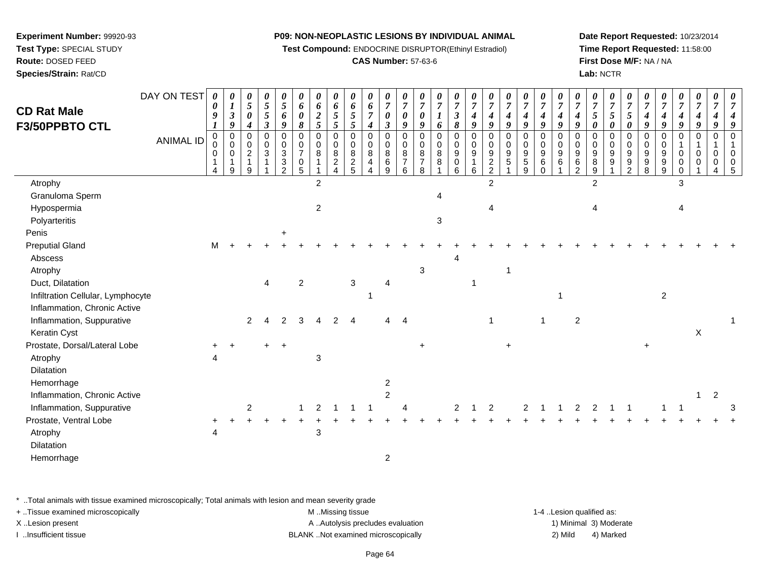**Test Compound:** ENDOCRINE DISRUPTOR(Ethinyl Estradiol)

#### **CAS Number:** 57-63-6

**Date Report Requested:** 10/23/2014**Time Report Requested:** 11:58:00**First Dose M/F:** NA / NA**Lab:** NCTR

| <b>CD Rat Male</b>                | DAY ON TEST      | 0<br>0<br>9           | 0<br>$\boldsymbol{l}$<br>$\mathfrak{z}$                   | 0<br>$\mathfrak{S}$<br>$\boldsymbol{\theta}$ | $\boldsymbol{\theta}$<br>$\sqrt{5}$<br>5                   | 0<br>$\overline{5}$<br>6                                                   | $\boldsymbol{\theta}$<br>6<br>$\boldsymbol{\theta}$                   | 0<br>6<br>$\boldsymbol{2}$ | 0<br>6<br>$5\overline{)}$                                           | $\boldsymbol{\theta}$<br>6<br>5                           | $\boldsymbol{\theta}$<br>$\boldsymbol{6}$<br>$\overline{7}$                | U<br>$\overline{7}$<br>$\boldsymbol{\theta}$                         | $\frac{\boldsymbol{0}}{7}$<br>$\boldsymbol{\theta}$  | $\frac{\theta}{7}$<br>$\boldsymbol{\theta}$                                                          | $\boldsymbol{\theta}$<br>$\boldsymbol{7}$<br>$\boldsymbol{l}$ | $\overline{7}$<br>$\mathfrak{z}$                      | $\boldsymbol{\theta}$<br>$\overline{7}$<br>$\boldsymbol{4}$     | $\frac{\boldsymbol{0}}{7}$<br>4           | U<br>$\overline{7}$<br>$\boldsymbol{4}$ | $\boldsymbol{\theta}$<br>$\overline{7}$<br>$\boldsymbol{4}$                | $\boldsymbol{7}$<br>$\boldsymbol{4}$             | U<br>$\overline{7}$<br>$\boldsymbol{4}$     | 0<br>$\overline{7}$<br>$\boldsymbol{4}$                                 | U<br>$\overline{7}$<br>5                                            | U<br>$\overline{7}$<br>5     | $\boldsymbol{\theta}$<br>$\overline{7}$<br>$\mathfrak{s}$                                 | 0<br>$\overline{7}$<br>$\boldsymbol{4}$           | U<br>$\boldsymbol{7}$<br>$\boldsymbol{4}$ | $\boldsymbol{\theta}$<br>$\overline{7}$<br>$\boldsymbol{4}$ | $\boldsymbol{\theta}$<br>$\overline{7}$<br>$\boldsymbol{4}$   | 0<br>$\overline{7}$<br>4          | 0<br>$\overline{7}$<br>$\boldsymbol{4}$ |
|-----------------------------------|------------------|-----------------------|-----------------------------------------------------------|----------------------------------------------|------------------------------------------------------------|----------------------------------------------------------------------------|-----------------------------------------------------------------------|----------------------------|---------------------------------------------------------------------|-----------------------------------------------------------|----------------------------------------------------------------------------|----------------------------------------------------------------------|------------------------------------------------------|------------------------------------------------------------------------------------------------------|---------------------------------------------------------------|-------------------------------------------------------|-----------------------------------------------------------------|-------------------------------------------|-----------------------------------------|----------------------------------------------------------------------------|--------------------------------------------------|---------------------------------------------|-------------------------------------------------------------------------|---------------------------------------------------------------------|------------------------------|-------------------------------------------------------------------------------------------|---------------------------------------------------|-------------------------------------------|-------------------------------------------------------------|---------------------------------------------------------------|-----------------------------------|-----------------------------------------|
| <b>F3/50PPBTO CTL</b>             | <b>ANIMAL ID</b> | 1<br>0<br>0<br>1<br>4 | 9<br>0<br>$\mathbf 0$<br>$\mathsf 0$<br>$\mathbf{1}$<br>9 | 4<br>0<br>$\mathbf 0$<br>$\overline{2}$<br>9 | $\mathfrak{z}$<br>$\mathbf 0$<br>$\pmb{0}$<br>$\mathbf{3}$ | $\boldsymbol{g}$<br>$\mathbf 0$<br>$\mathbf 0$<br>3<br>3<br>$\overline{2}$ | 8<br>$\mathbf 0$<br>$\mathbf 0$<br>$\overline{7}$<br>$\mathbf 0$<br>5 | 5<br>0<br>0<br>8           | $5\overline{)}$<br>$\mathbf 0$<br>$\mathbf 0$<br>8<br>$\frac{2}{4}$ | 5<br>$\mathbf 0$<br>$\pmb{0}$<br>$\bf 8$<br>$\frac{2}{5}$ | $\boldsymbol{4}$<br>$\mathbf 0$<br>$\mathbf 0$<br>8<br>$\overline{4}$<br>4 | $\mathbf{3}$<br>$\mathbf 0$<br>$\mathbf 0$<br>$\bf8$<br>$\,6\,$<br>9 | 9<br>$\Omega$<br>0<br>$\,8\,$<br>$\overline{7}$<br>6 | $\boldsymbol{g}$<br>$\mathbf 0$<br>$\mathsf{O}\xspace$<br>$\begin{array}{c} 8 \\ 7 \end{array}$<br>8 | 6<br>$\mathbf 0$<br>$\pmb{0}$<br>8<br>8                       | 8<br>$\Omega$<br>$\mathbf 0$<br>9<br>$\mathbf 0$<br>6 | 9<br>$\mathbf 0$<br>$\mathbf 0$<br>$9\,$<br>$\overline{1}$<br>6 | 9<br>0<br>$\pmb{0}$<br>9<br>$\frac{2}{2}$ | 9<br>$\Omega$<br>$\mathbf 0$<br>9<br>5  | 9<br>$\Omega$<br>$\mathbf 0$<br>$\begin{array}{c} 9 \\ 5 \end{array}$<br>9 | 9<br>$\Omega$<br>0<br>$\boldsymbol{9}$<br>6<br>0 | 9<br>$\Omega$<br>0<br>$\boldsymbol{9}$<br>6 | 9<br>$\Omega$<br>$\mathbf 0$<br>$\boldsymbol{9}$<br>6<br>$\overline{2}$ | $\boldsymbol{\theta}$<br>$\Omega$<br>$\mathbf 0$<br>9<br>8<br>$9\,$ | 0<br>$\Omega$<br>0<br>9<br>9 | 0<br>$\mathbf 0$<br>$\mathbf 0$<br>$\boldsymbol{9}$<br>$\boldsymbol{9}$<br>$\overline{2}$ | 9<br>0<br>$\pmb{0}$<br>9<br>$\boldsymbol{9}$<br>8 | 9<br>0<br>0<br>9<br>9<br>$\overline{9}$   | 9<br>$\Omega$<br>$\overline{1}$<br>0<br>0<br>0              | $\boldsymbol{g}$<br>$\Omega$<br>$\mathbf{1}$<br>0<br>$\Omega$ | 9<br>$\Omega$<br>1<br>0<br>0<br>4 | 9<br>$\Omega$<br>$\mathbf 0$<br>0<br>5  |
| Atrophy                           |                  |                       |                                                           |                                              |                                                            |                                                                            |                                                                       | $\overline{2}$             |                                                                     |                                                           |                                                                            |                                                                      |                                                      |                                                                                                      |                                                               |                                                       |                                                                 | $\overline{2}$                            |                                         |                                                                            |                                                  |                                             |                                                                         | $\overline{2}$                                                      |                              |                                                                                           |                                                   |                                           | 3                                                           |                                                               |                                   |                                         |
| Granuloma Sperm                   |                  |                       |                                                           |                                              |                                                            |                                                                            |                                                                       |                            |                                                                     |                                                           |                                                                            |                                                                      |                                                      |                                                                                                      | $\boldsymbol{\Lambda}$                                        |                                                       |                                                                 |                                           |                                         |                                                                            |                                                  |                                             |                                                                         |                                                                     |                              |                                                                                           |                                                   |                                           |                                                             |                                                               |                                   |                                         |
| Hypospermia                       |                  |                       |                                                           |                                              |                                                            |                                                                            |                                                                       | $\overline{2}$             |                                                                     |                                                           |                                                                            |                                                                      |                                                      |                                                                                                      |                                                               |                                                       |                                                                 | 4                                         |                                         |                                                                            |                                                  |                                             |                                                                         | Δ                                                                   |                              |                                                                                           |                                                   |                                           |                                                             |                                                               |                                   |                                         |
| Polyarteritis                     |                  |                       |                                                           |                                              |                                                            |                                                                            |                                                                       |                            |                                                                     |                                                           |                                                                            |                                                                      |                                                      |                                                                                                      | 3                                                             |                                                       |                                                                 |                                           |                                         |                                                                            |                                                  |                                             |                                                                         |                                                                     |                              |                                                                                           |                                                   |                                           |                                                             |                                                               |                                   |                                         |
| Penis                             |                  |                       |                                                           |                                              |                                                            |                                                                            |                                                                       |                            |                                                                     |                                                           |                                                                            |                                                                      |                                                      |                                                                                                      |                                                               |                                                       |                                                                 |                                           |                                         |                                                                            |                                                  |                                             |                                                                         |                                                                     |                              |                                                                                           |                                                   |                                           |                                                             |                                                               |                                   |                                         |
| <b>Preputial Gland</b>            |                  | M                     |                                                           |                                              |                                                            |                                                                            |                                                                       |                            |                                                                     |                                                           |                                                                            |                                                                      |                                                      |                                                                                                      |                                                               |                                                       |                                                                 |                                           |                                         |                                                                            |                                                  |                                             |                                                                         |                                                                     |                              |                                                                                           |                                                   |                                           |                                                             |                                                               |                                   |                                         |
| Abscess                           |                  |                       |                                                           |                                              |                                                            |                                                                            |                                                                       |                            |                                                                     |                                                           |                                                                            |                                                                      |                                                      |                                                                                                      |                                                               |                                                       |                                                                 |                                           |                                         |                                                                            |                                                  |                                             |                                                                         |                                                                     |                              |                                                                                           |                                                   |                                           |                                                             |                                                               |                                   |                                         |
| Atrophy                           |                  |                       |                                                           |                                              |                                                            |                                                                            |                                                                       |                            |                                                                     |                                                           |                                                                            |                                                                      |                                                      | 3                                                                                                    |                                                               |                                                       |                                                                 |                                           |                                         |                                                                            |                                                  |                                             |                                                                         |                                                                     |                              |                                                                                           |                                                   |                                           |                                                             |                                                               |                                   |                                         |
| Duct, Dilatation                  |                  |                       |                                                           |                                              |                                                            |                                                                            | $\overline{c}$                                                        |                            |                                                                     | $\sqrt{3}$                                                |                                                                            | Δ                                                                    |                                                      |                                                                                                      |                                                               |                                                       |                                                                 |                                           |                                         |                                                                            |                                                  |                                             |                                                                         |                                                                     |                              |                                                                                           |                                                   |                                           |                                                             |                                                               |                                   |                                         |
| Infiltration Cellular, Lymphocyte |                  |                       |                                                           |                                              |                                                            |                                                                            |                                                                       |                            |                                                                     |                                                           |                                                                            |                                                                      |                                                      |                                                                                                      |                                                               |                                                       |                                                                 |                                           |                                         |                                                                            |                                                  |                                             |                                                                         |                                                                     |                              |                                                                                           |                                                   | 2                                         |                                                             |                                                               |                                   |                                         |
| Inflammation, Chronic Active      |                  |                       |                                                           |                                              |                                                            |                                                                            |                                                                       |                            |                                                                     |                                                           |                                                                            |                                                                      |                                                      |                                                                                                      |                                                               |                                                       |                                                                 |                                           |                                         |                                                                            |                                                  |                                             |                                                                         |                                                                     |                              |                                                                                           |                                                   |                                           |                                                             |                                                               |                                   |                                         |
| Inflammation, Suppurative         |                  |                       |                                                           | $\overline{2}$                               |                                                            | っ                                                                          |                                                                       |                            | $\mathcal{P}$                                                       |                                                           |                                                                            | 4                                                                    | $\boldsymbol{\varDelta}$                             |                                                                                                      |                                                               |                                                       |                                                                 | 1                                         |                                         |                                                                            |                                                  |                                             | $\overline{c}$                                                          |                                                                     |                              |                                                                                           |                                                   |                                           |                                                             |                                                               |                                   |                                         |
| Keratin Cyst                      |                  |                       |                                                           |                                              |                                                            |                                                                            |                                                                       |                            |                                                                     |                                                           |                                                                            |                                                                      |                                                      |                                                                                                      |                                                               |                                                       |                                                                 |                                           |                                         |                                                                            |                                                  |                                             |                                                                         |                                                                     |                              |                                                                                           |                                                   |                                           |                                                             | $\boldsymbol{\mathsf{X}}$                                     |                                   |                                         |
| Prostate, Dorsal/Lateral Lobe     |                  |                       |                                                           |                                              |                                                            |                                                                            |                                                                       |                            |                                                                     |                                                           |                                                                            |                                                                      |                                                      |                                                                                                      |                                                               |                                                       |                                                                 |                                           | ÷                                       |                                                                            |                                                  |                                             |                                                                         |                                                                     |                              |                                                                                           | $\ddot{}$                                         |                                           |                                                             |                                                               |                                   |                                         |
| Atrophy                           |                  |                       |                                                           |                                              |                                                            |                                                                            |                                                                       | 3                          |                                                                     |                                                           |                                                                            |                                                                      |                                                      |                                                                                                      |                                                               |                                                       |                                                                 |                                           |                                         |                                                                            |                                                  |                                             |                                                                         |                                                                     |                              |                                                                                           |                                                   |                                           |                                                             |                                                               |                                   |                                         |
| Dilatation                        |                  |                       |                                                           |                                              |                                                            |                                                                            |                                                                       |                            |                                                                     |                                                           |                                                                            |                                                                      |                                                      |                                                                                                      |                                                               |                                                       |                                                                 |                                           |                                         |                                                                            |                                                  |                                             |                                                                         |                                                                     |                              |                                                                                           |                                                   |                                           |                                                             |                                                               |                                   |                                         |
| Hemorrhage                        |                  |                       |                                                           |                                              |                                                            |                                                                            |                                                                       |                            |                                                                     |                                                           |                                                                            | $\overline{c}$                                                       |                                                      |                                                                                                      |                                                               |                                                       |                                                                 |                                           |                                         |                                                                            |                                                  |                                             |                                                                         |                                                                     |                              |                                                                                           |                                                   |                                           |                                                             |                                                               |                                   |                                         |
| Inflammation, Chronic Active      |                  |                       |                                                           |                                              |                                                            |                                                                            |                                                                       |                            |                                                                     |                                                           |                                                                            | $\overline{c}$                                                       |                                                      |                                                                                                      |                                                               |                                                       |                                                                 |                                           |                                         |                                                                            |                                                  |                                             |                                                                         |                                                                     |                              |                                                                                           |                                                   |                                           |                                                             |                                                               | 2                                 |                                         |
| Inflammation, Suppurative         |                  |                       |                                                           | 2                                            |                                                            |                                                                            |                                                                       | $\overline{2}$             |                                                                     |                                                           |                                                                            |                                                                      |                                                      |                                                                                                      |                                                               | 2                                                     |                                                                 | 2                                         |                                         | 2                                                                          |                                                  |                                             |                                                                         |                                                                     |                              |                                                                                           |                                                   |                                           |                                                             |                                                               |                                   |                                         |
| Prostate, Ventral Lobe            |                  |                       |                                                           |                                              |                                                            |                                                                            |                                                                       |                            |                                                                     |                                                           |                                                                            |                                                                      |                                                      |                                                                                                      |                                                               |                                                       |                                                                 |                                           |                                         |                                                                            |                                                  |                                             |                                                                         |                                                                     |                              |                                                                                           |                                                   |                                           |                                                             |                                                               |                                   |                                         |
| Atrophy                           |                  |                       |                                                           |                                              |                                                            |                                                                            |                                                                       | 3                          |                                                                     |                                                           |                                                                            |                                                                      |                                                      |                                                                                                      |                                                               |                                                       |                                                                 |                                           |                                         |                                                                            |                                                  |                                             |                                                                         |                                                                     |                              |                                                                                           |                                                   |                                           |                                                             |                                                               |                                   |                                         |
| Dilatation                        |                  |                       |                                                           |                                              |                                                            |                                                                            |                                                                       |                            |                                                                     |                                                           |                                                                            |                                                                      |                                                      |                                                                                                      |                                                               |                                                       |                                                                 |                                           |                                         |                                                                            |                                                  |                                             |                                                                         |                                                                     |                              |                                                                                           |                                                   |                                           |                                                             |                                                               |                                   |                                         |
| Hemorrhage                        |                  |                       |                                                           |                                              |                                                            |                                                                            |                                                                       |                            |                                                                     |                                                           |                                                                            | $\overline{\mathbf{c}}$                                              |                                                      |                                                                                                      |                                                               |                                                       |                                                                 |                                           |                                         |                                                                            |                                                  |                                             |                                                                         |                                                                     |                              |                                                                                           |                                                   |                                           |                                                             |                                                               |                                   |                                         |

\* ..Total animals with tissue examined microscopically; Total animals with lesion and mean severity grade

+ ..Tissue examined microscopically examined microscopically examined as:  $M$  ..Missing tissue 1-4 ..Lesion qualified as: X..Lesion present **A ..Autolysis precludes evaluation** A ..Autolysis precludes evaluation 1) Minimal 3) Moderate I ..Insufficient tissue BLANK ..Not examined microscopically 2) Mild 4) Marked

#### **Experiment Number:** 99920-93**Test Type:** SPECIAL STUDY

**Route:** DOSED FEED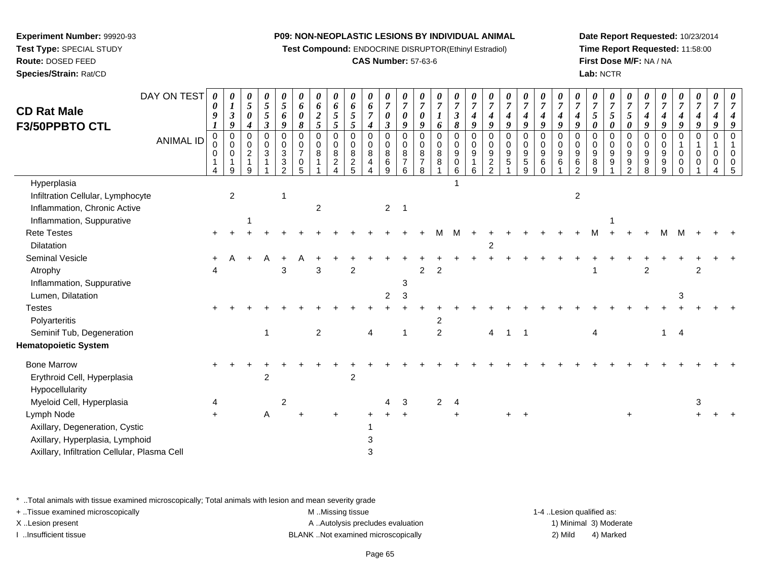**Test Compound:** ENDOCRINE DISRUPTOR(Ethinyl Estradiol)

#### **CAS Number:** 57-63-6

**Date Report Requested:** 10/23/2014**Time Report Requested:** 11:58:00**First Dose M/F:** NA / NA**Lab:** NCTR

| <b>CD Rat Male</b><br><b>F3/50PPBTO CTL</b>  | DAY ON TEST      | 0<br>0<br>9 | 0<br>$\bm{l}$<br>$\boldsymbol{\beta}$<br>9        | 0<br>5<br>0<br>4                              | 0<br>$\mathfrak{s}$<br>$\mathfrak{s}$<br>$\boldsymbol{\mathfrak{z}}$ | 0<br>5<br>6<br>9                                  | 0<br>6<br>$\boldsymbol{\theta}$<br>8                             | 0<br>6<br>$\boldsymbol{2}$<br>$\sqrt{5}$ | 0<br>6<br>$\mathfrak{I}$<br>$\mathfrak{s}$ | 0<br>6<br>$\mathfrak{s}$<br>$\mathfrak{s}$                                | 0<br>6<br>$\overline{\tau}$<br>4 | 0<br>$\overline{7}$<br>$\boldsymbol{\theta}$<br>$\boldsymbol{\beta}$ | 0<br>$\overline{7}$<br>0<br>$\boldsymbol{q}$              | 0<br>$\overline{7}$<br>$\boldsymbol{\theta}$<br>9            | 0<br>$\overline{7}$<br>$\boldsymbol{l}$<br>6 | 0<br>7<br>3<br>8             | $\overline{7}$<br>4<br>9   | 0<br>$\overline{7}$<br>4<br>9                                                     | 0<br>$\overline{7}$<br>$\boldsymbol{4}$<br>9                 | 0<br>$\overline{7}$<br>$\boldsymbol{4}$<br>9            | 0<br>7<br>4<br>9                              | 0<br>$\overline{7}$<br>4<br>9                    | 0<br>$\overline{\tau}$<br>4<br>9                    | 0<br>7<br>5<br>0                       | 0<br>$\boldsymbol{7}$<br>5<br>0                  | 0<br>$\overline{7}$<br>$\mathfrak{s}$<br>$\boldsymbol{\theta}$ | 0<br>$\overline{7}$<br>4<br>9             | 0<br>$\overline{7}$<br>$\boldsymbol{4}$<br>$\boldsymbol{q}$ | 0<br>$\overline{7}$<br>$\boldsymbol{4}$<br>9 | 0<br>$\overline{7}$<br>$\boldsymbol{4}$<br>9 | 0<br>7<br>9                |  |
|----------------------------------------------|------------------|-------------|---------------------------------------------------|-----------------------------------------------|----------------------------------------------------------------------|---------------------------------------------------|------------------------------------------------------------------|------------------------------------------|--------------------------------------------|---------------------------------------------------------------------------|----------------------------------|----------------------------------------------------------------------|-----------------------------------------------------------|--------------------------------------------------------------|----------------------------------------------|------------------------------|----------------------------|-----------------------------------------------------------------------------------|--------------------------------------------------------------|---------------------------------------------------------|-----------------------------------------------|--------------------------------------------------|-----------------------------------------------------|----------------------------------------|--------------------------------------------------|----------------------------------------------------------------|-------------------------------------------|-------------------------------------------------------------|----------------------------------------------|----------------------------------------------|----------------------------|--|
|                                              | <b>ANIMAL ID</b> | 0<br>0<br>4 | $\pmb{0}$<br>$\mathbf 0$<br>$\mathbf 0$<br>1<br>9 | 0<br>0<br>$\overline{c}$<br>$\mathbf{1}$<br>9 | $\mathbf 0$<br>$\mathbf 0$<br>$\mathbf{3}$                           | $\Omega$<br>0<br>$\sqrt{3}$<br>3<br>$\mathcal{P}$ | $\mathbf 0$<br>$\mathbf 0$<br>$\overline{7}$<br>$\mathbf 0$<br>5 | $\mathbf 0$<br>$\mathbf 0$<br>$\,8\,$    | 0<br>0<br>$\bf 8$<br>$\boldsymbol{2}$      | $\mathbf 0$<br>$\mathbf 0$<br>$\,8\,$<br>$\overline{c}$<br>$\overline{5}$ | 0<br>0<br>8<br>$\overline{4}$    | $\mathbf 0$<br>$\mathbf 0$<br>$\bf 8$<br>$\,6\,$<br>9                | $\Omega$<br>$\mathbf 0$<br>$\,8\,$<br>$\overline{7}$<br>6 | $\mathbf 0$<br>$\mathbf 0$<br>$\bf 8$<br>$\overline{7}$<br>8 | $\mathbf 0$<br>$\mathbf 0$<br>$\bf8$<br>8    | $\Omega$<br>0<br>9<br>0<br>6 | 0<br>$\mathbf 0$<br>9<br>6 | $\Omega$<br>$\mathbf 0$<br>$\boldsymbol{9}$<br>$\boldsymbol{2}$<br>$\overline{2}$ | $\mathbf 0$<br>$\mathbf 0$<br>$\boldsymbol{9}$<br>$\sqrt{5}$ | $\mathbf 0$<br>0<br>$\boldsymbol{9}$<br>$\sqrt{5}$<br>9 | $\Omega$<br>$\mathbf 0$<br>9<br>6<br>$\Omega$ | $\Omega$<br>$\mathbf 0$<br>$\boldsymbol{9}$<br>6 | $\Omega$<br>$\mathbf 0$<br>9<br>6<br>$\mathfrak{p}$ | $\Omega$<br>$\mathbf 0$<br>9<br>8<br>9 | $\Omega$<br>$\mathbf 0$<br>$\boldsymbol{9}$<br>9 | $\mathbf 0$<br>0<br>9<br>9<br>$\overline{2}$                   | $\mathbf 0$<br>$\mathbf 0$<br>9<br>9<br>8 | $\mathbf 0$<br>0<br>9<br>9<br>9                             | $\Omega$<br>0<br>0<br>0                      | $\Omega$<br>$\Omega$<br>0                    | $\mathbf 0$<br>1<br>0<br>0 |  |
| Hyperplasia                                  |                  |             |                                                   |                                               |                                                                      |                                                   |                                                                  |                                          |                                            |                                                                           |                                  |                                                                      |                                                           |                                                              |                                              |                              |                            |                                                                                   |                                                              |                                                         |                                               |                                                  |                                                     |                                        |                                                  |                                                                |                                           |                                                             |                                              |                                              |                            |  |
| Infiltration Cellular, Lymphocyte            |                  |             | $\overline{a}$                                    |                                               |                                                                      | -1                                                |                                                                  |                                          |                                            |                                                                           |                                  |                                                                      |                                                           |                                                              |                                              |                              |                            |                                                                                   |                                                              |                                                         |                                               |                                                  | $\overline{c}$                                      |                                        |                                                  |                                                                |                                           |                                                             |                                              |                                              |                            |  |
| Inflammation, Chronic Active                 |                  |             |                                                   |                                               |                                                                      |                                                   |                                                                  | $\overline{c}$                           |                                            |                                                                           |                                  | $\overline{2}$                                                       | -1                                                        |                                                              |                                              |                              |                            |                                                                                   |                                                              |                                                         |                                               |                                                  |                                                     |                                        |                                                  |                                                                |                                           |                                                             |                                              |                                              |                            |  |
| Inflammation, Suppurative                    |                  |             |                                                   |                                               |                                                                      |                                                   |                                                                  |                                          |                                            |                                                                           |                                  |                                                                      |                                                           |                                                              |                                              |                              |                            |                                                                                   |                                                              |                                                         |                                               |                                                  |                                                     |                                        |                                                  |                                                                |                                           |                                                             |                                              |                                              |                            |  |
| <b>Rete Testes</b>                           |                  |             |                                                   |                                               |                                                                      |                                                   |                                                                  |                                          |                                            |                                                                           |                                  |                                                                      |                                                           |                                                              | м                                            |                              |                            |                                                                                   |                                                              |                                                         |                                               |                                                  |                                                     |                                        |                                                  |                                                                |                                           |                                                             |                                              |                                              |                            |  |
| <b>Dilatation</b>                            |                  |             |                                                   |                                               |                                                                      |                                                   |                                                                  |                                          |                                            |                                                                           |                                  |                                                                      |                                                           |                                                              |                                              |                              |                            | 2                                                                                 |                                                              |                                                         |                                               |                                                  |                                                     |                                        |                                                  |                                                                |                                           |                                                             |                                              |                                              |                            |  |
| <b>Seminal Vesicle</b>                       |                  |             |                                                   |                                               |                                                                      |                                                   |                                                                  |                                          |                                            |                                                                           |                                  |                                                                      |                                                           |                                                              |                                              |                              |                            |                                                                                   |                                                              |                                                         |                                               |                                                  |                                                     |                                        |                                                  |                                                                |                                           |                                                             |                                              |                                              |                            |  |
| Atrophy                                      |                  | 4           |                                                   |                                               |                                                                      | 3                                                 |                                                                  | 3                                        |                                            | $\overline{2}$                                                            |                                  |                                                                      |                                                           | $\overline{2}$                                               | $\overline{2}$                               |                              |                            |                                                                                   |                                                              |                                                         |                                               |                                                  |                                                     |                                        |                                                  |                                                                | 2                                         |                                                             |                                              | $\overline{2}$                               |                            |  |
| Inflammation, Suppurative                    |                  |             |                                                   |                                               |                                                                      |                                                   |                                                                  |                                          |                                            |                                                                           |                                  |                                                                      | 3                                                         |                                                              |                                              |                              |                            |                                                                                   |                                                              |                                                         |                                               |                                                  |                                                     |                                        |                                                  |                                                                |                                           |                                                             |                                              |                                              |                            |  |
| Lumen, Dilatation                            |                  |             |                                                   |                                               |                                                                      |                                                   |                                                                  |                                          |                                            |                                                                           |                                  | $\overline{c}$                                                       | 3                                                         |                                                              |                                              |                              |                            |                                                                                   |                                                              |                                                         |                                               |                                                  |                                                     |                                        |                                                  |                                                                |                                           |                                                             | 3                                            |                                              |                            |  |
| <b>Testes</b>                                |                  |             |                                                   |                                               |                                                                      |                                                   |                                                                  |                                          |                                            |                                                                           |                                  |                                                                      |                                                           |                                                              |                                              |                              |                            |                                                                                   |                                                              |                                                         |                                               |                                                  |                                                     |                                        |                                                  |                                                                |                                           |                                                             |                                              |                                              |                            |  |
| Polyarteritis                                |                  |             |                                                   |                                               |                                                                      |                                                   |                                                                  |                                          |                                            |                                                                           |                                  |                                                                      |                                                           |                                                              | $\overline{c}$                               |                              |                            |                                                                                   |                                                              |                                                         |                                               |                                                  |                                                     |                                        |                                                  |                                                                |                                           |                                                             |                                              |                                              |                            |  |
| Seminif Tub, Degeneration                    |                  |             |                                                   |                                               |                                                                      |                                                   |                                                                  | $\overline{2}$                           |                                            |                                                                           | 4                                |                                                                      |                                                           |                                                              | $\overline{2}$                               |                              |                            | 4                                                                                 | $\overline{1}$                                               | $\overline{1}$                                          |                                               |                                                  |                                                     | 4                                      |                                                  |                                                                |                                           |                                                             | 4                                            |                                              |                            |  |
| <b>Hematopoietic System</b>                  |                  |             |                                                   |                                               |                                                                      |                                                   |                                                                  |                                          |                                            |                                                                           |                                  |                                                                      |                                                           |                                                              |                                              |                              |                            |                                                                                   |                                                              |                                                         |                                               |                                                  |                                                     |                                        |                                                  |                                                                |                                           |                                                             |                                              |                                              |                            |  |
| <b>Bone Marrow</b>                           |                  |             |                                                   |                                               |                                                                      |                                                   |                                                                  |                                          |                                            |                                                                           |                                  |                                                                      |                                                           |                                                              |                                              |                              |                            |                                                                                   |                                                              |                                                         |                                               |                                                  |                                                     |                                        |                                                  |                                                                |                                           |                                                             |                                              |                                              |                            |  |
| Erythroid Cell, Hyperplasia                  |                  |             |                                                   |                                               | $\overline{2}$                                                       |                                                   |                                                                  |                                          |                                            | 2                                                                         |                                  |                                                                      |                                                           |                                                              |                                              |                              |                            |                                                                                   |                                                              |                                                         |                                               |                                                  |                                                     |                                        |                                                  |                                                                |                                           |                                                             |                                              |                                              |                            |  |
| Hypocellularity                              |                  |             |                                                   |                                               |                                                                      |                                                   |                                                                  |                                          |                                            |                                                                           |                                  |                                                                      |                                                           |                                                              |                                              |                              |                            |                                                                                   |                                                              |                                                         |                                               |                                                  |                                                     |                                        |                                                  |                                                                |                                           |                                                             |                                              |                                              |                            |  |
| Myeloid Cell, Hyperplasia                    |                  | 4           |                                                   |                                               |                                                                      | $\overline{2}$                                    |                                                                  |                                          |                                            |                                                                           |                                  |                                                                      | 3                                                         |                                                              | 2                                            |                              |                            |                                                                                   |                                                              |                                                         |                                               |                                                  |                                                     |                                        |                                                  |                                                                |                                           |                                                             |                                              | 3                                            |                            |  |
| Lymph Node                                   |                  | $\ddot{}$   |                                                   |                                               | A                                                                    |                                                   |                                                                  |                                          |                                            |                                                                           |                                  |                                                                      |                                                           |                                                              |                                              |                              |                            |                                                                                   |                                                              |                                                         |                                               |                                                  |                                                     |                                        |                                                  |                                                                |                                           |                                                             |                                              |                                              |                            |  |
| Axillary, Degeneration, Cystic               |                  |             |                                                   |                                               |                                                                      |                                                   |                                                                  |                                          |                                            |                                                                           |                                  |                                                                      |                                                           |                                                              |                                              |                              |                            |                                                                                   |                                                              |                                                         |                                               |                                                  |                                                     |                                        |                                                  |                                                                |                                           |                                                             |                                              |                                              |                            |  |
| Axillary, Hyperplasia, Lymphoid              |                  |             |                                                   |                                               |                                                                      |                                                   |                                                                  |                                          |                                            |                                                                           |                                  |                                                                      |                                                           |                                                              |                                              |                              |                            |                                                                                   |                                                              |                                                         |                                               |                                                  |                                                     |                                        |                                                  |                                                                |                                           |                                                             |                                              |                                              |                            |  |
| Axillary, Infiltration Cellular, Plasma Cell |                  |             |                                                   |                                               |                                                                      |                                                   |                                                                  |                                          |                                            |                                                                           | З                                |                                                                      |                                                           |                                                              |                                              |                              |                            |                                                                                   |                                                              |                                                         |                                               |                                                  |                                                     |                                        |                                                  |                                                                |                                           |                                                             |                                              |                                              |                            |  |

\* ..Total animals with tissue examined microscopically; Total animals with lesion and mean severity grade

+ ..Tissue examined microscopically examined microscopically examined as:  $M$  ..Missing tissue 1-4 ..Lesion qualified as:

**Experiment Number:** 99920-93**Test Type:** SPECIAL STUDY**Route:** DOSED FEED**Species/Strain:** Rat/CD

X..Lesion present **A ..Autolysis precludes evaluation** A ..Autolysis precludes evaluation 1) Minimal 3) Moderate

I ..Insufficient tissue BLANK ..Not examined microscopically 2) Mild 4) Marked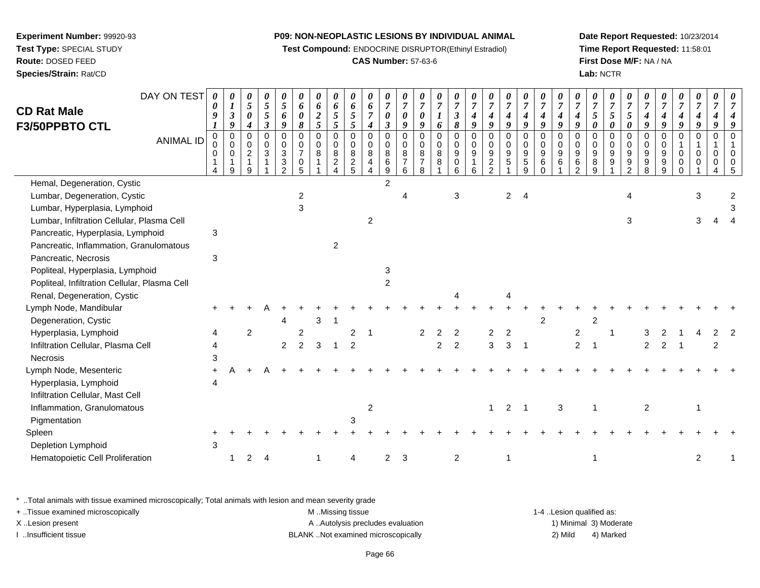**Test Compound:** ENDOCRINE DISRUPTOR(Ethinyl Estradiol)

#### **CAS Number:** 57-63-6

**Date Report Requested:** 10/23/2014**Time Report Requested:** 11:58:01**First Dose M/F:** NA / NA**Lab:** NCTR

| <b>CD Rat Male</b><br><b>F3/50PPBTO CTL</b>               | DAY ON TEST<br><b>ANIMAL ID</b> | 0<br>0<br>9<br>0<br>$\Omega$<br>$\mathbf{1}$<br>$\overline{4}$ | 0<br>$\boldsymbol{l}$<br>$\boldsymbol{\beta}$<br>9<br>$\mathbf 0$<br>$\mathbf 0$<br>$\mathbf 0$<br>9 | 0<br>$\sqrt{5}$<br>$\boldsymbol{\theta}$<br>$\boldsymbol{4}$<br>$\mathbf 0$<br>0<br>$\overline{2}$<br>$\overline{\mathbf{1}}$<br>9 | 0<br>$\mathfrak{s}$<br>$\sqrt{5}$<br>$\mathfrak{z}$<br>0<br>0<br>3<br>1 | 0<br>5<br>6<br>9<br>0<br>0<br>3<br>3<br>$\overline{2}$ | 0<br>6<br>0<br>8<br>0<br>0<br>$\overline{7}$<br>0<br>5 | 0<br>6<br>$\boldsymbol{2}$<br>5<br>0<br>0<br>8 | 0<br>6<br>5<br>$\mathfrak{s}$<br>$\mathbf 0$<br>$\mathbf 0$<br>8<br>$\overline{2}$<br>4 | 0<br>6<br>$\mathfrak{s}$<br>5<br>$\mathbf 0$<br>$\mathbf 0$<br>$\,8\,$<br>$\overline{c}$<br>5 | 0<br>6<br>$\overline{7}$<br>4<br>$\mathbf 0$<br>0<br>8<br>4<br>4 | $\boldsymbol{\theta}$<br>$\overline{7}$<br>$\boldsymbol{\theta}$<br>$\boldsymbol{\beta}$<br>0<br>0<br>8<br>$\,6$<br>9 | 0<br>$\overline{7}$<br>0<br>$\boldsymbol{q}$<br>0<br>$\mathbf 0$<br>8<br>$\overline{7}$<br>6 | 0<br>$\overline{7}$<br>0<br>9<br>0<br>0<br>8<br>$\overline{7}$<br>8 | $\boldsymbol{\theta}$<br>$\overline{7}$<br>1<br>6<br>$\mathbf 0$<br>$\mathbf 0$<br>8<br>8 | $\boldsymbol{\theta}$<br>$\overline{7}$<br>$\mathfrak{z}$<br>$\pmb{8}$<br>$\mathbf 0$<br>0<br>9<br>$\mathbf 0$<br>6 | $\overline{7}$<br>4<br>9<br>0<br>0<br>9<br>6 | 0<br>$\overline{7}$<br>$\boldsymbol{4}$<br>9<br>0<br>0<br>9<br>$\frac{2}{2}$ | $\boldsymbol{\theta}$<br>$\overline{7}$<br>$\boldsymbol{4}$<br>9<br>0<br>$\mathbf 0$<br>9<br>$\sqrt{5}$ | 0<br>$\boldsymbol{7}$<br>$\boldsymbol{4}$<br>9<br>$\mathbf 0$<br>$\mathbf 0$<br>$9\,$<br>$\sqrt{5}$<br>9 | $\boldsymbol{\theta}$<br>$\overline{7}$<br>4<br>9<br>0<br>$\mathbf 0$<br>9<br>$\,6$<br>0 | $\overline{7}$<br>4<br>9<br>$\Omega$<br>$\Omega$<br>9<br>6 | $\overline{7}$<br>$\boldsymbol{4}$<br>9<br>$\Omega$<br>0<br>9<br>6<br>2 | 0<br>$\boldsymbol{7}$<br>5<br>0<br>0<br>0<br>9<br>8<br>9 | U<br>$\overline{7}$<br>5<br>0<br>$\mathbf 0$<br>0<br>9<br>9 | 0<br>$\overline{7}$<br>$\mathfrak{s}$<br>$\boldsymbol{\theta}$<br>$\mathbf 0$<br>$\mathbf 0$<br>9<br>$9\,$<br>$\overline{2}$ | $\boldsymbol{\theta}$<br>$\overline{7}$<br>4<br>9<br>$\mathbf 0$<br>$\mathbf 0$<br>9<br>9<br>8 | 0<br>$\overline{7}$<br>4<br>9<br>0<br>0<br>9<br>9<br>9 | 0<br>$\boldsymbol{7}$<br>$\boldsymbol{4}$<br>9<br>0<br>$\mathbf 0$<br>0 | $\boldsymbol{\theta}$<br>$\overline{7}$<br>$\boldsymbol{4}$<br>9<br>$\mathbf 0$<br>$\Omega$<br>$\Omega$ | 0<br>$\overline{7}$<br>9<br>0<br>$\Omega$<br>0 | $\overline{7}$<br>q<br>$\Omega$<br>-1<br>$\Omega$<br>$\Omega$<br>.5 |
|-----------------------------------------------------------|---------------------------------|----------------------------------------------------------------|------------------------------------------------------------------------------------------------------|------------------------------------------------------------------------------------------------------------------------------------|-------------------------------------------------------------------------|--------------------------------------------------------|--------------------------------------------------------|------------------------------------------------|-----------------------------------------------------------------------------------------|-----------------------------------------------------------------------------------------------|------------------------------------------------------------------|-----------------------------------------------------------------------------------------------------------------------|----------------------------------------------------------------------------------------------|---------------------------------------------------------------------|-------------------------------------------------------------------------------------------|---------------------------------------------------------------------------------------------------------------------|----------------------------------------------|------------------------------------------------------------------------------|---------------------------------------------------------------------------------------------------------|----------------------------------------------------------------------------------------------------------|------------------------------------------------------------------------------------------|------------------------------------------------------------|-------------------------------------------------------------------------|----------------------------------------------------------|-------------------------------------------------------------|------------------------------------------------------------------------------------------------------------------------------|------------------------------------------------------------------------------------------------|--------------------------------------------------------|-------------------------------------------------------------------------|---------------------------------------------------------------------------------------------------------|------------------------------------------------|---------------------------------------------------------------------|
| Hemal, Degeneration, Cystic                               |                                 |                                                                |                                                                                                      |                                                                                                                                    |                                                                         |                                                        |                                                        |                                                |                                                                                         |                                                                                               |                                                                  | 2                                                                                                                     |                                                                                              |                                                                     |                                                                                           |                                                                                                                     |                                              |                                                                              |                                                                                                         |                                                                                                          |                                                                                          |                                                            |                                                                         |                                                          |                                                             |                                                                                                                              |                                                                                                |                                                        |                                                                         |                                                                                                         |                                                |                                                                     |
| Lumbar, Degeneration, Cystic                              |                                 |                                                                |                                                                                                      |                                                                                                                                    |                                                                         |                                                        | 2                                                      |                                                |                                                                                         |                                                                                               |                                                                  |                                                                                                                       | 4                                                                                            |                                                                     |                                                                                           | 3                                                                                                                   |                                              |                                                                              | $\overline{2}$                                                                                          | 4                                                                                                        |                                                                                          |                                                            |                                                                         |                                                          |                                                             | 4                                                                                                                            |                                                                                                |                                                        |                                                                         | 3                                                                                                       |                                                |                                                                     |
| Lumbar, Hyperplasia, Lymphoid                             |                                 |                                                                |                                                                                                      |                                                                                                                                    |                                                                         |                                                        | 3                                                      |                                                |                                                                                         |                                                                                               |                                                                  |                                                                                                                       |                                                                                              |                                                                     |                                                                                           |                                                                                                                     |                                              |                                                                              |                                                                                                         |                                                                                                          |                                                                                          |                                                            |                                                                         |                                                          |                                                             |                                                                                                                              |                                                                                                |                                                        |                                                                         |                                                                                                         |                                                |                                                                     |
| Lumbar, Infiltration Cellular, Plasma Cell                |                                 |                                                                |                                                                                                      |                                                                                                                                    |                                                                         |                                                        |                                                        |                                                |                                                                                         |                                                                                               | $\overline{2}$                                                   |                                                                                                                       |                                                                                              |                                                                     |                                                                                           |                                                                                                                     |                                              |                                                                              |                                                                                                         |                                                                                                          |                                                                                          |                                                            |                                                                         |                                                          |                                                             | 3                                                                                                                            |                                                                                                |                                                        |                                                                         |                                                                                                         |                                                |                                                                     |
| Pancreatic, Hyperplasia, Lymphoid                         |                                 | 3                                                              |                                                                                                      |                                                                                                                                    |                                                                         |                                                        |                                                        |                                                |                                                                                         |                                                                                               |                                                                  |                                                                                                                       |                                                                                              |                                                                     |                                                                                           |                                                                                                                     |                                              |                                                                              |                                                                                                         |                                                                                                          |                                                                                          |                                                            |                                                                         |                                                          |                                                             |                                                                                                                              |                                                                                                |                                                        |                                                                         |                                                                                                         |                                                |                                                                     |
| Pancreatic, Inflammation, Granulomatous                   |                                 |                                                                |                                                                                                      |                                                                                                                                    |                                                                         |                                                        |                                                        |                                                | 2                                                                                       |                                                                                               |                                                                  |                                                                                                                       |                                                                                              |                                                                     |                                                                                           |                                                                                                                     |                                              |                                                                              |                                                                                                         |                                                                                                          |                                                                                          |                                                            |                                                                         |                                                          |                                                             |                                                                                                                              |                                                                                                |                                                        |                                                                         |                                                                                                         |                                                |                                                                     |
| Pancreatic, Necrosis                                      |                                 | $\mathbf{3}$                                                   |                                                                                                      |                                                                                                                                    |                                                                         |                                                        |                                                        |                                                |                                                                                         |                                                                                               |                                                                  |                                                                                                                       |                                                                                              |                                                                     |                                                                                           |                                                                                                                     |                                              |                                                                              |                                                                                                         |                                                                                                          |                                                                                          |                                                            |                                                                         |                                                          |                                                             |                                                                                                                              |                                                                                                |                                                        |                                                                         |                                                                                                         |                                                |                                                                     |
| Popliteal, Hyperplasia, Lymphoid                          |                                 |                                                                |                                                                                                      |                                                                                                                                    |                                                                         |                                                        |                                                        |                                                |                                                                                         |                                                                                               |                                                                  | 3                                                                                                                     |                                                                                              |                                                                     |                                                                                           |                                                                                                                     |                                              |                                                                              |                                                                                                         |                                                                                                          |                                                                                          |                                                            |                                                                         |                                                          |                                                             |                                                                                                                              |                                                                                                |                                                        |                                                                         |                                                                                                         |                                                |                                                                     |
| Popliteal, Infiltration Cellular, Plasma Cell             |                                 |                                                                |                                                                                                      |                                                                                                                                    |                                                                         |                                                        |                                                        |                                                |                                                                                         |                                                                                               |                                                                  | $\overline{c}$                                                                                                        |                                                                                              |                                                                     |                                                                                           |                                                                                                                     |                                              |                                                                              |                                                                                                         |                                                                                                          |                                                                                          |                                                            |                                                                         |                                                          |                                                             |                                                                                                                              |                                                                                                |                                                        |                                                                         |                                                                                                         |                                                |                                                                     |
| Renal, Degeneration, Cystic                               |                                 |                                                                |                                                                                                      |                                                                                                                                    |                                                                         |                                                        |                                                        |                                                |                                                                                         |                                                                                               |                                                                  |                                                                                                                       |                                                                                              |                                                                     |                                                                                           |                                                                                                                     |                                              |                                                                              |                                                                                                         |                                                                                                          |                                                                                          |                                                            |                                                                         |                                                          |                                                             |                                                                                                                              |                                                                                                |                                                        |                                                                         |                                                                                                         |                                                |                                                                     |
| Lymph Node, Mandibular                                    |                                 |                                                                |                                                                                                      |                                                                                                                                    |                                                                         |                                                        |                                                        |                                                |                                                                                         |                                                                                               |                                                                  |                                                                                                                       |                                                                                              |                                                                     |                                                                                           |                                                                                                                     |                                              |                                                                              |                                                                                                         |                                                                                                          |                                                                                          |                                                            |                                                                         |                                                          |                                                             |                                                                                                                              |                                                                                                |                                                        |                                                                         |                                                                                                         |                                                |                                                                     |
| Degeneration, Cystic                                      |                                 |                                                                |                                                                                                      |                                                                                                                                    |                                                                         | 4                                                      |                                                        | 3                                              | -1                                                                                      |                                                                                               |                                                                  |                                                                                                                       |                                                                                              |                                                                     |                                                                                           |                                                                                                                     |                                              |                                                                              |                                                                                                         |                                                                                                          | $\overline{2}$                                                                           |                                                            |                                                                         | 2                                                        |                                                             |                                                                                                                              |                                                                                                |                                                        |                                                                         |                                                                                                         |                                                |                                                                     |
| Hyperplasia, Lymphoid                                     |                                 | 4                                                              |                                                                                                      | $\overline{2}$                                                                                                                     |                                                                         |                                                        | 2                                                      |                                                |                                                                                         | $\mathcal{P}$                                                                                 |                                                                  |                                                                                                                       |                                                                                              | 2                                                                   |                                                                                           | 2                                                                                                                   |                                              | 2                                                                            | $\overline{c}$                                                                                          |                                                                                                          |                                                                                          |                                                            | $\overline{c}$                                                          |                                                          |                                                             |                                                                                                                              |                                                                                                |                                                        |                                                                         |                                                                                                         |                                                |                                                                     |
| Infiltration Cellular, Plasma Cell                        |                                 |                                                                |                                                                                                      |                                                                                                                                    |                                                                         | 2                                                      | $\overline{2}$                                         | 3                                              | -1                                                                                      | 2                                                                                             |                                                                  |                                                                                                                       |                                                                                              |                                                                     | $\overline{2}$                                                                            | $\overline{2}$                                                                                                      |                                              | 3                                                                            | 3                                                                                                       | -1                                                                                                       |                                                                                          |                                                            | $\overline{2}$                                                          |                                                          |                                                             |                                                                                                                              | 2                                                                                              | $\overline{2}$                                         |                                                                         |                                                                                                         | $\overline{2}$                                 |                                                                     |
| <b>Necrosis</b>                                           |                                 | 3                                                              |                                                                                                      |                                                                                                                                    |                                                                         |                                                        |                                                        |                                                |                                                                                         |                                                                                               |                                                                  |                                                                                                                       |                                                                                              |                                                                     |                                                                                           |                                                                                                                     |                                              |                                                                              |                                                                                                         |                                                                                                          |                                                                                          |                                                            |                                                                         |                                                          |                                                             |                                                                                                                              |                                                                                                |                                                        |                                                                         |                                                                                                         |                                                |                                                                     |
| Lymph Node, Mesenteric                                    |                                 | 4                                                              |                                                                                                      |                                                                                                                                    |                                                                         |                                                        |                                                        |                                                |                                                                                         |                                                                                               |                                                                  |                                                                                                                       |                                                                                              |                                                                     |                                                                                           |                                                                                                                     |                                              |                                                                              |                                                                                                         |                                                                                                          |                                                                                          |                                                            |                                                                         |                                                          |                                                             |                                                                                                                              |                                                                                                |                                                        |                                                                         |                                                                                                         |                                                |                                                                     |
| Hyperplasia, Lymphoid<br>Infiltration Cellular, Mast Cell |                                 |                                                                |                                                                                                      |                                                                                                                                    |                                                                         |                                                        |                                                        |                                                |                                                                                         |                                                                                               |                                                                  |                                                                                                                       |                                                                                              |                                                                     |                                                                                           |                                                                                                                     |                                              |                                                                              |                                                                                                         |                                                                                                          |                                                                                          |                                                            |                                                                         |                                                          |                                                             |                                                                                                                              |                                                                                                |                                                        |                                                                         |                                                                                                         |                                                |                                                                     |
| Inflammation, Granulomatous                               |                                 |                                                                |                                                                                                      |                                                                                                                                    |                                                                         |                                                        |                                                        |                                                |                                                                                         |                                                                                               | $\overline{c}$                                                   |                                                                                                                       |                                                                                              |                                                                     |                                                                                           |                                                                                                                     |                                              |                                                                              | $\overline{2}$                                                                                          | $\overline{\mathbf{1}}$                                                                                  |                                                                                          | 3                                                          |                                                                         | 1                                                        |                                                             |                                                                                                                              | $\overline{c}$                                                                                 |                                                        |                                                                         |                                                                                                         |                                                |                                                                     |
| Pigmentation                                              |                                 |                                                                |                                                                                                      |                                                                                                                                    |                                                                         |                                                        |                                                        |                                                |                                                                                         | 3                                                                                             |                                                                  |                                                                                                                       |                                                                                              |                                                                     |                                                                                           |                                                                                                                     |                                              |                                                                              |                                                                                                         |                                                                                                          |                                                                                          |                                                            |                                                                         |                                                          |                                                             |                                                                                                                              |                                                                                                |                                                        |                                                                         |                                                                                                         |                                                |                                                                     |
| Spleen                                                    |                                 |                                                                |                                                                                                      |                                                                                                                                    |                                                                         |                                                        |                                                        |                                                |                                                                                         |                                                                                               |                                                                  |                                                                                                                       |                                                                                              |                                                                     |                                                                                           |                                                                                                                     |                                              |                                                                              |                                                                                                         |                                                                                                          |                                                                                          |                                                            |                                                                         |                                                          |                                                             |                                                                                                                              |                                                                                                |                                                        |                                                                         |                                                                                                         |                                                |                                                                     |
| Depletion Lymphoid                                        |                                 | 3                                                              |                                                                                                      |                                                                                                                                    |                                                                         |                                                        |                                                        |                                                |                                                                                         |                                                                                               |                                                                  |                                                                                                                       |                                                                                              |                                                                     |                                                                                           |                                                                                                                     |                                              |                                                                              |                                                                                                         |                                                                                                          |                                                                                          |                                                            |                                                                         |                                                          |                                                             |                                                                                                                              |                                                                                                |                                                        |                                                                         |                                                                                                         |                                                |                                                                     |
| Hematopoietic Cell Proliferation                          |                                 |                                                                |                                                                                                      | 2                                                                                                                                  |                                                                         |                                                        |                                                        |                                                |                                                                                         |                                                                                               |                                                                  |                                                                                                                       | 3                                                                                            |                                                                     |                                                                                           | $\overline{c}$                                                                                                      |                                              |                                                                              |                                                                                                         |                                                                                                          |                                                                                          |                                                            |                                                                         |                                                          |                                                             |                                                                                                                              |                                                                                                |                                                        |                                                                         | 2                                                                                                       |                                                |                                                                     |
|                                                           |                                 |                                                                |                                                                                                      |                                                                                                                                    |                                                                         |                                                        |                                                        |                                                |                                                                                         |                                                                                               |                                                                  |                                                                                                                       |                                                                                              |                                                                     |                                                                                           |                                                                                                                     |                                              |                                                                              |                                                                                                         |                                                                                                          |                                                                                          |                                                            |                                                                         |                                                          |                                                             |                                                                                                                              |                                                                                                |                                                        |                                                                         |                                                                                                         |                                                |                                                                     |

\* ..Total animals with tissue examined microscopically; Total animals with lesion and mean severity grade

+ ..Tissue examined microscopically examined microscopically examined as:  $M$  ..Missing tissue 1-4 ..Lesion qualified as: X..Lesion present **A ..Autolysis precludes evaluation** A ..Autolysis precludes evaluation 1) Minimal 3) Moderate I ..Insufficient tissue BLANK ..Not examined microscopically 2) Mild 4) Marked

**Experiment Number:** 99920-93**Test Type:** SPECIAL STUDY**Route:** DOSED FEED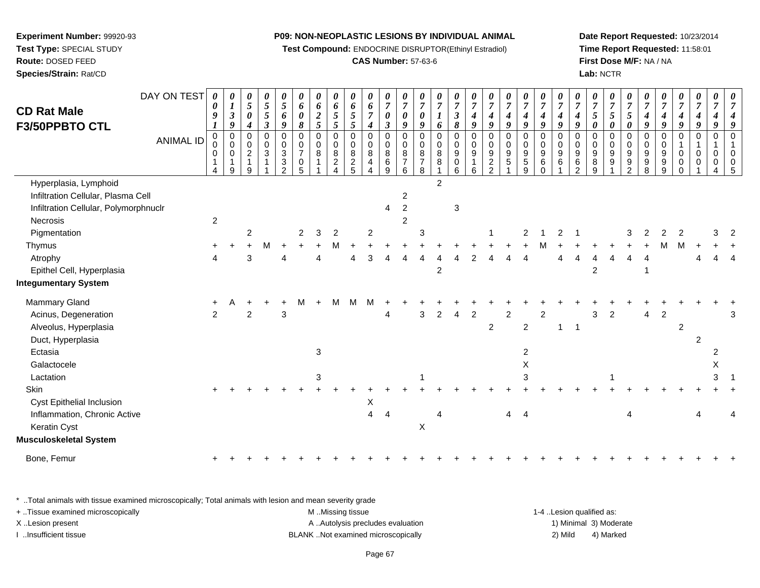**Test Compound:** ENDOCRINE DISRUPTOR(Ethinyl Estradiol)

#### **CAS Number:** 57-63-6

**Date Report Requested:** 10/23/2014**Time Report Requested:** 11:58:01**First Dose M/F:** NA / NA**Lab:** NCTR

|                              | 0<br>0<br>9                                                                 | 0<br>$\boldsymbol{l}$<br>$\mathfrak{z}$                     | 0<br>$\overline{5}$<br>$\boldsymbol{\theta}$           | 0<br>5<br>5                           | $\frac{\theta}{5}$<br>6                         | $\boldsymbol{\theta}$<br>6<br>$\boldsymbol{\theta}$ | 0<br>$\boldsymbol{6}$<br>$\boldsymbol{2}$ | 0<br>$\boldsymbol{6}$<br>$\overline{5}$ | 0<br>6<br>5                                | 0<br>$\boldsymbol{\delta}$<br>$\overline{7}$ | $\boldsymbol{\theta}$<br>$\overline{7}$<br>$\pmb{\theta}$ | $\overline{7}$<br>$\boldsymbol{\theta}$<br>9 | 0<br>$\overline{7}$<br>0                | 0<br>$\overline{7}$<br>$\boldsymbol{l}$ | $\frac{\boldsymbol{0}}{7}$<br>$\boldsymbol{\mathfrak{z}}$ | $\overline{7}$<br>$\boldsymbol{4}$         | $\boldsymbol{\theta}$<br>$\overline{7}$<br>$\boldsymbol{4}$<br>9 | $\frac{\boldsymbol{0}}{7}$<br>4           | $\boldsymbol{\theta}$<br>$\overline{7}$<br>$\boldsymbol{4}$        | $\frac{\boldsymbol{0}}{7}$<br>$\boldsymbol{4}$ | $\overline{7}$<br>$\boldsymbol{4}$            | $\overline{7}$<br>4<br>9                       | 0<br>$\overline{7}$<br>5    | 0<br>$\overline{7}$<br>$\mathfrak{I}$               | $\boldsymbol{\theta}$<br>$\overline{7}$<br>5     | $\boldsymbol{7}$<br>$\boldsymbol{4}$                        | $\boldsymbol{\theta}$<br>$\overline{7}$<br>$\boldsymbol{4}$  | 0<br>$\overline{7}$<br>$\boldsymbol{4}$ | 0<br>$\overline{7}$<br>$\boldsymbol{4}$                      | 0<br>$\overline{7}$        |          |
|------------------------------|-----------------------------------------------------------------------------|-------------------------------------------------------------|--------------------------------------------------------|---------------------------------------|-------------------------------------------------|-----------------------------------------------------|-------------------------------------------|-----------------------------------------|--------------------------------------------|----------------------------------------------|-----------------------------------------------------------|----------------------------------------------|-----------------------------------------|-----------------------------------------|-----------------------------------------------------------|--------------------------------------------|------------------------------------------------------------------|-------------------------------------------|--------------------------------------------------------------------|------------------------------------------------|-----------------------------------------------|------------------------------------------------|-----------------------------|-----------------------------------------------------|--------------------------------------------------|-------------------------------------------------------------|--------------------------------------------------------------|-----------------------------------------|--------------------------------------------------------------|----------------------------|----------|
| <b>ANIMAL ID</b>             | $\mathbf 0$<br>0<br>4                                                       | $\mathsf{O}\xspace$<br>$\mathbf 0$<br>$\mathbf 0$<br>1<br>9 | $\mathbf 0$<br>$\mathbf 0$<br>$\overline{2}$<br>1<br>9 | $\mathbf 0$<br>0<br>$\mathbf{3}$<br>1 | 0<br>0<br>$\overline{3}$<br>3<br>$\overline{2}$ | $\mathbf 0$<br>0<br>$\overline{7}$<br>0<br>5        | $\mathsf{O}\xspace$<br>$\mathbf 0$<br>8   | 0<br>0<br>$\bf 8$<br>$\frac{2}{4}$      | $\mathbf 0$<br>0<br>$\bf 8$<br>$rac{2}{5}$ | 0<br>0<br>8<br>4<br>4                        | $\mathbf 0$<br>0<br>$\bf 8$<br>$\,6\,$<br>$\overline{9}$  | $\Omega$<br>0<br>8<br>$\overline{7}$<br>6    | 0<br>0<br>$\bf8$<br>$\overline{7}$<br>8 | $\mathbf 0$<br>0<br>$\,8\,$<br>8        | 0<br>0<br>9<br>0<br>6                                     | $\mathbf 0$<br>0<br>9<br>$\mathbf{1}$<br>6 | $\mathbf 0$<br>$\mathbf 0$<br>$\boldsymbol{9}$<br>$\frac{2}{2}$  | 0<br>0<br>$\boldsymbol{9}$<br>$\,$ 5 $\,$ | $\mathbf 0$<br>$\mathbf 0$<br>$\boldsymbol{9}$<br>$\,$ 5 $\,$<br>9 | $\mathbf 0$<br>0<br>9<br>6<br>$\Omega$         | $\mathbf 0$<br>0<br>$\boldsymbol{9}$<br>$\,6$ | $\mathbf 0$<br>0<br>$\boldsymbol{9}$<br>6<br>2 | 0<br>0<br>9<br>$\bf 8$<br>9 | $\mathbf 0$<br>$\mathbf 0$<br>$\boldsymbol{9}$<br>9 | $\mathbf 0$<br>0<br>9<br>$9\,$<br>$\overline{2}$ | $\pmb{0}$<br>0<br>$\boldsymbol{9}$<br>$\boldsymbol{9}$<br>8 | $\mathbf 0$<br>$\mathbf 0$<br>$9\,$<br>$\boldsymbol{9}$<br>9 | 0<br>$\mathbf{1}$<br>0<br>0<br>$\Omega$ | $\overline{0}$<br>$\mathbf{1}$<br>$\mathbf 0$<br>$\mathbf 0$ | $\mathbf 0$<br>0<br>0<br>4 | $\Omega$ |
|                              |                                                                             |                                                             |                                                        |                                       |                                                 |                                                     |                                           |                                         |                                            |                                              |                                                           | 2                                            |                                         | $\mathcal{P}$                           |                                                           |                                            |                                                                  |                                           |                                                                    |                                                |                                               |                                                |                             |                                                     |                                                  |                                                             |                                                              |                                         |                                                              |                            |          |
|                              |                                                                             |                                                             |                                                        |                                       |                                                 |                                                     |                                           |                                         |                                            |                                              | 4                                                         | $\overline{c}$                               |                                         |                                         | $\sqrt{3}$                                                |                                            |                                                                  |                                           |                                                                    |                                                |                                               |                                                |                             |                                                     |                                                  |                                                             |                                                              |                                         |                                                              |                            |          |
|                              | $\overline{c}$                                                              |                                                             |                                                        |                                       |                                                 |                                                     |                                           |                                         |                                            |                                              |                                                           | $\overline{2}$                               |                                         |                                         |                                                           |                                            |                                                                  |                                           |                                                                    |                                                |                                               |                                                |                             |                                                     |                                                  |                                                             |                                                              |                                         |                                                              |                            |          |
|                              |                                                                             |                                                             | 2                                                      |                                       |                                                 | $\overline{2}$                                      | 3                                         | $\overline{2}$                          |                                            | 2                                            |                                                           |                                              | $\mathbf{3}$                            |                                         |                                                           |                                            |                                                                  |                                           | 2                                                                  |                                                | 2                                             |                                                |                             |                                                     | 3                                                |                                                             | $\mathfrak{p}$                                               | 2                                       |                                                              |                            |          |
|                              |                                                                             |                                                             |                                                        | м                                     |                                                 |                                                     |                                           | М                                       |                                            |                                              |                                                           |                                              |                                         |                                         |                                                           |                                            |                                                                  |                                           |                                                                    |                                                |                                               |                                                |                             |                                                     |                                                  |                                                             | M                                                            | M                                       |                                                              |                            |          |
|                              | 4                                                                           |                                                             | 3                                                      |                                       |                                                 |                                                     |                                           |                                         |                                            |                                              |                                                           |                                              |                                         |                                         |                                                           |                                            |                                                                  |                                           |                                                                    |                                                |                                               |                                                |                             |                                                     |                                                  |                                                             |                                                              |                                         |                                                              |                            |          |
|                              |                                                                             |                                                             |                                                        |                                       |                                                 |                                                     |                                           |                                         |                                            |                                              |                                                           |                                              |                                         | 2                                       |                                                           |                                            |                                                                  |                                           |                                                                    |                                                |                                               |                                                | $\overline{c}$              |                                                     |                                                  |                                                             |                                                              |                                         |                                                              |                            |          |
|                              |                                                                             |                                                             |                                                        |                                       |                                                 |                                                     |                                           |                                         |                                            |                                              |                                                           |                                              |                                         |                                         |                                                           |                                            |                                                                  |                                           |                                                                    |                                                |                                               |                                                |                             |                                                     |                                                  |                                                             |                                                              |                                         |                                                              |                            |          |
|                              |                                                                             |                                                             |                                                        |                                       |                                                 | м                                                   |                                           | м                                       | M                                          | м                                            |                                                           |                                              |                                         |                                         |                                                           |                                            |                                                                  |                                           |                                                                    |                                                |                                               |                                                |                             |                                                     |                                                  |                                                             |                                                              |                                         |                                                              |                            |          |
|                              | 2                                                                           |                                                             | $\overline{2}$                                         |                                       | 3                                               |                                                     |                                           |                                         |                                            |                                              | Δ                                                         |                                              | 3                                       | 2                                       | $\Delta$                                                  | $\overline{c}$                             |                                                                  | $\overline{c}$                            |                                                                    | $\overline{c}$                                 |                                               |                                                | 3                           | 2                                                   |                                                  |                                                             | 2                                                            |                                         |                                                              |                            |          |
|                              |                                                                             |                                                             |                                                        |                                       |                                                 |                                                     |                                           |                                         |                                            |                                              |                                                           |                                              |                                         |                                         |                                                           |                                            | $\overline{2}$                                                   |                                           | $\overline{a}$                                                     |                                                | $\mathbf{1}$                                  | $\overline{1}$                                 |                             |                                                     |                                                  |                                                             |                                                              | $\overline{c}$                          |                                                              |                            |          |
|                              |                                                                             |                                                             |                                                        |                                       |                                                 |                                                     |                                           |                                         |                                            |                                              |                                                           |                                              |                                         |                                         |                                                           |                                            |                                                                  |                                           |                                                                    |                                                |                                               |                                                |                             |                                                     |                                                  |                                                             |                                                              |                                         | $\overline{c}$                                               |                            |          |
|                              |                                                                             |                                                             |                                                        |                                       |                                                 |                                                     | 3                                         |                                         |                                            |                                              |                                                           |                                              |                                         |                                         |                                                           |                                            |                                                                  |                                           | 2                                                                  |                                                |                                               |                                                |                             |                                                     |                                                  |                                                             |                                                              |                                         |                                                              | 2                          |          |
|                              |                                                                             |                                                             |                                                        |                                       |                                                 |                                                     |                                           |                                         |                                            |                                              |                                                           |                                              |                                         |                                         |                                                           |                                            |                                                                  |                                           | X                                                                  |                                                |                                               |                                                |                             |                                                     |                                                  |                                                             |                                                              |                                         |                                                              | X                          |          |
|                              |                                                                             |                                                             |                                                        |                                       |                                                 |                                                     | 3                                         |                                         |                                            |                                              |                                                           |                                              |                                         |                                         |                                                           |                                            |                                                                  |                                           | 3                                                                  |                                                |                                               |                                                |                             |                                                     |                                                  |                                                             |                                                              |                                         |                                                              |                            |          |
|                              |                                                                             |                                                             |                                                        |                                       |                                                 |                                                     |                                           |                                         |                                            |                                              |                                                           |                                              |                                         |                                         |                                                           |                                            |                                                                  |                                           |                                                                    |                                                |                                               |                                                |                             |                                                     |                                                  |                                                             |                                                              |                                         |                                                              |                            |          |
|                              |                                                                             |                                                             |                                                        |                                       |                                                 |                                                     |                                           |                                         |                                            |                                              |                                                           |                                              |                                         |                                         |                                                           |                                            |                                                                  |                                           |                                                                    |                                                |                                               |                                                |                             |                                                     |                                                  |                                                             |                                                              |                                         |                                                              |                            |          |
| Inflammation, Chronic Active |                                                                             |                                                             |                                                        |                                       |                                                 |                                                     |                                           |                                         |                                            | $\overline{4}$                               | $\overline{4}$                                            |                                              |                                         |                                         |                                                           |                                            |                                                                  | $\overline{4}$                            | $\overline{4}$                                                     |                                                |                                               |                                                |                             |                                                     |                                                  |                                                             |                                                              |                                         |                                                              |                            |          |
|                              |                                                                             |                                                             |                                                        |                                       |                                                 |                                                     |                                           |                                         |                                            |                                              |                                                           |                                              |                                         |                                         |                                                           |                                            |                                                                  |                                           |                                                                    |                                                |                                               |                                                |                             |                                                     |                                                  |                                                             |                                                              |                                         |                                                              |                            |          |
|                              |                                                                             |                                                             |                                                        |                                       |                                                 |                                                     |                                           |                                         |                                            |                                              |                                                           |                                              |                                         |                                         |                                                           |                                            |                                                                  |                                           |                                                                    |                                                |                                               |                                                |                             |                                                     |                                                  |                                                             |                                                              |                                         |                                                              |                            |          |
|                              |                                                                             |                                                             |                                                        |                                       |                                                 |                                                     |                                           |                                         |                                            |                                              |                                                           |                                              |                                         |                                         |                                                           |                                            |                                                                  |                                           |                                                                    |                                                |                                               |                                                |                             |                                                     |                                                  |                                                             |                                                              |                                         |                                                              |                            |          |
|                              | Infiltration Cellular, Plasma Cell<br>Infiltration Cellular, Polymorphnuclr | DAY ON TEST<br>1                                            | 9                                                      | $\boldsymbol{4}$                      | $\boldsymbol{\beta}$                            | 9                                                   | 8                                         | 5                                       | 5                                          | 5                                            | $\boldsymbol{4}$<br>X                                     | $\boldsymbol{\beta}$                         |                                         | 9<br>X                                  | 6                                                         | 8                                          | $\boldsymbol{g}$                                                 |                                           | 9                                                                  | 9                                              | 9                                             | 9                                              |                             | 0                                                   | $\boldsymbol{\theta}$                            | 0                                                           | 9                                                            | 9                                       | 9                                                            | 9                          | 9        |

\* ..Total animals with tissue examined microscopically; Total animals with lesion and mean severity grade

**Experiment Number:** 99920-93**Test Type:** SPECIAL STUDY**Route:** DOSED FEED**Species/Strain:** Rat/CD

| + Tissue examined microscopically | M Missing tissue                   | 1-4 Lesion qualified as: |                        |
|-----------------------------------|------------------------------------|--------------------------|------------------------|
| X Lesion present                  | A Autolysis precludes evaluation   |                          | 1) Minimal 3) Moderate |
| Insufficient tissue               | BLANK Not examined microscopically | 2) Mild                  | 4) Marked              |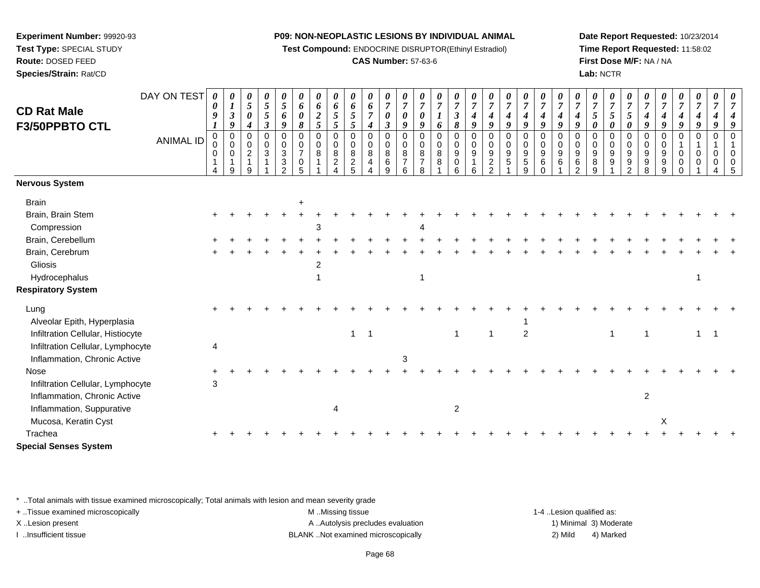**Test Compound:** ENDOCRINE DISRUPTOR(Ethinyl Estradiol)

#### **CAS Number:** 57-63-6

**Date Report Requested:** 10/23/2014**Time Report Requested:** 11:58:02**First Dose M/F:** NA / NA**Lab:** NCTR

| <b>CD Rat Male</b><br>F3/50PPBTO CTL                                                                   | DAY ON TEST      | 0<br>0<br>9        | 0<br>$\boldsymbol{l}$<br>$\mathfrak{z}$<br>9         | $\boldsymbol{\theta}$<br>$\mathfrak{s}$<br>$\pmb{\theta}$<br>$\boldsymbol{4}$ | 0<br>$\mathfrak{s}$<br>5<br>$\boldsymbol{\beta}$ | $\frac{\theta}{5}$<br>6<br>9                                               | $\boldsymbol{\theta}$<br>6<br>$\pmb{\theta}$<br>8   | 0<br>6<br>$\frac{2}{5}$       | $\boldsymbol{\theta}$<br>6<br>5<br>5                             | 0<br>6<br>$\sqrt{5}$<br>$\mathfrak{H}$              | 0<br>6<br>$\overline{7}$<br>$\boldsymbol{4}$                 | $\frac{\theta}{7}$<br>$\pmb{\theta}$<br>$\boldsymbol{\beta}$ | $\boldsymbol{7}$<br>$\pmb{\theta}$<br>9             | 0<br>$\overline{7}$<br>0<br>9             | $\frac{\boldsymbol{0}}{7}$<br>$\boldsymbol{l}$<br>6 | $\boldsymbol{\theta}$<br>$\overline{7}$<br>$\mathfrak{z}$<br>$\boldsymbol{\delta}$ | $\frac{\theta}{7}$<br>$\boldsymbol{4}$<br>9           | $\boldsymbol{7}$<br>$\boldsymbol{4}$<br>9                    | $\frac{\boldsymbol{0}}{7}$<br>$\boldsymbol{4}$<br>$\boldsymbol{q}$  | $\frac{\boldsymbol{0}}{7}$<br>$\boldsymbol{4}$<br>9 | $\frac{\theta}{7}$<br>$\boldsymbol{4}$<br>9                      | $\boldsymbol{\theta}$<br>$\overline{7}$<br>$\boldsymbol{4}$<br>9 | $\overline{7}$<br>$\boldsymbol{4}$<br>9            | $\frac{\boldsymbol{0}}{7}$<br>5<br>0 | $\frac{\theta}{7}$<br>5<br>0      | $\frac{\theta}{7}$<br>5<br>0                                      | $\boldsymbol{\theta}$<br>$\overline{7}$<br>$\boldsymbol{4}$<br>9 | $\overline{7}$<br>$\boldsymbol{4}$<br>9           | $\frac{\boldsymbol{0}}{7}$<br>$\boldsymbol{4}$<br>9 | $\boldsymbol{\theta}$<br>$\overline{7}$<br>$\boldsymbol{4}$<br>9 | $\overline{7}$            |  |
|--------------------------------------------------------------------------------------------------------|------------------|--------------------|------------------------------------------------------|-------------------------------------------------------------------------------|--------------------------------------------------|----------------------------------------------------------------------------|-----------------------------------------------------|-------------------------------|------------------------------------------------------------------|-----------------------------------------------------|--------------------------------------------------------------|--------------------------------------------------------------|-----------------------------------------------------|-------------------------------------------|-----------------------------------------------------|------------------------------------------------------------------------------------|-------------------------------------------------------|--------------------------------------------------------------|---------------------------------------------------------------------|-----------------------------------------------------|------------------------------------------------------------------|------------------------------------------------------------------|----------------------------------------------------|--------------------------------------|-----------------------------------|-------------------------------------------------------------------|------------------------------------------------------------------|---------------------------------------------------|-----------------------------------------------------|------------------------------------------------------------------|---------------------------|--|
|                                                                                                        | <b>ANIMAL ID</b> | $\Omega$<br>0<br>0 | $\mathbf 0$<br>0<br>$\mathbf 0$<br>$\mathbf{1}$<br>9 | $\Omega$<br>$\pmb{0}$<br>$\overline{2}$<br>Q                                  | $\Omega$<br>$\mathbf 0$<br>3                     | $\mathbf 0$<br>$\mathbf 0$<br>$\mathbf{3}$<br>$\sqrt{3}$<br>$\mathfrak{p}$ | $\Omega$<br>$\mathbf 0$<br>$\overline{7}$<br>0<br>5 | $\mathbf 0$<br>$\pmb{0}$<br>8 | 0<br>$\pmb{0}$<br>8<br>$\overline{c}$<br>$\overline{\mathbf{A}}$ | $\mathbf 0$<br>$\overline{0}$<br>8<br>$\frac{2}{5}$ | $\mathbf 0$<br>0<br>8<br>$\overline{\mathbf{4}}$<br>$\Delta$ | $\Omega$<br>$\mathbf 0$<br>8<br>6<br>9                       | $\Omega$<br>$\mathbf 0$<br>8<br>$\overline{7}$<br>6 | $\Omega$<br>0<br>8<br>$\overline{7}$<br>8 | $\Omega$<br>$\overline{0}$<br>8<br>8                | $\Omega$<br>$\mathbf 0$<br>$\overline{9}$<br>$\pmb{0}$<br>6                        | $\Omega$<br>$\mathbf 0$<br>$9\,$<br>$\mathbf{1}$<br>6 | $\Omega$<br>$\mathbf 0$<br>$\boldsymbol{9}$<br>$\frac{2}{2}$ | $\mathbf 0$<br>$\mathbf 0$<br>$\begin{array}{c} 9 \\ 5 \end{array}$ | $\Omega$<br>$\mathbf 0$<br>9<br>$\sqrt{5}$<br>9     | $\Omega$<br>$\mathbf 0$<br>$\boldsymbol{9}$<br>$\,6$<br>$\Omega$ | $\Omega$<br>$\mathbf 0$<br>9<br>6                                | $\Omega$<br>$\mathbf 0$<br>9<br>6<br>$\mathcal{P}$ | $\Omega$<br>0<br>9<br>8<br>q         | $\Omega$<br>$\mathbf 0$<br>9<br>9 | $\Omega$<br>$\mathbf 0$<br>$\boldsymbol{9}$<br>9<br>$\mathcal{P}$ | $\Omega$<br>$\mathbf 0$<br>9<br>9<br>8                           | $\Omega$<br>$\mathbf 0$<br>9<br>9<br>$\mathsf{Q}$ | 0<br>0<br>0                                         | $\Omega$<br>0<br>0                                               | $\Omega$<br>$\Omega$<br>0 |  |
| <b>Nervous System</b>                                                                                  |                  |                    |                                                      |                                                                               |                                                  |                                                                            |                                                     |                               |                                                                  |                                                     |                                                              |                                                              |                                                     |                                           |                                                     |                                                                                    |                                                       |                                                              |                                                                     |                                                     |                                                                  |                                                                  |                                                    |                                      |                                   |                                                                   |                                                                  |                                                   |                                                     |                                                                  |                           |  |
| <b>Brain</b>                                                                                           |                  |                    |                                                      |                                                                               |                                                  |                                                                            |                                                     |                               |                                                                  |                                                     |                                                              |                                                              |                                                     |                                           |                                                     |                                                                                    |                                                       |                                                              |                                                                     |                                                     |                                                                  |                                                                  |                                                    |                                      |                                   |                                                                   |                                                                  |                                                   |                                                     |                                                                  |                           |  |
| Brain, Brain Stem<br>Compression                                                                       |                  |                    |                                                      |                                                                               |                                                  |                                                                            |                                                     |                               |                                                                  |                                                     |                                                              |                                                              |                                                     |                                           |                                                     |                                                                                    |                                                       |                                                              |                                                                     |                                                     |                                                                  |                                                                  |                                                    |                                      |                                   |                                                                   |                                                                  |                                                   |                                                     |                                                                  |                           |  |
| Brain, Cerebellum<br>Brain, Cerebrum<br>Gliosis                                                        |                  |                    |                                                      |                                                                               |                                                  |                                                                            |                                                     |                               |                                                                  |                                                     |                                                              |                                                              |                                                     |                                           |                                                     |                                                                                    |                                                       |                                                              |                                                                     |                                                     |                                                                  |                                                                  |                                                    |                                      |                                   |                                                                   |                                                                  |                                                   |                                                     |                                                                  |                           |  |
| Hydrocephalus<br><b>Respiratory System</b>                                                             |                  |                    |                                                      |                                                                               |                                                  |                                                                            |                                                     |                               |                                                                  |                                                     |                                                              |                                                              |                                                     |                                           |                                                     |                                                                                    |                                                       |                                                              |                                                                     |                                                     |                                                                  |                                                                  |                                                    |                                      |                                   |                                                                   |                                                                  |                                                   |                                                     |                                                                  |                           |  |
| Lung<br>Alveolar Epith, Hyperplasia                                                                    |                  |                    |                                                      |                                                                               |                                                  |                                                                            |                                                     |                               |                                                                  |                                                     |                                                              |                                                              |                                                     |                                           |                                                     |                                                                                    |                                                       |                                                              |                                                                     |                                                     |                                                                  |                                                                  |                                                    |                                      |                                   |                                                                   |                                                                  |                                                   |                                                     |                                                                  |                           |  |
| Infiltration Cellular, Histiocyte<br>Infiltration Cellular, Lymphocyte<br>Inflammation, Chronic Active |                  | $\overline{4}$     |                                                      |                                                                               |                                                  |                                                                            |                                                     |                               |                                                                  | $\mathbf{1}$                                        | $\overline{1}$                                               |                                                              | 3                                                   |                                           |                                                     | -1                                                                                 |                                                       | -1                                                           |                                                                     | $\overline{2}$                                      |                                                                  |                                                                  |                                                    |                                      |                                   |                                                                   | $\mathbf{1}$                                                     |                                                   |                                                     |                                                                  | -1                        |  |
| Nose<br>Infiltration Cellular, Lymphocyte                                                              |                  | 3                  |                                                      |                                                                               |                                                  |                                                                            |                                                     |                               |                                                                  |                                                     |                                                              |                                                              |                                                     |                                           |                                                     |                                                                                    |                                                       |                                                              |                                                                     |                                                     |                                                                  |                                                                  |                                                    |                                      |                                   |                                                                   |                                                                  |                                                   |                                                     |                                                                  |                           |  |
| Inflammation, Chronic Active<br>Inflammation, Suppurative<br>Mucosa, Keratin Cyst                      |                  |                    |                                                      |                                                                               |                                                  |                                                                            |                                                     |                               | $\overline{4}$                                                   |                                                     |                                                              |                                                              |                                                     |                                           |                                                     | $\overline{2}$                                                                     |                                                       |                                                              |                                                                     |                                                     |                                                                  |                                                                  |                                                    |                                      |                                   |                                                                   | $\overline{c}$                                                   | X                                                 |                                                     |                                                                  |                           |  |
| Trachea<br><b>Special Senses System</b>                                                                |                  |                    |                                                      |                                                                               |                                                  |                                                                            |                                                     |                               |                                                                  |                                                     |                                                              |                                                              |                                                     |                                           |                                                     |                                                                                    |                                                       |                                                              |                                                                     |                                                     |                                                                  |                                                                  |                                                    |                                      |                                   |                                                                   |                                                                  |                                                   |                                                     |                                                                  |                           |  |

\* ..Total animals with tissue examined microscopically; Total animals with lesion and mean severity grade

**Experiment Number:** 99920-93**Test Type:** SPECIAL STUDY**Route:** DOSED FEED**Species/Strain:** Rat/CD

+ ..Tissue examined microscopically examined microscopically examined as:  $M$  ..Missing tissue 1-4 ..Lesion qualified as: X..Lesion present **A ..Autolysis precludes evaluation** A ..Autolysis precludes evaluation 1) Minimal 3) Moderate

I ..Insufficient tissue BLANK ..Not examined microscopically 2) Mild 4) Marked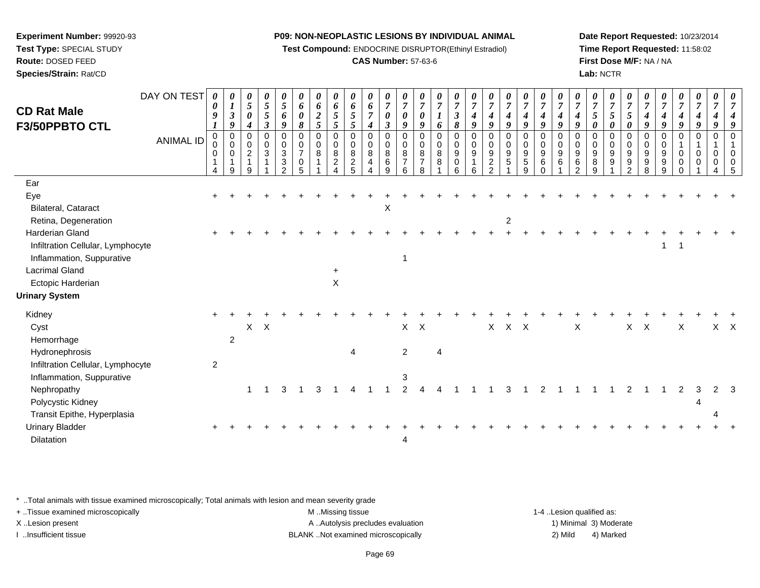**Test Compound:** ENDOCRINE DISRUPTOR(Ethinyl Estradiol)

#### **CAS Number:** 57-63-6

**Date Report Requested:** 10/23/2014**Time Report Requested:** 11:58:02**First Dose M/F:** NA / NA**Lab:** NCTR

| <b>CD Rat Male</b><br><b>F3/50PPBTO CTL</b>                    | DAY ON TEST<br><b>ANIMAL ID</b> | 0<br>0<br>9<br>0<br>0<br>$\mathbf 1$<br>4 | 0<br>$\boldsymbol{\beta}$<br>9<br>$\pmb{0}$<br>0<br>$\pmb{0}$<br>9 | 0<br>$\sqrt{5}$<br>$\boldsymbol{\theta}$<br>$\boldsymbol{4}$<br>0<br>0<br>$\boldsymbol{2}$<br>$\overline{1}$<br>9 | 0<br>$\sqrt{5}$<br>$\sqrt{5}$<br>$\mathfrak{z}$<br>$\mathbf 0$<br>$\mathbf 0$<br>$\mathbf{3}$<br>$\mathbf{1}$ | 0<br>5<br>6<br>9<br>0<br>0<br>3<br>3<br>$\mathcal{P}$ | 0<br>6<br>0<br>8<br>$\mathbf 0$<br>0<br>$\overline{7}$<br>0<br>5 | 0<br>6<br>$\boldsymbol{2}$<br>5<br>$\mathbf 0$<br>0<br>8 | 0<br>6<br>5<br>$\mathfrak{s}$<br>0<br>$\mathbf 0$<br>$\bf8$<br>$\overline{2}$<br>4 | 0<br>6<br>$\sqrt{5}$<br>$\mathfrak{s}$<br>$\pmb{0}$<br>$\pmb{0}$<br>8<br>$\frac{2}{5}$ | 0<br>6<br>$\overline{7}$<br>$\boldsymbol{4}$<br>$\mathbf 0$<br>0<br>$8\phantom{1}$<br>$\overline{4}$<br>4 | $\overline{7}$<br>$\boldsymbol{\theta}$<br>3<br>$\mathbf 0$<br>$\mathbf 0$<br>8<br>$\,6$<br>9 | 0<br>$\overline{7}$<br>$\boldsymbol{\theta}$<br>$\boldsymbol{q}$<br>$\mathbf 0$<br>0<br>8<br>$\overline{7}$<br>6 | 0<br>$\boldsymbol{7}$<br>0<br>9<br>0<br>0<br>8<br>$\overline{7}$<br>8 | 0<br>$\overline{7}$<br>6<br>$\Omega$<br>0<br>8<br>8 | 0<br>$\overline{7}$<br>$\mathfrak{z}$<br>8<br>$\mathbf 0$<br>0<br>9<br>$\mathbf 0$<br>6 | 7<br>9<br>$\Omega$<br>$\Omega$<br>9<br>6 | 0<br>$\overline{7}$<br>4<br>9<br>$\mathbf 0$<br>0<br>9<br>$\overline{a}$<br>$\mathfrak{p}$ | 0<br>$\boldsymbol{7}$<br>$\boldsymbol{4}$<br>9<br>0<br>0<br>9<br>$\sqrt{5}$ | 0<br>$\overline{7}$<br>$\boldsymbol{4}$<br>$\boldsymbol{q}$<br>$\mathbf 0$<br>$\pmb{0}$<br>$\boldsymbol{9}$<br>$\sqrt{5}$<br>9 | 0<br>$\overline{7}$<br>4<br>9<br>$\Omega$<br>0<br>9<br>$\,6$<br>$\Omega$ | 9<br>$\Omega$<br>$\Omega$<br>9<br>6 | 4<br>9<br>$\Omega$<br>0<br>9<br>6<br>ົ | 0<br>$\overline{7}$<br>5<br>0<br>0<br>0<br>9<br>8<br>9 | 0<br>$\overline{7}$<br>5<br>0<br>$\mathbf 0$<br>0<br>$\boldsymbol{9}$<br>9 | 0<br>$\overline{7}$<br>$\mathfrak{s}$<br>$\boldsymbol{\theta}$<br>$\mathbf 0$<br>0<br>$\boldsymbol{9}$<br>$9\,$<br>$\mathfrak{p}$ | $\overline{7}$<br>$\boldsymbol{4}$<br>9<br>$\Omega$<br>0<br>9<br>9<br>8 | 0<br>$\overline{7}$<br>4<br>9<br>0<br>0<br>9<br>9<br>9 | 0<br>$\boldsymbol{7}$<br>$\boldsymbol{4}$<br>9<br>$\Omega$<br>0<br>0<br>$\Omega$ | $\overline{7}$<br>$\boldsymbol{4}$<br>9<br>$\Omega$<br>$\Omega$<br>$\Omega$ | $\Omega$<br>$\Omega$<br>0<br>4 | $\Omega$<br>0<br>5 |
|----------------------------------------------------------------|---------------------------------|-------------------------------------------|--------------------------------------------------------------------|-------------------------------------------------------------------------------------------------------------------|---------------------------------------------------------------------------------------------------------------|-------------------------------------------------------|------------------------------------------------------------------|----------------------------------------------------------|------------------------------------------------------------------------------------|----------------------------------------------------------------------------------------|-----------------------------------------------------------------------------------------------------------|-----------------------------------------------------------------------------------------------|------------------------------------------------------------------------------------------------------------------|-----------------------------------------------------------------------|-----------------------------------------------------|-----------------------------------------------------------------------------------------|------------------------------------------|--------------------------------------------------------------------------------------------|-----------------------------------------------------------------------------|--------------------------------------------------------------------------------------------------------------------------------|--------------------------------------------------------------------------|-------------------------------------|----------------------------------------|--------------------------------------------------------|----------------------------------------------------------------------------|-----------------------------------------------------------------------------------------------------------------------------------|-------------------------------------------------------------------------|--------------------------------------------------------|----------------------------------------------------------------------------------|-----------------------------------------------------------------------------|--------------------------------|--------------------|
| Ear                                                            |                                 |                                           |                                                                    |                                                                                                                   |                                                                                                               |                                                       |                                                                  |                                                          |                                                                                    |                                                                                        |                                                                                                           |                                                                                               |                                                                                                                  |                                                                       |                                                     |                                                                                         |                                          |                                                                                            |                                                                             |                                                                                                                                |                                                                          |                                     |                                        |                                                        |                                                                            |                                                                                                                                   |                                                                         |                                                        |                                                                                  |                                                                             |                                |                    |
| Eye                                                            |                                 |                                           |                                                                    |                                                                                                                   |                                                                                                               |                                                       |                                                                  |                                                          |                                                                                    |                                                                                        |                                                                                                           |                                                                                               |                                                                                                                  |                                                                       |                                                     |                                                                                         |                                          |                                                                                            |                                                                             |                                                                                                                                |                                                                          |                                     |                                        |                                                        |                                                                            |                                                                                                                                   |                                                                         |                                                        |                                                                                  |                                                                             |                                |                    |
| <b>Bilateral, Cataract</b>                                     |                                 |                                           |                                                                    |                                                                                                                   |                                                                                                               |                                                       |                                                                  |                                                          |                                                                                    |                                                                                        |                                                                                                           | X                                                                                             |                                                                                                                  |                                                                       |                                                     |                                                                                         |                                          |                                                                                            |                                                                             |                                                                                                                                |                                                                          |                                     |                                        |                                                        |                                                                            |                                                                                                                                   |                                                                         |                                                        |                                                                                  |                                                                             |                                |                    |
| Retina, Degeneration                                           |                                 |                                           |                                                                    |                                                                                                                   |                                                                                                               |                                                       |                                                                  |                                                          |                                                                                    |                                                                                        |                                                                                                           |                                                                                               |                                                                                                                  |                                                                       |                                                     |                                                                                         |                                          |                                                                                            | $\overline{2}$                                                              |                                                                                                                                |                                                                          |                                     |                                        |                                                        |                                                                            |                                                                                                                                   |                                                                         |                                                        |                                                                                  |                                                                             |                                |                    |
| <b>Harderian Gland</b>                                         |                                 |                                           |                                                                    |                                                                                                                   |                                                                                                               |                                                       |                                                                  |                                                          |                                                                                    |                                                                                        |                                                                                                           |                                                                                               |                                                                                                                  |                                                                       |                                                     |                                                                                         |                                          |                                                                                            |                                                                             |                                                                                                                                |                                                                          |                                     |                                        |                                                        |                                                                            |                                                                                                                                   |                                                                         |                                                        |                                                                                  |                                                                             |                                |                    |
| Infiltration Cellular, Lymphocyte<br>Inflammation, Suppurative |                                 |                                           |                                                                    |                                                                                                                   |                                                                                                               |                                                       |                                                                  |                                                          |                                                                                    |                                                                                        |                                                                                                           |                                                                                               |                                                                                                                  |                                                                       |                                                     |                                                                                         |                                          |                                                                                            |                                                                             |                                                                                                                                |                                                                          |                                     |                                        |                                                        |                                                                            |                                                                                                                                   |                                                                         | 1                                                      |                                                                                  |                                                                             |                                |                    |
| <b>Lacrimal Gland</b>                                          |                                 |                                           |                                                                    |                                                                                                                   |                                                                                                               |                                                       |                                                                  |                                                          | $\ddot{}$                                                                          |                                                                                        |                                                                                                           |                                                                                               |                                                                                                                  |                                                                       |                                                     |                                                                                         |                                          |                                                                                            |                                                                             |                                                                                                                                |                                                                          |                                     |                                        |                                                        |                                                                            |                                                                                                                                   |                                                                         |                                                        |                                                                                  |                                                                             |                                |                    |
| Ectopic Harderian                                              |                                 |                                           |                                                                    |                                                                                                                   |                                                                                                               |                                                       |                                                                  |                                                          | $\pmb{\times}$                                                                     |                                                                                        |                                                                                                           |                                                                                               |                                                                                                                  |                                                                       |                                                     |                                                                                         |                                          |                                                                                            |                                                                             |                                                                                                                                |                                                                          |                                     |                                        |                                                        |                                                                            |                                                                                                                                   |                                                                         |                                                        |                                                                                  |                                                                             |                                |                    |
| <b>Urinary System</b>                                          |                                 |                                           |                                                                    |                                                                                                                   |                                                                                                               |                                                       |                                                                  |                                                          |                                                                                    |                                                                                        |                                                                                                           |                                                                                               |                                                                                                                  |                                                                       |                                                     |                                                                                         |                                          |                                                                                            |                                                                             |                                                                                                                                |                                                                          |                                     |                                        |                                                        |                                                                            |                                                                                                                                   |                                                                         |                                                        |                                                                                  |                                                                             |                                |                    |
| Kidney                                                         |                                 |                                           |                                                                    |                                                                                                                   |                                                                                                               |                                                       |                                                                  |                                                          |                                                                                    |                                                                                        |                                                                                                           |                                                                                               |                                                                                                                  |                                                                       |                                                     |                                                                                         |                                          |                                                                                            |                                                                             |                                                                                                                                |                                                                          |                                     |                                        |                                                        |                                                                            |                                                                                                                                   |                                                                         |                                                        |                                                                                  |                                                                             |                                |                    |
| Cyst                                                           |                                 |                                           |                                                                    | X                                                                                                                 | $\mathsf{X}$                                                                                                  |                                                       |                                                                  |                                                          |                                                                                    |                                                                                        |                                                                                                           |                                                                                               | X                                                                                                                | $\mathsf{X}$                                                          |                                                     |                                                                                         |                                          | $\mathsf{X}^-$                                                                             | $X$ $X$                                                                     |                                                                                                                                |                                                                          |                                     | X                                      |                                                        |                                                                            | $\mathsf X$                                                                                                                       | $\times$                                                                |                                                        | X                                                                                |                                                                             | $X$ $X$                        |                    |
| Hemorrhage                                                     |                                 |                                           | $\overline{2}$                                                     |                                                                                                                   |                                                                                                               |                                                       |                                                                  |                                                          |                                                                                    |                                                                                        |                                                                                                           |                                                                                               |                                                                                                                  |                                                                       |                                                     |                                                                                         |                                          |                                                                                            |                                                                             |                                                                                                                                |                                                                          |                                     |                                        |                                                        |                                                                            |                                                                                                                                   |                                                                         |                                                        |                                                                                  |                                                                             |                                |                    |
| Hydronephrosis                                                 |                                 |                                           |                                                                    |                                                                                                                   |                                                                                                               |                                                       |                                                                  |                                                          |                                                                                    | 4                                                                                      |                                                                                                           |                                                                                               | $\overline{2}$                                                                                                   |                                                                       | 4                                                   |                                                                                         |                                          |                                                                                            |                                                                             |                                                                                                                                |                                                                          |                                     |                                        |                                                        |                                                                            |                                                                                                                                   |                                                                         |                                                        |                                                                                  |                                                                             |                                |                    |
| Infiltration Cellular, Lymphocyte                              |                                 | $\overline{c}$                            |                                                                    |                                                                                                                   |                                                                                                               |                                                       |                                                                  |                                                          |                                                                                    |                                                                                        |                                                                                                           |                                                                                               |                                                                                                                  |                                                                       |                                                     |                                                                                         |                                          |                                                                                            |                                                                             |                                                                                                                                |                                                                          |                                     |                                        |                                                        |                                                                            |                                                                                                                                   |                                                                         |                                                        |                                                                                  |                                                                             |                                |                    |
| Inflammation, Suppurative                                      |                                 |                                           |                                                                    |                                                                                                                   |                                                                                                               |                                                       |                                                                  |                                                          |                                                                                    |                                                                                        |                                                                                                           |                                                                                               | 3                                                                                                                |                                                                       |                                                     |                                                                                         |                                          |                                                                                            |                                                                             |                                                                                                                                |                                                                          |                                     |                                        |                                                        |                                                                            |                                                                                                                                   |                                                                         |                                                        |                                                                                  |                                                                             |                                |                    |
| Nephropathy                                                    |                                 |                                           |                                                                    |                                                                                                                   |                                                                                                               |                                                       |                                                                  |                                                          |                                                                                    |                                                                                        |                                                                                                           |                                                                                               |                                                                                                                  |                                                                       |                                                     |                                                                                         |                                          |                                                                                            |                                                                             |                                                                                                                                |                                                                          |                                     |                                        |                                                        |                                                                            |                                                                                                                                   |                                                                         |                                                        |                                                                                  |                                                                             |                                |                    |
| Polycystic Kidney                                              |                                 |                                           |                                                                    |                                                                                                                   |                                                                                                               |                                                       |                                                                  |                                                          |                                                                                    |                                                                                        |                                                                                                           |                                                                                               |                                                                                                                  |                                                                       |                                                     |                                                                                         |                                          |                                                                                            |                                                                             |                                                                                                                                |                                                                          |                                     |                                        |                                                        |                                                                            |                                                                                                                                   |                                                                         |                                                        |                                                                                  |                                                                             |                                |                    |
| Transit Epithe, Hyperplasia                                    |                                 |                                           |                                                                    |                                                                                                                   |                                                                                                               |                                                       |                                                                  |                                                          |                                                                                    |                                                                                        |                                                                                                           |                                                                                               |                                                                                                                  |                                                                       |                                                     |                                                                                         |                                          |                                                                                            |                                                                             |                                                                                                                                |                                                                          |                                     |                                        |                                                        |                                                                            |                                                                                                                                   |                                                                         |                                                        |                                                                                  |                                                                             |                                |                    |
| <b>Urinary Bladder</b>                                         |                                 |                                           |                                                                    |                                                                                                                   |                                                                                                               |                                                       |                                                                  |                                                          |                                                                                    |                                                                                        |                                                                                                           |                                                                                               |                                                                                                                  |                                                                       |                                                     |                                                                                         |                                          |                                                                                            |                                                                             |                                                                                                                                |                                                                          |                                     |                                        |                                                        |                                                                            |                                                                                                                                   |                                                                         |                                                        |                                                                                  |                                                                             |                                |                    |
| Dilatation                                                     |                                 |                                           |                                                                    |                                                                                                                   |                                                                                                               |                                                       |                                                                  |                                                          |                                                                                    |                                                                                        |                                                                                                           |                                                                                               | 4                                                                                                                |                                                                       |                                                     |                                                                                         |                                          |                                                                                            |                                                                             |                                                                                                                                |                                                                          |                                     |                                        |                                                        |                                                                            |                                                                                                                                   |                                                                         |                                                        |                                                                                  |                                                                             |                                |                    |

\* ..Total animals with tissue examined microscopically; Total animals with lesion and mean severity grade

+ ..Tissue examined microscopically examined microscopically examined as:  $M$  ..Missing tissue 1-4 ..Lesion qualified as: X..Lesion present **A ..Autolysis precludes evaluation** A ..Autolysis precludes evaluation 1) Minimal 3) Moderate

I ..Insufficient tissue BLANK ..Not examined microscopically 2) Mild 4) Marked

#### **Experiment Number:** 99920-93**Test Type:** SPECIAL STUDY**Route:** DOSED FEED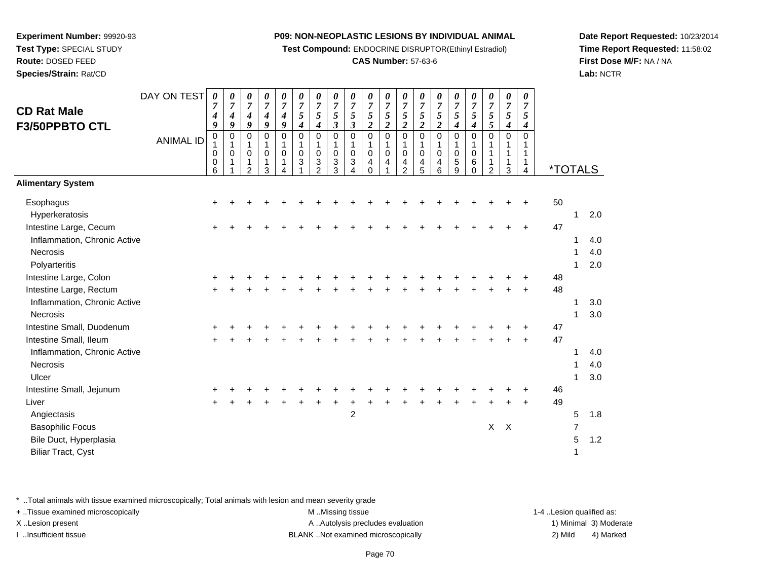**Test Compound:** ENDOCRINE DISRUPTOR(Ethinyl Estradiol)

#### **CAS Number:** 57-63-6

**Date Report Requested:** 10/23/2014**Time Report Requested:** 11:58:02**First Dose M/F:** NA / NA**Lab:** NCTR

| <b>CD Rat Male</b><br>F3/50PPBTO CTL                                                                 | DAY ON TEST      | 0<br>4<br>9      | 0<br>$\overline{7}$<br>$\boldsymbol{4}$<br>9 | 0<br>7<br>$\boldsymbol{4}$<br>$\boldsymbol{g}$      | 0<br>$\overline{7}$<br>$\boldsymbol{4}$<br>9       | 0<br>$\overline{7}$<br>4<br>9 | 0<br>7<br>5<br>$\boldsymbol{4}$ | 0<br>$\overline{7}$<br>$\sqrt{5}$<br>$\boldsymbol{4}$ | 0<br>$\overline{7}$<br>5<br>$\boldsymbol{\beta}$     | 0<br>$\overline{7}$<br>5<br>$\boldsymbol{\mathfrak{z}}$ | 0<br>$\overline{7}$<br>5<br>$\boldsymbol{2}$ | 0<br>$\overline{7}$<br>$\overline{5}$<br>$\boldsymbol{2}$ | 0<br>$\overline{7}$<br>5<br>$\boldsymbol{2}$                   | 0<br>$\overline{7}$<br>$\sqrt{5}$<br>$\boldsymbol{2}$ | 0<br>$\overline{7}$<br>5<br>$\boldsymbol{2}$ | 0<br>$\overline{7}$<br>5<br>$\boldsymbol{4}$ | 0<br>$\overline{7}$<br>5<br>4                                  | 0<br>$\overline{7}$<br>5<br>$\sqrt{5}$ | 0<br>$\overline{7}$<br>5<br>4              | 0<br>$\overline{7}$<br>5<br>4 |                       |                  |                   |
|------------------------------------------------------------------------------------------------------|------------------|------------------|----------------------------------------------|-----------------------------------------------------|----------------------------------------------------|-------------------------------|---------------------------------|-------------------------------------------------------|------------------------------------------------------|---------------------------------------------------------|----------------------------------------------|-----------------------------------------------------------|----------------------------------------------------------------|-------------------------------------------------------|----------------------------------------------|----------------------------------------------|----------------------------------------------------------------|----------------------------------------|--------------------------------------------|-------------------------------|-----------------------|------------------|-------------------|
|                                                                                                      | <b>ANIMAL ID</b> | 0<br>0<br>0<br>6 | $\mathbf 0$<br>1<br>0<br>1                   | $\Omega$<br>1<br>$\mathbf 0$<br>1<br>$\overline{2}$ | $\Omega$<br>$\mathbf{1}$<br>$\mathbf 0$<br>-1<br>3 | 0<br>$\Omega$                 | 0<br>1<br>$\mathbf 0$<br>3      | $\mathbf 0$<br>$\mathbf{1}$<br>$\pmb{0}$<br>3<br>2    | $\mathbf 0$<br>$\mathbf{1}$<br>$\mathbf 0$<br>3<br>3 | 0<br>$\mathbf{1}$<br>$\pmb{0}$<br>3<br>4                | $\overline{0}$<br>1<br>$\mathbf 0$<br>4<br>0 | $\mathbf 0$<br>1<br>$\pmb{0}$<br>4                        | $\Omega$<br>$\mathbf{1}$<br>$\mathbf 0$<br>4<br>$\overline{2}$ | $\Omega$<br>$\mathbf 0$<br>4<br>5                     | $\Omega$<br>$\mathbf 0$<br>4<br>6            | 0<br>$\mathbf{1}$<br>0<br>5<br>9             | $\mathbf 0$<br>$\mathbf{1}$<br>$\mathbf 0$<br>6<br>$\mathbf 0$ | $\Omega$<br>-1<br>$\overline{2}$       | $\mathbf 0$<br>1<br>$\mathbf{1}$<br>1<br>3 | $\Omega$<br>4                 | <i><b>*TOTALS</b></i> |                  |                   |
| <b>Alimentary System</b>                                                                             |                  |                  |                                              |                                                     |                                                    |                               |                                 |                                                       |                                                      |                                                         |                                              |                                                           |                                                                |                                                       |                                              |                                              |                                                                |                                        |                                            |                               |                       |                  |                   |
| Esophagus<br>Hyperkeratosis                                                                          |                  | $\ddot{}$        |                                              |                                                     |                                                    |                               |                                 |                                                       |                                                      |                                                         |                                              |                                                           |                                                                |                                                       |                                              |                                              |                                                                |                                        |                                            | ÷                             | 50                    | 1                | 2.0               |
| Intestine Large, Cecum<br>Inflammation, Chronic Active<br>Necrosis<br>Polyarteritis                  |                  |                  |                                              |                                                     |                                                    |                               |                                 |                                                       |                                                      |                                                         |                                              |                                                           |                                                                |                                                       |                                              |                                              |                                                                |                                        |                                            |                               | 47                    | 1<br>1           | 4.0<br>4.0<br>2.0 |
| Intestine Large, Colon<br>Intestine Large, Rectum<br>Inflammation, Chronic Active<br><b>Necrosis</b> |                  |                  |                                              |                                                     |                                                    |                               |                                 |                                                       |                                                      |                                                         |                                              |                                                           |                                                                |                                                       |                                              |                                              |                                                                |                                        |                                            |                               | 48<br>48              | 1                | 3.0<br>3.0        |
| Intestine Small, Duodenum<br>Intestine Small, Ileum<br>Inflammation, Chronic Active                  |                  | ÷                |                                              |                                                     |                                                    |                               |                                 |                                                       |                                                      |                                                         |                                              |                                                           |                                                                |                                                       |                                              |                                              |                                                                |                                        |                                            | $\pm$                         | 47<br>47              | 1                | 4.0               |
| Necrosis<br>Ulcer                                                                                    |                  |                  |                                              |                                                     |                                                    |                               |                                 |                                                       |                                                      |                                                         |                                              |                                                           |                                                                |                                                       |                                              |                                              |                                                                |                                        |                                            |                               |                       | 1                | 4.0<br>3.0        |
| Intestine Small, Jejunum<br>Liver                                                                    |                  |                  |                                              |                                                     |                                                    |                               |                                 |                                                       |                                                      |                                                         |                                              |                                                           |                                                                |                                                       |                                              |                                              |                                                                |                                        |                                            |                               | 46<br>49              |                  |                   |
| Angiectasis<br><b>Basophilic Focus</b><br>Bile Duct, Hyperplasia<br><b>Biliar Tract, Cyst</b>        |                  |                  |                                              |                                                     |                                                    |                               |                                 |                                                       |                                                      | $\boldsymbol{2}$                                        |                                              |                                                           |                                                                |                                                       |                                              |                                              |                                                                | $\mathsf{X}$                           | $\mathsf{X}$                               |                               |                       | 5<br>7<br>5<br>1 | 1.8<br>1.2        |

\* ..Total animals with tissue examined microscopically; Total animals with lesion and mean severity grade

**Experiment Number:** 99920-93**Test Type:** SPECIAL STUDY**Route:** DOSED FEED**Species/Strain:** Rat/CD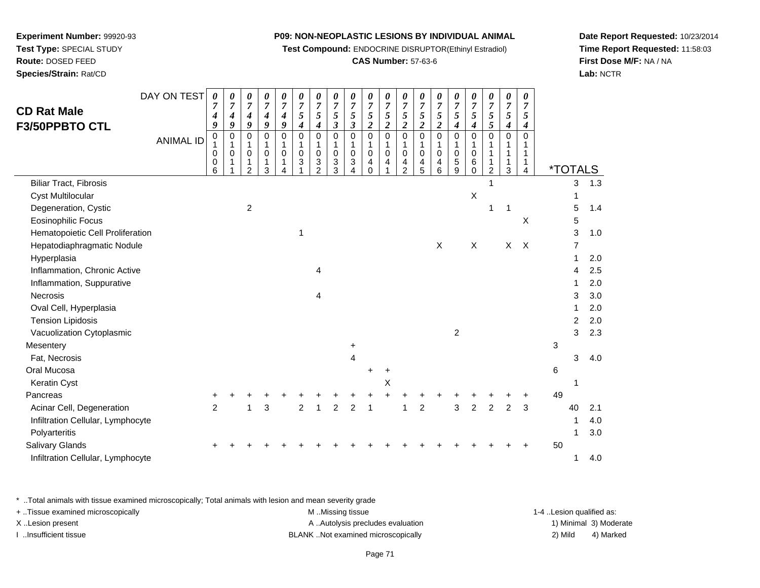**Test Compound:** ENDOCRINE DISRUPTOR(Ethinyl Estradiol)

#### **CAS Number:** 57-63-6

**Date Report Requested:** 10/23/2014**Time Report Requested:** 11:58:03**First Dose M/F:** NA / NA**Lab:** NCTR

| DAY ON TEST<br><b>CD Rat Male</b><br>F3/50PPBTO CTL | 0<br>7<br>4<br>9                | 0<br>$\overline{7}$<br>4<br>9 | 0<br>$\overline{7}$<br>$\boldsymbol{4}$<br>9 | 0<br>$\overline{7}$<br>4<br>9 | 0<br>$\overline{7}$<br>$\boldsymbol{4}$<br>9 | 0<br>$\overline{7}$<br>5<br>$\boldsymbol{4}$ | 0<br>$\overline{7}$<br>5<br>$\boldsymbol{4}$  | $\pmb{\theta}$<br>$\boldsymbol{7}$<br>$\sqrt{5}$<br>$\boldsymbol{\beta}$ | 0<br>$\overline{7}$<br>5<br>$\mathfrak{z}$ | 0<br>$\overline{7}$<br>$\overline{5}$<br>$\boldsymbol{2}$ | 0<br>$\overline{7}$<br>5<br>$\boldsymbol{2}$ | 0<br>$\overline{7}$<br>5<br>$\boldsymbol{2}$            | 0<br>$\overline{7}$<br>5<br>$\overline{\mathbf{c}}$ | 0<br>$\overline{7}$<br>5<br>$\boldsymbol{2}$ | 0<br>$\overline{7}$<br>5<br>$\boldsymbol{4}$ | 0<br>$\overline{7}$<br>5<br>$\boldsymbol{4}$ | 0<br>$\boldsymbol{7}$<br>5<br>5 | 0<br>$\overline{7}$<br>$\mathfrak{s}$<br>$\boldsymbol{4}$ | 0<br>$\overline{7}$<br>5<br>4 |    |                       |     |
|-----------------------------------------------------|---------------------------------|-------------------------------|----------------------------------------------|-------------------------------|----------------------------------------------|----------------------------------------------|-----------------------------------------------|--------------------------------------------------------------------------|--------------------------------------------|-----------------------------------------------------------|----------------------------------------------|---------------------------------------------------------|-----------------------------------------------------|----------------------------------------------|----------------------------------------------|----------------------------------------------|---------------------------------|-----------------------------------------------------------|-------------------------------|----|-----------------------|-----|
| <b>ANIMAL ID</b>                                    | $\mathbf 0$<br>1<br>0<br>0<br>6 | 0<br>$\mathbf{1}$<br>0        | 0<br>1<br>0<br>$\overline{2}$                | 0<br>0<br>3                   | 0<br>1<br>$\mathbf 0$<br>4                   | $\mathbf 0$<br>1<br>$\mathbf 0$<br>3         | $\mathbf 0$<br>-1<br>0<br>3<br>$\overline{2}$ | $\mathbf 0$<br>1<br>$\mathbf 0$<br>$\ensuremath{\mathsf{3}}$<br>3        | 0<br>0<br>3<br>4                           | $\pmb{0}$<br>1<br>0<br>$\overline{\mathbf{r}}$<br>0       | $\mathbf 0$<br>1<br>$\mathbf 0$<br>4         | 0<br>$\mathbf{1}$<br>$\mathbf 0$<br>4<br>$\overline{c}$ | 0<br>1<br>0<br>4<br>5                               | $\mathbf 0$<br>1<br>0<br>4<br>6              | $\mathbf 0$<br>1<br>0<br>5<br>9              | $\mathbf 0$<br>1<br>0<br>6<br>$\mathbf 0$    | $\Omega$<br>$\overline{2}$      | $\mathbf 0$<br>1<br>1<br>3                                | $\Omega$<br>1<br>4            |    | <i><b>*TOTALS</b></i> |     |
| <b>Biliar Tract, Fibrosis</b>                       |                                 |                               |                                              |                               |                                              |                                              |                                               |                                                                          |                                            |                                                           |                                              |                                                         |                                                     |                                              |                                              |                                              |                                 |                                                           |                               |    | 3                     | 1.3 |
| <b>Cyst Multilocular</b>                            |                                 |                               |                                              |                               |                                              |                                              |                                               |                                                                          |                                            |                                                           |                                              |                                                         |                                                     |                                              |                                              | $\boldsymbol{\mathsf{X}}$                    |                                 |                                                           |                               |    |                       |     |
| Degeneration, Cystic                                |                                 |                               | $\overline{2}$                               |                               |                                              |                                              |                                               |                                                                          |                                            |                                                           |                                              |                                                         |                                                     |                                              |                                              |                                              | 1                               | 1                                                         |                               |    | 5                     | 1.4 |
| <b>Eosinophilic Focus</b>                           |                                 |                               |                                              |                               |                                              |                                              |                                               |                                                                          |                                            |                                                           |                                              |                                                         |                                                     |                                              |                                              |                                              |                                 |                                                           | Χ                             |    | 5                     |     |
| Hematopoietic Cell Proliferation                    |                                 |                               |                                              |                               |                                              | 1                                            |                                               |                                                                          |                                            |                                                           |                                              |                                                         |                                                     |                                              |                                              |                                              |                                 |                                                           |                               |    | 3                     | 1.0 |
| Hepatodiaphragmatic Nodule                          |                                 |                               |                                              |                               |                                              |                                              |                                               |                                                                          |                                            |                                                           |                                              |                                                         |                                                     | X                                            |                                              | $\mathsf{X}$                                 |                                 | $\times$                                                  | $\times$                      |    | 7                     |     |
| Hyperplasia                                         |                                 |                               |                                              |                               |                                              |                                              |                                               |                                                                          |                                            |                                                           |                                              |                                                         |                                                     |                                              |                                              |                                              |                                 |                                                           |                               |    | 1                     | 2.0 |
| Inflammation, Chronic Active                        |                                 |                               |                                              |                               |                                              |                                              | 4                                             |                                                                          |                                            |                                                           |                                              |                                                         |                                                     |                                              |                                              |                                              |                                 |                                                           |                               |    | 4                     | 2.5 |
| Inflammation, Suppurative                           |                                 |                               |                                              |                               |                                              |                                              |                                               |                                                                          |                                            |                                                           |                                              |                                                         |                                                     |                                              |                                              |                                              |                                 |                                                           |                               |    | 1                     | 2.0 |
| Necrosis                                            |                                 |                               |                                              |                               |                                              |                                              | 4                                             |                                                                          |                                            |                                                           |                                              |                                                         |                                                     |                                              |                                              |                                              |                                 |                                                           |                               |    | 3                     | 3.0 |
| Oval Cell, Hyperplasia                              |                                 |                               |                                              |                               |                                              |                                              |                                               |                                                                          |                                            |                                                           |                                              |                                                         |                                                     |                                              |                                              |                                              |                                 |                                                           |                               |    | 1                     | 2.0 |
| <b>Tension Lipidosis</b>                            |                                 |                               |                                              |                               |                                              |                                              |                                               |                                                                          |                                            |                                                           |                                              |                                                         |                                                     |                                              |                                              |                                              |                                 |                                                           |                               |    | $\overline{2}$        | 2.0 |
| Vacuolization Cytoplasmic                           |                                 |                               |                                              |                               |                                              |                                              |                                               |                                                                          |                                            |                                                           |                                              |                                                         |                                                     |                                              | $\overline{2}$                               |                                              |                                 |                                                           |                               |    | 3                     | 2.3 |
| Mesentery                                           |                                 |                               |                                              |                               |                                              |                                              |                                               |                                                                          | $\ddot{}$                                  |                                                           |                                              |                                                         |                                                     |                                              |                                              |                                              |                                 |                                                           |                               | 3  |                       |     |
| Fat, Necrosis                                       |                                 |                               |                                              |                               |                                              |                                              |                                               |                                                                          | 4                                          |                                                           |                                              |                                                         |                                                     |                                              |                                              |                                              |                                 |                                                           |                               |    | 3                     | 4.0 |
| Oral Mucosa                                         |                                 |                               |                                              |                               |                                              |                                              |                                               |                                                                          |                                            |                                                           |                                              |                                                         |                                                     |                                              |                                              |                                              |                                 |                                                           |                               | 6  |                       |     |
| Keratin Cyst                                        |                                 |                               |                                              |                               |                                              |                                              |                                               |                                                                          |                                            |                                                           | X                                            |                                                         |                                                     |                                              |                                              |                                              |                                 |                                                           |                               |    |                       |     |
| Pancreas                                            |                                 |                               |                                              |                               |                                              |                                              |                                               |                                                                          |                                            |                                                           |                                              |                                                         |                                                     |                                              |                                              |                                              |                                 |                                                           |                               | 49 |                       |     |
| Acinar Cell, Degeneration                           | $\overline{2}$                  |                               |                                              | 3                             |                                              | $\overline{c}$                               |                                               | $\overline{2}$                                                           | $\overline{2}$                             |                                                           |                                              |                                                         | $\overline{2}$                                      |                                              | 3                                            | $\overline{2}$                               | $\overline{2}$                  | $\overline{2}$                                            | 3                             |    | 40                    | 2.1 |
| Infiltration Cellular, Lymphocyte                   |                                 |                               |                                              |                               |                                              |                                              |                                               |                                                                          |                                            |                                                           |                                              |                                                         |                                                     |                                              |                                              |                                              |                                 |                                                           |                               |    |                       | 4.0 |
| Polyarteritis                                       |                                 |                               |                                              |                               |                                              |                                              |                                               |                                                                          |                                            |                                                           |                                              |                                                         |                                                     |                                              |                                              |                                              |                                 |                                                           |                               |    | 1                     | 3.0 |
| Salivary Glands                                     |                                 |                               |                                              |                               |                                              |                                              |                                               |                                                                          |                                            |                                                           |                                              |                                                         |                                                     |                                              |                                              |                                              |                                 |                                                           |                               | 50 |                       |     |
| Infiltration Cellular, Lymphocyte                   |                                 |                               |                                              |                               |                                              |                                              |                                               |                                                                          |                                            |                                                           |                                              |                                                         |                                                     |                                              |                                              |                                              |                                 |                                                           |                               |    | 1                     | 4.0 |

\* ..Total animals with tissue examined microscopically; Total animals with lesion and mean severity grade

**Experiment Number:** 99920-93**Test Type:** SPECIAL STUDY**Route:** DOSED FEED**Species/Strain:** Rat/CD

| + Tissue examined microscopically | M Missing tissue                   | 1-4 Lesion qualified as: |                        |
|-----------------------------------|------------------------------------|--------------------------|------------------------|
| X Lesion present                  | A Autolysis precludes evaluation   |                          | 1) Minimal 3) Moderate |
| …Insufficient tissue              | BLANK Not examined microscopically | 2) Mild                  | 4) Marked              |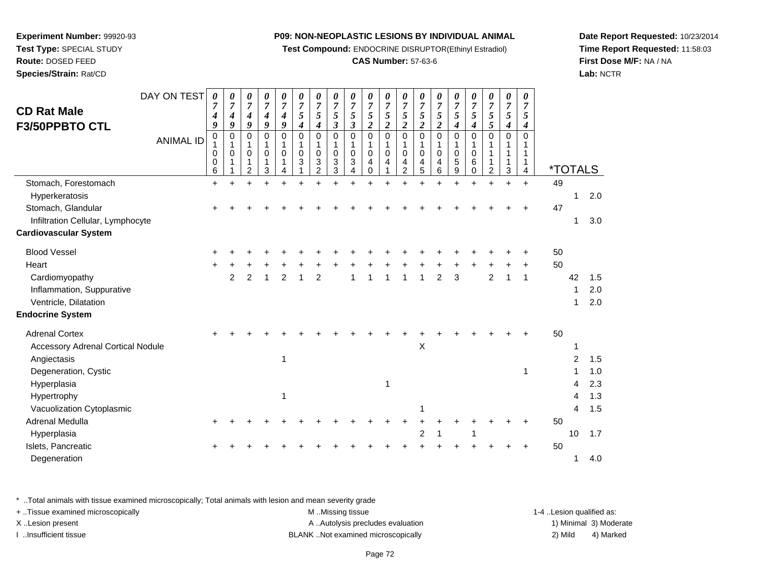**Test Compound:** ENDOCRINE DISRUPTOR(Ethinyl Estradiol)

#### **CAS Number:** 57-63-6

**Date Report Requested:** 10/23/2014**Time Report Requested:** 11:58:03**First Dose M/F:** NA / NA**Lab:** NCTR

| DAY ON TEST<br><b>CD Rat Male</b><br>F3/50PPBTO CTL                                                                                                                 | 0<br>7<br>4<br>9           | 0<br>7<br>$\boldsymbol{4}$<br>9 | 0<br>$\boldsymbol{7}$<br>$\boldsymbol{4}$<br>9 | 0<br>$\overline{7}$<br>$\boldsymbol{4}$<br>9 | 0<br>7<br>$\boldsymbol{4}$<br>9 | 0<br>$\boldsymbol{7}$<br>$\mathfrak{s}$<br>$\boldsymbol{4}$ | 0<br>$\overline{7}$<br>5<br>$\boldsymbol{4}$ | 0<br>$\overline{7}$<br>5<br>$\boldsymbol{\beta}$    | 0<br>$\overline{7}$<br>5<br>$\boldsymbol{\beta}$    | 0<br>$\overline{7}$<br>5<br>$\overline{\mathbf{c}}$ | 0<br>$\overline{7}$<br>$\mathfrak{s}$<br>$\overline{2}$ | 0<br>$\overline{7}$<br>$\mathfrak{s}$<br>$\boldsymbol{2}$ | 0<br>$\overline{7}$<br>$\sqrt{5}$<br>$\boldsymbol{2}$ | 0<br>$\overline{7}$<br>5<br>$\boldsymbol{2}$ | 0<br>7<br>5<br>4        | 0<br>$\overline{7}$<br>5<br>$\boldsymbol{4}$ | 0<br>$\overline{7}$<br>5<br>5 | 0<br>$\overline{7}$<br>5<br>$\boldsymbol{4}$ | 0<br>$\overline{7}$<br>5<br>4 |                       |                       |                                 |
|---------------------------------------------------------------------------------------------------------------------------------------------------------------------|----------------------------|---------------------------------|------------------------------------------------|----------------------------------------------|---------------------------------|-------------------------------------------------------------|----------------------------------------------|-----------------------------------------------------|-----------------------------------------------------|-----------------------------------------------------|---------------------------------------------------------|-----------------------------------------------------------|-------------------------------------------------------|----------------------------------------------|-------------------------|----------------------------------------------|-------------------------------|----------------------------------------------|-------------------------------|-----------------------|-----------------------|---------------------------------|
| <b>ANIMAL ID</b>                                                                                                                                                    | 0<br>$\mathbf 0$<br>0<br>6 | $\mathbf 0$<br>1<br>$\Omega$    | 0<br>$\mathbf 1$<br>0<br>$\overline{2}$        | 0<br>1<br>0<br>3                             | $\Omega$<br>0<br>4              | 0<br>1<br>$\mathbf 0$<br>3                                  | $\Omega$<br>1<br>$\Omega$<br>3<br>2          | $\mathbf 0$<br>$\mathbf 1$<br>$\mathbf 0$<br>3<br>3 | $\mathbf 0$<br>$\mathbf 1$<br>$\mathbf 0$<br>3<br>4 | 0<br>$\mathbf 0$<br>4<br>$\Omega$                   | 0<br>1<br>$\mathbf 0$<br>4                              | $\mathbf 0$<br>1<br>$\Omega$<br>4<br>2                    | $\Omega$<br>$\mathbf 1$<br>$\Omega$<br>4<br>5         | $\mathbf 0$<br>1<br>$\mathbf 0$<br>4<br>6    | $\Omega$<br>0<br>5<br>9 | 0<br>$\mathbf 0$<br>6<br>$\Omega$            | $\Omega$<br>$\overline{2}$    | $\Omega$<br>-1<br>3                          | $\Omega$<br>1<br>1<br>4       | <i><b>*TOTALS</b></i> |                       |                                 |
| Stomach, Forestomach<br>Hyperkeratosis<br>Stomach, Glandular<br>Infiltration Cellular, Lymphocyte                                                                   | $+$                        | ÷                               | ÷                                              | $\ddot{}$                                    | $\ddot{}$                       |                                                             |                                              |                                                     | $\ddot{}$                                           | $\ddot{}$                                           | ÷                                                       |                                                           |                                                       | $\ddot{}$                                    | $\ddot{}$               | ÷                                            |                               | $\ddot{}$                                    | $\ddot{}$                     | 49<br>47              | 1<br>1                | 2.0<br>3.0                      |
| <b>Cardiovascular System</b>                                                                                                                                        |                            |                                 |                                                |                                              |                                 |                                                             |                                              |                                                     |                                                     |                                                     |                                                         |                                                           |                                                       |                                              |                         |                                              |                               |                                              |                               |                       |                       |                                 |
| <b>Blood Vessel</b><br>Heart<br>Cardiomyopathy<br>Inflammation, Suppurative<br>Ventricle, Dilatation<br><b>Endocrine System</b>                                     |                            | 2                               | 2                                              |                                              | $\overline{2}$                  |                                                             | 2                                            |                                                     |                                                     |                                                     |                                                         |                                                           |                                                       | 2                                            | 3                       |                                              | $\overline{2}$                |                                              | -1                            | 50<br>50              | 42<br>1<br>1          | 1.5<br>2.0<br>2.0               |
| <b>Adrenal Cortex</b><br><b>Accessory Adrenal Cortical Nodule</b><br>Angiectasis<br>Degeneration, Cystic<br>Hyperplasia<br>Hypertrophy<br>Vacuolization Cytoplasmic |                            |                                 |                                                |                                              | 1<br>1                          |                                                             |                                              |                                                     |                                                     |                                                     | 1                                                       |                                                           | Χ                                                     |                                              |                         |                                              |                               |                                              | 1                             | 50                    | 1<br>2<br>4<br>4<br>4 | 1.5<br>1.0<br>2.3<br>1.3<br>1.5 |
| Adrenal Medulla<br>Hyperplasia<br>Islets, Pancreatic<br>Degeneration                                                                                                |                            |                                 |                                                |                                              |                                 |                                                             |                                              |                                                     |                                                     |                                                     |                                                         |                                                           | $\overline{2}$                                        |                                              |                         |                                              |                               |                                              |                               | 50<br>50              | 10<br>1               | 1.7<br>4.0                      |

\* ..Total animals with tissue examined microscopically; Total animals with lesion and mean severity grade

**Experiment Number:** 99920-93**Test Type:** SPECIAL STUDY**Route:** DOSED FEED**Species/Strain:** Rat/CD

| + Tissue examined microscopically | M Missing tissue                   | 1-4 Lesion qualified as: |                        |
|-----------------------------------|------------------------------------|--------------------------|------------------------|
| X Lesion present                  | A Autolysis precludes evaluation   |                          | 1) Minimal 3) Moderate |
| Insufficient tissue               | BLANK Not examined microscopically | 2) Mild                  | 4) Marked              |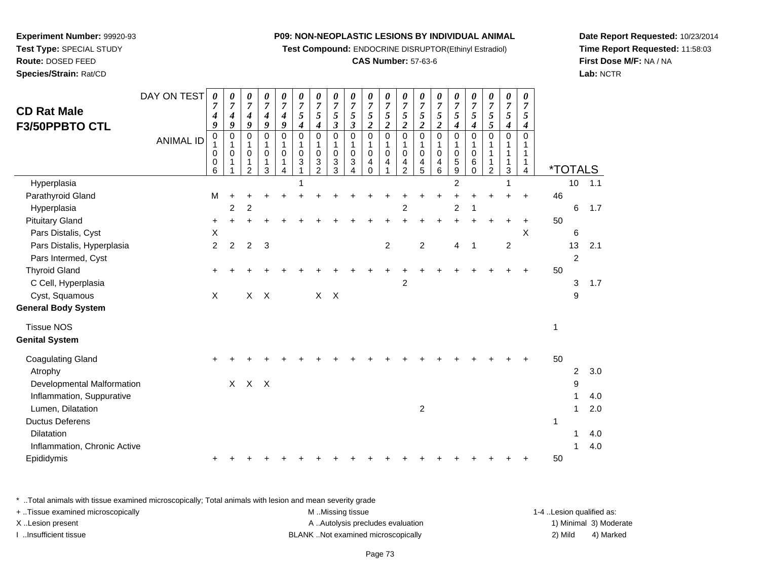**Test Compound:** ENDOCRINE DISRUPTOR(Ethinyl Estradiol)

# **CAS Number:** 57-63-6

**Date Report Requested:** 10/23/2014**Time Report Requested:** 11:58:03**First Dose M/F:** NA / NA**Lab:** NCTR

| <b>CD Rat Male</b><br>F3/50PPBTO CTL | DAY ON TEST      | 0<br>7<br>$\boldsymbol{4}$<br>9 | 0<br>$\overline{7}$<br>4<br>9 | 0<br>$\overline{7}$<br>4<br>9                | 0<br>$\overline{7}$<br>4<br>9 | 0<br>$\overline{7}$<br>$\boldsymbol{4}$<br>9 | 0<br>$\overline{7}$<br>5<br>$\boldsymbol{4}$ | 0<br>$\boldsymbol{7}$<br>5<br>$\boldsymbol{4}$ | 0<br>$\overline{7}$<br>5<br>3   | 0<br>$\boldsymbol{7}$<br>5<br>$\boldsymbol{\beta}$ | 0<br>$\overline{7}$<br>5<br>$\overline{2}$ | $\boldsymbol{\theta}$<br>$\overline{7}$<br>5<br>$\boldsymbol{2}$ | 0<br>$\overline{7}$<br>5<br>$\boldsymbol{2}$    | 0<br>$\overline{7}$<br>$\sqrt{5}$<br>$\boldsymbol{2}$ | 0<br>$\overline{7}$<br>5<br>$\overline{c}$ | 0<br>$\overline{7}$<br>5<br>$\boldsymbol{4}$ | 0<br>$\overline{7}$<br>5<br>4            | 0<br>$\boldsymbol{7}$<br>5<br>5 | 0<br>$\overline{7}$<br>$\sqrt{5}$<br>$\boldsymbol{4}$ | $\boldsymbol{\theta}$<br>$\overline{7}$<br>5<br>$\boldsymbol{4}$ |              |                       |     |
|--------------------------------------|------------------|---------------------------------|-------------------------------|----------------------------------------------|-------------------------------|----------------------------------------------|----------------------------------------------|------------------------------------------------|---------------------------------|----------------------------------------------------|--------------------------------------------|------------------------------------------------------------------|-------------------------------------------------|-------------------------------------------------------|--------------------------------------------|----------------------------------------------|------------------------------------------|---------------------------------|-------------------------------------------------------|------------------------------------------------------------------|--------------|-----------------------|-----|
|                                      | <b>ANIMAL ID</b> | 0<br>1<br>0<br>0<br>6           | 0<br>1<br>0                   | $\mathbf 0$<br>1<br>0<br>1<br>$\overline{2}$ | $\Omega$<br>0<br>3            | $\mathbf 0$<br>1<br>$\mathbf 0$<br>$\Delta$  | $\Omega$<br>1<br>0<br>3                      | $\Omega$<br>1<br>0<br>3<br>$\overline{2}$      | $\mathbf 0$<br>1<br>0<br>3<br>3 | $\mathbf 0$<br>1<br>$\mathbf 0$<br>3<br>4          | $\mathbf 0$<br>1<br>$\mathbf 0$<br>4<br>0  | $\Omega$<br>1<br>$\mathbf 0$<br>4                                | $\overline{0}$<br>1<br>0<br>4<br>$\overline{a}$ | $\mathbf 0$<br>1<br>0<br>4<br>5                       | $\Omega$<br>$\mathbf 0$<br>4<br>6          | $\Omega$<br>1<br>$\mathbf 0$<br>5<br>9       | $\Omega$<br>$\mathbf 0$<br>6<br>$\Omega$ | $\Omega$<br>$\overline{c}$      | $\Omega$<br>1<br>1<br>$\mathbf{3}$                    | $\Omega$<br>1<br>4                                               |              | <i><b>*TOTALS</b></i> |     |
| Hyperplasia                          |                  |                                 |                               |                                              |                               |                                              |                                              |                                                |                                 |                                                    |                                            |                                                                  |                                                 |                                                       |                                            | $\overline{2}$                               |                                          |                                 |                                                       |                                                                  |              | 10                    | 1.1 |
| Parathyroid Gland                    |                  | M                               |                               |                                              |                               |                                              |                                              |                                                |                                 |                                                    |                                            |                                                                  |                                                 |                                                       |                                            |                                              |                                          |                                 |                                                       |                                                                  | 46           |                       |     |
| Hyperplasia                          |                  |                                 | 2                             | 2                                            |                               |                                              |                                              |                                                |                                 |                                                    |                                            |                                                                  | 2                                               |                                                       |                                            | $\overline{\mathbf{c}}$                      |                                          |                                 |                                                       |                                                                  |              | 6                     | 1.7 |
| <b>Pituitary Gland</b>               |                  | +                               |                               |                                              |                               |                                              |                                              |                                                |                                 |                                                    |                                            |                                                                  |                                                 |                                                       |                                            |                                              |                                          |                                 |                                                       |                                                                  | 50           |                       |     |
| Pars Distalis, Cyst                  |                  | X                               |                               |                                              |                               |                                              |                                              |                                                |                                 |                                                    |                                            |                                                                  |                                                 |                                                       |                                            |                                              |                                          |                                 |                                                       | X                                                                |              | 6                     |     |
| Pars Distalis, Hyperplasia           |                  | $\overline{2}$                  | $\overline{2}$                | $\overline{c}$                               | $\mathbf{3}$                  |                                              |                                              |                                                |                                 |                                                    |                                            | $\overline{c}$                                                   |                                                 | $\overline{c}$                                        |                                            | 4                                            | $\mathbf{1}$                             |                                 | $\overline{c}$                                        |                                                                  |              | 13                    | 2.1 |
| Pars Intermed, Cyst                  |                  |                                 |                               |                                              |                               |                                              |                                              |                                                |                                 |                                                    |                                            |                                                                  |                                                 |                                                       |                                            |                                              |                                          |                                 |                                                       |                                                                  |              | 2                     |     |
| <b>Thyroid Gland</b>                 |                  |                                 |                               |                                              |                               |                                              |                                              |                                                |                                 |                                                    |                                            |                                                                  |                                                 |                                                       |                                            |                                              |                                          |                                 |                                                       |                                                                  | 50           |                       |     |
| C Cell, Hyperplasia                  |                  |                                 |                               |                                              |                               |                                              |                                              |                                                |                                 |                                                    |                                            |                                                                  | $\overline{c}$                                  |                                                       |                                            |                                              |                                          |                                 |                                                       |                                                                  |              | 3                     | 1.7 |
| Cyst, Squamous                       |                  | $\pmb{\times}$                  |                               | $\pmb{\times}$                               | $\mathsf{X}$                  |                                              |                                              |                                                | $X$ $X$                         |                                                    |                                            |                                                                  |                                                 |                                                       |                                            |                                              |                                          |                                 |                                                       |                                                                  |              | 9                     |     |
| <b>General Body System</b>           |                  |                                 |                               |                                              |                               |                                              |                                              |                                                |                                 |                                                    |                                            |                                                                  |                                                 |                                                       |                                            |                                              |                                          |                                 |                                                       |                                                                  |              |                       |     |
| <b>Tissue NOS</b>                    |                  |                                 |                               |                                              |                               |                                              |                                              |                                                |                                 |                                                    |                                            |                                                                  |                                                 |                                                       |                                            |                                              |                                          |                                 |                                                       |                                                                  | 1            |                       |     |
| <b>Genital System</b>                |                  |                                 |                               |                                              |                               |                                              |                                              |                                                |                                 |                                                    |                                            |                                                                  |                                                 |                                                       |                                            |                                              |                                          |                                 |                                                       |                                                                  |              |                       |     |
| <b>Coagulating Gland</b>             |                  |                                 |                               |                                              |                               |                                              |                                              |                                                |                                 |                                                    |                                            |                                                                  |                                                 |                                                       |                                            |                                              |                                          |                                 |                                                       |                                                                  | 50           |                       |     |
| Atrophy                              |                  |                                 |                               |                                              |                               |                                              |                                              |                                                |                                 |                                                    |                                            |                                                                  |                                                 |                                                       |                                            |                                              |                                          |                                 |                                                       |                                                                  |              | $\overline{c}$        | 3.0 |
| Developmental Malformation           |                  |                                 | $\mathsf{X}$                  | $\mathsf{X}$                                 | $\mathsf{X}$                  |                                              |                                              |                                                |                                 |                                                    |                                            |                                                                  |                                                 |                                                       |                                            |                                              |                                          |                                 |                                                       |                                                                  |              | 9                     |     |
| Inflammation, Suppurative            |                  |                                 |                               |                                              |                               |                                              |                                              |                                                |                                 |                                                    |                                            |                                                                  |                                                 |                                                       |                                            |                                              |                                          |                                 |                                                       |                                                                  |              | 1                     | 4.0 |
| Lumen, Dilatation                    |                  |                                 |                               |                                              |                               |                                              |                                              |                                                |                                 |                                                    |                                            |                                                                  |                                                 | $\overline{2}$                                        |                                            |                                              |                                          |                                 |                                                       |                                                                  |              | 1                     | 2.0 |
| <b>Ductus Deferens</b>               |                  |                                 |                               |                                              |                               |                                              |                                              |                                                |                                 |                                                    |                                            |                                                                  |                                                 |                                                       |                                            |                                              |                                          |                                 |                                                       |                                                                  | $\mathbf{1}$ |                       |     |
| Dilatation                           |                  |                                 |                               |                                              |                               |                                              |                                              |                                                |                                 |                                                    |                                            |                                                                  |                                                 |                                                       |                                            |                                              |                                          |                                 |                                                       |                                                                  |              | 1                     | 4.0 |
| Inflammation, Chronic Active         |                  |                                 |                               |                                              |                               |                                              |                                              |                                                |                                 |                                                    |                                            |                                                                  |                                                 |                                                       |                                            |                                              |                                          |                                 |                                                       |                                                                  |              | 1                     | 4.0 |
| Epididymis                           |                  |                                 |                               |                                              |                               |                                              |                                              |                                                |                                 |                                                    |                                            |                                                                  |                                                 |                                                       |                                            |                                              |                                          |                                 |                                                       |                                                                  | 50           |                       |     |

\* ..Total animals with tissue examined microscopically; Total animals with lesion and mean severity grade

| + Tissue examined microscopically | M Missing tissue                   | 1-4 Lesion qualified as: |                        |
|-----------------------------------|------------------------------------|--------------------------|------------------------|
| X Lesion present                  | A Autolysis precludes evaluation   |                          | 1) Minimal 3) Moderate |
| I …Insufficient tissue            | BLANK Not examined microscopically | 2) Mild                  | 4) Marked              |

**Experiment Number:** 99920-93**Test Type:** SPECIAL STUDY**Route:** DOSED FEED

**Species/Strain:** Rat/CD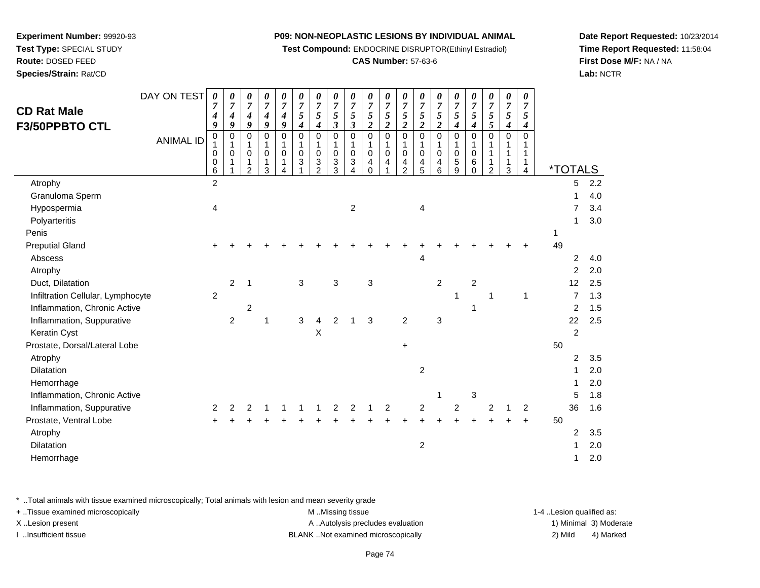**Test Compound:** ENDOCRINE DISRUPTOR(Ethinyl Estradiol)

#### **CAS Number:** 57-63-6

**Date Report Requested:** 10/23/2014**Time Report Requested:** 11:58:04**First Dose M/F:** NA / NA**Lab:** NCTR

| <b>CD Rat Male</b><br>F3/50PPBTO CTL | DAY ON TEST      | 0<br>7<br>4<br>9 | 0<br>$\overline{7}$<br>4<br>$\boldsymbol{g}$ | 0<br>$\overline{7}$<br>4<br>9 | 0<br>7<br>4<br>9      | 0<br>7<br>4<br>9   | 0<br>$\boldsymbol{7}$<br>$\sqrt{5}$<br>$\boldsymbol{4}$ | 0<br>$\overline{7}$<br>$\mathfrak{s}$<br>$\boldsymbol{4}$ | 0<br>$\overline{7}$<br>5<br>$\mathfrak{z}$ | 0<br>$\boldsymbol{7}$<br>5<br>3 | 0<br>7<br>5<br>$\overline{\mathbf{c}}$ | 0<br>$\overline{7}$<br>$\sqrt{5}$<br>$\overline{2}$ | 0<br>$\overline{7}$<br>5<br>$\overline{c}$ | 0<br>$\overline{7}$<br>5<br>$\overline{2}$ | 0<br>5<br>$\boldsymbol{2}$                | 0<br>7<br>5<br>$\boldsymbol{4}$ | 0<br>$\overline{7}$<br>$\overline{5}$<br>$\boldsymbol{4}$ | 0<br>$\overline{7}$<br>5<br>5 | 0<br>$\overline{7}$<br>5<br>4 | 0<br>$\overline{7}$<br>5<br>4        |                       |                |     |
|--------------------------------------|------------------|------------------|----------------------------------------------|-------------------------------|-----------------------|--------------------|---------------------------------------------------------|-----------------------------------------------------------|--------------------------------------------|---------------------------------|----------------------------------------|-----------------------------------------------------|--------------------------------------------|--------------------------------------------|-------------------------------------------|---------------------------------|-----------------------------------------------------------|-------------------------------|-------------------------------|--------------------------------------|-----------------------|----------------|-----|
|                                      | <b>ANIMAL ID</b> | 0<br>0<br>0<br>6 | 0<br>1<br>$\mathbf 0$                        | 0<br>1<br>$\mathbf 0$<br>2    | 0<br>$\mathbf 0$<br>3 | 0<br>1<br>$\Omega$ | 0<br>$\mathbf{1}$<br>$\mathbf 0$<br>3                   | $\mathbf 0$<br>1<br>0<br>3<br>$\mathcal{P}$               | $\mathbf 0$<br>1<br>0<br>3<br>3            | 0<br>1<br>$\mathbf 0$<br>3<br>4 | 0<br>1<br>0<br>4<br>0                  | 0<br>$\mathbf{1}$<br>0<br>4                         | 0<br>1<br>$\Omega$<br>4<br>$\mathcal{P}$   | $\Omega$<br>1<br>$\mathbf 0$<br>4<br>5     | $\mathbf 0$<br>1<br>$\mathbf 0$<br>4<br>6 | 0<br>1<br>0<br>5<br>9           | 0<br>$\mathbf{1}$<br>0<br>6<br>$\Omega$                   | $\Omega$<br>1<br>1<br>2       | $\Omega$<br>1<br>1<br>3       | $\Omega$<br>1<br>1<br>$\overline{4}$ | <i><b>*TOTALS</b></i> |                |     |
| Atrophy                              |                  | $\overline{c}$   |                                              |                               |                       |                    |                                                         |                                                           |                                            |                                 |                                        |                                                     |                                            |                                            |                                           |                                 |                                                           |                               |                               |                                      |                       | 5              | 2.2 |
| Granuloma Sperm                      |                  |                  |                                              |                               |                       |                    |                                                         |                                                           |                                            |                                 |                                        |                                                     |                                            |                                            |                                           |                                 |                                                           |                               |                               |                                      |                       |                | 4.0 |
| Hypospermia                          |                  | 4                |                                              |                               |                       |                    |                                                         |                                                           |                                            | $\overline{c}$                  |                                        |                                                     |                                            | 4                                          |                                           |                                 |                                                           |                               |                               |                                      |                       | 7              | 3.4 |
| Polyarteritis                        |                  |                  |                                              |                               |                       |                    |                                                         |                                                           |                                            |                                 |                                        |                                                     |                                            |                                            |                                           |                                 |                                                           |                               |                               |                                      |                       | 1              | 3.0 |
| Penis                                |                  |                  |                                              |                               |                       |                    |                                                         |                                                           |                                            |                                 |                                        |                                                     |                                            |                                            |                                           |                                 |                                                           |                               |                               |                                      | $\mathbf{1}$          |                |     |
| <b>Preputial Gland</b>               |                  |                  |                                              |                               |                       |                    |                                                         |                                                           |                                            |                                 |                                        |                                                     |                                            |                                            |                                           |                                 |                                                           |                               |                               |                                      | 49                    |                |     |
| Abscess                              |                  |                  |                                              |                               |                       |                    |                                                         |                                                           |                                            |                                 |                                        |                                                     |                                            | 4                                          |                                           |                                 |                                                           |                               |                               |                                      |                       | 2              | 4.0 |
| Atrophy                              |                  |                  |                                              |                               |                       |                    |                                                         |                                                           |                                            |                                 |                                        |                                                     |                                            |                                            |                                           |                                 |                                                           |                               |                               |                                      |                       | 2              | 2.0 |
| Duct, Dilatation                     |                  |                  | $\overline{2}$                               | $\mathbf 1$                   |                       |                    | 3                                                       |                                                           | 3                                          |                                 | 3                                      |                                                     |                                            |                                            | $\overline{c}$                            |                                 | $\overline{c}$                                            |                               |                               |                                      |                       | 12             | 2.5 |
| Infiltration Cellular, Lymphocyte    |                  | $\overline{2}$   |                                              |                               |                       |                    |                                                         |                                                           |                                            |                                 |                                        |                                                     |                                            |                                            |                                           | $\mathbf{1}$                    |                                                           | $\overline{1}$                |                               | $\mathbf{1}$                         |                       | 7              | 1.3 |
| Inflammation, Chronic Active         |                  |                  |                                              | $\overline{c}$                |                       |                    |                                                         |                                                           |                                            |                                 |                                        |                                                     |                                            |                                            |                                           |                                 | $\mathbf{1}$                                              |                               |                               |                                      |                       | $\overline{2}$ | 1.5 |
| Inflammation, Suppurative            |                  |                  | $\overline{c}$                               |                               | 1                     |                    | $\mathbf{3}$                                            | 4                                                         | $\overline{c}$                             | 1                               | 3                                      |                                                     | $\overline{a}$                             |                                            | $\mathbf{3}$                              |                                 |                                                           |                               |                               |                                      |                       | 22             | 2.5 |
| Keratin Cyst                         |                  |                  |                                              |                               |                       |                    |                                                         | $\pmb{\times}$                                            |                                            |                                 |                                        |                                                     |                                            |                                            |                                           |                                 |                                                           |                               |                               |                                      |                       | $\overline{2}$ |     |
| Prostate, Dorsal/Lateral Lobe        |                  |                  |                                              |                               |                       |                    |                                                         |                                                           |                                            |                                 |                                        |                                                     | $\ddot{}$                                  |                                            |                                           |                                 |                                                           |                               |                               |                                      | 50                    |                |     |
| Atrophy                              |                  |                  |                                              |                               |                       |                    |                                                         |                                                           |                                            |                                 |                                        |                                                     |                                            |                                            |                                           |                                 |                                                           |                               |                               |                                      |                       | 2              | 3.5 |
| Dilatation                           |                  |                  |                                              |                               |                       |                    |                                                         |                                                           |                                            |                                 |                                        |                                                     |                                            | $\overline{c}$                             |                                           |                                 |                                                           |                               |                               |                                      |                       |                | 2.0 |
| Hemorrhage                           |                  |                  |                                              |                               |                       |                    |                                                         |                                                           |                                            |                                 |                                        |                                                     |                                            |                                            |                                           |                                 |                                                           |                               |                               |                                      |                       |                | 2.0 |
| Inflammation, Chronic Active         |                  |                  |                                              |                               |                       |                    |                                                         |                                                           |                                            |                                 |                                        |                                                     |                                            |                                            | 1                                         |                                 | 3                                                         |                               |                               |                                      |                       | 5              | 1.8 |
| Inflammation, Suppurative            |                  | 2                | 2                                            | 2                             |                       |                    |                                                         |                                                           | 2                                          | $\overline{c}$                  |                                        | 2                                                   |                                            | $\overline{\mathbf{c}}$                    |                                           | $\overline{c}$                  |                                                           | 2                             |                               | $\overline{2}$                       |                       | 36             | 1.6 |
| Prostate, Ventral Lobe               |                  |                  |                                              |                               |                       |                    |                                                         |                                                           |                                            |                                 |                                        |                                                     |                                            |                                            |                                           |                                 |                                                           |                               |                               | $\ddot{}$                            | 50                    |                |     |
| Atrophy                              |                  |                  |                                              |                               |                       |                    |                                                         |                                                           |                                            |                                 |                                        |                                                     |                                            |                                            |                                           |                                 |                                                           |                               |                               |                                      |                       | 2              | 3.5 |
| <b>Dilatation</b>                    |                  |                  |                                              |                               |                       |                    |                                                         |                                                           |                                            |                                 |                                        |                                                     |                                            | $\overline{c}$                             |                                           |                                 |                                                           |                               |                               |                                      |                       |                | 2.0 |
| Hemorrhage                           |                  |                  |                                              |                               |                       |                    |                                                         |                                                           |                                            |                                 |                                        |                                                     |                                            |                                            |                                           |                                 |                                                           |                               |                               |                                      |                       | 1              | 2.0 |

\* ..Total animals with tissue examined microscopically; Total animals with lesion and mean severity grade

| + Tissue examined microscopically | M Missing tissue                  | 1-4 Lesion qualified as: |                        |
|-----------------------------------|-----------------------------------|--------------------------|------------------------|
| X Lesion present                  | A Autolysis precludes evaluation  |                          | 1) Minimal 3) Moderate |
| …Insufficient tissue              | BLANKNot examined microscopically | 2) Mild                  | 4) Marked              |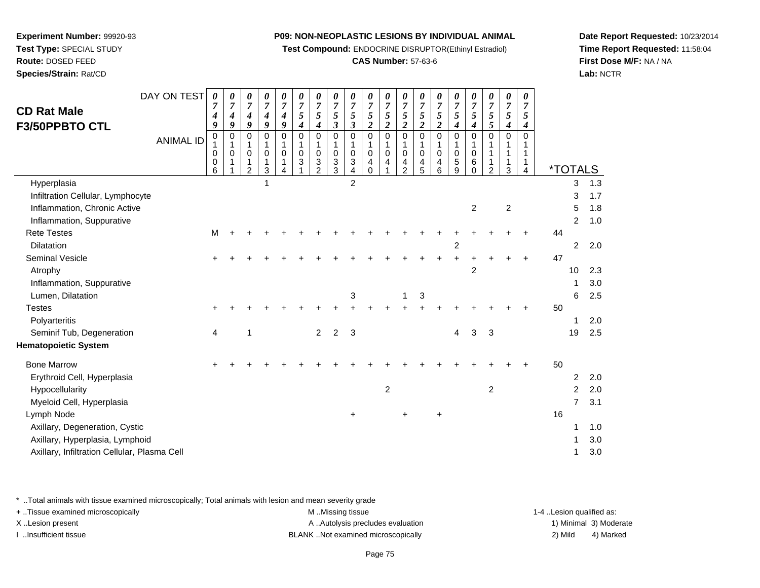**Test Compound:** ENDOCRINE DISRUPTOR(Ethinyl Estradiol)

#### **CAS Number:** 57-63-6

**Date Report Requested:** 10/23/2014**Time Report Requested:** 11:58:04**First Dose M/F:** NA / NA**Lab:** NCTR

| <b>CD Rat Male</b><br>F3/50PPBTO CTL         | DAY ON TEST<br><b>ANIMAL ID</b> | 0<br>7<br>4<br>9<br>$\mathbf 0$<br>0<br>0 | 0<br>$\overline{7}$<br>4<br>9<br>0<br>1<br>$\mathbf 0$<br>1 | 0<br>$\overline{7}$<br>4<br>9<br>$\Omega$<br>0<br>1 | 0<br>7<br>$\boldsymbol{4}$<br>9<br>$\Omega$<br>1<br>0<br>1 | 0<br>7<br>4<br>9<br>$\mathbf 0$<br>$\Omega$<br>1 | 0<br>7<br>$\mathfrak{s}$<br>4<br>$\mathbf 0$<br>1<br>$\Omega$<br>3 | 0<br>7<br>5<br>4<br>$\Omega$<br>$\mathbf 0$<br>3 | 0<br>$\overline{7}$<br>5<br>$\boldsymbol{\beta}$<br>$\Omega$<br>$\mathbf 0$<br>3 | 0<br>$\overline{7}$<br>5<br>$\boldsymbol{\beta}$<br>0<br>1<br>0<br>3 | 0<br>7<br>5<br>$\boldsymbol{2}$<br>$\pmb{0}$<br>1<br>$\mathbf 0$<br>4 | 0<br>7<br>5<br>$\boldsymbol{2}$<br>$\mathbf 0$<br>$\Omega$<br>4 | 0<br>7<br>5<br>$\boldsymbol{2}$<br>$\Omega$<br>$\Omega$<br>4 | 0<br>$\overline{7}$<br>5<br>$\overline{2}$<br>$\mathbf 0$<br>$\mathbf 0$<br>4 | 0<br>5<br>$\overline{c}$<br>$\Omega$<br>0<br>4 | 0<br>7<br>5<br>4<br>$\Omega$<br>0<br>5 | 0<br>$\overline{7}$<br>$\mathfrak{I}$<br>4<br>$\mathbf 0$<br>1<br>$\mathbf 0$<br>6 | 0<br>7<br>5<br>5<br>$\Omega$<br>1<br>1 | 0<br>$\overline{7}$<br>5<br>$\boldsymbol{4}$<br>$\Omega$ | 0<br>5<br>4<br>$\Omega$<br>1 |                       |                |     |
|----------------------------------------------|---------------------------------|-------------------------------------------|-------------------------------------------------------------|-----------------------------------------------------|------------------------------------------------------------|--------------------------------------------------|--------------------------------------------------------------------|--------------------------------------------------|----------------------------------------------------------------------------------|----------------------------------------------------------------------|-----------------------------------------------------------------------|-----------------------------------------------------------------|--------------------------------------------------------------|-------------------------------------------------------------------------------|------------------------------------------------|----------------------------------------|------------------------------------------------------------------------------------|----------------------------------------|----------------------------------------------------------|------------------------------|-----------------------|----------------|-----|
|                                              |                                 | 6                                         |                                                             | $\overline{2}$                                      | 3                                                          |                                                  |                                                                    | $\overline{2}$                                   | 3                                                                                | 4                                                                    | $\Omega$                                                              |                                                                 | $\mathcal{P}$                                                | 5                                                                             | 6                                              | 9                                      | $\Omega$                                                                           | $\overline{2}$                         | 3                                                        | 4                            | <i><b>*TOTALS</b></i> |                |     |
| Hyperplasia                                  |                                 |                                           |                                                             |                                                     |                                                            |                                                  |                                                                    |                                                  |                                                                                  | $\overline{2}$                                                       |                                                                       |                                                                 |                                                              |                                                                               |                                                |                                        |                                                                                    |                                        |                                                          |                              |                       | 3              | 1.3 |
| Infiltration Cellular, Lymphocyte            |                                 |                                           |                                                             |                                                     |                                                            |                                                  |                                                                    |                                                  |                                                                                  |                                                                      |                                                                       |                                                                 |                                                              |                                                                               |                                                |                                        |                                                                                    |                                        |                                                          |                              |                       | 3              | 1.7 |
| Inflammation, Chronic Active                 |                                 |                                           |                                                             |                                                     |                                                            |                                                  |                                                                    |                                                  |                                                                                  |                                                                      |                                                                       |                                                                 |                                                              |                                                                               |                                                |                                        | $\overline{c}$                                                                     |                                        | $\overline{2}$                                           |                              |                       | 5              | 1.8 |
| Inflammation, Suppurative                    |                                 |                                           |                                                             |                                                     |                                                            |                                                  |                                                                    |                                                  |                                                                                  |                                                                      |                                                                       |                                                                 |                                                              |                                                                               |                                                |                                        |                                                                                    |                                        |                                                          |                              |                       | $\overline{2}$ | 1.0 |
| <b>Rete Testes</b>                           |                                 | M                                         |                                                             |                                                     |                                                            |                                                  |                                                                    |                                                  |                                                                                  |                                                                      |                                                                       |                                                                 |                                                              |                                                                               |                                                |                                        |                                                                                    |                                        |                                                          |                              | 44                    |                |     |
| Dilatation                                   |                                 |                                           |                                                             |                                                     |                                                            |                                                  |                                                                    |                                                  |                                                                                  |                                                                      |                                                                       |                                                                 |                                                              |                                                                               |                                                | $\overline{\mathbf{c}}$                |                                                                                    |                                        |                                                          |                              |                       | $\overline{2}$ | 2.0 |
| <b>Seminal Vesicle</b>                       |                                 |                                           |                                                             |                                                     |                                                            |                                                  |                                                                    |                                                  |                                                                                  |                                                                      |                                                                       |                                                                 |                                                              |                                                                               |                                                |                                        |                                                                                    |                                        |                                                          | $\ddot{}$                    | 47                    |                |     |
| Atrophy                                      |                                 |                                           |                                                             |                                                     |                                                            |                                                  |                                                                    |                                                  |                                                                                  |                                                                      |                                                                       |                                                                 |                                                              |                                                                               |                                                |                                        | $\overline{c}$                                                                     |                                        |                                                          |                              |                       | 10             | 2.3 |
| Inflammation, Suppurative                    |                                 |                                           |                                                             |                                                     |                                                            |                                                  |                                                                    |                                                  |                                                                                  |                                                                      |                                                                       |                                                                 |                                                              |                                                                               |                                                |                                        |                                                                                    |                                        |                                                          |                              |                       |                | 3.0 |
| Lumen, Dilatation                            |                                 |                                           |                                                             |                                                     |                                                            |                                                  |                                                                    |                                                  |                                                                                  | 3                                                                    |                                                                       |                                                                 | 1                                                            | 3                                                                             |                                                |                                        |                                                                                    |                                        |                                                          |                              |                       | 6              | 2.5 |
| <b>Testes</b>                                |                                 |                                           |                                                             |                                                     |                                                            |                                                  |                                                                    |                                                  |                                                                                  |                                                                      |                                                                       |                                                                 |                                                              |                                                                               |                                                |                                        |                                                                                    |                                        |                                                          |                              | 50                    |                |     |
| Polyarteritis                                |                                 |                                           |                                                             |                                                     |                                                            |                                                  |                                                                    |                                                  |                                                                                  |                                                                      |                                                                       |                                                                 |                                                              |                                                                               |                                                |                                        |                                                                                    |                                        |                                                          |                              |                       | 1              | 2.0 |
| Seminif Tub, Degeneration                    |                                 | $\overline{4}$                            |                                                             |                                                     |                                                            |                                                  |                                                                    | $\overline{2}$                                   | $\overline{2}$                                                                   | 3                                                                    |                                                                       |                                                                 |                                                              |                                                                               |                                                | 4                                      | 3                                                                                  | 3                                      |                                                          |                              |                       | 19             | 2.5 |
| <b>Hematopoietic System</b>                  |                                 |                                           |                                                             |                                                     |                                                            |                                                  |                                                                    |                                                  |                                                                                  |                                                                      |                                                                       |                                                                 |                                                              |                                                                               |                                                |                                        |                                                                                    |                                        |                                                          |                              |                       |                |     |
| <b>Bone Marrow</b>                           |                                 |                                           |                                                             |                                                     |                                                            |                                                  |                                                                    |                                                  |                                                                                  |                                                                      |                                                                       |                                                                 |                                                              |                                                                               |                                                |                                        |                                                                                    |                                        |                                                          |                              | 50                    |                |     |
| Erythroid Cell, Hyperplasia                  |                                 |                                           |                                                             |                                                     |                                                            |                                                  |                                                                    |                                                  |                                                                                  |                                                                      |                                                                       |                                                                 |                                                              |                                                                               |                                                |                                        |                                                                                    |                                        |                                                          |                              |                       | $\overline{2}$ | 2.0 |
| Hypocellularity                              |                                 |                                           |                                                             |                                                     |                                                            |                                                  |                                                                    |                                                  |                                                                                  |                                                                      |                                                                       | $\overline{c}$                                                  |                                                              |                                                                               |                                                |                                        |                                                                                    | $\overline{c}$                         |                                                          |                              |                       | 2              | 2.0 |
| Myeloid Cell, Hyperplasia                    |                                 |                                           |                                                             |                                                     |                                                            |                                                  |                                                                    |                                                  |                                                                                  |                                                                      |                                                                       |                                                                 |                                                              |                                                                               |                                                |                                        |                                                                                    |                                        |                                                          |                              |                       | 7              | 3.1 |
| Lymph Node                                   |                                 |                                           |                                                             |                                                     |                                                            |                                                  |                                                                    |                                                  |                                                                                  | +                                                                    |                                                                       |                                                                 |                                                              |                                                                               | +                                              |                                        |                                                                                    |                                        |                                                          |                              | 16                    |                |     |
| Axillary, Degeneration, Cystic               |                                 |                                           |                                                             |                                                     |                                                            |                                                  |                                                                    |                                                  |                                                                                  |                                                                      |                                                                       |                                                                 |                                                              |                                                                               |                                                |                                        |                                                                                    |                                        |                                                          |                              |                       | 1              | 1.0 |
| Axillary, Hyperplasia, Lymphoid              |                                 |                                           |                                                             |                                                     |                                                            |                                                  |                                                                    |                                                  |                                                                                  |                                                                      |                                                                       |                                                                 |                                                              |                                                                               |                                                |                                        |                                                                                    |                                        |                                                          |                              |                       |                | 3.0 |
| Axillary, Infiltration Cellular, Plasma Cell |                                 |                                           |                                                             |                                                     |                                                            |                                                  |                                                                    |                                                  |                                                                                  |                                                                      |                                                                       |                                                                 |                                                              |                                                                               |                                                |                                        |                                                                                    |                                        |                                                          |                              |                       |                | 3.0 |
|                                              |                                 |                                           |                                                             |                                                     |                                                            |                                                  |                                                                    |                                                  |                                                                                  |                                                                      |                                                                       |                                                                 |                                                              |                                                                               |                                                |                                        |                                                                                    |                                        |                                                          |                              |                       |                |     |

\* ..Total animals with tissue examined microscopically; Total animals with lesion and mean severity grade

| + Tissue examined microscopically | M Missing tissue                  | 1-4 Lesion qualified as: |                        |
|-----------------------------------|-----------------------------------|--------------------------|------------------------|
| X Lesion present                  | A Autolysis precludes evaluation  |                          | 1) Minimal 3) Moderate |
| Insufficient tissue               | BLANKNot examined microscopically | 2) Mild                  | 4) Marked              |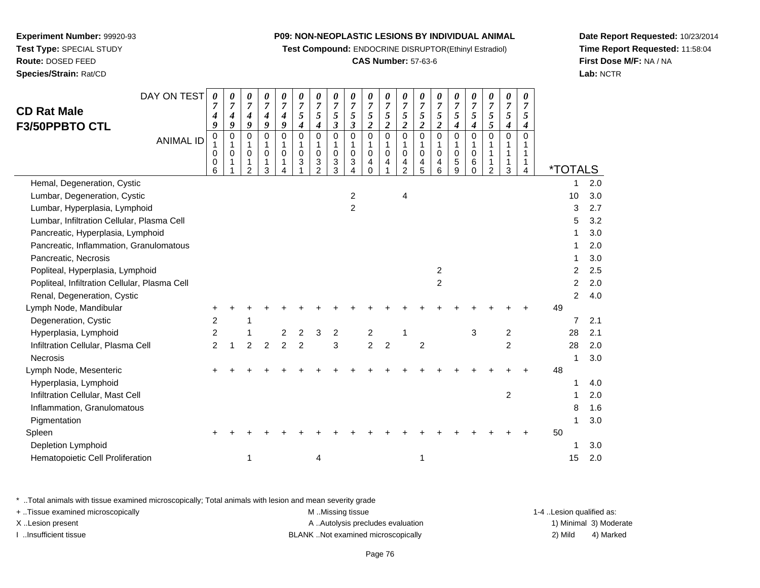**Test Compound:** ENDOCRINE DISRUPTOR(Ethinyl Estradiol)

#### **CAS Number:** 57-63-6

*0 7*

*0 7*

*0 7*

*0 7*

*0 7*

*0 7*

*0 7*

*0 7*

*0 7*

**Date Report Requested:** 10/23/2014**Time Report Requested:** 11:58:04**First Dose M/F:** NA / NA**Lab:** NCTR

| <b>CD Rat Male</b>                            | 4<br>$\boldsymbol{g}$ | 4<br>$\boldsymbol{g}$ | 4<br>9                   | 7<br>4<br>9                                 | 4<br>9                          | 5<br>$\boldsymbol{4}$   | 5<br>4                                     | 5<br>$\boldsymbol{\beta}$               | 5<br>$\boldsymbol{\mathfrak{z}}$                    | 5<br>$\boldsymbol{2}$                  | 5<br>$\boldsymbol{2}$                             | 5<br>$\overline{c}$                              | 5<br>$\boldsymbol{2}$           | 5<br>$\overline{\mathbf{c}}$ | $\mathfrak{s}$<br>$\boldsymbol{4}$               | 5<br>$\boldsymbol{4}$                         | 5<br>5                                         | 5<br>4                       | 7<br>5<br>4                  |                       |                |     |
|-----------------------------------------------|-----------------------|-----------------------|--------------------------|---------------------------------------------|---------------------------------|-------------------------|--------------------------------------------|-----------------------------------------|-----------------------------------------------------|----------------------------------------|---------------------------------------------------|--------------------------------------------------|---------------------------------|------------------------------|--------------------------------------------------|-----------------------------------------------|------------------------------------------------|------------------------------|------------------------------|-----------------------|----------------|-----|
| F3/50PPBTO CTL<br><b>ANIMAL ID</b>            | 0<br>0<br>0<br>6      | 0<br>1<br>0           | 0<br>0<br>$\mathfrak{p}$ | $\Omega$<br>$\mathbf 1$<br>$\mathbf 0$<br>3 | $\mathbf 0$<br>$\mathbf 0$<br>4 | $\Omega$<br>1<br>0<br>3 | $\mathbf 0$<br>$\mathbf{1}$<br>0<br>3<br>2 | $\Omega$<br>$\mathbf{1}$<br>0<br>3<br>3 | $\mathbf 0$<br>$\mathbf 1$<br>$\mathbf 0$<br>3<br>4 | $\mathbf 0$<br>1<br>0<br>4<br>$\Omega$ | $\mathbf 0$<br>1<br>$\mathbf 0$<br>$\overline{4}$ | $\Omega$<br>1<br>$\Omega$<br>4<br>$\mathfrak{p}$ | $\mathbf 0$<br>1<br>0<br>4<br>5 | 0<br>0<br>4<br>6             | $\mathbf 0$<br>1<br>$\mathbf 0$<br>$\frac{5}{9}$ | $\Omega$<br>1<br>$\mathbf 0$<br>6<br>$\Omega$ | $\Omega$<br>1<br>$\mathbf 1$<br>$\overline{2}$ | $\Omega$<br>1<br>1<br>1<br>3 | $\Omega$<br>1<br>1<br>1<br>4 | <i><b>*TOTALS</b></i> |                |     |
| Hemal, Degeneration, Cystic                   |                       |                       |                          |                                             |                                 |                         |                                            |                                         |                                                     |                                        |                                                   |                                                  |                                 |                              |                                                  |                                               |                                                |                              |                              |                       | 1              | 2.0 |
| Lumbar, Degeneration, Cystic                  |                       |                       |                          |                                             |                                 |                         |                                            |                                         | $\overline{c}$                                      |                                        |                                                   | 4                                                |                                 |                              |                                                  |                                               |                                                |                              |                              |                       | 10             | 3.0 |
| Lumbar, Hyperplasia, Lymphoid                 |                       |                       |                          |                                             |                                 |                         |                                            |                                         | $\overline{c}$                                      |                                        |                                                   |                                                  |                                 |                              |                                                  |                                               |                                                |                              |                              |                       | 3              | 2.7 |
| Lumbar, Infiltration Cellular, Plasma Cell    |                       |                       |                          |                                             |                                 |                         |                                            |                                         |                                                     |                                        |                                                   |                                                  |                                 |                              |                                                  |                                               |                                                |                              |                              |                       | 5              | 3.2 |
| Pancreatic, Hyperplasia, Lymphoid             |                       |                       |                          |                                             |                                 |                         |                                            |                                         |                                                     |                                        |                                                   |                                                  |                                 |                              |                                                  |                                               |                                                |                              |                              |                       |                | 3.0 |
| Pancreatic, Inflammation, Granulomatous       |                       |                       |                          |                                             |                                 |                         |                                            |                                         |                                                     |                                        |                                                   |                                                  |                                 |                              |                                                  |                                               |                                                |                              |                              |                       | 1              | 2.0 |
| Pancreatic, Necrosis                          |                       |                       |                          |                                             |                                 |                         |                                            |                                         |                                                     |                                        |                                                   |                                                  |                                 |                              |                                                  |                                               |                                                |                              |                              |                       | 1              | 3.0 |
| Popliteal, Hyperplasia, Lymphoid              |                       |                       |                          |                                             |                                 |                         |                                            |                                         |                                                     |                                        |                                                   |                                                  |                                 | $\overline{c}$               |                                                  |                                               |                                                |                              |                              |                       | 2              | 2.5 |
| Popliteal, Infiltration Cellular, Plasma Cell |                       |                       |                          |                                             |                                 |                         |                                            |                                         |                                                     |                                        |                                                   |                                                  |                                 | $\overline{2}$               |                                                  |                                               |                                                |                              |                              |                       | 2              | 2.0 |
| Renal, Degeneration, Cystic                   |                       |                       |                          |                                             |                                 |                         |                                            |                                         |                                                     |                                        |                                                   |                                                  |                                 |                              |                                                  |                                               |                                                |                              |                              |                       | $\overline{2}$ | 4.0 |
| Lymph Node, Mandibular                        |                       |                       |                          |                                             |                                 |                         |                                            |                                         |                                                     |                                        |                                                   |                                                  |                                 |                              |                                                  |                                               |                                                |                              |                              | 49                    |                |     |
| Degeneration, Cystic                          | 2                     |                       |                          |                                             |                                 |                         |                                            |                                         |                                                     |                                        |                                                   |                                                  |                                 |                              |                                                  |                                               |                                                |                              |                              |                       | 7              | 2.1 |
| Hyperplasia, Lymphoid                         | 2                     |                       | 1                        |                                             | $\overline{c}$                  | 2                       | 3                                          | 2                                       |                                                     | $\overline{c}$                         |                                                   | 1                                                |                                 |                              |                                                  | 3                                             |                                                | $\overline{c}$               |                              |                       | 28             | 2.1 |
| Infiltration Cellular, Plasma Cell            | $\overline{2}$        | 1                     | $\overline{2}$           | $\overline{c}$                              | $\overline{2}$                  | 2                       |                                            | 3                                       |                                                     | $\overline{2}$                         | $\overline{2}$                                    |                                                  | $\overline{2}$                  |                              |                                                  |                                               |                                                | $\overline{2}$               |                              |                       | 28             | 2.0 |
| <b>Necrosis</b>                               |                       |                       |                          |                                             |                                 |                         |                                            |                                         |                                                     |                                        |                                                   |                                                  |                                 |                              |                                                  |                                               |                                                |                              |                              |                       | 1              | 3.0 |
| Lymph Node, Mesenteric                        |                       |                       |                          |                                             |                                 |                         |                                            |                                         |                                                     |                                        |                                                   |                                                  |                                 |                              |                                                  |                                               |                                                |                              |                              | 48                    |                |     |
| Hyperplasia, Lymphoid                         |                       |                       |                          |                                             |                                 |                         |                                            |                                         |                                                     |                                        |                                                   |                                                  |                                 |                              |                                                  |                                               |                                                |                              |                              |                       | 1              | 4.0 |
| Infiltration Cellular, Mast Cell              |                       |                       |                          |                                             |                                 |                         |                                            |                                         |                                                     |                                        |                                                   |                                                  |                                 |                              |                                                  |                                               |                                                | $\overline{2}$               |                              |                       |                | 2.0 |
| Inflammation, Granulomatous                   |                       |                       |                          |                                             |                                 |                         |                                            |                                         |                                                     |                                        |                                                   |                                                  |                                 |                              |                                                  |                                               |                                                |                              |                              |                       | 8              | 1.6 |
| Pigmentation                                  |                       |                       |                          |                                             |                                 |                         |                                            |                                         |                                                     |                                        |                                                   |                                                  |                                 |                              |                                                  |                                               |                                                |                              |                              |                       | 1              | 3.0 |
| Spleen                                        |                       |                       |                          |                                             |                                 |                         |                                            |                                         |                                                     |                                        |                                                   |                                                  |                                 |                              |                                                  |                                               |                                                |                              |                              | 50                    |                |     |
| Depletion Lymphoid                            |                       |                       |                          |                                             |                                 |                         |                                            |                                         |                                                     |                                        |                                                   |                                                  |                                 |                              |                                                  |                                               |                                                |                              |                              |                       | 1              | 3.0 |
| Hematopoietic Cell Proliferation              |                       |                       |                          |                                             |                                 |                         | 4                                          |                                         |                                                     |                                        |                                                   |                                                  | 1                               |                              |                                                  |                                               |                                                |                              |                              |                       | 15             | 2.0 |
|                                               |                       |                       |                          |                                             |                                 |                         |                                            |                                         |                                                     |                                        |                                                   |                                                  |                                 |                              |                                                  |                                               |                                                |                              |                              |                       |                |     |

\* ..Total animals with tissue examined microscopically; Total animals with lesion and mean severity grade

DAY ON TEST *0 7*

*0 7*

*0 7*

*0 7*

*0 7*

*0 7*

*0 7*

*0 7*

*0 7*

*0 7*

| + Tissue examined microscopically | M Missing tissue                   | 1-4 Lesion qualified as: |                        |
|-----------------------------------|------------------------------------|--------------------------|------------------------|
| X Lesion present                  | A Autolysis precludes evaluation   |                          | 1) Minimal 3) Moderate |
| Insufficient tissue               | BLANK Not examined microscopically | 2) Mild                  | 4) Marked              |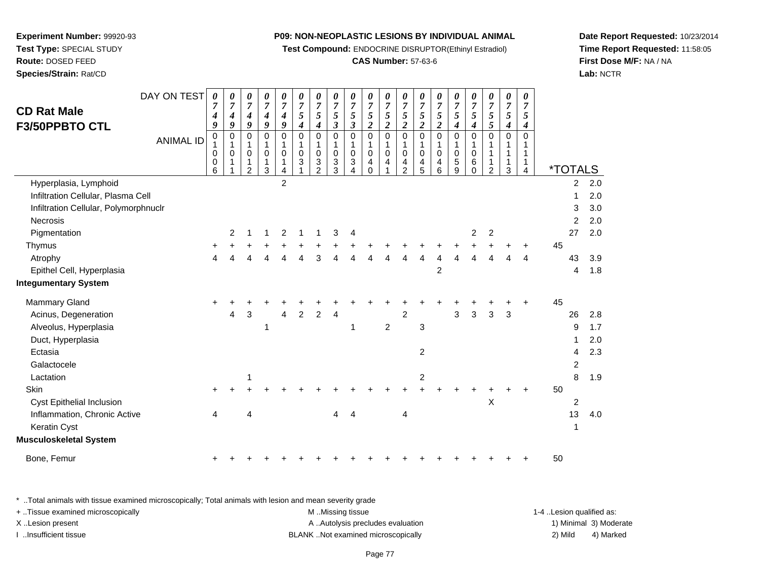**Test Compound:** ENDOCRINE DISRUPTOR(Ethinyl Estradiol)

#### **CAS Number:** 57-63-6

**Date Report Requested:** 10/23/2014**Time Report Requested:** 11:58:05**First Dose M/F:** NA / NA**Lab:** NCTR

| <b>CD Rat Male</b><br><b>F3/50PPBTO CTL</b>                                                                      | DAY ON TEST<br><b>ANIMAL ID</b> | $\boldsymbol{\theta}$<br>7<br>4<br>9<br>0<br>0<br>0<br>6 | 0<br>7<br>4<br>9<br>$\mathbf 0$<br>0 | 0<br>$\overline{7}$<br>4<br>9<br>0<br>1<br>0<br>1<br>2 | 0<br>$\overline{7}$<br>4<br>9<br>0<br>1<br>$\mathbf 0$<br>1<br>3 | 0<br>$\overline{7}$<br>4<br>9<br>$\mathbf 0$<br>1<br>$\mathbf 0$<br>1<br>4 | 0<br>$\overline{7}$<br>5<br>$\boldsymbol{4}$<br>$\mathbf 0$<br>1<br>0<br>3 | 0<br>7<br>5<br>4<br>$\mathbf 0$<br>$\mathbf 0$<br>3<br>2 | $\pmb{\theta}$<br>$\overline{7}$<br>5<br>$\boldsymbol{\beta}$<br>$\mathbf 0$<br>1<br>$\mathbf 0$<br>$\sqrt{3}$<br>3 | 0<br>$\overline{7}$<br>5<br>$\overline{\mathbf{3}}$<br>$\mathbf 0$<br>1<br>$\mathsf{O}\xspace$<br>3 | 0<br>$\overline{7}$<br>$\mathfrak{s}$<br>$\overline{c}$<br>$\mathbf 0$<br>1<br>$\mathbf 0$<br>4<br>$\Omega$ | 0<br>$\overline{7}$<br>$\overline{5}$<br>$\overline{c}$<br>$\mathbf 0$<br>1<br>$\pmb{0}$<br>4 | 0<br>$\overline{7}$<br>5<br>$\boldsymbol{2}$<br>$\mathbf 0$<br>$\mathbf 0$<br>4<br>$\overline{2}$ | 0<br>$\overline{7}$<br>5<br>$\overline{c}$<br>$\mathbf 0$<br>0<br>4<br>5 | 0<br>7<br>5<br>$\overline{\mathbf{c}}$<br>$\mathbf 0$<br>0<br>4<br>6 | 0<br>7<br>5<br>4<br>$\mathbf 0$<br>$\pmb{0}$<br>5<br>9 | 0<br>7<br>5<br>4<br>0<br>0<br>6<br>0 | 0<br>7<br>5<br>5<br>0<br>1<br>1<br>$\overline{c}$ | 0<br>$\overline{7}$<br>5<br>4<br>$\mathbf 0$<br>1<br>$\mathbf 1$<br>$\mathbf 1$<br>$\mathbf{3}$ | 0<br>$\overline{7}$<br>5<br>4<br>$\Omega$<br>1<br>1<br>4 | <i><b>*TOTALS</b></i> |                               |                          |
|------------------------------------------------------------------------------------------------------------------|---------------------------------|----------------------------------------------------------|--------------------------------------|--------------------------------------------------------|------------------------------------------------------------------|----------------------------------------------------------------------------|----------------------------------------------------------------------------|----------------------------------------------------------|---------------------------------------------------------------------------------------------------------------------|-----------------------------------------------------------------------------------------------------|-------------------------------------------------------------------------------------------------------------|-----------------------------------------------------------------------------------------------|---------------------------------------------------------------------------------------------------|--------------------------------------------------------------------------|----------------------------------------------------------------------|--------------------------------------------------------|--------------------------------------|---------------------------------------------------|-------------------------------------------------------------------------------------------------|----------------------------------------------------------|-----------------------|-------------------------------|--------------------------|
| Hyperplasia, Lymphoid<br>Infiltration Cellular, Plasma Cell<br>Infiltration Cellular, Polymorphnuclr<br>Necrosis |                                 |                                                          |                                      |                                                        |                                                                  | $\overline{2}$                                                             |                                                                            |                                                          |                                                                                                                     |                                                                                                     |                                                                                                             |                                                                                               |                                                                                                   |                                                                          |                                                                      |                                                        |                                      |                                                   |                                                                                                 |                                                          |                       | 2<br>1<br>3<br>$\overline{2}$ | 2.0<br>2.0<br>3.0<br>2.0 |
| Pigmentation                                                                                                     |                                 |                                                          | 2                                    |                                                        |                                                                  | 2                                                                          |                                                                            |                                                          | 3                                                                                                                   | 4                                                                                                   |                                                                                                             |                                                                                               |                                                                                                   |                                                                          |                                                                      |                                                        | 2                                    | 2                                                 |                                                                                                 |                                                          |                       | 27                            | 2.0                      |
| Thymus                                                                                                           |                                 | +                                                        |                                      |                                                        |                                                                  |                                                                            |                                                                            |                                                          |                                                                                                                     |                                                                                                     |                                                                                                             |                                                                                               |                                                                                                   |                                                                          |                                                                      |                                                        |                                      |                                                   |                                                                                                 |                                                          | 45                    |                               |                          |
| Atrophy                                                                                                          |                                 | 4                                                        |                                      |                                                        |                                                                  | 4                                                                          | 4                                                                          | 3                                                        | 4                                                                                                                   | 4                                                                                                   |                                                                                                             |                                                                                               | 4                                                                                                 | 4                                                                        | 4                                                                    | 4                                                      | 4                                    |                                                   |                                                                                                 | 4                                                        |                       | 43                            | 3.9                      |
| Epithel Cell, Hyperplasia                                                                                        |                                 |                                                          |                                      |                                                        |                                                                  |                                                                            |                                                                            |                                                          |                                                                                                                     |                                                                                                     |                                                                                                             |                                                                                               |                                                                                                   |                                                                          | $\overline{c}$                                                       |                                                        |                                      |                                                   |                                                                                                 |                                                          |                       | $\overline{4}$                | 1.8                      |
| <b>Integumentary System</b>                                                                                      |                                 |                                                          |                                      |                                                        |                                                                  |                                                                            |                                                                            |                                                          |                                                                                                                     |                                                                                                     |                                                                                                             |                                                                                               |                                                                                                   |                                                                          |                                                                      |                                                        |                                      |                                                   |                                                                                                 |                                                          |                       |                               |                          |
| Mammary Gland                                                                                                    |                                 | $\ddot{}$                                                |                                      |                                                        |                                                                  |                                                                            |                                                                            |                                                          |                                                                                                                     |                                                                                                     |                                                                                                             |                                                                                               |                                                                                                   |                                                                          |                                                                      |                                                        |                                      |                                                   |                                                                                                 | +                                                        | 45                    |                               |                          |
| Acinus, Degeneration                                                                                             |                                 |                                                          | 4                                    | $\mathbf{3}$                                           |                                                                  | 4                                                                          | $\overline{2}$                                                             | $\overline{2}$                                           | $\overline{4}$                                                                                                      |                                                                                                     |                                                                                                             |                                                                                               | $\overline{c}$                                                                                    |                                                                          |                                                                      | 3                                                      | 3                                    | 3                                                 | 3                                                                                               |                                                          |                       | 26                            | 2.8                      |
| Alveolus, Hyperplasia                                                                                            |                                 |                                                          |                                      |                                                        | 1                                                                |                                                                            |                                                                            |                                                          |                                                                                                                     | 1                                                                                                   |                                                                                                             | $\overline{c}$                                                                                |                                                                                                   | 3                                                                        |                                                                      |                                                        |                                      |                                                   |                                                                                                 |                                                          |                       | 9                             | 1.7                      |
| Duct, Hyperplasia                                                                                                |                                 |                                                          |                                      |                                                        |                                                                  |                                                                            |                                                                            |                                                          |                                                                                                                     |                                                                                                     |                                                                                                             |                                                                                               |                                                                                                   |                                                                          |                                                                      |                                                        |                                      |                                                   |                                                                                                 |                                                          |                       | 1                             | 2.0                      |
| Ectasia                                                                                                          |                                 |                                                          |                                      |                                                        |                                                                  |                                                                            |                                                                            |                                                          |                                                                                                                     |                                                                                                     |                                                                                                             |                                                                                               |                                                                                                   | 2                                                                        |                                                                      |                                                        |                                      |                                                   |                                                                                                 |                                                          |                       | 4                             | 2.3                      |
| Galactocele                                                                                                      |                                 |                                                          |                                      |                                                        |                                                                  |                                                                            |                                                                            |                                                          |                                                                                                                     |                                                                                                     |                                                                                                             |                                                                                               |                                                                                                   |                                                                          |                                                                      |                                                        |                                      |                                                   |                                                                                                 |                                                          |                       | $\overline{c}$                |                          |
| Lactation                                                                                                        |                                 |                                                          |                                      | 1                                                      |                                                                  |                                                                            |                                                                            |                                                          |                                                                                                                     |                                                                                                     |                                                                                                             |                                                                                               |                                                                                                   | $\overline{c}$                                                           |                                                                      |                                                        |                                      |                                                   |                                                                                                 |                                                          |                       | 8                             | 1.9                      |
| <b>Skin</b>                                                                                                      |                                 |                                                          |                                      |                                                        |                                                                  |                                                                            |                                                                            |                                                          |                                                                                                                     |                                                                                                     |                                                                                                             |                                                                                               |                                                                                                   |                                                                          |                                                                      |                                                        |                                      |                                                   |                                                                                                 |                                                          | 50                    |                               |                          |
| Cyst Epithelial Inclusion                                                                                        |                                 |                                                          |                                      |                                                        |                                                                  |                                                                            |                                                                            |                                                          |                                                                                                                     |                                                                                                     |                                                                                                             |                                                                                               |                                                                                                   |                                                                          |                                                                      |                                                        |                                      | $\boldsymbol{\mathsf{X}}$                         |                                                                                                 |                                                          |                       | $\overline{c}$                |                          |
| Inflammation, Chronic Active                                                                                     |                                 | 4                                                        |                                      | 4                                                      |                                                                  |                                                                            |                                                                            |                                                          | Δ                                                                                                                   |                                                                                                     |                                                                                                             |                                                                                               | 4                                                                                                 |                                                                          |                                                                      |                                                        |                                      |                                                   |                                                                                                 |                                                          |                       | 13                            | 4.0                      |
| Keratin Cyst                                                                                                     |                                 |                                                          |                                      |                                                        |                                                                  |                                                                            |                                                                            |                                                          |                                                                                                                     |                                                                                                     |                                                                                                             |                                                                                               |                                                                                                   |                                                                          |                                                                      |                                                        |                                      |                                                   |                                                                                                 |                                                          |                       | 1                             |                          |
| Musculoskeletal System                                                                                           |                                 |                                                          |                                      |                                                        |                                                                  |                                                                            |                                                                            |                                                          |                                                                                                                     |                                                                                                     |                                                                                                             |                                                                                               |                                                                                                   |                                                                          |                                                                      |                                                        |                                      |                                                   |                                                                                                 |                                                          |                       |                               |                          |
| Bone, Femur                                                                                                      |                                 | ٠                                                        |                                      |                                                        |                                                                  |                                                                            |                                                                            |                                                          |                                                                                                                     |                                                                                                     |                                                                                                             |                                                                                               |                                                                                                   |                                                                          |                                                                      |                                                        |                                      |                                                   |                                                                                                 |                                                          | 50                    |                               |                          |
|                                                                                                                  |                                 |                                                          |                                      |                                                        |                                                                  |                                                                            |                                                                            |                                                          |                                                                                                                     |                                                                                                     |                                                                                                             |                                                                                               |                                                                                                   |                                                                          |                                                                      |                                                        |                                      |                                                   |                                                                                                 |                                                          |                       |                               |                          |

\* ..Total animals with tissue examined microscopically; Total animals with lesion and mean severity grade

| + Tissue examined microscopically | M Missing tissue                  | 1-4 Lesion qualified as: |                        |
|-----------------------------------|-----------------------------------|--------------------------|------------------------|
| X Lesion present                  | A Autolysis precludes evaluation  |                          | 1) Minimal 3) Moderate |
| Insufficient tissue               | BLANKNot examined microscopically | 2) Mild                  | 4) Marked              |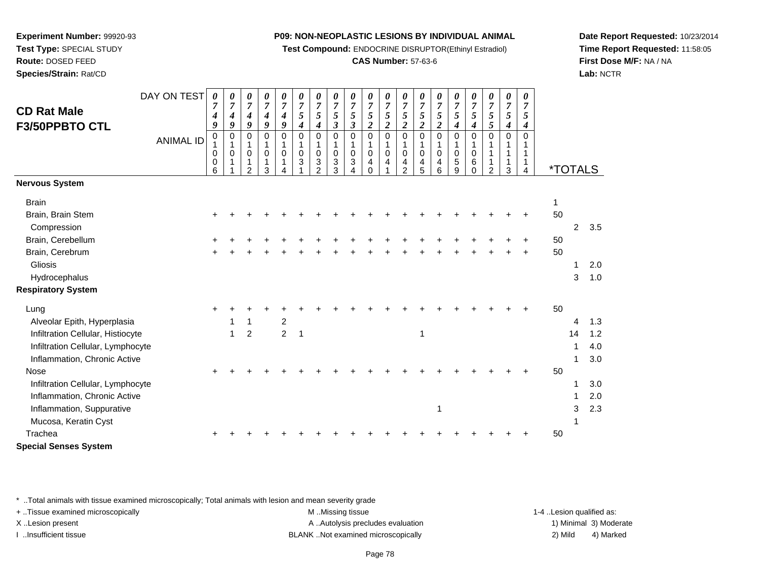**Test Compound:** ENDOCRINE DISRUPTOR(Ethinyl Estradiol)

#### **CAS Number:** 57-63-6

**Date Report Requested:** 10/23/2014**Time Report Requested:** 11:58:05**First Dose M/F:** NA / NA**Lab:** NCTR

| <b>CD Rat Male</b><br>F3/50PPBTO CTL                                                                                                          | DAY ON TEST<br><b>ANIMAL ID</b> | 0<br>7<br>4<br>9<br>0<br>0<br>0<br>6 | 0<br>7<br>4<br>9<br>$\mathbf 0$<br>$\mathbf{1}$<br>0 | $\pmb{\theta}$<br>$\overline{7}$<br>$\boldsymbol{4}$<br>9<br>0<br>0<br>$\overline{2}$ | 0<br>$\overline{7}$<br>$\boldsymbol{4}$<br>9<br>0<br>1<br>$\mathbf 0$<br>1<br>3 | 0<br>$\overline{7}$<br>4<br>9<br>0<br>$\mathbf 0$<br>Δ | 0<br>7<br>5<br>4<br>$\Omega$<br>$\mathbf 0$<br>3 | 0<br>$\overline{7}$<br>5<br>4<br>0<br>0<br>3<br>$\mathfrak{p}$ | 0<br>$\overline{7}$<br>$\mathfrak{s}$<br>$\mathfrak{z}$<br>$\mathbf 0$<br>$\mathbf{1}$<br>0<br>3<br>3 | 0<br>$\overline{7}$<br>5<br>$\boldsymbol{\beta}$<br>$\mathbf 0$<br>1<br>$\mathbf 0$<br>3<br>4 | 0<br>$\overline{7}$<br>5<br>$\overline{2}$<br>$\mathbf 0$<br>$\mathbf{1}$<br>$\mathbf 0$<br>4<br>$\Omega$ | 0<br>$\overline{7}$<br>5<br>$\overline{c}$<br>0<br>1<br>$\mathbf 0$<br>4 | 0<br>7<br>5<br>$\boldsymbol{2}$<br>$\mathbf 0$<br>0<br>4<br>$\overline{2}$ | 0<br>$\overline{7}$<br>5<br>2<br>0<br>1<br>0<br>4<br>5 | 0<br>$\overline{7}$<br>5<br>$\overline{\mathbf{c}}$<br>$\mathbf 0$<br>1<br>$\mathbf 0$<br>4<br>6 | 0<br>$\overline{7}$<br>5<br>4<br>$\Omega$<br>1<br>$\mathbf 0$<br>5<br>9 | 0<br>7<br>5<br>4<br>$\Omega$<br>$\mathbf 0$<br>6<br>$\Omega$ | 0<br>$\overline{7}$<br>5<br>5<br>$\Omega$<br>$\mathbf{1}$<br>$\overline{2}$ | 0<br>$\overline{7}$<br>5<br>4<br>0<br>1<br>1<br>1<br>3 | 0<br>7<br>5<br>4<br>$\Omega$<br>1<br>4 | <i><b>*TOTALS</b></i> |                  |                            |
|-----------------------------------------------------------------------------------------------------------------------------------------------|---------------------------------|--------------------------------------|------------------------------------------------------|---------------------------------------------------------------------------------------|---------------------------------------------------------------------------------|--------------------------------------------------------|--------------------------------------------------|----------------------------------------------------------------|-------------------------------------------------------------------------------------------------------|-----------------------------------------------------------------------------------------------|-----------------------------------------------------------------------------------------------------------|--------------------------------------------------------------------------|----------------------------------------------------------------------------|--------------------------------------------------------|--------------------------------------------------------------------------------------------------|-------------------------------------------------------------------------|--------------------------------------------------------------|-----------------------------------------------------------------------------|--------------------------------------------------------|----------------------------------------|-----------------------|------------------|----------------------------|
| Nervous System                                                                                                                                |                                 |                                      |                                                      |                                                                                       |                                                                                 |                                                        |                                                  |                                                                |                                                                                                       |                                                                                               |                                                                                                           |                                                                          |                                                                            |                                                        |                                                                                                  |                                                                         |                                                              |                                                                             |                                                        |                                        |                       |                  |                            |
| <b>Brain</b><br>Brain, Brain Stem<br>Compression                                                                                              |                                 |                                      |                                                      |                                                                                       |                                                                                 |                                                        |                                                  |                                                                |                                                                                                       |                                                                                               |                                                                                                           |                                                                          |                                                                            |                                                        |                                                                                                  |                                                                         |                                                              |                                                                             |                                                        |                                        | 1<br>50               | 2                | 3.5                        |
| Brain, Cerebellum<br>Brain, Cerebrum<br><b>Gliosis</b>                                                                                        |                                 |                                      |                                                      |                                                                                       |                                                                                 |                                                        |                                                  |                                                                |                                                                                                       |                                                                                               |                                                                                                           |                                                                          |                                                                            |                                                        |                                                                                                  |                                                                         |                                                              |                                                                             |                                                        | $\ddot{}$                              | 50<br>50              | 1                | 2.0                        |
| Hydrocephalus<br><b>Respiratory System</b>                                                                                                    |                                 |                                      |                                                      |                                                                                       |                                                                                 |                                                        |                                                  |                                                                |                                                                                                       |                                                                                               |                                                                                                           |                                                                          |                                                                            |                                                        |                                                                                                  |                                                                         |                                                              |                                                                             |                                                        |                                        |                       | 3                | 1.0                        |
| Lung<br>Alveolar Epith, Hyperplasia<br>Infiltration Cellular, Histiocyte<br>Infiltration Cellular, Lymphocyte<br>Inflammation, Chronic Active |                                 | $\pm$                                | 1<br>1                                               | 1<br>$\overline{2}$                                                                   |                                                                                 | $\overline{c}$<br>$\overline{2}$                       | $\mathbf{1}$                                     |                                                                |                                                                                                       |                                                                                               |                                                                                                           |                                                                          |                                                                            | $\mathbf{1}$                                           |                                                                                                  |                                                                         |                                                              |                                                                             |                                                        |                                        | 50                    | 4<br>14<br>1     | 1.3<br>$1.2$<br>4.0<br>3.0 |
| Nose<br>Infiltration Cellular, Lymphocyte<br>Inflammation, Chronic Active<br>Inflammation, Suppurative<br>Mucosa, Keratin Cyst                |                                 |                                      |                                                      |                                                                                       |                                                                                 |                                                        |                                                  |                                                                |                                                                                                       |                                                                                               |                                                                                                           |                                                                          |                                                                            |                                                        | 1                                                                                                |                                                                         |                                                              |                                                                             |                                                        |                                        | 50                    | 1<br>1<br>3<br>1 | 3.0<br>2.0<br>2.3          |
| Trachea                                                                                                                                       |                                 |                                      |                                                      |                                                                                       |                                                                                 |                                                        |                                                  |                                                                |                                                                                                       |                                                                                               |                                                                                                           |                                                                          |                                                                            |                                                        |                                                                                                  |                                                                         |                                                              |                                                                             |                                                        |                                        | 50                    |                  |                            |
| <b>Special Senses System</b>                                                                                                                  |                                 |                                      |                                                      |                                                                                       |                                                                                 |                                                        |                                                  |                                                                |                                                                                                       |                                                                                               |                                                                                                           |                                                                          |                                                                            |                                                        |                                                                                                  |                                                                         |                                                              |                                                                             |                                                        |                                        |                       |                  |                            |

\* ..Total animals with tissue examined microscopically; Total animals with lesion and mean severity grade

**Experiment Number:** 99920-93**Test Type:** SPECIAL STUDY**Route:** DOSED FEED**Species/Strain:** Rat/CD

+ ..Tissue examined microscopically examined microscopically examined as:  $M$  ..Missing tissue 1-4 ..Lesion qualified as: X..Lesion present **A ..Autolysis precludes evaluation** A ..Autolysis precludes evaluation 1) Minimal 3) Moderate

I ..Insufficient tissue BLANK ..Not examined microscopically 2) Mild 4) Marked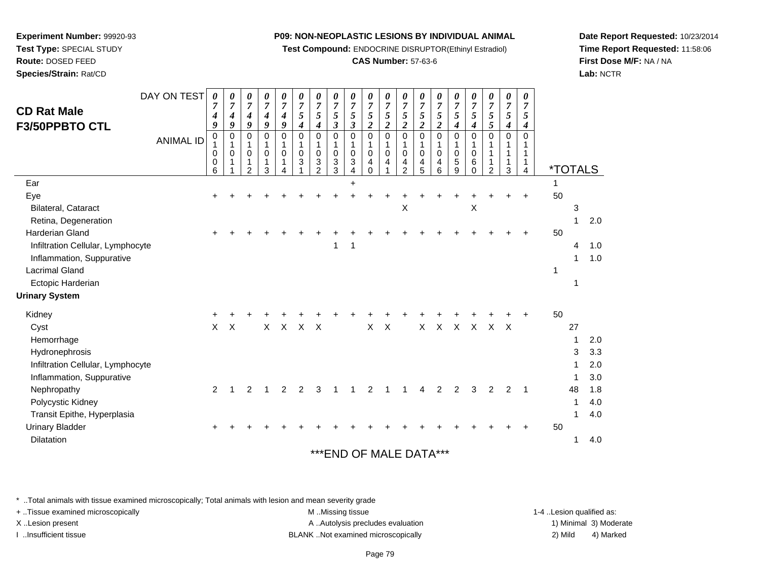**Test Compound:** ENDOCRINE DISRUPTOR(Ethinyl Estradiol)

#### **CAS Number:** 57-63-6

**Date Report Requested:** 10/23/2014**Time Report Requested:** 11:58:06**First Dose M/F:** NA / NA**Lab:** NCTR

| <b>CD Rat Male</b><br><b>F3/50PPBTO CTL</b> | DAY ON TEST<br><b>ANIMAL ID</b> | 0<br>4<br>9<br>0<br>0<br>0<br>6 | 0<br>4<br>9<br>0<br>0 | 0<br>$\overline{7}$<br>4<br>9<br>0<br>0<br>1<br>2 | 0<br>7<br>4<br>9<br>0<br>0<br>1<br>3 | 0<br>$\boldsymbol{4}$<br>9<br>$\Omega$<br>1<br>$\mathbf 0$<br>1 | 0<br>5<br>$\boldsymbol{4}$<br>$\Omega$<br>0<br>3 | 0<br>7<br>5<br>$\boldsymbol{4}$<br>$\Omega$<br>0<br>3<br>$\mathcal{P}$ | 0<br>$\overline{7}$<br>5<br>$\boldsymbol{\beta}$<br>$\mathbf 0$<br>0<br>3<br>3 | 0<br>$\overline{7}$<br>5<br>3<br>$\mathbf 0$<br>$\mathbf 0$<br>3 | 0<br>5<br>$\overline{\mathbf{c}}$<br>$\mathbf{0}$<br>$\mathbf 0$<br>4<br>U | 0<br>5<br>$\overline{c}$<br>0<br>0<br>4 | 0<br>$\overline{7}$<br>$\sqrt{5}$<br>$\boldsymbol{2}$<br>0<br>$\mathbf 0$<br>4<br>2 | 0<br>$\overline{7}$<br>5<br>$\boldsymbol{2}$<br>$\mathbf 0$<br>1<br>0<br>4<br>5 | 0<br>7<br>5<br>$\overline{c}$<br>$\mathbf 0$<br>$\mathbf 0$<br>4<br>6 | 0<br>7<br>5<br>$\boldsymbol{4}$<br>$\Omega$<br>1<br>0<br>5<br>9 | 0<br>7<br>5<br>$\boldsymbol{4}$<br>$\Omega$<br>0<br>6<br>0 | 0<br>$\boldsymbol{7}$<br>$\sqrt{5}$<br>5<br>0<br>$\mathbf{1}$<br>$\mathbf 1$<br>$\overline{2}$ | 0<br>7<br>5<br>4<br>0<br>1<br>1<br>3 | 0<br>7<br>5<br>4<br>$\Omega$<br>1<br>1<br>4 | <i><b>*TOTALS</b></i> |    |     |
|---------------------------------------------|---------------------------------|---------------------------------|-----------------------|---------------------------------------------------|--------------------------------------|-----------------------------------------------------------------|--------------------------------------------------|------------------------------------------------------------------------|--------------------------------------------------------------------------------|------------------------------------------------------------------|----------------------------------------------------------------------------|-----------------------------------------|-------------------------------------------------------------------------------------|---------------------------------------------------------------------------------|-----------------------------------------------------------------------|-----------------------------------------------------------------|------------------------------------------------------------|------------------------------------------------------------------------------------------------|--------------------------------------|---------------------------------------------|-----------------------|----|-----|
| Ear                                         |                                 |                                 |                       |                                                   |                                      |                                                                 |                                                  |                                                                        |                                                                                |                                                                  |                                                                            |                                         |                                                                                     |                                                                                 |                                                                       |                                                                 |                                                            |                                                                                                |                                      |                                             |                       |    |     |
| Eye                                         |                                 |                                 |                       |                                                   |                                      |                                                                 |                                                  |                                                                        |                                                                                |                                                                  |                                                                            |                                         |                                                                                     |                                                                                 |                                                                       |                                                                 |                                                            |                                                                                                |                                      | +                                           | 50                    |    |     |
| Bilateral, Cataract                         |                                 |                                 |                       |                                                   |                                      |                                                                 |                                                  |                                                                        |                                                                                |                                                                  |                                                                            |                                         | X                                                                                   |                                                                                 |                                                                       |                                                                 | $\mathsf X$                                                |                                                                                                |                                      |                                             |                       | 3  |     |
| Retina, Degeneration                        |                                 |                                 |                       |                                                   |                                      |                                                                 |                                                  |                                                                        |                                                                                |                                                                  |                                                                            |                                         |                                                                                     |                                                                                 |                                                                       |                                                                 |                                                            |                                                                                                |                                      |                                             |                       | 1  | 2.0 |
| <b>Harderian Gland</b>                      |                                 |                                 |                       |                                                   |                                      |                                                                 |                                                  |                                                                        |                                                                                |                                                                  |                                                                            |                                         |                                                                                     |                                                                                 |                                                                       |                                                                 |                                                            |                                                                                                |                                      |                                             | 50                    |    |     |
| Infiltration Cellular, Lymphocyte           |                                 |                                 |                       |                                                   |                                      |                                                                 |                                                  |                                                                        | 1                                                                              | 1                                                                |                                                                            |                                         |                                                                                     |                                                                                 |                                                                       |                                                                 |                                                            |                                                                                                |                                      |                                             |                       | 4  | 1.0 |
| Inflammation, Suppurative                   |                                 |                                 |                       |                                                   |                                      |                                                                 |                                                  |                                                                        |                                                                                |                                                                  |                                                                            |                                         |                                                                                     |                                                                                 |                                                                       |                                                                 |                                                            |                                                                                                |                                      |                                             |                       | 1  | 1.0 |
| <b>Lacrimal Gland</b>                       |                                 |                                 |                       |                                                   |                                      |                                                                 |                                                  |                                                                        |                                                                                |                                                                  |                                                                            |                                         |                                                                                     |                                                                                 |                                                                       |                                                                 |                                                            |                                                                                                |                                      |                                             | 1                     |    |     |
| Ectopic Harderian                           |                                 |                                 |                       |                                                   |                                      |                                                                 |                                                  |                                                                        |                                                                                |                                                                  |                                                                            |                                         |                                                                                     |                                                                                 |                                                                       |                                                                 |                                                            |                                                                                                |                                      |                                             |                       |    |     |
| <b>Urinary System</b>                       |                                 |                                 |                       |                                                   |                                      |                                                                 |                                                  |                                                                        |                                                                                |                                                                  |                                                                            |                                         |                                                                                     |                                                                                 |                                                                       |                                                                 |                                                            |                                                                                                |                                      |                                             |                       |    |     |
| Kidney                                      |                                 |                                 |                       |                                                   |                                      |                                                                 |                                                  |                                                                        |                                                                                |                                                                  |                                                                            |                                         |                                                                                     |                                                                                 |                                                                       |                                                                 |                                                            |                                                                                                |                                      |                                             | 50                    |    |     |
| Cyst                                        |                                 | X                               | $\times$              |                                                   | $\mathsf{X}$                         | $\times$                                                        | $\times$                                         | $\mathsf{X}$                                                           |                                                                                |                                                                  | X                                                                          | $\times$                                |                                                                                     | $\mathsf{X}$                                                                    | $\mathsf{X}$                                                          | $\mathsf{X}$                                                    |                                                            | X X X                                                                                          |                                      |                                             |                       | 27 |     |
| Hemorrhage                                  |                                 |                                 |                       |                                                   |                                      |                                                                 |                                                  |                                                                        |                                                                                |                                                                  |                                                                            |                                         |                                                                                     |                                                                                 |                                                                       |                                                                 |                                                            |                                                                                                |                                      |                                             |                       | 1  | 2.0 |
| Hydronephrosis                              |                                 |                                 |                       |                                                   |                                      |                                                                 |                                                  |                                                                        |                                                                                |                                                                  |                                                                            |                                         |                                                                                     |                                                                                 |                                                                       |                                                                 |                                                            |                                                                                                |                                      |                                             |                       | 3  | 3.3 |
| Infiltration Cellular, Lymphocyte           |                                 |                                 |                       |                                                   |                                      |                                                                 |                                                  |                                                                        |                                                                                |                                                                  |                                                                            |                                         |                                                                                     |                                                                                 |                                                                       |                                                                 |                                                            |                                                                                                |                                      |                                             |                       | 1  | 2.0 |
| Inflammation, Suppurative                   |                                 |                                 |                       |                                                   |                                      |                                                                 |                                                  |                                                                        |                                                                                |                                                                  |                                                                            |                                         |                                                                                     |                                                                                 |                                                                       |                                                                 |                                                            |                                                                                                |                                      |                                             |                       |    | 3.0 |
| Nephropathy                                 |                                 | $\overline{2}$                  |                       | 2                                                 |                                      | 2                                                               | 2                                                | 3                                                                      |                                                                                |                                                                  | 2                                                                          |                                         |                                                                                     |                                                                                 | 2                                                                     | $\overline{2}$                                                  | 3                                                          | 2                                                                                              | 2                                    | 1                                           |                       | 48 | 1.8 |
| Polycystic Kidney                           |                                 |                                 |                       |                                                   |                                      |                                                                 |                                                  |                                                                        |                                                                                |                                                                  |                                                                            |                                         |                                                                                     |                                                                                 |                                                                       |                                                                 |                                                            |                                                                                                |                                      |                                             |                       | 1  | 4.0 |
| Transit Epithe, Hyperplasia                 |                                 |                                 |                       |                                                   |                                      |                                                                 |                                                  |                                                                        |                                                                                |                                                                  |                                                                            |                                         |                                                                                     |                                                                                 |                                                                       |                                                                 |                                                            |                                                                                                |                                      |                                             |                       | 1  | 4.0 |
| <b>Urinary Bladder</b>                      |                                 | +                               |                       |                                                   |                                      |                                                                 |                                                  |                                                                        |                                                                                |                                                                  |                                                                            |                                         |                                                                                     |                                                                                 |                                                                       |                                                                 |                                                            |                                                                                                |                                      | +                                           | 50                    |    |     |
| Dilatation                                  |                                 |                                 |                       |                                                   |                                      |                                                                 |                                                  |                                                                        |                                                                                |                                                                  |                                                                            |                                         |                                                                                     |                                                                                 |                                                                       |                                                                 |                                                            |                                                                                                |                                      |                                             |                       |    | 4.0 |
|                                             |                                 |                                 |                       |                                                   |                                      |                                                                 |                                                  |                                                                        |                                                                                |                                                                  |                                                                            | *** END OF MALE DATA***                 |                                                                                     |                                                                                 |                                                                       |                                                                 |                                                            |                                                                                                |                                      |                                             |                       |    |     |

\* ..Total animals with tissue examined microscopically; Total animals with lesion and mean severity grade

**Experiment Number:** 99920-93**Test Type:** SPECIAL STUDY**Route:** DOSED FEED**Species/Strain:** Rat/CD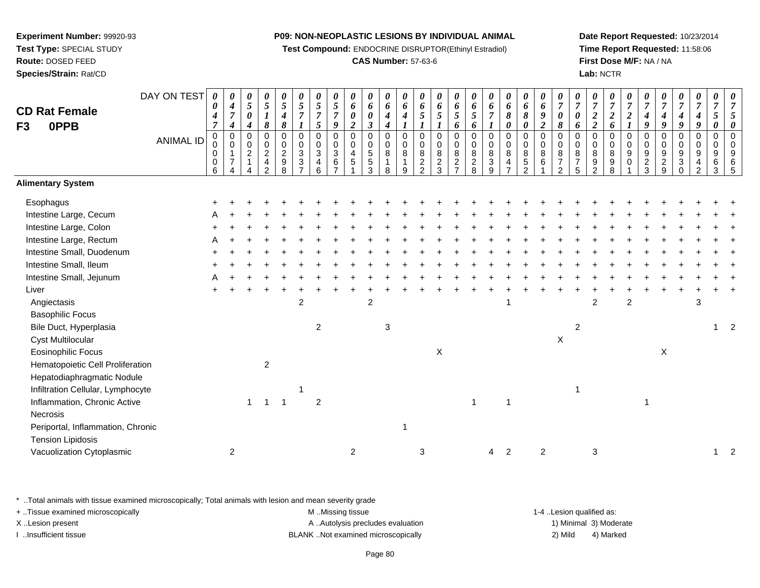**Test Compound:** ENDOCRINE DISRUPTOR(Ethinyl Estradiol)

#### **CAS Number:** 57-63-6

**Date Report Requested:** 10/23/2014**Time Report Requested:** 11:58:06**First Dose M/F:** NA / NA**Lab:** NCTR

**Experiment Number:** 99920-93

| <b>CD Rat Female</b><br>F <sub>3</sub><br>0PPB | DAY ON TEST<br><b>ANIMAL ID</b> | 0<br>0<br>4<br>$\overline{7}$<br>0<br>0 | 0<br>$\boldsymbol{4}$<br>$\overline{7}$<br>4<br>$\mathbf 0$<br>$\pmb{0}$ | 0<br>$\mathfrak{s}$<br>$\pmb{\theta}$<br>$\boldsymbol{4}$<br>$\pmb{0}$<br>0 | 0<br>5<br>1<br>8<br>$\mathbf 0$<br>0    | 0<br>$\mathfrak{s}$<br>$\boldsymbol{4}$<br>$\boldsymbol{\delta}$<br>$\mathbf 0$<br>$\mathbf 0$ | 0<br>$\sqrt{5}$<br>$\overline{7}$<br>$\boldsymbol{l}$<br>$\pmb{0}$<br>0 | $\boldsymbol{\theta}$<br>$\sqrt{5}$<br>$\boldsymbol{7}$<br>$\sqrt{5}$<br>$\mathbf 0$<br>$\frac{0}{3}$ | $\boldsymbol{\theta}$<br>$\sqrt{5}$<br>$\overline{7}$<br>$\boldsymbol{g}$<br>$\mathbf 0$<br>$\mathbf 0$ | 0<br>6<br>$\pmb{\theta}$<br>$\overline{2}$<br>$\pmb{0}$<br>$\pmb{0}$ | 0<br>6<br>0<br>$\boldsymbol{\beta}$<br>$\mathbf 0$<br>0 | 0<br>6<br>$\boldsymbol{4}$<br>$\boldsymbol{4}$<br>$\mathbf 0$<br>0 | 0<br>6<br>4<br>$\pmb{0}$<br>0 | 0<br>6<br>5<br>0<br>0 | 0<br>6<br>$\mathfrak{s}$<br>$\pmb{0}$<br>$\pmb{0}$ | 0<br>6<br>$\overline{5}$<br>6<br>$\mathbf 0$<br>$\mathbf 0$ | 0<br>6<br>$\sqrt{5}$<br>6<br>$\mathbf 0$<br>$\mathbf 0$ | 0<br>6<br>$\overline{7}$<br>0<br>$\mathbf 0$ | 0<br>6<br>8<br>0<br>$\mathbf 0$<br>$\mathbf 0$ | 0<br>6<br>$\pmb{8}$<br>0<br>$\pmb{0}$<br>$\mathsf 0$ | $\boldsymbol{\theta}$<br>6<br>$\boldsymbol{9}$<br>$\boldsymbol{2}$<br>$\pmb{0}$<br>$\mathsf{O}\xspace$ | 0<br>$\overline{7}$<br>$\pmb{\theta}$<br>$\pmb{8}$<br>$\mathbf 0$<br>$\mathbf 0$ | 0<br>$\boldsymbol{7}$<br>$\pmb{\theta}$<br>6<br>0<br>0 | 0<br>$\boldsymbol{7}$<br>$\frac{2}{2}$<br>$\pmb{0}$<br>$\mathbf 0$ | 0<br>$\overline{7}$<br>$\boldsymbol{2}$<br>6<br>$\pmb{0}$<br>$\pmb{0}$ | 0<br>$\overline{7}$<br>$\boldsymbol{2}$<br>0<br>0 | $\pmb{\theta}$<br>$\overline{7}$<br>$\boldsymbol{4}$<br>$\boldsymbol{g}$<br>$\mathbf 0$<br>$\pmb{0}$ | 0<br>$\boldsymbol{7}$<br>4<br>9<br>0<br>0              | 0<br>$\overline{7}$<br>$\boldsymbol{4}$<br>9<br>$\mathbf 0$<br>$\mathbf 0$ | 0<br>$\overline{7}$<br>4<br>9<br>$\mathbf 0$<br>0 | 0<br>$\overline{7}$<br>5<br>0<br>0<br>0 | 7<br>5<br>$\boldsymbol{\theta}$<br>$\Omega$<br>$\mathbf 0$ |
|------------------------------------------------|---------------------------------|-----------------------------------------|--------------------------------------------------------------------------|-----------------------------------------------------------------------------|-----------------------------------------|------------------------------------------------------------------------------------------------|-------------------------------------------------------------------------|-------------------------------------------------------------------------------------------------------|---------------------------------------------------------------------------------------------------------|----------------------------------------------------------------------|---------------------------------------------------------|--------------------------------------------------------------------|-------------------------------|-----------------------|----------------------------------------------------|-------------------------------------------------------------|---------------------------------------------------------|----------------------------------------------|------------------------------------------------|------------------------------------------------------|--------------------------------------------------------------------------------------------------------|----------------------------------------------------------------------------------|--------------------------------------------------------|--------------------------------------------------------------------|------------------------------------------------------------------------|---------------------------------------------------|------------------------------------------------------------------------------------------------------|--------------------------------------------------------|----------------------------------------------------------------------------|---------------------------------------------------|-----------------------------------------|------------------------------------------------------------|
|                                                |                                 | 0<br>0<br>6                             | $\overline{7}$                                                           | $\overline{2}$<br>$\mathbf{1}$<br>Δ                                         | $\boldsymbol{2}$<br>$\overline{4}$<br>2 | $\overline{2}$<br>9<br>8                                                                       | $\sqrt{3}$<br>$\sqrt{3}$<br>$\overline{7}$                              | $\overline{4}$<br>6                                                                                   | $\overline{3}$<br>$6\phantom{a}$<br>$\overline{7}$                                                      | $\overline{4}$<br>$\sqrt{5}$<br>$\overline{1}$                       | 5<br>5<br>3                                             | 8<br>1<br>8                                                        | $\bf 8$<br>1<br>9             | 8<br>$\frac{2}{2}$    | $\bf 8$<br>$\frac{2}{3}$                           | $\bf 8$<br>$\sqrt{2}$<br>$\overline{7}$                     | $\bf8$<br>$\boldsymbol{2}$<br>8                         | $\overline{8}$<br>3<br>9                     | $\bf 8$<br>$\overline{4}$<br>$\overline{7}$    | $\,8\,$<br>$\overline{5}$<br>$\overline{2}$          | $\bf8$<br>$\,6\,$                                                                                      | $\bf 8$<br>$\overline{7}$<br>$\mathfrak{p}$                                      | 8<br>$\overline{7}$<br>5                               | $\bf 8$<br>$\boldsymbol{9}$<br>$\overline{2}$                      | $\bf 8$<br>$\boldsymbol{9}$<br>8                                       | 9<br>0                                            | $\begin{array}{c} 9 \\ 2 \\ 3 \end{array}$                                                           | $\boldsymbol{9}$<br>$\overline{c}$<br>$\boldsymbol{9}$ | $\boldsymbol{9}$<br>$\ensuremath{\mathsf{3}}$<br>$\Omega$                  | 9<br>4<br>$\mathcal{P}$                           | 9<br>6<br>$\mathbf{3}$                  | 9<br>6<br>5                                                |
| <b>Alimentary System</b>                       |                                 |                                         |                                                                          |                                                                             |                                         |                                                                                                |                                                                         |                                                                                                       |                                                                                                         |                                                                      |                                                         |                                                                    |                               |                       |                                                    |                                                             |                                                         |                                              |                                                |                                                      |                                                                                                        |                                                                                  |                                                        |                                                                    |                                                                        |                                                   |                                                                                                      |                                                        |                                                                            |                                                   |                                         |                                                            |
| Esophagus                                      |                                 |                                         |                                                                          |                                                                             |                                         |                                                                                                |                                                                         |                                                                                                       |                                                                                                         |                                                                      |                                                         |                                                                    |                               |                       |                                                    |                                                             |                                                         |                                              |                                                |                                                      |                                                                                                        |                                                                                  |                                                        |                                                                    |                                                                        |                                                   |                                                                                                      |                                                        |                                                                            |                                                   |                                         |                                                            |
| Intestine Large, Cecum                         |                                 |                                         |                                                                          |                                                                             |                                         |                                                                                                |                                                                         |                                                                                                       |                                                                                                         |                                                                      |                                                         |                                                                    |                               |                       |                                                    |                                                             |                                                         |                                              |                                                |                                                      |                                                                                                        |                                                                                  |                                                        |                                                                    |                                                                        |                                                   |                                                                                                      |                                                        |                                                                            |                                                   |                                         |                                                            |
| Intestine Large, Colon                         |                                 |                                         |                                                                          |                                                                             |                                         |                                                                                                |                                                                         |                                                                                                       |                                                                                                         |                                                                      |                                                         |                                                                    |                               |                       |                                                    |                                                             |                                                         |                                              |                                                |                                                      |                                                                                                        |                                                                                  |                                                        |                                                                    |                                                                        |                                                   |                                                                                                      |                                                        |                                                                            |                                                   |                                         |                                                            |
| Intestine Large, Rectum                        |                                 |                                         |                                                                          |                                                                             |                                         |                                                                                                |                                                                         |                                                                                                       |                                                                                                         |                                                                      |                                                         |                                                                    |                               |                       |                                                    |                                                             |                                                         |                                              |                                                |                                                      |                                                                                                        |                                                                                  |                                                        |                                                                    |                                                                        |                                                   |                                                                                                      |                                                        |                                                                            |                                                   |                                         |                                                            |
| Intestine Small, Duodenum                      |                                 |                                         |                                                                          |                                                                             |                                         |                                                                                                |                                                                         |                                                                                                       |                                                                                                         |                                                                      |                                                         |                                                                    |                               |                       |                                                    |                                                             |                                                         |                                              |                                                |                                                      |                                                                                                        |                                                                                  |                                                        |                                                                    |                                                                        |                                                   |                                                                                                      |                                                        |                                                                            |                                                   |                                         |                                                            |
| Intestine Small, Ileum                         |                                 |                                         |                                                                          |                                                                             |                                         |                                                                                                |                                                                         |                                                                                                       |                                                                                                         |                                                                      |                                                         |                                                                    |                               |                       |                                                    |                                                             |                                                         |                                              |                                                |                                                      |                                                                                                        |                                                                                  |                                                        |                                                                    |                                                                        |                                                   |                                                                                                      |                                                        |                                                                            |                                                   |                                         |                                                            |
| Intestine Small, Jejunum                       |                                 |                                         |                                                                          |                                                                             |                                         |                                                                                                |                                                                         |                                                                                                       |                                                                                                         |                                                                      |                                                         |                                                                    |                               |                       |                                                    |                                                             |                                                         |                                              |                                                |                                                      |                                                                                                        |                                                                                  |                                                        |                                                                    |                                                                        |                                                   |                                                                                                      |                                                        |                                                                            |                                                   |                                         |                                                            |
| Liver                                          |                                 |                                         |                                                                          |                                                                             |                                         |                                                                                                |                                                                         |                                                                                                       |                                                                                                         |                                                                      |                                                         |                                                                    |                               |                       |                                                    |                                                             |                                                         |                                              |                                                |                                                      |                                                                                                        |                                                                                  |                                                        |                                                                    |                                                                        |                                                   |                                                                                                      |                                                        |                                                                            |                                                   |                                         |                                                            |
| Angiectasis                                    |                                 |                                         |                                                                          |                                                                             |                                         |                                                                                                | 2                                                                       |                                                                                                       |                                                                                                         |                                                                      | $\overline{2}$                                          |                                                                    |                               |                       |                                                    |                                                             |                                                         |                                              |                                                |                                                      |                                                                                                        |                                                                                  |                                                        | 2                                                                  |                                                                        | $\overline{2}$                                    |                                                                                                      |                                                        |                                                                            | 3                                                 |                                         |                                                            |
| <b>Basophilic Focus</b>                        |                                 |                                         |                                                                          |                                                                             |                                         |                                                                                                |                                                                         |                                                                                                       |                                                                                                         |                                                                      |                                                         |                                                                    |                               |                       |                                                    |                                                             |                                                         |                                              |                                                |                                                      |                                                                                                        |                                                                                  |                                                        |                                                                    |                                                                        |                                                   |                                                                                                      |                                                        |                                                                            |                                                   |                                         |                                                            |
| Bile Duct, Hyperplasia                         |                                 |                                         |                                                                          |                                                                             |                                         |                                                                                                |                                                                         | $\overline{2}$                                                                                        |                                                                                                         |                                                                      |                                                         | 3                                                                  |                               |                       |                                                    |                                                             |                                                         |                                              |                                                |                                                      |                                                                                                        |                                                                                  | 2                                                      |                                                                    |                                                                        |                                                   |                                                                                                      |                                                        |                                                                            |                                                   | $1 \quad$                               | $\overline{2}$                                             |
| <b>Cyst Multilocular</b>                       |                                 |                                         |                                                                          |                                                                             |                                         |                                                                                                |                                                                         |                                                                                                       |                                                                                                         |                                                                      |                                                         |                                                                    |                               |                       |                                                    |                                                             |                                                         |                                              |                                                |                                                      |                                                                                                        | X                                                                                |                                                        |                                                                    |                                                                        |                                                   |                                                                                                      |                                                        |                                                                            |                                                   |                                         |                                                            |
| <b>Eosinophilic Focus</b>                      |                                 |                                         |                                                                          |                                                                             |                                         |                                                                                                |                                                                         |                                                                                                       |                                                                                                         |                                                                      |                                                         |                                                                    |                               |                       | $\boldsymbol{\mathsf{X}}$                          |                                                             |                                                         |                                              |                                                |                                                      |                                                                                                        |                                                                                  |                                                        |                                                                    |                                                                        |                                                   |                                                                                                      | X                                                      |                                                                            |                                                   |                                         |                                                            |
| Hematopoietic Cell Proliferation               |                                 |                                         |                                                                          |                                                                             | $\overline{2}$                          |                                                                                                |                                                                         |                                                                                                       |                                                                                                         |                                                                      |                                                         |                                                                    |                               |                       |                                                    |                                                             |                                                         |                                              |                                                |                                                      |                                                                                                        |                                                                                  |                                                        |                                                                    |                                                                        |                                                   |                                                                                                      |                                                        |                                                                            |                                                   |                                         |                                                            |
| Hepatodiaphragmatic Nodule                     |                                 |                                         |                                                                          |                                                                             |                                         |                                                                                                |                                                                         |                                                                                                       |                                                                                                         |                                                                      |                                                         |                                                                    |                               |                       |                                                    |                                                             |                                                         |                                              |                                                |                                                      |                                                                                                        |                                                                                  |                                                        |                                                                    |                                                                        |                                                   |                                                                                                      |                                                        |                                                                            |                                                   |                                         |                                                            |
| Infiltration Cellular, Lymphocyte              |                                 |                                         |                                                                          |                                                                             |                                         |                                                                                                |                                                                         |                                                                                                       |                                                                                                         |                                                                      |                                                         |                                                                    |                               |                       |                                                    |                                                             |                                                         |                                              |                                                |                                                      |                                                                                                        |                                                                                  | 1                                                      |                                                                    |                                                                        |                                                   |                                                                                                      |                                                        |                                                                            |                                                   |                                         |                                                            |
| Inflammation, Chronic Active                   |                                 |                                         |                                                                          | $\mathbf 1$                                                                 | $\mathbf 1$                             | $\overline{1}$                                                                                 |                                                                         | $\overline{2}$                                                                                        |                                                                                                         |                                                                      |                                                         |                                                                    |                               |                       |                                                    |                                                             | 1                                                       |                                              | 1                                              |                                                      |                                                                                                        |                                                                                  |                                                        |                                                                    |                                                                        |                                                   | -1                                                                                                   |                                                        |                                                                            |                                                   |                                         |                                                            |
| Necrosis                                       |                                 |                                         |                                                                          |                                                                             |                                         |                                                                                                |                                                                         |                                                                                                       |                                                                                                         |                                                                      |                                                         |                                                                    |                               |                       |                                                    |                                                             |                                                         |                                              |                                                |                                                      |                                                                                                        |                                                                                  |                                                        |                                                                    |                                                                        |                                                   |                                                                                                      |                                                        |                                                                            |                                                   |                                         |                                                            |
| Periportal, Inflammation, Chronic              |                                 |                                         |                                                                          |                                                                             |                                         |                                                                                                |                                                                         |                                                                                                       |                                                                                                         |                                                                      |                                                         |                                                                    | $\mathbf{1}$                  |                       |                                                    |                                                             |                                                         |                                              |                                                |                                                      |                                                                                                        |                                                                                  |                                                        |                                                                    |                                                                        |                                                   |                                                                                                      |                                                        |                                                                            |                                                   |                                         |                                                            |
| <b>Tension Lipidosis</b>                       |                                 |                                         |                                                                          |                                                                             |                                         |                                                                                                |                                                                         |                                                                                                       |                                                                                                         |                                                                      |                                                         |                                                                    |                               |                       |                                                    |                                                             |                                                         |                                              |                                                |                                                      |                                                                                                        |                                                                                  |                                                        |                                                                    |                                                                        |                                                   |                                                                                                      |                                                        |                                                                            |                                                   |                                         |                                                            |
| Vacuolization Cytoplasmic                      |                                 |                                         | $\overline{c}$                                                           |                                                                             |                                         |                                                                                                |                                                                         |                                                                                                       |                                                                                                         | $\overline{2}$                                                       |                                                         |                                                                    |                               | 3                     |                                                    |                                                             |                                                         | 4                                            | 2                                              |                                                      | $\overline{2}$                                                                                         |                                                                                  |                                                        | 3                                                                  |                                                                        |                                                   |                                                                                                      |                                                        |                                                                            |                                                   |                                         | $\overline{2}$                                             |

\* ..Total animals with tissue examined microscopically; Total animals with lesion and mean severity grade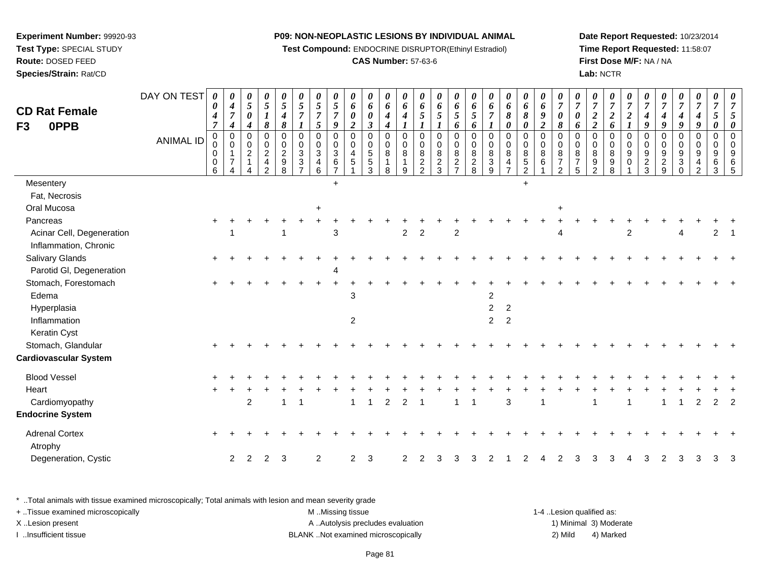**Test Compound:** ENDOCRINE DISRUPTOR(Ethinyl Estradiol)

#### **CAS Number:** 57-63-6

**Date Report Requested:** 10/23/2014**Time Report Requested:** 11:58:07**First Dose M/F:** NA / NA**Lab:** NCTR

| <b>CD Rat Female</b><br><b>OPPB</b><br>F3 | DAY ON TEST      | 0<br>0<br>$\boldsymbol{4}$<br>7 | 0<br>$\boldsymbol{4}$<br>$\overline{7}$<br>$\boldsymbol{4}$ | 0<br>$5\overline{)}$<br>$\boldsymbol{\theta}$<br>$\boldsymbol{4}$ | 0<br>$5\overline{)}$<br>1<br>8                  | 0<br>$\mathfrak{s}$<br>$\boldsymbol{4}$<br>8 | $\theta$<br>$\sqrt{5}$<br>$\overline{7}$<br>$\bm{l}$ | 0<br>$\overline{5}$<br>$\overline{7}$<br>$\mathfrak{s}$       | $\boldsymbol{\theta}$<br>$\mathfrak{s}$<br>$\overline{7}$<br>9 | 0<br>6<br>$\pmb{\theta}$<br>$\overline{2}$                     | 0<br>$\boldsymbol{6}$<br>$\boldsymbol{\theta}$<br>$\boldsymbol{\beta}$ | 0<br>6<br>$\boldsymbol{4}$<br>$\boldsymbol{4}$ | 0<br>6<br>4                          | 0<br>6<br>$\mathfrak{I}$                              | 0<br>6<br>5<br>$\boldsymbol{l}$                                   | 0<br>6<br>$5\overline{)}$<br>6                  | 0<br>6<br>$\mathfrak{s}$<br>6 | 0<br>$\boldsymbol{6}$<br>$\overline{7}$                    | $\boldsymbol{\theta}$<br>6<br>$\pmb{8}$<br>$\boldsymbol{\theta}$    | 0<br>6<br>$\pmb{8}$<br>$\boldsymbol{\theta}$           | $\boldsymbol{\theta}$<br>6<br>9<br>$\overline{2}$ | 0<br>$\overline{7}$<br>0<br>8                     | $\boldsymbol{\theta}$<br>$\overline{7}$<br>0<br>6 | 0<br>$\overline{7}$<br>$\boldsymbol{2}$<br>$\overline{2}$                  | 0<br>$\overline{7}$<br>$\boldsymbol{2}$<br>6 | $\boldsymbol{\theta}$<br>$\overline{7}$<br>$\overline{2}$<br>$\boldsymbol{l}$ | $\boldsymbol{\theta}$<br>$\overline{7}$<br>4<br>9 | 0<br>$\overline{7}$<br>4<br>9                               | 0<br>$\overline{7}$<br>$\boldsymbol{4}$<br>9         | 0<br>$\overline{7}$<br>$\boldsymbol{4}$<br>9           | 0<br>$\overline{7}$<br>$\mathfrak{s}$<br>0 | 7                    |
|-------------------------------------------|------------------|---------------------------------|-------------------------------------------------------------|-------------------------------------------------------------------|-------------------------------------------------|----------------------------------------------|------------------------------------------------------|---------------------------------------------------------------|----------------------------------------------------------------|----------------------------------------------------------------|------------------------------------------------------------------------|------------------------------------------------|--------------------------------------|-------------------------------------------------------|-------------------------------------------------------------------|-------------------------------------------------|-------------------------------|------------------------------------------------------------|---------------------------------------------------------------------|--------------------------------------------------------|---------------------------------------------------|---------------------------------------------------|---------------------------------------------------|----------------------------------------------------------------------------|----------------------------------------------|-------------------------------------------------------------------------------|---------------------------------------------------|-------------------------------------------------------------|------------------------------------------------------|--------------------------------------------------------|--------------------------------------------|----------------------|
|                                           | <b>ANIMAL ID</b> | 0<br>0<br>0<br>0<br>6           | $\mathbf 0$<br>$\mathbf 0$<br>$\overline{7}$                | $\mathbf 0$<br>0<br>$\overline{c}$<br>$\mathbf{1}$<br>4           | 0<br>0<br>$\overline{c}$<br>$\overline{4}$<br>2 | $\mathbf 0$<br>0<br>$\overline{c}$<br>9<br>8 | $\mathbf 0$<br>0<br>$\sqrt{3}$<br>$\sqrt{3}$         | $\mathbf 0$<br>$\pmb{0}$<br>$\sqrt{3}$<br>$\overline{4}$<br>6 | 0<br>0<br>$\ensuremath{\mathsf{3}}$<br>6<br>$\overline{7}$     | $\mathbf 0$<br>$\mathsf 0$<br>$\overline{4}$<br>$\overline{5}$ | $\mathbf 0$<br>0<br>$\sqrt{5}$<br>$\sqrt{5}$<br>3                      | $\mathbf 0$<br>0<br>8<br>$\mathbf{1}$<br>8     | $\mathbf 0$<br>$\mathbf 0$<br>8<br>9 | 0<br>0<br>$\,8\,$<br>$\overline{c}$<br>$\overline{2}$ | $\mathbf 0$<br>$\mathbf 0$<br>8<br>$\overline{c}$<br>$\mathbf{3}$ | 0<br>0<br>8<br>$\overline{c}$<br>$\overline{7}$ | 0<br>0<br>8<br>$\frac{2}{8}$  | $\mathbf 0$<br>$\mathbf 0$<br>$\,8\,$<br>$\mathbf{3}$<br>9 | $\mathbf 0$<br>$\mathbf 0$<br>8<br>$\overline{a}$<br>$\overline{7}$ | $\mathbf 0$<br>$\mathbf 0$<br>$\bf 8$<br>$\frac{5}{2}$ | 0<br>$\mathbf 0$<br>8<br>6                        | 0<br>0<br>8<br>$\boldsymbol{7}$<br>$\mathfrak{p}$ | 0<br>$\mathbf 0$<br>8<br>$\overline{7}$<br>5      | $\mathbf 0$<br>$\mathbf 0$<br>$\bf8$<br>$\boldsymbol{9}$<br>$\overline{2}$ | $\mathbf 0$<br>0<br>8<br>9<br>8              | $\mathbf 0$<br>0<br>9<br>$\mathbf 0$                                          | 0<br>0<br>9<br>$\frac{2}{3}$                      | $\mathbf 0$<br>0<br>$\boldsymbol{9}$<br>$\overline{c}$<br>9 | 0<br>0<br>9<br>$\ensuremath{\mathsf{3}}$<br>$\Omega$ | $\mathbf 0$<br>$\mathbf 0$<br>9<br>4<br>$\overline{2}$ | $\mathbf 0$<br>$\mathbf 0$<br>9<br>6<br>3  | $\Omega$<br>$\Omega$ |
| Mesentery                                 |                  |                                 |                                                             |                                                                   |                                                 |                                              |                                                      |                                                               | $+$                                                            |                                                                |                                                                        |                                                |                                      |                                                       |                                                                   |                                                 |                               |                                                            |                                                                     | $+$                                                    |                                                   |                                                   |                                                   |                                                                            |                                              |                                                                               |                                                   |                                                             |                                                      |                                                        |                                            |                      |
| Fat, Necrosis                             |                  |                                 |                                                             |                                                                   |                                                 |                                              |                                                      |                                                               |                                                                |                                                                |                                                                        |                                                |                                      |                                                       |                                                                   |                                                 |                               |                                                            |                                                                     |                                                        |                                                   |                                                   |                                                   |                                                                            |                                              |                                                                               |                                                   |                                                             |                                                      |                                                        |                                            |                      |
| Oral Mucosa                               |                  |                                 |                                                             |                                                                   |                                                 |                                              |                                                      | $\overline{1}$                                                |                                                                |                                                                |                                                                        |                                                |                                      |                                                       |                                                                   |                                                 |                               |                                                            |                                                                     |                                                        |                                                   | +                                                 |                                                   |                                                                            |                                              |                                                                               |                                                   |                                                             |                                                      |                                                        |                                            |                      |
| Pancreas                                  |                  |                                 |                                                             |                                                                   |                                                 |                                              |                                                      |                                                               |                                                                |                                                                |                                                                        |                                                |                                      |                                                       |                                                                   |                                                 |                               |                                                            |                                                                     |                                                        |                                                   |                                                   |                                                   |                                                                            |                                              |                                                                               |                                                   |                                                             |                                                      |                                                        |                                            |                      |
| Acinar Cell, Degeneration                 |                  |                                 |                                                             |                                                                   |                                                 |                                              |                                                      |                                                               | $\mathbf{3}$                                                   |                                                                |                                                                        |                                                | $\overline{2}$                       | $\overline{c}$                                        |                                                                   | $\overline{c}$                                  |                               |                                                            |                                                                     |                                                        |                                                   | 4                                                 |                                                   |                                                                            |                                              | $\overline{c}$                                                                |                                                   |                                                             | Δ                                                    |                                                        | 2                                          |                      |
| Inflammation, Chronic                     |                  |                                 |                                                             |                                                                   |                                                 |                                              |                                                      |                                                               |                                                                |                                                                |                                                                        |                                                |                                      |                                                       |                                                                   |                                                 |                               |                                                            |                                                                     |                                                        |                                                   |                                                   |                                                   |                                                                            |                                              |                                                                               |                                                   |                                                             |                                                      |                                                        |                                            |                      |
| Salivary Glands                           |                  |                                 |                                                             |                                                                   |                                                 |                                              |                                                      |                                                               |                                                                |                                                                |                                                                        |                                                |                                      |                                                       |                                                                   |                                                 |                               |                                                            |                                                                     |                                                        |                                                   |                                                   |                                                   |                                                                            |                                              |                                                                               |                                                   |                                                             |                                                      |                                                        |                                            |                      |
| Parotid GI, Degeneration                  |                  |                                 |                                                             |                                                                   |                                                 |                                              |                                                      |                                                               | Δ                                                              |                                                                |                                                                        |                                                |                                      |                                                       |                                                                   |                                                 |                               |                                                            |                                                                     |                                                        |                                                   |                                                   |                                                   |                                                                            |                                              |                                                                               |                                                   |                                                             |                                                      |                                                        |                                            |                      |
| Stomach, Forestomach                      |                  |                                 |                                                             |                                                                   |                                                 |                                              |                                                      |                                                               |                                                                |                                                                |                                                                        |                                                |                                      |                                                       |                                                                   |                                                 |                               |                                                            |                                                                     |                                                        |                                                   |                                                   |                                                   |                                                                            |                                              |                                                                               |                                                   |                                                             |                                                      |                                                        |                                            |                      |
| Edema                                     |                  |                                 |                                                             |                                                                   |                                                 |                                              |                                                      |                                                               |                                                                | 3                                                              |                                                                        |                                                |                                      |                                                       |                                                                   |                                                 |                               | 2                                                          |                                                                     |                                                        |                                                   |                                                   |                                                   |                                                                            |                                              |                                                                               |                                                   |                                                             |                                                      |                                                        |                                            |                      |
| Hyperplasia                               |                  |                                 |                                                             |                                                                   |                                                 |                                              |                                                      |                                                               |                                                                |                                                                |                                                                        |                                                |                                      |                                                       |                                                                   |                                                 |                               | $\overline{2}$                                             | $\overline{2}$                                                      |                                                        |                                                   |                                                   |                                                   |                                                                            |                                              |                                                                               |                                                   |                                                             |                                                      |                                                        |                                            |                      |
| Inflammation                              |                  |                                 |                                                             |                                                                   |                                                 |                                              |                                                      |                                                               |                                                                | $\overline{a}$                                                 |                                                                        |                                                |                                      |                                                       |                                                                   |                                                 |                               | $\overline{2}$                                             | $\overline{2}$                                                      |                                                        |                                                   |                                                   |                                                   |                                                                            |                                              |                                                                               |                                                   |                                                             |                                                      |                                                        |                                            |                      |
| Keratin Cyst                              |                  |                                 |                                                             |                                                                   |                                                 |                                              |                                                      |                                                               |                                                                |                                                                |                                                                        |                                                |                                      |                                                       |                                                                   |                                                 |                               |                                                            |                                                                     |                                                        |                                                   |                                                   |                                                   |                                                                            |                                              |                                                                               |                                                   |                                                             |                                                      |                                                        |                                            |                      |
| Stomach, Glandular                        |                  |                                 |                                                             |                                                                   |                                                 |                                              |                                                      |                                                               |                                                                |                                                                |                                                                        |                                                |                                      |                                                       |                                                                   |                                                 |                               |                                                            |                                                                     |                                                        |                                                   |                                                   |                                                   |                                                                            |                                              |                                                                               |                                                   |                                                             |                                                      |                                                        |                                            |                      |
| <b>Cardiovascular System</b>              |                  |                                 |                                                             |                                                                   |                                                 |                                              |                                                      |                                                               |                                                                |                                                                |                                                                        |                                                |                                      |                                                       |                                                                   |                                                 |                               |                                                            |                                                                     |                                                        |                                                   |                                                   |                                                   |                                                                            |                                              |                                                                               |                                                   |                                                             |                                                      |                                                        |                                            |                      |
| <b>Blood Vessel</b>                       |                  |                                 |                                                             |                                                                   |                                                 |                                              |                                                      |                                                               |                                                                |                                                                |                                                                        |                                                |                                      |                                                       |                                                                   |                                                 |                               |                                                            |                                                                     |                                                        |                                                   |                                                   |                                                   |                                                                            |                                              |                                                                               |                                                   |                                                             |                                                      |                                                        |                                            |                      |
| Heart                                     |                  |                                 |                                                             |                                                                   |                                                 |                                              |                                                      |                                                               |                                                                |                                                                |                                                                        |                                                |                                      |                                                       |                                                                   |                                                 |                               |                                                            |                                                                     |                                                        |                                                   |                                                   |                                                   |                                                                            |                                              |                                                                               |                                                   |                                                             |                                                      |                                                        |                                            |                      |
| Cardiomyopathy                            |                  |                                 |                                                             | $\overline{2}$                                                    |                                                 | $\overline{\mathbf{1}}$                      |                                                      |                                                               |                                                                | 1                                                              | -1                                                                     | 2                                              | $\overline{2}$                       | -1                                                    |                                                                   | 1                                               | $\mathbf 1$                   |                                                            | 3                                                                   |                                                        | 1                                                 |                                                   |                                                   |                                                                            |                                              |                                                                               |                                                   | 1                                                           |                                                      | 2                                                      | 2                                          |                      |
| <b>Endocrine System</b>                   |                  |                                 |                                                             |                                                                   |                                                 |                                              |                                                      |                                                               |                                                                |                                                                |                                                                        |                                                |                                      |                                                       |                                                                   |                                                 |                               |                                                            |                                                                     |                                                        |                                                   |                                                   |                                                   |                                                                            |                                              |                                                                               |                                                   |                                                             |                                                      |                                                        |                                            |                      |
| <b>Adrenal Cortex</b><br>Atrophy          |                  |                                 |                                                             |                                                                   |                                                 |                                              |                                                      |                                                               |                                                                |                                                                |                                                                        |                                                |                                      |                                                       |                                                                   |                                                 |                               |                                                            |                                                                     |                                                        |                                                   |                                                   |                                                   |                                                                            |                                              |                                                                               |                                                   |                                                             |                                                      |                                                        |                                            |                      |
| Degeneration, Cystic                      |                  |                                 | 2                                                           | 2                                                                 |                                                 | 3                                            |                                                      | 2                                                             |                                                                | 2                                                              | 3                                                                      |                                                | 2                                    | 2                                                     |                                                                   |                                                 |                               |                                                            |                                                                     |                                                        |                                                   |                                                   |                                                   |                                                                            |                                              |                                                                               |                                                   |                                                             |                                                      |                                                        | 3                                          |                      |
|                                           |                  |                                 |                                                             |                                                                   |                                                 |                                              |                                                      |                                                               |                                                                |                                                                |                                                                        |                                                |                                      |                                                       |                                                                   |                                                 |                               |                                                            |                                                                     |                                                        |                                                   |                                                   |                                                   |                                                                            |                                              |                                                                               |                                                   |                                                             |                                                      |                                                        |                                            |                      |

\* ..Total animals with tissue examined microscopically; Total animals with lesion and mean severity grade

+ ..Tissue examined microscopically examined microscopically examined as:  $M$  ..Missing tissue 1-4 ..Lesion qualified as: X..Lesion present **A ..Autolysis precludes evaluation** A ..Autolysis precludes evaluation 1) Minimal 3) Moderate I ..Insufficient tissue BLANK ..Not examined microscopically 2) Mild 4) Marked

# **Experiment Number:** 99920-93**Test Type:** SPECIAL STUDY

**Route:** DOSED FEED

**Species/Strain:** Rat/CD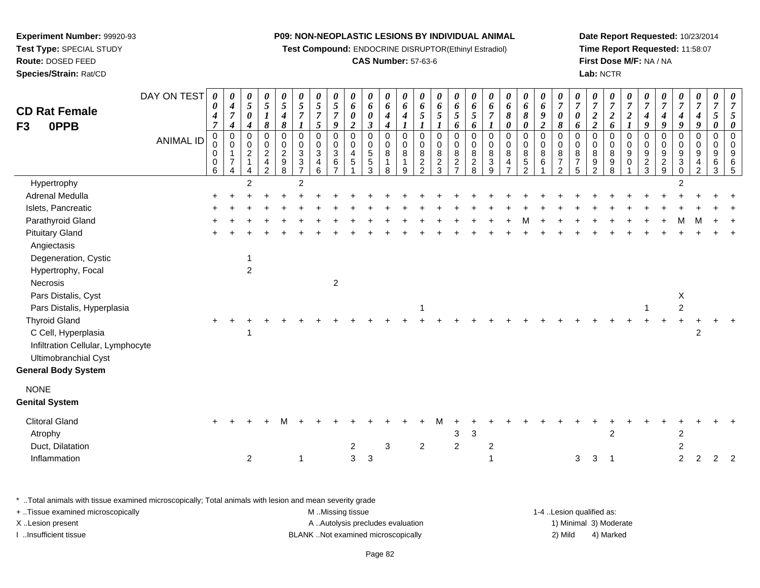**Test Compound:** ENDOCRINE DISRUPTOR(Ethinyl Estradiol)

### **CAS Number:** 57-63-6

**Date Report Requested:** 10/23/2014**Time Report Requested:** 11:58:07**First Dose M/F:** NA / NA**Lab:** NCTR

| <b>CD Rat Female</b><br>F3<br>0PPB | DAY ON TEST<br><b>ANIMAL ID</b> | 0<br>4<br>$\overline{7}$<br>0<br>0<br>0<br>0 | 0<br>$\boldsymbol{4}$<br>$\overline{7}$<br>4<br>0<br>$\pmb{0}$<br>$\overline{7}$ | 0<br>$\mathfrak{s}$<br>0<br>$\boldsymbol{4}$<br>0<br>$\mathbf 0$<br>$\sqrt{2}$<br>1 | 0<br>$\mathfrak{s}$<br>$\boldsymbol{l}$<br>$\boldsymbol{\delta}$<br>0<br>$\pmb{0}$<br>$\overline{c}$<br>$\overline{4}$<br>$\overline{2}$ | 0<br>$\overline{5}$<br>$\boldsymbol{4}$<br>8<br>$\mathbf 0$<br>$\mathbf 0$<br>$\overline{c}$<br>$\boldsymbol{9}$<br>8 | 0<br>5<br>$\overline{7}$<br>$\boldsymbol{l}$<br>0<br>$\pmb{0}$<br>$\ensuremath{\mathsf{3}}$<br>$\mathbf{3}$<br>$\overline{7}$ | 0<br>5<br>$\overline{7}$<br>5<br>0<br>0<br>$\overline{3}$<br>4<br>6 | $\pmb{\theta}$<br>$\mathfrak{S}$<br>$\boldsymbol{7}$<br>9<br>$\,0\,$<br>$\boldsymbol{0}$<br>$\ensuremath{\mathsf{3}}$<br>$\,6\,$<br>$\overline{7}$ | $\pmb{\theta}$<br>6<br>$\pmb{\theta}$<br>$\overline{2}$<br>$\mathbf 0$<br>$\mathsf{O}\xspace$<br>$\overline{4}$<br>$\sqrt{5}$ | 0<br>6<br>$\boldsymbol{\theta}$<br>$\mathfrak{z}$<br>0<br>$\pmb{0}$<br>$\,$ 5 $\,$<br>$\,$ 5 $\,$<br>3 | 0<br>6<br>$\boldsymbol{4}$<br>$\boldsymbol{4}$<br>$\mathbf 0$<br>$\pmb{0}$<br>8<br>$\overline{1}$<br>8 | 0<br>6<br>4<br>0<br>0<br>8<br>$\mathbf{1}$<br>9 | 0<br>6<br>5<br>$\mathbf{I}$<br>0<br>0<br>8<br>$\overline{c}$<br>$\overline{2}$ | 0<br>$\pmb{6}$<br>5<br>$\mathbf 0$<br>$\pmb{0}$<br>$\overline{8}$<br>$\sqrt{2}$<br>3 | 0<br>6<br>5<br>6<br>$\mathbf 0$<br>$\mathsf 0$<br>$\bf 8$<br>$\boldsymbol{2}$<br>$\overline{ }$ | 0<br>$\pmb{6}$<br>$\mathfrak{s}$<br>6<br>0<br>$\boldsymbol{0}$<br>$\, 8$<br>$\sqrt{2}$<br>8 | 0<br>6<br>$\overline{7}$<br>1<br>$\pmb{0}$<br>$\mathbf 0$<br>$\, 8$<br>$\ensuremath{\mathsf{3}}$<br>9 | 0<br>6<br>8<br>$\boldsymbol{\theta}$<br>0<br>$\mathsf 0$<br>8<br>$\overline{\mathbf{4}}$<br>$\overline{ }$ | 0<br>$\boldsymbol{\delta}$<br>$\pmb{8}$<br>$\boldsymbol{\theta}$<br>0<br>$\mathsf 0$<br>$\bf 8$<br>5<br>$\overline{2}$ | 0<br>6<br>$\boldsymbol{g}$<br>$\overline{2}$<br>$\mathbf 0$<br>$\pmb{0}$<br>$\bf 8$<br>$\,6\,$ | 0<br>$\overline{7}$<br>$\pmb{\theta}$<br>$\pmb{8}$<br>0<br>$\mathsf 0$<br>$\bf 8$<br>$\overline{7}$<br>$\mathfrak{D}$ | $\boldsymbol{\theta}$<br>$\overline{7}$<br>$\boldsymbol{\theta}$<br>6<br>0<br>$\mathbf 0$<br>$\frac{8}{7}$<br>5 | 0<br>$\boldsymbol{7}$<br>$\frac{2}{2}$<br>$\mathbf 0$<br>$\mathbf 0$<br>$\, 8$<br>$\boldsymbol{9}$<br>$\overline{2}$ | 0<br>$\overline{7}$<br>$\boldsymbol{2}$<br>6<br>0<br>$\pmb{0}$<br>8<br>$\boldsymbol{9}$<br>8 | $\overline{7}$<br>$\frac{2}{1}$<br>0<br>0<br>$\boldsymbol{9}$<br>0 | 0<br>$\overline{7}$<br>$\boldsymbol{4}$<br>9<br>$\mathbf 0$<br>$\pmb{0}$<br>$\boldsymbol{9}$<br>$\sqrt{2}$ | 0<br>$\boldsymbol{7}$<br>$\boldsymbol{4}$<br>$\boldsymbol{g}$<br>0<br>$\overline{0}$<br>$\frac{9}{2}$ | 0<br>$\boldsymbol{7}$<br>$\boldsymbol{4}$<br>9<br>$\mathbf 0$<br>$\mathbf 0$<br>$\boldsymbol{9}$<br>$\ensuremath{\mathsf{3}}$ | $\boldsymbol{\theta}$<br>$\overline{7}$<br>$\boldsymbol{4}$<br>$\boldsymbol{9}$<br>$\mathbf 0$<br>0<br>$\boldsymbol{9}$<br>$\overline{4}$ | 0<br>$\boldsymbol{7}$<br>5<br>0<br>0<br>$\mathbf 0$<br>$\boldsymbol{9}$<br>6<br>3 | 0<br>$\overline{7}$<br>5<br>$\boldsymbol{\theta}$<br>$\mathbf 0$<br>$\mathbf 0$<br>9<br>6 |
|------------------------------------|---------------------------------|----------------------------------------------|----------------------------------------------------------------------------------|-------------------------------------------------------------------------------------|------------------------------------------------------------------------------------------------------------------------------------------|-----------------------------------------------------------------------------------------------------------------------|-------------------------------------------------------------------------------------------------------------------------------|---------------------------------------------------------------------|----------------------------------------------------------------------------------------------------------------------------------------------------|-------------------------------------------------------------------------------------------------------------------------------|--------------------------------------------------------------------------------------------------------|--------------------------------------------------------------------------------------------------------|-------------------------------------------------|--------------------------------------------------------------------------------|--------------------------------------------------------------------------------------|-------------------------------------------------------------------------------------------------|---------------------------------------------------------------------------------------------|-------------------------------------------------------------------------------------------------------|------------------------------------------------------------------------------------------------------------|------------------------------------------------------------------------------------------------------------------------|------------------------------------------------------------------------------------------------|-----------------------------------------------------------------------------------------------------------------------|-----------------------------------------------------------------------------------------------------------------|----------------------------------------------------------------------------------------------------------------------|----------------------------------------------------------------------------------------------|--------------------------------------------------------------------|------------------------------------------------------------------------------------------------------------|-------------------------------------------------------------------------------------------------------|-------------------------------------------------------------------------------------------------------------------------------|-------------------------------------------------------------------------------------------------------------------------------------------|-----------------------------------------------------------------------------------|-------------------------------------------------------------------------------------------|
| Hypertrophy                        |                                 | 6                                            | 4                                                                                | 4<br>$\overline{c}$                                                                 |                                                                                                                                          |                                                                                                                       | $\overline{2}$                                                                                                                |                                                                     |                                                                                                                                                    |                                                                                                                               |                                                                                                        |                                                                                                        |                                                 |                                                                                |                                                                                      |                                                                                                 |                                                                                             |                                                                                                       |                                                                                                            |                                                                                                                        |                                                                                                |                                                                                                                       |                                                                                                                 |                                                                                                                      |                                                                                              |                                                                    | 3                                                                                                          | 9                                                                                                     | $\mathbf 0$<br>$\overline{2}$                                                                                                 | $\overline{2}$                                                                                                                            |                                                                                   | 5                                                                                         |
| Adrenal Medulla                    |                                 |                                              |                                                                                  |                                                                                     |                                                                                                                                          |                                                                                                                       |                                                                                                                               |                                                                     |                                                                                                                                                    |                                                                                                                               |                                                                                                        |                                                                                                        |                                                 |                                                                                |                                                                                      |                                                                                                 |                                                                                             |                                                                                                       |                                                                                                            |                                                                                                                        |                                                                                                |                                                                                                                       |                                                                                                                 |                                                                                                                      |                                                                                              |                                                                    |                                                                                                            |                                                                                                       |                                                                                                                               |                                                                                                                                           |                                                                                   |                                                                                           |
| Islets, Pancreatic                 |                                 |                                              |                                                                                  |                                                                                     |                                                                                                                                          |                                                                                                                       |                                                                                                                               |                                                                     |                                                                                                                                                    |                                                                                                                               |                                                                                                        |                                                                                                        |                                                 |                                                                                |                                                                                      |                                                                                                 |                                                                                             |                                                                                                       |                                                                                                            |                                                                                                                        |                                                                                                |                                                                                                                       |                                                                                                                 |                                                                                                                      |                                                                                              |                                                                    |                                                                                                            |                                                                                                       |                                                                                                                               |                                                                                                                                           |                                                                                   |                                                                                           |
| Parathyroid Gland                  |                                 |                                              |                                                                                  |                                                                                     |                                                                                                                                          |                                                                                                                       |                                                                                                                               |                                                                     |                                                                                                                                                    |                                                                                                                               |                                                                                                        |                                                                                                        |                                                 |                                                                                |                                                                                      |                                                                                                 |                                                                                             |                                                                                                       |                                                                                                            |                                                                                                                        |                                                                                                |                                                                                                                       |                                                                                                                 |                                                                                                                      |                                                                                              |                                                                    |                                                                                                            |                                                                                                       |                                                                                                                               |                                                                                                                                           |                                                                                   |                                                                                           |
| <b>Pituitary Gland</b>             |                                 |                                              |                                                                                  |                                                                                     |                                                                                                                                          |                                                                                                                       |                                                                                                                               |                                                                     |                                                                                                                                                    |                                                                                                                               |                                                                                                        |                                                                                                        |                                                 |                                                                                |                                                                                      |                                                                                                 |                                                                                             |                                                                                                       |                                                                                                            |                                                                                                                        |                                                                                                |                                                                                                                       |                                                                                                                 |                                                                                                                      |                                                                                              |                                                                    |                                                                                                            |                                                                                                       |                                                                                                                               |                                                                                                                                           |                                                                                   |                                                                                           |
| Angiectasis                        |                                 |                                              |                                                                                  |                                                                                     |                                                                                                                                          |                                                                                                                       |                                                                                                                               |                                                                     |                                                                                                                                                    |                                                                                                                               |                                                                                                        |                                                                                                        |                                                 |                                                                                |                                                                                      |                                                                                                 |                                                                                             |                                                                                                       |                                                                                                            |                                                                                                                        |                                                                                                |                                                                                                                       |                                                                                                                 |                                                                                                                      |                                                                                              |                                                                    |                                                                                                            |                                                                                                       |                                                                                                                               |                                                                                                                                           |                                                                                   |                                                                                           |
| Degeneration, Cystic               |                                 |                                              |                                                                                  |                                                                                     |                                                                                                                                          |                                                                                                                       |                                                                                                                               |                                                                     |                                                                                                                                                    |                                                                                                                               |                                                                                                        |                                                                                                        |                                                 |                                                                                |                                                                                      |                                                                                                 |                                                                                             |                                                                                                       |                                                                                                            |                                                                                                                        |                                                                                                |                                                                                                                       |                                                                                                                 |                                                                                                                      |                                                                                              |                                                                    |                                                                                                            |                                                                                                       |                                                                                                                               |                                                                                                                                           |                                                                                   |                                                                                           |
| Hypertrophy, Focal                 |                                 |                                              |                                                                                  | $\overline{c}$                                                                      |                                                                                                                                          |                                                                                                                       |                                                                                                                               |                                                                     |                                                                                                                                                    |                                                                                                                               |                                                                                                        |                                                                                                        |                                                 |                                                                                |                                                                                      |                                                                                                 |                                                                                             |                                                                                                       |                                                                                                            |                                                                                                                        |                                                                                                |                                                                                                                       |                                                                                                                 |                                                                                                                      |                                                                                              |                                                                    |                                                                                                            |                                                                                                       |                                                                                                                               |                                                                                                                                           |                                                                                   |                                                                                           |
| Necrosis                           |                                 |                                              |                                                                                  |                                                                                     |                                                                                                                                          |                                                                                                                       |                                                                                                                               |                                                                     | $\overline{2}$                                                                                                                                     |                                                                                                                               |                                                                                                        |                                                                                                        |                                                 |                                                                                |                                                                                      |                                                                                                 |                                                                                             |                                                                                                       |                                                                                                            |                                                                                                                        |                                                                                                |                                                                                                                       |                                                                                                                 |                                                                                                                      |                                                                                              |                                                                    |                                                                                                            |                                                                                                       |                                                                                                                               |                                                                                                                                           |                                                                                   |                                                                                           |
| Pars Distalis, Cyst                |                                 |                                              |                                                                                  |                                                                                     |                                                                                                                                          |                                                                                                                       |                                                                                                                               |                                                                     |                                                                                                                                                    |                                                                                                                               |                                                                                                        |                                                                                                        |                                                 |                                                                                |                                                                                      |                                                                                                 |                                                                                             |                                                                                                       |                                                                                                            |                                                                                                                        |                                                                                                |                                                                                                                       |                                                                                                                 |                                                                                                                      |                                                                                              |                                                                    |                                                                                                            |                                                                                                       | X                                                                                                                             |                                                                                                                                           |                                                                                   |                                                                                           |
| Pars Distalis, Hyperplasia         |                                 |                                              |                                                                                  |                                                                                     |                                                                                                                                          |                                                                                                                       |                                                                                                                               |                                                                     |                                                                                                                                                    |                                                                                                                               |                                                                                                        |                                                                                                        |                                                 |                                                                                |                                                                                      |                                                                                                 |                                                                                             |                                                                                                       |                                                                                                            |                                                                                                                        |                                                                                                |                                                                                                                       |                                                                                                                 |                                                                                                                      |                                                                                              |                                                                    |                                                                                                            |                                                                                                       | $\overline{2}$                                                                                                                |                                                                                                                                           |                                                                                   |                                                                                           |
| <b>Thyroid Gland</b>               |                                 |                                              |                                                                                  |                                                                                     |                                                                                                                                          |                                                                                                                       |                                                                                                                               |                                                                     |                                                                                                                                                    |                                                                                                                               |                                                                                                        |                                                                                                        |                                                 |                                                                                |                                                                                      |                                                                                                 |                                                                                             |                                                                                                       |                                                                                                            |                                                                                                                        |                                                                                                |                                                                                                                       |                                                                                                                 |                                                                                                                      |                                                                                              |                                                                    |                                                                                                            |                                                                                                       |                                                                                                                               |                                                                                                                                           |                                                                                   |                                                                                           |
| C Cell, Hyperplasia                |                                 |                                              |                                                                                  |                                                                                     |                                                                                                                                          |                                                                                                                       |                                                                                                                               |                                                                     |                                                                                                                                                    |                                                                                                                               |                                                                                                        |                                                                                                        |                                                 |                                                                                |                                                                                      |                                                                                                 |                                                                                             |                                                                                                       |                                                                                                            |                                                                                                                        |                                                                                                |                                                                                                                       |                                                                                                                 |                                                                                                                      |                                                                                              |                                                                    |                                                                                                            |                                                                                                       |                                                                                                                               | 2                                                                                                                                         |                                                                                   |                                                                                           |
| Infiltration Cellular, Lymphocyte  |                                 |                                              |                                                                                  |                                                                                     |                                                                                                                                          |                                                                                                                       |                                                                                                                               |                                                                     |                                                                                                                                                    |                                                                                                                               |                                                                                                        |                                                                                                        |                                                 |                                                                                |                                                                                      |                                                                                                 |                                                                                             |                                                                                                       |                                                                                                            |                                                                                                                        |                                                                                                |                                                                                                                       |                                                                                                                 |                                                                                                                      |                                                                                              |                                                                    |                                                                                                            |                                                                                                       |                                                                                                                               |                                                                                                                                           |                                                                                   |                                                                                           |
| Ultimobranchial Cyst               |                                 |                                              |                                                                                  |                                                                                     |                                                                                                                                          |                                                                                                                       |                                                                                                                               |                                                                     |                                                                                                                                                    |                                                                                                                               |                                                                                                        |                                                                                                        |                                                 |                                                                                |                                                                                      |                                                                                                 |                                                                                             |                                                                                                       |                                                                                                            |                                                                                                                        |                                                                                                |                                                                                                                       |                                                                                                                 |                                                                                                                      |                                                                                              |                                                                    |                                                                                                            |                                                                                                       |                                                                                                                               |                                                                                                                                           |                                                                                   |                                                                                           |
| <b>General Body System</b>         |                                 |                                              |                                                                                  |                                                                                     |                                                                                                                                          |                                                                                                                       |                                                                                                                               |                                                                     |                                                                                                                                                    |                                                                                                                               |                                                                                                        |                                                                                                        |                                                 |                                                                                |                                                                                      |                                                                                                 |                                                                                             |                                                                                                       |                                                                                                            |                                                                                                                        |                                                                                                |                                                                                                                       |                                                                                                                 |                                                                                                                      |                                                                                              |                                                                    |                                                                                                            |                                                                                                       |                                                                                                                               |                                                                                                                                           |                                                                                   |                                                                                           |
| <b>NONE</b>                        |                                 |                                              |                                                                                  |                                                                                     |                                                                                                                                          |                                                                                                                       |                                                                                                                               |                                                                     |                                                                                                                                                    |                                                                                                                               |                                                                                                        |                                                                                                        |                                                 |                                                                                |                                                                                      |                                                                                                 |                                                                                             |                                                                                                       |                                                                                                            |                                                                                                                        |                                                                                                |                                                                                                                       |                                                                                                                 |                                                                                                                      |                                                                                              |                                                                    |                                                                                                            |                                                                                                       |                                                                                                                               |                                                                                                                                           |                                                                                   |                                                                                           |
| <b>Genital System</b>              |                                 |                                              |                                                                                  |                                                                                     |                                                                                                                                          |                                                                                                                       |                                                                                                                               |                                                                     |                                                                                                                                                    |                                                                                                                               |                                                                                                        |                                                                                                        |                                                 |                                                                                |                                                                                      |                                                                                                 |                                                                                             |                                                                                                       |                                                                                                            |                                                                                                                        |                                                                                                |                                                                                                                       |                                                                                                                 |                                                                                                                      |                                                                                              |                                                                    |                                                                                                            |                                                                                                       |                                                                                                                               |                                                                                                                                           |                                                                                   |                                                                                           |
| <b>Clitoral Gland</b>              |                                 |                                              |                                                                                  |                                                                                     |                                                                                                                                          |                                                                                                                       |                                                                                                                               |                                                                     |                                                                                                                                                    |                                                                                                                               |                                                                                                        |                                                                                                        |                                                 |                                                                                |                                                                                      |                                                                                                 |                                                                                             |                                                                                                       |                                                                                                            |                                                                                                                        |                                                                                                |                                                                                                                       |                                                                                                                 |                                                                                                                      |                                                                                              |                                                                    |                                                                                                            |                                                                                                       |                                                                                                                               |                                                                                                                                           |                                                                                   |                                                                                           |
| Atrophy                            |                                 |                                              |                                                                                  |                                                                                     |                                                                                                                                          |                                                                                                                       |                                                                                                                               |                                                                     |                                                                                                                                                    |                                                                                                                               |                                                                                                        |                                                                                                        |                                                 |                                                                                |                                                                                      | 3                                                                                               | 3                                                                                           |                                                                                                       |                                                                                                            |                                                                                                                        |                                                                                                |                                                                                                                       |                                                                                                                 |                                                                                                                      | $\overline{2}$                                                                               |                                                                    |                                                                                                            |                                                                                                       | $\overline{c}$                                                                                                                |                                                                                                                                           |                                                                                   |                                                                                           |
| Duct, Dilatation                   |                                 |                                              |                                                                                  |                                                                                     |                                                                                                                                          |                                                                                                                       |                                                                                                                               |                                                                     |                                                                                                                                                    | $\overline{2}$                                                                                                                |                                                                                                        | 3                                                                                                      |                                                 | $\overline{2}$                                                                 |                                                                                      | $\overline{2}$                                                                                  |                                                                                             | $\overline{c}$                                                                                        |                                                                                                            |                                                                                                                        |                                                                                                |                                                                                                                       |                                                                                                                 |                                                                                                                      |                                                                                              |                                                                    |                                                                                                            |                                                                                                       | $\overline{2}$                                                                                                                |                                                                                                                                           |                                                                                   |                                                                                           |
|                                    |                                 |                                              |                                                                                  |                                                                                     |                                                                                                                                          |                                                                                                                       |                                                                                                                               |                                                                     |                                                                                                                                                    |                                                                                                                               |                                                                                                        |                                                                                                        |                                                 |                                                                                |                                                                                      |                                                                                                 |                                                                                             |                                                                                                       |                                                                                                            |                                                                                                                        |                                                                                                |                                                                                                                       |                                                                                                                 |                                                                                                                      |                                                                                              |                                                                    |                                                                                                            |                                                                                                       |                                                                                                                               |                                                                                                                                           |                                                                                   |                                                                                           |

\* ..Total animals with tissue examined microscopically; Total animals with lesion and mean severity grade

| + Tissue examined microscopically | M Missing tissue                   | 1-4 Lesion qualified as: |                        |
|-----------------------------------|------------------------------------|--------------------------|------------------------|
| X Lesion present                  | A Autolysis precludes evaluation   |                          | 1) Minimal 3) Moderate |
| …Insufficient tissue              | BLANK Not examined microscopically | 2) Mild                  | 4) Marked              |

<sup>2</sup> <sup>1</sup> <sup>3</sup> <sup>3</sup> <sup>1</sup> <sup>3</sup> <sup>3</sup> <sup>1</sup> <sup>2</sup> <sup>2</sup> <sup>2</sup> <sup>2</sup>

**Test Type:** SPECIAL STUDY**Route:** DOSED FEED

**Species/Strain:** Rat/CD

Inflammation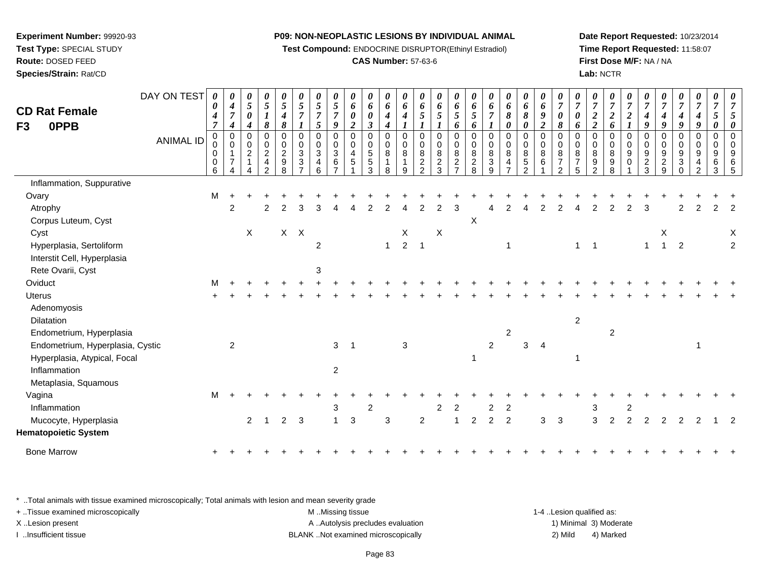**Test Compound:** ENDOCRINE DISRUPTOR(Ethinyl Estradiol)

#### **CAS Number:** 57-63-6

**Date Report Requested:** 10/23/2014**Time Report Requested:** 11:58:07**First Dose M/F:** NA / NA**Lab:** NCTR

| <b>CD Rat Female</b>                         | DAY ON TEST      | 0<br>0<br>$\boldsymbol{4}$      | 0<br>$\boldsymbol{4}$<br>$\overline{7}$                           | 0<br>$\mathfrak{s}$<br>$\pmb{\theta}$              | 0<br>$\mathfrak{s}$<br>$\boldsymbol{l}$                                             | 0<br>$\mathfrak{s}$<br>$\boldsymbol{4}$                    | 0<br>$\sqrt{5}$<br>$\overline{7}$                                    | 0<br>$\sqrt{5}$<br>$\overline{7}$                             | 0<br>$\sqrt{5}$<br>$\boldsymbol{7}$           | 0<br>6<br>$\boldsymbol{\theta}$                   | 0<br>6<br>$\boldsymbol{\theta}$                        | 0<br>6<br>$\boldsymbol{4}$                           | 0<br>6<br>$\boldsymbol{4}$ | $\boldsymbol{\theta}$<br>6<br>$5\overline{)}$                            | 0<br>6<br>$\overline{5}$                         | $\theta$<br>6<br>5                              | 0<br>6<br>$\overline{5}$     | 0<br>6<br>$\overline{7}$                                                     | 0<br>6<br>8                                                         | 0<br>6<br>$\boldsymbol{\delta}$                       | $\boldsymbol{\theta}$<br>6<br>$\boldsymbol{g}$ | 0<br>$\boldsymbol{7}$<br>$\boldsymbol{\theta}$         | 0<br>$\overline{7}$<br>0                     | 0<br>$\overline{7}$<br>$\boldsymbol{2}$                | $\boldsymbol{\theta}$<br>$\overline{7}$<br>$\boldsymbol{2}$ | $\boldsymbol{\theta}$<br>$\overline{7}$<br>$\overline{2}$ | 0<br>$\boldsymbol{7}$<br>$\boldsymbol{4}$   | 0<br>$\overline{7}$<br>4 | 0<br>$\overline{7}$<br>$\boldsymbol{4}$                            | 0<br>$\overline{7}$<br>$\boldsymbol{4}$                             | 0<br>$\overline{7}$<br>$\overline{5}$ | $\overline{7}$<br>5            |
|----------------------------------------------|------------------|---------------------------------|-------------------------------------------------------------------|----------------------------------------------------|-------------------------------------------------------------------------------------|------------------------------------------------------------|----------------------------------------------------------------------|---------------------------------------------------------------|-----------------------------------------------|---------------------------------------------------|--------------------------------------------------------|------------------------------------------------------|----------------------------|--------------------------------------------------------------------------|--------------------------------------------------|-------------------------------------------------|------------------------------|------------------------------------------------------------------------------|---------------------------------------------------------------------|-------------------------------------------------------|------------------------------------------------|--------------------------------------------------------|----------------------------------------------|--------------------------------------------------------|-------------------------------------------------------------|-----------------------------------------------------------|---------------------------------------------|--------------------------|--------------------------------------------------------------------|---------------------------------------------------------------------|---------------------------------------|--------------------------------|
| 0PPB<br>F3                                   |                  | $\overline{7}$                  | $\boldsymbol{4}$                                                  | 4                                                  | 8                                                                                   | 8                                                          | $\boldsymbol{l}$                                                     | 5                                                             | 9                                             | $\overline{2}$                                    | $\boldsymbol{\beta}$                                   | $\boldsymbol{4}$                                     |                            |                                                                          | $\boldsymbol{l}$                                 | 6                                               | 6                            |                                                                              | 0                                                                   | 0                                                     | $\overline{c}$                                 | 8                                                      | 6                                            | $\overline{2}$                                         | 6                                                           |                                                           | 9                                           | 9                        | 9                                                                  | 9                                                                   | $\boldsymbol{\theta}$                 | $\theta$                       |
|                                              | <b>ANIMAL ID</b> | $\mathbf 0$<br>0<br>0<br>0<br>6 | $\mathsf{O}\xspace$<br>$\mathbf 0$<br>$\overline{7}$<br>$\lambda$ | $\mathbf 0$<br>0<br>$\overline{c}$<br>$\mathbf{1}$ | $\overline{0}$<br>$\mathbf 0$<br>$\overline{c}$<br>$\overline{4}$<br>$\mathfrak{p}$ | 0<br>0<br>$\overline{\mathbf{c}}$<br>$\boldsymbol{9}$<br>8 | $\mathbf 0$<br>0<br>3<br>$\ensuremath{\mathsf{3}}$<br>$\overline{7}$ | $\mathbf 0$<br>$\pmb{0}$<br>$\sqrt{3}$<br>$\overline{4}$<br>6 | 0<br>0<br>$\mathbf{3}$<br>6<br>$\overline{7}$ | $\mathbf 0$<br>$\mathbf 0$<br>$\overline{4}$<br>5 | $\mathbf 0$<br>$\mathbf 0$<br>5<br>$\overline{5}$<br>3 | $\mathbf 0$<br>$\mathbf 0$<br>8<br>$\mathbf{1}$<br>8 | $\mathbf 0$<br>0<br>8<br>9 | $\mathbf 0$<br>$\mathbf 0$<br>$\begin{array}{c} 8 \\ 2 \\ 2 \end{array}$ | $\mathbf 0$<br>$\mathbf 0$<br>8<br>$\frac{2}{3}$ | 0<br>0<br>8<br>$\overline{c}$<br>$\overline{7}$ | 0<br>0<br>8<br>$\frac{2}{8}$ | $\mathbf 0$<br>$\pmb{0}$<br>8<br>$\ensuremath{\mathsf{3}}$<br>$\overline{9}$ | $\mathbf 0$<br>$\mathbf 0$<br>8<br>$\overline{4}$<br>$\overline{ }$ | $\mathbf 0$<br>0<br>8<br>$\sqrt{5}$<br>$\overline{2}$ | $\mathbf 0$<br>$\mathbf 0$<br>8<br>6           | $\mathbf 0$<br>$\mathbf 0$<br>8<br>$\overline{7}$<br>2 | $\mathbf 0$<br>0<br>8<br>$\overline{7}$<br>5 | $\mathbf 0$<br>$\mathbf 0$<br>8<br>9<br>$\overline{2}$ | $\mathbf 0$<br>$\mathbf 0$<br>8<br>$\boldsymbol{9}$<br>8    | $\mathbf 0$<br>$\mathbf 0$<br>$9\,$<br>$\mathbf 0$        | $\mathbf 0$<br>$\mathbf 0$<br>$\frac{9}{2}$ | 0<br>0<br>$\frac{9}{2}$  | 0<br>$\mathbf{0}$<br>9<br>$\ensuremath{\mathsf{3}}$<br>$\mathbf 0$ | $\mathbf 0$<br>$\mathbf 0$<br>9<br>$\overline{4}$<br>$\overline{2}$ | 0<br>$\mathbf 0$<br>9<br>$\,6$<br>3   | $\Omega$<br>$\Omega$<br>9<br>5 |
| Inflammation, Suppurative                    |                  |                                 |                                                                   |                                                    |                                                                                     |                                                            |                                                                      |                                                               |                                               |                                                   |                                                        |                                                      |                            |                                                                          |                                                  |                                                 |                              |                                                                              |                                                                     |                                                       |                                                |                                                        |                                              |                                                        |                                                             |                                                           |                                             |                          |                                                                    |                                                                     |                                       |                                |
| Ovary                                        |                  | M                               |                                                                   |                                                    |                                                                                     |                                                            |                                                                      |                                                               |                                               |                                                   |                                                        |                                                      |                            |                                                                          |                                                  |                                                 |                              |                                                                              |                                                                     |                                                       |                                                |                                                        |                                              |                                                        |                                                             |                                                           |                                             |                          |                                                                    |                                                                     |                                       |                                |
| Atrophy                                      |                  |                                 | $\overline{c}$                                                    |                                                    | $\overline{c}$                                                                      | $\overline{2}$                                             | 3                                                                    | 3                                                             |                                               |                                                   | 2                                                      | 2                                                    | Δ                          | 2                                                                        | 2                                                | 3                                               |                              |                                                                              | 2                                                                   |                                                       | 2                                              |                                                        |                                              | 2                                                      |                                                             | 2                                                         | 3                                           |                          | 2                                                                  |                                                                     |                                       |                                |
| Corpus Luteum, Cyst                          |                  |                                 |                                                                   |                                                    |                                                                                     |                                                            |                                                                      |                                                               |                                               |                                                   |                                                        |                                                      |                            |                                                                          |                                                  |                                                 | $\times$                     |                                                                              |                                                                     |                                                       |                                                |                                                        |                                              |                                                        |                                                             |                                                           |                                             |                          |                                                                    |                                                                     |                                       |                                |
| Cyst                                         |                  |                                 |                                                                   | $\sf X$                                            |                                                                                     |                                                            | $X$ $X$                                                              |                                                               |                                               |                                                   |                                                        |                                                      | X                          |                                                                          | X                                                |                                                 |                              |                                                                              |                                                                     |                                                       |                                                |                                                        |                                              |                                                        |                                                             |                                                           |                                             | X                        |                                                                    |                                                                     |                                       | X                              |
| Hyperplasia, Sertoliform                     |                  |                                 |                                                                   |                                                    |                                                                                     |                                                            |                                                                      | $\overline{c}$                                                |                                               |                                                   |                                                        | $\mathbf{1}$                                         | $\overline{2}$             | $\overline{\phantom{0}}$                                                 |                                                  |                                                 |                              |                                                                              |                                                                     |                                                       |                                                |                                                        | $\mathbf{1}$                                 | $\overline{1}$                                         |                                                             |                                                           | 1                                           | $\mathbf{1}$             | $\overline{2}$                                                     |                                                                     |                                       | $\overline{c}$                 |
| Interstit Cell, Hyperplasia                  |                  |                                 |                                                                   |                                                    |                                                                                     |                                                            |                                                                      |                                                               |                                               |                                                   |                                                        |                                                      |                            |                                                                          |                                                  |                                                 |                              |                                                                              |                                                                     |                                                       |                                                |                                                        |                                              |                                                        |                                                             |                                                           |                                             |                          |                                                                    |                                                                     |                                       |                                |
| Rete Ovarii, Cyst                            |                  |                                 |                                                                   |                                                    |                                                                                     |                                                            |                                                                      | $\sqrt{3}$                                                    |                                               |                                                   |                                                        |                                                      |                            |                                                                          |                                                  |                                                 |                              |                                                                              |                                                                     |                                                       |                                                |                                                        |                                              |                                                        |                                                             |                                                           |                                             |                          |                                                                    |                                                                     |                                       |                                |
| Oviduct                                      |                  | м                               |                                                                   |                                                    |                                                                                     |                                                            |                                                                      |                                                               |                                               |                                                   |                                                        |                                                      |                            |                                                                          |                                                  |                                                 |                              |                                                                              |                                                                     |                                                       |                                                |                                                        |                                              |                                                        |                                                             |                                                           |                                             |                          |                                                                    |                                                                     |                                       |                                |
| <b>Uterus</b>                                |                  |                                 |                                                                   |                                                    |                                                                                     |                                                            |                                                                      |                                                               |                                               |                                                   |                                                        |                                                      |                            |                                                                          |                                                  |                                                 |                              |                                                                              |                                                                     |                                                       |                                                |                                                        |                                              |                                                        |                                                             |                                                           |                                             |                          |                                                                    |                                                                     |                                       |                                |
| Adenomyosis                                  |                  |                                 |                                                                   |                                                    |                                                                                     |                                                            |                                                                      |                                                               |                                               |                                                   |                                                        |                                                      |                            |                                                                          |                                                  |                                                 |                              |                                                                              |                                                                     |                                                       |                                                |                                                        |                                              |                                                        |                                                             |                                                           |                                             |                          |                                                                    |                                                                     |                                       |                                |
| <b>Dilatation</b>                            |                  |                                 |                                                                   |                                                    |                                                                                     |                                                            |                                                                      |                                                               |                                               |                                                   |                                                        |                                                      |                            |                                                                          |                                                  |                                                 |                              |                                                                              |                                                                     |                                                       |                                                |                                                        | $\overline{c}$                               |                                                        |                                                             |                                                           |                                             |                          |                                                                    |                                                                     |                                       |                                |
| Endometrium, Hyperplasia                     |                  |                                 |                                                                   |                                                    |                                                                                     |                                                            |                                                                      |                                                               |                                               |                                                   |                                                        |                                                      |                            |                                                                          |                                                  |                                                 |                              |                                                                              | 2                                                                   |                                                       |                                                |                                                        |                                              |                                                        | $\overline{2}$                                              |                                                           |                                             |                          |                                                                    |                                                                     |                                       |                                |
| Endometrium, Hyperplasia, Cystic             |                  |                                 | $\overline{2}$                                                    |                                                    |                                                                                     |                                                            |                                                                      |                                                               | $\mathbf{3}$                                  | $\overline{1}$                                    |                                                        |                                                      | $\ensuremath{\mathsf{3}}$  |                                                                          |                                                  |                                                 |                              | $\boldsymbol{2}$                                                             |                                                                     | 3                                                     | $\overline{4}$                                 |                                                        |                                              |                                                        |                                                             |                                                           |                                             |                          |                                                                    |                                                                     |                                       |                                |
| Hyperplasia, Atypical, Focal<br>Inflammation |                  |                                 |                                                                   |                                                    |                                                                                     |                                                            |                                                                      |                                                               | $\overline{2}$                                |                                                   |                                                        |                                                      |                            |                                                                          |                                                  |                                                 |                              |                                                                              |                                                                     |                                                       |                                                |                                                        |                                              |                                                        |                                                             |                                                           |                                             |                          |                                                                    |                                                                     |                                       |                                |
| Metaplasia, Squamous                         |                  |                                 |                                                                   |                                                    |                                                                                     |                                                            |                                                                      |                                                               |                                               |                                                   |                                                        |                                                      |                            |                                                                          |                                                  |                                                 |                              |                                                                              |                                                                     |                                                       |                                                |                                                        |                                              |                                                        |                                                             |                                                           |                                             |                          |                                                                    |                                                                     |                                       |                                |
| Vagina                                       |                  | M                               |                                                                   |                                                    |                                                                                     |                                                            |                                                                      |                                                               |                                               |                                                   |                                                        |                                                      |                            |                                                                          |                                                  |                                                 |                              |                                                                              |                                                                     |                                                       |                                                |                                                        |                                              |                                                        |                                                             |                                                           |                                             |                          |                                                                    |                                                                     |                                       |                                |
| Inflammation                                 |                  |                                 |                                                                   |                                                    |                                                                                     |                                                            |                                                                      |                                                               | 3                                             |                                                   | $\overline{2}$                                         |                                                      |                            |                                                                          | $\overline{2}$                                   | $\overline{2}$                                  |                              | $\overline{2}$                                                               | 2                                                                   |                                                       |                                                |                                                        |                                              | 3                                                      |                                                             | $\overline{2}$                                            |                                             |                          |                                                                    |                                                                     |                                       |                                |
| Mucocyte, Hyperplasia                        |                  |                                 |                                                                   | $\overline{2}$                                     |                                                                                     | 2                                                          | 3                                                                    |                                                               | $\mathbf{1}$                                  | $\mathbf{3}$                                      |                                                        | 3                                                    |                            | $\overline{c}$                                                           |                                                  |                                                 | 2                            | $\overline{2}$                                                               | $\overline{2}$                                                      |                                                       | 3                                              | 3                                                      |                                              | 3                                                      | 2                                                           | 2                                                         |                                             |                          |                                                                    |                                                                     |                                       |                                |
| <b>Hematopoietic System</b>                  |                  |                                 |                                                                   |                                                    |                                                                                     |                                                            |                                                                      |                                                               |                                               |                                                   |                                                        |                                                      |                            |                                                                          |                                                  |                                                 |                              |                                                                              |                                                                     |                                                       |                                                |                                                        |                                              |                                                        |                                                             |                                                           |                                             |                          |                                                                    |                                                                     |                                       |                                |
| <b>Bone Marrow</b>                           |                  |                                 |                                                                   |                                                    |                                                                                     |                                                            |                                                                      |                                                               |                                               |                                                   |                                                        |                                                      |                            |                                                                          |                                                  |                                                 |                              |                                                                              |                                                                     |                                                       |                                                |                                                        |                                              |                                                        |                                                             |                                                           |                                             |                          |                                                                    |                                                                     |                                       |                                |
|                                              |                  |                                 |                                                                   |                                                    |                                                                                     |                                                            |                                                                      |                                                               |                                               |                                                   |                                                        |                                                      |                            |                                                                          |                                                  |                                                 |                              |                                                                              |                                                                     |                                                       |                                                |                                                        |                                              |                                                        |                                                             |                                                           |                                             |                          |                                                                    |                                                                     |                                       |                                |

\* ..Total animals with tissue examined microscopically; Total animals with lesion and mean severity grade

| + Tissue examined microscopically | M Missing tissue                   | 1-4 Lesion qualified as: |                        |
|-----------------------------------|------------------------------------|--------------------------|------------------------|
| X Lesion present                  | A Autolysis precludes evaluation   |                          | 1) Minimal 3) Moderate |
| Insufficient tissue               | BLANK Not examined microscopically | 2) Mild                  | 4) Marked              |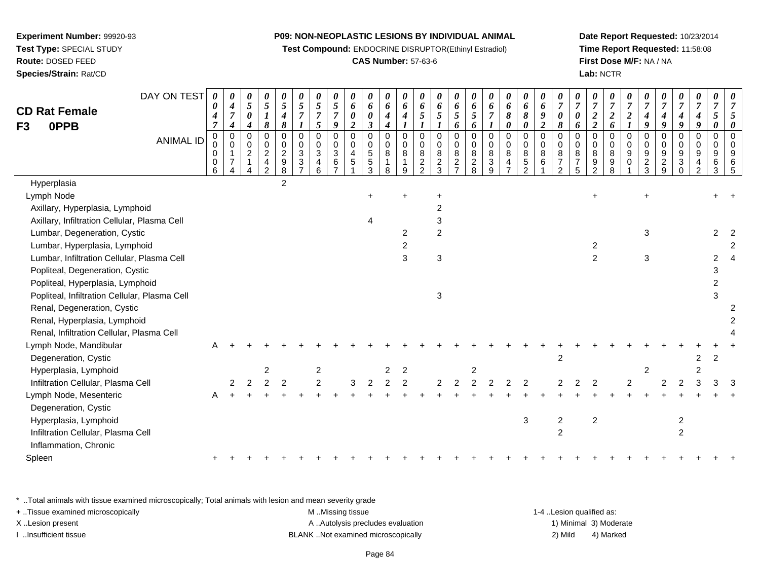**Test Compound:** ENDOCRINE DISRUPTOR(Ethinyl Estradiol)

#### **CAS Number:** 57-63-6

**Date Report Requested:** 10/23/2014**Time Report Requested:** 11:58:08**First Dose M/F:** NA / NA**Lab:** NCTR

0<br>9<br>4<br>2

*7 2 6*

0<br>9<br>0<br>1

0

**Route:** DOSED FEED **Species/Strain:** Rat/CDDAY ON TEST**CD Rat FemaleF3 0PPB**ANIMAL ID*0 0 4 7* 0 0 0 0 6*0 4 7 4* 0 0 1 7 4*0 5 0 4*0<br>0<br>2<br>1 4*0 5 1 8* 0 0 2 4 2*0 5 4 8* 0 0 2 9 8 $\overline{2}$ *0 5 7 1* 0 0 3 3 7*0 5 7 5* 0 0 3 4 6*0 5 7 9* 0 0 3 6 7*0 6 0 2* 0 0 4 5 1*0 6 0 3* 0 0 5 5 3*0 6 4 4* 0 0 8 1 8*0 6 4 1* 0 0 8 1 9*0 6 5 1* 0 0 8 2 2*0 6 5 1* 0 0 8 2 3*0 6 5 6* 0 0 8 2 7*0 6 5 6* 0 0 8 2 8*0 6 7 1* 0 0 8 3 9*0 6 8 0* 0 0 8 4 7*0 6 8 0* 0 0 8 5 2*0 6 9 2*0<br>0<br>8<br>6<br>1 *0 7 0 8* 0 0 8 7 2*0 7 0 6* 0 0 8 7 5*0 7 2 2* 0 0 8 9 2*0*Hyperplasiaa  $\sim$  2 Lymph Node $e$  + Axillary, Hyperplasia, Lymphoidd  $\sim$  2 Axillary, Infiltration Cellular, Plasma Cell $\sim$  4 <sup>3</sup> Lumbar, Degeneration, Cystic

| Lymph Node                                    |   |               |  |   |  |  |  |   |   |  |  |   |   |   |  |   |  |   |  |
|-----------------------------------------------|---|---------------|--|---|--|--|--|---|---|--|--|---|---|---|--|---|--|---|--|
| Axillary, Hyperplasia, Lymphoid               |   |               |  |   |  |  |  |   |   |  |  |   |   |   |  |   |  |   |  |
| Axillary, Infiltration Cellular, Plasma Cell  |   |               |  |   |  |  |  |   |   |  |  |   |   |   |  |   |  |   |  |
| Lumbar, Degeneration, Cystic                  |   |               |  |   |  |  |  |   | 2 |  |  |   |   |   |  | 3 |  |   |  |
| Lumbar, Hyperplasia, Lymphoid                 |   |               |  |   |  |  |  | 2 |   |  |  |   |   |   |  |   |  |   |  |
| Lumbar, Infiltration Cellular, Plasma Cell    |   |               |  |   |  |  |  | 3 | 3 |  |  |   |   | 2 |  | 3 |  |   |  |
| Popliteal, Degeneration, Cystic               |   |               |  |   |  |  |  |   |   |  |  |   |   |   |  |   |  |   |  |
| Popliteal, Hyperplasia, Lymphoid              |   |               |  |   |  |  |  |   |   |  |  |   |   |   |  |   |  |   |  |
| Popliteal, Infiltration Cellular, Plasma Cell |   |               |  |   |  |  |  |   | 3 |  |  |   |   |   |  |   |  | 3 |  |
| Renal, Degeneration, Cystic                   |   |               |  |   |  |  |  |   |   |  |  |   |   |   |  |   |  |   |  |
| Renal, Hyperplasia, Lymphoid                  |   |               |  |   |  |  |  |   |   |  |  |   |   |   |  |   |  |   |  |
| Renal, Infiltration Cellular, Plasma Cell     |   |               |  |   |  |  |  |   |   |  |  |   |   |   |  |   |  |   |  |
| Lymph Node, Mandibular                        | A |               |  |   |  |  |  |   |   |  |  |   |   |   |  |   |  |   |  |
| Degeneration, Cystic                          |   |               |  |   |  |  |  |   |   |  |  |   | 2 |   |  |   |  |   |  |
| Hyperplasia, Lymphoid                         |   |               |  |   |  |  |  |   |   |  |  |   |   |   |  |   |  |   |  |
| Infiltration Cellular, Plasma Cell            |   | $\mathcal{P}$ |  | 2 |  |  |  |   |   |  |  |   |   |   |  |   |  |   |  |
| Lymph Node, Mesenteric                        | A |               |  |   |  |  |  |   |   |  |  |   |   |   |  |   |  |   |  |
| Degeneration, Cystic                          |   |               |  |   |  |  |  |   |   |  |  |   |   |   |  |   |  |   |  |
| Hyperplasia, Lymphoid                         |   |               |  |   |  |  |  |   |   |  |  | 3 |   |   |  |   |  |   |  |
| Infiltration Cellular, Plasma Cell            |   |               |  |   |  |  |  |   |   |  |  |   | 2 |   |  |   |  |   |  |
| Inflammation, Chronic                         |   |               |  |   |  |  |  |   |   |  |  |   |   |   |  |   |  |   |  |
| Spleen                                        |   |               |  |   |  |  |  |   |   |  |  |   |   |   |  |   |  |   |  |
|                                               |   |               |  |   |  |  |  |   |   |  |  |   |   |   |  |   |  |   |  |

\* ..Total animals with tissue examined microscopically; Total animals with lesion and mean severity grade

**Experiment Number:** 99920-93**Test Type:** SPECIAL STUDY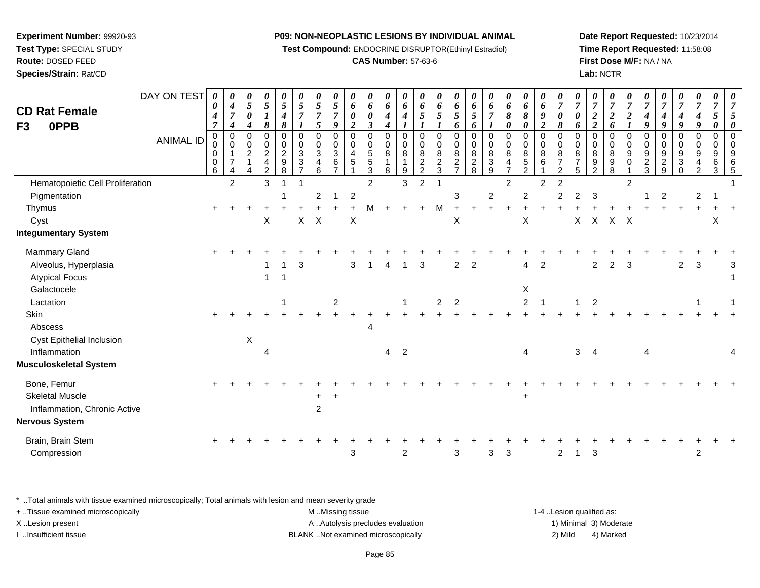**Experiment Number:** 99920-93

**Test Type:** SPECIAL STUDY

**Route:** DOSED FEED

**Species/Strain:** Rat/CD

#### **Test Compound:** ENDOCRINE DISRUPTOR(Ethinyl Estradiol)

# **CAS Number:** 57-63-6

**Date Report Requested:** 10/23/2014**Time Report Requested:** 11:58:08**First Dose M/F:** NA / NA**Lab:** NCTR

| <b>CD Rat Female</b>             | DAY ON TEST      | 0<br>0<br>4                            | 0<br>$\boldsymbol{4}$<br>$\overline{7}$                                                 | 0<br>$\mathfrak{s}$<br>$\pmb{\theta}$                       | $\boldsymbol{\theta}$<br>$\mathfrak{s}$<br>$\boldsymbol{l}$                           | 0<br>$\sqrt{5}$<br>$\boldsymbol{4}$                              | 0<br>$5\overline{)}$<br>$\overline{7}$       | 0<br>$\mathfrak{s}$<br>$\overline{7}$             | 0<br>$\sqrt{5}$<br>$\overline{7}$                                 | 0<br>6<br>$\boldsymbol{\theta}$                                    | $\boldsymbol{\theta}$<br>$\boldsymbol{6}$<br>$\pmb{\theta}$        | $\boldsymbol{\theta}$<br>6<br>$\boldsymbol{4}$                           | $\boldsymbol{\theta}$<br>6<br>$\boldsymbol{4}$            | 0<br>6<br>5                                   | 0<br>6<br>5                            | 0<br>$\pmb{6}$<br>5                                       | 0<br>6<br>5                                          | 0<br>6<br>$\overline{7}$                         | 0<br>6<br>8                                       | 0<br>6<br>8                                                                  | 0<br>6<br>9                                         | $\boldsymbol{\theta}$<br>$\boldsymbol{7}$<br>$\boldsymbol{\theta}$    | $\boldsymbol{\theta}$<br>$\overline{7}$<br>0             | 0<br>$\overline{7}$<br>$\boldsymbol{2}$                  | $\boldsymbol{\theta}$<br>$\overline{7}$<br>$\boldsymbol{2}$                      | 0<br>$\overline{7}$<br>$\boldsymbol{2}$ | $\overline{7}$<br>$\boldsymbol{4}$                    | 0<br>$\overline{7}$<br>4                                         | $\frac{\boldsymbol{\theta}}{\boldsymbol{7}}$<br>$\boldsymbol{4}$         | 0<br>$\boldsymbol{7}$<br>$\boldsymbol{4}$    | 0<br>$\overline{7}$<br>$\sqrt{5}$ | $\boldsymbol{\theta}$<br>$\overline{7}$<br>5                                                   |
|----------------------------------|------------------|----------------------------------------|-----------------------------------------------------------------------------------------|-------------------------------------------------------------|---------------------------------------------------------------------------------------|------------------------------------------------------------------|----------------------------------------------|---------------------------------------------------|-------------------------------------------------------------------|--------------------------------------------------------------------|--------------------------------------------------------------------|--------------------------------------------------------------------------|-----------------------------------------------------------|-----------------------------------------------|----------------------------------------|-----------------------------------------------------------|------------------------------------------------------|--------------------------------------------------|---------------------------------------------------|------------------------------------------------------------------------------|-----------------------------------------------------|-----------------------------------------------------------------------|----------------------------------------------------------|----------------------------------------------------------|----------------------------------------------------------------------------------|-----------------------------------------|-------------------------------------------------------|------------------------------------------------------------------|--------------------------------------------------------------------------|----------------------------------------------|-----------------------------------|------------------------------------------------------------------------------------------------|
| <b>OPPB</b><br>F <sub>3</sub>    | <b>ANIMAL ID</b> | $\Omega$<br>$\mathbf 0$<br>0<br>0<br>6 | $\boldsymbol{4}$<br>$\mathbf 0$<br>$\mathbf 0$<br>$\overline{1}$<br>$\overline{7}$<br>4 | $\boldsymbol{4}$<br>0<br>$\mathbf 0$<br>$\overline{2}$<br>1 | 8<br>$\mathbf 0$<br>$\mathbf 0$<br>$\overline{c}$<br>$\overline{4}$<br>$\overline{2}$ | 8<br>0<br>$\mathbf 0$<br>$\overline{c}$<br>$\boldsymbol{9}$<br>8 | $\mathbf 0$<br>0<br>3<br>3<br>$\overline{7}$ | 5<br>0<br>$\mathbf 0$<br>3<br>$\overline{4}$<br>6 | $\boldsymbol{q}$<br>$\mathbf 0$<br>$\pmb{0}$<br>$\mathbf{3}$<br>6 | $\overline{2}$<br>0<br>$\mathbf 0$<br>$\overline{4}$<br>$\sqrt{5}$ | $\mathfrak{z}$<br>$\mathbf 0$<br>$\mathbf 0$<br>5<br>$\frac{5}{3}$ | $\boldsymbol{4}$<br>$\mathbf 0$<br>$\mathbf 0$<br>8<br>$\mathbf{1}$<br>8 | $\mathbf{I}$<br>$\mathbf 0$<br>$\mathbf 0$<br>8<br>1<br>9 | $\Omega$<br>$\mathbf 0$<br>8<br>$\frac{2}{2}$ | 0<br>$\mathsf 0$<br>8<br>$\frac{2}{3}$ | 6<br>$\mathbf 0$<br>$\pmb{0}$<br>$\bf 8$<br>$\frac{2}{7}$ | 6<br>$\mathbf 0$<br>$\mathbf 0$<br>8<br>$_{\rm 8}^2$ | $\mathbf 0$<br>$\mathbf 0$<br>8<br>$\frac{3}{9}$ | 0<br>0<br>$\mathbf 0$<br>8<br>4<br>$\overline{7}$ | $\boldsymbol{\theta}$<br>$\overline{0}$<br>$\mathbf 0$<br>8<br>$\frac{5}{2}$ | $\overline{2}$<br>$\Omega$<br>$\mathbf 0$<br>8<br>6 | 8<br>$\Omega$<br>$\mathbf 0$<br>8<br>$\overline{7}$<br>$\overline{2}$ | 6<br>$\Omega$<br>$\mathbf 0$<br>8<br>$\overline{7}$<br>5 | $\overline{2}$<br>$\Omega$<br>$\mathbf 0$<br>8<br>9<br>2 | 6<br>$\Omega$<br>$\mathbf 0$<br>$\,8\,$<br>$\begin{array}{c} 9 \\ 8 \end{array}$ | 1<br>0<br>$\mathbf 0$<br>9<br>0         | 9<br>$\mathbf 0$<br>$\mathbf 0$<br>9<br>$\frac{2}{3}$ | $\boldsymbol{g}$<br>0<br>$\mathbf 0$<br>9<br>$\overline{c}$<br>9 | 9<br>0<br>0<br>$\boldsymbol{9}$<br>$\ensuremath{\mathsf{3}}$<br>$\Omega$ | 9<br>$\mathbf 0$<br>$\pmb{0}$<br>9<br>4<br>2 | 0<br>$\Omega$<br>0<br>9<br>6<br>3 | $\boldsymbol{\theta}$<br>$\Omega$<br>$\mathbf 0$<br>9<br>$\begin{array}{c} 6 \\ 5 \end{array}$ |
| Hematopoietic Cell Proliferation |                  |                                        | $\overline{2}$                                                                          |                                                             | 3                                                                                     |                                                                  |                                              |                                                   |                                                                   |                                                                    | $\overline{2}$                                                     |                                                                          | 3                                                         | $\overline{c}$                                |                                        |                                                           |                                                      |                                                  | $\overline{2}$                                    |                                                                              | $\overline{2}$                                      | $\overline{c}$                                                        |                                                          |                                                          |                                                                                  | $\overline{2}$                          |                                                       |                                                                  |                                                                          |                                              |                                   |                                                                                                |
| Pigmentation                     |                  |                                        |                                                                                         |                                                             |                                                                                       |                                                                  |                                              | $\overline{2}$                                    | $\overline{1}$                                                    | $\boldsymbol{2}$                                                   |                                                                    |                                                                          |                                                           |                                               |                                        | 3                                                         |                                                      | $\overline{c}$                                   |                                                   | $\overline{2}$                                                               |                                                     | $\overline{2}$                                                        | $\overline{c}$                                           | 3                                                        |                                                                                  |                                         |                                                       | $\overline{c}$                                                   |                                                                          | $\overline{2}$                               |                                   |                                                                                                |
| Thymus                           |                  |                                        |                                                                                         |                                                             |                                                                                       |                                                                  |                                              |                                                   |                                                                   |                                                                    |                                                                    |                                                                          |                                                           |                                               |                                        |                                                           |                                                      |                                                  |                                                   |                                                                              |                                                     |                                                                       |                                                          |                                                          |                                                                                  |                                         |                                                       |                                                                  |                                                                          |                                              |                                   |                                                                                                |
| Cyst                             |                  |                                        |                                                                                         |                                                             | X                                                                                     |                                                                  | X                                            | $\mathsf{X}$                                      |                                                                   | X                                                                  |                                                                    |                                                                          |                                                           |                                               |                                        | X                                                         |                                                      |                                                  |                                                   | X                                                                            |                                                     |                                                                       | X.                                                       | $\mathsf{X}$                                             |                                                                                  | $X$ $X$                                 |                                                       |                                                                  |                                                                          |                                              | X                                 |                                                                                                |
| <b>Integumentary System</b>      |                  |                                        |                                                                                         |                                                             |                                                                                       |                                                                  |                                              |                                                   |                                                                   |                                                                    |                                                                    |                                                                          |                                                           |                                               |                                        |                                                           |                                                      |                                                  |                                                   |                                                                              |                                                     |                                                                       |                                                          |                                                          |                                                                                  |                                         |                                                       |                                                                  |                                                                          |                                              |                                   |                                                                                                |
| Mammary Gland                    |                  |                                        |                                                                                         |                                                             |                                                                                       |                                                                  |                                              |                                                   |                                                                   |                                                                    |                                                                    |                                                                          |                                                           |                                               |                                        |                                                           |                                                      |                                                  |                                                   |                                                                              |                                                     |                                                                       |                                                          |                                                          |                                                                                  |                                         |                                                       |                                                                  |                                                                          |                                              |                                   |                                                                                                |
| Alveolus, Hyperplasia            |                  |                                        |                                                                                         |                                                             |                                                                                       |                                                                  | 3                                            |                                                   |                                                                   | 3                                                                  |                                                                    | 4                                                                        |                                                           | 3                                             |                                        | $\overline{2}$                                            | 2                                                    |                                                  |                                                   | 4                                                                            | $\overline{2}$                                      |                                                                       |                                                          | 2                                                        | 2                                                                                | 3                                       |                                                       |                                                                  | $\overline{2}$                                                           | 3                                            |                                   |                                                                                                |
| <b>Atypical Focus</b>            |                  |                                        |                                                                                         |                                                             | $\mathbf{1}$                                                                          |                                                                  |                                              |                                                   |                                                                   |                                                                    |                                                                    |                                                                          |                                                           |                                               |                                        |                                                           |                                                      |                                                  |                                                   |                                                                              |                                                     |                                                                       |                                                          |                                                          |                                                                                  |                                         |                                                       |                                                                  |                                                                          |                                              |                                   |                                                                                                |
| Galactocele                      |                  |                                        |                                                                                         |                                                             |                                                                                       |                                                                  |                                              |                                                   |                                                                   |                                                                    |                                                                    |                                                                          |                                                           |                                               |                                        |                                                           |                                                      |                                                  |                                                   | $\mathsf{X}$                                                                 |                                                     |                                                                       |                                                          |                                                          |                                                                                  |                                         |                                                       |                                                                  |                                                                          |                                              |                                   |                                                                                                |
| Lactation                        |                  |                                        |                                                                                         |                                                             |                                                                                       |                                                                  |                                              |                                                   | $\boldsymbol{2}$                                                  |                                                                    |                                                                    |                                                                          | 1                                                         |                                               | $\overline{2}$                         | $\overline{2}$                                            |                                                      |                                                  |                                                   | $\overline{c}$                                                               | -1                                                  |                                                                       |                                                          | $\overline{2}$                                           |                                                                                  |                                         |                                                       |                                                                  |                                                                          |                                              |                                   |                                                                                                |
| Skin                             |                  |                                        |                                                                                         |                                                             |                                                                                       |                                                                  |                                              |                                                   |                                                                   |                                                                    |                                                                    |                                                                          |                                                           |                                               |                                        |                                                           |                                                      |                                                  |                                                   |                                                                              |                                                     |                                                                       |                                                          |                                                          |                                                                                  |                                         |                                                       |                                                                  |                                                                          |                                              |                                   |                                                                                                |
| Abscess                          |                  |                                        |                                                                                         |                                                             |                                                                                       |                                                                  |                                              |                                                   |                                                                   |                                                                    | $\boldsymbol{\Lambda}$                                             |                                                                          |                                                           |                                               |                                        |                                                           |                                                      |                                                  |                                                   |                                                                              |                                                     |                                                                       |                                                          |                                                          |                                                                                  |                                         |                                                       |                                                                  |                                                                          |                                              |                                   |                                                                                                |
| Cyst Epithelial Inclusion        |                  |                                        |                                                                                         | $\mathsf X$                                                 |                                                                                       |                                                                  |                                              |                                                   |                                                                   |                                                                    |                                                                    |                                                                          |                                                           |                                               |                                        |                                                           |                                                      |                                                  |                                                   |                                                                              |                                                     |                                                                       |                                                          |                                                          |                                                                                  |                                         |                                                       |                                                                  |                                                                          |                                              |                                   |                                                                                                |
| Inflammation                     |                  |                                        |                                                                                         |                                                             | 4                                                                                     |                                                                  |                                              |                                                   |                                                                   |                                                                    |                                                                    | 4                                                                        | $\overline{2}$                                            |                                               |                                        |                                                           |                                                      |                                                  |                                                   | 4                                                                            |                                                     |                                                                       | 3                                                        | 4                                                        |                                                                                  |                                         | 4                                                     |                                                                  |                                                                          |                                              |                                   |                                                                                                |
| <b>Musculoskeletal System</b>    |                  |                                        |                                                                                         |                                                             |                                                                                       |                                                                  |                                              |                                                   |                                                                   |                                                                    |                                                                    |                                                                          |                                                           |                                               |                                        |                                                           |                                                      |                                                  |                                                   |                                                                              |                                                     |                                                                       |                                                          |                                                          |                                                                                  |                                         |                                                       |                                                                  |                                                                          |                                              |                                   |                                                                                                |
| Bone, Femur                      |                  |                                        |                                                                                         |                                                             |                                                                                       |                                                                  |                                              |                                                   |                                                                   |                                                                    |                                                                    |                                                                          |                                                           |                                               |                                        |                                                           |                                                      |                                                  |                                                   |                                                                              |                                                     |                                                                       |                                                          |                                                          |                                                                                  |                                         |                                                       |                                                                  |                                                                          |                                              |                                   |                                                                                                |
| <b>Skeletal Muscle</b>           |                  |                                        |                                                                                         |                                                             |                                                                                       |                                                                  |                                              |                                                   |                                                                   |                                                                    |                                                                    |                                                                          |                                                           |                                               |                                        |                                                           |                                                      |                                                  |                                                   | $\ddot{}$                                                                    |                                                     |                                                                       |                                                          |                                                          |                                                                                  |                                         |                                                       |                                                                  |                                                                          |                                              |                                   |                                                                                                |
| Inflammation, Chronic Active     |                  |                                        |                                                                                         |                                                             |                                                                                       |                                                                  |                                              | $\overline{2}$                                    |                                                                   |                                                                    |                                                                    |                                                                          |                                                           |                                               |                                        |                                                           |                                                      |                                                  |                                                   |                                                                              |                                                     |                                                                       |                                                          |                                                          |                                                                                  |                                         |                                                       |                                                                  |                                                                          |                                              |                                   |                                                                                                |
| <b>Nervous System</b>            |                  |                                        |                                                                                         |                                                             |                                                                                       |                                                                  |                                              |                                                   |                                                                   |                                                                    |                                                                    |                                                                          |                                                           |                                               |                                        |                                                           |                                                      |                                                  |                                                   |                                                                              |                                                     |                                                                       |                                                          |                                                          |                                                                                  |                                         |                                                       |                                                                  |                                                                          |                                              |                                   |                                                                                                |
| Brain, Brain Stem                |                  |                                        |                                                                                         |                                                             |                                                                                       |                                                                  |                                              |                                                   |                                                                   |                                                                    |                                                                    |                                                                          |                                                           |                                               |                                        |                                                           |                                                      |                                                  |                                                   |                                                                              |                                                     |                                                                       |                                                          |                                                          |                                                                                  |                                         |                                                       |                                                                  |                                                                          |                                              |                                   |                                                                                                |
| Compression                      |                  |                                        |                                                                                         |                                                             |                                                                                       |                                                                  |                                              |                                                   |                                                                   | 3                                                                  |                                                                    |                                                                          | 2                                                         |                                               |                                        | 3                                                         |                                                      | 3                                                | 3                                                 |                                                                              |                                                     | $\overline{c}$                                                        | 1                                                        | 3                                                        |                                                                                  |                                         |                                                       |                                                                  |                                                                          | $\overline{c}$                               |                                   |                                                                                                |

\* ..Total animals with tissue examined microscopically; Total animals with lesion and mean severity grade

| + Tissue examined microscopically | M Missing tissue                   | 1-4 Lesion qualified as: |                        |
|-----------------------------------|------------------------------------|--------------------------|------------------------|
| X Lesion present                  | A Autolysis precludes evaluation   |                          | 1) Minimal 3) Moderate |
| Insufficient tissue               | BLANK Not examined microscopically | 2) Mild                  | 4) Marked              |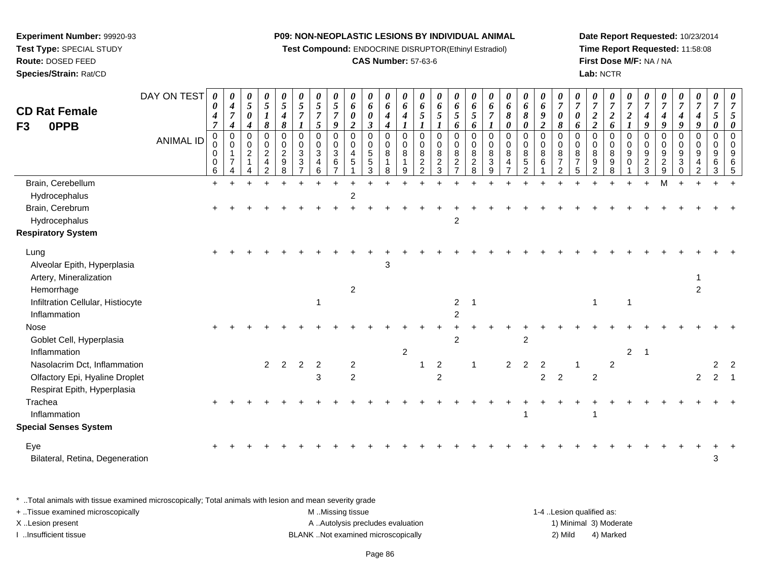**Test Compound:** ENDOCRINE DISRUPTOR(Ethinyl Estradiol)

#### **CAS Number:** 57-63-6

**Date Report Requested:** 10/23/2014**Time Report Requested:** 11:58:08**First Dose M/F:** NA / NA**Lab:** NCTR

| <b>CD Rat Female</b><br>F3<br>0PPB                                                     | DAY ON TEST<br><b>ANIMAL ID</b> | 0<br>0<br>$\boldsymbol{4}$<br>$\overline{7}$<br>$\mathbf 0$<br>0<br>0 | $\boldsymbol{\theta}$<br>$\boldsymbol{4}$<br>$\overline{7}$<br>$\boldsymbol{4}$<br>$\pmb{0}$<br>$\mathbf 0$<br>$\mathbf{1}$<br>$\overline{7}$ | $\pmb{\theta}$<br>5<br>$\boldsymbol{\theta}$<br>4<br>0<br>$\mathbf 0$<br>$\sqrt{2}$<br>$\mathbf{1}$ | 0<br>5<br>$\boldsymbol{l}$<br>8<br>$\pmb{0}$<br>$\mathbf 0$<br>$\overline{2}$<br>4 | 0<br>5<br>4<br>$\pmb{8}$<br>$\mathbf 0$<br>$\Omega$<br>$\overline{2}$<br>9 | 0<br>5<br>$\boldsymbol{l}$<br>$\mathbf 0$<br>0<br>$\mathbf{3}$<br>$\mathbf{3}$ | 0<br>5<br>$\overline{7}$<br>5<br>$\mathsf 0$<br>$\pmb{0}$<br>$\sqrt{3}$<br>4 | $\boldsymbol{\theta}$<br>$\sqrt{5}$<br>$\overline{7}$<br>9<br>$\pmb{0}$<br>$\mathbf 0$<br>$\sqrt{3}$<br>6 | $\pmb{\theta}$<br>6<br>$\boldsymbol{\theta}$<br>$\boldsymbol{2}$<br>$\mathbf 0$<br>$\mathbf 0$<br>$\overline{4}$<br>$\sqrt{5}$ | 0<br>6<br>0<br>3<br>$\pmb{0}$<br>$\Omega$<br>5<br>5 | 0<br>6<br>$\boldsymbol{4}$<br>$\boldsymbol{4}$<br>$\mathbf 0$<br>$\Omega$<br>8 | 0<br>6<br>4<br>$\mathbf 0$<br>$\mathbf 0$<br>8 | $\boldsymbol{\theta}$<br>6<br>5<br>$\mathsf 0$<br>$\mathbf 0$<br>8<br>$\overline{c}$ | $\boldsymbol{\theta}$<br>6<br>5<br>$\pmb{0}$<br>$\mathbf 0$<br>8<br>$\overline{c}$ | $\boldsymbol{\theta}$<br>6<br>5<br>6<br>$\pmb{0}$<br>$\mathbf 0$<br>8<br>$\overline{c}$ | 0<br>6<br>5<br>6<br>$\mathbf 0$<br>0<br>8<br>$\overline{c}$ | 0<br>6<br>$\overline{7}$<br>$\pmb{0}$<br>$\mathbf 0$<br>8<br>3 | 0<br>6<br>8<br>0<br>0<br>$\mathbf 0$<br>8<br>4 | $\boldsymbol{\theta}$<br>6<br>8<br>$\boldsymbol{\theta}$<br>$\boldsymbol{0}$<br>$\mathbf 0$<br>$\, 8$<br>$\sqrt{5}$ | 0<br>6<br>9<br>$\boldsymbol{2}$<br>$\mathbf 0$<br>$\Omega$<br>8<br>6 | 0<br>$\overline{7}$<br>$\boldsymbol{\theta}$<br>8<br>$\mathbf 0$<br>$\Omega$<br>8<br>$\overline{7}$ | 0<br>$\overline{7}$<br>0<br>6<br>$\Omega$<br>$\Omega$<br>8<br>$\overline{7}$ | 0<br>$\overline{7}$<br>$\boldsymbol{2}$<br>$\overline{2}$<br>$\pmb{0}$<br>0<br>8<br>9 | $\pmb{\theta}$<br>$\overline{7}$<br>$\boldsymbol{2}$<br>6<br>$\mathbf 0$<br>$\Omega$<br>8<br>9 | 0<br>$\overline{7}$<br>$\boldsymbol{2}$<br>$\mathbf 0$<br>$\Omega$<br>9<br>0 | 0<br>$\overline{7}$<br>$\boldsymbol{4}$<br>9<br>$\mathbf 0$<br>$\Omega$<br>9<br>$\overline{c}$ | 0<br>$\overline{7}$<br>4<br>9<br>0<br>$\mathbf 0$<br>9<br>$\overline{c}$ | 0<br>$\boldsymbol{7}$<br>$\boldsymbol{4}$<br>9<br>$\pmb{0}$<br>$\mathbf 0$<br>$9\,$<br>3 | 0<br>$\overline{7}$<br>$\boldsymbol{4}$<br>9<br>$\pmb{0}$<br>$\Omega$<br>9<br>4 | $\boldsymbol{\theta}$<br>$\overline{7}$<br>5<br>0<br>$\mathbf 0$<br>0<br>9<br>6 | $\overline{7}$<br>5<br>$\boldsymbol{\theta}$<br>$\mathbf 0$<br>$\Omega$<br>9<br>6 |
|----------------------------------------------------------------------------------------|---------------------------------|-----------------------------------------------------------------------|-----------------------------------------------------------------------------------------------------------------------------------------------|-----------------------------------------------------------------------------------------------------|------------------------------------------------------------------------------------|----------------------------------------------------------------------------|--------------------------------------------------------------------------------|------------------------------------------------------------------------------|-----------------------------------------------------------------------------------------------------------|--------------------------------------------------------------------------------------------------------------------------------|-----------------------------------------------------|--------------------------------------------------------------------------------|------------------------------------------------|--------------------------------------------------------------------------------------|------------------------------------------------------------------------------------|-----------------------------------------------------------------------------------------|-------------------------------------------------------------|----------------------------------------------------------------|------------------------------------------------|---------------------------------------------------------------------------------------------------------------------|----------------------------------------------------------------------|-----------------------------------------------------------------------------------------------------|------------------------------------------------------------------------------|---------------------------------------------------------------------------------------|------------------------------------------------------------------------------------------------|------------------------------------------------------------------------------|------------------------------------------------------------------------------------------------|--------------------------------------------------------------------------|------------------------------------------------------------------------------------------|---------------------------------------------------------------------------------|---------------------------------------------------------------------------------|-----------------------------------------------------------------------------------|
|                                                                                        |                                 | 6                                                                     | Δ                                                                                                                                             |                                                                                                     | $\overline{2}$                                                                     | 8                                                                          |                                                                                | 6                                                                            | $\overline{7}$                                                                                            | $\overline{ }$                                                                                                                 | 3                                                   |                                                                                | 9                                              | $\overline{2}$                                                                       | $\mathbf{3}$                                                                       | $\overline{ }$                                                                          | 8                                                           | 9                                                              |                                                | $\overline{2}$                                                                                                      |                                                                      | ົ                                                                                                   | 5                                                                            | $\overline{2}$                                                                        | 8                                                                                              |                                                                              | 3                                                                                              | 9                                                                        | $\Omega$                                                                                 | $\overline{2}$                                                                  | 3                                                                               | -5                                                                                |
| Brain, Cerebellum<br>Hydrocephalus                                                     |                                 | $+$                                                                   |                                                                                                                                               |                                                                                                     |                                                                                    |                                                                            |                                                                                |                                                                              |                                                                                                           | $\overline{2}$                                                                                                                 |                                                     |                                                                                |                                                |                                                                                      |                                                                                    |                                                                                         |                                                             |                                                                |                                                |                                                                                                                     |                                                                      |                                                                                                     |                                                                              |                                                                                       |                                                                                                |                                                                              |                                                                                                | М                                                                        |                                                                                          |                                                                                 |                                                                                 |                                                                                   |
| Brain, Cerebrum                                                                        |                                 |                                                                       |                                                                                                                                               |                                                                                                     |                                                                                    |                                                                            |                                                                                |                                                                              |                                                                                                           |                                                                                                                                |                                                     |                                                                                |                                                |                                                                                      |                                                                                    |                                                                                         |                                                             |                                                                |                                                |                                                                                                                     |                                                                      |                                                                                                     |                                                                              |                                                                                       |                                                                                                |                                                                              |                                                                                                |                                                                          |                                                                                          |                                                                                 |                                                                                 |                                                                                   |
| Hydrocephalus<br><b>Respiratory System</b>                                             |                                 |                                                                       |                                                                                                                                               |                                                                                                     |                                                                                    |                                                                            |                                                                                |                                                                              |                                                                                                           |                                                                                                                                |                                                     |                                                                                |                                                |                                                                                      |                                                                                    | 2                                                                                       |                                                             |                                                                |                                                |                                                                                                                     |                                                                      |                                                                                                     |                                                                              |                                                                                       |                                                                                                |                                                                              |                                                                                                |                                                                          |                                                                                          |                                                                                 |                                                                                 |                                                                                   |
|                                                                                        |                                 |                                                                       |                                                                                                                                               |                                                                                                     |                                                                                    |                                                                            |                                                                                |                                                                              |                                                                                                           |                                                                                                                                |                                                     |                                                                                |                                                |                                                                                      |                                                                                    |                                                                                         |                                                             |                                                                |                                                |                                                                                                                     |                                                                      |                                                                                                     |                                                                              |                                                                                       |                                                                                                |                                                                              |                                                                                                |                                                                          |                                                                                          |                                                                                 |                                                                                 |                                                                                   |
| Lung<br>Alveolar Epith, Hyperplasia                                                    |                                 |                                                                       |                                                                                                                                               |                                                                                                     |                                                                                    |                                                                            |                                                                                |                                                                              |                                                                                                           |                                                                                                                                |                                                     | 3                                                                              |                                                |                                                                                      |                                                                                    |                                                                                         |                                                             |                                                                |                                                |                                                                                                                     |                                                                      |                                                                                                     |                                                                              |                                                                                       |                                                                                                |                                                                              |                                                                                                |                                                                          |                                                                                          |                                                                                 |                                                                                 |                                                                                   |
| Artery, Mineralization                                                                 |                                 |                                                                       |                                                                                                                                               |                                                                                                     |                                                                                    |                                                                            |                                                                                |                                                                              |                                                                                                           |                                                                                                                                |                                                     |                                                                                |                                                |                                                                                      |                                                                                    |                                                                                         |                                                             |                                                                |                                                |                                                                                                                     |                                                                      |                                                                                                     |                                                                              |                                                                                       |                                                                                                |                                                                              |                                                                                                |                                                                          |                                                                                          |                                                                                 |                                                                                 |                                                                                   |
| Hemorrhage                                                                             |                                 |                                                                       |                                                                                                                                               |                                                                                                     |                                                                                    |                                                                            |                                                                                |                                                                              |                                                                                                           | $\overline{2}$                                                                                                                 |                                                     |                                                                                |                                                |                                                                                      |                                                                                    |                                                                                         |                                                             |                                                                |                                                |                                                                                                                     |                                                                      |                                                                                                     |                                                                              |                                                                                       |                                                                                                |                                                                              |                                                                                                |                                                                          |                                                                                          | 2                                                                               |                                                                                 |                                                                                   |
| Infiltration Cellular, Histiocyte<br>Inflammation                                      |                                 |                                                                       |                                                                                                                                               |                                                                                                     |                                                                                    |                                                                            |                                                                                | -1                                                                           |                                                                                                           |                                                                                                                                |                                                     |                                                                                |                                                |                                                                                      |                                                                                    | $\overline{c}$<br>2                                                                     | $\overline{1}$                                              |                                                                |                                                |                                                                                                                     |                                                                      |                                                                                                     |                                                                              | 1                                                                                     |                                                                                                | $\overline{1}$                                                               |                                                                                                |                                                                          |                                                                                          |                                                                                 |                                                                                 |                                                                                   |
| <b>Nose</b>                                                                            |                                 |                                                                       |                                                                                                                                               |                                                                                                     |                                                                                    |                                                                            |                                                                                |                                                                              |                                                                                                           |                                                                                                                                |                                                     |                                                                                |                                                |                                                                                      |                                                                                    |                                                                                         |                                                             |                                                                |                                                |                                                                                                                     |                                                                      |                                                                                                     |                                                                              |                                                                                       |                                                                                                |                                                                              |                                                                                                |                                                                          |                                                                                          |                                                                                 |                                                                                 |                                                                                   |
| Goblet Cell, Hyperplasia                                                               |                                 |                                                                       |                                                                                                                                               |                                                                                                     |                                                                                    |                                                                            |                                                                                |                                                                              |                                                                                                           |                                                                                                                                |                                                     |                                                                                |                                                |                                                                                      |                                                                                    | 2                                                                                       |                                                             |                                                                |                                                | $\overline{2}$                                                                                                      |                                                                      |                                                                                                     |                                                                              |                                                                                       |                                                                                                |                                                                              |                                                                                                |                                                                          |                                                                                          |                                                                                 |                                                                                 |                                                                                   |
| Inflammation                                                                           |                                 |                                                                       |                                                                                                                                               |                                                                                                     |                                                                                    |                                                                            |                                                                                |                                                                              |                                                                                                           |                                                                                                                                |                                                     |                                                                                | $\overline{c}$                                 |                                                                                      |                                                                                    |                                                                                         |                                                             |                                                                |                                                |                                                                                                                     |                                                                      |                                                                                                     |                                                                              |                                                                                       |                                                                                                | $\overline{2}$                                                               | $\overline{1}$                                                                                 |                                                                          |                                                                                          |                                                                                 |                                                                                 |                                                                                   |
| Nasolacrim Dct, Inflammation                                                           |                                 |                                                                       |                                                                                                                                               |                                                                                                     | $\overline{2}$                                                                     | $\overline{2}$                                                             | $\overline{2}$                                                                 | 2                                                                            |                                                                                                           | $\overline{c}$                                                                                                                 |                                                     |                                                                                |                                                |                                                                                      | $\overline{2}$                                                                     |                                                                                         | 1                                                           |                                                                | $\overline{2}$                                 | $\overline{2}$                                                                                                      | $\overline{2}$                                                       |                                                                                                     |                                                                              |                                                                                       | $\overline{2}$                                                                                 |                                                                              |                                                                                                |                                                                          |                                                                                          |                                                                                 | 2                                                                               | $\overline{2}$                                                                    |
| Olfactory Epi, Hyaline Droplet                                                         |                                 |                                                                       |                                                                                                                                               |                                                                                                     |                                                                                    |                                                                            |                                                                                | 3                                                                            |                                                                                                           | $\overline{2}$                                                                                                                 |                                                     |                                                                                |                                                |                                                                                      | $\overline{2}$                                                                     |                                                                                         |                                                             |                                                                |                                                |                                                                                                                     | 2                                                                    | 2                                                                                                   |                                                                              | $\overline{2}$                                                                        |                                                                                                |                                                                              |                                                                                                |                                                                          |                                                                                          | 2                                                                               | $\overline{2}$                                                                  |                                                                                   |
| Respirat Epith, Hyperplasia<br>Trachea<br>Inflammation<br><b>Special Senses System</b> |                                 |                                                                       |                                                                                                                                               |                                                                                                     |                                                                                    |                                                                            |                                                                                |                                                                              |                                                                                                           |                                                                                                                                |                                                     |                                                                                |                                                |                                                                                      |                                                                                    |                                                                                         |                                                             |                                                                |                                                |                                                                                                                     |                                                                      |                                                                                                     |                                                                              |                                                                                       |                                                                                                |                                                                              |                                                                                                |                                                                          |                                                                                          |                                                                                 |                                                                                 |                                                                                   |
| Eye<br>Bilateral, Retina, Degeneration                                                 |                                 |                                                                       |                                                                                                                                               |                                                                                                     |                                                                                    |                                                                            |                                                                                |                                                                              |                                                                                                           |                                                                                                                                |                                                     |                                                                                |                                                |                                                                                      |                                                                                    |                                                                                         |                                                             |                                                                |                                                |                                                                                                                     |                                                                      |                                                                                                     |                                                                              |                                                                                       |                                                                                                |                                                                              |                                                                                                |                                                                          |                                                                                          |                                                                                 | 3                                                                               |                                                                                   |
|                                                                                        |                                 |                                                                       |                                                                                                                                               |                                                                                                     |                                                                                    |                                                                            |                                                                                |                                                                              |                                                                                                           |                                                                                                                                |                                                     |                                                                                |                                                |                                                                                      |                                                                                    |                                                                                         |                                                             |                                                                |                                                |                                                                                                                     |                                                                      |                                                                                                     |                                                                              |                                                                                       |                                                                                                |                                                                              |                                                                                                |                                                                          |                                                                                          |                                                                                 |                                                                                 |                                                                                   |

\* ..Total animals with tissue examined microscopically; Total animals with lesion and mean severity grade

| + Tissue examined microscopically | M Missing tissue                   | 1-4 Lesion qualified as: |                        |
|-----------------------------------|------------------------------------|--------------------------|------------------------|
| X Lesion present                  | A Autolysis precludes evaluation   |                          | 1) Minimal 3) Moderate |
| …Insufficient tissue              | BLANK Not examined microscopically | 2) Mild                  | 4) Marked              |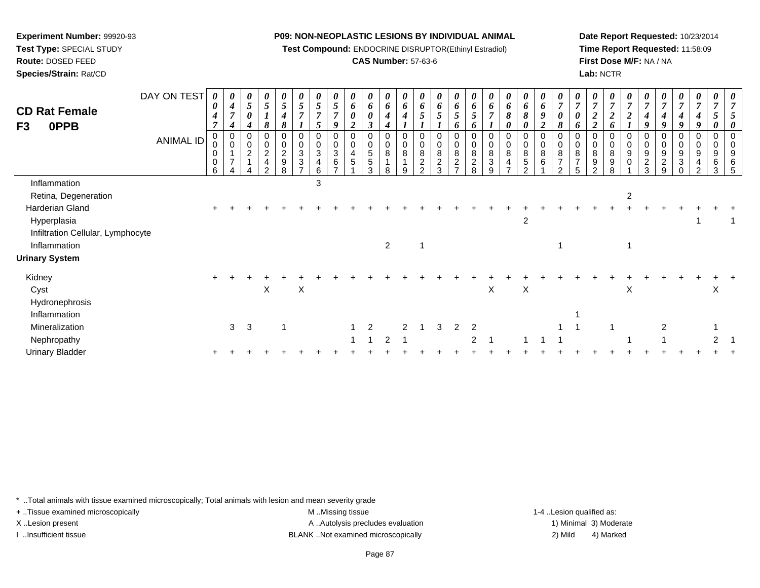**Test Compound:** ENDOCRINE DISRUPTOR(Ethinyl Estradiol)

### **CAS Number:** 57-63-6

**Date Report Requested:** 10/23/2014**Time Report Requested:** 11:58:09**First Dose M/F:** NA / NA**Lab:** NCTR

| <b>CD Rat Female</b><br>0PPB<br>F <sub>3</sub> | DAY ON TEST<br><b>ANIMAL ID</b> | $\boldsymbol{\theta}$<br>0<br>4<br>0<br>0<br>$\pmb{0}$<br>6 | $\boldsymbol{\theta}$<br>4<br>$\overline{7}$<br>4<br>$_{\rm 0}^{\rm 0}$<br>$\overline{ }$<br>4 | 0<br>5<br>0<br>4<br>0<br>0<br>$\overline{c}$<br>$\overline{A}$ | $\boldsymbol{\theta}$<br>5<br>$\boldsymbol{l}$<br>8<br>$\boldsymbol{0}$<br>$\pmb{0}$<br>$\overline{c}$<br>$\overline{4}$<br>$\overline{2}$ | $\pmb{\theta}$<br>5<br>4<br>8<br>0<br>$\mathbf 0$<br>$\overline{2}$<br>9<br>8 | 0<br>5<br>0<br>$\mathbf{3}$<br>$\sqrt{3}$<br>$\overline{\phantom{a}}$ | 0<br>5<br>$\overline{ }$<br>0<br>$\pmb{0}$<br>$\sqrt{3}$<br>4<br>6 | 0<br>5<br>7<br>O<br>0<br>0<br>$\mathbf{3}$<br>6 | $\boldsymbol{\theta}$<br>6<br>$\boldsymbol{\theta}$<br>2<br>$\pmb{0}$<br>$\pmb{0}$<br>$\overline{4}$<br>$\sqrt{5}$ | $\boldsymbol{\theta}$<br>6<br>$\boldsymbol{\theta}$<br>3<br>0<br>$\pmb{0}$<br>5<br>$\sqrt{5}$<br>3 | $\boldsymbol{\theta}$<br>6<br>4<br>$\mathbf 0$<br>8<br>8 | 0<br>6<br>0<br>$\mathbf 0$<br>8<br>9 | 0<br>6<br>5<br>0<br>0<br>$\,8\,$<br>$\overline{c}$<br>$\mathfrak{p}$ | 0<br>6<br>$\mathfrak{F}$<br>0<br>$\pmb{0}$<br>$\bf 8$<br>$\boldsymbol{2}$<br>3 | 0<br>6<br>5<br>6<br>0<br>$\pmb{0}$<br>8<br>$\overline{c}$ | $\boldsymbol{\theta}$<br>6<br>5<br>o<br>$\pmb{0}$<br>8<br>$\overline{2}$<br>8 | 0<br>6<br>$\overline{7}$<br>0<br>$\pmb{0}$<br>8<br>$\sqrt{3}$<br>9 | $\boldsymbol{\theta}$<br>6<br>8<br>0<br>$\boldsymbol{0}$<br>8<br>4<br>$\overline{ }$ | 0<br>6<br>$\pmb{8}$<br>0<br>$\mathbf 0$<br>8<br>5<br>C | $\boldsymbol{\theta}$<br>6<br>9<br>$\mathbf 0$<br>8<br>6 | 0<br>0<br>ð<br>0<br>8<br>◠ | 0<br>$\overline{7}$<br>0<br>6<br>$\mathbf 0$<br>0<br>8<br>$\overline{ }$<br>5 | $\pmb{\theta}$<br>$\overline{7}$<br>$\boldsymbol{2}$<br>$\overline{2}$<br>$\pmb{0}$<br>8<br>9<br>2 | $\boldsymbol{\theta}$<br>$\overline{7}$<br>$\boldsymbol{2}$<br>6<br>0<br>$\pmb{0}$<br>8<br>9<br>8 | 0<br>7<br>$\overline{c}$<br>0<br>9<br>$\Omega$ | 0<br>7<br>4<br>O<br>0<br>0<br>9<br>$\overline{c}$<br>3 | 0<br>$\boldsymbol{0}$<br>0<br>$\pmb{0}$<br>9<br>$\overline{2}$<br>9 | $\pmb{\theta}$<br>4<br>$\boldsymbol{0}$<br>0<br>9<br>$\sqrt{3}$<br>$\Omega$ | $\boldsymbol{\theta}$<br>$\overline{ }$<br>4<br>O<br>0<br>0<br>9<br>4<br>2 | $\boldsymbol{\theta}$<br>$\overline{7}$<br>5<br>9<br>6<br>3 | $\boldsymbol{\theta}$<br>$\overline{7}$<br>5<br>$\boldsymbol{\theta}$<br>0<br>$\pmb{0}$<br>$\boldsymbol{9}$<br>$\,6\,$<br>5 |
|------------------------------------------------|---------------------------------|-------------------------------------------------------------|------------------------------------------------------------------------------------------------|----------------------------------------------------------------|--------------------------------------------------------------------------------------------------------------------------------------------|-------------------------------------------------------------------------------|-----------------------------------------------------------------------|--------------------------------------------------------------------|-------------------------------------------------|--------------------------------------------------------------------------------------------------------------------|----------------------------------------------------------------------------------------------------|----------------------------------------------------------|--------------------------------------|----------------------------------------------------------------------|--------------------------------------------------------------------------------|-----------------------------------------------------------|-------------------------------------------------------------------------------|--------------------------------------------------------------------|--------------------------------------------------------------------------------------|--------------------------------------------------------|----------------------------------------------------------|----------------------------|-------------------------------------------------------------------------------|----------------------------------------------------------------------------------------------------|---------------------------------------------------------------------------------------------------|------------------------------------------------|--------------------------------------------------------|---------------------------------------------------------------------|-----------------------------------------------------------------------------|----------------------------------------------------------------------------|-------------------------------------------------------------|-----------------------------------------------------------------------------------------------------------------------------|
| Inflammation                                   |                                 |                                                             |                                                                                                |                                                                |                                                                                                                                            |                                                                               |                                                                       | 3                                                                  |                                                 |                                                                                                                    |                                                                                                    |                                                          |                                      |                                                                      |                                                                                |                                                           |                                                                               |                                                                    |                                                                                      |                                                        |                                                          |                            |                                                                               |                                                                                                    |                                                                                                   |                                                |                                                        |                                                                     |                                                                             |                                                                            |                                                             |                                                                                                                             |
| Retina, Degeneration                           |                                 |                                                             |                                                                                                |                                                                |                                                                                                                                            |                                                                               |                                                                       |                                                                    |                                                 |                                                                                                                    |                                                                                                    |                                                          |                                      |                                                                      |                                                                                |                                                           |                                                                               |                                                                    |                                                                                      |                                                        |                                                          |                            |                                                                               |                                                                                                    |                                                                                                   | $\overline{2}$                                 |                                                        |                                                                     |                                                                             |                                                                            |                                                             |                                                                                                                             |
| Harderian Gland                                |                                 |                                                             |                                                                                                |                                                                |                                                                                                                                            |                                                                               |                                                                       |                                                                    |                                                 |                                                                                                                    |                                                                                                    |                                                          |                                      |                                                                      |                                                                                |                                                           |                                                                               |                                                                    |                                                                                      |                                                        |                                                          |                            |                                                                               |                                                                                                    |                                                                                                   |                                                |                                                        |                                                                     |                                                                             |                                                                            |                                                             |                                                                                                                             |
| Hyperplasia                                    |                                 |                                                             |                                                                                                |                                                                |                                                                                                                                            |                                                                               |                                                                       |                                                                    |                                                 |                                                                                                                    |                                                                                                    |                                                          |                                      |                                                                      |                                                                                |                                                           |                                                                               |                                                                    |                                                                                      | $\overline{c}$                                         |                                                          |                            |                                                                               |                                                                                                    |                                                                                                   |                                                |                                                        |                                                                     |                                                                             |                                                                            |                                                             |                                                                                                                             |
| Infiltration Cellular, Lymphocyte              |                                 |                                                             |                                                                                                |                                                                |                                                                                                                                            |                                                                               |                                                                       |                                                                    |                                                 |                                                                                                                    |                                                                                                    |                                                          |                                      |                                                                      |                                                                                |                                                           |                                                                               |                                                                    |                                                                                      |                                                        |                                                          |                            |                                                                               |                                                                                                    |                                                                                                   |                                                |                                                        |                                                                     |                                                                             |                                                                            |                                                             |                                                                                                                             |
| Inflammation                                   |                                 |                                                             |                                                                                                |                                                                |                                                                                                                                            |                                                                               |                                                                       |                                                                    |                                                 |                                                                                                                    |                                                                                                    | $\overline{2}$                                           |                                      |                                                                      |                                                                                |                                                           |                                                                               |                                                                    |                                                                                      |                                                        |                                                          |                            |                                                                               |                                                                                                    |                                                                                                   |                                                |                                                        |                                                                     |                                                                             |                                                                            |                                                             |                                                                                                                             |
| <b>Urinary System</b>                          |                                 |                                                             |                                                                                                |                                                                |                                                                                                                                            |                                                                               |                                                                       |                                                                    |                                                 |                                                                                                                    |                                                                                                    |                                                          |                                      |                                                                      |                                                                                |                                                           |                                                                               |                                                                    |                                                                                      |                                                        |                                                          |                            |                                                                               |                                                                                                    |                                                                                                   |                                                |                                                        |                                                                     |                                                                             |                                                                            |                                                             |                                                                                                                             |
| Kidney                                         |                                 | $\pm$                                                       |                                                                                                |                                                                |                                                                                                                                            |                                                                               |                                                                       |                                                                    |                                                 |                                                                                                                    |                                                                                                    |                                                          |                                      |                                                                      |                                                                                |                                                           |                                                                               |                                                                    |                                                                                      |                                                        |                                                          |                            |                                                                               |                                                                                                    |                                                                                                   |                                                |                                                        |                                                                     |                                                                             |                                                                            |                                                             |                                                                                                                             |
| Cyst                                           |                                 |                                                             |                                                                                                |                                                                | X                                                                                                                                          |                                                                               | $\mathsf X$                                                           |                                                                    |                                                 |                                                                                                                    |                                                                                                    |                                                          |                                      |                                                                      |                                                                                |                                                           |                                                                               | X                                                                  |                                                                                      | $\boldsymbol{\mathsf{X}}$                              |                                                          |                            |                                                                               |                                                                                                    |                                                                                                   | X                                              |                                                        |                                                                     |                                                                             |                                                                            | X                                                           |                                                                                                                             |
| Hydronephrosis                                 |                                 |                                                             |                                                                                                |                                                                |                                                                                                                                            |                                                                               |                                                                       |                                                                    |                                                 |                                                                                                                    |                                                                                                    |                                                          |                                      |                                                                      |                                                                                |                                                           |                                                                               |                                                                    |                                                                                      |                                                        |                                                          |                            |                                                                               |                                                                                                    |                                                                                                   |                                                |                                                        |                                                                     |                                                                             |                                                                            |                                                             |                                                                                                                             |
| Inflammation                                   |                                 |                                                             |                                                                                                |                                                                |                                                                                                                                            |                                                                               |                                                                       |                                                                    |                                                 |                                                                                                                    |                                                                                                    |                                                          |                                      |                                                                      |                                                                                |                                                           |                                                                               |                                                                    |                                                                                      |                                                        |                                                          |                            |                                                                               |                                                                                                    |                                                                                                   |                                                |                                                        |                                                                     |                                                                             |                                                                            |                                                             |                                                                                                                             |
| Mineralization                                 |                                 |                                                             | 3                                                                                              | 3                                                              |                                                                                                                                            | $\overline{1}$                                                                |                                                                       |                                                                    |                                                 |                                                                                                                    | $\overline{c}$                                                                                     |                                                          | 2                                    |                                                                      | 3                                                                              | 2                                                         | 2                                                                             |                                                                    |                                                                                      |                                                        |                                                          |                            |                                                                               |                                                                                                    | $\mathbf 1$                                                                                       |                                                |                                                        | $\overline{2}$                                                      |                                                                             |                                                                            |                                                             |                                                                                                                             |
| Nephropathy                                    |                                 |                                                             |                                                                                                |                                                                |                                                                                                                                            |                                                                               |                                                                       |                                                                    |                                                 |                                                                                                                    |                                                                                                    |                                                          |                                      |                                                                      |                                                                                |                                                           | 2                                                                             |                                                                    |                                                                                      |                                                        |                                                          |                            |                                                                               |                                                                                                    |                                                                                                   |                                                |                                                        |                                                                     |                                                                             |                                                                            | $\overline{2}$                                              |                                                                                                                             |
| <b>Urinary Bladder</b>                         |                                 |                                                             |                                                                                                |                                                                |                                                                                                                                            |                                                                               |                                                                       |                                                                    |                                                 |                                                                                                                    |                                                                                                    |                                                          |                                      |                                                                      |                                                                                |                                                           |                                                                               |                                                                    |                                                                                      |                                                        |                                                          |                            |                                                                               |                                                                                                    |                                                                                                   |                                                |                                                        |                                                                     |                                                                             |                                                                            |                                                             |                                                                                                                             |
|                                                |                                 |                                                             |                                                                                                |                                                                |                                                                                                                                            |                                                                               |                                                                       |                                                                    |                                                 |                                                                                                                    |                                                                                                    |                                                          |                                      |                                                                      |                                                                                |                                                           |                                                                               |                                                                    |                                                                                      |                                                        |                                                          |                            |                                                                               |                                                                                                    |                                                                                                   |                                                |                                                        |                                                                     |                                                                             |                                                                            |                                                             |                                                                                                                             |

\* ..Total animals with tissue examined microscopically; Total animals with lesion and mean severity grade

+ ..Tissue examined microscopically examined microscopically examined as:  $M$  ..Missing tissue 1-4 ..Lesion qualified as:

**Experiment Number:** 99920-93**Test Type:** SPECIAL STUDY**Route:** DOSED FEED**Species/Strain:** Rat/CD

X..Lesion present **A ..Autolysis precludes evaluation** A ..Autolysis precludes evaluation 1) Minimal 3) Moderate I ..Insufficient tissue BLANK ..Not examined microscopically 2) Mild 4) Marked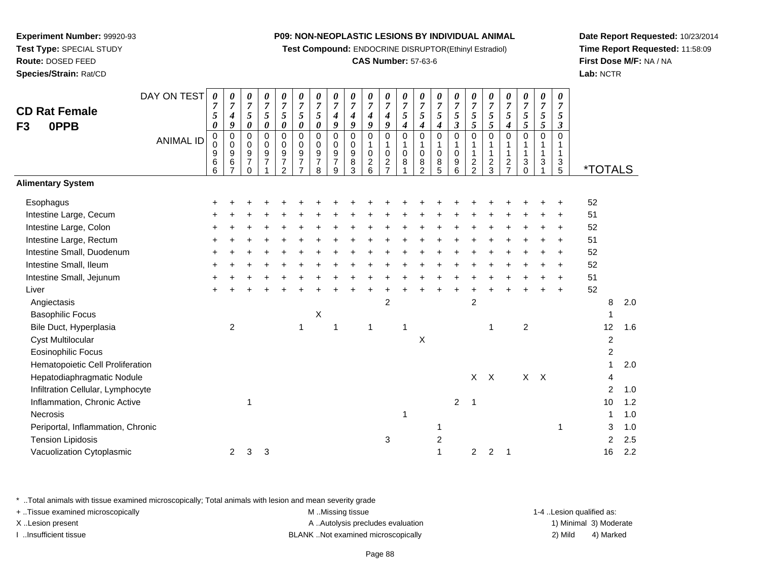**Test Compound:** ENDOCRINE DISRUPTOR(Ethinyl Estradiol)

### **CAS Number:** 57-63-6

*0 7*

*0 7*

*0 7*

*0 7*

*0 7*

*0 7*

*0 7*

*0 7*

*0 7*

*0 7*

*0 7*

**Date Report Requested:** 10/23/2014**Time Report Requested:** 11:58:09**First Dose M/F:** NA / NA**Lab:** NCTR

\* ..Total animals with tissue examined microscopically; Total animals with lesion and mean severity grade

DAY ON TEST *0 7*

*0 7*

*0 7*

*0 7*

*0 7*

*0 7*

*0 7*

*0 7*

*0 7*

*0 7*

| <b>CD Rat Female</b><br>0PPB<br>F <sub>3</sub> | 5<br>0                | 4<br>9                                                    | $\sqrt{5}$<br>$\pmb{\theta}$        | $\mathfrak{s}$<br>$\pmb{\theta}$  | 7<br>$\sqrt{5}$<br>$\pmb{\theta}$                   | 7<br>5<br>$\pmb{\theta}$                                             | 7<br>5<br>$\boldsymbol{\theta}$           | 4<br>9                                          | $\boldsymbol{9}$                               | 4<br>9                                     | 4<br>$\boldsymbol{9}$                                     | $\mathfrak{s}$<br>4                | $\mathfrak{s}$<br>4                                           | 7<br>5<br>$\boldsymbol{4}$                 | $\mathfrak{s}$<br>$\boldsymbol{\beta}$                         | 5<br>5                              | $\mathfrak{s}$<br>5          | 5<br>$\boldsymbol{4}$          | $\sqrt{5}$<br>$\sqrt{5}$                                                             | $\mathfrak{s}$<br>5 | 7<br>5<br>3                             |                       |     |
|------------------------------------------------|-----------------------|-----------------------------------------------------------|-------------------------------------|-----------------------------------|-----------------------------------------------------|----------------------------------------------------------------------|-------------------------------------------|-------------------------------------------------|------------------------------------------------|--------------------------------------------|-----------------------------------------------------------|------------------------------------|---------------------------------------------------------------|--------------------------------------------|----------------------------------------------------------------|-------------------------------------|------------------------------|--------------------------------|--------------------------------------------------------------------------------------|---------------------|-----------------------------------------|-----------------------|-----|
| <b>ANIMAL ID</b>                               | 0<br>0<br>9<br>6<br>6 | 0<br>$\mathbf 0$<br>9<br>$\overline{6}$<br>$\overline{7}$ | 0<br>0<br>$\frac{9}{7}$<br>$\Omega$ | $\mathbf 0$<br>0<br>$\frac{9}{7}$ | 0<br>$\mathbf 0$<br>$\frac{9}{7}$<br>$\mathfrak{p}$ | $\overline{0}$<br>$\pmb{0}$<br>9<br>$\overline{7}$<br>$\overline{7}$ | $\overline{0}$<br>0<br>$\frac{9}{7}$<br>8 | $\overline{0}$<br>0<br>9<br>$\overline{7}$<br>9 | $\mathbf 0$<br>0<br>$\boldsymbol{9}$<br>8<br>3 | $\overline{0}$<br>0<br>$\overline{c}$<br>6 | $\mathbf 0$<br>$\mathbf{1}$<br>$\pmb{0}$<br>$\frac{2}{7}$ | $\mathbf 0$<br>1<br>$\pmb{0}$<br>8 | $\pmb{0}$<br>$\mathbf{1}$<br>$\pmb{0}$<br>8<br>$\overline{2}$ | $\mathbf 0$<br>$\mathbf{1}$<br>0<br>8<br>5 | $\Omega$<br>$\mathbf{1}$<br>$\pmb{0}$<br>$\boldsymbol{9}$<br>6 | $\Omega$<br>1<br>1<br>$\frac{2}{2}$ | 0<br>1<br>1<br>$\frac{2}{3}$ | $\Omega$<br>1<br>$\frac{2}{7}$ | $\mathbf 0$<br>$\mathbf{1}$<br>$\mathbf{1}$<br>$\ensuremath{\mathsf{3}}$<br>$\Omega$ | 0<br>1<br>1<br>3    | 0<br>1<br>$\mathbf{1}$<br>$\frac{3}{5}$ | <i><b>*TOTALS</b></i> |     |
| <b>Alimentary System</b>                       |                       |                                                           |                                     |                                   |                                                     |                                                                      |                                           |                                                 |                                                |                                            |                                                           |                                    |                                                               |                                            |                                                                |                                     |                              |                                |                                                                                      |                     |                                         |                       |     |
| Esophagus                                      |                       |                                                           |                                     |                                   |                                                     |                                                                      |                                           |                                                 |                                                |                                            |                                                           |                                    |                                                               |                                            |                                                                |                                     |                              |                                |                                                                                      |                     |                                         | 52                    |     |
| Intestine Large, Cecum                         |                       |                                                           |                                     |                                   |                                                     |                                                                      |                                           |                                                 |                                                |                                            |                                                           |                                    |                                                               |                                            |                                                                |                                     |                              |                                |                                                                                      |                     |                                         | 51                    |     |
| Intestine Large, Colon                         |                       |                                                           |                                     |                                   |                                                     |                                                                      |                                           |                                                 |                                                |                                            |                                                           |                                    |                                                               |                                            |                                                                |                                     |                              |                                |                                                                                      |                     |                                         | 52                    |     |
| Intestine Large, Rectum                        |                       |                                                           |                                     |                                   |                                                     |                                                                      |                                           |                                                 |                                                |                                            |                                                           |                                    |                                                               |                                            |                                                                |                                     |                              |                                |                                                                                      |                     |                                         | 51                    |     |
| Intestine Small, Duodenum                      |                       |                                                           |                                     |                                   |                                                     |                                                                      |                                           |                                                 |                                                |                                            |                                                           |                                    |                                                               |                                            |                                                                |                                     |                              |                                |                                                                                      |                     |                                         | 52                    |     |
| Intestine Small, Ileum                         |                       |                                                           |                                     |                                   |                                                     |                                                                      |                                           |                                                 |                                                |                                            |                                                           |                                    |                                                               |                                            |                                                                |                                     |                              |                                |                                                                                      |                     |                                         | 52                    |     |
| Intestine Small, Jejunum                       |                       |                                                           |                                     |                                   |                                                     |                                                                      |                                           |                                                 |                                                |                                            |                                                           |                                    |                                                               |                                            |                                                                |                                     |                              |                                |                                                                                      |                     |                                         | 51                    |     |
| Liver                                          |                       |                                                           |                                     |                                   |                                                     |                                                                      |                                           |                                                 |                                                |                                            |                                                           |                                    |                                                               |                                            |                                                                |                                     |                              |                                |                                                                                      |                     |                                         | 52                    |     |
| Angiectasis                                    |                       |                                                           |                                     |                                   |                                                     |                                                                      |                                           |                                                 |                                                |                                            | $\overline{c}$                                            |                                    |                                                               |                                            |                                                                | 2                                   |                              |                                |                                                                                      |                     |                                         | 8                     | 2.0 |
| <b>Basophilic Focus</b>                        |                       |                                                           |                                     |                                   |                                                     |                                                                      | Χ                                         |                                                 |                                                |                                            |                                                           |                                    |                                                               |                                            |                                                                |                                     |                              |                                |                                                                                      |                     |                                         |                       |     |
| Bile Duct, Hyperplasia                         |                       | $\overline{c}$                                            |                                     |                                   |                                                     | 1                                                                    |                                           | 1                                               |                                                | $\mathbf{1}$                               |                                                           | 1                                  |                                                               |                                            |                                                                |                                     |                              |                                | $\overline{c}$                                                                       |                     |                                         | 12                    | 1.6 |
| Cyst Multilocular                              |                       |                                                           |                                     |                                   |                                                     |                                                                      |                                           |                                                 |                                                |                                            |                                                           |                                    | X                                                             |                                            |                                                                |                                     |                              |                                |                                                                                      |                     |                                         | $\overline{c}$        |     |
| <b>Eosinophilic Focus</b>                      |                       |                                                           |                                     |                                   |                                                     |                                                                      |                                           |                                                 |                                                |                                            |                                                           |                                    |                                                               |                                            |                                                                |                                     |                              |                                |                                                                                      |                     |                                         | $\overline{2}$        |     |
| Hematopoietic Cell Proliferation               |                       |                                                           |                                     |                                   |                                                     |                                                                      |                                           |                                                 |                                                |                                            |                                                           |                                    |                                                               |                                            |                                                                |                                     |                              |                                |                                                                                      |                     |                                         | 1                     | 2.0 |
| Hepatodiaphragmatic Nodule                     |                       |                                                           |                                     |                                   |                                                     |                                                                      |                                           |                                                 |                                                |                                            |                                                           |                                    |                                                               |                                            |                                                                | $\mathsf{X}$                        | $\boldsymbol{\mathsf{X}}$    |                                | $X$ $X$                                                                              |                     |                                         | 4                     |     |
| Infiltration Cellular, Lymphocyte              |                       |                                                           |                                     |                                   |                                                     |                                                                      |                                           |                                                 |                                                |                                            |                                                           |                                    |                                                               |                                            |                                                                |                                     |                              |                                |                                                                                      |                     |                                         | $\overline{c}$        | 1.0 |
| Inflammation, Chronic Active                   |                       |                                                           |                                     |                                   |                                                     |                                                                      |                                           |                                                 |                                                |                                            |                                                           |                                    |                                                               |                                            | $\overline{2}$                                                 | 1                                   |                              |                                |                                                                                      |                     |                                         | 10                    | 1.2 |
| <b>Necrosis</b>                                |                       |                                                           |                                     |                                   |                                                     |                                                                      |                                           |                                                 |                                                |                                            |                                                           | 1                                  |                                                               |                                            |                                                                |                                     |                              |                                |                                                                                      |                     |                                         |                       | 1.0 |
| Periportal, Inflammation, Chronic              |                       |                                                           |                                     |                                   |                                                     |                                                                      |                                           |                                                 |                                                |                                            |                                                           |                                    |                                                               |                                            |                                                                |                                     |                              |                                |                                                                                      |                     | 1                                       | 3                     | 1.0 |
| <b>Tension Lipidosis</b>                       |                       |                                                           |                                     |                                   |                                                     |                                                                      |                                           |                                                 |                                                |                                            | 3                                                         |                                    |                                                               | $\overline{2}$                             |                                                                |                                     |                              |                                |                                                                                      |                     |                                         | $\overline{2}$        | 2.5 |
| Vacuolization Cytoplasmic                      |                       | 2                                                         | 3                                   | 3                                 |                                                     |                                                                      |                                           |                                                 |                                                |                                            |                                                           |                                    |                                                               | 1                                          |                                                                | $\overline{a}$                      | 2                            |                                |                                                                                      |                     |                                         | 16                    | 2.2 |

+ ..Tissue examined microscopically examined microscopically examined as:  $M$  ..Missing tissue 1-4 ..Lesion qualified as:

X..Lesion present **A ..Autolysis precludes evaluation** A ..Autolysis precludes evaluation 1) Minimal 3) Moderate I ..Insufficient tissue BLANK ..Not examined microscopically 2) Mild 4) Marked

**Experiment Number:** 99920-93**Test Type:** SPECIAL STUDY

**Route:** DOSED FEED

**Species/Strain:** Rat/CD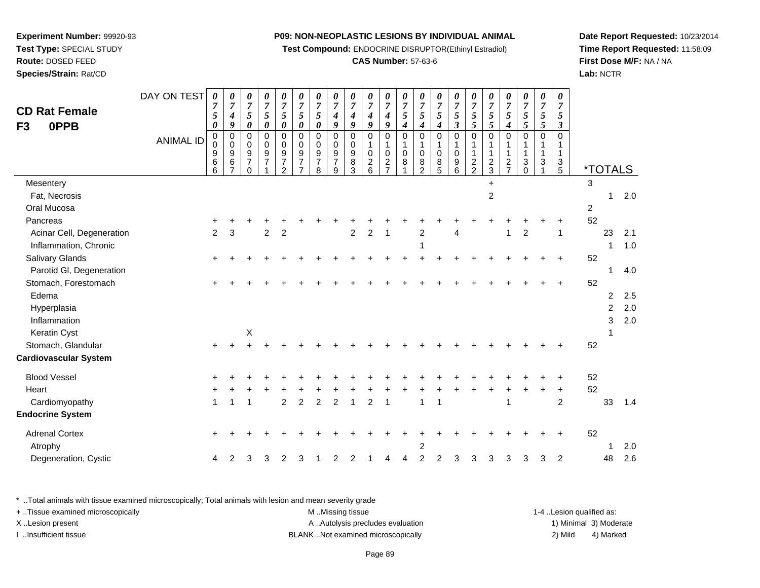**Test Compound:** ENDOCRINE DISRUPTOR(Ethinyl Estradiol)

#### **CAS Number:** 57-63-6

**Date Report Requested:** 10/23/2014**Time Report Requested:** 11:58:09**First Dose M/F:** NA / NA**Lab:** NCTR

| <b>CD Rat Female</b><br>0PPB<br>F <sub>3</sub> | DAY ON TEST      | 0<br>$\overline{7}$<br>5<br>$\pmb{\theta}$ | 0<br>$\overline{7}$<br>$\boldsymbol{4}$<br>$\boldsymbol{g}$ | 0<br>$\overline{7}$<br>5<br>$\boldsymbol{\theta}$                          | 0<br>$\overline{7}$<br>5<br>$\boldsymbol{\theta}$      | 0<br>7<br>5<br>0                                                     | $\overline{7}$<br>5<br>0                                                           | 0<br>$\overline{7}$<br>5<br>0             | 0<br>$\overline{7}$<br>$\boldsymbol{4}$<br>9        | 0<br>$\boldsymbol{7}$<br>4<br>9        | 0<br>$\overline{7}$<br>$\boldsymbol{4}$<br>9        | 0<br>$\overline{7}$<br>$\boldsymbol{4}$<br>9  | 0<br>$\overline{7}$<br>5<br>4 | 0<br>$\boldsymbol{7}$<br>5<br>$\boldsymbol{4}$    | 0<br>$\overline{7}$<br>5<br>$\boldsymbol{4}$ | 0<br>$\overline{7}$<br>$\mathfrak{s}$<br>$\mathfrak{z}$       | 0<br>$\overline{7}$<br>$\frac{5}{5}$           | 0<br>$\overline{7}$<br>$\frac{5}{5}$    | 0<br>$\overline{7}$<br>$\mathfrak{s}$<br>$\boldsymbol{4}$ | 0<br>7<br>5<br>5                | 0<br>$\overline{7}$<br>$\mathfrak{s}$<br>$\sqrt{5}$ | 0<br>7<br>5<br>3        |                |                       |     |
|------------------------------------------------|------------------|--------------------------------------------|-------------------------------------------------------------|----------------------------------------------------------------------------|--------------------------------------------------------|----------------------------------------------------------------------|------------------------------------------------------------------------------------|-------------------------------------------|-----------------------------------------------------|----------------------------------------|-----------------------------------------------------|-----------------------------------------------|-------------------------------|---------------------------------------------------|----------------------------------------------|---------------------------------------------------------------|------------------------------------------------|-----------------------------------------|-----------------------------------------------------------|---------------------------------|-----------------------------------------------------|-------------------------|----------------|-----------------------|-----|
|                                                | <b>ANIMAL ID</b> | 0<br>$\mathbf 0$<br>9<br>$\,6$<br>6        | 0<br>$\mathbf 0$<br>9<br>$\,6\,$<br>$\overline{7}$          | $\pmb{0}$<br>$\mathbf 0$<br>$\boldsymbol{9}$<br>$\overline{7}$<br>$\Omega$ | $\mathbf 0$<br>0<br>$\boldsymbol{9}$<br>$\overline{7}$ | $\mathbf 0$<br>0<br>$\boldsymbol{9}$<br>$\overline{\mathbf{7}}$<br>2 | $\mathbf 0$<br>$\mathbf 0$<br>$\boldsymbol{9}$<br>$\overline{7}$<br>$\overline{7}$ | 0<br>$\Omega$<br>9<br>$\overline{7}$<br>8 | $\Omega$<br>$\mathbf 0$<br>9<br>$\overline{7}$<br>9 | $\Omega$<br>$\mathbf 0$<br>9<br>8<br>3 | $\Omega$<br>1<br>$\mathbf 0$<br>$\overline{2}$<br>6 | $\Omega$<br>1<br>$\mathbf 0$<br>$\frac{2}{7}$ | 0<br>$\mathbf 0$<br>8         | $\Omega$<br>$\mathbf{1}$<br>$\mathbf 0$<br>8<br>2 | $\Omega$<br>1<br>$\mathbf 0$<br>8<br>5       | $\Omega$<br>$\mathbf 1$<br>$\mathbf 0$<br>9<br>$6\phantom{a}$ | $\Omega$<br>1<br>$\mathbf{1}$<br>$\frac{2}{2}$ | 0<br>1<br>$\mathbf{1}$<br>$\frac{2}{3}$ | $\mathbf 0$<br>1<br>$\mathbf{1}$<br>$\frac{2}{7}$         | $\overline{0}$<br>3<br>$\Omega$ | $\mathbf 0$<br>1<br>$\mathbf{1}$<br>3               | $\Omega$<br>1<br>3<br>5 |                | <i><b>*TOTALS</b></i> |     |
| Mesentery                                      |                  |                                            |                                                             |                                                                            |                                                        |                                                                      |                                                                                    |                                           |                                                     |                                        |                                                     |                                               |                               |                                                   |                                              |                                                               |                                                | $+$                                     |                                                           |                                 |                                                     |                         | 3              |                       |     |
| Fat, Necrosis                                  |                  |                                            |                                                             |                                                                            |                                                        |                                                                      |                                                                                    |                                           |                                                     |                                        |                                                     |                                               |                               |                                                   |                                              |                                                               |                                                | $\overline{2}$                          |                                                           |                                 |                                                     |                         |                | $\mathbf{1}$          | 2.0 |
| Oral Mucosa                                    |                  |                                            |                                                             |                                                                            |                                                        |                                                                      |                                                                                    |                                           |                                                     |                                        |                                                     |                                               |                               |                                                   |                                              |                                                               |                                                |                                         |                                                           |                                 |                                                     |                         | $\overline{2}$ |                       |     |
| Pancreas                                       |                  |                                            |                                                             |                                                                            |                                                        |                                                                      |                                                                                    |                                           |                                                     |                                        |                                                     |                                               |                               |                                                   |                                              |                                                               |                                                |                                         |                                                           |                                 |                                                     |                         | 52             |                       |     |
| Acinar Cell, Degeneration                      |                  | $\overline{2}$                             | 3                                                           |                                                                            | $\overline{c}$                                         | $\overline{2}$                                                       |                                                                                    |                                           |                                                     | $\overline{2}$                         | $\overline{c}$                                      | $\mathbf 1$                                   |                               | $\overline{c}$                                    |                                              | 4                                                             |                                                |                                         | 1                                                         | 2                               |                                                     | 1                       |                | 23                    | 2.1 |
| Inflammation, Chronic                          |                  |                                            |                                                             |                                                                            |                                                        |                                                                      |                                                                                    |                                           |                                                     |                                        |                                                     |                                               |                               |                                                   |                                              |                                                               |                                                |                                         |                                                           |                                 |                                                     |                         |                | 1                     | 1.0 |
| Salivary Glands                                |                  | $+$                                        |                                                             |                                                                            |                                                        |                                                                      |                                                                                    |                                           |                                                     |                                        |                                                     |                                               |                               |                                                   |                                              |                                                               |                                                |                                         |                                                           |                                 |                                                     |                         | 52             |                       |     |
| Parotid GI, Degeneration                       |                  |                                            |                                                             |                                                                            |                                                        |                                                                      |                                                                                    |                                           |                                                     |                                        |                                                     |                                               |                               |                                                   |                                              |                                                               |                                                |                                         |                                                           |                                 |                                                     |                         |                | 1                     | 4.0 |
| Stomach, Forestomach                           |                  |                                            |                                                             |                                                                            |                                                        |                                                                      |                                                                                    |                                           |                                                     |                                        |                                                     |                                               |                               |                                                   |                                              |                                                               |                                                |                                         |                                                           |                                 |                                                     |                         | 52             |                       |     |
| Edema                                          |                  |                                            |                                                             |                                                                            |                                                        |                                                                      |                                                                                    |                                           |                                                     |                                        |                                                     |                                               |                               |                                                   |                                              |                                                               |                                                |                                         |                                                           |                                 |                                                     |                         |                | $\overline{2}$        | 2.5 |
| Hyperplasia                                    |                  |                                            |                                                             |                                                                            |                                                        |                                                                      |                                                                                    |                                           |                                                     |                                        |                                                     |                                               |                               |                                                   |                                              |                                                               |                                                |                                         |                                                           |                                 |                                                     |                         |                | $\overline{c}$        | 2.0 |
| Inflammation                                   |                  |                                            |                                                             |                                                                            |                                                        |                                                                      |                                                                                    |                                           |                                                     |                                        |                                                     |                                               |                               |                                                   |                                              |                                                               |                                                |                                         |                                                           |                                 |                                                     |                         |                | 3                     | 2.0 |
| Keratin Cyst                                   |                  |                                            |                                                             | $\mathsf X$                                                                |                                                        |                                                                      |                                                                                    |                                           |                                                     |                                        |                                                     |                                               |                               |                                                   |                                              |                                                               |                                                |                                         |                                                           |                                 |                                                     |                         |                | 1                     |     |
| Stomach, Glandular                             |                  |                                            |                                                             |                                                                            |                                                        |                                                                      |                                                                                    |                                           |                                                     |                                        |                                                     |                                               |                               |                                                   |                                              |                                                               |                                                |                                         |                                                           |                                 |                                                     |                         | 52             |                       |     |
| <b>Cardiovascular System</b>                   |                  |                                            |                                                             |                                                                            |                                                        |                                                                      |                                                                                    |                                           |                                                     |                                        |                                                     |                                               |                               |                                                   |                                              |                                                               |                                                |                                         |                                                           |                                 |                                                     |                         |                |                       |     |
| <b>Blood Vessel</b>                            |                  |                                            |                                                             |                                                                            |                                                        |                                                                      |                                                                                    |                                           |                                                     |                                        |                                                     |                                               |                               |                                                   |                                              |                                                               |                                                |                                         |                                                           |                                 |                                                     |                         | 52             |                       |     |
| Heart                                          |                  |                                            |                                                             |                                                                            |                                                        |                                                                      |                                                                                    |                                           |                                                     |                                        |                                                     |                                               |                               |                                                   |                                              |                                                               |                                                |                                         |                                                           |                                 |                                                     | +                       | 52             |                       |     |
| Cardiomyopathy                                 |                  | 1                                          |                                                             |                                                                            |                                                        | $\overline{2}$                                                       | $\overline{c}$                                                                     | $\overline{c}$                            | $\overline{c}$                                      | 1                                      | $\overline{a}$                                      | $\mathbf 1$                                   |                               | 1                                                 | 1                                            |                                                               |                                                |                                         | 1                                                         |                                 |                                                     | $\overline{2}$          |                | 33                    | 1.4 |
| <b>Endocrine System</b>                        |                  |                                            |                                                             |                                                                            |                                                        |                                                                      |                                                                                    |                                           |                                                     |                                        |                                                     |                                               |                               |                                                   |                                              |                                                               |                                                |                                         |                                                           |                                 |                                                     |                         |                |                       |     |
| <b>Adrenal Cortex</b>                          |                  |                                            |                                                             |                                                                            |                                                        |                                                                      |                                                                                    |                                           |                                                     |                                        |                                                     |                                               |                               |                                                   |                                              |                                                               |                                                |                                         |                                                           |                                 |                                                     |                         | 52             |                       |     |
| Atrophy                                        |                  |                                            |                                                             |                                                                            |                                                        |                                                                      |                                                                                    |                                           |                                                     |                                        |                                                     |                                               |                               | 2                                                 |                                              |                                                               |                                                |                                         |                                                           |                                 |                                                     |                         |                | 1                     | 2.0 |
| Degeneration, Cystic                           |                  | 4                                          | 2                                                           | 3                                                                          | 3                                                      | 2                                                                    | 3                                                                                  |                                           | 2                                                   | 2                                      |                                                     | 4                                             | 4                             | $\overline{2}$                                    | $\overline{c}$                               | 3                                                             | 3                                              | 3                                       | 3                                                         | 3                               | 3                                                   | 2                       |                | 48                    | 2.6 |
|                                                |                  |                                            |                                                             |                                                                            |                                                        |                                                                      |                                                                                    |                                           |                                                     |                                        |                                                     |                                               |                               |                                                   |                                              |                                                               |                                                |                                         |                                                           |                                 |                                                     |                         |                |                       |     |

\* ..Total animals with tissue examined microscopically; Total animals with lesion and mean severity grade

| + Tissue examined microscopically | M Missing tissue                   | 1-4 Lesion qualified as: |                        |
|-----------------------------------|------------------------------------|--------------------------|------------------------|
| X Lesion present                  | A Autolysis precludes evaluation   |                          | 1) Minimal 3) Moderate |
| …Insufficient tissue              | BLANK Not examined microscopically | 2) Mild                  | 4) Marked              |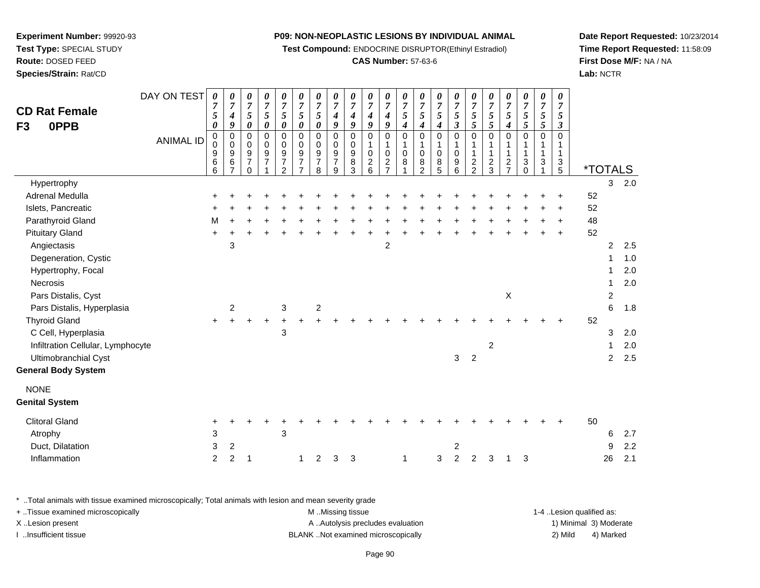**Test Compound:** ENDOCRINE DISRUPTOR(Ethinyl Estradiol)

#### **CAS Number:** 57-63-6

**Date Report Requested:** 10/23/2014**Time Report Requested:** 11:58:09**First Dose M/F:** NA / NA**Lab:** NCTR

|                       | <b>CD Rat Female</b>                               | DAY ON TEST      | 0<br>$\overline{7}$<br>5<br>0            | 0<br>$\overline{7}$<br>$\boldsymbol{4}$<br>9                 | 0<br>7<br>5<br>$\boldsymbol{\theta}$                            | 0<br>$\boldsymbol{7}$<br>5<br>$\boldsymbol{\theta}$    | 0<br>$\overline{7}$<br>$\sqrt{5}$<br>$\boldsymbol{\theta}$ | 0<br>$\overline{7}$<br>5<br>0                                         | 0<br>$\overline{7}$<br>$\mathfrak{s}$<br>0                  | $\pmb{\theta}$<br>$\overline{7}$<br>4<br>9   | $\pmb{\theta}$<br>$\overline{7}$<br>4<br>9 | 0<br>$\overline{7}$<br>4<br>9             | 0<br>$\overline{7}$<br>4<br>9                                      | 0<br>$\overline{7}$<br>5<br>4     | 0<br>$\overline{7}$<br>5<br>4                       | 0<br>$\overline{7}$<br>5<br>4     | 0<br>$\overline{7}$<br>5<br>$\boldsymbol{\beta}$ | 0<br>$\boldsymbol{7}$<br>$\mathfrak{S}$<br>5                           | 0<br>$\overline{7}$<br>5<br>5                     | 0<br>$\boldsymbol{7}$<br>5<br>$\boldsymbol{4}$                  | 0<br>$\overline{7}$<br>$\sqrt{5}$<br>5                                       | 0<br>$\overline{7}$<br>$\mathfrak{s}$<br>5            | 0<br>$\overline{7}$<br>5<br>$\boldsymbol{\beta}$         |    |                       |     |
|-----------------------|----------------------------------------------------|------------------|------------------------------------------|--------------------------------------------------------------|-----------------------------------------------------------------|--------------------------------------------------------|------------------------------------------------------------|-----------------------------------------------------------------------|-------------------------------------------------------------|----------------------------------------------|--------------------------------------------|-------------------------------------------|--------------------------------------------------------------------|-----------------------------------|-----------------------------------------------------|-----------------------------------|--------------------------------------------------|------------------------------------------------------------------------|---------------------------------------------------|-----------------------------------------------------------------|------------------------------------------------------------------------------|-------------------------------------------------------|----------------------------------------------------------|----|-----------------------|-----|
| F <sub>3</sub>        | 0PPB                                               | <b>ANIMAL ID</b> | 0<br>0<br>$\boldsymbol{9}$<br>$\,6$<br>6 | $\mathbf 0$<br>$\mathbf 0$<br>9<br>$\,6\,$<br>$\overline{7}$ | $\Omega$<br>0<br>$\boldsymbol{9}$<br>$\overline{7}$<br>$\Omega$ | $\mathbf 0$<br>0<br>$\boldsymbol{9}$<br>$\overline{7}$ | $\mathbf 0$<br>0<br>9<br>$\overline{7}$<br>$\overline{2}$  | $\Omega$<br>0<br>$\boldsymbol{9}$<br>$\overline{7}$<br>$\overline{7}$ | $\mathbf 0$<br>0<br>$\boldsymbol{9}$<br>$\overline{7}$<br>8 | $\mathbf 0$<br>0<br>9<br>$\overline{7}$<br>9 | $\mathbf 0$<br>0<br>9<br>8<br>3            | $\Omega$<br>1<br>0<br>$\overline{c}$<br>6 | $\Omega$<br>1<br>$\mathbf 0$<br>$\boldsymbol{2}$<br>$\overline{7}$ | $\Omega$<br>1<br>$\mathbf 0$<br>8 | $\Omega$<br>1<br>$\mathbf 0$<br>8<br>$\overline{2}$ | $\Omega$<br>$\mathbf 0$<br>8<br>5 | $\mathbf 0$<br>1<br>$\mathsf 0$<br>9<br>6        | $\mathbf 0$<br>1<br>$\mathbf{1}$<br>$\boldsymbol{2}$<br>$\overline{2}$ | $\mathbf 0$<br>1<br>$\mathbf{1}$<br>$\frac{2}{3}$ | $\mathbf 0$<br>$\mathbf{1}$<br>$\overline{c}$<br>$\overline{7}$ | $\overline{0}$<br>1<br>$\mathbf{1}$<br>$\ensuremath{\mathsf{3}}$<br>$\Omega$ | $\overline{0}$<br>1<br>1<br>$\ensuremath{\mathsf{3}}$ | $\Omega$<br>$\mathbf{1}$<br>$\sqrt{3}$<br>$\overline{5}$ |    | <i><b>*TOTALS</b></i> |     |
|                       | Hypertrophy                                        |                  |                                          |                                                              |                                                                 |                                                        |                                                            |                                                                       |                                                             |                                              |                                            |                                           |                                                                    |                                   |                                                     |                                   |                                                  |                                                                        |                                                   |                                                                 |                                                                              |                                                       |                                                          |    | 3                     | 2.0 |
|                       | Adrenal Medulla                                    |                  |                                          |                                                              |                                                                 |                                                        |                                                            |                                                                       |                                                             |                                              |                                            |                                           |                                                                    |                                   |                                                     |                                   |                                                  |                                                                        |                                                   |                                                                 |                                                                              |                                                       |                                                          | 52 |                       |     |
|                       | Islets, Pancreatic                                 |                  |                                          |                                                              |                                                                 |                                                        |                                                            |                                                                       |                                                             |                                              |                                            |                                           |                                                                    |                                   |                                                     |                                   |                                                  |                                                                        |                                                   |                                                                 |                                                                              |                                                       |                                                          | 52 |                       |     |
|                       | Parathyroid Gland                                  |                  | м                                        |                                                              |                                                                 |                                                        |                                                            |                                                                       |                                                             |                                              |                                            |                                           |                                                                    |                                   |                                                     |                                   |                                                  |                                                                        |                                                   |                                                                 |                                                                              |                                                       |                                                          | 48 |                       |     |
|                       | <b>Pituitary Gland</b>                             |                  |                                          |                                                              |                                                                 |                                                        |                                                            |                                                                       |                                                             |                                              |                                            |                                           |                                                                    |                                   |                                                     |                                   |                                                  |                                                                        |                                                   |                                                                 |                                                                              |                                                       | ÷                                                        | 52 |                       |     |
|                       | Angiectasis                                        |                  |                                          | 3                                                            |                                                                 |                                                        |                                                            |                                                                       |                                                             |                                              |                                            |                                           | $\overline{c}$                                                     |                                   |                                                     |                                   |                                                  |                                                                        |                                                   |                                                                 |                                                                              |                                                       |                                                          |    | $\overline{c}$        | 2.5 |
|                       | Degeneration, Cystic                               |                  |                                          |                                                              |                                                                 |                                                        |                                                            |                                                                       |                                                             |                                              |                                            |                                           |                                                                    |                                   |                                                     |                                   |                                                  |                                                                        |                                                   |                                                                 |                                                                              |                                                       |                                                          |    | 1                     | 1.0 |
|                       | Hypertrophy, Focal                                 |                  |                                          |                                                              |                                                                 |                                                        |                                                            |                                                                       |                                                             |                                              |                                            |                                           |                                                                    |                                   |                                                     |                                   |                                                  |                                                                        |                                                   |                                                                 |                                                                              |                                                       |                                                          |    |                       | 2.0 |
| Necrosis              |                                                    |                  |                                          |                                                              |                                                                 |                                                        |                                                            |                                                                       |                                                             |                                              |                                            |                                           |                                                                    |                                   |                                                     |                                   |                                                  |                                                                        |                                                   |                                                                 |                                                                              |                                                       |                                                          |    | 1                     | 2.0 |
|                       | Pars Distalis, Cyst                                |                  |                                          |                                                              |                                                                 |                                                        |                                                            |                                                                       |                                                             |                                              |                                            |                                           |                                                                    |                                   |                                                     |                                   |                                                  |                                                                        |                                                   | $\pmb{\times}$                                                  |                                                                              |                                                       |                                                          |    | 2                     |     |
|                       | Pars Distalis, Hyperplasia                         |                  |                                          | 2                                                            |                                                                 |                                                        | 3                                                          |                                                                       | $\overline{\mathbf{c}}$                                     |                                              |                                            |                                           |                                                                    |                                   |                                                     |                                   |                                                  |                                                                        |                                                   |                                                                 |                                                                              |                                                       |                                                          |    | 6                     | 1.8 |
|                       | <b>Thyroid Gland</b>                               |                  |                                          |                                                              |                                                                 |                                                        |                                                            |                                                                       |                                                             |                                              |                                            |                                           |                                                                    |                                   |                                                     |                                   |                                                  |                                                                        |                                                   |                                                                 |                                                                              |                                                       |                                                          | 52 |                       |     |
|                       | C Cell, Hyperplasia                                |                  |                                          |                                                              |                                                                 |                                                        | 3                                                          |                                                                       |                                                             |                                              |                                            |                                           |                                                                    |                                   |                                                     |                                   |                                                  |                                                                        |                                                   |                                                                 |                                                                              |                                                       |                                                          |    | 3                     | 2.0 |
|                       | Infiltration Cellular, Lymphocyte                  |                  |                                          |                                                              |                                                                 |                                                        |                                                            |                                                                       |                                                             |                                              |                                            |                                           |                                                                    |                                   |                                                     |                                   |                                                  |                                                                        | $\overline{c}$                                    |                                                                 |                                                                              |                                                       |                                                          |    |                       | 2.0 |
|                       | Ultimobranchial Cyst<br><b>General Body System</b> |                  |                                          |                                                              |                                                                 |                                                        |                                                            |                                                                       |                                                             |                                              |                                            |                                           |                                                                    |                                   |                                                     |                                   | $\mathbf{3}$                                     | $\boldsymbol{2}$                                                       |                                                   |                                                                 |                                                                              |                                                       |                                                          |    | $\overline{2}$        | 2.5 |
| <b>NONE</b>           |                                                    |                  |                                          |                                                              |                                                                 |                                                        |                                                            |                                                                       |                                                             |                                              |                                            |                                           |                                                                    |                                   |                                                     |                                   |                                                  |                                                                        |                                                   |                                                                 |                                                                              |                                                       |                                                          |    |                       |     |
| <b>Genital System</b> |                                                    |                  |                                          |                                                              |                                                                 |                                                        |                                                            |                                                                       |                                                             |                                              |                                            |                                           |                                                                    |                                   |                                                     |                                   |                                                  |                                                                        |                                                   |                                                                 |                                                                              |                                                       |                                                          |    |                       |     |
|                       | <b>Clitoral Gland</b>                              |                  |                                          |                                                              |                                                                 |                                                        |                                                            |                                                                       |                                                             |                                              |                                            |                                           |                                                                    |                                   |                                                     |                                   |                                                  |                                                                        |                                                   |                                                                 |                                                                              |                                                       |                                                          | 50 |                       |     |
| Atrophy               |                                                    |                  | 3                                        |                                                              |                                                                 |                                                        | 3                                                          |                                                                       |                                                             |                                              |                                            |                                           |                                                                    |                                   |                                                     |                                   |                                                  |                                                                        |                                                   |                                                                 |                                                                              |                                                       |                                                          |    | 6                     | 2.7 |
|                       | Duct, Dilatation                                   |                  | 3                                        | $\overline{c}$                                               |                                                                 |                                                        |                                                            |                                                                       |                                                             |                                              |                                            |                                           |                                                                    |                                   |                                                     |                                   | $\overline{c}$                                   |                                                                        |                                                   |                                                                 |                                                                              |                                                       |                                                          |    | 9                     | 2.2 |
|                       | Inflammation                                       |                  | $\overline{2}$                           | $\overline{c}$                                               | 1                                                               |                                                        |                                                            |                                                                       | 2                                                           | 3                                            | 3                                          |                                           |                                                                    | -1                                |                                                     | 3                                 | $\overline{2}$                                   | $\overline{\mathbf{c}}$                                                | 3                                                 | 1                                                               | 3                                                                            |                                                       |                                                          |    | 26                    | 2.1 |

\* ..Total animals with tissue examined microscopically; Total animals with lesion and mean severity grade

| + Tissue examined microscopically | M Missina tissue                   | 1-4 Lesion qualified as: |                        |
|-----------------------------------|------------------------------------|--------------------------|------------------------|
| X Lesion present                  | A Autolysis precludes evaluation   |                          | 1) Minimal 3) Moderate |
| Insufficient tissue               | BLANK Not examined microscopically | 2) Mild                  | 4) Marked              |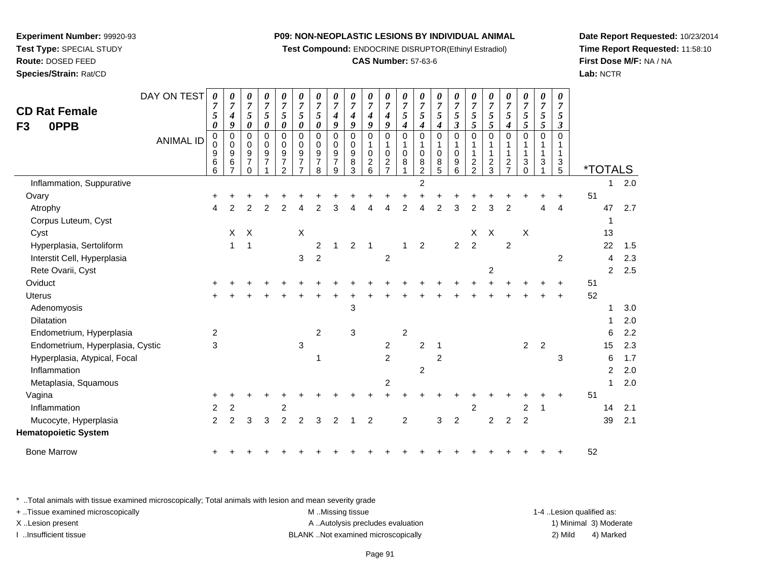**Test Compound:** ENDOCRINE DISRUPTOR(Ethinyl Estradiol)

#### **CAS Number:** 57-63-6

**Date Report Requested:** 10/23/2014**Time Report Requested:** 11:58:10**First Dose M/F:** NA / NA**Lab:** NCTR

|                                  | DAY ON TEST      | $\boldsymbol{\theta}$           | 0<br>$\boldsymbol{7}$                    | $\boldsymbol{\theta}$<br>$\boldsymbol{7}$               | 0<br>$\boldsymbol{7}$                                | 0<br>$\boldsymbol{7}$                                                     | 0<br>$\overline{7}$                             | 0<br>$\overline{7}$                            | 0                                  | 0                                  | 0                                            | 0<br>$\overline{7}$                                       | 0<br>7                                | 0<br>$\overline{7}$                                               | 0<br>7                                 | 0<br>$\overline{7}$                        | 0<br>$\boldsymbol{7}$                                        | 0<br>$\overline{7}$                    | 0<br>$\overline{7}$                             | 0<br>$\boldsymbol{7}$                                                     | $\pmb{\theta}$<br>$\boldsymbol{7}$  | 0<br>$\overline{7}$     |                       |    |     |
|----------------------------------|------------------|---------------------------------|------------------------------------------|---------------------------------------------------------|------------------------------------------------------|---------------------------------------------------------------------------|-------------------------------------------------|------------------------------------------------|------------------------------------|------------------------------------|----------------------------------------------|-----------------------------------------------------------|---------------------------------------|-------------------------------------------------------------------|----------------------------------------|--------------------------------------------|--------------------------------------------------------------|----------------------------------------|-------------------------------------------------|---------------------------------------------------------------------------|-------------------------------------|-------------------------|-----------------------|----|-----|
| <b>CD Rat Female</b>             |                  | 7<br>5                          | $\boldsymbol{4}$                         | 5                                                       | $\sqrt{5}$                                           | 5                                                                         | 5                                               | 5                                              | 7<br>4                             | $\overline{7}$<br>$\boldsymbol{4}$ | 7<br>4                                       | $\boldsymbol{4}$                                          | 5                                     | 5                                                                 | 5                                      | 5                                          | 5                                                            | 5                                      | 5                                               | $\sqrt{5}$                                                                | $\mathfrak{s}$                      | 5                       |                       |    |     |
| 0PPB<br>F <sub>3</sub>           |                  | 0                               | 9                                        | $\boldsymbol{\theta}$                                   | $\pmb{\theta}$                                       | $\boldsymbol{\theta}$                                                     | 0                                               | 0                                              | 9                                  | 9                                  | 9                                            | 9                                                         | 4                                     | 4                                                                 | 4                                      | $\boldsymbol{\beta}$                       | 5                                                            | 5                                      | 4                                               | 5                                                                         | 5                                   | 3                       |                       |    |     |
|                                  | <b>ANIMAL ID</b> | 0<br>$\mathbf 0$<br>9<br>6<br>6 | 0<br>0<br>9<br>$\,6\,$<br>$\overline{7}$ | $\mathbf 0$<br>$\mathbf 0$<br>$\frac{9}{7}$<br>$\Omega$ | 0<br>$\pmb{0}$<br>$\boldsymbol{9}$<br>$\overline{7}$ | $\mathbf 0$<br>0<br>$\boldsymbol{9}$<br>$\boldsymbol{7}$<br>$\mathcal{P}$ | 0<br>0<br>9<br>$\overline{7}$<br>$\overline{7}$ | $\mathbf 0$<br>0<br>9<br>$\boldsymbol{7}$<br>8 | 0<br>0<br>9<br>$\overline{7}$<br>9 | 0<br>0<br>9<br>8<br>3              | 0<br>1<br>$\mathbf 0$<br>$\overline{a}$<br>6 | 0<br>1<br>$\mathbf 0$<br>$\overline{c}$<br>$\overline{7}$ | 0<br>$\mathbf{1}$<br>$\mathbf 0$<br>8 | $\mathbf 0$<br>$\mathbf{1}$<br>$\mathbf 0$<br>8<br>$\overline{2}$ | $\Omega$<br>1<br>$\mathbf 0$<br>8<br>5 | 0<br>$\mathbf{1}$<br>$\mathbf 0$<br>9<br>6 | $\mathbf 0$<br>$\mathbf{1}$<br>$\mathbf{1}$<br>$\frac{2}{2}$ | $\mathbf 0$<br>1<br>1<br>$\frac{2}{3}$ | $\mathbf 0$<br>$\mathbf{1}$<br>$\boldsymbol{2}$ | $\mathbf 0$<br>1<br>$\mathbf{1}$<br>$\ensuremath{\mathsf{3}}$<br>$\Omega$ | $\mathbf 0$<br>1<br>1<br>$\sqrt{3}$ | $\Omega$<br>1<br>3<br>5 | <i><b>*TOTALS</b></i> |    |     |
| Inflammation, Suppurative        |                  |                                 |                                          |                                                         |                                                      |                                                                           |                                                 |                                                |                                    |                                    |                                              |                                                           |                                       | $\overline{2}$                                                    |                                        |                                            |                                                              |                                        |                                                 |                                                                           |                                     |                         |                       | 1  | 2.0 |
| Ovary                            |                  |                                 |                                          |                                                         |                                                      |                                                                           |                                                 |                                                |                                    |                                    |                                              |                                                           |                                       |                                                                   |                                        |                                            |                                                              |                                        |                                                 |                                                                           |                                     |                         | 51                    |    |     |
| Atrophy                          |                  | 4                               | $\overline{2}$                           | 2                                                       | 2                                                    | $\overline{2}$                                                            |                                                 |                                                | 3                                  |                                    |                                              |                                                           | $\mathfrak{p}$                        | 4                                                                 | $\overline{2}$                         | 3                                          | $\overline{2}$                                               | 3                                      | $\overline{2}$                                  |                                                                           | Δ                                   | 4                       |                       | 47 | 2.7 |
| Corpus Luteum, Cyst              |                  |                                 |                                          |                                                         |                                                      |                                                                           |                                                 |                                                |                                    |                                    |                                              |                                                           |                                       |                                                                   |                                        |                                            |                                                              |                                        |                                                 |                                                                           |                                     |                         |                       |    |     |
| Cyst                             |                  |                                 | X                                        | $\times$                                                |                                                      |                                                                           | $\boldsymbol{\mathsf{X}}$                       |                                                |                                    |                                    |                                              |                                                           |                                       |                                                                   |                                        |                                            | X                                                            | $\boldsymbol{X}$                       |                                                 | X                                                                         |                                     |                         |                       | 13 |     |
| Hyperplasia, Sertoliform         |                  |                                 | 1                                        | $\mathbf 1$                                             |                                                      |                                                                           |                                                 | 2                                              |                                    | $\overline{c}$                     | $\overline{1}$                               |                                                           |                                       | 2                                                                 |                                        | $\overline{2}$                             | $\overline{2}$                                               |                                        | $\overline{c}$                                  |                                                                           |                                     |                         |                       | 22 | 1.5 |
| Interstit Cell, Hyperplasia      |                  |                                 |                                          |                                                         |                                                      |                                                                           | 3                                               | $\overline{c}$                                 |                                    |                                    |                                              | $\overline{2}$                                            |                                       |                                                                   |                                        |                                            |                                                              |                                        |                                                 |                                                                           |                                     | $\overline{c}$          |                       | 4  | 2.3 |
| Rete Ovarii, Cyst                |                  |                                 |                                          |                                                         |                                                      |                                                                           |                                                 |                                                |                                    |                                    |                                              |                                                           |                                       |                                                                   |                                        |                                            |                                                              | $\overline{c}$                         |                                                 |                                                                           |                                     |                         |                       | 2  | 2.5 |
| Oviduct                          |                  |                                 |                                          |                                                         |                                                      |                                                                           |                                                 |                                                |                                    |                                    |                                              |                                                           |                                       |                                                                   |                                        |                                            |                                                              |                                        |                                                 |                                                                           |                                     |                         | 51                    |    |     |
| <b>Uterus</b>                    |                  |                                 |                                          |                                                         |                                                      |                                                                           |                                                 |                                                |                                    |                                    |                                              |                                                           |                                       |                                                                   |                                        |                                            |                                                              |                                        |                                                 |                                                                           |                                     |                         | 52                    |    |     |
| Adenomyosis                      |                  |                                 |                                          |                                                         |                                                      |                                                                           |                                                 |                                                |                                    | 3                                  |                                              |                                                           |                                       |                                                                   |                                        |                                            |                                                              |                                        |                                                 |                                                                           |                                     |                         |                       | 1  | 3.0 |
| Dilatation                       |                  |                                 |                                          |                                                         |                                                      |                                                                           |                                                 |                                                |                                    |                                    |                                              |                                                           |                                       |                                                                   |                                        |                                            |                                                              |                                        |                                                 |                                                                           |                                     |                         |                       |    | 2.0 |
| Endometrium, Hyperplasia         |                  | $\overline{\mathbf{c}}$         |                                          |                                                         |                                                      |                                                                           |                                                 | $\overline{c}$                                 |                                    | $\mathbf{3}$                       |                                              |                                                           | $\overline{c}$                        |                                                                   |                                        |                                            |                                                              |                                        |                                                 |                                                                           |                                     |                         |                       | 6  | 2.2 |
| Endometrium, Hyperplasia, Cystic |                  | 3                               |                                          |                                                         |                                                      |                                                                           | 3                                               |                                                |                                    |                                    |                                              | $\overline{c}$                                            |                                       | $\overline{c}$                                                    | 1                                      |                                            |                                                              |                                        |                                                 | $\overline{2}$                                                            | $\overline{2}$                      |                         |                       | 15 | 2.3 |
| Hyperplasia, Atypical, Focal     |                  |                                 |                                          |                                                         |                                                      |                                                                           |                                                 |                                                |                                    |                                    |                                              | $\overline{2}$                                            |                                       |                                                                   | $\overline{2}$                         |                                            |                                                              |                                        |                                                 |                                                                           |                                     | 3                       |                       | 6  | 1.7 |
| Inflammation                     |                  |                                 |                                          |                                                         |                                                      |                                                                           |                                                 |                                                |                                    |                                    |                                              |                                                           |                                       | 2                                                                 |                                        |                                            |                                                              |                                        |                                                 |                                                                           |                                     |                         |                       | 2  | 2.0 |
| Metaplasia, Squamous             |                  |                                 |                                          |                                                         |                                                      |                                                                           |                                                 |                                                |                                    |                                    |                                              | 2                                                         |                                       |                                                                   |                                        |                                            |                                                              |                                        |                                                 |                                                                           |                                     |                         |                       | 1  | 2.0 |
| Vagina                           |                  |                                 |                                          |                                                         |                                                      |                                                                           |                                                 |                                                |                                    |                                    |                                              |                                                           |                                       |                                                                   |                                        |                                            |                                                              |                                        |                                                 |                                                                           |                                     |                         | 51                    |    |     |
| Inflammation                     |                  | $\overline{c}$                  | $\overline{c}$                           |                                                         |                                                      | 2                                                                         |                                                 |                                                |                                    |                                    |                                              |                                                           |                                       |                                                                   |                                        |                                            | $\overline{2}$                                               |                                        |                                                 | $\overline{c}$                                                            | -1                                  |                         |                       | 14 | 2.1 |
| Mucocyte, Hyperplasia            |                  | $\overline{2}$                  | $\overline{2}$                           | 3                                                       | 3                                                    | $\overline{2}$                                                            | $\overline{2}$                                  | 3                                              | 2                                  |                                    | $\overline{2}$                               |                                                           | $\overline{2}$                        |                                                                   | 3                                      | $\overline{c}$                             |                                                              | 2                                      | $\overline{c}$                                  | $\overline{c}$                                                            |                                     |                         |                       | 39 | 2.1 |
| <b>Hematopoietic System</b>      |                  |                                 |                                          |                                                         |                                                      |                                                                           |                                                 |                                                |                                    |                                    |                                              |                                                           |                                       |                                                                   |                                        |                                            |                                                              |                                        |                                                 |                                                                           |                                     |                         |                       |    |     |
| <b>Bone Marrow</b>               |                  |                                 |                                          |                                                         |                                                      |                                                                           |                                                 |                                                |                                    |                                    |                                              |                                                           |                                       |                                                                   |                                        |                                            |                                                              |                                        |                                                 |                                                                           |                                     |                         | 52                    |    |     |

\* ..Total animals with tissue examined microscopically; Total animals with lesion and mean severity grade

| + Tissue examined microscopically | M Missing tissue                   | 1-4 Lesion qualified as: |                        |
|-----------------------------------|------------------------------------|--------------------------|------------------------|
| X Lesion present                  | A Autolysis precludes evaluation   |                          | 1) Minimal 3) Moderate |
| Insufficient tissue               | BLANK Not examined microscopically | 2) Mild                  | 4) Marked              |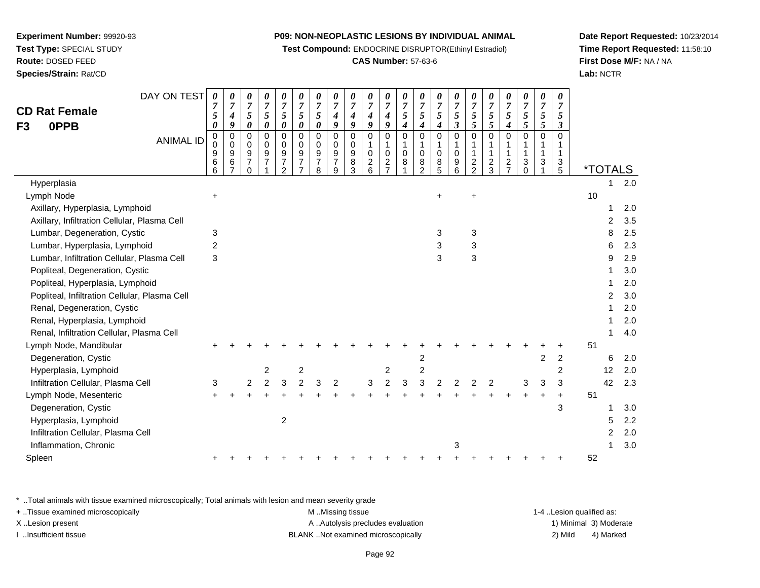**Test Compound:** ENDOCRINE DISRUPTOR(Ethinyl Estradiol)

### **CAS Number:** 57-63-6

**Date Report Requested:** 10/23/2014**Time Report Requested:** 11:58:10**First Dose M/F:** NA / NA**Lab:** NCTR

| DAY ON TEST<br><b>CD Rat Female</b><br>F3<br>0PPB | 0<br>7<br>5<br>0      | 0<br>$\overline{7}$<br>4<br>9                | 0<br>$\overline{7}$<br>5<br>0                              | $\overline{7}$<br>5<br>0  | 0<br>$\overline{7}$<br>5<br>0                             | 0<br>$\overline{7}$<br>$\sqrt{5}$<br>$\boldsymbol{\theta}$          | 0<br>$\overline{7}$<br>5<br>$\boldsymbol{\theta}$ | 0<br>7<br>4<br>9                                            | 0<br>$\overline{7}$<br>$\boldsymbol{4}$<br>9 | 7<br>4<br>9                                   | 0<br>$\overline{7}$<br>4<br>9                             | 0<br>$\overline{7}$<br>$\sqrt{5}$<br>$\boldsymbol{4}$ | 0<br>$\overline{7}$<br>5<br>$\boldsymbol{4}$ | 0<br>$\overline{7}$<br>$\mathfrak{s}$<br>$\boldsymbol{4}$ | 0<br>$\overline{7}$<br>5<br>$\boldsymbol{\beta}$ | 0<br>$\overline{7}$<br>5<br>5                                   | $\overline{7}$<br>5<br>5       | 0<br>$\overline{7}$<br>5<br>4           | 0<br>$\overline{7}$<br>$\sqrt{5}$<br>5            | 0<br>$\overline{7}$<br>5<br>5 | 0<br>$\overline{7}$<br>5<br>$\mathfrak{z}$ |                       |                |     |
|---------------------------------------------------|-----------------------|----------------------------------------------|------------------------------------------------------------|---------------------------|-----------------------------------------------------------|---------------------------------------------------------------------|---------------------------------------------------|-------------------------------------------------------------|----------------------------------------------|-----------------------------------------------|-----------------------------------------------------------|-------------------------------------------------------|----------------------------------------------|-----------------------------------------------------------|--------------------------------------------------|-----------------------------------------------------------------|--------------------------------|-----------------------------------------|---------------------------------------------------|-------------------------------|--------------------------------------------|-----------------------|----------------|-----|
| <b>ANIMAL ID</b>                                  | 0<br>0<br>9<br>6<br>6 | 0<br>$\mathbf 0$<br>9<br>6<br>$\overline{7}$ | $\Omega$<br>$\mathbf 0$<br>9<br>$\overline{7}$<br>$\Omega$ | $\Omega$<br>$\Omega$<br>9 | 0<br>$\mathbf 0$<br>9<br>$\overline{7}$<br>$\overline{2}$ | $\mathbf 0$<br>$\mathbf 0$<br>9<br>$\overline{7}$<br>$\overline{7}$ | $\mathbf 0$<br>0<br>9<br>7<br>8                   | 0<br>$\mathbf 0$<br>$\boldsymbol{9}$<br>$\overline{7}$<br>9 | $\mathbf 0$<br>0<br>9<br>8<br>3              | $\Omega$<br>0<br>$\overline{\mathbf{c}}$<br>6 | $\mathbf 0$<br>1<br>0<br>$\overline{2}$<br>$\overline{7}$ | $\Omega$<br>0<br>8                                    | $\mathbf 0$<br>0<br>8<br>$\overline{2}$      | $\mathbf 0$<br>1<br>0<br>8<br>5                           | 0<br>1<br>0<br>9<br>6                            | $\Omega$<br>1<br>1<br>$\overline{\mathbf{c}}$<br>$\overline{2}$ | $\Omega$<br>1<br>$\frac{2}{3}$ | $\mathbf 0$<br>1<br>2<br>$\overline{7}$ | $\mathbf 0$<br>1<br>$\mathbf{1}$<br>3<br>$\Omega$ | $\mathbf 0$<br>1<br>1<br>3    | 0<br>$\mathbf{1}$<br>$\frac{3}{5}$         | <i><b>*TOTALS</b></i> |                |     |
| Hyperplasia                                       |                       |                                              |                                                            |                           |                                                           |                                                                     |                                                   |                                                             |                                              |                                               |                                                           |                                                       |                                              |                                                           |                                                  |                                                                 |                                |                                         |                                                   |                               |                                            |                       | 1              | 2.0 |
| Lymph Node                                        | $\ddot{}$             |                                              |                                                            |                           |                                                           |                                                                     |                                                   |                                                             |                                              |                                               |                                                           |                                                       |                                              | $\ddot{}$                                                 |                                                  | $\ddot{}$                                                       |                                |                                         |                                                   |                               |                                            | 10                    |                |     |
| Axillary, Hyperplasia, Lymphoid                   |                       |                                              |                                                            |                           |                                                           |                                                                     |                                                   |                                                             |                                              |                                               |                                                           |                                                       |                                              |                                                           |                                                  |                                                                 |                                |                                         |                                                   |                               |                                            |                       | 1              | 2.0 |
| Axillary, Infiltration Cellular, Plasma Cell      |                       |                                              |                                                            |                           |                                                           |                                                                     |                                                   |                                                             |                                              |                                               |                                                           |                                                       |                                              |                                                           |                                                  |                                                                 |                                |                                         |                                                   |                               |                                            |                       | 2              | 3.5 |
| Lumbar, Degeneration, Cystic                      | 3                     |                                              |                                                            |                           |                                                           |                                                                     |                                                   |                                                             |                                              |                                               |                                                           |                                                       |                                              | 3                                                         |                                                  | 3                                                               |                                |                                         |                                                   |                               |                                            |                       | 8              | 2.5 |
| Lumbar, Hyperplasia, Lymphoid                     | $\overline{c}$        |                                              |                                                            |                           |                                                           |                                                                     |                                                   |                                                             |                                              |                                               |                                                           |                                                       |                                              | 3                                                         |                                                  | 3                                                               |                                |                                         |                                                   |                               |                                            |                       | 6              | 2.3 |
| Lumbar, Infiltration Cellular, Plasma Cell        | 3                     |                                              |                                                            |                           |                                                           |                                                                     |                                                   |                                                             |                                              |                                               |                                                           |                                                       |                                              | 3                                                         |                                                  | $\mathbf{3}$                                                    |                                |                                         |                                                   |                               |                                            |                       | 9              | 2.9 |
| Popliteal, Degeneration, Cystic                   |                       |                                              |                                                            |                           |                                                           |                                                                     |                                                   |                                                             |                                              |                                               |                                                           |                                                       |                                              |                                                           |                                                  |                                                                 |                                |                                         |                                                   |                               |                                            |                       | 1              | 3.0 |
| Popliteal, Hyperplasia, Lymphoid                  |                       |                                              |                                                            |                           |                                                           |                                                                     |                                                   |                                                             |                                              |                                               |                                                           |                                                       |                                              |                                                           |                                                  |                                                                 |                                |                                         |                                                   |                               |                                            |                       | 1              | 2.0 |
| Popliteal, Infiltration Cellular, Plasma Cell     |                       |                                              |                                                            |                           |                                                           |                                                                     |                                                   |                                                             |                                              |                                               |                                                           |                                                       |                                              |                                                           |                                                  |                                                                 |                                |                                         |                                                   |                               |                                            |                       | 2              | 3.0 |
| Renal, Degeneration, Cystic                       |                       |                                              |                                                            |                           |                                                           |                                                                     |                                                   |                                                             |                                              |                                               |                                                           |                                                       |                                              |                                                           |                                                  |                                                                 |                                |                                         |                                                   |                               |                                            |                       | 1              | 2.0 |
| Renal, Hyperplasia, Lymphoid                      |                       |                                              |                                                            |                           |                                                           |                                                                     |                                                   |                                                             |                                              |                                               |                                                           |                                                       |                                              |                                                           |                                                  |                                                                 |                                |                                         |                                                   |                               |                                            |                       |                | 2.0 |
| Renal, Infiltration Cellular, Plasma Cell         |                       |                                              |                                                            |                           |                                                           |                                                                     |                                                   |                                                             |                                              |                                               |                                                           |                                                       |                                              |                                                           |                                                  |                                                                 |                                |                                         |                                                   |                               |                                            |                       | 1              | 4.0 |
| Lymph Node, Mandibular                            |                       |                                              |                                                            |                           |                                                           |                                                                     |                                                   |                                                             |                                              |                                               |                                                           |                                                       |                                              |                                                           |                                                  |                                                                 |                                |                                         |                                                   |                               |                                            | 51                    |                |     |
| Degeneration, Cystic                              |                       |                                              |                                                            |                           |                                                           |                                                                     |                                                   |                                                             |                                              |                                               |                                                           |                                                       | $\overline{\mathbf{c}}$                      |                                                           |                                                  |                                                                 |                                |                                         |                                                   | 2                             | $\overline{c}$                             |                       | 6              | 2.0 |
| Hyperplasia, Lymphoid                             |                       |                                              |                                                            | $\overline{c}$            |                                                           | $\overline{\mathbf{c}}$                                             |                                                   |                                                             |                                              |                                               | 2                                                         |                                                       | $\overline{c}$                               |                                                           |                                                  |                                                                 |                                |                                         |                                                   |                               | $\overline{2}$                             |                       | 12             | 2.0 |
| Infiltration Cellular, Plasma Cell                | 3                     |                                              | 2                                                          | $\overline{2}$            | 3                                                         | $\overline{2}$                                                      | 3                                                 | $\overline{2}$                                              |                                              | 3                                             | $\overline{2}$                                            | 3                                                     | 3                                            | $\overline{2}$                                            | $\overline{2}$                                   | $\overline{c}$                                                  | $\overline{2}$                 |                                         | 3                                                 | 3                             | 3                                          |                       | 42             | 2.3 |
| Lymph Node, Mesenteric                            |                       |                                              |                                                            |                           |                                                           |                                                                     |                                                   |                                                             |                                              |                                               |                                                           |                                                       |                                              |                                                           |                                                  |                                                                 |                                |                                         |                                                   |                               | $\ddot{}$                                  | 51                    |                |     |
| Degeneration, Cystic                              |                       |                                              |                                                            |                           |                                                           |                                                                     |                                                   |                                                             |                                              |                                               |                                                           |                                                       |                                              |                                                           |                                                  |                                                                 |                                |                                         |                                                   |                               | 3                                          |                       |                | 3.0 |
| Hyperplasia, Lymphoid                             |                       |                                              |                                                            |                           | $\overline{c}$                                            |                                                                     |                                                   |                                                             |                                              |                                               |                                                           |                                                       |                                              |                                                           |                                                  |                                                                 |                                |                                         |                                                   |                               |                                            |                       | 5              | 2.2 |
| Infiltration Cellular, Plasma Cell                |                       |                                              |                                                            |                           |                                                           |                                                                     |                                                   |                                                             |                                              |                                               |                                                           |                                                       |                                              |                                                           |                                                  |                                                                 |                                |                                         |                                                   |                               |                                            |                       | $\overline{c}$ | 2.0 |
| Inflammation, Chronic                             |                       |                                              |                                                            |                           |                                                           |                                                                     |                                                   |                                                             |                                              |                                               |                                                           |                                                       |                                              |                                                           | 3                                                |                                                                 |                                |                                         |                                                   |                               |                                            |                       | 1              | 3.0 |
| Spleen                                            |                       |                                              |                                                            |                           |                                                           |                                                                     |                                                   |                                                             |                                              |                                               |                                                           |                                                       |                                              |                                                           |                                                  |                                                                 |                                |                                         |                                                   |                               |                                            | 52                    |                |     |
|                                                   |                       |                                              |                                                            |                           |                                                           |                                                                     |                                                   |                                                             |                                              |                                               |                                                           |                                                       |                                              |                                                           |                                                  |                                                                 |                                |                                         |                                                   |                               |                                            |                       |                |     |

\* ..Total animals with tissue examined microscopically; Total animals with lesion and mean severity grade

**Experiment Number:** 99920-93**Test Type:** SPECIAL STUDY**Route:** DOSED FEED**Species/Strain:** Rat/CD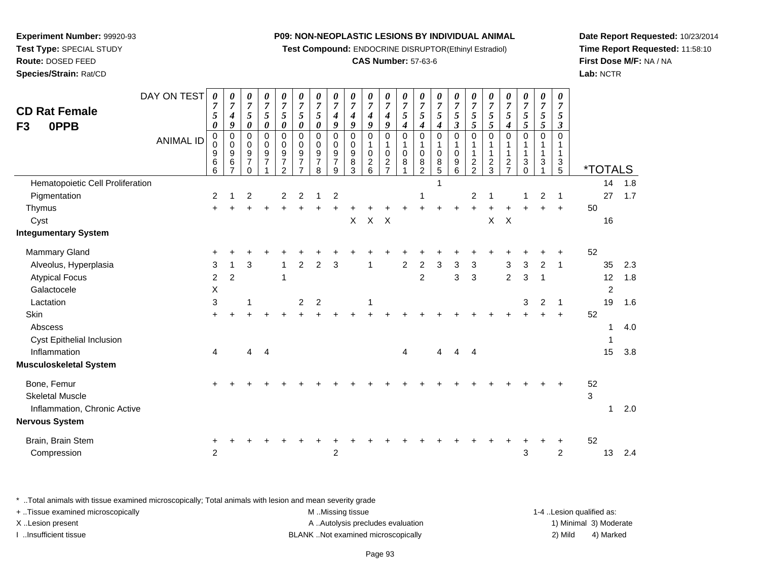**Test Compound:** ENDOCRINE DISRUPTOR(Ethinyl Estradiol)

#### **CAS Number:** 57-63-6

**Date Report Requested:** 10/23/2014**Time Report Requested:** 11:58:10**First Dose M/F:** NA / NA**Lab:** NCTR

| <b>CD Rat Female</b><br><b>OPPB</b><br>F3 | DAY ON TEST      | 0<br>$\overline{7}$<br>5<br>$\boldsymbol{\theta}$ | 0<br>7<br>4<br>9                          | 0<br>$\overline{7}$<br>5<br>0             | 0<br>$\overline{7}$<br>$\mathfrak{s}$<br>0                       | 0<br>$\boldsymbol{7}$<br>5<br>0                                       | 0<br>$\boldsymbol{7}$<br>5<br>$\boldsymbol{\theta}$              | 0<br>$\overline{7}$<br>5<br>0                                 | 0<br>$\overline{7}$<br>4<br>9                                 | 0<br>$\overline{7}$<br>4<br>9       | $\boldsymbol{\theta}$<br>$\overline{7}$<br>4<br>9     | 0<br>$\overline{7}$<br>4<br>9                   | 0<br>$\overline{7}$<br>5<br>4        | 0<br>7<br>5<br>4                                    | 0<br>$\overline{7}$<br>5<br>$\boldsymbol{4}$ | 0<br>$\overline{7}$<br>5<br>$\mathfrak{z}$           | $\overline{7}$<br>5<br>5       | 0<br>$\boldsymbol{7}$<br>5<br>5              | $\boldsymbol{\theta}$<br>$\overline{7}$<br>$\mathfrak{s}$<br>4 | $\overline{7}$<br>$\mathfrak{s}$<br>5 | 0<br>$\overline{7}$<br>5<br>5 | 0<br>$\overline{7}$<br>5<br>3 |         |                       |     |
|-------------------------------------------|------------------|---------------------------------------------------|-------------------------------------------|-------------------------------------------|------------------------------------------------------------------|-----------------------------------------------------------------------|------------------------------------------------------------------|---------------------------------------------------------------|---------------------------------------------------------------|-------------------------------------|-------------------------------------------------------|-------------------------------------------------|--------------------------------------|-----------------------------------------------------|----------------------------------------------|------------------------------------------------------|--------------------------------|----------------------------------------------|----------------------------------------------------------------|---------------------------------------|-------------------------------|-------------------------------|---------|-----------------------|-----|
|                                           | <b>ANIMAL ID</b> | 0<br>$\mathbf 0$<br>9<br>$\,6$<br>6               | $\mathbf 0$<br>$\mathbf 0$<br>9<br>6<br>7 | 0<br>0<br>9<br>$\overline{7}$<br>$\Omega$ | $\mathbf 0$<br>$\mathbf 0$<br>$\boldsymbol{9}$<br>$\overline{7}$ | 0<br>$\Omega$<br>$\boldsymbol{9}$<br>$\overline{7}$<br>$\mathfrak{p}$ | $\mathbf 0$<br>$\mathbf 0$<br>$\boldsymbol{9}$<br>$\overline{7}$ | $\mathbf 0$<br>0<br>$\boldsymbol{9}$<br>$\boldsymbol{7}$<br>8 | $\mathbf 0$<br>0<br>$\boldsymbol{9}$<br>$\boldsymbol{7}$<br>9 | $\Omega$<br>$\Omega$<br>9<br>8<br>3 | 0<br>1<br>$\mathbf 0$<br>$\sqrt{2}$<br>$6\phantom{1}$ | 0<br>1<br>0<br>$\overline{c}$<br>$\overline{7}$ | $\mathbf 0$<br>1<br>$\mathbf 0$<br>8 | $\Omega$<br>1<br>$\mathbf 0$<br>8<br>$\overline{2}$ | $\mathbf 0$<br>$\mathbf 0$<br>8<br>5         | $\mathbf 0$<br>$\mathbf{1}$<br>$\mathbf 0$<br>9<br>6 | $\Omega$<br>1<br>$\frac{2}{2}$ | $\mathsf 0$<br>$\mathbf{1}$<br>$\frac{2}{3}$ | $\Omega$<br>1<br>1<br>$\overline{c}$<br>$\overline{7}$         | $\Omega$<br>3<br>$\Omega$             | 0<br>3                        | $\Omega$<br>3<br>5            |         | <i><b>*TOTALS</b></i> |     |
| Hematopoietic Cell Proliferation          |                  |                                                   |                                           |                                           |                                                                  |                                                                       |                                                                  |                                                               |                                                               |                                     |                                                       |                                                 |                                      |                                                     |                                              |                                                      |                                |                                              |                                                                |                                       |                               |                               |         | 14                    | 1.8 |
| Pigmentation                              |                  | $\overline{2}$                                    |                                           | $\overline{c}$                            |                                                                  | 2                                                                     | $\overline{2}$                                                   |                                                               | $\overline{c}$                                                |                                     |                                                       |                                                 |                                      | 1                                                   |                                              |                                                      | $\overline{a}$                 | 1                                            |                                                                |                                       | 2                             | -1                            |         | 27                    | 1.7 |
| Thymus                                    |                  | $\ddot{}$                                         |                                           |                                           |                                                                  |                                                                       |                                                                  |                                                               |                                                               |                                     |                                                       |                                                 |                                      |                                                     |                                              |                                                      | $\ddot{}$                      |                                              |                                                                |                                       |                               | $\ddot{}$                     | 50      |                       |     |
| Cyst                                      |                  |                                                   |                                           |                                           |                                                                  |                                                                       |                                                                  |                                                               |                                                               | $\mathsf{X}$                        | $\mathsf{X}$                                          | $\mathsf{X}$                                    |                                      |                                                     |                                              |                                                      |                                | X                                            | $\boldsymbol{\mathsf{X}}$                                      |                                       |                               |                               |         | 16                    |     |
| <b>Integumentary System</b>               |                  |                                                   |                                           |                                           |                                                                  |                                                                       |                                                                  |                                                               |                                                               |                                     |                                                       |                                                 |                                      |                                                     |                                              |                                                      |                                |                                              |                                                                |                                       |                               |                               |         |                       |     |
| <b>Mammary Gland</b>                      |                  |                                                   |                                           |                                           |                                                                  |                                                                       |                                                                  |                                                               |                                                               |                                     |                                                       |                                                 |                                      |                                                     |                                              |                                                      |                                |                                              |                                                                |                                       |                               |                               | 52      |                       |     |
| Alveolus, Hyperplasia                     |                  | 3                                                 |                                           | 3                                         |                                                                  |                                                                       | 2                                                                | $\overline{2}$                                                | 3                                                             |                                     | 1                                                     |                                                 | $\overline{c}$                       | $\overline{c}$                                      | 3                                            | 3                                                    | 3                              |                                              | 3                                                              | 3                                     | 2                             | -1                            |         | 35                    | 2.3 |
| <b>Atypical Focus</b>                     |                  | $\overline{2}$                                    | 2                                         |                                           |                                                                  | 1                                                                     |                                                                  |                                                               |                                                               |                                     |                                                       |                                                 |                                      | $\overline{2}$                                      |                                              | 3                                                    | $\mathbf{3}$                   |                                              | $\overline{2}$                                                 | $\sqrt{3}$                            | $\mathbf 1$                   |                               |         | 12                    | 1.8 |
| Galactocele                               |                  | Χ                                                 |                                           |                                           |                                                                  |                                                                       |                                                                  |                                                               |                                                               |                                     |                                                       |                                                 |                                      |                                                     |                                              |                                                      |                                |                                              |                                                                |                                       |                               |                               |         | $\overline{c}$        |     |
| Lactation                                 |                  | 3                                                 |                                           |                                           |                                                                  |                                                                       | 2                                                                | $\overline{2}$                                                |                                                               |                                     | 1                                                     |                                                 |                                      |                                                     |                                              |                                                      |                                |                                              |                                                                | 3                                     | 2                             | $\overline{1}$                |         | 19                    | 1.6 |
| Skin                                      |                  |                                                   |                                           |                                           |                                                                  |                                                                       |                                                                  |                                                               |                                                               |                                     |                                                       |                                                 |                                      |                                                     |                                              |                                                      |                                |                                              |                                                                |                                       |                               |                               | 52      |                       |     |
| Abscess                                   |                  |                                                   |                                           |                                           |                                                                  |                                                                       |                                                                  |                                                               |                                                               |                                     |                                                       |                                                 |                                      |                                                     |                                              |                                                      |                                |                                              |                                                                |                                       |                               |                               |         | 1                     | 4.0 |
| <b>Cyst Epithelial Inclusion</b>          |                  |                                                   |                                           |                                           |                                                                  |                                                                       |                                                                  |                                                               |                                                               |                                     |                                                       |                                                 |                                      |                                                     |                                              |                                                      |                                |                                              |                                                                |                                       |                               |                               |         | 1                     |     |
| Inflammation                              |                  | 4                                                 |                                           | 4                                         | $\overline{4}$                                                   |                                                                       |                                                                  |                                                               |                                                               |                                     |                                                       |                                                 | 4                                    |                                                     | 4                                            | $\overline{4}$                                       | $\overline{4}$                 |                                              |                                                                |                                       |                               |                               |         | 15                    | 3.8 |
| Musculoskeletal System                    |                  |                                                   |                                           |                                           |                                                                  |                                                                       |                                                                  |                                                               |                                                               |                                     |                                                       |                                                 |                                      |                                                     |                                              |                                                      |                                |                                              |                                                                |                                       |                               |                               |         |                       |     |
| Bone, Femur<br><b>Skeletal Muscle</b>     |                  |                                                   |                                           |                                           |                                                                  |                                                                       |                                                                  |                                                               |                                                               |                                     |                                                       |                                                 |                                      |                                                     |                                              |                                                      |                                |                                              |                                                                |                                       |                               |                               | 52<br>3 |                       |     |
| Inflammation, Chronic Active              |                  |                                                   |                                           |                                           |                                                                  |                                                                       |                                                                  |                                                               |                                                               |                                     |                                                       |                                                 |                                      |                                                     |                                              |                                                      |                                |                                              |                                                                |                                       |                               |                               |         | 1                     | 2.0 |
| Nervous System                            |                  |                                                   |                                           |                                           |                                                                  |                                                                       |                                                                  |                                                               |                                                               |                                     |                                                       |                                                 |                                      |                                                     |                                              |                                                      |                                |                                              |                                                                |                                       |                               |                               |         |                       |     |
| Brain, Brain Stem                         |                  |                                                   |                                           |                                           |                                                                  |                                                                       |                                                                  |                                                               |                                                               |                                     |                                                       |                                                 |                                      |                                                     |                                              |                                                      |                                |                                              |                                                                |                                       |                               |                               | 52      |                       |     |
| Compression                               |                  | $\overline{2}$                                    |                                           |                                           |                                                                  |                                                                       |                                                                  |                                                               | $\overline{c}$                                                |                                     |                                                       |                                                 |                                      |                                                     |                                              |                                                      |                                |                                              |                                                                | 3                                     |                               | $\overline{c}$                |         | 13                    | 2.4 |

\* ..Total animals with tissue examined microscopically; Total animals with lesion and mean severity grade

| + Tissue examined microscopically | M Missing tissue                   | 1-4 Lesion qualified as: |                        |
|-----------------------------------|------------------------------------|--------------------------|------------------------|
| X Lesion present                  | A Autolysis precludes evaluation   |                          | 1) Minimal 3) Moderate |
| l  Insufficient tissue            | BLANK Not examined microscopically | 2) Mild                  | 4) Marked              |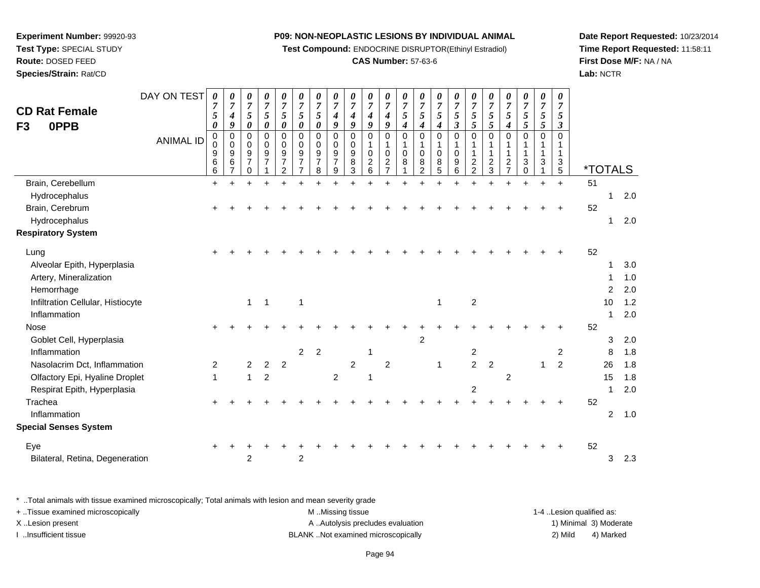**Test Compound:** ENDOCRINE DISRUPTOR(Ethinyl Estradiol)

#### **CAS Number:** 57-63-6

**Date Report Requested:** 10/23/2014**Time Report Requested:** 11:58:11**First Dose M/F:** NA / NA**Lab:** NCTR

| <b>CD Rat Female</b><br>F3<br>0PPB                                                                                                                                                                                  | DAY ON TEST      | 0<br>$\overline{7}$<br>5<br>$\boldsymbol{\theta}$ | 7<br>4<br>9                            | 0<br>$\overline{7}$<br>5<br>0                    | 0<br>$\overline{7}$<br>5<br>0               | 0<br>$\overline{7}$<br>5<br>0                                  | 0<br>$\overline{7}$<br>5<br>0                                            | 0<br>$\overline{7}$<br>5<br>$\boldsymbol{\theta}$ | 0<br>7<br>4<br>9                          | 0<br>$\overline{7}$<br>4<br>9 | 0<br>$\overline{7}$<br>$\boldsymbol{4}$<br>9   | 0<br>$\boldsymbol{7}$<br>$\boldsymbol{4}$<br>9 | $\boldsymbol{\theta}$<br>$\overline{7}$<br>5<br>4 | $\boldsymbol{\theta}$<br>$\overline{7}$<br>5<br>4 | 7<br>5<br>4                       | 0<br>$\overline{7}$<br>5<br>$\boldsymbol{\beta}$ | 0<br>$\overline{7}$<br>5<br>$5\overline{)}$                  | 0<br>$\overline{7}$<br>5<br>$\mathfrak{s}$           | $\overline{7}$<br>5<br>$\boldsymbol{4}$                              | 0<br>$\overline{7}$<br>5<br>5            | 7<br>5<br>5                        | 0<br>7<br>5<br>$\boldsymbol{\beta}$              |                       |                                            |                                        |
|---------------------------------------------------------------------------------------------------------------------------------------------------------------------------------------------------------------------|------------------|---------------------------------------------------|----------------------------------------|--------------------------------------------------|---------------------------------------------|----------------------------------------------------------------|--------------------------------------------------------------------------|---------------------------------------------------|-------------------------------------------|-------------------------------|------------------------------------------------|------------------------------------------------|---------------------------------------------------|---------------------------------------------------|-----------------------------------|--------------------------------------------------|--------------------------------------------------------------|------------------------------------------------------|----------------------------------------------------------------------|------------------------------------------|------------------------------------|--------------------------------------------------|-----------------------|--------------------------------------------|----------------------------------------|
|                                                                                                                                                                                                                     | <b>ANIMAL ID</b> | 0<br>$\Omega$<br>9<br>6<br>6                      | $\mathbf 0$<br>$\Omega$<br>9<br>6<br>7 | $\Omega$<br>$\Omega$<br>9<br>$\overline{7}$<br>0 | $\Omega$<br>$\Omega$<br>9<br>$\overline{7}$ | 0<br>0<br>$\boldsymbol{9}$<br>$\overline{7}$<br>$\overline{2}$ | $\mathbf 0$<br>0<br>$\boldsymbol{9}$<br>$\overline{7}$<br>$\overline{7}$ | $\mathbf 0$<br>0<br>9<br>$\overline{7}$<br>8      | $\Omega$<br>0<br>9<br>$\overline{7}$<br>9 | $\Omega$<br>0<br>9<br>8<br>3  | $\Omega$<br>$\mathbf 0$<br>$\overline{2}$<br>6 | $\Omega$<br>$\mathbf 0$<br>2<br>$\overline{7}$ | $\Omega$<br>$\mathbf 0$<br>8                      | $\Omega$<br>$\mathbf 0$<br>8<br>2                 | $\Omega$<br>$\mathbf 0$<br>8<br>5 | $\Omega$<br>$\mathbf 0$<br>9<br>6                | $\Omega$<br>$\mathbf{1}$<br>$\overline{c}$<br>$\overline{2}$ | $\Omega$<br>1<br>$\mathbf{1}$<br>$\overline{c}$<br>3 | $\mathbf 0$<br>1<br>$\mathbf{1}$<br>$\overline{c}$<br>$\overline{7}$ | $\overline{0}$<br>$\mathbf{1}$<br>3<br>0 | $\Omega$<br>1<br>$\mathbf{1}$<br>3 | $\Omega$<br>$\mathbf{1}$<br>3<br>$5\phantom{.0}$ | <i><b>*TOTALS</b></i> |                                            |                                        |
| Brain, Cerebellum<br>Hydrocephalus<br>Brain, Cerebrum<br>Hydrocephalus                                                                                                                                              |                  | $+$                                               |                                        |                                                  |                                             |                                                                |                                                                          |                                                   |                                           |                               |                                                |                                                |                                                   |                                                   |                                   |                                                  |                                                              | $\ddot{}$                                            | $\ddot{}$                                                            |                                          |                                    | $+$                                              | 51<br>52              | 1<br>-1                                    | 2.0<br>2.0                             |
| <b>Respiratory System</b>                                                                                                                                                                                           |                  |                                                   |                                        |                                                  |                                             |                                                                |                                                                          |                                                   |                                           |                               |                                                |                                                |                                                   |                                                   |                                   |                                                  |                                                              |                                                      |                                                                      |                                          |                                    |                                                  |                       |                                            |                                        |
| Lung<br>Alveolar Epith, Hyperplasia<br>Artery, Mineralization<br>Hemorrhage<br>Infiltration Cellular, Histiocyte                                                                                                    |                  |                                                   |                                        | $\mathbf{1}$                                     | $\overline{1}$                              |                                                                | $\mathbf{1}$                                                             |                                                   |                                           |                               |                                                |                                                |                                                   |                                                   | 1                                 |                                                  | $\boldsymbol{2}$                                             |                                                      |                                                                      |                                          |                                    |                                                  | 52                    | 1<br>$\overline{2}$<br>10                  | 3.0<br>1.0<br>2.0<br>1.2               |
| Inflammation                                                                                                                                                                                                        |                  |                                                   |                                        |                                                  |                                             |                                                                |                                                                          |                                                   |                                           |                               |                                                |                                                |                                                   |                                                   |                                   |                                                  |                                                              |                                                      |                                                                      |                                          |                                    |                                                  |                       | 1                                          | 2.0                                    |
| <b>Nose</b><br>Goblet Cell, Hyperplasia<br>Inflammation<br>Nasolacrim Dct, Inflammation<br>Olfactory Epi, Hyaline Droplet<br>Respirat Epith, Hyperplasia<br>Trachea<br>Inflammation<br><b>Special Senses System</b> |                  | $\overline{2}$<br>$\mathbf{1}$                    |                                        | $\overline{2}$<br>$\mathbf{1}$                   | $\overline{c}$<br>$\overline{2}$            | $\overline{2}$                                                 | $\overline{2}$                                                           | $\overline{c}$                                    | $\overline{2}$                            | $\overline{c}$                | 1<br>$\mathbf 1$                               | $\overline{2}$                                 |                                                   | $\overline{2}$                                    | 1                                 |                                                  | $\overline{c}$<br>$\overline{2}$<br>$\overline{c}$           | $\overline{2}$                                       | $\overline{2}$                                                       |                                          | 1                                  | $\overline{c}$<br>$\overline{c}$                 | 52<br>52              | 3<br>8<br>26<br>15<br>-1<br>$\overline{2}$ | 2.0<br>1.8<br>1.8<br>1.8<br>2.0<br>1.0 |
| Eye                                                                                                                                                                                                                 |                  |                                                   |                                        |                                                  |                                             |                                                                |                                                                          |                                                   |                                           |                               |                                                |                                                |                                                   |                                                   |                                   |                                                  |                                                              |                                                      |                                                                      |                                          |                                    |                                                  | 52                    |                                            |                                        |
| Bilateral, Retina, Degeneration                                                                                                                                                                                     |                  |                                                   |                                        | 2                                                |                                             |                                                                | $\overline{c}$                                                           |                                                   |                                           |                               |                                                |                                                |                                                   |                                                   |                                   |                                                  |                                                              |                                                      |                                                                      |                                          |                                    |                                                  |                       | 3                                          | 2.3                                    |
|                                                                                                                                                                                                                     |                  |                                                   |                                        |                                                  |                                             |                                                                |                                                                          |                                                   |                                           |                               |                                                |                                                |                                                   |                                                   |                                   |                                                  |                                                              |                                                      |                                                                      |                                          |                                    |                                                  |                       |                                            |                                        |

\* ..Total animals with tissue examined microscopically; Total animals with lesion and mean severity grade

| + . Tissue examined microscopically | M Missing tissue                   | 1-4 Lesion qualified as: |                        |
|-------------------------------------|------------------------------------|--------------------------|------------------------|
| X Lesion present                    | A Autolysis precludes evaluation   |                          | 1) Minimal 3) Moderate |
| Insufficient tissue                 | BLANK Not examined microscopically | 2) Mild                  | 4) Marked              |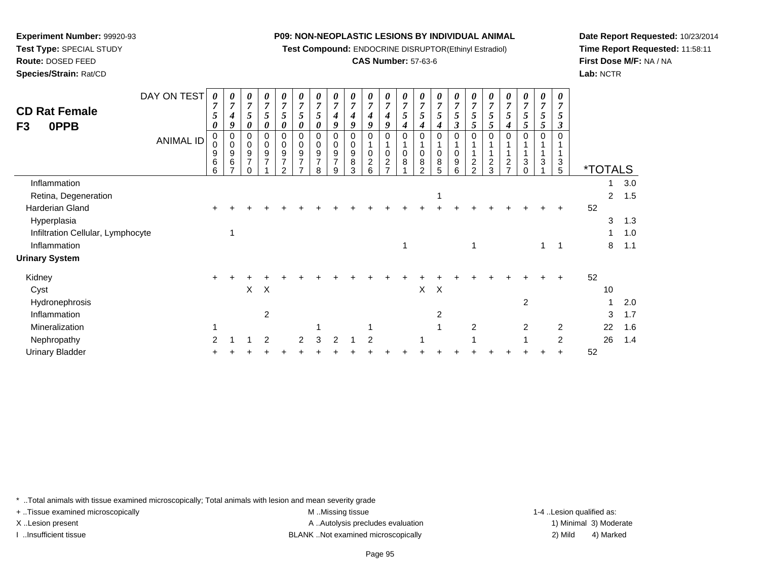**Test Compound:** ENDOCRINE DISRUPTOR(Ethinyl Estradiol)

### **CAS Number:** 57-63-6

**Date Report Requested:** 10/23/2014**Time Report Requested:** 11:58:11**First Dose M/F:** NA / NA**Lab:** NCTR

| <b>CD Rat Female</b><br>0PPB<br>F3 | DAY ON TEST<br><b>ANIMAL ID</b> | $\pmb{\theta}$<br>$\overline{7}$<br>5<br>0<br>0<br>$\mathbf 0$<br>9<br>6<br>6 | 0<br>4<br>0<br>0<br>9<br>6 | 0<br>$\overline{7}$<br>5<br>0<br>0<br>0<br>9<br>7 | 0<br>$\overline{7}$<br>5<br>0<br>$\Omega$<br>$\mathbf 0$<br>9<br>$\overline{7}$ | $\pmb{\theta}$<br>$\overline{7}$<br>5<br>0<br>$\Omega$<br>0<br>$\boldsymbol{9}$<br>$\overline{7}$<br>$\mathcal{P}$ | $\pmb{\theta}$<br>$\overline{7}$<br>5<br>0<br>$\Omega$<br>0<br>9<br>$\overline{7}$ | 0<br>7<br>$\mathbf{0}$<br>9<br>$\overline{7}$<br>8 | 0<br>$\overline{7}$<br>4<br>9<br>$\mathbf 0$<br>0<br>9<br>$\overline{7}$<br>9 | 0<br>$\overline{7}$<br>4<br>Q<br>$\Omega$<br>0<br>9<br>8<br>3 | 0<br>$\overline{7}$<br>4<br>9<br>$\Omega$<br>$\mathbf 0$<br>$\overline{c}$<br>6 | 0<br>$\overline{7}$<br>$\boldsymbol{4}$<br>9<br>0<br>0<br>$\overline{c}$ | 0<br>$\overline{7}$<br>5<br>0<br>0<br>8 | 0<br>$\overline{7}$<br>5<br>0<br>8<br>2 | 0<br>$\overline{7}$<br>5<br>0<br>0<br>8<br>5 | $\boldsymbol{\theta}$<br>$\overline{7}$<br>5<br>3<br>0<br>$\mathbf 0$<br>9<br>6 | 0<br>$\overline{7}$<br>5<br>5<br>2<br>$\mathcal{P}$ | $\pmb{\theta}$<br>$\boldsymbol{7}$<br>5<br>5<br>$\Omega$<br>$\boldsymbol{2}$<br>3 | 0<br>$\overline{7}$<br>5<br>4<br>$\overline{2}$<br>$\overline{ }$ | 0<br>5<br>5<br>3 | 0<br>$\overline{7}$<br>5<br>5<br>3 | 0<br>5<br>3<br>3<br>5 | <i><b>*TOTALS</b></i> |                |     |
|------------------------------------|---------------------------------|-------------------------------------------------------------------------------|----------------------------|---------------------------------------------------|---------------------------------------------------------------------------------|--------------------------------------------------------------------------------------------------------------------|------------------------------------------------------------------------------------|----------------------------------------------------|-------------------------------------------------------------------------------|---------------------------------------------------------------|---------------------------------------------------------------------------------|--------------------------------------------------------------------------|-----------------------------------------|-----------------------------------------|----------------------------------------------|---------------------------------------------------------------------------------|-----------------------------------------------------|-----------------------------------------------------------------------------------|-------------------------------------------------------------------|------------------|------------------------------------|-----------------------|-----------------------|----------------|-----|
| Inflammation                       |                                 |                                                                               |                            |                                                   |                                                                                 |                                                                                                                    |                                                                                    |                                                    |                                                                               |                                                               |                                                                                 |                                                                          |                                         |                                         |                                              |                                                                                 |                                                     |                                                                                   |                                                                   |                  |                                    |                       |                       |                | 3.0 |
| Retina, Degeneration               |                                 |                                                                               |                            |                                                   |                                                                                 |                                                                                                                    |                                                                                    |                                                    |                                                                               |                                                               |                                                                                 |                                                                          |                                         |                                         |                                              |                                                                                 |                                                     |                                                                                   |                                                                   |                  |                                    |                       |                       | $\overline{2}$ | 1.5 |
| Harderian Gland                    |                                 |                                                                               |                            |                                                   |                                                                                 |                                                                                                                    |                                                                                    |                                                    |                                                                               |                                                               |                                                                                 |                                                                          |                                         |                                         |                                              |                                                                                 |                                                     |                                                                                   |                                                                   |                  |                                    |                       | 52                    |                |     |
| Hyperplasia                        |                                 |                                                                               |                            |                                                   |                                                                                 |                                                                                                                    |                                                                                    |                                                    |                                                                               |                                                               |                                                                                 |                                                                          |                                         |                                         |                                              |                                                                                 |                                                     |                                                                                   |                                                                   |                  |                                    |                       |                       | 3              | 1.3 |
| Infiltration Cellular, Lymphocyte  |                                 |                                                                               |                            |                                                   |                                                                                 |                                                                                                                    |                                                                                    |                                                    |                                                                               |                                                               |                                                                                 |                                                                          |                                         |                                         |                                              |                                                                                 |                                                     |                                                                                   |                                                                   |                  |                                    |                       |                       |                | 1.0 |
| Inflammation                       |                                 |                                                                               |                            |                                                   |                                                                                 |                                                                                                                    |                                                                                    |                                                    |                                                                               |                                                               |                                                                                 |                                                                          |                                         |                                         |                                              |                                                                                 |                                                     |                                                                                   |                                                                   |                  |                                    | 1                     |                       | 8              | 1.1 |
| <b>Urinary System</b>              |                                 |                                                                               |                            |                                                   |                                                                                 |                                                                                                                    |                                                                                    |                                                    |                                                                               |                                                               |                                                                                 |                                                                          |                                         |                                         |                                              |                                                                                 |                                                     |                                                                                   |                                                                   |                  |                                    |                       |                       |                |     |
| Kidney                             |                                 |                                                                               |                            |                                                   |                                                                                 |                                                                                                                    |                                                                                    |                                                    |                                                                               |                                                               |                                                                                 |                                                                          |                                         |                                         |                                              |                                                                                 |                                                     |                                                                                   |                                                                   |                  |                                    |                       | 52                    |                |     |
| Cyst                               |                                 |                                                                               |                            |                                                   | $X$ $X$                                                                         |                                                                                                                    |                                                                                    |                                                    |                                                                               |                                                               |                                                                                 |                                                                          |                                         |                                         | $X$ $X$                                      |                                                                                 |                                                     |                                                                                   |                                                                   |                  |                                    |                       |                       | 10             |     |
| Hydronephrosis                     |                                 |                                                                               |                            |                                                   |                                                                                 |                                                                                                                    |                                                                                    |                                                    |                                                                               |                                                               |                                                                                 |                                                                          |                                         |                                         |                                              |                                                                                 |                                                     |                                                                                   |                                                                   | $\overline{2}$   |                                    |                       |                       |                | 2.0 |
| Inflammation                       |                                 |                                                                               |                            |                                                   | $\overline{c}$                                                                  |                                                                                                                    |                                                                                    |                                                    |                                                                               |                                                               |                                                                                 |                                                                          |                                         |                                         | $\overline{2}$                               |                                                                                 |                                                     |                                                                                   |                                                                   |                  |                                    |                       |                       | 3              | 1.7 |
| Mineralization                     |                                 |                                                                               |                            |                                                   |                                                                                 |                                                                                                                    |                                                                                    |                                                    |                                                                               |                                                               | 1                                                                               |                                                                          |                                         |                                         |                                              |                                                                                 | 2                                                   |                                                                                   |                                                                   | $\overline{c}$   |                                    | $\overline{c}$        |                       | 22             | 1.6 |
| Nephropathy                        |                                 | 2                                                                             |                            |                                                   | 2                                                                               |                                                                                                                    | 2                                                                                  | 3                                                  | $\overline{2}$                                                                |                                                               | $\overline{2}$                                                                  |                                                                          |                                         |                                         |                                              |                                                                                 |                                                     |                                                                                   |                                                                   |                  |                                    | 2                     |                       | 26             | 1.4 |
| <b>Urinary Bladder</b>             |                                 |                                                                               |                            |                                                   |                                                                                 |                                                                                                                    |                                                                                    |                                                    |                                                                               |                                                               |                                                                                 |                                                                          |                                         |                                         |                                              |                                                                                 |                                                     |                                                                                   |                                                                   |                  |                                    |                       | 52                    |                |     |
|                                    |                                 |                                                                               |                            |                                                   |                                                                                 |                                                                                                                    |                                                                                    |                                                    |                                                                               |                                                               |                                                                                 |                                                                          |                                         |                                         |                                              |                                                                                 |                                                     |                                                                                   |                                                                   |                  |                                    |                       |                       |                |     |

\* ..Total animals with tissue examined microscopically; Total animals with lesion and mean severity grade

**Experiment Number:** 99920-93**Test Type:** SPECIAL STUDY**Route:** DOSED FEED**Species/Strain:** Rat/CD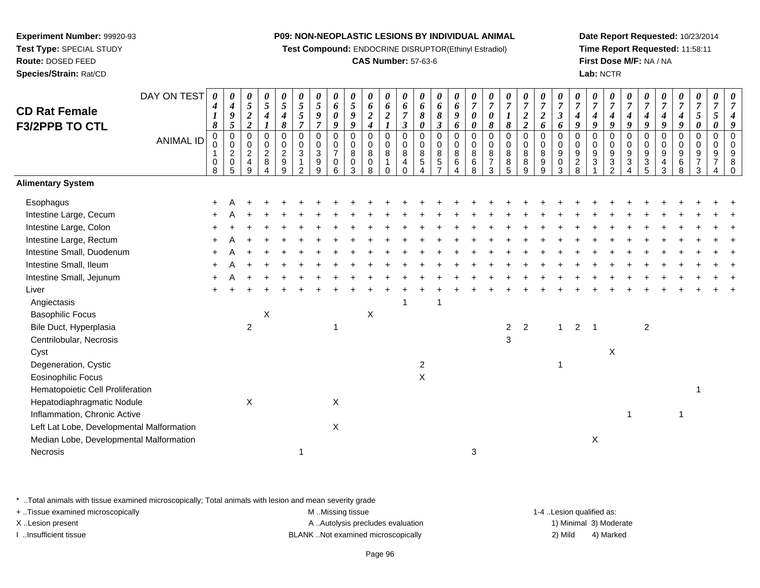**Test Compound:** ENDOCRINE DISRUPTOR(Ethinyl Estradiol)

#### **CAS Number:** 57-63-6

**Date Report Requested:** 10/23/2014**Time Report Requested:** 11:58:11**First Dose M/F:** NA / NA**Lab:** NCTR

|                                               | DAY ON TEST      | 0<br>4                        | 0<br>$\boldsymbol{4}$                             | $\frac{\theta}{5}$                               | 0<br>$\sqrt{5}$                                         | 0<br>5                                               | 0<br>5                                             | 0<br>5                                            | 0<br>6                                  | 0<br>$\mathfrak{z}$                        | $\boldsymbol{\theta}$<br>$\pmb{6}$                       | 0<br>6                                       | 0<br>6                                            | 0<br>6                           | 0<br>6                                 | 0<br>6                                              | 0<br>$\overline{7}$                                    | 0<br>$\overline{7}$                       | 0<br>$\overline{7}$                  | $\pmb{\theta}$<br>$\overline{7}$          | $\frac{\boldsymbol{\theta}}{\boldsymbol{7}}$ | 0<br>$\overline{7}$                      | 0<br>$\overline{7}$                  | 0<br>$\overline{7}$                  | $\boldsymbol{\theta}$<br>$\overline{7}$                              | 0<br>$\overline{7}$                     | 0<br>$\overline{7}$                 | 0<br>$\overline{7}$                          | 0<br>$\overline{7}$                           | $\boldsymbol{\theta}$<br>$\overline{7}$          | 0<br>$\overline{7}$                     |  |
|-----------------------------------------------|------------------|-------------------------------|---------------------------------------------------|--------------------------------------------------|---------------------------------------------------------|------------------------------------------------------|----------------------------------------------------|---------------------------------------------------|-----------------------------------------|--------------------------------------------|----------------------------------------------------------|----------------------------------------------|---------------------------------------------------|----------------------------------|----------------------------------------|-----------------------------------------------------|--------------------------------------------------------|-------------------------------------------|--------------------------------------|-------------------------------------------|----------------------------------------------|------------------------------------------|--------------------------------------|--------------------------------------|----------------------------------------------------------------------|-----------------------------------------|-------------------------------------|----------------------------------------------|-----------------------------------------------|--------------------------------------------------|-----------------------------------------|--|
| <b>CD Rat Female</b><br><b>F3/2PPB TO CTL</b> |                  | 1<br>$\pmb{8}$<br>$\mathbf 0$ | $\frac{9}{5}$<br>$\overline{0}$                   | $\boldsymbol{2}$<br>$\overline{\mathbf{c}}$<br>0 | $\boldsymbol{4}$<br>$\mathbf 0$                         | $\boldsymbol{4}$<br>$\pmb{8}$<br>$\mathbf 0$         | $\sqrt{5}$<br>$\overline{7}$<br>$\mathbf 0$        | $\boldsymbol{g}$<br>$\overline{7}$<br>$\mathbf 0$ | $\pmb{\theta}$<br>9<br>$\boldsymbol{0}$ | $\pmb{9}$<br>$\boldsymbol{g}$<br>$\pmb{0}$ | $\boldsymbol{2}$<br>$\boldsymbol{4}$<br>$\boldsymbol{0}$ | $\boldsymbol{2}$<br>$\mathbf 0$              | $\boldsymbol{7}$<br>$\mathfrak{z}$<br>$\mathbf 0$ | 8<br>0<br>$\mathbf 0$            | $\pmb{8}$<br>$\boldsymbol{\beta}$<br>0 | $\boldsymbol{9}$<br>$\boldsymbol{6}$<br>$\mathbf 0$ | $\boldsymbol{\theta}$<br>$\pmb{\theta}$<br>$\mathbf 0$ | $\boldsymbol{\theta}$<br>8<br>$\mathbf 0$ | $\boldsymbol{l}$<br>8<br>$\mathbf 0$ | $\boldsymbol{2}$<br>$\boldsymbol{2}$<br>0 | $\boldsymbol{2}$<br>6<br>$\mathbf 0$         | $\boldsymbol{\beta}$<br>6<br>$\mathbf 0$ | $\boldsymbol{4}$<br>9<br>$\mathbf 0$ | $\boldsymbol{4}$<br>9<br>$\mathbf 0$ | $\boldsymbol{4}$<br>9<br>$\mathbf 0$                                 | $\boldsymbol{4}$<br>9<br>$\mathbf 0$    | 4<br>9<br>$\mathbf 0$               | $\boldsymbol{4}$<br>9<br>$\mathbf 0$         | $\boldsymbol{4}$<br>9<br>$\mathsf 0$          | $\sqrt{5}$<br>$\boldsymbol{\theta}$<br>$\pmb{0}$ | 5<br>$\boldsymbol{\theta}$<br>$\pmb{0}$ |  |
|                                               | <b>ANIMAL ID</b> | 0<br>$\mathbf{1}$<br>0<br>8   | $\mathbf 0$<br>$\overline{2}$<br>$\mathbf 0$<br>5 | 0<br>$\overline{a}$<br>4<br>9                    | $^{\rm 0}_{\rm 2}$<br>$\bf 8$<br>$\boldsymbol{\Lambda}$ | $\pmb{0}$<br>$\overline{2}$<br>$\boldsymbol{9}$<br>9 | $\mathbf 0$<br>$\mathbf{3}$<br>1<br>$\overline{2}$ | $\mathbf 0$<br>$\mathbf{3}$<br>9<br>9             | $\frac{0}{7}$<br>0<br>6                 | $_{8}^{\rm 0}$<br>$\mathbf 0$<br>3         | $\pmb{0}$<br>$\bf8$<br>$\mathbf 0$<br>8                  | $\mathbf 0$<br>8<br>$\mathbf{1}$<br>$\Omega$ | 0<br>8<br>4<br>$\Omega$                           | $\pmb{0}$<br>8<br>$\overline{5}$ | 0<br>8<br>$\sqrt{5}$<br>$\overline{z}$ | $\mathsf 0$<br>8<br>6<br>4                          | $\mathbf 0$<br>8<br>$\,6$<br>8                         | 0<br>8<br>$\overline{7}$<br>3             | $\pmb{0}$<br>8<br>$\frac{8}{5}$      | $\pmb{0}$<br>$\bf8$<br>8<br>9             | $\mathbf 0$<br>$\,8\,$<br>9<br>9             | $\mathbf 0$<br>9<br>0<br>3               | $\mathbf 0$<br>$\frac{9}{2}$         | 0<br>$\boldsymbol{9}$<br>3           | 0<br>$\boldsymbol{9}$<br>$\ensuremath{\mathsf{3}}$<br>$\mathfrak{p}$ | $\mathbf 0$<br>$9\,$<br>$\sqrt{3}$<br>4 | $\mathbf 0$<br>9<br>$\sqrt{3}$<br>5 | 0<br>$\boldsymbol{9}$<br>$\overline{4}$<br>3 | $\pmb{0}$<br>$\boldsymbol{9}$<br>$\,6\,$<br>8 | $\pmb{0}$<br>9<br>$\overline{7}$<br>3            | $\mathbf 0$<br>9<br>$\overline{7}$      |  |
| <b>Alimentary System</b>                      |                  |                               |                                                   |                                                  |                                                         |                                                      |                                                    |                                                   |                                         |                                            |                                                          |                                              |                                                   |                                  |                                        |                                                     |                                                        |                                           |                                      |                                           |                                              |                                          |                                      |                                      |                                                                      |                                         |                                     |                                              |                                               |                                                  |                                         |  |
| Esophagus                                     |                  |                               |                                                   |                                                  |                                                         |                                                      |                                                    |                                                   |                                         |                                            |                                                          |                                              |                                                   |                                  |                                        |                                                     |                                                        |                                           |                                      |                                           |                                              |                                          |                                      |                                      |                                                                      |                                         |                                     |                                              |                                               |                                                  |                                         |  |
| Intestine Large, Cecum                        |                  |                               |                                                   |                                                  |                                                         |                                                      |                                                    |                                                   |                                         |                                            |                                                          |                                              |                                                   |                                  |                                        |                                                     |                                                        |                                           |                                      |                                           |                                              |                                          |                                      |                                      |                                                                      |                                         |                                     |                                              |                                               |                                                  |                                         |  |
| Intestine Large, Colon                        |                  |                               |                                                   |                                                  |                                                         |                                                      |                                                    |                                                   |                                         |                                            |                                                          |                                              |                                                   |                                  |                                        |                                                     |                                                        |                                           |                                      |                                           |                                              |                                          |                                      |                                      |                                                                      |                                         |                                     |                                              |                                               |                                                  |                                         |  |
| Intestine Large, Rectum                       |                  |                               |                                                   |                                                  |                                                         |                                                      |                                                    |                                                   |                                         |                                            |                                                          |                                              |                                                   |                                  |                                        |                                                     |                                                        |                                           |                                      |                                           |                                              |                                          |                                      |                                      |                                                                      |                                         |                                     |                                              |                                               |                                                  |                                         |  |
| Intestine Small, Duodenum                     |                  |                               |                                                   |                                                  |                                                         |                                                      |                                                    |                                                   |                                         |                                            |                                                          |                                              |                                                   |                                  |                                        |                                                     |                                                        |                                           |                                      |                                           |                                              |                                          |                                      |                                      |                                                                      |                                         |                                     |                                              |                                               |                                                  |                                         |  |
| Intestine Small, Ileum                        |                  |                               |                                                   |                                                  |                                                         |                                                      |                                                    |                                                   |                                         |                                            |                                                          |                                              |                                                   |                                  |                                        |                                                     |                                                        |                                           |                                      |                                           |                                              |                                          |                                      |                                      |                                                                      |                                         |                                     |                                              |                                               |                                                  |                                         |  |
| Intestine Small, Jejunum                      |                  |                               |                                                   |                                                  |                                                         |                                                      |                                                    |                                                   |                                         |                                            |                                                          |                                              |                                                   |                                  |                                        |                                                     |                                                        |                                           |                                      |                                           |                                              |                                          |                                      |                                      |                                                                      |                                         |                                     |                                              |                                               |                                                  |                                         |  |
| Liver                                         |                  |                               |                                                   |                                                  |                                                         |                                                      |                                                    |                                                   |                                         |                                            |                                                          |                                              |                                                   |                                  |                                        |                                                     |                                                        |                                           |                                      |                                           |                                              |                                          |                                      |                                      |                                                                      |                                         |                                     |                                              |                                               |                                                  |                                         |  |
| Angiectasis                                   |                  |                               |                                                   |                                                  |                                                         |                                                      |                                                    |                                                   |                                         |                                            |                                                          |                                              |                                                   |                                  |                                        |                                                     |                                                        |                                           |                                      |                                           |                                              |                                          |                                      |                                      |                                                                      |                                         |                                     |                                              |                                               |                                                  |                                         |  |
| <b>Basophilic Focus</b>                       |                  |                               |                                                   |                                                  | $\boldsymbol{\mathsf{X}}$                               |                                                      |                                                    |                                                   |                                         |                                            | $\boldsymbol{\mathsf{X}}$                                |                                              |                                                   |                                  |                                        |                                                     |                                                        |                                           |                                      |                                           |                                              |                                          |                                      |                                      |                                                                      |                                         |                                     |                                              |                                               |                                                  |                                         |  |
| Bile Duct, Hyperplasia                        |                  |                               |                                                   | $\overline{c}$                                   |                                                         |                                                      |                                                    |                                                   | -1                                      |                                            |                                                          |                                              |                                                   |                                  |                                        |                                                     |                                                        |                                           | $\overline{2}$                       | $\overline{2}$                            |                                              | $\mathbf{1}$                             | $\overline{2}$                       | -1                                   |                                                                      |                                         | $\overline{c}$                      |                                              |                                               |                                                  |                                         |  |
| Centrilobular, Necrosis                       |                  |                               |                                                   |                                                  |                                                         |                                                      |                                                    |                                                   |                                         |                                            |                                                          |                                              |                                                   |                                  |                                        |                                                     |                                                        |                                           | 3                                    |                                           |                                              |                                          |                                      |                                      |                                                                      |                                         |                                     |                                              |                                               |                                                  |                                         |  |
| Cyst                                          |                  |                               |                                                   |                                                  |                                                         |                                                      |                                                    |                                                   |                                         |                                            |                                                          |                                              |                                                   |                                  |                                        |                                                     |                                                        |                                           |                                      |                                           |                                              |                                          |                                      |                                      | X                                                                    |                                         |                                     |                                              |                                               |                                                  |                                         |  |
| Degeneration, Cystic                          |                  |                               |                                                   |                                                  |                                                         |                                                      |                                                    |                                                   |                                         |                                            |                                                          |                                              |                                                   | $\overline{c}$                   |                                        |                                                     |                                                        |                                           |                                      |                                           |                                              | 1                                        |                                      |                                      |                                                                      |                                         |                                     |                                              |                                               |                                                  |                                         |  |
| Eosinophilic Focus                            |                  |                               |                                                   |                                                  |                                                         |                                                      |                                                    |                                                   |                                         |                                            |                                                          |                                              |                                                   | $\pmb{\times}$                   |                                        |                                                     |                                                        |                                           |                                      |                                           |                                              |                                          |                                      |                                      |                                                                      |                                         |                                     |                                              |                                               |                                                  |                                         |  |
| Hematopoietic Cell Proliferation              |                  |                               |                                                   |                                                  |                                                         |                                                      |                                                    |                                                   |                                         |                                            |                                                          |                                              |                                                   |                                  |                                        |                                                     |                                                        |                                           |                                      |                                           |                                              |                                          |                                      |                                      |                                                                      |                                         |                                     |                                              |                                               |                                                  |                                         |  |
| Hepatodiaphragmatic Nodule                    |                  |                               |                                                   | X                                                |                                                         |                                                      |                                                    |                                                   | X                                       |                                            |                                                          |                                              |                                                   |                                  |                                        |                                                     |                                                        |                                           |                                      |                                           |                                              |                                          |                                      |                                      |                                                                      |                                         |                                     |                                              |                                               |                                                  |                                         |  |
| Inflammation, Chronic Active                  |                  |                               |                                                   |                                                  |                                                         |                                                      |                                                    |                                                   |                                         |                                            |                                                          |                                              |                                                   |                                  |                                        |                                                     |                                                        |                                           |                                      |                                           |                                              |                                          |                                      |                                      |                                                                      | 1                                       |                                     |                                              |                                               |                                                  |                                         |  |
| Left Lat Lobe, Developmental Malformation     |                  |                               |                                                   |                                                  |                                                         |                                                      |                                                    |                                                   | X                                       |                                            |                                                          |                                              |                                                   |                                  |                                        |                                                     |                                                        |                                           |                                      |                                           |                                              |                                          |                                      |                                      |                                                                      |                                         |                                     |                                              |                                               |                                                  |                                         |  |
| Median Lobe, Developmental Malformation       |                  |                               |                                                   |                                                  |                                                         |                                                      |                                                    |                                                   |                                         |                                            |                                                          |                                              |                                                   |                                  |                                        |                                                     |                                                        |                                           |                                      |                                           |                                              |                                          |                                      | X                                    |                                                                      |                                         |                                     |                                              |                                               |                                                  |                                         |  |
| <b>Necrosis</b>                               |                  |                               |                                                   |                                                  |                                                         |                                                      | 1                                                  |                                                   |                                         |                                            |                                                          |                                              |                                                   |                                  |                                        |                                                     | 3                                                      |                                           |                                      |                                           |                                              |                                          |                                      |                                      |                                                                      |                                         |                                     |                                              |                                               |                                                  |                                         |  |

\* ..Total animals with tissue examined microscopically; Total animals with lesion and mean severity grade

**Experiment Number:** 99920-93**Test Type:** SPECIAL STUDY**Route:** DOSED FEED**Species/Strain:** Rat/CD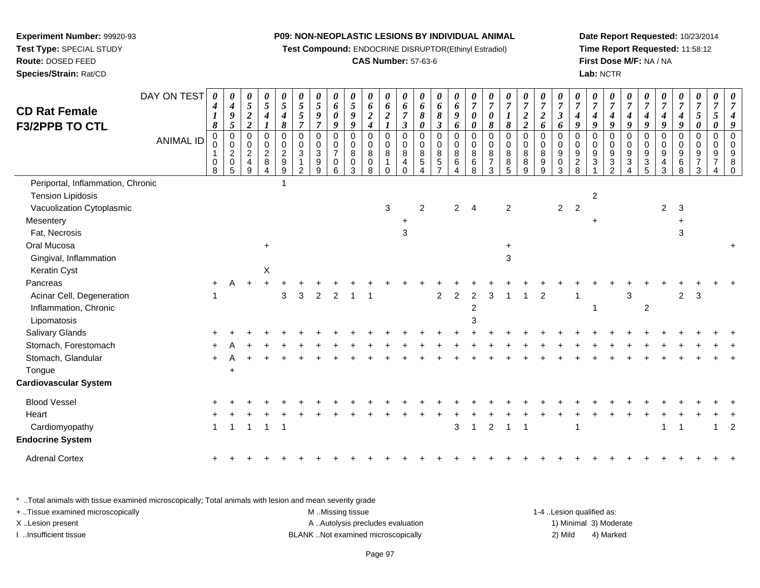**Test Compound:** ENDOCRINE DISRUPTOR(Ethinyl Estradiol)

#### **CAS Number:** 57-63-6

**Date Report Requested:** 10/23/2014**Time Report Requested:** 11:58:12**First Dose M/F:** NA / NA**Lab:** NCTR

| <b>CD Rat Female</b><br>F3/2PPB TO CTL | DAY ON TEST      | 0<br>4<br>$\boldsymbol{l}$<br>8 | 0<br>$\boldsymbol{4}$<br>9<br>5             | 0<br>$\sqrt{5}$<br>$\boldsymbol{2}$<br>$\boldsymbol{2}$             | 0<br>$\mathfrak{s}$<br>$\boldsymbol{4}$<br>$\boldsymbol{l}$ | $\boldsymbol{\theta}$<br>$\overline{5}$<br>4<br>8   | 0<br>$\mathfrak{s}$<br>5<br>$\overline{7}$                                  | $\boldsymbol{\theta}$<br>$\mathfrak{s}$<br>9<br>$\overline{\tau}$ | 0<br>6<br>$\pmb{\theta}$<br>$\boldsymbol{g}$                   | 0<br>$\overline{5}$<br>$\boldsymbol{9}$<br>$\boldsymbol{9}$ | $\boldsymbol{\theta}$<br>6<br>$\boldsymbol{2}$<br>$\boldsymbol{4}$ | 0<br>6<br>$\boldsymbol{2}$<br>$\boldsymbol{l}$ | 0<br>6<br>$\overline{7}$<br>$\mathfrak{z}$ | 0<br>6<br>8<br>0      | 0<br>6<br>$\pmb{8}$<br>$\mathfrak{z}$          | 0<br>6<br>$\boldsymbol{9}$<br>6 | 0<br>$\boldsymbol{7}$<br>$\boldsymbol{\theta}$<br>0 | 0<br>$\overline{7}$<br>0<br>8      | $\boldsymbol{\theta}$<br>$\overline{7}$<br>$\boldsymbol{l}$<br>8 | $\boldsymbol{\theta}$<br>$\overline{7}$<br>$\boldsymbol{2}$<br>$\overline{2}$ | $\boldsymbol{\theta}$<br>$\overline{7}$<br>$\boldsymbol{2}$<br>6 | U<br>$\overline{7}$<br>$\boldsymbol{\beta}$<br>6 | 0<br>$\overline{7}$<br>4<br>9                            | 0<br>$\boldsymbol{7}$<br>$\boldsymbol{4}$<br>9                            | $\boldsymbol{\theta}$<br>$\overline{7}$<br>4<br>9                     | $\boldsymbol{\theta}$<br>$\overline{7}$<br>$\boldsymbol{4}$<br>9 | $\boldsymbol{\theta}$<br>$\overline{7}$<br>4<br>9        | 0<br>$\overline{7}$<br>4<br>9 | 0<br>$\overline{7}$<br>$\boldsymbol{4}$<br>9 | 0<br>$\overline{7}$<br>$\mathfrak{s}$<br>0   | 0<br>$\overline{7}$<br>5<br>0 | 0<br>$\overline{7}$<br>$\overline{4}$<br>9       |
|----------------------------------------|------------------|---------------------------------|---------------------------------------------|---------------------------------------------------------------------|-------------------------------------------------------------|-----------------------------------------------------|-----------------------------------------------------------------------------|-------------------------------------------------------------------|----------------------------------------------------------------|-------------------------------------------------------------|--------------------------------------------------------------------|------------------------------------------------|--------------------------------------------|-----------------------|------------------------------------------------|---------------------------------|-----------------------------------------------------|------------------------------------|------------------------------------------------------------------|-------------------------------------------------------------------------------|------------------------------------------------------------------|--------------------------------------------------|----------------------------------------------------------|---------------------------------------------------------------------------|-----------------------------------------------------------------------|------------------------------------------------------------------|----------------------------------------------------------|-------------------------------|----------------------------------------------|----------------------------------------------|-------------------------------|--------------------------------------------------|
|                                        | <b>ANIMAL ID</b> | 0<br>0<br>8                     | $\pmb{0}$<br>$\pmb{0}$<br>$^2_{\rm 0}$<br>5 | 0<br>0<br>$\sqrt{2}$<br>$\overline{\mathbf{4}}$<br>$\boldsymbol{9}$ | $\mathbf 0$<br>$\pmb{0}$<br>$\overline{c}$<br>8             | 0<br>0<br>$\boldsymbol{2}$<br>$\boldsymbol{9}$<br>9 | $\mathbf 0$<br>$\mathbf 0$<br>$\mathbf{3}$<br>$\mathbf{1}$<br>$\mathcal{P}$ | 0<br>$\mathbf 0$<br>$\sqrt{3}$<br>9<br>9                          | $\pmb{0}$<br>$\mathbf 0$<br>$\overline{7}$<br>$\mathbf 0$<br>6 | $\mathbf 0$<br>$\mathbf 0$<br>$\bf8$<br>0<br>3              | 0<br>0<br>8<br>0<br>8                                              | 0<br>$\mathbf 0$<br>8                          | 0<br>0<br>8<br>4<br>$\Omega$               | 0<br>0<br>8<br>5<br>4 | $\mathbf 0$<br>$\pmb{0}$<br>8<br>$\frac{5}{7}$ | 0<br>0<br>$\,8\,$<br>6<br>4     | 0<br>$\mathbf 0$<br>8<br>6<br>8                     | 0<br>0<br>8<br>$\overline{7}$<br>3 | 0<br>0<br>$\bf 8$<br>$\begin{array}{c} 8 \\ 5 \end{array}$       | $\pmb{0}$<br>$\mathbf 0$<br>$\,8\,$<br>8<br>9                                 | 0<br>0<br>$\,8\,$<br>9<br>9                                      | $\mathbf 0$<br>$\mathbf 0$<br>9<br>0<br>3        | $\Omega$<br>0<br>$\boldsymbol{9}$<br>$\overline{c}$<br>8 | $\mathbf 0$<br>$\pmb{0}$<br>$\boldsymbol{9}$<br>$\ensuremath{\mathsf{3}}$ | $\mathbf 0$<br>$\mathbf 0$<br>$\boldsymbol{9}$<br>3<br>$\mathfrak{p}$ | 0<br>$\mathbf 0$<br>9<br>3                                       | $\mathbf 0$<br>$\mathbf 0$<br>$9\,$<br>$\mathbf{3}$<br>5 | 0<br>0<br>9<br>4<br>3         | 0<br>0<br>9<br>6<br>8                        | $\mathbf 0$<br>0<br>9<br>$\overline{7}$<br>3 | 0<br>$\mathbf 0$<br>9         | $\mathbf 0$<br>$\mathbf 0$<br>9<br>8<br>$\Omega$ |
| Periportal, Inflammation, Chronic      |                  |                                 |                                             |                                                                     |                                                             |                                                     |                                                                             |                                                                   |                                                                |                                                             |                                                                    |                                                |                                            |                       |                                                |                                 |                                                     |                                    |                                                                  |                                                                               |                                                                  |                                                  |                                                          |                                                                           |                                                                       |                                                                  |                                                          |                               |                                              |                                              |                               |                                                  |
| <b>Tension Lipidosis</b>               |                  |                                 |                                             |                                                                     |                                                             |                                                     |                                                                             |                                                                   |                                                                |                                                             |                                                                    |                                                |                                            |                       |                                                |                                 |                                                     |                                    |                                                                  |                                                                               |                                                                  |                                                  |                                                          | $\overline{c}$                                                            |                                                                       |                                                                  |                                                          |                               |                                              |                                              |                               |                                                  |
| Vacuolization Cytoplasmic              |                  |                                 |                                             |                                                                     |                                                             |                                                     |                                                                             |                                                                   |                                                                |                                                             |                                                                    | $\mathbf{3}$                                   |                                            | $\overline{2}$        |                                                | $\overline{c}$                  | 4                                                   |                                    | $\overline{2}$                                                   |                                                                               |                                                                  | 2 <sup>7</sup>                                   | $\overline{2}$                                           |                                                                           |                                                                       |                                                                  |                                                          | $\overline{a}$                | 3                                            |                                              |                               |                                                  |
| Mesentery                              |                  |                                 |                                             |                                                                     |                                                             |                                                     |                                                                             |                                                                   |                                                                |                                                             |                                                                    |                                                | $\ddot{}$                                  |                       |                                                |                                 |                                                     |                                    |                                                                  |                                                                               |                                                                  |                                                  |                                                          | $\ddot{}$                                                                 |                                                                       |                                                                  |                                                          |                               |                                              |                                              |                               |                                                  |
| Fat, Necrosis                          |                  |                                 |                                             |                                                                     |                                                             |                                                     |                                                                             |                                                                   |                                                                |                                                             |                                                                    |                                                | 3                                          |                       |                                                |                                 |                                                     |                                    |                                                                  |                                                                               |                                                                  |                                                  |                                                          |                                                                           |                                                                       |                                                                  |                                                          |                               | 3                                            |                                              |                               |                                                  |
| Oral Mucosa                            |                  |                                 |                                             |                                                                     | $+$                                                         |                                                     |                                                                             |                                                                   |                                                                |                                                             |                                                                    |                                                |                                            |                       |                                                |                                 |                                                     |                                    | $+$                                                              |                                                                               |                                                                  |                                                  |                                                          |                                                                           |                                                                       |                                                                  |                                                          |                               |                                              |                                              |                               | $\ddot{}$                                        |
| Gingival, Inflammation                 |                  |                                 |                                             |                                                                     |                                                             |                                                     |                                                                             |                                                                   |                                                                |                                                             |                                                                    |                                                |                                            |                       |                                                |                                 |                                                     |                                    | 3                                                                |                                                                               |                                                                  |                                                  |                                                          |                                                                           |                                                                       |                                                                  |                                                          |                               |                                              |                                              |                               |                                                  |
| Keratin Cyst                           |                  |                                 |                                             |                                                                     | X                                                           |                                                     |                                                                             |                                                                   |                                                                |                                                             |                                                                    |                                                |                                            |                       |                                                |                                 |                                                     |                                    |                                                                  |                                                                               |                                                                  |                                                  |                                                          |                                                                           |                                                                       |                                                                  |                                                          |                               |                                              |                                              |                               |                                                  |
| Pancreas                               |                  |                                 |                                             |                                                                     |                                                             |                                                     |                                                                             |                                                                   |                                                                |                                                             |                                                                    |                                                |                                            |                       |                                                |                                 |                                                     |                                    |                                                                  |                                                                               |                                                                  |                                                  |                                                          |                                                                           |                                                                       |                                                                  |                                                          |                               |                                              |                                              |                               |                                                  |
| Acinar Cell, Degeneration              |                  |                                 |                                             |                                                                     |                                                             | 3                                                   | 3                                                                           | 2                                                                 | 2                                                              |                                                             |                                                                    |                                                |                                            |                       | 2                                              | $\overline{c}$                  |                                                     | З                                  |                                                                  |                                                                               | $\overline{2}$                                                   |                                                  |                                                          |                                                                           |                                                                       | 3                                                                |                                                          |                               | 2                                            | 3                                            |                               |                                                  |
| Inflammation, Chronic                  |                  |                                 |                                             |                                                                     |                                                             |                                                     |                                                                             |                                                                   |                                                                |                                                             |                                                                    |                                                |                                            |                       |                                                |                                 | $\overline{2}$                                      |                                    |                                                                  |                                                                               |                                                                  |                                                  |                                                          | 1                                                                         |                                                                       |                                                                  | $\overline{2}$                                           |                               |                                              |                                              |                               |                                                  |
| Lipomatosis                            |                  |                                 |                                             |                                                                     |                                                             |                                                     |                                                                             |                                                                   |                                                                |                                                             |                                                                    |                                                |                                            |                       |                                                |                                 | 3                                                   |                                    |                                                                  |                                                                               |                                                                  |                                                  |                                                          |                                                                           |                                                                       |                                                                  |                                                          |                               |                                              |                                              |                               |                                                  |
| <b>Salivary Glands</b>                 |                  |                                 |                                             |                                                                     |                                                             |                                                     |                                                                             |                                                                   |                                                                |                                                             |                                                                    |                                                |                                            |                       |                                                |                                 |                                                     |                                    |                                                                  |                                                                               |                                                                  |                                                  |                                                          |                                                                           |                                                                       |                                                                  |                                                          |                               |                                              |                                              |                               |                                                  |
| Stomach, Forestomach                   |                  |                                 |                                             |                                                                     |                                                             |                                                     |                                                                             |                                                                   |                                                                |                                                             |                                                                    |                                                |                                            |                       |                                                |                                 |                                                     |                                    |                                                                  |                                                                               |                                                                  |                                                  |                                                          |                                                                           |                                                                       |                                                                  |                                                          |                               |                                              |                                              |                               |                                                  |
| Stomach, Glandular                     |                  | $\ddot{}$                       |                                             |                                                                     |                                                             |                                                     |                                                                             |                                                                   |                                                                |                                                             |                                                                    |                                                |                                            |                       |                                                |                                 |                                                     |                                    |                                                                  |                                                                               |                                                                  |                                                  |                                                          |                                                                           |                                                                       |                                                                  |                                                          |                               |                                              |                                              |                               |                                                  |
| Tongue                                 |                  |                                 | $\ddot{}$                                   |                                                                     |                                                             |                                                     |                                                                             |                                                                   |                                                                |                                                             |                                                                    |                                                |                                            |                       |                                                |                                 |                                                     |                                    |                                                                  |                                                                               |                                                                  |                                                  |                                                          |                                                                           |                                                                       |                                                                  |                                                          |                               |                                              |                                              |                               |                                                  |
| <b>Cardiovascular System</b>           |                  |                                 |                                             |                                                                     |                                                             |                                                     |                                                                             |                                                                   |                                                                |                                                             |                                                                    |                                                |                                            |                       |                                                |                                 |                                                     |                                    |                                                                  |                                                                               |                                                                  |                                                  |                                                          |                                                                           |                                                                       |                                                                  |                                                          |                               |                                              |                                              |                               |                                                  |
| <b>Blood Vessel</b>                    |                  |                                 |                                             |                                                                     |                                                             |                                                     |                                                                             |                                                                   |                                                                |                                                             |                                                                    |                                                |                                            |                       |                                                |                                 |                                                     |                                    |                                                                  |                                                                               |                                                                  |                                                  |                                                          |                                                                           |                                                                       |                                                                  |                                                          |                               |                                              |                                              |                               |                                                  |
| Heart                                  |                  |                                 |                                             |                                                                     |                                                             |                                                     |                                                                             |                                                                   |                                                                |                                                             |                                                                    |                                                |                                            |                       |                                                |                                 |                                                     |                                    |                                                                  |                                                                               |                                                                  |                                                  |                                                          |                                                                           |                                                                       |                                                                  |                                                          |                               |                                              |                                              |                               |                                                  |
| Cardiomyopathy                         |                  |                                 |                                             | 1                                                                   | -1                                                          | $\overline{1}$                                      |                                                                             |                                                                   |                                                                |                                                             |                                                                    |                                                |                                            |                       |                                                | 3                               | 1                                                   | $\sqrt{2}$                         |                                                                  |                                                                               |                                                                  |                                                  |                                                          |                                                                           |                                                                       |                                                                  |                                                          | 1                             |                                              |                                              |                               | $\overline{2}$                                   |
| <b>Endocrine System</b>                |                  |                                 |                                             |                                                                     |                                                             |                                                     |                                                                             |                                                                   |                                                                |                                                             |                                                                    |                                                |                                            |                       |                                                |                                 |                                                     |                                    |                                                                  |                                                                               |                                                                  |                                                  |                                                          |                                                                           |                                                                       |                                                                  |                                                          |                               |                                              |                                              |                               |                                                  |
| <b>Adrenal Cortex</b>                  |                  |                                 |                                             |                                                                     |                                                             |                                                     |                                                                             |                                                                   |                                                                |                                                             |                                                                    |                                                |                                            |                       |                                                |                                 |                                                     |                                    |                                                                  |                                                                               |                                                                  |                                                  |                                                          |                                                                           |                                                                       |                                                                  |                                                          |                               |                                              |                                              |                               |                                                  |
|                                        |                  |                                 |                                             |                                                                     |                                                             |                                                     |                                                                             |                                                                   |                                                                |                                                             |                                                                    |                                                |                                            |                       |                                                |                                 |                                                     |                                    |                                                                  |                                                                               |                                                                  |                                                  |                                                          |                                                                           |                                                                       |                                                                  |                                                          |                               |                                              |                                              |                               |                                                  |

\* ..Total animals with tissue examined microscopically; Total animals with lesion and mean severity grade

+ ..Tissue examined microscopically examined microscopically examined as:  $M$  ..Missing tissue 1-4 ..Lesion qualified as: X..Lesion present **A ..Autolysis precludes evaluation** A ..Autolysis precludes evaluation 1) Minimal 3) Moderate I ..Insufficient tissue BLANK ..Not examined microscopically 2) Mild 4) Marked

# **Experiment Number:** 99920-93**Test Type:** SPECIAL STUDY**Route:** DOSED FEED

**Species/Strain:** Rat/CD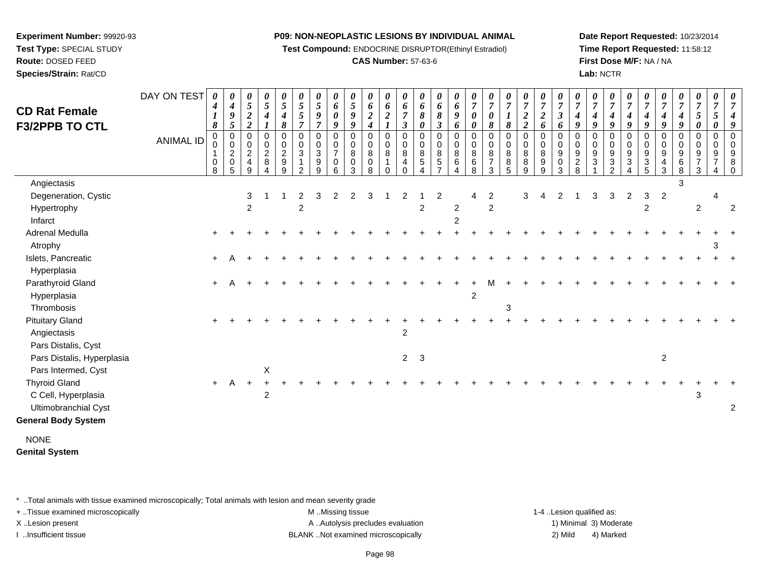**Test Compound:** ENDOCRINE DISRUPTOR(Ethinyl Estradiol)

#### **CAS Number:** 57-63-6

**Date Report Requested:** 10/23/2014**Time Report Requested:** 11:58:12**First Dose M/F:** NA / NA**Lab:** NCTR

| <b>CD Rat Female</b><br><b>F3/2PPB TO CTL</b> | DAY ON TEST<br>ANIMAL ID | 0<br>4<br>8<br>0<br>0<br>0<br>8 | 0<br>$\boldsymbol{4}$<br>9<br>5<br>$\pmb{0}$<br>$\pmb{0}$<br>$\frac{2}{0}$<br>5 | 0<br>$\overline{5}$<br>$\boldsymbol{2}$<br>$\boldsymbol{2}$<br>0<br>$\mathbf 0$<br>$\sqrt{2}$<br>$\overline{4}$<br>$\mathbf{q}$ | 0<br>5<br>4<br>0<br>0<br>$\overline{c}$<br>8 | 0<br>$\mathfrak{s}$<br>$\boldsymbol{4}$<br>8<br>0<br>$\pmb{0}$<br>$\frac{2}{9}$<br>$\mathbf{Q}$ | 0<br>5<br>5<br>$\overline{7}$<br>0<br>$\,0\,$<br>$\sqrt{3}$<br>$\mathcal{P}$ | 0<br>5<br>9<br>7<br>0<br>0<br>$\mathbf{3}$<br>$9\,$<br>9 | 0<br>6<br>$\boldsymbol{\theta}$<br>9<br>0<br>$\mathbf 0$<br>$\overline{7}$<br>0<br>6 | 0<br>$\mathfrak{H}$<br>9<br>9<br>0<br>$\mathbf 0$<br>8<br>0<br>3 | 0<br>6<br>$\boldsymbol{2}$<br>$\boldsymbol{4}$<br>0<br>$\pmb{0}$<br>8<br>$\,0\,$<br>8 | 0<br>6<br>$\boldsymbol{2}$<br>$\mathbf 0$<br>$\pmb{0}$<br>8<br>1<br>$\Omega$ | 0<br>6<br>$\overline{7}$<br>$\boldsymbol{\beta}$<br>0<br>0<br>8<br>$\overline{4}$<br>$\Omega$ | 0<br>6<br>8<br>0<br>0<br>0<br>8<br>$\sqrt{5}$ | $\boldsymbol{\theta}$<br>6<br>8<br>3<br>0<br>$\pmb{0}$<br>8<br>$\mathbf 5$<br>$\overline{ }$ | 0<br>6<br>9<br>6<br>0<br>$\mathbf 0$<br>8<br>6 | $\boldsymbol{\theta}$<br>$\overline{7}$<br>$\boldsymbol{\theta}$<br>$\boldsymbol{\theta}$<br>0<br>0<br>8<br>$\,6$<br>8 | 7<br>0<br>8<br>0<br>0<br>8<br>$\overline{7}$<br>3 | 0<br>7<br>8<br>0<br>0<br>$\bf 8$<br>8<br>5 | 0<br>7<br>$\boldsymbol{2}$<br>$\overline{\mathbf{c}}$<br>0<br>0<br>8<br>8<br>9 | 0<br>$\overline{7}$<br>$\boldsymbol{2}$<br>6<br>0<br>$\mathbf 0$<br>8<br>9<br>9 | 0<br>$\boldsymbol{7}$<br>$\boldsymbol{\beta}$<br>6<br>0<br>0<br>9<br>0<br>3 | 7<br>$\boldsymbol{4}$<br>9<br>0<br>0<br>9<br>$\frac{2}{8}$ | 0<br>4<br>9<br>0<br>0<br>9<br>$\sqrt{3}$ | 0<br>$\overline{7}$<br>4<br>9<br>0<br>0<br>9<br>$\ensuremath{\mathsf{3}}$<br>$\mathfrak{D}$ | $\boldsymbol{\theta}$<br>$\overline{7}$<br>4<br>9<br>0<br>$\mathbf 0$<br>9<br>$\ensuremath{\mathsf{3}}$ | 0<br>$\overline{7}$<br>4<br>9<br>0<br>0<br>9<br>3<br>5 | 9<br>0<br>0<br>9<br>$\overline{4}$<br>3 | 0<br>4<br>9<br>0<br>$\mathbf 0$<br>9<br>$\,6$<br>8 | 0<br>$\boldsymbol{7}$<br>5<br>$\boldsymbol{\theta}$<br>0<br>0<br>9<br>$\overline{7}$<br>3 | 5<br>0<br>$\mathbf 0$<br>$\mathbf 0$<br>9 |  |
|-----------------------------------------------|--------------------------|---------------------------------|---------------------------------------------------------------------------------|---------------------------------------------------------------------------------------------------------------------------------|----------------------------------------------|-------------------------------------------------------------------------------------------------|------------------------------------------------------------------------------|----------------------------------------------------------|--------------------------------------------------------------------------------------|------------------------------------------------------------------|---------------------------------------------------------------------------------------|------------------------------------------------------------------------------|-----------------------------------------------------------------------------------------------|-----------------------------------------------|----------------------------------------------------------------------------------------------|------------------------------------------------|------------------------------------------------------------------------------------------------------------------------|---------------------------------------------------|--------------------------------------------|--------------------------------------------------------------------------------|---------------------------------------------------------------------------------|-----------------------------------------------------------------------------|------------------------------------------------------------|------------------------------------------|---------------------------------------------------------------------------------------------|---------------------------------------------------------------------------------------------------------|--------------------------------------------------------|-----------------------------------------|----------------------------------------------------|-------------------------------------------------------------------------------------------|-------------------------------------------|--|
| Angiectasis                                   |                          |                                 |                                                                                 |                                                                                                                                 |                                              |                                                                                                 |                                                                              |                                                          |                                                                                      |                                                                  |                                                                                       |                                                                              |                                                                                               |                                               |                                                                                              |                                                |                                                                                                                        |                                                   |                                            |                                                                                |                                                                                 |                                                                             |                                                            |                                          |                                                                                             |                                                                                                         |                                                        |                                         | 3                                                  |                                                                                           |                                           |  |
| Degeneration, Cystic                          |                          |                                 |                                                                                 | 3                                                                                                                               |                                              |                                                                                                 |                                                                              | 3                                                        |                                                                                      |                                                                  |                                                                                       |                                                                              |                                                                                               |                                               | $\mathfrak{p}$                                                                               |                                                |                                                                                                                        | 2                                                 |                                            | 3                                                                              |                                                                                 |                                                                             |                                                            |                                          | 3                                                                                           | 2                                                                                                       | 3                                                      | $\overline{2}$                          |                                                    |                                                                                           |                                           |  |
| Hypertrophy<br>Infarct                        |                          |                                 |                                                                                 | $\overline{c}$                                                                                                                  |                                              |                                                                                                 | $\overline{2}$                                                               |                                                          |                                                                                      |                                                                  |                                                                                       |                                                                              |                                                                                               | 2                                             |                                                                                              | 2<br>2                                         |                                                                                                                        | $\overline{c}$                                    |                                            |                                                                                |                                                                                 |                                                                             |                                                            |                                          |                                                                                             |                                                                                                         | $\overline{2}$                                         |                                         |                                                    | $\overline{2}$                                                                            |                                           |  |
| Adrenal Medulla                               |                          |                                 |                                                                                 |                                                                                                                                 |                                              |                                                                                                 |                                                                              |                                                          |                                                                                      |                                                                  |                                                                                       |                                                                              |                                                                                               |                                               |                                                                                              |                                                |                                                                                                                        |                                                   |                                            |                                                                                |                                                                                 |                                                                             |                                                            |                                          |                                                                                             |                                                                                                         |                                                        |                                         |                                                    |                                                                                           |                                           |  |
| Atrophy                                       |                          |                                 |                                                                                 |                                                                                                                                 |                                              |                                                                                                 |                                                                              |                                                          |                                                                                      |                                                                  |                                                                                       |                                                                              |                                                                                               |                                               |                                                                                              |                                                |                                                                                                                        |                                                   |                                            |                                                                                |                                                                                 |                                                                             |                                                            |                                          |                                                                                             |                                                                                                         |                                                        |                                         |                                                    |                                                                                           |                                           |  |
| Islets, Pancreatic                            |                          | $+$                             |                                                                                 |                                                                                                                                 |                                              |                                                                                                 |                                                                              |                                                          |                                                                                      |                                                                  |                                                                                       |                                                                              |                                                                                               |                                               |                                                                                              |                                                |                                                                                                                        |                                                   |                                            |                                                                                |                                                                                 |                                                                             |                                                            |                                          |                                                                                             |                                                                                                         |                                                        |                                         |                                                    |                                                                                           |                                           |  |
| Hyperplasia                                   |                          |                                 |                                                                                 |                                                                                                                                 |                                              |                                                                                                 |                                                                              |                                                          |                                                                                      |                                                                  |                                                                                       |                                                                              |                                                                                               |                                               |                                                                                              |                                                |                                                                                                                        |                                                   |                                            |                                                                                |                                                                                 |                                                                             |                                                            |                                          |                                                                                             |                                                                                                         |                                                        |                                         |                                                    |                                                                                           |                                           |  |
| Parathyroid Gland                             |                          | $\ddot{}$                       |                                                                                 |                                                                                                                                 |                                              |                                                                                                 |                                                                              |                                                          |                                                                                      |                                                                  |                                                                                       |                                                                              |                                                                                               |                                               |                                                                                              |                                                |                                                                                                                        |                                                   |                                            |                                                                                |                                                                                 |                                                                             |                                                            |                                          |                                                                                             |                                                                                                         |                                                        |                                         |                                                    |                                                                                           |                                           |  |
| Hyperplasia                                   |                          |                                 |                                                                                 |                                                                                                                                 |                                              |                                                                                                 |                                                                              |                                                          |                                                                                      |                                                                  |                                                                                       |                                                                              |                                                                                               |                                               |                                                                                              |                                                | $\overline{c}$                                                                                                         |                                                   |                                            |                                                                                |                                                                                 |                                                                             |                                                            |                                          |                                                                                             |                                                                                                         |                                                        |                                         |                                                    |                                                                                           |                                           |  |
| Thrombosis                                    |                          |                                 |                                                                                 |                                                                                                                                 |                                              |                                                                                                 |                                                                              |                                                          |                                                                                      |                                                                  |                                                                                       |                                                                              |                                                                                               |                                               |                                                                                              |                                                |                                                                                                                        |                                                   | 3                                          |                                                                                |                                                                                 |                                                                             |                                                            |                                          |                                                                                             |                                                                                                         |                                                        |                                         |                                                    |                                                                                           |                                           |  |
| <b>Pituitary Gland</b>                        |                          |                                 |                                                                                 |                                                                                                                                 |                                              |                                                                                                 |                                                                              |                                                          |                                                                                      |                                                                  |                                                                                       |                                                                              |                                                                                               |                                               |                                                                                              |                                                |                                                                                                                        |                                                   |                                            |                                                                                |                                                                                 |                                                                             |                                                            |                                          |                                                                                             |                                                                                                         |                                                        |                                         |                                                    |                                                                                           |                                           |  |
| Angiectasis                                   |                          |                                 |                                                                                 |                                                                                                                                 |                                              |                                                                                                 |                                                                              |                                                          |                                                                                      |                                                                  |                                                                                       |                                                                              | 2                                                                                             |                                               |                                                                                              |                                                |                                                                                                                        |                                                   |                                            |                                                                                |                                                                                 |                                                                             |                                                            |                                          |                                                                                             |                                                                                                         |                                                        |                                         |                                                    |                                                                                           |                                           |  |
| Pars Distalis, Cyst                           |                          |                                 |                                                                                 |                                                                                                                                 |                                              |                                                                                                 |                                                                              |                                                          |                                                                                      |                                                                  |                                                                                       |                                                                              |                                                                                               |                                               |                                                                                              |                                                |                                                                                                                        |                                                   |                                            |                                                                                |                                                                                 |                                                                             |                                                            |                                          |                                                                                             |                                                                                                         |                                                        |                                         |                                                    |                                                                                           |                                           |  |
| Pars Distalis, Hyperplasia                    |                          |                                 |                                                                                 |                                                                                                                                 |                                              |                                                                                                 |                                                                              |                                                          |                                                                                      |                                                                  |                                                                                       |                                                                              |                                                                                               | $2 \quad 3$                                   |                                                                                              |                                                |                                                                                                                        |                                                   |                                            |                                                                                |                                                                                 |                                                                             |                                                            |                                          |                                                                                             |                                                                                                         |                                                        | $\overline{c}$                          |                                                    |                                                                                           |                                           |  |
| Pars Intermed, Cyst                           |                          |                                 |                                                                                 |                                                                                                                                 | Χ                                            |                                                                                                 |                                                                              |                                                          |                                                                                      |                                                                  |                                                                                       |                                                                              |                                                                                               |                                               |                                                                                              |                                                |                                                                                                                        |                                                   |                                            |                                                                                |                                                                                 |                                                                             |                                                            |                                          |                                                                                             |                                                                                                         |                                                        |                                         |                                                    |                                                                                           |                                           |  |
| <b>Thyroid Gland</b>                          |                          | $+$                             | A                                                                               |                                                                                                                                 |                                              |                                                                                                 |                                                                              |                                                          |                                                                                      |                                                                  |                                                                                       |                                                                              |                                                                                               |                                               |                                                                                              |                                                |                                                                                                                        |                                                   |                                            |                                                                                |                                                                                 |                                                                             |                                                            |                                          |                                                                                             |                                                                                                         |                                                        |                                         |                                                    |                                                                                           |                                           |  |
| C Cell, Hyperplasia                           |                          |                                 |                                                                                 |                                                                                                                                 | 2                                            |                                                                                                 |                                                                              |                                                          |                                                                                      |                                                                  |                                                                                       |                                                                              |                                                                                               |                                               |                                                                                              |                                                |                                                                                                                        |                                                   |                                            |                                                                                |                                                                                 |                                                                             |                                                            |                                          |                                                                                             |                                                                                                         |                                                        |                                         |                                                    | 3                                                                                         |                                           |  |
| Ultimobranchial Cyst                          |                          |                                 |                                                                                 |                                                                                                                                 |                                              |                                                                                                 |                                                                              |                                                          |                                                                                      |                                                                  |                                                                                       |                                                                              |                                                                                               |                                               |                                                                                              |                                                |                                                                                                                        |                                                   |                                            |                                                                                |                                                                                 |                                                                             |                                                            |                                          |                                                                                             |                                                                                                         |                                                        |                                         |                                                    |                                                                                           |                                           |  |
| <b>General Body System</b>                    |                          |                                 |                                                                                 |                                                                                                                                 |                                              |                                                                                                 |                                                                              |                                                          |                                                                                      |                                                                  |                                                                                       |                                                                              |                                                                                               |                                               |                                                                                              |                                                |                                                                                                                        |                                                   |                                            |                                                                                |                                                                                 |                                                                             |                                                            |                                          |                                                                                             |                                                                                                         |                                                        |                                         |                                                    |                                                                                           |                                           |  |

NONE**Genital System**

\* ..Total animals with tissue examined microscopically; Total animals with lesion and mean severity grade

**Experiment Number:** 99920-93**Test Type:** SPECIAL STUDY**Route:** DOSED FEED**Species/Strain:** Rat/CD

+ ..Tissue examined microscopically examined microscopically examined as:  $M$  ..Missing tissue 1-4 ..Lesion qualified as: X..Lesion present **A ..Autolysis precludes evaluation** A ..Autolysis precludes evaluation 1) Minimal 3) Moderate

I ..Insufficient tissue BLANK ..Not examined microscopically 2) Mild 4) Marked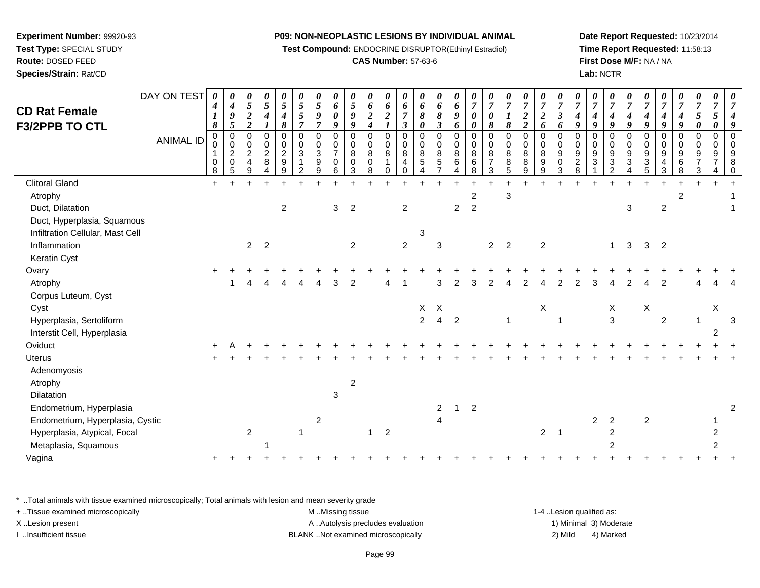**Test Compound:** ENDOCRINE DISRUPTOR(Ethinyl Estradiol)

#### **CAS Number:** 57-63-6

**Date Report Requested:** 10/23/2014**Time Report Requested:** 11:58:13**First Dose M/F:** NA / NA**Lab:** NCTR

| <b>CD Rat Female</b><br><b>F3/2PPB TO CTL</b>           | DAY ON TEST      | 0<br>4<br>1<br>8                | $\boldsymbol{\theta}$<br>$\boldsymbol{4}$<br>9<br>$\mathfrak{s}$ | $\pmb{\theta}$<br>$\mathfrak{s}$<br>$\boldsymbol{2}$<br>$\boldsymbol{2}$ | $\boldsymbol{\theta}$<br>$\mathfrak{s}$<br>4<br>$\boldsymbol{l}$ | $\pmb{\theta}$<br>$\overline{\mathfrak{s}}$<br>4<br>8                 | $\pmb{\theta}$<br>$\sqrt{5}$<br>5<br>$\overline{7}$                            | $\pmb{\theta}$<br>$\sqrt{5}$<br>9<br>$\overline{7}$ | 0<br>6<br>$\pmb{\theta}$<br>9                | $\boldsymbol{\theta}$<br>$\mathfrak{s}$<br>$\boldsymbol{g}$<br>$\boldsymbol{g}$ | 0<br>6<br>$\overline{c}$<br>4   | $\pmb{\theta}$<br>6<br>$\boldsymbol{2}$<br>$\mathbf{I}$  | $\pmb{\theta}$<br>6<br>$\overline{7}$<br>$\boldsymbol{\beta}$ | $\boldsymbol{\theta}$<br>6<br>$\boldsymbol{\delta}$<br>$\boldsymbol{\theta}$ | $\boldsymbol{\theta}$<br>6<br>$\pmb{8}$<br>$\mathfrak{z}$       | 0<br>6<br>9<br>6      | 0<br>$\boldsymbol{7}$<br>0<br>0 | $\boldsymbol{\theta}$<br>$\overline{7}$<br>0<br>8          | $\boldsymbol{\theta}$<br>$\boldsymbol{7}$<br>$\boldsymbol{l}$<br>$\pmb{8}$ | $\pmb{\theta}$<br>$\overline{7}$<br>$\boldsymbol{2}$<br>$\boldsymbol{2}$ | 0<br>$\overline{7}$<br>$\overline{2}$<br>6 | $\boldsymbol{\theta}$<br>$\overline{7}$<br>$\boldsymbol{\beta}$<br>6 | $\pmb{\theta}$<br>$\overline{7}$<br>4<br>9                  | 0<br>$\boldsymbol{7}$<br>4<br>9          | $\boldsymbol{\theta}$<br>$\overline{7}$<br>$\boldsymbol{4}$<br>9      | $\boldsymbol{\theta}$<br>$\overline{7}$<br>4<br>9 | $\pmb{\theta}$<br>$\overline{7}$<br>4<br>9                                     | 0<br>$\overline{7}$<br>4<br>$\boldsymbol{q}$ | 0<br>$\boldsymbol{7}$<br>$\boldsymbol{4}$<br>9 | $\boldsymbol{\theta}$<br>$\overline{7}$<br>$\mathfrak{s}$<br>$\boldsymbol{\theta}$ | 0<br>$\overline{7}$<br>5<br>0 | 7                         |
|---------------------------------------------------------|------------------|---------------------------------|------------------------------------------------------------------|--------------------------------------------------------------------------|------------------------------------------------------------------|-----------------------------------------------------------------------|--------------------------------------------------------------------------------|-----------------------------------------------------|----------------------------------------------|---------------------------------------------------------------------------------|---------------------------------|----------------------------------------------------------|---------------------------------------------------------------|------------------------------------------------------------------------------|-----------------------------------------------------------------|-----------------------|---------------------------------|------------------------------------------------------------|----------------------------------------------------------------------------|--------------------------------------------------------------------------|--------------------------------------------|----------------------------------------------------------------------|-------------------------------------------------------------|------------------------------------------|-----------------------------------------------------------------------|---------------------------------------------------|--------------------------------------------------------------------------------|----------------------------------------------|------------------------------------------------|------------------------------------------------------------------------------------|-------------------------------|---------------------------|
|                                                         | <b>ANIMAL ID</b> | 0<br>0<br>$\mathbf 1$<br>0<br>8 | $\mathbf 0$<br>$\mathbf 0$<br>$\overline{c}$<br>$\pmb{0}$<br>5   | 0<br>$\mathbf 0$<br>$\overline{c}$<br>$\overline{\mathbf{4}}$<br>9       | $\mathbf 0$<br>$\mathbf 0$<br>$\overline{c}$<br>8<br>4           | $\mathbf 0$<br>$\mathbf 0$<br>$\overline{c}$<br>$\boldsymbol{9}$<br>9 | $\mathbf 0$<br>0<br>$\ensuremath{\mathsf{3}}$<br>$\mathbf 1$<br>$\overline{2}$ | $\pmb{0}$<br>$\mathbf 0$<br>$\sqrt{3}$<br>9<br>9    | 0<br>$\mathbf 0$<br>$\overline{7}$<br>0<br>6 | $\pmb{0}$<br>$\mathbf 0$<br>$\bf 8$<br>$\pmb{0}$<br>3                           | $\mathbf 0$<br>0<br>8<br>0<br>8 | $\mathbf 0$<br>$\Omega$<br>8<br>$\mathbf{1}$<br>$\Omega$ | $\mathbf 0$<br>$\mathbf 0$<br>8<br>4<br>0                     | 0<br>$\mathbf 0$<br>$\bf8$<br>$\,$ 5 $\,$<br>4                               | $\mathbf 0$<br>$\mathbf 0$<br>8<br>$\sqrt{5}$<br>$\overline{7}$ | 0<br>0<br>8<br>6<br>4 | 0<br>$\mathbf 0$<br>8<br>6<br>8 | $\pmb{0}$<br>$\mathbf 0$<br>$\bf 8$<br>$\overline{7}$<br>3 | 0<br>$\mathbf 0$<br>$\bf8$<br>8<br>$\sqrt{5}$                              | $\mathsf 0$<br>$\pmb{0}$<br>$\bf 8$<br>8<br>$\boldsymbol{9}$             | 0<br>$\mathbf 0$<br>8<br>9<br>9            | $\mathbf 0$<br>$\mathbf 0$<br>$\boldsymbol{9}$<br>$\pmb{0}$<br>3     | $\mathbf 0$<br>0<br>$\boldsymbol{9}$<br>$\overline{c}$<br>8 | 0<br>0<br>9<br>$\ensuremath{\mathsf{3}}$ | $\mathbf 0$<br>$\mathbf 0$<br>$9\,$<br>$\mathbf{3}$<br>$\overline{2}$ | 0<br>$\mathbf 0$<br>$9\,$<br>$\sqrt{3}$<br>4      | $\pmb{0}$<br>$\mathbf 0$<br>$\boldsymbol{9}$<br>$\ensuremath{\mathsf{3}}$<br>5 | 0<br>0<br>9<br>4<br>3                        | 0<br>0<br>$\boldsymbol{9}$<br>6<br>8           | $\pmb{0}$<br>$\mathbf 0$<br>$9\,$<br>$\overline{7}$<br>3                           | $\pmb{0}$<br>0<br>9<br>7      | $\Omega$<br>$\Omega$<br>9 |
| <b>Clitoral Gland</b>                                   |                  | $+$                             |                                                                  |                                                                          |                                                                  |                                                                       |                                                                                |                                                     |                                              |                                                                                 |                                 |                                                          |                                                               |                                                                              |                                                                 |                       |                                 |                                                            |                                                                            |                                                                          |                                            |                                                                      |                                                             |                                          |                                                                       |                                                   |                                                                                |                                              |                                                |                                                                                    |                               |                           |
| Atrophy                                                 |                  |                                 |                                                                  |                                                                          |                                                                  |                                                                       |                                                                                |                                                     |                                              |                                                                                 |                                 |                                                          |                                                               |                                                                              |                                                                 |                       | $\overline{2}$                  |                                                            | 3                                                                          |                                                                          |                                            |                                                                      |                                                             |                                          |                                                                       |                                                   |                                                                                |                                              | $\overline{c}$                                 |                                                                                    |                               |                           |
| Duct, Dilatation                                        |                  |                                 |                                                                  |                                                                          |                                                                  | $\boldsymbol{2}$                                                      |                                                                                |                                                     | 3                                            | $\overline{c}$                                                                  |                                 |                                                          | $\overline{c}$                                                |                                                                              |                                                                 | $\overline{c}$        | $\sqrt{2}$                      |                                                            |                                                                            |                                                                          |                                            |                                                                      |                                                             |                                          |                                                                       | $\ensuremath{\mathsf{3}}$                         |                                                                                | $\boldsymbol{2}$                             |                                                |                                                                                    |                               |                           |
| Duct, Hyperplasia, Squamous                             |                  |                                 |                                                                  |                                                                          |                                                                  |                                                                       |                                                                                |                                                     |                                              |                                                                                 |                                 |                                                          |                                                               |                                                                              |                                                                 |                       |                                 |                                                            |                                                                            |                                                                          |                                            |                                                                      |                                                             |                                          |                                                                       |                                                   |                                                                                |                                              |                                                |                                                                                    |                               |                           |
| Infiltration Cellular, Mast Cell                        |                  |                                 |                                                                  |                                                                          |                                                                  |                                                                       |                                                                                |                                                     |                                              |                                                                                 |                                 |                                                          |                                                               | 3                                                                            |                                                                 |                       |                                 |                                                            |                                                                            |                                                                          |                                            |                                                                      |                                                             |                                          |                                                                       |                                                   |                                                                                |                                              |                                                |                                                                                    |                               |                           |
| Inflammation                                            |                  |                                 |                                                                  | $\overline{2}$                                                           | $\overline{2}$                                                   |                                                                       |                                                                                |                                                     |                                              | $\overline{2}$                                                                  |                                 |                                                          | $\overline{c}$                                                |                                                                              | $\mathbf{3}$                                                    |                       |                                 | $2^{\circ}$                                                | $\overline{2}$                                                             |                                                                          | $\overline{2}$                             |                                                                      |                                                             |                                          | $\overline{1}$                                                        | 3                                                 | $\mathbf{3}$                                                                   | $\overline{2}$                               |                                                |                                                                                    |                               |                           |
| Keratin Cyst                                            |                  |                                 |                                                                  |                                                                          |                                                                  |                                                                       |                                                                                |                                                     |                                              |                                                                                 |                                 |                                                          |                                                               |                                                                              |                                                                 |                       |                                 |                                                            |                                                                            |                                                                          |                                            |                                                                      |                                                             |                                          |                                                                       |                                                   |                                                                                |                                              |                                                |                                                                                    |                               |                           |
| Ovary                                                   |                  |                                 |                                                                  |                                                                          |                                                                  |                                                                       |                                                                                |                                                     |                                              |                                                                                 |                                 |                                                          |                                                               |                                                                              |                                                                 |                       |                                 |                                                            |                                                                            |                                                                          |                                            |                                                                      |                                                             |                                          |                                                                       |                                                   |                                                                                |                                              |                                                |                                                                                    |                               |                           |
| Atrophy                                                 |                  |                                 | 1                                                                | Δ                                                                        |                                                                  |                                                                       |                                                                                |                                                     | 3                                            | $\overline{2}$                                                                  |                                 |                                                          |                                                               |                                                                              | З                                                               |                       |                                 | 2                                                          | Δ                                                                          | 2                                                                        |                                            |                                                                      | 2                                                           | 3                                        |                                                                       | 2                                                 |                                                                                | 2                                            |                                                |                                                                                    |                               |                           |
| Corpus Luteum, Cyst                                     |                  |                                 |                                                                  |                                                                          |                                                                  |                                                                       |                                                                                |                                                     |                                              |                                                                                 |                                 |                                                          |                                                               |                                                                              |                                                                 |                       |                                 |                                                            |                                                                            |                                                                          |                                            |                                                                      |                                                             |                                          |                                                                       |                                                   |                                                                                |                                              |                                                |                                                                                    |                               |                           |
| Cyst                                                    |                  |                                 |                                                                  |                                                                          |                                                                  |                                                                       |                                                                                |                                                     |                                              |                                                                                 |                                 |                                                          |                                                               |                                                                              | $X$ X                                                           |                       |                                 |                                                            |                                                                            |                                                                          | X                                          |                                                                      |                                                             |                                          | X                                                                     |                                                   | X                                                                              |                                              |                                                |                                                                                    | X                             |                           |
| Hyperplasia, Sertoliform<br>Interstit Cell, Hyperplasia |                  |                                 |                                                                  |                                                                          |                                                                  |                                                                       |                                                                                |                                                     |                                              |                                                                                 |                                 |                                                          |                                                               | $\overline{c}$                                                               | $\overline{4}$                                                  | $\overline{2}$        |                                 |                                                            | $\overline{1}$                                                             |                                                                          |                                            |                                                                      |                                                             |                                          | $\mathbf{3}$                                                          |                                                   |                                                                                | $\boldsymbol{2}$                             |                                                |                                                                                    | $\mathfrak{p}$                | 3                         |
| Oviduct                                                 |                  |                                 |                                                                  |                                                                          |                                                                  |                                                                       |                                                                                |                                                     |                                              |                                                                                 |                                 |                                                          |                                                               |                                                                              |                                                                 |                       |                                 |                                                            |                                                                            |                                                                          |                                            |                                                                      |                                                             |                                          |                                                                       |                                                   |                                                                                |                                              |                                                |                                                                                    |                               |                           |
| <b>Uterus</b>                                           |                  |                                 |                                                                  |                                                                          |                                                                  |                                                                       |                                                                                |                                                     |                                              |                                                                                 |                                 |                                                          |                                                               |                                                                              |                                                                 |                       |                                 |                                                            |                                                                            |                                                                          |                                            |                                                                      |                                                             |                                          |                                                                       |                                                   |                                                                                |                                              |                                                |                                                                                    |                               |                           |
| Adenomyosis                                             |                  |                                 |                                                                  |                                                                          |                                                                  |                                                                       |                                                                                |                                                     |                                              |                                                                                 |                                 |                                                          |                                                               |                                                                              |                                                                 |                       |                                 |                                                            |                                                                            |                                                                          |                                            |                                                                      |                                                             |                                          |                                                                       |                                                   |                                                                                |                                              |                                                |                                                                                    |                               |                           |
| Atrophy                                                 |                  |                                 |                                                                  |                                                                          |                                                                  |                                                                       |                                                                                |                                                     |                                              | $\overline{c}$                                                                  |                                 |                                                          |                                                               |                                                                              |                                                                 |                       |                                 |                                                            |                                                                            |                                                                          |                                            |                                                                      |                                                             |                                          |                                                                       |                                                   |                                                                                |                                              |                                                |                                                                                    |                               |                           |
| <b>Dilatation</b>                                       |                  |                                 |                                                                  |                                                                          |                                                                  |                                                                       |                                                                                |                                                     | 3                                            |                                                                                 |                                 |                                                          |                                                               |                                                                              |                                                                 |                       |                                 |                                                            |                                                                            |                                                                          |                                            |                                                                      |                                                             |                                          |                                                                       |                                                   |                                                                                |                                              |                                                |                                                                                    |                               |                           |
| Endometrium, Hyperplasia                                |                  |                                 |                                                                  |                                                                          |                                                                  |                                                                       |                                                                                |                                                     |                                              |                                                                                 |                                 |                                                          |                                                               |                                                                              | 2                                                               |                       | 2                               |                                                            |                                                                            |                                                                          |                                            |                                                                      |                                                             |                                          |                                                                       |                                                   |                                                                                |                                              |                                                |                                                                                    |                               |                           |
| Endometrium, Hyperplasia, Cystic                        |                  |                                 |                                                                  |                                                                          |                                                                  |                                                                       |                                                                                | $\sqrt{2}$                                          |                                              |                                                                                 |                                 |                                                          |                                                               |                                                                              | 4                                                               |                       |                                 |                                                            |                                                                            |                                                                          |                                            |                                                                      |                                                             | $\overline{2}$                           | $\overline{c}$                                                        |                                                   | $\overline{c}$                                                                 |                                              |                                                |                                                                                    |                               |                           |
| Hyperplasia, Atypical, Focal                            |                  |                                 |                                                                  | $\overline{\mathbf{c}}$                                                  |                                                                  |                                                                       |                                                                                |                                                     |                                              |                                                                                 | 1                               | $\overline{2}$                                           |                                                               |                                                                              |                                                                 |                       |                                 |                                                            |                                                                            |                                                                          | $\overline{2}$                             | -1                                                                   |                                                             |                                          | $\overline{2}$                                                        |                                                   |                                                                                |                                              |                                                |                                                                                    | 2                             |                           |
| Metaplasia, Squamous                                    |                  |                                 |                                                                  |                                                                          |                                                                  |                                                                       |                                                                                |                                                     |                                              |                                                                                 |                                 |                                                          |                                                               |                                                                              |                                                                 |                       |                                 |                                                            |                                                                            |                                                                          |                                            |                                                                      |                                                             |                                          | 2                                                                     |                                                   |                                                                                |                                              |                                                |                                                                                    | $\overline{2}$                |                           |
| Vagina                                                  |                  |                                 |                                                                  |                                                                          |                                                                  |                                                                       |                                                                                |                                                     |                                              |                                                                                 |                                 |                                                          |                                                               |                                                                              |                                                                 |                       |                                 |                                                            |                                                                            |                                                                          |                                            |                                                                      |                                                             |                                          |                                                                       |                                                   |                                                                                |                                              |                                                |                                                                                    |                               |                           |
|                                                         |                  |                                 |                                                                  |                                                                          |                                                                  |                                                                       |                                                                                |                                                     |                                              |                                                                                 |                                 |                                                          |                                                               |                                                                              |                                                                 |                       |                                 |                                                            |                                                                            |                                                                          |                                            |                                                                      |                                                             |                                          |                                                                       |                                                   |                                                                                |                                              |                                                |                                                                                    |                               |                           |

\* ..Total animals with tissue examined microscopically; Total animals with lesion and mean severity grade

+ ..Tissue examined microscopically examined microscopically examined as:  $M$  ..Missing tissue 1-4 ..Lesion qualified as: X..Lesion present **A ..Autolysis precludes evaluation** A ..Autolysis precludes evaluation 1) Minimal 3) Moderate I ..Insufficient tissue BLANK ..Not examined microscopically 2) Mild 4) Marked

# **Experiment Number:** 99920-93**Test Type:** SPECIAL STUDY**Route:** DOSED FEED

**Species/Strain:** Rat/CD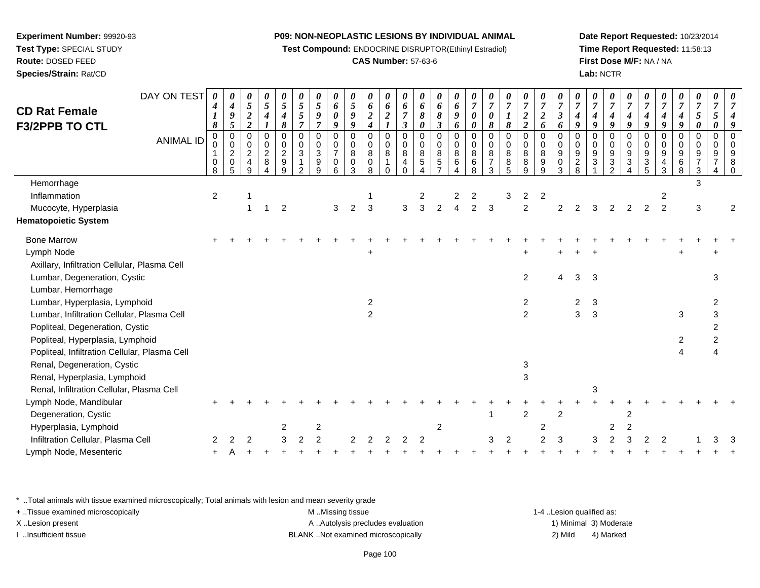**Test Compound:** ENDOCRINE DISRUPTOR(Ethinyl Estradiol)

#### **CAS Number:** 57-63-6

**Date Report Requested:** 10/23/2014**Time Report Requested:** 11:58:13**First Dose M/F:** NA / NA**Lab:** NCTR

| <b>CD Rat Female</b><br><b>F3/2PPB TO CTL</b>                                | DAY ON TEST<br><b>ANIMAL ID</b> | 0<br>1<br>8<br>$\mathbf 0$<br>$\mathbf{1}$<br>0<br>8 | 0<br>4<br>$\boldsymbol{g}$<br>5<br>$\mathbf 0$<br>$\mathbf 0$<br>$\sqrt{2}$<br>$\pmb{0}$<br>5 | 0<br>$\mathfrak{s}$<br>$\boldsymbol{2}$<br>$\overline{2}$<br>$\mathbf 0$<br>$\mathbf 0$<br>$\overline{2}$<br>$\overline{4}$<br>9 | 0<br>$\overline{5}$<br>$\boldsymbol{4}$<br>$\boldsymbol{l}$<br>$\mathbf 0$<br>$\mathbf 0$<br>$\sqrt{2}$<br>8<br>4 | 0<br>5<br>4<br>8<br>$\mathbf 0$<br>0<br>$\overline{c}$<br>9<br>9 | 0<br>5<br>5<br>$\overline{7}$<br>$\mathbf 0$<br>0<br>3 | 0<br>5<br>$\boldsymbol{g}$<br>$\overline{7}$<br>$\mathbf 0$<br>0<br>$\sqrt{3}$<br>$\boldsymbol{9}$<br>9 | 0<br>6<br>0<br>9<br>0<br>0<br>$\overline{7}$<br>0<br>6 | $\boldsymbol{\theta}$<br>5<br>$\pmb{9}$<br>9<br>$\mathbf 0$<br>$\pmb{0}$<br>$\bf 8$<br>0<br>3 | 0<br>6<br>$\overline{\mathbf{c}}$<br>$\boldsymbol{4}$<br>$\mathbf 0$<br>0<br>8<br>0<br>8 | 6<br>$\boldsymbol{2}$<br>$\mathbf{I}$<br>$\mathbf 0$<br>$\Omega$<br>8 | 0<br>6<br>$\overline{7}$<br>$\mathbf{3}$<br>$\mathbf 0$<br>$\mathbf 0$<br>$\bf 8$<br>4 | 0<br>6<br>8<br>0<br>0<br>0<br>8<br>5 | 0<br>6<br>$\boldsymbol{\delta}$<br>$\mathfrak{z}$<br>$\mathbf 0$<br>$\Omega$<br>8<br>$\sqrt{5}$ | 0<br>6<br>9<br>6<br>$\mathbf 0$<br>$\mathbf 0$<br>8<br>6<br>4 | 7<br>0<br>$\mathbf 0$<br>0<br>8<br>6<br>8 | 0<br>$\overline{7}$<br>0<br>8<br>0<br>$\mathbf 0$<br>8<br>$\overline{7}$<br>3 | 0<br>$\boldsymbol{7}$<br>$\boldsymbol{l}$<br>8<br>0<br>0<br>8<br>8<br>5 | 0<br>$\overline{7}$<br>$\boldsymbol{2}$<br>$\overline{2}$<br>$\mathbf 0$<br>$\mathbf 0$<br>$\bf 8$<br>8<br>9 | 0<br>$\overline{7}$<br>$\overline{\mathbf{c}}$<br>6<br>$\mathbf 0$<br>0<br>8<br>9<br>9 | $\overline{7}$<br>$\boldsymbol{\beta}$<br>6<br>$\mathbf 0$<br>$\Omega$<br>9<br>$\mathbf 0$<br>3 | $\overline{7}$<br>$\boldsymbol{4}$<br>9<br>$\Omega$<br>$\Omega$<br>9<br>$\overline{c}$ | 0<br>$\overline{7}$<br>4<br>9<br>0<br>$\mathbf 0$<br>$\boldsymbol{9}$<br>3 | 0<br>$\overline{7}$<br>4<br>9<br>$\mathbf 0$<br>$\Omega$<br>$\boldsymbol{9}$<br>$\sqrt{3}$<br>C | 0<br>$\overline{7}$<br>$\boldsymbol{4}$<br>9<br>$\mathbf 0$<br>0<br>$9\,$<br>$\mathbf{3}$ | 7<br>4<br>9<br>$\mathbf 0$<br>$\mathbf 0$<br>$\boldsymbol{9}$<br>$\ensuremath{\mathsf{3}}$<br>5 | 0<br>$\overline{7}$<br>4<br>9<br>0<br>0<br>9<br>4<br>3 | 0<br>$\boldsymbol{7}$<br>$\boldsymbol{4}$<br>9<br>0<br>$\mathbf 0$<br>9<br>6<br>8 | 0<br>$\overline{7}$<br>5<br>0<br>$\mathbf 0$<br>0<br>9<br>7<br>3 | $5\overline{)}$<br>0<br>$\mathbf 0$<br>$\Omega$<br>9 | 9<br>$\Omega$<br>$\Omega$<br>9 |
|------------------------------------------------------------------------------|---------------------------------|------------------------------------------------------|-----------------------------------------------------------------------------------------------|----------------------------------------------------------------------------------------------------------------------------------|-------------------------------------------------------------------------------------------------------------------|------------------------------------------------------------------|--------------------------------------------------------|---------------------------------------------------------------------------------------------------------|--------------------------------------------------------|-----------------------------------------------------------------------------------------------|------------------------------------------------------------------------------------------|-----------------------------------------------------------------------|----------------------------------------------------------------------------------------|--------------------------------------|-------------------------------------------------------------------------------------------------|---------------------------------------------------------------|-------------------------------------------|-------------------------------------------------------------------------------|-------------------------------------------------------------------------|--------------------------------------------------------------------------------------------------------------|----------------------------------------------------------------------------------------|-------------------------------------------------------------------------------------------------|----------------------------------------------------------------------------------------|----------------------------------------------------------------------------|-------------------------------------------------------------------------------------------------|-------------------------------------------------------------------------------------------|-------------------------------------------------------------------------------------------------|--------------------------------------------------------|-----------------------------------------------------------------------------------|------------------------------------------------------------------|------------------------------------------------------|--------------------------------|
| Hemorrhage                                                                   |                                 |                                                      |                                                                                               |                                                                                                                                  |                                                                                                                   |                                                                  |                                                        |                                                                                                         |                                                        |                                                                                               |                                                                                          |                                                                       |                                                                                        |                                      |                                                                                                 |                                                               |                                           |                                                                               |                                                                         |                                                                                                              |                                                                                        |                                                                                                 |                                                                                        |                                                                            |                                                                                                 |                                                                                           |                                                                                                 |                                                        |                                                                                   | 3                                                                |                                                      |                                |
| Inflammation                                                                 |                                 | $\overline{2}$                                       |                                                                                               |                                                                                                                                  |                                                                                                                   |                                                                  |                                                        |                                                                                                         |                                                        |                                                                                               |                                                                                          |                                                                       |                                                                                        | 2                                    |                                                                                                 | 2                                                             | 2                                         |                                                                               | 3                                                                       | 2                                                                                                            | $\overline{2}$                                                                         |                                                                                                 |                                                                                        |                                                                            |                                                                                                 |                                                                                           |                                                                                                 | 2                                                      |                                                                                   |                                                                  |                                                      |                                |
| Mucocyte, Hyperplasia<br><b>Hematopoietic System</b>                         |                                 |                                                      |                                                                                               |                                                                                                                                  |                                                                                                                   | $\overline{c}$                                                   |                                                        |                                                                                                         | $\mathbf{3}$                                           | $\overline{c}$                                                                                | 3                                                                                        |                                                                       | 3                                                                                      | 3                                    | 2                                                                                               | Λ                                                             |                                           | 3                                                                             |                                                                         | $\overline{2}$                                                                                               |                                                                                        | 2                                                                                               | 2                                                                                      | 3                                                                          |                                                                                                 | 2                                                                                         | $\overline{2}$                                                                                  | $\overline{2}$                                         |                                                                                   | 3                                                                |                                                      |                                |
| <b>Bone Marrow</b>                                                           |                                 |                                                      |                                                                                               |                                                                                                                                  |                                                                                                                   |                                                                  |                                                        |                                                                                                         |                                                        |                                                                                               |                                                                                          |                                                                       |                                                                                        |                                      |                                                                                                 |                                                               |                                           |                                                                               |                                                                         |                                                                                                              |                                                                                        |                                                                                                 |                                                                                        |                                                                            |                                                                                                 |                                                                                           |                                                                                                 |                                                        |                                                                                   |                                                                  |                                                      |                                |
| Lymph Node                                                                   |                                 |                                                      |                                                                                               |                                                                                                                                  |                                                                                                                   |                                                                  |                                                        |                                                                                                         |                                                        |                                                                                               |                                                                                          |                                                                       |                                                                                        |                                      |                                                                                                 |                                                               |                                           |                                                                               |                                                                         |                                                                                                              |                                                                                        |                                                                                                 |                                                                                        |                                                                            |                                                                                                 |                                                                                           |                                                                                                 |                                                        |                                                                                   |                                                                  |                                                      |                                |
| Axillary, Infiltration Cellular, Plasma Cell                                 |                                 |                                                      |                                                                                               |                                                                                                                                  |                                                                                                                   |                                                                  |                                                        |                                                                                                         |                                                        |                                                                                               |                                                                                          |                                                                       |                                                                                        |                                      |                                                                                                 |                                                               |                                           |                                                                               |                                                                         |                                                                                                              |                                                                                        |                                                                                                 |                                                                                        |                                                                            |                                                                                                 |                                                                                           |                                                                                                 |                                                        |                                                                                   |                                                                  |                                                      |                                |
| Lumbar, Degeneration, Cystic                                                 |                                 |                                                      |                                                                                               |                                                                                                                                  |                                                                                                                   |                                                                  |                                                        |                                                                                                         |                                                        |                                                                                               |                                                                                          |                                                                       |                                                                                        |                                      |                                                                                                 |                                                               |                                           |                                                                               |                                                                         | $\overline{2}$                                                                                               |                                                                                        | 4                                                                                               | 3                                                                                      | 3                                                                          |                                                                                                 |                                                                                           |                                                                                                 |                                                        |                                                                                   |                                                                  | 3                                                    |                                |
| Lumbar, Hemorrhage                                                           |                                 |                                                      |                                                                                               |                                                                                                                                  |                                                                                                                   |                                                                  |                                                        |                                                                                                         |                                                        |                                                                                               |                                                                                          |                                                                       |                                                                                        |                                      |                                                                                                 |                                                               |                                           |                                                                               |                                                                         |                                                                                                              |                                                                                        |                                                                                                 |                                                                                        |                                                                            |                                                                                                 |                                                                                           |                                                                                                 |                                                        |                                                                                   |                                                                  |                                                      |                                |
| Lumbar, Hyperplasia, Lymphoid                                                |                                 |                                                      |                                                                                               |                                                                                                                                  |                                                                                                                   |                                                                  |                                                        |                                                                                                         |                                                        |                                                                                               | $\overline{c}$                                                                           |                                                                       |                                                                                        |                                      |                                                                                                 |                                                               |                                           |                                                                               |                                                                         | $\overline{2}$                                                                                               |                                                                                        |                                                                                                 | $\overline{c}$                                                                         | 3                                                                          |                                                                                                 |                                                                                           |                                                                                                 |                                                        |                                                                                   |                                                                  | $\overline{c}$                                       |                                |
| Lumbar, Infiltration Cellular, Plasma Cell                                   |                                 |                                                      |                                                                                               |                                                                                                                                  |                                                                                                                   |                                                                  |                                                        |                                                                                                         |                                                        |                                                                                               | 2                                                                                        |                                                                       |                                                                                        |                                      |                                                                                                 |                                                               |                                           |                                                                               |                                                                         | $\overline{2}$                                                                                               |                                                                                        |                                                                                                 | 3                                                                                      | 3                                                                          |                                                                                                 |                                                                                           |                                                                                                 |                                                        | 3                                                                                 |                                                                  | 3                                                    |                                |
| Popliteal, Degeneration, Cystic                                              |                                 |                                                      |                                                                                               |                                                                                                                                  |                                                                                                                   |                                                                  |                                                        |                                                                                                         |                                                        |                                                                                               |                                                                                          |                                                                       |                                                                                        |                                      |                                                                                                 |                                                               |                                           |                                                                               |                                                                         |                                                                                                              |                                                                                        |                                                                                                 |                                                                                        |                                                                            |                                                                                                 |                                                                                           |                                                                                                 |                                                        |                                                                                   |                                                                  | $\boldsymbol{2}$                                     |                                |
| Popliteal, Hyperplasia, Lymphoid                                             |                                 |                                                      |                                                                                               |                                                                                                                                  |                                                                                                                   |                                                                  |                                                        |                                                                                                         |                                                        |                                                                                               |                                                                                          |                                                                       |                                                                                        |                                      |                                                                                                 |                                                               |                                           |                                                                               |                                                                         |                                                                                                              |                                                                                        |                                                                                                 |                                                                                        |                                                                            |                                                                                                 |                                                                                           |                                                                                                 |                                                        | 2                                                                                 |                                                                  | $\overline{c}$                                       |                                |
| Popliteal, Infiltration Cellular, Plasma Cell<br>Renal, Degeneration, Cystic |                                 |                                                      |                                                                                               |                                                                                                                                  |                                                                                                                   |                                                                  |                                                        |                                                                                                         |                                                        |                                                                                               |                                                                                          |                                                                       |                                                                                        |                                      |                                                                                                 |                                                               |                                           |                                                                               |                                                                         | 3                                                                                                            |                                                                                        |                                                                                                 |                                                                                        |                                                                            |                                                                                                 |                                                                                           |                                                                                                 |                                                        |                                                                                   |                                                                  |                                                      |                                |
| Renal, Hyperplasia, Lymphoid                                                 |                                 |                                                      |                                                                                               |                                                                                                                                  |                                                                                                                   |                                                                  |                                                        |                                                                                                         |                                                        |                                                                                               |                                                                                          |                                                                       |                                                                                        |                                      |                                                                                                 |                                                               |                                           |                                                                               |                                                                         | 3                                                                                                            |                                                                                        |                                                                                                 |                                                                                        |                                                                            |                                                                                                 |                                                                                           |                                                                                                 |                                                        |                                                                                   |                                                                  |                                                      |                                |
| Renal, Infiltration Cellular, Plasma Cell                                    |                                 |                                                      |                                                                                               |                                                                                                                                  |                                                                                                                   |                                                                  |                                                        |                                                                                                         |                                                        |                                                                                               |                                                                                          |                                                                       |                                                                                        |                                      |                                                                                                 |                                                               |                                           |                                                                               |                                                                         |                                                                                                              |                                                                                        |                                                                                                 |                                                                                        | 3                                                                          |                                                                                                 |                                                                                           |                                                                                                 |                                                        |                                                                                   |                                                                  |                                                      |                                |
| Lymph Node, Mandibular                                                       |                                 |                                                      |                                                                                               |                                                                                                                                  |                                                                                                                   |                                                                  |                                                        |                                                                                                         |                                                        |                                                                                               |                                                                                          |                                                                       |                                                                                        |                                      |                                                                                                 |                                                               |                                           |                                                                               |                                                                         |                                                                                                              |                                                                                        |                                                                                                 |                                                                                        |                                                                            |                                                                                                 |                                                                                           |                                                                                                 |                                                        |                                                                                   |                                                                  |                                                      |                                |
| Degeneration, Cystic                                                         |                                 |                                                      |                                                                                               |                                                                                                                                  |                                                                                                                   |                                                                  |                                                        |                                                                                                         |                                                        |                                                                                               |                                                                                          |                                                                       |                                                                                        |                                      |                                                                                                 |                                                               |                                           |                                                                               |                                                                         | 2                                                                                                            |                                                                                        | 2                                                                                               |                                                                                        |                                                                            |                                                                                                 | 2                                                                                         |                                                                                                 |                                                        |                                                                                   |                                                                  |                                                      |                                |
| Hyperplasia, Lymphoid                                                        |                                 |                                                      |                                                                                               |                                                                                                                                  |                                                                                                                   | 2                                                                |                                                        | $\overline{2}$                                                                                          |                                                        |                                                                                               |                                                                                          |                                                                       |                                                                                        |                                      | $\overline{2}$                                                                                  |                                                               |                                           |                                                                               |                                                                         |                                                                                                              | $\overline{c}$                                                                         |                                                                                                 |                                                                                        |                                                                            | $\overline{c}$                                                                                  | $\overline{c}$                                                                            |                                                                                                 |                                                        |                                                                                   |                                                                  |                                                      |                                |
| Infiltration Cellular, Plasma Cell                                           |                                 |                                                      | 2                                                                                             | 2                                                                                                                                |                                                                                                                   | 3                                                                | $\mathfrak{p}$                                         | $\mathcal{P}$                                                                                           |                                                        | ⌒                                                                                             | っ                                                                                        | 2                                                                     | 2                                                                                      | $\mathcal{P}$                        |                                                                                                 |                                                               |                                           | 3                                                                             | 2                                                                       |                                                                                                              | $\mathcal{P}$                                                                          | 3                                                                                               |                                                                                        | 3                                                                          | $\mathcal{P}$                                                                                   | 3                                                                                         | $\mathcal{P}$                                                                                   | 2                                                      |                                                                                   |                                                                  |                                                      |                                |
| Lymph Node, Mesenteric                                                       |                                 |                                                      |                                                                                               |                                                                                                                                  |                                                                                                                   |                                                                  |                                                        |                                                                                                         |                                                        |                                                                                               |                                                                                          |                                                                       |                                                                                        |                                      |                                                                                                 |                                                               |                                           |                                                                               |                                                                         |                                                                                                              |                                                                                        |                                                                                                 |                                                                                        |                                                                            |                                                                                                 |                                                                                           |                                                                                                 |                                                        |                                                                                   |                                                                  |                                                      |                                |
|                                                                              |                                 |                                                      |                                                                                               |                                                                                                                                  |                                                                                                                   |                                                                  |                                                        |                                                                                                         |                                                        |                                                                                               |                                                                                          |                                                                       |                                                                                        |                                      |                                                                                                 |                                                               |                                           |                                                                               |                                                                         |                                                                                                              |                                                                                        |                                                                                                 |                                                                                        |                                                                            |                                                                                                 |                                                                                           |                                                                                                 |                                                        |                                                                                   |                                                                  |                                                      |                                |

\* ..Total animals with tissue examined microscopically; Total animals with lesion and mean severity grade

**Experiment Number:** 99920-93**Test Type:** SPECIAL STUDY**Route:** DOSED FEED**Species/Strain:** Rat/CD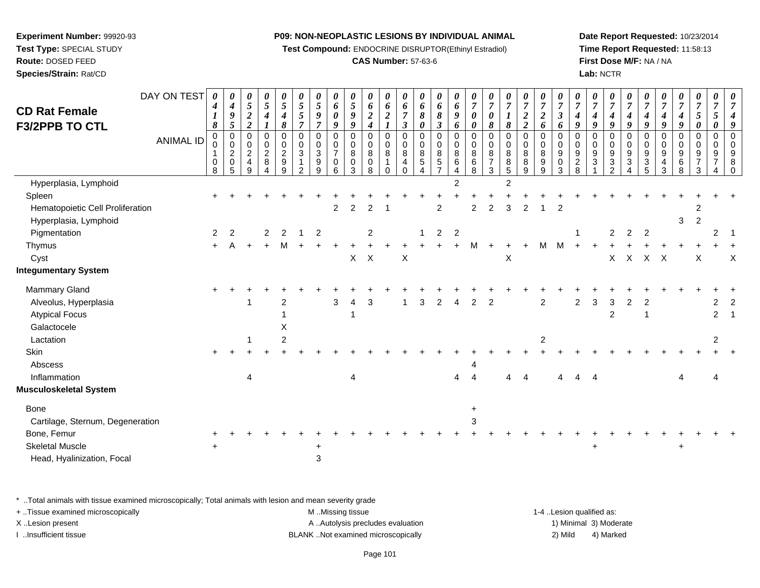**Test Compound:** ENDOCRINE DISRUPTOR(Ethinyl Estradiol)

#### **CAS Number:** 57-63-6

**Date Report Requested:** 10/23/2014**Time Report Requested:** 11:58:13**First Dose M/F:** NA / NA**Lab:** NCTR

|                                  |                                  | 9                                      |                                                                       | 4                                                                                          | $\boldsymbol{4}$                     | $\mathfrak{s}$                                                        | 9                                                         | $\boldsymbol{\theta}$                                                               | 9                                                                     | $\boldsymbol{2}$                                                            | $\boldsymbol{2}$                                                  |                    | 8                                               | 8                                 | 9                                                        | $\boldsymbol{\theta}$      | $\boldsymbol{\theta}$                                                                         | $\boldsymbol{l}$                                                                   |                                                                  | $\boldsymbol{2}$                                                               | $\boldsymbol{\beta}$                                             | 4                                               | 4                                                     | 4                                    | $\boldsymbol{4}$                                        | $\boldsymbol{4}$                                                                   | 4                                                             | $\boldsymbol{4}$                                                       | $\mathfrak{s}$                          | 5                                                                                            |                                              |
|----------------------------------|----------------------------------|----------------------------------------|-----------------------------------------------------------------------|--------------------------------------------------------------------------------------------|--------------------------------------|-----------------------------------------------------------------------|-----------------------------------------------------------|-------------------------------------------------------------------------------------|-----------------------------------------------------------------------|-----------------------------------------------------------------------------|-------------------------------------------------------------------|--------------------|-------------------------------------------------|-----------------------------------|----------------------------------------------------------|----------------------------|-----------------------------------------------------------------------------------------------|------------------------------------------------------------------------------------|------------------------------------------------------------------|--------------------------------------------------------------------------------|------------------------------------------------------------------|-------------------------------------------------|-------------------------------------------------------|--------------------------------------|---------------------------------------------------------|------------------------------------------------------------------------------------|---------------------------------------------------------------|------------------------------------------------------------------------|-----------------------------------------|----------------------------------------------------------------------------------------------|----------------------------------------------|
|                                  |                                  |                                        |                                                                       |                                                                                            |                                      |                                                                       |                                                           |                                                                                     |                                                                       |                                                                             |                                                                   |                    |                                                 |                                   |                                                          |                            |                                                                                               |                                                                                    |                                                                  |                                                                                |                                                                  |                                                 |                                                       |                                      |                                                         |                                                                                    |                                                               |                                                                        |                                         |                                                                                              |                                              |
| <b>ANIMAL ID</b>                 |                                  |                                        |                                                                       |                                                                                            |                                      |                                                                       |                                                           |                                                                                     |                                                                       |                                                                             | $\mathbf 0$                                                       | $\mathbf 0$        |                                                 | $\mathbf 0$                       |                                                          |                            |                                                                                               |                                                                                    |                                                                  |                                                                                | 0                                                                | $\Omega$                                        | 0                                                     | $\mathbf 0$                          | $\mathbf 0$                                             |                                                                                    |                                                               |                                                                        |                                         | $\mathbf 0$                                                                                  | $\Omega$                                     |
|                                  |                                  | $\overline{c}$                         | $\overline{2}$                                                        | $\overline{c}$                                                                             | $\overline{a}$                       | 3                                                                     | $\sqrt{3}$                                                | $\overline{7}$                                                                      | 8                                                                     | 8                                                                           | 8                                                                 | 8                  | 8                                               | 8                                 | 8                                                        | 8                          | 8                                                                                             | 8                                                                                  | 8                                                                | 8                                                                              | 9                                                                | 9                                               | 9                                                     | 9                                    | 9                                                       | 9                                                                                  | 9                                                             | 9                                                                      | 9                                       | 9                                                                                            |                                              |
|                                  | 8                                | 5                                      | 9                                                                     | 4                                                                                          | 9                                    | 2                                                                     | 9                                                         | 6                                                                                   | 3                                                                     | 8                                                                           | $\Omega$                                                          | $\Omega$           | 4                                               |                                   | 4                                                        | 8                          | 3                                                                                             | $\overline{5}$                                                                     | 9                                                                | 9                                                                              | 3                                                                |                                                 |                                                       | $\mathcal{P}$                        |                                                         |                                                                                    | 3                                                             | 8                                                                      | 3                                       | 4                                                                                            | 8                                            |
|                                  |                                  |                                        |                                                                       |                                                                                            |                                      |                                                                       |                                                           |                                                                                     |                                                                       |                                                                             |                                                                   |                    |                                                 |                                   | $\overline{2}$                                           |                            |                                                                                               | $\overline{2}$                                                                     |                                                                  |                                                                                |                                                                  |                                                 |                                                       |                                      |                                                         |                                                                                    |                                                               |                                                                        |                                         |                                                                                              |                                              |
|                                  |                                  |                                        |                                                                       |                                                                                            |                                      |                                                                       |                                                           |                                                                                     |                                                                       |                                                                             |                                                                   |                    |                                                 |                                   |                                                          |                            |                                                                                               |                                                                                    |                                                                  |                                                                                |                                                                  |                                                 |                                                       |                                      |                                                         |                                                                                    |                                                               |                                                                        |                                         |                                                                                              |                                              |
| Hematopoietic Cell Proliferation |                                  |                                        |                                                                       |                                                                                            |                                      |                                                                       |                                                           | $\overline{2}$                                                                      | $\overline{2}$                                                        | 2                                                                           |                                                                   |                    |                                                 | $\overline{2}$                    |                                                          | $\overline{2}$             | 2                                                                                             | 3                                                                                  | $\overline{2}$                                                   | 1                                                                              | 2                                                                |                                                 |                                                       |                                      |                                                         |                                                                                    |                                                               |                                                                        | 2                                       |                                                                                              |                                              |
|                                  |                                  |                                        |                                                                       |                                                                                            |                                      |                                                                       |                                                           |                                                                                     |                                                                       |                                                                             |                                                                   |                    |                                                 |                                   |                                                          |                            |                                                                                               |                                                                                    |                                                                  |                                                                                |                                                                  |                                                 |                                                       |                                      |                                                         |                                                                                    |                                                               | 3                                                                      | $\overline{2}$                          |                                                                                              |                                              |
|                                  | 2                                | 2                                      |                                                                       |                                                                                            | 2                                    |                                                                       | 2                                                         |                                                                                     |                                                                       | 2                                                                           |                                                                   |                    |                                                 | $\overline{2}$                    | $\overline{2}$                                           |                            |                                                                                               |                                                                                    |                                                                  |                                                                                |                                                                  |                                                 |                                                       | $\overline{2}$                       | $\overline{2}$                                          | $\overline{2}$                                                                     |                                                               |                                                                        |                                         | 2                                                                                            |                                              |
|                                  | $\ddot{}$                        |                                        |                                                                       |                                                                                            |                                      |                                                                       |                                                           |                                                                                     |                                                                       |                                                                             |                                                                   |                    |                                                 |                                   |                                                          |                            |                                                                                               |                                                                                    |                                                                  |                                                                                | м                                                                |                                                 |                                                       |                                      |                                                         |                                                                                    |                                                               |                                                                        |                                         |                                                                                              |                                              |
|                                  |                                  |                                        |                                                                       |                                                                                            |                                      |                                                                       |                                                           |                                                                                     |                                                                       |                                                                             |                                                                   | $\pmb{\times}$     |                                                 |                                   |                                                          |                            |                                                                                               | X                                                                                  |                                                                  |                                                                                |                                                                  |                                                 |                                                       | X                                    |                                                         |                                                                                    |                                                               |                                                                        | X                                       |                                                                                              | х                                            |
|                                  |                                  |                                        |                                                                       |                                                                                            |                                      |                                                                       |                                                           |                                                                                     |                                                                       |                                                                             |                                                                   |                    |                                                 |                                   |                                                          |                            |                                                                                               |                                                                                    |                                                                  |                                                                                |                                                                  |                                                 |                                                       |                                      |                                                         |                                                                                    |                                                               |                                                                        |                                         |                                                                                              |                                              |
|                                  |                                  |                                        |                                                                       |                                                                                            |                                      |                                                                       |                                                           |                                                                                     |                                                                       |                                                                             |                                                                   |                    |                                                 |                                   |                                                          |                            |                                                                                               |                                                                                    |                                                                  |                                                                                |                                                                  |                                                 |                                                       |                                      |                                                         |                                                                                    |                                                               |                                                                        |                                         |                                                                                              |                                              |
|                                  |                                  |                                        |                                                                       |                                                                                            | 2                                    |                                                                       |                                                           | 3                                                                                   |                                                                       | 3                                                                           |                                                                   |                    | 3                                               |                                   |                                                          |                            | 2                                                                                             |                                                                                    |                                                                  | $\overline{2}$                                                                 |                                                                  | 2                                               | 3                                                     | 3                                    | 2                                                       | 2                                                                                  |                                                               |                                                                        |                                         |                                                                                              |                                              |
|                                  |                                  |                                        |                                                                       |                                                                                            |                                      |                                                                       |                                                           |                                                                                     |                                                                       |                                                                             |                                                                   |                    |                                                 |                                   |                                                          |                            |                                                                                               |                                                                                    |                                                                  |                                                                                |                                                                  |                                                 |                                                       | $\boldsymbol{2}$                     |                                                         |                                                                                    |                                                               |                                                                        |                                         | 2                                                                                            |                                              |
|                                  |                                  |                                        |                                                                       |                                                                                            | X                                    |                                                                       |                                                           |                                                                                     |                                                                       |                                                                             |                                                                   |                    |                                                 |                                   |                                                          |                            |                                                                                               |                                                                                    |                                                                  |                                                                                |                                                                  |                                                 |                                                       |                                      |                                                         |                                                                                    |                                                               |                                                                        |                                         |                                                                                              |                                              |
|                                  |                                  |                                        |                                                                       |                                                                                            | $\overline{2}$                       |                                                                       |                                                           |                                                                                     |                                                                       |                                                                             |                                                                   |                    |                                                 |                                   |                                                          |                            |                                                                                               |                                                                                    |                                                                  | $\overline{2}$                                                                 |                                                                  |                                                 |                                                       |                                      |                                                         |                                                                                    |                                                               |                                                                        |                                         | $\overline{2}$                                                                               |                                              |
|                                  |                                  |                                        |                                                                       |                                                                                            |                                      |                                                                       |                                                           |                                                                                     |                                                                       |                                                                             |                                                                   |                    |                                                 |                                   |                                                          |                            |                                                                                               |                                                                                    |                                                                  |                                                                                |                                                                  |                                                 |                                                       |                                      |                                                         |                                                                                    |                                                               |                                                                        |                                         |                                                                                              |                                              |
|                                  |                                  |                                        |                                                                       |                                                                                            |                                      |                                                                       |                                                           |                                                                                     |                                                                       |                                                                             |                                                                   |                    |                                                 |                                   |                                                          |                            |                                                                                               |                                                                                    |                                                                  |                                                                                |                                                                  |                                                 |                                                       |                                      |                                                         |                                                                                    |                                                               |                                                                        |                                         |                                                                                              |                                              |
|                                  |                                  |                                        | 4                                                                     |                                                                                            |                                      |                                                                       |                                                           |                                                                                     | 4                                                                     |                                                                             |                                                                   |                    |                                                 |                                   |                                                          |                            |                                                                                               | Λ                                                                                  |                                                                  |                                                                                |                                                                  |                                                 |                                                       |                                      |                                                         |                                                                                    |                                                               |                                                                        |                                         |                                                                                              |                                              |
|                                  |                                  |                                        |                                                                       |                                                                                            |                                      |                                                                       |                                                           |                                                                                     |                                                                       |                                                                             |                                                                   |                    |                                                 |                                   |                                                          |                            |                                                                                               |                                                                                    |                                                                  |                                                                                |                                                                  |                                                 |                                                       |                                      |                                                         |                                                                                    |                                                               |                                                                        |                                         |                                                                                              |                                              |
|                                  |                                  |                                        |                                                                       |                                                                                            |                                      |                                                                       |                                                           |                                                                                     |                                                                       |                                                                             |                                                                   |                    |                                                 |                                   |                                                          |                            |                                                                                               |                                                                                    |                                                                  |                                                                                |                                                                  |                                                 |                                                       |                                      |                                                         |                                                                                    |                                                               |                                                                        |                                         |                                                                                              |                                              |
|                                  |                                  |                                        |                                                                       |                                                                                            |                                      |                                                                       |                                                           |                                                                                     |                                                                       |                                                                             |                                                                   |                    |                                                 |                                   |                                                          | 3                          |                                                                                               |                                                                                    |                                                                  |                                                                                |                                                                  |                                                 |                                                       |                                      |                                                         |                                                                                    |                                                               |                                                                        |                                         |                                                                                              |                                              |
|                                  |                                  |                                        |                                                                       |                                                                                            |                                      |                                                                       |                                                           |                                                                                     |                                                                       |                                                                             |                                                                   |                    |                                                 |                                   |                                                          |                            |                                                                                               |                                                                                    |                                                                  |                                                                                |                                                                  |                                                 |                                                       |                                      |                                                         |                                                                                    |                                                               |                                                                        |                                         |                                                                                              |                                              |
|                                  |                                  |                                        |                                                                       |                                                                                            |                                      |                                                                       |                                                           |                                                                                     |                                                                       |                                                                             |                                                                   |                    |                                                 |                                   |                                                          |                            |                                                                                               |                                                                                    |                                                                  |                                                                                |                                                                  |                                                 |                                                       |                                      |                                                         |                                                                                    |                                                               |                                                                        |                                         |                                                                                              |                                              |
|                                  |                                  |                                        |                                                                       |                                                                                            |                                      |                                                                       | 3                                                         |                                                                                     |                                                                       |                                                                             |                                                                   |                    |                                                 |                                   |                                                          |                            |                                                                                               |                                                                                    |                                                                  |                                                                                |                                                                  |                                                 |                                                       |                                      |                                                         |                                                                                    |                                                               |                                                                        |                                         |                                                                                              |                                              |
|                                  | Cartilage, Sternum, Degeneration | DAY ON TEST<br>4<br>8<br>$\Omega$<br>0 | 0<br>$\boldsymbol{4}$<br>5<br>$\mathbf 0$<br>$\mathbf 0$<br>$\pmb{0}$ | $\boldsymbol{\theta}$<br>$\sqrt{5}$<br>$\frac{2}{2}$<br>$\mathbf 0$<br>0<br>$\overline{a}$ | 0<br>5<br>1<br>$\mathbf 0$<br>0<br>8 | 0<br>$\mathfrak{s}$<br>$\boldsymbol{\delta}$<br>$\mathbf 0$<br>0<br>9 | 0<br>$\mathfrak{s}$<br>$\overline{7}$<br>$\mathbf 0$<br>0 | 0<br>$\sqrt{5}$<br>$\overline{7}$<br>$\mathbf 0$<br>$\mathbf 0$<br>$\boldsymbol{9}$ | $\boldsymbol{\theta}$<br>$\pmb{6}$<br>$\boldsymbol{g}$<br>0<br>0<br>0 | 0<br>$\mathfrak{s}$<br>9<br>$\mathbf 0$<br>0<br>$\mathbf 0$<br>$\mathsf{X}$ | 0<br>$\pmb{6}$<br>$\boldsymbol{4}$<br>0<br>0<br>0<br>$\mathsf{X}$ | 0<br>6<br>$\Omega$ | 0<br>6<br>$\boldsymbol{\beta}$<br>$\Omega$<br>4 | 0<br>6<br>0<br>$\Omega$<br>0<br>5 | 0<br>6<br>$\mathfrak{z}$<br>$\mathbf 0$<br>$\frac{5}{7}$ | 0<br>6<br>6<br>0<br>0<br>6 | $\theta$<br>$\overline{7}$<br>$\boldsymbol{\theta}$<br>$\mathbf 0$<br>0<br>$\,6$<br>$\ddot{}$ | $\boldsymbol{\theta}$<br>$\overline{7}$<br>8<br>$\mathbf 0$<br>0<br>$\overline{7}$ | $\frac{\boldsymbol{\theta}}{\boldsymbol{7}}$<br>8<br>0<br>0<br>8 | 0<br>$\boldsymbol{7}$<br>$\frac{2}{2}$<br>$\boldsymbol{0}$<br>$\mathbf 0$<br>8 | $\frac{\boldsymbol{\theta}}{\boldsymbol{7}}$<br>6<br>0<br>0<br>9 | 0<br>$\overline{7}$<br>6<br>$\Omega$<br>$\,0\,$ | 0<br>$\overline{7}$<br>9<br>$\Omega$<br>$\frac{2}{8}$ | 0<br>$\boldsymbol{7}$<br>9<br>0<br>3 | 0<br>$\boldsymbol{7}$<br>9<br>$\mathbf 0$<br>$\sqrt{3}$ | $\frac{\boldsymbol{\theta}}{\boldsymbol{7}}$<br>9<br>$\Omega$<br>3<br>$\mathsf{X}$ | 0<br>$\overline{7}$<br>9<br>$\mathbf 0$<br>0<br>$\frac{3}{5}$ | 0<br>$\overline{7}$<br>9<br>$\mathbf 0$<br>$\mathbf 0$<br>4<br>$X$ $X$ | 0<br>$\overline{7}$<br>9<br>0<br>0<br>6 | 0<br>$\overline{7}$<br>$\boldsymbol{\theta}$<br>$\mathbf 0$<br>$\mathbf 0$<br>$\overline{7}$ | 0<br>$\overline{7}$<br>0<br>$\mathbf 0$<br>7 |

\* ..Total animals with tissue examined microscopically; Total animals with lesion and mean severity grade

**Experiment Number:** 99920-93**Test Type:** SPECIAL STUDY**Route:** DOSED FEED**Species/Strain:** Rat/CD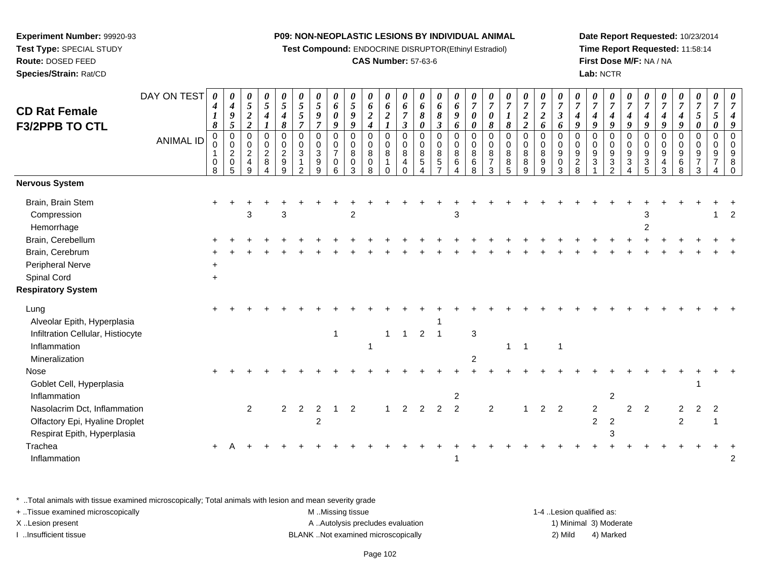**Test Compound:** ENDOCRINE DISRUPTOR(Ethinyl Estradiol)

#### **CAS Number:** 57-63-6

**Date Report Requested:** 10/23/2014**Time Report Requested:** 11:58:14**First Dose M/F:** NA / NA**Lab:** NCTR

| <b>CD Rat Female</b>                                                                                                      | DAY ON TEST      | $\boldsymbol{\theta}$<br>4<br>$\boldsymbol{l}$ | 0<br>$\boldsymbol{4}$<br>9                                | 0<br>$\mathfrak{H}$<br>$\frac{2}{2}$                   | $\boldsymbol{\theta}$<br>$\sqrt{5}$<br>$\boldsymbol{4}$                                          | 0<br>$\mathfrak{s}$<br>$\boldsymbol{4}$                   | 0<br>$\mathfrak{s}$<br>5                                                 | 0<br>5<br>9                                       | 0<br>6<br>$\boldsymbol{\theta}$                             | $\boldsymbol{\theta}$<br>$\mathfrak{s}$<br>$\boldsymbol{g}$         | $\boldsymbol{\theta}$<br>$\pmb{6}$<br>$\boldsymbol{2}$                             | 0<br>6<br>$\boldsymbol{2}$                                                        | 0<br>6<br>$\overline{7}$                              | 0<br>6<br>$\pmb{8}$                                                                                      | 0<br>6<br>$\pmb{8}$                                                                | 0<br>6<br>$\boldsymbol{9}$                           | $\boldsymbol{\theta}$<br>$\overline{7}$<br>$\boldsymbol{\theta}$ | 0<br>$\boldsymbol{7}$<br>$\pmb{\theta}$      | 0<br>$\boldsymbol{7}$<br>$\boldsymbol{l}$   | 0<br>$\boldsymbol{7}$<br>$\boldsymbol{2}$               | 0<br>$\boldsymbol{7}$<br>$\boldsymbol{2}$           | 0<br>$\overline{7}$<br>$\mathfrak{z}$                      | $\boldsymbol{\theta}$<br>$\overline{7}$<br>$\boldsymbol{4}$                         | $\boldsymbol{\theta}$<br>$\boldsymbol{7}$<br>$\boldsymbol{4}$ | $\boldsymbol{\theta}$<br>$\overline{7}$<br>4             | 0<br>$\overline{7}$<br>$\boldsymbol{4}$                                                                           | 0<br>$\overline{7}$<br>4                                        | 0<br>$\boldsymbol{7}$<br>$\boldsymbol{4}$   | $\boldsymbol{\theta}$<br>$\boldsymbol{7}$<br>$\boldsymbol{4}$    | 0<br>$\overline{7}$<br>$\sqrt{5}$                                  | 0<br>$\overline{7}$<br>5          | $\boldsymbol{\theta}$<br>$\overline{7}$<br>$\boldsymbol{4}$ |
|---------------------------------------------------------------------------------------------------------------------------|------------------|------------------------------------------------|-----------------------------------------------------------|--------------------------------------------------------|--------------------------------------------------------------------------------------------------|-----------------------------------------------------------|--------------------------------------------------------------------------|---------------------------------------------------|-------------------------------------------------------------|---------------------------------------------------------------------|------------------------------------------------------------------------------------|-----------------------------------------------------------------------------------|-------------------------------------------------------|----------------------------------------------------------------------------------------------------------|------------------------------------------------------------------------------------|------------------------------------------------------|------------------------------------------------------------------|----------------------------------------------|---------------------------------------------|---------------------------------------------------------|-----------------------------------------------------|------------------------------------------------------------|-------------------------------------------------------------------------------------|---------------------------------------------------------------|----------------------------------------------------------|-------------------------------------------------------------------------------------------------------------------|-----------------------------------------------------------------|---------------------------------------------|------------------------------------------------------------------|--------------------------------------------------------------------|-----------------------------------|-------------------------------------------------------------|
| <b>F3/2PPB TO CTL</b>                                                                                                     | <b>ANIMAL ID</b> | 8<br>$\mathbf 0$<br>0<br>$\pmb{0}$<br>8        | 5<br>0<br>$\mathbf 0$<br>$\overline{c}$<br>$\pmb{0}$<br>5 | $\Omega$<br>0<br>$\overline{c}$<br>$\overline{4}$<br>9 | $\boldsymbol{l}$<br>$\mathbf 0$<br>$\mathbf 0$<br>$\overline{2}$<br>8<br>$\overline{\mathbf{4}}$ | $\pmb{8}$<br>$\mathbf 0$<br>0<br>$\overline{2}$<br>9<br>9 | $\overline{7}$<br>$\mathbf 0$<br>$\mathbf 0$<br>3<br>1<br>$\overline{2}$ | $\overline{7}$<br>$\mathbf 0$<br>0<br>3<br>9<br>9 | 9<br>0<br>$\mathbf 0$<br>$\overline{7}$<br>$\mathbf 0$<br>6 | $\boldsymbol{q}$<br>$\mathbf 0$<br>$\mathbf 0$<br>$\,8\,$<br>0<br>3 | $\overline{\mathcal{A}}$<br>$\mathbf 0$<br>$\mathbf 0$<br>$\bf8$<br>$\pmb{0}$<br>8 | $\boldsymbol{l}$<br>$\Omega$<br>$\mathbf 0$<br>$\bf8$<br>$\mathbf{1}$<br>$\Omega$ | $\mathfrak{z}$<br>$\Omega$<br>0<br>8<br>4<br>$\Omega$ | $\boldsymbol{\theta}$<br>$\mathbf 0$<br>$\mathsf{O}\xspace$<br>8<br>$\sqrt{5}$<br>$\boldsymbol{\Lambda}$ | $\mathfrak{z}$<br>$\mathbf 0$<br>$\mathbf 0$<br>8<br>$\mathbf 5$<br>$\overline{7}$ | 6<br>$\Omega$<br>0<br>8<br>$\,6\,$<br>$\overline{4}$ | 0<br>$\mathbf 0$<br>$\mathbf 0$<br>$\,8\,$<br>$\,6$<br>8         | 8<br>0<br>0<br>$\bf8$<br>$\overline{7}$<br>3 | 8<br>$\Omega$<br>$\mathsf 0$<br>8<br>8<br>5 | $\overline{2}$<br>$\mathbf 0$<br>0<br>8<br>$\bf 8$<br>9 | 6<br>$\mathbf 0$<br>0<br>8<br>$\boldsymbol{9}$<br>9 | 6<br>$\Omega$<br>0<br>$\boldsymbol{9}$<br>$\mathbf 0$<br>3 | $\boldsymbol{g}$<br>$\mathbf 0$<br>$\mathbf 0$<br>$\boldsymbol{9}$<br>$\frac{2}{8}$ | 9<br>$\Omega$<br>$\mathbf 0$<br>$9\,$<br>$\sqrt{3}$<br>1      | 9<br>$\Omega$<br>$\mathbf 0$<br>9<br>3<br>$\overline{c}$ | $\boldsymbol{g}$<br>$\mathbf 0$<br>$\mathbf 0$<br>$\boldsymbol{9}$<br>$\ensuremath{\mathsf{3}}$<br>$\overline{A}$ | $\boldsymbol{q}$<br>0<br>0<br>$\boldsymbol{9}$<br>$\frac{3}{5}$ | 9<br>$\Omega$<br>$\mathbf 0$<br>9<br>4<br>3 | 9<br>$\Omega$<br>$\mathbf 0$<br>$\boldsymbol{9}$<br>$\,6\,$<br>8 | $\boldsymbol{\theta}$<br>$\Omega$<br>0<br>9<br>$\overline{7}$<br>3 | 0<br>$\Omega$<br>0<br>9<br>7<br>4 | 9<br>$\Omega$<br>$\mathbf 0$<br>9<br>8<br>$\mathbf 0$       |
| Nervous System                                                                                                            |                  |                                                |                                                           |                                                        |                                                                                                  |                                                           |                                                                          |                                                   |                                                             |                                                                     |                                                                                    |                                                                                   |                                                       |                                                                                                          |                                                                                    |                                                      |                                                                  |                                              |                                             |                                                         |                                                     |                                                            |                                                                                     |                                                               |                                                          |                                                                                                                   |                                                                 |                                             |                                                                  |                                                                    |                                   |                                                             |
| Brain, Brain Stem<br>Compression<br>Hemorrhage                                                                            |                  |                                                |                                                           | 3                                                      |                                                                                                  | 3                                                         |                                                                          |                                                   |                                                             | $\overline{2}$                                                      |                                                                                    |                                                                                   |                                                       |                                                                                                          |                                                                                    | 3                                                    |                                                                  |                                              |                                             |                                                         |                                                     |                                                            |                                                                                     |                                                               |                                                          |                                                                                                                   | 3<br>$\overline{c}$                                             |                                             |                                                                  |                                                                    |                                   | $\overline{\mathbf{c}}$                                     |
| Brain, Cerebellum<br>Brain, Cerebrum<br>Peripheral Nerve<br>Spinal Cord<br><b>Respiratory System</b>                      |                  |                                                |                                                           |                                                        |                                                                                                  |                                                           |                                                                          |                                                   |                                                             |                                                                     |                                                                                    |                                                                                   |                                                       |                                                                                                          |                                                                                    |                                                      |                                                                  |                                              |                                             |                                                         |                                                     |                                                            |                                                                                     |                                                               |                                                          |                                                                                                                   |                                                                 |                                             |                                                                  |                                                                    |                                   |                                                             |
| Lung<br>Alveolar Epith, Hyperplasia<br>Infiltration Cellular, Histiocyte<br>Inflammation<br>Mineralization                |                  |                                                |                                                           |                                                        |                                                                                                  |                                                           |                                                                          |                                                   | $\mathbf{1}$                                                |                                                                     |                                                                                    | $\mathbf{1}$                                                                      | $\overline{1}$                                        | $\overline{2}$                                                                                           | $\overline{1}$                                                                     |                                                      | $\mathbf{3}$<br>$\overline{2}$                                   |                                              | $\mathbf 1$                                 | $\overline{1}$                                          |                                                     | $\mathbf 1$                                                |                                                                                     |                                                               |                                                          |                                                                                                                   |                                                                 |                                             |                                                                  |                                                                    |                                   |                                                             |
| <b>Nose</b><br>Goblet Cell, Hyperplasia<br>Inflammation<br>Nasolacrim Dct, Inflammation<br>Olfactory Epi, Hyaline Droplet |                  |                                                |                                                           | $\overline{2}$                                         |                                                                                                  | 2                                                         | 2                                                                        | 2<br>2                                            |                                                             | 2                                                                   |                                                                                    |                                                                                   | 2                                                     | 2                                                                                                        | $\overline{2}$                                                                     | $\overline{c}$<br>$\overline{c}$                     |                                                                  | $\overline{c}$                               |                                             |                                                         | $\overline{2}$                                      | $\overline{2}$                                             |                                                                                     | $\overline{c}$<br>2                                           | $\overline{c}$<br>2                                      | $\overline{2}$                                                                                                    | $\overline{2}$                                                  |                                             | $\overline{2}$                                                   |                                                                    | 2                                 |                                                             |
| Respirat Epith, Hyperplasia<br>Trachea<br>Inflammation                                                                    |                  |                                                |                                                           |                                                        |                                                                                                  |                                                           |                                                                          |                                                   |                                                             |                                                                     |                                                                                    |                                                                                   |                                                       |                                                                                                          |                                                                                    |                                                      |                                                                  |                                              |                                             |                                                         |                                                     |                                                            |                                                                                     |                                                               | 3                                                        |                                                                                                                   |                                                                 |                                             |                                                                  |                                                                    |                                   | 2                                                           |

\* ..Total animals with tissue examined microscopically; Total animals with lesion and mean severity grade

| + Tissue examined microscopically | M Missing tissue                   | 1-4 Lesion qualified as: |                        |
|-----------------------------------|------------------------------------|--------------------------|------------------------|
| X Lesion present                  | A Autolysis precludes evaluation   |                          | 1) Minimal 3) Moderate |
| Insufficient tissue               | BLANK Not examined microscopically | 2) Mild                  | 4) Marked              |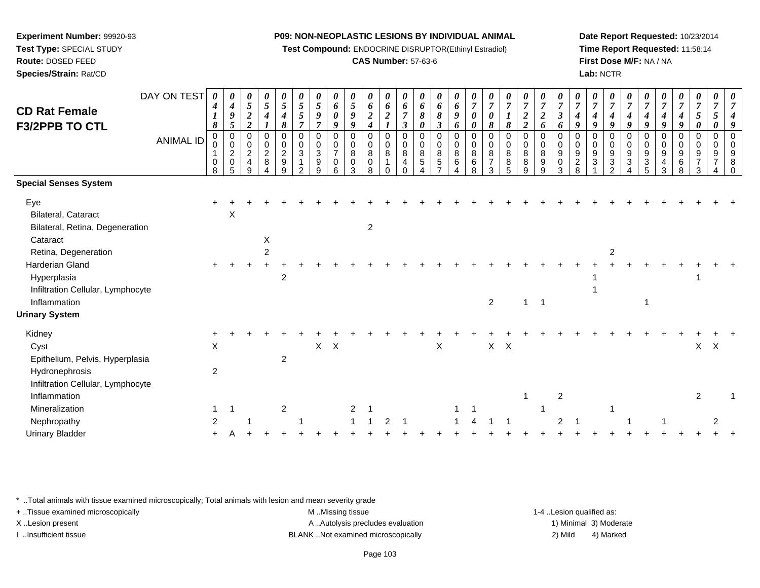**Test Compound:** ENDOCRINE DISRUPTOR(Ethinyl Estradiol)

#### **CAS Number:** 57-63-6

**Date Report Requested:** 10/23/2014**Time Report Requested:** 11:58:14**First Dose M/F:** NA / NA**Lab:** NCTR

| <b>CD Rat Female</b><br>F3/2PPB TO CTL | DAY ON TEST<br><b>ANIMAL ID</b> | 4<br>$\boldsymbol{I}$<br>8<br>$\mathbf 0$<br>0<br>8 | 0<br>$\boldsymbol{4}$<br>9<br>$\sqrt{5}$<br>$\pmb{0}$<br>$\pmb{0}$<br>$\sqrt{2}$<br>$\pmb{0}$<br>$\overline{5}$ | 0<br>$\sqrt{5}$<br>$\boldsymbol{2}$<br>$\boldsymbol{2}$<br>0<br>0<br>$\sqrt{2}$<br>4<br>9 | 0<br>$\mathfrak{s}$<br>4<br>$\mathbf 0$<br>$\mathbf 0$<br>$\overline{2}$<br>8 | 0<br>$\sqrt{5}$<br>$\boldsymbol{4}$<br>8<br>0<br>0<br>$\overline{c}$<br>$\boldsymbol{9}$<br>9 | $\boldsymbol{\theta}$<br>$\sqrt{5}$<br>$\sqrt{5}$<br>$\overline{7}$<br>$\mathbf 0$<br>$\pmb{0}$<br>$\ensuremath{\mathsf{3}}$<br>$\mathbf{1}$<br>$\mathcal{P}$ | $\boldsymbol{\theta}$<br>$\sqrt{5}$<br>9<br>$\overline{7}$<br>0<br>$\pmb{0}$<br>$\sqrt{3}$<br>$\boldsymbol{9}$<br>9 | $\boldsymbol{\theta}$<br>6<br>$\boldsymbol{\theta}$<br>9<br>$\pmb{0}$<br>$\mathbf 0$<br>$\overline{7}$<br>$\mathbf 0$<br>6 | $\boldsymbol{\theta}$<br>$\sqrt{5}$<br>$\boldsymbol{9}$<br>$\boldsymbol{9}$<br>$\pmb{0}$<br>$\pmb{0}$<br>$\bf 8$<br>0<br>3 | $\boldsymbol{\theta}$<br>6<br>$\boldsymbol{2}$<br>4<br>0<br>0<br>8<br>0<br>8 | 0<br>6<br>$\sqrt{2}$<br>$\mathbf 0$<br>0<br>8 | $\boldsymbol{\theta}$<br>6<br>$\mathbf{3}$<br>$\Omega$<br>0<br>$\bf 8$<br>4 | 0<br>6<br>8<br>0<br>0<br>0<br>8<br>$\sqrt{5}$ | $\boldsymbol{\theta}$<br>6<br>$\pmb{8}$<br>$\boldsymbol{\beta}$<br>$\mathbf 0$<br>$\mathbf 0$<br>$\, 8$<br>$\sqrt{5}$<br>$\overline{\phantom{a}}$ | $\boldsymbol{\theta}$<br>6<br>9<br>6<br>$\mathbf 0$<br>0<br>$\bf 8$<br>$\,6$<br>Δ | U<br>$\overline{7}$<br>$\boldsymbol{\theta}$<br>0<br>$\mathbf 0$<br>$\bf 8$<br>$\,6\,$<br>8 | 0<br>$\overline{7}$<br>0<br>8<br>$\pmb{0}$<br>$\mathbf 0$<br>8<br>$\overline{7}$<br>3 | 0<br>$\overline{7}$<br>$\boldsymbol{l}$<br>$\pmb{8}$<br>0<br>0<br>$\bf 8$<br>$\frac{8}{5}$ | 0<br>$\overline{7}$<br>$\boldsymbol{2}$<br>$\overline{2}$<br>$\pmb{0}$<br>$\mathbf 0$<br>$\bf 8$<br>$\bf 8$<br>9 | $\boldsymbol{\theta}$<br>$\overline{7}$<br>$\overline{\mathbf{c}}$<br>6<br>0<br>0<br>$\bf 8$<br>$\boldsymbol{9}$<br>9 | $\overline{7}$<br>3<br>6<br>$\Omega$<br>0<br>$\boldsymbol{9}$<br>$\mathbf 0$<br>3 | 0<br>$\overline{7}$<br>9<br>$\Omega$<br>0<br>$\boldsymbol{9}$<br>$\overline{c}$<br>8 | 0<br>$\overline{7}$<br>$\boldsymbol{4}$<br>9<br>0<br>$\pmb{0}$<br>$\boldsymbol{9}$<br>$\overline{3}$ | U<br>$\overline{7}$<br>4<br>9<br>0<br>$\pmb{0}$<br>$\boldsymbol{9}$<br>$\ensuremath{\mathsf{3}}$<br>$\mathcal{P}$ | 0<br>$\overline{7}$<br>$\boldsymbol{4}$<br>9<br>0<br>0<br>$\boldsymbol{9}$<br>$\sqrt{3}$ | $\overline{7}$<br>$\boldsymbol{4}$<br>9<br>$\mathbf 0$<br>$\pmb{0}$<br>$\boldsymbol{9}$<br>$\sqrt{3}$<br>5 | 0<br>$\overline{7}$<br>4<br>9<br>0<br>0<br>$\boldsymbol{9}$<br>4<br>3 | 0<br>$\boldsymbol{7}$<br>$\boldsymbol{4}$<br>9<br>0<br>0<br>9<br>$\overline{6}$<br>8 | $\boldsymbol{\theta}$<br>$\boldsymbol{7}$<br>$\mathfrak{s}$<br>0<br>$\mathbf 0$<br>0<br>$\boldsymbol{9}$<br>$\overline{7}$<br>3 | 0<br>$\overline{7}$<br>5<br>0<br>$\mathbf 0$<br>0<br>9<br>$\overline{7}$ | $\overline{7}$<br>9<br>$\Omega$<br>$\mathbf 0$<br>9<br>8 |
|----------------------------------------|---------------------------------|-----------------------------------------------------|-----------------------------------------------------------------------------------------------------------------|-------------------------------------------------------------------------------------------|-------------------------------------------------------------------------------|-----------------------------------------------------------------------------------------------|---------------------------------------------------------------------------------------------------------------------------------------------------------------|---------------------------------------------------------------------------------------------------------------------|----------------------------------------------------------------------------------------------------------------------------|----------------------------------------------------------------------------------------------------------------------------|------------------------------------------------------------------------------|-----------------------------------------------|-----------------------------------------------------------------------------|-----------------------------------------------|---------------------------------------------------------------------------------------------------------------------------------------------------|-----------------------------------------------------------------------------------|---------------------------------------------------------------------------------------------|---------------------------------------------------------------------------------------|--------------------------------------------------------------------------------------------|------------------------------------------------------------------------------------------------------------------|-----------------------------------------------------------------------------------------------------------------------|-----------------------------------------------------------------------------------|--------------------------------------------------------------------------------------|------------------------------------------------------------------------------------------------------|-------------------------------------------------------------------------------------------------------------------|------------------------------------------------------------------------------------------|------------------------------------------------------------------------------------------------------------|-----------------------------------------------------------------------|--------------------------------------------------------------------------------------|---------------------------------------------------------------------------------------------------------------------------------|--------------------------------------------------------------------------|----------------------------------------------------------|
| <b>Special Senses System</b>           |                                 |                                                     |                                                                                                                 |                                                                                           |                                                                               |                                                                                               |                                                                                                                                                               |                                                                                                                     |                                                                                                                            |                                                                                                                            |                                                                              |                                               |                                                                             |                                               |                                                                                                                                                   |                                                                                   |                                                                                             |                                                                                       |                                                                                            |                                                                                                                  |                                                                                                                       |                                                                                   |                                                                                      |                                                                                                      |                                                                                                                   |                                                                                          |                                                                                                            |                                                                       |                                                                                      |                                                                                                                                 |                                                                          |                                                          |
| Eye                                    |                                 |                                                     |                                                                                                                 |                                                                                           |                                                                               |                                                                                               |                                                                                                                                                               |                                                                                                                     |                                                                                                                            |                                                                                                                            |                                                                              |                                               |                                                                             |                                               |                                                                                                                                                   |                                                                                   |                                                                                             |                                                                                       |                                                                                            |                                                                                                                  |                                                                                                                       |                                                                                   |                                                                                      |                                                                                                      |                                                                                                                   |                                                                                          |                                                                                                            |                                                                       |                                                                                      |                                                                                                                                 |                                                                          |                                                          |
| <b>Bilateral, Cataract</b>             |                                 |                                                     | Χ                                                                                                               |                                                                                           |                                                                               |                                                                                               |                                                                                                                                                               |                                                                                                                     |                                                                                                                            |                                                                                                                            |                                                                              |                                               |                                                                             |                                               |                                                                                                                                                   |                                                                                   |                                                                                             |                                                                                       |                                                                                            |                                                                                                                  |                                                                                                                       |                                                                                   |                                                                                      |                                                                                                      |                                                                                                                   |                                                                                          |                                                                                                            |                                                                       |                                                                                      |                                                                                                                                 |                                                                          |                                                          |
| Bilateral, Retina, Degeneration        |                                 |                                                     |                                                                                                                 |                                                                                           |                                                                               |                                                                                               |                                                                                                                                                               |                                                                                                                     |                                                                                                                            |                                                                                                                            | $\overline{2}$                                                               |                                               |                                                                             |                                               |                                                                                                                                                   |                                                                                   |                                                                                             |                                                                                       |                                                                                            |                                                                                                                  |                                                                                                                       |                                                                                   |                                                                                      |                                                                                                      |                                                                                                                   |                                                                                          |                                                                                                            |                                                                       |                                                                                      |                                                                                                                                 |                                                                          |                                                          |
| Cataract                               |                                 |                                                     |                                                                                                                 |                                                                                           | X                                                                             |                                                                                               |                                                                                                                                                               |                                                                                                                     |                                                                                                                            |                                                                                                                            |                                                                              |                                               |                                                                             |                                               |                                                                                                                                                   |                                                                                   |                                                                                             |                                                                                       |                                                                                            |                                                                                                                  |                                                                                                                       |                                                                                   |                                                                                      |                                                                                                      |                                                                                                                   |                                                                                          |                                                                                                            |                                                                       |                                                                                      |                                                                                                                                 |                                                                          |                                                          |
| Retina, Degeneration                   |                                 |                                                     |                                                                                                                 |                                                                                           | $\overline{2}$                                                                |                                                                                               |                                                                                                                                                               |                                                                                                                     |                                                                                                                            |                                                                                                                            |                                                                              |                                               |                                                                             |                                               |                                                                                                                                                   |                                                                                   |                                                                                             |                                                                                       |                                                                                            |                                                                                                                  |                                                                                                                       |                                                                                   |                                                                                      |                                                                                                      | 2                                                                                                                 |                                                                                          |                                                                                                            |                                                                       |                                                                                      |                                                                                                                                 |                                                                          |                                                          |
| <b>Harderian Gland</b>                 |                                 |                                                     |                                                                                                                 |                                                                                           |                                                                               |                                                                                               |                                                                                                                                                               |                                                                                                                     |                                                                                                                            |                                                                                                                            |                                                                              |                                               |                                                                             |                                               |                                                                                                                                                   |                                                                                   |                                                                                             |                                                                                       |                                                                                            |                                                                                                                  |                                                                                                                       |                                                                                   |                                                                                      |                                                                                                      |                                                                                                                   |                                                                                          |                                                                                                            |                                                                       |                                                                                      |                                                                                                                                 |                                                                          |                                                          |
| Hyperplasia                            |                                 |                                                     |                                                                                                                 |                                                                                           |                                                                               | 2                                                                                             |                                                                                                                                                               |                                                                                                                     |                                                                                                                            |                                                                                                                            |                                                                              |                                               |                                                                             |                                               |                                                                                                                                                   |                                                                                   |                                                                                             |                                                                                       |                                                                                            |                                                                                                                  |                                                                                                                       |                                                                                   |                                                                                      |                                                                                                      |                                                                                                                   |                                                                                          |                                                                                                            |                                                                       |                                                                                      |                                                                                                                                 |                                                                          |                                                          |
| Infiltration Cellular, Lymphocyte      |                                 |                                                     |                                                                                                                 |                                                                                           |                                                                               |                                                                                               |                                                                                                                                                               |                                                                                                                     |                                                                                                                            |                                                                                                                            |                                                                              |                                               |                                                                             |                                               |                                                                                                                                                   |                                                                                   |                                                                                             |                                                                                       |                                                                                            |                                                                                                                  |                                                                                                                       |                                                                                   |                                                                                      |                                                                                                      |                                                                                                                   |                                                                                          |                                                                                                            |                                                                       |                                                                                      |                                                                                                                                 |                                                                          |                                                          |
| Inflammation                           |                                 |                                                     |                                                                                                                 |                                                                                           |                                                                               |                                                                                               |                                                                                                                                                               |                                                                                                                     |                                                                                                                            |                                                                                                                            |                                                                              |                                               |                                                                             |                                               |                                                                                                                                                   |                                                                                   |                                                                                             | $\overline{2}$                                                                        |                                                                                            | -1                                                                                                               | $\overline{1}$                                                                                                        |                                                                                   |                                                                                      |                                                                                                      |                                                                                                                   |                                                                                          | 1                                                                                                          |                                                                       |                                                                                      |                                                                                                                                 |                                                                          |                                                          |
| <b>Urinary System</b>                  |                                 |                                                     |                                                                                                                 |                                                                                           |                                                                               |                                                                                               |                                                                                                                                                               |                                                                                                                     |                                                                                                                            |                                                                                                                            |                                                                              |                                               |                                                                             |                                               |                                                                                                                                                   |                                                                                   |                                                                                             |                                                                                       |                                                                                            |                                                                                                                  |                                                                                                                       |                                                                                   |                                                                                      |                                                                                                      |                                                                                                                   |                                                                                          |                                                                                                            |                                                                       |                                                                                      |                                                                                                                                 |                                                                          |                                                          |
| Kidney                                 |                                 |                                                     |                                                                                                                 |                                                                                           |                                                                               |                                                                                               |                                                                                                                                                               |                                                                                                                     |                                                                                                                            |                                                                                                                            |                                                                              |                                               |                                                                             |                                               |                                                                                                                                                   |                                                                                   |                                                                                             |                                                                                       |                                                                                            |                                                                                                                  |                                                                                                                       |                                                                                   |                                                                                      |                                                                                                      |                                                                                                                   |                                                                                          |                                                                                                            |                                                                       |                                                                                      |                                                                                                                                 |                                                                          |                                                          |
| Cyst                                   |                                 | $\mathsf{X}$                                        |                                                                                                                 |                                                                                           |                                                                               |                                                                                               |                                                                                                                                                               |                                                                                                                     | $X$ $X$                                                                                                                    |                                                                                                                            |                                                                              |                                               |                                                                             |                                               | X                                                                                                                                                 |                                                                                   |                                                                                             |                                                                                       | $X$ $X$                                                                                    |                                                                                                                  |                                                                                                                       |                                                                                   |                                                                                      |                                                                                                      |                                                                                                                   |                                                                                          |                                                                                                            |                                                                       |                                                                                      | $\mathsf{X}$                                                                                                                    | $\boldsymbol{X}$                                                         |                                                          |
| Epithelium, Pelvis, Hyperplasia        |                                 |                                                     |                                                                                                                 |                                                                                           |                                                                               | $\overline{2}$                                                                                |                                                                                                                                                               |                                                                                                                     |                                                                                                                            |                                                                                                                            |                                                                              |                                               |                                                                             |                                               |                                                                                                                                                   |                                                                                   |                                                                                             |                                                                                       |                                                                                            |                                                                                                                  |                                                                                                                       |                                                                                   |                                                                                      |                                                                                                      |                                                                                                                   |                                                                                          |                                                                                                            |                                                                       |                                                                                      |                                                                                                                                 |                                                                          |                                                          |
| Hydronephrosis                         |                                 | $\overline{2}$                                      |                                                                                                                 |                                                                                           |                                                                               |                                                                                               |                                                                                                                                                               |                                                                                                                     |                                                                                                                            |                                                                                                                            |                                                                              |                                               |                                                                             |                                               |                                                                                                                                                   |                                                                                   |                                                                                             |                                                                                       |                                                                                            |                                                                                                                  |                                                                                                                       |                                                                                   |                                                                                      |                                                                                                      |                                                                                                                   |                                                                                          |                                                                                                            |                                                                       |                                                                                      |                                                                                                                                 |                                                                          |                                                          |
| Infiltration Cellular, Lymphocyte      |                                 |                                                     |                                                                                                                 |                                                                                           |                                                                               |                                                                                               |                                                                                                                                                               |                                                                                                                     |                                                                                                                            |                                                                                                                            |                                                                              |                                               |                                                                             |                                               |                                                                                                                                                   |                                                                                   |                                                                                             |                                                                                       |                                                                                            |                                                                                                                  |                                                                                                                       |                                                                                   |                                                                                      |                                                                                                      |                                                                                                                   |                                                                                          |                                                                                                            |                                                                       |                                                                                      |                                                                                                                                 |                                                                          |                                                          |
| Inflammation                           |                                 |                                                     |                                                                                                                 |                                                                                           |                                                                               |                                                                                               |                                                                                                                                                               |                                                                                                                     |                                                                                                                            |                                                                                                                            |                                                                              |                                               |                                                                             |                                               |                                                                                                                                                   |                                                                                   |                                                                                             |                                                                                       |                                                                                            | -1                                                                                                               |                                                                                                                       | $\overline{c}$                                                                    |                                                                                      |                                                                                                      |                                                                                                                   |                                                                                          |                                                                                                            |                                                                       |                                                                                      | 2                                                                                                                               |                                                                          |                                                          |
| Mineralization                         |                                 |                                                     | -1                                                                                                              |                                                                                           |                                                                               | $\boldsymbol{2}$                                                                              |                                                                                                                                                               |                                                                                                                     |                                                                                                                            | $\overline{2}$                                                                                                             |                                                                              |                                               |                                                                             |                                               |                                                                                                                                                   |                                                                                   |                                                                                             |                                                                                       |                                                                                            |                                                                                                                  |                                                                                                                       |                                                                                   |                                                                                      |                                                                                                      |                                                                                                                   |                                                                                          |                                                                                                            |                                                                       |                                                                                      |                                                                                                                                 |                                                                          |                                                          |
| Nephropathy                            |                                 | 2                                                   |                                                                                                                 |                                                                                           |                                                                               |                                                                                               |                                                                                                                                                               |                                                                                                                     |                                                                                                                            |                                                                                                                            |                                                                              | $\mathcal{P}$                                 |                                                                             |                                               |                                                                                                                                                   |                                                                                   |                                                                                             |                                                                                       |                                                                                            |                                                                                                                  |                                                                                                                       | 2                                                                                 | -1                                                                                   |                                                                                                      |                                                                                                                   |                                                                                          |                                                                                                            |                                                                       |                                                                                      |                                                                                                                                 | $\mathcal{P}$                                                            |                                                          |
| <b>Urinary Bladder</b>                 |                                 |                                                     |                                                                                                                 |                                                                                           |                                                                               |                                                                                               |                                                                                                                                                               |                                                                                                                     |                                                                                                                            |                                                                                                                            |                                                                              |                                               |                                                                             |                                               |                                                                                                                                                   |                                                                                   |                                                                                             |                                                                                       |                                                                                            |                                                                                                                  |                                                                                                                       |                                                                                   |                                                                                      |                                                                                                      |                                                                                                                   |                                                                                          |                                                                                                            |                                                                       |                                                                                      |                                                                                                                                 |                                                                          |                                                          |
|                                        |                                 |                                                     |                                                                                                                 |                                                                                           |                                                                               |                                                                                               |                                                                                                                                                               |                                                                                                                     |                                                                                                                            |                                                                                                                            |                                                                              |                                               |                                                                             |                                               |                                                                                                                                                   |                                                                                   |                                                                                             |                                                                                       |                                                                                            |                                                                                                                  |                                                                                                                       |                                                                                   |                                                                                      |                                                                                                      |                                                                                                                   |                                                                                          |                                                                                                            |                                                                       |                                                                                      |                                                                                                                                 |                                                                          |                                                          |

\* ..Total animals with tissue examined microscopically; Total animals with lesion and mean severity grade

+ ..Tissue examined microscopically examined microscopically examined as:  $M$  ..Missing tissue 1-4 ..Lesion qualified as: X..Lesion present **A ..Autolysis precludes evaluation** A ..Autolysis precludes evaluation 1) Minimal 3) Moderate

I ..Insufficient tissue BLANK ..Not examined microscopically 2) Mild 4) Marked

# **Experiment Number:** 99920-93**Test Type:** SPECIAL STUDY**Route:** DOSED FEED

**Species/Strain:** Rat/CD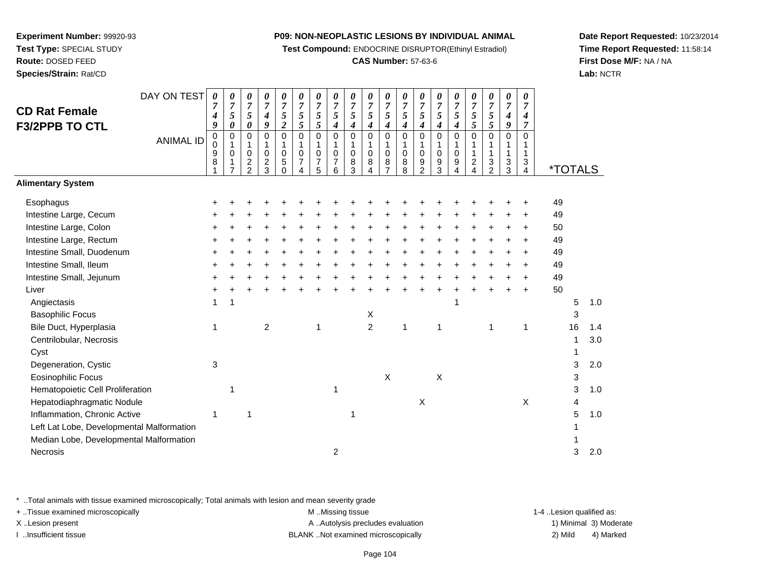**Test Compound:** ENDOCRINE DISRUPTOR(Ethinyl Estradiol)

### **CAS Number:** 57-63-6

**Date Report Requested:** 10/23/2014**Time Report Requested:** 11:58:14**First Dose M/F:** NA / NA**Lab:** NCTR

| <b>CD Rat Female</b><br><b>F3/2PPB TO CTL</b> | DAY ON TEST<br><b>ANIMAL ID</b> | 0<br>7<br>4<br>9<br>$\,0\,$<br>0<br>9<br>8 | 0<br>$\overline{7}$<br>5<br>0<br>0<br>$\Omega$ | 0<br>$\boldsymbol{7}$<br>5<br>0<br>$\mathbf 0$<br>1<br>$\mathbf 0$<br>$\overline{\mathbf{c}}$<br>$\overline{2}$ | 0<br>$\overline{7}$<br>$\boldsymbol{4}$<br>9<br>$\Omega$<br>1<br>$\mathbf 0$<br>$\overline{\mathbf{c}}$<br>3 | 0<br>7<br>5<br>$\boldsymbol{2}$<br>$\mathbf 0$<br>1<br>0<br>5<br>$\Omega$ | 0<br>$\overline{7}$<br>5<br>5<br>$\Omega$<br>$\mathbf 0$<br>7 | $\pmb{\theta}$<br>$\overline{7}$<br>5<br>5<br>$\overline{0}$<br>1<br>$\mathbf 0$<br>$\overline{7}$<br>5 | 0<br>$\overline{7}$<br>5<br>4<br>$\Omega$<br>$\mathbf 0$<br>7<br>6 | $\boldsymbol{\theta}$<br>$\overline{7}$<br>5<br>$\boldsymbol{4}$<br>$\Omega$<br>$\mathbf{1}$<br>$\mathbf 0$<br>8<br>3 | 0<br>$\overline{7}$<br>5<br>$\boldsymbol{4}$<br>$\mathbf 0$<br>$\mathsf 0$<br>8<br>$\overline{4}$ | 0<br>7<br>5<br>4<br>$\Omega$<br>$\Omega$<br>8 | 0<br>$\overline{7}$<br>5<br>$\boldsymbol{4}$<br>$\Omega$<br>1<br>$\mathbf 0$<br>8<br>8 | 0<br>$\overline{7}$<br>5<br>4<br>$\Omega$<br>1<br>$\mathbf 0$<br>9<br>$\overline{2}$ | 0<br>$\overline{7}$<br>5<br>$\boldsymbol{4}$<br>0<br>$\mathbf 0$<br>9<br>3 | 0<br>$\overline{7}$<br>5<br>4<br>0<br>$\mathbf 0$<br>9<br>4 | 0<br>$\overline{7}$<br>$\mathfrak{s}$<br>$\mathfrak{s}$<br>$\Omega$<br>1<br>$\mathbf{1}$<br>$\overline{c}$<br>4 | 0<br>7<br>5<br>$\mathfrak{s}$<br>$\Omega$<br>1<br>3<br>$\overline{c}$ | 0<br>$\overline{7}$<br>$\boldsymbol{4}$<br>9<br>$\Omega$<br>$\mathbf{1}$<br>3<br>3 | 0<br>$\overline{7}$<br>4<br>$\overline{7}$<br>$\Omega$<br>$\mathbf{1}$<br>3<br>4 | <i><b>*TOTALS</b></i> |    |     |
|-----------------------------------------------|---------------------------------|--------------------------------------------|------------------------------------------------|-----------------------------------------------------------------------------------------------------------------|--------------------------------------------------------------------------------------------------------------|---------------------------------------------------------------------------|---------------------------------------------------------------|---------------------------------------------------------------------------------------------------------|--------------------------------------------------------------------|-----------------------------------------------------------------------------------------------------------------------|---------------------------------------------------------------------------------------------------|-----------------------------------------------|----------------------------------------------------------------------------------------|--------------------------------------------------------------------------------------|----------------------------------------------------------------------------|-------------------------------------------------------------|-----------------------------------------------------------------------------------------------------------------|-----------------------------------------------------------------------|------------------------------------------------------------------------------------|----------------------------------------------------------------------------------|-----------------------|----|-----|
| <b>Alimentary System</b>                      |                                 |                                            |                                                |                                                                                                                 |                                                                                                              |                                                                           |                                                               |                                                                                                         |                                                                    |                                                                                                                       |                                                                                                   |                                               |                                                                                        |                                                                                      |                                                                            |                                                             |                                                                                                                 |                                                                       |                                                                                    |                                                                                  |                       |    |     |
| Esophagus                                     |                                 |                                            |                                                |                                                                                                                 |                                                                                                              |                                                                           |                                                               |                                                                                                         |                                                                    |                                                                                                                       |                                                                                                   |                                               |                                                                                        |                                                                                      |                                                                            |                                                             |                                                                                                                 |                                                                       |                                                                                    |                                                                                  | 49                    |    |     |
| Intestine Large, Cecum                        |                                 |                                            |                                                |                                                                                                                 |                                                                                                              |                                                                           |                                                               |                                                                                                         |                                                                    |                                                                                                                       |                                                                                                   |                                               |                                                                                        |                                                                                      |                                                                            |                                                             |                                                                                                                 |                                                                       |                                                                                    |                                                                                  | 49                    |    |     |
| Intestine Large, Colon                        |                                 |                                            |                                                |                                                                                                                 |                                                                                                              |                                                                           |                                                               |                                                                                                         |                                                                    |                                                                                                                       |                                                                                                   |                                               |                                                                                        |                                                                                      |                                                                            |                                                             |                                                                                                                 |                                                                       |                                                                                    |                                                                                  | 50                    |    |     |
| Intestine Large, Rectum                       |                                 | ÷                                          |                                                |                                                                                                                 |                                                                                                              |                                                                           |                                                               |                                                                                                         |                                                                    |                                                                                                                       |                                                                                                   |                                               |                                                                                        |                                                                                      |                                                                            |                                                             |                                                                                                                 |                                                                       |                                                                                    |                                                                                  | 49                    |    |     |
| Intestine Small, Duodenum                     |                                 |                                            |                                                |                                                                                                                 |                                                                                                              |                                                                           |                                                               |                                                                                                         |                                                                    |                                                                                                                       |                                                                                                   |                                               |                                                                                        |                                                                                      |                                                                            |                                                             |                                                                                                                 |                                                                       |                                                                                    |                                                                                  | 49                    |    |     |
| Intestine Small, Ileum                        |                                 | ÷                                          |                                                |                                                                                                                 |                                                                                                              |                                                                           |                                                               |                                                                                                         |                                                                    |                                                                                                                       |                                                                                                   |                                               |                                                                                        |                                                                                      |                                                                            |                                                             |                                                                                                                 |                                                                       |                                                                                    |                                                                                  | 49                    |    |     |
| Intestine Small, Jejunum                      |                                 |                                            |                                                |                                                                                                                 |                                                                                                              |                                                                           |                                                               |                                                                                                         |                                                                    |                                                                                                                       |                                                                                                   |                                               |                                                                                        |                                                                                      |                                                                            |                                                             |                                                                                                                 |                                                                       |                                                                                    |                                                                                  | 49                    |    |     |
| Liver                                         |                                 |                                            |                                                |                                                                                                                 |                                                                                                              |                                                                           |                                                               |                                                                                                         |                                                                    |                                                                                                                       |                                                                                                   |                                               |                                                                                        |                                                                                      |                                                                            |                                                             |                                                                                                                 |                                                                       |                                                                                    | $\pm$                                                                            | 50                    |    |     |
| Angiectasis                                   |                                 | 1                                          | 1                                              |                                                                                                                 |                                                                                                              |                                                                           |                                                               |                                                                                                         |                                                                    |                                                                                                                       |                                                                                                   |                                               |                                                                                        |                                                                                      |                                                                            |                                                             |                                                                                                                 |                                                                       |                                                                                    |                                                                                  |                       | 5  | 1.0 |
| <b>Basophilic Focus</b>                       |                                 |                                            |                                                |                                                                                                                 |                                                                                                              |                                                                           |                                                               |                                                                                                         |                                                                    |                                                                                                                       | Х                                                                                                 |                                               |                                                                                        |                                                                                      |                                                                            |                                                             |                                                                                                                 |                                                                       |                                                                                    |                                                                                  |                       | 3  |     |
| Bile Duct, Hyperplasia                        |                                 | $\mathbf{1}$                               |                                                |                                                                                                                 | $\overline{2}$                                                                                               |                                                                           |                                                               | 1                                                                                                       |                                                                    |                                                                                                                       | $\overline{2}$                                                                                    |                                               | 1                                                                                      |                                                                                      | 1                                                                          |                                                             |                                                                                                                 | 1                                                                     |                                                                                    | 1                                                                                |                       | 16 | 1.4 |
| Centrilobular, Necrosis                       |                                 |                                            |                                                |                                                                                                                 |                                                                                                              |                                                                           |                                                               |                                                                                                         |                                                                    |                                                                                                                       |                                                                                                   |                                               |                                                                                        |                                                                                      |                                                                            |                                                             |                                                                                                                 |                                                                       |                                                                                    |                                                                                  |                       | 1  | 3.0 |
| Cyst                                          |                                 |                                            |                                                |                                                                                                                 |                                                                                                              |                                                                           |                                                               |                                                                                                         |                                                                    |                                                                                                                       |                                                                                                   |                                               |                                                                                        |                                                                                      |                                                                            |                                                             |                                                                                                                 |                                                                       |                                                                                    |                                                                                  |                       |    |     |
| Degeneration, Cystic                          |                                 | 3                                          |                                                |                                                                                                                 |                                                                                                              |                                                                           |                                                               |                                                                                                         |                                                                    |                                                                                                                       |                                                                                                   |                                               |                                                                                        |                                                                                      |                                                                            |                                                             |                                                                                                                 |                                                                       |                                                                                    |                                                                                  |                       | 3  | 2.0 |
| <b>Eosinophilic Focus</b>                     |                                 |                                            |                                                |                                                                                                                 |                                                                                                              |                                                                           |                                                               |                                                                                                         |                                                                    |                                                                                                                       |                                                                                                   | $\times$                                      |                                                                                        |                                                                                      | Χ                                                                          |                                                             |                                                                                                                 |                                                                       |                                                                                    |                                                                                  |                       | 3  |     |
| Hematopoietic Cell Proliferation              |                                 |                                            | 1                                              |                                                                                                                 |                                                                                                              |                                                                           |                                                               |                                                                                                         | 1                                                                  |                                                                                                                       |                                                                                                   |                                               |                                                                                        |                                                                                      |                                                                            |                                                             |                                                                                                                 |                                                                       |                                                                                    |                                                                                  |                       | 3  | 1.0 |
| Hepatodiaphragmatic Nodule                    |                                 |                                            |                                                |                                                                                                                 |                                                                                                              |                                                                           |                                                               |                                                                                                         |                                                                    |                                                                                                                       |                                                                                                   |                                               |                                                                                        | X                                                                                    |                                                                            |                                                             |                                                                                                                 |                                                                       |                                                                                    | X                                                                                |                       | 4  |     |
| Inflammation, Chronic Active                  |                                 | 1                                          |                                                | 1                                                                                                               |                                                                                                              |                                                                           |                                                               |                                                                                                         |                                                                    |                                                                                                                       |                                                                                                   |                                               |                                                                                        |                                                                                      |                                                                            |                                                             |                                                                                                                 |                                                                       |                                                                                    |                                                                                  |                       | 5  | 1.0 |
| Left Lat Lobe, Developmental Malformation     |                                 |                                            |                                                |                                                                                                                 |                                                                                                              |                                                                           |                                                               |                                                                                                         |                                                                    |                                                                                                                       |                                                                                                   |                                               |                                                                                        |                                                                                      |                                                                            |                                                             |                                                                                                                 |                                                                       |                                                                                    |                                                                                  |                       |    |     |
| Median Lobe, Developmental Malformation       |                                 |                                            |                                                |                                                                                                                 |                                                                                                              |                                                                           |                                                               |                                                                                                         |                                                                    |                                                                                                                       |                                                                                                   |                                               |                                                                                        |                                                                                      |                                                                            |                                                             |                                                                                                                 |                                                                       |                                                                                    |                                                                                  |                       |    |     |
| Necrosis                                      |                                 |                                            |                                                |                                                                                                                 |                                                                                                              |                                                                           |                                                               |                                                                                                         | $\overline{c}$                                                     |                                                                                                                       |                                                                                                   |                                               |                                                                                        |                                                                                      |                                                                            |                                                             |                                                                                                                 |                                                                       |                                                                                    |                                                                                  |                       | 3  | 2.0 |

\* ..Total animals with tissue examined microscopically; Total animals with lesion and mean severity grade

| + Tissue examined microscopically | M Missing tissue                  | 1-4 Lesion qualified as: |                        |
|-----------------------------------|-----------------------------------|--------------------------|------------------------|
| X Lesion present                  | A Autolysis precludes evaluation  |                          | 1) Minimal 3) Moderate |
| lnsufficient tissue               | BLANKNot examined microscopically | 2) Mild                  | 4) Marked              |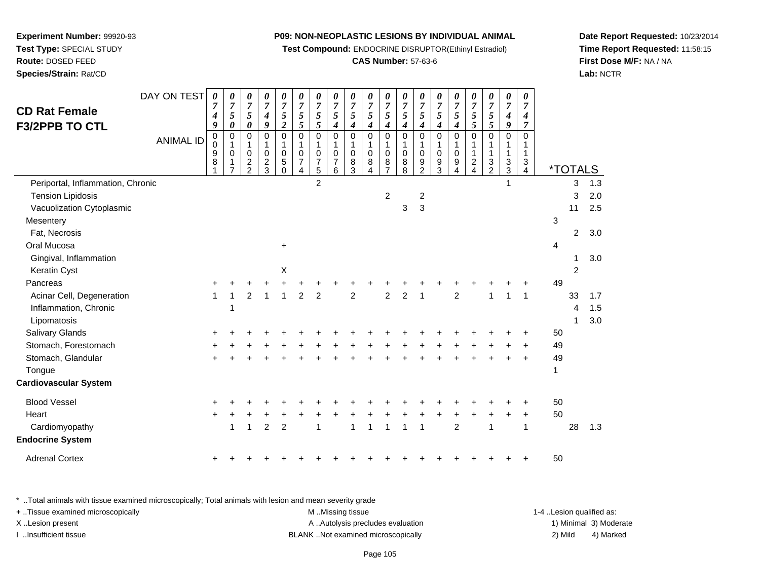**Test Compound:** ENDOCRINE DISRUPTOR(Ethinyl Estradiol)

# **CAS Number:** 57-63-6

**Date Report Requested:** 10/23/2014**Time Report Requested:** 11:58:15**First Dose M/F:** NA / NA**Lab:** NCTR

| <b>CD Rat Female</b><br><b>F3/2PPB TO CTL</b> | DAY ON TEST<br><b>ANIMAL ID</b> | 0<br>4<br>9<br>$\pmb{0}$<br>0<br>9<br>8 | 0<br>$\overline{7}$<br>5<br>0<br>$\mathbf 0$<br>$\mathbf 0$ | 0<br>$\overline{7}$<br>5<br>0<br>0<br>1<br>0<br>$\overline{\mathbf{c}}$ | 0<br>$\overline{7}$<br>4<br>9<br>$\mathbf 0$<br>$\mathbf 0$<br>$\overline{c}$ | 0<br>$\overline{7}$<br>5<br>$\overline{\mathbf{c}}$<br>0<br>1<br>$\pmb{0}$<br>5 | 0<br>7<br>5<br>5<br>$\Omega$<br>1<br>0<br>$\overline{7}$ | 0<br>$\overline{7}$<br>5<br>5<br>0<br>0<br>$\overline{7}$ | 0<br>$\overline{7}$<br>5<br>4<br>$\mathbf 0$<br>1<br>0<br>$\overline{7}$ | 0<br>$\overline{7}$<br>5<br>4<br>$\mathbf 0$<br>1<br>$\mathbf 0$<br>8 | 0<br>$\boldsymbol{7}$<br>5<br>$\boldsymbol{4}$<br>$\mathbf 0$<br>$\mathbf 0$<br>8 | 0<br>$\overline{7}$<br>5<br>4<br>$\mathbf 0$<br>1<br>0<br>8 | 0<br>7<br>5<br>4<br>$\Omega$<br>0<br>8 | 0<br>$\overline{7}$<br>5<br>4<br>$\mathbf 0$<br>$\mathbf 0$<br>9 | 0<br>7<br>5<br>4<br>0<br>0<br>9 | 0<br>7<br>5<br>4<br>$\Omega$<br>0<br>$\boldsymbol{9}$ | 0<br>7<br>5<br>5<br>$\mathbf 0$<br>1<br>$\overline{c}$ | 0<br>7<br>5<br>5<br>$\Omega$<br>1<br>$\mathbf{1}$<br>3 | 0<br>$\overline{7}$<br>4<br>9<br>$\mathbf 0$<br>$\mathbf 1$<br>$\ensuremath{\mathsf{3}}$ | 0<br>$\overline{7}$<br>4<br>7<br>$\Omega$<br>1<br>3 |                |                       |     |
|-----------------------------------------------|---------------------------------|-----------------------------------------|-------------------------------------------------------------|-------------------------------------------------------------------------|-------------------------------------------------------------------------------|---------------------------------------------------------------------------------|----------------------------------------------------------|-----------------------------------------------------------|--------------------------------------------------------------------------|-----------------------------------------------------------------------|-----------------------------------------------------------------------------------|-------------------------------------------------------------|----------------------------------------|------------------------------------------------------------------|---------------------------------|-------------------------------------------------------|--------------------------------------------------------|--------------------------------------------------------|------------------------------------------------------------------------------------------|-----------------------------------------------------|----------------|-----------------------|-----|
|                                               |                                 |                                         | $\overline{7}$                                              | $\overline{2}$                                                          | 3                                                                             | $\mathbf 0$                                                                     | 4                                                        | $\sqrt{5}$                                                | 6                                                                        | 3                                                                     | $\overline{4}$                                                                    | $\overline{7}$                                              | 8                                      | $\overline{2}$                                                   | 3                               | 4                                                     | 4                                                      | $\overline{2}$                                         | 3                                                                                        | 4                                                   |                | <i><b>*TOTALS</b></i> |     |
| Periportal, Inflammation, Chronic             |                                 |                                         |                                                             |                                                                         |                                                                               |                                                                                 |                                                          | $\overline{2}$                                            |                                                                          |                                                                       |                                                                                   |                                                             |                                        |                                                                  |                                 |                                                       |                                                        |                                                        |                                                                                          |                                                     |                | 3                     | 1.3 |
| <b>Tension Lipidosis</b>                      |                                 |                                         |                                                             |                                                                         |                                                                               |                                                                                 |                                                          |                                                           |                                                                          |                                                                       |                                                                                   | $\overline{2}$                                              |                                        | 2                                                                |                                 |                                                       |                                                        |                                                        |                                                                                          |                                                     |                | 3                     | 2.0 |
| Vacuolization Cytoplasmic                     |                                 |                                         |                                                             |                                                                         |                                                                               |                                                                                 |                                                          |                                                           |                                                                          |                                                                       |                                                                                   |                                                             | 3                                      | 3                                                                |                                 |                                                       |                                                        |                                                        |                                                                                          |                                                     |                | 11                    | 2.5 |
| Mesentery                                     |                                 |                                         |                                                             |                                                                         |                                                                               |                                                                                 |                                                          |                                                           |                                                                          |                                                                       |                                                                                   |                                                             |                                        |                                                                  |                                 |                                                       |                                                        |                                                        |                                                                                          |                                                     | 3              |                       |     |
| Fat, Necrosis                                 |                                 |                                         |                                                             |                                                                         |                                                                               |                                                                                 |                                                          |                                                           |                                                                          |                                                                       |                                                                                   |                                                             |                                        |                                                                  |                                 |                                                       |                                                        |                                                        |                                                                                          |                                                     |                | 2                     | 3.0 |
| Oral Mucosa                                   |                                 |                                         |                                                             |                                                                         |                                                                               | $\ddot{}$                                                                       |                                                          |                                                           |                                                                          |                                                                       |                                                                                   |                                                             |                                        |                                                                  |                                 |                                                       |                                                        |                                                        |                                                                                          |                                                     | $\overline{4}$ |                       |     |
| Gingival, Inflammation                        |                                 |                                         |                                                             |                                                                         |                                                                               |                                                                                 |                                                          |                                                           |                                                                          |                                                                       |                                                                                   |                                                             |                                        |                                                                  |                                 |                                                       |                                                        |                                                        |                                                                                          |                                                     |                | 1                     | 3.0 |
| Keratin Cyst                                  |                                 |                                         |                                                             |                                                                         |                                                                               | X                                                                               |                                                          |                                                           |                                                                          |                                                                       |                                                                                   |                                                             |                                        |                                                                  |                                 |                                                       |                                                        |                                                        |                                                                                          |                                                     |                | 2                     |     |
| Pancreas                                      |                                 | ٠                                       |                                                             |                                                                         |                                                                               |                                                                                 |                                                          |                                                           |                                                                          |                                                                       |                                                                                   |                                                             |                                        |                                                                  |                                 |                                                       |                                                        |                                                        |                                                                                          |                                                     | 49             |                       |     |
| Acinar Cell, Degeneration                     |                                 | 1                                       | 1                                                           | $\overline{2}$                                                          |                                                                               | 1                                                                               | $\overline{c}$                                           | $\overline{c}$                                            |                                                                          | $\overline{2}$                                                        |                                                                                   | $\overline{2}$                                              | $\overline{c}$                         | -1                                                               |                                 | $\overline{c}$                                        |                                                        | 1                                                      | 1                                                                                        | 1                                                   |                | 33                    | 1.7 |
| Inflammation, Chronic                         |                                 |                                         | 1                                                           |                                                                         |                                                                               |                                                                                 |                                                          |                                                           |                                                                          |                                                                       |                                                                                   |                                                             |                                        |                                                                  |                                 |                                                       |                                                        |                                                        |                                                                                          |                                                     |                | 4                     | 1.5 |
| Lipomatosis                                   |                                 |                                         |                                                             |                                                                         |                                                                               |                                                                                 |                                                          |                                                           |                                                                          |                                                                       |                                                                                   |                                                             |                                        |                                                                  |                                 |                                                       |                                                        |                                                        |                                                                                          |                                                     |                | 1                     | 3.0 |
| <b>Salivary Glands</b>                        |                                 | +                                       |                                                             |                                                                         |                                                                               |                                                                                 |                                                          |                                                           |                                                                          |                                                                       |                                                                                   |                                                             |                                        |                                                                  |                                 |                                                       |                                                        |                                                        |                                                                                          |                                                     | 50             |                       |     |
| Stomach, Forestomach                          |                                 |                                         |                                                             |                                                                         |                                                                               |                                                                                 |                                                          |                                                           |                                                                          |                                                                       |                                                                                   |                                                             |                                        |                                                                  |                                 |                                                       |                                                        |                                                        |                                                                                          |                                                     | 49             |                       |     |
| Stomach, Glandular                            |                                 | $\div$                                  |                                                             |                                                                         |                                                                               |                                                                                 |                                                          |                                                           |                                                                          |                                                                       |                                                                                   |                                                             |                                        |                                                                  |                                 |                                                       |                                                        |                                                        |                                                                                          |                                                     | 49             |                       |     |
| Tongue                                        |                                 |                                         |                                                             |                                                                         |                                                                               |                                                                                 |                                                          |                                                           |                                                                          |                                                                       |                                                                                   |                                                             |                                        |                                                                  |                                 |                                                       |                                                        |                                                        |                                                                                          |                                                     | $\mathbf{1}$   |                       |     |
| <b>Cardiovascular System</b>                  |                                 |                                         |                                                             |                                                                         |                                                                               |                                                                                 |                                                          |                                                           |                                                                          |                                                                       |                                                                                   |                                                             |                                        |                                                                  |                                 |                                                       |                                                        |                                                        |                                                                                          |                                                     |                |                       |     |
| <b>Blood Vessel</b>                           |                                 |                                         |                                                             |                                                                         |                                                                               |                                                                                 |                                                          |                                                           |                                                                          |                                                                       |                                                                                   |                                                             |                                        |                                                                  |                                 |                                                       |                                                        |                                                        |                                                                                          |                                                     | 50             |                       |     |
| Heart                                         |                                 | $\ddot{}$                               |                                                             |                                                                         |                                                                               |                                                                                 |                                                          |                                                           |                                                                          |                                                                       |                                                                                   |                                                             |                                        |                                                                  |                                 |                                                       |                                                        |                                                        |                                                                                          | $\ddot{}$                                           | 50             |                       |     |
| Cardiomyopathy                                |                                 |                                         | 1                                                           | 1                                                                       | 2                                                                             | $\overline{2}$                                                                  |                                                          | 1                                                         |                                                                          | 1                                                                     | 1                                                                                 | 1                                                           |                                        | 1                                                                |                                 | $\overline{c}$                                        |                                                        | 1                                                      |                                                                                          | 1                                                   |                | 28                    | 1.3 |
| <b>Endocrine System</b>                       |                                 |                                         |                                                             |                                                                         |                                                                               |                                                                                 |                                                          |                                                           |                                                                          |                                                                       |                                                                                   |                                                             |                                        |                                                                  |                                 |                                                       |                                                        |                                                        |                                                                                          |                                                     |                |                       |     |
| <b>Adrenal Cortex</b>                         |                                 | ٠                                       |                                                             |                                                                         |                                                                               |                                                                                 |                                                          |                                                           |                                                                          |                                                                       |                                                                                   |                                                             |                                        |                                                                  |                                 |                                                       |                                                        |                                                        |                                                                                          |                                                     | 50             |                       |     |
|                                               |                                 |                                         |                                                             |                                                                         |                                                                               |                                                                                 |                                                          |                                                           |                                                                          |                                                                       |                                                                                   |                                                             |                                        |                                                                  |                                 |                                                       |                                                        |                                                        |                                                                                          |                                                     |                |                       |     |

\* ..Total animals with tissue examined microscopically; Total animals with lesion and mean severity grade

| + Tissue examined microscopically | M Missing tissue                   | 1-4 Lesion qualified as: |                        |
|-----------------------------------|------------------------------------|--------------------------|------------------------|
| X Lesion present                  | A Autolysis precludes evaluation   |                          | 1) Minimal 3) Moderate |
| …Insufficient tissue              | BLANK Not examined microscopically | 2) Mild                  | 4) Marked              |

# **Experiment Number:** 99920-93**Test Type:** SPECIAL STUDY**Route:** DOSED FEED

**Species/Strain:** Rat/CD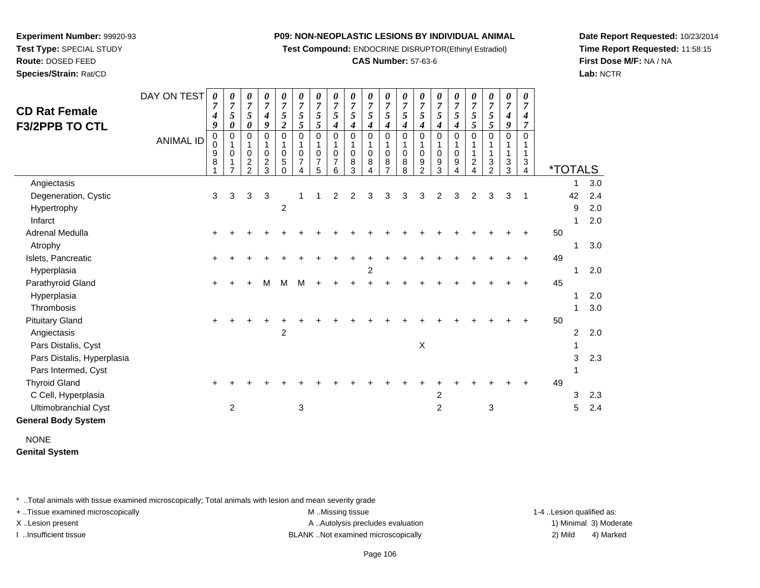**Test Compound:** ENDOCRINE DISRUPTOR(Ethinyl Estradiol)

#### **CAS Number:** 57-63-6

**Date Report Requested:** 10/23/2014**Time Report Requested:** 11:58:15**First Dose M/F:** NA / NA**Lab:** NCTR

| <b>CD Rat Female</b><br><b>F3/2PPB TO CTL</b> | DAY ON TEST      | 0<br>7<br>4<br>9 | 0<br>7<br>$\mathfrak{s}$<br>0                  | 0<br>$\overline{7}$<br>5<br>0                     | 0<br>$\overline{7}$<br>$\boldsymbol{4}$<br>9 | 0<br>7<br>5<br>$\overline{c}$         | 0<br>7<br>5<br>5          | 0<br>$\overline{7}$<br>5<br>5        | 0<br>$\overline{7}$<br>$\mathfrak{s}$<br>$\boldsymbol{4}$ | 0<br>$\overline{7}$<br>5<br>4 | 0<br>$\overline{7}$<br>5<br>$\boldsymbol{4}$ | 0<br>$\overline{7}$<br>5<br>$\boldsymbol{4}$         | 0<br>5<br>4             | 0<br>7<br>5<br>$\boldsymbol{4}$           | 0<br>$\overline{7}$<br>5<br>4              | 0<br>$\overline{7}$<br>5<br>$\boldsymbol{4}$ | 0<br>7<br>5<br>5                                           | 0<br>$\overline{7}$<br>5<br>$\overline{5}$      | 0<br>$\overline{7}$<br>4<br>9 | 0<br>$\overline{7}$<br>4<br>$\overline{7}$ |                       |                |                |
|-----------------------------------------------|------------------|------------------|------------------------------------------------|---------------------------------------------------|----------------------------------------------|---------------------------------------|---------------------------|--------------------------------------|-----------------------------------------------------------|-------------------------------|----------------------------------------------|------------------------------------------------------|-------------------------|-------------------------------------------|--------------------------------------------|----------------------------------------------|------------------------------------------------------------|-------------------------------------------------|-------------------------------|--------------------------------------------|-----------------------|----------------|----------------|
|                                               | <b>ANIMAL ID</b> | 0<br>0<br>9<br>8 | $\mathbf 0$<br>$\Omega$<br>1<br>$\overline{7}$ | 0<br>$\Omega$<br>$\overline{c}$<br>$\overline{2}$ | $\Omega$<br>1<br>$\Omega$<br>2<br>3          | $\Omega$<br>$\Omega$<br>5<br>$\Omega$ | $\Omega$<br>$\Omega$<br>7 | 0<br>$\Omega$<br>$\overline{7}$<br>5 | 0<br>1<br>$\mathbf 0$<br>$\overline{7}$<br>6              | 0<br>$\mathbf{0}$<br>8<br>3   | 0<br>1<br>$\mathbf 0$<br>8<br>4              | $\mathbf 0$<br>1<br>$\pmb{0}$<br>8<br>$\overline{7}$ | 0<br>$\Omega$<br>8<br>8 | 0<br>1<br>$\Omega$<br>9<br>$\overline{2}$ | 0<br>1<br>$\mathbf 0$<br>9<br>$\mathbf{3}$ | 0<br>1<br>$\Omega$<br>9<br>4                 | $\Omega$<br>1<br>$\overline{\mathbf{c}}$<br>$\overline{A}$ | $\Omega$<br>$\mathbf{1}$<br>3<br>$\overline{2}$ | 0<br>$\mathbf 1$<br>3<br>3    | $\Omega$<br>3<br>4                         | <i><b>*TOTALS</b></i> |                |                |
| Angiectasis                                   |                  |                  |                                                |                                                   |                                              |                                       |                           |                                      |                                                           |                               |                                              |                                                      |                         |                                           |                                            |                                              |                                                            |                                                 |                               |                                            |                       | 1              | 3.0            |
| Degeneration, Cystic                          |                  | 3                | 3                                              | 3                                                 | 3                                            |                                       |                           |                                      | 2                                                         | 2                             | 3                                            | 3                                                    | 3                       | 3                                         | 2                                          | 3                                            | 2                                                          | 3                                               | 3                             |                                            |                       | 42             | 2.4            |
| Hypertrophy<br>Infarct                        |                  |                  |                                                |                                                   |                                              | $\overline{c}$                        |                           |                                      |                                                           |                               |                                              |                                                      |                         |                                           |                                            |                                              |                                                            |                                                 |                               |                                            |                       | 9<br>1         | $2.0\,$<br>2.0 |
| Adrenal Medulla                               |                  | +                |                                                |                                                   |                                              |                                       |                           |                                      |                                                           |                               |                                              |                                                      |                         |                                           |                                            |                                              |                                                            |                                                 |                               |                                            | 50                    |                |                |
| Atrophy                                       |                  |                  |                                                |                                                   |                                              |                                       |                           |                                      |                                                           |                               |                                              |                                                      |                         |                                           |                                            |                                              |                                                            |                                                 |                               |                                            |                       | 1              | 3.0            |
| Islets, Pancreatic                            |                  | $\pm$            |                                                |                                                   |                                              |                                       |                           |                                      |                                                           |                               |                                              |                                                      |                         |                                           |                                            |                                              |                                                            |                                                 |                               | ÷                                          | 49                    |                |                |
| Hyperplasia                                   |                  |                  |                                                |                                                   |                                              |                                       |                           |                                      |                                                           |                               | $\overline{2}$                               |                                                      |                         |                                           |                                            |                                              |                                                            |                                                 |                               |                                            |                       | 1              | 2.0            |
| Parathyroid Gland                             |                  | +                |                                                |                                                   | М                                            | м                                     |                           |                                      |                                                           |                               |                                              |                                                      |                         |                                           |                                            |                                              |                                                            |                                                 |                               |                                            | 45                    |                |                |
| Hyperplasia                                   |                  |                  |                                                |                                                   |                                              |                                       |                           |                                      |                                                           |                               |                                              |                                                      |                         |                                           |                                            |                                              |                                                            |                                                 |                               |                                            |                       | 1              | 2.0            |
| Thrombosis                                    |                  |                  |                                                |                                                   |                                              |                                       |                           |                                      |                                                           |                               |                                              |                                                      |                         |                                           |                                            |                                              |                                                            |                                                 |                               |                                            |                       | 1              | $3.0\,$        |
| <b>Pituitary Gland</b>                        |                  | $\pm$            |                                                |                                                   |                                              |                                       |                           |                                      |                                                           |                               |                                              |                                                      |                         |                                           |                                            |                                              |                                                            |                                                 |                               |                                            | 50                    |                |                |
| Angiectasis                                   |                  |                  |                                                |                                                   |                                              | $\overline{2}$                        |                           |                                      |                                                           |                               |                                              |                                                      |                         |                                           |                                            |                                              |                                                            |                                                 |                               |                                            |                       | $\overline{2}$ | 2.0            |
| Pars Distalis, Cyst                           |                  |                  |                                                |                                                   |                                              |                                       |                           |                                      |                                                           |                               |                                              |                                                      |                         | $\times$                                  |                                            |                                              |                                                            |                                                 |                               |                                            |                       | 1              |                |
| Pars Distalis, Hyperplasia                    |                  |                  |                                                |                                                   |                                              |                                       |                           |                                      |                                                           |                               |                                              |                                                      |                         |                                           |                                            |                                              |                                                            |                                                 |                               |                                            |                       | 3              | 2.3            |
| Pars Intermed, Cyst                           |                  |                  |                                                |                                                   |                                              |                                       |                           |                                      |                                                           |                               |                                              |                                                      |                         |                                           |                                            |                                              |                                                            |                                                 |                               |                                            |                       | 1              |                |
| <b>Thyroid Gland</b>                          |                  |                  |                                                |                                                   |                                              |                                       |                           |                                      |                                                           |                               |                                              |                                                      |                         |                                           |                                            |                                              |                                                            |                                                 |                               |                                            | 49                    |                |                |
| C Cell, Hyperplasia                           |                  |                  |                                                |                                                   |                                              |                                       |                           |                                      |                                                           |                               |                                              |                                                      |                         |                                           | $\overline{c}$                             |                                              |                                                            |                                                 |                               |                                            |                       | 3              | 2.3            |
| Ultimobranchial Cyst                          |                  |                  | $\overline{2}$                                 |                                                   |                                              |                                       | 3                         |                                      |                                                           |                               |                                              |                                                      |                         |                                           | $\overline{c}$                             |                                              |                                                            | 3                                               |                               |                                            |                       | 5              | 2.4            |
| <b>General Body System</b>                    |                  |                  |                                                |                                                   |                                              |                                       |                           |                                      |                                                           |                               |                                              |                                                      |                         |                                           |                                            |                                              |                                                            |                                                 |                               |                                            |                       |                |                |

NONE**Genital System**

\* ..Total animals with tissue examined microscopically; Total animals with lesion and mean severity grade

**Experiment Number:** 99920-93**Test Type:** SPECIAL STUDY**Route:** DOSED FEED**Species/Strain:** Rat/CD

+ ..Tissue examined microscopically examined microscopically examined as:  $M$  ..Missing tissue 1-4 ..Lesion qualified as: X..Lesion present **A ..Autolysis precludes evaluation** A ..Autolysis precludes evaluation 1) Minimal 3) Moderate

I ..Insufficient tissue BLANK ..Not examined microscopically 2) Mild 4) Marked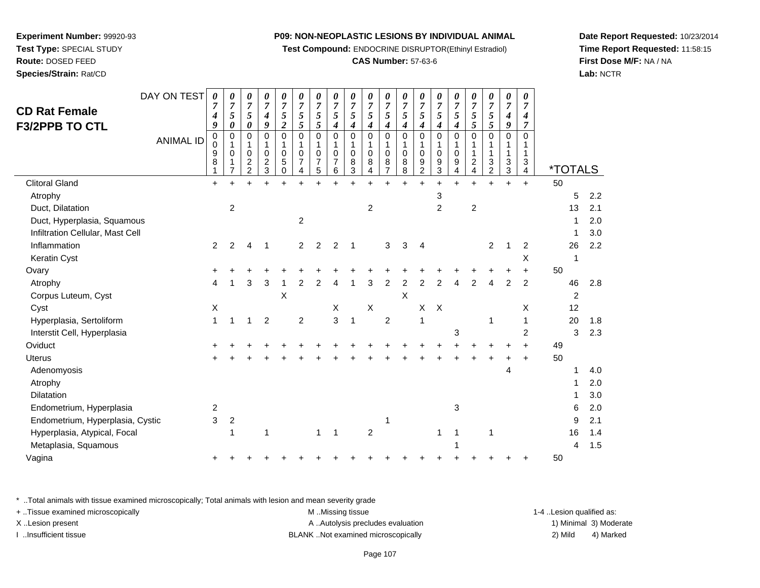**Test Compound:** ENDOCRINE DISRUPTOR(Ethinyl Estradiol)

#### **CAS Number:** 57-63-6

**Date Report Requested:** 10/23/2014**Time Report Requested:** 11:58:15**First Dose M/F:** NA / NA**Lab:** NCTR

| <b>CD Rat Female</b><br><b>F3/2PPB TO CTL</b> | DAY ON TEST<br><b>ANIMAL ID</b> | 0<br>4<br>9<br>0<br>0<br>9<br>8 | 0<br>5<br>0<br>0<br>1<br>$\Omega$ | 0<br>$\overline{7}$<br>$\sqrt{5}$<br>$\boldsymbol{\theta}$<br>0<br>1<br>$\mathbf 0$<br>$\overline{\mathbf{c}}$<br>$\overline{2}$ | 0<br>7<br>4<br>9<br>0<br>1<br>$\Omega$<br>2<br>3 | 0<br>$\overline{7}$<br>5<br>$\overline{c}$<br>$\mathbf 0$<br>1<br>$\mathbf 0$<br>5<br>$\Omega$ | 0<br>$\overline{7}$<br>5<br>5<br>$\Omega$<br>1<br>$\Omega$<br>$\overline{7}$<br>4 | 0<br>$\overline{7}$<br>5<br>5<br>$\mathbf 0$<br>0<br>$\overline{7}$<br>5 | 0<br>$\boldsymbol{7}$<br>5<br>4<br>0<br>1<br>0<br>7<br>6 | 0<br>$\boldsymbol{7}$<br>5<br>4<br>0<br>1<br>$\mathbf 0$<br>8<br>3 | 0<br>$\overline{7}$<br>5<br>$\boldsymbol{4}$<br>$\mathbf 0$<br>$\mathbf{1}$<br>$\pmb{0}$<br>8<br>4 | 0<br>$\overline{7}$<br>5<br>$\boldsymbol{4}$<br>0<br>1<br>$\mathbf 0$<br>8 | 0<br>$\overline{7}$<br>$\sqrt{5}$<br>$\boldsymbol{4}$<br>$\mathbf 0$<br>-1<br>0<br>8<br>8 | 0<br>$\overline{7}$<br>5<br>4<br>0<br>1<br>$\pmb{0}$<br>9<br>$\overline{2}$ | 0<br>$\overline{7}$<br>5<br>4<br>0<br>1<br>0<br>9<br>3 | 0<br>$\boldsymbol{7}$<br>5<br>$\boldsymbol{4}$<br>$\mathbf 0$<br>1<br>$\mathbf 0$<br>9<br>4 | 0<br>$\overline{7}$<br>$\mathfrak{s}$<br>5<br>$\mathbf 0$<br>1<br>1<br>$\overline{2}$<br>4 | 0<br>$\overline{7}$<br>$\sqrt{5}$<br>5<br>$\Omega$<br>1<br>3<br>2 | 0<br>$\overline{7}$<br>4<br>9<br>0<br>1<br>$\mathbf{1}$<br>3<br>3 | 0<br>$\overline{7}$<br>4<br>$\overline{7}$<br>$\Omega$<br>1<br>3<br>4 | <i><b>*TOTALS</b></i> |                |     |
|-----------------------------------------------|---------------------------------|---------------------------------|-----------------------------------|----------------------------------------------------------------------------------------------------------------------------------|--------------------------------------------------|------------------------------------------------------------------------------------------------|-----------------------------------------------------------------------------------|--------------------------------------------------------------------------|----------------------------------------------------------|--------------------------------------------------------------------|----------------------------------------------------------------------------------------------------|----------------------------------------------------------------------------|-------------------------------------------------------------------------------------------|-----------------------------------------------------------------------------|--------------------------------------------------------|---------------------------------------------------------------------------------------------|--------------------------------------------------------------------------------------------|-------------------------------------------------------------------|-------------------------------------------------------------------|-----------------------------------------------------------------------|-----------------------|----------------|-----|
| <b>Clitoral Gland</b>                         |                                 | $+$                             |                                   |                                                                                                                                  |                                                  | $\ddot{}$                                                                                      |                                                                                   |                                                                          | $\ddot{}$                                                | $\ddot{}$                                                          | $\ddot{}$                                                                                          |                                                                            |                                                                                           | $\ddot{}$                                                                   |                                                        | ÷                                                                                           |                                                                                            | ÷                                                                 | $\ddot{}$                                                         | $+$                                                                   | 50                    |                |     |
| Atrophy                                       |                                 |                                 |                                   |                                                                                                                                  |                                                  |                                                                                                |                                                                                   |                                                                          |                                                          |                                                                    |                                                                                                    |                                                                            |                                                                                           |                                                                             | 3                                                      |                                                                                             |                                                                                            |                                                                   |                                                                   |                                                                       |                       | 5              | 2.2 |
| Duct, Dilatation                              |                                 |                                 | $\overline{c}$                    |                                                                                                                                  |                                                  |                                                                                                |                                                                                   |                                                                          |                                                          |                                                                    | $\overline{c}$                                                                                     |                                                                            |                                                                                           |                                                                             | 2                                                      |                                                                                             | $\overline{c}$                                                                             |                                                                   |                                                                   |                                                                       |                       | 13             | 2.1 |
| Duct, Hyperplasia, Squamous                   |                                 |                                 |                                   |                                                                                                                                  |                                                  |                                                                                                | $\overline{c}$                                                                    |                                                                          |                                                          |                                                                    |                                                                                                    |                                                                            |                                                                                           |                                                                             |                                                        |                                                                                             |                                                                                            |                                                                   |                                                                   |                                                                       |                       | 1              | 2.0 |
| Infiltration Cellular, Mast Cell              |                                 |                                 |                                   |                                                                                                                                  |                                                  |                                                                                                |                                                                                   |                                                                          |                                                          |                                                                    |                                                                                                    |                                                                            |                                                                                           |                                                                             |                                                        |                                                                                             |                                                                                            |                                                                   |                                                                   |                                                                       |                       |                | 3.0 |
| Inflammation                                  |                                 | $\overline{2}$                  | 2                                 | 4                                                                                                                                | 1                                                |                                                                                                | $\overline{2}$                                                                    | 2                                                                        | 2                                                        |                                                                    |                                                                                                    | 3                                                                          | 3                                                                                         | 4                                                                           |                                                        |                                                                                             |                                                                                            | $\overline{2}$                                                    |                                                                   | 2                                                                     |                       | 26             | 2.2 |
| Keratin Cyst                                  |                                 |                                 |                                   |                                                                                                                                  |                                                  |                                                                                                |                                                                                   |                                                                          |                                                          |                                                                    |                                                                                                    |                                                                            |                                                                                           |                                                                             |                                                        |                                                                                             |                                                                                            |                                                                   |                                                                   | X                                                                     |                       | 1              |     |
| Ovary                                         |                                 |                                 |                                   |                                                                                                                                  |                                                  |                                                                                                |                                                                                   |                                                                          |                                                          |                                                                    |                                                                                                    |                                                                            |                                                                                           |                                                                             |                                                        |                                                                                             |                                                                                            |                                                                   |                                                                   | +                                                                     | 50                    |                |     |
| Atrophy                                       |                                 | 4                               |                                   | 3                                                                                                                                | 3                                                | 1                                                                                              | 2                                                                                 | $\overline{2}$                                                           | 4                                                        |                                                                    | 3                                                                                                  | $\overline{2}$                                                             | $\overline{c}$                                                                            | $\overline{2}$                                                              | $\overline{2}$                                         | 4                                                                                           | $\overline{2}$                                                                             | 4                                                                 | 2                                                                 | $\overline{2}$                                                        |                       | 46             | 2.8 |
| Corpus Luteum, Cyst                           |                                 |                                 |                                   |                                                                                                                                  |                                                  | Χ                                                                                              |                                                                                   |                                                                          |                                                          |                                                                    |                                                                                                    |                                                                            | X                                                                                         |                                                                             |                                                        |                                                                                             |                                                                                            |                                                                   |                                                                   |                                                                       |                       | $\overline{c}$ |     |
| Cyst                                          |                                 | х                               |                                   |                                                                                                                                  |                                                  |                                                                                                |                                                                                   |                                                                          | х                                                        |                                                                    | $\boldsymbol{\mathsf{X}}$                                                                          |                                                                            |                                                                                           | X                                                                           | $\boldsymbol{\mathsf{X}}$                              |                                                                                             |                                                                                            |                                                                   |                                                                   | X                                                                     |                       | 12             |     |
| Hyperplasia, Sertoliform                      |                                 | 1                               | 1                                 | 1                                                                                                                                | $\overline{c}$                                   |                                                                                                | $\overline{c}$                                                                    |                                                                          | 3                                                        | 1                                                                  |                                                                                                    | $\overline{c}$                                                             |                                                                                           | $\mathbf{1}$                                                                |                                                        |                                                                                             |                                                                                            | 1                                                                 |                                                                   | 1                                                                     |                       | 20             | 1.8 |
| Interstit Cell, Hyperplasia                   |                                 |                                 |                                   |                                                                                                                                  |                                                  |                                                                                                |                                                                                   |                                                                          |                                                          |                                                                    |                                                                                                    |                                                                            |                                                                                           |                                                                             |                                                        | 3                                                                                           |                                                                                            |                                                                   |                                                                   | 2                                                                     |                       | 3              | 2.3 |
| Oviduct                                       |                                 |                                 |                                   |                                                                                                                                  |                                                  |                                                                                                |                                                                                   |                                                                          |                                                          |                                                                    |                                                                                                    |                                                                            |                                                                                           |                                                                             |                                                        |                                                                                             |                                                                                            |                                                                   |                                                                   |                                                                       | 49                    |                |     |
| <b>Uterus</b>                                 |                                 |                                 |                                   |                                                                                                                                  |                                                  |                                                                                                |                                                                                   |                                                                          |                                                          |                                                                    |                                                                                                    |                                                                            |                                                                                           |                                                                             |                                                        |                                                                                             |                                                                                            |                                                                   |                                                                   |                                                                       | 50                    |                |     |
| Adenomyosis                                   |                                 |                                 |                                   |                                                                                                                                  |                                                  |                                                                                                |                                                                                   |                                                                          |                                                          |                                                                    |                                                                                                    |                                                                            |                                                                                           |                                                                             |                                                        |                                                                                             |                                                                                            |                                                                   | 4                                                                 |                                                                       |                       |                | 4.0 |
| Atrophy                                       |                                 |                                 |                                   |                                                                                                                                  |                                                  |                                                                                                |                                                                                   |                                                                          |                                                          |                                                                    |                                                                                                    |                                                                            |                                                                                           |                                                                             |                                                        |                                                                                             |                                                                                            |                                                                   |                                                                   |                                                                       |                       |                | 2.0 |
| <b>Dilatation</b>                             |                                 |                                 |                                   |                                                                                                                                  |                                                  |                                                                                                |                                                                                   |                                                                          |                                                          |                                                                    |                                                                                                    |                                                                            |                                                                                           |                                                                             |                                                        |                                                                                             |                                                                                            |                                                                   |                                                                   |                                                                       |                       |                | 3.0 |
| Endometrium, Hyperplasia                      |                                 | 2                               |                                   |                                                                                                                                  |                                                  |                                                                                                |                                                                                   |                                                                          |                                                          |                                                                    |                                                                                                    |                                                                            |                                                                                           |                                                                             |                                                        | 3                                                                                           |                                                                                            |                                                                   |                                                                   |                                                                       |                       | 6              | 2.0 |
| Endometrium, Hyperplasia, Cystic              |                                 | 3                               | $\overline{c}$                    |                                                                                                                                  |                                                  |                                                                                                |                                                                                   |                                                                          |                                                          |                                                                    |                                                                                                    | 1                                                                          |                                                                                           |                                                                             |                                                        |                                                                                             |                                                                                            |                                                                   |                                                                   |                                                                       |                       | 9              | 2.1 |
| Hyperplasia, Atypical, Focal                  |                                 |                                 | 1                                 |                                                                                                                                  | 1                                                |                                                                                                |                                                                                   | 1                                                                        | $\mathbf{1}$                                             |                                                                    | $\overline{c}$                                                                                     |                                                                            |                                                                                           |                                                                             |                                                        | 1                                                                                           |                                                                                            | 1                                                                 |                                                                   |                                                                       |                       | 16             | 1.4 |
| Metaplasia, Squamous                          |                                 |                                 |                                   |                                                                                                                                  |                                                  |                                                                                                |                                                                                   |                                                                          |                                                          |                                                                    |                                                                                                    |                                                                            |                                                                                           |                                                                             |                                                        |                                                                                             |                                                                                            |                                                                   |                                                                   |                                                                       |                       | Δ              | 1.5 |
| Vagina                                        |                                 | +                               |                                   |                                                                                                                                  |                                                  |                                                                                                |                                                                                   |                                                                          |                                                          |                                                                    |                                                                                                    |                                                                            |                                                                                           |                                                                             |                                                        |                                                                                             |                                                                                            |                                                                   |                                                                   |                                                                       | 50                    |                |     |
|                                               |                                 |                                 |                                   |                                                                                                                                  |                                                  |                                                                                                |                                                                                   |                                                                          |                                                          |                                                                    |                                                                                                    |                                                                            |                                                                                           |                                                                             |                                                        |                                                                                             |                                                                                            |                                                                   |                                                                   |                                                                       |                       |                |     |

\* ..Total animals with tissue examined microscopically; Total animals with lesion and mean severity grade

**Experiment Number:** 99920-93**Test Type:** SPECIAL STUDY**Route:** DOSED FEED**Species/Strain:** Rat/CD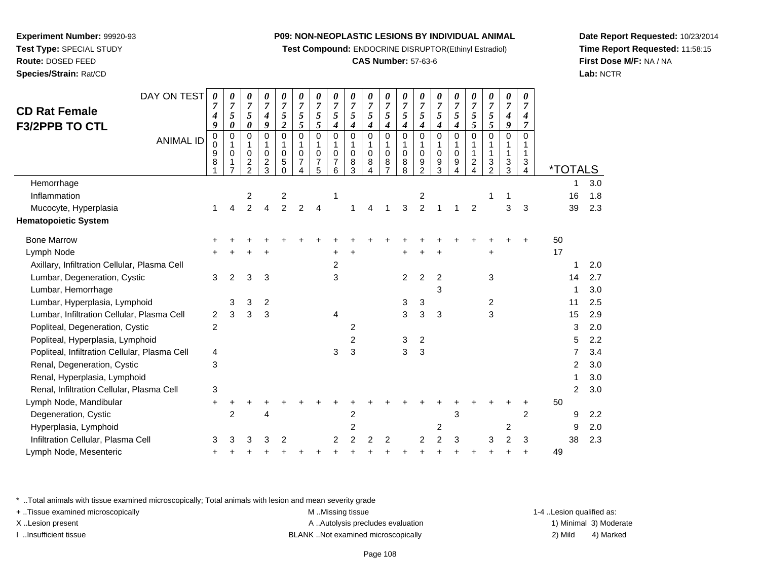**Test Compound:** ENDOCRINE DISRUPTOR(Ethinyl Estradiol)

### **CAS Number:** 57-63-6

**Date Report Requested:** 10/23/2014**Time Report Requested:** 11:58:15**First Dose M/F:** NA / NA**Lab:** NCTR

| <b>CD Rat Female</b>                          | DAY ON TEST      | $\boldsymbol{\theta}$<br>4 | 0<br>5 | 0<br>7<br>5                                     | 0<br>7<br>4             | 0<br>7<br>5                                                | 0<br>7<br>5                     | 0<br>7<br>5             | 0<br>7<br>5                     | 0<br>7<br>5                       | 0<br>$\overline{7}$<br>5 | 0<br>5         | 0<br>7<br>5                     | 0<br>7<br>5                                 | 0<br>7<br>5                       | 0<br>5                    | 0<br>7<br>5                | 0<br>7<br>5                   | 0<br>7<br>4 | 0<br>$\overline{7}$<br>4        |                       |    |     |
|-----------------------------------------------|------------------|----------------------------|--------|-------------------------------------------------|-------------------------|------------------------------------------------------------|---------------------------------|-------------------------|---------------------------------|-----------------------------------|--------------------------|----------------|---------------------------------|---------------------------------------------|-----------------------------------|---------------------------|----------------------------|-------------------------------|-------------|---------------------------------|-----------------------|----|-----|
| <b>F3/2PPB TO CTL</b>                         |                  | 9                          | 0      | 0                                               | 9                       | $\overline{\mathbf{c}}$                                    | 5                               | 5                       | 4                               | 4                                 | 4                        | 4              | 4                               | 4                                           | 4                                 | 4                         | 5                          | 5                             | 9           | $\overline{7}$                  |                       |    |     |
|                                               | <b>ANIMAL ID</b> | $\mathbf 0$<br>0<br>9<br>8 | 0<br>0 | 0<br>1<br>0<br>$\overline{c}$<br>$\overline{2}$ | $\Omega$<br>0<br>2<br>3 | $\mathbf 0$<br>1<br>$\mathbf 0$<br>$\mathbf 5$<br>$\Omega$ | $\Omega$<br>0<br>$\overline{7}$ | $\Omega$<br>0<br>7<br>5 | 0<br>1<br>$\mathbf 0$<br>7<br>6 | $\Omega$<br>$\mathbf 0$<br>8<br>3 | 0<br>1<br>0<br>8<br>4    | 0<br>0<br>8    | 0<br>1<br>$\mathbf 0$<br>8<br>8 | $\Omega$<br>$\Omega$<br>9<br>$\overline{2}$ | $\Omega$<br>$\mathbf 0$<br>9<br>3 | $\Omega$<br>$\Omega$<br>9 | $\Omega$<br>$\overline{c}$ | 0<br>1<br>3<br>$\overline{2}$ | 0<br>3<br>3 | $\mathbf 0$<br>1<br>1<br>3<br>4 | <i><b>*TOTALS</b></i> |    |     |
| Hemorrhage                                    |                  |                            |        |                                                 |                         |                                                            |                                 |                         |                                 |                                   |                          |                |                                 |                                             |                                   |                           |                            |                               |             |                                 |                       | 1  | 3.0 |
| Inflammation                                  |                  |                            |        | $\overline{c}$                                  |                         | $\overline{\mathbf{c}}$                                    |                                 |                         | 1                               |                                   |                          |                |                                 | $\overline{c}$                              |                                   |                           |                            | 1                             |             |                                 |                       | 16 | 1.8 |
| Mucocyte, Hyperplasia                         |                  |                            | 4      | $\overline{2}$                                  | 4                       | $\overline{2}$                                             | $\overline{c}$                  | 4                       |                                 |                                   | Δ                        |                | 3                               | $\overline{2}$                              | $\mathbf{1}$                      | 1                         | $\overline{c}$             |                               | 3           | 3                               |                       | 39 | 2.3 |
| <b>Hematopoietic System</b>                   |                  |                            |        |                                                 |                         |                                                            |                                 |                         |                                 |                                   |                          |                |                                 |                                             |                                   |                           |                            |                               |             |                                 |                       |    |     |
| <b>Bone Marrow</b>                            |                  |                            |        |                                                 |                         |                                                            |                                 |                         |                                 |                                   |                          |                |                                 |                                             |                                   |                           |                            |                               |             |                                 | 50                    |    |     |
| Lymph Node                                    |                  |                            |        |                                                 |                         |                                                            |                                 |                         |                                 |                                   |                          |                |                                 |                                             |                                   |                           |                            | +                             |             |                                 | 17                    |    |     |
| Axillary, Infiltration Cellular, Plasma Cell  |                  |                            |        |                                                 |                         |                                                            |                                 |                         | $\overline{c}$                  |                                   |                          |                |                                 |                                             |                                   |                           |                            |                               |             |                                 |                       | 1  | 2.0 |
| Lumbar, Degeneration, Cystic                  |                  | 3                          | 2      | 3                                               | 3                       |                                                            |                                 |                         | 3                               |                                   |                          |                | $\overline{2}$                  | 2                                           | 2                                 |                           |                            | 3                             |             |                                 |                       | 14 | 2.7 |
| Lumbar, Hemorrhage                            |                  |                            |        |                                                 |                         |                                                            |                                 |                         |                                 |                                   |                          |                |                                 |                                             | 3                                 |                           |                            |                               |             |                                 |                       |    | 3.0 |
| Lumbar, Hyperplasia, Lymphoid                 |                  |                            | 3      | 3                                               | $\overline{c}$          |                                                            |                                 |                         |                                 |                                   |                          |                | 3                               | 3                                           |                                   |                           |                            | 2                             |             |                                 |                       | 11 | 2.5 |
| Lumbar, Infiltration Cellular, Plasma Cell    |                  | $\overline{2}$             | 3      | 3                                               | 3                       |                                                            |                                 |                         | 4                               |                                   |                          |                | 3                               | 3                                           | 3                                 |                           |                            | 3                             |             |                                 |                       | 15 | 2.9 |
| Popliteal, Degeneration, Cystic               |                  | $\overline{2}$             |        |                                                 |                         |                                                            |                                 |                         |                                 | $\overline{c}$                    |                          |                |                                 |                                             |                                   |                           |                            |                               |             |                                 |                       | 3  | 2.0 |
| Popliteal, Hyperplasia, Lymphoid              |                  |                            |        |                                                 |                         |                                                            |                                 |                         |                                 | 2                                 |                          |                | 3                               | $\overline{2}$                              |                                   |                           |                            |                               |             |                                 |                       | 5  | 2.2 |
| Popliteal, Infiltration Cellular, Plasma Cell |                  | 4                          |        |                                                 |                         |                                                            |                                 |                         | 3                               | 3                                 |                          |                | 3                               | 3                                           |                                   |                           |                            |                               |             |                                 |                       |    | 3.4 |
| Renal, Degeneration, Cystic                   |                  | 3                          |        |                                                 |                         |                                                            |                                 |                         |                                 |                                   |                          |                |                                 |                                             |                                   |                           |                            |                               |             |                                 |                       | 2  | 3.0 |
| Renal, Hyperplasia, Lymphoid                  |                  |                            |        |                                                 |                         |                                                            |                                 |                         |                                 |                                   |                          |                |                                 |                                             |                                   |                           |                            |                               |             |                                 |                       |    | 3.0 |
| Renal, Infiltration Cellular, Plasma Cell     |                  | 3                          |        |                                                 |                         |                                                            |                                 |                         |                                 |                                   |                          |                |                                 |                                             |                                   |                           |                            |                               |             |                                 |                       | 2  | 3.0 |
| Lymph Node, Mandibular                        |                  | +                          |        |                                                 |                         |                                                            |                                 |                         |                                 |                                   |                          |                |                                 |                                             |                                   |                           |                            |                               |             | +                               | 50                    |    |     |
| Degeneration, Cystic                          |                  |                            | 2      |                                                 | 4                       |                                                            |                                 |                         |                                 | $\overline{c}$                    |                          |                |                                 |                                             |                                   | 3                         |                            |                               |             | $\overline{2}$                  |                       | 9  | 2.2 |
| Hyperplasia, Lymphoid                         |                  |                            |        |                                                 |                         |                                                            |                                 |                         |                                 | 2                                 |                          |                |                                 |                                             | 2                                 |                           |                            |                               | 2           |                                 |                       | 9  | 2.0 |
| Infiltration Cellular, Plasma Cell            |                  | 3                          | 3      |                                                 |                         | $\mathfrak{p}$                                             |                                 |                         | 2                               | $\overline{2}$                    | $\overline{2}$           | $\overline{2}$ |                                 | 2                                           | $\overline{2}$                    | 3                         |                            | 3                             | 2           | 3                               |                       | 38 | 2.3 |
| Lymph Node, Mesenteric                        |                  |                            |        |                                                 |                         |                                                            |                                 |                         |                                 |                                   |                          |                |                                 |                                             |                                   |                           |                            |                               |             | +                               | 49                    |    |     |
|                                               |                  |                            |        |                                                 |                         |                                                            |                                 |                         |                                 |                                   |                          |                |                                 |                                             |                                   |                           |                            |                               |             |                                 |                       |    |     |

\* ..Total animals with tissue examined microscopically; Total animals with lesion and mean severity grade

**Experiment Number:** 99920-93**Test Type:** SPECIAL STUDY**Route:** DOSED FEED**Species/Strain:** Rat/CD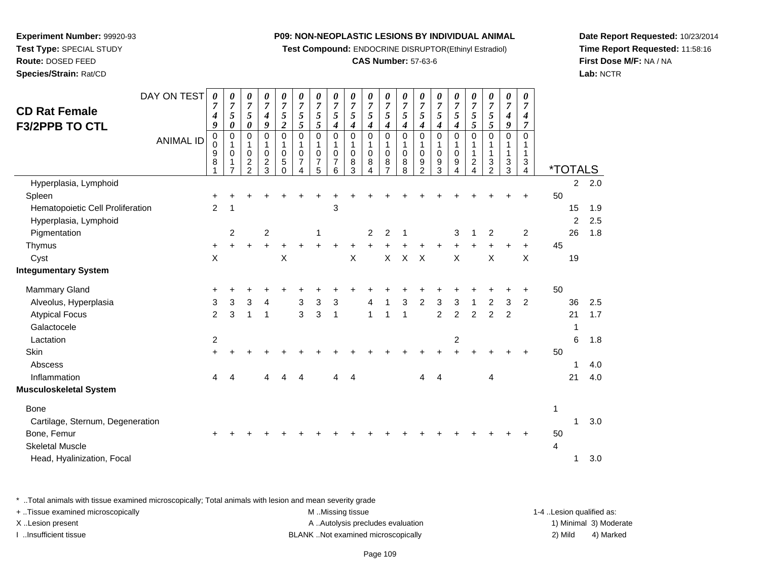**Test Compound:** ENDOCRINE DISRUPTOR(Ethinyl Estradiol)

#### **CAS Number:** 57-63-6

**Date Report Requested:** 10/23/2014**Time Report Requested:** 11:58:16**First Dose M/F:** NA / NA**Lab:** NCTR

| <b>CD Rat Female</b><br><b>F3/2PPB TO CTL</b>                                                                          | DAY ON TEST<br><b>ANIMAL ID</b> | 0<br>4<br>9<br>0<br>0<br>9<br>8 | 0<br>$\boldsymbol{7}$<br>$\mathfrak{s}$<br>0<br>$\mathbf 0$<br>1<br>$\mathbf 0$<br>1<br>$\overline{7}$ | 0<br>$\boldsymbol{7}$<br>5<br>0<br>$\Omega$<br>1<br>0<br>$\overline{c}$<br>$\mathcal{P}$ | 0<br>$\overline{7}$<br>$\boldsymbol{4}$<br>9<br>$\Omega$<br>0<br>$\overline{c}$<br>3 | 0<br>$\overline{7}$<br>5<br>$\boldsymbol{2}$<br>0<br>$\mathbf 0$<br>5<br>$\Omega$ | 0<br>$\overline{7}$<br>5<br>5<br>$\Omega$<br>0<br>$\overline{7}$ | 0<br>$\overline{7}$<br>$\sqrt{5}$<br>$\sqrt{5}$<br>$\mathbf 0$<br>$\mathbf 0$<br>$\overline{7}$<br>5 | 0<br>$\overline{7}$<br>5<br>4<br>$\mathbf 0$<br>1<br>0<br>7<br>6 | 0<br>$\boldsymbol{7}$<br>5<br>4<br>0<br>$\mathsf{O}\xspace$<br>8<br>3 | 0<br>$\overline{7}$<br>5<br>4<br>0<br>1<br>0<br>8<br>4 | 0<br>$\overline{7}$<br>$\sqrt{5}$<br>4<br>$\mathbf 0$<br>1<br>$\pmb{0}$<br>8 | 0<br>$\overline{7}$<br>5<br>4<br>$\Omega$<br>$\mathbf{1}$<br>$\mathbf 0$<br>8<br>8 | 0<br>$\overline{7}$<br>5<br>4<br>$\Omega$<br>0<br>9<br>2 | 0<br>$\overline{7}$<br>5<br>4<br>$\mathbf 0$<br>0<br>9<br>3 | 0<br>$\overline{7}$<br>5<br>4<br>0<br>1<br>$\mathbf 0$<br>$\boldsymbol{9}$<br>4 | 0<br>$\overline{7}$<br>5<br>5<br>$\mathbf 0$<br>$\mathbf{1}$<br>$\boldsymbol{2}$<br>$\boldsymbol{\Lambda}$ | 0<br>$\overline{7}$<br>5<br>5<br>$\Omega$<br>1<br>3<br>2 | 0<br>$\overline{7}$<br>4<br>9<br>$\mathbf 0$<br>1<br>$\mathbf{1}$<br>3<br>3 | 0<br>7<br>4<br>7<br>$\Omega$<br>$\mathbf{1}$<br>3<br>4 |              | <i><b>*TOTALS</b></i>     |                   |
|------------------------------------------------------------------------------------------------------------------------|---------------------------------|---------------------------------|--------------------------------------------------------------------------------------------------------|------------------------------------------------------------------------------------------|--------------------------------------------------------------------------------------|-----------------------------------------------------------------------------------|------------------------------------------------------------------|------------------------------------------------------------------------------------------------------|------------------------------------------------------------------|-----------------------------------------------------------------------|--------------------------------------------------------|------------------------------------------------------------------------------|------------------------------------------------------------------------------------|----------------------------------------------------------|-------------------------------------------------------------|---------------------------------------------------------------------------------|------------------------------------------------------------------------------------------------------------|----------------------------------------------------------|-----------------------------------------------------------------------------|--------------------------------------------------------|--------------|---------------------------|-------------------|
| Hyperplasia, Lymphoid<br>Spleen<br>Hematopoietic Cell Proliferation<br>Hyperplasia, Lymphoid                           |                                 | +<br>$\overline{2}$             | 1                                                                                                      |                                                                                          |                                                                                      |                                                                                   |                                                                  |                                                                                                      | 3                                                                |                                                                       |                                                        |                                                                              |                                                                                    |                                                          |                                                             |                                                                                 |                                                                                                            |                                                          |                                                                             |                                                        | 50           | $\overline{2}$<br>15<br>2 | 2.0<br>1.9<br>2.5 |
| Pigmentation<br>Thymus<br>Cyst                                                                                         |                                 | +<br>$\boldsymbol{\mathsf{X}}$  | $\overline{2}$                                                                                         |                                                                                          | 2<br>$\ddot{}$                                                                       | +<br>X                                                                            |                                                                  | 1                                                                                                    | $\ddot{}$                                                        | $\ddot{}$<br>$\mathsf{X}$                                             | $\overline{2}$<br>$\ddot{}$                            | 2<br>$\mathsf{X}$                                                            | $\mathbf{1}$<br>$\mathsf{X}$                                                       | $\sf X$                                                  | $\pm$                                                       | 3<br>+<br>$\times$                                                              | 1                                                                                                          | 2<br>$\pmb{\times}$                                      | $\ddot{}$                                                                   | $\overline{2}$<br>$\ddot{}$<br>X                       | 45           | 26<br>19                  | 1.8               |
| <b>Integumentary System</b><br>Mammary Gland<br>Alveolus, Hyperplasia<br><b>Atypical Focus</b><br>Galactocele          |                                 | +<br>3<br>$\overline{2}$        | ٠<br>3<br>3                                                                                            | 3<br>$\mathbf{1}$                                                                        | 4<br>$\mathbf{1}$                                                                    |                                                                                   | 3<br>3                                                           | $\ensuremath{\mathsf{3}}$<br>3                                                                       | 3<br>$\mathbf{1}$                                                |                                                                       | +<br>4<br>1                                            | 1<br>1                                                                       | 3<br>$\mathbf{1}$                                                                  | $\overline{2}$                                           | 3<br>$\overline{c}$                                         | 3<br>$\overline{2}$                                                             | $\overline{2}$                                                                                             | $\overline{c}$<br>$\overline{2}$                         | 3<br>$\overline{2}$                                                         | $\ddot{}$<br>$\overline{2}$                            | 50           | 36<br>21<br>1             | 2.5<br>1.7        |
| Lactation<br>Skin<br>Abscess<br>Inflammation<br><b>Musculoskeletal System</b>                                          |                                 | $\overline{c}$<br>$+$<br>4      | 4                                                                                                      |                                                                                          |                                                                                      |                                                                                   |                                                                  |                                                                                                      | 4                                                                | 4                                                                     |                                                        |                                                                              |                                                                                    | Δ                                                        | 4                                                           | $\overline{c}$                                                                  |                                                                                                            | 4                                                        |                                                                             |                                                        | 50           | 6<br>1<br>21              | 1.8<br>4.0<br>4.0 |
| <b>Bone</b><br>Cartilage, Sternum, Degeneration<br>Bone, Femur<br><b>Skeletal Muscle</b><br>Head, Hyalinization, Focal |                                 |                                 |                                                                                                        |                                                                                          |                                                                                      |                                                                                   |                                                                  |                                                                                                      |                                                                  |                                                                       |                                                        |                                                                              |                                                                                    |                                                          |                                                             |                                                                                 |                                                                                                            |                                                          |                                                                             |                                                        | 1<br>50<br>4 | 1<br>1                    | 3.0<br>3.0        |

\* ..Total animals with tissue examined microscopically; Total animals with lesion and mean severity grade

**Experiment Number:** 99920-93**Test Type:** SPECIAL STUDY**Route:** DOSED FEED**Species/Strain:** Rat/CD

| + Tissue examined microscopically | M Missing tissue                   | 1-4 Lesion qualified as: |                        |
|-----------------------------------|------------------------------------|--------------------------|------------------------|
| X Lesion present                  | A Autolysis precludes evaluation   |                          | 1) Minimal 3) Moderate |
| lnsufficient tissue               | BLANK Not examined microscopically | 2) Mild                  | 4) Marked              |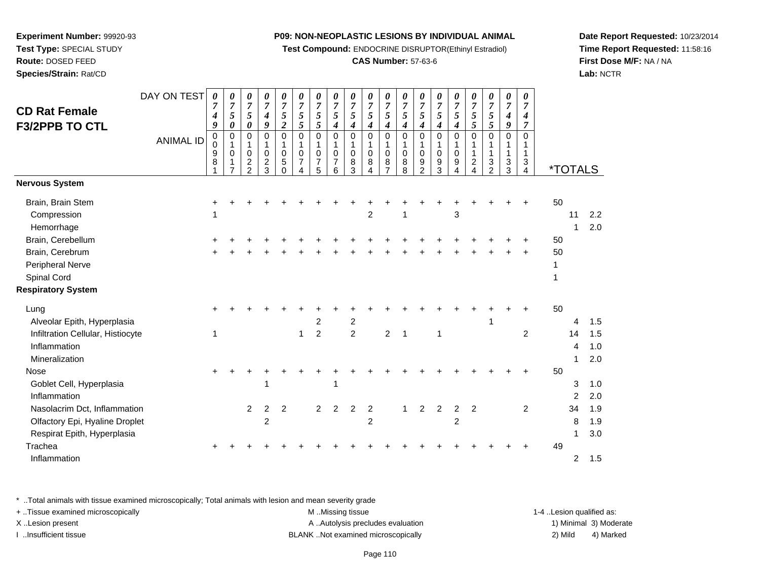**Test Compound:** ENDOCRINE DISRUPTOR(Ethinyl Estradiol)

#### **CAS Number:** 57-63-6

**Date Report Requested:** 10/23/2014**Time Report Requested:** 11:58:16**First Dose M/F:** NA / NA**Lab:** NCTR

| <b>CD Rat Female</b><br><b>F3/2PPB TO CTL</b>                                                                                                                        | DAY ON TEST<br><b>ANIMAL ID</b> | 0<br>$\overline{7}$<br>4<br>9<br>0<br>$\mathbf 0$<br>9<br>8 | 0<br>$\overline{7}$<br>$\sqrt{5}$<br>0<br>$\mathbf 0$<br>$\mathbf{1}$<br>$\Omega$<br>1 | 0<br>$\overline{7}$<br>5<br>0<br>$\mathbf 0$<br>$\mathbf{1}$<br>0<br>$\overline{c}$ | 0<br>$\overline{7}$<br>4<br>9<br>$\mathbf 0$<br>1<br>$\pmb{0}$<br>$\overline{c}$ | 0<br>$\overline{7}$<br>5<br>$\overline{2}$<br>0<br>1<br>0<br>5 | 0<br>$\overline{7}$<br>5<br>5<br>0<br>1<br>$\mathbf 0$<br>$\overline{7}$ | 0<br>$\boldsymbol{7}$<br>$\mathfrak{s}$<br>5<br>$\mathbf 0$<br>1<br>0<br>$\overline{7}$ | 0<br>$\overline{7}$<br>5<br>$\boldsymbol{4}$<br>$\mathbf 0$<br>1<br>0<br>$\overline{7}$ | 0<br>$\overline{7}$<br>5<br>$\boldsymbol{4}$<br>$\mathbf 0$<br>1<br>$\mathbf 0$<br>8 | 0<br>$\overline{7}$<br>5 <sup>5</sup><br>$\boldsymbol{4}$<br>$\overline{0}$<br>$\mathbf 0$<br>8 | 0<br>$\overline{7}$<br>5<br>$\boldsymbol{4}$<br>$\mathbf 0$<br>1<br>0<br>8 | 0<br>$\overline{7}$<br>$\overline{5}$<br>$\boldsymbol{4}$<br>$\mathbf 0$<br>1<br>$\mathbf 0$<br>8 | 0<br>$\overline{7}$<br>$\sqrt{5}$<br>$\boldsymbol{4}$<br>$\Omega$<br>$\Omega$<br>9 | 0<br>$\overline{7}$<br>5<br>$\boldsymbol{4}$<br>0<br>1<br>0<br>9 | 0<br>$\overline{7}$<br>5<br>$\boldsymbol{4}$<br>$\mathbf 0$<br>1<br>0<br>9 | 0<br>$\overline{7}$<br>5<br>5<br>0<br>1<br>$\overline{c}$ | 0<br>$\overline{7}$<br>5<br>5<br>0<br>1<br>3 | 0<br>$\overline{7}$<br>$\boldsymbol{4}$<br>9<br>0<br>1<br>1<br>3 | 0<br>$\overline{7}$<br>$\boldsymbol{4}$<br>$\overline{7}$<br>$\Omega$<br>1<br>1<br>3 | <i><b>*TOTALS</b></i>    |                        |                                        |
|----------------------------------------------------------------------------------------------------------------------------------------------------------------------|---------------------------------|-------------------------------------------------------------|----------------------------------------------------------------------------------------|-------------------------------------------------------------------------------------|----------------------------------------------------------------------------------|----------------------------------------------------------------|--------------------------------------------------------------------------|-----------------------------------------------------------------------------------------|-----------------------------------------------------------------------------------------|--------------------------------------------------------------------------------------|-------------------------------------------------------------------------------------------------|----------------------------------------------------------------------------|---------------------------------------------------------------------------------------------------|------------------------------------------------------------------------------------|------------------------------------------------------------------|----------------------------------------------------------------------------|-----------------------------------------------------------|----------------------------------------------|------------------------------------------------------------------|--------------------------------------------------------------------------------------|--------------------------|------------------------|----------------------------------------|
| Nervous System                                                                                                                                                       |                                 |                                                             |                                                                                        | $\overline{2}$                                                                      | 3                                                                                | $\Omega$                                                       |                                                                          | 5                                                                                       | 6                                                                                       | 3                                                                                    | 4                                                                                               |                                                                            | 8                                                                                                 | 2                                                                                  | 3                                                                | 4                                                                          | 4                                                         | $\overline{2}$                               | 3                                                                | 4                                                                                    |                          |                        |                                        |
| Brain, Brain Stem<br>Compression<br>Hemorrhage<br>Brain, Cerebellum<br>Brain, Cerebrum<br>Peripheral Nerve<br>Spinal Cord<br><b>Respiratory System</b>               |                                 |                                                             |                                                                                        |                                                                                     |                                                                                  |                                                                |                                                                          |                                                                                         |                                                                                         |                                                                                      | 2                                                                                               |                                                                            |                                                                                                   |                                                                                    |                                                                  | 3                                                                          |                                                           |                                              |                                                                  |                                                                                      | 50<br>50<br>50<br>1<br>1 | 11<br>$\mathbf{1}$     | 2.2<br>2.0                             |
| Lung<br>Alveolar Epith, Hyperplasia<br>Infiltration Cellular, Histiocyte<br>Inflammation<br>Mineralization<br>Nose                                                   |                                 | 1<br>÷                                                      |                                                                                        |                                                                                     |                                                                                  |                                                                | 1                                                                        | $\overline{2}$<br>$\overline{2}$                                                        |                                                                                         | $\overline{a}$<br>$\overline{2}$                                                     |                                                                                                 | $\overline{a}$                                                             | $\overline{1}$                                                                                    |                                                                                    | $\overline{1}$                                                   |                                                                            |                                                           | 1                                            |                                                                  | $\overline{2}$                                                                       | 50<br>50                 | 4<br>14<br>4<br>1      | 1.5<br>1.5<br>1.0<br>2.0               |
| Goblet Cell, Hyperplasia<br>Inflammation<br>Nasolacrim Dct, Inflammation<br>Olfactory Epi, Hyaline Droplet<br>Respirat Epith, Hyperplasia<br>Trachea<br>Inflammation |                                 |                                                             |                                                                                        | 2                                                                                   | 2<br>$\overline{c}$                                                              | $\overline{2}$                                                 |                                                                          | $\overline{2}$                                                                          | 1<br>$\overline{2}$                                                                     | 2                                                                                    | 2<br>$\overline{2}$                                                                             |                                                                            | 1                                                                                                 | $\overline{a}$                                                                     | $\overline{2}$                                                   | $\overline{2}$<br>$\overline{c}$                                           | 2                                                         |                                              |                                                                  | 2                                                                                    | 49                       | 3<br>2<br>34<br>8<br>1 | 1.0<br>2.0<br>1.9<br>1.9<br>3.0<br>1.5 |
|                                                                                                                                                                      |                                 |                                                             |                                                                                        |                                                                                     |                                                                                  |                                                                |                                                                          |                                                                                         |                                                                                         |                                                                                      |                                                                                                 |                                                                            |                                                                                                   |                                                                                    |                                                                  |                                                                            |                                                           |                                              |                                                                  |                                                                                      |                          | $\overline{c}$         |                                        |

\* ..Total animals with tissue examined microscopically; Total animals with lesion and mean severity grade

**Experiment Number:** 99920-93**Test Type:** SPECIAL STUDY**Route:** DOSED FEED**Species/Strain:** Rat/CD

| + Tissue examined microscopically | M Missing tissue                   | 1-4 Lesion qualified as: |                        |
|-----------------------------------|------------------------------------|--------------------------|------------------------|
| X Lesion present                  | A Autolysis precludes evaluation   |                          | 1) Minimal 3) Moderate |
| Insufficient tissue               | BLANK Not examined microscopically | 2) Mild                  | 4) Marked              |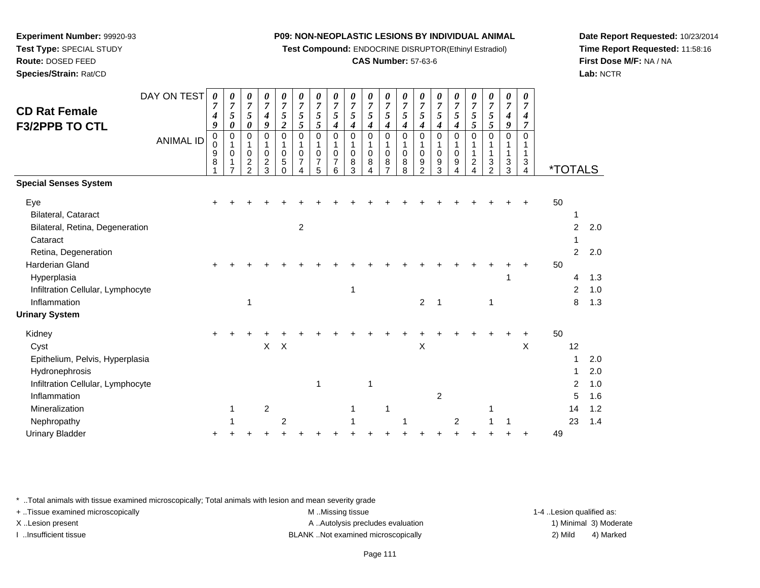**Test Compound:** ENDOCRINE DISRUPTOR(Ethinyl Estradiol)

#### **CAS Number:** 57-63-6

<sup>+</sup> <sup>+</sup> <sup>+</sup> <sup>+</sup> <sup>+</sup> <sup>+</sup> <sup>+</sup> <sup>+</sup> <sup>+</sup> <sup>+</sup> <sup>+</sup> <sup>+</sup> <sup>+</sup> <sup>+</sup> <sup>+</sup> <sup>+</sup> <sup>+</sup> + 50

<sup>+</sup> <sup>+</sup> <sup>+</sup> <sup>+</sup> <sup>+</sup> <sup>+</sup> <sup>+</sup> <sup>+</sup> <sup>+</sup> <sup>+</sup> <sup>+</sup> <sup>+</sup> <sup>+</sup> <sup>+</sup> <sup>+</sup> <sup>+</sup> <sup>+</sup> + 50

n 2 2 2.0

e 2 1.0

<sup>4</sup> \*TOTALS

 $\mathcal{P}$ 

 $2^{\circ}$ 

**Date Report Requested:** 10/23/2014**Time Report Requested:** 11:58:16**First Dose M/F:** NA / NA**Lab:** NCTR

| Urinary System                                                                                                   |       |  |                |                           |                  |  |                                   |  |   |   |                |  |   |                |                          |
|------------------------------------------------------------------------------------------------------------------|-------|--|----------------|---------------------------|------------------|--|-----------------------------------|--|---|---|----------------|--|---|----------------|--------------------------|
| Kidney                                                                                                           |       |  |                |                           |                  |  |                                   |  |   |   |                |  |   | 50             |                          |
| Cyst                                                                                                             |       |  | $\times$       | $\boldsymbol{\mathsf{X}}$ |                  |  |                                   |  | X |   |                |  | X | 12             |                          |
| Epithelium, Pelvis, Hyperplasia                                                                                  |       |  |                |                           |                  |  |                                   |  |   |   |                |  |   |                | 2.0                      |
| Hydronephrosis                                                                                                   |       |  |                |                           |                  |  |                                   |  |   |   |                |  |   |                | 2.0                      |
| Infiltration Cellular, Lymphocyte                                                                                |       |  |                |                           |                  |  |                                   |  |   |   |                |  |   | $\overline{2}$ | 1.0                      |
| Inflammation                                                                                                     |       |  |                |                           |                  |  |                                   |  |   | 2 |                |  |   | 5              | 1.6                      |
| Mineralization                                                                                                   |       |  | $\overline{2}$ |                           |                  |  |                                   |  |   |   |                |  |   | 14             | 1.2                      |
| Nephropathy                                                                                                      |       |  |                | 2                         |                  |  |                                   |  |   |   | $\overline{2}$ |  |   | 23             | 1.4                      |
| <b>Urinary Bladder</b>                                                                                           | $\pm$ |  |                |                           |                  |  |                                   |  |   |   |                |  |   | 49             |                          |
|                                                                                                                  |       |  |                |                           |                  |  |                                   |  |   |   |                |  |   |                |                          |
| Displement Sotal animals with tissue examined microscopically; Total animals with lesion and mean severity grade |       |  |                |                           |                  |  |                                   |  |   |   |                |  |   |                |                          |
| + Tissue examined microscopically                                                                                |       |  |                |                           | M Missing tissue |  |                                   |  |   |   |                |  |   |                | 1-4 Lesion qualified as: |
| X Lesion present                                                                                                 |       |  |                |                           |                  |  | A  Autolysis precludes evaluation |  |   |   |                |  |   |                | 1) Minimal 3) Moderate   |

I ..Insufficient tissue BLANK ..Not examined microscopically 2) Mild 4) Marked

# **Experiment Number:** 99920-93**Test Type:** SPECIAL STUDY

DAY ON TEST

*0 7 5*

*0 7 5*

*0*

*7 5 5*

t de la construction de la construction de la construction de la construction de la construction de la construction<br>La construction de la construction de la construction de la construction de la construction de la construc

a and the contract of  $1$  and  $4$  1.3

n 2 1 2 1 2 1 8 1.3

0 8 3

n 2 2 2.0

t de la construction de la construction de la construction de la construction de la construction de la construction<br>La construction de la construction de la construction de la construction de la construction de la construc

0 1

0 5 0

 *0*0 1

0 1 7

9 8 1

ANIMAL ID

 $e$  +

 $\alpha$  +

**Route:** DOSED FEED**Species/Strain:** Rat/CD

**CD Rat FemaleF3/2PPB TO CTL**

**Special Senses System**

Bilateral, Cataract

Retina, Degeneration

Bilateral, Retina, Degeneration

Infiltration Cellular, Lymphocyte

Eye

**Cataract** 

Harderian Gland

Hyperplasia

Inflammation

**Urinary System**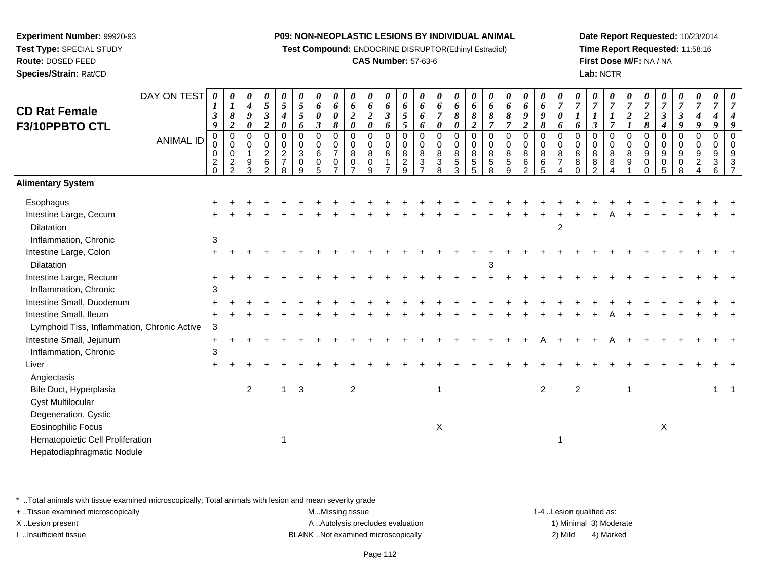**Test Compound:** ENDOCRINE DISRUPTOR(Ethinyl Estradiol)

#### **CAS Number:** 57-63-6

**Date Report Requested:** 10/23/2014**Time Report Requested:** 11:58:16**First Dose M/F:** NA / NA**Lab:** NCTR

|                                             | DAY ON TEST      |                                        | 0                                                                           | 0                                                      | 0                                                                      | 0                                                                 | 0                                                                         | 0                                | 0                                                 | $\boldsymbol{\theta}$                                                | 0                                                   | 0                                                                | 0                                            | 0                                        | 0                                                                 | 0                                        | $\boldsymbol{\theta}$                               | 0                                                  | 0                                       | 0                                            | 0                                                                 | 0                                              | $\boldsymbol{\theta}$                       | 0                                                     | 0                                      | 0                                 | 0                                                   | 0                                        | $\boldsymbol{\theta}$                                                   | 0                                                      | 0                                      | $\boldsymbol{\theta}$                                  |
|---------------------------------------------|------------------|----------------------------------------|-----------------------------------------------------------------------------|--------------------------------------------------------|------------------------------------------------------------------------|-------------------------------------------------------------------|---------------------------------------------------------------------------|----------------------------------|---------------------------------------------------|----------------------------------------------------------------------|-----------------------------------------------------|------------------------------------------------------------------|----------------------------------------------|------------------------------------------|-------------------------------------------------------------------|------------------------------------------|-----------------------------------------------------|----------------------------------------------------|-----------------------------------------|----------------------------------------------|-------------------------------------------------------------------|------------------------------------------------|---------------------------------------------|-------------------------------------------------------|----------------------------------------|-----------------------------------|-----------------------------------------------------|------------------------------------------|-------------------------------------------------------------------------|--------------------------------------------------------|----------------------------------------|--------------------------------------------------------|
| <b>CD Rat Female</b>                        |                  | 1                                      | $\boldsymbol{I}$                                                            | $\boldsymbol{4}$                                       | $\overline{\mathbf{5}}$                                                | $\overline{5}$                                                    | 5                                                                         | 6                                | 6                                                 | $\pmb{6}$                                                            | 6                                                   | 6                                                                | 6                                            | 6                                        | 6                                                                 | 6                                        | 6                                                   | $\pmb{6}$                                          | 6                                       | $\boldsymbol{6}$                             | 6                                                                 | $\overline{7}$                                 | $\overline{7}$                              | $\overline{7}$                                        | $\overline{7}$                         | $\overline{7}$                    | $\overline{7}$                                      | $\overline{7}$                           | $\overline{7}$                                                          | $\overline{7}$                                         | $\overline{7}$                         | $\overline{7}$                                         |
| F3/10PPBTO CTL                              |                  | $\boldsymbol{\beta}$<br>9              | $\pmb{8}$<br>$\overline{2}$                                                 | $\boldsymbol{g}$<br>0                                  | $\boldsymbol{\beta}$<br>$\boldsymbol{2}$                               | $\boldsymbol{4}$<br>$\boldsymbol{\theta}$                         | 5<br>6                                                                    | $\pmb{\theta}$<br>$\mathfrak{z}$ | $\pmb{\theta}$<br>8                               | $\boldsymbol{2}$<br>$\pmb{\theta}$                                   | $\boldsymbol{2}$<br>$\boldsymbol{\theta}$           | $\mathfrak{z}$<br>6                                              | 5<br>5                                       | 6<br>6                                   | $\overline{7}$<br>$\pmb{\theta}$                                  | $\pmb{8}$<br>$\boldsymbol{\theta}$       | $\pmb{8}$<br>$\overline{2}$                         | $\pmb{8}$<br>$\overline{7}$                        | $\pmb{8}$<br>$\overline{7}$             | $\boldsymbol{g}$<br>$\boldsymbol{2}$         | $\boldsymbol{g}$<br>8                                             | $\boldsymbol{\theta}$<br>6                     | $\boldsymbol{l}$<br>6                       | $\boldsymbol{l}$<br>$\mathbf{3}$                      | $\overline{7}$                         | $\frac{2}{1}$                     | $\boldsymbol{2}$<br>8                               | $\boldsymbol{\beta}$<br>$\boldsymbol{4}$ | $\boldsymbol{\beta}$<br>9                                               | $\boldsymbol{4}$<br>9                                  | 4<br>9                                 | $\boldsymbol{4}$<br>9                                  |
|                                             | <b>ANIMAL ID</b> | $\mathbf 0$<br>0<br>0<br>$\frac{2}{0}$ | $\pmb{0}$<br>$\mathbf 0$<br>$\pmb{0}$<br>$\boldsymbol{2}$<br>$\overline{2}$ | $\mathbf 0$<br>$\mathbf 0$<br>$\overline{1}$<br>9<br>3 | $\pmb{0}$<br>$\mathsf 0$<br>$\overline{c}$<br>$\,6\,$<br>$\mathcal{P}$ | $\pmb{0}$<br>$\mathbf 0$<br>$\overline{2}$<br>$\overline{7}$<br>8 | $\mathbf 0$<br>$\mathbf 0$<br>$\mathbf{3}$<br>$\mathbf 0$<br>$\mathbf{Q}$ | 0<br>0<br>6<br>0<br>5            | 0<br>$\frac{0}{7}$<br>$\pmb{0}$<br>$\overline{7}$ | $\pmb{0}$<br>$\mathbf 0$<br>$\bf 8$<br>$\mathbf 0$<br>$\overline{7}$ | $\mathbf 0$<br>$\mathbf 0$<br>8<br>$\mathbf 0$<br>9 | $\mathbf 0$<br>$\Omega$<br>8<br>$\overline{1}$<br>$\overline{ }$ | 0<br>$\mathbf 0$<br>8<br>$\overline{2}$<br>9 | 0<br>0<br>$\bf 8$<br>3<br>$\overline{7}$ | $\pmb{0}$<br>$_{\rm 8}^{\rm 0}$<br>$\ensuremath{\mathsf{3}}$<br>8 | $\mathbf 0$<br>0<br>8<br>$\sqrt{5}$<br>3 | $\mathbf 0$<br>$\mathbf 0$<br>8<br>$\,$ 5 $\,$<br>5 | 0<br>$\mathbf 0$<br>$\bf 8$<br>$\overline{5}$<br>8 | $\mathbf 0$<br>$\pmb{0}$<br>8<br>5<br>9 | 0<br>$\mathbf 0$<br>8<br>6<br>$\overline{2}$ | $\mathbf 0$<br>$\mathbf 0$<br>$\bf8$<br>$\,6\,$<br>$\overline{5}$ | $\mathsf 0$<br>$\Omega$<br>8<br>$\overline{7}$ | 0<br>$\mathbf 0$<br>$\bf8$<br>8<br>$\Omega$ | $\mathbf 0$<br>$\mathbf 0$<br>8<br>8<br>$\mathcal{P}$ | $\mathbf 0$<br>$\Omega$<br>8<br>8<br>4 | $\mathbf 0$<br>$\Omega$<br>8<br>9 | $\pmb{0}$<br>0<br>$\boldsymbol{9}$<br>0<br>$\Omega$ | 0<br>0<br>9<br>$\mathbf 0$<br>5          | $\boldsymbol{0}$<br>$\mathbf 0$<br>$\boldsymbol{9}$<br>$\mathbf 0$<br>8 | $\mathbf 0$<br>$\mathbf 0$<br>9<br>$\overline{2}$<br>Δ | $\mathbf 0$<br>$\Omega$<br>9<br>3<br>6 | $\mathsf 0$<br>$\mathbf 0$<br>$\overline{9}$<br>3<br>7 |
| <b>Alimentary System</b>                    |                  |                                        |                                                                             |                                                        |                                                                        |                                                                   |                                                                           |                                  |                                                   |                                                                      |                                                     |                                                                  |                                              |                                          |                                                                   |                                          |                                                     |                                                    |                                         |                                              |                                                                   |                                                |                                             |                                                       |                                        |                                   |                                                     |                                          |                                                                         |                                                        |                                        |                                                        |
| Esophagus                                   |                  |                                        |                                                                             |                                                        |                                                                        |                                                                   |                                                                           |                                  |                                                   |                                                                      |                                                     |                                                                  |                                              |                                          |                                                                   |                                          |                                                     |                                                    |                                         |                                              |                                                                   |                                                |                                             |                                                       |                                        |                                   |                                                     |                                          |                                                                         |                                                        |                                        |                                                        |
| Intestine Large, Cecum<br>Dilatation        |                  |                                        |                                                                             |                                                        |                                                                        |                                                                   |                                                                           |                                  |                                                   |                                                                      |                                                     |                                                                  |                                              |                                          |                                                                   |                                          |                                                     |                                                    |                                         |                                              |                                                                   | $\overline{2}$                                 |                                             |                                                       |                                        |                                   |                                                     |                                          |                                                                         |                                                        |                                        |                                                        |
| Inflammation, Chronic                       |                  | 3                                      |                                                                             |                                                        |                                                                        |                                                                   |                                                                           |                                  |                                                   |                                                                      |                                                     |                                                                  |                                              |                                          |                                                                   |                                          |                                                     |                                                    |                                         |                                              |                                                                   |                                                |                                             |                                                       |                                        |                                   |                                                     |                                          |                                                                         |                                                        |                                        |                                                        |
| Intestine Large, Colon<br><b>Dilatation</b> |                  |                                        |                                                                             |                                                        |                                                                        |                                                                   |                                                                           |                                  |                                                   |                                                                      |                                                     |                                                                  |                                              |                                          |                                                                   |                                          |                                                     | 3                                                  |                                         |                                              |                                                                   |                                                |                                             |                                                       |                                        |                                   |                                                     |                                          |                                                                         |                                                        |                                        |                                                        |
| Intestine Large, Rectum                     |                  |                                        |                                                                             |                                                        |                                                                        |                                                                   |                                                                           |                                  |                                                   |                                                                      |                                                     |                                                                  |                                              |                                          |                                                                   |                                          |                                                     |                                                    |                                         |                                              |                                                                   |                                                |                                             |                                                       |                                        |                                   |                                                     |                                          |                                                                         |                                                        |                                        |                                                        |
| Inflammation, Chronic                       |                  | 3                                      |                                                                             |                                                        |                                                                        |                                                                   |                                                                           |                                  |                                                   |                                                                      |                                                     |                                                                  |                                              |                                          |                                                                   |                                          |                                                     |                                                    |                                         |                                              |                                                                   |                                                |                                             |                                                       |                                        |                                   |                                                     |                                          |                                                                         |                                                        |                                        |                                                        |
| Intestine Small, Duodenum                   |                  |                                        |                                                                             |                                                        |                                                                        |                                                                   |                                                                           |                                  |                                                   |                                                                      |                                                     |                                                                  |                                              |                                          |                                                                   |                                          |                                                     |                                                    |                                         |                                              |                                                                   |                                                |                                             |                                                       |                                        |                                   |                                                     |                                          |                                                                         |                                                        |                                        |                                                        |
| Intestine Small, Ileum                      |                  |                                        |                                                                             |                                                        |                                                                        |                                                                   |                                                                           |                                  |                                                   |                                                                      |                                                     |                                                                  |                                              |                                          |                                                                   |                                          |                                                     |                                                    |                                         |                                              |                                                                   |                                                |                                             |                                                       |                                        |                                   |                                                     |                                          |                                                                         |                                                        |                                        |                                                        |
| Lymphoid Tiss, Inflammation, Chronic Active |                  | 3                                      |                                                                             |                                                        |                                                                        |                                                                   |                                                                           |                                  |                                                   |                                                                      |                                                     |                                                                  |                                              |                                          |                                                                   |                                          |                                                     |                                                    |                                         |                                              |                                                                   |                                                |                                             |                                                       |                                        |                                   |                                                     |                                          |                                                                         |                                                        |                                        |                                                        |
| Intestine Small, Jejunum                    |                  | $\ddot{}$                              |                                                                             |                                                        |                                                                        |                                                                   |                                                                           |                                  |                                                   |                                                                      |                                                     |                                                                  |                                              |                                          |                                                                   |                                          |                                                     |                                                    |                                         |                                              |                                                                   |                                                |                                             |                                                       |                                        |                                   |                                                     |                                          |                                                                         |                                                        |                                        |                                                        |
| Inflammation, Chronic                       |                  | 3                                      |                                                                             |                                                        |                                                                        |                                                                   |                                                                           |                                  |                                                   |                                                                      |                                                     |                                                                  |                                              |                                          |                                                                   |                                          |                                                     |                                                    |                                         |                                              |                                                                   |                                                |                                             |                                                       |                                        |                                   |                                                     |                                          |                                                                         |                                                        |                                        |                                                        |
| Liver                                       |                  |                                        |                                                                             |                                                        |                                                                        |                                                                   |                                                                           |                                  |                                                   |                                                                      |                                                     |                                                                  |                                              |                                          |                                                                   |                                          |                                                     |                                                    |                                         |                                              |                                                                   |                                                |                                             |                                                       |                                        |                                   |                                                     |                                          |                                                                         |                                                        |                                        |                                                        |
| Angiectasis                                 |                  |                                        |                                                                             |                                                        |                                                                        |                                                                   |                                                                           |                                  |                                                   |                                                                      |                                                     |                                                                  |                                              |                                          |                                                                   |                                          |                                                     |                                                    |                                         |                                              |                                                                   |                                                |                                             |                                                       |                                        |                                   |                                                     |                                          |                                                                         |                                                        |                                        |                                                        |
| Bile Duct, Hyperplasia                      |                  |                                        |                                                                             | $\overline{2}$                                         |                                                                        |                                                                   | 3                                                                         |                                  |                                                   | $\overline{2}$                                                       |                                                     |                                                                  |                                              |                                          | $\overline{1}$                                                    |                                          |                                                     |                                                    |                                         |                                              | $\overline{c}$                                                    |                                                | $\overline{c}$                              |                                                       |                                        |                                   |                                                     |                                          |                                                                         |                                                        | $1 \quad 1$                            |                                                        |
| <b>Cyst Multilocular</b>                    |                  |                                        |                                                                             |                                                        |                                                                        |                                                                   |                                                                           |                                  |                                                   |                                                                      |                                                     |                                                                  |                                              |                                          |                                                                   |                                          |                                                     |                                                    |                                         |                                              |                                                                   |                                                |                                             |                                                       |                                        |                                   |                                                     |                                          |                                                                         |                                                        |                                        |                                                        |
| Degeneration, Cystic                        |                  |                                        |                                                                             |                                                        |                                                                        |                                                                   |                                                                           |                                  |                                                   |                                                                      |                                                     |                                                                  |                                              |                                          |                                                                   |                                          |                                                     |                                                    |                                         |                                              |                                                                   |                                                |                                             |                                                       |                                        |                                   |                                                     |                                          |                                                                         |                                                        |                                        |                                                        |
| <b>Eosinophilic Focus</b>                   |                  |                                        |                                                                             |                                                        |                                                                        |                                                                   |                                                                           |                                  |                                                   |                                                                      |                                                     |                                                                  |                                              |                                          | X                                                                 |                                          |                                                     |                                                    |                                         |                                              |                                                                   |                                                |                                             |                                                       |                                        |                                   |                                                     | X                                        |                                                                         |                                                        |                                        |                                                        |
| Hematopoietic Cell Proliferation            |                  |                                        |                                                                             |                                                        |                                                                        | 1                                                                 |                                                                           |                                  |                                                   |                                                                      |                                                     |                                                                  |                                              |                                          |                                                                   |                                          |                                                     |                                                    |                                         |                                              |                                                                   |                                                |                                             |                                                       |                                        |                                   |                                                     |                                          |                                                                         |                                                        |                                        |                                                        |
| Hepatodiaphragmatic Nodule                  |                  |                                        |                                                                             |                                                        |                                                                        |                                                                   |                                                                           |                                  |                                                   |                                                                      |                                                     |                                                                  |                                              |                                          |                                                                   |                                          |                                                     |                                                    |                                         |                                              |                                                                   |                                                |                                             |                                                       |                                        |                                   |                                                     |                                          |                                                                         |                                                        |                                        |                                                        |

\* ..Total animals with tissue examined microscopically; Total animals with lesion and mean severity grade

**Experiment Number:** 99920-93**Test Type:** SPECIAL STUDY**Route:** DOSED FEED**Species/Strain:** Rat/CD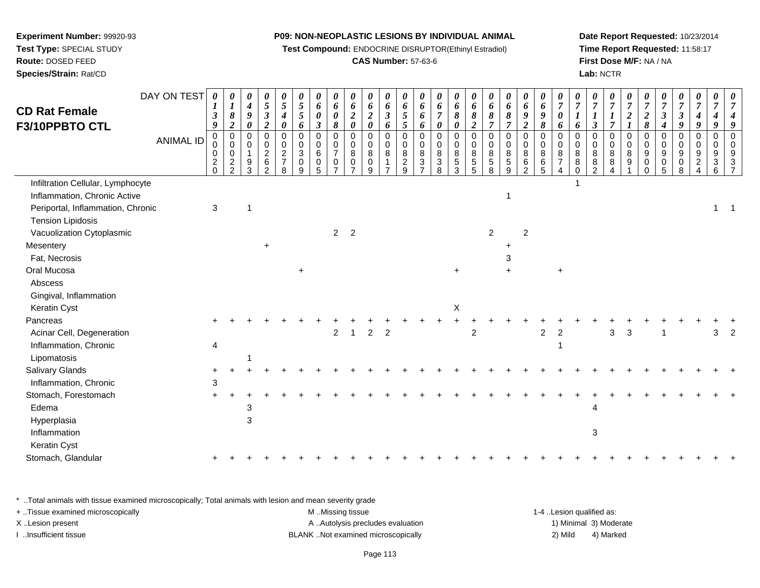**Test Compound:** ENDOCRINE DISRUPTOR(Ethinyl Estradiol)

#### **CAS Number:** 57-63-6

**Date Report Requested:** 10/23/2014**Time Report Requested:** 11:58:17**First Dose M/F:** NA / NA**Lab:** NCTR

| <b>CD Rat Female</b>              | DAY ON TEST      | 0<br>$\boldsymbol{\beta}$ | 0<br>8                                                                    | $\boldsymbol{\theta}$<br>$\boldsymbol{4}$<br>$\boldsymbol{g}$ | $\pmb{\theta}$<br>$\sqrt{5}$<br>$\boldsymbol{\beta}$                      | 0<br>5<br>4                                     | 0<br>5<br>$\mathfrak{s}$                 | 0<br>6<br>0                         | 0<br>6<br>0                                       | $\pmb{\theta}$<br>6<br>$\boldsymbol{2}$                    | $\boldsymbol{\theta}$<br>6<br>$\overline{2}$        | 0<br>6<br>$\boldsymbol{\beta}$ | 0<br>6<br>5                                            | 0<br>6<br>6                 | 0<br>6<br>$\overline{7}$                             | 0<br>6<br>8                                   | 0<br>6<br>8                               | 0<br>6<br>8           | 0<br>6<br>$\pmb{8}$                           | $\pmb{\theta}$<br>6<br>$\boldsymbol{g}$                      | 0<br>6<br>9                     | 0<br>$\overline{7}$<br>$\boldsymbol{\theta}$   | 0<br>$\overline{7}$            | 0<br>$\overline{7}$             | 0<br>$\overline{7}$                        | 0<br>$\overline{7}$<br>$\boldsymbol{2}$  | $\overline{7}$<br>$\boldsymbol{2}$                                        | 0<br>$\overline{7}$<br>$\boldsymbol{\beta}$ | 0<br>$\boldsymbol{7}$<br>$\mathfrak{z}$ | 0<br>$\overline{7}$                        | $\boldsymbol{\theta}$<br>$\overline{7}$    | 0<br>$\overline{7}$                     |
|-----------------------------------|------------------|---------------------------|---------------------------------------------------------------------------|---------------------------------------------------------------|---------------------------------------------------------------------------|-------------------------------------------------|------------------------------------------|-------------------------------------|---------------------------------------------------|------------------------------------------------------------|-----------------------------------------------------|--------------------------------|--------------------------------------------------------|-----------------------------|------------------------------------------------------|-----------------------------------------------|-------------------------------------------|-----------------------|-----------------------------------------------|--------------------------------------------------------------|---------------------------------|------------------------------------------------|--------------------------------|---------------------------------|--------------------------------------------|------------------------------------------|---------------------------------------------------------------------------|---------------------------------------------|-----------------------------------------|--------------------------------------------|--------------------------------------------|-----------------------------------------|
| F3/10PPBTO CTL                    |                  | 9                         | $\boldsymbol{2}$                                                          | $\pmb{\theta}$                                                | $\overline{2}$                                                            | $\boldsymbol{\theta}$                           | 6                                        | 3                                   | $\pmb{8}$                                         | $\pmb{\theta}$                                             | $\boldsymbol{\theta}$                               | 6                              | 5                                                      | 6                           | $\boldsymbol{\theta}$                                | 0                                             | $\boldsymbol{2}$                          | $\overline{7}$        | $\overline{7}$                                | $\boldsymbol{2}$                                             | 8                               | 6                                              | 6                              | $\boldsymbol{\beta}$            | $\overline{7}$                             | $\boldsymbol{l}$                         | $\boldsymbol{\delta}$                                                     | 4                                           | 9                                       | 4<br>9                                     | 9                                          | 9                                       |
|                                   | <b>ANIMAL ID</b> | 0<br>0<br>$\frac{2}{0}$   | $\pmb{0}$<br>$\pmb{0}$<br>$\mathbf 0$<br>$\overline{c}$<br>$\overline{2}$ | $\mathbf 0$<br>0<br>$\overline{1}$<br>9<br>3                  | $\mathbf 0$<br>$\pmb{0}$<br>$\boldsymbol{2}$<br>$\,6\,$<br>$\overline{2}$ | 0<br>0<br>$\overline{c}$<br>$\overline{7}$<br>8 | $\mathbf 0$<br>0<br>$\sqrt{3}$<br>0<br>9 | $\pmb{0}$<br>0<br>6<br>$\,0\,$<br>5 | 0<br>$\mathbf 0$<br>$\overline{7}$<br>$\mathbf 0$ | $\pmb{0}$<br>$\mathbf 0$<br>$\,8\,$<br>0<br>$\overline{7}$ | $\mathbf 0$<br>$\mathbf 0$<br>8<br>$\mathbf 0$<br>9 | $\Omega$<br>0<br>8             | $\mathbf 0$<br>$\mathbf 0$<br>8<br>$\overline{c}$<br>9 | 0<br>0<br>8<br>$\mathbf{3}$ | $\mathbf 0$<br>$\mathbf 0$<br>8<br>$\mathbf{3}$<br>8 | $\mathbf 0$<br>0<br>$\bf8$<br>$\sqrt{5}$<br>3 | $\mathbf 0$<br>0<br>8<br>$\mathbf 5$<br>5 | 0<br>0<br>8<br>5<br>8 | 0<br>$\pmb{0}$<br>$\bf 8$<br>$\,$ 5 $\,$<br>9 | $\mathbf 0$<br>$\mathbf 0$<br>8<br>$\,6\,$<br>$\overline{2}$ | $\mathbf 0$<br>0<br>8<br>6<br>5 | $\Omega$<br>$\mathbf 0$<br>8<br>$\overline{7}$ | $\Omega$<br>$\Omega$<br>8<br>8 | $\mathbf 0$<br>0<br>8<br>8<br>2 | $\mathbf 0$<br>$\mathbf 0$<br>$\,8\,$<br>8 | $\mathbf 0$<br>$\mathbf 0$<br>8<br>$9\,$ | $\mathbf 0$<br>$\mathbf 0$<br>$\boldsymbol{9}$<br>$\mathbf 0$<br>$\Omega$ | 0<br>0<br>9<br>$\pmb{0}$<br>$5\phantom{.0}$ | 0<br>0<br>$9\,$<br>0<br>8               | $\pmb{0}$<br>0<br>9<br>$\overline{c}$<br>4 | $\mathbf 0$<br>0<br>9<br>$\mathbf{3}$<br>6 | $\overline{0}$<br>$\mathbf 0$<br>9<br>3 |
| Infiltration Cellular, Lymphocyte |                  |                           |                                                                           |                                                               |                                                                           |                                                 |                                          |                                     |                                                   |                                                            |                                                     |                                |                                                        |                             |                                                      |                                               |                                           |                       |                                               |                                                              |                                 |                                                |                                |                                 |                                            |                                          |                                                                           |                                             |                                         |                                            |                                            |                                         |
| Inflammation, Chronic Active      |                  |                           |                                                                           |                                                               |                                                                           |                                                 |                                          |                                     |                                                   |                                                            |                                                     |                                |                                                        |                             |                                                      |                                               |                                           |                       |                                               |                                                              |                                 |                                                |                                |                                 |                                            |                                          |                                                                           |                                             |                                         |                                            |                                            |                                         |
| Periportal, Inflammation, Chronic |                  | $\ensuremath{\mathsf{3}}$ |                                                                           |                                                               |                                                                           |                                                 |                                          |                                     |                                                   |                                                            |                                                     |                                |                                                        |                             |                                                      |                                               |                                           |                       |                                               |                                                              |                                 |                                                |                                |                                 |                                            |                                          |                                                                           |                                             |                                         |                                            | $1 \quad 1$                                |                                         |
| <b>Tension Lipidosis</b>          |                  |                           |                                                                           |                                                               |                                                                           |                                                 |                                          |                                     |                                                   |                                                            |                                                     |                                |                                                        |                             |                                                      |                                               |                                           |                       |                                               |                                                              |                                 |                                                |                                |                                 |                                            |                                          |                                                                           |                                             |                                         |                                            |                                            |                                         |
| Vacuolization Cytoplasmic         |                  |                           |                                                                           |                                                               |                                                                           |                                                 |                                          |                                     |                                                   | 2 <sub>2</sub>                                             |                                                     |                                |                                                        |                             |                                                      |                                               |                                           | $\overline{2}$        |                                               | $\overline{2}$                                               |                                 |                                                |                                |                                 |                                            |                                          |                                                                           |                                             |                                         |                                            |                                            |                                         |
| Mesentery                         |                  |                           |                                                                           |                                                               |                                                                           |                                                 |                                          |                                     |                                                   |                                                            |                                                     |                                |                                                        |                             |                                                      |                                               |                                           |                       |                                               |                                                              |                                 |                                                |                                |                                 |                                            |                                          |                                                                           |                                             |                                         |                                            |                                            |                                         |
| Fat, Necrosis                     |                  |                           |                                                                           |                                                               |                                                                           |                                                 |                                          |                                     |                                                   |                                                            |                                                     |                                |                                                        |                             |                                                      |                                               |                                           |                       | 3                                             |                                                              |                                 |                                                |                                |                                 |                                            |                                          |                                                                           |                                             |                                         |                                            |                                            |                                         |
| Oral Mucosa                       |                  |                           |                                                                           |                                                               |                                                                           |                                                 | $\ddot{}$                                |                                     |                                                   |                                                            |                                                     |                                |                                                        |                             |                                                      | $\ddot{}$                                     |                                           |                       | $+$                                           |                                                              |                                 | $\ddot{}$                                      |                                |                                 |                                            |                                          |                                                                           |                                             |                                         |                                            |                                            |                                         |
| Abscess                           |                  |                           |                                                                           |                                                               |                                                                           |                                                 |                                          |                                     |                                                   |                                                            |                                                     |                                |                                                        |                             |                                                      |                                               |                                           |                       |                                               |                                                              |                                 |                                                |                                |                                 |                                            |                                          |                                                                           |                                             |                                         |                                            |                                            |                                         |
| Gingival, Inflammation            |                  |                           |                                                                           |                                                               |                                                                           |                                                 |                                          |                                     |                                                   |                                                            |                                                     |                                |                                                        |                             |                                                      |                                               |                                           |                       |                                               |                                                              |                                 |                                                |                                |                                 |                                            |                                          |                                                                           |                                             |                                         |                                            |                                            |                                         |
| Keratin Cyst                      |                  |                           |                                                                           |                                                               |                                                                           |                                                 |                                          |                                     |                                                   |                                                            |                                                     |                                |                                                        |                             |                                                      | X                                             |                                           |                       |                                               |                                                              |                                 |                                                |                                |                                 |                                            |                                          |                                                                           |                                             |                                         |                                            |                                            |                                         |
| Pancreas                          |                  |                           |                                                                           |                                                               |                                                                           |                                                 |                                          |                                     |                                                   |                                                            |                                                     |                                |                                                        |                             |                                                      |                                               |                                           |                       |                                               |                                                              |                                 |                                                |                                |                                 |                                            |                                          |                                                                           |                                             |                                         |                                            |                                            |                                         |
| Acinar Cell, Degeneration         |                  |                           |                                                                           |                                                               |                                                                           |                                                 |                                          |                                     | $\overline{2}$                                    | $\overline{1}$                                             | $\overline{2}$                                      | $\overline{2}$                 |                                                        |                             |                                                      |                                               | 2                                         |                       |                                               |                                                              | $\overline{2}$                  | 2                                              |                                |                                 | 3                                          | 3                                        |                                                                           | 1                                           |                                         |                                            | 3                                          | $\overline{2}$                          |
| Inflammation, Chronic             |                  | $\overline{4}$            |                                                                           |                                                               |                                                                           |                                                 |                                          |                                     |                                                   |                                                            |                                                     |                                |                                                        |                             |                                                      |                                               |                                           |                       |                                               |                                                              |                                 |                                                |                                |                                 |                                            |                                          |                                                                           |                                             |                                         |                                            |                                            |                                         |
| Lipomatosis                       |                  |                           |                                                                           |                                                               |                                                                           |                                                 |                                          |                                     |                                                   |                                                            |                                                     |                                |                                                        |                             |                                                      |                                               |                                           |                       |                                               |                                                              |                                 |                                                |                                |                                 |                                            |                                          |                                                                           |                                             |                                         |                                            |                                            |                                         |
| Salivary Glands                   |                  |                           |                                                                           |                                                               |                                                                           |                                                 |                                          |                                     |                                                   |                                                            |                                                     |                                |                                                        |                             |                                                      |                                               |                                           |                       |                                               |                                                              |                                 |                                                |                                |                                 |                                            |                                          |                                                                           |                                             |                                         |                                            |                                            |                                         |
| Inflammation, Chronic             |                  | 3                         |                                                                           |                                                               |                                                                           |                                                 |                                          |                                     |                                                   |                                                            |                                                     |                                |                                                        |                             |                                                      |                                               |                                           |                       |                                               |                                                              |                                 |                                                |                                |                                 |                                            |                                          |                                                                           |                                             |                                         |                                            |                                            |                                         |
| Stomach, Forestomach              |                  |                           |                                                                           |                                                               |                                                                           |                                                 |                                          |                                     |                                                   |                                                            |                                                     |                                |                                                        |                             |                                                      |                                               |                                           |                       |                                               |                                                              |                                 |                                                |                                |                                 |                                            |                                          |                                                                           |                                             |                                         |                                            |                                            |                                         |
| Edema                             |                  |                           |                                                                           | 3                                                             |                                                                           |                                                 |                                          |                                     |                                                   |                                                            |                                                     |                                |                                                        |                             |                                                      |                                               |                                           |                       |                                               |                                                              |                                 |                                                |                                |                                 |                                            |                                          |                                                                           |                                             |                                         |                                            |                                            |                                         |
| Hyperplasia                       |                  |                           |                                                                           | 3                                                             |                                                                           |                                                 |                                          |                                     |                                                   |                                                            |                                                     |                                |                                                        |                             |                                                      |                                               |                                           |                       |                                               |                                                              |                                 |                                                |                                |                                 |                                            |                                          |                                                                           |                                             |                                         |                                            |                                            |                                         |
| Inflammation                      |                  |                           |                                                                           |                                                               |                                                                           |                                                 |                                          |                                     |                                                   |                                                            |                                                     |                                |                                                        |                             |                                                      |                                               |                                           |                       |                                               |                                                              |                                 |                                                |                                | 3                               |                                            |                                          |                                                                           |                                             |                                         |                                            |                                            |                                         |
| Keratin Cyst                      |                  |                           |                                                                           |                                                               |                                                                           |                                                 |                                          |                                     |                                                   |                                                            |                                                     |                                |                                                        |                             |                                                      |                                               |                                           |                       |                                               |                                                              |                                 |                                                |                                |                                 |                                            |                                          |                                                                           |                                             |                                         |                                            |                                            |                                         |
| Stomach, Glandular                |                  |                           |                                                                           |                                                               |                                                                           |                                                 |                                          |                                     |                                                   |                                                            |                                                     |                                |                                                        |                             |                                                      |                                               |                                           |                       |                                               |                                                              |                                 |                                                |                                |                                 |                                            |                                          |                                                                           |                                             |                                         |                                            |                                            |                                         |
|                                   |                  |                           |                                                                           |                                                               |                                                                           |                                                 |                                          |                                     |                                                   |                                                            |                                                     |                                |                                                        |                             |                                                      |                                               |                                           |                       |                                               |                                                              |                                 |                                                |                                |                                 |                                            |                                          |                                                                           |                                             |                                         |                                            |                                            |                                         |

\* ..Total animals with tissue examined microscopically; Total animals with lesion and mean severity grade

+ ..Tissue examined microscopically examined microscopically examined as:  $M$  ..Missing tissue 1-4 ..Lesion qualified as: X..Lesion present **A ..Autolysis precludes evaluation** A ..Autolysis precludes evaluation 1) Minimal 3) Moderate I ..Insufficient tissue BLANK ..Not examined microscopically 2) Mild 4) Marked

**Experiment Number:** 99920-93**Test Type:** SPECIAL STUDY**Route:** DOSED FEED

**Species/Strain:** Rat/CD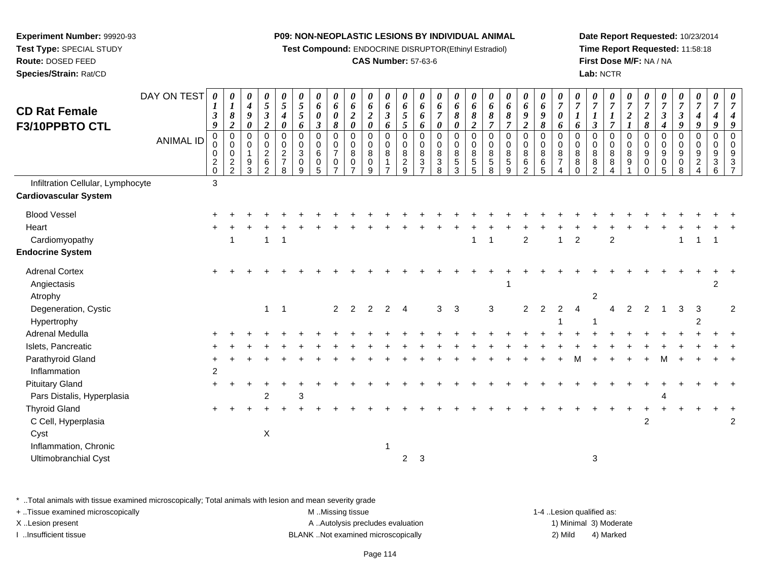**Test Compound:** ENDOCRINE DISRUPTOR(Ethinyl Estradiol)

#### **CAS Number:** 57-63-6

**Date Report Requested:** 10/23/2014**Time Report Requested:** 11:58:18**First Dose M/F:** NA / NA**Lab:** NCTR

| <b>CD Rat Female</b><br>F3/10PPBTO CTL<br>Infiltration Cellular, Lymphocyte<br><b>Cardiovascular System</b> | DAY ON TEST<br><b>ANIMAL ID</b> | 0<br>$\boldsymbol{I}$<br>$\boldsymbol{\beta}$<br>9<br>$\pmb{0}$<br>0<br>$\mathbf 0$<br>$\frac{2}{0}$<br>3 | 0<br>$\boldsymbol{l}$<br>$\pmb{8}$<br>$\overline{2}$<br>$\pmb{0}$<br>$\mathbf 0$<br>$\mathbf 0$<br>$\overline{2}$<br>$\overline{2}$ | 0<br>4<br>9<br>$\boldsymbol{\theta}$<br>$\Omega$<br>$\mathbf 0$<br>$\mathbf{1}$<br>9<br>3 | 0<br>$\mathfrak{s}$<br>$\boldsymbol{\beta}$<br>$\overline{2}$<br>0<br>$\mathsf 0$<br>$\overline{2}$<br>$\,6\,$<br>$\overline{2}$ | 0<br>$5\phantom{.0}$<br>$\boldsymbol{4}$<br>0<br>$\mathbf 0$<br>$\pmb{0}$<br>$\frac{2}{7}$<br>8 | 0<br>$\mathfrak{s}$<br>$\mathfrak{s}$<br>6<br>$\mathbf 0$<br>$\mathbf 0$<br>$\ensuremath{\mathsf{3}}$<br>$\mathbf 0$<br>9 | 0<br>6<br>$\boldsymbol{\theta}$<br>$\boldsymbol{\beta}$<br>$\mathbf 0$<br>$\mathbf 0$<br>6<br>0<br>$\overline{5}$ | 0<br>6<br>$\boldsymbol{\theta}$<br>8<br>$\mathbf 0$<br>$\mathbf 0$<br>$\overline{7}$<br>0<br>$\overline{ }$ | 0<br>6<br>$\boldsymbol{2}$<br>$\boldsymbol{\theta}$<br>$\,0\,$<br>$\mathsf{O}\xspace$<br>8<br>0<br>$\overline{7}$ | 0<br>$\boldsymbol{6}$<br>$\boldsymbol{2}$<br>$\boldsymbol{\theta}$<br>$\pmb{0}$<br>$\mathsf{O}\xspace$<br>8<br>0<br>9 | 0<br>6<br>3<br>6<br>$\Omega$<br>$\mathbf 0$<br>8 | $\boldsymbol{\theta}$<br>6<br>5<br>$\mathfrak{s}$<br>$\Omega$<br>$\mathbf 0$<br>8<br>$\frac{2}{9}$ | 0<br>6<br>6<br>6<br>$\mathbf 0$<br>0<br>8<br>3<br>$\overline{z}$ | 0<br>6<br>7<br>$\boldsymbol{\theta}$<br>$\mathbf 0$<br>$\mathbf 0$<br>8<br>3<br>8 | 0<br>6<br>8<br>$\boldsymbol{\theta}$<br>$\mathbf 0$<br>0<br>8<br>5<br>$\overline{3}$ | 0<br>6<br>8<br>$\boldsymbol{2}$<br>$\Omega$<br>0<br>$\bf 8$<br>$\frac{5}{5}$ | $\boldsymbol{\theta}$<br>6<br>8<br>$\overline{7}$<br>$\mathbf 0$<br>$\mathbf 0$<br>$\bf 8$<br>$\sqrt{5}$<br>8 | 0<br>6<br>$\pmb{8}$<br>$\overline{7}$<br>0<br>$\mathbf 0$<br>8<br>5<br>9 | 0<br>6<br>9<br>$\overline{\mathbf{c}}$<br>$\mathbf 0$<br>$\mathbf 0$<br>$\,8\,$<br>6<br>$\mathfrak{p}$ | 0<br>$\boldsymbol{6}$<br>9<br>$\boldsymbol{\delta}$<br>$\mathbf 0$<br>0<br>8<br>6<br>$\overline{5}$ | 0<br>$\overline{7}$<br>$\boldsymbol{\theta}$<br>6<br>$\mathbf 0$<br>0<br>8<br>$\overline{7}$ | 0<br>$\overline{7}$<br>6<br>$\Omega$<br>$\mathbf 0$<br>$\bf 8$<br>8<br>$\Omega$ | $\pmb{\theta}$<br>$\overline{7}$<br>$\mathfrak{z}$<br>0<br>0<br>8<br>8<br>$\overline{2}$ | $\boldsymbol{\theta}$<br>$\overline{7}$<br>$\boldsymbol{l}$<br>$\overline{7}$<br>$\mathbf 0$<br>$\mathbf 0$<br>8<br>8 | 0<br>$\overline{7}$<br>$\boldsymbol{2}$<br>$\Omega$<br>$\mathbf 0$<br>8<br>9 | 0<br>$\boldsymbol{7}$<br>$\boldsymbol{2}$<br>8<br>$\mathbf 0$<br>$\mathbf 0$<br>9<br>0 | 0<br>$\overline{7}$<br>3<br>4<br>$\mathbf 0$<br>$\mathbf 0$<br>$\boldsymbol{9}$<br>0<br>5 | $\boldsymbol{\theta}$<br>$\overline{7}$<br>$\boldsymbol{\beta}$<br>9<br>$\pmb{0}$<br>$\mathbf 0$<br>$\boldsymbol{9}$<br>0<br>8 | 0<br>$\overline{7}$<br>$\boldsymbol{4}$<br>$\boldsymbol{g}$<br>$\mathbf 0$<br>$\mathbf 0$<br>$9\,$<br>$\overline{2}$<br>4 | 0<br>$\overline{7}$<br>9<br>$\Omega$<br>$\mathbf 0$<br>9<br>3<br>6 |  |
|-------------------------------------------------------------------------------------------------------------|---------------------------------|-----------------------------------------------------------------------------------------------------------|-------------------------------------------------------------------------------------------------------------------------------------|-------------------------------------------------------------------------------------------|----------------------------------------------------------------------------------------------------------------------------------|-------------------------------------------------------------------------------------------------|---------------------------------------------------------------------------------------------------------------------------|-------------------------------------------------------------------------------------------------------------------|-------------------------------------------------------------------------------------------------------------|-------------------------------------------------------------------------------------------------------------------|-----------------------------------------------------------------------------------------------------------------------|--------------------------------------------------|----------------------------------------------------------------------------------------------------|------------------------------------------------------------------|-----------------------------------------------------------------------------------|--------------------------------------------------------------------------------------|------------------------------------------------------------------------------|---------------------------------------------------------------------------------------------------------------|--------------------------------------------------------------------------|--------------------------------------------------------------------------------------------------------|-----------------------------------------------------------------------------------------------------|----------------------------------------------------------------------------------------------|---------------------------------------------------------------------------------|------------------------------------------------------------------------------------------|-----------------------------------------------------------------------------------------------------------------------|------------------------------------------------------------------------------|----------------------------------------------------------------------------------------|-------------------------------------------------------------------------------------------|--------------------------------------------------------------------------------------------------------------------------------|---------------------------------------------------------------------------------------------------------------------------|--------------------------------------------------------------------|--|
| <b>Blood Vessel</b>                                                                                         |                                 |                                                                                                           |                                                                                                                                     |                                                                                           |                                                                                                                                  |                                                                                                 |                                                                                                                           |                                                                                                                   |                                                                                                             |                                                                                                                   |                                                                                                                       |                                                  |                                                                                                    |                                                                  |                                                                                   |                                                                                      |                                                                              |                                                                                                               |                                                                          |                                                                                                        |                                                                                                     |                                                                                              |                                                                                 |                                                                                          |                                                                                                                       |                                                                              |                                                                                        |                                                                                           |                                                                                                                                |                                                                                                                           |                                                                    |  |
| Heart                                                                                                       |                                 |                                                                                                           |                                                                                                                                     |                                                                                           |                                                                                                                                  |                                                                                                 |                                                                                                                           |                                                                                                                   |                                                                                                             |                                                                                                                   |                                                                                                                       |                                                  |                                                                                                    |                                                                  |                                                                                   |                                                                                      |                                                                              |                                                                                                               |                                                                          |                                                                                                        |                                                                                                     |                                                                                              |                                                                                 |                                                                                          |                                                                                                                       |                                                                              |                                                                                        |                                                                                           |                                                                                                                                |                                                                                                                           |                                                                    |  |
| Cardiomyopathy                                                                                              |                                 |                                                                                                           |                                                                                                                                     |                                                                                           |                                                                                                                                  |                                                                                                 |                                                                                                                           |                                                                                                                   |                                                                                                             |                                                                                                                   |                                                                                                                       |                                                  |                                                                                                    |                                                                  |                                                                                   |                                                                                      |                                                                              | $\overline{\mathbf{1}}$                                                                                       |                                                                          | $\overline{c}$                                                                                         |                                                                                                     |                                                                                              | $\overline{c}$                                                                  |                                                                                          | $\overline{c}$                                                                                                        |                                                                              |                                                                                        |                                                                                           |                                                                                                                                |                                                                                                                           |                                                                    |  |
| <b>Endocrine System</b>                                                                                     |                                 |                                                                                                           |                                                                                                                                     |                                                                                           |                                                                                                                                  |                                                                                                 |                                                                                                                           |                                                                                                                   |                                                                                                             |                                                                                                                   |                                                                                                                       |                                                  |                                                                                                    |                                                                  |                                                                                   |                                                                                      |                                                                              |                                                                                                               |                                                                          |                                                                                                        |                                                                                                     |                                                                                              |                                                                                 |                                                                                          |                                                                                                                       |                                                                              |                                                                                        |                                                                                           |                                                                                                                                |                                                                                                                           |                                                                    |  |
| <b>Adrenal Cortex</b><br>Angiectasis                                                                        |                                 |                                                                                                           |                                                                                                                                     |                                                                                           |                                                                                                                                  |                                                                                                 |                                                                                                                           |                                                                                                                   |                                                                                                             |                                                                                                                   |                                                                                                                       |                                                  |                                                                                                    |                                                                  |                                                                                   |                                                                                      |                                                                              |                                                                                                               |                                                                          |                                                                                                        |                                                                                                     |                                                                                              |                                                                                 |                                                                                          |                                                                                                                       |                                                                              |                                                                                        |                                                                                           |                                                                                                                                |                                                                                                                           | 2                                                                  |  |
| Atrophy                                                                                                     |                                 |                                                                                                           |                                                                                                                                     |                                                                                           |                                                                                                                                  |                                                                                                 |                                                                                                                           |                                                                                                                   |                                                                                                             |                                                                                                                   |                                                                                                                       |                                                  |                                                                                                    |                                                                  |                                                                                   |                                                                                      |                                                                              |                                                                                                               |                                                                          |                                                                                                        |                                                                                                     |                                                                                              |                                                                                 | $\overline{c}$                                                                           |                                                                                                                       |                                                                              |                                                                                        |                                                                                           |                                                                                                                                |                                                                                                                           |                                                                    |  |
| Degeneration, Cystic                                                                                        |                                 |                                                                                                           |                                                                                                                                     |                                                                                           |                                                                                                                                  | -1                                                                                              |                                                                                                                           |                                                                                                                   | $\overline{2}$                                                                                              | $\overline{2}$                                                                                                    | $\overline{2}$                                                                                                        | 2                                                |                                                                                                    |                                                                  | 3                                                                                 | 3                                                                                    |                                                                              | 3                                                                                                             |                                                                          | $\overline{2}$                                                                                         | $\overline{2}$                                                                                      | $\overline{2}$                                                                               | $\overline{4}$                                                                  |                                                                                          |                                                                                                                       |                                                                              |                                                                                        |                                                                                           | 3                                                                                                                              | 3                                                                                                                         |                                                                    |  |
| Hypertrophy                                                                                                 |                                 |                                                                                                           |                                                                                                                                     |                                                                                           |                                                                                                                                  |                                                                                                 |                                                                                                                           |                                                                                                                   |                                                                                                             |                                                                                                                   |                                                                                                                       |                                                  |                                                                                                    |                                                                  |                                                                                   |                                                                                      |                                                                              |                                                                                                               |                                                                          |                                                                                                        |                                                                                                     |                                                                                              |                                                                                 |                                                                                          |                                                                                                                       |                                                                              |                                                                                        |                                                                                           |                                                                                                                                | $\overline{c}$                                                                                                            |                                                                    |  |
| Adrenal Medulla                                                                                             |                                 |                                                                                                           |                                                                                                                                     |                                                                                           |                                                                                                                                  |                                                                                                 |                                                                                                                           |                                                                                                                   |                                                                                                             |                                                                                                                   |                                                                                                                       |                                                  |                                                                                                    |                                                                  |                                                                                   |                                                                                      |                                                                              |                                                                                                               |                                                                          |                                                                                                        |                                                                                                     |                                                                                              |                                                                                 |                                                                                          |                                                                                                                       |                                                                              |                                                                                        |                                                                                           |                                                                                                                                |                                                                                                                           |                                                                    |  |
| Islets, Pancreatic                                                                                          |                                 |                                                                                                           |                                                                                                                                     |                                                                                           |                                                                                                                                  |                                                                                                 |                                                                                                                           |                                                                                                                   |                                                                                                             |                                                                                                                   |                                                                                                                       |                                                  |                                                                                                    |                                                                  |                                                                                   |                                                                                      |                                                                              |                                                                                                               |                                                                          |                                                                                                        |                                                                                                     |                                                                                              |                                                                                 |                                                                                          |                                                                                                                       |                                                                              |                                                                                        |                                                                                           |                                                                                                                                |                                                                                                                           |                                                                    |  |
| Parathyroid Gland                                                                                           |                                 |                                                                                                           |                                                                                                                                     |                                                                                           |                                                                                                                                  |                                                                                                 |                                                                                                                           |                                                                                                                   |                                                                                                             |                                                                                                                   |                                                                                                                       |                                                  |                                                                                                    |                                                                  |                                                                                   |                                                                                      |                                                                              |                                                                                                               |                                                                          |                                                                                                        |                                                                                                     |                                                                                              |                                                                                 |                                                                                          |                                                                                                                       |                                                                              |                                                                                        |                                                                                           |                                                                                                                                |                                                                                                                           |                                                                    |  |
| Inflammation                                                                                                |                                 | 2                                                                                                         |                                                                                                                                     |                                                                                           |                                                                                                                                  |                                                                                                 |                                                                                                                           |                                                                                                                   |                                                                                                             |                                                                                                                   |                                                                                                                       |                                                  |                                                                                                    |                                                                  |                                                                                   |                                                                                      |                                                                              |                                                                                                               |                                                                          |                                                                                                        |                                                                                                     |                                                                                              |                                                                                 |                                                                                          |                                                                                                                       |                                                                              |                                                                                        |                                                                                           |                                                                                                                                |                                                                                                                           |                                                                    |  |
| <b>Pituitary Gland</b>                                                                                      |                                 |                                                                                                           |                                                                                                                                     |                                                                                           |                                                                                                                                  |                                                                                                 |                                                                                                                           |                                                                                                                   |                                                                                                             |                                                                                                                   |                                                                                                                       |                                                  |                                                                                                    |                                                                  |                                                                                   |                                                                                      |                                                                              |                                                                                                               |                                                                          |                                                                                                        |                                                                                                     |                                                                                              |                                                                                 |                                                                                          |                                                                                                                       |                                                                              |                                                                                        |                                                                                           |                                                                                                                                |                                                                                                                           |                                                                    |  |
| Pars Distalis, Hyperplasia                                                                                  |                                 |                                                                                                           |                                                                                                                                     |                                                                                           | $\mathcal{P}$                                                                                                                    |                                                                                                 | 3                                                                                                                         |                                                                                                                   |                                                                                                             |                                                                                                                   |                                                                                                                       |                                                  |                                                                                                    |                                                                  |                                                                                   |                                                                                      |                                                                              |                                                                                                               |                                                                          |                                                                                                        |                                                                                                     |                                                                                              |                                                                                 |                                                                                          |                                                                                                                       |                                                                              |                                                                                        |                                                                                           |                                                                                                                                |                                                                                                                           |                                                                    |  |
| <b>Thyroid Gland</b>                                                                                        |                                 |                                                                                                           |                                                                                                                                     |                                                                                           |                                                                                                                                  |                                                                                                 |                                                                                                                           |                                                                                                                   |                                                                                                             |                                                                                                                   |                                                                                                                       |                                                  |                                                                                                    |                                                                  |                                                                                   |                                                                                      |                                                                              |                                                                                                               |                                                                          |                                                                                                        |                                                                                                     |                                                                                              |                                                                                 |                                                                                          |                                                                                                                       |                                                                              |                                                                                        |                                                                                           |                                                                                                                                |                                                                                                                           |                                                                    |  |
| C Cell, Hyperplasia                                                                                         |                                 |                                                                                                           |                                                                                                                                     |                                                                                           |                                                                                                                                  |                                                                                                 |                                                                                                                           |                                                                                                                   |                                                                                                             |                                                                                                                   |                                                                                                                       |                                                  |                                                                                                    |                                                                  |                                                                                   |                                                                                      |                                                                              |                                                                                                               |                                                                          |                                                                                                        |                                                                                                     |                                                                                              |                                                                                 |                                                                                          |                                                                                                                       |                                                                              | $\overline{2}$                                                                         |                                                                                           |                                                                                                                                |                                                                                                                           |                                                                    |  |
| Cyst                                                                                                        |                                 |                                                                                                           |                                                                                                                                     |                                                                                           | $\mathsf{X}$                                                                                                                     |                                                                                                 |                                                                                                                           |                                                                                                                   |                                                                                                             |                                                                                                                   |                                                                                                                       |                                                  |                                                                                                    |                                                                  |                                                                                   |                                                                                      |                                                                              |                                                                                                               |                                                                          |                                                                                                        |                                                                                                     |                                                                                              |                                                                                 |                                                                                          |                                                                                                                       |                                                                              |                                                                                        |                                                                                           |                                                                                                                                |                                                                                                                           |                                                                    |  |
| Inflammation, Chronic<br>Ultimobranchial Cyst                                                               |                                 |                                                                                                           |                                                                                                                                     |                                                                                           |                                                                                                                                  |                                                                                                 |                                                                                                                           |                                                                                                                   |                                                                                                             |                                                                                                                   |                                                                                                                       |                                                  | $\overline{2}$                                                                                     | 3                                                                |                                                                                   |                                                                                      |                                                                              |                                                                                                               |                                                                          |                                                                                                        |                                                                                                     |                                                                                              |                                                                                 | 3                                                                                        |                                                                                                                       |                                                                              |                                                                                        |                                                                                           |                                                                                                                                |                                                                                                                           |                                                                    |  |
|                                                                                                             |                                 |                                                                                                           |                                                                                                                                     |                                                                                           |                                                                                                                                  |                                                                                                 |                                                                                                                           |                                                                                                                   |                                                                                                             |                                                                                                                   |                                                                                                                       |                                                  |                                                                                                    |                                                                  |                                                                                   |                                                                                      |                                                                              |                                                                                                               |                                                                          |                                                                                                        |                                                                                                     |                                                                                              |                                                                                 |                                                                                          |                                                                                                                       |                                                                              |                                                                                        |                                                                                           |                                                                                                                                |                                                                                                                           |                                                                    |  |

\* ..Total animals with tissue examined microscopically; Total animals with lesion and mean severity grade

| + . Tissue examined microscopically | M Missing tissue                   | 1-4 Lesion qualified as: |                        |
|-------------------------------------|------------------------------------|--------------------------|------------------------|
| X Lesion present                    | A Autolysis precludes evaluation   |                          | 1) Minimal 3) Moderate |
| …Insufficient tissue                | BLANK Not examined microscopically | 2) Mild                  | 4) Marked              |

**Experiment Number:** 99920-93**Test Type:** SPECIAL STUDY

**Route:** DOSED FEED

**Species/Strain:** Rat/CD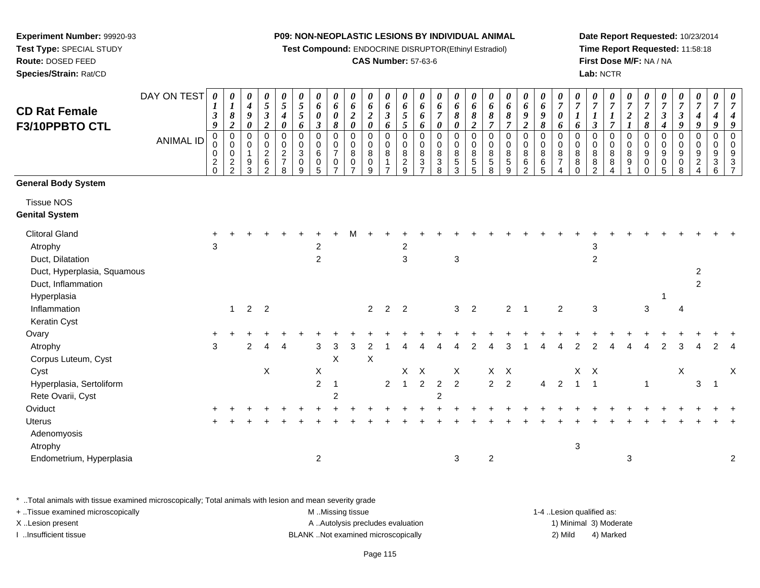**Test Compound:** ENDOCRINE DISRUPTOR(Ethinyl Estradiol)

#### **CAS Number:** 57-63-6

**Date Report Requested:** 10/23/2014**Time Report Requested:** 11:58:18**First Dose M/F:** NA / NA**Lab:** NCTR

| <b>CD Rat Female</b>                                                                                      | DAY ON TEST      | 0<br>$\boldsymbol{l}$<br>$\boldsymbol{\beta}$  | 0<br>$\boldsymbol{l}$<br>8                                                              | 0<br>$\boldsymbol{4}$<br>9 | 0<br>$\sqrt{5}$<br>$\mathfrak{z}$                                     | 0<br>$\sqrt{5}$<br>$\boldsymbol{4}$                                               | 0<br>$\sqrt{5}$<br>5       | 0<br>6<br>0                                                 | $\begin{array}{c} \boldsymbol{\mathit{0}} \\ \boldsymbol{\mathit{6}} \end{array}$<br>$\pmb{\theta}$ | 0<br>6<br>$\boldsymbol{2}$                                       | 0<br>$\boldsymbol{6}$<br>$\boldsymbol{2}$                                                       | 0<br>6<br>$\boldsymbol{\beta}$                    | 0<br>6<br>5                                           | 0<br>6<br>6                             | 0<br>6<br>$\overline{7}$                         | 0<br>$\boldsymbol{6}$<br>$\pmb{8}$                                                | 0<br>6<br>$\pmb{8}$                                 | 0<br>6<br>8                                                 | 0<br>6<br>8                                              | 0<br>6<br>9                                                           | 0<br>$\boldsymbol{6}$<br>9                                           | 0<br>$\overline{7}$<br>$\pmb{\theta}$ | $\theta$<br>$\overline{7}$                         | $\frac{\boldsymbol{0}}{7}$              | $\frac{\boldsymbol{0}}{7}$                                     | 0<br>$\overline{7}$<br>$\boldsymbol{2}$   | 0<br>$\overline{7}$<br>$\boldsymbol{2}$   | $\overline{7}$<br>3                                           | $\frac{\boldsymbol{0}}{7}$<br>$\boldsymbol{\beta}$ | 0<br>$\boldsymbol{7}$<br>$\boldsymbol{4}$   | 0<br>$\overline{7}$<br>$\boldsymbol{4}$                                                              |                |
|-----------------------------------------------------------------------------------------------------------|------------------|------------------------------------------------|-----------------------------------------------------------------------------------------|----------------------------|-----------------------------------------------------------------------|-----------------------------------------------------------------------------------|----------------------------|-------------------------------------------------------------|-----------------------------------------------------------------------------------------------------|------------------------------------------------------------------|-------------------------------------------------------------------------------------------------|---------------------------------------------------|-------------------------------------------------------|-----------------------------------------|--------------------------------------------------|-----------------------------------------------------------------------------------|-----------------------------------------------------|-------------------------------------------------------------|----------------------------------------------------------|-----------------------------------------------------------------------|----------------------------------------------------------------------|---------------------------------------|----------------------------------------------------|-----------------------------------------|----------------------------------------------------------------|-------------------------------------------|-------------------------------------------|---------------------------------------------------------------|----------------------------------------------------|---------------------------------------------|------------------------------------------------------------------------------------------------------|----------------|
| F3/10PPBTO CTL                                                                                            | <b>ANIMAL ID</b> | 9<br>$\Omega$<br>0<br>0<br>$\overline{c}$<br>0 | $\boldsymbol{2}$<br>$\mathbf 0$<br>$\mathbf 0$<br>0<br>$\overline{c}$<br>$\mathfrak{p}$ | 0<br>0<br>0<br>9<br>3      | $\boldsymbol{2}$<br>0<br>$\pmb{0}$<br>$\frac{2}{6}$<br>$\overline{2}$ | $\boldsymbol{\theta}$<br>$\mathbf 0$<br>$\mathsf{O}\xspace$<br>$\frac{2}{7}$<br>8 | 6<br>0<br>0<br>3<br>0<br>9 | $\mathfrak{z}$<br>$\mathbf 0$<br>$\mathbf 0$<br>6<br>0<br>5 | 8<br>0<br>0<br>$\overline{7}$<br>0<br>$\overline{z}$                                                | $\pmb{\theta}$<br>$\pmb{0}$<br>$\mathbf 0$<br>8<br>$\frac{0}{7}$ | $\boldsymbol{\theta}$<br>$\mathbf 0$<br>$\mathsf{O}\xspace$<br>$\bf 8$<br>$\boldsymbol{0}$<br>9 | 6<br>$\mathbf 0$<br>0<br>8<br>1<br>$\overline{7}$ | 5<br>$\mathbf 0$<br>$\mathbf 0$<br>8<br>$\frac{2}{9}$ | 6<br>0<br>0<br>8<br>3<br>$\overline{ }$ | 0<br>0<br>$\mathbf 0$<br>$\bf8$<br>$\frac{3}{8}$ | $\boldsymbol{\theta}$<br>$\mathbf 0$<br>$\mathsf{O}\xspace$<br>8<br>$\frac{5}{3}$ | $\boldsymbol{2}$<br>0<br>0<br>8<br>$\mathbf 5$<br>5 | $\overline{7}$<br>$\mathbf 0$<br>$\mathbf 0$<br>8<br>5<br>8 | $\overline{7}$<br>0<br>$\mathbf 0$<br>8<br>$\frac{5}{9}$ | $\overline{2}$<br>$\pmb{0}$<br>$\mathbf 0$<br>$\bf8$<br>$\frac{6}{2}$ | $\pmb{8}$<br>$\mathbf 0$<br>$\mathsf{O}\xspace$<br>8<br>$\,6\,$<br>5 | 6<br>0<br>0<br>8<br>7<br>4            | 6<br>$\Omega$<br>$\mathbf 0$<br>8<br>8<br>$\Omega$ | 3<br>0<br>0<br>8<br>8<br>$\mathfrak{D}$ | $\overline{7}$<br>0<br>$\mathbf 0$<br>$\,8\,$<br>$\frac{8}{4}$ | $\Omega$<br>$\mathsf{O}\xspace$<br>8<br>9 | 8<br>0<br>0<br>9<br>$\pmb{0}$<br>$\Omega$ | $\boldsymbol{4}$<br>$\mathbf 0$<br>$\mathbf 0$<br>9<br>0<br>5 | 9<br>0<br>0<br>9<br>0<br>8                         | 9<br>0<br>$\mathbf 0$<br>9<br>$\frac{2}{4}$ | 9<br>$\mathbf 0$<br>$\mathsf{O}\xspace$<br>$\boldsymbol{9}$<br>$\begin{array}{c} 3 \\ 6 \end{array}$ | $\frac{3}{7}$  |
| <b>General Body System</b>                                                                                |                  |                                                |                                                                                         |                            |                                                                       |                                                                                   |                            |                                                             |                                                                                                     |                                                                  |                                                                                                 |                                                   |                                                       |                                         |                                                  |                                                                                   |                                                     |                                                             |                                                          |                                                                       |                                                                      |                                       |                                                    |                                         |                                                                |                                           |                                           |                                                               |                                                    |                                             |                                                                                                      |                |
| <b>Tissue NOS</b><br><b>Genital System</b>                                                                |                  |                                                |                                                                                         |                            |                                                                       |                                                                                   |                            |                                                             |                                                                                                     |                                                                  |                                                                                                 |                                                   |                                                       |                                         |                                                  |                                                                                   |                                                     |                                                             |                                                          |                                                                       |                                                                      |                                       |                                                    |                                         |                                                                |                                           |                                           |                                                               |                                                    |                                             |                                                                                                      |                |
| <b>Clitoral Gland</b><br>Atrophy<br>Duct, Dilatation<br>Duct, Hyperplasia, Squamous<br>Duct, Inflammation |                  | 3                                              |                                                                                         |                            |                                                                       |                                                                                   |                            | $\overline{c}$<br>$\overline{c}$                            |                                                                                                     |                                                                  |                                                                                                 |                                                   | $\overline{c}$<br>3                                   |                                         |                                                  | $\mathbf{3}$                                                                      |                                                     |                                                             |                                                          |                                                                       |                                                                      |                                       |                                                    | 3<br>$\overline{2}$                     |                                                                |                                           |                                           |                                                               |                                                    | $\overline{c}$<br>$\overline{2}$            |                                                                                                      |                |
| Hyperplasia<br>Inflammation<br>Keratin Cyst                                                               |                  |                                                | $\mathbf{1}$                                                                            | 2 <sub>2</sub>             |                                                                       |                                                                                   |                            |                                                             |                                                                                                     |                                                                  |                                                                                                 | $2 \quad 2 \quad 2$                               |                                                       |                                         |                                                  | 3                                                                                 | 2                                                   |                                                             | 2 <sup>1</sup>                                           | $\overline{\phantom{0}}$                                              |                                                                      | $\overline{2}$                        |                                                    | $\mathbf{3}$                            |                                                                |                                           | $\mathbf{3}$                              |                                                               | 4                                                  |                                             |                                                                                                      |                |
| Ovary<br>Atrophy<br>Corpus Luteum, Cyst                                                                   |                  | 3                                              |                                                                                         | $\overline{c}$             | 4                                                                     | $\boldsymbol{\Lambda}$                                                            |                            | 3                                                           | 3<br>X                                                                                              | 3                                                                | 2<br>$\boldsymbol{\mathsf{X}}$                                                                  |                                                   |                                                       |                                         |                                                  |                                                                                   |                                                     |                                                             |                                                          |                                                                       |                                                                      |                                       |                                                    |                                         |                                                                |                                           |                                           |                                                               |                                                    |                                             |                                                                                                      |                |
| Cyst<br>Hyperplasia, Sertoliform<br>Rete Ovarii, Cyst                                                     |                  |                                                |                                                                                         |                            | X                                                                     |                                                                                   |                            | $\boldsymbol{\mathsf{X}}$<br>$\overline{c}$                 | 1<br>$\overline{2}$                                                                                 |                                                                  |                                                                                                 | $\overline{c}$                                    | X<br>$\overline{1}$                                   | $\times$<br>$\overline{2}$              | 2<br>$\overline{2}$                              | X<br>$\overline{2}$                                                               |                                                     | $\mathsf X$<br>$\overline{2}$                               | $\mathsf{X}$<br>$\overline{2}$                           |                                                                       | 4                                                                    | $\overline{c}$                        | X<br>$\mathbf{1}$                                  | $\mathsf{X}$<br>$\overline{1}$          |                                                                |                                           | $\mathbf{1}$                              |                                                               | X                                                  | 3                                           | $\overline{1}$                                                                                       | Χ              |
| Oviduct<br><b>Uterus</b><br>Adenomyosis                                                                   |                  |                                                |                                                                                         |                            |                                                                       |                                                                                   |                            |                                                             |                                                                                                     |                                                                  |                                                                                                 |                                                   |                                                       |                                         |                                                  |                                                                                   |                                                     |                                                             |                                                          |                                                                       |                                                                      |                                       |                                                    |                                         |                                                                |                                           |                                           |                                                               |                                                    |                                             |                                                                                                      |                |
| Atrophy<br>Endometrium, Hyperplasia                                                                       |                  |                                                |                                                                                         |                            |                                                                       |                                                                                   |                            | $\overline{c}$                                              |                                                                                                     |                                                                  |                                                                                                 |                                                   |                                                       |                                         |                                                  | 3                                                                                 |                                                     | $\overline{c}$                                              |                                                          |                                                                       |                                                                      |                                       | 3                                                  |                                         |                                                                | 3                                         |                                           |                                                               |                                                    |                                             |                                                                                                      | $\overline{c}$ |

\* ..Total animals with tissue examined microscopically; Total animals with lesion and mean severity grade

**Experiment Number:** 99920-93**Test Type:** SPECIAL STUDY**Route:** DOSED FEED**Species/Strain:** Rat/CD

+ ..Tissue examined microscopically examined microscopically examined as:  $M$  ..Missing tissue 1-4 ..Lesion qualified as: X..Lesion present **A ..Autolysis precludes evaluation** A ..Autolysis precludes evaluation 1) Minimal 3) Moderate I ..Insufficient tissue BLANK ..Not examined microscopically 2) Mild 4) Marked

a a 3 2 3 2 3 2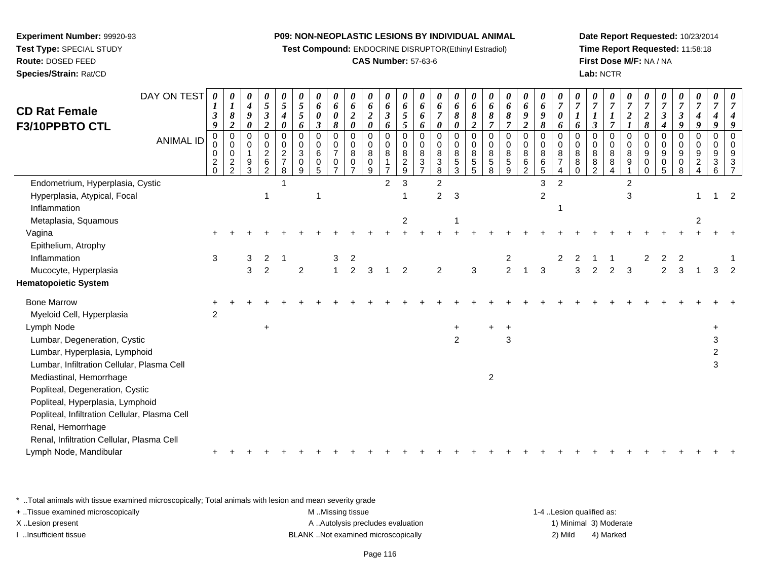**Test Compound:** ENDOCRINE DISRUPTOR(Ethinyl Estradiol)

#### **CAS Number:** 57-63-6

**Date Report Requested:** 10/23/2014**Time Report Requested:** 11:58:18**First Dose M/F:** NA / NA**Lab:** NCTR

| <b>CD Rat Female</b><br><b>F3/10PPBTO CTL</b> | DAY ON TEST<br><b>ANIMAL ID</b> | $\boldsymbol{\theta}$<br>1<br>$\boldsymbol{\beta}$<br>9<br>0<br>0<br>$^2_{0}$ | 0<br>$\pmb{8}$<br>$\overline{a}$<br>$\mathsf 0$<br>$\mathbf 0$<br>0<br>$\overline{c}$<br>2 | 0<br>$\boldsymbol{4}$<br>9<br>0<br>0<br>0<br>$\overline{1}$<br>9<br>3 | $\boldsymbol{\theta}$<br>$\mathfrak{s}$<br>$\boldsymbol{\beta}$<br>$\boldsymbol{2}$<br>$\mathbf 0$<br>0<br>$\overline{2}$<br>$\,6\,$<br>$\overline{2}$ | 0<br>$\sqrt{5}$<br>$\boldsymbol{4}$<br>0<br>0<br>0<br>$\overline{c}$<br>$\overline{7}$<br>8 | 0<br>5<br>5<br>6<br>$\mathbf 0$<br>$\mathbf 0$<br>3<br>$\mathbf 0$<br>$\mathbf{Q}$ | 0<br>6<br>0<br>$\boldsymbol{\beta}$<br>$\mathbf 0$<br>0<br>6<br>0<br>5 | 0<br>6<br>$\boldsymbol{\theta}$<br>8<br>0<br>0<br>$\overline{7}$<br>0<br>$\overline{7}$ | 0<br>6<br>$\boldsymbol{2}$<br>$\boldsymbol{\theta}$<br>$\mathbf 0$<br>0<br>8<br>0 | 0<br>6<br>$\boldsymbol{2}$<br>$\boldsymbol{\theta}$<br>$\mathbf 0$<br>0<br>8<br>0<br>9 | 0<br>6<br>$\boldsymbol{\beta}$<br>6<br>$\mathbf 0$<br>0<br>8<br>1<br>$\overline{7}$ | 0<br>6<br>5<br>5<br>$\mathbf 0$<br>0<br>8<br>$\overline{c}$<br>9 | 0<br>6<br>6<br>6<br>0<br>0<br>8<br>$\sqrt{3}$<br>$\overline{7}$ | 0<br>6<br>$\overline{7}$<br>0<br>$\mathbf 0$<br>0<br>8<br>3<br>8 | 0<br>6<br>8<br>0<br>$\mathbf 0$<br>0<br>8<br>$\sqrt{5}$<br>3 | 0<br>6<br>8<br>$\boldsymbol{2}$<br>$\mathbf 0$<br>0<br>8<br>$\sqrt{5}$<br>5 | 0<br>6<br>8<br>7<br>0<br>0<br>8<br>$\sqrt{5}$<br>8 | 0<br>6<br>8<br>7<br>$\mathbf 0$<br>$\mathbf 0$<br>8<br>5<br>9 | 0<br>6<br>9<br>$\boldsymbol{2}$<br>$\mathbf 0$<br>0<br>8<br>6<br>$\overline{2}$ | 0<br>6<br>9<br>8<br>$\mathbf 0$<br>0<br>8<br>6<br>5 | 0<br>$\overline{7}$<br>0<br>6<br>$\mathbf 0$<br>0<br>8 | $\boldsymbol{\theta}$<br>$\overline{7}$<br>$\boldsymbol{I}$<br>6<br>$\mathbf 0$<br>0<br>8<br>8<br>$\Omega$ | 0<br>$\overline{7}$<br>$\boldsymbol{l}$<br>$\boldsymbol{\beta}$<br>$\mathbf 0$<br>0<br>8<br>8<br>2 | 0<br>$\overline{7}$<br>7<br>$\mathbf 0$<br>0<br>8<br>8 | 0<br>$\overline{7}$<br>$\boldsymbol{2}$<br>$\boldsymbol{l}$<br>$\mathbf 0$<br>0<br>8<br>9 | 0<br>$\overline{7}$<br>$\boldsymbol{2}$<br>8<br>$\mathbf 0$<br>0<br>$\boldsymbol{9}$<br>$\pmb{0}$<br>$\Omega$ | 0<br>$\overline{7}$<br>$\boldsymbol{\beta}$<br>4<br>0<br>0<br>9<br>0<br>5 | 0<br>$\overline{7}$<br>$\boldsymbol{\beta}$<br>9<br>$\mathbf 0$<br>$\Omega$<br>9<br>0<br>8 | 0<br>$\overline{7}$<br>4<br>9<br>$\mathbf 0$<br>0<br>9<br>$\overline{2}$ | 0<br>$\overline{7}$<br>$\mathbf 0$<br>$\Omega$<br>9<br>3<br>6 | 0<br>$\overline{7}$<br>4<br>9<br>$\mathbf 0$<br>0<br>9<br>3 |
|-----------------------------------------------|---------------------------------|-------------------------------------------------------------------------------|--------------------------------------------------------------------------------------------|-----------------------------------------------------------------------|--------------------------------------------------------------------------------------------------------------------------------------------------------|---------------------------------------------------------------------------------------------|------------------------------------------------------------------------------------|------------------------------------------------------------------------|-----------------------------------------------------------------------------------------|-----------------------------------------------------------------------------------|----------------------------------------------------------------------------------------|-------------------------------------------------------------------------------------|------------------------------------------------------------------|-----------------------------------------------------------------|------------------------------------------------------------------|--------------------------------------------------------------|-----------------------------------------------------------------------------|----------------------------------------------------|---------------------------------------------------------------|---------------------------------------------------------------------------------|-----------------------------------------------------|--------------------------------------------------------|------------------------------------------------------------------------------------------------------------|----------------------------------------------------------------------------------------------------|--------------------------------------------------------|-------------------------------------------------------------------------------------------|---------------------------------------------------------------------------------------------------------------|---------------------------------------------------------------------------|--------------------------------------------------------------------------------------------|--------------------------------------------------------------------------|---------------------------------------------------------------|-------------------------------------------------------------|
| Endometrium, Hyperplasia, Cystic              |                                 |                                                                               |                                                                                            |                                                                       |                                                                                                                                                        |                                                                                             |                                                                                    |                                                                        |                                                                                         |                                                                                   |                                                                                        | $\overline{2}$                                                                      | 3                                                                |                                                                 | $\overline{c}$                                                   |                                                              |                                                                             |                                                    |                                                               |                                                                                 | 3                                                   | 2                                                      |                                                                                                            |                                                                                                    |                                                        | $\overline{2}$                                                                            |                                                                                                               |                                                                           |                                                                                            |                                                                          |                                                               |                                                             |
| Hyperplasia, Atypical, Focal                  |                                 |                                                                               |                                                                                            |                                                                       |                                                                                                                                                        |                                                                                             |                                                                                    | -1                                                                     |                                                                                         |                                                                                   |                                                                                        |                                                                                     |                                                                  |                                                                 | $\boldsymbol{2}$                                                 | 3                                                            |                                                                             |                                                    |                                                               |                                                                                 | $\overline{2}$                                      |                                                        |                                                                                                            |                                                                                                    |                                                        | 3                                                                                         |                                                                                                               |                                                                           |                                                                                            |                                                                          |                                                               | $\overline{2}$                                              |
| Inflammation                                  |                                 |                                                                               |                                                                                            |                                                                       |                                                                                                                                                        |                                                                                             |                                                                                    |                                                                        |                                                                                         |                                                                                   |                                                                                        |                                                                                     |                                                                  |                                                                 |                                                                  |                                                              |                                                                             |                                                    |                                                               |                                                                                 |                                                     |                                                        |                                                                                                            |                                                                                                    |                                                        |                                                                                           |                                                                                                               |                                                                           |                                                                                            |                                                                          |                                                               |                                                             |
| Metaplasia, Squamous                          |                                 |                                                                               |                                                                                            |                                                                       |                                                                                                                                                        |                                                                                             |                                                                                    |                                                                        |                                                                                         |                                                                                   |                                                                                        |                                                                                     | 2                                                                |                                                                 |                                                                  |                                                              |                                                                             |                                                    |                                                               |                                                                                 |                                                     |                                                        |                                                                                                            |                                                                                                    |                                                        |                                                                                           |                                                                                                               |                                                                           |                                                                                            | 2                                                                        |                                                               |                                                             |
| Vagina                                        |                                 |                                                                               |                                                                                            |                                                                       |                                                                                                                                                        |                                                                                             |                                                                                    |                                                                        |                                                                                         |                                                                                   |                                                                                        |                                                                                     |                                                                  |                                                                 |                                                                  |                                                              |                                                                             |                                                    |                                                               |                                                                                 |                                                     |                                                        |                                                                                                            |                                                                                                    |                                                        |                                                                                           |                                                                                                               |                                                                           |                                                                                            |                                                                          |                                                               |                                                             |
| Epithelium, Atrophy                           |                                 |                                                                               |                                                                                            |                                                                       |                                                                                                                                                        |                                                                                             |                                                                                    |                                                                        |                                                                                         |                                                                                   |                                                                                        |                                                                                     |                                                                  |                                                                 |                                                                  |                                                              |                                                                             |                                                    |                                                               |                                                                                 |                                                     |                                                        |                                                                                                            |                                                                                                    |                                                        |                                                                                           |                                                                                                               |                                                                           |                                                                                            |                                                                          |                                                               |                                                             |
| Inflammation                                  |                                 | 3                                                                             |                                                                                            | 3                                                                     | 2                                                                                                                                                      |                                                                                             |                                                                                    |                                                                        | 3                                                                                       | 2                                                                                 |                                                                                        |                                                                                     |                                                                  |                                                                 |                                                                  |                                                              |                                                                             |                                                    | 2                                                             |                                                                                 |                                                     | 2                                                      | 2                                                                                                          |                                                                                                    |                                                        |                                                                                           | $\overline{2}$                                                                                                | 2                                                                         | 2                                                                                          |                                                                          |                                                               |                                                             |
| Mucocyte, Hyperplasia                         |                                 |                                                                               |                                                                                            | 3                                                                     | 2                                                                                                                                                      |                                                                                             | $\overline{c}$                                                                     |                                                                        |                                                                                         | $\mathcal{P}$                                                                     | 3                                                                                      |                                                                                     | 2                                                                |                                                                 | 2                                                                |                                                              | 3                                                                           |                                                    | $\overline{2}$                                                |                                                                                 | 3                                                   |                                                        | 3                                                                                                          | $\overline{2}$                                                                                     | $\mathcal{P}$                                          | 3                                                                                         |                                                                                                               | $\overline{2}$                                                            | 3                                                                                          |                                                                          | 3                                                             | $\overline{2}$                                              |
| <b>Hematopoietic System</b>                   |                                 |                                                                               |                                                                                            |                                                                       |                                                                                                                                                        |                                                                                             |                                                                                    |                                                                        |                                                                                         |                                                                                   |                                                                                        |                                                                                     |                                                                  |                                                                 |                                                                  |                                                              |                                                                             |                                                    |                                                               |                                                                                 |                                                     |                                                        |                                                                                                            |                                                                                                    |                                                        |                                                                                           |                                                                                                               |                                                                           |                                                                                            |                                                                          |                                                               |                                                             |
| <b>Bone Marrow</b>                            |                                 |                                                                               |                                                                                            |                                                                       |                                                                                                                                                        |                                                                                             |                                                                                    |                                                                        |                                                                                         |                                                                                   |                                                                                        |                                                                                     |                                                                  |                                                                 |                                                                  |                                                              |                                                                             |                                                    |                                                               |                                                                                 |                                                     |                                                        |                                                                                                            |                                                                                                    |                                                        |                                                                                           |                                                                                                               |                                                                           |                                                                                            |                                                                          |                                                               |                                                             |
| Myeloid Cell, Hyperplasia                     |                                 | $\overline{2}$                                                                |                                                                                            |                                                                       |                                                                                                                                                        |                                                                                             |                                                                                    |                                                                        |                                                                                         |                                                                                   |                                                                                        |                                                                                     |                                                                  |                                                                 |                                                                  |                                                              |                                                                             |                                                    |                                                               |                                                                                 |                                                     |                                                        |                                                                                                            |                                                                                                    |                                                        |                                                                                           |                                                                                                               |                                                                           |                                                                                            |                                                                          |                                                               |                                                             |
| Lymph Node                                    |                                 |                                                                               |                                                                                            |                                                                       | $\ddot{}$                                                                                                                                              |                                                                                             |                                                                                    |                                                                        |                                                                                         |                                                                                   |                                                                                        |                                                                                     |                                                                  |                                                                 |                                                                  |                                                              |                                                                             | $\ddot{}$                                          | $_{+}$                                                        |                                                                                 |                                                     |                                                        |                                                                                                            |                                                                                                    |                                                        |                                                                                           |                                                                                                               |                                                                           |                                                                                            |                                                                          |                                                               |                                                             |
| Lumbar, Degeneration, Cystic                  |                                 |                                                                               |                                                                                            |                                                                       |                                                                                                                                                        |                                                                                             |                                                                                    |                                                                        |                                                                                         |                                                                                   |                                                                                        |                                                                                     |                                                                  |                                                                 |                                                                  | $\overline{c}$                                               |                                                                             |                                                    | 3                                                             |                                                                                 |                                                     |                                                        |                                                                                                            |                                                                                                    |                                                        |                                                                                           |                                                                                                               |                                                                           |                                                                                            |                                                                          | 3                                                             |                                                             |
| Lumbar, Hyperplasia, Lymphoid                 |                                 |                                                                               |                                                                                            |                                                                       |                                                                                                                                                        |                                                                                             |                                                                                    |                                                                        |                                                                                         |                                                                                   |                                                                                        |                                                                                     |                                                                  |                                                                 |                                                                  |                                                              |                                                                             |                                                    |                                                               |                                                                                 |                                                     |                                                        |                                                                                                            |                                                                                                    |                                                        |                                                                                           |                                                                                                               |                                                                           |                                                                                            |                                                                          | 2                                                             |                                                             |
| Lumbar, Infiltration Cellular, Plasma Cell    |                                 |                                                                               |                                                                                            |                                                                       |                                                                                                                                                        |                                                                                             |                                                                                    |                                                                        |                                                                                         |                                                                                   |                                                                                        |                                                                                     |                                                                  |                                                                 |                                                                  |                                                              |                                                                             |                                                    |                                                               |                                                                                 |                                                     |                                                        |                                                                                                            |                                                                                                    |                                                        |                                                                                           |                                                                                                               |                                                                           |                                                                                            |                                                                          | 3                                                             |                                                             |
| Mediastinal, Hemorrhage                       |                                 |                                                                               |                                                                                            |                                                                       |                                                                                                                                                        |                                                                                             |                                                                                    |                                                                        |                                                                                         |                                                                                   |                                                                                        |                                                                                     |                                                                  |                                                                 |                                                                  |                                                              |                                                                             | $\overline{c}$                                     |                                                               |                                                                                 |                                                     |                                                        |                                                                                                            |                                                                                                    |                                                        |                                                                                           |                                                                                                               |                                                                           |                                                                                            |                                                                          |                                                               |                                                             |
| Popliteal, Degeneration, Cystic               |                                 |                                                                               |                                                                                            |                                                                       |                                                                                                                                                        |                                                                                             |                                                                                    |                                                                        |                                                                                         |                                                                                   |                                                                                        |                                                                                     |                                                                  |                                                                 |                                                                  |                                                              |                                                                             |                                                    |                                                               |                                                                                 |                                                     |                                                        |                                                                                                            |                                                                                                    |                                                        |                                                                                           |                                                                                                               |                                                                           |                                                                                            |                                                                          |                                                               |                                                             |
| Popliteal, Hyperplasia, Lymphoid              |                                 |                                                                               |                                                                                            |                                                                       |                                                                                                                                                        |                                                                                             |                                                                                    |                                                                        |                                                                                         |                                                                                   |                                                                                        |                                                                                     |                                                                  |                                                                 |                                                                  |                                                              |                                                                             |                                                    |                                                               |                                                                                 |                                                     |                                                        |                                                                                                            |                                                                                                    |                                                        |                                                                                           |                                                                                                               |                                                                           |                                                                                            |                                                                          |                                                               |                                                             |
| Popliteal, Infiltration Cellular, Plasma Cell |                                 |                                                                               |                                                                                            |                                                                       |                                                                                                                                                        |                                                                                             |                                                                                    |                                                                        |                                                                                         |                                                                                   |                                                                                        |                                                                                     |                                                                  |                                                                 |                                                                  |                                                              |                                                                             |                                                    |                                                               |                                                                                 |                                                     |                                                        |                                                                                                            |                                                                                                    |                                                        |                                                                                           |                                                                                                               |                                                                           |                                                                                            |                                                                          |                                                               |                                                             |
| Renal, Hemorrhage                             |                                 |                                                                               |                                                                                            |                                                                       |                                                                                                                                                        |                                                                                             |                                                                                    |                                                                        |                                                                                         |                                                                                   |                                                                                        |                                                                                     |                                                                  |                                                                 |                                                                  |                                                              |                                                                             |                                                    |                                                               |                                                                                 |                                                     |                                                        |                                                                                                            |                                                                                                    |                                                        |                                                                                           |                                                                                                               |                                                                           |                                                                                            |                                                                          |                                                               |                                                             |
| Renal, Infiltration Cellular, Plasma Cell     |                                 |                                                                               |                                                                                            |                                                                       |                                                                                                                                                        |                                                                                             |                                                                                    |                                                                        |                                                                                         |                                                                                   |                                                                                        |                                                                                     |                                                                  |                                                                 |                                                                  |                                                              |                                                                             |                                                    |                                                               |                                                                                 |                                                     |                                                        |                                                                                                            |                                                                                                    |                                                        |                                                                                           |                                                                                                               |                                                                           |                                                                                            |                                                                          |                                                               |                                                             |
| Lymph Node, Mandibular                        |                                 |                                                                               |                                                                                            |                                                                       |                                                                                                                                                        |                                                                                             |                                                                                    |                                                                        |                                                                                         |                                                                                   |                                                                                        |                                                                                     |                                                                  |                                                                 |                                                                  |                                                              |                                                                             |                                                    |                                                               |                                                                                 |                                                     |                                                        |                                                                                                            |                                                                                                    |                                                        |                                                                                           |                                                                                                               |                                                                           |                                                                                            |                                                                          |                                                               |                                                             |
|                                               |                                 |                                                                               |                                                                                            |                                                                       |                                                                                                                                                        |                                                                                             |                                                                                    |                                                                        |                                                                                         |                                                                                   |                                                                                        |                                                                                     |                                                                  |                                                                 |                                                                  |                                                              |                                                                             |                                                    |                                                               |                                                                                 |                                                     |                                                        |                                                                                                            |                                                                                                    |                                                        |                                                                                           |                                                                                                               |                                                                           |                                                                                            |                                                                          |                                                               |                                                             |

\* ..Total animals with tissue examined microscopically; Total animals with lesion and mean severity grade

**Experiment Number:** 99920-93**Test Type:** SPECIAL STUDY**Route:** DOSED FEED**Species/Strain:** Rat/CD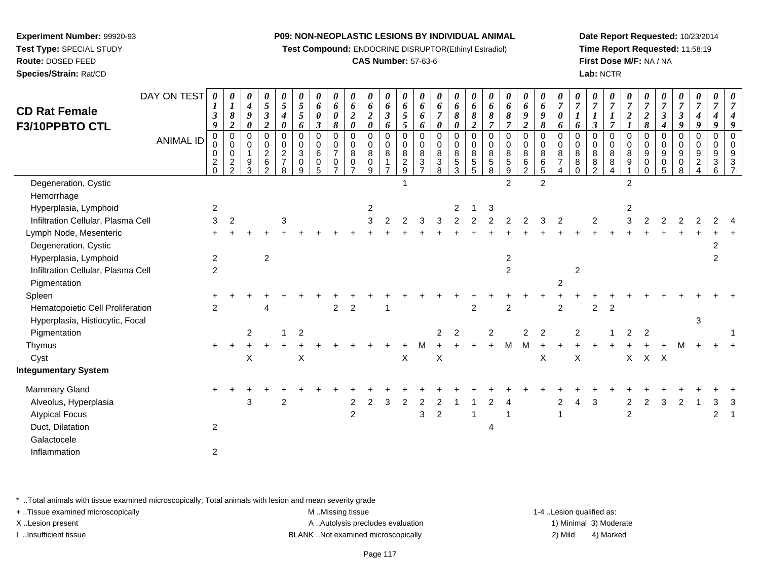**Test Compound:** ENDOCRINE DISRUPTOR(Ethinyl Estradiol)

#### **CAS Number:** 57-63-6

**Date Report Requested:** 10/23/2014**Time Report Requested:** 11:58:19**First Dose M/F:** NA / NA**Lab:** NCTR

|                                    | DAY ON TEST      | $\boldsymbol{I}$                           | $\boldsymbol{\theta}$                                                          | 0<br>$\boldsymbol{4}$                 | 0<br>$\mathfrak{s}$                                                          | 0<br>$5\phantom{.0}$                                  | 0<br>$\mathfrak{I}$                                      | 0<br>6                                                 | $\boldsymbol{\theta}$<br>6                                                       | 0<br>6                                                                              | 0<br>6                                                                    | 0<br>6                                              | 0<br>6                                                      | 0<br>6                                            | 0<br>6                                                             | 0<br>6                                                                      | 0<br>6                                                        | 0<br>6                                                            | 0<br>6                                                                    | 0<br>6                                                                     | 0<br>6                                      | $\overline{7}$                                      | 0<br>$\overline{7}$                             | 0<br>$\boldsymbol{7}$                                                          | 0<br>$\overline{7}$                                      | 0<br>$\overline{7}$                                      | $\overline{7}$                                               | 0<br>$\overline{7}$                  | 0<br>$\boldsymbol{7}$                            | 0<br>$\boldsymbol{7}$                                       | 0                                           | $\overline{7}$                                        |
|------------------------------------|------------------|--------------------------------------------|--------------------------------------------------------------------------------|---------------------------------------|------------------------------------------------------------------------------|-------------------------------------------------------|----------------------------------------------------------|--------------------------------------------------------|----------------------------------------------------------------------------------|-------------------------------------------------------------------------------------|---------------------------------------------------------------------------|-----------------------------------------------------|-------------------------------------------------------------|---------------------------------------------------|--------------------------------------------------------------------|-----------------------------------------------------------------------------|---------------------------------------------------------------|-------------------------------------------------------------------|---------------------------------------------------------------------------|----------------------------------------------------------------------------|---------------------------------------------|-----------------------------------------------------|-------------------------------------------------|--------------------------------------------------------------------------------|----------------------------------------------------------|----------------------------------------------------------|--------------------------------------------------------------|--------------------------------------|--------------------------------------------------|-------------------------------------------------------------|---------------------------------------------|-------------------------------------------------------|
| <b>CD Rat Female</b>               |                  | $\boldsymbol{\beta}$                       | $\pmb{8}$                                                                      | 9                                     | $\boldsymbol{\beta}$                                                         | $\boldsymbol{4}$                                      | 5                                                        | 0                                                      | $\boldsymbol{\theta}$                                                            | $\boldsymbol{2}$                                                                    | $\overline{2}$                                                            | $\boldsymbol{\beta}$                                | 5                                                           | 6                                                 | $\overline{7}$                                                     | 8                                                                           | 8                                                             | 8                                                                 | $\boldsymbol{\delta}$                                                     | 9                                                                          | 9                                           | $\boldsymbol{\theta}$                               |                                                 |                                                                                |                                                          | $\boldsymbol{2}$                                         | $\sqrt{2}$                                                   | $\overline{\mathbf{3}}$              | $\boldsymbol{\mathfrak{z}}$                      | $\boldsymbol{4}$                                            |                                             |                                                       |
| F3/10PPBTO CTL                     | <b>ANIMAL ID</b> | 9<br>$\mathbf 0$<br>0<br>0<br>$^2_{\rm 0}$ | $\boldsymbol{2}$<br>$\mathbf 0$<br>$\mathbf 0$<br>$\mathbf 0$<br>$\frac{2}{2}$ | 0<br>0<br>0<br>$\mathbf{1}$<br>9<br>3 | $\boldsymbol{2}$<br>$\mathbf 0$<br>$\mathbf 0$<br>$\boldsymbol{2}$<br>6<br>2 | 0<br>$\mathbf 0$<br>$\mathbf 0$<br>$\frac{2}{7}$<br>8 | 6<br>$\mathbf 0$<br>$\mathbf 0$<br>3<br>$\mathbf 0$<br>9 | 3<br>$\mathsf 0$<br>$\mathbf 0$<br>6<br>$\pmb{0}$<br>5 | 8<br>$\pmb{0}$<br>$\mathbf 0$<br>$\overline{7}$<br>$\mathbf 0$<br>$\overline{7}$ | $\boldsymbol{\theta}$<br>$\pmb{0}$<br>$\mathbf 0$<br>$\,8\,$<br>0<br>$\overline{7}$ | $\boldsymbol{\theta}$<br>$\mathbf 0$<br>$\Omega$<br>8<br>$\mathbf 0$<br>9 | 6<br>$\mathbf 0$<br>$\Omega$<br>8<br>$\overline{7}$ | 5<br>$\mathbf 0$<br>$\mathbf 0$<br>8<br>$\overline{c}$<br>9 | 6<br>0<br>$\mathbf 0$<br>8<br>3<br>$\overline{ }$ | $\boldsymbol{\theta}$<br>$\mathbf 0$<br>$\mathbf 0$<br>8<br>3<br>8 | $\boldsymbol{\theta}$<br>$\mathbf 0$<br>$\mathbf 0$<br>8<br>$\sqrt{5}$<br>3 | $\boldsymbol{2}$<br>$\mathbf 0$<br>$\mathbf 0$<br>8<br>5<br>5 | $\overline{7}$<br>$\mathsf 0$<br>$\mathbf 0$<br>$\bf 8$<br>5<br>8 | $\overline{7}$<br>0<br>$\mathbf 0$<br>8<br>$\sqrt{5}$<br>$\boldsymbol{9}$ | $\boldsymbol{2}$<br>$\mathbf 0$<br>$\mathbf 0$<br>8<br>6<br>$\overline{2}$ | 8<br>$\mathbf 0$<br>$\Omega$<br>8<br>6<br>5 | 6<br>$\mathbf 0$<br>$\Omega$<br>8<br>$\overline{7}$ | 6<br>$\Omega$<br>$\Omega$<br>8<br>8<br>$\Omega$ | $\boldsymbol{\beta}$<br>$\mathbf 0$<br>$\mathbf 0$<br>8<br>8<br>$\overline{c}$ | $\overline{7}$<br>$\mathbf 0$<br>$\Omega$<br>8<br>8<br>4 | $\boldsymbol{l}$<br>$\mathbf 0$<br>$\mathbf 0$<br>8<br>9 | 8<br>$\mathbf 0$<br>$\Omega$<br>9<br>$\mathbf 0$<br>$\Omega$ | 4<br>0<br>$\mathbf 0$<br>9<br>0<br>5 | 9<br>$\pmb{0}$<br>$\mathbf 0$<br>$9\,$<br>0<br>8 | 9<br>$\mathbf 0$<br>$\mathbf 0$<br>9<br>$\overline{c}$<br>4 | 9<br>$\mathbf 0$<br>$\Omega$<br>9<br>3<br>6 | 9<br>$\Omega$<br>$\Omega$<br>9<br>3<br>$\overline{7}$ |
| Degeneration, Cystic               |                  |                                            |                                                                                |                                       |                                                                              |                                                       |                                                          |                                                        |                                                                                  |                                                                                     |                                                                           |                                                     |                                                             |                                                   |                                                                    |                                                                             |                                                               |                                                                   | $\overline{2}$                                                            |                                                                            | $\overline{2}$                              |                                                     |                                                 |                                                                                |                                                          | $\overline{2}$                                           |                                                              |                                      |                                                  |                                                             |                                             |                                                       |
| Hemorrhage                         |                  |                                            |                                                                                |                                       |                                                                              |                                                       |                                                          |                                                        |                                                                                  |                                                                                     |                                                                           |                                                     |                                                             |                                                   |                                                                    |                                                                             |                                                               |                                                                   |                                                                           |                                                                            |                                             |                                                     |                                                 |                                                                                |                                                          |                                                          |                                                              |                                      |                                                  |                                                             |                                             |                                                       |
| Hyperplasia, Lymphoid              |                  | $\overline{c}$                             |                                                                                |                                       |                                                                              |                                                       |                                                          |                                                        |                                                                                  |                                                                                     | $\overline{c}$                                                            |                                                     |                                                             |                                                   |                                                                    | 2                                                                           |                                                               | 3                                                                 |                                                                           |                                                                            |                                             |                                                     |                                                 |                                                                                |                                                          | $\overline{c}$                                           |                                                              |                                      |                                                  |                                                             |                                             |                                                       |
| Infiltration Cellular, Plasma Cell |                  | $\mathfrak{Z}$                             | $\overline{2}$                                                                 |                                       |                                                                              | 3                                                     |                                                          |                                                        |                                                                                  |                                                                                     | 3                                                                         |                                                     | $\overline{2}$                                              | 3                                                 |                                                                    | $\mathcal{P}$                                                               |                                                               | 2                                                                 |                                                                           |                                                                            | 3                                           | 2                                                   |                                                 | 2                                                                              |                                                          | 3                                                        |                                                              |                                      |                                                  |                                                             |                                             |                                                       |
| Lymph Node, Mesenteric             |                  | $\ddot{}$                                  |                                                                                |                                       |                                                                              |                                                       |                                                          |                                                        |                                                                                  |                                                                                     |                                                                           |                                                     |                                                             |                                                   |                                                                    |                                                                             |                                                               |                                                                   |                                                                           |                                                                            |                                             |                                                     |                                                 |                                                                                |                                                          |                                                          |                                                              |                                      |                                                  |                                                             |                                             |                                                       |
| Degeneration, Cystic               |                  |                                            |                                                                                |                                       |                                                                              |                                                       |                                                          |                                                        |                                                                                  |                                                                                     |                                                                           |                                                     |                                                             |                                                   |                                                                    |                                                                             |                                                               |                                                                   |                                                                           |                                                                            |                                             |                                                     |                                                 |                                                                                |                                                          |                                                          |                                                              |                                      |                                                  |                                                             | 2                                           |                                                       |
| Hyperplasia, Lymphoid              |                  | $\overline{2}$                             |                                                                                |                                       | $\overline{2}$                                                               |                                                       |                                                          |                                                        |                                                                                  |                                                                                     |                                                                           |                                                     |                                                             |                                                   |                                                                    |                                                                             |                                                               |                                                                   | $\overline{2}$                                                            |                                                                            |                                             |                                                     |                                                 |                                                                                |                                                          |                                                          |                                                              |                                      |                                                  |                                                             | $\overline{2}$                              |                                                       |
| Infiltration Cellular, Plasma Cell |                  | $\boldsymbol{2}$                           |                                                                                |                                       |                                                                              |                                                       |                                                          |                                                        |                                                                                  |                                                                                     |                                                                           |                                                     |                                                             |                                                   |                                                                    |                                                                             |                                                               |                                                                   | $\overline{c}$                                                            |                                                                            |                                             |                                                     | $\overline{c}$                                  |                                                                                |                                                          |                                                          |                                                              |                                      |                                                  |                                                             |                                             |                                                       |
| Pigmentation                       |                  |                                            |                                                                                |                                       |                                                                              |                                                       |                                                          |                                                        |                                                                                  |                                                                                     |                                                                           |                                                     |                                                             |                                                   |                                                                    |                                                                             |                                                               |                                                                   |                                                                           |                                                                            |                                             | $\overline{2}$                                      |                                                 |                                                                                |                                                          |                                                          |                                                              |                                      |                                                  |                                                             |                                             |                                                       |
| Spleen                             |                  |                                            |                                                                                |                                       |                                                                              |                                                       |                                                          |                                                        |                                                                                  |                                                                                     |                                                                           |                                                     |                                                             |                                                   |                                                                    |                                                                             |                                                               |                                                                   |                                                                           |                                                                            |                                             |                                                     |                                                 |                                                                                |                                                          |                                                          |                                                              |                                      |                                                  |                                                             |                                             |                                                       |
| Hematopoietic Cell Proliferation   |                  | $\overline{2}$                             |                                                                                |                                       | Δ                                                                            |                                                       |                                                          |                                                        | $\overline{2}$                                                                   | $\overline{2}$                                                                      |                                                                           |                                                     |                                                             |                                                   |                                                                    |                                                                             | 2                                                             |                                                                   | $\overline{2}$                                                            |                                                                            |                                             | 2                                                   |                                                 | $\overline{2}$                                                                 | $\overline{2}$                                           |                                                          |                                                              |                                      |                                                  |                                                             |                                             |                                                       |
| Hyperplasia, Histiocytic, Focal    |                  |                                            |                                                                                |                                       |                                                                              |                                                       |                                                          |                                                        |                                                                                  |                                                                                     |                                                                           |                                                     |                                                             |                                                   |                                                                    |                                                                             |                                                               |                                                                   |                                                                           |                                                                            |                                             |                                                     |                                                 |                                                                                |                                                          |                                                          |                                                              |                                      |                                                  | 3                                                           |                                             |                                                       |
| Pigmentation                       |                  |                                            |                                                                                | 2                                     |                                                                              |                                                       | $\overline{c}$                                           |                                                        |                                                                                  |                                                                                     |                                                                           |                                                     |                                                             |                                                   |                                                                    | $\mathfrak{p}$                                                              |                                                               | $\overline{2}$                                                    |                                                                           | $\mathcal{P}$                                                              | $\overline{2}$                              |                                                     | $\overline{2}$                                  |                                                                                |                                                          | $\overline{2}$                                           | $\overline{2}$                                               |                                      |                                                  |                                                             |                                             |                                                       |
| Thymus                             |                  |                                            |                                                                                |                                       |                                                                              |                                                       |                                                          |                                                        |                                                                                  |                                                                                     |                                                                           |                                                     |                                                             |                                                   |                                                                    |                                                                             |                                                               |                                                                   |                                                                           |                                                                            |                                             |                                                     |                                                 |                                                                                |                                                          |                                                          |                                                              |                                      |                                                  |                                                             |                                             |                                                       |
| Cyst                               |                  |                                            |                                                                                | X                                     |                                                                              |                                                       | X                                                        |                                                        |                                                                                  |                                                                                     |                                                                           |                                                     | $\boldsymbol{\mathsf{X}}$                                   |                                                   | X                                                                  |                                                                             |                                                               |                                                                   |                                                                           |                                                                            | X                                           |                                                     | X                                               |                                                                                |                                                          | X                                                        | $X$ $X$                                                      |                                      |                                                  |                                                             |                                             |                                                       |
| <b>Integumentary System</b>        |                  |                                            |                                                                                |                                       |                                                                              |                                                       |                                                          |                                                        |                                                                                  |                                                                                     |                                                                           |                                                     |                                                             |                                                   |                                                                    |                                                                             |                                                               |                                                                   |                                                                           |                                                                            |                                             |                                                     |                                                 |                                                                                |                                                          |                                                          |                                                              |                                      |                                                  |                                                             |                                             |                                                       |
| Mammary Gland                      |                  |                                            |                                                                                |                                       |                                                                              |                                                       |                                                          |                                                        |                                                                                  |                                                                                     |                                                                           |                                                     |                                                             |                                                   |                                                                    |                                                                             |                                                               |                                                                   |                                                                           |                                                                            |                                             |                                                     |                                                 |                                                                                |                                                          |                                                          |                                                              |                                      |                                                  |                                                             |                                             |                                                       |
| Alveolus, Hyperplasia              |                  |                                            |                                                                                | 3                                     |                                                                              | $\overline{2}$                                        |                                                          |                                                        |                                                                                  | 2                                                                                   | 2                                                                         |                                                     | $\overline{2}$                                              | 2                                                 |                                                                    |                                                                             |                                                               | 2                                                                 |                                                                           |                                                                            |                                             | 2                                                   |                                                 | 3                                                                              |                                                          | 2                                                        | 2                                                            | 3                                    | 2                                                |                                                             | 3                                           |                                                       |
| <b>Atypical Focus</b>              |                  |                                            |                                                                                |                                       |                                                                              |                                                       |                                                          |                                                        |                                                                                  | $\overline{2}$                                                                      |                                                                           |                                                     |                                                             | 3                                                 | $\overline{c}$                                                     |                                                                             |                                                               |                                                                   |                                                                           |                                                                            |                                             | 1                                                   |                                                 |                                                                                |                                                          | $\overline{2}$                                           |                                                              |                                      |                                                  |                                                             | $\overline{2}$                              | -1                                                    |
| Duct, Dilatation                   |                  | $\overline{2}$                             |                                                                                |                                       |                                                                              |                                                       |                                                          |                                                        |                                                                                  |                                                                                     |                                                                           |                                                     |                                                             |                                                   |                                                                    |                                                                             |                                                               |                                                                   |                                                                           |                                                                            |                                             |                                                     |                                                 |                                                                                |                                                          |                                                          |                                                              |                                      |                                                  |                                                             |                                             |                                                       |
| Galactocele                        |                  |                                            |                                                                                |                                       |                                                                              |                                                       |                                                          |                                                        |                                                                                  |                                                                                     |                                                                           |                                                     |                                                             |                                                   |                                                                    |                                                                             |                                                               |                                                                   |                                                                           |                                                                            |                                             |                                                     |                                                 |                                                                                |                                                          |                                                          |                                                              |                                      |                                                  |                                                             |                                             |                                                       |
| Inflammation                       |                  | $\overline{2}$                             |                                                                                |                                       |                                                                              |                                                       |                                                          |                                                        |                                                                                  |                                                                                     |                                                                           |                                                     |                                                             |                                                   |                                                                    |                                                                             |                                                               |                                                                   |                                                                           |                                                                            |                                             |                                                     |                                                 |                                                                                |                                                          |                                                          |                                                              |                                      |                                                  |                                                             |                                             |                                                       |
|                                    |                  |                                            |                                                                                |                                       |                                                                              |                                                       |                                                          |                                                        |                                                                                  |                                                                                     |                                                                           |                                                     |                                                             |                                                   |                                                                    |                                                                             |                                                               |                                                                   |                                                                           |                                                                            |                                             |                                                     |                                                 |                                                                                |                                                          |                                                          |                                                              |                                      |                                                  |                                                             |                                             |                                                       |

\* ..Total animals with tissue examined microscopically; Total animals with lesion and mean severity grade

+ ..Tissue examined microscopically examined microscopically examined as:  $M$  ..Missing tissue 1-4 ..Lesion qualified as: X..Lesion present **A ..Autolysis precludes evaluation** A ..Autolysis precludes evaluation 1) Minimal 3) Moderate

I ..Insufficient tissue BLANK ..Not examined microscopically 2) Mild 4) Marked

## **Experiment Number:** 99920-93**Test Type:** SPECIAL STUDY**Route:** DOSED FEED

**Species/Strain:** Rat/CD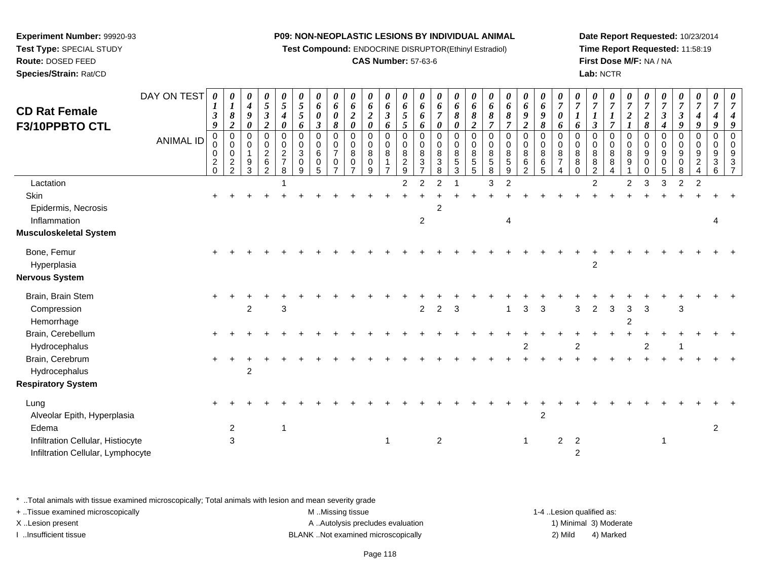**Test Compound:** ENDOCRINE DISRUPTOR(Ethinyl Estradiol)

#### **CAS Number:** 57-63-6

**Date Report Requested:** 10/23/2014**Time Report Requested:** 11:58:19**First Dose M/F:** NA / NA**Lab:** NCTR

| <b>CD Rat Female</b><br>F3/10PPBTO CTL                                                                                 | DAY ON TEST<br><b>ANIMAL ID</b> | 0<br>$\mathbf{I}$<br>$\boldsymbol{\beta}$<br>9<br>0<br>$\mathbf 0$<br>$\overline{c}$<br>$\Omega$ | $\boldsymbol{\theta}$<br>$\boldsymbol{l}$<br>8<br>$\boldsymbol{2}$<br>$\mathbf 0$<br>$\mathbf 0$<br>$\mathbf 0$<br>$\overline{c}$<br>$\overline{2}$ | 0<br>$\boldsymbol{4}$<br>9<br>0<br>0<br>0<br>$\mathbf{1}$<br>9<br>3 | 0<br>5<br>$\boldsymbol{\beta}$<br>$\boldsymbol{2}$<br>$\mathbf 0$<br>0<br>$\overline{c}$<br>6<br>2 | 0<br>5<br>4<br>0<br>0<br>0<br>$\overline{c}$<br>$\overline{7}$<br>8 | 0<br>$\sqrt{5}$<br>5<br>6<br>$\mathbf 0$<br>0<br>$\mathbf{3}$<br>$\pmb{0}$<br>9 | $\boldsymbol{\theta}$<br>6<br>$\boldsymbol{\theta}$<br>$\boldsymbol{\beta}$<br>$\pmb{0}$<br>$\mathbf 0$<br>6<br>$\mathbf 0$<br>5 | $\boldsymbol{\theta}$<br>6<br>0<br>8<br>0<br>0<br>$\overline{7}$<br>$\mathbf 0$<br>$\overline{7}$ | $\boldsymbol{\theta}$<br>6<br>$\boldsymbol{2}$<br>$\boldsymbol{\theta}$<br>$\mathbf 0$<br>$\mathbf 0$<br>8<br>$\mathbf 0$<br>$\overline{7}$ | 0<br>6<br>$\boldsymbol{2}$<br>0<br>$\mathbf 0$<br>$\Omega$<br>8<br>$\mathbf 0$<br>9 | 0<br>6<br>$\mathfrak{Z}$<br>6<br>$\mathbf 0$<br>0<br>8<br>1 | 0<br>6<br>5<br>$\mathfrak{s}$<br>$\mathbf 0$<br>$\Omega$<br>8<br>$\overline{c}$<br>9 | $\boldsymbol{\theta}$<br>6<br>6<br>6<br>0<br>0<br>$\,8\,$<br>3<br>$\overline{7}$ | $\boldsymbol{\theta}$<br>6<br>$\overline{7}$<br>$\boldsymbol{\theta}$<br>$\mathbf 0$<br>$\mathbf 0$<br>8<br>3<br>8 | 0<br>6<br>8<br>0<br>$\Omega$<br>$\Omega$<br>8<br>5<br>3 | 0<br>6<br>8<br>$\boldsymbol{2}$<br>$\mathbf 0$<br>0<br>8<br>5<br>5 | 0<br>6<br>8<br>$\mathbf 0$<br>$\Omega$<br>8<br>5<br>8 | 0<br>6<br>8<br>$\overline{7}$<br>0<br>$\mathbf 0$<br>$\,8\,$<br>$\sqrt{5}$<br>9 | $\boldsymbol{\theta}$<br>6<br>9<br>$\overline{2}$<br>$\pmb{0}$<br>$\pmb{0}$<br>8<br>6<br>$\overline{2}$ | 0<br>6<br>9<br>8<br>$\mathbf 0$<br>$\Omega$<br>8<br>6<br>5 | $\theta$<br>$\overline{7}$<br>0<br>6<br>$\mathbf 0$<br>0<br>8<br>$\overline{7}$ | 0<br>$\overline{7}$<br>6<br>$\mathbf 0$<br>$\Omega$<br>8<br>8 | 0<br>$\overline{7}$<br>$\boldsymbol{l}$<br>$\boldsymbol{\beta}$<br>$\mathbf 0$<br>$\mathbf 0$<br>8<br>8<br>$\overline{2}$ | 0<br>$\overline{7}$<br>1<br>$\overline{7}$<br>$\pmb{0}$<br>$\mathbf 0$<br>8<br>8 | 0<br>$\overline{7}$<br>2<br>$\mathbf 0$<br>$\Omega$<br>8<br>9 | 0<br>$\boldsymbol{2}$<br>8<br>$\Omega$<br>9<br>0 | 0<br>$\overline{7}$<br>3<br>4<br>$\mathbf 0$<br>$\Omega$<br>9<br>0<br>5 | 0<br>$\overline{7}$<br>$\boldsymbol{\beta}$<br>9<br>$\mathbf 0$<br>0<br>9<br>$\mathbf 0$<br>8 | 0<br>$\overline{7}$<br>$\boldsymbol{4}$<br>9<br>$\mathbf 0$<br>$\Omega$<br>9<br>$\overline{2}$<br>4 | $\theta$<br>$\overline{7}$<br>$\mathbf 0$<br>$\Omega$<br>9<br>3<br>6 |  |
|------------------------------------------------------------------------------------------------------------------------|---------------------------------|--------------------------------------------------------------------------------------------------|-----------------------------------------------------------------------------------------------------------------------------------------------------|---------------------------------------------------------------------|----------------------------------------------------------------------------------------------------|---------------------------------------------------------------------|---------------------------------------------------------------------------------|----------------------------------------------------------------------------------------------------------------------------------|---------------------------------------------------------------------------------------------------|---------------------------------------------------------------------------------------------------------------------------------------------|-------------------------------------------------------------------------------------|-------------------------------------------------------------|--------------------------------------------------------------------------------------|----------------------------------------------------------------------------------|--------------------------------------------------------------------------------------------------------------------|---------------------------------------------------------|--------------------------------------------------------------------|-------------------------------------------------------|---------------------------------------------------------------------------------|---------------------------------------------------------------------------------------------------------|------------------------------------------------------------|---------------------------------------------------------------------------------|---------------------------------------------------------------|---------------------------------------------------------------------------------------------------------------------------|----------------------------------------------------------------------------------|---------------------------------------------------------------|--------------------------------------------------|-------------------------------------------------------------------------|-----------------------------------------------------------------------------------------------|-----------------------------------------------------------------------------------------------------|----------------------------------------------------------------------|--|
| Lactation                                                                                                              |                                 |                                                                                                  |                                                                                                                                                     |                                                                     |                                                                                                    |                                                                     |                                                                                 |                                                                                                                                  |                                                                                                   |                                                                                                                                             |                                                                                     |                                                             | $\overline{2}$                                                                       | $\overline{2}$                                                                   | $\mathfrak{p}$                                                                                                     |                                                         |                                                                    | 3                                                     | $\overline{2}$                                                                  |                                                                                                         |                                                            |                                                                                 |                                                               | $\overline{2}$                                                                                                            |                                                                                  | $\overline{2}$                                                | 3                                                | 3                                                                       | $\overline{2}$                                                                                | 2                                                                                                   |                                                                      |  |
| Skin                                                                                                                   |                                 |                                                                                                  |                                                                                                                                                     |                                                                     |                                                                                                    |                                                                     |                                                                                 |                                                                                                                                  |                                                                                                   |                                                                                                                                             |                                                                                     |                                                             |                                                                                      |                                                                                  |                                                                                                                    |                                                         |                                                                    |                                                       |                                                                                 |                                                                                                         |                                                            |                                                                                 |                                                               |                                                                                                                           |                                                                                  |                                                               |                                                  |                                                                         |                                                                                               |                                                                                                     |                                                                      |  |
| Epidermis, Necrosis<br>Inflammation<br>Musculoskeletal System                                                          |                                 |                                                                                                  |                                                                                                                                                     |                                                                     |                                                                                                    |                                                                     |                                                                                 |                                                                                                                                  |                                                                                                   |                                                                                                                                             |                                                                                     |                                                             |                                                                                      | $\overline{c}$                                                                   | 2                                                                                                                  |                                                         |                                                                    |                                                       | 4                                                                               |                                                                                                         |                                                            |                                                                                 |                                                               |                                                                                                                           |                                                                                  |                                                               |                                                  |                                                                         |                                                                                               |                                                                                                     | 4                                                                    |  |
| Bone, Femur<br>Hyperplasia<br>Nervous System                                                                           |                                 |                                                                                                  |                                                                                                                                                     |                                                                     |                                                                                                    |                                                                     |                                                                                 |                                                                                                                                  |                                                                                                   |                                                                                                                                             |                                                                                     |                                                             |                                                                                      |                                                                                  |                                                                                                                    |                                                         |                                                                    |                                                       |                                                                                 |                                                                                                         |                                                            |                                                                                 |                                                               | 2                                                                                                                         |                                                                                  |                                                               |                                                  |                                                                         |                                                                                               |                                                                                                     |                                                                      |  |
| Brain, Brain Stem<br>Compression<br>Hemorrhage                                                                         |                                 |                                                                                                  |                                                                                                                                                     | $\overline{2}$                                                      |                                                                                                    | 3                                                                   |                                                                                 |                                                                                                                                  |                                                                                                   |                                                                                                                                             |                                                                                     |                                                             |                                                                                      | $\overline{2}$                                                                   | 2                                                                                                                  | 3                                                       |                                                                    |                                                       | -1                                                                              | 3                                                                                                       | 3                                                          |                                                                                 | 3                                                             | $\overline{2}$                                                                                                            | 3                                                                                | 3<br>$\overline{2}$                                           | 3                                                |                                                                         | 3                                                                                             |                                                                                                     |                                                                      |  |
| Brain, Cerebellum<br>Hydrocephalus                                                                                     |                                 |                                                                                                  |                                                                                                                                                     |                                                                     |                                                                                                    |                                                                     |                                                                                 |                                                                                                                                  |                                                                                                   |                                                                                                                                             |                                                                                     |                                                             |                                                                                      |                                                                                  |                                                                                                                    |                                                         |                                                                    |                                                       |                                                                                 | 2                                                                                                       |                                                            |                                                                                 | 2                                                             |                                                                                                                           |                                                                                  |                                                               | 2                                                |                                                                         |                                                                                               |                                                                                                     |                                                                      |  |
| Brain, Cerebrum<br>Hydrocephalus<br><b>Respiratory System</b>                                                          |                                 |                                                                                                  |                                                                                                                                                     | $\overline{2}$                                                      |                                                                                                    |                                                                     |                                                                                 |                                                                                                                                  |                                                                                                   |                                                                                                                                             |                                                                                     |                                                             |                                                                                      |                                                                                  |                                                                                                                    |                                                         |                                                                    |                                                       |                                                                                 |                                                                                                         |                                                            |                                                                                 |                                                               |                                                                                                                           |                                                                                  |                                                               |                                                  |                                                                         |                                                                                               |                                                                                                     |                                                                      |  |
| Lung<br>Alveolar Epith, Hyperplasia<br>Edema<br>Infiltration Cellular, Histiocyte<br>Infiltration Cellular, Lymphocyte |                                 |                                                                                                  | $\overline{2}$<br>3                                                                                                                                 |                                                                     |                                                                                                    | $\overline{1}$                                                      |                                                                                 |                                                                                                                                  |                                                                                                   |                                                                                                                                             |                                                                                     | $\mathbf{1}$                                                |                                                                                      |                                                                                  | $\overline{2}$                                                                                                     |                                                         |                                                                    |                                                       |                                                                                 | 1                                                                                                       | 2                                                          | $\overline{2}$                                                                  | 2<br>2                                                        |                                                                                                                           |                                                                                  |                                                               |                                                  |                                                                         |                                                                                               |                                                                                                     | $\overline{2}$                                                       |  |
|                                                                                                                        |                                 |                                                                                                  |                                                                                                                                                     |                                                                     |                                                                                                    |                                                                     |                                                                                 |                                                                                                                                  |                                                                                                   |                                                                                                                                             |                                                                                     |                                                             |                                                                                      |                                                                                  |                                                                                                                    |                                                         |                                                                    |                                                       |                                                                                 |                                                                                                         |                                                            |                                                                                 |                                                               |                                                                                                                           |                                                                                  |                                                               |                                                  |                                                                         |                                                                                               |                                                                                                     |                                                                      |  |

\* ..Total animals with tissue examined microscopically; Total animals with lesion and mean severity grade

**Experiment Number:** 99920-93**Test Type:** SPECIAL STUDY**Route:** DOSED FEED**Species/Strain:** Rat/CD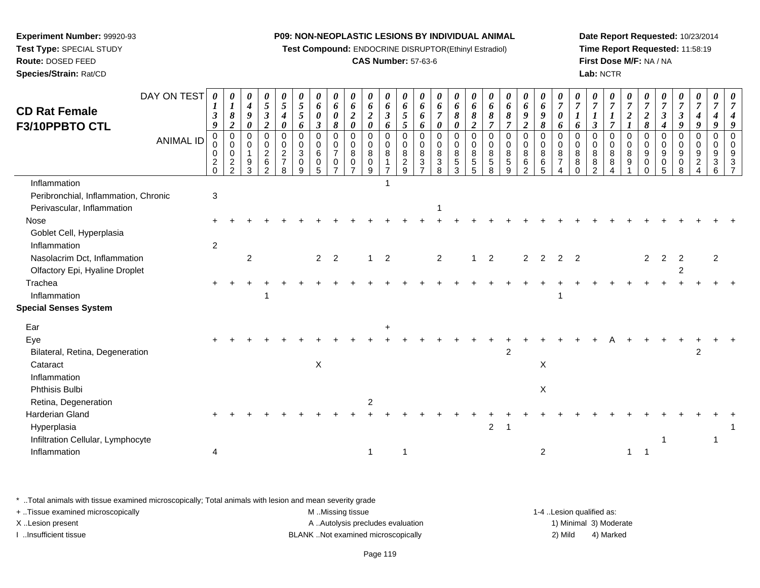**Test Compound:** ENDOCRINE DISRUPTOR(Ethinyl Estradiol)

#### **CAS Number:** 57-63-6

**Date Report Requested:** 10/23/2014**Time Report Requested:** 11:58:19**First Dose M/F:** NA / NA**Lab:** NCTR

| DAY ON TEST<br><b>CD Rat Female</b><br>F3/10PPBTO CTL                              | 0<br>1<br>$\mathfrak{z}$<br>9                       | 0<br>$\boldsymbol{l}$<br>$\pmb{8}$<br>$\boldsymbol{2}$                    | 0<br>4<br>9<br>0           | 0<br>$\sqrt{5}$<br>$\boldsymbol{\beta}$<br>$\boldsymbol{2}$ | 0<br>5<br>4<br>0                                              | 0<br>5<br>$\mathfrak{s}$<br>6                        | 0<br>6<br>$\boldsymbol{\theta}$<br>$\mathfrak{z}$      | 0<br>6<br>$\boldsymbol{\theta}$<br>8    | 0<br>6<br>$\boldsymbol{2}$<br>$\pmb{\theta}$ | 0<br>6<br>$\boldsymbol{2}$<br>$\boldsymbol{\theta}$ | 0<br>6<br>$\boldsymbol{\beta}$<br>6         | 0<br>6<br>$\overline{5}$<br>$\sqrt{5}$                   | 0<br>6<br>6<br>6 | 0<br>6<br>$\overline{7}$<br>0 | 0<br>6<br>8<br>0                                   | 0<br>6<br>8<br>$\boldsymbol{2}$                          | 0<br>6<br>8<br>$\overline{7}$                      | 0<br>6<br>8<br>$\overline{7}$   | 0<br>6<br>9<br>$\boldsymbol{2}$ | 0<br>6<br>9<br>8                                | 0<br>$\overline{7}$<br>$\boldsymbol{\theta}$<br>6      | $\overline{7}$<br>6                 | 0<br>7<br>3                                  | 0<br>$\overline{7}$<br>$\overline{7}$ | 0<br>$\overline{7}$<br>$\boldsymbol{2}$ | 0<br>$\overline{7}$<br>$\boldsymbol{2}$<br>8     | 7<br>$\mathfrak{z}$<br>4               | 0<br>7<br>$\mathbf{3}$<br>9      | 0<br>$\overline{7}$<br>4<br>9                  | 0<br>7<br>9                            |  |
|------------------------------------------------------------------------------------|-----------------------------------------------------|---------------------------------------------------------------------------|----------------------------|-------------------------------------------------------------|---------------------------------------------------------------|------------------------------------------------------|--------------------------------------------------------|-----------------------------------------|----------------------------------------------|-----------------------------------------------------|---------------------------------------------|----------------------------------------------------------|------------------|-------------------------------|----------------------------------------------------|----------------------------------------------------------|----------------------------------------------------|---------------------------------|---------------------------------|-------------------------------------------------|--------------------------------------------------------|-------------------------------------|----------------------------------------------|---------------------------------------|-----------------------------------------|--------------------------------------------------|----------------------------------------|----------------------------------|------------------------------------------------|----------------------------------------|--|
| <b>ANIMAL ID</b>                                                                   | 0<br>$\mathbf 0$<br>0<br>$\overline{c}$<br>$\Omega$ | $\mathbf 0$<br>$\mathbf 0$<br>$\mathbf 0$<br>$\sqrt{2}$<br>$\overline{2}$ | 0<br>$\mathbf 0$<br>9<br>3 | $\mathbf 0$<br>0<br>$\overline{c}$<br>6<br>2                | $\mathbf 0$<br>$\pmb{0}$<br>$\sqrt{2}$<br>$\overline{7}$<br>8 | $\mathbf 0$<br>$\mathbf 0$<br>$\mathbf{3}$<br>0<br>9 | $\mathbf 0$<br>$\mathbf 0$<br>6<br>0<br>$\overline{5}$ | 0<br>0<br>$\overline{7}$<br>$\mathbf 0$ | $\mathbf 0$<br>0<br>8<br>0                   | $\mathbf 0$<br>$\mathbf 0$<br>8<br>$\mathbf 0$<br>9 | $\mathbf 0$<br>$\mathbf 0$<br>$\,8\,$<br>-1 | $\Omega$<br>$\mathbf 0$<br>$\bf8$<br>$\overline{c}$<br>9 | 0<br>0<br>8<br>3 | $\Omega$<br>0<br>8<br>3<br>8  | $\mathbf 0$<br>$\mathbf 0$<br>8<br>$\sqrt{5}$<br>3 | $\mathbf 0$<br>$\mathbf 0$<br>$\,8\,$<br>$\sqrt{5}$<br>5 | $\mathbf 0$<br>$\mathbf 0$<br>8<br>$\sqrt{5}$<br>8 | $\mathbf 0$<br>0<br>8<br>5<br>9 | $\mathbf 0$<br>0<br>8<br>6<br>2 | $\mathbf 0$<br>$\mathbf 0$<br>8<br>$\,6\,$<br>5 | $\mathbf 0$<br>$\mathbf 0$<br>8<br>$\overline{7}$<br>4 | $\Omega$<br>0<br>8<br>8<br>$\Omega$ | 0<br>$\mathbf 0$<br>8<br>8<br>$\mathfrak{p}$ | $\Omega$<br>$\mathbf 0$<br>8<br>8     | $\Omega$<br>$\mathbf 0$<br>8<br>9       | $\mathbf 0$<br>$\mathbf 0$<br>9<br>0<br>$\Omega$ | $\Omega$<br>$\mathbf 0$<br>9<br>0<br>5 | $\Omega$<br>0<br>9<br>0<br>8     | $\Omega$<br>$\mathbf 0$<br>9<br>$\overline{c}$ | $\Omega$<br>$\mathbf 0$<br>9<br>3<br>6 |  |
| Inflammation<br>Peribronchial, Inflammation, Chronic<br>Perivascular, Inflammation | $\mathbf{3}$                                        |                                                                           |                            |                                                             |                                                               |                                                      |                                                        |                                         |                                              |                                                     |                                             |                                                          |                  |                               |                                                    |                                                          |                                                    |                                 |                                 |                                                 |                                                        |                                     |                                              |                                       |                                         |                                                  |                                        |                                  |                                                |                                        |  |
| Nose<br>Goblet Cell, Hyperplasia                                                   |                                                     |                                                                           |                            |                                                             |                                                               |                                                      |                                                        |                                         |                                              |                                                     |                                             |                                                          |                  |                               |                                                    |                                                          |                                                    |                                 |                                 |                                                 |                                                        |                                     |                                              |                                       |                                         |                                                  |                                        |                                  |                                                |                                        |  |
| Inflammation<br>Nasolacrim Dct, Inflammation<br>Olfactory Epi, Hyaline Droplet     | $\overline{2}$                                      |                                                                           | $\overline{2}$             |                                                             |                                                               |                                                      | $\overline{2}$                                         | $\overline{2}$                          |                                              | $\mathbf 1$                                         | 2                                           |                                                          |                  | $\overline{2}$                |                                                    | 1                                                        | $\overline{2}$                                     |                                 |                                 | $2 \quad 2$                                     | 2 <sub>2</sub>                                         |                                     |                                              |                                       |                                         | $\overline{2}$                                   | $\overline{2}$                         | $\overline{2}$<br>$\overline{2}$ |                                                | $\overline{2}$                         |  |
| Trachea<br>Inflammation                                                            |                                                     |                                                                           |                            |                                                             |                                                               |                                                      |                                                        |                                         |                                              |                                                     |                                             |                                                          |                  |                               |                                                    |                                                          |                                                    |                                 |                                 |                                                 |                                                        |                                     |                                              |                                       |                                         |                                                  |                                        |                                  |                                                |                                        |  |
| <b>Special Senses System</b>                                                       |                                                     |                                                                           |                            |                                                             |                                                               |                                                      |                                                        |                                         |                                              |                                                     |                                             |                                                          |                  |                               |                                                    |                                                          |                                                    |                                 |                                 |                                                 |                                                        |                                     |                                              |                                       |                                         |                                                  |                                        |                                  |                                                |                                        |  |
| Ear<br>Eye<br>Bilateral, Retina, Degeneration<br>Cataract                          |                                                     |                                                                           |                            |                                                             |                                                               |                                                      | $\mathsf X$                                            |                                         |                                              |                                                     | $\ddot{}$                                   |                                                          |                  |                               |                                                    |                                                          |                                                    | 2                               |                                 | X                                               |                                                        |                                     |                                              |                                       |                                         |                                                  |                                        |                                  | 2                                              |                                        |  |
| Inflammation<br>Phthisis Bulbi<br>Retina, Degeneration                             |                                                     |                                                                           |                            |                                                             |                                                               |                                                      |                                                        |                                         |                                              | 2                                                   |                                             |                                                          |                  |                               |                                                    |                                                          |                                                    |                                 |                                 | X                                               |                                                        |                                     |                                              |                                       |                                         |                                                  |                                        |                                  |                                                |                                        |  |
| Harderian Gland<br>Hyperplasia<br>Infiltration Cellular, Lymphocyte                |                                                     |                                                                           |                            |                                                             |                                                               |                                                      |                                                        |                                         |                                              |                                                     |                                             |                                                          |                  |                               |                                                    |                                                          | $\overline{a}$                                     | $\mathbf 1$                     |                                 |                                                 |                                                        |                                     |                                              |                                       |                                         |                                                  |                                        |                                  |                                                |                                        |  |
| Inflammation                                                                       | 4                                                   |                                                                           |                            |                                                             |                                                               |                                                      |                                                        |                                         |                                              | -1                                                  |                                             | 1                                                        |                  |                               |                                                    |                                                          |                                                    |                                 |                                 | $\overline{2}$                                  |                                                        |                                     |                                              |                                       |                                         |                                                  |                                        |                                  |                                                |                                        |  |

\* ..Total animals with tissue examined microscopically; Total animals with lesion and mean severity grade

| + Tissue examined microscopically | M Missing tissue                   | 1-4 Lesion qualified as: |
|-----------------------------------|------------------------------------|--------------------------|
| X Lesion present                  | A Autolysis precludes evaluation   | 1) Minimal 3) Moderate   |
| …Insufficient tissue              | BLANK Not examined microscopically | 2) Mild<br>4) Marked     |

**Experiment Number:** 99920-93**Test Type:** SPECIAL STUDY**Route:** DOSED FEED

**Species/Strain:** Rat/CD

 $\overline{\phantom{0}}$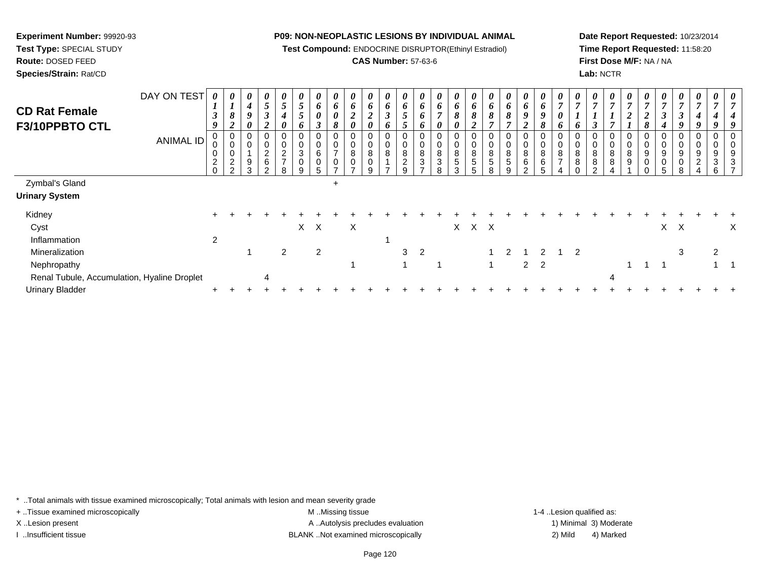**Test Compound:** ENDOCRINE DISRUPTOR(Ethinyl Estradiol)

#### **CAS Number:** 57-63-6

**Date Report Requested:** 10/23/2014**Time Report Requested:** 11:58:20**First Dose M/F:** NA / NA**Lab:** NCTR

| <b>CD Rat Female</b><br>F3/10PPBTO CTL      | DAY ON TEST<br><b>ANIMAL ID</b> | 9<br>0<br>$\overline{c}$<br>$\Omega$ | $\theta$<br>8<br>0<br>0<br>$\pmb{0}$<br>$\overline{c}$<br>$\Omega$ | 0<br>4<br>9<br>0<br>0<br>0<br>9<br>3 | $\boldsymbol{\theta}$<br>$\mathfrak{s}$<br>$\boldsymbol{\beta}$<br>$\overline{2}$<br>$\mathbf 0$<br>$\overline{c}$<br>$\,6\,$<br>$\sim$ | 0<br>5<br>0<br>$\overline{\mathbf{c}}$<br>$\overline{ }$ | 5<br>5<br>3<br>$\mathbf 0$ | $\theta$<br>6<br>0<br>0<br>6<br>0<br>5 | $\boldsymbol{\theta}$<br>6<br>0<br>8<br>0<br>$\pmb{0}$<br>$\overline{z}$<br>$\pmb{0}$<br>$\overline{ }$ | 0<br>6<br>$\boldsymbol{2}$<br>$\boldsymbol{\theta}$<br>0<br>$\mathbf 0$<br>8<br>$\pmb{0}$<br>$\rightarrow$ | 0<br>6<br>$\rightarrow$<br>◢<br>0<br>0<br>8<br>0<br>$\circ$ | o<br>$\boldsymbol{\beta}$<br>8 | $\theta$<br>6<br>8<br>$\boldsymbol{2}$<br>a | $\theta$<br>6<br>6<br>6<br>0<br>0<br>8<br>$\ensuremath{\mathsf{3}}$<br>- | 0<br>6<br>$\overline{ }$<br>0<br>0<br>$\pmb{0}$<br>8<br>$\sqrt{3}$<br>8 | $\boldsymbol{\theta}$<br>6<br>8<br>0<br>0<br>$\pmb{0}$<br>8<br>5<br>3 | $\boldsymbol{\theta}$<br>6<br>8<br>8<br>$\sqrt{5}$ | 0<br>6<br>8<br>$\overline{ }$<br>0<br>0<br>8<br>$5\phantom{.0}$<br>R | $\theta$<br>6<br>8<br>$\mathbf{r}$<br>0<br>$\bf 8$<br>$\sqrt{5}$<br>9 | $\boldsymbol{\theta}$<br>6<br>9<br>$\overline{2}$<br>0<br>$\pmb{0}$<br>$\, 8$<br>$\,6$<br>$\Omega$ | $\boldsymbol{\theta}$<br>6<br>9<br>8<br>0<br>8<br>$\,6$<br>5 | 0<br>8<br>$\overline{ }$ | $\theta$<br>8<br>8 | 0<br>$\overline{ }$<br>0<br>8<br>$\bf 8$ | 0<br>$\overline{ }$<br>0<br>8<br>8 | 0<br>$\mathbf 0$<br>8<br>9 | ◢<br>0<br>9<br>$\pmb{0}$ | 0<br>$\overline{ }$<br>9<br>$\pmb{0}$<br>Б. | 0<br>$\overline{ }$<br>3<br>9<br>0<br>9<br>0 | 0<br>0<br>9<br>$\overline{c}$ | 0<br>9<br>3    | 9<br>3 |
|---------------------------------------------|---------------------------------|--------------------------------------|--------------------------------------------------------------------|--------------------------------------|-----------------------------------------------------------------------------------------------------------------------------------------|----------------------------------------------------------|----------------------------|----------------------------------------|---------------------------------------------------------------------------------------------------------|------------------------------------------------------------------------------------------------------------|-------------------------------------------------------------|--------------------------------|---------------------------------------------|--------------------------------------------------------------------------|-------------------------------------------------------------------------|-----------------------------------------------------------------------|----------------------------------------------------|----------------------------------------------------------------------|-----------------------------------------------------------------------|----------------------------------------------------------------------------------------------------|--------------------------------------------------------------|--------------------------|--------------------|------------------------------------------|------------------------------------|----------------------------|--------------------------|---------------------------------------------|----------------------------------------------|-------------------------------|----------------|--------|
| Zymbal's Gland                              |                                 |                                      |                                                                    |                                      |                                                                                                                                         |                                                          |                            |                                        | $\ddot{}$                                                                                               |                                                                                                            |                                                             |                                |                                             |                                                                          |                                                                         |                                                                       |                                                    |                                                                      |                                                                       |                                                                                                    |                                                              |                          |                    |                                          |                                    |                            |                          |                                             |                                              |                               |                |        |
| <b>Urinary System</b>                       |                                 |                                      |                                                                    |                                      |                                                                                                                                         |                                                          |                            |                                        |                                                                                                         |                                                                                                            |                                                             |                                |                                             |                                                                          |                                                                         |                                                                       |                                                    |                                                                      |                                                                       |                                                                                                    |                                                              |                          |                    |                                          |                                    |                            |                          |                                             |                                              |                               |                |        |
| Kidney                                      |                                 |                                      |                                                                    |                                      |                                                                                                                                         |                                                          |                            |                                        |                                                                                                         |                                                                                                            |                                                             |                                |                                             |                                                                          |                                                                         |                                                                       |                                                    |                                                                      |                                                                       |                                                                                                    |                                                              |                          |                    |                                          |                                    |                            |                          |                                             |                                              |                               |                |        |
| Cyst                                        |                                 |                                      |                                                                    |                                      |                                                                                                                                         |                                                          |                            | $X$ $X$                                |                                                                                                         | $\times$                                                                                                   |                                                             |                                |                                             |                                                                          |                                                                         |                                                                       | X X X                                              |                                                                      |                                                                       |                                                                                                    |                                                              |                          |                    |                                          |                                    |                            |                          | $X$ $X$                                     |                                              |                               |                | X      |
| Inflammation                                |                                 | 2                                    |                                                                    |                                      |                                                                                                                                         |                                                          |                            |                                        |                                                                                                         |                                                                                                            |                                                             |                                |                                             |                                                                          |                                                                         |                                                                       |                                                    |                                                                      |                                                                       |                                                                                                    |                                                              |                          |                    |                                          |                                    |                            |                          |                                             |                                              |                               |                |        |
| Mineralization                              |                                 |                                      |                                                                    |                                      |                                                                                                                                         | າ                                                        |                            | $\overline{2}$                         |                                                                                                         |                                                                                                            |                                                             |                                | 3                                           | $\overline{2}$                                                           |                                                                         |                                                                       |                                                    |                                                                      | 2                                                                     |                                                                                                    | $\mathcal{P}$                                                |                          | $\overline{2}$     |                                          |                                    |                            |                          |                                             | 3                                            |                               | $\overline{2}$ |        |
| Nephropathy                                 |                                 |                                      |                                                                    |                                      |                                                                                                                                         |                                                          |                            |                                        |                                                                                                         |                                                                                                            |                                                             |                                |                                             |                                                                          |                                                                         |                                                                       |                                                    |                                                                      |                                                                       | 2                                                                                                  | $\overline{2}$                                               |                          |                    |                                          |                                    |                            |                          |                                             |                                              |                               |                |        |
| Renal Tubule, Accumulation, Hyaline Droplet |                                 |                                      |                                                                    |                                      | 4                                                                                                                                       |                                                          |                            |                                        |                                                                                                         |                                                                                                            |                                                             |                                |                                             |                                                                          |                                                                         |                                                                       |                                                    |                                                                      |                                                                       |                                                                                                    |                                                              |                          |                    |                                          | 4                                  |                            |                          |                                             |                                              |                               |                |        |
| <b>Urinary Bladder</b>                      |                                 | ÷                                    |                                                                    |                                      |                                                                                                                                         |                                                          |                            |                                        |                                                                                                         |                                                                                                            |                                                             |                                |                                             |                                                                          |                                                                         |                                                                       |                                                    |                                                                      |                                                                       |                                                                                                    |                                                              |                          |                    |                                          |                                    |                            |                          |                                             |                                              |                               |                |        |
|                                             |                                 |                                      |                                                                    |                                      |                                                                                                                                         |                                                          |                            |                                        |                                                                                                         |                                                                                                            |                                                             |                                |                                             |                                                                          |                                                                         |                                                                       |                                                    |                                                                      |                                                                       |                                                                                                    |                                                              |                          |                    |                                          |                                    |                            |                          |                                             |                                              |                               |                |        |

\* ..Total animals with tissue examined microscopically; Total animals with lesion and mean severity grade

+ ..Tissue examined microscopically examined microscopically examined as:  $M$  ..Missing tissue 1-4 ..Lesion qualified as:

**Experiment Number:** 99920-93**Test Type:** SPECIAL STUDY**Route:** DOSED FEED**Species/Strain:** Rat/CD

X..Lesion present **A ..Autolysis precludes evaluation** A ..Autolysis precludes evaluation 1) Minimal 3) Moderate I ..Insufficient tissue BLANK ..Not examined microscopically 2) Mild 4) Marked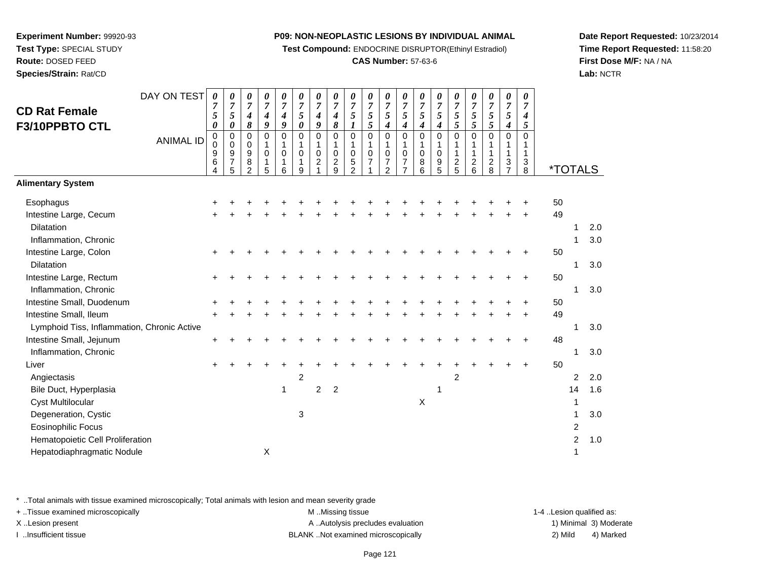**Test Compound:** ENDOCRINE DISRUPTOR(Ethinyl Estradiol)

#### **CAS Number:** 57-63-6

**Date Report Requested:** 10/23/2014**Time Report Requested:** 11:58:20**First Dose M/F:** NA / NA**Lab:** NCTR

| <b>CD Rat Female</b><br>F3/10PPBTO CTL                                | DAY ON TEST<br><b>ANIMAL ID</b> | $\boldsymbol{\theta}$<br>$\overline{7}$<br>5<br>0<br>$\mathbf 0$<br>$\Omega$<br>9<br>6<br>4 | 0<br>$\boldsymbol{7}$<br>5<br>0<br>$\Omega$<br>0<br>9<br>$\overline{7}$<br>5 | $\boldsymbol{\theta}$<br>$\overline{7}$<br>4<br>8<br>$\Omega$<br>$\mathbf 0$<br>9<br>$\bf 8$<br>$\mathfrak{p}$ | 0<br>$\overline{7}$<br>4<br>9<br>$\Omega$<br>0<br>5 | 0<br>$\overline{7}$<br>$\boldsymbol{4}$<br>9<br>$\Omega$<br>1<br>0<br>6 | 0<br>$\overline{7}$<br>5<br>$\boldsymbol{\theta}$<br>$\Omega$<br>1<br>0<br>1<br>9 | 0<br>$\overline{7}$<br>$\boldsymbol{4}$<br>$\boldsymbol{9}$<br>$\Omega$<br>0<br>$\overline{c}$ | 0<br>$\overline{7}$<br>$\boldsymbol{4}$<br>8<br>$\Omega$<br>1<br>0<br>$\boldsymbol{2}$<br>9 | 0<br>$\overline{7}$<br>5<br>$\boldsymbol{l}$<br>$\Omega$<br>$\mathbf 1$<br>$\mathbf 0$<br>5<br>$\overline{2}$ | 0<br>$\overline{7}$<br>5<br>5<br>$\Omega$<br>1<br>0<br>$\overline{7}$ | 0<br>$\overline{7}$<br>5<br>4<br>$\Omega$<br>0<br>7<br>$\overline{2}$ | $\boldsymbol{\theta}$<br>$\overline{7}$<br>5<br>4<br>$\Omega$<br>1<br>0<br>7<br>$\overline{7}$ | 0<br>$\overline{7}$<br>5<br>4<br>$\Omega$<br>1<br>0<br>8<br>6 | 0<br>$\overline{7}$<br>5<br>$\boldsymbol{4}$<br>$\Omega$<br>$\mathbf 0$<br>$\begin{array}{c} 9 \\ 5 \end{array}$ | 0<br>$\overline{7}$<br>5<br>5<br>$\Omega$<br>1<br>1<br>$\frac{2}{5}$ | 0<br>$\boldsymbol{7}$<br>$\sqrt{5}$<br>$\mathfrak{s}$<br>$\Omega$<br>$\boldsymbol{2}$<br>6 | 0<br>$\overline{7}$<br>$\sqrt{5}$<br>$\sqrt{5}$<br>$\mathbf 0$<br>1<br>1<br>$_{\rm 8}^2$ | 0<br>$\overline{7}$<br>5<br>4<br>$\Omega$<br>$\mathbf{1}$<br>3<br>$\overline{7}$ | 0<br>$\overline{7}$<br>$\boldsymbol{4}$<br>5<br>$\Omega$<br>1<br>$\mathbf{1}$<br>3<br>8 | <i><b>*TOTALS</b></i> |                     |            |
|-----------------------------------------------------------------------|---------------------------------|---------------------------------------------------------------------------------------------|------------------------------------------------------------------------------|----------------------------------------------------------------------------------------------------------------|-----------------------------------------------------|-------------------------------------------------------------------------|-----------------------------------------------------------------------------------|------------------------------------------------------------------------------------------------|---------------------------------------------------------------------------------------------|---------------------------------------------------------------------------------------------------------------|-----------------------------------------------------------------------|-----------------------------------------------------------------------|------------------------------------------------------------------------------------------------|---------------------------------------------------------------|------------------------------------------------------------------------------------------------------------------|----------------------------------------------------------------------|--------------------------------------------------------------------------------------------|------------------------------------------------------------------------------------------|----------------------------------------------------------------------------------|-----------------------------------------------------------------------------------------|-----------------------|---------------------|------------|
| <b>Alimentary System</b>                                              |                                 |                                                                                             |                                                                              |                                                                                                                |                                                     |                                                                         |                                                                                   |                                                                                                |                                                                                             |                                                                                                               |                                                                       |                                                                       |                                                                                                |                                                               |                                                                                                                  |                                                                      |                                                                                            |                                                                                          |                                                                                  |                                                                                         |                       |                     |            |
| Esophagus<br>Intestine Large, Cecum<br>Dilatation                     |                                 |                                                                                             |                                                                              |                                                                                                                |                                                     |                                                                         |                                                                                   |                                                                                                |                                                                                             |                                                                                                               |                                                                       |                                                                       |                                                                                                |                                                               |                                                                                                                  |                                                                      |                                                                                            |                                                                                          |                                                                                  |                                                                                         | 50<br>49              | 1                   | 2.0        |
| Inflammation, Chronic<br>Intestine Large, Colon<br>Dilatation         |                                 |                                                                                             |                                                                              |                                                                                                                |                                                     |                                                                         |                                                                                   |                                                                                                |                                                                                             |                                                                                                               |                                                                       |                                                                       |                                                                                                |                                                               |                                                                                                                  |                                                                      |                                                                                            |                                                                                          |                                                                                  |                                                                                         | 50                    | 1                   | 3.0<br>3.0 |
| Intestine Large, Rectum<br>Inflammation, Chronic                      |                                 |                                                                                             |                                                                              |                                                                                                                |                                                     |                                                                         |                                                                                   |                                                                                                |                                                                                             |                                                                                                               |                                                                       |                                                                       |                                                                                                |                                                               |                                                                                                                  |                                                                      |                                                                                            |                                                                                          |                                                                                  | $\ddot{}$                                                                               | 50                    | 1                   | 3.0        |
| Intestine Small, Duodenum                                             |                                 |                                                                                             |                                                                              |                                                                                                                |                                                     |                                                                         |                                                                                   |                                                                                                |                                                                                             |                                                                                                               |                                                                       |                                                                       |                                                                                                |                                                               |                                                                                                                  |                                                                      |                                                                                            |                                                                                          |                                                                                  |                                                                                         | 50                    |                     |            |
| Intestine Small, Ileum<br>Lymphoid Tiss, Inflammation, Chronic Active |                                 |                                                                                             |                                                                              |                                                                                                                |                                                     |                                                                         |                                                                                   |                                                                                                |                                                                                             |                                                                                                               |                                                                       |                                                                       |                                                                                                |                                                               |                                                                                                                  |                                                                      |                                                                                            |                                                                                          |                                                                                  | $\pm$                                                                                   | 49                    | 1                   | 3.0        |
| Intestine Small, Jejunum<br>Inflammation, Chronic                     |                                 |                                                                                             |                                                                              |                                                                                                                |                                                     |                                                                         |                                                                                   |                                                                                                |                                                                                             |                                                                                                               |                                                                       |                                                                       |                                                                                                |                                                               |                                                                                                                  |                                                                      |                                                                                            |                                                                                          |                                                                                  | $\pm$                                                                                   | 48                    |                     | 3.0        |
| Liver                                                                 |                                 |                                                                                             |                                                                              |                                                                                                                |                                                     |                                                                         |                                                                                   |                                                                                                |                                                                                             |                                                                                                               |                                                                       |                                                                       |                                                                                                |                                                               |                                                                                                                  |                                                                      |                                                                                            |                                                                                          |                                                                                  | ÷                                                                                       | 50                    |                     |            |
| Angiectasis<br>Bile Duct, Hyperplasia<br><b>Cyst Multilocular</b>     |                                 |                                                                                             |                                                                              |                                                                                                                |                                                     | $\mathbf{1}$                                                            | $\overline{c}$                                                                    | $\overline{2}$                                                                                 | $\overline{2}$                                                                              |                                                                                                               |                                                                       |                                                                       |                                                                                                | X                                                             | 1                                                                                                                | $\overline{c}$                                                       |                                                                                            |                                                                                          |                                                                                  |                                                                                         |                       | 2<br>14<br>1        | 2.0<br>1.6 |
| Degeneration, Cystic<br><b>Eosinophilic Focus</b>                     |                                 |                                                                                             |                                                                              |                                                                                                                |                                                     |                                                                         | 3                                                                                 |                                                                                                |                                                                                             |                                                                                                               |                                                                       |                                                                       |                                                                                                |                                                               |                                                                                                                  |                                                                      |                                                                                            |                                                                                          |                                                                                  |                                                                                         |                       | 1<br>2              | 3.0        |
| Hematopoietic Cell Proliferation<br>Hepatodiaphragmatic Nodule        |                                 |                                                                                             |                                                                              |                                                                                                                | X                                                   |                                                                         |                                                                                   |                                                                                                |                                                                                             |                                                                                                               |                                                                       |                                                                       |                                                                                                |                                                               |                                                                                                                  |                                                                      |                                                                                            |                                                                                          |                                                                                  |                                                                                         |                       | $\overline{c}$<br>1 | 1.0        |

\* ..Total animals with tissue examined microscopically; Total animals with lesion and mean severity grade

**Experiment Number:** 99920-93**Test Type:** SPECIAL STUDY**Route:** DOSED FEED**Species/Strain:** Rat/CD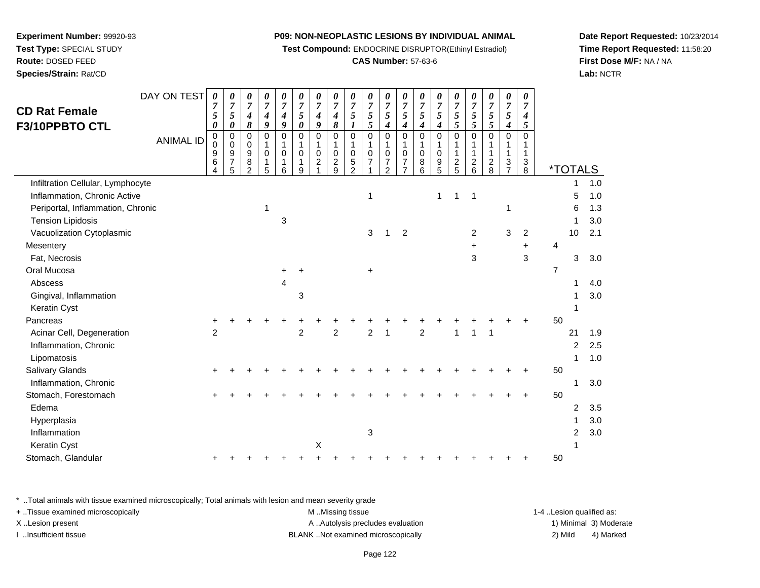**Test Compound:** ENDOCRINE DISRUPTOR(Ethinyl Estradiol)

#### **CAS Number:** 57-63-6

**Date Report Requested:** 10/23/2014**Time Report Requested:** 11:58:20**First Dose M/F:** NA / NA**Lab:** NCTR

| DAY ON TEST                       | 0<br>$\overline{7}$ | 0<br>$\overline{7}$        | 0<br>$\overline{7}$ | 0<br>$\overline{7}$ | 0<br>7           | 0<br>$\overline{7}$ | 0<br>$\overline{7}$ | 0<br>$\overline{7}$         | 0<br>$\overline{7}$ | 0<br>$\overline{7}$ | 0<br>$\overline{7}$ | 0<br>$\overline{7}$ | 0<br>$\overline{7}$ | 0<br>7       | 0<br>$\overline{7}$ | 0<br>$\overline{7}$                       | 0<br>$\overline{7}$ | 0<br>$\overline{7}$ | 0<br>7           |                       |                |     |
|-----------------------------------|---------------------|----------------------------|---------------------|---------------------|------------------|---------------------|---------------------|-----------------------------|---------------------|---------------------|---------------------|---------------------|---------------------|--------------|---------------------|-------------------------------------------|---------------------|---------------------|------------------|-----------------------|----------------|-----|
| <b>CD Rat Female</b>              | 5                   | 5                          | $\boldsymbol{4}$    | 4                   | $\boldsymbol{4}$ | 5                   | $\boldsymbol{4}$    | $\boldsymbol{4}$            | 5                   | $\sqrt{5}$          | 5                   | $\mathfrak{H}$      | $\mathfrak{s}$      | 5            | $\sqrt{5}$          | 5                                         | $\mathfrak{s}$      | $\overline{5}$      | $\boldsymbol{4}$ |                       |                |     |
| F3/10PPBTO CTL                    | 0                   | 0                          | 8                   | 9                   | 9                | $\pmb{\theta}$      | 9                   | 8                           | $\boldsymbol{l}$    | 5                   | 4                   | $\boldsymbol{4}$    | $\boldsymbol{4}$    | 4            | 5<br>$\Omega$       | 5                                         | 5                   | $\boldsymbol{4}$    | 5<br>$\Omega$    |                       |                |     |
| <b>ANIMAL ID</b>                  | 0<br>0              | $\mathbf 0$<br>$\mathbf 0$ | 0<br>$\mathbf 0$    | 0<br>1              | 0                | 0<br>$\mathbf{1}$   | $\mathbf 0$<br>1    | $\mathbf 0$<br>$\mathbf{1}$ | $\mathbf 0$<br>1    | $\mathbf 0$<br>1    | 0<br>1              | $\mathbf 0$         | 0<br>1              | 0<br>1       |                     | $\mathbf 0$                               | 0                   | $\mathbf 0$<br>1    |                  |                       |                |     |
|                                   | 9                   | 9                          | 9                   | 0                   | 0                | 0                   | 0                   | 0                           | 0                   | 0                   | 0                   | 0                   | 0                   | $\mathbf 0$  | $\mathbf{1}$        | $\mathbf 1$                               | 1                   | 1                   | 1                |                       |                |     |
|                                   | 6<br>4              | $\overline{7}$<br>5        | 8<br>2              | 1<br>5              | 6                | 9                   | $\overline{c}$      | 2<br>9                      | 5<br>$\overline{2}$ | $\overline{7}$      | 7<br>$\overline{2}$ | 7<br>$\overline{7}$ | 8<br>6              | 9<br>5       | $\frac{2}{5}$       | $\overline{\mathbf{c}}$<br>$6\phantom{a}$ | $\overline{c}$<br>8 | 3<br>$\overline{7}$ | 3<br>8           | <i><b>*TOTALS</b></i> |                |     |
| Infiltration Cellular, Lymphocyte |                     |                            |                     |                     |                  |                     |                     |                             |                     |                     |                     |                     |                     |              |                     |                                           |                     |                     |                  |                       | 1              | 1.0 |
| Inflammation, Chronic Active      |                     |                            |                     |                     |                  |                     |                     |                             |                     | 1                   |                     |                     |                     | $\mathbf{1}$ | 1                   | $\mathbf 1$                               |                     |                     |                  |                       | 5              | 1.0 |
| Periportal, Inflammation, Chronic |                     |                            |                     | $\mathbf{1}$        |                  |                     |                     |                             |                     |                     |                     |                     |                     |              |                     |                                           |                     | 1                   |                  |                       | 6              | 1.3 |
| <b>Tension Lipidosis</b>          |                     |                            |                     |                     | 3                |                     |                     |                             |                     |                     |                     |                     |                     |              |                     |                                           |                     |                     |                  |                       | 1              | 3.0 |
| Vacuolization Cytoplasmic         |                     |                            |                     |                     |                  |                     |                     |                             |                     | 3                   | 1                   | $\overline{2}$      |                     |              |                     | $\overline{c}$                            |                     | 3                   | 2                |                       | 10             | 2.1 |
| Mesentery                         |                     |                            |                     |                     |                  |                     |                     |                             |                     |                     |                     |                     |                     |              |                     | $\ddot{}$                                 |                     |                     | $\ddot{}$        | 4                     |                |     |
| Fat, Necrosis                     |                     |                            |                     |                     |                  |                     |                     |                             |                     |                     |                     |                     |                     |              |                     | 3                                         |                     |                     | 3                |                       | 3              | 3.0 |
| Oral Mucosa                       |                     |                            |                     |                     | +                |                     |                     |                             |                     | $\ddot{}$           |                     |                     |                     |              |                     |                                           |                     |                     |                  | $\overline{7}$        |                |     |
| Abscess                           |                     |                            |                     |                     | 4                |                     |                     |                             |                     |                     |                     |                     |                     |              |                     |                                           |                     |                     |                  |                       | 1              | 4.0 |
| Gingival, Inflammation            |                     |                            |                     |                     |                  | 3                   |                     |                             |                     |                     |                     |                     |                     |              |                     |                                           |                     |                     |                  |                       |                | 3.0 |
| Keratin Cyst                      |                     |                            |                     |                     |                  |                     |                     |                             |                     |                     |                     |                     |                     |              |                     |                                           |                     |                     |                  |                       |                |     |
| Pancreas                          |                     |                            |                     |                     |                  |                     |                     |                             |                     |                     |                     |                     |                     |              |                     |                                           |                     |                     |                  | 50                    |                |     |
| Acinar Cell, Degeneration         | $\overline{2}$      |                            |                     |                     |                  | $\overline{c}$      |                     | $\overline{2}$              |                     | $\overline{2}$      | 1                   |                     | $\overline{c}$      |              | 1                   | 1                                         | 1                   |                     |                  |                       | 21             | 1.9 |
| Inflammation, Chronic             |                     |                            |                     |                     |                  |                     |                     |                             |                     |                     |                     |                     |                     |              |                     |                                           |                     |                     |                  |                       | $\overline{2}$ | 2.5 |
| Lipomatosis                       |                     |                            |                     |                     |                  |                     |                     |                             |                     |                     |                     |                     |                     |              |                     |                                           |                     |                     |                  |                       | 1              | 1.0 |
| Salivary Glands                   |                     |                            |                     |                     |                  |                     |                     |                             |                     |                     |                     |                     |                     |              |                     |                                           |                     |                     |                  | 50                    |                |     |
| Inflammation, Chronic             |                     |                            |                     |                     |                  |                     |                     |                             |                     |                     |                     |                     |                     |              |                     |                                           |                     |                     |                  |                       | 1              | 3.0 |
| Stomach, Forestomach              |                     |                            |                     |                     |                  |                     |                     |                             |                     |                     |                     |                     |                     |              |                     |                                           |                     |                     |                  | 50                    |                |     |
| Edema                             |                     |                            |                     |                     |                  |                     |                     |                             |                     |                     |                     |                     |                     |              |                     |                                           |                     |                     |                  |                       | 2              | 3.5 |
| Hyperplasia                       |                     |                            |                     |                     |                  |                     |                     |                             |                     |                     |                     |                     |                     |              |                     |                                           |                     |                     |                  |                       | 1              | 3.0 |
| Inflammation                      |                     |                            |                     |                     |                  |                     |                     |                             |                     | 3                   |                     |                     |                     |              |                     |                                           |                     |                     |                  |                       | $\overline{c}$ | 3.0 |
| Keratin Cyst                      |                     |                            |                     |                     |                  |                     | $\mathsf X$         |                             |                     |                     |                     |                     |                     |              |                     |                                           |                     |                     |                  |                       | 1              |     |
| Stomach, Glandular                |                     |                            |                     |                     |                  |                     |                     |                             |                     |                     |                     |                     |                     |              |                     |                                           |                     |                     |                  | 50                    |                |     |
|                                   |                     |                            |                     |                     |                  |                     |                     |                             |                     |                     |                     |                     |                     |              |                     |                                           |                     |                     |                  |                       |                |     |

\* ..Total animals with tissue examined microscopically; Total animals with lesion and mean severity grade

+ ..Tissue examined microscopically examined microscopically examined as:  $M$  ..Missing tissue 1-4 ..Lesion qualified as: X..Lesion present **A ..Autolysis precludes evaluation** A ..Autolysis precludes evaluation 1) Minimal 3) Moderate I ..Insufficient tissue BLANK ..Not examined microscopically 2) Mild 4) Marked

**Species/Strain:** Rat/CD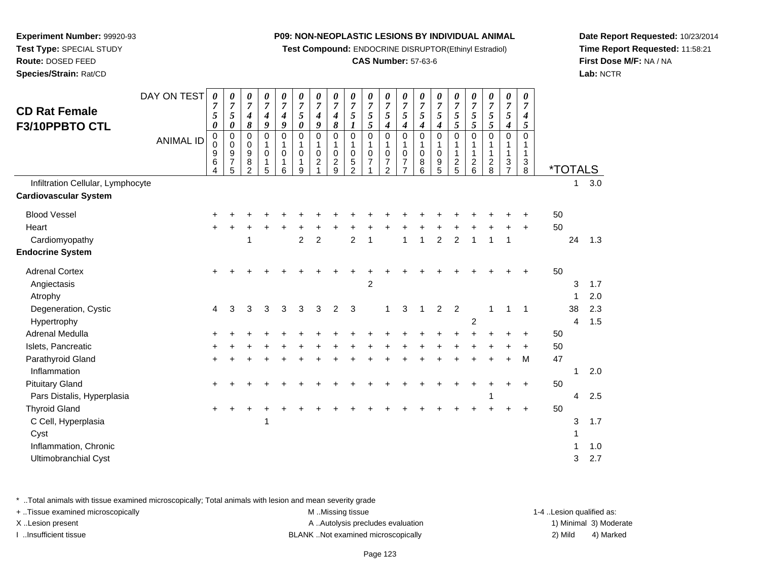**Test Compound:** ENDOCRINE DISRUPTOR(Ethinyl Estradiol)

#### **CAS Number:** 57-63-6

**Date Report Requested:** 10/23/2014**Time Report Requested:** 11:58:21**First Dose M/F:** NA / NA**Lab:** NCTR

| <b>CD Rat Female</b><br>F3/10PPBTO CTL                            | DAY ON TEST<br><b>ANIMAL ID</b> | $\boldsymbol{\theta}$<br>7<br>5<br>0<br>0<br>0<br>9<br>6<br>4 | 0<br>7<br>5<br>0<br>0<br>$\Omega$<br>9<br>$\overline{7}$<br>5 | 0<br>$\overline{7}$<br>4<br>8<br>0<br>0<br>$\boldsymbol{9}$<br>8<br>2 | 0<br>$\overline{7}$<br>4<br>9<br>0<br>0<br>1<br>5 | 0<br>7<br>$\boldsymbol{4}$<br>9<br>$\Omega$<br>1<br>$\mathbf 0$<br>1<br>6 | 0<br>7<br>$\mathfrak{s}$<br>$\boldsymbol{\theta}$<br>$\Omega$<br>1<br>$\mathbf 0$<br>1<br>9 | 0<br>7<br>4<br>9<br>$\Omega$<br>0<br>2 | 0<br>$\overline{7}$<br>$\boldsymbol{4}$<br>8<br>$\mathbf 0$<br>1<br>$\mathbf 0$<br>$\overline{c}$<br>9 | 0<br>$\overline{7}$<br>5<br>$\boldsymbol{l}$<br>$\mathbf 0$<br>$\pmb{0}$<br>5<br>2 | 0<br>7<br>5<br>5<br>$\Omega$<br>1<br>$\mathbf 0$<br>$\overline{7}$ | 0<br>7<br>5<br>4<br>$\Omega$<br>0<br>7<br>$\overline{2}$ | 0<br>$\boldsymbol{7}$<br>5<br>4<br>0<br>1<br>0<br>7<br>$\overline{7}$ | 0<br>$\boldsymbol{7}$<br>5<br>4<br>$\mathbf 0$<br>1<br>$\mathbf 0$<br>8<br>6 | 0<br>$\overline{7}$<br>5<br>$\boldsymbol{4}$<br>$\Omega$<br>$\mathbf 0$<br>9<br>5 | 0<br>7<br>5<br>5<br>$\Omega$<br>1<br>1<br>$\sqrt{2}$<br>5 | 0<br>7<br>5<br>5<br>$\Omega$<br>$\mathbf{1}$<br>$\boldsymbol{2}$<br>6 | $\pmb{\theta}$<br>$\overline{7}$<br>5<br>5<br>$\mathbf 0$<br>$\mathbf{1}$<br>$\boldsymbol{2}$<br>8 | 0<br>$\overline{7}$<br>5<br>4<br>$\Omega$<br>1<br>3 | 0<br>7<br>4<br>5<br>$\Omega$<br>1<br>$\ensuremath{\mathsf{3}}$<br>8 |    | <i><b>*TOTALS</b></i> |            |
|-------------------------------------------------------------------|---------------------------------|---------------------------------------------------------------|---------------------------------------------------------------|-----------------------------------------------------------------------|---------------------------------------------------|---------------------------------------------------------------------------|---------------------------------------------------------------------------------------------|----------------------------------------|--------------------------------------------------------------------------------------------------------|------------------------------------------------------------------------------------|--------------------------------------------------------------------|----------------------------------------------------------|-----------------------------------------------------------------------|------------------------------------------------------------------------------|-----------------------------------------------------------------------------------|-----------------------------------------------------------|-----------------------------------------------------------------------|----------------------------------------------------------------------------------------------------|-----------------------------------------------------|---------------------------------------------------------------------|----|-----------------------|------------|
| Infiltration Cellular, Lymphocyte<br><b>Cardiovascular System</b> |                                 |                                                               |                                                               |                                                                       |                                                   |                                                                           |                                                                                             |                                        |                                                                                                        |                                                                                    |                                                                    |                                                          |                                                                       |                                                                              |                                                                                   |                                                           |                                                                       |                                                                                                    |                                                     |                                                                     |    | 1                     | 3.0        |
| <b>Blood Vessel</b>                                               |                                 |                                                               |                                                               |                                                                       |                                                   |                                                                           |                                                                                             |                                        |                                                                                                        |                                                                                    |                                                                    |                                                          |                                                                       |                                                                              |                                                                                   |                                                           |                                                                       |                                                                                                    |                                                     |                                                                     | 50 |                       |            |
| Heart                                                             |                                 | $\pm$                                                         |                                                               |                                                                       |                                                   |                                                                           |                                                                                             |                                        |                                                                                                        |                                                                                    |                                                                    |                                                          |                                                                       |                                                                              |                                                                                   |                                                           |                                                                       |                                                                                                    |                                                     | ÷                                                                   | 50 |                       |            |
| Cardiomyopathy<br><b>Endocrine System</b>                         |                                 |                                                               |                                                               | 1                                                                     |                                                   |                                                                           | $\overline{c}$                                                                              | $\overline{2}$                         |                                                                                                        | $\overline{c}$                                                                     | $\mathbf 1$                                                        |                                                          | 1                                                                     | 1                                                                            | $\overline{c}$                                                                    | $\overline{2}$                                            | 1                                                                     | $\mathbf{1}$                                                                                       | 1                                                   |                                                                     |    | 24                    | 1.3        |
| <b>Adrenal Cortex</b><br>Angiectasis<br>Atrophy                   |                                 |                                                               |                                                               |                                                                       |                                                   |                                                                           |                                                                                             |                                        |                                                                                                        |                                                                                    | $\overline{2}$                                                     |                                                          |                                                                       |                                                                              |                                                                                   |                                                           |                                                                       |                                                                                                    |                                                     |                                                                     | 50 | 3                     | 1.7<br>2.0 |
| Degeneration, Cystic<br>Hypertrophy                               |                                 | 4                                                             | 3                                                             | 3                                                                     | 3                                                 | 3                                                                         | 3                                                                                           | 3                                      | $\overline{2}$                                                                                         | 3                                                                                  |                                                                    | 1                                                        | 3                                                                     |                                                                              | $\overline{c}$                                                                    | $\overline{2}$                                            | $\overline{2}$                                                        | $\mathbf{1}$                                                                                       |                                                     | $\mathbf{1}$                                                        |    | 38<br>4               | 2.3<br>1.5 |
| Adrenal Medulla                                                   |                                 |                                                               |                                                               |                                                                       |                                                   |                                                                           |                                                                                             |                                        |                                                                                                        |                                                                                    |                                                                    |                                                          |                                                                       |                                                                              |                                                                                   |                                                           |                                                                       |                                                                                                    |                                                     |                                                                     | 50 |                       |            |
| Islets, Pancreatic                                                |                                 |                                                               |                                                               |                                                                       |                                                   |                                                                           |                                                                                             |                                        |                                                                                                        |                                                                                    |                                                                    |                                                          |                                                                       |                                                                              |                                                                                   |                                                           |                                                                       |                                                                                                    |                                                     |                                                                     | 50 |                       |            |
| Parathyroid Gland<br>Inflammation                                 |                                 |                                                               |                                                               |                                                                       |                                                   |                                                                           |                                                                                             |                                        |                                                                                                        |                                                                                    |                                                                    |                                                          |                                                                       |                                                                              |                                                                                   |                                                           |                                                                       |                                                                                                    |                                                     | M                                                                   | 47 | 1                     | 2.0        |
| <b>Pituitary Gland</b><br>Pars Distalis, Hyperplasia              |                                 |                                                               |                                                               |                                                                       |                                                   |                                                                           |                                                                                             |                                        |                                                                                                        |                                                                                    |                                                                    |                                                          |                                                                       |                                                                              |                                                                                   |                                                           |                                                                       |                                                                                                    | +                                                   | $\ddot{}$                                                           | 50 | 4                     | 2.5        |
| <b>Thyroid Gland</b><br>C Cell, Hyperplasia<br>Cyst               |                                 |                                                               |                                                               |                                                                       | 1                                                 |                                                                           |                                                                                             |                                        |                                                                                                        |                                                                                    |                                                                    |                                                          |                                                                       |                                                                              |                                                                                   |                                                           |                                                                       |                                                                                                    |                                                     | $\ddot{}$                                                           | 50 | 3<br>1                | 1.7        |
| Inflammation, Chronic<br>Ultimobranchial Cyst                     |                                 |                                                               |                                                               |                                                                       |                                                   |                                                                           |                                                                                             |                                        |                                                                                                        |                                                                                    |                                                                    |                                                          |                                                                       |                                                                              |                                                                                   |                                                           |                                                                       |                                                                                                    |                                                     |                                                                     |    | 3                     | 1.0<br>2.7 |

\* ..Total animals with tissue examined microscopically; Total animals with lesion and mean severity grade

**Experiment Number:** 99920-93**Test Type:** SPECIAL STUDY**Route:** DOSED FEED**Species/Strain:** Rat/CD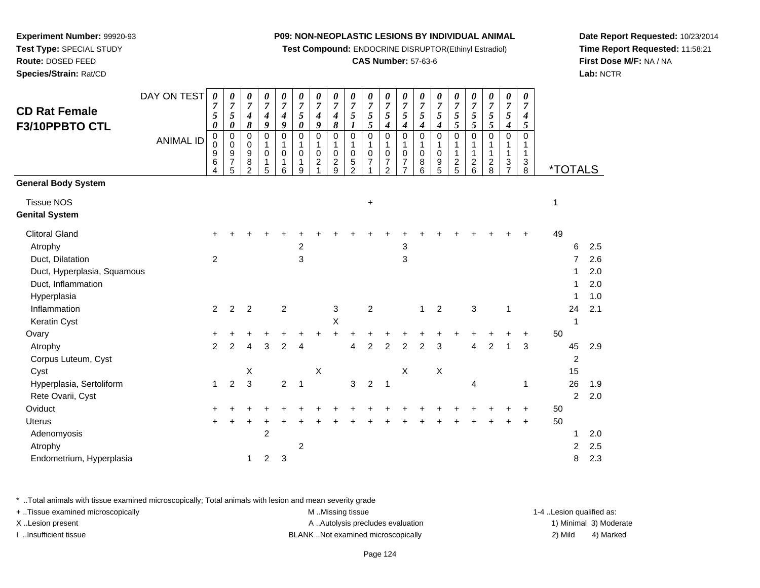**Test Compound:** ENDOCRINE DISRUPTOR(Ethinyl Estradiol)

#### **CAS Number:** 57-63-6

**Date Report Requested:** 10/23/2014**Time Report Requested:** 11:58:21**First Dose M/F:** NA / NA**Lab:** NCTR

|                                            | DAY ON TEST      | $\boldsymbol{\theta}$ | 0                            | 0                     | 0                       | 0                               | 0                                         | $\boldsymbol{\theta}$              | 0                                            | 0                                  | 0                                     | $\boldsymbol{\theta}$                                               | 0                                                           | 0                                    | 0                          | 0                                            | 0                                                             | 0                                               | 0                                             | 0                                       |    |                       |     |
|--------------------------------------------|------------------|-----------------------|------------------------------|-----------------------|-------------------------|---------------------------------|-------------------------------------------|------------------------------------|----------------------------------------------|------------------------------------|---------------------------------------|---------------------------------------------------------------------|-------------------------------------------------------------|--------------------------------------|----------------------------|----------------------------------------------|---------------------------------------------------------------|-------------------------------------------------|-----------------------------------------------|-----------------------------------------|----|-----------------------|-----|
| <b>CD Rat Female</b>                       |                  | 7<br>$\sqrt{5}$       | $\overline{7}$<br>5          | $\overline{7}$<br>4   | $\overline{7}$<br>4     | $\overline{7}$<br>4             | $\overline{7}$<br>5                       | $\overline{7}$<br>$\boldsymbol{4}$ | $\overline{7}$<br>4                          | $\overline{7}$<br>5                | $\boldsymbol{7}$<br>5                 | $\overline{7}$<br>5                                                 | $\overline{7}$<br>$\sqrt{5}$                                | $\overline{7}$<br>5                  | $\overline{7}$<br>5        | $\boldsymbol{7}$<br>5                        | $\overline{7}$<br>5                                           | $\overline{7}$<br>5                             | $\overline{7}$<br>5                           | $\overline{7}$<br>4                     |    |                       |     |
| F3/10PPBTO CTL                             |                  | 0                     | 0                            | 8                     | 9                       | 9                               | 0                                         | 9                                  | 8                                            | 1                                  | 5                                     | 4                                                                   | 4                                                           | 4                                    | 4                          | 5                                            | 5                                                             | 5                                               | 4                                             | 5                                       |    |                       |     |
|                                            | <b>ANIMAL ID</b> | 0<br>0<br>9<br>6<br>4 | 0<br>$\Omega$<br>9<br>7<br>5 | 0<br>0<br>9<br>8<br>2 | $\mathbf 0$<br>0<br>5   | $\mathbf 0$<br>1<br>0<br>1<br>6 | $\mathbf 0$<br>1<br>$\mathbf 0$<br>1<br>9 | $\mathbf 0$<br>0<br>2              | 0<br>1<br>$\mathbf 0$<br>$\overline{c}$<br>9 | 0<br>1<br>0<br>5<br>$\overline{2}$ | 0<br>1<br>$\pmb{0}$<br>$\overline{7}$ | $\mathbf 0$<br>1<br>$\mathbf 0$<br>$\overline{7}$<br>$\overline{2}$ | $\Omega$<br>$\mathbf 0$<br>$\overline{7}$<br>$\overline{7}$ | $\mathbf 0$<br>$\mathbf 0$<br>8<br>6 | 0<br>$\mathbf 0$<br>9<br>5 | $\mathbf 0$<br>$\mathbf{1}$<br>$\frac{2}{5}$ | $\Omega$<br>$\mathbf{1}$<br>$\overline{c}$<br>$6\phantom{1}6$ | $\Omega$<br>$\mathbf{1}$<br>$\overline{c}$<br>8 | 0<br>1<br>$\mathbf{1}$<br>3<br>$\overline{7}$ | $\Omega$<br>1<br>$\mathbf{1}$<br>3<br>8 |    | <i><b>*TOTALS</b></i> |     |
| <b>General Body System</b>                 |                  |                       |                              |                       |                         |                                 |                                           |                                    |                                              |                                    |                                       |                                                                     |                                                             |                                      |                            |                                              |                                                               |                                                 |                                               |                                         |    |                       |     |
| <b>Tissue NOS</b><br><b>Genital System</b> |                  |                       |                              |                       |                         |                                 |                                           |                                    |                                              |                                    | +                                     |                                                                     |                                                             |                                      |                            |                                              |                                                               |                                                 |                                               |                                         | 1  |                       |     |
| <b>Clitoral Gland</b>                      |                  |                       |                              |                       |                         |                                 |                                           |                                    |                                              |                                    |                                       |                                                                     |                                                             |                                      |                            |                                              |                                                               |                                                 |                                               |                                         | 49 |                       |     |
| Atrophy                                    |                  |                       |                              |                       |                         |                                 | $\overline{c}$                            |                                    |                                              |                                    |                                       |                                                                     | 3                                                           |                                      |                            |                                              |                                                               |                                                 |                                               |                                         |    | 6                     | 2.5 |
| Duct, Dilatation                           |                  | $\overline{c}$        |                              |                       |                         |                                 | $\mathbf 3$                               |                                    |                                              |                                    |                                       |                                                                     | $\mathbf{3}$                                                |                                      |                            |                                              |                                                               |                                                 |                                               |                                         |    | $\overline{7}$        | 2.6 |
| Duct, Hyperplasia, Squamous                |                  |                       |                              |                       |                         |                                 |                                           |                                    |                                              |                                    |                                       |                                                                     |                                                             |                                      |                            |                                              |                                                               |                                                 |                                               |                                         |    | 1                     | 2.0 |
| Duct, Inflammation                         |                  |                       |                              |                       |                         |                                 |                                           |                                    |                                              |                                    |                                       |                                                                     |                                                             |                                      |                            |                                              |                                                               |                                                 |                                               |                                         |    | 1                     | 2.0 |
| Hyperplasia                                |                  |                       |                              |                       |                         |                                 |                                           |                                    |                                              |                                    |                                       |                                                                     |                                                             |                                      |                            |                                              |                                                               |                                                 |                                               |                                         |    | 1                     | 1.0 |
| Inflammation                               |                  | $\overline{c}$        | $\overline{c}$               | $\overline{2}$        |                         | $\overline{c}$                  |                                           |                                    | 3                                            |                                    | 2                                     |                                                                     |                                                             | 1                                    | $\overline{c}$             |                                              | $\sqrt{3}$                                                    |                                                 | $\mathbf 1$                                   |                                         |    | 24                    | 2.1 |
| Keratin Cyst                               |                  |                       |                              |                       |                         |                                 |                                           |                                    | X                                            |                                    |                                       |                                                                     |                                                             |                                      |                            |                                              |                                                               |                                                 |                                               |                                         |    | 1                     |     |
| Ovary                                      |                  |                       |                              |                       |                         |                                 |                                           |                                    |                                              |                                    |                                       |                                                                     |                                                             |                                      |                            |                                              |                                                               |                                                 |                                               |                                         | 50 |                       |     |
| Atrophy                                    |                  | $\overline{2}$        | $\overline{2}$               | 4                     | 3                       | $\overline{2}$                  | 4                                         |                                    |                                              | 4                                  | $\overline{2}$                        | $\overline{c}$                                                      | $\overline{c}$                                              | $\overline{2}$                       | 3                          |                                              | 4                                                             | $\overline{c}$                                  | 1                                             | 3                                       |    | 45                    | 2.9 |
| Corpus Luteum, Cyst                        |                  |                       |                              |                       |                         |                                 |                                           |                                    |                                              |                                    |                                       |                                                                     |                                                             |                                      |                            |                                              |                                                               |                                                 |                                               |                                         |    | $\overline{2}$        |     |
| Cyst                                       |                  |                       |                              | X                     |                         |                                 |                                           | $\mathsf X$                        |                                              |                                    |                                       |                                                                     | X                                                           |                                      | $\boldsymbol{\mathsf{X}}$  |                                              |                                                               |                                                 |                                               |                                         |    | 15                    |     |
| Hyperplasia, Sertoliform                   |                  | $\mathbf{1}$          | $\overline{c}$               | 3                     |                         | $\overline{c}$                  | $\mathbf{1}$                              |                                    |                                              | 3                                  | $\overline{a}$                        | $\overline{1}$                                                      |                                                             |                                      |                            |                                              | 4                                                             |                                                 |                                               | 1                                       |    | 26                    | 1.9 |
| Rete Ovarii, Cyst                          |                  |                       |                              |                       |                         |                                 |                                           |                                    |                                              |                                    |                                       |                                                                     |                                                             |                                      |                            |                                              |                                                               |                                                 |                                               |                                         |    | $\overline{c}$        | 2.0 |
| Oviduct                                    |                  | +                     |                              |                       |                         |                                 |                                           |                                    |                                              |                                    |                                       |                                                                     |                                                             |                                      |                            |                                              |                                                               |                                                 |                                               |                                         | 50 |                       |     |
| Uterus                                     |                  |                       |                              |                       |                         |                                 |                                           |                                    |                                              |                                    |                                       |                                                                     |                                                             |                                      |                            |                                              |                                                               |                                                 |                                               |                                         | 50 |                       |     |
| Adenomyosis                                |                  |                       |                              |                       | $\overline{2}$          |                                 |                                           |                                    |                                              |                                    |                                       |                                                                     |                                                             |                                      |                            |                                              |                                                               |                                                 |                                               |                                         |    | 1                     | 2.0 |
| Atrophy                                    |                  |                       |                              |                       |                         |                                 | $\overline{c}$                            |                                    |                                              |                                    |                                       |                                                                     |                                                             |                                      |                            |                                              |                                                               |                                                 |                                               |                                         |    | $\overline{c}$        | 2.5 |
| Endometrium, Hyperplasia                   |                  |                       |                              | 1                     | $\overline{\mathbf{c}}$ | 3                               |                                           |                                    |                                              |                                    |                                       |                                                                     |                                                             |                                      |                            |                                              |                                                               |                                                 |                                               |                                         |    | 8                     | 2.3 |

\* ..Total animals with tissue examined microscopically; Total animals with lesion and mean severity grade

**Experiment Number:** 99920-93**Test Type:** SPECIAL STUDY**Route:** DOSED FEED**Species/Strain:** Rat/CD

| + Tissue examined microscopically | M Missing tissue                  | 1-4 Lesion qualified as: |                        |
|-----------------------------------|-----------------------------------|--------------------------|------------------------|
| X Lesion present                  | A Autolysis precludes evaluation  |                          | 1) Minimal 3) Moderate |
| . Insufficient tissue             | BLANKNot examined microscopically | 2) Mild                  | 4) Marked              |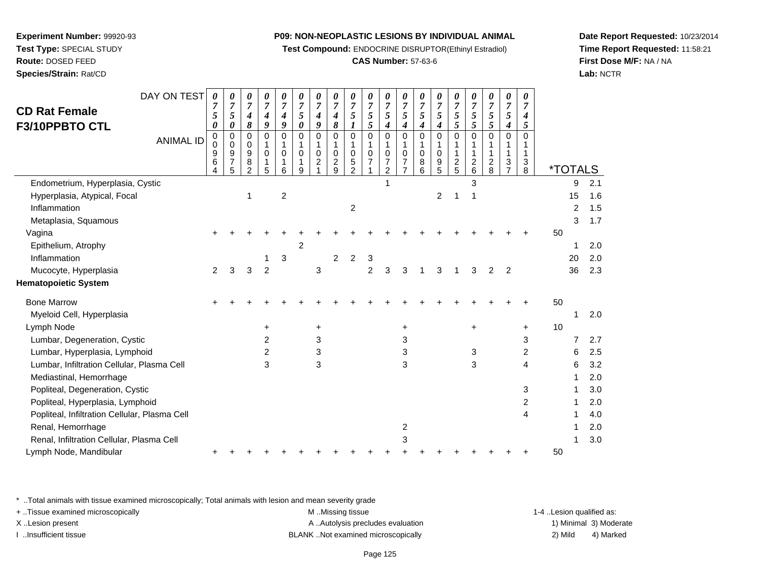**Test Compound:** ENDOCRINE DISRUPTOR(Ethinyl Estradiol)

#### **CAS Number:** 57-63-6

**Date Report Requested:** 10/23/2014**Time Report Requested:** 11:58:21**First Dose M/F:** NA / NA**Lab:** NCTR

| <b>CD Rat Female</b><br><b>F3/10PPBTO CTL</b> | DAY ON TEST<br><b>ANIMAL ID</b> | 0<br>7<br>5<br>0<br>0<br>0<br>9<br>6<br>4 | 0<br>7<br>5<br>0<br>$\pmb{0}$<br>0<br>$\boldsymbol{9}$<br>$\overline{\mathbf{7}}$<br>5 | 0<br>$\overline{7}$<br>4<br>8<br>$\mathbf 0$<br>$\Omega$<br>9<br>8<br>$\overline{2}$ | 0<br>7<br>4<br>9<br>0<br>$\mathbf 0$<br>5 | 0<br>7<br>4<br>9<br>$\mathbf 0$<br>$\mathbf 0$<br>6 | 0<br>7<br>5<br>0<br>0<br>$\mathbf 0$<br>9 | 0<br>7<br>4<br>9<br>0<br>0<br>2 | 0<br>$\overline{7}$<br>4<br>8<br>$\mathbf 0$<br>$\mathbf 0$<br>$\overline{c}$<br>9 | 0<br>$\overline{7}$<br>5<br>$\boldsymbol{l}$<br>$\mathbf 0$<br>1<br>$\mathbf 0$<br>5<br>2 | 0<br>$\overline{7}$<br>5<br>5<br>$\mathbf 0$<br>$\mathbf 0$<br>$\overline{7}$ | 0<br>$\overline{7}$<br>$\mathfrak{s}$<br>4<br>$\mathbf 0$<br>$\mathbf 0$<br>$\overline{7}$<br>$\overline{2}$ | 0<br>7<br>5<br>4<br>0<br>0<br>7 | 0<br>7<br>5<br>4<br>0<br>$\mathbf 0$<br>8<br>6 | 0<br>$\overline{7}$<br>5<br>4<br>$\mathbf 0$<br>$\mathbf 0$<br>9<br>5 | 0<br>$\overline{7}$<br>5<br>5<br>$\mathbf 0$<br>1<br>$\frac{2}{5}$ | 0<br>7<br>5<br>5<br>$\Omega$<br>1<br>$\frac{2}{6}$ | 0<br>7<br>5<br>5<br>$\Omega$<br>1<br>$\overline{c}$<br>8 | 0<br>$\overline{7}$<br>5<br>4<br>$\mathbf 0$<br>1<br>3<br>7 | 0<br>7<br>4<br>5<br>$\Omega$<br>$\mathbf{1}$<br>3<br>8 | <i><b>*TOTALS</b></i> |    |     |
|-----------------------------------------------|---------------------------------|-------------------------------------------|----------------------------------------------------------------------------------------|--------------------------------------------------------------------------------------|-------------------------------------------|-----------------------------------------------------|-------------------------------------------|---------------------------------|------------------------------------------------------------------------------------|-------------------------------------------------------------------------------------------|-------------------------------------------------------------------------------|--------------------------------------------------------------------------------------------------------------|---------------------------------|------------------------------------------------|-----------------------------------------------------------------------|--------------------------------------------------------------------|----------------------------------------------------|----------------------------------------------------------|-------------------------------------------------------------|--------------------------------------------------------|-----------------------|----|-----|
| Endometrium, Hyperplasia, Cystic              |                                 |                                           |                                                                                        |                                                                                      |                                           |                                                     |                                           |                                 |                                                                                    |                                                                                           |                                                                               |                                                                                                              |                                 |                                                |                                                                       |                                                                    | 3                                                  |                                                          |                                                             |                                                        |                       | 9  | 2.1 |
| Hyperplasia, Atypical, Focal                  |                                 |                                           |                                                                                        | 1                                                                                    |                                           | $\overline{c}$                                      |                                           |                                 |                                                                                    |                                                                                           |                                                                               |                                                                                                              |                                 |                                                | $\overline{2}$                                                        |                                                                    |                                                    |                                                          |                                                             |                                                        |                       | 15 | 1.6 |
| Inflammation                                  |                                 |                                           |                                                                                        |                                                                                      |                                           |                                                     |                                           |                                 |                                                                                    | $\sqrt{2}$                                                                                |                                                                               |                                                                                                              |                                 |                                                |                                                                       |                                                                    |                                                    |                                                          |                                                             |                                                        |                       | 2  | 1.5 |
| Metaplasia, Squamous                          |                                 |                                           |                                                                                        |                                                                                      |                                           |                                                     |                                           |                                 |                                                                                    |                                                                                           |                                                                               |                                                                                                              |                                 |                                                |                                                                       |                                                                    |                                                    |                                                          |                                                             |                                                        |                       | 3  | 1.7 |
| Vagina                                        |                                 |                                           |                                                                                        |                                                                                      |                                           |                                                     |                                           |                                 |                                                                                    |                                                                                           |                                                                               |                                                                                                              |                                 |                                                |                                                                       |                                                                    |                                                    |                                                          |                                                             |                                                        | 50                    |    |     |
| Epithelium, Atrophy                           |                                 |                                           |                                                                                        |                                                                                      |                                           |                                                     | $\overline{c}$                            |                                 |                                                                                    |                                                                                           |                                                                               |                                                                                                              |                                 |                                                |                                                                       |                                                                    |                                                    |                                                          |                                                             |                                                        |                       | 1  | 2.0 |
| Inflammation                                  |                                 |                                           |                                                                                        |                                                                                      | 1                                         | 3                                                   |                                           |                                 | $\overline{2}$                                                                     | 2                                                                                         | 3                                                                             |                                                                                                              |                                 |                                                |                                                                       |                                                                    |                                                    |                                                          |                                                             |                                                        |                       | 20 | 2.0 |
| Mucocyte, Hyperplasia                         |                                 | $\overline{2}$                            | 3                                                                                      | 3                                                                                    | 2                                         |                                                     |                                           | 3                               |                                                                                    |                                                                                           | $\overline{2}$                                                                | 3                                                                                                            | 3                               |                                                | 3                                                                     |                                                                    | 3                                                  | $\overline{2}$                                           | $\overline{2}$                                              |                                                        |                       | 36 | 2.3 |
| <b>Hematopoietic System</b>                   |                                 |                                           |                                                                                        |                                                                                      |                                           |                                                     |                                           |                                 |                                                                                    |                                                                                           |                                                                               |                                                                                                              |                                 |                                                |                                                                       |                                                                    |                                                    |                                                          |                                                             |                                                        |                       |    |     |
| <b>Bone Marrow</b>                            |                                 |                                           |                                                                                        |                                                                                      |                                           |                                                     |                                           |                                 |                                                                                    |                                                                                           |                                                                               |                                                                                                              |                                 |                                                |                                                                       |                                                                    |                                                    |                                                          |                                                             |                                                        | 50                    |    |     |
| Myeloid Cell, Hyperplasia                     |                                 |                                           |                                                                                        |                                                                                      |                                           |                                                     |                                           |                                 |                                                                                    |                                                                                           |                                                                               |                                                                                                              |                                 |                                                |                                                                       |                                                                    |                                                    |                                                          |                                                             |                                                        |                       | 1  | 2.0 |
| Lymph Node                                    |                                 |                                           |                                                                                        |                                                                                      | $\ddot{}$                                 |                                                     |                                           | +                               |                                                                                    |                                                                                           |                                                                               |                                                                                                              | +                               |                                                |                                                                       |                                                                    | +                                                  |                                                          |                                                             | +                                                      | 10                    |    |     |
| Lumbar, Degeneration, Cystic                  |                                 |                                           |                                                                                        |                                                                                      | $\overline{2}$                            |                                                     |                                           | 3                               |                                                                                    |                                                                                           |                                                                               |                                                                                                              | 3                               |                                                |                                                                       |                                                                    |                                                    |                                                          |                                                             | 3                                                      |                       | 7  | 2.7 |
| Lumbar, Hyperplasia, Lymphoid                 |                                 |                                           |                                                                                        |                                                                                      | $\overline{2}$                            |                                                     |                                           | 3                               |                                                                                    |                                                                                           |                                                                               |                                                                                                              | 3                               |                                                |                                                                       |                                                                    | 3                                                  |                                                          |                                                             | $\overline{2}$                                         |                       | 6  | 2.5 |
| Lumbar, Infiltration Cellular, Plasma Cell    |                                 |                                           |                                                                                        |                                                                                      | 3                                         |                                                     |                                           | 3                               |                                                                                    |                                                                                           |                                                                               |                                                                                                              | 3                               |                                                |                                                                       |                                                                    | $\mathbf{3}$                                       |                                                          |                                                             | 4                                                      |                       | 6  | 3.2 |
| Mediastinal, Hemorrhage                       |                                 |                                           |                                                                                        |                                                                                      |                                           |                                                     |                                           |                                 |                                                                                    |                                                                                           |                                                                               |                                                                                                              |                                 |                                                |                                                                       |                                                                    |                                                    |                                                          |                                                             |                                                        |                       | 1  | 2.0 |
| Popliteal, Degeneration, Cystic               |                                 |                                           |                                                                                        |                                                                                      |                                           |                                                     |                                           |                                 |                                                                                    |                                                                                           |                                                                               |                                                                                                              |                                 |                                                |                                                                       |                                                                    |                                                    |                                                          |                                                             | 3                                                      |                       |    | 3.0 |
| Popliteal, Hyperplasia, Lymphoid              |                                 |                                           |                                                                                        |                                                                                      |                                           |                                                     |                                           |                                 |                                                                                    |                                                                                           |                                                                               |                                                                                                              |                                 |                                                |                                                                       |                                                                    |                                                    |                                                          |                                                             | 2                                                      |                       |    | 2.0 |
| Popliteal, Infiltration Cellular, Plasma Cell |                                 |                                           |                                                                                        |                                                                                      |                                           |                                                     |                                           |                                 |                                                                                    |                                                                                           |                                                                               |                                                                                                              |                                 |                                                |                                                                       |                                                                    |                                                    |                                                          |                                                             | 4                                                      |                       | 1  | 4.0 |
| Renal, Hemorrhage                             |                                 |                                           |                                                                                        |                                                                                      |                                           |                                                     |                                           |                                 |                                                                                    |                                                                                           |                                                                               |                                                                                                              | $\overline{2}$                  |                                                |                                                                       |                                                                    |                                                    |                                                          |                                                             |                                                        |                       | 1  | 2.0 |
| Renal, Infiltration Cellular, Plasma Cell     |                                 |                                           |                                                                                        |                                                                                      |                                           |                                                     |                                           |                                 |                                                                                    |                                                                                           |                                                                               |                                                                                                              | 3                               |                                                |                                                                       |                                                                    |                                                    |                                                          |                                                             |                                                        |                       | 1  | 3.0 |
| Lymph Node, Mandibular                        |                                 |                                           |                                                                                        |                                                                                      |                                           |                                                     |                                           |                                 |                                                                                    |                                                                                           |                                                                               |                                                                                                              |                                 |                                                |                                                                       |                                                                    |                                                    |                                                          |                                                             |                                                        | 50                    |    |     |
|                                               |                                 |                                           |                                                                                        |                                                                                      |                                           |                                                     |                                           |                                 |                                                                                    |                                                                                           |                                                                               |                                                                                                              |                                 |                                                |                                                                       |                                                                    |                                                    |                                                          |                                                             |                                                        |                       |    |     |

\* ..Total animals with tissue examined microscopically; Total animals with lesion and mean severity grade

**Experiment Number:** 99920-93**Test Type:** SPECIAL STUDY**Route:** DOSED FEED**Species/Strain:** Rat/CD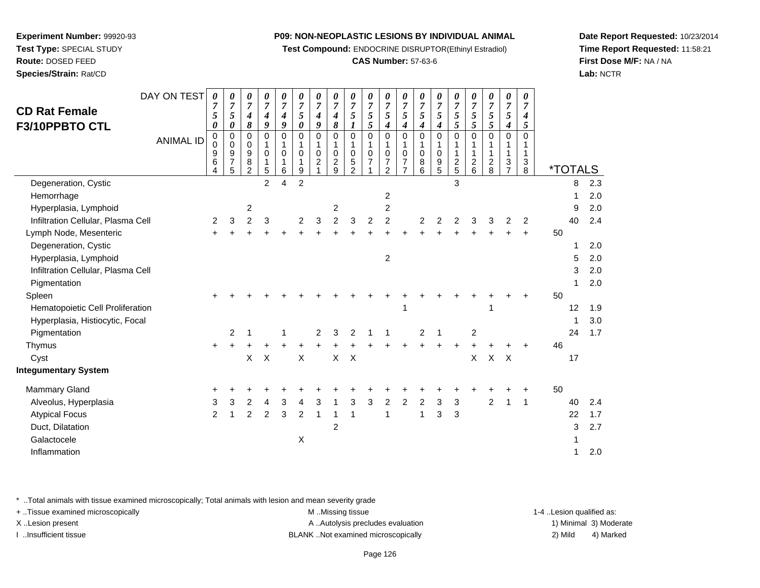**Test Compound:** ENDOCRINE DISRUPTOR(Ethinyl Estradiol)

#### **CAS Number:** 57-63-6

**Date Report Requested:** 10/23/2014**Time Report Requested:** 11:58:21**First Dose M/F:** NA / NA**Lab:** NCTR

| DAY ON TEST                        | $\boldsymbol{\theta}$           | 0<br>7              | 0<br>$\overline{7}$       | 0<br>$\overline{7}$             | 0<br>$\overline{7}$          | 0<br>$\overline{7}$       | 0<br>7               | 0<br>$\overline{7}$              | 0<br>$\overline{7}$       | 0<br>$\overline{7}$ | 0<br>$\overline{7}$              | 0<br>$\overline{7}$ | 0<br>$\overline{7}$          | 0<br>$\overline{7}$ | 0<br>7        | 0<br>$\overline{7}$ | 0<br>$\overline{7}$          | 0<br>$\overline{7}$                         | 0<br>$\overline{7}$      |                       |    |     |
|------------------------------------|---------------------------------|---------------------|---------------------------|---------------------------------|------------------------------|---------------------------|----------------------|----------------------------------|---------------------------|---------------------|----------------------------------|---------------------|------------------------------|---------------------|---------------|---------------------|------------------------------|---------------------------------------------|--------------------------|-----------------------|----|-----|
| <b>CD Rat Female</b>               | 5                               | 5                   | 4                         | 4                               | 4                            | $\sqrt{5}$                | 4                    | 4                                | $5\overline{)}$           | $\sqrt{5}$          | $\mathfrak{s}$                   | 5                   | 5                            | 5                   | 5             | $\mathfrak{s}$      | 5                            | 5                                           | 4                        |                       |    |     |
| F3/10PPBTO CTL                     | 0                               | 0                   | 8                         | 9                               | 9                            | 0                         | 9                    | 8                                | 1                         | 5                   | $\boldsymbol{4}$                 | $\boldsymbol{4}$    | $\boldsymbol{4}$             | 4                   | 5             | 5                   | 5                            | $\boldsymbol{4}$                            | 5                        |                       |    |     |
| <b>ANIMAL ID</b>                   | 0<br>$\mathbf 0$<br>$\mathsf g$ | 0<br>0<br>9         | 0<br>$\mathbf 0$<br>9     | $\mathbf 0$<br>1<br>$\mathbf 0$ | $\Omega$<br>1<br>$\mathbf 0$ | $\Omega$<br>1<br>$\Omega$ | $\Omega$<br>$\Omega$ | 0<br>$\mathbf{1}$<br>$\mathbf 0$ | 0<br>$\mathbf{1}$<br>0    | 0<br>1<br>$\pmb{0}$ | $\mathbf 0$<br>1<br>$\mathbf 0$  | $\Omega$<br>0       | $\Omega$<br>1<br>$\mathbf 0$ | 0<br>$\mathbf 0$    | $\Omega$<br>1 | $\Omega$<br>1       | $\Omega$<br>1                | $\Omega$<br>$\mathbf 1$<br>$\mathbf 1$      | $\Omega$<br>$\mathbf{1}$ |                       |    |     |
|                                    | 6<br>4                          | $\overline{7}$<br>5 | $\bf 8$<br>$\overline{c}$ | 1<br>5                          | 6                            | 1<br>9                    | $\overline{2}$       | $\overline{c}$<br>9              | 5<br>$\overline{2}$       | 7                   | $\overline{7}$<br>$\overline{c}$ | 7<br>$\overline{7}$ | 8<br>6                       | 9<br>5              | $\frac{2}{5}$ | $\overline{c}$<br>6 | $\overline{\mathbf{c}}$<br>8 | $\ensuremath{\mathsf{3}}$<br>$\overline{7}$ | $\sqrt{3}$<br>8          | <i><b>*TOTALS</b></i> |    |     |
| Degeneration, Cystic               |                                 |                     |                           | $\overline{2}$                  | 4                            | $\overline{2}$            |                      |                                  |                           |                     |                                  |                     |                              |                     | 3             |                     |                              |                                             |                          |                       | 8  | 2.3 |
| Hemorrhage                         |                                 |                     |                           |                                 |                              |                           |                      |                                  |                           |                     | 2                                |                     |                              |                     |               |                     |                              |                                             |                          |                       |    | 2.0 |
| Hyperplasia, Lymphoid              |                                 |                     | $\overline{c}$            |                                 |                              |                           |                      | $\overline{c}$                   |                           |                     | $\overline{\mathbf{c}}$          |                     |                              |                     |               |                     |                              |                                             |                          |                       | 9  | 2.0 |
| Infiltration Cellular, Plasma Cell | $\overline{2}$                  | 3                   | $\overline{2}$            | 3                               |                              | $\overline{2}$            | 3                    | $\overline{c}$                   | 3                         | $\overline{c}$      | $\overline{c}$                   |                     | $\overline{2}$               | $\overline{2}$      | 2             | 3                   | 3                            | $\overline{2}$                              | $\overline{2}$           |                       | 40 | 2.4 |
| Lymph Node, Mesenteric             | +                               |                     |                           |                                 |                              |                           |                      |                                  |                           |                     |                                  |                     |                              |                     |               |                     |                              |                                             |                          | 50                    |    |     |
| Degeneration, Cystic               |                                 |                     |                           |                                 |                              |                           |                      |                                  |                           |                     |                                  |                     |                              |                     |               |                     |                              |                                             |                          |                       |    | 2.0 |
| Hyperplasia, Lymphoid              |                                 |                     |                           |                                 |                              |                           |                      |                                  |                           |                     | $\overline{\mathbf{c}}$          |                     |                              |                     |               |                     |                              |                                             |                          |                       | 5  | 2.0 |
| Infiltration Cellular, Plasma Cell |                                 |                     |                           |                                 |                              |                           |                      |                                  |                           |                     |                                  |                     |                              |                     |               |                     |                              |                                             |                          |                       | 3  | 2.0 |
| Pigmentation                       |                                 |                     |                           |                                 |                              |                           |                      |                                  |                           |                     |                                  |                     |                              |                     |               |                     |                              |                                             |                          |                       |    | 2.0 |
| Spleen                             |                                 |                     |                           |                                 |                              |                           |                      |                                  |                           |                     |                                  |                     |                              |                     |               |                     |                              |                                             |                          | 50                    |    |     |
| Hematopoietic Cell Proliferation   |                                 |                     |                           |                                 |                              |                           |                      |                                  |                           |                     |                                  | 1                   |                              |                     |               |                     | 1                            |                                             |                          |                       | 12 | 1.9 |
| Hyperplasia, Histiocytic, Focal    |                                 |                     |                           |                                 |                              |                           |                      |                                  |                           |                     |                                  |                     |                              |                     |               |                     |                              |                                             |                          |                       | 1  | 3.0 |
| Pigmentation                       |                                 | $\overline{2}$      |                           |                                 | 1                            |                           | $\overline{2}$       | 3                                | 2                         |                     |                                  |                     | 2                            |                     |               | $\overline{c}$      |                              |                                             |                          |                       | 24 | 1.7 |
| Thymus                             | $\ddot{}$                       |                     |                           |                                 |                              |                           |                      |                                  |                           |                     |                                  |                     |                              |                     |               |                     |                              |                                             | +                        | 46                    |    |     |
| Cyst                               |                                 |                     | X                         | $\times$                        |                              | X                         |                      | X                                | $\boldsymbol{\mathsf{X}}$ |                     |                                  |                     |                              |                     |               | X                   | $\times$                     | $\boldsymbol{\mathsf{X}}$                   |                          |                       | 17 |     |
| <b>Integumentary System</b>        |                                 |                     |                           |                                 |                              |                           |                      |                                  |                           |                     |                                  |                     |                              |                     |               |                     |                              |                                             |                          |                       |    |     |
| Mammary Gland                      | $\ddot{}$                       |                     |                           |                                 |                              |                           |                      |                                  |                           |                     |                                  |                     |                              |                     |               |                     |                              |                                             | ÷                        | 50                    |    |     |
| Alveolus, Hyperplasia              | 3                               | 3                   | 2                         | 4                               | 3                            | 4                         | 3                    |                                  | 3                         | 3                   | 2                                | 2                   | 2                            | 3                   | 3             |                     | $\overline{2}$               |                                             | 1                        |                       | 40 | 2.4 |
| <b>Atypical Focus</b>              | $\overline{2}$                  | 1                   | $\overline{2}$            | 2                               | 3                            | $\overline{2}$            | $\mathbf 1$          | 1                                |                           |                     | 1                                |                     | 1                            | 3                   | 3             |                     |                              |                                             |                          |                       | 22 | 1.7 |
| Duct, Dilatation                   |                                 |                     |                           |                                 |                              |                           |                      | $\overline{2}$                   |                           |                     |                                  |                     |                              |                     |               |                     |                              |                                             |                          |                       | 3  | 2.7 |
| Galactocele                        |                                 |                     |                           |                                 |                              | X                         |                      |                                  |                           |                     |                                  |                     |                              |                     |               |                     |                              |                                             |                          |                       |    |     |
| Inflammation                       |                                 |                     |                           |                                 |                              |                           |                      |                                  |                           |                     |                                  |                     |                              |                     |               |                     |                              |                                             |                          |                       | 1  | 2.0 |
|                                    |                                 |                     |                           |                                 |                              |                           |                      |                                  |                           |                     |                                  |                     |                              |                     |               |                     |                              |                                             |                          |                       |    |     |

\* ..Total animals with tissue examined microscopically; Total animals with lesion and mean severity grade

**Experiment Number:** 99920-93**Test Type:** SPECIAL STUDY**Route:** DOSED FEED**Species/Strain:** Rat/CD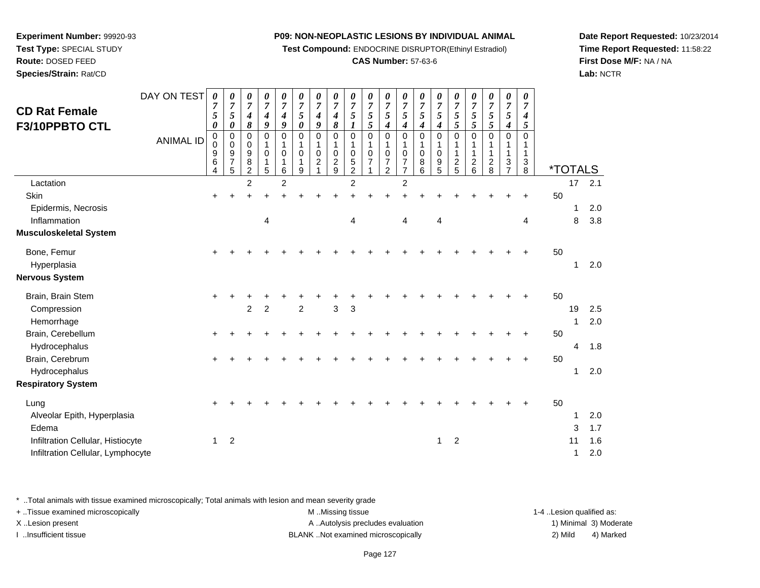**Test Compound:** ENDOCRINE DISRUPTOR(Ethinyl Estradiol)

#### **CAS Number:** 57-63-6

**Date Report Requested:** 10/23/2014 **Time Report Requested:** 11:58:22**First Dose M/F:** NA / NA**Lab:** NCTR

| <b>CD Rat Female</b><br>F3/10PPBTO CTL                                 | DAY ON TEST<br><b>ANIMAL ID</b> | 0<br>$\sqrt{5}$<br>0<br>0<br>0<br>9<br>6<br>4 | 0<br>7<br>5<br>0<br>$\pmb{0}$<br>$\mathbf 0$<br>$\boldsymbol{9}$<br>$\overline{7}$<br>5 | 0<br>$\overline{7}$<br>$\boldsymbol{4}$<br>8<br>0<br>$\mathbf 0$<br>9<br>8<br>2 | 0<br>$\boldsymbol{7}$<br>4<br>9<br>0<br>$\mathbf 0$<br>1<br>5 | 0<br>$\overline{7}$<br>4<br>9<br>0<br>0<br>6 | 0<br>7<br>5<br>$\pmb{\theta}$<br>$\mathbf 0$<br>1<br>$\Omega$<br>9 | 0<br>$\overline{7}$<br>4<br>9<br>$\mathbf 0$<br>1<br>$\mathbf 0$<br>$\overline{c}$ | 0<br>$\overline{7}$<br>$\boldsymbol{4}$<br>8<br>$\mathbf 0$<br>0<br>2<br>9 | 0<br>$\overline{7}$<br>5<br>1<br>$\mathbf 0$<br>1<br>0<br>5<br>$\overline{2}$ | 0<br>$\overline{7}$<br>5<br>5<br>0<br>1<br>$\mathbf 0$<br>$\overline{7}$ | 0<br>7<br>5<br>4<br>0<br>0<br>$\overline{7}$<br>$\overline{2}$ | 0<br>7<br>5<br>4<br>$\mathbf 0$<br>$\mathbf 0$<br>$\overline{7}$<br>$\overline{7}$ | 0<br>$\boldsymbol{7}$<br>$\sqrt{5}$<br>4<br>0<br>1<br>$\pmb{0}$<br>8<br>6 | 0<br>7<br>5<br>4<br>0<br>1<br>$\mathbf 0$<br>9<br>5 | 0<br>$\overline{7}$<br>$\sqrt{5}$<br>5<br>$\Omega$<br>1<br>$\overline{c}$<br>5 | 0<br>$\overline{7}$<br>5<br>5<br>$\Omega$<br>1<br>$\overline{c}$<br>$6\phantom{1}6$ | 0<br>7<br>5<br>5<br>$\Omega$<br>$\mathbf{1}$<br>$\overline{c}$<br>8 | 0<br>$\overline{7}$<br>$5\overline{)}$<br>$\boldsymbol{4}$<br>$\mathbf 0$<br>1<br>$\mathbf{1}$<br>3<br>7 | 0<br>7<br>4<br>5<br>$\Omega$<br>$\mathbf 1$<br>3<br>8 | <i><b>*TOTALS</b></i> |                   |                |
|------------------------------------------------------------------------|---------------------------------|-----------------------------------------------|-----------------------------------------------------------------------------------------|---------------------------------------------------------------------------------|---------------------------------------------------------------|----------------------------------------------|--------------------------------------------------------------------|------------------------------------------------------------------------------------|----------------------------------------------------------------------------|-------------------------------------------------------------------------------|--------------------------------------------------------------------------|----------------------------------------------------------------|------------------------------------------------------------------------------------|---------------------------------------------------------------------------|-----------------------------------------------------|--------------------------------------------------------------------------------|-------------------------------------------------------------------------------------|---------------------------------------------------------------------|----------------------------------------------------------------------------------------------------------|-------------------------------------------------------|-----------------------|-------------------|----------------|
| Lactation                                                              |                                 |                                               |                                                                                         | $\overline{2}$                                                                  |                                                               | $\overline{2}$                               |                                                                    |                                                                                    |                                                                            | $\overline{2}$                                                                |                                                                          |                                                                | $\overline{c}$                                                                     |                                                                           |                                                     |                                                                                |                                                                                     |                                                                     |                                                                                                          |                                                       |                       | 17                | 2.1            |
| Skin                                                                   |                                 |                                               |                                                                                         |                                                                                 |                                                               |                                              |                                                                    |                                                                                    |                                                                            |                                                                               |                                                                          |                                                                |                                                                                    |                                                                           |                                                     |                                                                                |                                                                                     |                                                                     |                                                                                                          |                                                       | 50                    |                   |                |
| Epidermis, Necrosis<br>Inflammation                                    |                                 |                                               |                                                                                         |                                                                                 | 4                                                             |                                              |                                                                    |                                                                                    |                                                                            | 4                                                                             |                                                                          |                                                                | 4                                                                                  |                                                                           | 4                                                   |                                                                                |                                                                                     |                                                                     |                                                                                                          | 4                                                     |                       | $\mathbf{1}$<br>8 | 2.0<br>3.8     |
| Musculoskeletal System                                                 |                                 |                                               |                                                                                         |                                                                                 |                                                               |                                              |                                                                    |                                                                                    |                                                                            |                                                                               |                                                                          |                                                                |                                                                                    |                                                                           |                                                     |                                                                                |                                                                                     |                                                                     |                                                                                                          |                                                       |                       |                   |                |
| Bone, Femur<br>Hyperplasia<br>Nervous System                           |                                 |                                               |                                                                                         |                                                                                 |                                                               |                                              |                                                                    |                                                                                    |                                                                            |                                                                               |                                                                          |                                                                |                                                                                    |                                                                           |                                                     |                                                                                |                                                                                     |                                                                     |                                                                                                          |                                                       | 50                    | 1                 | 2.0            |
| Brain, Brain Stem                                                      |                                 | $\pm$                                         |                                                                                         |                                                                                 |                                                               |                                              |                                                                    |                                                                                    |                                                                            |                                                                               |                                                                          |                                                                |                                                                                    |                                                                           |                                                     |                                                                                |                                                                                     |                                                                     |                                                                                                          |                                                       | 50                    |                   |                |
| Compression<br>Hemorrhage                                              |                                 |                                               |                                                                                         | $\overline{2}$                                                                  | $\overline{2}$                                                |                                              | $\overline{c}$                                                     |                                                                                    | 3                                                                          | 3                                                                             |                                                                          |                                                                |                                                                                    |                                                                           |                                                     |                                                                                |                                                                                     |                                                                     |                                                                                                          |                                                       |                       | 19<br>1           | 2.5<br>2.0     |
| Brain, Cerebellum                                                      |                                 | ÷.                                            |                                                                                         |                                                                                 |                                                               |                                              |                                                                    |                                                                                    |                                                                            |                                                                               |                                                                          |                                                                |                                                                                    |                                                                           |                                                     |                                                                                |                                                                                     |                                                                     |                                                                                                          |                                                       | 50                    |                   |                |
| Hydrocephalus<br>Brain, Cerebrum                                       |                                 |                                               |                                                                                         |                                                                                 |                                                               |                                              |                                                                    |                                                                                    |                                                                            |                                                                               |                                                                          |                                                                |                                                                                    |                                                                           |                                                     |                                                                                |                                                                                     |                                                                     |                                                                                                          |                                                       | 50                    | 4                 | 1.8            |
| Hydrocephalus                                                          |                                 |                                               |                                                                                         |                                                                                 |                                                               |                                              |                                                                    |                                                                                    |                                                                            |                                                                               |                                                                          |                                                                |                                                                                    |                                                                           |                                                     |                                                                                |                                                                                     |                                                                     |                                                                                                          |                                                       |                       | $\mathbf 1$       | 2.0            |
| <b>Respiratory System</b>                                              |                                 |                                               |                                                                                         |                                                                                 |                                                               |                                              |                                                                    |                                                                                    |                                                                            |                                                                               |                                                                          |                                                                |                                                                                    |                                                                           |                                                     |                                                                                |                                                                                     |                                                                     |                                                                                                          |                                                       |                       |                   |                |
| Lung<br>Alveolar Epith, Hyperplasia<br>Edema                           |                                 |                                               |                                                                                         |                                                                                 |                                                               |                                              |                                                                    |                                                                                    |                                                                            |                                                                               |                                                                          |                                                                |                                                                                    |                                                                           |                                                     |                                                                                |                                                                                     |                                                                     |                                                                                                          |                                                       | 50                    | 1<br>3            | $2.0\,$<br>1.7 |
| Infiltration Cellular, Histiocyte<br>Infiltration Cellular, Lymphocyte |                                 | 1                                             | $\overline{c}$                                                                          |                                                                                 |                                                               |                                              |                                                                    |                                                                                    |                                                                            |                                                                               |                                                                          |                                                                |                                                                                    |                                                                           | $\mathbf{1}$                                        | $\overline{c}$                                                                 |                                                                                     |                                                                     |                                                                                                          |                                                       |                       | 11<br>1           | 1.6<br>2.0     |

\* ..Total animals with tissue examined microscopically; Total animals with lesion and mean severity grade

**Experiment Number:** 99920-93**Test Type:** SPECIAL STUDY**Route:** DOSED FEED**Species/Strain:** Rat/CD

| + Tissue examined microscopically | M Missing tissue                   | 1-4 Lesion qualified as: |                        |
|-----------------------------------|------------------------------------|--------------------------|------------------------|
| X Lesion present                  | A Autolysis precludes evaluation   |                          | 1) Minimal 3) Moderate |
| Insufficient tissue               | BLANK Not examined microscopically | 2) Mild                  | 4) Marked              |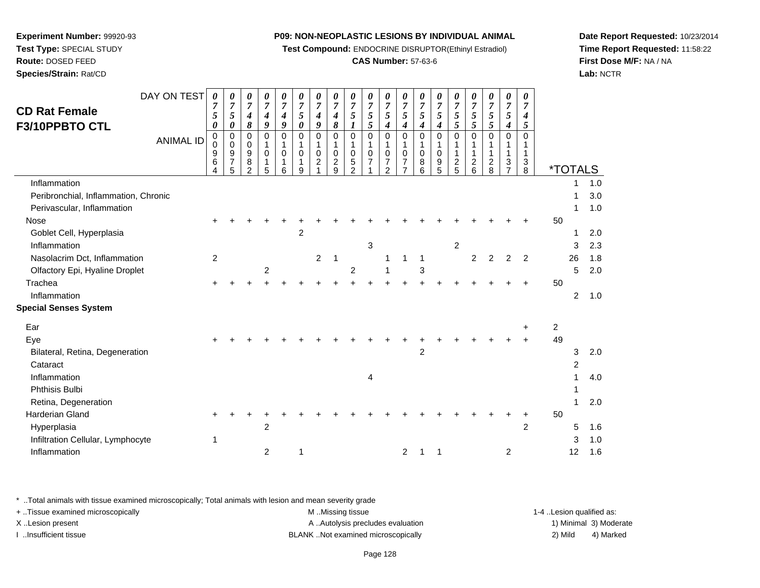**Test Compound:** ENDOCRINE DISRUPTOR(Ethinyl Estradiol)

#### **CAS Number:** 57-63-6

**Date Report Requested:** 10/23/2014**Time Report Requested:** 11:58:22**First Dose M/F:** NA / NA**Lab:** NCTR

| <b>CD Rat Female</b><br>F3/10PPBTO CTL | DAY ON TEST<br><b>ANIMAL ID</b> | $\boldsymbol{\theta}$<br>7<br>5<br>0<br>0<br>0<br>9<br>6<br>4 | 0<br>$\overline{7}$<br>5<br>0<br>0<br>0<br>9<br>$\overline{7}$<br>5 | 0<br>$\overline{7}$<br>4<br>8<br>$\Omega$<br>0<br>9<br>8<br>$\overline{2}$ | 0<br>$\overline{7}$<br>4<br>9<br>$\Omega$<br>$\Omega$<br>5 | 0<br>7<br>4<br>9<br>$\Omega$<br>1<br>$\Omega$<br>1<br>6 | 0<br>7<br>5<br>0<br>$\Omega$<br>$\Omega$<br>1<br>9 | 0<br>7<br>4<br>9<br>$\Omega$<br>$\mathbf 0$<br>2 | 0<br>$\overline{7}$<br>4<br>8<br>$\Omega$<br>$\mathbf 0$<br>$\overline{c}$<br>9 | 0<br>$\overline{7}$<br>5<br>1<br>$\mathbf 0$<br>1<br>$\mathbf 0$<br>5<br>$\overline{2}$ | 0<br>$\overline{7}$<br>5<br>5<br>$\Omega$<br>1<br>$\mathbf 0$<br>$\overline{7}$ | 0<br>7<br>5<br>4<br>$\Omega$<br>$\Omega$<br>$\overline{7}$<br>2 | 0<br>7<br>5<br>4<br>$\Omega$<br>$\Omega$ | 0<br>$\overline{7}$<br>5<br>4<br>$\Omega$<br>$\mathbf 0$<br>8<br>6 | 0<br>7<br>5<br>4<br>$\overline{0}$<br>$\mathbf 0$<br>9<br>5 | 0<br>7<br>5<br>5<br>$\Omega$<br>1<br>$\overline{c}$<br>5 | 0<br>7<br>$\mathfrak{I}$<br>5<br>$\Omega$<br>1<br>$\mathbf{1}$<br>$\overline{c}$<br>6 | 0<br>$\overline{7}$<br>5<br>5<br>$\Omega$<br>1<br>$\overline{c}$<br>8 | 0<br>$\overline{7}$<br>5<br>$\boldsymbol{4}$<br>$\Omega$<br>$\mathbf{1}$<br>3<br>$\overline{7}$ | 0<br>7<br>4<br>5<br>$\Omega$<br>3<br>8 | <i><b>*TOTALS</b></i> |                |     |
|----------------------------------------|---------------------------------|---------------------------------------------------------------|---------------------------------------------------------------------|----------------------------------------------------------------------------|------------------------------------------------------------|---------------------------------------------------------|----------------------------------------------------|--------------------------------------------------|---------------------------------------------------------------------------------|-----------------------------------------------------------------------------------------|---------------------------------------------------------------------------------|-----------------------------------------------------------------|------------------------------------------|--------------------------------------------------------------------|-------------------------------------------------------------|----------------------------------------------------------|---------------------------------------------------------------------------------------|-----------------------------------------------------------------------|-------------------------------------------------------------------------------------------------|----------------------------------------|-----------------------|----------------|-----|
| Inflammation                           |                                 |                                                               |                                                                     |                                                                            |                                                            |                                                         |                                                    |                                                  |                                                                                 |                                                                                         |                                                                                 |                                                                 |                                          |                                                                    |                                                             |                                                          |                                                                                       |                                                                       |                                                                                                 |                                        |                       |                | 1.0 |
| Peribronchial, Inflammation, Chronic   |                                 |                                                               |                                                                     |                                                                            |                                                            |                                                         |                                                    |                                                  |                                                                                 |                                                                                         |                                                                                 |                                                                 |                                          |                                                                    |                                                             |                                                          |                                                                                       |                                                                       |                                                                                                 |                                        |                       | 1              | 3.0 |
| Perivascular, Inflammation             |                                 |                                                               |                                                                     |                                                                            |                                                            |                                                         |                                                    |                                                  |                                                                                 |                                                                                         |                                                                                 |                                                                 |                                          |                                                                    |                                                             |                                                          |                                                                                       |                                                                       |                                                                                                 |                                        |                       | 1              | 1.0 |
| Nose                                   |                                 |                                                               |                                                                     |                                                                            |                                                            |                                                         |                                                    |                                                  |                                                                                 |                                                                                         |                                                                                 |                                                                 |                                          |                                                                    |                                                             |                                                          |                                                                                       |                                                                       |                                                                                                 |                                        | 50                    |                |     |
| Goblet Cell, Hyperplasia               |                                 |                                                               |                                                                     |                                                                            |                                                            |                                                         | $\overline{c}$                                     |                                                  |                                                                                 |                                                                                         |                                                                                 |                                                                 |                                          |                                                                    |                                                             |                                                          |                                                                                       |                                                                       |                                                                                                 |                                        |                       | 1              | 2.0 |
| Inflammation                           |                                 |                                                               |                                                                     |                                                                            |                                                            |                                                         |                                                    |                                                  |                                                                                 |                                                                                         | 3                                                                               |                                                                 |                                          |                                                                    |                                                             | $\overline{c}$                                           |                                                                                       |                                                                       |                                                                                                 |                                        |                       | 3              | 2.3 |
| Nasolacrim Dct, Inflammation           |                                 | $\overline{2}$                                                |                                                                     |                                                                            |                                                            |                                                         |                                                    | $\overline{c}$                                   | $\mathbf 1$                                                                     |                                                                                         |                                                                                 |                                                                 |                                          | 1                                                                  |                                                             |                                                          | $\overline{2}$                                                                        | $\overline{2}$                                                        | $\overline{2}$                                                                                  | $\overline{2}$                         |                       | 26             | 1.8 |
| Olfactory Epi, Hyaline Droplet         |                                 |                                                               |                                                                     |                                                                            | 2                                                          |                                                         |                                                    |                                                  |                                                                                 | $\overline{2}$                                                                          |                                                                                 | 1                                                               |                                          | 3                                                                  |                                                             |                                                          |                                                                                       |                                                                       |                                                                                                 |                                        |                       | 5              | 2.0 |
| Trachea                                |                                 |                                                               |                                                                     |                                                                            |                                                            |                                                         |                                                    |                                                  |                                                                                 |                                                                                         |                                                                                 |                                                                 |                                          |                                                                    |                                                             |                                                          |                                                                                       |                                                                       |                                                                                                 |                                        | 50                    |                |     |
| Inflammation                           |                                 |                                                               |                                                                     |                                                                            |                                                            |                                                         |                                                    |                                                  |                                                                                 |                                                                                         |                                                                                 |                                                                 |                                          |                                                                    |                                                             |                                                          |                                                                                       |                                                                       |                                                                                                 |                                        |                       | $\overline{2}$ | 1.0 |
| <b>Special Senses System</b>           |                                 |                                                               |                                                                     |                                                                            |                                                            |                                                         |                                                    |                                                  |                                                                                 |                                                                                         |                                                                                 |                                                                 |                                          |                                                                    |                                                             |                                                          |                                                                                       |                                                                       |                                                                                                 |                                        |                       |                |     |
| Ear                                    |                                 |                                                               |                                                                     |                                                                            |                                                            |                                                         |                                                    |                                                  |                                                                                 |                                                                                         |                                                                                 |                                                                 |                                          |                                                                    |                                                             |                                                          |                                                                                       |                                                                       |                                                                                                 | $\ddot{}$                              | $\overline{2}$        |                |     |
| Eye                                    |                                 |                                                               |                                                                     |                                                                            |                                                            |                                                         |                                                    |                                                  |                                                                                 |                                                                                         |                                                                                 |                                                                 |                                          |                                                                    |                                                             |                                                          |                                                                                       |                                                                       |                                                                                                 | $\ddot{}$                              | 49                    |                |     |
| Bilateral, Retina, Degeneration        |                                 |                                                               |                                                                     |                                                                            |                                                            |                                                         |                                                    |                                                  |                                                                                 |                                                                                         |                                                                                 |                                                                 |                                          | $\overline{2}$                                                     |                                                             |                                                          |                                                                                       |                                                                       |                                                                                                 |                                        |                       | 3              | 2.0 |
| Cataract                               |                                 |                                                               |                                                                     |                                                                            |                                                            |                                                         |                                                    |                                                  |                                                                                 |                                                                                         |                                                                                 |                                                                 |                                          |                                                                    |                                                             |                                                          |                                                                                       |                                                                       |                                                                                                 |                                        |                       | 2              |     |
| Inflammation                           |                                 |                                                               |                                                                     |                                                                            |                                                            |                                                         |                                                    |                                                  |                                                                                 |                                                                                         | 4                                                                               |                                                                 |                                          |                                                                    |                                                             |                                                          |                                                                                       |                                                                       |                                                                                                 |                                        |                       |                | 4.0 |
| <b>Phthisis Bulbi</b>                  |                                 |                                                               |                                                                     |                                                                            |                                                            |                                                         |                                                    |                                                  |                                                                                 |                                                                                         |                                                                                 |                                                                 |                                          |                                                                    |                                                             |                                                          |                                                                                       |                                                                       |                                                                                                 |                                        |                       |                |     |
| Retina, Degeneration                   |                                 |                                                               |                                                                     |                                                                            |                                                            |                                                         |                                                    |                                                  |                                                                                 |                                                                                         |                                                                                 |                                                                 |                                          |                                                                    |                                                             |                                                          |                                                                                       |                                                                       |                                                                                                 |                                        |                       |                | 2.0 |
| <b>Harderian Gland</b>                 |                                 |                                                               |                                                                     |                                                                            |                                                            |                                                         |                                                    |                                                  |                                                                                 |                                                                                         |                                                                                 |                                                                 |                                          |                                                                    |                                                             |                                                          |                                                                                       |                                                                       |                                                                                                 | $\ddot{}$                              | 50                    |                |     |
| Hyperplasia                            |                                 |                                                               |                                                                     |                                                                            | $\overline{c}$                                             |                                                         |                                                    |                                                  |                                                                                 |                                                                                         |                                                                                 |                                                                 |                                          |                                                                    |                                                             |                                                          |                                                                                       |                                                                       |                                                                                                 | $\overline{2}$                         |                       | 5              | 1.6 |
| Infiltration Cellular, Lymphocyte      |                                 | 1                                                             |                                                                     |                                                                            |                                                            |                                                         |                                                    |                                                  |                                                                                 |                                                                                         |                                                                                 |                                                                 |                                          |                                                                    |                                                             |                                                          |                                                                                       |                                                                       |                                                                                                 |                                        |                       | 3              | 1.0 |
| Inflammation                           |                                 |                                                               |                                                                     |                                                                            | $\overline{2}$                                             |                                                         | 1                                                  |                                                  |                                                                                 |                                                                                         |                                                                                 |                                                                 | $\overline{2}$                           | 1                                                                  | 1                                                           |                                                          |                                                                                       |                                                                       | $\overline{2}$                                                                                  |                                        |                       | 12             | 1.6 |
|                                        |                                 |                                                               |                                                                     |                                                                            |                                                            |                                                         |                                                    |                                                  |                                                                                 |                                                                                         |                                                                                 |                                                                 |                                          |                                                                    |                                                             |                                                          |                                                                                       |                                                                       |                                                                                                 |                                        |                       |                |     |

\* ..Total animals with tissue examined microscopically; Total animals with lesion and mean severity grade

**Experiment Number:** 99920-93**Test Type:** SPECIAL STUDY**Route:** DOSED FEED**Species/Strain:** Rat/CD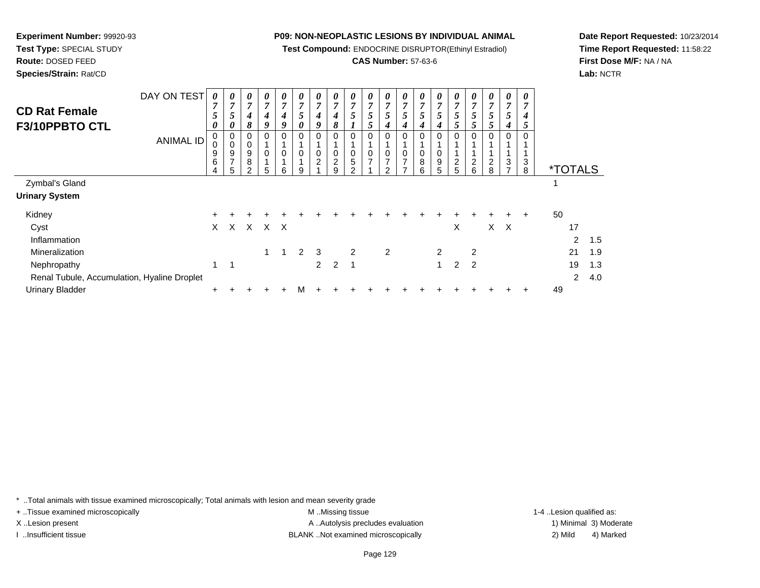**Test Compound:** ENDOCRINE DISRUPTOR(Ethinyl Estradiol)

#### **CAS Number:** 57-63-6

*0 7*

*0 7*

*0 7*

*0 7*

*0 7*

*0 7*

*0 7*

*0 7*

 *7*

 $2, 4.0$ 

**Date Report Requested:** 10/23/2014**Time Report Requested:** 11:58:22**First Dose M/F:** NA / NA**Lab:** NCTR

| F3/10PPBTO CTL                              | 0                               | 0                                  | 8                             | 9                               | 9                          | 0                     | 9                        | 8                                      | $\mathbf{I}$         | 5                                  | 4                                          | 4                        | $\boldsymbol{4}$            | 4                               | 5                  | 5                                  | $5\overline{)}$          | $\overline{4}$           | 5           |                       |     |
|---------------------------------------------|---------------------------------|------------------------------------|-------------------------------|---------------------------------|----------------------------|-----------------------|--------------------------|----------------------------------------|----------------------|------------------------------------|--------------------------------------------|--------------------------|-----------------------------|---------------------------------|--------------------|------------------------------------|--------------------------|--------------------------|-------------|-----------------------|-----|
| <b>ANIMAL ID</b>                            | $\mathbf 0$<br>0<br>9<br>6<br>4 | 0<br>0<br>9<br>$\overline{ }$<br>5 | 0<br>$\pmb{0}$<br>9<br>8<br>າ | $\mathbf 0$<br>$\mathbf 0$<br>5 | 0<br>$\mathbf 0$<br>4<br>6 | $\mathbf 0$<br>0<br>9 | 0<br>0<br>$\overline{c}$ | 0<br>0<br>$\overline{\mathbf{c}}$<br>9 | 0<br>0<br>5<br>C     | 0<br>$\mathbf 0$<br>$\overline{7}$ | 0<br>0<br>$\overline{ }$<br>$\mathfrak{p}$ | 0<br>0<br>$\overline{ }$ | $\mathbf{0}$<br>0<br>8<br>6 | 0<br>0<br>$\boldsymbol{9}$<br>5 | 0<br>$\frac{2}{5}$ | $\mathbf 0$<br>$\overline{2}$<br>6 | 0<br>$\overline{c}$<br>8 | 0<br>3<br>$\overline{ }$ | 0<br>3<br>8 | <i><b>*TOTALS</b></i> |     |
| Zymbal's Gland                              |                                 |                                    |                               |                                 |                            |                       |                          |                                        |                      |                                    |                                            |                          |                             |                                 |                    |                                    |                          |                          |             |                       |     |
| <b>Urinary System</b>                       |                                 |                                    |                               |                                 |                            |                       |                          |                                        |                      |                                    |                                            |                          |                             |                                 |                    |                                    |                          |                          |             |                       |     |
| Kidney                                      | $\ddot{}$                       |                                    |                               |                                 |                            |                       |                          |                                        |                      |                                    |                                            |                          |                             |                                 |                    |                                    |                          |                          | ÷           | 50                    |     |
| Cyst                                        | X                               | $\mathsf{X}$                       |                               | X X X                           |                            |                       |                          |                                        |                      |                                    |                                            |                          |                             |                                 | X                  |                                    |                          | $X$ $X$                  |             | 17                    |     |
| Inflammation                                |                                 |                                    |                               |                                 |                            |                       |                          |                                        |                      |                                    |                                            |                          |                             |                                 |                    |                                    |                          |                          |             | $\overline{2}$        | 1.5 |
| Mineralization                              |                                 |                                    |                               | $\mathbf{1}$                    | $\mathbf{1}$               | 2                     | -3                       |                                        | 2                    |                                    | 2                                          |                          |                             | $\overline{2}$                  |                    | $\overline{2}$                     |                          |                          |             | 21                    | 1.9 |
| Nephropathy                                 | 1                               | $\overline{1}$                     |                               |                                 |                            |                       |                          | 2 <sub>2</sub>                         | $\blacktriangleleft$ |                                    |                                            |                          |                             | $\mathbf 1$                     | 2                  | $\overline{2}$                     |                          |                          |             | 19                    | 1.3 |
| Renal Tubule, Accumulation, Hyaline Droplet |                                 |                                    |                               |                                 |                            |                       |                          |                                        |                      |                                    |                                            |                          |                             |                                 |                    |                                    |                          |                          |             | $\overline{2}$        | 4.0 |
| <b>Urinary Bladder</b>                      | $\ddot{}$                       | ÷                                  |                               |                                 | $\div$                     | м                     | $\ddot{}$                |                                        |                      |                                    |                                            |                          |                             |                                 |                    |                                    |                          |                          | ÷           | 49                    |     |

\* ..Total animals with tissue examined microscopically; Total animals with lesion and mean severity grade

**Experiment Number:** 99920-93**Test Type:** SPECIAL STUDY**Route:** DOSED FEED**Species/Strain:** Rat/CD

**CD Rat Female**

DAY ON TEST

*0 7*

*0 7*

*0 7*

*0 7*

*0 7*

*0 7*

*0 7*

*0 7*

*0 7*

*0 7*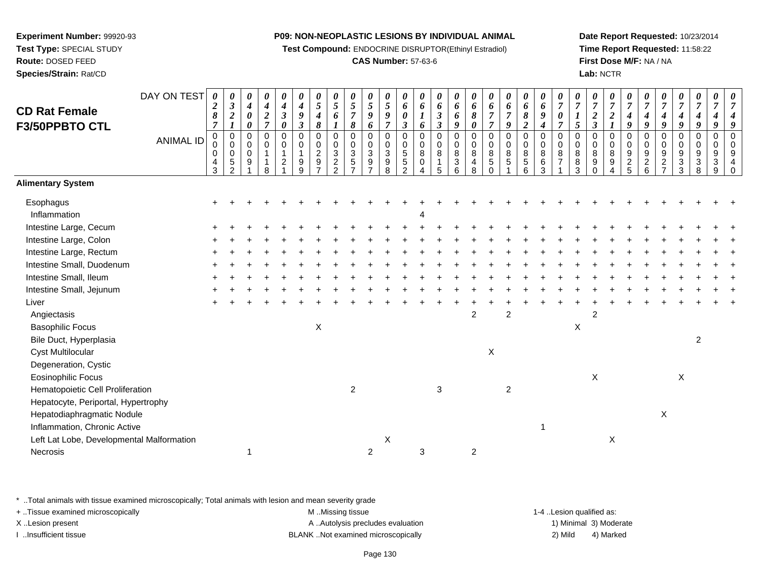**Test Compound:** ENDOCRINE DISRUPTOR(Ethinyl Estradiol)

#### **CAS Number:** 57-63-6

**Date Report Requested:** 10/23/2014**Time Report Requested:** 11:58:22**First Dose M/F:** NA / NA**Lab:** NCTR

| <b>CD Rat Female</b>                      | DAY ON TEST      | 0<br>$\boldsymbol{2}$<br>8                           | 0<br>$\boldsymbol{\beta}$<br>$\boldsymbol{2}$                        | $\boldsymbol{\theta}$<br>$\boldsymbol{4}$<br>$\boldsymbol{\theta}$ | 0<br>$\boldsymbol{4}$<br>$\sqrt{2}$                                               | 0<br>4<br>$\boldsymbol{\beta}$ | 0<br>$\boldsymbol{4}$<br>9                                  | $\pmb{\theta}$<br>5<br>$\boldsymbol{4}$                     | 0<br>5<br>6                                       | $\boldsymbol{\theta}$<br>$\mathfrak{s}$<br>$\overline{7}$          | $\boldsymbol{\theta}$<br>5<br>$\boldsymbol{9}$       | 0<br>5<br>9                                                            | 0<br>6<br>$\boldsymbol{\theta}$                                               | 0<br>6<br>$\boldsymbol{l}$                      | 0<br>6<br>$\mathfrak{Z}$                                          | 0<br>6<br>6                                                                                 | 0<br>6<br>8                                                              | 0<br>6<br>$\overline{7}$                                                    | 0<br>6<br>$\overline{7}$ | $\pmb{\theta}$<br>6<br>$\pmb{8}$                                            | 0<br>6<br>9                                                               | 0<br>$\overline{7}$<br>$\boldsymbol{\theta}$                     | $\boldsymbol{\theta}$<br>$\boldsymbol{7}$<br>$\boldsymbol{l}$ | 0<br>$\overline{7}$<br>$\boldsymbol{2}$        | 0<br>$\overline{7}$<br>$\boldsymbol{2}$ | 0<br>$\overline{7}$<br>4                           | 0<br>$\overline{7}$<br>$\boldsymbol{4}$                                              | 0<br>$\overline{7}$<br>4                         | 0<br>$\overline{7}$<br>4                                               | 0<br>$\overline{7}$<br>4                    | 0<br>$\overline{7}$                                  | 0<br>7<br>$\overline{4}$                                                                 |
|-------------------------------------------|------------------|------------------------------------------------------|----------------------------------------------------------------------|--------------------------------------------------------------------|-----------------------------------------------------------------------------------|--------------------------------|-------------------------------------------------------------|-------------------------------------------------------------|---------------------------------------------------|--------------------------------------------------------------------|------------------------------------------------------|------------------------------------------------------------------------|-------------------------------------------------------------------------------|-------------------------------------------------|-------------------------------------------------------------------|---------------------------------------------------------------------------------------------|--------------------------------------------------------------------------|-----------------------------------------------------------------------------|--------------------------|-----------------------------------------------------------------------------|---------------------------------------------------------------------------|------------------------------------------------------------------|---------------------------------------------------------------|------------------------------------------------|-----------------------------------------|----------------------------------------------------|--------------------------------------------------------------------------------------|--------------------------------------------------|------------------------------------------------------------------------|---------------------------------------------|------------------------------------------------------|------------------------------------------------------------------------------------------|
| F3/50PPBTO CTL                            | <b>ANIMAL ID</b> | $\overline{7}$<br>0<br>0<br>0<br>$\overline{4}$<br>3 | $\pmb{0}$<br>$\pmb{0}$<br>$\pmb{0}$<br>$\,$ 5 $\,$<br>$\mathfrak{p}$ | $\pmb{\theta}$<br>$\pmb{0}$<br>$\mathbf 0$<br>$\mathbf 0$<br>9     | $\overline{7}$<br>$\mathbf 0$<br>$\mathbf 0$<br>$\mathbf{1}$<br>$\mathbf{1}$<br>8 | 0<br>0<br>0<br>$\overline{c}$  | $\mathfrak{z}$<br>$\mathbf 0$<br>$\mathbf 0$<br>1<br>9<br>9 | 8<br>$\mathbf 0$<br>0<br>$\overline{c}$<br>$\boldsymbol{9}$ | 0<br>$\mathbf 0$<br>$\mathbf{3}$<br>$\frac{2}{2}$ | 8<br>$\mathbf 0$<br>$_{3}^{\rm 0}$<br>$\sqrt{5}$<br>$\overline{7}$ | 6<br>$\mathbf 0$<br>$\mathbf 0$<br>$\mathbf{3}$<br>9 | $\overline{7}$<br>$\mathbf 0$<br>$\mathbf 0$<br>$\mathbf{3}$<br>9<br>8 | $\boldsymbol{\beta}$<br>$\mathbf 0$<br>$\mathbf 0$<br>5<br>5<br>$\mathcal{P}$ | 6<br>0<br>0<br>8<br>$\pmb{0}$<br>$\overline{4}$ | $\mathfrak{z}$<br>$\mathbf 0$<br>$\mathbf 0$<br>$\,8\,$<br>1<br>5 | $\boldsymbol{9}$<br>$\mathbf 0$<br>$\mathbf 0$<br>$\,8\,$<br>$\ensuremath{\mathsf{3}}$<br>6 | $\boldsymbol{\theta}$<br>$\mathbf 0$<br>$\mathbf 0$<br>$\,8\,$<br>4<br>8 | $\overline{7}$<br>$\mathbf 0$<br>$\mathbf 0$<br>8<br>$\sqrt{5}$<br>$\Omega$ | 9<br>0<br>0<br>8<br>5    | $\boldsymbol{2}$<br>$\mathbf 0$<br>$\pmb{0}$<br>$\bf 8$<br>$\mathbf 5$<br>6 | $\boldsymbol{4}$<br>$\mathbf 0$<br>$\mathbf 0$<br>$\,8\,$<br>$\,6\,$<br>3 | $\overline{7}$<br>$\Omega$<br>$\mathbf 0$<br>8<br>$\overline{7}$ | 5<br>$\Omega$<br>0<br>8<br>$\,$ 8 $\,$<br>3                   | $\mathfrak{z}$<br>0<br>0<br>8<br>9<br>$\Omega$ | $\mathbf 0$<br>0<br>8<br>9<br>4         | 9<br>$\Omega$<br>$\mathbf 0$<br>9<br>$\frac{2}{5}$ | 9<br>$\mathbf 0$<br>$\mathbf 0$<br>$\boldsymbol{9}$<br>$\sqrt{2}$<br>$6\phantom{1}6$ | 9<br>0<br>0<br>$\boldsymbol{9}$<br>$\frac{2}{7}$ | 9<br>$\mathbf 0$<br>$\mathbf 0$<br>9<br>$\ensuremath{\mathsf{3}}$<br>3 | 9<br>$\Omega$<br>$\mathbf 0$<br>9<br>3<br>8 | 9<br>$\Omega$<br>$\mathbf 0$<br>9<br>$\sqrt{3}$<br>9 | $\boldsymbol{q}$<br>$\Omega$<br>$\mathbf 0$<br>9<br>$\overline{\mathcal{L}}$<br>$\Omega$ |
| <b>Alimentary System</b>                  |                  |                                                      |                                                                      |                                                                    |                                                                                   |                                |                                                             |                                                             |                                                   |                                                                    |                                                      |                                                                        |                                                                               |                                                 |                                                                   |                                                                                             |                                                                          |                                                                             |                          |                                                                             |                                                                           |                                                                  |                                                               |                                                |                                         |                                                    |                                                                                      |                                                  |                                                                        |                                             |                                                      |                                                                                          |
| Esophagus<br>Inflammation                 |                  |                                                      |                                                                      |                                                                    |                                                                                   |                                |                                                             |                                                             |                                                   |                                                                    |                                                      |                                                                        |                                                                               |                                                 |                                                                   |                                                                                             |                                                                          |                                                                             |                          |                                                                             |                                                                           |                                                                  |                                                               |                                                |                                         |                                                    |                                                                                      |                                                  |                                                                        |                                             |                                                      |                                                                                          |
| Intestine Large, Cecum                    |                  |                                                      |                                                                      |                                                                    |                                                                                   |                                |                                                             |                                                             |                                                   |                                                                    |                                                      |                                                                        |                                                                               |                                                 |                                                                   |                                                                                             |                                                                          |                                                                             |                          |                                                                             |                                                                           |                                                                  |                                                               |                                                |                                         |                                                    |                                                                                      |                                                  |                                                                        |                                             |                                                      |                                                                                          |
| Intestine Large, Colon                    |                  |                                                      |                                                                      |                                                                    |                                                                                   |                                |                                                             |                                                             |                                                   |                                                                    |                                                      |                                                                        |                                                                               |                                                 |                                                                   |                                                                                             |                                                                          |                                                                             |                          |                                                                             |                                                                           |                                                                  |                                                               |                                                |                                         |                                                    |                                                                                      |                                                  |                                                                        |                                             |                                                      |                                                                                          |
| Intestine Large, Rectum                   |                  |                                                      |                                                                      |                                                                    |                                                                                   |                                |                                                             |                                                             |                                                   |                                                                    |                                                      |                                                                        |                                                                               |                                                 |                                                                   |                                                                                             |                                                                          |                                                                             |                          |                                                                             |                                                                           |                                                                  |                                                               |                                                |                                         |                                                    |                                                                                      |                                                  |                                                                        |                                             |                                                      |                                                                                          |
| Intestine Small, Duodenum                 |                  |                                                      |                                                                      |                                                                    |                                                                                   |                                |                                                             |                                                             |                                                   |                                                                    |                                                      |                                                                        |                                                                               |                                                 |                                                                   |                                                                                             |                                                                          |                                                                             |                          |                                                                             |                                                                           |                                                                  |                                                               |                                                |                                         |                                                    |                                                                                      |                                                  |                                                                        |                                             |                                                      |                                                                                          |
| Intestine Small, Ileum                    |                  |                                                      |                                                                      |                                                                    |                                                                                   |                                |                                                             |                                                             |                                                   |                                                                    |                                                      |                                                                        |                                                                               |                                                 |                                                                   |                                                                                             |                                                                          |                                                                             |                          |                                                                             |                                                                           |                                                                  |                                                               |                                                |                                         |                                                    |                                                                                      |                                                  |                                                                        |                                             |                                                      |                                                                                          |
| Intestine Small, Jejunum                  |                  |                                                      |                                                                      |                                                                    |                                                                                   |                                |                                                             |                                                             |                                                   |                                                                    |                                                      |                                                                        |                                                                               |                                                 |                                                                   |                                                                                             |                                                                          |                                                                             |                          |                                                                             |                                                                           |                                                                  |                                                               |                                                |                                         |                                                    |                                                                                      |                                                  |                                                                        |                                             |                                                      |                                                                                          |
| Liver                                     |                  |                                                      |                                                                      |                                                                    |                                                                                   |                                |                                                             |                                                             |                                                   |                                                                    |                                                      |                                                                        |                                                                               |                                                 |                                                                   |                                                                                             |                                                                          |                                                                             |                          |                                                                             |                                                                           |                                                                  |                                                               |                                                |                                         |                                                    |                                                                                      |                                                  |                                                                        |                                             |                                                      |                                                                                          |
| Angiectasis                               |                  |                                                      |                                                                      |                                                                    |                                                                                   |                                |                                                             |                                                             |                                                   |                                                                    |                                                      |                                                                        |                                                                               |                                                 |                                                                   |                                                                                             | $\overline{c}$                                                           |                                                                             | $\overline{c}$           |                                                                             |                                                                           |                                                                  |                                                               | $\overline{c}$                                 |                                         |                                                    |                                                                                      |                                                  |                                                                        |                                             |                                                      |                                                                                          |
| <b>Basophilic Focus</b>                   |                  |                                                      |                                                                      |                                                                    |                                                                                   |                                |                                                             | $\boldsymbol{\mathsf{X}}$                                   |                                                   |                                                                    |                                                      |                                                                        |                                                                               |                                                 |                                                                   |                                                                                             |                                                                          |                                                                             |                          |                                                                             |                                                                           |                                                                  | X                                                             |                                                |                                         |                                                    |                                                                                      |                                                  |                                                                        |                                             |                                                      |                                                                                          |
| Bile Duct, Hyperplasia                    |                  |                                                      |                                                                      |                                                                    |                                                                                   |                                |                                                             |                                                             |                                                   |                                                                    |                                                      |                                                                        |                                                                               |                                                 |                                                                   |                                                                                             |                                                                          |                                                                             |                          |                                                                             |                                                                           |                                                                  |                                                               |                                                |                                         |                                                    |                                                                                      |                                                  |                                                                        | 2                                           |                                                      |                                                                                          |
| <b>Cyst Multilocular</b>                  |                  |                                                      |                                                                      |                                                                    |                                                                                   |                                |                                                             |                                                             |                                                   |                                                                    |                                                      |                                                                        |                                                                               |                                                 |                                                                   |                                                                                             |                                                                          | X                                                                           |                          |                                                                             |                                                                           |                                                                  |                                                               |                                                |                                         |                                                    |                                                                                      |                                                  |                                                                        |                                             |                                                      |                                                                                          |
| Degeneration, Cystic                      |                  |                                                      |                                                                      |                                                                    |                                                                                   |                                |                                                             |                                                             |                                                   |                                                                    |                                                      |                                                                        |                                                                               |                                                 |                                                                   |                                                                                             |                                                                          |                                                                             |                          |                                                                             |                                                                           |                                                                  |                                                               |                                                |                                         |                                                    |                                                                                      |                                                  |                                                                        |                                             |                                                      |                                                                                          |
| <b>Eosinophilic Focus</b>                 |                  |                                                      |                                                                      |                                                                    |                                                                                   |                                |                                                             |                                                             |                                                   |                                                                    |                                                      |                                                                        |                                                                               |                                                 |                                                                   |                                                                                             |                                                                          |                                                                             |                          |                                                                             |                                                                           |                                                                  |                                                               | X                                              |                                         |                                                    |                                                                                      |                                                  | $\sf X$                                                                |                                             |                                                      |                                                                                          |
| Hematopoietic Cell Proliferation          |                  |                                                      |                                                                      |                                                                    |                                                                                   |                                |                                                             |                                                             |                                                   | $\overline{2}$                                                     |                                                      |                                                                        |                                                                               |                                                 | $\mathbf{3}$                                                      |                                                                                             |                                                                          |                                                                             | $\overline{a}$           |                                                                             |                                                                           |                                                                  |                                                               |                                                |                                         |                                                    |                                                                                      |                                                  |                                                                        |                                             |                                                      |                                                                                          |
| Hepatocyte, Periportal, Hypertrophy       |                  |                                                      |                                                                      |                                                                    |                                                                                   |                                |                                                             |                                                             |                                                   |                                                                    |                                                      |                                                                        |                                                                               |                                                 |                                                                   |                                                                                             |                                                                          |                                                                             |                          |                                                                             |                                                                           |                                                                  |                                                               |                                                |                                         |                                                    |                                                                                      |                                                  |                                                                        |                                             |                                                      |                                                                                          |
| Hepatodiaphragmatic Nodule                |                  |                                                      |                                                                      |                                                                    |                                                                                   |                                |                                                             |                                                             |                                                   |                                                                    |                                                      |                                                                        |                                                                               |                                                 |                                                                   |                                                                                             |                                                                          |                                                                             |                          |                                                                             |                                                                           |                                                                  |                                                               |                                                |                                         |                                                    |                                                                                      | X                                                |                                                                        |                                             |                                                      |                                                                                          |
| Inflammation, Chronic Active              |                  |                                                      |                                                                      |                                                                    |                                                                                   |                                |                                                             |                                                             |                                                   |                                                                    |                                                      |                                                                        |                                                                               |                                                 |                                                                   |                                                                                             |                                                                          |                                                                             |                          |                                                                             |                                                                           |                                                                  |                                                               |                                                |                                         |                                                    |                                                                                      |                                                  |                                                                        |                                             |                                                      |                                                                                          |
| Left Lat Lobe, Developmental Malformation |                  |                                                      |                                                                      |                                                                    |                                                                                   |                                |                                                             |                                                             |                                                   |                                                                    |                                                      | $\mathsf X$                                                            |                                                                               |                                                 |                                                                   |                                                                                             |                                                                          |                                                                             |                          |                                                                             |                                                                           |                                                                  |                                                               |                                                | X                                       |                                                    |                                                                                      |                                                  |                                                                        |                                             |                                                      |                                                                                          |
| <b>Necrosis</b>                           |                  |                                                      |                                                                      |                                                                    |                                                                                   |                                |                                                             |                                                             |                                                   |                                                                    | $\overline{2}$                                       |                                                                        |                                                                               | 3                                               |                                                                   |                                                                                             | $\overline{c}$                                                           |                                                                             |                          |                                                                             |                                                                           |                                                                  |                                                               |                                                |                                         |                                                    |                                                                                      |                                                  |                                                                        |                                             |                                                      |                                                                                          |

\* ..Total animals with tissue examined microscopically; Total animals with lesion and mean severity grade

**Experiment Number:** 99920-93**Test Type:** SPECIAL STUDY**Route:** DOSED FEED**Species/Strain:** Rat/CD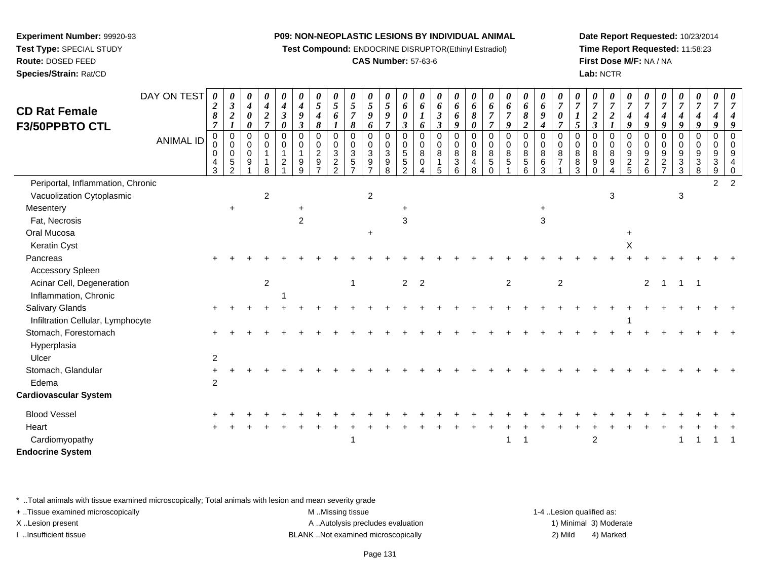**Test Compound:** ENDOCRINE DISRUPTOR(Ethinyl Estradiol)

#### **CAS Number:** 57-63-6

**Date Report Requested:** 10/23/2014**Time Report Requested:** 11:58:23**First Dose M/F:** NA / NA**Lab:** NCTR

| <b>CD Rat Female</b><br>F3/50PPBTO CTL | DAY ON TEST<br><b>ANIMAL ID</b> | 0<br>$\boldsymbol{2}$<br>8<br>$\overline{7}$<br>$\mathbf 0$<br>$\mathbf 0$<br>4<br>3 | 0<br>$\boldsymbol{\beta}$<br>$\boldsymbol{2}$<br>$\pmb{0}$<br>$\mathbf 0$<br>$\mathbf 0$<br>$\,$ 5 $\,$<br>$\mathfrak{p}$ | $\pmb{\theta}$<br>$\boldsymbol{4}$<br>$\boldsymbol{\theta}$<br>0<br>$\mathbf 0$<br>$\pmb{0}$<br>$\mathbf 0$<br>9 | 0<br>$\boldsymbol{4}$<br>$\frac{2}{7}$<br>$\mathbf 0$<br>$\pmb{0}$<br>$\mathbf{1}$<br>$\mathbf{1}$<br>8 | 0<br>4<br>$\boldsymbol{\beta}$<br>0<br>$\mathbf 0$<br>0<br>$\mathbf 1$<br>2 | 0<br>4<br>9<br>$\boldsymbol{\beta}$<br>$\mathbf 0$<br>$\Omega$<br>9 | 0<br>5<br>4<br>8<br>$\mathbf 0$<br>$\mathbf 0$<br>$\overline{c}$<br>9 | 0<br>5<br>6<br>0<br>0<br>$\mathbf{3}$<br>$\overline{c}$<br>$\mathcal{P}$ | $\boldsymbol{\theta}$<br>$\mathfrak{s}$<br>$\overline{7}$<br>$\pmb{8}$<br>$\pmb{0}$<br>$\mathbf 0$<br>$\mathbf{3}$<br>5 | 0<br>$\overline{5}$<br>$\boldsymbol{9}$<br>6<br>$\mathbf 0$<br>$\mathbf 0$<br>$\mathbf{3}$<br>9 | 5<br>9<br>$\overline{7}$<br>$\Omega$<br>$\Omega$<br>$\mathbf{3}$<br>9<br>8 | 0<br>6<br>0<br>3<br>$\mathbf 0$<br>$\Omega$<br>5<br>5 | 0<br>6<br>6<br>0<br>0<br>$\,8\,$<br>0 | 0<br>6<br>$\boldsymbol{\beta}$<br>$\mathfrak{z}$<br>$\mathbf 0$<br>$\mathbf 0$<br>8<br>5 | 0<br>6<br>6<br>9<br>$\mathbf 0$<br>$\mathbf 0$<br>$\,8\,$<br>3<br>6 | 0<br>6<br>8<br>0<br>$\Omega$<br>$\Omega$<br>8<br>4<br>8 | 0<br>6<br>$\overline{7}$<br>$\overline{\tau}$<br>$\mathbf 0$<br>$\Omega$<br>8<br>5 | 0<br>6<br>$\boldsymbol{7}$<br>9<br>0<br>0<br>8<br>5 | 0<br>6<br>8<br>$\overline{2}$<br>$\mathbf 0$<br>$\mathbf 0$<br>8<br>$\sqrt{5}$<br>6 | 0<br>6<br>9<br>$\boldsymbol{4}$<br>$\mathbf 0$<br>$\Omega$<br>8<br>$\,6\,$<br>3 | 0<br>$\overline{7}$<br>$\overline{7}$<br>$\Omega$<br>$\Omega$<br>8<br>$\overline{7}$ | $\boldsymbol{\theta}$<br>$\overline{7}$<br>5<br>$\mathbf 0$<br>0<br>$\bf8$<br>$\bf 8$<br>3 | $\pmb{\theta}$<br>$\boldsymbol{7}$<br>$\boldsymbol{2}$<br>$\mathfrak{z}$<br>$\mathbf 0$<br>$\mathbf 0$<br>8<br>$\boldsymbol{9}$<br>$\Omega$ | 0<br>$\overline{7}$<br>$\overline{2}$<br>$\mathbf 0$<br>$\Omega$<br>8<br>9 | 0<br>4<br>9<br>$\Omega$<br>0<br>$\boldsymbol{9}$<br>$\frac{2}{5}$ | 7<br>4<br>9<br>$\mathbf 0$<br>$\mathbf 0$<br>$\boldsymbol{9}$<br>$\sqrt{2}$<br>6 | 0<br>$\overline{7}$<br>4<br>9<br>0<br>$\mathbf 0$<br>$\boldsymbol{9}$<br>$\overline{c}$<br>$\overline{7}$ | 0<br>$\overline{7}$<br>4<br>9<br>$\mathbf 0$<br>$\mathbf 0$<br>$9\,$<br>$\sqrt{3}$<br>3 | 4<br>9<br>$\Omega$<br>$\Omega$<br>9<br>3<br>8 | $\mathbf 0$<br>0<br>9<br>3<br>9 | $\Omega$<br>$\Omega$<br>9<br>$\Delta$<br>$\Omega$ |
|----------------------------------------|---------------------------------|--------------------------------------------------------------------------------------|---------------------------------------------------------------------------------------------------------------------------|------------------------------------------------------------------------------------------------------------------|---------------------------------------------------------------------------------------------------------|-----------------------------------------------------------------------------|---------------------------------------------------------------------|-----------------------------------------------------------------------|--------------------------------------------------------------------------|-------------------------------------------------------------------------------------------------------------------------|-------------------------------------------------------------------------------------------------|----------------------------------------------------------------------------|-------------------------------------------------------|---------------------------------------|------------------------------------------------------------------------------------------|---------------------------------------------------------------------|---------------------------------------------------------|------------------------------------------------------------------------------------|-----------------------------------------------------|-------------------------------------------------------------------------------------|---------------------------------------------------------------------------------|--------------------------------------------------------------------------------------|--------------------------------------------------------------------------------------------|---------------------------------------------------------------------------------------------------------------------------------------------|----------------------------------------------------------------------------|-------------------------------------------------------------------|----------------------------------------------------------------------------------|-----------------------------------------------------------------------------------------------------------|-----------------------------------------------------------------------------------------|-----------------------------------------------|---------------------------------|---------------------------------------------------|
| Periportal, Inflammation, Chronic      |                                 |                                                                                      |                                                                                                                           |                                                                                                                  |                                                                                                         |                                                                             |                                                                     |                                                                       |                                                                          |                                                                                                                         |                                                                                                 |                                                                            |                                                       |                                       |                                                                                          |                                                                     |                                                         |                                                                                    |                                                     |                                                                                     |                                                                                 |                                                                                      |                                                                                            |                                                                                                                                             |                                                                            |                                                                   |                                                                                  |                                                                                                           |                                                                                         |                                               | 2                               | $\overline{2}$                                    |
| Vacuolization Cytoplasmic              |                                 |                                                                                      |                                                                                                                           |                                                                                                                  | $\overline{2}$                                                                                          |                                                                             |                                                                     |                                                                       |                                                                          |                                                                                                                         | $\overline{2}$                                                                                  |                                                                            |                                                       |                                       |                                                                                          |                                                                     |                                                         |                                                                                    |                                                     |                                                                                     |                                                                                 |                                                                                      |                                                                                            |                                                                                                                                             | $\mathbf{3}$                                                               |                                                                   |                                                                                  |                                                                                                           | 3                                                                                       |                                               |                                 |                                                   |
| Mesentery                              |                                 |                                                                                      | $\ddot{}$                                                                                                                 |                                                                                                                  |                                                                                                         |                                                                             | $\ddot{}$                                                           |                                                                       |                                                                          |                                                                                                                         |                                                                                                 |                                                                            | +                                                     |                                       |                                                                                          |                                                                     |                                                         |                                                                                    |                                                     |                                                                                     |                                                                                 |                                                                                      |                                                                                            |                                                                                                                                             |                                                                            |                                                                   |                                                                                  |                                                                                                           |                                                                                         |                                               |                                 |                                                   |
| Fat, Necrosis                          |                                 |                                                                                      |                                                                                                                           |                                                                                                                  |                                                                                                         |                                                                             | $\overline{2}$                                                      |                                                                       |                                                                          |                                                                                                                         |                                                                                                 |                                                                            | 3                                                     |                                       |                                                                                          |                                                                     |                                                         |                                                                                    |                                                     |                                                                                     | 3                                                                               |                                                                                      |                                                                                            |                                                                                                                                             |                                                                            |                                                                   |                                                                                  |                                                                                                           |                                                                                         |                                               |                                 |                                                   |
| Oral Mucosa                            |                                 |                                                                                      |                                                                                                                           |                                                                                                                  |                                                                                                         |                                                                             |                                                                     |                                                                       |                                                                          |                                                                                                                         | $\ddot{}$                                                                                       |                                                                            |                                                       |                                       |                                                                                          |                                                                     |                                                         |                                                                                    |                                                     |                                                                                     |                                                                                 |                                                                                      |                                                                                            |                                                                                                                                             |                                                                            | $\ddot{}$                                                         |                                                                                  |                                                                                                           |                                                                                         |                                               |                                 |                                                   |
| Keratin Cyst                           |                                 |                                                                                      |                                                                                                                           |                                                                                                                  |                                                                                                         |                                                                             |                                                                     |                                                                       |                                                                          |                                                                                                                         |                                                                                                 |                                                                            |                                                       |                                       |                                                                                          |                                                                     |                                                         |                                                                                    |                                                     |                                                                                     |                                                                                 |                                                                                      |                                                                                            |                                                                                                                                             |                                                                            | X                                                                 |                                                                                  |                                                                                                           |                                                                                         |                                               |                                 |                                                   |
| Pancreas                               |                                 |                                                                                      |                                                                                                                           |                                                                                                                  |                                                                                                         |                                                                             |                                                                     |                                                                       |                                                                          |                                                                                                                         |                                                                                                 |                                                                            |                                                       |                                       |                                                                                          |                                                                     |                                                         |                                                                                    |                                                     |                                                                                     |                                                                                 |                                                                                      |                                                                                            |                                                                                                                                             |                                                                            |                                                                   |                                                                                  |                                                                                                           |                                                                                         |                                               |                                 |                                                   |
| Accessory Spleen                       |                                 |                                                                                      |                                                                                                                           |                                                                                                                  |                                                                                                         |                                                                             |                                                                     |                                                                       |                                                                          |                                                                                                                         |                                                                                                 |                                                                            |                                                       |                                       |                                                                                          |                                                                     |                                                         |                                                                                    |                                                     |                                                                                     |                                                                                 |                                                                                      |                                                                                            |                                                                                                                                             |                                                                            |                                                                   |                                                                                  |                                                                                                           |                                                                                         |                                               |                                 |                                                   |
| Acinar Cell, Degeneration              |                                 |                                                                                      |                                                                                                                           |                                                                                                                  | 2                                                                                                       |                                                                             |                                                                     |                                                                       |                                                                          | $\overline{1}$                                                                                                          |                                                                                                 |                                                                            | $2^{\circ}$                                           | $\overline{2}$                        |                                                                                          |                                                                     |                                                         |                                                                                    | $\overline{2}$                                      |                                                                                     |                                                                                 | $\sqrt{2}$                                                                           |                                                                                            |                                                                                                                                             |                                                                            |                                                                   | $\overline{2}$                                                                   | $\overline{1}$                                                                                            | $\overline{1}$                                                                          | $\overline{1}$                                |                                 |                                                   |
| Inflammation, Chronic                  |                                 |                                                                                      |                                                                                                                           |                                                                                                                  |                                                                                                         |                                                                             |                                                                     |                                                                       |                                                                          |                                                                                                                         |                                                                                                 |                                                                            |                                                       |                                       |                                                                                          |                                                                     |                                                         |                                                                                    |                                                     |                                                                                     |                                                                                 |                                                                                      |                                                                                            |                                                                                                                                             |                                                                            |                                                                   |                                                                                  |                                                                                                           |                                                                                         |                                               |                                 |                                                   |
| <b>Salivary Glands</b>                 |                                 |                                                                                      |                                                                                                                           |                                                                                                                  |                                                                                                         |                                                                             |                                                                     |                                                                       |                                                                          |                                                                                                                         |                                                                                                 |                                                                            |                                                       |                                       |                                                                                          |                                                                     |                                                         |                                                                                    |                                                     |                                                                                     |                                                                                 |                                                                                      |                                                                                            |                                                                                                                                             |                                                                            |                                                                   |                                                                                  |                                                                                                           |                                                                                         |                                               |                                 |                                                   |
| Infiltration Cellular, Lymphocyte      |                                 |                                                                                      |                                                                                                                           |                                                                                                                  |                                                                                                         |                                                                             |                                                                     |                                                                       |                                                                          |                                                                                                                         |                                                                                                 |                                                                            |                                                       |                                       |                                                                                          |                                                                     |                                                         |                                                                                    |                                                     |                                                                                     |                                                                                 |                                                                                      |                                                                                            |                                                                                                                                             |                                                                            |                                                                   |                                                                                  |                                                                                                           |                                                                                         |                                               |                                 |                                                   |
| Stomach, Forestomach                   |                                 |                                                                                      |                                                                                                                           |                                                                                                                  |                                                                                                         |                                                                             |                                                                     |                                                                       |                                                                          |                                                                                                                         |                                                                                                 |                                                                            |                                                       |                                       |                                                                                          |                                                                     |                                                         |                                                                                    |                                                     |                                                                                     |                                                                                 |                                                                                      |                                                                                            |                                                                                                                                             |                                                                            |                                                                   |                                                                                  |                                                                                                           |                                                                                         |                                               |                                 |                                                   |
| Hyperplasia                            |                                 |                                                                                      |                                                                                                                           |                                                                                                                  |                                                                                                         |                                                                             |                                                                     |                                                                       |                                                                          |                                                                                                                         |                                                                                                 |                                                                            |                                                       |                                       |                                                                                          |                                                                     |                                                         |                                                                                    |                                                     |                                                                                     |                                                                                 |                                                                                      |                                                                                            |                                                                                                                                             |                                                                            |                                                                   |                                                                                  |                                                                                                           |                                                                                         |                                               |                                 |                                                   |
| Ulcer                                  |                                 | $\overline{c}$                                                                       |                                                                                                                           |                                                                                                                  |                                                                                                         |                                                                             |                                                                     |                                                                       |                                                                          |                                                                                                                         |                                                                                                 |                                                                            |                                                       |                                       |                                                                                          |                                                                     |                                                         |                                                                                    |                                                     |                                                                                     |                                                                                 |                                                                                      |                                                                                            |                                                                                                                                             |                                                                            |                                                                   |                                                                                  |                                                                                                           |                                                                                         |                                               |                                 |                                                   |
| Stomach, Glandular                     |                                 | ÷                                                                                    |                                                                                                                           |                                                                                                                  |                                                                                                         |                                                                             |                                                                     |                                                                       |                                                                          |                                                                                                                         |                                                                                                 |                                                                            |                                                       |                                       |                                                                                          |                                                                     |                                                         |                                                                                    |                                                     |                                                                                     |                                                                                 |                                                                                      |                                                                                            |                                                                                                                                             |                                                                            |                                                                   |                                                                                  |                                                                                                           |                                                                                         |                                               |                                 |                                                   |
| Edema                                  |                                 | $\overline{2}$                                                                       |                                                                                                                           |                                                                                                                  |                                                                                                         |                                                                             |                                                                     |                                                                       |                                                                          |                                                                                                                         |                                                                                                 |                                                                            |                                                       |                                       |                                                                                          |                                                                     |                                                         |                                                                                    |                                                     |                                                                                     |                                                                                 |                                                                                      |                                                                                            |                                                                                                                                             |                                                                            |                                                                   |                                                                                  |                                                                                                           |                                                                                         |                                               |                                 |                                                   |
| <b>Cardiovascular System</b>           |                                 |                                                                                      |                                                                                                                           |                                                                                                                  |                                                                                                         |                                                                             |                                                                     |                                                                       |                                                                          |                                                                                                                         |                                                                                                 |                                                                            |                                                       |                                       |                                                                                          |                                                                     |                                                         |                                                                                    |                                                     |                                                                                     |                                                                                 |                                                                                      |                                                                                            |                                                                                                                                             |                                                                            |                                                                   |                                                                                  |                                                                                                           |                                                                                         |                                               |                                 |                                                   |
| <b>Blood Vessel</b>                    |                                 |                                                                                      |                                                                                                                           |                                                                                                                  |                                                                                                         |                                                                             |                                                                     |                                                                       |                                                                          |                                                                                                                         |                                                                                                 |                                                                            |                                                       |                                       |                                                                                          |                                                                     |                                                         |                                                                                    |                                                     |                                                                                     |                                                                                 |                                                                                      |                                                                                            |                                                                                                                                             |                                                                            |                                                                   |                                                                                  |                                                                                                           |                                                                                         |                                               |                                 |                                                   |
| Heart                                  |                                 |                                                                                      |                                                                                                                           |                                                                                                                  |                                                                                                         |                                                                             |                                                                     |                                                                       |                                                                          |                                                                                                                         |                                                                                                 |                                                                            |                                                       |                                       |                                                                                          |                                                                     |                                                         |                                                                                    |                                                     |                                                                                     |                                                                                 |                                                                                      |                                                                                            |                                                                                                                                             |                                                                            |                                                                   |                                                                                  |                                                                                                           |                                                                                         |                                               |                                 |                                                   |
| Cardiomyopathy                         |                                 |                                                                                      |                                                                                                                           |                                                                                                                  |                                                                                                         |                                                                             |                                                                     |                                                                       |                                                                          |                                                                                                                         |                                                                                                 |                                                                            |                                                       |                                       |                                                                                          |                                                                     |                                                         |                                                                                    |                                                     |                                                                                     |                                                                                 |                                                                                      |                                                                                            | $\overline{c}$                                                                                                                              |                                                                            |                                                                   |                                                                                  |                                                                                                           |                                                                                         |                                               |                                 |                                                   |
| <b>Endocrine System</b>                |                                 |                                                                                      |                                                                                                                           |                                                                                                                  |                                                                                                         |                                                                             |                                                                     |                                                                       |                                                                          |                                                                                                                         |                                                                                                 |                                                                            |                                                       |                                       |                                                                                          |                                                                     |                                                         |                                                                                    |                                                     |                                                                                     |                                                                                 |                                                                                      |                                                                                            |                                                                                                                                             |                                                                            |                                                                   |                                                                                  |                                                                                                           |                                                                                         |                                               |                                 |                                                   |

\* ..Total animals with tissue examined microscopically; Total animals with lesion and mean severity grade

**Experiment Number:** 99920-93**Test Type:** SPECIAL STUDY**Route:** DOSED FEED**Species/Strain:** Rat/CD

+ ..Tissue examined microscopically examined microscopically examined as:  $M$  ..Missing tissue 1-4 ..Lesion qualified as: X..Lesion present **A ..Autolysis precludes evaluation** A ..Autolysis precludes evaluation 1) Minimal 3) Moderate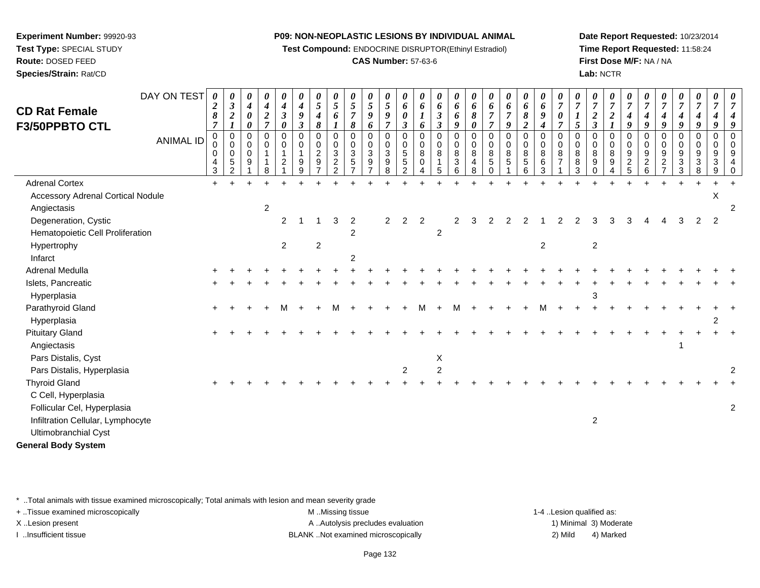**Test Compound:** ENDOCRINE DISRUPTOR(Ethinyl Estradiol)

#### **CAS Number:** 57-63-6

**Date Report Requested:** 10/23/2014**Time Report Requested:** 11:58:24**First Dose M/F:** NA / NA**Lab:** NCTR

| <b>CD Rat Female</b><br>F3/50PPBTO CTL   | DAY ON TEST<br><b>ANIMAL ID</b> | 0<br>$\boldsymbol{2}$<br>8<br>$\overline{7}$<br>0<br>$\mathbf 0$<br>4<br>$\mathfrak{Z}$ | $\boldsymbol{\theta}$<br>$\boldsymbol{\beta}$<br>$\overline{2}$<br>$\pmb{0}$<br>$\mathbf 0$<br>$\mathbf 0$<br>$\sqrt{5}$<br>$\mathcal{P}$ | $\boldsymbol{\theta}$<br>$\boldsymbol{4}$<br>$\boldsymbol{\theta}$<br>0<br>0<br>0<br>0<br>9 | $\boldsymbol{\theta}$<br>$\boldsymbol{4}$<br>$\boldsymbol{2}$<br>$\overline{7}$<br>$\Omega$<br>$\mathbf 0$<br>$\overline{1}$<br>-1<br>8 | 0<br>4<br>$\boldsymbol{\beta}$<br>0<br>$\Omega$<br>0<br>1<br>2 | 0<br>$\boldsymbol{4}$<br>9<br>$\boldsymbol{\beta}$<br>$\Omega$<br>0<br>$\mathbf{1}$<br>9<br>9 | 0<br>5<br>4<br>8<br>$\mathbf 0$<br>0<br>$\sqrt{2}$<br>$\boldsymbol{9}$ | $\boldsymbol{\theta}$<br>$\sqrt{5}$<br>6<br>$\pmb{0}$<br>$\mathbf 0$<br>$\overline{3}$<br>$\boldsymbol{2}$<br>$\overline{2}$ | $\pmb{\theta}$<br>$\mathfrak{s}$<br>$\overline{7}$<br>$\pmb{8}$<br>$\pmb{0}$<br>$\mathbf 0$<br>$\mathbf{3}$<br>$\sqrt{5}$<br>$\overline{7}$ | 0<br>5<br>9<br>6<br>$\Omega$<br>0<br>3<br>9 | 0<br>5<br>9<br>$\overline{7}$<br>$\Omega$<br>$\mathbf 0$<br>3<br>9<br>8 | 0<br>6<br>0<br>$\boldsymbol{\beta}$<br>$\Omega$<br>0<br>5<br>$\sqrt{5}$ | $\boldsymbol{\theta}$<br>6<br>6<br>0<br>0<br>8<br>$\mathbf 0$ | $\boldsymbol{\theta}$<br>6<br>$\boldsymbol{\beta}$<br>$\boldsymbol{\beta}$<br>$\mathbf 0$<br>$\mathbf 0$<br>8<br>$\mathbf 1$<br>5 | $\boldsymbol{\theta}$<br>6<br>6<br>9<br>$\mathbf 0$<br>$\mathbf 0$<br>8<br>$\sqrt{3}$<br>6 | 0<br>6<br>8<br>0<br>$\Omega$<br>$\mathbf 0$<br>8<br>4<br>8 | 0<br>6<br>$\overline{7}$<br>$\overline{\tau}$<br>$\mathbf 0$<br>0<br>8<br>5 | 0<br>6<br>$\overline{7}$<br>9<br>0<br>0<br>8<br>$\sqrt{5}$ | $\boldsymbol{\theta}$<br>6<br>8<br>$\boldsymbol{2}$<br>$\mathbf 0$<br>$\mathbf 0$<br>$\, 8$<br>$\overline{5}$<br>6 | 0<br>6<br>9<br>4<br>$\overline{0}$<br>0<br>8<br>$\,6\,$<br>3 | 0<br>$\overline{7}$<br>$\boldsymbol{\theta}$<br>$\overline{7}$<br>$\Omega$<br>$\Omega$<br>8<br>$\overline{7}$ | 0<br>$\overline{7}$<br>5<br>$\Omega$<br>0<br>8<br>8<br>3 | $\pmb{\theta}$<br>$\overline{7}$<br>$\boldsymbol{2}$<br>$\boldsymbol{\beta}$<br>0<br>$\mathbf 0$<br>8<br>$\boldsymbol{9}$ | 0<br>$\overline{7}$<br>$\boldsymbol{2}$<br>$\Omega$<br>$\mathbf 0$<br>$\,8\,$<br>9 | 0<br>$\overline{7}$<br>4<br>9<br>$\Omega$<br>$\mathbf 0$<br>9<br>$\overline{c}$<br>$\overline{5}$ | 0<br>$\overline{7}$<br>4<br>9<br>$\Omega$<br>0<br>$9\,$<br>$\overline{2}$<br>$6\phantom{1}6$ | $\pmb{\theta}$<br>$\overline{7}$<br>4<br>9<br>$\Omega$<br>0<br>$\boldsymbol{9}$<br>$\overline{c}$ | 0<br>$\boldsymbol{7}$<br>$\boldsymbol{4}$<br>9<br>$\mathbf 0$<br>0<br>9<br>$\sqrt{3}$<br>3 | $\boldsymbol{\theta}$<br>$\overline{7}$<br>$\boldsymbol{4}$<br>9<br>$\mathbf 0$<br>$\mathbf 0$<br>$\boldsymbol{9}$<br>$\sqrt{3}$<br>8 | $\boldsymbol{\theta}$<br>7<br>9<br>$\mathbf 0$<br>0<br>9<br>$\ensuremath{\mathsf{3}}$<br>9 | $\boldsymbol{\theta}$<br>$\overline{7}$<br>9<br>$\Omega$<br>$\Omega$<br>9<br>$\overline{4}$<br>$\Omega$ |
|------------------------------------------|---------------------------------|-----------------------------------------------------------------------------------------|-------------------------------------------------------------------------------------------------------------------------------------------|---------------------------------------------------------------------------------------------|-----------------------------------------------------------------------------------------------------------------------------------------|----------------------------------------------------------------|-----------------------------------------------------------------------------------------------|------------------------------------------------------------------------|------------------------------------------------------------------------------------------------------------------------------|---------------------------------------------------------------------------------------------------------------------------------------------|---------------------------------------------|-------------------------------------------------------------------------|-------------------------------------------------------------------------|---------------------------------------------------------------|-----------------------------------------------------------------------------------------------------------------------------------|--------------------------------------------------------------------------------------------|------------------------------------------------------------|-----------------------------------------------------------------------------|------------------------------------------------------------|--------------------------------------------------------------------------------------------------------------------|--------------------------------------------------------------|---------------------------------------------------------------------------------------------------------------|----------------------------------------------------------|---------------------------------------------------------------------------------------------------------------------------|------------------------------------------------------------------------------------|---------------------------------------------------------------------------------------------------|----------------------------------------------------------------------------------------------|---------------------------------------------------------------------------------------------------|--------------------------------------------------------------------------------------------|---------------------------------------------------------------------------------------------------------------------------------------|--------------------------------------------------------------------------------------------|---------------------------------------------------------------------------------------------------------|
| <b>Adrenal Cortex</b>                    |                                 | $\ddot{}$                                                                               |                                                                                                                                           |                                                                                             |                                                                                                                                         |                                                                |                                                                                               |                                                                        |                                                                                                                              |                                                                                                                                             |                                             |                                                                         |                                                                         |                                                               |                                                                                                                                   |                                                                                            |                                                            |                                                                             |                                                            |                                                                                                                    |                                                              |                                                                                                               |                                                          |                                                                                                                           |                                                                                    |                                                                                                   |                                                                                              |                                                                                                   |                                                                                            |                                                                                                                                       |                                                                                            |                                                                                                         |
| <b>Accessory Adrenal Cortical Nodule</b> |                                 |                                                                                         |                                                                                                                                           |                                                                                             |                                                                                                                                         |                                                                |                                                                                               |                                                                        |                                                                                                                              |                                                                                                                                             |                                             |                                                                         |                                                                         |                                                               |                                                                                                                                   |                                                                                            |                                                            |                                                                             |                                                            |                                                                                                                    |                                                              |                                                                                                               |                                                          |                                                                                                                           |                                                                                    |                                                                                                   |                                                                                              |                                                                                                   |                                                                                            |                                                                                                                                       | X                                                                                          |                                                                                                         |
| Angiectasis                              |                                 |                                                                                         |                                                                                                                                           |                                                                                             | $\overline{2}$                                                                                                                          |                                                                |                                                                                               |                                                                        |                                                                                                                              |                                                                                                                                             |                                             |                                                                         |                                                                         |                                                               |                                                                                                                                   |                                                                                            |                                                            |                                                                             |                                                            |                                                                                                                    |                                                              |                                                                                                               |                                                          |                                                                                                                           |                                                                                    |                                                                                                   |                                                                                              |                                                                                                   |                                                                                            |                                                                                                                                       |                                                                                            | $\overline{2}$                                                                                          |
| Degeneration, Cystic                     |                                 |                                                                                         |                                                                                                                                           |                                                                                             |                                                                                                                                         | $\overline{2}$                                                 |                                                                                               |                                                                        | 3                                                                                                                            | $\overline{2}$                                                                                                                              |                                             | 2                                                                       | $\overline{2}$                                                          | 2                                                             |                                                                                                                                   |                                                                                            |                                                            |                                                                             |                                                            |                                                                                                                    |                                                              |                                                                                                               | 2                                                        | 3                                                                                                                         |                                                                                    |                                                                                                   |                                                                                              |                                                                                                   | 3                                                                                          | 2                                                                                                                                     | 2                                                                                          |                                                                                                         |
| Hematopoietic Cell Proliferation         |                                 |                                                                                         |                                                                                                                                           |                                                                                             |                                                                                                                                         |                                                                |                                                                                               |                                                                        |                                                                                                                              | 2                                                                                                                                           |                                             |                                                                         |                                                                         |                                                               | $\overline{2}$                                                                                                                    |                                                                                            |                                                            |                                                                             |                                                            |                                                                                                                    |                                                              |                                                                                                               |                                                          |                                                                                                                           |                                                                                    |                                                                                                   |                                                                                              |                                                                                                   |                                                                                            |                                                                                                                                       |                                                                                            |                                                                                                         |
| Hypertrophy                              |                                 |                                                                                         |                                                                                                                                           |                                                                                             |                                                                                                                                         | $\overline{2}$                                                 |                                                                                               | $\overline{2}$                                                         |                                                                                                                              |                                                                                                                                             |                                             |                                                                         |                                                                         |                                                               |                                                                                                                                   |                                                                                            |                                                            |                                                                             |                                                            |                                                                                                                    | $\overline{c}$                                               |                                                                                                               |                                                          | $\overline{c}$                                                                                                            |                                                                                    |                                                                                                   |                                                                                              |                                                                                                   |                                                                                            |                                                                                                                                       |                                                                                            |                                                                                                         |
| Infarct                                  |                                 |                                                                                         |                                                                                                                                           |                                                                                             |                                                                                                                                         |                                                                |                                                                                               |                                                                        |                                                                                                                              | $\overline{2}$                                                                                                                              |                                             |                                                                         |                                                                         |                                                               |                                                                                                                                   |                                                                                            |                                                            |                                                                             |                                                            |                                                                                                                    |                                                              |                                                                                                               |                                                          |                                                                                                                           |                                                                                    |                                                                                                   |                                                                                              |                                                                                                   |                                                                                            |                                                                                                                                       |                                                                                            |                                                                                                         |
| Adrenal Medulla                          |                                 |                                                                                         |                                                                                                                                           |                                                                                             |                                                                                                                                         |                                                                |                                                                                               |                                                                        |                                                                                                                              |                                                                                                                                             |                                             |                                                                         |                                                                         |                                                               |                                                                                                                                   |                                                                                            |                                                            |                                                                             |                                                            |                                                                                                                    |                                                              |                                                                                                               |                                                          |                                                                                                                           |                                                                                    |                                                                                                   |                                                                                              |                                                                                                   |                                                                                            |                                                                                                                                       |                                                                                            |                                                                                                         |
| Islets, Pancreatic                       |                                 |                                                                                         |                                                                                                                                           |                                                                                             |                                                                                                                                         |                                                                |                                                                                               |                                                                        |                                                                                                                              |                                                                                                                                             |                                             |                                                                         |                                                                         |                                                               |                                                                                                                                   |                                                                                            |                                                            |                                                                             |                                                            |                                                                                                                    |                                                              |                                                                                                               |                                                          |                                                                                                                           |                                                                                    |                                                                                                   |                                                                                              |                                                                                                   |                                                                                            |                                                                                                                                       |                                                                                            |                                                                                                         |
| Hyperplasia                              |                                 |                                                                                         |                                                                                                                                           |                                                                                             |                                                                                                                                         |                                                                |                                                                                               |                                                                        |                                                                                                                              |                                                                                                                                             |                                             |                                                                         |                                                                         |                                                               |                                                                                                                                   |                                                                                            |                                                            |                                                                             |                                                            |                                                                                                                    |                                                              |                                                                                                               |                                                          | 3                                                                                                                         |                                                                                    |                                                                                                   |                                                                                              |                                                                                                   |                                                                                            |                                                                                                                                       |                                                                                            |                                                                                                         |
| Parathyroid Gland                        |                                 |                                                                                         |                                                                                                                                           |                                                                                             |                                                                                                                                         |                                                                |                                                                                               |                                                                        |                                                                                                                              |                                                                                                                                             |                                             |                                                                         |                                                                         |                                                               |                                                                                                                                   |                                                                                            |                                                            |                                                                             |                                                            |                                                                                                                    |                                                              |                                                                                                               |                                                          |                                                                                                                           |                                                                                    |                                                                                                   |                                                                                              |                                                                                                   |                                                                                            |                                                                                                                                       |                                                                                            |                                                                                                         |
| Hyperplasia                              |                                 |                                                                                         |                                                                                                                                           |                                                                                             |                                                                                                                                         |                                                                |                                                                                               |                                                                        |                                                                                                                              |                                                                                                                                             |                                             |                                                                         |                                                                         |                                                               |                                                                                                                                   |                                                                                            |                                                            |                                                                             |                                                            |                                                                                                                    |                                                              |                                                                                                               |                                                          |                                                                                                                           |                                                                                    |                                                                                                   |                                                                                              |                                                                                                   |                                                                                            |                                                                                                                                       | $\overline{2}$                                                                             |                                                                                                         |
| <b>Pituitary Gland</b>                   |                                 |                                                                                         |                                                                                                                                           |                                                                                             |                                                                                                                                         |                                                                |                                                                                               |                                                                        |                                                                                                                              |                                                                                                                                             |                                             |                                                                         |                                                                         |                                                               |                                                                                                                                   |                                                                                            |                                                            |                                                                             |                                                            |                                                                                                                    |                                                              |                                                                                                               |                                                          |                                                                                                                           |                                                                                    |                                                                                                   |                                                                                              |                                                                                                   |                                                                                            |                                                                                                                                       |                                                                                            |                                                                                                         |
| Angiectasis                              |                                 |                                                                                         |                                                                                                                                           |                                                                                             |                                                                                                                                         |                                                                |                                                                                               |                                                                        |                                                                                                                              |                                                                                                                                             |                                             |                                                                         |                                                                         |                                                               |                                                                                                                                   |                                                                                            |                                                            |                                                                             |                                                            |                                                                                                                    |                                                              |                                                                                                               |                                                          |                                                                                                                           |                                                                                    |                                                                                                   |                                                                                              |                                                                                                   |                                                                                            |                                                                                                                                       |                                                                                            |                                                                                                         |
| Pars Distalis, Cyst                      |                                 |                                                                                         |                                                                                                                                           |                                                                                             |                                                                                                                                         |                                                                |                                                                                               |                                                                        |                                                                                                                              |                                                                                                                                             |                                             |                                                                         |                                                                         |                                                               | X                                                                                                                                 |                                                                                            |                                                            |                                                                             |                                                            |                                                                                                                    |                                                              |                                                                                                               |                                                          |                                                                                                                           |                                                                                    |                                                                                                   |                                                                                              |                                                                                                   |                                                                                            |                                                                                                                                       |                                                                                            |                                                                                                         |
| Pars Distalis, Hyperplasia               |                                 |                                                                                         |                                                                                                                                           |                                                                                             |                                                                                                                                         |                                                                |                                                                                               |                                                                        |                                                                                                                              |                                                                                                                                             |                                             |                                                                         | $\overline{c}$                                                          |                                                               | $\overline{c}$                                                                                                                    |                                                                                            |                                                            |                                                                             |                                                            |                                                                                                                    |                                                              |                                                                                                               |                                                          |                                                                                                                           |                                                                                    |                                                                                                   |                                                                                              |                                                                                                   |                                                                                            |                                                                                                                                       |                                                                                            | 2                                                                                                       |
| <b>Thyroid Gland</b>                     |                                 |                                                                                         |                                                                                                                                           |                                                                                             |                                                                                                                                         |                                                                |                                                                                               |                                                                        |                                                                                                                              |                                                                                                                                             |                                             |                                                                         |                                                                         |                                                               |                                                                                                                                   |                                                                                            |                                                            |                                                                             |                                                            |                                                                                                                    |                                                              |                                                                                                               |                                                          |                                                                                                                           |                                                                                    |                                                                                                   |                                                                                              |                                                                                                   |                                                                                            |                                                                                                                                       |                                                                                            |                                                                                                         |
| C Cell, Hyperplasia                      |                                 |                                                                                         |                                                                                                                                           |                                                                                             |                                                                                                                                         |                                                                |                                                                                               |                                                                        |                                                                                                                              |                                                                                                                                             |                                             |                                                                         |                                                                         |                                                               |                                                                                                                                   |                                                                                            |                                                            |                                                                             |                                                            |                                                                                                                    |                                                              |                                                                                                               |                                                          |                                                                                                                           |                                                                                    |                                                                                                   |                                                                                              |                                                                                                   |                                                                                            |                                                                                                                                       |                                                                                            |                                                                                                         |
| Follicular Cel, Hyperplasia              |                                 |                                                                                         |                                                                                                                                           |                                                                                             |                                                                                                                                         |                                                                |                                                                                               |                                                                        |                                                                                                                              |                                                                                                                                             |                                             |                                                                         |                                                                         |                                                               |                                                                                                                                   |                                                                                            |                                                            |                                                                             |                                                            |                                                                                                                    |                                                              |                                                                                                               |                                                          |                                                                                                                           |                                                                                    |                                                                                                   |                                                                                              |                                                                                                   |                                                                                            |                                                                                                                                       |                                                                                            | $\overline{c}$                                                                                          |
| Infiltration Cellular, Lymphocyte        |                                 |                                                                                         |                                                                                                                                           |                                                                                             |                                                                                                                                         |                                                                |                                                                                               |                                                                        |                                                                                                                              |                                                                                                                                             |                                             |                                                                         |                                                                         |                                                               |                                                                                                                                   |                                                                                            |                                                            |                                                                             |                                                            |                                                                                                                    |                                                              |                                                                                                               |                                                          | $\overline{c}$                                                                                                            |                                                                                    |                                                                                                   |                                                                                              |                                                                                                   |                                                                                            |                                                                                                                                       |                                                                                            |                                                                                                         |
| Ultimobranchial Cyst                     |                                 |                                                                                         |                                                                                                                                           |                                                                                             |                                                                                                                                         |                                                                |                                                                                               |                                                                        |                                                                                                                              |                                                                                                                                             |                                             |                                                                         |                                                                         |                                                               |                                                                                                                                   |                                                                                            |                                                            |                                                                             |                                                            |                                                                                                                    |                                                              |                                                                                                               |                                                          |                                                                                                                           |                                                                                    |                                                                                                   |                                                                                              |                                                                                                   |                                                                                            |                                                                                                                                       |                                                                                            |                                                                                                         |
| <b>General Body System</b>               |                                 |                                                                                         |                                                                                                                                           |                                                                                             |                                                                                                                                         |                                                                |                                                                                               |                                                                        |                                                                                                                              |                                                                                                                                             |                                             |                                                                         |                                                                         |                                                               |                                                                                                                                   |                                                                                            |                                                            |                                                                             |                                                            |                                                                                                                    |                                                              |                                                                                                               |                                                          |                                                                                                                           |                                                                                    |                                                                                                   |                                                                                              |                                                                                                   |                                                                                            |                                                                                                                                       |                                                                                            |                                                                                                         |
|                                          |                                 |                                                                                         |                                                                                                                                           |                                                                                             |                                                                                                                                         |                                                                |                                                                                               |                                                                        |                                                                                                                              |                                                                                                                                             |                                             |                                                                         |                                                                         |                                                               |                                                                                                                                   |                                                                                            |                                                            |                                                                             |                                                            |                                                                                                                    |                                                              |                                                                                                               |                                                          |                                                                                                                           |                                                                                    |                                                                                                   |                                                                                              |                                                                                                   |                                                                                            |                                                                                                                                       |                                                                                            |                                                                                                         |

\* ..Total animals with tissue examined microscopically; Total animals with lesion and mean severity grade

**Experiment Number:** 99920-93**Test Type:** SPECIAL STUDY**Route:** DOSED FEED**Species/Strain:** Rat/CD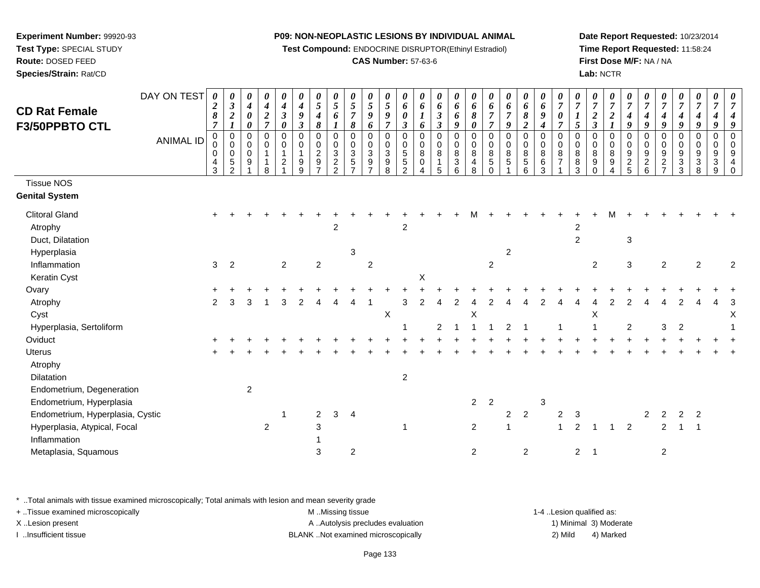**Test Compound:** ENDOCRINE DISRUPTOR(Ethinyl Estradiol)

#### **CAS Number:** 57-63-6

**Date Report Requested:** 10/23/2014**Time Report Requested:** 11:58:24**First Dose M/F:** NA / NA**Lab:** NCTR

| <b>CD Rat Female</b>                                                                                         | DAY ON TEST      | 0<br>$\boldsymbol{2}$<br>8                                               | 0<br>$\boldsymbol{\beta}$<br>$\boldsymbol{2}$                                      | 0<br>$\boldsymbol{4}$<br>$\pmb{\theta}$                                 | 0<br>$\boldsymbol{4}$<br>$\frac{2}{7}$                          | 0<br>$\boldsymbol{4}$<br>$\boldsymbol{\beta}$                         | 0<br>$\boldsymbol{4}$<br>$\boldsymbol{g}$    | $\frac{\theta}{5}$<br>$\boldsymbol{4}$                                                | $\frac{\theta}{5}$<br>6                | $\frac{\theta}{5}$<br>$\overline{7}$                                                | $\frac{\theta}{5}$<br>$\boldsymbol{g}$                      | 0<br>$\mathfrak{S}$<br>9                                                   | 0<br>6<br>$\boldsymbol{\theta}$                                | 0<br>6<br>$\boldsymbol{l}$                          | 0<br>6<br>$\mathfrak{z}$                                               | 0<br>6<br>6                                                    | 0<br>6<br>8                                                                     | 0<br>6<br>$\overline{7}$                                 | 0<br>6<br>$\overline{7}$              | 0<br>$\boldsymbol{6}$<br>$\pmb{8}$                        | 0<br>6<br>9                                                                    | 0<br>$\overline{7}$<br>$\boldsymbol{\theta}$                        | $\frac{\theta}{7}$                                   | 0<br>$\overline{7}$<br>$\boldsymbol{2}$                  | 0<br>$\overline{7}$<br>$\overline{2}$ | $\overline{7}$<br>4               | $\boldsymbol{\theta}$<br>$\overline{7}$<br>$\boldsymbol{4}$ | $\frac{\boldsymbol{0}}{7}$<br>4                                | 0<br>$\overline{7}$<br>$\boldsymbol{4}$               | 0<br>$\overline{7}$<br>$\boldsymbol{4}$ | 0<br>$\overline{7}$<br>$\boldsymbol{4}$                                   | $\boldsymbol{\theta}$<br>$\overline{7}$<br>$\boldsymbol{4}$           |
|--------------------------------------------------------------------------------------------------------------|------------------|--------------------------------------------------------------------------|------------------------------------------------------------------------------------|-------------------------------------------------------------------------|-----------------------------------------------------------------|-----------------------------------------------------------------------|----------------------------------------------|---------------------------------------------------------------------------------------|----------------------------------------|-------------------------------------------------------------------------------------|-------------------------------------------------------------|----------------------------------------------------------------------------|----------------------------------------------------------------|-----------------------------------------------------|------------------------------------------------------------------------|----------------------------------------------------------------|---------------------------------------------------------------------------------|----------------------------------------------------------|---------------------------------------|-----------------------------------------------------------|--------------------------------------------------------------------------------|---------------------------------------------------------------------|------------------------------------------------------|----------------------------------------------------------|---------------------------------------|-----------------------------------|-------------------------------------------------------------|----------------------------------------------------------------|-------------------------------------------------------|-----------------------------------------|---------------------------------------------------------------------------|-----------------------------------------------------------------------|
| F3/50PPBTO CTL                                                                                               | <b>ANIMAL ID</b> | $\overline{7}$<br>$\mathbf 0$<br>0<br>$\mathbf 0$<br>4<br>$\overline{3}$ | $\boldsymbol{l}$<br>$\mathbf 0$<br>0<br>$\pmb{0}$<br>$\,$ 5 $\,$<br>$\overline{2}$ | $\boldsymbol{\theta}$<br>$\mathbf 0$<br>$\mathbf 0$<br>$\mathbf 0$<br>9 | $\mathbf 0$<br>$\mathbf 0$<br>$\mathbf{1}$<br>$\mathbf{1}$<br>8 | $\boldsymbol{\theta}$<br>$\mathbf 0$<br>$\mathbf 0$<br>$\overline{c}$ | $\mathfrak{z}$<br>$\mathbf 0$<br>0<br>9<br>9 | 8<br>$\mathbf 0$<br>$\pmb{0}$<br>$\overline{c}$<br>$\boldsymbol{9}$<br>$\overline{ }$ | $\mathbf 0$<br>0<br>3<br>$\frac{2}{2}$ | 8<br>$\mathbf 0$<br>$\mathbf 0$<br>$\mathbf{3}$<br>$\overline{5}$<br>$\overline{7}$ | 6<br>$\mathbf 0$<br>$\mathbf 0$<br>3<br>9<br>$\overline{7}$ | $\overline{7}$<br>$\mathbf 0$<br>$\mathbf 0$<br>3<br>$\boldsymbol{9}$<br>8 | $\mathfrak{z}$<br>$\mathbf 0$<br>0<br>5<br>5<br>$\overline{2}$ | 6<br>$\mathbf 0$<br>$\mathbf 0$<br>$\bf8$<br>0<br>4 | $\mathfrak{z}$<br>$\mathbf 0$<br>$\mathbf 0$<br>8<br>$\mathbf{1}$<br>5 | $\boldsymbol{9}$<br>0<br>$\mathbf 0$<br>8<br>$\mathbf{3}$<br>6 | $\boldsymbol{\theta}$<br>$\mathbf 0$<br>$\mathbf 0$<br>8<br>$\overline{4}$<br>8 | $\overline{7}$<br>$\mathbf 0$<br>0<br>8<br>5<br>$\Omega$ | 9<br>$\mathbf 0$<br>0<br>$\bf 8$<br>5 | $\overline{2}$<br>$\mathbf 0$<br>$\pmb{0}$<br>$^8_5$<br>6 | $\boldsymbol{4}$<br>$\mathbf 0$<br>$\mathbf 0$<br>8<br>$\,6\,$<br>$\mathbf{3}$ | $\overline{7}$<br>$\mathbf 0$<br>$\mathbf 0$<br>8<br>$\overline{7}$ | 5<br>$\mathbf 0$<br>$\mathbf 0$<br>8<br>$\bf 8$<br>3 | $\mathfrak{z}$<br>$\mathbf 0$<br>0<br>8<br>9<br>$\Omega$ | $\mathbf 0$<br>0<br>8<br>9<br>4       | 9<br>0<br>0<br>9<br>$\frac{2}{5}$ | 9<br>$\mathbf 0$<br>$\mathbf 0$<br>9<br>$\frac{2}{6}$       | 9<br>0<br>$\mathbf 0$<br>9<br>$\overline{c}$<br>$\overline{7}$ | 9<br>$\mathbf 0$<br>$\mathbf 0$<br>9<br>$\frac{3}{3}$ | 9<br>0<br>$\mathbf 0$<br>9<br>3<br>8    | 9<br>$\mathbf 0$<br>0<br>9<br>$\ensuremath{\mathsf{3}}$<br>$\overline{9}$ | 9<br>$\mathbf 0$<br>$\mathbf 0$<br>9<br>$\overline{4}$<br>$\mathbf 0$ |
| <b>Tissue NOS</b><br><b>Genital System</b>                                                                   |                  |                                                                          |                                                                                    |                                                                         |                                                                 |                                                                       |                                              |                                                                                       |                                        |                                                                                     |                                                             |                                                                            |                                                                |                                                     |                                                                        |                                                                |                                                                                 |                                                          |                                       |                                                           |                                                                                |                                                                     |                                                      |                                                          |                                       |                                   |                                                             |                                                                |                                                       |                                         |                                                                           |                                                                       |
| <b>Clitoral Gland</b><br>Atrophy<br>Duct, Dilatation                                                         |                  |                                                                          |                                                                                    |                                                                         |                                                                 |                                                                       |                                              |                                                                                       | $\overline{2}$                         |                                                                                     |                                                             |                                                                            | $\boldsymbol{2}$                                               |                                                     |                                                                        |                                                                | м                                                                               |                                                          |                                       |                                                           |                                                                                |                                                                     | $\overline{c}$<br>$\overline{2}$                     |                                                          |                                       | $\mathbf{3}$                      |                                                             |                                                                |                                                       |                                         |                                                                           |                                                                       |
| Hyperplasia<br>Inflammation<br>Keratin Cyst                                                                  |                  | 3                                                                        | $\overline{2}$                                                                     |                                                                         |                                                                 | $\overline{2}$                                                        |                                              | $\overline{c}$                                                                        |                                        | 3                                                                                   | $\overline{2}$                                              |                                                                            |                                                                | X                                                   |                                                                        |                                                                |                                                                                 | $\overline{c}$                                           | $\overline{2}$                        |                                                           |                                                                                |                                                                     |                                                      | $\overline{2}$                                           |                                       | $\mathbf{3}$                      |                                                             | $\overline{c}$                                                 |                                                       | $\overline{2}$                          |                                                                           | $\overline{2}$                                                        |
| Ovary<br>Atrophy<br>Cyst                                                                                     |                  | 2                                                                        | 3                                                                                  | 3                                                                       |                                                                 | 3                                                                     |                                              |                                                                                       |                                        | Δ                                                                                   |                                                             | X                                                                          | 3                                                              | $\overline{2}$                                      |                                                                        | 2                                                              | Χ                                                                               | 2                                                        |                                       |                                                           |                                                                                |                                                                     |                                                      | $\pmb{\times}$                                           |                                       |                                   |                                                             |                                                                |                                                       |                                         |                                                                           | X                                                                     |
| Hyperplasia, Sertoliform<br>Oviduct<br><b>Uterus</b>                                                         |                  |                                                                          |                                                                                    |                                                                         |                                                                 |                                                                       |                                              |                                                                                       |                                        |                                                                                     |                                                             |                                                                            |                                                                |                                                     | $\overline{2}$                                                         | $\overline{1}$                                                 | -1                                                                              | $\mathbf{1}$                                             | $\overline{2}$                        | $\overline{1}$                                            |                                                                                | 1                                                                   |                                                      |                                                          |                                       | $\overline{2}$                    |                                                             | 3                                                              | $\overline{2}$                                        |                                         |                                                                           |                                                                       |
| Atrophy<br>Dilatation<br>Endometrium, Degeneration                                                           |                  |                                                                          |                                                                                    | $\overline{2}$                                                          |                                                                 |                                                                       |                                              |                                                                                       |                                        |                                                                                     |                                                             |                                                                            | $\boldsymbol{2}$                                               |                                                     |                                                                        |                                                                |                                                                                 |                                                          |                                       |                                                           |                                                                                |                                                                     |                                                      |                                                          |                                       |                                   |                                                             |                                                                |                                                       |                                         |                                                                           |                                                                       |
| Endometrium, Hyperplasia<br>Endometrium, Hyperplasia, Cystic<br>Hyperplasia, Atypical, Focal<br>Inflammation |                  |                                                                          |                                                                                    |                                                                         | $\overline{c}$                                                  | -1                                                                    |                                              | $\overline{c}$<br>3                                                                   | 3                                      | $\overline{4}$                                                                      |                                                             |                                                                            | 1                                                              |                                                     |                                                                        |                                                                | $\overline{2}$<br>$\overline{2}$                                                | $\overline{2}$                                           | $\overline{2}$                        | $\overline{2}$                                            | 3                                                                              | $\overline{2}$<br>1                                                 | $\mathbf{3}$<br>$\overline{c}$                       | -1                                                       | $\mathbf{1}$                          | $\overline{2}$                    | $\overline{2}$                                              | $\overline{2}$<br>$\overline{c}$                               | $\overline{2}$<br>-1                                  | $\overline{2}$<br>$\overline{1}$        |                                                                           |                                                                       |
| Metaplasia, Squamous                                                                                         |                  |                                                                          |                                                                                    |                                                                         |                                                                 |                                                                       |                                              | 3                                                                                     |                                        | $\overline{2}$                                                                      |                                                             |                                                                            |                                                                |                                                     |                                                                        |                                                                | $\overline{2}$                                                                  |                                                          |                                       | $\overline{2}$                                            |                                                                                |                                                                     | 2                                                    | -1                                                       |                                       |                                   |                                                             | 2                                                              |                                                       |                                         |                                                                           |                                                                       |

\* ..Total animals with tissue examined microscopically; Total animals with lesion and mean severity grade

**Experiment Number:** 99920-93**Test Type:** SPECIAL STUDY**Route:** DOSED FEED**Species/Strain:** Rat/CD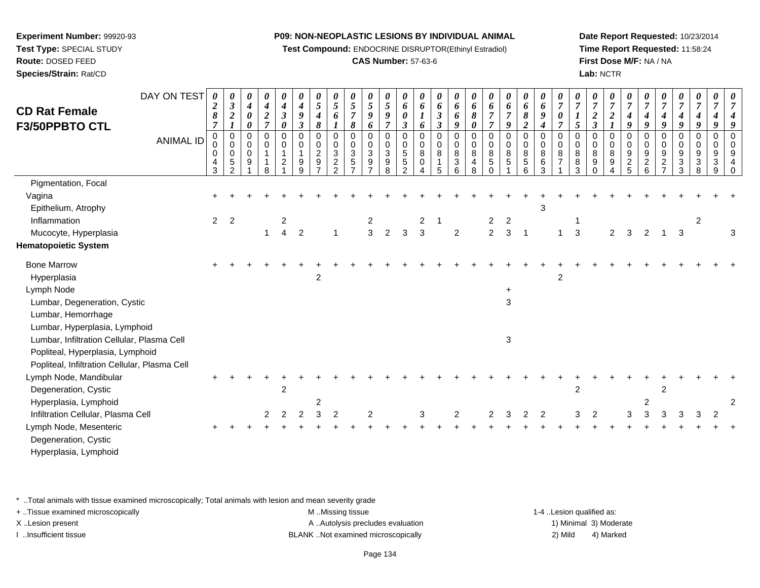**Test Compound:** ENDOCRINE DISRUPTOR(Ethinyl Estradiol)

#### **CAS Number:** 57-63-6

**Date Report Requested:** 10/23/2014**Time Report Requested:** 11:58:24**First Dose M/F:** NA / NA**Lab:** NCTR

| <b>CD Rat Female</b><br><b>F3/50PPBTO CTL</b> | DAY ON TEST<br><b>ANIMAL ID</b> | 0<br>$\boldsymbol{2}$<br>8<br>$\overline{7}$<br>0<br>0<br>4<br>3 | $\boldsymbol{\theta}$<br>$\boldsymbol{\beta}$<br>$\boldsymbol{2}$<br>$\pmb{0}$<br>$\pmb{0}$<br>$\mathbf 0$<br>$\sqrt{5}$<br>$\mathcal{P}$ | 0<br>$\boldsymbol{4}$<br>0<br>0<br>0<br>0<br>$\mathbf 0$<br>9 | 0<br>$\boldsymbol{4}$<br>$\boldsymbol{2}$<br>$\overline{7}$<br>$\Omega$<br>$\mathbf 0$<br>$\mathbf{1}$<br>1<br>8 | 0<br>$\boldsymbol{4}$<br>$\boldsymbol{\beta}$<br>0<br>0<br>0<br>$\mathbf{1}$<br>$\overline{2}$ | 0<br>4<br>9<br>$\boldsymbol{\beta}$<br>$\mathbf 0$<br>0<br>$\mathbf{1}$<br>9<br>9 | $\pmb{\theta}$<br>5<br>$\boldsymbol{4}$<br>$\pmb{8}$<br>$\pmb{0}$<br>$\pmb{0}$<br>$\sqrt{2}$<br>$\boldsymbol{9}$ | $\pmb{\theta}$<br>5<br>6<br>0<br>$\pmb{0}$<br>$\mathbf{3}$<br>$\boldsymbol{2}$<br>$\mathfrak{p}$ | 0<br>5<br>$\overline{7}$<br>8<br>$\mathbf 0$<br>$\mathbf 0$<br>$\mathbf{3}$<br>5 | 0<br>5<br>9<br>6<br>$\mathbf 0$<br>$\mathbf 0$<br>3<br>9 | 0<br>5<br>9<br>$\overline{7}$<br>$\mathbf 0$<br>$\mathbf 0$<br>$\mathbf{3}$<br>9<br>8 | 0<br>6<br>0<br>$\boldsymbol{\beta}$<br>$\mathbf 0$<br>$\mathbf 0$<br>$\,$ 5 $\,$<br>$\,$ 5 $\,$<br>$\mathcal{D}$ | 0<br>6<br>$\boldsymbol{l}$<br>6<br>$\Omega$<br>0<br>$\,8\,$<br>$\mathbf 0$<br>4 | $\boldsymbol{\theta}$<br>6<br>$\boldsymbol{\beta}$<br>$\mathfrak{z}$<br>$\Omega$<br>$\overline{0}$<br>8<br>$\overline{1}$<br>5 | 0<br>6<br>6<br>9<br>$\Omega$<br>0<br>8<br>3<br>6 | 0<br>6<br>8<br>0<br>$\mathbf 0$<br>0<br>8<br>4<br>8 | 0<br>6<br>$\overline{7}$<br>$\overline{7}$<br>$\mathsf 0$<br>$\mathbf 0$<br>$\,8\,$<br>5 | 0<br>6<br>$\overline{7}$<br>$\boldsymbol{g}$<br>$\mathbf 0$<br>0<br>$\,8\,$<br>$\overline{5}$ | $\boldsymbol{\theta}$<br>6<br>8<br>$\boldsymbol{2}$<br>$\mathbf 0$<br>$\mathbf 0$<br>8<br>$\overline{5}$<br>6 | 0<br>6<br>9<br>4<br>$\Omega$<br>$\mathbf 0$<br>8<br>6<br>3 | 0<br>$\overline{7}$<br>0<br>$\overline{7}$<br>$\mathbf 0$<br>$\mathbf 0$<br>8<br>$\overline{7}$ | 0<br>$\overline{7}$<br>$5\overline{)}$<br>$\Omega$<br>$\Omega$<br>8<br>8<br>3 | $\boldsymbol{\theta}$<br>$\overline{7}$<br>$\overline{2}$<br>$\mathfrak{z}$<br>$\mathbf 0$<br>$\mathbf 0$<br>8<br>9 | $\pmb{\theta}$<br>$\overline{7}$<br>$\boldsymbol{2}$<br>$\boldsymbol{l}$<br>$\mathbf 0$<br>$\mathbf 0$<br>8<br>9 | 0<br>$\overline{7}$<br>4<br>9<br>$\Omega$<br>$\Omega$<br>9<br>$\frac{2}{5}$ | 0<br>$\overline{7}$<br>4<br>9<br>$\Omega$<br>0<br>9<br>$\frac{2}{6}$ | 0<br>$\overline{7}$<br>4<br>9<br>$\Omega$<br>0<br>$\boldsymbol{9}$<br>$\overline{c}$ | 0<br>$\overline{7}$<br>$\boldsymbol{4}$<br>9<br>$\mathbf 0$<br>0<br>$\boldsymbol{9}$<br>$\ensuremath{\mathsf{3}}$<br>3 | 0<br>$\overline{7}$<br>$\boldsymbol{4}$<br>9<br>$\mathbf 0$<br>$\mathbf 0$<br>9<br>3<br>8 | $\theta$<br>$\overline{7}$<br>9<br>$\Omega$<br>$\Omega$<br>9<br>3<br>9 |  |
|-----------------------------------------------|---------------------------------|------------------------------------------------------------------|-------------------------------------------------------------------------------------------------------------------------------------------|---------------------------------------------------------------|------------------------------------------------------------------------------------------------------------------|------------------------------------------------------------------------------------------------|-----------------------------------------------------------------------------------|------------------------------------------------------------------------------------------------------------------|--------------------------------------------------------------------------------------------------|----------------------------------------------------------------------------------|----------------------------------------------------------|---------------------------------------------------------------------------------------|------------------------------------------------------------------------------------------------------------------|---------------------------------------------------------------------------------|--------------------------------------------------------------------------------------------------------------------------------|--------------------------------------------------|-----------------------------------------------------|------------------------------------------------------------------------------------------|-----------------------------------------------------------------------------------------------|---------------------------------------------------------------------------------------------------------------|------------------------------------------------------------|-------------------------------------------------------------------------------------------------|-------------------------------------------------------------------------------|---------------------------------------------------------------------------------------------------------------------|------------------------------------------------------------------------------------------------------------------|-----------------------------------------------------------------------------|----------------------------------------------------------------------|--------------------------------------------------------------------------------------|------------------------------------------------------------------------------------------------------------------------|-------------------------------------------------------------------------------------------|------------------------------------------------------------------------|--|
| Pigmentation, Focal                           |                                 |                                                                  |                                                                                                                                           |                                                               |                                                                                                                  |                                                                                                |                                                                                   |                                                                                                                  |                                                                                                  |                                                                                  |                                                          |                                                                                       |                                                                                                                  |                                                                                 |                                                                                                                                |                                                  |                                                     |                                                                                          |                                                                                               |                                                                                                               |                                                            |                                                                                                 |                                                                               |                                                                                                                     |                                                                                                                  |                                                                             |                                                                      |                                                                                      |                                                                                                                        |                                                                                           |                                                                        |  |
| Vagina                                        |                                 |                                                                  |                                                                                                                                           |                                                               |                                                                                                                  |                                                                                                |                                                                                   |                                                                                                                  |                                                                                                  |                                                                                  |                                                          |                                                                                       |                                                                                                                  |                                                                                 |                                                                                                                                |                                                  |                                                     |                                                                                          |                                                                                               |                                                                                                               |                                                            |                                                                                                 |                                                                               |                                                                                                                     |                                                                                                                  |                                                                             |                                                                      |                                                                                      |                                                                                                                        |                                                                                           |                                                                        |  |
| Epithelium, Atrophy                           |                                 |                                                                  |                                                                                                                                           |                                                               |                                                                                                                  |                                                                                                |                                                                                   |                                                                                                                  |                                                                                                  |                                                                                  |                                                          |                                                                                       |                                                                                                                  |                                                                                 |                                                                                                                                |                                                  |                                                     |                                                                                          |                                                                                               |                                                                                                               | 3                                                          |                                                                                                 |                                                                               |                                                                                                                     |                                                                                                                  |                                                                             |                                                                      |                                                                                      |                                                                                                                        |                                                                                           |                                                                        |  |
| Inflammation                                  |                                 | $\overline{2}$                                                   | $\overline{2}$                                                                                                                            |                                                               |                                                                                                                  | $\overline{c}$                                                                                 |                                                                                   |                                                                                                                  |                                                                                                  |                                                                                  | $\overline{\mathbf{c}}$                                  |                                                                                       |                                                                                                                  | $\overline{\mathbf{c}}$                                                         |                                                                                                                                |                                                  |                                                     | $\overline{2}$                                                                           | $\overline{2}$                                                                                |                                                                                                               |                                                            |                                                                                                 |                                                                               |                                                                                                                     |                                                                                                                  |                                                                             |                                                                      |                                                                                      |                                                                                                                        | 2                                                                                         |                                                                        |  |
| Mucocyte, Hyperplasia                         |                                 |                                                                  |                                                                                                                                           |                                                               |                                                                                                                  | $\boldsymbol{\varDelta}$                                                                       | 2                                                                                 |                                                                                                                  |                                                                                                  |                                                                                  | 3                                                        | 2                                                                                     | 3                                                                                                                | 3                                                                               |                                                                                                                                | 2                                                |                                                     | $\overline{2}$                                                                           | 3                                                                                             | -1                                                                                                            |                                                            |                                                                                                 | $\mathbf{3}$                                                                  |                                                                                                                     | $\mathcal{P}$                                                                                                    | 3                                                                           | $\mathcal{P}$                                                        |                                                                                      | 3                                                                                                                      |                                                                                           |                                                                        |  |
| <b>Hematopoietic System</b>                   |                                 |                                                                  |                                                                                                                                           |                                                               |                                                                                                                  |                                                                                                |                                                                                   |                                                                                                                  |                                                                                                  |                                                                                  |                                                          |                                                                                       |                                                                                                                  |                                                                                 |                                                                                                                                |                                                  |                                                     |                                                                                          |                                                                                               |                                                                                                               |                                                            |                                                                                                 |                                                                               |                                                                                                                     |                                                                                                                  |                                                                             |                                                                      |                                                                                      |                                                                                                                        |                                                                                           |                                                                        |  |
| <b>Bone Marrow</b>                            |                                 |                                                                  |                                                                                                                                           |                                                               |                                                                                                                  |                                                                                                |                                                                                   |                                                                                                                  |                                                                                                  |                                                                                  |                                                          |                                                                                       |                                                                                                                  |                                                                                 |                                                                                                                                |                                                  |                                                     |                                                                                          |                                                                                               |                                                                                                               |                                                            |                                                                                                 |                                                                               |                                                                                                                     |                                                                                                                  |                                                                             |                                                                      |                                                                                      |                                                                                                                        |                                                                                           |                                                                        |  |
| Hyperplasia                                   |                                 |                                                                  |                                                                                                                                           |                                                               |                                                                                                                  |                                                                                                |                                                                                   | $\overline{2}$                                                                                                   |                                                                                                  |                                                                                  |                                                          |                                                                                       |                                                                                                                  |                                                                                 |                                                                                                                                |                                                  |                                                     |                                                                                          |                                                                                               |                                                                                                               |                                                            | $\overline{2}$                                                                                  |                                                                               |                                                                                                                     |                                                                                                                  |                                                                             |                                                                      |                                                                                      |                                                                                                                        |                                                                                           |                                                                        |  |
| Lymph Node                                    |                                 |                                                                  |                                                                                                                                           |                                                               |                                                                                                                  |                                                                                                |                                                                                   |                                                                                                                  |                                                                                                  |                                                                                  |                                                          |                                                                                       |                                                                                                                  |                                                                                 |                                                                                                                                |                                                  |                                                     |                                                                                          | $\ddot{}$                                                                                     |                                                                                                               |                                                            |                                                                                                 |                                                                               |                                                                                                                     |                                                                                                                  |                                                                             |                                                                      |                                                                                      |                                                                                                                        |                                                                                           |                                                                        |  |
| Lumbar, Degeneration, Cystic                  |                                 |                                                                  |                                                                                                                                           |                                                               |                                                                                                                  |                                                                                                |                                                                                   |                                                                                                                  |                                                                                                  |                                                                                  |                                                          |                                                                                       |                                                                                                                  |                                                                                 |                                                                                                                                |                                                  |                                                     |                                                                                          | 3                                                                                             |                                                                                                               |                                                            |                                                                                                 |                                                                               |                                                                                                                     |                                                                                                                  |                                                                             |                                                                      |                                                                                      |                                                                                                                        |                                                                                           |                                                                        |  |
| Lumbar, Hemorrhage                            |                                 |                                                                  |                                                                                                                                           |                                                               |                                                                                                                  |                                                                                                |                                                                                   |                                                                                                                  |                                                                                                  |                                                                                  |                                                          |                                                                                       |                                                                                                                  |                                                                                 |                                                                                                                                |                                                  |                                                     |                                                                                          |                                                                                               |                                                                                                               |                                                            |                                                                                                 |                                                                               |                                                                                                                     |                                                                                                                  |                                                                             |                                                                      |                                                                                      |                                                                                                                        |                                                                                           |                                                                        |  |
| Lumbar, Hyperplasia, Lymphoid                 |                                 |                                                                  |                                                                                                                                           |                                                               |                                                                                                                  |                                                                                                |                                                                                   |                                                                                                                  |                                                                                                  |                                                                                  |                                                          |                                                                                       |                                                                                                                  |                                                                                 |                                                                                                                                |                                                  |                                                     |                                                                                          |                                                                                               |                                                                                                               |                                                            |                                                                                                 |                                                                               |                                                                                                                     |                                                                                                                  |                                                                             |                                                                      |                                                                                      |                                                                                                                        |                                                                                           |                                                                        |  |
| Lumbar, Infiltration Cellular, Plasma Cell    |                                 |                                                                  |                                                                                                                                           |                                                               |                                                                                                                  |                                                                                                |                                                                                   |                                                                                                                  |                                                                                                  |                                                                                  |                                                          |                                                                                       |                                                                                                                  |                                                                                 |                                                                                                                                |                                                  |                                                     |                                                                                          | 3                                                                                             |                                                                                                               |                                                            |                                                                                                 |                                                                               |                                                                                                                     |                                                                                                                  |                                                                             |                                                                      |                                                                                      |                                                                                                                        |                                                                                           |                                                                        |  |
| Popliteal, Hyperplasia, Lymphoid              |                                 |                                                                  |                                                                                                                                           |                                                               |                                                                                                                  |                                                                                                |                                                                                   |                                                                                                                  |                                                                                                  |                                                                                  |                                                          |                                                                                       |                                                                                                                  |                                                                                 |                                                                                                                                |                                                  |                                                     |                                                                                          |                                                                                               |                                                                                                               |                                                            |                                                                                                 |                                                                               |                                                                                                                     |                                                                                                                  |                                                                             |                                                                      |                                                                                      |                                                                                                                        |                                                                                           |                                                                        |  |
| Popliteal, Infiltration Cellular, Plasma Cell |                                 |                                                                  |                                                                                                                                           |                                                               |                                                                                                                  |                                                                                                |                                                                                   |                                                                                                                  |                                                                                                  |                                                                                  |                                                          |                                                                                       |                                                                                                                  |                                                                                 |                                                                                                                                |                                                  |                                                     |                                                                                          |                                                                                               |                                                                                                               |                                                            |                                                                                                 |                                                                               |                                                                                                                     |                                                                                                                  |                                                                             |                                                                      |                                                                                      |                                                                                                                        |                                                                                           |                                                                        |  |
| Lymph Node, Mandibular                        |                                 |                                                                  |                                                                                                                                           |                                                               |                                                                                                                  |                                                                                                |                                                                                   |                                                                                                                  |                                                                                                  |                                                                                  |                                                          |                                                                                       |                                                                                                                  |                                                                                 |                                                                                                                                |                                                  |                                                     |                                                                                          |                                                                                               |                                                                                                               |                                                            |                                                                                                 |                                                                               |                                                                                                                     |                                                                                                                  |                                                                             |                                                                      |                                                                                      |                                                                                                                        |                                                                                           |                                                                        |  |
| Degeneration, Cystic                          |                                 |                                                                  |                                                                                                                                           |                                                               |                                                                                                                  | $\overline{2}$                                                                                 |                                                                                   |                                                                                                                  |                                                                                                  |                                                                                  |                                                          |                                                                                       |                                                                                                                  |                                                                                 |                                                                                                                                |                                                  |                                                     |                                                                                          |                                                                                               |                                                                                                               |                                                            |                                                                                                 | $\overline{2}$                                                                |                                                                                                                     |                                                                                                                  |                                                                             |                                                                      | $\overline{2}$                                                                       |                                                                                                                        |                                                                                           |                                                                        |  |
| Hyperplasia, Lymphoid                         |                                 |                                                                  |                                                                                                                                           |                                                               |                                                                                                                  |                                                                                                |                                                                                   | 2                                                                                                                |                                                                                                  |                                                                                  |                                                          |                                                                                       |                                                                                                                  |                                                                                 |                                                                                                                                |                                                  |                                                     |                                                                                          |                                                                                               |                                                                                                               |                                                            |                                                                                                 |                                                                               |                                                                                                                     |                                                                                                                  |                                                                             | 2                                                                    |                                                                                      |                                                                                                                        |                                                                                           |                                                                        |  |
| Infiltration Cellular, Plasma Cell            |                                 |                                                                  |                                                                                                                                           |                                                               | 2                                                                                                                | $\overline{2}$                                                                                 | $\overline{2}$                                                                    | 3                                                                                                                | $\overline{2}$                                                                                   |                                                                                  | $\overline{2}$                                           |                                                                                       |                                                                                                                  | 3                                                                               |                                                                                                                                | $\overline{2}$                                   |                                                     | 2                                                                                        | 3                                                                                             | 2                                                                                                             | $\overline{2}$                                             |                                                                                                 | 3                                                                             | 2                                                                                                                   |                                                                                                                  | 3                                                                           | 3                                                                    | 3                                                                                    | 3                                                                                                                      | 3                                                                                         | $\overline{2}$                                                         |  |
| Lymph Node, Mesenteric                        |                                 |                                                                  |                                                                                                                                           |                                                               |                                                                                                                  |                                                                                                |                                                                                   |                                                                                                                  |                                                                                                  |                                                                                  |                                                          |                                                                                       |                                                                                                                  |                                                                                 |                                                                                                                                |                                                  |                                                     |                                                                                          |                                                                                               |                                                                                                               |                                                            |                                                                                                 |                                                                               |                                                                                                                     |                                                                                                                  |                                                                             |                                                                      |                                                                                      |                                                                                                                        |                                                                                           |                                                                        |  |
| Degeneration, Cystic                          |                                 |                                                                  |                                                                                                                                           |                                                               |                                                                                                                  |                                                                                                |                                                                                   |                                                                                                                  |                                                                                                  |                                                                                  |                                                          |                                                                                       |                                                                                                                  |                                                                                 |                                                                                                                                |                                                  |                                                     |                                                                                          |                                                                                               |                                                                                                               |                                                            |                                                                                                 |                                                                               |                                                                                                                     |                                                                                                                  |                                                                             |                                                                      |                                                                                      |                                                                                                                        |                                                                                           |                                                                        |  |
| Hyperplasia, Lymphoid                         |                                 |                                                                  |                                                                                                                                           |                                                               |                                                                                                                  |                                                                                                |                                                                                   |                                                                                                                  |                                                                                                  |                                                                                  |                                                          |                                                                                       |                                                                                                                  |                                                                                 |                                                                                                                                |                                                  |                                                     |                                                                                          |                                                                                               |                                                                                                               |                                                            |                                                                                                 |                                                                               |                                                                                                                     |                                                                                                                  |                                                                             |                                                                      |                                                                                      |                                                                                                                        |                                                                                           |                                                                        |  |

\* ..Total animals with tissue examined microscopically; Total animals with lesion and mean severity grade

**Experiment Number:** 99920-93**Test Type:** SPECIAL STUDY**Route:** DOSED FEED**Species/Strain:** Rat/CD

+ ..Tissue examined microscopically examined microscopically examined as:  $M$  ..Missing tissue 1-4 ..Lesion qualified as: X..Lesion present **A ..Autolysis precludes evaluation** A ..Autolysis precludes evaluation 1) Minimal 3) Moderate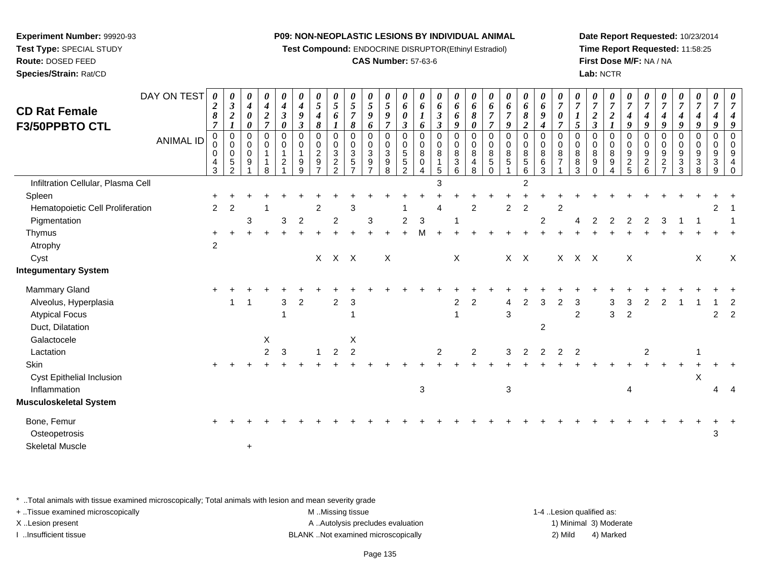**Test Compound:** ENDOCRINE DISRUPTOR(Ethinyl Estradiol)

#### **CAS Number:** 57-63-6

**Date Report Requested:** 10/23/2014**Time Report Requested:** 11:58:25**First Dose M/F:** NA / NA**Lab:** NCTR

| <b>CD Rat Female</b><br>F3/50PPBTO CTL | DAY ON TEST<br><b>ANIMAL ID</b> | 0<br>$\boldsymbol{2}$<br>8<br>$\overline{7}$<br>$\mathbf 0$<br>0<br>$\mathbf 0$<br>4<br>$\mathbf{3}$ | 0<br>$\boldsymbol{\beta}$<br>$\boldsymbol{2}$<br>0<br>$\mathbf 0$<br>$\mathbf 0$<br>5<br>$\mathcal{P}$ | $\boldsymbol{\theta}$<br>$\boldsymbol{4}$<br>$\boldsymbol{\theta}$<br>$\boldsymbol{\theta}$<br>0<br>$\pmb{0}$<br>$\mathsf{O}\xspace$<br>9 | 0<br>$\boldsymbol{4}$<br>$\frac{2}{7}$<br>$\mathbf 0$<br>$\mathbf 0$<br>$\mathbf{1}$<br>1<br>8 | 0<br>4<br>$\boldsymbol{\beta}$<br>$\boldsymbol{\theta}$<br>$\mathbf 0$<br>0<br>1<br>$\overline{c}$ | 0<br>$\boldsymbol{4}$<br>9<br>$\mathfrak{z}$<br>$\pmb{0}$<br>0<br>$\mathbf{1}$<br>9<br>$\mathbf{Q}$ | 0<br>5<br>4<br>8<br>$\mathsf 0$<br>0<br>$\overline{c}$<br>$\boldsymbol{9}$ | 0<br>5<br>6<br>0<br>0<br>$\mathbf{3}$<br>$\overline{2}$<br>2 | $\boldsymbol{\theta}$<br>$\mathfrak{s}$<br>$\overline{7}$<br>$\pmb{8}$<br>$\pmb{0}$<br>$\pmb{0}$<br>$\mathbf{3}$<br>$\sqrt{5}$ | $\pmb{\theta}$<br>$\sqrt{5}$<br>9<br>6<br>$\pmb{0}$<br>$\mathbf 0$<br>$\ensuremath{\mathsf{3}}$<br>9 | 0<br>$\mathfrak{s}$<br>9<br>$\overline{7}$<br>$\mathbf 0$<br>$\mathbf 0$<br>$\sqrt{3}$<br>9<br>8 | 0<br>6<br>0<br>3<br>$\mathbf 0$<br>0<br>$\sqrt{5}$<br>5<br>$\mathcal{P}$ | 0<br>6<br>6<br>$\pmb{0}$<br>$\mathbf 0$<br>8<br>$\mathbf 0$ | 0<br>6<br>$\boldsymbol{\beta}$<br>$\mathfrak{z}$<br>$\pmb{0}$<br>$\mathbf 0$<br>$\,8\,$<br>1<br>5 | 0<br>6<br>6<br>9<br>$\pmb{0}$<br>0<br>$\bf 8$<br>$\sqrt{3}$<br>6 | 0<br>6<br>$\pmb{8}$<br>0<br>$\pmb{0}$<br>0<br>$\bf 8$<br>4<br>8 | 0<br>6<br>7<br>$\overline{7}$<br>0<br>0<br>$\bf 8$<br>5<br>$\mathbf 0$ | $\pmb{\theta}$<br>6<br>$\boldsymbol{7}$<br>$\boldsymbol{g}$<br>$\,0\,$<br>$\pmb{0}$<br>8<br>$\sqrt{5}$ | 0<br>6<br>8<br>$\overline{a}$<br>$\mathsf 0$<br>0<br>$\bf 8$<br>5<br>6 | 0<br>6<br>9<br>4<br>$\mathbf 0$<br>0<br>$\,8\,$<br>6<br>3 | 0<br>7<br>0<br>$\overline{7}$<br>$\pmb{0}$<br>$\Omega$<br>$\,8\,$<br>$\overline{7}$ | 0<br>$\overline{7}$<br>1<br>5<br>0<br>0<br>$\bf 8$<br>8<br>3 | 0<br>$\boldsymbol{7}$<br>$\boldsymbol{2}$<br>$\overline{\mathbf{3}}$<br>$\mathbf 0$<br>$\mathbf 0$<br>8<br>9<br>$\Omega$ | 0<br>$\overline{7}$<br>$\boldsymbol{2}$<br>$\pmb{0}$<br>0<br>8<br>9 | 0<br>$\overline{7}$<br>$\boldsymbol{4}$<br>9<br>$\mathbf 0$<br>0<br>9<br>$\overline{2}$<br>5 | 0<br>$\overline{7}$<br>$\boldsymbol{4}$<br>9<br>$\pmb{0}$<br>$\mathbf 0$<br>$\boldsymbol{9}$<br>$\overline{c}$<br>$\,6$ | $\boldsymbol{\theta}$<br>$\overline{7}$<br>$\boldsymbol{4}$<br>9<br>0<br>$\pmb{0}$<br>$\boldsymbol{9}$<br>$\overline{c}$<br>$\overline{7}$ | $\pmb{\theta}$<br>$\boldsymbol{7}$<br>$\boldsymbol{4}$<br>$\boldsymbol{g}$<br>$\mathbf 0$<br>$\mathbf 0$<br>$\boldsymbol{9}$<br>$\sqrt{3}$<br>$\mathbf{3}$ | 0<br>$\boldsymbol{7}$<br>4<br>9<br>0<br>0<br>9<br>3<br>8 | $\overline{7}$<br>4<br>9<br>$\mathbf 0$<br>0<br>$\boldsymbol{9}$<br>3<br>9 | 9<br>$\mathbf 0$<br>$\mathbf 0$<br>9<br>4<br>$\mathbf 0$ |
|----------------------------------------|---------------------------------|------------------------------------------------------------------------------------------------------|--------------------------------------------------------------------------------------------------------|-------------------------------------------------------------------------------------------------------------------------------------------|------------------------------------------------------------------------------------------------|----------------------------------------------------------------------------------------------------|-----------------------------------------------------------------------------------------------------|----------------------------------------------------------------------------|--------------------------------------------------------------|--------------------------------------------------------------------------------------------------------------------------------|------------------------------------------------------------------------------------------------------|--------------------------------------------------------------------------------------------------|--------------------------------------------------------------------------|-------------------------------------------------------------|---------------------------------------------------------------------------------------------------|------------------------------------------------------------------|-----------------------------------------------------------------|------------------------------------------------------------------------|--------------------------------------------------------------------------------------------------------|------------------------------------------------------------------------|-----------------------------------------------------------|-------------------------------------------------------------------------------------|--------------------------------------------------------------|--------------------------------------------------------------------------------------------------------------------------|---------------------------------------------------------------------|----------------------------------------------------------------------------------------------|-------------------------------------------------------------------------------------------------------------------------|--------------------------------------------------------------------------------------------------------------------------------------------|------------------------------------------------------------------------------------------------------------------------------------------------------------|----------------------------------------------------------|----------------------------------------------------------------------------|----------------------------------------------------------|
| Infiltration Cellular, Plasma Cell     |                                 |                                                                                                      |                                                                                                        |                                                                                                                                           |                                                                                                |                                                                                                    |                                                                                                     |                                                                            |                                                              |                                                                                                                                |                                                                                                      |                                                                                                  |                                                                          |                                                             | 3                                                                                                 |                                                                  |                                                                 |                                                                        |                                                                                                        | $\overline{2}$                                                         |                                                           |                                                                                     |                                                              |                                                                                                                          |                                                                     |                                                                                              |                                                                                                                         |                                                                                                                                            |                                                                                                                                                            |                                                          |                                                                            |                                                          |
| Spleen                                 |                                 |                                                                                                      |                                                                                                        |                                                                                                                                           |                                                                                                |                                                                                                    |                                                                                                     |                                                                            |                                                              |                                                                                                                                |                                                                                                      |                                                                                                  |                                                                          |                                                             |                                                                                                   |                                                                  |                                                                 |                                                                        |                                                                                                        |                                                                        |                                                           |                                                                                     |                                                              |                                                                                                                          |                                                                     |                                                                                              |                                                                                                                         |                                                                                                                                            |                                                                                                                                                            |                                                          |                                                                            |                                                          |
| Hematopoietic Cell Proliferation       |                                 | $\overline{2}$                                                                                       | $\overline{c}$                                                                                         |                                                                                                                                           |                                                                                                |                                                                                                    |                                                                                                     | 2                                                                          |                                                              | 3                                                                                                                              |                                                                                                      |                                                                                                  |                                                                          |                                                             | Δ                                                                                                 |                                                                  | $\overline{\mathbf{c}}$                                         |                                                                        | $\overline{2}$                                                                                         | $\overline{2}$                                                         |                                                           | 2                                                                                   |                                                              |                                                                                                                          |                                                                     |                                                                                              |                                                                                                                         |                                                                                                                                            |                                                                                                                                                            |                                                          |                                                                            |                                                          |
| Pigmentation                           |                                 |                                                                                                      |                                                                                                        | 3                                                                                                                                         |                                                                                                | 3                                                                                                  | $\overline{c}$                                                                                      |                                                                            | $\boldsymbol{2}$                                             |                                                                                                                                | 3                                                                                                    |                                                                                                  | $\boldsymbol{2}$                                                         | $\mathbf{3}$                                                |                                                                                                   |                                                                  |                                                                 |                                                                        |                                                                                                        |                                                                        | $\overline{c}$                                            |                                                                                     | 4                                                            |                                                                                                                          |                                                                     |                                                                                              | 2                                                                                                                       | 3                                                                                                                                          |                                                                                                                                                            |                                                          |                                                                            |                                                          |
| Thymus                                 |                                 | $\ddot{}$                                                                                            |                                                                                                        |                                                                                                                                           |                                                                                                |                                                                                                    |                                                                                                     |                                                                            |                                                              |                                                                                                                                |                                                                                                      |                                                                                                  |                                                                          | M                                                           |                                                                                                   |                                                                  |                                                                 |                                                                        |                                                                                                        |                                                                        |                                                           |                                                                                     |                                                              |                                                                                                                          |                                                                     |                                                                                              |                                                                                                                         |                                                                                                                                            |                                                                                                                                                            |                                                          |                                                                            |                                                          |
| Atrophy                                |                                 | $\overline{2}$                                                                                       |                                                                                                        |                                                                                                                                           |                                                                                                |                                                                                                    |                                                                                                     |                                                                            |                                                              |                                                                                                                                |                                                                                                      |                                                                                                  |                                                                          |                                                             |                                                                                                   |                                                                  |                                                                 |                                                                        |                                                                                                        |                                                                        |                                                           |                                                                                     |                                                              |                                                                                                                          |                                                                     |                                                                                              |                                                                                                                         |                                                                                                                                            |                                                                                                                                                            |                                                          |                                                                            |                                                          |
| Cyst                                   |                                 |                                                                                                      |                                                                                                        |                                                                                                                                           |                                                                                                |                                                                                                    |                                                                                                     |                                                                            | X X X                                                        |                                                                                                                                |                                                                                                      | $\sf X$                                                                                          |                                                                          |                                                             |                                                                                                   | X                                                                |                                                                 |                                                                        |                                                                                                        | $X$ $X$                                                                |                                                           |                                                                                     | X X X                                                        |                                                                                                                          |                                                                     | X                                                                                            |                                                                                                                         |                                                                                                                                            |                                                                                                                                                            | $\sf X$                                                  |                                                                            | X                                                        |
| <b>Integumentary System</b>            |                                 |                                                                                                      |                                                                                                        |                                                                                                                                           |                                                                                                |                                                                                                    |                                                                                                     |                                                                            |                                                              |                                                                                                                                |                                                                                                      |                                                                                                  |                                                                          |                                                             |                                                                                                   |                                                                  |                                                                 |                                                                        |                                                                                                        |                                                                        |                                                           |                                                                                     |                                                              |                                                                                                                          |                                                                     |                                                                                              |                                                                                                                         |                                                                                                                                            |                                                                                                                                                            |                                                          |                                                                            |                                                          |
| Mammary Gland                          |                                 |                                                                                                      |                                                                                                        |                                                                                                                                           |                                                                                                |                                                                                                    |                                                                                                     |                                                                            |                                                              |                                                                                                                                |                                                                                                      |                                                                                                  |                                                                          |                                                             |                                                                                                   |                                                                  |                                                                 |                                                                        |                                                                                                        |                                                                        |                                                           |                                                                                     |                                                              |                                                                                                                          |                                                                     |                                                                                              |                                                                                                                         |                                                                                                                                            |                                                                                                                                                            |                                                          |                                                                            |                                                          |
| Alveolus, Hyperplasia                  |                                 |                                                                                                      |                                                                                                        |                                                                                                                                           |                                                                                                | 3                                                                                                  | $\overline{c}$                                                                                      |                                                                            | $\overline{2}$                                               | $\mathbf{3}$                                                                                                                   |                                                                                                      |                                                                                                  |                                                                          |                                                             |                                                                                                   | $\overline{c}$                                                   | $\overline{2}$                                                  |                                                                        | 4                                                                                                      | $\overline{c}$                                                         | 3                                                         | 2                                                                                   | 3                                                            |                                                                                                                          | 3                                                                   | 3                                                                                            | 2                                                                                                                       | 2                                                                                                                                          |                                                                                                                                                            |                                                          |                                                                            | 2                                                        |
| <b>Atypical Focus</b>                  |                                 |                                                                                                      |                                                                                                        |                                                                                                                                           |                                                                                                |                                                                                                    |                                                                                                     |                                                                            |                                                              |                                                                                                                                |                                                                                                      |                                                                                                  |                                                                          |                                                             |                                                                                                   |                                                                  |                                                                 |                                                                        | 3                                                                                                      |                                                                        |                                                           |                                                                                     | $\overline{2}$                                               |                                                                                                                          | 3                                                                   | $\overline{c}$                                                                               |                                                                                                                         |                                                                                                                                            |                                                                                                                                                            |                                                          | $\overline{2}$                                                             | $\overline{2}$                                           |
| Duct, Dilatation                       |                                 |                                                                                                      |                                                                                                        |                                                                                                                                           |                                                                                                |                                                                                                    |                                                                                                     |                                                                            |                                                              |                                                                                                                                |                                                                                                      |                                                                                                  |                                                                          |                                                             |                                                                                                   |                                                                  |                                                                 |                                                                        |                                                                                                        |                                                                        | $\overline{2}$                                            |                                                                                     |                                                              |                                                                                                                          |                                                                     |                                                                                              |                                                                                                                         |                                                                                                                                            |                                                                                                                                                            |                                                          |                                                                            |                                                          |
| Galactocele                            |                                 |                                                                                                      |                                                                                                        |                                                                                                                                           | X                                                                                              |                                                                                                    |                                                                                                     |                                                                            |                                                              | X                                                                                                                              |                                                                                                      |                                                                                                  |                                                                          |                                                             |                                                                                                   |                                                                  |                                                                 |                                                                        |                                                                                                        |                                                                        |                                                           |                                                                                     |                                                              |                                                                                                                          |                                                                     |                                                                                              |                                                                                                                         |                                                                                                                                            |                                                                                                                                                            |                                                          |                                                                            |                                                          |
| Lactation                              |                                 |                                                                                                      |                                                                                                        |                                                                                                                                           | $\overline{c}$                                                                                 | 3                                                                                                  |                                                                                                     | $\mathbf{1}$                                                               | $\overline{2}$                                               | $\overline{2}$                                                                                                                 |                                                                                                      |                                                                                                  |                                                                          |                                                             | $\overline{c}$                                                                                    |                                                                  | $\overline{c}$                                                  |                                                                        | 3                                                                                                      | $\overline{2}$                                                         | 2                                                         | $\overline{2}$                                                                      | $\overline{2}$                                               |                                                                                                                          |                                                                     |                                                                                              | $\sqrt{2}$                                                                                                              |                                                                                                                                            |                                                                                                                                                            |                                                          |                                                                            |                                                          |
| Skin                                   |                                 | $\ddot{}$                                                                                            |                                                                                                        |                                                                                                                                           |                                                                                                |                                                                                                    |                                                                                                     |                                                                            |                                                              |                                                                                                                                |                                                                                                      |                                                                                                  |                                                                          |                                                             |                                                                                                   |                                                                  |                                                                 |                                                                        |                                                                                                        |                                                                        |                                                           |                                                                                     |                                                              |                                                                                                                          |                                                                     |                                                                                              |                                                                                                                         |                                                                                                                                            |                                                                                                                                                            |                                                          |                                                                            |                                                          |
| <b>Cyst Epithelial Inclusion</b>       |                                 |                                                                                                      |                                                                                                        |                                                                                                                                           |                                                                                                |                                                                                                    |                                                                                                     |                                                                            |                                                              |                                                                                                                                |                                                                                                      |                                                                                                  |                                                                          |                                                             |                                                                                                   |                                                                  |                                                                 |                                                                        |                                                                                                        |                                                                        |                                                           |                                                                                     |                                                              |                                                                                                                          |                                                                     |                                                                                              |                                                                                                                         |                                                                                                                                            |                                                                                                                                                            | X                                                        |                                                                            |                                                          |
| Inflammation                           |                                 |                                                                                                      |                                                                                                        |                                                                                                                                           |                                                                                                |                                                                                                    |                                                                                                     |                                                                            |                                                              |                                                                                                                                |                                                                                                      |                                                                                                  |                                                                          | $\mathbf{3}$                                                |                                                                                                   |                                                                  |                                                                 |                                                                        | $\sqrt{3}$                                                                                             |                                                                        |                                                           |                                                                                     |                                                              |                                                                                                                          |                                                                     | $\overline{4}$                                                                               |                                                                                                                         |                                                                                                                                            |                                                                                                                                                            |                                                          | 4                                                                          | $\overline{4}$                                           |
| Musculoskeletal System                 |                                 |                                                                                                      |                                                                                                        |                                                                                                                                           |                                                                                                |                                                                                                    |                                                                                                     |                                                                            |                                                              |                                                                                                                                |                                                                                                      |                                                                                                  |                                                                          |                                                             |                                                                                                   |                                                                  |                                                                 |                                                                        |                                                                                                        |                                                                        |                                                           |                                                                                     |                                                              |                                                                                                                          |                                                                     |                                                                                              |                                                                                                                         |                                                                                                                                            |                                                                                                                                                            |                                                          |                                                                            |                                                          |
| Bone, Femur                            |                                 |                                                                                                      |                                                                                                        |                                                                                                                                           |                                                                                                |                                                                                                    |                                                                                                     |                                                                            |                                                              |                                                                                                                                |                                                                                                      |                                                                                                  |                                                                          |                                                             |                                                                                                   |                                                                  |                                                                 |                                                                        |                                                                                                        |                                                                        |                                                           |                                                                                     |                                                              |                                                                                                                          |                                                                     |                                                                                              |                                                                                                                         |                                                                                                                                            |                                                                                                                                                            |                                                          |                                                                            |                                                          |
| Osteopetrosis                          |                                 |                                                                                                      |                                                                                                        |                                                                                                                                           |                                                                                                |                                                                                                    |                                                                                                     |                                                                            |                                                              |                                                                                                                                |                                                                                                      |                                                                                                  |                                                                          |                                                             |                                                                                                   |                                                                  |                                                                 |                                                                        |                                                                                                        |                                                                        |                                                           |                                                                                     |                                                              |                                                                                                                          |                                                                     |                                                                                              |                                                                                                                         |                                                                                                                                            |                                                                                                                                                            |                                                          | 3                                                                          |                                                          |
| <b>Skeletal Muscle</b>                 |                                 |                                                                                                      |                                                                                                        | $\ddot{}$                                                                                                                                 |                                                                                                |                                                                                                    |                                                                                                     |                                                                            |                                                              |                                                                                                                                |                                                                                                      |                                                                                                  |                                                                          |                                                             |                                                                                                   |                                                                  |                                                                 |                                                                        |                                                                                                        |                                                                        |                                                           |                                                                                     |                                                              |                                                                                                                          |                                                                     |                                                                                              |                                                                                                                         |                                                                                                                                            |                                                                                                                                                            |                                                          |                                                                            |                                                          |
|                                        |                                 |                                                                                                      |                                                                                                        |                                                                                                                                           |                                                                                                |                                                                                                    |                                                                                                     |                                                                            |                                                              |                                                                                                                                |                                                                                                      |                                                                                                  |                                                                          |                                                             |                                                                                                   |                                                                  |                                                                 |                                                                        |                                                                                                        |                                                                        |                                                           |                                                                                     |                                                              |                                                                                                                          |                                                                     |                                                                                              |                                                                                                                         |                                                                                                                                            |                                                                                                                                                            |                                                          |                                                                            |                                                          |

\* ..Total animals with tissue examined microscopically; Total animals with lesion and mean severity grade

**Experiment Number:** 99920-93**Test Type:** SPECIAL STUDY**Route:** DOSED FEED**Species/Strain:** Rat/CD

+ ..Tissue examined microscopically examined microscopically examined as:  $M$  ..Missing tissue 1-4 ..Lesion qualified as: X..Lesion present **A ..Autolysis precludes evaluation** A ..Autolysis precludes evaluation 1) Minimal 3) Moderate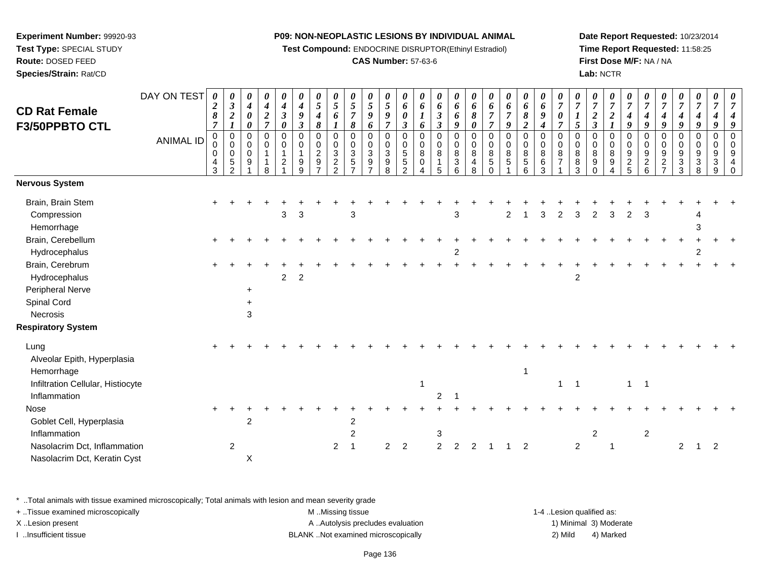**Test Compound:** ENDOCRINE DISRUPTOR(Ethinyl Estradiol)

#### **CAS Number:** 57-63-6

**Date Report Requested:** 10/23/2014**Time Report Requested:** 11:58:25**First Dose M/F:** NA / NA**Lab:** NCTR

| <b>CD Rat Female</b><br><b>F3/50PPBTO CTL</b>                                                                           | DAY ON TEST<br><b>ANIMAL ID</b> | 0<br>$\boldsymbol{2}$<br>8<br>$\overline{7}$<br>0<br>0<br>0<br>4<br>3 | 0<br>$\boldsymbol{\beta}$<br>$\boldsymbol{2}$<br>$\boldsymbol{I}$<br>$\mathbf 0$<br>$\Omega$<br>0<br>$\sqrt{5}$<br>$\mathcal{D}$ | $\pmb{\theta}$<br>$\boldsymbol{4}$<br>$\boldsymbol{\theta}$<br>$\pmb{\theta}$<br>$\pmb{0}$<br>$\mathbf 0$<br>$\mathbf 0$<br>9 | 0<br>$\boldsymbol{4}$<br>$\boldsymbol{2}$<br>$\overline{7}$<br>$\mathbf 0$<br>$\mathbf 0$<br>$\mathbf{1}$<br>1<br>8 | $\boldsymbol{\theta}$<br>$\boldsymbol{4}$<br>$\boldsymbol{\beta}$<br>0<br>$\mathsf 0$<br>$\mathbf 0$<br>$\mathbf{1}$<br>$\overline{2}$ | $\boldsymbol{\theta}$<br>$\boldsymbol{4}$<br>9<br>$\boldsymbol{\mathfrak{z}}$<br>$\mathbf 0$<br>0<br>1<br>9<br>9 | $\boldsymbol{\theta}$<br>$\mathfrak{s}$<br>4<br>$\pmb{8}$<br>$\mathbf 0$<br>$\mathbf 0$<br>$\sqrt{2}$<br>$\boldsymbol{9}$ | 0<br>$\mathfrak{s}$<br>6<br>$\pmb{0}$<br>$\mathbf 0$<br>$\sqrt{3}$<br>$\sqrt{2}$<br>$\mathcal{P}$ | 0<br>5<br>$\boldsymbol{7}$<br>8<br>$\pmb{0}$<br>0<br>$\mathbf{3}$<br>$\sqrt{5}$ | 0<br>5<br>9<br>6<br>$\mathsf 0$<br>$\mathbf 0$<br>$\mathbf{3}$<br>9<br>$\overline{ }$ | 0<br>5<br>9<br>$\overline{7}$<br>$\mathbf 0$<br>$\Omega$<br>3<br>$\boldsymbol{9}$<br>8 | $\boldsymbol{\theta}$<br>6<br>0<br>$\mathfrak{z}$<br>$\mathbf 0$<br>$\Omega$<br>$\sqrt{5}$<br>$\sqrt{5}$<br>$\Omega$ | 0<br>6<br>$\boldsymbol{l}$<br>6<br>$\mathbf 0$<br>$\mathbf 0$<br>$\bf8$<br>$\mathbf 0$<br>$\lambda$ | 0<br>6<br>$\boldsymbol{\beta}$<br>$\boldsymbol{\beta}$<br>$\mathbf 0$<br>$\mathbf 0$<br>8<br>1<br>5 | $\boldsymbol{\theta}$<br>6<br>6<br>9<br>$\pmb{0}$<br>$\mathbf 0$<br>8<br>$\mathbf{3}$<br>6 | 0<br>6<br>8<br>0<br>$\mathbf 0$<br>$\mathbf 0$<br>8<br>4<br>8 | $\boldsymbol{\theta}$<br>6<br>$\overline{7}$<br>$\overline{7}$<br>$\mathbf 0$<br>$\Omega$<br>$\bf 8$<br>$\overline{5}$ | $\pmb{\theta}$<br>6<br>$\overline{7}$<br>9<br>$\pmb{0}$<br>$\mathbf 0$<br>$\bf8$<br>$\overline{5}$ | 0<br>6<br>8<br>$\boldsymbol{2}$<br>$\pmb{0}$<br>$\pmb{0}$<br>8<br>$\,$ 5 $\,$<br>6 | $\boldsymbol{\theta}$<br>6<br>9<br>$\boldsymbol{4}$<br>$\mathsf 0$<br>$\mathbf 0$<br>8<br>6<br>3 | 0<br>$\overline{7}$<br>0<br>$\overline{7}$<br>$\mathbf 0$<br>$\Omega$<br>8<br>$\overline{7}$ | 0<br>$\overline{7}$<br>5<br>$\mathbf 0$<br>$\Omega$<br>8<br>8<br>$\mathcal{R}$ | $\pmb{\theta}$<br>$\overline{7}$<br>$\boldsymbol{2}$<br>$\boldsymbol{\mathfrak{z}}$<br>$\mathbf 0$<br>$\mathbf 0$<br>$\bf8$<br>$\boldsymbol{9}$<br>$\Omega$ | 0<br>$\overline{7}$<br>$\boldsymbol{2}$<br>$\mathbf{I}$<br>$\mathbf 0$<br>$\mathbf 0$<br>8<br>9 | 0<br>$\overline{7}$<br>$\boldsymbol{4}$<br>$\boldsymbol{q}$<br>$\mathbf 0$<br>$\Omega$<br>9<br>$\overline{c}$<br>5 | 0<br>$\overline{7}$<br>4<br>9<br>$\mathbf 0$<br>$\Omega$<br>9<br>$\frac{2}{6}$ | 0<br>$\overline{7}$<br>4<br>9<br>$\mathbf 0$<br>$\Omega$<br>$\boldsymbol{9}$<br>$\boldsymbol{2}$ | 0<br>$\boldsymbol{7}$<br>4<br>9<br>0<br>$\mathbf 0$<br>$\boldsymbol{9}$<br>$\sqrt{3}$<br>3 | 0<br>$\overline{7}$<br>$\boldsymbol{4}$<br>9<br>$\mathbf 0$<br>$\mathbf 0$<br>$\boldsymbol{9}$<br>3<br>8 | 0<br>$\overline{7}$<br>$\boldsymbol{4}$<br>9<br>$\mathsf 0$<br>$\Omega$<br>9<br>3<br>9 |  |
|-------------------------------------------------------------------------------------------------------------------------|---------------------------------|-----------------------------------------------------------------------|----------------------------------------------------------------------------------------------------------------------------------|-------------------------------------------------------------------------------------------------------------------------------|---------------------------------------------------------------------------------------------------------------------|----------------------------------------------------------------------------------------------------------------------------------------|------------------------------------------------------------------------------------------------------------------|---------------------------------------------------------------------------------------------------------------------------|---------------------------------------------------------------------------------------------------|---------------------------------------------------------------------------------|---------------------------------------------------------------------------------------|----------------------------------------------------------------------------------------|----------------------------------------------------------------------------------------------------------------------|-----------------------------------------------------------------------------------------------------|-----------------------------------------------------------------------------------------------------|--------------------------------------------------------------------------------------------|---------------------------------------------------------------|------------------------------------------------------------------------------------------------------------------------|----------------------------------------------------------------------------------------------------|------------------------------------------------------------------------------------|--------------------------------------------------------------------------------------------------|----------------------------------------------------------------------------------------------|--------------------------------------------------------------------------------|-------------------------------------------------------------------------------------------------------------------------------------------------------------|-------------------------------------------------------------------------------------------------|--------------------------------------------------------------------------------------------------------------------|--------------------------------------------------------------------------------|--------------------------------------------------------------------------------------------------|--------------------------------------------------------------------------------------------|----------------------------------------------------------------------------------------------------------|----------------------------------------------------------------------------------------|--|
| Nervous System                                                                                                          |                                 |                                                                       |                                                                                                                                  |                                                                                                                               |                                                                                                                     |                                                                                                                                        |                                                                                                                  |                                                                                                                           |                                                                                                   |                                                                                 |                                                                                       |                                                                                        |                                                                                                                      |                                                                                                     |                                                                                                     |                                                                                            |                                                               |                                                                                                                        |                                                                                                    |                                                                                    |                                                                                                  |                                                                                              |                                                                                |                                                                                                                                                             |                                                                                                 |                                                                                                                    |                                                                                |                                                                                                  |                                                                                            |                                                                                                          |                                                                                        |  |
| Brain, Brain Stem<br>Compression<br>Hemorrhage                                                                          |                                 |                                                                       |                                                                                                                                  |                                                                                                                               |                                                                                                                     | 3                                                                                                                                      | 3                                                                                                                |                                                                                                                           |                                                                                                   | 3                                                                               |                                                                                       |                                                                                        |                                                                                                                      |                                                                                                     |                                                                                                     | 3                                                                                          |                                                               |                                                                                                                        | $\overline{c}$                                                                                     |                                                                                    | 3                                                                                                | 2                                                                                            | 3                                                                              | $\overline{2}$                                                                                                                                              | 3                                                                                               | 2                                                                                                                  | 3                                                                              |                                                                                                  |                                                                                            | 3                                                                                                        |                                                                                        |  |
| Brain, Cerebellum<br>Hydrocephalus                                                                                      |                                 |                                                                       |                                                                                                                                  |                                                                                                                               |                                                                                                                     |                                                                                                                                        |                                                                                                                  |                                                                                                                           |                                                                                                   |                                                                                 |                                                                                       |                                                                                        |                                                                                                                      |                                                                                                     |                                                                                                     | $\overline{c}$                                                                             |                                                               |                                                                                                                        |                                                                                                    |                                                                                    |                                                                                                  |                                                                                              |                                                                                |                                                                                                                                                             |                                                                                                 |                                                                                                                    |                                                                                |                                                                                                  |                                                                                            | 2                                                                                                        |                                                                                        |  |
| Brain, Cerebrum<br>Hydrocephalus<br>Peripheral Nerve<br>Spinal Cord<br><b>Necrosis</b><br><b>Respiratory System</b>     |                                 |                                                                       |                                                                                                                                  | 3                                                                                                                             |                                                                                                                     | 2                                                                                                                                      | $\overline{2}$                                                                                                   |                                                                                                                           |                                                                                                   |                                                                                 |                                                                                       |                                                                                        |                                                                                                                      |                                                                                                     |                                                                                                     |                                                                                            |                                                               |                                                                                                                        |                                                                                                    |                                                                                    |                                                                                                  |                                                                                              | $\overline{2}$                                                                 |                                                                                                                                                             |                                                                                                 |                                                                                                                    |                                                                                |                                                                                                  |                                                                                            |                                                                                                          |                                                                                        |  |
| Lung<br>Alveolar Epith, Hyperplasia<br>Hemorrhage<br>Infiltration Cellular, Histiocyte<br>Inflammation                  |                                 |                                                                       |                                                                                                                                  |                                                                                                                               |                                                                                                                     |                                                                                                                                        |                                                                                                                  |                                                                                                                           |                                                                                                   |                                                                                 |                                                                                       |                                                                                        |                                                                                                                      | 1                                                                                                   | $\overline{2}$                                                                                      | -1                                                                                         |                                                               |                                                                                                                        |                                                                                                    |                                                                                    |                                                                                                  | $\mathbf{1}$                                                                                 | $\overline{1}$                                                                 |                                                                                                                                                             |                                                                                                 | $\mathbf{1}$                                                                                                       | $\overline{1}$                                                                 |                                                                                                  |                                                                                            |                                                                                                          |                                                                                        |  |
| <b>Nose</b><br>Goblet Cell, Hyperplasia<br>Inflammation<br>Nasolacrim Dct, Inflammation<br>Nasolacrim Dct, Keratin Cyst |                                 |                                                                       | $\overline{2}$                                                                                                                   | 2<br>X                                                                                                                        |                                                                                                                     |                                                                                                                                        |                                                                                                                  |                                                                                                                           | $\overline{2}$                                                                                    | $\overline{2}$<br>$\overline{c}$<br>$\mathbf{1}$                                |                                                                                       | $\overline{2}$                                                                         | $\overline{2}$                                                                                                       |                                                                                                     | 3<br>$\overline{2}$                                                                                 | 2                                                                                          | 2                                                             | -1                                                                                                                     | $\mathbf{1}$                                                                                       | 2                                                                                  |                                                                                                  |                                                                                              | $\overline{2}$                                                                 | $\overline{c}$                                                                                                                                              | -1                                                                                              |                                                                                                                    | $\overline{c}$                                                                 |                                                                                                  | $\overline{2}$                                                                             | $\mathbf{1}$                                                                                             | 2                                                                                      |  |

\* ..Total animals with tissue examined microscopically; Total animals with lesion and mean severity grade

+ ..Tissue examined microscopically examined microscopically examined as:  $M$  ..Missing tissue 1-4 ..Lesion qualified as: X..Lesion present **A ..Autolysis precludes evaluation** A ..Autolysis precludes evaluation 1) Minimal 3) Moderate

I ..Insufficient tissue BLANK ..Not examined microscopically 2) Mild 4) Marked

**Experiment Number:** 99920-93**Test Type:** SPECIAL STUDY

**Species/Strain:** Rat/CD

# **Route:** DOSED FEED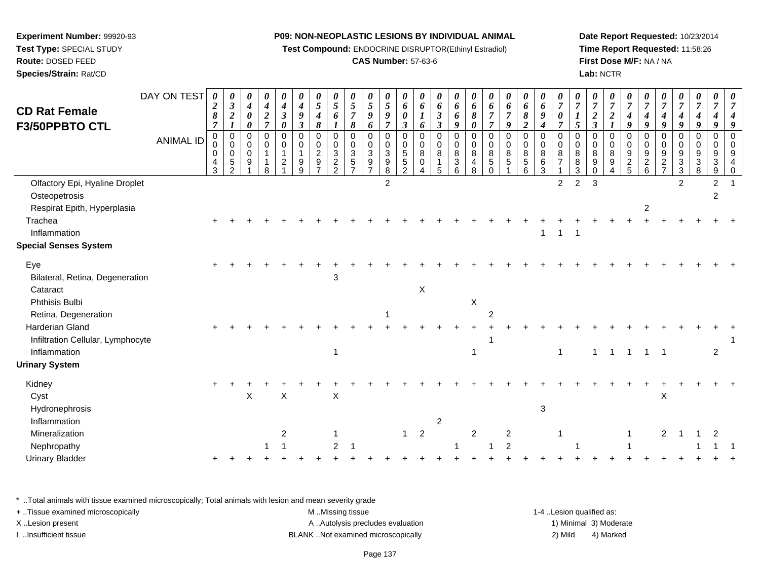**Test Compound:** ENDOCRINE DISRUPTOR(Ethinyl Estradiol)

#### **CAS Number:** 57-63-6

**Date Report Requested:** 10/23/2014**Time Report Requested:** 11:58:26**First Dose M/F:** NA / NA**Lab:** NCTR

| <b>CD Rat Female</b><br>F3/50PPBTO CTL                                         | DAY ON TEST      | 0<br>$\boldsymbol{2}$<br>8<br>$\overline{7}$ | $\boldsymbol{\theta}$<br>$\boldsymbol{\beta}$<br>$\boldsymbol{2}$           | $\boldsymbol{\theta}$<br>$\boldsymbol{4}$<br>$\boldsymbol{\theta}$<br>$\boldsymbol{\theta}$ | $\boldsymbol{\theta}$<br>$\boldsymbol{4}$<br>$\frac{2}{7}$ | 0<br>$\boldsymbol{4}$<br>$\boldsymbol{\beta}$<br>$\boldsymbol{\theta}$ | $\boldsymbol{\theta}$<br>$\boldsymbol{4}$<br>$\boldsymbol{9}$<br>$\boldsymbol{\beta}$ | $\pmb{\theta}$<br>5<br>4<br>8                        | 0<br>$\sqrt{5}$<br>6                    | $\boldsymbol{\theta}$<br>$\mathfrak{s}$<br>$\overline{7}$<br>$\pmb{8}$                     | $\boldsymbol{\theta}$<br>$\overline{5}$<br>$\boldsymbol{9}$<br>6 | 0<br>$\sqrt{5}$<br>9<br>$\overline{7}$                  | 0<br>6<br>0<br>$\boldsymbol{\beta}$          | $\pmb{\theta}$<br>6<br>$\boldsymbol{l}$<br>6       | $\boldsymbol{\theta}$<br>6<br>$\boldsymbol{\beta}$<br>$\boldsymbol{\beta}$ | 0<br>6<br>6<br>9               | $\boldsymbol{\theta}$<br>6<br>8<br>$\boldsymbol{\theta}$ | 0<br>6<br>$\overline{7}$<br>$\overline{\tau}$ | 0<br>6<br>$\boldsymbol{7}$<br>9 | $\boldsymbol{\theta}$<br>6<br>8<br>$\boldsymbol{2}$      | $\boldsymbol{\theta}$<br>6<br>9<br>$\boldsymbol{4}$ | 0<br>$\overline{7}$<br>$\boldsymbol{\theta}$<br>$\overline{7}$ | $\boldsymbol{\theta}$<br>$\overline{7}$<br>$\boldsymbol{l}$<br>5 | $\pmb{\theta}$<br>$\boldsymbol{7}$<br>$\boldsymbol{2}$<br>$\boldsymbol{\beta}$ | 0<br>$\overline{7}$<br>$\overline{2}$ | 0<br>$\overline{7}$<br>4<br>9                         | $\boldsymbol{\theta}$<br>$\overline{7}$<br>4<br>9                 | 0<br>$\overline{7}$<br>4<br>9                              | $\boldsymbol{\theta}$<br>$\overline{7}$<br>$\boldsymbol{4}$<br>9  | 0<br>$\overline{7}$<br>4<br>9          | 0<br>$\overline{7}$                                            | 0                                             |
|--------------------------------------------------------------------------------|------------------|----------------------------------------------|-----------------------------------------------------------------------------|---------------------------------------------------------------------------------------------|------------------------------------------------------------|------------------------------------------------------------------------|---------------------------------------------------------------------------------------|------------------------------------------------------|-----------------------------------------|--------------------------------------------------------------------------------------------|------------------------------------------------------------------|---------------------------------------------------------|----------------------------------------------|----------------------------------------------------|----------------------------------------------------------------------------|--------------------------------|----------------------------------------------------------|-----------------------------------------------|---------------------------------|----------------------------------------------------------|-----------------------------------------------------|----------------------------------------------------------------|------------------------------------------------------------------|--------------------------------------------------------------------------------|---------------------------------------|-------------------------------------------------------|-------------------------------------------------------------------|------------------------------------------------------------|-------------------------------------------------------------------|----------------------------------------|----------------------------------------------------------------|-----------------------------------------------|
|                                                                                | <b>ANIMAL ID</b> | 0<br>0<br>0<br>$\frac{4}{3}$                 | $\pmb{0}$<br>$\overline{0}$<br>$\mathsf 0$<br>$\,$ 5 $\,$<br>$\mathfrak{D}$ | $\pmb{0}$<br>$\mathbf 0$<br>$\pmb{0}$<br>9                                                  | $\mathbf 0$<br>$\mathbf 0$<br>$\mathbf{1}$<br>1<br>8       | 0<br>0<br>1<br>2                                                       | $\pmb{0}$<br>0<br>$\mathbf{1}$<br>9<br>9                                              | $\pmb{0}$<br>0<br>$\overline{c}$<br>$\boldsymbol{9}$ | 0<br>0<br>$\mathbf{3}$<br>$\frac{2}{2}$ | $\boldsymbol{0}$<br>$\pmb{0}$<br>$\ensuremath{\mathsf{3}}$<br>$\sqrt{5}$<br>$\overline{7}$ | $\mathbf 0$<br>0<br>$\mathbf{3}$<br>9                            | $\mathbf 0$<br>0<br>$\sqrt{3}$<br>$\boldsymbol{9}$<br>8 | 0<br>$\mathbf 0$<br>5<br>5<br>$\mathfrak{D}$ | $\pmb{0}$<br>0<br>8<br>$\pmb{0}$<br>$\overline{4}$ | $\pmb{0}$<br>$\mathbf 0$<br>$\bf 8$<br>1<br>5                              | 0<br>0<br>8<br>$\sqrt{3}$<br>6 | $\mathbf 0$<br>$\mathbf 0$<br>$\bf 8$<br>4<br>8          | 0<br>$\mathbf 0$<br>$\bf8$<br>$\sqrt{5}$      | $\mathsf 0$<br>0<br>8<br>5      | $\mathbf 0$<br>$\mathbf 0$<br>$\bf8$<br>$\,$ 5 $\,$<br>6 | $\mathbf 0$<br>$\mathbf 0$<br>8<br>$\,6\,$<br>3     | $\mathbf 0$<br>$\mathbf 0$<br>$\,8\,$<br>$\overline{7}$        | $\mathbf 0$<br>0<br>$\bf8$<br>$\bf 8$<br>3                       | $\mathbf 0$<br>0<br>$\bf8$<br>9<br>$\Omega$                                    | $\mathbf 0$<br>0<br>8<br>9            | $\mathbf 0$<br>0<br>$\boldsymbol{9}$<br>$\frac{2}{5}$ | $\mathbf 0$<br>$\mathbf 0$<br>$\boldsymbol{9}$<br>$\sqrt{2}$<br>6 | 0<br>0<br>$\boldsymbol{9}$<br>$\sqrt{2}$<br>$\overline{ }$ | $\mathbf 0$<br>$\mathbf 0$<br>$\boldsymbol{9}$<br>$\sqrt{3}$<br>3 | $\mathbf 0$<br>$\Omega$<br>9<br>3<br>8 | $\mathbf 0$<br>$\Omega$<br>9<br>$\ensuremath{\mathsf{3}}$<br>9 | $\mathbf 0$<br>$\Omega$<br>9<br>4<br>$\Omega$ |
| Olfactory Epi, Hyaline Droplet<br>Osteopetrosis<br>Respirat Epith, Hyperplasia |                  |                                              |                                                                             |                                                                                             |                                                            |                                                                        |                                                                                       |                                                      |                                         |                                                                                            |                                                                  | $\overline{2}$                                          |                                              |                                                    |                                                                            |                                |                                                          |                                               |                                 |                                                          |                                                     | $\overline{2}$                                                 | $\overline{2}$                                                   | 3                                                                              |                                       |                                                       | $\overline{c}$                                                    |                                                            | $\overline{2}$                                                    |                                        | $\overline{2}$<br>2                                            |                                               |
| Trachea<br>Inflammation<br><b>Special Senses System</b>                        |                  |                                              |                                                                             |                                                                                             |                                                            |                                                                        |                                                                                       |                                                      |                                         |                                                                                            |                                                                  |                                                         |                                              |                                                    |                                                                            |                                |                                                          |                                               |                                 |                                                          | $\mathbf{1}$                                        | $\overline{1}$                                                 | $\overline{1}$                                                   |                                                                                |                                       |                                                       |                                                                   |                                                            |                                                                   |                                        |                                                                |                                               |
|                                                                                |                  |                                              |                                                                             |                                                                                             |                                                            |                                                                        |                                                                                       |                                                      |                                         |                                                                                            |                                                                  |                                                         |                                              |                                                    |                                                                            |                                |                                                          |                                               |                                 |                                                          |                                                     |                                                                |                                                                  |                                                                                |                                       |                                                       |                                                                   |                                                            |                                                                   |                                        |                                                                |                                               |
| Eye<br>Bilateral, Retina, Degeneration<br>Cataract                             |                  |                                              |                                                                             |                                                                                             |                                                            |                                                                        |                                                                                       |                                                      | 3                                       |                                                                                            |                                                                  |                                                         |                                              | $\pmb{\times}$                                     |                                                                            |                                |                                                          |                                               |                                 |                                                          |                                                     |                                                                |                                                                  |                                                                                |                                       |                                                       |                                                                   |                                                            |                                                                   |                                        |                                                                |                                               |
| Phthisis Bulbi<br>Retina, Degeneration                                         |                  |                                              |                                                                             |                                                                                             |                                                            |                                                                        |                                                                                       |                                                      |                                         |                                                                                            |                                                                  |                                                         |                                              |                                                    |                                                                            |                                | X                                                        | $\overline{2}$                                |                                 |                                                          |                                                     |                                                                |                                                                  |                                                                                |                                       |                                                       |                                                                   |                                                            |                                                                   |                                        |                                                                |                                               |
| Harderian Gland<br>Infiltration Cellular, Lymphocyte                           |                  |                                              |                                                                             |                                                                                             |                                                            |                                                                        |                                                                                       |                                                      |                                         |                                                                                            |                                                                  |                                                         |                                              |                                                    |                                                                            |                                |                                                          |                                               |                                 |                                                          |                                                     |                                                                |                                                                  |                                                                                |                                       |                                                       |                                                                   |                                                            |                                                                   |                                        |                                                                |                                               |
| Inflammation<br><b>Urinary System</b>                                          |                  |                                              |                                                                             |                                                                                             |                                                            |                                                                        |                                                                                       |                                                      |                                         |                                                                                            |                                                                  |                                                         |                                              |                                                    |                                                                            |                                | 1                                                        |                                               |                                 |                                                          |                                                     | $\mathbf{1}$                                                   |                                                                  | 1                                                                              | $\overline{ }$                        |                                                       | $\overline{1}$                                                    | $\overline{\phantom{0}}$                                   |                                                                   |                                        | $\overline{2}$                                                 |                                               |
| Kidney<br>Cyst<br>Hydronephrosis                                               |                  |                                              |                                                                             | $\sf X$                                                                                     |                                                            | $\sf X$                                                                |                                                                                       |                                                      | $\sf X$                                 |                                                                                            |                                                                  |                                                         |                                              |                                                    |                                                                            |                                |                                                          |                                               |                                 |                                                          | 3                                                   |                                                                |                                                                  |                                                                                |                                       |                                                       |                                                                   | X                                                          |                                                                   |                                        |                                                                |                                               |
| Inflammation                                                                   |                  |                                              |                                                                             |                                                                                             |                                                            |                                                                        |                                                                                       |                                                      |                                         |                                                                                            |                                                                  |                                                         |                                              |                                                    | $\overline{2}$                                                             |                                |                                                          |                                               |                                 |                                                          |                                                     |                                                                |                                                                  |                                                                                |                                       |                                                       |                                                                   |                                                            |                                                                   |                                        |                                                                |                                               |
| Mineralization                                                                 |                  |                                              |                                                                             |                                                                                             |                                                            | $\overline{2}$                                                         |                                                                                       |                                                      |                                         |                                                                                            |                                                                  |                                                         |                                              | $\overline{2}$                                     |                                                                            |                                | $\overline{2}$                                           |                                               | $\overline{2}$                  |                                                          |                                                     |                                                                |                                                                  |                                                                                |                                       |                                                       |                                                                   | $\overline{a}$                                             |                                                                   |                                        | 2                                                              |                                               |
| Nephropathy                                                                    |                  |                                              |                                                                             |                                                                                             |                                                            |                                                                        |                                                                                       |                                                      | $\overline{2}$                          | -1                                                                                         |                                                                  |                                                         |                                              |                                                    |                                                                            |                                |                                                          | 1                                             | $\overline{c}$                  |                                                          |                                                     |                                                                |                                                                  |                                                                                |                                       |                                                       |                                                                   |                                                            |                                                                   |                                        |                                                                |                                               |
| <b>Urinary Bladder</b>                                                         |                  |                                              |                                                                             |                                                                                             |                                                            |                                                                        |                                                                                       |                                                      |                                         |                                                                                            |                                                                  |                                                         |                                              |                                                    |                                                                            |                                |                                                          |                                               |                                 |                                                          |                                                     |                                                                |                                                                  |                                                                                |                                       |                                                       |                                                                   |                                                            |                                                                   |                                        |                                                                |                                               |

\* ..Total animals with tissue examined microscopically; Total animals with lesion and mean severity grade

**Experiment Number:** 99920-93**Test Type:** SPECIAL STUDY**Route:** DOSED FEED**Species/Strain:** Rat/CD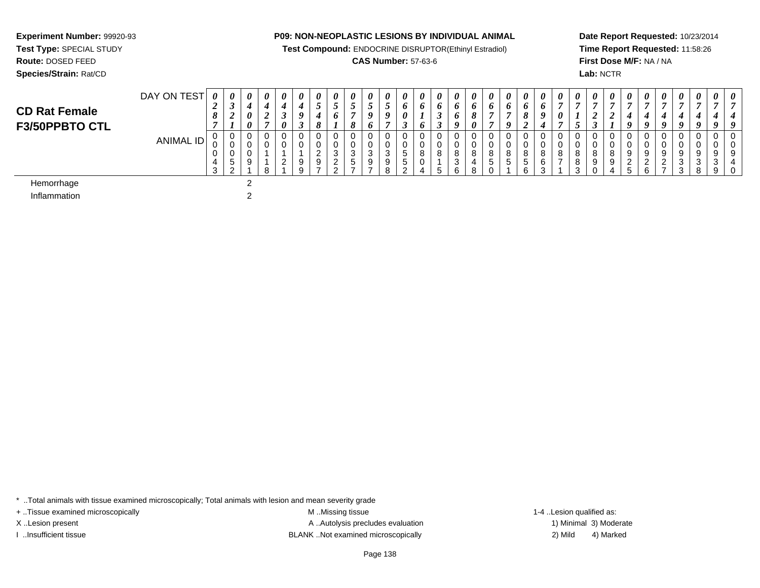**Experiment Number:** 99920-93

**Test Type:** SPECIAL STUDY**Route:** DOSED FEED

**Species/Strain:** Rat/CD

#### **P09: NON-NEOPLASTIC LESIONS BY INDIVIDUAL ANIMAL**

**Test Compound:** ENDOCRINE DISRUPTOR(Ethinyl Estradiol)

### **CAS Number:** 57-63-6

**Date Report Requested:** 10/23/2014**Time Report Requested:** 11:58:26**First Dose M/F:** NA / NA**Lab:** NCTR

| <b>CD Rat Female</b><br>F3/50PPBTO CTL | DAY ON TEST | 0<br>2<br>0           | $\boldsymbol{\theta}$<br>ູ<br>◢ | $\boldsymbol{\theta}$<br>0<br>$\boldsymbol{\theta}$ | 0  | 0<br>◡<br>U | 0<br>◡ | 0<br>$\mathbf o$ | $\boldsymbol{\theta}$<br>6 | 0           | $\theta$<br>$\boldsymbol{a}$<br>0 | $\theta$<br>9 | $\theta$<br>o<br>$\boldsymbol{\theta}$ | $\boldsymbol{\theta}$<br>$\bm{o}$<br>o | $\boldsymbol{\theta}$<br>$\bm{o}$<br>◡<br>J | 0<br>$\bm{o}$<br>o<br>9 | 0<br>$\bm{o}$<br>8<br>0 | 0<br>$\bm{o}$ | $\bm{o}$<br><b>Q</b>        | $\boldsymbol{\theta}$<br>$\bm{o}$<br>8<br>◢ | 0<br>$\bm{o}$<br>9    | 0<br>U      | $\boldsymbol{\mathit{U}}$<br>◡ | U<br>ັ | 0       | 0 | $\boldsymbol{\theta}$ | $\boldsymbol{\theta}$<br>0 | 0<br>$\boldsymbol{o}$ | $\boldsymbol{\theta}$<br>0 | $\boldsymbol{\theta}$<br>$\boldsymbol{a}$ | $\theta$<br>o |
|----------------------------------------|-------------|-----------------------|---------------------------------|-----------------------------------------------------|----|-------------|--------|------------------|----------------------------|-------------|-----------------------------------|---------------|----------------------------------------|----------------------------------------|---------------------------------------------|-------------------------|-------------------------|---------------|-----------------------------|---------------------------------------------|-----------------------|-------------|--------------------------------|--------|---------|---|-----------------------|----------------------------|-----------------------|----------------------------|-------------------------------------------|---------------|
|                                        | ANIMAL ID   | 0<br>U<br>0<br>4<br>3 | -0<br>◡<br>υ<br>∽<br>ັ          | 9                                                   | ິດ |             |        |                  | 0<br>0<br>3<br>ົ<br>∠<br>C | 0<br>3<br>5 | υ<br>ν<br>3<br>9                  | N<br>9<br>Ω   | $\overline{\phantom{a}}$<br>ັບ         | o                                      | 0<br>0<br>8<br>b                            | 0<br>0<br>8<br>3<br>6   | 8<br>4<br>R             | U<br>8<br>5   | U<br>U<br>8<br><sub>5</sub> | 0<br>0<br>8<br>.5<br>6                      | 0<br>0<br>8<br>6<br>3 | 0<br>υ<br>8 | 8<br>っ                         | 9      | $\circ$ | - | <u>_</u>              | 9<br>$\sim$<br><u>_</u>    | 9<br>З                | 0<br>9<br>3<br>8           | 0<br>0<br>9<br>3<br>9                     | -9<br>0       |
| Hemorrhage                             |             |                       |                                 | າ                                                   |    |             |        |                  |                            |             |                                   |               |                                        |                                        |                                             |                         |                         |               |                             |                                             |                       |             |                                |        |         |   |                       |                            |                       |                            |                                           |               |

Inflammation $n \hspace{2.5cm} 2$ 

\* ..Total animals with tissue examined microscopically; Total animals with lesion and mean severity grade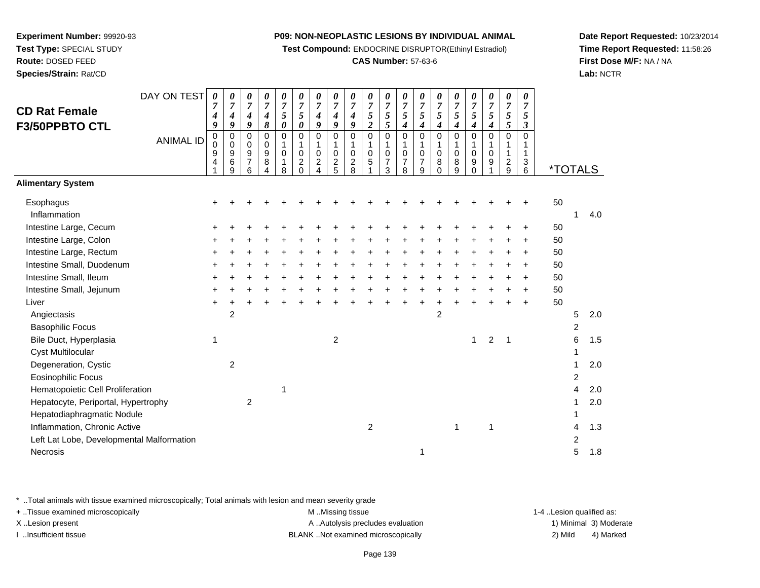**Test Compound:** ENDOCRINE DISRUPTOR(Ethinyl Estradiol)

#### **CAS Number:** 57-63-6

**Date Report Requested:** 10/23/2014**Time Report Requested:** 11:58:26**First Dose M/F:** NA / NA**Lab:** NCTR

| <b>CD Rat Female</b><br>F3/50PPBTO CTL    | DAY ON TEST<br><b>ANIMAL ID</b> | $\boldsymbol{\theta}$<br>7<br>4<br>9<br>$\mathbf 0$<br>$\Omega$<br>9<br>4 | 0<br>$\overline{7}$<br>4<br>9<br>$\mathbf 0$<br>0<br>9<br>6 | 0<br>$\overline{7}$<br>4<br>9<br>0<br>0<br>9<br>$\overline{7}$ | 0<br>$\overline{7}$<br>4<br>8<br>0<br>0<br>9<br>8 | 0<br>$\boldsymbol{7}$<br>5<br>0<br>0<br>1<br>$\Omega$<br>1 | 0<br>$\overline{7}$<br>5<br>0<br>$\mathbf 0$<br>1<br>0<br>$\overline{\mathbf{c}}$ | 0<br>$\overline{7}$<br>$\boldsymbol{4}$<br>9<br>$\Omega$<br>0<br>$\overline{c}$ | 0<br>$\overline{7}$<br>4<br>9<br>$\mathbf 0$<br>1<br>0<br>$\boldsymbol{2}$ | 0<br>$\overline{7}$<br>4<br>9<br>$\mathbf 0$<br>$\mathbf{1}$<br>$\mathbf 0$<br>$\boldsymbol{2}$ | 0<br>$\overline{7}$<br>5<br>$\boldsymbol{2}$<br>$\mathbf 0$<br>1<br>$\mathbf 0$<br>5 | 0<br>7<br>5<br>5<br>$\mathbf 0$<br>0<br>$\overline{7}$ | 0<br>$\overline{7}$<br>5<br>4<br>0<br>1<br>0<br>$\overline{7}$ | 0<br>$\overline{7}$<br>5<br>4<br>$\mathbf 0$<br>1<br>0<br>$\overline{7}$ | 0<br>$\overline{7}$<br>5<br>$\boldsymbol{4}$<br>$\mathbf 0$<br>1<br>0<br>8 | 0<br>$\overline{7}$<br>5<br>$\boldsymbol{4}$<br>$\mathbf 0$<br>1<br>$\mathbf 0$<br>8 | 0<br>$\overline{7}$<br>5<br>4<br>$\mathbf 0$<br>$\Omega$<br>9 | 0<br>$\overline{7}$<br>5<br>4<br>$\mathbf 0$<br>1<br>0<br>9 | $\boldsymbol{\theta}$<br>$\overline{7}$<br>5<br>5<br>0 | 0<br>$\overline{7}$<br>5<br>3<br>0<br>$\mathbf{1}$<br>1<br>3 |                       |                |     |
|-------------------------------------------|---------------------------------|---------------------------------------------------------------------------|-------------------------------------------------------------|----------------------------------------------------------------|---------------------------------------------------|------------------------------------------------------------|-----------------------------------------------------------------------------------|---------------------------------------------------------------------------------|----------------------------------------------------------------------------|-------------------------------------------------------------------------------------------------|--------------------------------------------------------------------------------------|--------------------------------------------------------|----------------------------------------------------------------|--------------------------------------------------------------------------|----------------------------------------------------------------------------|--------------------------------------------------------------------------------------|---------------------------------------------------------------|-------------------------------------------------------------|--------------------------------------------------------|--------------------------------------------------------------|-----------------------|----------------|-----|
|                                           |                                 |                                                                           | 9                                                           | 6                                                              | 4                                                 | 8                                                          | $\mathbf 0$                                                                       | $\overline{4}$                                                                  | 5                                                                          | 8                                                                                               |                                                                                      | 3                                                      | 8                                                              | 9                                                                        | $\Omega$                                                                   | 9                                                                                    | $\Omega$                                                      |                                                             | $\frac{2}{9}$                                          | 6                                                            | <i><b>*TOTALS</b></i> |                |     |
| <b>Alimentary System</b>                  |                                 |                                                                           |                                                             |                                                                |                                                   |                                                            |                                                                                   |                                                                                 |                                                                            |                                                                                                 |                                                                                      |                                                        |                                                                |                                                                          |                                                                            |                                                                                      |                                                               |                                                             |                                                        |                                                              |                       |                |     |
| Esophagus<br>Inflammation                 |                                 |                                                                           |                                                             |                                                                |                                                   |                                                            |                                                                                   |                                                                                 |                                                                            |                                                                                                 |                                                                                      |                                                        |                                                                |                                                                          |                                                                            |                                                                                      |                                                               |                                                             |                                                        |                                                              | 50                    | 1              | 4.0 |
| Intestine Large, Cecum                    |                                 |                                                                           |                                                             |                                                                |                                                   |                                                            |                                                                                   |                                                                                 |                                                                            |                                                                                                 |                                                                                      |                                                        |                                                                |                                                                          |                                                                            |                                                                                      |                                                               |                                                             |                                                        |                                                              | 50                    |                |     |
| Intestine Large, Colon                    |                                 |                                                                           |                                                             |                                                                |                                                   |                                                            |                                                                                   |                                                                                 |                                                                            |                                                                                                 |                                                                                      |                                                        |                                                                |                                                                          |                                                                            |                                                                                      |                                                               |                                                             |                                                        |                                                              | 50                    |                |     |
| Intestine Large, Rectum                   |                                 |                                                                           |                                                             |                                                                |                                                   |                                                            |                                                                                   |                                                                                 |                                                                            |                                                                                                 |                                                                                      |                                                        |                                                                |                                                                          |                                                                            |                                                                                      |                                                               |                                                             |                                                        |                                                              | 50                    |                |     |
| Intestine Small, Duodenum                 |                                 |                                                                           |                                                             |                                                                |                                                   |                                                            |                                                                                   |                                                                                 |                                                                            |                                                                                                 |                                                                                      |                                                        |                                                                |                                                                          |                                                                            |                                                                                      |                                                               |                                                             |                                                        |                                                              | 50                    |                |     |
| Intestine Small, Ileum                    |                                 |                                                                           |                                                             |                                                                |                                                   |                                                            |                                                                                   |                                                                                 |                                                                            |                                                                                                 |                                                                                      |                                                        |                                                                |                                                                          |                                                                            |                                                                                      |                                                               |                                                             |                                                        |                                                              | 50                    |                |     |
| Intestine Small, Jejunum                  |                                 |                                                                           |                                                             |                                                                |                                                   |                                                            |                                                                                   |                                                                                 |                                                                            |                                                                                                 |                                                                                      |                                                        |                                                                |                                                                          |                                                                            |                                                                                      |                                                               |                                                             |                                                        |                                                              | 50                    |                |     |
| Liver                                     |                                 |                                                                           |                                                             |                                                                |                                                   |                                                            |                                                                                   |                                                                                 |                                                                            |                                                                                                 |                                                                                      |                                                        |                                                                |                                                                          |                                                                            |                                                                                      |                                                               |                                                             |                                                        |                                                              | 50                    |                |     |
| Angiectasis                               |                                 |                                                                           | $\overline{c}$                                              |                                                                |                                                   |                                                            |                                                                                   |                                                                                 |                                                                            |                                                                                                 |                                                                                      |                                                        |                                                                |                                                                          | 2                                                                          |                                                                                      |                                                               |                                                             |                                                        |                                                              |                       | 5              | 2.0 |
| <b>Basophilic Focus</b>                   |                                 |                                                                           |                                                             |                                                                |                                                   |                                                            |                                                                                   |                                                                                 |                                                                            |                                                                                                 |                                                                                      |                                                        |                                                                |                                                                          |                                                                            |                                                                                      |                                                               |                                                             |                                                        |                                                              |                       | $\overline{c}$ |     |
| Bile Duct, Hyperplasia                    |                                 | 1                                                                         |                                                             |                                                                |                                                   |                                                            |                                                                                   |                                                                                 | $\overline{2}$                                                             |                                                                                                 |                                                                                      |                                                        |                                                                |                                                                          |                                                                            |                                                                                      | 1                                                             | $\overline{2}$                                              | $\overline{1}$                                         |                                                              |                       | 6              | 1.5 |
| <b>Cyst Multilocular</b>                  |                                 |                                                                           |                                                             |                                                                |                                                   |                                                            |                                                                                   |                                                                                 |                                                                            |                                                                                                 |                                                                                      |                                                        |                                                                |                                                                          |                                                                            |                                                                                      |                                                               |                                                             |                                                        |                                                              |                       |                |     |
| Degeneration, Cystic                      |                                 |                                                                           | $\overline{2}$                                              |                                                                |                                                   |                                                            |                                                                                   |                                                                                 |                                                                            |                                                                                                 |                                                                                      |                                                        |                                                                |                                                                          |                                                                            |                                                                                      |                                                               |                                                             |                                                        |                                                              |                       | 1              | 2.0 |
| <b>Eosinophilic Focus</b>                 |                                 |                                                                           |                                                             |                                                                |                                                   |                                                            |                                                                                   |                                                                                 |                                                                            |                                                                                                 |                                                                                      |                                                        |                                                                |                                                                          |                                                                            |                                                                                      |                                                               |                                                             |                                                        |                                                              |                       | 2              |     |
| Hematopoietic Cell Proliferation          |                                 |                                                                           |                                                             |                                                                |                                                   | 1                                                          |                                                                                   |                                                                                 |                                                                            |                                                                                                 |                                                                                      |                                                        |                                                                |                                                                          |                                                                            |                                                                                      |                                                               |                                                             |                                                        |                                                              |                       | 4              | 2.0 |
| Hepatocyte, Periportal, Hypertrophy       |                                 |                                                                           |                                                             | 2                                                              |                                                   |                                                            |                                                                                   |                                                                                 |                                                                            |                                                                                                 |                                                                                      |                                                        |                                                                |                                                                          |                                                                            |                                                                                      |                                                               |                                                             |                                                        |                                                              |                       |                | 2.0 |
| Hepatodiaphragmatic Nodule                |                                 |                                                                           |                                                             |                                                                |                                                   |                                                            |                                                                                   |                                                                                 |                                                                            |                                                                                                 |                                                                                      |                                                        |                                                                |                                                                          |                                                                            |                                                                                      |                                                               |                                                             |                                                        |                                                              |                       | 1              |     |
| Inflammation, Chronic Active              |                                 |                                                                           |                                                             |                                                                |                                                   |                                                            |                                                                                   |                                                                                 |                                                                            |                                                                                                 | $\overline{2}$                                                                       |                                                        |                                                                |                                                                          |                                                                            | 1                                                                                    |                                                               | 1                                                           |                                                        |                                                              |                       | 4              | 1.3 |
| Left Lat Lobe, Developmental Malformation |                                 |                                                                           |                                                             |                                                                |                                                   |                                                            |                                                                                   |                                                                                 |                                                                            |                                                                                                 |                                                                                      |                                                        |                                                                |                                                                          |                                                                            |                                                                                      |                                                               |                                                             |                                                        |                                                              |                       | $\overline{c}$ |     |
| Necrosis                                  |                                 |                                                                           |                                                             |                                                                |                                                   |                                                            |                                                                                   |                                                                                 |                                                                            |                                                                                                 |                                                                                      |                                                        |                                                                |                                                                          |                                                                            |                                                                                      |                                                               |                                                             |                                                        |                                                              |                       | 5              | 1.8 |

\* ..Total animals with tissue examined microscopically; Total animals with lesion and mean severity grade

**Experiment Number:** 99920-93**Test Type:** SPECIAL STUDY**Route:** DOSED FEED**Species/Strain:** Rat/CD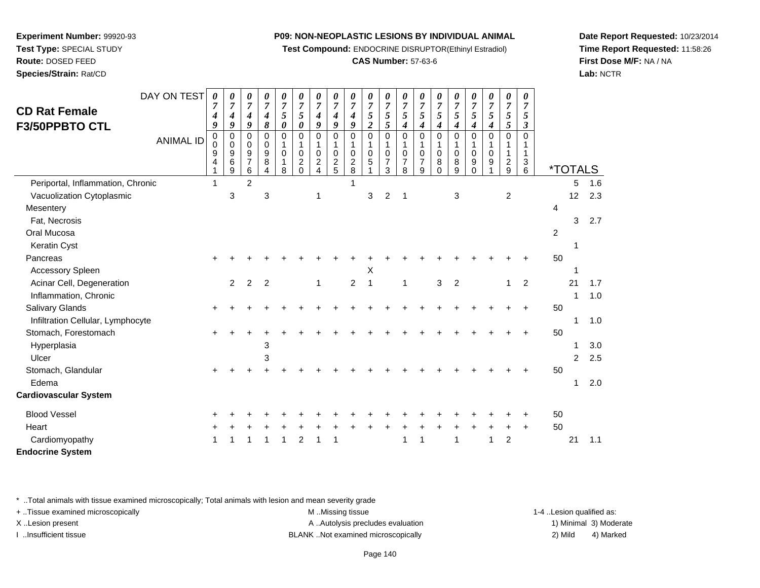**Test Compound:** ENDOCRINE DISRUPTOR(Ethinyl Estradiol)

#### **CAS Number:** 57-63-6

**Date Report Requested:** 10/23/2014**Time Report Requested:** 11:58:26**First Dose M/F:** NA / NA**Lab:** NCTR

|                                   | DAY ON TEST      | $\boldsymbol{\theta}$ | 0<br>7         | 0<br>$\overline{7}$ | 0<br>$\overline{7}$ | 0<br>$\overline{7}$   | 0<br>$\overline{7}$        | 0<br>$\overline{7}$ | 0<br>$\overline{7}$          | 0<br>$\overline{7}$ | 0<br>$\overline{7}$ | 0<br>$\overline{7}$ | 0<br>$\overline{7}$ | 0<br>$\overline{7}$ | 0<br>$\overline{7}$ | 0<br>$\overline{7}$ | 0<br>$\overline{7}$ | 0<br>$\overline{7}$ | 0<br>$\overline{7}$   | 0<br>$\overline{7}$ |                         |                       |     |
|-----------------------------------|------------------|-----------------------|----------------|---------------------|---------------------|-----------------------|----------------------------|---------------------|------------------------------|---------------------|---------------------|---------------------|---------------------|---------------------|---------------------|---------------------|---------------------|---------------------|-----------------------|---------------------|-------------------------|-----------------------|-----|
| <b>CD Rat Female</b>              |                  | 4                     | 4              | 4                   | 4                   | $\sqrt{5}$            | 5                          | $\boldsymbol{4}$    | 4                            | $\boldsymbol{4}$    | $\mathfrak{s}$      | $\sqrt{5}$          | 5                   | 5                   | 5                   | 5                   | $\overline{5}$      | $\mathfrak{s}$      | 5                     | 5                   |                         |                       |     |
| F3/50PPBTO CTL                    |                  | 9                     | 9              | 9                   | 8                   | $\boldsymbol{\theta}$ | $\pmb{\theta}$             | 9                   | 9                            | 9                   | $\overline{c}$      | 5                   | $\boldsymbol{4}$    | 4                   | 4                   | 4                   | 4                   | $\boldsymbol{4}$    | 5                     | 3                   |                         |                       |     |
|                                   | <b>ANIMAL ID</b> | 0<br>0                | 0<br>0         | 0<br>0              | 0<br>0              | 0<br>1                | $\Omega$<br>1              | $\Omega$<br>-1      | $\Omega$                     | 0<br>1              | $\mathbf 0$<br>1    | $\Omega$<br>1       | $\Omega$            | $\mathbf 0$<br>1    | $\Omega$            | 0<br>1              | $\mathbf 0$<br>1    | $\Omega$            | $\Omega$<br>1         | $\Omega$            |                         |                       |     |
|                                   |                  | 9                     | 9              | 9                   | 9                   | $\mathbf 0$           | $\mathbf 0$                | $\mathbf 0$         | 0                            | 0                   | $\pmb{0}$           | 0                   | 0                   | 0                   | 0                   | 0                   | $\mathbf 0$         | 0                   | 1                     | 1                   |                         |                       |     |
|                                   |                  | 4                     | 6<br>9         | 7<br>6              | 8<br>4              | 8                     | $\overline{c}$<br>$\Omega$ | $\overline{c}$<br>4 | $\overline{\mathbf{c}}$<br>5 | 2<br>8              | 5                   | 3                   | $\overline{7}$<br>8 | 7<br>9              | 8<br>0              | 8<br>9              | 9<br>$\Omega$       | 9                   | $\boldsymbol{2}$<br>9 | 3<br>6              |                         | <i><b>*TOTALS</b></i> |     |
| Periportal, Inflammation, Chronic |                  |                       |                | $\overline{2}$      |                     |                       |                            |                     |                              |                     |                     |                     |                     |                     |                     |                     |                     |                     |                       |                     |                         | 5                     | 1.6 |
| Vacuolization Cytoplasmic         |                  |                       | 3              |                     | 3                   |                       |                            | 1                   |                              |                     | 3                   | 2                   | 1                   |                     |                     | 3                   |                     |                     | $\overline{2}$        |                     |                         | 12                    | 2.3 |
| Mesentery                         |                  |                       |                |                     |                     |                       |                            |                     |                              |                     |                     |                     |                     |                     |                     |                     |                     |                     |                       |                     | $\overline{\mathbf{4}}$ |                       |     |
| Fat, Necrosis                     |                  |                       |                |                     |                     |                       |                            |                     |                              |                     |                     |                     |                     |                     |                     |                     |                     |                     |                       |                     |                         | 3                     | 2.7 |
| Oral Mucosa                       |                  |                       |                |                     |                     |                       |                            |                     |                              |                     |                     |                     |                     |                     |                     |                     |                     |                     |                       |                     | $\overline{c}$          |                       |     |
| Keratin Cyst                      |                  |                       |                |                     |                     |                       |                            |                     |                              |                     |                     |                     |                     |                     |                     |                     |                     |                     |                       |                     |                         |                       |     |
| Pancreas                          |                  |                       |                |                     |                     |                       |                            |                     |                              |                     |                     |                     |                     |                     |                     |                     |                     |                     |                       |                     | 50                      |                       |     |
| <b>Accessory Spleen</b>           |                  |                       |                |                     |                     |                       |                            |                     |                              |                     | Х                   |                     |                     |                     |                     |                     |                     |                     |                       |                     |                         |                       |     |
| Acinar Cell, Degeneration         |                  |                       | $\overline{c}$ | $\overline{2}$      | 2                   |                       |                            | 1                   |                              | $\overline{c}$      | $\mathbf{1}$        |                     | $\mathbf 1$         |                     | 3                   | $\overline{c}$      |                     |                     | 1                     | $\overline{c}$      |                         | 21                    | 1.7 |
| Inflammation, Chronic             |                  |                       |                |                     |                     |                       |                            |                     |                              |                     |                     |                     |                     |                     |                     |                     |                     |                     |                       |                     |                         |                       | 1.0 |
| <b>Salivary Glands</b>            |                  |                       |                |                     |                     |                       |                            |                     |                              |                     |                     |                     |                     |                     |                     |                     |                     |                     |                       |                     | 50                      |                       |     |
| Infiltration Cellular, Lymphocyte |                  |                       |                |                     |                     |                       |                            |                     |                              |                     |                     |                     |                     |                     |                     |                     |                     |                     |                       |                     |                         | 1                     | 1.0 |
| Stomach, Forestomach              |                  |                       |                |                     |                     |                       |                            |                     |                              |                     |                     |                     |                     |                     |                     |                     |                     |                     |                       |                     | 50                      |                       |     |
| Hyperplasia                       |                  |                       |                |                     | 3                   |                       |                            |                     |                              |                     |                     |                     |                     |                     |                     |                     |                     |                     |                       |                     |                         | 1                     | 3.0 |
| Ulcer                             |                  |                       |                |                     | 3                   |                       |                            |                     |                              |                     |                     |                     |                     |                     |                     |                     |                     |                     |                       |                     |                         | $\overline{2}$        | 2.5 |
| Stomach, Glandular                |                  |                       |                |                     |                     |                       |                            |                     |                              |                     |                     |                     |                     |                     |                     |                     |                     |                     |                       |                     | 50                      |                       |     |
| Edema                             |                  |                       |                |                     |                     |                       |                            |                     |                              |                     |                     |                     |                     |                     |                     |                     |                     |                     |                       |                     |                         | 1                     | 2.0 |
| <b>Cardiovascular System</b>      |                  |                       |                |                     |                     |                       |                            |                     |                              |                     |                     |                     |                     |                     |                     |                     |                     |                     |                       |                     |                         |                       |     |
| <b>Blood Vessel</b>               |                  |                       |                |                     |                     |                       |                            |                     |                              |                     |                     |                     |                     |                     |                     |                     |                     |                     |                       |                     | 50                      |                       |     |
| Heart                             |                  |                       |                |                     |                     |                       |                            |                     |                              |                     |                     |                     |                     |                     |                     |                     |                     |                     |                       | $\ddot{}$           | 50                      |                       |     |
| Cardiomyopathy                    |                  |                       |                |                     |                     |                       | $\overline{2}$             |                     | 1                            |                     |                     |                     | 1                   | 1                   |                     | 1                   |                     |                     | $\overline{2}$        |                     |                         | 21                    | 1.1 |
| <b>Endocrine System</b>           |                  |                       |                |                     |                     |                       |                            |                     |                              |                     |                     |                     |                     |                     |                     |                     |                     |                     |                       |                     |                         |                       |     |
|                                   |                  |                       |                |                     |                     |                       |                            |                     |                              |                     |                     |                     |                     |                     |                     |                     |                     |                     |                       |                     |                         |                       |     |

\* ..Total animals with tissue examined microscopically; Total animals with lesion and mean severity grade

**Experiment Number:** 99920-93**Test Type:** SPECIAL STUDY**Route:** DOSED FEED**Species/Strain:** Rat/CD

+ ..Tissue examined microscopically examined microscopically examined as:  $M$  ..Missing tissue 1-4 ..Lesion qualified as: X..Lesion present **A ..Autolysis precludes evaluation** A ..Autolysis precludes evaluation 1) Minimal 3) Moderate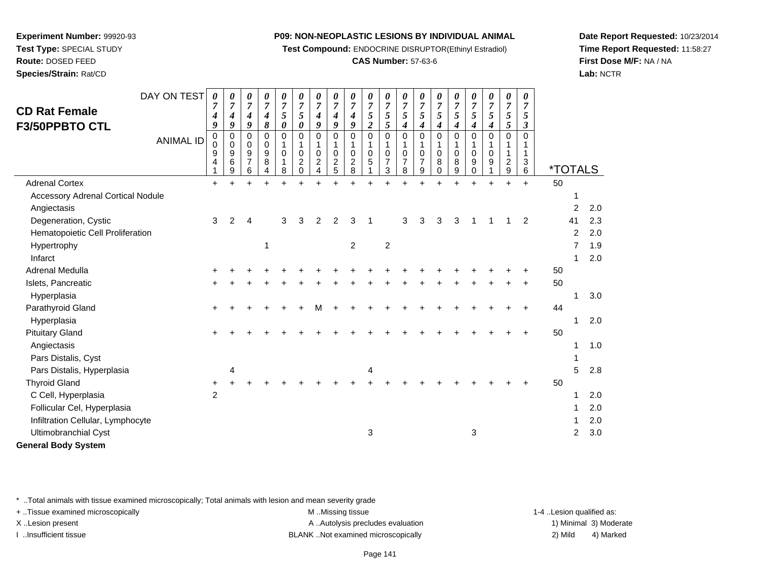**Test Compound:** ENDOCRINE DISRUPTOR(Ethinyl Estradiol)

#### **CAS Number:** 57-63-6

**Date Report Requested:** 10/23/2014**Time Report Requested:** 11:58:27**First Dose M/F:** NA / NA**Lab:** NCTR

| <b>CD Rat Female</b><br>F3/50PPBTO CTL   | DAY ON TEST      | $\boldsymbol{\theta}$<br>7<br>$\boldsymbol{4}$<br>9 | 0<br>7<br>4<br>9             | $\overline{7}$<br>4<br>$\boldsymbol{q}$   | 0<br>$\overline{7}$<br>4<br>8 | 0<br>$\overline{7}$<br>5<br>0 | 0<br>$\boldsymbol{7}$<br>5<br>0                | 0<br>$\overline{7}$<br>$\boldsymbol{4}$<br>9   | 0<br>$\overline{7}$<br>$\boldsymbol{4}$<br>9  | 0<br>$\overline{7}$<br>$\boldsymbol{4}$<br>9            | 0<br>$\overline{7}$<br>5<br>$\overline{2}$ | 0<br>$\overline{7}$<br>5<br>5 | 0<br>$\overline{7}$<br>5<br>4 | 0<br>$\overline{7}$<br>5<br>4           | 0<br>$\overline{7}$<br>5<br>$\boldsymbol{4}$ | 0<br>$\overline{7}$<br>5<br>$\boldsymbol{4}$ | 0<br>$\overline{7}$<br>5<br>$\boldsymbol{4}$ | 0<br>$\overline{7}$<br>5<br>$\boldsymbol{4}$ | 0<br>$\overline{7}$<br>5<br>5   | 0<br>$\overline{7}$<br>5<br>3      |                       |                |     |
|------------------------------------------|------------------|-----------------------------------------------------|------------------------------|-------------------------------------------|-------------------------------|-------------------------------|------------------------------------------------|------------------------------------------------|-----------------------------------------------|---------------------------------------------------------|--------------------------------------------|-------------------------------|-------------------------------|-----------------------------------------|----------------------------------------------|----------------------------------------------|----------------------------------------------|----------------------------------------------|---------------------------------|------------------------------------|-----------------------|----------------|-----|
|                                          | <b>ANIMAL ID</b> | 0<br>$\Omega$<br>9<br>4                             | 0<br>$\Omega$<br>9<br>6<br>9 | 0<br>$\Omega$<br>9<br>$\overline{7}$<br>6 | 0<br>$\Omega$<br>9<br>8       | $\Omega$<br>$\Omega$<br>8     | $\Omega$<br>0<br>$\overline{c}$<br>$\mathbf 0$ | $\Omega$<br>$\mathbf 0$<br>$\overline{c}$<br>4 | $\Omega$<br>0<br>$\overline{\mathbf{c}}$<br>5 | $\Omega$<br>$\mathbf 0$<br>$\overline{\mathbf{c}}$<br>8 | $\Omega$<br>$\mathbf 0$<br>5               | $\Omega$<br>0<br>3            | 0<br>0<br>7<br>8              | 0<br>$\mathbf 0$<br>$\overline{7}$<br>9 | $\Omega$<br>$\mathbf 0$<br>8<br>$\mathbf 0$  | $\Omega$<br>$\mathbf 0$<br>8<br>9            | $\Omega$<br>$\Omega$<br>9<br>0               | 0<br>$\mathbf 0$<br>9                        | $\Omega$<br>$\overline{c}$<br>9 | $\Omega$<br>$\mathbf{1}$<br>3<br>6 | <i><b>*TOTALS</b></i> |                |     |
| <b>Adrenal Cortex</b>                    |                  | +                                                   |                              |                                           |                               |                               |                                                |                                                |                                               |                                                         |                                            |                               |                               |                                         |                                              |                                              |                                              |                                              |                                 | $+$                                | 50                    |                |     |
| <b>Accessory Adrenal Cortical Nodule</b> |                  |                                                     |                              |                                           |                               |                               |                                                |                                                |                                               |                                                         |                                            |                               |                               |                                         |                                              |                                              |                                              |                                              |                                 |                                    |                       | 1              |     |
| Angiectasis                              |                  |                                                     |                              |                                           |                               |                               |                                                |                                                |                                               |                                                         |                                            |                               |                               |                                         |                                              |                                              |                                              |                                              |                                 |                                    |                       | $\overline{2}$ | 2.0 |
| Degeneration, Cystic                     |                  | 3                                                   | $\overline{2}$               | 4                                         |                               | 3                             | 3                                              | $\overline{2}$                                 | $\overline{2}$                                | 3                                                       | -1                                         |                               | 3                             | 3                                       | 3                                            | 3                                            |                                              |                                              |                                 | 2                                  |                       | 41             | 2.3 |
| Hematopoietic Cell Proliferation         |                  |                                                     |                              |                                           |                               |                               |                                                |                                                |                                               |                                                         |                                            |                               |                               |                                         |                                              |                                              |                                              |                                              |                                 |                                    |                       | 2              | 2.0 |
| Hypertrophy                              |                  |                                                     |                              |                                           | 1                             |                               |                                                |                                                |                                               | $\overline{2}$                                          |                                            | $\overline{c}$                |                               |                                         |                                              |                                              |                                              |                                              |                                 |                                    |                       | 7              | 1.9 |
| Infarct                                  |                  |                                                     |                              |                                           |                               |                               |                                                |                                                |                                               |                                                         |                                            |                               |                               |                                         |                                              |                                              |                                              |                                              |                                 |                                    |                       | 1              | 2.0 |
| <b>Adrenal Medulla</b>                   |                  |                                                     |                              |                                           |                               |                               |                                                |                                                |                                               |                                                         |                                            |                               |                               |                                         |                                              |                                              |                                              |                                              |                                 |                                    | 50                    |                |     |
| Islets, Pancreatic                       |                  |                                                     |                              |                                           |                               |                               |                                                |                                                |                                               |                                                         |                                            |                               |                               |                                         |                                              |                                              |                                              |                                              |                                 | $\ddot{}$                          | 50                    |                |     |
| Hyperplasia                              |                  |                                                     |                              |                                           |                               |                               |                                                |                                                |                                               |                                                         |                                            |                               |                               |                                         |                                              |                                              |                                              |                                              |                                 |                                    |                       | 1              | 3.0 |
| Parathyroid Gland                        |                  |                                                     |                              |                                           |                               |                               |                                                |                                                |                                               |                                                         |                                            |                               |                               |                                         |                                              |                                              |                                              |                                              |                                 |                                    | 44                    |                |     |
| Hyperplasia                              |                  |                                                     |                              |                                           |                               |                               |                                                |                                                |                                               |                                                         |                                            |                               |                               |                                         |                                              |                                              |                                              |                                              |                                 |                                    |                       | 1              | 2.0 |
| <b>Pituitary Gland</b>                   |                  |                                                     |                              |                                           |                               |                               |                                                |                                                |                                               |                                                         |                                            |                               |                               |                                         |                                              |                                              |                                              |                                              |                                 | $\ddot{}$                          | 50                    |                |     |
| Angiectasis                              |                  |                                                     |                              |                                           |                               |                               |                                                |                                                |                                               |                                                         |                                            |                               |                               |                                         |                                              |                                              |                                              |                                              |                                 |                                    |                       | 1              | 1.0 |
| Pars Distalis, Cyst                      |                  |                                                     |                              |                                           |                               |                               |                                                |                                                |                                               |                                                         |                                            |                               |                               |                                         |                                              |                                              |                                              |                                              |                                 |                                    |                       |                |     |
| Pars Distalis, Hyperplasia               |                  |                                                     | 4                            |                                           |                               |                               |                                                |                                                |                                               |                                                         | 4                                          |                               |                               |                                         |                                              |                                              |                                              |                                              |                                 |                                    |                       | 5              | 2.8 |
| <b>Thyroid Gland</b>                     |                  | $\ddot{}$                                           |                              |                                           |                               |                               |                                                |                                                |                                               |                                                         |                                            |                               |                               |                                         |                                              |                                              |                                              |                                              |                                 |                                    | 50                    |                |     |
| C Cell, Hyperplasia                      |                  | $\overline{2}$                                      |                              |                                           |                               |                               |                                                |                                                |                                               |                                                         |                                            |                               |                               |                                         |                                              |                                              |                                              |                                              |                                 |                                    |                       |                | 2.0 |
| Follicular Cel, Hyperplasia              |                  |                                                     |                              |                                           |                               |                               |                                                |                                                |                                               |                                                         |                                            |                               |                               |                                         |                                              |                                              |                                              |                                              |                                 |                                    |                       | 1              | 2.0 |
| Infiltration Cellular, Lymphocyte        |                  |                                                     |                              |                                           |                               |                               |                                                |                                                |                                               |                                                         |                                            |                               |                               |                                         |                                              |                                              |                                              |                                              |                                 |                                    |                       |                | 2.0 |
| Ultimobranchial Cyst                     |                  |                                                     |                              |                                           |                               |                               |                                                |                                                |                                               |                                                         | 3                                          |                               |                               |                                         |                                              |                                              | 3                                            |                                              |                                 |                                    |                       | 2              | 3.0 |
| <b>General Body System</b>               |                  |                                                     |                              |                                           |                               |                               |                                                |                                                |                                               |                                                         |                                            |                               |                               |                                         |                                              |                                              |                                              |                                              |                                 |                                    |                       |                |     |

\* ..Total animals with tissue examined microscopically; Total animals with lesion and mean severity grade

**Experiment Number:** 99920-93**Test Type:** SPECIAL STUDY**Route:** DOSED FEED**Species/Strain:** Rat/CD

+ ..Tissue examined microscopically examined microscopically examined as:  $M$  ..Missing tissue 1-4 ..Lesion qualified as: X..Lesion present **A ..Autolysis precludes evaluation** A ..Autolysis precludes evaluation 1) Minimal 3) Moderate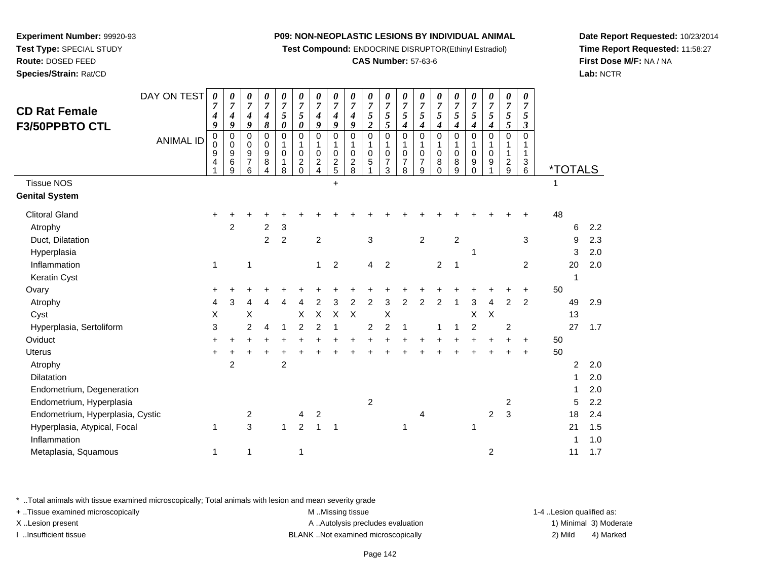**Test Compound:** ENDOCRINE DISRUPTOR(Ethinyl Estradiol)

#### **CAS Number:** 57-63-6

**Date Report Requested:** 10/23/2014**Time Report Requested:** 11:58:27**First Dose M/F:** NA / NA**Lab:** NCTR

| <b>CD Rat Female</b><br>F3/50PPBTO CTL | DAY ON TEST<br><b>ANIMAL ID</b> | 0<br>7<br>4<br>9<br>$\mathbf 0$<br>$\Omega$<br>9 | 0<br>7<br>4<br>9<br>0<br>0<br>9 | 0<br>$\overline{7}$<br>4<br>9<br>0<br>0<br>9 | 0<br>$\overline{7}$<br>4<br>8<br>0<br>0<br>9 | 0<br>$\overline{7}$<br>5<br>0<br>0<br>1<br>0 | 0<br>$\overline{7}$<br>$\sqrt{5}$<br>0<br>$\mathbf 0$<br>1<br>0 | 0<br>$\overline{7}$<br>$\boldsymbol{4}$<br>9<br>$\Omega$<br>0 | 0<br>$\overline{7}$<br>$\boldsymbol{4}$<br>9<br>$\mathbf 0$<br>1<br>0 | 0<br>$\overline{7}$<br>4<br>9<br>$\mathbf 0$<br>$\mathbf 0$ | 0<br>$\overline{7}$<br>5<br>$\boldsymbol{2}$<br>$\mathbf 0$<br>1<br>$\mathbf 0$ | 0<br>7<br>$\mathfrak{H}$<br>5<br>0<br>0 | 0<br>$\overline{7}$<br>5<br>4<br>0<br>1<br>0 | 0<br>$\overline{7}$<br>5<br>4<br>0<br>1<br>0 | 0<br>$\overline{7}$<br>5<br>$\boldsymbol{4}$<br>$\Omega$<br>$\mathbf 0$ | 0<br>$\boldsymbol{7}$<br>5<br>$\boldsymbol{4}$<br>$\mathbf 0$<br>1<br>$\mathbf 0$ | 0<br>7<br>5<br>4<br>0<br>$\mathbf 0$ | 0<br>$\overline{7}$<br>5<br>4<br>0<br>1<br>$\mathbf 0$ | $\boldsymbol{\theta}$<br>$\overline{7}$<br>5<br>5<br>0<br>1 | 0<br>7<br>5<br>3<br>0<br>1<br>1 |                       |                |     |
|----------------------------------------|---------------------------------|--------------------------------------------------|---------------------------------|----------------------------------------------|----------------------------------------------|----------------------------------------------|-----------------------------------------------------------------|---------------------------------------------------------------|-----------------------------------------------------------------------|-------------------------------------------------------------|---------------------------------------------------------------------------------|-----------------------------------------|----------------------------------------------|----------------------------------------------|-------------------------------------------------------------------------|-----------------------------------------------------------------------------------|--------------------------------------|--------------------------------------------------------|-------------------------------------------------------------|---------------------------------|-----------------------|----------------|-----|
|                                        |                                 | 4                                                | 6<br>9                          | $\overline{7}$<br>6                          | 8<br>4                                       | 1<br>8                                       | $\boldsymbol{2}$<br>$\Omega$                                    | $\overline{2}$<br>4                                           | $\boldsymbol{2}$<br>5                                                 | $\boldsymbol{2}$<br>8                                       | 5                                                                               | $\overline{7}$<br>3                     | $\overline{7}$<br>8                          | $\overline{7}$<br>9                          | 8<br>$\Omega$                                                           | 8<br>9                                                                            | 9<br>$\mathbf 0$                     | 9                                                      | $\overline{\mathbf{c}}$<br>9                                | 3<br>6                          | <i><b>*TOTALS</b></i> |                |     |
| <b>Tissue NOS</b>                      |                                 |                                                  |                                 |                                              |                                              |                                              |                                                                 |                                                               | $\ddot{}$                                                             |                                                             |                                                                                 |                                         |                                              |                                              |                                                                         |                                                                                   |                                      |                                                        |                                                             |                                 |                       |                |     |
| <b>Genital System</b>                  |                                 |                                                  |                                 |                                              |                                              |                                              |                                                                 |                                                               |                                                                       |                                                             |                                                                                 |                                         |                                              |                                              |                                                                         |                                                                                   |                                      |                                                        |                                                             |                                 |                       |                |     |
| <b>Clitoral Gland</b>                  |                                 | +                                                |                                 |                                              |                                              |                                              |                                                                 |                                                               |                                                                       |                                                             |                                                                                 |                                         |                                              |                                              |                                                                         |                                                                                   |                                      |                                                        |                                                             |                                 | 48                    |                |     |
| Atrophy                                |                                 |                                                  | $\overline{c}$                  |                                              | 2                                            | 3                                            |                                                                 |                                                               |                                                                       |                                                             |                                                                                 |                                         |                                              |                                              |                                                                         |                                                                                   |                                      |                                                        |                                                             |                                 |                       | 6              | 2.2 |
| Duct, Dilatation                       |                                 |                                                  |                                 |                                              | $\overline{c}$                               | $\overline{c}$                               |                                                                 | $\overline{c}$                                                |                                                                       |                                                             | 3                                                                               |                                         |                                              | $\overline{a}$                               |                                                                         | $\boldsymbol{2}$                                                                  |                                      |                                                        |                                                             | 3                               |                       | 9              | 2.3 |
| Hyperplasia                            |                                 |                                                  |                                 |                                              |                                              |                                              |                                                                 |                                                               |                                                                       |                                                             |                                                                                 |                                         |                                              |                                              |                                                                         |                                                                                   | 1                                    |                                                        |                                                             |                                 |                       | 3              | 2.0 |
| Inflammation                           |                                 | 1                                                |                                 | 1                                            |                                              |                                              |                                                                 | 1                                                             | $\overline{2}$                                                        |                                                             | 4                                                                               | 2                                       |                                              |                                              | $\overline{a}$                                                          | $\mathbf 1$                                                                       |                                      |                                                        |                                                             | $\overline{c}$                  |                       | 20             | 2.0 |
| Keratin Cyst                           |                                 |                                                  |                                 |                                              |                                              |                                              |                                                                 |                                                               |                                                                       |                                                             |                                                                                 |                                         |                                              |                                              |                                                                         |                                                                                   |                                      |                                                        |                                                             |                                 |                       | $\mathbf{1}$   |     |
| Ovary                                  |                                 |                                                  |                                 |                                              |                                              |                                              |                                                                 |                                                               |                                                                       |                                                             |                                                                                 |                                         |                                              |                                              |                                                                         |                                                                                   |                                      |                                                        |                                                             | +                               | 50                    |                |     |
| Atrophy                                |                                 | 4                                                | 3                               | 4                                            |                                              | 4                                            | 4                                                               | 2                                                             | 3                                                                     | $\overline{2}$                                              | $\overline{2}$                                                                  | 3                                       | 2                                            | 2                                            | $\overline{2}$                                                          |                                                                                   | 3                                    | 4                                                      | $\overline{2}$                                              | 2                               |                       | 49             | 2.9 |
| Cyst                                   |                                 | X                                                |                                 | X                                            |                                              |                                              | X                                                               | $\pmb{\times}$                                                | $\boldsymbol{\mathsf{X}}$                                             | $\mathsf X$                                                 |                                                                                 | Χ                                       |                                              |                                              |                                                                         |                                                                                   | $\pmb{\times}$                       | X                                                      |                                                             |                                 |                       | 13             |     |
| Hyperplasia, Sertoliform               |                                 | 3                                                |                                 | $\overline{c}$                               | 4                                            | 1                                            | $\overline{c}$                                                  | $\overline{2}$                                                | $\overline{1}$                                                        |                                                             | $\overline{c}$                                                                  | $\overline{c}$                          | 1                                            |                                              | 1                                                                       | $\mathbf{1}$                                                                      | $\overline{2}$                       |                                                        | $\overline{c}$                                              |                                 |                       | 27             | 1.7 |
| Oviduct                                |                                 | ٠                                                |                                 |                                              |                                              |                                              |                                                                 |                                                               |                                                                       |                                                             |                                                                                 |                                         |                                              |                                              |                                                                         |                                                                                   |                                      |                                                        |                                                             | $\ddot{}$                       | 50                    |                |     |
| Uterus                                 |                                 | +                                                |                                 |                                              |                                              |                                              |                                                                 |                                                               |                                                                       |                                                             |                                                                                 |                                         |                                              |                                              |                                                                         |                                                                                   |                                      |                                                        |                                                             | $\ddot{}$                       | 50                    |                |     |
| Atrophy                                |                                 |                                                  | $\overline{c}$                  |                                              |                                              | $\overline{c}$                               |                                                                 |                                                               |                                                                       |                                                             |                                                                                 |                                         |                                              |                                              |                                                                         |                                                                                   |                                      |                                                        |                                                             |                                 |                       | $\overline{2}$ | 2.0 |
| Dilatation                             |                                 |                                                  |                                 |                                              |                                              |                                              |                                                                 |                                                               |                                                                       |                                                             |                                                                                 |                                         |                                              |                                              |                                                                         |                                                                                   |                                      |                                                        |                                                             |                                 |                       | 1              | 2.0 |
| Endometrium, Degeneration              |                                 |                                                  |                                 |                                              |                                              |                                              |                                                                 |                                                               |                                                                       |                                                             |                                                                                 |                                         |                                              |                                              |                                                                         |                                                                                   |                                      |                                                        |                                                             |                                 |                       |                | 2.0 |
| Endometrium, Hyperplasia               |                                 |                                                  |                                 |                                              |                                              |                                              |                                                                 |                                                               |                                                                       |                                                             | $\overline{2}$                                                                  |                                         |                                              |                                              |                                                                         |                                                                                   |                                      |                                                        | 2                                                           |                                 |                       | 5              | 2.2 |
| Endometrium, Hyperplasia, Cystic       |                                 |                                                  |                                 | 2                                            |                                              |                                              | 4                                                               | $\overline{c}$                                                |                                                                       |                                                             |                                                                                 |                                         |                                              | 4                                            |                                                                         |                                                                                   |                                      | $\overline{2}$                                         | 3                                                           |                                 |                       | 18             | 2.4 |
| Hyperplasia, Atypical, Focal           |                                 | 1                                                |                                 | 3                                            |                                              | 1                                            | $\overline{c}$                                                  | 1                                                             | $\overline{1}$                                                        |                                                             |                                                                                 |                                         | 1                                            |                                              |                                                                         |                                                                                   | 1                                    |                                                        |                                                             |                                 |                       | 21             | 1.5 |
| Inflammation                           |                                 |                                                  |                                 |                                              |                                              |                                              |                                                                 |                                                               |                                                                       |                                                             |                                                                                 |                                         |                                              |                                              |                                                                         |                                                                                   |                                      |                                                        |                                                             |                                 |                       | 1              | 1.0 |
| Metaplasia, Squamous                   |                                 | 1                                                |                                 | $\mathbf 1$                                  |                                              |                                              | 1                                                               |                                                               |                                                                       |                                                             |                                                                                 |                                         |                                              |                                              |                                                                         |                                                                                   |                                      | $\overline{2}$                                         |                                                             |                                 |                       | 11             | 1.7 |

\* ..Total animals with tissue examined microscopically; Total animals with lesion and mean severity grade

+ ..Tissue examined microscopically examined microscopically examined as:  $M$  ..Missing tissue 1-4 ..Lesion qualified as:

**Experiment Number:** 99920-93**Test Type:** SPECIAL STUDY**Route:** DOSED FEED**Species/Strain:** Rat/CD

X..Lesion present **A ..Autolysis precludes evaluation** A ..Autolysis precludes evaluation 1) Minimal 3) Moderate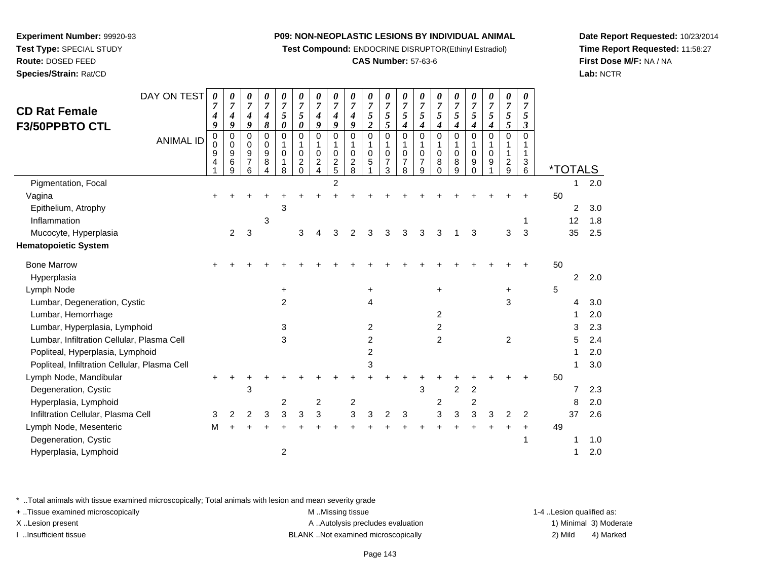**Test Compound:** ENDOCRINE DISRUPTOR(Ethinyl Estradiol)

#### **CAS Number:** 57-63-6

**Date Report Requested:** 10/23/2014**Time Report Requested:** 11:58:27**First Dose M/F:** NA / NA**Lab:** NCTR

| CD Rat Female                                 | DAY ON TEST      | $\boldsymbol{\theta}$<br>4<br>9   | 0<br>7<br>4<br>9                | 0<br>7<br>4<br>9                   | 0<br>$\overline{7}$<br>4<br>8 | 0<br>7<br>5<br>0                    | 0<br>7<br>5<br>0                       | 0<br>7<br>4<br>9                    | 0<br>$\overline{7}$<br>4<br>9                    | 0<br>$\overline{7}$<br>4<br>9                       | 0<br>5<br>$\overline{\mathbf{c}}$ | 0<br>7<br>5<br>5                     | 0<br>7<br>5<br>4                          | 0<br>7<br>5<br>4                             | 0<br>7<br>5<br>4                              | 0<br>7<br>5<br>4        | 0<br>7<br>5                                | 0<br>$\overline{7}$<br>5               | 0<br>7<br>5<br>5   | 0<br>7<br>5<br>$\mathfrak{z}$ |                       |                |     |
|-----------------------------------------------|------------------|-----------------------------------|---------------------------------|------------------------------------|-------------------------------|-------------------------------------|----------------------------------------|-------------------------------------|--------------------------------------------------|-----------------------------------------------------|-----------------------------------|--------------------------------------|-------------------------------------------|----------------------------------------------|-----------------------------------------------|-------------------------|--------------------------------------------|----------------------------------------|--------------------|-------------------------------|-----------------------|----------------|-----|
| <b>F3/50PPBTO CTL</b>                         | <b>ANIMAL ID</b> | $\mathbf 0$<br>$\Omega$<br>9<br>4 | $\mathbf 0$<br>0<br>9<br>6<br>9 | 0<br>0<br>9<br>$\overline{7}$<br>6 | 0<br>0<br>9<br>8              | $\Omega$<br>1<br>$\Omega$<br>1<br>8 | $\Omega$<br>$\Omega$<br>$\overline{c}$ | $\Omega$<br>1<br>$\Omega$<br>2<br>4 | $\Omega$<br>1<br>$\Omega$<br>$\overline{2}$<br>5 | $\Omega$<br>1<br>$\mathbf 0$<br>$\overline{c}$<br>8 | $\mathbf{0}$<br>$\mathbf 0$<br>5  | $\Omega$<br>0<br>$\overline{7}$<br>3 | 0<br>1<br>$\Omega$<br>$\overline{7}$<br>8 | $\mathbf 0$<br>1<br>0<br>$\overline{7}$<br>9 | $\Omega$<br>1<br>$\mathbf 0$<br>8<br>$\Omega$ | $\Omega$<br>0<br>8<br>9 | 4<br>$\Omega$<br>$\Omega$<br>9<br>$\Omega$ | 4<br>$\Omega$<br>1<br>$\mathbf 0$<br>9 | $\Omega$<br>2<br>9 | 0<br>1<br>1<br>3<br>6         | <i><b>*TOTALS</b></i> |                |     |
| Pigmentation, Focal                           |                  |                                   |                                 |                                    |                               |                                     |                                        |                                     | $\mathfrak{p}$                                   |                                                     |                                   |                                      |                                           |                                              |                                               |                         |                                            |                                        |                    |                               |                       | 1              | 2.0 |
| Vagina                                        |                  |                                   |                                 |                                    |                               |                                     |                                        |                                     |                                                  |                                                     |                                   |                                      |                                           |                                              |                                               |                         |                                            |                                        |                    |                               | 50                    |                |     |
| Epithelium, Atrophy                           |                  |                                   |                                 |                                    |                               | 3                                   |                                        |                                     |                                                  |                                                     |                                   |                                      |                                           |                                              |                                               |                         |                                            |                                        |                    |                               |                       | $\overline{2}$ | 3.0 |
| Inflammation                                  |                  |                                   |                                 |                                    | 3                             |                                     |                                        |                                     |                                                  |                                                     |                                   |                                      |                                           |                                              |                                               |                         |                                            |                                        |                    |                               |                       | 12             | 1.8 |
| Mucocyte, Hyperplasia                         |                  |                                   | $\overline{c}$                  | 3                                  |                               |                                     | 3                                      |                                     | 3                                                | 2                                                   | 3                                 | 3                                    | 3                                         | з                                            | 3                                             |                         | 3                                          |                                        | 3                  | 3                             |                       | 35             | 2.5 |
| <b>Hematopoietic System</b>                   |                  |                                   |                                 |                                    |                               |                                     |                                        |                                     |                                                  |                                                     |                                   |                                      |                                           |                                              |                                               |                         |                                            |                                        |                    |                               |                       |                |     |
| <b>Bone Marrow</b>                            |                  |                                   |                                 |                                    |                               |                                     |                                        |                                     |                                                  |                                                     |                                   |                                      |                                           |                                              |                                               |                         |                                            |                                        |                    |                               | 50                    |                |     |
| Hyperplasia                                   |                  |                                   |                                 |                                    |                               |                                     |                                        |                                     |                                                  |                                                     |                                   |                                      |                                           |                                              |                                               |                         |                                            |                                        |                    |                               |                       | 2              | 2.0 |
| Lymph Node                                    |                  |                                   |                                 |                                    |                               | $\ddot{}$                           |                                        |                                     |                                                  |                                                     | +                                 |                                      |                                           |                                              | $\ddot{}$                                     |                         |                                            |                                        | +                  |                               | 5                     |                |     |
| Lumbar, Degeneration, Cystic                  |                  |                                   |                                 |                                    |                               | $\overline{2}$                      |                                        |                                     |                                                  |                                                     | 4                                 |                                      |                                           |                                              |                                               |                         |                                            |                                        | 3                  |                               |                       | 4              | 3.0 |
| Lumbar, Hemorrhage                            |                  |                                   |                                 |                                    |                               |                                     |                                        |                                     |                                                  |                                                     |                                   |                                      |                                           |                                              | 2                                             |                         |                                            |                                        |                    |                               |                       |                | 2.0 |
| Lumbar, Hyperplasia, Lymphoid                 |                  |                                   |                                 |                                    |                               | 3                                   |                                        |                                     |                                                  |                                                     | 2                                 |                                      |                                           |                                              | $\overline{c}$                                |                         |                                            |                                        |                    |                               |                       | 3              | 2.3 |
| Lumbar, Infiltration Cellular, Plasma Cell    |                  |                                   |                                 |                                    |                               | 3                                   |                                        |                                     |                                                  |                                                     | $\overline{2}$                    |                                      |                                           |                                              | $\overline{c}$                                |                         |                                            |                                        | $\overline{2}$     |                               |                       |                | 2.4 |
| Popliteal, Hyperplasia, Lymphoid              |                  |                                   |                                 |                                    |                               |                                     |                                        |                                     |                                                  |                                                     | $\overline{2}$                    |                                      |                                           |                                              |                                               |                         |                                            |                                        |                    |                               |                       |                | 2.0 |
| Popliteal, Infiltration Cellular, Plasma Cell |                  |                                   |                                 |                                    |                               |                                     |                                        |                                     |                                                  |                                                     | 3                                 |                                      |                                           |                                              |                                               |                         |                                            |                                        |                    |                               |                       | 1              | 3.0 |
| Lymph Node, Mandibular                        |                  |                                   |                                 |                                    |                               |                                     |                                        |                                     |                                                  |                                                     |                                   |                                      |                                           |                                              |                                               |                         |                                            |                                        |                    |                               | 50                    |                |     |
| Degeneration, Cystic                          |                  |                                   |                                 | 3                                  |                               |                                     |                                        |                                     |                                                  |                                                     |                                   |                                      |                                           | 3                                            |                                               | $\overline{c}$          | $\overline{2}$                             |                                        |                    |                               |                       | 7              | 2.3 |
| Hyperplasia, Lymphoid                         |                  |                                   |                                 |                                    |                               | $\overline{2}$                      |                                        | $\overline{2}$                      |                                                  | $\overline{2}$                                      |                                   |                                      |                                           |                                              | $\overline{2}$                                |                         | $\overline{2}$                             |                                        |                    |                               |                       | 8              | 2.0 |
| Infiltration Cellular, Plasma Cell            |                  | 3                                 | 2                               | 2                                  | 3                             | 3                                   | 3                                      | 3                                   |                                                  | 3                                                   | 3                                 | 2                                    | 3                                         |                                              | 3                                             | 3                       | 3                                          | 3                                      | $\overline{2}$     | 2                             |                       | 37             | 2.6 |
| Lymph Node, Mesenteric                        |                  | M                                 |                                 |                                    |                               |                                     |                                        |                                     |                                                  |                                                     |                                   |                                      |                                           |                                              |                                               |                         |                                            |                                        |                    | +                             | 49                    |                |     |
| Degeneration, Cystic                          |                  |                                   |                                 |                                    |                               |                                     |                                        |                                     |                                                  |                                                     |                                   |                                      |                                           |                                              |                                               |                         |                                            |                                        |                    | 1                             |                       |                | 1.0 |
| Hyperplasia, Lymphoid                         |                  |                                   |                                 |                                    |                               | 2                                   |                                        |                                     |                                                  |                                                     |                                   |                                      |                                           |                                              |                                               |                         |                                            |                                        |                    |                               |                       |                | 2.0 |
|                                               |                  |                                   |                                 |                                    |                               |                                     |                                        |                                     |                                                  |                                                     |                                   |                                      |                                           |                                              |                                               |                         |                                            |                                        |                    |                               |                       |                |     |

\* ..Total animals with tissue examined microscopically; Total animals with lesion and mean severity grade

+ ..Tissue examined microscopically examined microscopically examined as:  $M$  ..Missing tissue 1-4 ..Lesion qualified as:

**Experiment Number:** 99920-93**Test Type:** SPECIAL STUDY**Route:** DOSED FEED**Species/Strain:** Rat/CD

X..Lesion present **A ..Autolysis precludes evaluation** A ..Autolysis precludes evaluation 1) Minimal 3) Moderate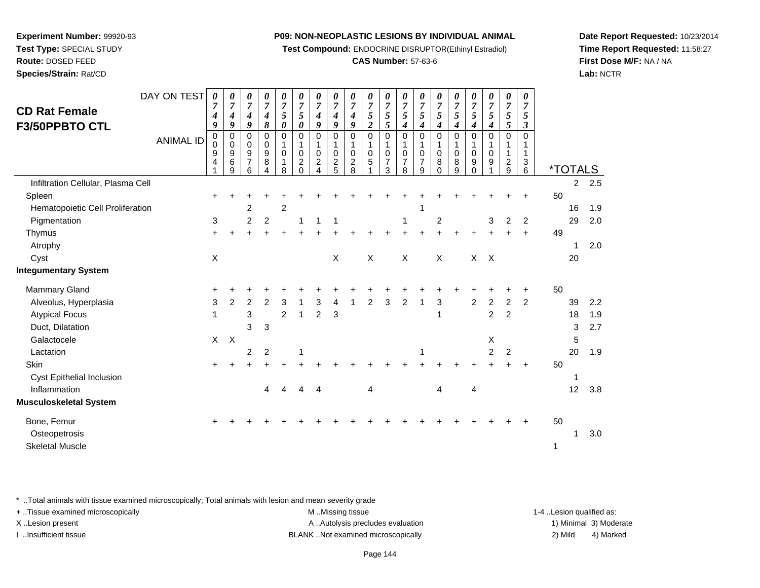**Test Compound:** ENDOCRINE DISRUPTOR(Ethinyl Estradiol)

#### **CAS Number:** 57-63-6

**Date Report Requested:** 10/23/2014**Time Report Requested:** 11:58:27**First Dose M/F:** NA / NA**Lab:** NCTR

| <b>CD Rat Female</b><br>F3/50PPBTO CTL | DAY ON TEST<br><b>ANIMAL ID</b> | 0<br>4<br>9<br>$\pmb{0}$<br>0<br>9<br>4 | 0<br>7<br>4<br>9<br>$\mathsf 0$<br>0<br>9<br>6<br>9 | 0<br>$\overline{7}$<br>4<br>9<br>$\mathbf 0$<br>0<br>9<br>$\overline{7}$<br>6 | 0<br>$\overline{7}$<br>4<br>8<br>$\pmb{0}$<br>0<br>9<br>8 | 0<br>$\overline{7}$<br>5<br>0<br>0<br>1<br>$\Omega$<br>1<br>8 | 0<br>$\overline{7}$<br>5<br>$\boldsymbol{\theta}$<br>$\mathbf 0$<br>$\mathbf 0$<br>$\overline{c}$<br>$\Omega$ | 0<br>$\overline{7}$<br>4<br>9<br>$\Omega$<br>$\mathbf 0$<br>$\overline{c}$ | 0<br>$\overline{7}$<br>4<br>9<br>$\mathbf 0$<br>$\mathbf 0$<br>$\boldsymbol{2}$<br>5 | 0<br>$\overline{7}$<br>4<br>9<br>0<br>$\mathbf 0$<br>$\overline{c}$<br>8 | 0<br>$\overline{7}$<br>5<br>$\overline{c}$<br>0<br>1<br>$\mathbf 0$<br>5 | 0<br>$\overline{7}$<br>5<br>5<br>$\mathbf 0$<br>$\mathbf 0$<br>$\overline{7}$<br>3 | 0<br>$\overline{7}$<br>5<br>4<br>$\mathbf 0$<br>1<br>$\Omega$<br>$\overline{7}$<br>8 | 0<br>$\overline{7}$<br>5<br>4<br>0<br>$\mathbf 0$<br>7<br>9 | 0<br>7<br>5<br>4<br>$\mathbf 0$<br>$\mathbf 0$<br>8<br>$\Omega$ | 0<br>7<br>5<br>4<br>0<br>0<br>8<br>9 | 0<br>$\overline{7}$<br>$5\overline{)}$<br>4<br>$\Omega$<br>$\Omega$<br>9<br>0 | 0<br>$\overline{7}$<br>5<br>4<br>$\mathbf 0$<br>0<br>9 | 0<br>$\overline{7}$<br>5<br>5<br>$\Omega$<br>1<br>$\overline{c}$<br>9 | 0<br>7<br>5<br>$\boldsymbol{\beta}$<br>$\Omega$<br>$\mathbf{1}$<br>3<br>6 | <i><b>*TOTALS</b></i> |                |     |
|----------------------------------------|---------------------------------|-----------------------------------------|-----------------------------------------------------|-------------------------------------------------------------------------------|-----------------------------------------------------------|---------------------------------------------------------------|---------------------------------------------------------------------------------------------------------------|----------------------------------------------------------------------------|--------------------------------------------------------------------------------------|--------------------------------------------------------------------------|--------------------------------------------------------------------------|------------------------------------------------------------------------------------|--------------------------------------------------------------------------------------|-------------------------------------------------------------|-----------------------------------------------------------------|--------------------------------------|-------------------------------------------------------------------------------|--------------------------------------------------------|-----------------------------------------------------------------------|---------------------------------------------------------------------------|-----------------------|----------------|-----|
| Infiltration Cellular, Plasma Cell     |                                 |                                         |                                                     |                                                                               |                                                           |                                                               |                                                                                                               |                                                                            |                                                                                      |                                                                          |                                                                          |                                                                                    |                                                                                      |                                                             |                                                                 |                                      |                                                                               |                                                        |                                                                       |                                                                           |                       | $\overline{2}$ | 2.5 |
| Spleen                                 |                                 | $\ddot{}$                               |                                                     |                                                                               |                                                           |                                                               |                                                                                                               |                                                                            |                                                                                      |                                                                          |                                                                          |                                                                                    |                                                                                      |                                                             |                                                                 |                                      |                                                                               |                                                        |                                                                       |                                                                           | 50                    |                |     |
| Hematopoietic Cell Proliferation       |                                 |                                         |                                                     | 2                                                                             |                                                           | 2                                                             |                                                                                                               |                                                                            |                                                                                      |                                                                          |                                                                          |                                                                                    |                                                                                      |                                                             |                                                                 |                                      |                                                                               |                                                        |                                                                       |                                                                           |                       | 16             | 1.9 |
| Pigmentation                           |                                 | 3                                       |                                                     | $\overline{c}$                                                                | $\overline{c}$                                            |                                                               | 1                                                                                                             | 1                                                                          | $\mathbf 1$                                                                          |                                                                          |                                                                          |                                                                                    | 1                                                                                    |                                                             | $\overline{c}$                                                  |                                      |                                                                               | 3                                                      | $\overline{2}$                                                        | $\overline{2}$                                                            |                       | 29             | 2.0 |
| Thymus<br>Atrophy                      |                                 | $\ddot{}$                               |                                                     |                                                                               |                                                           |                                                               |                                                                                                               |                                                                            |                                                                                      |                                                                          |                                                                          |                                                                                    |                                                                                      |                                                             |                                                                 |                                      |                                                                               |                                                        |                                                                       | $\ddot{}$                                                                 | 49                    | 1              | 2.0 |
| Cyst                                   |                                 | X                                       |                                                     |                                                                               |                                                           |                                                               |                                                                                                               |                                                                            | X                                                                                    |                                                                          | X                                                                        |                                                                                    | $\boldsymbol{\mathsf{X}}$                                                            |                                                             | X                                                               |                                      |                                                                               | $X$ $X$                                                |                                                                       |                                                                           |                       | 20             |     |
| <b>Integumentary System</b>            |                                 |                                         |                                                     |                                                                               |                                                           |                                                               |                                                                                                               |                                                                            |                                                                                      |                                                                          |                                                                          |                                                                                    |                                                                                      |                                                             |                                                                 |                                      |                                                                               |                                                        |                                                                       |                                                                           |                       |                |     |
| <b>Mammary Gland</b>                   |                                 | +                                       |                                                     |                                                                               |                                                           |                                                               |                                                                                                               |                                                                            |                                                                                      |                                                                          |                                                                          |                                                                                    |                                                                                      |                                                             |                                                                 |                                      |                                                                               |                                                        |                                                                       |                                                                           | 50                    |                |     |
| Alveolus, Hyperplasia                  |                                 | 3                                       | $\overline{2}$                                      | $\overline{2}$                                                                | $\overline{2}$                                            | 3                                                             |                                                                                                               | 3                                                                          | 4                                                                                    |                                                                          | $\overline{c}$                                                           | 3                                                                                  | $\overline{2}$                                                                       | 1                                                           | 3                                                               |                                      | $\overline{c}$                                                                | $\overline{2}$                                         | 2                                                                     | 2                                                                         |                       | 39             | 2.2 |
| <b>Atypical Focus</b>                  |                                 | 1                                       |                                                     | $\mathbf{3}$                                                                  |                                                           | $\overline{2}$                                                | $\mathbf 1$                                                                                                   | $\overline{2}$                                                             | $\mathbf{3}$                                                                         |                                                                          |                                                                          |                                                                                    |                                                                                      |                                                             | 1                                                               |                                      |                                                                               | $\overline{2}$                                         | $\overline{2}$                                                        |                                                                           |                       | 18             | 1.9 |
| Duct, Dilatation                       |                                 |                                         |                                                     | 3                                                                             | 3                                                         |                                                               |                                                                                                               |                                                                            |                                                                                      |                                                                          |                                                                          |                                                                                    |                                                                                      |                                                             |                                                                 |                                      |                                                                               |                                                        |                                                                       |                                                                           |                       | 3              | 2.7 |
| Galactocele                            |                                 | X                                       | $\boldsymbol{\mathsf{X}}$                           |                                                                               |                                                           |                                                               |                                                                                                               |                                                                            |                                                                                      |                                                                          |                                                                          |                                                                                    |                                                                                      |                                                             |                                                                 |                                      |                                                                               | X                                                      |                                                                       |                                                                           |                       | 5              |     |
| Lactation                              |                                 |                                         |                                                     | 2                                                                             | $\overline{2}$                                            |                                                               | 1                                                                                                             |                                                                            |                                                                                      |                                                                          |                                                                          |                                                                                    |                                                                                      | 1                                                           |                                                                 |                                      |                                                                               | $\overline{c}$                                         | $\overline{2}$                                                        |                                                                           |                       | 20             | 1.9 |
| Skin                                   |                                 | $\ddot{}$                               | +                                                   |                                                                               |                                                           |                                                               |                                                                                                               |                                                                            |                                                                                      |                                                                          |                                                                          |                                                                                    |                                                                                      |                                                             |                                                                 |                                      |                                                                               |                                                        |                                                                       | $\ddot{}$                                                                 | 50                    |                |     |
| Cyst Epithelial Inclusion              |                                 |                                         |                                                     |                                                                               |                                                           |                                                               |                                                                                                               |                                                                            |                                                                                      |                                                                          |                                                                          |                                                                                    |                                                                                      |                                                             |                                                                 |                                      |                                                                               |                                                        |                                                                       |                                                                           |                       |                |     |
| Inflammation                           |                                 |                                         |                                                     |                                                                               | 4                                                         |                                                               |                                                                                                               | 4                                                                          |                                                                                      |                                                                          | 4                                                                        |                                                                                    |                                                                                      |                                                             | 4                                                               |                                      | 4                                                                             |                                                        |                                                                       |                                                                           |                       | 12             | 3.8 |
| Musculoskeletal System                 |                                 |                                         |                                                     |                                                                               |                                                           |                                                               |                                                                                                               |                                                                            |                                                                                      |                                                                          |                                                                          |                                                                                    |                                                                                      |                                                             |                                                                 |                                      |                                                                               |                                                        |                                                                       |                                                                           |                       |                |     |
| Bone, Femur                            |                                 |                                         |                                                     |                                                                               |                                                           |                                                               |                                                                                                               |                                                                            |                                                                                      |                                                                          |                                                                          |                                                                                    |                                                                                      |                                                             |                                                                 |                                      |                                                                               |                                                        |                                                                       |                                                                           | 50                    |                |     |
| Osteopetrosis                          |                                 |                                         |                                                     |                                                                               |                                                           |                                                               |                                                                                                               |                                                                            |                                                                                      |                                                                          |                                                                          |                                                                                    |                                                                                      |                                                             |                                                                 |                                      |                                                                               |                                                        |                                                                       |                                                                           |                       | 1              | 3.0 |
| <b>Skeletal Muscle</b>                 |                                 |                                         |                                                     |                                                                               |                                                           |                                                               |                                                                                                               |                                                                            |                                                                                      |                                                                          |                                                                          |                                                                                    |                                                                                      |                                                             |                                                                 |                                      |                                                                               |                                                        |                                                                       |                                                                           | 1                     |                |     |
|                                        |                                 |                                         |                                                     |                                                                               |                                                           |                                                               |                                                                                                               |                                                                            |                                                                                      |                                                                          |                                                                          |                                                                                    |                                                                                      |                                                             |                                                                 |                                      |                                                                               |                                                        |                                                                       |                                                                           |                       |                |     |

\* ..Total animals with tissue examined microscopically; Total animals with lesion and mean severity grade

**Experiment Number:** 99920-93**Test Type:** SPECIAL STUDY**Route:** DOSED FEED**Species/Strain:** Rat/CD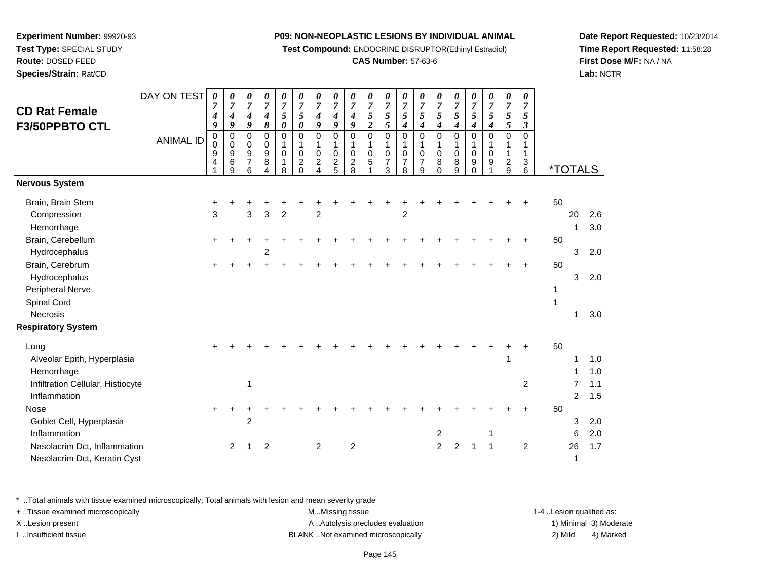#### **P09: NON-NEOPLASTIC LESIONS BY INDIVIDUAL ANIMAL**

**Test Compound:** ENDOCRINE DISRUPTOR(Ethinyl Estradiol)

## **CAS Number:** 57-63-6

**Date Report Requested:** 10/23/2014**Time Report Requested:** 11:58:28**First Dose M/F:** NA / NA**Lab:** NCTR

| <b>CD Rat Female</b><br><b>F3/50PPBTO CTL</b>                                          | DAY ON TEST      | 0<br>7<br>4<br>9 | 0<br>$\overline{7}$<br>4<br>9                                  | 0<br>$\overline{7}$<br>4<br>$\boldsymbol{g}$ | 0<br>$\overline{7}$<br>4<br>8 | 0<br>$\overline{7}$<br>5<br>$\boldsymbol{\theta}$ | 0<br>$\boldsymbol{7}$<br>5<br>$\boldsymbol{\theta}$ | 0<br>7<br>4<br>9                                      | 0<br>$\boldsymbol{7}$<br>4<br>9         | $\boldsymbol{\theta}$<br>$\overline{7}$<br>$\boldsymbol{4}$<br>$\boldsymbol{g}$ | 0<br>$\boldsymbol{7}$<br>$\sqrt{5}$<br>$\overline{2}$ | 0<br>$\overline{7}$<br>5<br>5                          | 0<br>7<br>5<br>4                | 0<br>$\boldsymbol{7}$<br>$\sqrt{5}$<br>4 | 0<br>7<br>5<br>4               | 0<br>$\overline{7}$<br>5<br>$\boldsymbol{4}$ | 0<br>7<br>$\sqrt{5}$<br>4                     | 0<br>$\overline{7}$<br>5<br>$\boldsymbol{4}$ | 0<br>$\boldsymbol{7}$<br>5<br>5 | $\boldsymbol{\theta}$<br>7<br>5<br>$\mathbf{3}$ |                       |                     |                          |
|----------------------------------------------------------------------------------------|------------------|------------------|----------------------------------------------------------------|----------------------------------------------|-------------------------------|---------------------------------------------------|-----------------------------------------------------|-------------------------------------------------------|-----------------------------------------|---------------------------------------------------------------------------------|-------------------------------------------------------|--------------------------------------------------------|---------------------------------|------------------------------------------|--------------------------------|----------------------------------------------|-----------------------------------------------|----------------------------------------------|---------------------------------|-------------------------------------------------|-----------------------|---------------------|--------------------------|
|                                                                                        | <b>ANIMAL ID</b> | 0<br>0<br>9<br>4 | $\mathbf 0$<br>$\mathbf 0$<br>$\boldsymbol{9}$<br>$\,6\,$<br>9 | $\mathbf 0$<br>$\mathbf 0$<br>9<br>7<br>6    | 0<br>0<br>9<br>8<br>Δ         | 0<br>1<br>$\mathbf 0$<br>8                        | 0<br>1<br>0<br>$\overline{\mathbf{c}}$<br>$\Omega$  | 0<br>1<br>$\mathbf 0$<br>$\overline{\mathbf{c}}$<br>4 | 0<br>$\mathbf{1}$<br>0<br>$\frac{2}{5}$ | 0<br>1<br>$\mathbf 0$<br>$\overline{c}$<br>8                                    | $\Omega$<br>$\mathbf{1}$<br>0<br>5                    | $\mathbf 0$<br>1<br>$\mathbf 0$<br>$\overline{7}$<br>3 | $\mathbf 0$<br>1<br>0<br>7<br>8 | 0<br>1<br>0<br>$\overline{7}$<br>9       | $\Omega$<br>0<br>8<br>$\Omega$ | 0<br>$\mathbf{1}$<br>0<br>8<br>9             | $\Omega$<br>1<br>$\mathbf 0$<br>9<br>$\Omega$ | $\Omega$<br>0<br>9                           | 0<br>1<br>1<br>$\frac{2}{9}$    | $\Omega$<br>1<br>1<br>3<br>6                    | <i><b>*TOTALS</b></i> |                     |                          |
| Nervous System                                                                         |                  |                  |                                                                |                                              |                               |                                                   |                                                     |                                                       |                                         |                                                                                 |                                                       |                                                        |                                 |                                          |                                |                                              |                                               |                                              |                                 |                                                 |                       |                     |                          |
| Brain, Brain Stem<br>Compression<br>Hemorrhage                                         |                  | +<br>3           |                                                                | 3                                            | 3                             | $\overline{c}$                                    |                                                     | $\overline{\mathbf{c}}$                               |                                         |                                                                                 |                                                       |                                                        | $\overline{\mathbf{c}}$         |                                          |                                |                                              |                                               |                                              |                                 |                                                 | 50                    | 20<br>1             | 2.6<br>3.0               |
| Brain, Cerebellum<br>Hydrocephalus                                                     |                  | $\ddot{}$        |                                                                |                                              | $\overline{2}$                |                                                   |                                                     |                                                       |                                         |                                                                                 |                                                       |                                                        |                                 |                                          |                                |                                              |                                               |                                              |                                 |                                                 | 50                    | 3                   | 2.0                      |
| Brain, Cerebrum<br>Hydrocephalus<br>Peripheral Nerve<br>Spinal Cord<br>Necrosis        |                  |                  |                                                                |                                              |                               |                                                   |                                                     |                                                       |                                         |                                                                                 |                                                       |                                                        |                                 |                                          |                                |                                              |                                               |                                              |                                 |                                                 | 50<br>1<br>1          | 3<br>$\mathbf{1}$   | 2.0<br>3.0               |
| <b>Respiratory System</b>                                                              |                  |                  |                                                                |                                              |                               |                                                   |                                                     |                                                       |                                         |                                                                                 |                                                       |                                                        |                                 |                                          |                                |                                              |                                               |                                              |                                 |                                                 |                       |                     |                          |
| Lung<br>Alveolar Epith, Hyperplasia<br>Hemorrhage<br>Infiltration Cellular, Histiocyte |                  |                  |                                                                | 1                                            |                               |                                                   |                                                     |                                                       |                                         |                                                                                 |                                                       |                                                        |                                 |                                          |                                |                                              |                                               |                                              | 1                               | $\overline{2}$                                  | 50                    | 1<br>7              | 1.0<br>1.0<br>1.1<br>1.5 |
| Inflammation<br>Nose<br>Goblet Cell, Hyperplasia                                       |                  | +                |                                                                | $\overline{c}$                               |                               |                                                   |                                                     |                                                       |                                         |                                                                                 |                                                       |                                                        |                                 |                                          |                                |                                              |                                               |                                              |                                 |                                                 | 50                    | $\overline{2}$<br>3 | 2.0                      |
| Inflammation<br>Nasolacrim Dct, Inflammation<br>Nasolacrim Dct, Keratin Cyst           |                  |                  | $\overline{2}$                                                 |                                              | 2                             |                                                   |                                                     | $\overline{2}$                                        |                                         | $\overline{c}$                                                                  |                                                       |                                                        |                                 |                                          | $\overline{c}$<br>2            | $\overline{2}$                               | -1                                            | 1<br>1                                       |                                 | $\overline{2}$                                  |                       | 6<br>26<br>1        | 2.0<br>1.7               |

\* ..Total animals with tissue examined microscopically; Total animals with lesion and mean severity grade

**Experiment Number:** 99920-93**Test Type:** SPECIAL STUDY**Route:** DOSED FEED**Species/Strain:** Rat/CD

+ ..Tissue examined microscopically examined microscopically examined as:  $M$  ..Missing tissue 1-4 ..Lesion qualified as: X..Lesion present **A ..Autolysis precludes evaluation** A ..Autolysis precludes evaluation 1) Minimal 3) Moderate I ..Insufficient tissue BLANK ..Not examined microscopically 2) Mild 4) Marked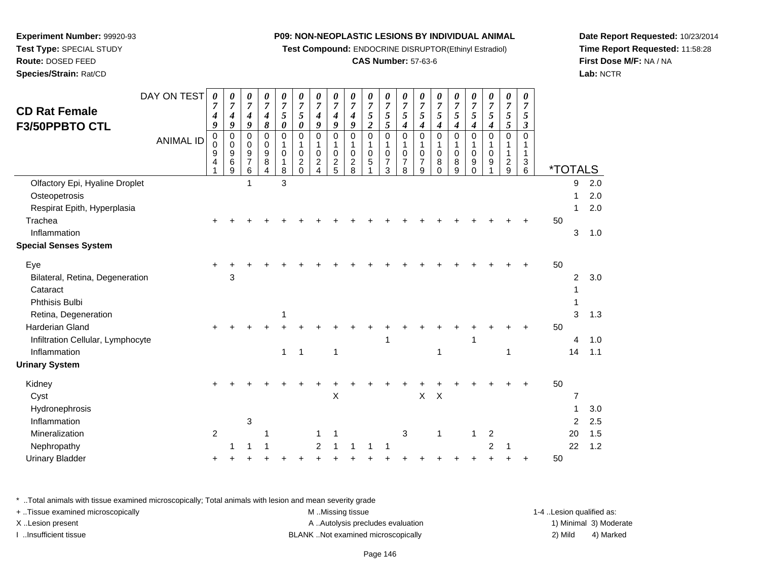### **P09: NON-NEOPLASTIC LESIONS BY INDIVIDUAL ANIMAL**

**Test Compound:** ENDOCRINE DISRUPTOR(Ethinyl Estradiol)

## **CAS Number:** 57-63-6

**Date Report Requested:** 10/23/2014**Time Report Requested:** 11:58:28**First Dose M/F:** NA / NA**Lab:** NCTR

| DAY ON TEST<br><b>CD Rat Female</b><br>F3/50PPBTO CTL                                         | 0<br>4<br>9                       | 0<br>7<br>4<br>9                | 4<br>9                                    | 0<br>7<br>4<br>8      | 0<br>7<br>5<br>$\boldsymbol{\theta}$ | 0<br>7<br>$\mathfrak{F}$<br>0                           | 0<br>$\overline{7}$<br>$\boldsymbol{4}$<br>9      | 0<br>$\overline{7}$<br>4<br>9             | 0<br>7<br>$\boldsymbol{4}$<br>9                      | 0<br>7<br>5<br>$\boldsymbol{2}$   | 0<br>7<br>$\mathfrak{s}$<br>5   | 0<br>7<br>5<br>4                          | 0<br>5<br>4                               | 0<br>7<br>5<br>4                                         | 0<br>7<br>5<br>4                    | 0<br>7<br>5<br>4                         | 0<br>$\overline{7}$<br>5<br>4 | 0<br>7<br>5<br>5                     | 0<br>$\overline{7}$<br>5<br>3 |                       |                     |                   |
|-----------------------------------------------------------------------------------------------|-----------------------------------|---------------------------------|-------------------------------------------|-----------------------|--------------------------------------|---------------------------------------------------------|---------------------------------------------------|-------------------------------------------|------------------------------------------------------|-----------------------------------|---------------------------------|-------------------------------------------|-------------------------------------------|----------------------------------------------------------|-------------------------------------|------------------------------------------|-------------------------------|--------------------------------------|-------------------------------|-----------------------|---------------------|-------------------|
| <b>ANIMAL ID</b>                                                                              | $\mathbf 0$<br>$\Omega$<br>9<br>4 | 0<br>$\mathbf 0$<br>9<br>6<br>9 | $\Omega$<br>0<br>9<br>$\overline{7}$<br>6 | 0<br>0<br>9<br>8<br>4 | $\Omega$<br>1<br>$\Omega$<br>$\,8\,$ | $\Omega$<br>1<br>$\Omega$<br>$\overline{c}$<br>$\Omega$ | $\Omega$<br>$\mathbf{1}$<br>$\mathbf 0$<br>2<br>4 | $\Omega$<br>1<br>0<br>$\overline{c}$<br>5 | $\Omega$<br>$\mathbf{1}$<br>0<br>$\overline{c}$<br>8 | $\Omega$<br>1<br>$\mathbf 0$<br>5 | $\mathbf 0$<br>1<br>0<br>7<br>3 | $\Omega$<br>1<br>0<br>$\overline{7}$<br>8 | $\Omega$<br>1<br>0<br>$\overline{7}$<br>9 | $\Omega$<br>$\mathbf{1}$<br>$\mathbf 0$<br>8<br>$\Omega$ | $\Omega$<br>1<br>$\Omega$<br>8<br>9 | $\Omega$<br>$\mathbf 0$<br>9<br>$\Omega$ | $\Omega$<br>0<br>9            | $\Omega$<br>1<br>$\overline{c}$<br>9 | $\Omega$<br>1<br>1<br>3<br>6  | <i><b>*TOTALS</b></i> |                     |                   |
| Olfactory Epi, Hyaline Droplet<br>Osteopetrosis<br>Respirat Epith, Hyperplasia                |                                   |                                 |                                           |                       | 3                                    |                                                         |                                                   |                                           |                                                      |                                   |                                 |                                           |                                           |                                                          |                                     |                                          |                               |                                      |                               |                       | 9                   | 2.0<br>2.0<br>2.0 |
| Trachea<br>Inflammation<br><b>Special Senses System</b>                                       |                                   |                                 |                                           |                       |                                      |                                                         |                                                   |                                           |                                                      |                                   |                                 |                                           |                                           |                                                          |                                     |                                          |                               |                                      |                               | 50                    | 3                   | 1.0               |
| Eye<br>Bilateral, Retina, Degeneration<br>Cataract<br>Phthisis Bulbi<br>Retina, Degeneration  |                                   | 3                               |                                           |                       | 1                                    |                                                         |                                                   |                                           |                                                      |                                   |                                 |                                           |                                           |                                                          |                                     |                                          |                               |                                      |                               | 50                    | 2<br>3              | 3.0<br>1.3        |
| Harderian Gland<br>Infiltration Cellular, Lymphocyte<br>Inflammation<br><b>Urinary System</b> |                                   |                                 |                                           |                       | $\mathbf{1}$                         | 1                                                       |                                                   | $\mathbf 1$                               |                                                      |                                   |                                 |                                           |                                           | 1                                                        |                                     |                                          |                               |                                      |                               | 50                    | 4<br>14             | 1.0<br>1.1        |
| Kidney<br>Cyst<br>Hydronephrosis<br>Inflammation                                              |                                   |                                 | 3                                         |                       |                                      |                                                         |                                                   | $\times$                                  |                                                      |                                   |                                 |                                           | $\mathsf X$                               | $\boldsymbol{\mathsf{X}}$                                |                                     |                                          |                               |                                      |                               | 50                    | $\overline{7}$<br>2 | 3.0<br>2.5        |
| Mineralization<br>Nephropathy<br><b>Urinary Bladder</b>                                       | $\overline{c}$                    |                                 |                                           |                       |                                      |                                                         | 1<br>2                                            | -1                                        |                                                      |                                   |                                 | 3                                         |                                           | 1                                                        |                                     | 1                                        | 2<br>$\overline{2}$           |                                      | +                             | 50                    | 20<br>22            | 1.5<br>1.2        |

\* ..Total animals with tissue examined microscopically; Total animals with lesion and mean severity grade

**Experiment Number:** 99920-93**Test Type:** SPECIAL STUDY**Route:** DOSED FEED**Species/Strain:** Rat/CD

+ ..Tissue examined microscopically examined microscopically examined as:  $M$  ..Missing tissue 1-4 ..Lesion qualified as: X..Lesion present **A ..Autolysis precludes evaluation** A ..Autolysis precludes evaluation 1) Minimal 3) Moderate I ..Insufficient tissue BLANK ..Not examined microscopically 2) Mild 4) Marked